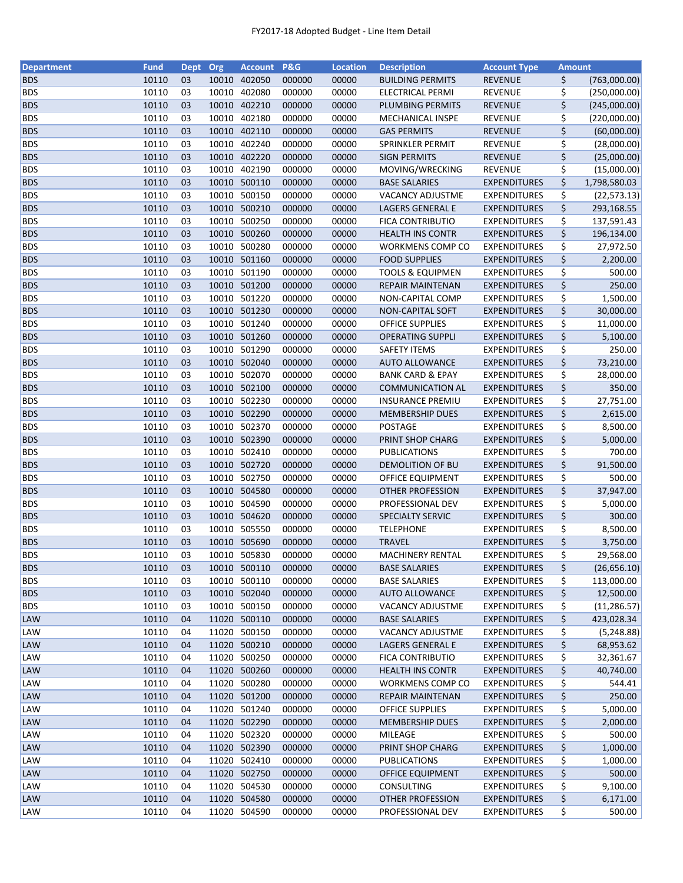| <b>Department</b>        | <b>Fund</b> | <b>Dept</b> | Org   | <b>Account</b> | <b>P&amp;G</b> | <b>Location</b> | <b>Description</b>          | <b>Account Type</b> | Amount |              |
|--------------------------|-------------|-------------|-------|----------------|----------------|-----------------|-----------------------------|---------------------|--------|--------------|
| <b>BDS</b>               | 10110       | 03          |       | 10010 402050   | 000000         | 00000           | <b>BUILDING PERMITS</b>     | <b>REVENUE</b>      | \$     | (763,000.00) |
| <b>BDS</b>               | 10110       | 03          | 10010 | 402080         | 000000         | 00000           | ELECTRICAL PERMI            | <b>REVENUE</b>      | \$     | (250,000.00) |
| <b>BDS</b>               | 10110       | 03          | 10010 | 402210         | 000000         | 00000           | PLUMBING PERMITS            | <b>REVENUE</b>      | \$     | (245,000.00) |
| <b>BDS</b>               | 10110       | 03          | 10010 | 402180         | 000000         | 00000           | MECHANICAL INSPE            | <b>REVENUE</b>      | \$     | (220,000.00) |
| <b>BDS</b>               | 10110       | 03          |       | 10010 402110   | 000000         | 00000           | <b>GAS PERMITS</b>          | <b>REVENUE</b>      | \$     | (60,000.00)  |
| <b>BDS</b>               | 10110       | 03          |       | 10010 402240   | 000000         | 00000           | <b>SPRINKLER PERMIT</b>     | <b>REVENUE</b>      | \$     | (28,000.00)  |
| <b>BDS</b>               | 10110       | 03          |       | 10010 402220   | 000000         | 00000           | <b>SIGN PERMITS</b>         | <b>REVENUE</b>      | \$     | (25,000.00)  |
| <b>BDS</b>               | 10110       | 03          |       | 10010 402190   | 000000         | 00000           | MOVING/WRECKING             | REVENUE             | \$     | (15,000.00)  |
| <b>BDS</b>               | 10110       | 03          |       | 10010 500110   | 000000         | 00000           | <b>BASE SALARIES</b>        | <b>EXPENDITURES</b> | \$     | 1,798,580.03 |
| <b>BDS</b>               | 10110       | 03          |       | 10010 500150   | 000000         | 00000           | VACANCY ADJUSTME            | <b>EXPENDITURES</b> | \$     | (22, 573.13) |
| <b>BDS</b>               | 10110       | 03          |       | 10010 500210   | 000000         | 00000           | LAGERS GENERAL E            | <b>EXPENDITURES</b> | \$     | 293,168.55   |
| <b>BDS</b>               | 10110       | 03          | 10010 | 500250         | 000000         | 00000           | <b>FICA CONTRIBUTIO</b>     | <b>EXPENDITURES</b> | \$     | 137,591.43   |
| <b>BDS</b>               | 10110       | 03          |       | 10010 500260   | 000000         | 00000           | <b>HEALTH INS CONTR</b>     | <b>EXPENDITURES</b> | \$     | 196,134.00   |
| <b>BDS</b>               | 10110       | 03          | 10010 | 500280         | 000000         | 00000           | <b>WORKMENS COMP CO</b>     | <b>EXPENDITURES</b> | \$     | 27,972.50    |
| <b>BDS</b>               | 10110       | 03          | 10010 | 501160         | 000000         | 00000           | <b>FOOD SUPPLIES</b>        | <b>EXPENDITURES</b> | \$     | 2,200.00     |
| <b>BDS</b>               | 10110       | 03          | 10010 | 501190         | 000000         | 00000           | <b>TOOLS &amp; EQUIPMEN</b> | <b>EXPENDITURES</b> | \$     | 500.00       |
| <b>BDS</b>               | 10110       | 03          |       | 10010 501200   | 000000         | 00000           | <b>REPAIR MAINTENAN</b>     | <b>EXPENDITURES</b> | \$     | 250.00       |
| <b>BDS</b>               | 10110       | 03          |       | 10010 501220   | 000000         | 00000           | NON-CAPITAL COMP            | <b>EXPENDITURES</b> | \$     | 1,500.00     |
| <b>BDS</b>               | 10110       | 03          |       | 10010 501230   | 000000         | 00000           | NON-CAPITAL SOFT            | <b>EXPENDITURES</b> | \$     | 30,000.00    |
| <b>BDS</b>               | 10110       | 03          |       | 10010 501240   | 000000         | 00000           | <b>OFFICE SUPPLIES</b>      | <b>EXPENDITURES</b> | \$     | 11,000.00    |
| <b>BDS</b>               | 10110       | 03          |       | 10010 501260   | 000000         | 00000           | <b>OPERATING SUPPLI</b>     | <b>EXPENDITURES</b> | \$     | 5,100.00     |
| <b>BDS</b>               | 10110       | 03          |       | 10010 501290   | 000000         | 00000           | <b>SAFETY ITEMS</b>         | <b>EXPENDITURES</b> | \$     | 250.00       |
| <b>BDS</b>               | 10110       | 03          |       | 10010 502040   | 000000         | 00000           | <b>AUTO ALLOWANCE</b>       | <b>EXPENDITURES</b> | \$     | 73,210.00    |
| <b>BDS</b>               | 10110       | 03          |       | 10010 502070   | 000000         | 00000           | <b>BANK CARD &amp; EPAY</b> | <b>EXPENDITURES</b> | \$     | 28,000.00    |
| <b>BDS</b>               | 10110       | 03          |       | 10010 502100   | 000000         | 00000           | <b>COMMUNICATION AL</b>     | <b>EXPENDITURES</b> | \$     | 350.00       |
| <b>BDS</b>               | 10110       | 03          |       | 10010 502230   | 000000         | 00000           | <b>INSURANCE PREMIU</b>     | <b>EXPENDITURES</b> | \$     | 27,751.00    |
| <b>BDS</b>               | 10110       | 03          | 10010 | 502290         | 000000         | 00000           | <b>MEMBERSHIP DUES</b>      | <b>EXPENDITURES</b> | \$     | 2,615.00     |
| <b>BDS</b>               | 10110       | 03          | 10010 | 502370         | 000000         | 00000           | POSTAGE                     | <b>EXPENDITURES</b> | \$     | 8,500.00     |
| <b>BDS</b>               | 10110       | 03          |       | 10010 502390   | 000000         | 00000           | PRINT SHOP CHARG            | <b>EXPENDITURES</b> | \$     | 5,000.00     |
| <b>BDS</b>               | 10110       | 03          |       | 10010 502410   | 000000         | 00000           | <b>PUBLICATIONS</b>         | <b>EXPENDITURES</b> | \$     | 700.00       |
| <b>BDS</b>               | 10110       | 03          |       | 10010 502720   | 000000         | 00000           | DEMOLITION OF BU            | <b>EXPENDITURES</b> | \$     | 91,500.00    |
| <b>BDS</b>               | 10110       | 03          |       | 10010 502750   | 000000         | 00000           | OFFICE EQUIPMENT            | <b>EXPENDITURES</b> | \$     | 500.00       |
|                          | 10110       |             |       | 10010 504580   | 000000         | 00000           |                             |                     | \$     | 37,947.00    |
| <b>BDS</b><br><b>BDS</b> | 10110       | 03<br>03    |       | 10010 504590   | 000000         | 00000           | <b>OTHER PROFESSION</b>     | <b>EXPENDITURES</b> |        |              |
|                          |             |             |       |                |                |                 | PROFESSIONAL DEV            | <b>EXPENDITURES</b> | \$     | 5,000.00     |
| <b>BDS</b>               | 10110       | 03          |       | 10010 504620   | 000000         | 00000           | <b>SPECIALTY SERVIC</b>     | <b>EXPENDITURES</b> | \$     | 300.00       |
| <b>BDS</b>               | 10110       | 03          |       | 10010 505550   | 000000         | 00000           | <b>TELEPHONE</b>            | <b>EXPENDITURES</b> | \$     | 8,500.00     |
| <b>BDS</b>               | 10110       | 03          |       | 10010 505690   | 000000         | 00000           | <b>TRAVEL</b>               | <b>EXPENDITURES</b> | \$     | 3,750.00     |
| <b>BDS</b>               | 10110       | 03          |       | 10010 505830   | 000000         | 00000           | <b>MACHINERY RENTAL</b>     | <b>EXPENDITURES</b> | \$     | 29,568.00    |
| <b>BDS</b>               | 10110       | 03          |       | 10010 500110   | 000000         | 00000           | <b>BASE SALARIES</b>        | <b>EXPENDITURES</b> | \$     | (26,656.10)  |
| <b>BDS</b>               | 10110       | 03          | 10010 | 500110         | 000000         | 00000           | <b>BASE SALARIES</b>        | <b>EXPENDITURES</b> | \$     | 113,000.00   |
| <b>BDS</b>               | 10110       | 03          |       | 10010 502040   | 000000         | 00000           | <b>AUTO ALLOWANCE</b>       | <b>EXPENDITURES</b> | \$     | 12,500.00    |
| <b>BDS</b>               | 10110       | 03          |       | 10010 500150   | 000000         | 00000           | <b>VACANCY ADJUSTME</b>     | <b>EXPENDITURES</b> | \$     | (11, 286.57) |
| <b>LAW</b>               | 10110       | 04          |       | 11020 500110   | 000000         | 00000           | <b>BASE SALARIES</b>        | <b>EXPENDITURES</b> | \$     | 423,028.34   |
| <b>LAW</b>               | 10110       | 04          |       | 11020 500150   | 000000         | 00000           | <b>VACANCY ADJUSTME</b>     | <b>EXPENDITURES</b> | \$     | (5, 248.88)  |
| LAW                      | 10110       | 04          |       | 11020 500210   | 000000         | 00000           | LAGERS GENERAL E            | <b>EXPENDITURES</b> | \$     | 68,953.62    |
| LAW                      | 10110       | 04          |       | 11020 500250   | 000000         | 00000           | FICA CONTRIBUTIO            | <b>EXPENDITURES</b> | \$     | 32,361.67    |
| LAW                      | 10110       | 04          |       | 11020 500260   | 000000         | 00000           | <b>HEALTH INS CONTR</b>     | <b>EXPENDITURES</b> | \$     | 40,740.00    |
| LAW                      | 10110       | 04          |       | 11020 500280   | 000000         | 00000           | <b>WORKMENS COMP CO</b>     | <b>EXPENDITURES</b> | \$     | 544.41       |
| LAW                      | 10110       | 04          |       | 11020 501200   | 000000         | 00000           | <b>REPAIR MAINTENAN</b>     | <b>EXPENDITURES</b> | \$     | 250.00       |
| LAW                      | 10110       | 04          |       | 11020 501240   | 000000         | 00000           | <b>OFFICE SUPPLIES</b>      | <b>EXPENDITURES</b> | \$     | 5,000.00     |
| <b>LAW</b>               | 10110       | 04          |       | 11020 502290   | 000000         | 00000           | <b>MEMBERSHIP DUES</b>      | <b>EXPENDITURES</b> | \$     | 2,000.00     |
| LAW                      | 10110       | 04          |       | 11020 502320   | 000000         | 00000           | MILEAGE                     | <b>EXPENDITURES</b> | \$     | 500.00       |
| <b>LAW</b>               | 10110       | 04          |       | 11020 502390   | 000000         | 00000           | PRINT SHOP CHARG            | <b>EXPENDITURES</b> | \$     | 1,000.00     |
| LAW                      | 10110       | 04          |       | 11020 502410   | 000000         | 00000           | <b>PUBLICATIONS</b>         | <b>EXPENDITURES</b> | \$     | 1,000.00     |
| <b>LAW</b>               | 10110       | 04          |       | 11020 502750   | 000000         | 00000           | <b>OFFICE EQUIPMENT</b>     | <b>EXPENDITURES</b> | \$     | 500.00       |
| LAW                      | 10110       | 04          |       | 11020 504530   | 000000         | 00000           | CONSULTING                  | <b>EXPENDITURES</b> | \$     | 9,100.00     |
| <b>LAW</b>               | 10110       | 04          |       | 11020 504580   | 000000         | 00000           | <b>OTHER PROFESSION</b>     | <b>EXPENDITURES</b> | \$     | 6,171.00     |
| LAW                      | 10110       | 04          |       | 11020 504590   | 000000         | 00000           | PROFESSIONAL DEV            | <b>EXPENDITURES</b> | \$     | 500.00       |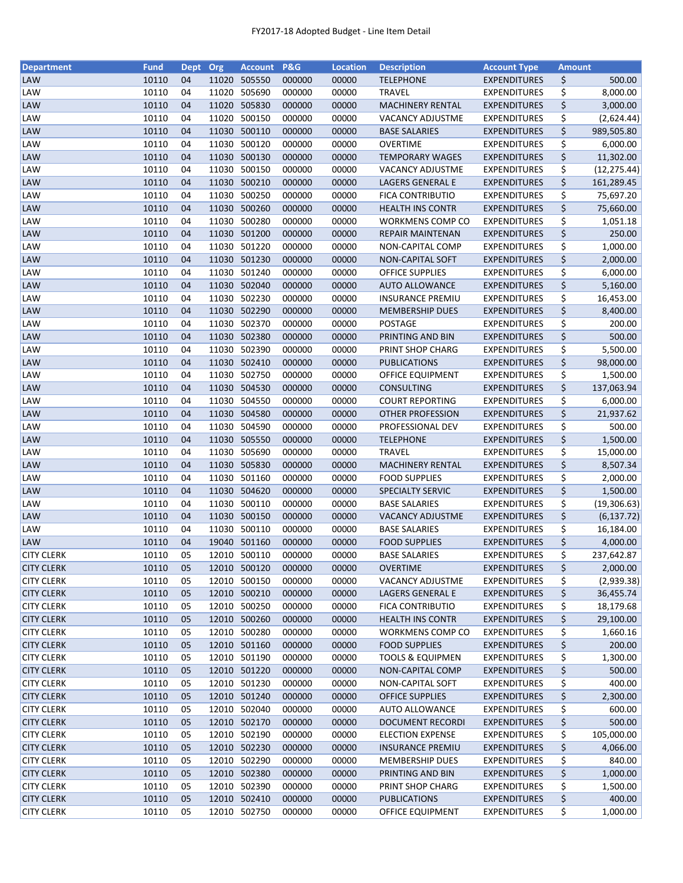| Department        | <b>Fund</b> | <b>Dept</b> | Org   | <b>Account</b> | P&G    | <b>Location</b> | <b>Description</b>          | <b>Account Type</b> | <b>Amount</b> |              |
|-------------------|-------------|-------------|-------|----------------|--------|-----------------|-----------------------------|---------------------|---------------|--------------|
| LAW               | 10110       | 04          | 11020 | 505550         | 000000 | 00000           | <b>TELEPHONE</b>            | <b>EXPENDITURES</b> | \$            | 500.00       |
| LAW               | 10110       | 04          | 11020 | 505690         | 000000 | 00000           | <b>TRAVEL</b>               | <b>EXPENDITURES</b> | \$            | 8,000.00     |
| <b>LAW</b>        | 10110       | 04          |       | 11020 505830   | 000000 | 00000           | <b>MACHINERY RENTAL</b>     | <b>EXPENDITURES</b> | \$            | 3,000.00     |
| LAW               | 10110       | 04          | 11020 | 500150         | 000000 | 00000           | <b>VACANCY ADJUSTME</b>     | <b>EXPENDITURES</b> | \$            | (2,624.44)   |
| <b>LAW</b>        | 10110       | 04          |       | 11030 500110   | 000000 | 00000           | <b>BASE SALARIES</b>        | <b>EXPENDITURES</b> | \$            | 989,505.80   |
| LAW               | 10110       | 04          |       | 11030 500120   | 000000 | 00000           | OVERTIME                    | <b>EXPENDITURES</b> | \$            | 6,000.00     |
| LAW               | 10110       | 04          | 11030 | 500130         | 000000 | 00000           | <b>TEMPORARY WAGES</b>      | <b>EXPENDITURES</b> | \$            | 11,302.00    |
| LAW               | 10110       | 04          | 11030 | 500150         | 000000 | 00000           | VACANCY ADJUSTME            | <b>EXPENDITURES</b> | \$            | (12, 275.44) |
| LAW               | 10110       | 04          |       | 11030 500210   | 000000 | 00000           | <b>LAGERS GENERAL E</b>     | <b>EXPENDITURES</b> | \$            | 161,289.45   |
| LAW               | 10110       | 04          | 11030 | 500250         | 000000 | 00000           | <b>FICA CONTRIBUTIO</b>     | <b>EXPENDITURES</b> | \$            | 75,697.20    |
| LAW               | 10110       | 04          | 11030 | 500260         | 000000 | 00000           | <b>HEALTH INS CONTR</b>     | <b>EXPENDITURES</b> | \$            | 75,660.00    |
| LAW               | 10110       | 04          | 11030 | 500280         | 000000 | 00000           | <b>WORKMENS COMP CO</b>     | <b>EXPENDITURES</b> | \$            | 1,051.18     |
| LAW               | 10110       | 04          | 11030 | 501200         | 000000 | 00000           | REPAIR MAINTENAN            | <b>EXPENDITURES</b> | \$            | 250.00       |
|                   |             |             |       |                |        |                 |                             |                     |               |              |
| LAW               | 10110       | 04          | 11030 | 501220         | 000000 | 00000           | NON-CAPITAL COMP            | <b>EXPENDITURES</b> | \$            | 1,000.00     |
| LAW               | 10110       | 04          |       | 11030 501230   | 000000 | 00000           | <b>NON-CAPITAL SOFT</b>     | <b>EXPENDITURES</b> | \$            | 2,000.00     |
| LAW               | 10110       | 04          | 11030 | 501240         | 000000 | 00000           | <b>OFFICE SUPPLIES</b>      | <b>EXPENDITURES</b> | \$            | 6,000.00     |
| <b>LAW</b>        | 10110       | 04          |       | 11030 502040   | 000000 | 00000           | <b>AUTO ALLOWANCE</b>       | <b>EXPENDITURES</b> | \$            | 5,160.00     |
| LAW               | 10110       | 04          |       | 11030 502230   | 000000 | 00000           | <b>INSURANCE PREMIU</b>     | <b>EXPENDITURES</b> | \$            | 16,453.00    |
| LAW               | 10110       | 04          |       | 11030 502290   | 000000 | 00000           | <b>MEMBERSHIP DUES</b>      | <b>EXPENDITURES</b> | \$            | 8,400.00     |
| LAW               | 10110       | 04          |       | 11030 502370   | 000000 | 00000           | POSTAGE                     | <b>EXPENDITURES</b> | \$            | 200.00       |
| LAW               | 10110       | 04          |       | 11030 502380   | 000000 | 00000           | PRINTING AND BIN            | <b>EXPENDITURES</b> | \$            | 500.00       |
| LAW               | 10110       | 04          |       | 11030 502390   | 000000 | 00000           | PRINT SHOP CHARG            | <b>EXPENDITURES</b> | \$            | 5,500.00     |
| LAW               | 10110       | 04          |       | 11030 502410   | 000000 | 00000           | <b>PUBLICATIONS</b>         | <b>EXPENDITURES</b> | \$            | 98,000.00    |
| LAW               | 10110       | 04          | 11030 | 502750         | 000000 | 00000           | OFFICE EQUIPMENT            | <b>EXPENDITURES</b> | \$            | 1,500.00     |
| LAW               | 10110       | 04          | 11030 | 504530         | 000000 | 00000           | <b>CONSULTING</b>           | <b>EXPENDITURES</b> | \$            | 137,063.94   |
| LAW               | 10110       | 04          | 11030 | 504550         | 000000 | 00000           | <b>COURT REPORTING</b>      | <b>EXPENDITURES</b> | \$            | 6,000.00     |
| LAW               | 10110       | 04          |       | 11030 504580   | 000000 | 00000           | <b>OTHER PROFESSION</b>     | <b>EXPENDITURES</b> | \$            | 21,937.62    |
| LAW               | 10110       | 04          | 11030 | 504590         | 000000 | 00000           | PROFESSIONAL DEV            | EXPENDITURES        | \$            | 500.00       |
| <b>LAW</b>        | 10110       | 04          |       | 11030 505550   | 000000 | 00000           | <b>TELEPHONE</b>            | <b>EXPENDITURES</b> | \$            | 1,500.00     |
| LAW               | 10110       | 04          |       | 11030 505690   | 000000 | 00000           | <b>TRAVEL</b>               | <b>EXPENDITURES</b> | \$            | 15,000.00    |
| LAW               | 10110       | 04          |       | 11030 505830   | 000000 | 00000           | <b>MACHINERY RENTAL</b>     | <b>EXPENDITURES</b> | \$            | 8,507.34     |
| LAW               | 10110       | 04          | 11030 | 501160         | 000000 | 00000           | <b>FOOD SUPPLIES</b>        | <b>EXPENDITURES</b> | \$            | 2,000.00     |
| LAW               | 10110       | 04          |       | 11030 504620   | 000000 | 00000           | SPECIALTY SERVIC            | <b>EXPENDITURES</b> | \$            | 1,500.00     |
| LAW               | 10110       | 04          | 11030 | 500110         | 000000 | 00000           | <b>BASE SALARIES</b>        | <b>EXPENDITURES</b> | \$            | (19,306.63)  |
| LAW               | 10110       | 04          |       | 11030 500150   | 000000 | 00000           | <b>VACANCY ADJUSTME</b>     | <b>EXPENDITURES</b> | \$            | (6, 137.72)  |
| LAW               | 10110       | 04          |       | 11030 500110   | 000000 | 00000           | <b>BASE SALARIES</b>        | <b>EXPENDITURES</b> | \$            | 16,184.00    |
| <b>LAW</b>        | 10110       | 04          |       | 19040 501160   | 000000 | 00000           | <b>FOOD SUPPLIES</b>        | <b>EXPENDITURES</b> | \$            | 4,000.00     |
| <b>CITY CLERK</b> | 10110       | 05          |       | 12010 500110   | 000000 | 00000           | <b>BASE SALARIES</b>        | <b>EXPENDITURES</b> | \$            | 237,642.87   |
|                   | 10110       |             |       |                |        |                 |                             |                     |               |              |
| <b>CITY CLERK</b> |             | 05          |       | 12010 500120   | 000000 | 00000           | <b>OVERTIME</b>             | <b>EXPENDITURES</b> | \$            | 2,000.00     |
| <b>CITY CLERK</b> | 10110       | 05          |       | 12010 500150   | 000000 | 00000           | <b>VACANCY ADJUSTME</b>     | <b>EXPENDITURES</b> | \$            | (2,939.38)   |
| <b>CITY CLERK</b> | 10110       | 05          |       | 12010 500210   | 000000 | 00000           | <b>LAGERS GENERAL E</b>     | <b>EXPENDITURES</b> | \$            | 36,455.74    |
| <b>CITY CLERK</b> | 10110       | 05          |       | 12010 500250   | 000000 | 00000           | <b>FICA CONTRIBUTIO</b>     | <b>EXPENDITURES</b> | \$            | 18,179.68    |
| <b>CITY CLERK</b> | 10110       | 05          |       | 12010 500260   | 000000 | 00000           | <b>HEALTH INS CONTR</b>     | <b>EXPENDITURES</b> | \$            | 29,100.00    |
| <b>CITY CLERK</b> | 10110       | 05          |       | 12010 500280   | 000000 | 00000           | <b>WORKMENS COMP CO</b>     | <b>EXPENDITURES</b> | \$            | 1,660.16     |
| <b>CITY CLERK</b> | 10110       | 05          |       | 12010 501160   | 000000 | 00000           | <b>FOOD SUPPLIES</b>        | <b>EXPENDITURES</b> | \$            | 200.00       |
| <b>CITY CLERK</b> | 10110       | 05          |       | 12010 501190   | 000000 | 00000           | <b>TOOLS &amp; EQUIPMEN</b> | <b>EXPENDITURES</b> | \$            | 1,300.00     |
| <b>CITY CLERK</b> | 10110       | 05          |       | 12010 501220   | 000000 | 00000           | NON-CAPITAL COMP            | <b>EXPENDITURES</b> | \$            | 500.00       |
| <b>CITY CLERK</b> | 10110       | 05          |       | 12010 501230   | 000000 | 00000           | NON-CAPITAL SOFT            | <b>EXPENDITURES</b> | \$            | 400.00       |
| <b>CITY CLERK</b> | 10110       | 05          |       | 12010 501240   | 000000 | 00000           | <b>OFFICE SUPPLIES</b>      | <b>EXPENDITURES</b> | \$            | 2,300.00     |
| <b>CITY CLERK</b> | 10110       | 05          |       | 12010 502040   | 000000 | 00000           | <b>AUTO ALLOWANCE</b>       | <b>EXPENDITURES</b> | \$            | 600.00       |
| <b>CITY CLERK</b> | 10110       | 05          |       | 12010 502170   | 000000 | 00000           | <b>DOCUMENT RECORDI</b>     | <b>EXPENDITURES</b> | \$            | 500.00       |
| <b>CITY CLERK</b> | 10110       | 05          |       | 12010 502190   | 000000 | 00000           | <b>ELECTION EXPENSE</b>     | <b>EXPENDITURES</b> | \$            | 105,000.00   |
| <b>CITY CLERK</b> | 10110       | 05          |       | 12010 502230   | 000000 | 00000           | <b>INSURANCE PREMIU</b>     | <b>EXPENDITURES</b> | \$            | 4,066.00     |
| <b>CITY CLERK</b> | 10110       | 05          |       | 12010 502290   | 000000 | 00000           | <b>MEMBERSHIP DUES</b>      | <b>EXPENDITURES</b> | \$            | 840.00       |
| <b>CITY CLERK</b> | 10110       | 05          |       | 12010 502380   | 000000 | 00000           | PRINTING AND BIN            | <b>EXPENDITURES</b> | \$            | 1,000.00     |
| <b>CITY CLERK</b> | 10110       | 05          |       | 12010 502390   | 000000 | 00000           | PRINT SHOP CHARG            | <b>EXPENDITURES</b> | \$            | 1,500.00     |
| <b>CITY CLERK</b> | 10110       | 05          |       | 12010 502410   | 000000 | 00000           | <b>PUBLICATIONS</b>         | <b>EXPENDITURES</b> | \$            | 400.00       |
| <b>CITY CLERK</b> | 10110       | 05          |       | 12010 502750   | 000000 | 00000           | OFFICE EQUIPMENT            | <b>EXPENDITURES</b> | \$            | 1,000.00     |
|                   |             |             |       |                |        |                 |                             |                     |               |              |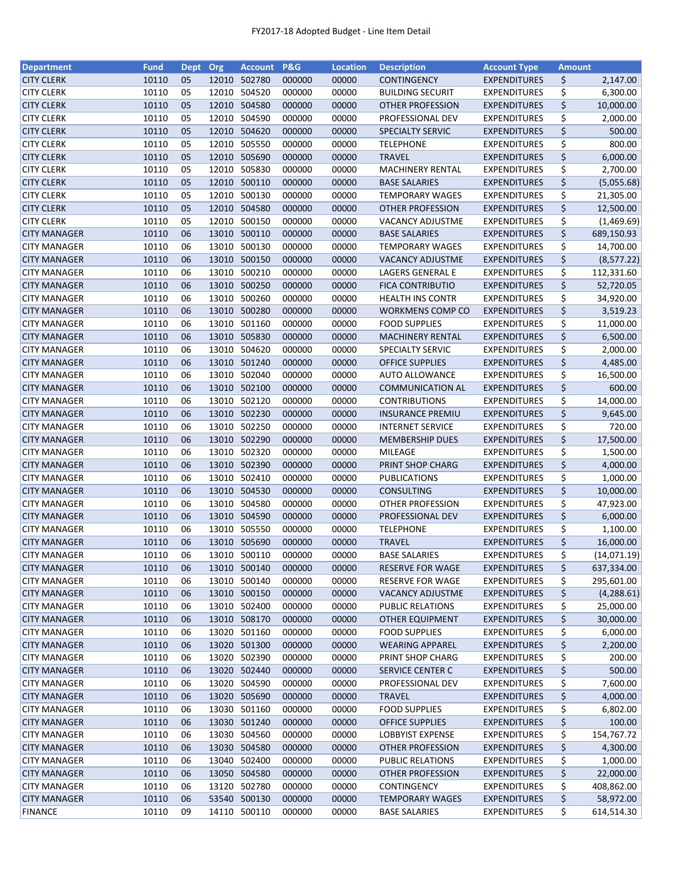| <b>Department</b>   | <b>Fund</b> | <b>Dept</b> | <b>Org</b> | <b>Account</b> | <b>P&amp;G</b> | <b>Location</b> | <b>Description</b>      | <b>Account Type</b> | <b>Amount</b> |             |
|---------------------|-------------|-------------|------------|----------------|----------------|-----------------|-------------------------|---------------------|---------------|-------------|
| <b>CITY CLERK</b>   | 10110       | 05          | 12010      | 502780         | 000000         | 00000           | <b>CONTINGENCY</b>      | <b>EXPENDITURES</b> | \$            | 2,147.00    |
| <b>CITY CLERK</b>   | 10110       | 05          | 12010      | 504520         | 000000         | 00000           | <b>BUILDING SECURIT</b> | <b>EXPENDITURES</b> | \$            | 6,300.00    |
| <b>CITY CLERK</b>   | 10110       | 05          | 12010      | 504580         | 000000         | 00000           | <b>OTHER PROFESSION</b> | <b>EXPENDITURES</b> | \$            | 10,000.00   |
| <b>CITY CLERK</b>   | 10110       | 05          |            | 12010 504590   | 000000         | 00000           | PROFESSIONAL DEV        | <b>EXPENDITURES</b> | \$            | 2,000.00    |
| <b>CITY CLERK</b>   | 10110       | 05          |            | 12010 504620   | 000000         | 00000           | SPECIALTY SERVIC        | <b>EXPENDITURES</b> | \$            | 500.00      |
| <b>CITY CLERK</b>   | 10110       | 05          |            | 12010 505550   | 000000         | 00000           | <b>TELEPHONE</b>        | <b>EXPENDITURES</b> | \$            | 800.00      |
| <b>CITY CLERK</b>   | 10110       | 05          |            | 12010 505690   | 000000         | 00000           | <b>TRAVEL</b>           | <b>EXPENDITURES</b> | \$            | 6,000.00    |
| <b>CITY CLERK</b>   | 10110       | 05          |            | 12010 505830   | 000000         | 00000           | <b>MACHINERY RENTAL</b> | <b>EXPENDITURES</b> | \$            | 2,700.00    |
| <b>CITY CLERK</b>   | 10110       | 05          |            | 12010 500110   | 000000         | 00000           | <b>BASE SALARIES</b>    | <b>EXPENDITURES</b> | \$            | (5,055.68)  |
| <b>CITY CLERK</b>   | 10110       | 05          |            | 12010 500130   | 000000         | 00000           | <b>TEMPORARY WAGES</b>  | <b>EXPENDITURES</b> | \$            | 21,305.00   |
| <b>CITY CLERK</b>   | 10110       | 05          |            | 12010 504580   | 000000         | 00000           | OTHER PROFESSION        | <b>EXPENDITURES</b> | \$            | 12,500.00   |
| <b>CITY CLERK</b>   | 10110       | 05          |            | 12010 500150   | 000000         | 00000           | VACANCY ADJUSTME        | <b>EXPENDITURES</b> | \$            | (1,469.69)  |
| <b>CITY MANAGER</b> | 10110       | 06          | 13010      | 500110         | 000000         | 00000           | <b>BASE SALARIES</b>    | <b>EXPENDITURES</b> | \$            | 689,150.93  |
| <b>CITY MANAGER</b> | 10110       | 06          | 13010      | 500130         | 000000         | 00000           | <b>TEMPORARY WAGES</b>  | <b>EXPENDITURES</b> | \$            | 14,700.00   |
| <b>CITY MANAGER</b> | 10110       | 06          | 13010      | 500150         | 000000         | 00000           | <b>VACANCY ADJUSTME</b> | <b>EXPENDITURES</b> | \$            | (8, 577.22) |
| <b>CITY MANAGER</b> | 10110       | 06          | 13010      | 500210         | 000000         | 00000           | LAGERS GENERAL E        | <b>EXPENDITURES</b> | \$            | 112,331.60  |
| <b>CITY MANAGER</b> | 10110       | 06          |            | 13010 500250   | 000000         | 00000           | <b>FICA CONTRIBUTIO</b> | <b>EXPENDITURES</b> | \$            | 52,720.05   |
| <b>CITY MANAGER</b> | 10110       | 06          |            | 13010 500260   | 000000         | 00000           | <b>HEALTH INS CONTR</b> | <b>EXPENDITURES</b> | \$            | 34,920.00   |
| <b>CITY MANAGER</b> | 10110       | 06          |            | 13010 500280   | 000000         | 00000           | WORKMENS COMP CO        | <b>EXPENDITURES</b> | \$            | 3,519.23    |
| <b>CITY MANAGER</b> | 10110       | 06          |            | 13010 501160   | 000000         | 00000           | <b>FOOD SUPPLIES</b>    | <b>EXPENDITURES</b> | \$            | 11,000.00   |
| <b>CITY MANAGER</b> | 10110       | 06          |            | 13010 505830   | 000000         | 00000           | <b>MACHINERY RENTAL</b> | <b>EXPENDITURES</b> | \$            | 6,500.00    |
| <b>CITY MANAGER</b> | 10110       | 06          |            | 13010 504620   | 000000         | 00000           | SPECIALTY SERVIC        | <b>EXPENDITURES</b> | \$            | 2,000.00    |
| <b>CITY MANAGER</b> | 10110       | 06          |            | 13010 501240   | 000000         | 00000           | <b>OFFICE SUPPLIES</b>  | <b>EXPENDITURES</b> | \$            | 4,485.00    |
| <b>CITY MANAGER</b> | 10110       | 06          |            | 13010 502040   | 000000         | 00000           | <b>AUTO ALLOWANCE</b>   | <b>EXPENDITURES</b> | \$            | 16,500.00   |
| <b>CITY MANAGER</b> | 10110       | 06          |            | 13010 502100   | 000000         | 00000           | <b>COMMUNICATION AL</b> | <b>EXPENDITURES</b> | \$            | 600.00      |
| <b>CITY MANAGER</b> | 10110       | 06          | 13010      | 502120         | 000000         | 00000           | <b>CONTRIBUTIONS</b>    | <b>EXPENDITURES</b> | \$            | 14,000.00   |
| <b>CITY MANAGER</b> | 10110       | 06          | 13010      | 502230         | 000000         | 00000           | <b>INSURANCE PREMIU</b> | <b>EXPENDITURES</b> | \$            | 9,645.00    |
| <b>CITY MANAGER</b> | 10110       | 06          | 13010      | 502250         | 000000         | 00000           | <b>INTERNET SERVICE</b> | <b>EXPENDITURES</b> | \$            | 720.00      |
| <b>CITY MANAGER</b> | 10110       | 06          |            | 13010 502290   | 000000         | 00000           | <b>MEMBERSHIP DUES</b>  | <b>EXPENDITURES</b> | \$            | 17,500.00   |
| <b>CITY MANAGER</b> | 10110       | 06          |            | 13010 502320   | 000000         | 00000           | MILEAGE                 | <b>EXPENDITURES</b> | \$            | 1,500.00    |
| <b>CITY MANAGER</b> | 10110       | 06          |            | 13010 502390   | 000000         | 00000           | PRINT SHOP CHARG        | <b>EXPENDITURES</b> | \$            | 4,000.00    |
| <b>CITY MANAGER</b> | 10110       | 06          |            | 13010 502410   | 000000         | 00000           | <b>PUBLICATIONS</b>     | <b>EXPENDITURES</b> | \$            | 1,000.00    |
| <b>CITY MANAGER</b> | 10110       | 06          |            | 13010 504530   | 000000         | 00000           | <b>CONSULTING</b>       | <b>EXPENDITURES</b> | \$            | 10,000.00   |
| <b>CITY MANAGER</b> | 10110       | 06          |            | 13010 504580   | 000000         | 00000           | OTHER PROFESSION        | <b>EXPENDITURES</b> | \$            | 47,923.00   |
| <b>CITY MANAGER</b> | 10110       | 06          |            | 13010 504590   | 000000         | 00000           | PROFESSIONAL DEV        | <b>EXPENDITURES</b> | \$            | 6,000.00    |
| <b>CITY MANAGER</b> | 10110       | 06          |            | 13010 505550   | 000000         | 00000           | <b>TELEPHONE</b>        | <b>EXPENDITURES</b> | \$            | 1,100.00    |
| <b>CITY MANAGER</b> | 10110       | 06          |            | 13010 505690   | 000000         | 00000           | <b>TRAVEL</b>           | <b>EXPENDITURES</b> | \$            | 16,000.00   |
| <b>CITY MANAGER</b> | 10110       | 06          |            | 13010 500110   | 000000         | 00000           | <b>BASE SALARIES</b>    | <b>EXPENDITURES</b> | \$            | (14,071.19) |
| <b>CITY MANAGER</b> | 10110       | 06          |            | 13010 500140   | 000000         | 00000           | <b>RESERVE FOR WAGE</b> | <b>EXPENDITURES</b> | \$            | 637,334.00  |
| <b>CITY MANAGER</b> | 10110       | 06          | 13010      | 500140         | 000000         | 00000           | RESERVE FOR WAGE        | <b>EXPENDITURES</b> | \$            | 295,601.00  |
| <b>CITY MANAGER</b> | 10110       | 06          |            | 13010 500150   | 000000         | 00000           | <b>VACANCY ADJUSTME</b> | <b>EXPENDITURES</b> | \$            | (4, 288.61) |
| <b>CITY MANAGER</b> | 10110       | 06          |            | 13010 502400   | 000000         | 00000           | PUBLIC RELATIONS        | <b>EXPENDITURES</b> | \$            | 25,000.00   |
| <b>CITY MANAGER</b> | 10110       | 06          |            | 13010 508170   | 000000         | 00000           | <b>OTHER EQUIPMENT</b>  | <b>EXPENDITURES</b> | \$            | 30,000.00   |
| <b>CITY MANAGER</b> | 10110       | 06          |            | 13020 501160   | 000000         | 00000           | <b>FOOD SUPPLIES</b>    | <b>EXPENDITURES</b> | \$            | 6,000.00    |
| <b>CITY MANAGER</b> | 10110       | 06          |            | 13020 501300   | 000000         | 00000           | <b>WEARING APPAREL</b>  | <b>EXPENDITURES</b> | \$            | 2,200.00    |
| <b>CITY MANAGER</b> | 10110       | 06          |            | 13020 502390   | 000000         | 00000           | PRINT SHOP CHARG        | <b>EXPENDITURES</b> | \$            | 200.00      |
| <b>CITY MANAGER</b> | 10110       | 06          |            | 13020 502440   | 000000         | 00000           | SERVICE CENTER C        | <b>EXPENDITURES</b> | \$            | 500.00      |
| <b>CITY MANAGER</b> | 10110       | 06          |            | 13020 504590   | 000000         | 00000           | PROFESSIONAL DEV        | <b>EXPENDITURES</b> | \$            | 7,600.00    |
| <b>CITY MANAGER</b> | 10110       | 06          |            | 13020 505690   | 000000         | 00000           | <b>TRAVEL</b>           | <b>EXPENDITURES</b> | \$            | 4,000.00    |
| <b>CITY MANAGER</b> | 10110       | 06          |            | 13030 501160   | 000000         | 00000           | <b>FOOD SUPPLIES</b>    | <b>EXPENDITURES</b> | \$            | 6,802.00    |
| <b>CITY MANAGER</b> | 10110       | 06          |            | 13030 501240   | 000000         | 00000           | <b>OFFICE SUPPLIES</b>  | <b>EXPENDITURES</b> | \$            | 100.00      |
| <b>CITY MANAGER</b> | 10110       | 06          | 13030      | 504560         | 000000         | 00000           | <b>LOBBYIST EXPENSE</b> | <b>EXPENDITURES</b> | \$            | 154,767.72  |
| <b>CITY MANAGER</b> | 10110       | 06          |            | 13030 504580   | 000000         | 00000           | <b>OTHER PROFESSION</b> | <b>EXPENDITURES</b> | \$            | 4,300.00    |
| <b>CITY MANAGER</b> | 10110       | 06          |            | 13040 502400   | 000000         | 00000           | PUBLIC RELATIONS        | <b>EXPENDITURES</b> | \$            | 1,000.00    |
| <b>CITY MANAGER</b> | 10110       | 06          |            | 13050 504580   | 000000         | 00000           | OTHER PROFESSION        | <b>EXPENDITURES</b> | \$            | 22,000.00   |
| <b>CITY MANAGER</b> | 10110       | 06          |            | 13120 502780   | 000000         | 00000           | <b>CONTINGENCY</b>      | <b>EXPENDITURES</b> | \$            | 408,862.00  |
| <b>CITY MANAGER</b> | 10110       | 06          |            | 53540 500130   | 000000         | 00000           | <b>TEMPORARY WAGES</b>  | <b>EXPENDITURES</b> | \$            | 58,972.00   |
| <b>FINANCE</b>      | 10110       | 09          |            | 14110 500110   | 000000         | 00000           | <b>BASE SALARIES</b>    | <b>EXPENDITURES</b> | \$            | 614,514.30  |
|                     |             |             |            |                |                |                 |                         |                     |               |             |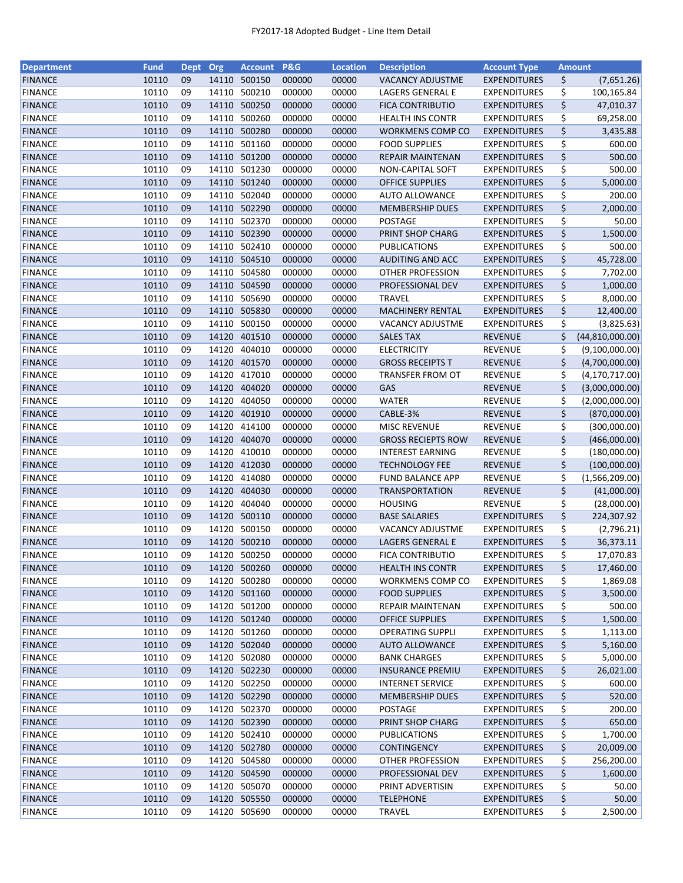| <b>Department</b> | <b>Fund</b>    | Dept     | Org            | Account          | <b>P&amp;G</b>   | <b>Location</b> | <b>Description</b>                               | <b>Account Type</b>              |          | <b>Amount</b>     |
|-------------------|----------------|----------|----------------|------------------|------------------|-----------------|--------------------------------------------------|----------------------------------|----------|-------------------|
| <b>FINANCE</b>    | 10110          | 09       | 14110          | 500150           | 000000           | 00000           | <b>VACANCY ADJUSTME</b>                          | <b>EXPENDITURES</b>              | \$       | (7,651.26)        |
| <b>FINANCE</b>    | 10110          | 09       | 14110          | 500210           | 000000           | 00000           | LAGERS GENERAL E                                 | <b>EXPENDITURES</b>              | \$       | 100,165.84        |
| <b>FINANCE</b>    | 10110          | 09       | 14110          | 500250           | 000000           | 00000           | <b>FICA CONTRIBUTIO</b>                          | <b>EXPENDITURES</b>              | \$       | 47,010.37         |
| <b>FINANCE</b>    | 10110          | 09       | 14110          | 500260           | 000000           | 00000           | <b>HEALTH INS CONTR</b>                          | <b>EXPENDITURES</b>              | \$       | 69,258.00         |
| <b>FINANCE</b>    | 10110          | 09       |                | 14110 500280     | 000000           | 00000           | WORKMENS COMP CO                                 | <b>EXPENDITURES</b>              | \$       | 3,435.88          |
| <b>FINANCE</b>    | 10110          | 09       | 14110          | 501160           | 000000           | 00000           | <b>FOOD SUPPLIES</b>                             | <b>EXPENDITURES</b>              | \$       | 600.00            |
| <b>FINANCE</b>    | 10110          | 09       | 14110          | 501200           | 000000           | 00000           | <b>REPAIR MAINTENAN</b>                          | <b>EXPENDITURES</b>              | \$       | 500.00            |
| <b>FINANCE</b>    | 10110          | 09       | 14110          | 501230           | 000000           | 00000           | NON-CAPITAL SOFT                                 | <b>EXPENDITURES</b>              | \$       | 500.00            |
| <b>FINANCE</b>    | 10110          | 09       | 14110          | 501240           | 000000           | 00000           | <b>OFFICE SUPPLIES</b>                           | <b>EXPENDITURES</b>              | \$       | 5,000.00          |
| <b>FINANCE</b>    | 10110          | 09       |                | 14110 502040     | 000000           | 00000           | <b>AUTO ALLOWANCE</b>                            | <b>EXPENDITURES</b>              | \$       | 200.00            |
| <b>FINANCE</b>    | 10110          | 09       |                | 14110 502290     | 000000           | 00000           | <b>MEMBERSHIP DUES</b>                           | <b>EXPENDITURES</b>              | \$       | 2,000.00          |
| <b>FINANCE</b>    | 10110          | 09       | 14110          | 502370           | 000000           | 00000           | POSTAGE                                          | <b>EXPENDITURES</b>              | \$       | 50.00             |
| <b>FINANCE</b>    | 10110          | 09       | 14110          | 502390           | 000000           | 00000           | PRINT SHOP CHARG                                 | <b>EXPENDITURES</b>              | \$       | 1,500.00          |
| <b>FINANCE</b>    | 10110          | 09       | 14110          | 502410           | 000000           | 00000           | PUBLICATIONS                                     | <b>EXPENDITURES</b>              | \$       | 500.00            |
| <b>FINANCE</b>    | 10110          | 09       | 14110          | 504510           | 000000           | 00000           | AUDITING AND ACC                                 | <b>EXPENDITURES</b>              | \$       | 45,728.00         |
| <b>FINANCE</b>    | 10110          | 09       | 14110          | 504580           | 000000           | 00000           | <b>OTHER PROFESSION</b>                          | <b>EXPENDITURES</b>              | \$       | 7,702.00          |
| <b>FINANCE</b>    | 10110          | 09       |                | 14110 504590     | 000000           | 00000           | PROFESSIONAL DEV                                 | <b>EXPENDITURES</b>              | \$       | 1,000.00          |
| <b>FINANCE</b>    | 10110          | 09       |                | 14110 505690     | 000000           | 00000           | <b>TRAVEL</b>                                    | <b>EXPENDITURES</b>              | \$       | 8,000.00          |
| <b>FINANCE</b>    | 10110          | 09       | 14110          | 505830           | 000000           | 00000           | <b>MACHINERY RENTAL</b>                          | <b>EXPENDITURES</b>              | \$       | 12,400.00         |
| <b>FINANCE</b>    | 10110          | 09       | 14110          | 500150           | 000000           | 00000           | VACANCY ADJUSTME                                 | <b>EXPENDITURES</b>              | \$       | (3,825.63)        |
| <b>FINANCE</b>    | 10110          | 09       | 14120          | 401510           | 000000           | 00000           | <b>SALES TAX</b>                                 | <b>REVENUE</b>                   | \$       | (44, 810, 000.00) |
| <b>FINANCE</b>    | 10110          | 09       | 14120          | 404010           | 000000           | 00000           | <b>ELECTRICITY</b>                               | <b>REVENUE</b>                   | \$       | (9,100,000.00)    |
| <b>FINANCE</b>    | 10110          | 09       |                | 14120 401570     | 000000           | 00000           | <b>GROSS RECEIPTS T</b>                          | <b>REVENUE</b>                   | \$       | (4,700,000.00)    |
| <b>FINANCE</b>    | 10110          | 09       | 14120          | 417010           | 000000           | 00000           | TRANSFER FROM OT                                 | <b>REVENUE</b>                   | \$       | (4, 170, 717.00)  |
| <b>FINANCE</b>    | 10110          | 09       | 14120          | 404020           | 000000           | 00000           | GAS                                              | <b>REVENUE</b>                   | \$       | (3,000,000.00)    |
| <b>FINANCE</b>    | 10110          | 09       | 14120          | 404050           | 000000           | 00000           | <b>WATER</b>                                     | <b>REVENUE</b>                   | \$       | (2,000,000.00)    |
| <b>FINANCE</b>    | 10110          | 09       | 14120          | 401910           | 000000           | 00000           | CABLE-3%                                         | <b>REVENUE</b>                   | \$       | (870,000.00)      |
| <b>FINANCE</b>    | 10110          | 09       | 14120          | 414100           | 000000           | 00000           | <b>MISC REVENUE</b>                              | <b>REVENUE</b>                   | \$       | (300,000.00)      |
| <b>FINANCE</b>    | 10110          | 09       | 14120          | 404070           | 000000           | 00000           | <b>GROSS RECIEPTS ROW</b>                        | <b>REVENUE</b>                   | \$       |                   |
|                   |                |          |                |                  |                  |                 |                                                  |                                  |          | (466,000.00)      |
| <b>FINANCE</b>    | 10110<br>10110 | 09<br>09 | 14120<br>14120 | 410010<br>412030 | 000000<br>000000 | 00000<br>00000  | <b>INTEREST EARNING</b><br><b>TECHNOLOGY FEE</b> | <b>REVENUE</b><br><b>REVENUE</b> | \$<br>\$ | (180,000.00)      |
| <b>FINANCE</b>    |                |          |                | 414080           |                  |                 |                                                  |                                  |          | (100,000.00)      |
| <b>FINANCE</b>    | 10110          | 09       | 14120          |                  | 000000           | 00000           | <b>FUND BALANCE APP</b>                          | <b>REVENUE</b>                   | \$       | (1,566,209.00)    |
| <b>FINANCE</b>    | 10110          | 09       | 14120          | 404030           | 000000           | 00000           | <b>TRANSPORTATION</b>                            | <b>REVENUE</b>                   | \$       | (41,000.00)       |
| <b>FINANCE</b>    | 10110          | 09       | 14120          | 404040           | 000000           | 00000           | <b>HOUSING</b>                                   | REVENUE                          | \$       | (28,000.00)       |
| <b>FINANCE</b>    | 10110          | 09       |                | 14120 500110     | 000000           | 00000           | <b>BASE SALARIES</b>                             | <b>EXPENDITURES</b>              | \$       | 224,307.92        |
| <b>FINANCE</b>    | 10110          | 09       |                | 14120 500150     | 000000           | 00000           | <b>VACANCY ADJUSTME</b>                          | <b>EXPENDITURES</b>              | \$       | (2,796.21)        |
| <b>FINANCE</b>    | 10110          | 09       |                | 14120 500210     | 000000           | 00000           | LAGERS GENERAL E                                 | <b>EXPENDITURES</b>              | \$       | 36,373.11         |
| <b>FINANCE</b>    | 10110          | 09       |                | 14120 500250     | 000000           | 00000           | <b>FICA CONTRIBUTIO</b>                          | <b>EXPENDITURES</b>              | \$       | 17,070.83         |
| <b>FINANCE</b>    | 10110          | 09       |                | 14120 500260     | 000000           | 00000           | <b>HEALTH INS CONTR</b>                          | <b>EXPENDITURES</b>              | \$       | 17,460.00         |
| <b>FINANCE</b>    | 10110          | 09       | 14120          | 500280           | 000000           | 00000           | <b>WORKMENS COMP CO</b>                          | <b>EXPENDITURES</b>              | \$       | 1,869.08          |
| <b>FINANCE</b>    | 10110          | 09       |                | 14120 501160     | 000000           | 00000           | <b>FOOD SUPPLIES</b>                             | <b>EXPENDITURES</b>              | \$       | 3,500.00          |
| <b>FINANCE</b>    | 10110          | 09       |                | 14120 501200     | 000000           | 00000           | REPAIR MAINTENAN                                 | <b>EXPENDITURES</b>              | \$       | 500.00            |
| <b>FINANCE</b>    | 10110          | 09       |                | 14120 501240     | 000000           | 00000           | <b>OFFICE SUPPLIES</b>                           | <b>EXPENDITURES</b>              | \$       | 1,500.00          |
| <b>FINANCE</b>    | 10110          | 09       |                | 14120 501260     | 000000           | 00000           | <b>OPERATING SUPPLI</b>                          | <b>EXPENDITURES</b>              | \$       | 1,113.00          |
| <b>FINANCE</b>    | 10110          | 09       |                | 14120 502040     | 000000           | 00000           | <b>AUTO ALLOWANCE</b>                            | <b>EXPENDITURES</b>              | \$       | 5,160.00          |
| <b>FINANCE</b>    | 10110          | 09       |                | 14120 502080     | 000000           | 00000           | <b>BANK CHARGES</b>                              | <b>EXPENDITURES</b>              | \$       | 5,000.00          |
| <b>FINANCE</b>    | 10110          | 09       |                | 14120 502230     | 000000           | 00000           | <b>INSURANCE PREMIU</b>                          | <b>EXPENDITURES</b>              | \$       | 26,021.00         |
| <b>FINANCE</b>    | 10110          | 09       |                | 14120 502250     | 000000           | 00000           | <b>INTERNET SERVICE</b>                          | <b>EXPENDITURES</b>              | \$       | 600.00            |
| <b>FINANCE</b>    | 10110          | 09       |                | 14120 502290     | 000000           | 00000           | <b>MEMBERSHIP DUES</b>                           | <b>EXPENDITURES</b>              | \$       | 520.00            |
| <b>FINANCE</b>    | 10110          | 09       |                | 14120 502370     | 000000           | 00000           | POSTAGE                                          | <b>EXPENDITURES</b>              | \$       | 200.00            |
| <b>FINANCE</b>    | 10110          | 09       |                | 14120 502390     | 000000           | 00000           | PRINT SHOP CHARG                                 | <b>EXPENDITURES</b>              | \$       | 650.00            |
| <b>FINANCE</b>    | 10110          | 09       | 14120          | 502410           | 000000           | 00000           | <b>PUBLICATIONS</b>                              | <b>EXPENDITURES</b>              | \$       | 1,700.00          |
| <b>FINANCE</b>    | 10110          | 09       |                | 14120 502780     | 000000           | 00000           | <b>CONTINGENCY</b>                               | <b>EXPENDITURES</b>              | \$       | 20,009.00         |
| <b>FINANCE</b>    | 10110          | 09       |                | 14120 504580     | 000000           | 00000           | OTHER PROFESSION                                 | <b>EXPENDITURES</b>              | \$       | 256,200.00        |
| <b>FINANCE</b>    | 10110          | 09       |                | 14120 504590     | 000000           | 00000           | PROFESSIONAL DEV                                 | <b>EXPENDITURES</b>              | \$       | 1,600.00          |
| <b>FINANCE</b>    | 10110          | 09       |                | 14120 505070     | 000000           | 00000           | PRINT ADVERTISIN                                 | <b>EXPENDITURES</b>              | \$       | 50.00             |
| <b>FINANCE</b>    | 10110          | 09       |                | 14120 505550     | 000000           | 00000           | <b>TELEPHONE</b>                                 | <b>EXPENDITURES</b>              | \$       | 50.00             |
| <b>FINANCE</b>    | 10110          | 09       |                | 14120 505690     | 000000           | 00000           | <b>TRAVEL</b>                                    | <b>EXPENDITURES</b>              | \$       | 2,500.00          |
|                   |                |          |                |                  |                  |                 |                                                  |                                  |          |                   |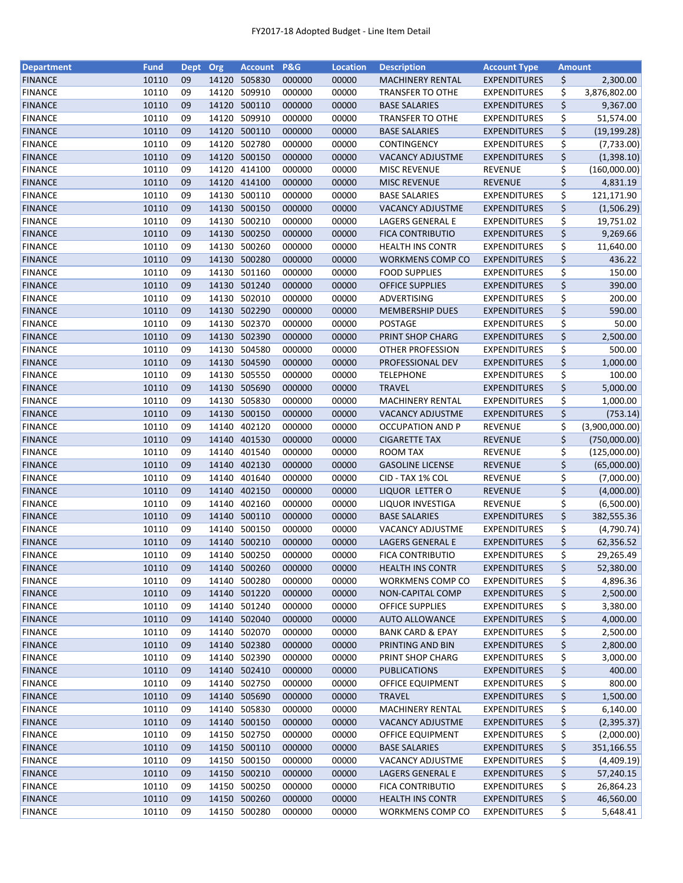| <b>Department</b> | <b>Fund</b> | Dept | Org   | <b>Account P&amp;G</b> |        | <b>Location</b> | <b>Description</b>                       | <b>Account Type</b>            | <b>Amount</b> |                |
|-------------------|-------------|------|-------|------------------------|--------|-----------------|------------------------------------------|--------------------------------|---------------|----------------|
| <b>FINANCE</b>    | 10110       | 09   | 14120 | 505830                 | 000000 | 00000           | <b>MACHINERY RENTAL</b>                  | <b>EXPENDITURES</b>            | \$            | 2,300.00       |
| <b>FINANCE</b>    | 10110       | 09   | 14120 | 509910                 | 000000 | 00000           | <b>TRANSFER TO OTHE</b>                  | <b>EXPENDITURES</b>            | \$            | 3,876,802.00   |
| <b>FINANCE</b>    | 10110       | 09   | 14120 | 500110                 | 000000 | 00000           | <b>BASE SALARIES</b>                     | <b>EXPENDITURES</b>            | \$            | 9,367.00       |
| <b>FINANCE</b>    | 10110       | 09   | 14120 | 509910                 | 000000 | 00000           | <b>TRANSFER TO OTHE</b>                  | <b>EXPENDITURES</b>            | \$            | 51,574.00      |
| <b>FINANCE</b>    | 10110       | 09   |       | 14120 500110           | 000000 | 00000           | <b>BASE SALARIES</b>                     | <b>EXPENDITURES</b>            | \$            | (19, 199.28)   |
| <b>FINANCE</b>    | 10110       | 09   | 14120 | 502780                 | 000000 | 00000           | CONTINGENCY                              | <b>EXPENDITURES</b>            | \$            | (7, 733.00)    |
| <b>FINANCE</b>    | 10110       | 09   | 14120 | 500150                 | 000000 | 00000           | <b>VACANCY ADJUSTME</b>                  | <b>EXPENDITURES</b>            | \$            | (1,398.10)     |
| <b>FINANCE</b>    | 10110       | 09   | 14120 | 414100                 | 000000 | 00000           | <b>MISC REVENUE</b>                      | REVENUE                        | \$            | (160,000.00)   |
| <b>FINANCE</b>    | 10110       | 09   | 14120 | 414100                 | 000000 | 00000           | <b>MISC REVENUE</b>                      | <b>REVENUE</b>                 | \$            | 4,831.19       |
| <b>FINANCE</b>    | 10110       | 09   | 14130 | 500110                 | 000000 | 00000           | <b>BASE SALARIES</b>                     | <b>EXPENDITURES</b>            | \$            | 121,171.90     |
| <b>FINANCE</b>    | 10110       | 09   |       | 14130 500150           | 000000 | 00000           | <b>VACANCY ADJUSTME</b>                  | <b>EXPENDITURES</b>            | \$            | (1,506.29)     |
| <b>FINANCE</b>    | 10110       | 09   | 14130 | 500210                 | 000000 | 00000           | LAGERS GENERAL E                         | <b>EXPENDITURES</b>            | \$            | 19,751.02      |
| <b>FINANCE</b>    | 10110       | 09   | 14130 | 500250                 | 000000 | 00000           | <b>FICA CONTRIBUTIO</b>                  | <b>EXPENDITURES</b>            | \$            | 9,269.66       |
| <b>FINANCE</b>    | 10110       | 09   | 14130 | 500260                 | 000000 | 00000           | <b>HEALTH INS CONTR</b>                  | <b>EXPENDITURES</b>            | \$            | 11,640.00      |
| <b>FINANCE</b>    | 10110       | 09   | 14130 | 500280                 | 000000 | 00000           | <b>WORKMENS COMP CO</b>                  | <b>EXPENDITURES</b>            | \$            | 436.22         |
| <b>FINANCE</b>    | 10110       | 09   | 14130 | 501160                 | 000000 | 00000           | <b>FOOD SUPPLIES</b>                     | <b>EXPENDITURES</b>            | \$            | 150.00         |
| <b>FINANCE</b>    | 10110       | 09   |       | 14130 501240           | 000000 | 00000           | <b>OFFICE SUPPLIES</b>                   | <b>EXPENDITURES</b>            | \$            | 390.00         |
| <b>FINANCE</b>    | 10110       | 09   |       | 14130 502010           | 000000 | 00000           | ADVERTISING                              | <b>EXPENDITURES</b>            | \$            | 200.00         |
| <b>FINANCE</b>    | 10110       | 09   |       | 14130 502290           | 000000 | 00000           | <b>MEMBERSHIP DUES</b>                   | <b>EXPENDITURES</b>            | \$            | 590.00         |
| <b>FINANCE</b>    | 10110       | 09   | 14130 | 502370                 | 000000 | 00000           | <b>POSTAGE</b>                           | <b>EXPENDITURES</b>            | \$            | 50.00          |
| <b>FINANCE</b>    | 10110       | 09   | 14130 | 502390                 | 000000 | 00000           | PRINT SHOP CHARG                         | <b>EXPENDITURES</b>            | \$            | 2,500.00       |
| <b>FINANCE</b>    | 10110       | 09   | 14130 | 504580                 | 000000 | 00000           | OTHER PROFESSION                         | <b>EXPENDITURES</b>            | \$            | 500.00         |
| <b>FINANCE</b>    | 10110       | 09   |       | 14130 504590           | 000000 | 00000           | PROFESSIONAL DEV                         | <b>EXPENDITURES</b>            | \$            | 1,000.00       |
| <b>FINANCE</b>    | 10110       | 09   | 14130 | 505550                 | 000000 | 00000           | <b>TELEPHONE</b>                         | EXPENDITURES                   | \$            | 100.00         |
| <b>FINANCE</b>    | 10110       | 09   | 14130 | 505690                 | 000000 | 00000           | <b>TRAVEL</b>                            | <b>EXPENDITURES</b>            | \$            | 5,000.00       |
| <b>FINANCE</b>    | 10110       | 09   | 14130 | 505830                 | 000000 | 00000           | <b>MACHINERY RENTAL</b>                  | <b>EXPENDITURES</b>            | \$            | 1,000.00       |
| <b>FINANCE</b>    | 10110       | 09   | 14130 | 500150                 | 000000 | 00000           | <b>VACANCY ADJUSTME</b>                  | <b>EXPENDITURES</b>            | \$            | (753.14)       |
| <b>FINANCE</b>    | 10110       | 09   | 14140 | 402120                 | 000000 | 00000           | <b>OCCUPATION AND P</b>                  | <b>REVENUE</b>                 | \$            | (3,900,000.00) |
| <b>FINANCE</b>    | 10110       | 09   | 14140 | 401530                 | 000000 | 00000           | <b>CIGARETTE TAX</b>                     | <b>REVENUE</b>                 | \$            | (750,000.00)   |
| <b>FINANCE</b>    | 10110       | 09   | 14140 | 401540                 | 000000 | 00000           | ROOM TAX                                 | <b>REVENUE</b>                 | \$            | (125,000.00)   |
| <b>FINANCE</b>    | 10110       | 09   | 14140 | 402130                 | 000000 | 00000           | <b>GASOLINE LICENSE</b>                  | <b>REVENUE</b>                 | \$            | (65,000.00)    |
| <b>FINANCE</b>    | 10110       | 09   | 14140 | 401640                 | 000000 | 00000           | CID - TAX 1% COL                         | <b>REVENUE</b>                 | \$            |                |
| <b>FINANCE</b>    | 10110       | 09   | 14140 | 402150                 | 000000 | 00000           | LIQUOR LETTER O                          |                                | \$            | (7,000.00)     |
|                   | 10110       | 09   | 14140 | 402160                 | 000000 | 00000           |                                          | <b>REVENUE</b>                 | \$            | (4,000.00)     |
| <b>FINANCE</b>    | 10110       | 09   | 14140 | 500110                 | 000000 | 00000           | LIQUOR INVESTIGA<br><b>BASE SALARIES</b> | REVENUE<br><b>EXPENDITURES</b> | \$            | (6,500.00)     |
| <b>FINANCE</b>    |             |      |       |                        |        |                 |                                          |                                |               | 382,555.36     |
| <b>FINANCE</b>    | 10110       | 09   | 14140 | 500150                 | 000000 | 00000           | <b>VACANCY ADJUSTME</b>                  | <b>EXPENDITURES</b>            | \$            | (4,790.74)     |
| <b>FINANCE</b>    | 10110       | 09   | 14140 | 500210                 | 000000 | 00000           | LAGERS GENERAL E                         | <b>EXPENDITURES</b>            | \$            | 62,356.52      |
| <b>FINANCE</b>    | 10110       | 09   |       | 14140 500250           | 000000 | 00000           | <b>FICA CONTRIBUTIO</b>                  | <b>EXPENDITURES</b>            | \$            | 29,265.49      |
| <b>FINANCE</b>    | 10110       | 09   |       | 14140 500260           | 000000 | 00000           | <b>HEALTH INS CONTR</b>                  | <b>EXPENDITURES</b>            | \$            | 52,380.00      |
| <b>FINANCE</b>    | 10110       | 09   | 14140 | 500280                 | 000000 | 00000           | <b>WORKMENS COMP CO</b>                  | <b>EXPENDITURES</b>            | \$            | 4,896.36       |
| <b>FINANCE</b>    | 10110       | 09   |       | 14140 501220           | 000000 | 00000           | NON-CAPITAL COMP                         | <b>EXPENDITURES</b>            | \$            | 2,500.00       |
| <b>FINANCE</b>    | 10110       | 09   |       | 14140 501240           | 000000 | 00000           | <b>OFFICE SUPPLIES</b>                   | <b>EXPENDITURES</b>            | \$            | 3,380.00       |
| <b>FINANCE</b>    | 10110       | 09   |       | 14140 502040           | 000000 | 00000           | <b>AUTO ALLOWANCE</b>                    | <b>EXPENDITURES</b>            | \$            | 4,000.00       |
| <b>FINANCE</b>    | 10110       | 09   |       | 14140 502070           | 000000 | 00000           | <b>BANK CARD &amp; EPAY</b>              | <b>EXPENDITURES</b>            | \$            | 2,500.00       |
| <b>FINANCE</b>    | 10110       | 09   |       | 14140 502380           | 000000 | 00000           | PRINTING AND BIN                         | <b>EXPENDITURES</b>            | \$            | 2,800.00       |
| <b>FINANCE</b>    | 10110       | 09   |       | 14140 502390           | 000000 | 00000           | PRINT SHOP CHARG                         | <b>EXPENDITURES</b>            | \$            | 3,000.00       |
| <b>FINANCE</b>    | 10110       | 09   |       | 14140 502410           | 000000 | 00000           | <b>PUBLICATIONS</b>                      | <b>EXPENDITURES</b>            | \$            | 400.00         |
| <b>FINANCE</b>    | 10110       | 09   |       | 14140 502750           | 000000 | 00000           | OFFICE EQUIPMENT                         | <b>EXPENDITURES</b>            | \$            | 800.00         |
| <b>FINANCE</b>    | 10110       | 09   |       | 14140 505690           | 000000 | 00000           | <b>TRAVEL</b>                            | <b>EXPENDITURES</b>            | \$            | 1,500.00       |
| <b>FINANCE</b>    | 10110       | 09   |       | 14140 505830           | 000000 | 00000           | <b>MACHINERY RENTAL</b>                  | <b>EXPENDITURES</b>            | \$            | 6,140.00       |
| <b>FINANCE</b>    | 10110       | 09   |       | 14140 500150           | 000000 | 00000           | <b>VACANCY ADJUSTME</b>                  | <b>EXPENDITURES</b>            | \$            | (2, 395.37)    |
| <b>FINANCE</b>    | 10110       | 09   | 14150 | 502750                 | 000000 | 00000           | OFFICE EQUIPMENT                         | <b>EXPENDITURES</b>            | \$            | (2,000.00)     |
| <b>FINANCE</b>    | 10110       | 09   |       | 14150 500110           | 000000 | 00000           | <b>BASE SALARIES</b>                     | <b>EXPENDITURES</b>            | \$            | 351,166.55     |
| <b>FINANCE</b>    | 10110       | 09   |       | 14150 500150           | 000000 | 00000           | VACANCY ADJUSTME                         | <b>EXPENDITURES</b>            | \$            | (4,409.19)     |
| <b>FINANCE</b>    | 10110       | 09   |       | 14150 500210           | 000000 | 00000           | LAGERS GENERAL E                         | <b>EXPENDITURES</b>            | \$            | 57,240.15      |
| <b>FINANCE</b>    | 10110       | 09   |       | 14150 500250           | 000000 | 00000           | <b>FICA CONTRIBUTIO</b>                  | <b>EXPENDITURES</b>            | \$            | 26,864.23      |
| <b>FINANCE</b>    | 10110       | 09   |       | 14150 500260           | 000000 | 00000           | <b>HEALTH INS CONTR</b>                  | <b>EXPENDITURES</b>            | \$            | 46,560.00      |
| <b>FINANCE</b>    | 10110       | 09   |       | 14150 500280           | 000000 | 00000           | <b>WORKMENS COMP CO</b>                  | <b>EXPENDITURES</b>            | \$            | 5,648.41       |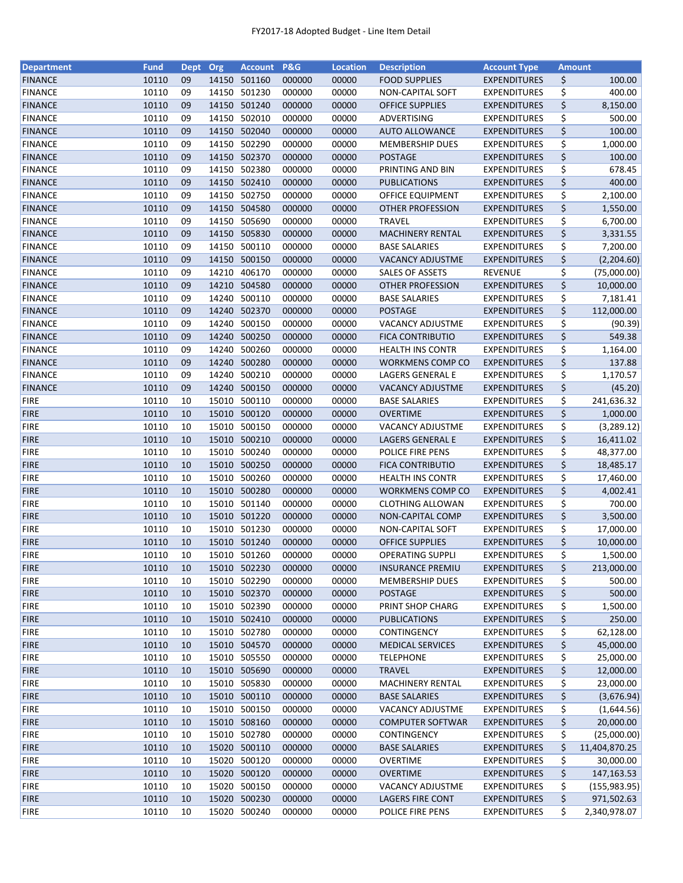| <b>Department</b> | <b>Fund</b> | <b>Dept</b> | Org   | <b>Account</b> | <b>P&amp;G</b> | <b>Location</b> | <b>Description</b>      | <b>Account Type</b> | <b>Amount</b> |               |
|-------------------|-------------|-------------|-------|----------------|----------------|-----------------|-------------------------|---------------------|---------------|---------------|
| <b>FINANCE</b>    | 10110       | 09          |       | 14150 501160   | 000000         | 00000           | <b>FOOD SUPPLIES</b>    | <b>EXPENDITURES</b> | \$            | 100.00        |
| <b>FINANCE</b>    | 10110       | 09          | 14150 | 501230         | 000000         | 00000           | NON-CAPITAL SOFT        | <b>EXPENDITURES</b> | \$            | 400.00        |
| <b>FINANCE</b>    | 10110       | 09          | 14150 | 501240         | 000000         | 00000           | <b>OFFICE SUPPLIES</b>  | <b>EXPENDITURES</b> | \$            | 8,150.00      |
| <b>FINANCE</b>    | 10110       | 09          | 14150 | 502010         | 000000         | 00000           | ADVERTISING             | <b>EXPENDITURES</b> | \$            | 500.00        |
| <b>FINANCE</b>    | 10110       | 09          |       | 14150 502040   | 000000         | 00000           | <b>AUTO ALLOWANCE</b>   | <b>EXPENDITURES</b> | \$            | 100.00        |
| <b>FINANCE</b>    | 10110       | 09          |       | 14150 502290   | 000000         | 00000           | <b>MEMBERSHIP DUES</b>  | <b>EXPENDITURES</b> | \$            | 1,000.00      |
| <b>FINANCE</b>    | 10110       | 09          |       | 14150 502370   | 000000         | 00000           | <b>POSTAGE</b>          | <b>EXPENDITURES</b> | \$            | 100.00        |
| <b>FINANCE</b>    | 10110       | 09          |       | 14150 502380   | 000000         | 00000           | PRINTING AND BIN        | <b>EXPENDITURES</b> | \$            | 678.45        |
| <b>FINANCE</b>    | 10110       | 09          |       | 14150 502410   | 000000         | 00000           | <b>PUBLICATIONS</b>     | <b>EXPENDITURES</b> | \$            | 400.00        |
| <b>FINANCE</b>    | 10110       | 09          |       | 14150 502750   | 000000         | 00000           | <b>OFFICE EQUIPMENT</b> | <b>EXPENDITURES</b> | \$            | 2,100.00      |
| <b>FINANCE</b>    | 10110       | 09          |       | 14150 504580   | 000000         | 00000           | OTHER PROFESSION        | <b>EXPENDITURES</b> | \$            | 1,550.00      |
| <b>FINANCE</b>    | 10110       | 09          |       | 14150 505690   | 000000         | 00000           | <b>TRAVEL</b>           | <b>EXPENDITURES</b> | \$            | 6,700.00      |
| <b>FINANCE</b>    | 10110       | 09          |       | 14150 505830   | 000000         | 00000           | <b>MACHINERY RENTAL</b> | <b>EXPENDITURES</b> | \$            | 3,331.55      |
| <b>FINANCE</b>    | 10110       | 09          | 14150 | 500110         | 000000         | 00000           | <b>BASE SALARIES</b>    | <b>EXPENDITURES</b> | \$            | 7,200.00      |
| <b>FINANCE</b>    | 10110       | 09          | 14150 | 500150         | 000000         | 00000           | <b>VACANCY ADJUSTME</b> | <b>EXPENDITURES</b> | \$            | (2,204.60)    |
| <b>FINANCE</b>    | 10110       | 09          | 14210 | 406170         | 000000         | 00000           | <b>SALES OF ASSETS</b>  | <b>REVENUE</b>      | \$            | (75,000.00)   |
| <b>FINANCE</b>    | 10110       | 09          |       | 14210 504580   | 000000         | 00000           | <b>OTHER PROFESSION</b> | <b>EXPENDITURES</b> | \$            | 10,000.00     |
| <b>FINANCE</b>    | 10110       | 09          | 14240 | 500110         | 000000         | 00000           | <b>BASE SALARIES</b>    | <b>EXPENDITURES</b> | \$            | 7,181.41      |
| <b>FINANCE</b>    | 10110       | 09          |       | 14240 502370   | 000000         | 00000           | <b>POSTAGE</b>          | <b>EXPENDITURES</b> | \$            | 112,000.00    |
| <b>FINANCE</b>    | 10110       | 09          |       | 14240 500150   | 000000         | 00000           | VACANCY ADJUSTME        | <b>EXPENDITURES</b> | \$            | (90.39)       |
| <b>FINANCE</b>    | 10110       | 09          | 14240 | 500250         | 000000         | 00000           | <b>FICA CONTRIBUTIO</b> | <b>EXPENDITURES</b> | \$            | 549.38        |
| <b>FINANCE</b>    | 10110       | 09          | 14240 | 500260         | 000000         | 00000           | <b>HEALTH INS CONTR</b> | <b>EXPENDITURES</b> | \$            | 1,164.00      |
| <b>FINANCE</b>    | 10110       | 09          |       | 14240 500280   | 000000         | 00000           | WORKMENS COMP CO        | <b>EXPENDITURES</b> | \$            | 137.88        |
| <b>FINANCE</b>    | 10110       | 09          | 14240 | 500210         | 000000         | 00000           | LAGERS GENERAL E        | <b>EXPENDITURES</b> | \$            | 1,170.57      |
| <b>FINANCE</b>    | 10110       | 09          |       | 14240 500150   | 000000         | 00000           | <b>VACANCY ADJUSTME</b> | <b>EXPENDITURES</b> | \$            | (45.20)       |
| <b>FIRE</b>       | 10110       | 10          | 15010 | 500110         | 000000         | 00000           | <b>BASE SALARIES</b>    | <b>EXPENDITURES</b> | \$            | 241,636.32    |
| <b>FIRE</b>       | 10110       | 10          | 15010 | 500120         | 000000         | 00000           | <b>OVERTIME</b>         | <b>EXPENDITURES</b> | \$            | 1,000.00      |
| <b>FIRE</b>       | 10110       | 10          | 15010 | 500150         | 000000         | 00000           | VACANCY ADJUSTME        | <b>EXPENDITURES</b> | \$            | (3, 289.12)   |
| <b>FIRE</b>       | 10110       | 10          | 15010 | 500210         | 000000         | 00000           | LAGERS GENERAL E        | <b>EXPENDITURES</b> | \$            | 16,411.02     |
| <b>FIRE</b>       | 10110       | 10          | 15010 | 500240         | 000000         | 00000           | POLICE FIRE PENS        | <b>EXPENDITURES</b> | \$            | 48,377.00     |
| <b>FIRE</b>       | 10110       | 10          |       | 15010 500250   | 000000         | 00000           | <b>FICA CONTRIBUTIO</b> | <b>EXPENDITURES</b> | \$            | 18,485.17     |
| <b>FIRE</b>       | 10110       | 10          |       | 15010 500260   | 000000         | 00000           | HEALTH INS CONTR        | <b>EXPENDITURES</b> | \$            | 17,460.00     |
| <b>FIRE</b>       | 10110       | 10          |       | 15010 500280   | 000000         | 00000           | WORKMENS COMP CO        | <b>EXPENDITURES</b> | \$            | 4,002.41      |
| <b>FIRE</b>       | 10110       | 10          |       | 15010 501140   | 000000         | 00000           | <b>CLOTHING ALLOWAN</b> | <b>EXPENDITURES</b> | \$            | 700.00        |
| <b>FIRE</b>       | 10110       | 10          |       | 15010 501220   | 000000         | 00000           | NON-CAPITAL COMP        | <b>EXPENDITURES</b> | \$            | 3,500.00      |
| <b>FIRE</b>       | 10110       | 10          |       | 15010 501230   | 000000         | 00000           | NON-CAPITAL SOFT        | <b>EXPENDITURES</b> | \$            | 17,000.00     |
| <b>FIRE</b>       | 10110       | 10          |       | 15010 501240   | 000000         | 00000           | <b>OFFICE SUPPLIES</b>  | <b>EXPENDITURES</b> | \$            | 10,000.00     |
| <b>FIRE</b>       | 10110       | 10          |       | 15010 501260   | 000000         | 00000           | <b>OPERATING SUPPLI</b> | <b>EXPENDITURES</b> | \$            | 1,500.00      |
| <b>FIRE</b>       | 10110       | 10          |       | 15010 502230   | 000000         | 00000           | <b>INSURANCE PREMIU</b> | <b>EXPENDITURES</b> | \$            | 213,000.00    |
| <b>FIRE</b>       | 10110       | 10          |       | 15010 502290   | 000000         | 00000           | <b>MEMBERSHIP DUES</b>  | <b>EXPENDITURES</b> | \$            | 500.00        |
| <b>FIRE</b>       | 10110       | 10          |       | 15010 502370   | 000000         | 00000           | <b>POSTAGE</b>          | <b>EXPENDITURES</b> | \$            | 500.00        |
| <b>FIRE</b>       | 10110       | 10          |       | 15010 502390   | 000000         | 00000           | PRINT SHOP CHARG        | <b>EXPENDITURES</b> | \$            | 1,500.00      |
| <b>FIRE</b>       | 10110       | 10          |       | 15010 502410   | 000000         | 00000           | <b>PUBLICATIONS</b>     | <b>EXPENDITURES</b> | \$            | 250.00        |
| <b>FIRE</b>       | 10110       | 10          |       | 15010 502780   | 000000         | 00000           | CONTINGENCY             | <b>EXPENDITURES</b> | \$            | 62,128.00     |
| <b>FIRE</b>       | 10110       | 10          |       | 15010 504570   | 000000         | 00000           | <b>MEDICAL SERVICES</b> | <b>EXPENDITURES</b> | \$            | 45,000.00     |
| <b>FIRE</b>       | 10110       | 10          |       | 15010 505550   | 000000         | 00000           | <b>TELEPHONE</b>        | <b>EXPENDITURES</b> | \$            | 25,000.00     |
| <b>FIRE</b>       | 10110       | 10          |       | 15010 505690   | 000000         | 00000           | <b>TRAVEL</b>           | <b>EXPENDITURES</b> | \$            | 12,000.00     |
| <b>FIRE</b>       | 10110       | 10          |       | 15010 505830   | 000000         | 00000           | <b>MACHINERY RENTAL</b> | <b>EXPENDITURES</b> | \$            | 23,000.00     |
| <b>FIRE</b>       | 10110       | 10          |       | 15010 500110   | 000000         | 00000           | <b>BASE SALARIES</b>    | <b>EXPENDITURES</b> | \$            | (3,676.94)    |
| <b>FIRE</b>       | 10110       | 10          |       | 15010 500150   | 000000         | 00000           | <b>VACANCY ADJUSTME</b> | <b>EXPENDITURES</b> | \$            | (1,644.56)    |
| <b>FIRE</b>       | 10110       | 10          |       | 15010 508160   | 000000         | 00000           | <b>COMPUTER SOFTWAR</b> | <b>EXPENDITURES</b> | \$            | 20,000.00     |
| <b>FIRE</b>       | 10110       | 10          |       | 15010 502780   | 000000         | 00000           | CONTINGENCY             | <b>EXPENDITURES</b> | \$            | (25,000.00)   |
| <b>FIRE</b>       | 10110       | 10          |       | 15020 500110   | 000000         | 00000           | <b>BASE SALARIES</b>    | <b>EXPENDITURES</b> | \$            | 11,404,870.25 |
| <b>FIRE</b>       | 10110       | 10          |       | 15020 500120   | 000000         | 00000           | <b>OVERTIME</b>         | <b>EXPENDITURES</b> | \$            | 30,000.00     |
| <b>FIRE</b>       | 10110       | 10          |       | 15020 500120   | 000000         | 00000           | <b>OVERTIME</b>         | <b>EXPENDITURES</b> | \$            | 147,163.53    |
| <b>FIRE</b>       | 10110       | 10          |       | 15020 500150   | 000000         | 00000           | <b>VACANCY ADJUSTME</b> | <b>EXPENDITURES</b> | \$            | (155, 983.95) |
| <b>FIRE</b>       | 10110       | 10          |       | 15020 500230   | 000000         | 00000           | LAGERS FIRE CONT        | <b>EXPENDITURES</b> | \$            | 971,502.63    |
| <b>FIRE</b>       | 10110       | 10          |       | 15020 500240   | 000000         | 00000           | POLICE FIRE PENS        | <b>EXPENDITURES</b> | \$            | 2,340,978.07  |
|                   |             |             |       |                |                |                 |                         |                     |               |               |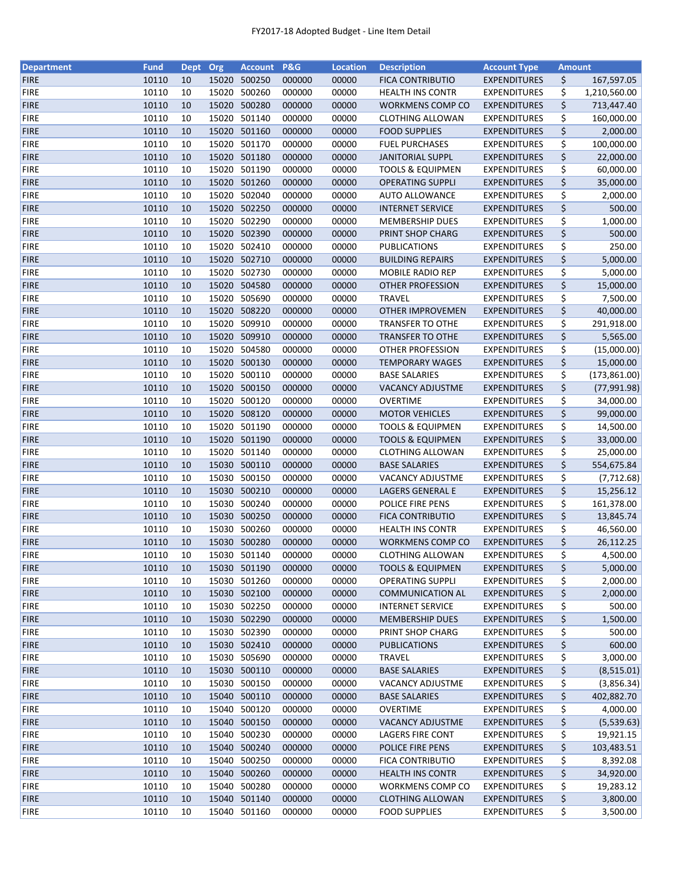| <b>Department</b> | <b>Fund</b> | Dept | Org   | <b>Account</b> | P&G    | <b>Location</b> | <b>Description</b>          | <b>Account Type</b> | <b>Amount</b> |               |
|-------------------|-------------|------|-------|----------------|--------|-----------------|-----------------------------|---------------------|---------------|---------------|
| <b>FIRE</b>       | 10110       | 10   | 15020 | 500250         | 000000 | 00000           | <b>FICA CONTRIBUTIO</b>     | <b>EXPENDITURES</b> | \$            | 167,597.05    |
| <b>FIRE</b>       | 10110       | 10   | 15020 | 500260         | 000000 | 00000           | <b>HEALTH INS CONTR</b>     | <b>EXPENDITURES</b> | \$            | 1,210,560.00  |
| <b>FIRE</b>       | 10110       | 10   | 15020 | 500280         | 000000 | 00000           | WORKMENS COMP CO            | <b>EXPENDITURES</b> | \$            | 713,447.40    |
| <b>FIRE</b>       | 10110       | 10   | 15020 | 501140         | 000000 | 00000           | <b>CLOTHING ALLOWAN</b>     | <b>EXPENDITURES</b> | \$            | 160,000.00    |
| <b>FIRE</b>       | 10110       | 10   |       | 15020 501160   | 000000 | 00000           | <b>FOOD SUPPLIES</b>        | <b>EXPENDITURES</b> | \$            | 2,000.00      |
| <b>FIRE</b>       | 10110       | 10   | 15020 | 501170         | 000000 | 00000           | <b>FUEL PURCHASES</b>       | <b>EXPENDITURES</b> | \$            | 100,000.00    |
| <b>FIRE</b>       | 10110       | 10   | 15020 | 501180         | 000000 | 00000           | <b>JANITORIAL SUPPL</b>     | <b>EXPENDITURES</b> | \$            | 22,000.00     |
| <b>FIRE</b>       | 10110       | 10   | 15020 | 501190         | 000000 | 00000           | <b>TOOLS &amp; EQUIPMEN</b> | <b>EXPENDITURES</b> | \$            | 60,000.00     |
| <b>FIRE</b>       | 10110       | 10   | 15020 | 501260         | 000000 | 00000           | <b>OPERATING SUPPLI</b>     | <b>EXPENDITURES</b> | \$            | 35,000.00     |
| <b>FIRE</b>       | 10110       | 10   |       | 15020 502040   | 000000 | 00000           | <b>AUTO ALLOWANCE</b>       | <b>EXPENDITURES</b> | \$            | 2,000.00      |
| <b>FIRE</b>       | 10110       | 10   |       | 15020 502250   | 000000 | 00000           | <b>INTERNET SERVICE</b>     | <b>EXPENDITURES</b> | \$            | 500.00        |
| <b>FIRE</b>       | 10110       | 10   | 15020 | 502290         | 000000 | 00000           | <b>MEMBERSHIP DUES</b>      | <b>EXPENDITURES</b> |               | 1,000.00      |
| <b>FIRE</b>       | 10110       | 10   | 15020 | 502390         | 000000 |                 |                             |                     | \$<br>\$      | 500.00        |
|                   |             |      |       |                |        | 00000           | PRINT SHOP CHARG            | <b>EXPENDITURES</b> |               |               |
| <b>FIRE</b>       | 10110       | 10   | 15020 | 502410         | 000000 | 00000           | PUBLICATIONS                | EXPENDITURES        | \$            | 250.00        |
| <b>FIRE</b>       | 10110       | 10   | 15020 | 502710         | 000000 | 00000           | <b>BUILDING REPAIRS</b>     | <b>EXPENDITURES</b> | \$            | 5,000.00      |
| <b>FIRE</b>       | 10110       | 10   | 15020 | 502730         | 000000 | 00000           | MOBILE RADIO REP            | <b>EXPENDITURES</b> | \$            | 5,000.00      |
| <b>FIRE</b>       | 10110       | 10   |       | 15020 504580   | 000000 | 00000           | OTHER PROFESSION            | <b>EXPENDITURES</b> | \$            | 15,000.00     |
| <b>FIRE</b>       | 10110       | 10   |       | 15020 505690   | 000000 | 00000           | <b>TRAVEL</b>               | <b>EXPENDITURES</b> | \$            | 7,500.00      |
| <b>FIRE</b>       | 10110       | 10   |       | 15020 508220   | 000000 | 00000           | <b>OTHER IMPROVEMEN</b>     | <b>EXPENDITURES</b> | \$            | 40,000.00     |
| <b>FIRE</b>       | 10110       | 10   | 15020 | 509910         | 000000 | 00000           | <b>TRANSFER TO OTHE</b>     | <b>EXPENDITURES</b> | \$            | 291,918.00    |
| <b>FIRE</b>       | 10110       | 10   | 15020 | 509910         | 000000 | 00000           | <b>TRANSFER TO OTHE</b>     | <b>EXPENDITURES</b> | \$            | 5,565.00      |
| <b>FIRE</b>       | 10110       | 10   |       | 15020 504580   | 000000 | 00000           | <b>OTHER PROFESSION</b>     | <b>EXPENDITURES</b> | \$            | (15,000.00)   |
| <b>FIRE</b>       | 10110       | 10   |       | 15020 500130   | 000000 | 00000           | <b>TEMPORARY WAGES</b>      | <b>EXPENDITURES</b> | \$            | 15,000.00     |
| <b>FIRE</b>       | 10110       | 10   | 15020 | 500110         | 000000 | 00000           | <b>BASE SALARIES</b>        | <b>EXPENDITURES</b> | \$            | (173, 861.00) |
| <b>FIRE</b>       | 10110       | 10   | 15020 | 500150         | 000000 | 00000           | <b>VACANCY ADJUSTME</b>     | <b>EXPENDITURES</b> | \$            | (77,991.98)   |
| <b>FIRE</b>       | 10110       | 10   | 15020 | 500120         | 000000 | 00000           | <b>OVERTIME</b>             | <b>EXPENDITURES</b> | \$            | 34,000.00     |
| <b>FIRE</b>       | 10110       | 10   | 15020 | 508120         | 000000 | 00000           | <b>MOTOR VEHICLES</b>       | <b>EXPENDITURES</b> | \$            | 99,000.00     |
| <b>FIRE</b>       | 10110       | 10   | 15020 | 501190         | 000000 | 00000           | <b>TOOLS &amp; EQUIPMEN</b> | <b>EXPENDITURES</b> | \$            | 14,500.00     |
| <b>FIRE</b>       | 10110       | 10   | 15020 | 501190         | 000000 | 00000           | <b>TOOLS &amp; EQUIPMEN</b> | <b>EXPENDITURES</b> | \$            | 33,000.00     |
| <b>FIRE</b>       | 10110       | 10   | 15020 | 501140         | 000000 | 00000           | <b>CLOTHING ALLOWAN</b>     | <b>EXPENDITURES</b> | \$            | 25,000.00     |
| <b>FIRE</b>       | 10110       | 10   | 15030 | 500110         | 000000 | 00000           | <b>BASE SALARIES</b>        | <b>EXPENDITURES</b> | \$            | 554,675.84    |
| <b>FIRE</b>       | 10110       | 10   | 15030 | 500150         | 000000 | 00000           | <b>VACANCY ADJUSTME</b>     | <b>EXPENDITURES</b> | \$            | (7, 712.68)   |
| <b>FIRE</b>       | 10110       | 10   | 15030 | 500210         | 000000 | 00000           | LAGERS GENERAL E            | <b>EXPENDITURES</b> | \$            | 15,256.12     |
| <b>FIRE</b>       | 10110       | 10   | 15030 | 500240         | 000000 | 00000           | POLICE FIRE PENS            | <b>EXPENDITURES</b> | \$            | 161,378.00    |
| <b>FIRE</b>       | 10110       | 10   |       | 15030 500250   | 000000 | 00000           | <b>FICA CONTRIBUTIO</b>     | <b>EXPENDITURES</b> | \$            | 13,845.74     |
| <b>FIRE</b>       | 10110       | 10   |       | 15030 500260   | 000000 | 00000           | <b>HEALTH INS CONTR</b>     | EXPENDITURES        | \$            | 46,560.00     |
|                   | 10110       |      |       | 15030 500280   |        |                 |                             |                     |               |               |
| <b>FIRE</b>       |             | 10   |       |                | 000000 | 00000           | <b>WORKMENS COMP CO</b>     | <b>EXPENDITURES</b> | \$            | 26,112.25     |
| <b>FIRE</b>       | 10110       | 10   |       | 15030 501140   | 000000 | 00000           | <b>CLOTHING ALLOWAN</b>     | <b>EXPENDITURES</b> | \$            | 4,500.00      |
| <b>FIRE</b>       | 10110       | 10   |       | 15030 501190   | 000000 | 00000           | <b>TOOLS &amp; EQUIPMEN</b> | <b>EXPENDITURES</b> | \$            | 5,000.00      |
| <b>FIRE</b>       | 10110       | 10   | 15030 | 501260         | 000000 | 00000           | <b>OPERATING SUPPLI</b>     | <b>EXPENDITURES</b> | \$            | 2,000.00      |
| <b>FIRE</b>       | 10110       | 10   |       | 15030 502100   | 000000 | 00000           | <b>COMMUNICATION AL</b>     | <b>EXPENDITURES</b> | \$            | 2,000.00      |
| <b>FIRE</b>       | 10110       | 10   |       | 15030 502250   | 000000 | 00000           | <b>INTERNET SERVICE</b>     | <b>EXPENDITURES</b> | \$            | 500.00        |
| <b>FIRE</b>       | 10110       | 10   |       | 15030 502290   | 000000 | 00000           | <b>MEMBERSHIP DUES</b>      | <b>EXPENDITURES</b> | \$            | 1,500.00      |
| <b>FIRE</b>       | 10110       | 10   |       | 15030 502390   | 000000 | 00000           | PRINT SHOP CHARG            | <b>EXPENDITURES</b> | \$            | 500.00        |
| <b>FIRE</b>       | 10110       | 10   |       | 15030 502410   | 000000 | 00000           | <b>PUBLICATIONS</b>         | <b>EXPENDITURES</b> | \$            | 600.00        |
| <b>FIRE</b>       | 10110       | 10   |       | 15030 505690   | 000000 | 00000           | <b>TRAVEL</b>               | <b>EXPENDITURES</b> | \$            | 3,000.00      |
| <b>FIRE</b>       | 10110       | 10   |       | 15030 500110   | 000000 | 00000           | <b>BASE SALARIES</b>        | <b>EXPENDITURES</b> | \$            | (8,515.01)    |
| <b>FIRE</b>       | 10110       | 10   |       | 15030 500150   | 000000 | 00000           | <b>VACANCY ADJUSTME</b>     | <b>EXPENDITURES</b> | \$            | (3,856.34)    |
| <b>FIRE</b>       | 10110       | 10   |       | 15040 500110   | 000000 | 00000           | <b>BASE SALARIES</b>        | <b>EXPENDITURES</b> | \$            | 402,882.70    |
| <b>FIRE</b>       | 10110       | 10   | 15040 | 500120         | 000000 | 00000           | OVERTIME                    | <b>EXPENDITURES</b> | \$            | 4,000.00      |
| <b>FIRE</b>       | 10110       | 10   | 15040 | 500150         | 000000 | 00000           | <b>VACANCY ADJUSTME</b>     | <b>EXPENDITURES</b> | \$            | (5,539.63)    |
| <b>FIRE</b>       | 10110       | 10   | 15040 | 500230         | 000000 | 00000           | LAGERS FIRE CONT            | <b>EXPENDITURES</b> | \$            | 19,921.15     |
| <b>FIRE</b>       | 10110       | 10   |       | 15040 500240   | 000000 | 00000           | POLICE FIRE PENS            | <b>EXPENDITURES</b> | \$            | 103,483.51    |
| <b>FIRE</b>       | 10110       | 10   | 15040 | 500250         | 000000 | 00000           | <b>FICA CONTRIBUTIO</b>     | <b>EXPENDITURES</b> | \$            | 8,392.08      |
| <b>FIRE</b>       | 10110       | 10   |       | 15040 500260   | 000000 | 00000           | <b>HEALTH INS CONTR</b>     | <b>EXPENDITURES</b> | \$            | 34,920.00     |
| <b>FIRE</b>       | 10110       | 10   |       | 15040 500280   | 000000 | 00000           | <b>WORKMENS COMP CO</b>     | <b>EXPENDITURES</b> | \$            | 19,283.12     |
| <b>FIRE</b>       | 10110       | 10   |       | 15040 501140   | 000000 | 00000           | <b>CLOTHING ALLOWAN</b>     | <b>EXPENDITURES</b> | \$            | 3,800.00      |
| <b>FIRE</b>       | 10110       | 10   |       | 15040 501160   | 000000 | 00000           | <b>FOOD SUPPLIES</b>        | <b>EXPENDITURES</b> | \$            | 3,500.00      |
|                   |             |      |       |                |        |                 |                             |                     |               |               |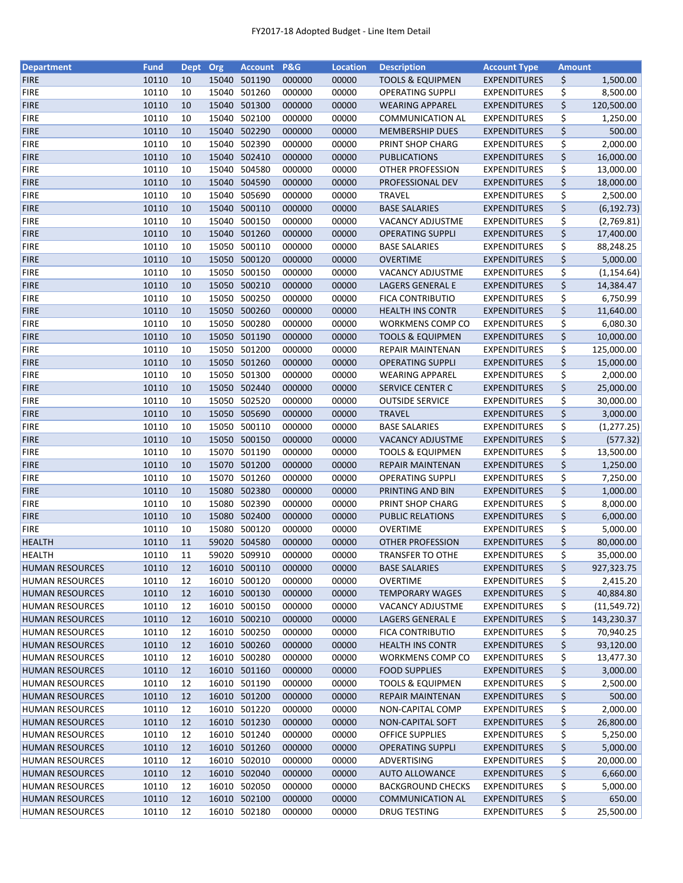| <b>Department</b>      | <b>Fund</b> | <b>Dept</b> | Org   | <b>Account</b> | P&G    | <b>Location</b> | <b>Description</b>          | <b>Account Type</b> | <b>Amount</b> |              |
|------------------------|-------------|-------------|-------|----------------|--------|-----------------|-----------------------------|---------------------|---------------|--------------|
| <b>FIRE</b>            | 10110       | 10          | 15040 | 501190         | 000000 | 00000           | <b>TOOLS &amp; EQUIPMEN</b> | <b>EXPENDITURES</b> | \$            | 1,500.00     |
| <b>FIRE</b>            | 10110       | 10          | 15040 | 501260         | 000000 | 00000           | <b>OPERATING SUPPLI</b>     | <b>EXPENDITURES</b> | \$            | 8,500.00     |
| <b>FIRE</b>            | 10110       | 10          |       | 15040 501300   | 000000 | 00000           | <b>WEARING APPAREL</b>      | <b>EXPENDITURES</b> | \$            | 120,500.00   |
| <b>FIRE</b>            | 10110       | 10          | 15040 | 502100         | 000000 | 00000           | COMMUNICATION AL            | EXPENDITURES        | \$            | 1,250.00     |
| <b>FIRE</b>            | 10110       | 10          |       | 15040 502290   | 000000 | 00000           | <b>MEMBERSHIP DUES</b>      | <b>EXPENDITURES</b> | \$            | 500.00       |
| <b>FIRE</b>            | 10110       | 10          |       | 15040 502390   | 000000 | 00000           | PRINT SHOP CHARG            | <b>EXPENDITURES</b> | \$            | 2,000.00     |
| <b>FIRE</b>            | 10110       | 10          | 15040 | 502410         | 000000 | 00000           | <b>PUBLICATIONS</b>         | <b>EXPENDITURES</b> | \$            | 16,000.00    |
| <b>FIRE</b>            | 10110       | 10          | 15040 | 504580         | 000000 | 00000           | OTHER PROFESSION            | <b>EXPENDITURES</b> | \$            | 13,000.00    |
| <b>FIRE</b>            | 10110       | 10          |       | 15040 504590   | 000000 | 00000           | PROFESSIONAL DEV            | <b>EXPENDITURES</b> | \$            | 18,000.00    |
| <b>FIRE</b>            | 10110       | 10          | 15040 | 505690         | 000000 | 00000           | TRAVEL                      | <b>EXPENDITURES</b> | \$            | 2,500.00     |
| <b>FIRE</b>            | 10110       | 10          |       | 15040 500110   | 000000 | 00000           | <b>BASE SALARIES</b>        | <b>EXPENDITURES</b> | \$            | (6, 192.73)  |
| <b>FIRE</b>            | 10110       | 10          | 15040 | 500150         | 000000 | 00000           | <b>VACANCY ADJUSTME</b>     | <b>EXPENDITURES</b> | \$            |              |
| <b>FIRE</b>            | 10110       | 10          | 15040 | 501260         | 000000 | 00000           |                             |                     | \$            | (2,769.81)   |
|                        |             |             |       |                |        |                 | <b>OPERATING SUPPLI</b>     | <b>EXPENDITURES</b> |               | 17,400.00    |
| <b>FIRE</b>            | 10110       | 10          | 15050 | 500110         | 000000 | 00000           | <b>BASE SALARIES</b>        | <b>EXPENDITURES</b> | \$            | 88,248.25    |
| <b>FIRE</b>            | 10110       | 10          | 15050 | 500120         | 000000 | 00000           | <b>OVERTIME</b>             | <b>EXPENDITURES</b> | \$            | 5,000.00     |
| <b>FIRE</b>            | 10110       | 10          |       | 15050 500150   | 000000 | 00000           | VACANCY ADJUSTME            | <b>EXPENDITURES</b> | \$            | (1, 154.64)  |
| <b>FIRE</b>            | 10110       | 10          |       | 15050 500210   | 000000 | 00000           | LAGERS GENERAL E            | <b>EXPENDITURES</b> | \$            | 14,384.47    |
| <b>FIRE</b>            | 10110       | 10          |       | 15050 500250   | 000000 | 00000           | <b>FICA CONTRIBUTIO</b>     | <b>EXPENDITURES</b> | \$            | 6,750.99     |
| <b>FIRE</b>            | 10110       | 10          |       | 15050 500260   | 000000 | 00000           | <b>HEALTH INS CONTR</b>     | <b>EXPENDITURES</b> | \$            | 11,640.00    |
| <b>FIRE</b>            | 10110       | 10          |       | 15050 500280   | 000000 | 00000           | WORKMENS COMP CO            | <b>EXPENDITURES</b> | \$            | 6,080.30     |
| <b>FIRE</b>            | 10110       | 10          |       | 15050 501190   | 000000 | 00000           | <b>TOOLS &amp; EQUIPMEN</b> | <b>EXPENDITURES</b> | \$            | 10,000.00    |
| <b>FIRE</b>            | 10110       | 10          |       | 15050 501200   | 000000 | 00000           | <b>REPAIR MAINTENAN</b>     | <b>EXPENDITURES</b> | \$            | 125,000.00   |
| <b>FIRE</b>            | 10110       | 10          |       | 15050 501260   | 000000 | 00000           | <b>OPERATING SUPPLI</b>     | <b>EXPENDITURES</b> | \$            | 15,000.00    |
| <b>FIRE</b>            | 10110       | 10          |       | 15050 501300   | 000000 | 00000           | <b>WEARING APPAREL</b>      | <b>EXPENDITURES</b> | \$            | 2,000.00     |
| <b>FIRE</b>            | 10110       | 10          |       | 15050 502440   | 000000 | 00000           | SERVICE CENTER C            | <b>EXPENDITURES</b> | \$            | 25,000.00    |
| <b>FIRE</b>            | 10110       | 10          | 15050 | 502520         | 000000 | 00000           | <b>OUTSIDE SERVICE</b>      | <b>EXPENDITURES</b> | \$            | 30,000.00    |
| <b>FIRE</b>            | 10110       | 10          | 15050 | 505690         | 000000 | 00000           | <b>TRAVEL</b>               | <b>EXPENDITURES</b> | \$            | 3,000.00     |
| <b>FIRE</b>            | 10110       | 10          | 15050 | 500110         | 000000 | 00000           | <b>BASE SALARIES</b>        | <b>EXPENDITURES</b> | \$            | (1, 277.25)  |
| <b>FIRE</b>            | 10110       | 10          |       | 15050 500150   | 000000 | 00000           | <b>VACANCY ADJUSTME</b>     | <b>EXPENDITURES</b> | \$            | (577.32)     |
| <b>FIRE</b>            | 10110       | 10          |       | 15070 501190   | 000000 | 00000           | <b>TOOLS &amp; EQUIPMEN</b> | <b>EXPENDITURES</b> | \$            | 13,500.00    |
| <b>FIRE</b>            | 10110       | 10          |       | 15070 501200   | 000000 | 00000           | <b>REPAIR MAINTENAN</b>     | <b>EXPENDITURES</b> | \$            | 1,250.00     |
| <b>FIRE</b>            | 10110       | 10          |       | 15070 501260   | 000000 | 00000           | <b>OPERATING SUPPLI</b>     | <b>EXPENDITURES</b> | \$            | 7,250.00     |
| <b>FIRE</b>            | 10110       | 10          |       | 15080 502380   | 000000 | 00000           | PRINTING AND BIN            | <b>EXPENDITURES</b> | \$            | 1,000.00     |
| <b>FIRE</b>            | 10110       | 10          |       | 15080 502390   | 000000 | 00000           | PRINT SHOP CHARG            | <b>EXPENDITURES</b> | \$            | 8,000.00     |
| <b>FIRE</b>            | 10110       | 10          |       | 15080 502400   | 000000 | 00000           | <b>PUBLIC RELATIONS</b>     | <b>EXPENDITURES</b> | \$            | 6,000.00     |
| <b>FIRE</b>            | 10110       | 10          |       | 15080 500120   | 000000 | 00000           | <b>OVERTIME</b>             | <b>EXPENDITURES</b> | \$            | 5,000.00     |
|                        |             |             |       | 59020 504580   |        |                 | <b>OTHER PROFESSION</b>     |                     |               |              |
| <b>HEALTH</b>          | 10110       | 11          |       |                | 000000 | 00000           |                             | <b>EXPENDITURES</b> | \$            | 80,000.00    |
| <b>HEALTH</b>          | 10110       | 11          |       | 59020 509910   | 000000 | 00000           | <b>TRANSFER TO OTHE</b>     | <b>EXPENDITURES</b> | \$            | 35,000.00    |
| <b>HUMAN RESOURCES</b> | 10110       | 12          |       | 16010 500110   | 000000 | 00000           | <b>BASE SALARIES</b>        | <b>EXPENDITURES</b> | \$            | 927,323.75   |
| <b>HUMAN RESOURCES</b> | 10110       | 12          | 16010 | 500120         | 000000 | 00000           | <b>OVERTIME</b>             | <b>EXPENDITURES</b> | \$            | 2,415.20     |
| <b>HUMAN RESOURCES</b> | 10110       | 12          |       | 16010 500130   | 000000 | 00000           | <b>TEMPORARY WAGES</b>      | <b>EXPENDITURES</b> | \$            | 40,884.80    |
| <b>HUMAN RESOURCES</b> | 10110       | 12          |       | 16010 500150   | 000000 | 00000           | VACANCY ADJUSTME            | <b>EXPENDITURES</b> | \$            | (11, 549.72) |
| <b>HUMAN RESOURCES</b> | 10110       | 12          |       | 16010 500210   | 000000 | 00000           | LAGERS GENERAL E            | <b>EXPENDITURES</b> | \$            | 143,230.37   |
| <b>HUMAN RESOURCES</b> | 10110       | 12          |       | 16010 500250   | 000000 | 00000           | <b>FICA CONTRIBUTIO</b>     | <b>EXPENDITURES</b> | \$            | 70,940.25    |
| <b>HUMAN RESOURCES</b> | 10110       | 12          |       | 16010 500260   | 000000 | 00000           | <b>HEALTH INS CONTR</b>     | <b>EXPENDITURES</b> | \$            | 93,120.00    |
| <b>HUMAN RESOURCES</b> | 10110       | 12          |       | 16010 500280   | 000000 | 00000           | WORKMENS COMP CO            | <b>EXPENDITURES</b> | \$            | 13,477.30    |
| <b>HUMAN RESOURCES</b> | 10110       | 12          |       | 16010 501160   | 000000 | 00000           | <b>FOOD SUPPLIES</b>        | <b>EXPENDITURES</b> | \$            | 3,000.00     |
| <b>HUMAN RESOURCES</b> | 10110       | 12          |       | 16010 501190   | 000000 | 00000           | <b>TOOLS &amp; EQUIPMEN</b> | <b>EXPENDITURES</b> | \$            | 2,500.00     |
| <b>HUMAN RESOURCES</b> | 10110       | 12          |       | 16010 501200   | 000000 | 00000           | <b>REPAIR MAINTENAN</b>     | <b>EXPENDITURES</b> | \$            | 500.00       |
| <b>HUMAN RESOURCES</b> | 10110       | 12          |       | 16010 501220   | 000000 | 00000           | NON-CAPITAL COMP            | <b>EXPENDITURES</b> | \$            | 2,000.00     |
| <b>HUMAN RESOURCES</b> | 10110       | 12          |       | 16010 501230   | 000000 | 00000           | NON-CAPITAL SOFT            | <b>EXPENDITURES</b> | \$            | 26,800.00    |
| <b>HUMAN RESOURCES</b> | 10110       | 12          |       | 16010 501240   | 000000 | 00000           | <b>OFFICE SUPPLIES</b>      | <b>EXPENDITURES</b> | \$            | 5,250.00     |
| <b>HUMAN RESOURCES</b> | 10110       | 12          |       | 16010 501260   | 000000 | 00000           | <b>OPERATING SUPPLI</b>     | <b>EXPENDITURES</b> | \$            | 5,000.00     |
| <b>HUMAN RESOURCES</b> | 10110       | 12          |       | 16010 502010   | 000000 | 00000           | ADVERTISING                 | <b>EXPENDITURES</b> | \$            | 20,000.00    |
| <b>HUMAN RESOURCES</b> | 10110       | 12          |       | 16010 502040   | 000000 | 00000           | <b>AUTO ALLOWANCE</b>       | <b>EXPENDITURES</b> | \$            | 6,660.00     |
| <b>HUMAN RESOURCES</b> | 10110       | 12          |       | 16010 502050   | 000000 | 00000           | <b>BACKGROUND CHECKS</b>    | <b>EXPENDITURES</b> | \$            | 5,000.00     |
| <b>HUMAN RESOURCES</b> | 10110       | 12          |       | 16010 502100   | 000000 | 00000           | <b>COMMUNICATION AL</b>     | <b>EXPENDITURES</b> | \$            | 650.00       |
| <b>HUMAN RESOURCES</b> | 10110       | 12          |       | 16010 502180   | 000000 | 00000           | <b>DRUG TESTING</b>         | <b>EXPENDITURES</b> | \$            | 25,500.00    |
|                        |             |             |       |                |        |                 |                             |                     |               |              |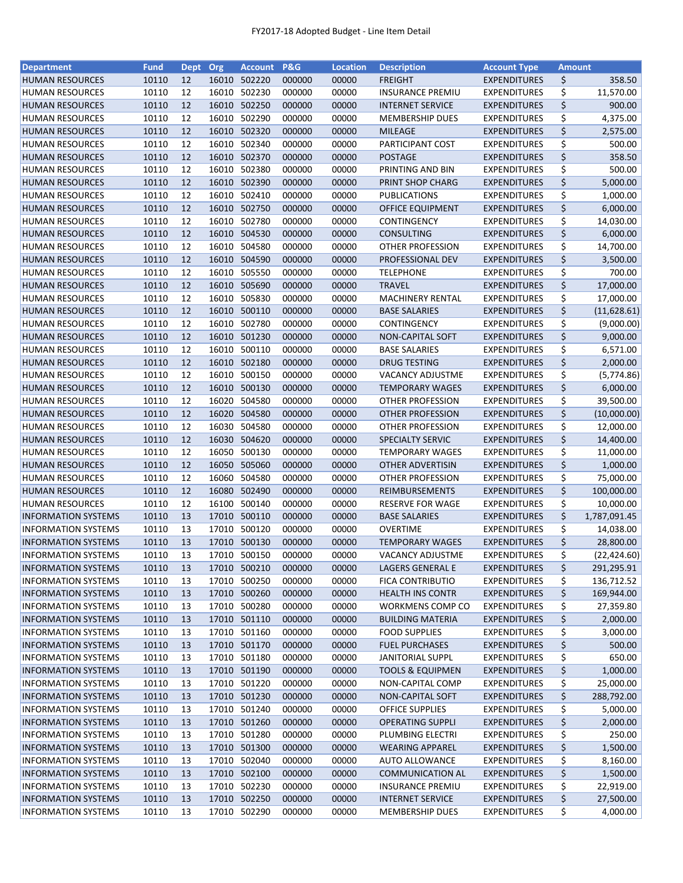| <b>Department</b>          | <b>Fund</b> | Dept Org |       | <b>Account P&amp;G</b> |        | <b>Location</b> | <b>Description</b>          | <b>Account Type</b> | <b>Amount</b> |              |
|----------------------------|-------------|----------|-------|------------------------|--------|-----------------|-----------------------------|---------------------|---------------|--------------|
| <b>HUMAN RESOURCES</b>     | 10110       | 12       |       | 16010 502220           | 000000 | 00000           | <b>FREIGHT</b>              | <b>EXPENDITURES</b> | \$            | 358.50       |
| <b>HUMAN RESOURCES</b>     | 10110       | 12       |       | 16010 502230           | 000000 | 00000           | <b>INSURANCE PREMIU</b>     | <b>EXPENDITURES</b> | \$            | 11,570.00    |
| <b>HUMAN RESOURCES</b>     | 10110       | 12       | 16010 | 502250                 | 000000 | 00000           | <b>INTERNET SERVICE</b>     | <b>EXPENDITURES</b> | \$            | 900.00       |
| <b>HUMAN RESOURCES</b>     | 10110       | 12       | 16010 | 502290                 | 000000 | 00000           | <b>MEMBERSHIP DUES</b>      | <b>EXPENDITURES</b> | \$            | 4,375.00     |
| <b>HUMAN RESOURCES</b>     | 10110       | 12       | 16010 | 502320                 | 000000 | 00000           | <b>MILEAGE</b>              | <b>EXPENDITURES</b> | \$            | 2,575.00     |
| <b>HUMAN RESOURCES</b>     | 10110       | 12       |       | 16010 502340           | 000000 | 00000           | PARTICIPANT COST            | <b>EXPENDITURES</b> | \$            | 500.00       |
| <b>HUMAN RESOURCES</b>     | 10110       | 12       |       | 16010 502370           | 000000 | 00000           | <b>POSTAGE</b>              | <b>EXPENDITURES</b> | \$            | 358.50       |
| <b>HUMAN RESOURCES</b>     | 10110       | 12       |       | 16010 502380           | 000000 | 00000           | PRINTING AND BIN            | <b>EXPENDITURES</b> | \$            | 500.00       |
| <b>HUMAN RESOURCES</b>     | 10110       | 12       |       | 16010 502390           | 000000 | 00000           | PRINT SHOP CHARG            | <b>EXPENDITURES</b> | \$            | 5,000.00     |
| <b>HUMAN RESOURCES</b>     | 10110       | 12       |       | 16010 502410           | 000000 | 00000           | PUBLICATIONS                | <b>EXPENDITURES</b> | \$            | 1,000.00     |
| <b>HUMAN RESOURCES</b>     | 10110       | 12       |       | 16010 502750           | 000000 | 00000           | <b>OFFICE EQUIPMENT</b>     | <b>EXPENDITURES</b> | \$            | 6,000.00     |
| <b>HUMAN RESOURCES</b>     | 10110       | 12       |       | 16010 502780           | 000000 | 00000           | <b>CONTINGENCY</b>          | <b>EXPENDITURES</b> | \$            | 14,030.00    |
| <b>HUMAN RESOURCES</b>     | 10110       | 12       |       | 16010 504530           | 000000 | 00000           | <b>CONSULTING</b>           | <b>EXPENDITURES</b> | \$            | 6,000.00     |
| <b>HUMAN RESOURCES</b>     | 10110       | 12       |       | 16010 504580           | 000000 | 00000           | <b>OTHER PROFESSION</b>     | <b>EXPENDITURES</b> | \$            | 14,700.00    |
| <b>HUMAN RESOURCES</b>     | 10110       | 12       |       | 16010 504590           | 000000 | 00000           | PROFESSIONAL DEV            | <b>EXPENDITURES</b> | \$            | 3,500.00     |
| <b>HUMAN RESOURCES</b>     | 10110       | 12       | 16010 | 505550                 | 000000 | 00000           | <b>TELEPHONE</b>            | <b>EXPENDITURES</b> | \$            | 700.00       |
| <b>HUMAN RESOURCES</b>     | 10110       | 12       | 16010 | 505690                 | 000000 | 00000           | <b>TRAVEL</b>               | <b>EXPENDITURES</b> | \$            | 17,000.00    |
| <b>HUMAN RESOURCES</b>     | 10110       | 12       |       | 16010 505830           | 000000 | 00000           | <b>MACHINERY RENTAL</b>     | <b>EXPENDITURES</b> | \$            | 17,000.00    |
| <b>HUMAN RESOURCES</b>     | 10110       | 12       |       | 16010 500110           | 000000 | 00000           | <b>BASE SALARIES</b>        | <b>EXPENDITURES</b> | \$            | (11, 628.61) |
| <b>HUMAN RESOURCES</b>     | 10110       | 12       |       | 16010 502780           | 000000 | 00000           | CONTINGENCY                 | EXPENDITURES        | \$            | (9,000.00)   |
| <b>HUMAN RESOURCES</b>     | 10110       | 12       |       | 16010 501230           | 000000 | 00000           | <b>NON-CAPITAL SOFT</b>     | <b>EXPENDITURES</b> | \$            | 9,000.00     |
| <b>HUMAN RESOURCES</b>     | 10110       | 12       |       | 16010 500110           | 000000 | 00000           | <b>BASE SALARIES</b>        | <b>EXPENDITURES</b> | \$            | 6,571.00     |
| <b>HUMAN RESOURCES</b>     | 10110       | 12       |       | 16010 502180           | 000000 | 00000           | <b>DRUG TESTING</b>         | <b>EXPENDITURES</b> | \$            | 2,000.00     |
| <b>HUMAN RESOURCES</b>     | 10110       | 12       |       | 16010 500150           | 000000 | 00000           | <b>VACANCY ADJUSTME</b>     | <b>EXPENDITURES</b> | \$            | (5,774.86)   |
| <b>HUMAN RESOURCES</b>     | 10110       | 12       |       | 16010 500130           | 000000 | 00000           | <b>TEMPORARY WAGES</b>      | <b>EXPENDITURES</b> | \$            | 6,000.00     |
| <b>HUMAN RESOURCES</b>     | 10110       | 12       |       | 16020 504580           | 000000 | 00000           | OTHER PROFESSION            | <b>EXPENDITURES</b> | \$            | 39,500.00    |
| <b>HUMAN RESOURCES</b>     | 10110       | 12       |       | 16020 504580           | 000000 | 00000           | OTHER PROFESSION            | <b>EXPENDITURES</b> | \$            | (10,000.00)  |
| <b>HUMAN RESOURCES</b>     | 10110       | 12       | 16030 | 504580                 | 000000 | 00000           | OTHER PROFESSION            | <b>EXPENDITURES</b> | \$            | 12,000.00    |
| <b>HUMAN RESOURCES</b>     | 10110       | 12       | 16030 | 504620                 | 000000 | 00000           | <b>SPECIALTY SERVIC</b>     | <b>EXPENDITURES</b> | \$            | 14,400.00    |
| <b>HUMAN RESOURCES</b>     | 10110       | 12       | 16050 | 500130                 | 000000 | 00000           | <b>TEMPORARY WAGES</b>      | <b>EXPENDITURES</b> | \$            | 11,000.00    |
| <b>HUMAN RESOURCES</b>     | 10110       | 12       |       | 16050 505060           | 000000 | 00000           | OTHER ADVERTISIN            | <b>EXPENDITURES</b> | \$            | 1,000.00     |
| <b>HUMAN RESOURCES</b>     | 10110       | 12       | 16060 | 504580                 | 000000 | 00000           | <b>OTHER PROFESSION</b>     | <b>EXPENDITURES</b> | \$            | 75,000.00    |
| <b>HUMAN RESOURCES</b>     | 10110       | 12       |       | 16080 502490           | 000000 | 00000           | REIMBURSEMENTS              | <b>EXPENDITURES</b> | \$            | 100,000.00   |
| <b>HUMAN RESOURCES</b>     | 10110       | 12       | 16100 | 500140                 | 000000 | 00000           | RESERVE FOR WAGE            | <b>EXPENDITURES</b> | \$            | 10,000.00    |
| <b>INFORMATION SYSTEMS</b> | 10110       | 13       |       | 17010 500110           | 000000 | 00000           | <b>BASE SALARIES</b>        | <b>EXPENDITURES</b> | \$            | 1,787,091.45 |
| <b>INFORMATION SYSTEMS</b> | 10110       | 13       |       | 17010 500120           | 000000 | 00000           | <b>OVERTIME</b>             | <b>EXPENDITURES</b> | \$            | 14,038.00    |
| <b>INFORMATION SYSTEMS</b> | 10110       | 13       |       | 17010 500130           | 000000 | 00000           | <b>TEMPORARY WAGES</b>      | <b>EXPENDITURES</b> | \$            | 28,800.00    |
| <b>INFORMATION SYSTEMS</b> | 10110       | 13       |       | 17010 500150           | 000000 | 00000           | <b>VACANCY ADJUSTME</b>     | <b>EXPENDITURES</b> | \$            | (22, 424.60) |
| <b>INFORMATION SYSTEMS</b> | 10110       | 13       |       | 17010 500210           | 000000 | 00000           | LAGERS GENERAL E            | <b>EXPENDITURES</b> | \$            | 291,295.91   |
| <b>INFORMATION SYSTEMS</b> | 10110       | 13       |       | 17010 500250           | 000000 | 00000           | <b>FICA CONTRIBUTIO</b>     | <b>EXPENDITURES</b> | \$            | 136,712.52   |
| <b>INFORMATION SYSTEMS</b> | 10110       | 13       |       | 17010 500260           | 000000 | 00000           | <b>HEALTH INS CONTR</b>     | <b>EXPENDITURES</b> | \$            | 169,944.00   |
| <b>INFORMATION SYSTEMS</b> | 10110       | 13       |       | 17010 500280           | 000000 | 00000           | WORKMENS COMP CO            | <b>EXPENDITURES</b> | \$            | 27,359.80    |
| <b>INFORMATION SYSTEMS</b> | 10110       | 13       |       | 17010 501110           | 000000 | 00000           | <b>BUILDING MATERIA</b>     | <b>EXPENDITURES</b> | \$            | 2,000.00     |
| <b>INFORMATION SYSTEMS</b> | 10110       | 13       |       | 17010 501160           | 000000 | 00000           | <b>FOOD SUPPLIES</b>        | <b>EXPENDITURES</b> | \$            | 3,000.00     |
| <b>INFORMATION SYSTEMS</b> | 10110       | 13       |       | 17010 501170           | 000000 | 00000           | <b>FUEL PURCHASES</b>       | <b>EXPENDITURES</b> | \$            | 500.00       |
| <b>INFORMATION SYSTEMS</b> | 10110       | 13       |       | 17010 501180           | 000000 | 00000           | JANITORIAL SUPPL            | <b>EXPENDITURES</b> | \$            | 650.00       |
| <b>INFORMATION SYSTEMS</b> | 10110       | 13       |       | 17010 501190           | 000000 | 00000           | <b>TOOLS &amp; EQUIPMEN</b> | <b>EXPENDITURES</b> | \$            | 1,000.00     |
| <b>INFORMATION SYSTEMS</b> | 10110       | 13       |       | 17010 501220           | 000000 | 00000           | NON-CAPITAL COMP            | <b>EXPENDITURES</b> | \$            | 25,000.00    |
| <b>INFORMATION SYSTEMS</b> | 10110       | 13       |       | 17010 501230           | 000000 | 00000           | <b>NON-CAPITAL SOFT</b>     | <b>EXPENDITURES</b> | \$            | 288,792.00   |
| <b>INFORMATION SYSTEMS</b> | 10110       | 13       |       | 17010 501240           | 000000 | 00000           | <b>OFFICE SUPPLIES</b>      | <b>EXPENDITURES</b> | \$            | 5,000.00     |
| <b>INFORMATION SYSTEMS</b> | 10110       | 13       |       | 17010 501260           | 000000 | 00000           | <b>OPERATING SUPPLI</b>     | <b>EXPENDITURES</b> | \$            | 2,000.00     |
| <b>INFORMATION SYSTEMS</b> | 10110       | 13       |       | 17010 501280           | 000000 | 00000           | PLUMBING ELECTRI            | <b>EXPENDITURES</b> | \$            | 250.00       |
| <b>INFORMATION SYSTEMS</b> | 10110       | 13       |       | 17010 501300           | 000000 | 00000           | <b>WEARING APPAREL</b>      | <b>EXPENDITURES</b> | \$            | 1,500.00     |
| <b>INFORMATION SYSTEMS</b> | 10110       | 13       |       | 17010 502040           | 000000 | 00000           | <b>AUTO ALLOWANCE</b>       | <b>EXPENDITURES</b> | \$            | 8,160.00     |
| <b>INFORMATION SYSTEMS</b> | 10110       | 13       |       | 17010 502100           | 000000 | 00000           | <b>COMMUNICATION AL</b>     | <b>EXPENDITURES</b> | \$            | 1,500.00     |
| <b>INFORMATION SYSTEMS</b> | 10110       | 13       |       | 17010 502230           | 000000 | 00000           | <b>INSURANCE PREMIU</b>     | <b>EXPENDITURES</b> | \$            | 22,919.00    |
| <b>INFORMATION SYSTEMS</b> | 10110       | 13       |       | 17010 502250           | 000000 | 00000           | <b>INTERNET SERVICE</b>     | <b>EXPENDITURES</b> | \$            | 27,500.00    |
| <b>INFORMATION SYSTEMS</b> | 10110       | 13       |       | 17010 502290           | 000000 | 00000           | <b>MEMBERSHIP DUES</b>      | <b>EXPENDITURES</b> | \$            | 4,000.00     |
|                            |             |          |       |                        |        |                 |                             |                     |               |              |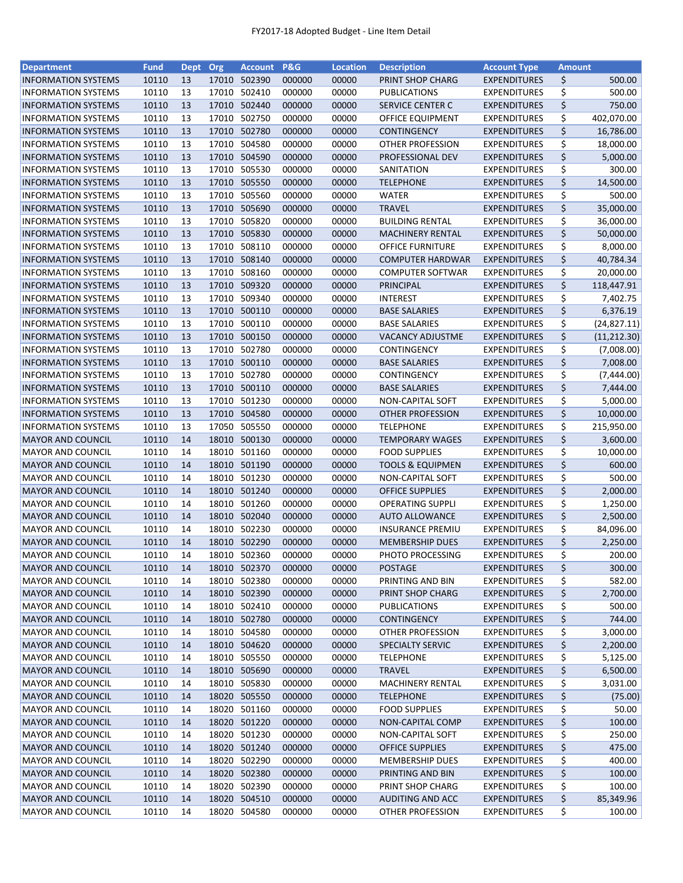| <b>Department</b>          | <b>Fund</b> | Dept Org |       | <b>Account</b> | P&G    | <b>Location</b> | <b>Description</b>          | <b>Account Type</b> | <b>Amount</b> |              |
|----------------------------|-------------|----------|-------|----------------|--------|-----------------|-----------------------------|---------------------|---------------|--------------|
| <b>INFORMATION SYSTEMS</b> | 10110       | 13       |       | 17010 502390   | 000000 | 00000           | PRINT SHOP CHARG            | <b>EXPENDITURES</b> | \$            | 500.00       |
| <b>INFORMATION SYSTEMS</b> | 10110       | 13       |       | 17010 502410   | 000000 | 00000           | PUBLICATIONS                | <b>EXPENDITURES</b> | \$            | 500.00       |
| <b>INFORMATION SYSTEMS</b> | 10110       | 13       | 17010 | 502440         | 000000 | 00000           | SERVICE CENTER C            | <b>EXPENDITURES</b> | \$            | 750.00       |
| <b>INFORMATION SYSTEMS</b> | 10110       | 13       | 17010 | 502750         | 000000 | 00000           | OFFICE EQUIPMENT            | <b>EXPENDITURES</b> | \$            | 402,070.00   |
| <b>INFORMATION SYSTEMS</b> | 10110       | 13       | 17010 | 502780         | 000000 | 00000           | <b>CONTINGENCY</b>          | <b>EXPENDITURES</b> | \$            | 16,786.00    |
| <b>INFORMATION SYSTEMS</b> | 10110       | 13       |       | 17010 504580   | 000000 | 00000           | OTHER PROFESSION            | <b>EXPENDITURES</b> | \$            | 18,000.00    |
| <b>INFORMATION SYSTEMS</b> | 10110       | 13       |       | 17010 504590   | 000000 | 00000           | PROFESSIONAL DEV            | <b>EXPENDITURES</b> | \$            | 5,000.00     |
| <b>INFORMATION SYSTEMS</b> | 10110       | 13       |       | 17010 505530   | 000000 | 00000           | SANITATION                  | <b>EXPENDITURES</b> | \$            | 300.00       |
| <b>INFORMATION SYSTEMS</b> | 10110       | 13       |       | 17010 505550   | 000000 | 00000           | <b>TELEPHONE</b>            | <b>EXPENDITURES</b> | \$            | 14,500.00    |
| <b>INFORMATION SYSTEMS</b> | 10110       | 13       |       | 17010 505560   | 000000 | 00000           | <b>WATER</b>                | <b>EXPENDITURES</b> | \$            | 500.00       |
| <b>INFORMATION SYSTEMS</b> | 10110       | 13       |       | 17010 505690   | 000000 | 00000           | <b>TRAVEL</b>               | <b>EXPENDITURES</b> | \$            | 35,000.00    |
| <b>INFORMATION SYSTEMS</b> | 10110       | 13       |       | 17010 505820   | 000000 | 00000           | <b>BUILDING RENTAL</b>      | <b>EXPENDITURES</b> | \$            | 36,000.00    |
| <b>INFORMATION SYSTEMS</b> | 10110       | 13       |       | 17010 505830   | 000000 | 00000           | <b>MACHINERY RENTAL</b>     | <b>EXPENDITURES</b> | \$            | 50,000.00    |
| <b>INFORMATION SYSTEMS</b> | 10110       | 13       |       | 17010 508110   | 000000 | 00000           | <b>OFFICE FURNITURE</b>     | <b>EXPENDITURES</b> | \$            | 8,000.00     |
| <b>INFORMATION SYSTEMS</b> | 10110       | 13       |       | 17010 508140   | 000000 | 00000           | <b>COMPUTER HARDWAR</b>     | <b>EXPENDITURES</b> | \$            | 40,784.34    |
| <b>INFORMATION SYSTEMS</b> | 10110       | 13       | 17010 | 508160         | 000000 | 00000           | <b>COMPUTER SOFTWAR</b>     | <b>EXPENDITURES</b> | \$            | 20,000.00    |
| <b>INFORMATION SYSTEMS</b> | 10110       | 13       | 17010 | 509320         | 000000 | 00000           | PRINCIPAL                   | <b>EXPENDITURES</b> | \$            | 118,447.91   |
| <b>INFORMATION SYSTEMS</b> | 10110       | 13       |       | 17010 509340   | 000000 | 00000           | <b>INTEREST</b>             | <b>EXPENDITURES</b> | \$            | 7,402.75     |
| <b>INFORMATION SYSTEMS</b> | 10110       | 13       |       | 17010 500110   | 000000 | 00000           | <b>BASE SALARIES</b>        | <b>EXPENDITURES</b> | \$            | 6,376.19     |
| <b>INFORMATION SYSTEMS</b> | 10110       | 13       |       | 17010 500110   | 000000 | 00000           | <b>BASE SALARIES</b>        | <b>EXPENDITURES</b> | \$            | (24, 827.11) |
| <b>INFORMATION SYSTEMS</b> | 10110       | 13       |       | 17010 500150   | 000000 | 00000           |                             | <b>EXPENDITURES</b> | \$            |              |
|                            |             |          |       | 17010 502780   |        | 00000           | <b>VACANCY ADJUSTME</b>     |                     |               | (11, 212.30) |
| <b>INFORMATION SYSTEMS</b> | 10110       | 13       |       |                | 000000 |                 | CONTINGENCY                 | <b>EXPENDITURES</b> | \$            | (7,008.00)   |
| <b>INFORMATION SYSTEMS</b> | 10110       | 13       |       | 17010 500110   | 000000 | 00000           | <b>BASE SALARIES</b>        | <b>EXPENDITURES</b> | \$            | 7,008.00     |
| <b>INFORMATION SYSTEMS</b> | 10110       | 13       |       | 17010 502780   | 000000 | 00000           | <b>CONTINGENCY</b>          | <b>EXPENDITURES</b> | \$            | (7,444.00)   |
| <b>INFORMATION SYSTEMS</b> | 10110       | 13       |       | 17010 500110   | 000000 | 00000           | <b>BASE SALARIES</b>        | <b>EXPENDITURES</b> | \$            | 7,444.00     |
| <b>INFORMATION SYSTEMS</b> | 10110       | 13       |       | 17010 501230   | 000000 | 00000           | NON-CAPITAL SOFT            | <b>EXPENDITURES</b> | \$            | 5,000.00     |
| <b>INFORMATION SYSTEMS</b> | 10110       | 13       |       | 17010 504580   | 000000 | 00000           | <b>OTHER PROFESSION</b>     | <b>EXPENDITURES</b> | \$            | 10,000.00    |
| <b>INFORMATION SYSTEMS</b> | 10110       | 13       | 17050 | 505550         | 000000 | 00000           | <b>TELEPHONE</b>            | <b>EXPENDITURES</b> | \$            | 215,950.00   |
| <b>MAYOR AND COUNCIL</b>   | 10110       | 14       | 18010 | 500130         | 000000 | 00000           | <b>TEMPORARY WAGES</b>      | <b>EXPENDITURES</b> | \$            | 3,600.00     |
| <b>MAYOR AND COUNCIL</b>   | 10110       | 14       | 18010 | 501160         | 000000 | 00000           | <b>FOOD SUPPLIES</b>        | <b>EXPENDITURES</b> | \$            | 10,000.00    |
| <b>MAYOR AND COUNCIL</b>   | 10110       | 14       |       | 18010 501190   | 000000 | 00000           | <b>TOOLS &amp; EQUIPMEN</b> | <b>EXPENDITURES</b> | \$            | 600.00       |
| <b>MAYOR AND COUNCIL</b>   | 10110       | 14       |       | 18010 501230   | 000000 | 00000           | NON-CAPITAL SOFT            | <b>EXPENDITURES</b> | \$            | 500.00       |
| <b>MAYOR AND COUNCIL</b>   | 10110       | 14       |       | 18010 501240   | 000000 | 00000           | <b>OFFICE SUPPLIES</b>      | <b>EXPENDITURES</b> | \$            | 2,000.00     |
| <b>MAYOR AND COUNCIL</b>   | 10110       | 14       |       | 18010 501260   | 000000 | 00000           | <b>OPERATING SUPPLI</b>     | <b>EXPENDITURES</b> | \$            | 1,250.00     |
| <b>MAYOR AND COUNCIL</b>   | 10110       | 14       |       | 18010 502040   | 000000 | 00000           | <b>AUTO ALLOWANCE</b>       | <b>EXPENDITURES</b> | \$            | 2,500.00     |
| <b>MAYOR AND COUNCIL</b>   | 10110       | 14       |       | 18010 502230   | 000000 | 00000           | <b>INSURANCE PREMIU</b>     | <b>EXPENDITURES</b> | \$            | 84,096.00    |
| <b>MAYOR AND COUNCIL</b>   | 10110       | 14       |       | 18010 502290   | 000000 | 00000           | <b>MEMBERSHIP DUES</b>      | <b>EXPENDITURES</b> | \$            | 2,250.00     |
| <b>MAYOR AND COUNCIL</b>   | 10110       | 14       |       | 18010 502360   | 000000 | 00000           | PHOTO PROCESSING            | <b>EXPENDITURES</b> | \$            | 200.00       |
| <b>MAYOR AND COUNCIL</b>   | 10110       | 14       |       | 18010 502370   | 000000 | 00000           | POSTAGE                     | <b>EXPENDITURES</b> | \$            | 300.00       |
| <b>MAYOR AND COUNCIL</b>   | 10110       | 14       |       | 18010 502380   | 000000 | 00000           | PRINTING AND BIN            | <b>EXPENDITURES</b> | \$            | 582.00       |
| <b>MAYOR AND COUNCIL</b>   | 10110       | 14       |       | 18010 502390   | 000000 | 00000           | PRINT SHOP CHARG            | <b>EXPENDITURES</b> | \$            | 2,700.00     |
| <b>MAYOR AND COUNCIL</b>   | 10110       | 14       |       | 18010 502410   | 000000 | 00000           | <b>PUBLICATIONS</b>         | <b>EXPENDITURES</b> | \$            | 500.00       |
| <b>MAYOR AND COUNCIL</b>   | 10110       | 14       |       | 18010 502780   | 000000 | 00000           | <b>CONTINGENCY</b>          | <b>EXPENDITURES</b> | \$            | 744.00       |
| MAYOR AND COUNCIL          | 10110       | 14       |       | 18010 504580   | 000000 | 00000           | OTHER PROFESSION            | <b>EXPENDITURES</b> | \$            | 3,000.00     |
| <b>MAYOR AND COUNCIL</b>   | 10110       | 14       |       | 18010 504620   | 000000 | 00000           | <b>SPECIALTY SERVIC</b>     | <b>EXPENDITURES</b> | \$            | 2,200.00     |
| <b>MAYOR AND COUNCIL</b>   | 10110       | 14       |       | 18010 505550   | 000000 | 00000           | <b>TELEPHONE</b>            | <b>EXPENDITURES</b> | \$            | 5,125.00     |
| <b>MAYOR AND COUNCIL</b>   | 10110       | 14       |       | 18010 505690   | 000000 | 00000           | <b>TRAVEL</b>               | <b>EXPENDITURES</b> | \$            | 6,500.00     |
| <b>MAYOR AND COUNCIL</b>   | 10110       | 14       |       | 18010 505830   | 000000 | 00000           | <b>MACHINERY RENTAL</b>     | <b>EXPENDITURES</b> | \$            | 3,031.00     |
| <b>MAYOR AND COUNCIL</b>   | 10110       | 14       |       | 18020 505550   | 000000 | 00000           | <b>TELEPHONE</b>            | <b>EXPENDITURES</b> | \$            | (75.00)      |
| <b>MAYOR AND COUNCIL</b>   | 10110       | 14       |       | 18020 501160   | 000000 | 00000           | <b>FOOD SUPPLIES</b>        | <b>EXPENDITURES</b> | \$            | 50.00        |
| <b>MAYOR AND COUNCIL</b>   | 10110       | 14       |       | 18020 501220   | 000000 | 00000           | NON-CAPITAL COMP            | <b>EXPENDITURES</b> | \$            | 100.00       |
| <b>MAYOR AND COUNCIL</b>   | 10110       | 14       |       | 18020 501230   | 000000 | 00000           | NON-CAPITAL SOFT            | <b>EXPENDITURES</b> | \$            | 250.00       |
| <b>MAYOR AND COUNCIL</b>   | 10110       | 14       |       | 18020 501240   | 000000 | 00000           | OFFICE SUPPLIES             | <b>EXPENDITURES</b> | \$            | 475.00       |
|                            |             |          |       |                |        |                 |                             |                     |               |              |
| <b>MAYOR AND COUNCIL</b>   | 10110       | 14       | 18020 | 502290         | 000000 | 00000           | <b>MEMBERSHIP DUES</b>      | <b>EXPENDITURES</b> | \$            | 400.00       |
| <b>MAYOR AND COUNCIL</b>   | 10110       | 14       |       | 18020 502380   | 000000 | 00000           | PRINTING AND BIN            | <b>EXPENDITURES</b> | \$            | 100.00       |
| <b>MAYOR AND COUNCIL</b>   | 10110       | 14       |       | 18020 502390   | 000000 | 00000           | PRINT SHOP CHARG            | <b>EXPENDITURES</b> | \$            | 100.00       |
| <b>MAYOR AND COUNCIL</b>   | 10110       | 14       |       | 18020 504510   | 000000 | 00000           | AUDITING AND ACC            | <b>EXPENDITURES</b> | \$            | 85,349.96    |
| <b>MAYOR AND COUNCIL</b>   | 10110       | 14       |       | 18020 504580   | 000000 | 00000           | <b>OTHER PROFESSION</b>     | <b>EXPENDITURES</b> | \$            | 100.00       |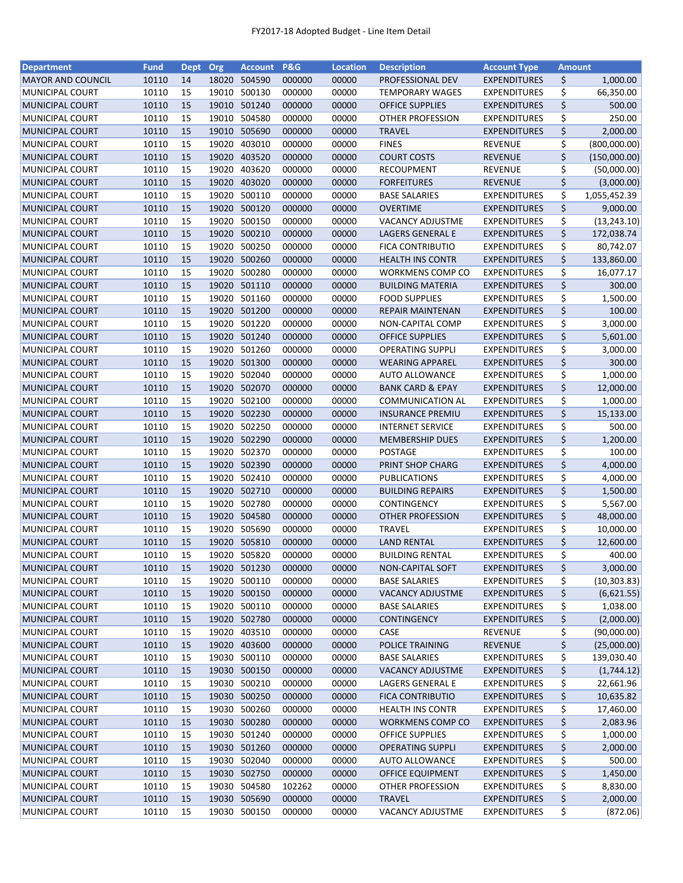| <b>Department</b>        | <b>Fund</b> | Dept | Org   | <b>Account</b> | P&G    | <b>Location</b> | <b>Description</b>          | <b>Account Type</b> | <b>Amount</b> |              |
|--------------------------|-------------|------|-------|----------------|--------|-----------------|-----------------------------|---------------------|---------------|--------------|
| <b>MAYOR AND COUNCIL</b> | 10110       | 14   |       | 18020 504590   | 000000 | 00000           | PROFESSIONAL DEV            | <b>EXPENDITURES</b> | \$            | 1,000.00     |
| <b>MUNICIPAL COURT</b>   | 10110       | 15   | 19010 | 500130         | 000000 | 00000           | <b>TEMPORARY WAGES</b>      | <b>EXPENDITURES</b> | \$            | 66,350.00    |
| <b>MUNICIPAL COURT</b>   | 10110       | 15   | 19010 | 501240         | 000000 | 00000           | <b>OFFICE SUPPLIES</b>      | <b>EXPENDITURES</b> | \$            | 500.00       |
| <b>MUNICIPAL COURT</b>   | 10110       | 15   | 19010 | 504580         | 000000 | 00000           | OTHER PROFESSION            | <b>EXPENDITURES</b> | \$            | 250.00       |
| <b>MUNICIPAL COURT</b>   | 10110       | 15   | 19010 | 505690         | 000000 | 00000           | <b>TRAVEL</b>               | <b>EXPENDITURES</b> | \$            | 2,000.00     |
| MUNICIPAL COURT          | 10110       | 15   | 19020 | 403010         | 000000 | 00000           | <b>FINES</b>                | <b>REVENUE</b>      | \$            | (800,000.00) |
| <b>MUNICIPAL COURT</b>   | 10110       | 15   | 19020 | 403520         | 000000 | 00000           | <b>COURT COSTS</b>          | <b>REVENUE</b>      | \$            | (150,000.00) |
| MUNICIPAL COURT          | 10110       | 15   | 19020 | 403620         | 000000 | 00000           | <b>RECOUPMENT</b>           | <b>REVENUE</b>      | \$            | (50,000.00)  |
| <b>MUNICIPAL COURT</b>   | 10110       | 15   | 19020 | 403020         | 000000 | 00000           | <b>FORFEITURES</b>          | <b>REVENUE</b>      | \$            | (3,000.00)   |
| MUNICIPAL COURT          | 10110       | 15   | 19020 | 500110         | 000000 | 00000           | <b>BASE SALARIES</b>        | <b>EXPENDITURES</b> | \$            | 1,055,452.39 |
| <b>MUNICIPAL COURT</b>   | 10110       | 15   | 19020 | 500120         | 000000 | 00000           | <b>OVERTIME</b>             | <b>EXPENDITURES</b> | \$            | 9,000.00     |
| <b>MUNICIPAL COURT</b>   | 10110       | 15   |       | 19020 500150   | 000000 | 00000           | <b>VACANCY ADJUSTME</b>     | <b>EXPENDITURES</b> | \$            | (13, 243.10) |
| <b>MUNICIPAL COURT</b>   | 10110       | 15   |       | 19020 500210   | 000000 | 00000           | LAGERS GENERAL E            | <b>EXPENDITURES</b> | \$            | 172,038.74   |
| MUNICIPAL COURT          | 10110       | 15   | 19020 | 500250         | 000000 | 00000           | <b>FICA CONTRIBUTIO</b>     | <b>EXPENDITURES</b> | \$            | 80,742.07    |
| <b>MUNICIPAL COURT</b>   | 10110       | 15   | 19020 | 500260         | 000000 | 00000           | <b>HEALTH INS CONTR</b>     | <b>EXPENDITURES</b> | \$            | 133,860.00   |
| MUNICIPAL COURT          | 10110       | 15   | 19020 | 500280         | 000000 | 00000           | <b>WORKMENS COMP CO</b>     | <b>EXPENDITURES</b> | \$            | 16,077.17    |
| <b>MUNICIPAL COURT</b>   | 10110       | 15   | 19020 | 501110         | 000000 | 00000           | <b>BUILDING MATERIA</b>     | <b>EXPENDITURES</b> | \$            | 300.00       |
| MUNICIPAL COURT          | 10110       | 15   |       | 19020 501160   | 000000 | 00000           | <b>FOOD SUPPLIES</b>        | <b>EXPENDITURES</b> | \$            | 1,500.00     |
| <b>MUNICIPAL COURT</b>   | 10110       | 15   |       | 19020 501200   | 000000 | 00000           | <b>REPAIR MAINTENAN</b>     | <b>EXPENDITURES</b> | \$            | 100.00       |
| MUNICIPAL COURT          | 10110       | 15   |       | 19020 501220   | 000000 | 00000           | NON-CAPITAL COMP            | <b>EXPENDITURES</b> | \$            | 3,000.00     |
|                          | 10110       | 15   |       | 19020 501240   | 000000 | 00000           | <b>OFFICE SUPPLIES</b>      | <b>EXPENDITURES</b> | \$            |              |
| <b>MUNICIPAL COURT</b>   |             |      |       |                |        |                 |                             |                     |               | 5,601.00     |
| MUNICIPAL COURT          | 10110       | 15   |       | 19020 501260   | 000000 | 00000           | <b>OPERATING SUPPLI</b>     | <b>EXPENDITURES</b> | \$            | 3,000.00     |
| <b>MUNICIPAL COURT</b>   | 10110       | 15   |       | 19020 501300   | 000000 | 00000           | <b>WEARING APPAREL</b>      | <b>EXPENDITURES</b> | \$            | 300.00       |
| MUNICIPAL COURT          | 10110       | 15   |       | 19020 502040   | 000000 | 00000           | <b>AUTO ALLOWANCE</b>       | <b>EXPENDITURES</b> | \$            | 1,000.00     |
| <b>MUNICIPAL COURT</b>   | 10110       | 15   |       | 19020 502070   | 000000 | 00000           | <b>BANK CARD &amp; EPAY</b> | <b>EXPENDITURES</b> | \$            | 12,000.00    |
| MUNICIPAL COURT          | 10110       | 15   | 19020 | 502100         | 000000 | 00000           | <b>COMMUNICATION AL</b>     | EXPENDITURES        | \$            | 1,000.00     |
| <b>MUNICIPAL COURT</b>   | 10110       | 15   | 19020 | 502230         | 000000 | 00000           | <b>INSURANCE PREMIU</b>     | <b>EXPENDITURES</b> | \$            | 15,133.00    |
| MUNICIPAL COURT          | 10110       | 15   | 19020 | 502250         | 000000 | 00000           | <b>INTERNET SERVICE</b>     | <b>EXPENDITURES</b> | \$            | 500.00       |
| <b>MUNICIPAL COURT</b>   | 10110       | 15   | 19020 | 502290         | 000000 | 00000           | <b>MEMBERSHIP DUES</b>      | <b>EXPENDITURES</b> | \$            | 1,200.00     |
| MUNICIPAL COURT          | 10110       | 15   | 19020 | 502370         | 000000 | 00000           | <b>POSTAGE</b>              | <b>EXPENDITURES</b> | \$            | 100.00       |
| <b>MUNICIPAL COURT</b>   | 10110       | 15   |       | 19020 502390   | 000000 | 00000           | PRINT SHOP CHARG            | <b>EXPENDITURES</b> | \$            | 4,000.00     |
| MUNICIPAL COURT          | 10110       | 15   | 19020 | 502410         | 000000 | 00000           | <b>PUBLICATIONS</b>         | <b>EXPENDITURES</b> | \$            | 4,000.00     |
| <b>MUNICIPAL COURT</b>   | 10110       | 15   | 19020 | 502710         | 000000 | 00000           | <b>BUILDING REPAIRS</b>     | <b>EXPENDITURES</b> | \$            | 1,500.00     |
| MUNICIPAL COURT          | 10110       | 15   | 19020 | 502780         | 000000 | 00000           | CONTINGENCY                 | <b>EXPENDITURES</b> | \$            | 5,567.00     |
| <b>MUNICIPAL COURT</b>   | 10110       | 15   | 19020 | 504580         | 000000 | 00000           | <b>OTHER PROFESSION</b>     | <b>EXPENDITURES</b> | \$            | 48,000.00    |
| MUNICIPAL COURT          | 10110       | 15   | 19020 | 505690         | 000000 | 00000           | <b>TRAVEL</b>               | <b>EXPENDITURES</b> | \$            | 10,000.00    |
| <b>MUNICIPAL COURT</b>   | 10110       | 15   |       | 19020 505810   | 000000 | 00000           | <b>LAND RENTAL</b>          | <b>EXPENDITURES</b> | \$            | 12,600.00    |
| <b>MUNICIPAL COURT</b>   | 10110       | 15   |       | 19020 505820   | 000000 | 00000           | <b>BUILDING RENTAL</b>      | <b>EXPENDITURES</b> | \$            | 400.00       |
| <b>MUNICIPAL COURT</b>   | 10110       | 15   |       | 19020 501230   | 000000 | 00000           | NON-CAPITAL SOFT            | <b>EXPENDITURES</b> | \$            | 3,000.00     |
| <b>MUNICIPAL COURT</b>   | 10110       | 15   |       | 19020 500110   | 000000 | 00000           | <b>BASE SALARIES</b>        | <b>EXPENDITURES</b> | \$            | (10, 303.83) |
| <b>MUNICIPAL COURT</b>   | 10110       | 15   |       | 19020 500150   | 000000 | 00000           | <b>VACANCY ADJUSTME</b>     | <b>EXPENDITURES</b> | \$            | (6,621.55)   |
| MUNICIPAL COURT          | 10110       | 15   | 19020 | 500110         | 000000 | 00000           | <b>BASE SALARIES</b>        | <b>EXPENDITURES</b> | \$            | 1,038.00     |
| <b>MUNICIPAL COURT</b>   | 10110       | 15   |       | 19020 502780   | 000000 | 00000           | <b>CONTINGENCY</b>          | <b>EXPENDITURES</b> | \$            | (2,000.00)   |
| MUNICIPAL COURT          | 10110       | 15   |       | 19020 403510   | 000000 | 00000           | CASE                        | REVENUE             | \$            | (90,000.00)  |
| <b>MUNICIPAL COURT</b>   | 10110       | 15   |       | 19020 403600   | 000000 | 00000           | POLICE TRAINING             | <b>REVENUE</b>      | \$            | (25,000.00)  |
| MUNICIPAL COURT          | 10110       | 15   |       | 19030 500110   | 000000 | 00000           | <b>BASE SALARIES</b>        | <b>EXPENDITURES</b> | \$            | 139,030.40   |
| <b>MUNICIPAL COURT</b>   | 10110       | 15   |       | 19030 500150   | 000000 | 00000           | <b>VACANCY ADJUSTME</b>     | <b>EXPENDITURES</b> | \$            | (1,744.12)   |
| MUNICIPAL COURT          | 10110       | 15   |       | 19030 500210   | 000000 | 00000           | LAGERS GENERAL E            | <b>EXPENDITURES</b> | \$            | 22,661.96    |
| <b>MUNICIPAL COURT</b>   | 10110       | 15   |       | 19030 500250   | 000000 | 00000           | <b>FICA CONTRIBUTIO</b>     | <b>EXPENDITURES</b> | \$            | 10,635.82    |
| <b>MUNICIPAL COURT</b>   | 10110       | 15   |       | 19030 500260   | 000000 | 00000           | <b>HEALTH INS CONTR</b>     | <b>EXPENDITURES</b> | \$            | 17,460.00    |
| <b>MUNICIPAL COURT</b>   | 10110       | 15   |       | 19030 500280   | 000000 | 00000           | <b>WORKMENS COMP CO</b>     | <b>EXPENDITURES</b> | \$            | 2,083.96     |
| MUNICIPAL COURT          | 10110       | 15   |       | 19030 501240   | 000000 | 00000           | <b>OFFICE SUPPLIES</b>      | <b>EXPENDITURES</b> | \$            | 1,000.00     |
| <b>MUNICIPAL COURT</b>   | 10110       | 15   |       | 19030 501260   | 000000 | 00000           | <b>OPERATING SUPPLI</b>     | <b>EXPENDITURES</b> | \$            | 2,000.00     |
| MUNICIPAL COURT          | 10110       | 15   | 19030 | 502040         | 000000 | 00000           | <b>AUTO ALLOWANCE</b>       | <b>EXPENDITURES</b> | \$            | 500.00       |
| <b>MUNICIPAL COURT</b>   | 10110       | 15   |       | 19030 502750   | 000000 | 00000           | <b>OFFICE EQUIPMENT</b>     | <b>EXPENDITURES</b> | \$            | 1,450.00     |
|                          |             |      |       | 19030 504580   | 102262 |                 |                             |                     |               |              |
| MUNICIPAL COURT          | 10110       | 15   |       |                |        | 00000           | OTHER PROFESSION            | <b>EXPENDITURES</b> | \$            | 8,830.00     |
| <b>MUNICIPAL COURT</b>   | 10110       | 15   |       | 19030 505690   | 000000 | 00000           | <b>TRAVEL</b>               | <b>EXPENDITURES</b> | \$            | 2,000.00     |
| MUNICIPAL COURT          | 10110       | 15   |       | 19030 500150   | 000000 | 00000           | VACANCY ADJUSTME            | <b>EXPENDITURES</b> | \$            | (872.06)     |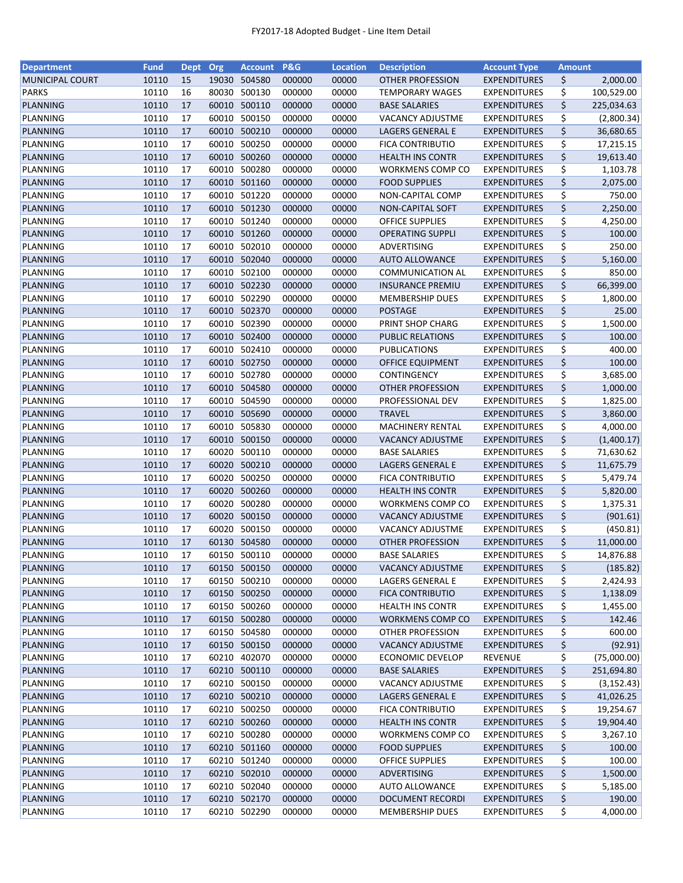| <b>Department</b>      | <b>Fund</b> | Dept | Org   | <b>Account</b> | <b>P&amp;G</b> | <b>Location</b> | <b>Description</b>      | <b>Account Type</b> | <b>Amount</b> |             |
|------------------------|-------------|------|-------|----------------|----------------|-----------------|-------------------------|---------------------|---------------|-------------|
| <b>MUNICIPAL COURT</b> | 10110       | 15   |       | 19030 504580   | 000000         | 00000           | <b>OTHER PROFESSION</b> | <b>EXPENDITURES</b> | \$            | 2,000.00    |
| <b>PARKS</b>           | 10110       | 16   | 80030 | 500130         | 000000         | 00000           | <b>TEMPORARY WAGES</b>  | <b>EXPENDITURES</b> | \$            | 100,529.00  |
| PLANNING               | 10110       | 17   | 60010 | 500110         | 000000         | 00000           | <b>BASE SALARIES</b>    | <b>EXPENDITURES</b> | \$            | 225,034.63  |
| PLANNING               | 10110       | 17   | 60010 | 500150         | 000000         | 00000           | VACANCY ADJUSTME        | <b>EXPENDITURES</b> | \$            | (2,800.34)  |
| PLANNING               | 10110       | 17   | 60010 | 500210         | 000000         | 00000           | LAGERS GENERAL E        | <b>EXPENDITURES</b> | \$            | 36,680.65   |
| PLANNING               | 10110       | 17   | 60010 | 500250         | 000000         | 00000           | <b>FICA CONTRIBUTIO</b> | <b>EXPENDITURES</b> | \$            | 17,215.15   |
| PLANNING               | 10110       | 17   |       | 60010 500260   | 000000         | 00000           | <b>HEALTH INS CONTR</b> | <b>EXPENDITURES</b> | \$            | 19,613.40   |
| PLANNING               | 10110       | 17   | 60010 | 500280         | 000000         | 00000           | <b>WORKMENS COMP CO</b> | <b>EXPENDITURES</b> | \$            | 1,103.78    |
| PLANNING               | 10110       | 17   | 60010 | 501160         | 000000         | 00000           | <b>FOOD SUPPLIES</b>    | <b>EXPENDITURES</b> | \$            | 2,075.00    |
| PLANNING               | 10110       | 17   | 60010 | 501220         | 000000         | 00000           | NON-CAPITAL COMP        | <b>EXPENDITURES</b> | \$            | 750.00      |
| PLANNING               | 10110       | 17   | 60010 | 501230         | 000000         | 00000           | NON-CAPITAL SOFT        | <b>EXPENDITURES</b> | \$            | 2,250.00    |
| PLANNING               | 10110       | 17   | 60010 | 501240         | 000000         | 00000           | <b>OFFICE SUPPLIES</b>  | <b>EXPENDITURES</b> | \$            | 4,250.00    |
| PLANNING               | 10110       | 17   |       | 60010 501260   | 000000         | 00000           | <b>OPERATING SUPPLI</b> | <b>EXPENDITURES</b> | \$            | 100.00      |
| PLANNING               | 10110       | 17   | 60010 | 502010         | 000000         | 00000           | ADVERTISING             | <b>EXPENDITURES</b> | \$            | 250.00      |
| PLANNING               | 10110       | 17   | 60010 | 502040         | 000000         | 00000           | <b>AUTO ALLOWANCE</b>   | <b>EXPENDITURES</b> | \$            | 5,160.00    |
| PLANNING               | 10110       | 17   | 60010 | 502100         | 000000         | 00000           | <b>COMMUNICATION AL</b> | <b>EXPENDITURES</b> | \$            | 850.00      |
| PLANNING               | 10110       | 17   | 60010 | 502230         | 000000         | 00000           | <b>INSURANCE PREMIU</b> | <b>EXPENDITURES</b> | \$            | 66,399.00   |
| PLANNING               | 10110       | 17   | 60010 | 502290         | 000000         | 00000           | <b>MEMBERSHIP DUES</b>  | <b>EXPENDITURES</b> | \$            | 1,800.00    |
| PLANNING               | 10110       | 17   |       | 60010 502370   | 000000         | 00000           | <b>POSTAGE</b>          | <b>EXPENDITURES</b> | \$            | 25.00       |
| PLANNING               | 10110       | 17   |       | 60010 502390   | 000000         | 00000           | PRINT SHOP CHARG        | <b>EXPENDITURES</b> | \$            | 1,500.00    |
| PLANNING               | 10110       | 17   |       | 60010 502400   | 000000         | 00000           | <b>PUBLIC RELATIONS</b> | <b>EXPENDITURES</b> | \$            | 100.00      |
|                        |             |      |       |                |                |                 |                         |                     |               |             |
| PLANNING               | 10110       | 17   |       | 60010 502410   | 000000         | 00000           | PUBLICATIONS            | <b>EXPENDITURES</b> | \$            | 400.00      |
| PLANNING               | 10110       | 17   | 60010 | 502750         | 000000         | 00000           | <b>OFFICE EQUIPMENT</b> | <b>EXPENDITURES</b> | \$            | 100.00      |
| PLANNING               | 10110       | 17   | 60010 | 502780         | 000000         | 00000           | CONTINGENCY             | <b>EXPENDITURES</b> | \$            | 3,685.00    |
| PLANNING               | 10110       | 17   |       | 60010 504580   | 000000         | 00000           | <b>OTHER PROFESSION</b> | <b>EXPENDITURES</b> | \$            | 1,000.00    |
| PLANNING               | 10110       | 17   | 60010 | 504590         | 000000         | 00000           | PROFESSIONAL DEV        | EXPENDITURES        | \$            | 1,825.00    |
| PLANNING               | 10110       | 17   | 60010 | 505690         | 000000         | 00000           | <b>TRAVEL</b>           | <b>EXPENDITURES</b> | \$            | 3,860.00    |
| PLANNING               | 10110       | 17   | 60010 | 505830         | 000000         | 00000           | <b>MACHINERY RENTAL</b> | <b>EXPENDITURES</b> | \$            | 4,000.00    |
| PLANNING               | 10110       | 17   | 60010 | 500150         | 000000         | 00000           | <b>VACANCY ADJUSTME</b> | <b>EXPENDITURES</b> | \$            | (1,400.17)  |
| PLANNING               | 10110       | 17   | 60020 | 500110         | 000000         | 00000           | <b>BASE SALARIES</b>    | <b>EXPENDITURES</b> | \$            | 71,630.62   |
| PLANNING               | 10110       | 17   | 60020 | 500210         | 000000         | 00000           | LAGERS GENERAL E        | <b>EXPENDITURES</b> | \$            | 11,675.79   |
| PLANNING               | 10110       | 17   | 60020 | 500250         | 000000         | 00000           | <b>FICA CONTRIBUTIO</b> | <b>EXPENDITURES</b> | \$            | 5,479.74    |
| PLANNING               | 10110       | 17   | 60020 | 500260         | 000000         | 00000           | <b>HEALTH INS CONTR</b> | <b>EXPENDITURES</b> | \$            | 5,820.00    |
| PLANNING               | 10110       | 17   | 60020 | 500280         | 000000         | 00000           | <b>WORKMENS COMP CO</b> | <b>EXPENDITURES</b> | \$            | 1,375.31    |
| PLANNING               | 10110       | 17   | 60020 | 500150         | 000000         | 00000           | <b>VACANCY ADJUSTME</b> | <b>EXPENDITURES</b> | \$            | (901.61)    |
| PLANNING               | 10110       | 17   | 60020 | 500150         | 000000         | 00000           | VACANCY ADJUSTME        | <b>EXPENDITURES</b> | \$            | (450.81)    |
| PLANNING               | 10110       | 17   |       | 60130 504580   | 000000         | 00000           | <b>OTHER PROFESSION</b> | <b>EXPENDITURES</b> | \$            | 11,000.00   |
| PLANNING               | 10110       | 17   |       | 60150 500110   | 000000         | 00000           | <b>BASE SALARIES</b>    | <b>EXPENDITURES</b> | \$            | 14,876.88   |
| PLANNING               | 10110       | 17   |       | 60150 500150   | 000000         | 00000           | <b>VACANCY ADJUSTME</b> | <b>EXPENDITURES</b> | \$            | (185.82)    |
| PLANNING               | 10110       | 17   |       | 60150 500210   | 000000         | 00000           | LAGERS GENERAL E        | <b>EXPENDITURES</b> | \$            | 2,424.93    |
| PLANNING               | 10110       | 17   |       | 60150 500250   | 000000         | 00000           | <b>FICA CONTRIBUTIO</b> | <b>EXPENDITURES</b> | \$            | 1,138.09    |
| PLANNING               | 10110       | 17   | 60150 | 500260         | 000000         | 00000           | <b>HEALTH INS CONTR</b> | <b>EXPENDITURES</b> | \$            | 1,455.00    |
| PLANNING               | 10110       | 17   |       | 60150 500280   | 000000         | 00000           | WORKMENS COMP CO        | <b>EXPENDITURES</b> | \$            | 142.46      |
| PLANNING               | 10110       | 17   |       | 60150 504580   | 000000         | 00000           | <b>OTHER PROFESSION</b> | <b>EXPENDITURES</b> | \$            | 600.00      |
| PLANNING               | 10110       | 17   |       | 60150 500150   | 000000         | 00000           | <b>VACANCY ADJUSTME</b> | <b>EXPENDITURES</b> | \$            | (92.91)     |
| PLANNING               | 10110       | 17   |       | 60210 402070   | 000000         | 00000           | <b>ECONOMIC DEVELOP</b> | <b>REVENUE</b>      | \$            | (75,000.00) |
| PLANNING               | 10110       | 17   |       | 60210 500110   | 000000         | 00000           | <b>BASE SALARIES</b>    | <b>EXPENDITURES</b> | \$            | 251,694.80  |
| PLANNING               | 10110       | 17   |       | 60210 500150   | 000000         | 00000           | <b>VACANCY ADJUSTME</b> | <b>EXPENDITURES</b> | \$            | (3, 152.43) |
| PLANNING               | 10110       | 17   |       | 60210 500210   | 000000         | 00000           | LAGERS GENERAL E        | <b>EXPENDITURES</b> | \$            | 41,026.25   |
| PLANNING               | 10110       | 17   |       | 60210 500250   | 000000         | 00000           | <b>FICA CONTRIBUTIO</b> | <b>EXPENDITURES</b> | \$            | 19,254.67   |
| PLANNING               | 10110       | 17   |       | 60210 500260   | 000000         | 00000           | <b>HEALTH INS CONTR</b> | <b>EXPENDITURES</b> | \$            | 19,904.40   |
| PLANNING               | 10110       | 17   | 60210 | 500280         | 000000         | 00000           | <b>WORKMENS COMP CO</b> | <b>EXPENDITURES</b> | \$            | 3,267.10    |
| PLANNING               | 10110       | 17   |       | 60210 501160   | 000000         | 00000           | <b>FOOD SUPPLIES</b>    | <b>EXPENDITURES</b> | \$            | 100.00      |
| PLANNING               | 10110       | 17   | 60210 | 501240         | 000000         | 00000           | <b>OFFICE SUPPLIES</b>  | <b>EXPENDITURES</b> | \$            | 100.00      |
| PLANNING               | 10110       | 17   |       | 60210 502010   | 000000         | 00000           | ADVERTISING             | <b>EXPENDITURES</b> | \$            | 1,500.00    |
| PLANNING               | 10110       | 17   |       | 60210 502040   | 000000         | 00000           | <b>AUTO ALLOWANCE</b>   | <b>EXPENDITURES</b> | \$            | 5,185.00    |
| PLANNING               | 10110       | 17   |       | 60210 502170   | 000000         | 00000           | DOCUMENT RECORDI        | <b>EXPENDITURES</b> | \$            | 190.00      |
|                        |             |      |       |                |                |                 |                         |                     |               |             |
| PLANNING               | 10110       | 17   |       | 60210 502290   | 000000         | 00000           | <b>MEMBERSHIP DUES</b>  | <b>EXPENDITURES</b> | \$            | 4,000.00    |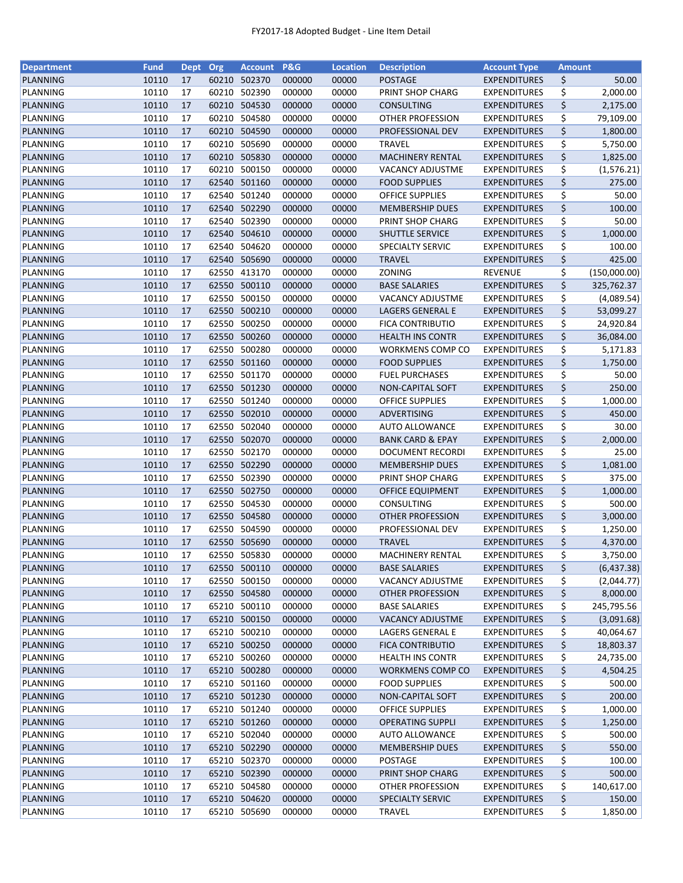| <b>Department</b> | <b>Fund</b> | Dept Org |       | Account P&G  |        | <b>Location</b> | <b>Description</b>          | <b>Account Type</b> | <b>Amount</b> |                      |
|-------------------|-------------|----------|-------|--------------|--------|-----------------|-----------------------------|---------------------|---------------|----------------------|
| PLANNING          | 10110       | 17       |       | 60210 502370 | 000000 | 00000           | <b>POSTAGE</b>              | <b>EXPENDITURES</b> | \$            | 50.00                |
| PLANNING          | 10110       | 17       | 60210 | 502390       | 000000 | 00000           | PRINT SHOP CHARG            | <b>EXPENDITURES</b> | \$            | 2,000.00             |
| PLANNING          | 10110       | 17       | 60210 | 504530       | 000000 | 00000           | <b>CONSULTING</b>           | <b>EXPENDITURES</b> | \$            | 2,175.00             |
| PLANNING          | 10110       | 17       | 60210 | 504580       | 000000 | 00000           | <b>OTHER PROFESSION</b>     | <b>EXPENDITURES</b> | \$            | 79,109.00            |
| PLANNING          | 10110       | 17       | 60210 | 504590       | 000000 | 00000           | PROFESSIONAL DEV            | <b>EXPENDITURES</b> | \$            | 1,800.00             |
| PLANNING          | 10110       | 17       | 60210 | 505690       | 000000 | 00000           | <b>TRAVEL</b>               | <b>EXPENDITURES</b> | \$            | 5,750.00             |
| PLANNING          | 10110       | 17       |       | 60210 505830 | 000000 | 00000           | <b>MACHINERY RENTAL</b>     | <b>EXPENDITURES</b> | \$            | 1,825.00             |
| PLANNING          | 10110       | 17       | 60210 | 500150       | 000000 | 00000           | VACANCY ADJUSTME            | <b>EXPENDITURES</b> | \$            | (1, 576.21)          |
| PLANNING          | 10110       | 17       | 62540 | 501160       | 000000 | 00000           | <b>FOOD SUPPLIES</b>        | <b>EXPENDITURES</b> | \$            | 275.00               |
| PLANNING          | 10110       | 17       | 62540 | 501240       | 000000 | 00000           | <b>OFFICE SUPPLIES</b>      | <b>EXPENDITURES</b> | \$            | 50.00                |
| PLANNING          | 10110       | 17       | 62540 | 502290       | 000000 | 00000           | <b>MEMBERSHIP DUES</b>      | <b>EXPENDITURES</b> | \$            | 100.00               |
| PLANNING          | 10110       | 17       |       | 62540 502390 | 000000 | 00000           | PRINT SHOP CHARG            | <b>EXPENDITURES</b> | \$            | 50.00                |
| PLANNING          | 10110       | 17       |       | 62540 504610 | 000000 | 00000           | SHUTTLE SERVICE             | <b>EXPENDITURES</b> | \$            | 1,000.00             |
| PLANNING          | 10110       | 17       | 62540 | 504620       | 000000 | 00000           | SPECIALTY SERVIC            | EXPENDITURES        | \$            | 100.00               |
| PLANNING          | 10110       | 17       | 62540 | 505690       | 000000 | 00000           | <b>TRAVEL</b>               | <b>EXPENDITURES</b> | \$            | 425.00               |
| PLANNING          | 10110       | 17       | 62550 | 413170       | 000000 | 00000           | ZONING                      | <b>REVENUE</b>      | \$            | (150,000.00)         |
| PLANNING          | 10110       | 17       | 62550 | 500110       | 000000 | 00000           | <b>BASE SALARIES</b>        | <b>EXPENDITURES</b> | \$            | 325,762.37           |
| PLANNING          | 10110       | 17       | 62550 | 500150       | 000000 | 00000           | VACANCY ADJUSTME            | <b>EXPENDITURES</b> | \$            | (4,089.54)           |
| PLANNING          | 10110       | 17       |       | 62550 500210 | 000000 | 00000           | LAGERS GENERAL E            | <b>EXPENDITURES</b> | \$            | 53,099.27            |
| PLANNING          | 10110       | 17       |       | 62550 500250 | 000000 | 00000           | <b>FICA CONTRIBUTIO</b>     | EXPENDITURES        | \$            | 24,920.84            |
| PLANNING          | 10110       | 17       |       | 62550 500260 | 000000 | 00000           | <b>HEALTH INS CONTR</b>     | <b>EXPENDITURES</b> | \$            | 36,084.00            |
| PLANNING          | 10110       | 17       |       | 62550 500280 | 000000 | 00000           | <b>WORKMENS COMP CO</b>     | <b>EXPENDITURES</b> | \$            | 5,171.83             |
| PLANNING          | 10110       | 17       |       | 62550 501160 | 000000 | 00000           | <b>FOOD SUPPLIES</b>        | <b>EXPENDITURES</b> | \$            | 1,750.00             |
| PLANNING          | 10110       | 17       |       | 62550 501170 | 000000 | 00000           | <b>FUEL PURCHASES</b>       | <b>EXPENDITURES</b> | \$            | 50.00                |
| PLANNING          | 10110       | 17       |       | 62550 501230 | 000000 | 00000           | NON-CAPITAL SOFT            | <b>EXPENDITURES</b> | \$            | 250.00               |
| PLANNING          | 10110       | 17       |       | 62550 501240 | 000000 | 00000           | <b>OFFICE SUPPLIES</b>      | <b>EXPENDITURES</b> | \$            | 1,000.00             |
| PLANNING          | 10110       | 17       |       | 62550 502010 | 000000 | 00000           | ADVERTISING                 | <b>EXPENDITURES</b> | \$            | 450.00               |
| PLANNING          | 10110       | 17       | 62550 | 502040       | 000000 | 00000           | <b>AUTO ALLOWANCE</b>       | <b>EXPENDITURES</b> | \$            | 30.00                |
| PLANNING          | 10110       | 17       | 62550 | 502070       | 000000 | 00000           | <b>BANK CARD &amp; EPAY</b> | <b>EXPENDITURES</b> | \$            | 2,000.00             |
| PLANNING          | 10110       | 17       | 62550 | 502170       | 000000 | 00000           | <b>DOCUMENT RECORDI</b>     | <b>EXPENDITURES</b> | \$            | 25.00                |
| PLANNING          | 10110       | 17       | 62550 | 502290       | 000000 | 00000           | <b>MEMBERSHIP DUES</b>      | <b>EXPENDITURES</b> | \$            | 1,081.00             |
| PLANNING          | 10110       | 17       | 62550 | 502390       | 000000 | 00000           | PRINT SHOP CHARG            | <b>EXPENDITURES</b> | \$            | 375.00               |
| PLANNING          | 10110       | 17       | 62550 | 502750       | 000000 | 00000           | <b>OFFICE EQUIPMENT</b>     | <b>EXPENDITURES</b> | \$            | 1,000.00             |
| PLANNING          | 10110       | 17       |       | 62550 504530 | 000000 | 00000           | CONSULTING                  | <b>EXPENDITURES</b> | \$            | 500.00               |
| PLANNING          | 10110       | 17       | 62550 | 504580       | 000000 | 00000           | <b>OTHER PROFESSION</b>     | <b>EXPENDITURES</b> | \$            | 3,000.00             |
| PLANNING          | 10110       | 17       | 62550 | 504590       | 000000 | 00000           | PROFESSIONAL DEV            | <b>EXPENDITURES</b> | \$            | 1,250.00             |
| <b>PLANNING</b>   | 10110       | 17       |       | 62550 505690 | 000000 | 00000           | <b>TRAVEL</b>               | <b>EXPENDITURES</b> | \$            |                      |
| PLANNING          | 10110       | 17       |       | 62550 505830 | 000000 | 00000           | MACHINERY RENTAL            | <b>EXPENDITURES</b> | \$            | 4,370.00<br>3,750.00 |
|                   |             |          |       |              |        |                 |                             |                     |               |                      |
| PLANNING          | 10110       | 17       |       | 62550 500110 | 000000 | 00000           | <b>BASE SALARIES</b>        | <b>EXPENDITURES</b> | \$            | (6,437.38)           |
| PLANNING          | 10110       | 17       |       | 62550 500150 | 000000 | 00000           | VACANCY ADJUSTME            | <b>EXPENDITURES</b> | \$            | (2,044.77)           |
| PLANNING          | 10110       | 17       |       | 62550 504580 | 000000 | 00000           | OTHER PROFESSION            | <b>EXPENDITURES</b> | \$            | 8,000.00             |
| PLANNING          | 10110       | 17       | 65210 | 500110       | 000000 | 00000           | <b>BASE SALARIES</b>        | <b>EXPENDITURES</b> | \$            | 245,795.56           |
| <b>PLANNING</b>   | 10110       | 17       |       | 65210 500150 | 000000 | 00000           | <b>VACANCY ADJUSTME</b>     | <b>EXPENDITURES</b> | \$            | (3,091.68)           |
| PLANNING          | 10110       | 17       |       | 65210 500210 | 000000 | 00000           | <b>LAGERS GENERAL E</b>     | <b>EXPENDITURES</b> | \$            | 40,064.67            |
| <b>PLANNING</b>   | 10110       | 17       |       | 65210 500250 | 000000 | 00000           | <b>FICA CONTRIBUTIO</b>     | <b>EXPENDITURES</b> | \$            | 18,803.37            |
| PLANNING          | 10110       | 17       |       | 65210 500260 | 000000 | 00000           | <b>HEALTH INS CONTR</b>     | <b>EXPENDITURES</b> | \$            | 24,735.00            |
| PLANNING          | 10110       | 17       |       | 65210 500280 | 000000 | 00000           | <b>WORKMENS COMP CO</b>     | <b>EXPENDITURES</b> | \$            | 4,504.25             |
| PLANNING          | 10110       | 17       |       | 65210 501160 | 000000 | 00000           | <b>FOOD SUPPLIES</b>        | <b>EXPENDITURES</b> | \$            | 500.00               |
| PLANNING          | 10110       | 17       |       | 65210 501230 | 000000 | 00000           | NON-CAPITAL SOFT            | <b>EXPENDITURES</b> | \$            | 200.00               |
| PLANNING          | 10110       | 17       |       | 65210 501240 | 000000 | 00000           | <b>OFFICE SUPPLIES</b>      | <b>EXPENDITURES</b> | \$            | 1,000.00             |
| PLANNING          | 10110       | 17       |       | 65210 501260 | 000000 | 00000           | <b>OPERATING SUPPLI</b>     | <b>EXPENDITURES</b> | \$            | 1,250.00             |
| PLANNING          | 10110       | 17       |       | 65210 502040 | 000000 | 00000           | <b>AUTO ALLOWANCE</b>       | <b>EXPENDITURES</b> | \$            | 500.00               |
| PLANNING          | 10110       | 17       |       | 65210 502290 | 000000 | 00000           | <b>MEMBERSHIP DUES</b>      | <b>EXPENDITURES</b> | \$            | 550.00               |
| PLANNING          | 10110       | 17       | 65210 | 502370       | 000000 | 00000           | POSTAGE                     | <b>EXPENDITURES</b> | \$            | 100.00               |
| <b>PLANNING</b>   | 10110       | 17       |       | 65210 502390 | 000000 | 00000           | PRINT SHOP CHARG            | <b>EXPENDITURES</b> | \$            | 500.00               |
| PLANNING          | 10110       | 17       |       | 65210 504580 | 000000 | 00000           | OTHER PROFESSION            | <b>EXPENDITURES</b> | \$            | 140,617.00           |
| <b>PLANNING</b>   | 10110       | 17       |       | 65210 504620 | 000000 | 00000           | <b>SPECIALTY SERVIC</b>     | <b>EXPENDITURES</b> | \$            | 150.00               |
| PLANNING          | 10110       | 17       |       | 65210 505690 | 000000 | 00000           | TRAVEL                      | <b>EXPENDITURES</b> | \$            | 1,850.00             |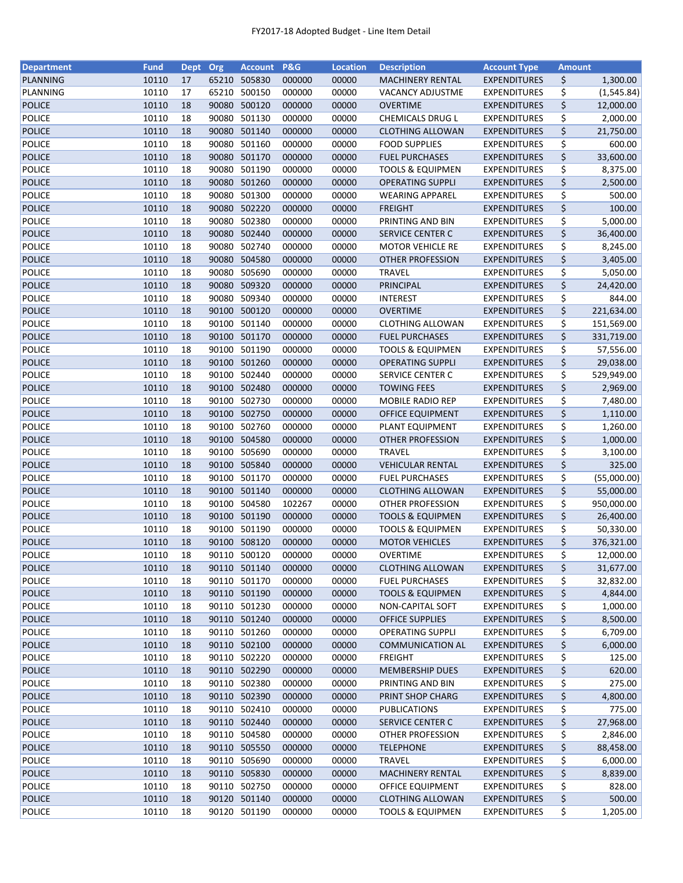| <b>Department</b> | <b>Fund</b> | <b>Dept</b> | Org   | <b>Account</b> | <b>P&amp;G</b> | <b>Location</b> | <b>Description</b>          | <b>Account Type</b> | <b>Amount</b> |             |
|-------------------|-------------|-------------|-------|----------------|----------------|-----------------|-----------------------------|---------------------|---------------|-------------|
| PLANNING          | 10110       | 17          |       | 65210 505830   | 000000         | 00000           | <b>MACHINERY RENTAL</b>     | <b>EXPENDITURES</b> | \$            | 1,300.00    |
| PLANNING          | 10110       | 17          | 65210 | 500150         | 000000         | 00000           | <b>VACANCY ADJUSTME</b>     | <b>EXPENDITURES</b> | \$            | (1, 545.84) |
| <b>POLICE</b>     | 10110       | 18          | 90080 | 500120         | 000000         | 00000           | <b>OVERTIME</b>             | <b>EXPENDITURES</b> | \$            | 12,000.00   |
| <b>POLICE</b>     | 10110       | 18          | 90080 | 501130         | 000000         | 00000           | CHEMICALS DRUG L            | <b>EXPENDITURES</b> | \$            | 2,000.00    |
| <b>POLICE</b>     | 10110       | 18          |       | 90080 501140   | 000000         | 00000           | <b>CLOTHING ALLOWAN</b>     | <b>EXPENDITURES</b> | \$            | 21,750.00   |
| <b>POLICE</b>     | 10110       | 18          |       | 90080 501160   | 000000         | 00000           | <b>FOOD SUPPLIES</b>        | <b>EXPENDITURES</b> | \$            | 600.00      |
| <b>POLICE</b>     | 10110       | 18          |       | 90080 501170   | 000000         | 00000           | <b>FUEL PURCHASES</b>       | <b>EXPENDITURES</b> | \$            | 33,600.00   |
| <b>POLICE</b>     | 10110       | 18          |       | 90080 501190   | 000000         | 00000           | <b>TOOLS &amp; EQUIPMEN</b> | <b>EXPENDITURES</b> | \$            | 8,375.00    |
| <b>POLICE</b>     | 10110       | 18          |       | 90080 501260   | 000000         | 00000           | <b>OPERATING SUPPLI</b>     | <b>EXPENDITURES</b> | \$            | 2,500.00    |
| <b>POLICE</b>     | 10110       | 18          | 90080 | 501300         | 000000         | 00000           | <b>WEARING APPAREL</b>      | <b>EXPENDITURES</b> | \$            | 500.00      |
| <b>POLICE</b>     | 10110       | 18          |       | 90080 502220   | 000000         | 00000           | <b>FREIGHT</b>              | <b>EXPENDITURES</b> | \$            | 100.00      |
| <b>POLICE</b>     | 10110       | 18          | 90080 | 502380         | 000000         | 00000           | PRINTING AND BIN            | <b>EXPENDITURES</b> | \$            | 5,000.00    |
| <b>POLICE</b>     | 10110       | 18          |       | 90080 502440   | 000000         | 00000           | <b>SERVICE CENTER C</b>     | <b>EXPENDITURES</b> | \$            | 36,400.00   |
| <b>POLICE</b>     | 10110       | 18          | 90080 | 502740         | 000000         | 00000           | <b>MOTOR VEHICLE RE</b>     | <b>EXPENDITURES</b> | \$            | 8,245.00    |
| <b>POLICE</b>     | 10110       | 18          | 90080 | 504580         | 000000         | 00000           | OTHER PROFESSION            | <b>EXPENDITURES</b> | \$            | 3,405.00    |
| <b>POLICE</b>     | 10110       | 18          | 90080 | 505690         | 000000         | 00000           | <b>TRAVEL</b>               | <b>EXPENDITURES</b> | \$            | 5,050.00    |
| <b>POLICE</b>     | 10110       | 18          | 90080 | 509320         | 000000         | 00000           | <b>PRINCIPAL</b>            | <b>EXPENDITURES</b> | \$            | 24,420.00   |
| POLICE            | 10110       | 18          | 90080 | 509340         | 000000         | 00000           | <b>INTEREST</b>             | <b>EXPENDITURES</b> | \$            | 844.00      |
| <b>POLICE</b>     | 10110       | 18          |       | 90100 500120   | 000000         | 00000           | <b>OVERTIME</b>             | <b>EXPENDITURES</b> | \$            | 221,634.00  |
| <b>POLICE</b>     | 10110       | 18          |       | 90100 501140   | 000000         | 00000           | <b>CLOTHING ALLOWAN</b>     | <b>EXPENDITURES</b> | \$            | 151,569.00  |
| <b>POLICE</b>     | 10110       | 18          |       | 90100 501170   | 000000         | 00000           | <b>FUEL PURCHASES</b>       | <b>EXPENDITURES</b> | \$            | 331,719.00  |
| <b>POLICE</b>     | 10110       | 18          |       | 90100 501190   | 000000         | 00000           | <b>TOOLS &amp; EQUIPMEN</b> | <b>EXPENDITURES</b> | \$            | 57,556.00   |
| <b>POLICE</b>     | 10110       | 18          |       | 90100 501260   | 000000         | 00000           | <b>OPERATING SUPPLI</b>     | <b>EXPENDITURES</b> | \$            | 29,038.00   |
| <b>POLICE</b>     | 10110       | 18          | 90100 | 502440         | 000000         | 00000           | SERVICE CENTER C            | <b>EXPENDITURES</b> | \$            | 529,949.00  |
| <b>POLICE</b>     | 10110       | 18          |       | 90100 502480   | 000000         | 00000           | <b>TOWING FEES</b>          | <b>EXPENDITURES</b> | \$            | 2,969.00    |
| <b>POLICE</b>     | 10110       | 18          |       | 90100 502730   | 000000         | 00000           | MOBILE RADIO REP            | <b>EXPENDITURES</b> | \$            | 7,480.00    |
| <b>POLICE</b>     | 10110       | 18          | 90100 | 502750         | 000000         | 00000           | OFFICE EQUIPMENT            | <b>EXPENDITURES</b> | \$            | 1,110.00    |
| <b>POLICE</b>     | 10110       | 18          | 90100 | 502760         | 000000         | 00000           | PLANT EQUIPMENT             | <b>EXPENDITURES</b> | \$            | 1,260.00    |
| <b>POLICE</b>     | 10110       | 18          |       | 90100 504580   | 000000         | 00000           | <b>OTHER PROFESSION</b>     | <b>EXPENDITURES</b> | \$            | 1,000.00    |
| <b>POLICE</b>     | 10110       | 18          | 90100 | 505690         | 000000         | 00000           | <b>TRAVEL</b>               | <b>EXPENDITURES</b> | \$            | 3,100.00    |
| <b>POLICE</b>     | 10110       | 18          |       | 90100 505840   | 000000         | 00000           | <b>VEHICULAR RENTAL</b>     | <b>EXPENDITURES</b> | \$            | 325.00      |
| <b>POLICE</b>     | 10110       | 18          |       | 90100 501170   | 000000         | 00000           | <b>FUEL PURCHASES</b>       | <b>EXPENDITURES</b> | \$            | (55,000.00) |
| <b>POLICE</b>     | 10110       | 18          |       | 90100 501140   | 000000         | 00000           | <b>CLOTHING ALLOWAN</b>     | <b>EXPENDITURES</b> | \$            | 55,000.00   |
| <b>POLICE</b>     | 10110       | 18          |       | 90100 504580   | 102267         | 00000           | <b>OTHER PROFESSION</b>     | <b>EXPENDITURES</b> | \$            | 950,000.00  |
| <b>POLICE</b>     | 10110       | 18          |       | 90100 501190   | 000000         | 00000           | <b>TOOLS &amp; EQUIPMEN</b> | <b>EXPENDITURES</b> | \$            | 26,400.00   |
| <b>POLICE</b>     | 10110       | 18          |       | 90100 501190   | 000000         | 00000           | <b>TOOLS &amp; EQUIPMEN</b> | <b>EXPENDITURES</b> | \$            | 50,330.00   |
| <b>POLICE</b>     | 10110       | 18          |       | 90100 508120   | 000000         | 00000           | <b>MOTOR VEHICLES</b>       | <b>EXPENDITURES</b> | \$            | 376,321.00  |
| <b>POLICE</b>     | 10110       | 18          |       | 90110 500120   | 000000         | 00000           | <b>OVERTIME</b>             | <b>EXPENDITURES</b> | \$            | 12,000.00   |
| <b>POLICE</b>     | 10110       | 18          |       | 90110 501140   | 000000         | 00000           | <b>CLOTHING ALLOWAN</b>     | <b>EXPENDITURES</b> | \$            | 31,677.00   |
| POLICE            | 10110       | 18          |       | 90110 501170   | 000000         | 00000           | <b>FUEL PURCHASES</b>       | <b>EXPENDITURES</b> | \$            | 32,832.00   |
| <b>POLICE</b>     | 10110       | 18          |       | 90110 501190   | 000000         | 00000           | <b>TOOLS &amp; EQUIPMEN</b> | <b>EXPENDITURES</b> | \$            | 4,844.00    |
| POLICE            | 10110       | 18          |       | 90110 501230   | 000000         | 00000           | NON-CAPITAL SOFT            | <b>EXPENDITURES</b> | \$            | 1,000.00    |
| <b>POLICE</b>     | 10110       | 18          |       | 90110 501240   | 000000         | 00000           | <b>OFFICE SUPPLIES</b>      | <b>EXPENDITURES</b> | \$            | 8,500.00    |
| POLICE            | 10110       | 18          |       | 90110 501260   | 000000         | 00000           | <b>OPERATING SUPPLI</b>     | <b>EXPENDITURES</b> | \$            | 6,709.00    |
| <b>POLICE</b>     | 10110       | 18          |       | 90110 502100   | 000000         | 00000           | <b>COMMUNICATION AL</b>     | <b>EXPENDITURES</b> | \$            | 6,000.00    |
| <b>POLICE</b>     | 10110       | 18          |       | 90110 502220   | 000000         | 00000           | <b>FREIGHT</b>              | <b>EXPENDITURES</b> | \$            | 125.00      |
| <b>POLICE</b>     | 10110       | 18          |       | 90110 502290   | 000000         | 00000           | <b>MEMBERSHIP DUES</b>      | <b>EXPENDITURES</b> | \$            | 620.00      |
|                   | 10110       |             |       | 90110 502380   |                |                 | PRINTING AND BIN            | <b>EXPENDITURES</b> |               | 275.00      |
| <b>POLICE</b>     | 10110       | 18          |       | 90110 502390   | 000000         | 00000<br>00000  |                             | <b>EXPENDITURES</b> | \$            |             |
| <b>POLICE</b>     |             | 18          |       |                | 000000         |                 | PRINT SHOP CHARG            |                     | \$            | 4,800.00    |
| POLICE            | 10110       | 18          |       | 90110 502410   | 000000         | 00000           | <b>PUBLICATIONS</b>         | <b>EXPENDITURES</b> | \$            | 775.00      |
| <b>POLICE</b>     | 10110       | 18          |       | 90110 502440   | 000000         | 00000           | SERVICE CENTER C            | <b>EXPENDITURES</b> | \$            | 27,968.00   |
| POLICE            | 10110       | 18          |       | 90110 504580   | 000000         | 00000           | OTHER PROFESSION            | <b>EXPENDITURES</b> | \$            | 2,846.00    |
| <b>POLICE</b>     | 10110       | 18          |       | 90110 505550   | 000000         | 00000           | <b>TELEPHONE</b>            | <b>EXPENDITURES</b> | \$            | 88,458.00   |
| POLICE            | 10110       | 18          |       | 90110 505690   | 000000         | 00000           | <b>TRAVEL</b>               | <b>EXPENDITURES</b> | \$            | 6,000.00    |
| <b>POLICE</b>     | 10110       | 18          |       | 90110 505830   | 000000         | 00000           | <b>MACHINERY RENTAL</b>     | <b>EXPENDITURES</b> | \$            | 8,839.00    |
| POLICE            | 10110       | 18          |       | 90110 502750   | 000000         | 00000           | OFFICE EQUIPMENT            | <b>EXPENDITURES</b> | \$            | 828.00      |
| <b>POLICE</b>     | 10110       | 18          |       | 90120 501140   | 000000         | 00000           | <b>CLOTHING ALLOWAN</b>     | <b>EXPENDITURES</b> | \$            | 500.00      |
| POLICE            | 10110       | 18          |       | 90120 501190   | 000000         | 00000           | TOOLS & EQUIPMEN            | <b>EXPENDITURES</b> | \$            | 1,205.00    |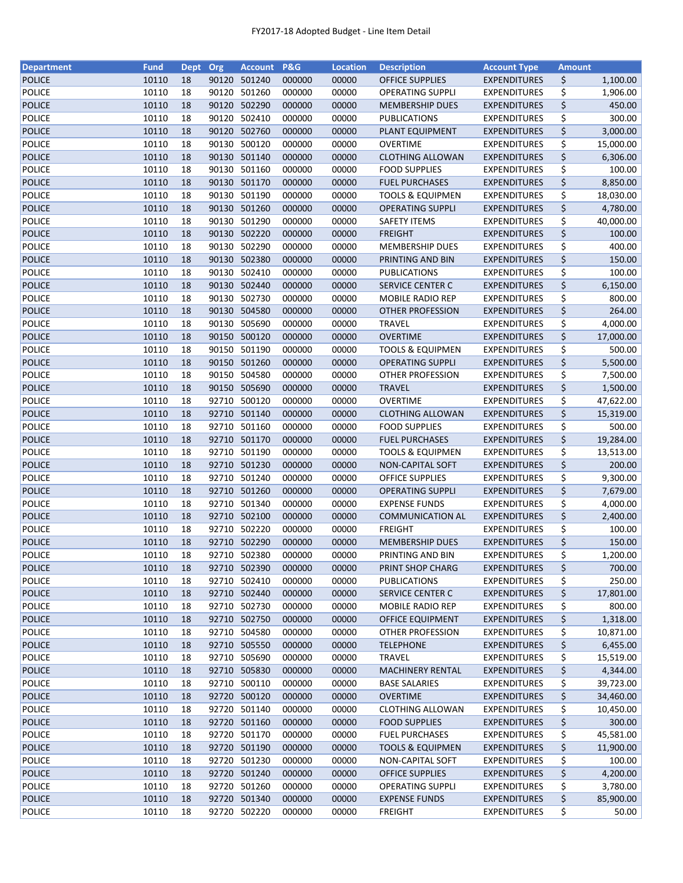| <b>Department</b> | <b>Fund</b> | <b>Dept</b> | Org   | <b>Account</b>               | <b>P&amp;G</b> | <b>Location</b> | <b>Description</b>          | <b>Account Type</b> | <b>Amount</b> |           |
|-------------------|-------------|-------------|-------|------------------------------|----------------|-----------------|-----------------------------|---------------------|---------------|-----------|
| <b>POLICE</b>     | 10110       | 18          |       | 90120 501240                 | 000000         | 00000           | <b>OFFICE SUPPLIES</b>      | <b>EXPENDITURES</b> | \$            | 1,100.00  |
| <b>POLICE</b>     | 10110       | 18          |       | 90120 501260                 | 000000         | 00000           | <b>OPERATING SUPPLI</b>     | <b>EXPENDITURES</b> | \$            | 1,906.00  |
| <b>POLICE</b>     | 10110       | 18          | 90120 | 502290                       | 000000         | 00000           | <b>MEMBERSHIP DUES</b>      | <b>EXPENDITURES</b> | \$            | 450.00    |
| POLICE            | 10110       | 18          | 90120 | 502410                       | 000000         | 00000           | PUBLICATIONS                | <b>EXPENDITURES</b> | \$            | 300.00    |
| <b>POLICE</b>     | 10110       | 18          |       | 90120 502760                 | 000000         | 00000           | PLANT EQUIPMENT             | <b>EXPENDITURES</b> | \$            | 3,000.00  |
| POLICE            | 10110       | 18          |       | 90130 500120                 | 000000         | 00000           | <b>OVERTIME</b>             | <b>EXPENDITURES</b> | \$            | 15,000.00 |
| <b>POLICE</b>     | 10110       | 18          |       | 90130 501140                 | 000000         | 00000           | <b>CLOTHING ALLOWAN</b>     | <b>EXPENDITURES</b> | \$            | 6,306.00  |
| <b>POLICE</b>     | 10110       | 18          |       | 90130 501160                 | 000000         | 00000           | <b>FOOD SUPPLIES</b>        | <b>EXPENDITURES</b> | \$            | 100.00    |
| <b>POLICE</b>     | 10110       | 18          |       | 90130 501170                 | 000000         | 00000           | <b>FUEL PURCHASES</b>       | <b>EXPENDITURES</b> | \$            | 8,850.00  |
| <b>POLICE</b>     | 10110       | 18          |       | 90130 501190                 | 000000         | 00000           | <b>TOOLS &amp; EQUIPMEN</b> | <b>EXPENDITURES</b> | \$            | 18,030.00 |
| <b>POLICE</b>     | 10110       | 18          |       | 90130 501260                 | 000000         | 00000           | <b>OPERATING SUPPLI</b>     | <b>EXPENDITURES</b> | \$            | 4,780.00  |
| <b>POLICE</b>     | 10110       | 18          |       | 90130 501290                 | 000000         | 00000           | <b>SAFETY ITEMS</b>         | EXPENDITURES        | \$            | 40,000.00 |
| <b>POLICE</b>     | 10110       | 18          |       | 90130 502220                 | 000000         | 00000           | <b>FREIGHT</b>              | <b>EXPENDITURES</b> | \$            | 100.00    |
| <b>POLICE</b>     | 10110       | 18          |       | 90130 502290                 | 000000         | 00000           | <b>MEMBERSHIP DUES</b>      | EXPENDITURES        | \$            | 400.00    |
| <b>POLICE</b>     | 10110       | 18          |       | 90130 502380                 | 000000         | 00000           | PRINTING AND BIN            | <b>EXPENDITURES</b> | \$            | 150.00    |
| <b>POLICE</b>     | 10110       | 18          | 90130 | 502410                       | 000000         | 00000           | PUBLICATIONS                | <b>EXPENDITURES</b> | \$            | 100.00    |
| <b>POLICE</b>     | 10110       | 18          |       | 90130 502440                 | 000000         | 00000           | <b>SERVICE CENTER C</b>     | <b>EXPENDITURES</b> | \$            | 6,150.00  |
| <b>POLICE</b>     | 10110       | 18          |       | 90130 502730                 | 000000         | 00000           | <b>MOBILE RADIO REP</b>     | EXPENDITURES        | \$            | 800.00    |
| <b>POLICE</b>     | 10110       | 18          |       | 90130 504580                 | 000000         | 00000           | <b>OTHER PROFESSION</b>     | <b>EXPENDITURES</b> | \$            | 264.00    |
| POLICE            | 10110       | 18          |       | 90130 505690                 | 000000         | 00000           | <b>TRAVEL</b>               | <b>EXPENDITURES</b> | \$            | 4,000.00  |
| <b>POLICE</b>     | 10110       | 18          |       | 90150 500120                 | 000000         | 00000           | <b>OVERTIME</b>             | <b>EXPENDITURES</b> | \$            | 17,000.00 |
| <b>POLICE</b>     | 10110       | 18          |       | 90150 501190                 | 000000         | 00000           | <b>TOOLS &amp; EQUIPMEN</b> | <b>EXPENDITURES</b> | \$            | 500.00    |
| <b>POLICE</b>     | 10110       | 18          |       | 90150 501260                 | 000000         | 00000           | <b>OPERATING SUPPLI</b>     | <b>EXPENDITURES</b> | \$            | 5,500.00  |
| <b>POLICE</b>     | 10110       | 18          |       | 90150 504580                 | 000000         | 00000           | OTHER PROFESSION            | <b>EXPENDITURES</b> | \$            | 7,500.00  |
| <b>POLICE</b>     | 10110       | 18          |       | 90150 505690                 | 000000         | 00000           | <b>TRAVEL</b>               | <b>EXPENDITURES</b> | \$            | 1,500.00  |
| <b>POLICE</b>     | 10110       | 18          |       | 92710 500120                 | 000000         | 00000           | <b>OVERTIME</b>             | <b>EXPENDITURES</b> | \$            | 47,622.00 |
| <b>POLICE</b>     | 10110       | 18          |       | 92710 501140                 | 000000         | 00000           | <b>CLOTHING ALLOWAN</b>     | <b>EXPENDITURES</b> | \$            | 15,319.00 |
| <b>POLICE</b>     | 10110       | 18          | 92710 | 501160                       | 000000         | 00000           | <b>FOOD SUPPLIES</b>        | <b>EXPENDITURES</b> | \$            | 500.00    |
| <b>POLICE</b>     | 10110       | 18          | 92710 | 501170                       | 000000         | 00000           | <b>FUEL PURCHASES</b>       | <b>EXPENDITURES</b> | \$            | 19,284.00 |
| <b>POLICE</b>     | 10110       | 18          | 92710 | 501190                       | 000000         | 00000           | <b>TOOLS &amp; EQUIPMEN</b> | <b>EXPENDITURES</b> | \$            | 13,513.00 |
| <b>POLICE</b>     | 10110       | 18          |       | 92710 501230                 | 000000         | 00000           | <b>NON-CAPITAL SOFT</b>     | <b>EXPENDITURES</b> | \$            | 200.00    |
| <b>POLICE</b>     | 10110       | 18          |       | 92710 501240                 | 000000         | 00000           | <b>OFFICE SUPPLIES</b>      | <b>EXPENDITURES</b> | \$            | 9,300.00  |
| <b>POLICE</b>     | 10110       | 18          |       | 92710 501260                 | 000000         | 00000           | <b>OPERATING SUPPLI</b>     | <b>EXPENDITURES</b> | \$            | 7,679.00  |
| <b>POLICE</b>     | 10110       | 18          |       | 92710 501340                 | 000000         | 00000           | <b>EXPENSE FUNDS</b>        | <b>EXPENDITURES</b> | \$            | 4,000.00  |
| <b>POLICE</b>     | 10110       | 18          |       | 92710 502100                 | 000000         | 00000           | <b>COMMUNICATION AL</b>     | <b>EXPENDITURES</b> | \$            | 2,400.00  |
| <b>POLICE</b>     | 10110       | 18          |       | 92710 502220                 | 000000         | 00000           | <b>FREIGHT</b>              | <b>EXPENDITURES</b> | \$            | 100.00    |
| <b>POLICE</b>     | 10110       | 18          |       | 92710 502290                 | 000000         | 00000           | <b>MEMBERSHIP DUES</b>      | <b>EXPENDITURES</b> | \$            | 150.00    |
| <b>POLICE</b>     | 10110       | 18          |       | 92710 502380                 | 000000         | 00000           | PRINTING AND BIN            | <b>EXPENDITURES</b> | \$            | 1,200.00  |
| <b>POLICE</b>     | 10110       |             |       |                              |                |                 |                             |                     |               | 700.00    |
|                   |             | 18          |       | 92710 502390                 | 000000         | 00000           | PRINT SHOP CHARG            | <b>EXPENDITURES</b> | \$            |           |
| POLICE            | 10110       | 18          |       | 92710 502410                 | 000000         | 00000           | PUBLICATIONS                | <b>EXPENDITURES</b> | \$            | 250.00    |
| <b>POLICE</b>     | 10110       | 18          |       | 92710 502440<br>92710 502730 | 000000         | 00000           | <b>SERVICE CENTER C</b>     | <b>EXPENDITURES</b> | \$            | 17,801.00 |
| POLICE            | 10110       | 18          |       |                              | 000000         | 00000           | <b>MOBILE RADIO REP</b>     | <b>EXPENDITURES</b> | \$            | 800.00    |
| <b>POLICE</b>     | 10110       | 18          |       | 92710 502750                 | 000000         | 00000           | <b>OFFICE EQUIPMENT</b>     | <b>EXPENDITURES</b> | \$            | 1,318.00  |
| POLICE            | 10110       | 18          |       | 92710 504580                 | 000000         | 00000           | OTHER PROFESSION            | <b>EXPENDITURES</b> | \$            | 10,871.00 |
| <b>POLICE</b>     | 10110       | 18          |       | 92710 505550                 | 000000         | 00000           | <b>TELEPHONE</b>            | <b>EXPENDITURES</b> | \$            | 6,455.00  |
| <b>POLICE</b>     | 10110       | 18          |       | 92710 505690                 | 000000         | 00000           | TRAVEL                      | <b>EXPENDITURES</b> | \$            | 15,519.00 |
| <b>POLICE</b>     | 10110       | 18          |       | 92710 505830                 | 000000         | 00000           | <b>MACHINERY RENTAL</b>     | <b>EXPENDITURES</b> | \$            | 4,344.00  |
| POLICE            | 10110       | 18          |       | 92710 500110                 | 000000         | 00000           | <b>BASE SALARIES</b>        | <b>EXPENDITURES</b> | \$            | 39,723.00 |
| <b>POLICE</b>     | 10110       | 18          |       | 92720 500120                 | 000000         | 00000           | <b>OVERTIME</b>             | <b>EXPENDITURES</b> | \$            | 34,460.00 |
| POLICE            | 10110       | 18          |       | 92720 501140                 | 000000         | 00000           | <b>CLOTHING ALLOWAN</b>     | <b>EXPENDITURES</b> | \$            | 10,450.00 |
| <b>POLICE</b>     | 10110       | 18          |       | 92720 501160                 | 000000         | 00000           | <b>FOOD SUPPLIES</b>        | <b>EXPENDITURES</b> | \$            | 300.00    |
| POLICE            | 10110       | 18          |       | 92720 501170                 | 000000         | 00000           | <b>FUEL PURCHASES</b>       | <b>EXPENDITURES</b> | \$            | 45,581.00 |
| <b>POLICE</b>     | 10110       | 18          |       | 92720 501190                 | 000000         | 00000           | <b>TOOLS &amp; EQUIPMEN</b> | <b>EXPENDITURES</b> | \$            | 11,900.00 |
| <b>POLICE</b>     | 10110       | 18          |       | 92720 501230                 | 000000         | 00000           | NON-CAPITAL SOFT            | <b>EXPENDITURES</b> | \$            | 100.00    |
| <b>POLICE</b>     | 10110       | 18          |       | 92720 501240                 | 000000         | 00000           | <b>OFFICE SUPPLIES</b>      | <b>EXPENDITURES</b> | \$            | 4,200.00  |
| POLICE            | 10110       | 18          |       | 92720 501260                 | 000000         | 00000           | OPERATING SUPPLI            | <b>EXPENDITURES</b> | \$            | 3,780.00  |
| <b>POLICE</b>     | 10110       | 18          |       | 92720 501340                 | 000000         | 00000           | <b>EXPENSE FUNDS</b>        | <b>EXPENDITURES</b> | \$            | 85,900.00 |
| POLICE            | 10110       | 18          |       | 92720 502220                 | 000000         | 00000           | <b>FREIGHT</b>              | <b>EXPENDITURES</b> | \$            | 50.00     |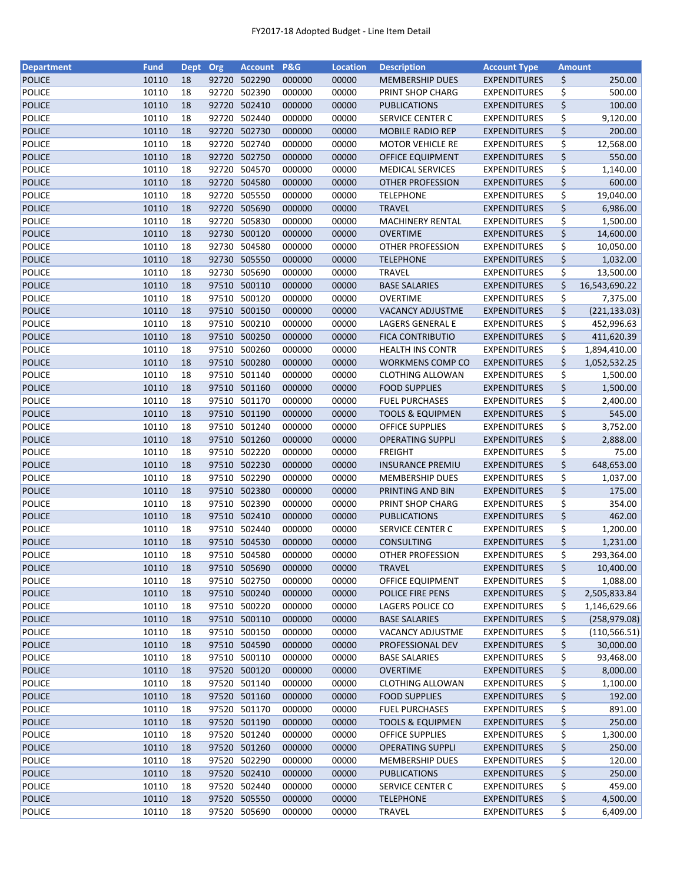| <b>Department</b>              | <b>Fund</b> | <b>Dept</b> | Org   | Account P&G  |        | <b>Location</b> | <b>Description</b>          | <b>Account Type</b> | <b>Amount</b>       |
|--------------------------------|-------------|-------------|-------|--------------|--------|-----------------|-----------------------------|---------------------|---------------------|
| <b>POLICE</b>                  | 10110       | 18          |       | 92720 502290 | 000000 | 00000           | <b>MEMBERSHIP DUES</b>      | <b>EXPENDITURES</b> | \$<br>250.00        |
| <b>POLICE</b>                  | 10110       | 18          | 92720 | 502390       | 000000 | 00000           | PRINT SHOP CHARG            | <b>EXPENDITURES</b> | \$<br>500.00        |
| <b>POLICE</b>                  | 10110       | 18          | 92720 | 502410       | 000000 | 00000           | <b>PUBLICATIONS</b>         | <b>EXPENDITURES</b> | \$<br>100.00        |
| <b>POLICE</b>                  | 10110       | 18          | 92720 | 502440       | 000000 | 00000           | <b>SERVICE CENTER C</b>     | <b>EXPENDITURES</b> | \$<br>9,120.00      |
| <b>POLICE</b>                  | 10110       | 18          |       | 92720 502730 | 000000 | 00000           | MOBILE RADIO REP            | <b>EXPENDITURES</b> | \$<br>200.00        |
| POLICE                         | 10110       | 18          |       | 92720 502740 | 000000 | 00000           | <b>MOTOR VEHICLE RE</b>     | <b>EXPENDITURES</b> | \$<br>12,568.00     |
| <b>POLICE</b>                  | 10110       | 18          |       | 92720 502750 | 000000 | 00000           | <b>OFFICE EQUIPMENT</b>     | <b>EXPENDITURES</b> | \$<br>550.00        |
| <b>POLICE</b>                  | 10110       | 18          |       | 92720 504570 | 000000 | 00000           | <b>MEDICAL SERVICES</b>     | <b>EXPENDITURES</b> | \$<br>1,140.00      |
| <b>POLICE</b>                  | 10110       | 18          |       | 92720 504580 | 000000 | 00000           | <b>OTHER PROFESSION</b>     | <b>EXPENDITURES</b> | \$<br>600.00        |
| <b>POLICE</b>                  | 10110       | 18          | 92720 | 505550       | 000000 | 00000           | <b>TELEPHONE</b>            | <b>EXPENDITURES</b> | \$<br>19,040.00     |
| <b>POLICE</b>                  | 10110       | 18          |       | 92720 505690 | 000000 | 00000           | <b>TRAVEL</b>               | <b>EXPENDITURES</b> | \$<br>6,986.00      |
| <b>POLICE</b>                  | 10110       | 18          |       | 92720 505830 | 000000 | 00000           | <b>MACHINERY RENTAL</b>     | <b>EXPENDITURES</b> | \$<br>1,500.00      |
| <b>POLICE</b>                  | 10110       | 18          |       | 92730 500120 | 000000 | 00000           | <b>OVERTIME</b>             | <b>EXPENDITURES</b> | \$<br>14,600.00     |
| POLICE                         | 10110       | 18          |       | 92730 504580 | 000000 | 00000           | <b>OTHER PROFESSION</b>     | <b>EXPENDITURES</b> | \$<br>10,050.00     |
| <b>POLICE</b>                  | 10110       | 18          |       | 92730 505550 | 000000 | 00000           | <b>TELEPHONE</b>            | <b>EXPENDITURES</b> | \$<br>1,032.00      |
| <b>POLICE</b>                  | 10110       | 18          | 92730 | 505690       | 000000 | 00000           | <b>TRAVEL</b>               | <b>EXPENDITURES</b> | \$<br>13,500.00     |
| <b>POLICE</b>                  | 10110       | 18          |       | 97510 500110 | 000000 | 00000           | <b>BASE SALARIES</b>        | <b>EXPENDITURES</b> | \$<br>16,543,690.22 |
| <b>POLICE</b>                  | 10110       | 18          |       | 97510 500120 | 000000 | 00000           | <b>OVERTIME</b>             | <b>EXPENDITURES</b> | \$<br>7,375.00      |
| <b>POLICE</b>                  | 10110       | 18          |       | 97510 500150 | 000000 | 00000           | <b>VACANCY ADJUSTME</b>     | <b>EXPENDITURES</b> | \$<br>(221, 133.03) |
| <b>POLICE</b>                  | 10110       | 18          |       | 97510 500210 | 000000 | 00000           | LAGERS GENERAL E            | <b>EXPENDITURES</b> | \$<br>452,996.63    |
| <b>POLICE</b>                  | 10110       | 18          |       | 97510 500250 | 000000 | 00000           | <b>FICA CONTRIBUTIO</b>     | <b>EXPENDITURES</b> | \$<br>411,620.39    |
|                                | 10110       | 18          |       | 97510 500260 | 000000 | 00000           |                             |                     | \$                  |
| <b>POLICE</b><br><b>POLICE</b> |             |             |       | 97510 500280 |        |                 | <b>HEALTH INS CONTR</b>     | <b>EXPENDITURES</b> | 1,894,410.00        |
|                                | 10110       | 18          |       |              | 000000 | 00000           | <b>WORKMENS COMP CO</b>     | <b>EXPENDITURES</b> | \$<br>1,052,532.25  |
| <b>POLICE</b>                  | 10110       | 18          |       | 97510 501140 | 000000 | 00000           | <b>CLOTHING ALLOWAN</b>     | <b>EXPENDITURES</b> | \$<br>1,500.00      |
| <b>POLICE</b>                  | 10110       | 18          |       | 97510 501160 | 000000 | 00000           | <b>FOOD SUPPLIES</b>        | <b>EXPENDITURES</b> | \$<br>1,500.00      |
| <b>POLICE</b>                  | 10110       | 18          |       | 97510 501170 | 000000 | 00000           | <b>FUEL PURCHASES</b>       | <b>EXPENDITURES</b> | \$<br>2,400.00      |
| <b>POLICE</b>                  | 10110       | 18          |       | 97510 501190 | 000000 | 00000           | <b>TOOLS &amp; EQUIPMEN</b> | <b>EXPENDITURES</b> | \$<br>545.00        |
| <b>POLICE</b>                  | 10110       | 18          | 97510 | 501240       | 000000 | 00000           | <b>OFFICE SUPPLIES</b>      | <b>EXPENDITURES</b> | \$<br>3,752.00      |
| <b>POLICE</b>                  | 10110       | 18          | 97510 | 501260       | 000000 | 00000           | <b>OPERATING SUPPLI</b>     | <b>EXPENDITURES</b> | \$<br>2,888.00      |
| <b>POLICE</b>                  | 10110       | 18          | 97510 | 502220       | 000000 | 00000           | <b>FREIGHT</b>              | <b>EXPENDITURES</b> | \$<br>75.00         |
| <b>POLICE</b>                  | 10110       | 18          |       | 97510 502230 | 000000 | 00000           | <b>INSURANCE PREMIU</b>     | <b>EXPENDITURES</b> | \$<br>648,653.00    |
| <b>POLICE</b>                  | 10110       | 18          |       | 97510 502290 | 000000 | 00000           | <b>MEMBERSHIP DUES</b>      | <b>EXPENDITURES</b> | \$<br>1,037.00      |
| <b>POLICE</b>                  | 10110       | 18          |       | 97510 502380 | 000000 | 00000           | PRINTING AND BIN            | <b>EXPENDITURES</b> | \$<br>175.00        |
| <b>POLICE</b>                  | 10110       | 18          |       | 97510 502390 | 000000 | 00000           | PRINT SHOP CHARG            | <b>EXPENDITURES</b> | \$<br>354.00        |
| <b>POLICE</b>                  | 10110       | 18          |       | 97510 502410 | 000000 | 00000           | <b>PUBLICATIONS</b>         | <b>EXPENDITURES</b> | \$<br>462.00        |
| <b>POLICE</b>                  | 10110       | 18          |       | 97510 502440 | 000000 | 00000           | <b>SERVICE CENTER C</b>     | <b>EXPENDITURES</b> | \$<br>1,200.00      |
| <b>POLICE</b>                  | 10110       | 18          |       | 97510 504530 | 000000 | 00000           | <b>CONSULTING</b>           | <b>EXPENDITURES</b> | \$<br>1,231.00      |
| <b>POLICE</b>                  | 10110       | 18          |       | 97510 504580 | 000000 | 00000           | OTHER PROFESSION            | <b>EXPENDITURES</b> | \$<br>293,364.00    |
| <b>POLICE</b>                  | 10110       | 18          |       | 97510 505690 | 000000 | 00000           | <b>TRAVEL</b>               | <b>EXPENDITURES</b> | \$<br>10,400.00     |
| POLICE                         | 10110       | 18          |       | 97510 502750 | 000000 | 00000           | OFFICE EQUIPMENT            | <b>EXPENDITURES</b> | \$<br>1,088.00      |
| <b>POLICE</b>                  | 10110       | 18          |       | 97510 500240 | 000000 | 00000           | POLICE FIRE PENS            | <b>EXPENDITURES</b> | \$<br>2,505,833.84  |
| POLICE                         | 10110       | 18          |       | 97510 500220 | 000000 | 00000           | LAGERS POLICE CO            | <b>EXPENDITURES</b> | \$<br>1,146,629.66  |
| <b>POLICE</b>                  | 10110       | 18          |       | 97510 500110 | 000000 | 00000           | <b>BASE SALARIES</b>        | <b>EXPENDITURES</b> | \$<br>(258, 979.08) |
| POLICE                         | 10110       | 18          |       | 97510 500150 | 000000 | 00000           | <b>VACANCY ADJUSTME</b>     | <b>EXPENDITURES</b> | \$<br>(110, 566.51) |
| <b>POLICE</b>                  | 10110       | 18          |       | 97510 504590 | 000000 | 00000           | PROFESSIONAL DEV            | <b>EXPENDITURES</b> | \$<br>30,000.00     |
| <b>POLICE</b>                  | 10110       | 18          |       | 97510 500110 | 000000 | 00000           | <b>BASE SALARIES</b>        | <b>EXPENDITURES</b> | \$<br>93,468.00     |
| <b>POLICE</b>                  | 10110       | 18          |       | 97520 500120 | 000000 | 00000           | <b>OVERTIME</b>             | <b>EXPENDITURES</b> | \$<br>8,000.00      |
| POLICE                         | 10110       | 18          |       | 97520 501140 | 000000 | 00000           | <b>CLOTHING ALLOWAN</b>     | <b>EXPENDITURES</b> | \$<br>1,100.00      |
| <b>POLICE</b>                  | 10110       | 18          |       | 97520 501160 | 000000 | 00000           | <b>FOOD SUPPLIES</b>        | <b>EXPENDITURES</b> | \$<br>192.00        |
| <b>POLICE</b>                  | 10110       | 18          |       | 97520 501170 | 000000 | 00000           | <b>FUEL PURCHASES</b>       | <b>EXPENDITURES</b> | \$<br>891.00        |
| <b>POLICE</b>                  | 10110       | 18          |       | 97520 501190 | 000000 | 00000           | <b>TOOLS &amp; EQUIPMEN</b> | <b>EXPENDITURES</b> | \$<br>250.00        |
| POLICE                         | 10110       | 18          |       | 97520 501240 | 000000 | 00000           | <b>OFFICE SUPPLIES</b>      | <b>EXPENDITURES</b> | \$<br>1,300.00      |
| <b>POLICE</b>                  | 10110       | 18          |       | 97520 501260 | 000000 | 00000           | <b>OPERATING SUPPLI</b>     | <b>EXPENDITURES</b> | \$<br>250.00        |
| POLICE                         | 10110       | 18          |       | 97520 502290 | 000000 | 00000           | <b>MEMBERSHIP DUES</b>      | <b>EXPENDITURES</b> | \$<br>120.00        |
| <b>POLICE</b>                  | 10110       | 18          |       | 97520 502410 | 000000 | 00000           | <b>PUBLICATIONS</b>         | <b>EXPENDITURES</b> | \$<br>250.00        |
| <b>POLICE</b>                  | 10110       | 18          |       | 97520 502440 | 000000 | 00000           | SERVICE CENTER C            | <b>EXPENDITURES</b> | \$<br>459.00        |
| <b>POLICE</b>                  | 10110       |             |       |              | 000000 | 00000           |                             | <b>EXPENDITURES</b> |                     |
|                                |             | 18          |       | 97520 505550 |        |                 | <b>TELEPHONE</b>            |                     | \$<br>4,500.00      |
| POLICE                         | 10110       | 18          |       | 97520 505690 | 000000 | 00000           | <b>TRAVEL</b>               | <b>EXPENDITURES</b> | \$<br>6,409.00      |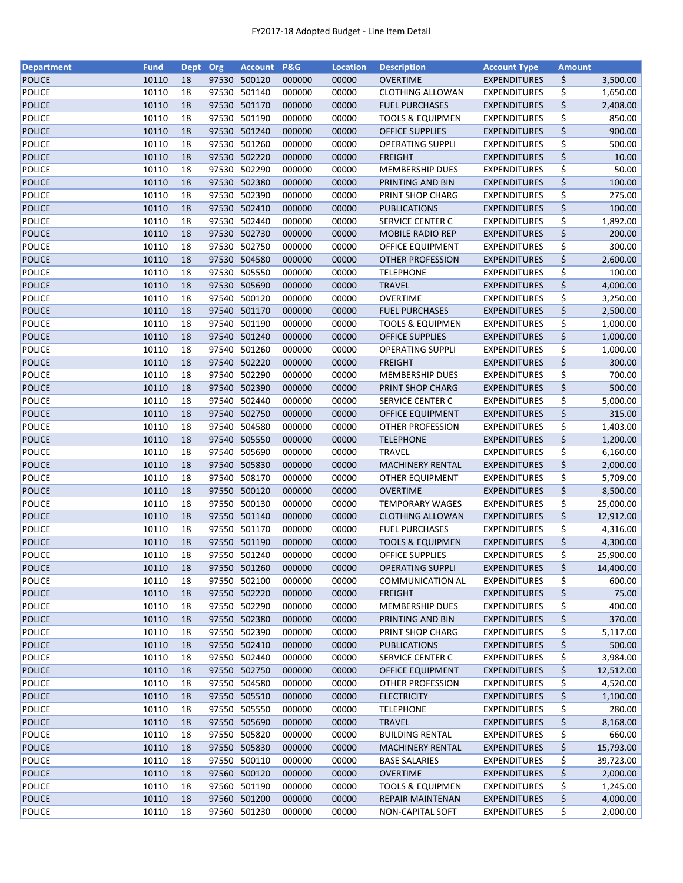| <b>Department</b> | <b>Fund</b> | <b>Dept</b> | Org   | <b>Account</b> | P&G    | <b>Location</b> | <b>Description</b>          | <b>Account Type</b> | <b>Amount</b> |           |
|-------------------|-------------|-------------|-------|----------------|--------|-----------------|-----------------------------|---------------------|---------------|-----------|
| <b>POLICE</b>     | 10110       | 18          |       | 97530 500120   | 000000 | 00000           | <b>OVERTIME</b>             | <b>EXPENDITURES</b> | \$            | 3,500.00  |
| <b>POLICE</b>     | 10110       | 18          | 97530 | 501140         | 000000 | 00000           | <b>CLOTHING ALLOWAN</b>     | <b>EXPENDITURES</b> | \$            | 1,650.00  |
| <b>POLICE</b>     | 10110       | 18          |       | 97530 501170   | 000000 | 00000           | <b>FUEL PURCHASES</b>       | <b>EXPENDITURES</b> | \$            | 2,408.00  |
| <b>POLICE</b>     | 10110       | 18          | 97530 | 501190         | 000000 | 00000           | <b>TOOLS &amp; EQUIPMEN</b> | <b>EXPENDITURES</b> | \$            | 850.00    |
| <b>POLICE</b>     | 10110       | 18          |       | 97530 501240   | 000000 | 00000           | <b>OFFICE SUPPLIES</b>      | <b>EXPENDITURES</b> | \$            | 900.00    |
| <b>POLICE</b>     | 10110       | 18          |       | 97530 501260   | 000000 | 00000           | <b>OPERATING SUPPLI</b>     | <b>EXPENDITURES</b> | \$            | 500.00    |
| <b>POLICE</b>     | 10110       | 18          |       | 97530 502220   | 000000 | 00000           | <b>FREIGHT</b>              | <b>EXPENDITURES</b> | \$            | 10.00     |
| <b>POLICE</b>     | 10110       | 18          |       | 97530 502290   | 000000 | 00000           | <b>MEMBERSHIP DUES</b>      | <b>EXPENDITURES</b> | \$            | 50.00     |
| <b>POLICE</b>     | 10110       | 18          |       | 97530 502380   | 000000 | 00000           | PRINTING AND BIN            | <b>EXPENDITURES</b> | \$            | 100.00    |
| <b>POLICE</b>     | 10110       | 18          |       | 97530 502390   | 000000 | 00000           | PRINT SHOP CHARG            | <b>EXPENDITURES</b> | \$            | 275.00    |
| <b>POLICE</b>     | 10110       | 18          |       | 97530 502410   | 000000 | 00000           | <b>PUBLICATIONS</b>         | <b>EXPENDITURES</b> | \$            | 100.00    |
| <b>POLICE</b>     | 10110       | 18          |       | 97530 502440   | 000000 | 00000           | SERVICE CENTER C            | <b>EXPENDITURES</b> | \$            | 1,892.00  |
| <b>POLICE</b>     | 10110       | 18          |       | 97530 502730   | 000000 | 00000           |                             |                     | \$            | 200.00    |
|                   |             |             |       |                |        |                 | <b>MOBILE RADIO REP</b>     | <b>EXPENDITURES</b> |               |           |
| <b>POLICE</b>     | 10110       | 18          | 97530 | 502750         | 000000 | 00000           | OFFICE EQUIPMENT            | <b>EXPENDITURES</b> | \$            | 300.00    |
| <b>POLICE</b>     | 10110       | 18          | 97530 | 504580         | 000000 | 00000           | <b>OTHER PROFESSION</b>     | <b>EXPENDITURES</b> | \$            | 2,600.00  |
| <b>POLICE</b>     | 10110       | 18          |       | 97530 505550   | 000000 | 00000           | <b>TELEPHONE</b>            | <b>EXPENDITURES</b> | \$            | 100.00    |
| <b>POLICE</b>     | 10110       | 18          |       | 97530 505690   | 000000 | 00000           | <b>TRAVEL</b>               | <b>EXPENDITURES</b> | \$            | 4,000.00  |
| <b>POLICE</b>     | 10110       | 18          |       | 97540 500120   | 000000 | 00000           | <b>OVERTIME</b>             | <b>EXPENDITURES</b> | \$            | 3,250.00  |
| <b>POLICE</b>     | 10110       | 18          |       | 97540 501170   | 000000 | 00000           | <b>FUEL PURCHASES</b>       | <b>EXPENDITURES</b> | \$            | 2,500.00  |
| <b>POLICE</b>     | 10110       | 18          |       | 97540 501190   | 000000 | 00000           | <b>TOOLS &amp; EQUIPMEN</b> | <b>EXPENDITURES</b> | \$            | 1,000.00  |
| <b>POLICE</b>     | 10110       | 18          |       | 97540 501240   | 000000 | 00000           | <b>OFFICE SUPPLIES</b>      | <b>EXPENDITURES</b> | \$            | 1,000.00  |
| <b>POLICE</b>     | 10110       | 18          |       | 97540 501260   | 000000 | 00000           | <b>OPERATING SUPPLI</b>     | <b>EXPENDITURES</b> | \$            | 1,000.00  |
| <b>POLICE</b>     | 10110       | 18          |       | 97540 502220   | 000000 | 00000           | <b>FREIGHT</b>              | <b>EXPENDITURES</b> | \$            | 300.00    |
| <b>POLICE</b>     | 10110       | 18          |       | 97540 502290   | 000000 | 00000           | <b>MEMBERSHIP DUES</b>      | <b>EXPENDITURES</b> | \$            | 700.00    |
| <b>POLICE</b>     | 10110       | 18          |       | 97540 502390   | 000000 | 00000           | PRINT SHOP CHARG            | <b>EXPENDITURES</b> | \$            | 500.00    |
| <b>POLICE</b>     | 10110       | 18          | 97540 | 502440         | 000000 | 00000           | SERVICE CENTER C            | <b>EXPENDITURES</b> | \$            | 5,000.00  |
| <b>POLICE</b>     | 10110       | 18          | 97540 | 502750         | 000000 | 00000           | OFFICE EQUIPMENT            | <b>EXPENDITURES</b> | \$            | 315.00    |
| <b>POLICE</b>     | 10110       | 18          |       | 97540 504580   | 000000 | 00000           | OTHER PROFESSION            | <b>EXPENDITURES</b> | \$            | 1,403.00  |
| <b>POLICE</b>     | 10110       | 18          |       | 97540 505550   | 000000 | 00000           | <b>TELEPHONE</b>            | <b>EXPENDITURES</b> | \$            | 1,200.00  |
| <b>POLICE</b>     | 10110       | 18          | 97540 | 505690         | 000000 | 00000           | <b>TRAVEL</b>               | <b>EXPENDITURES</b> | \$            | 6,160.00  |
| <b>POLICE</b>     | 10110       | 18          |       | 97540 505830   | 000000 | 00000           | <b>MACHINERY RENTAL</b>     | <b>EXPENDITURES</b> | \$            | 2,000.00  |
| <b>POLICE</b>     | 10110       | 18          |       | 97540 508170   | 000000 | 00000           | OTHER EQUIPMENT             | <b>EXPENDITURES</b> | \$            | 5,709.00  |
| <b>POLICE</b>     | 10110       | 18          |       | 97550 500120   | 000000 | 00000           | <b>OVERTIME</b>             | <b>EXPENDITURES</b> | \$            | 8,500.00  |
| <b>POLICE</b>     | 10110       | 18          |       | 97550 500130   | 000000 | 00000           | <b>TEMPORARY WAGES</b>      | <b>EXPENDITURES</b> | \$            | 25,000.00 |
| <b>POLICE</b>     | 10110       | 18          |       | 97550 501140   | 000000 | 00000           | <b>CLOTHING ALLOWAN</b>     | <b>EXPENDITURES</b> | \$            | 12,912.00 |
| <b>POLICE</b>     | 10110       | 18          |       | 97550 501170   | 000000 | 00000           | <b>FUEL PURCHASES</b>       | <b>EXPENDITURES</b> | \$            | 4,316.00  |
|                   |             |             |       | 97550 501190   |        |                 |                             |                     |               |           |
| <b>POLICE</b>     | 10110       | 18          |       |                | 000000 | 00000           | <b>TOOLS &amp; EQUIPMEN</b> | <b>EXPENDITURES</b> | \$            | 4,300.00  |
| <b>POLICE</b>     | 10110       | 18          |       | 97550 501240   | 000000 | 00000           | <b>OFFICE SUPPLIES</b>      | <b>EXPENDITURES</b> | \$            | 25,900.00 |
| <b>POLICE</b>     | 10110       | 18          |       | 97550 501260   | 000000 | 00000           | <b>OPERATING SUPPLI</b>     | <b>EXPENDITURES</b> | \$            | 14,400.00 |
| POLICE            | 10110       | 18          | 97550 | 502100         | 000000 | 00000           | <b>COMMUNICATION AL</b>     | <b>EXPENDITURES</b> | \$            | 600.00    |
| <b>POLICE</b>     | 10110       | 18          |       | 97550 502220   | 000000 | 00000           | <b>FREIGHT</b>              | <b>EXPENDITURES</b> | \$            | 75.00     |
| POLICE            | 10110       | 18          |       | 97550 502290   | 000000 | 00000           | <b>MEMBERSHIP DUES</b>      | <b>EXPENDITURES</b> | \$            | 400.00    |
| <b>POLICE</b>     | 10110       | 18          |       | 97550 502380   | 000000 | 00000           | PRINTING AND BIN            | <b>EXPENDITURES</b> | \$            | 370.00    |
| POLICE            | 10110       | 18          |       | 97550 502390   | 000000 | 00000           | PRINT SHOP CHARG            | <b>EXPENDITURES</b> | \$            | 5,117.00  |
| <b>POLICE</b>     | 10110       | 18          |       | 97550 502410   | 000000 | 00000           | <b>PUBLICATIONS</b>         | <b>EXPENDITURES</b> | \$            | 500.00    |
| <b>POLICE</b>     | 10110       | 18          |       | 97550 502440   | 000000 | 00000           | <b>SERVICE CENTER C</b>     | <b>EXPENDITURES</b> | \$            | 3,984.00  |
| <b>POLICE</b>     | 10110       | 18          |       | 97550 502750   | 000000 | 00000           | <b>OFFICE EQUIPMENT</b>     | <b>EXPENDITURES</b> | \$            | 12,512.00 |
| POLICE            | 10110       | 18          |       | 97550 504580   | 000000 | 00000           | OTHER PROFESSION            | <b>EXPENDITURES</b> | \$            | 4,520.00  |
| <b>POLICE</b>     | 10110       | 18          |       | 97550 505510   | 000000 | 00000           | <b>ELECTRICITY</b>          | <b>EXPENDITURES</b> | \$            | 1,100.00  |
| <b>POLICE</b>     | 10110       | 18          |       | 97550 505550   | 000000 | 00000           | <b>TELEPHONE</b>            | <b>EXPENDITURES</b> | \$            | 280.00    |
| <b>POLICE</b>     | 10110       | 18          |       | 97550 505690   | 000000 | 00000           | <b>TRAVEL</b>               | <b>EXPENDITURES</b> | \$            | 8,168.00  |
| <b>POLICE</b>     | 10110       | 18          |       | 97550 505820   | 000000 | 00000           | <b>BUILDING RENTAL</b>      | <b>EXPENDITURES</b> | \$            | 660.00    |
| <b>POLICE</b>     | 10110       | 18          |       | 97550 505830   | 000000 | 00000           | <b>MACHINERY RENTAL</b>     | <b>EXPENDITURES</b> | \$            | 15,793.00 |
| POLICE            | 10110       | 18          |       | 97550 500110   | 000000 | 00000           | <b>BASE SALARIES</b>        | <b>EXPENDITURES</b> | \$            | 39,723.00 |
| <b>POLICE</b>     | 10110       | 18          |       | 97560 500120   | 000000 | 00000           | <b>OVERTIME</b>             | <b>EXPENDITURES</b> | \$            | 2,000.00  |
| <b>POLICE</b>     | 10110       | 18          |       | 97560 501190   | 000000 | 00000           | TOOLS & EQUIPMEN            | <b>EXPENDITURES</b> | \$            | 1,245.00  |
| <b>POLICE</b>     | 10110       | 18          |       | 97560 501200   | 000000 | 00000           | <b>REPAIR MAINTENAN</b>     | <b>EXPENDITURES</b> | \$            | 4,000.00  |
| <b>POLICE</b>     | 10110       | 18          |       | 97560 501230   | 000000 | 00000           | NON-CAPITAL SOFT            | <b>EXPENDITURES</b> | \$            | 2,000.00  |
|                   |             |             |       |                |        |                 |                             |                     |               |           |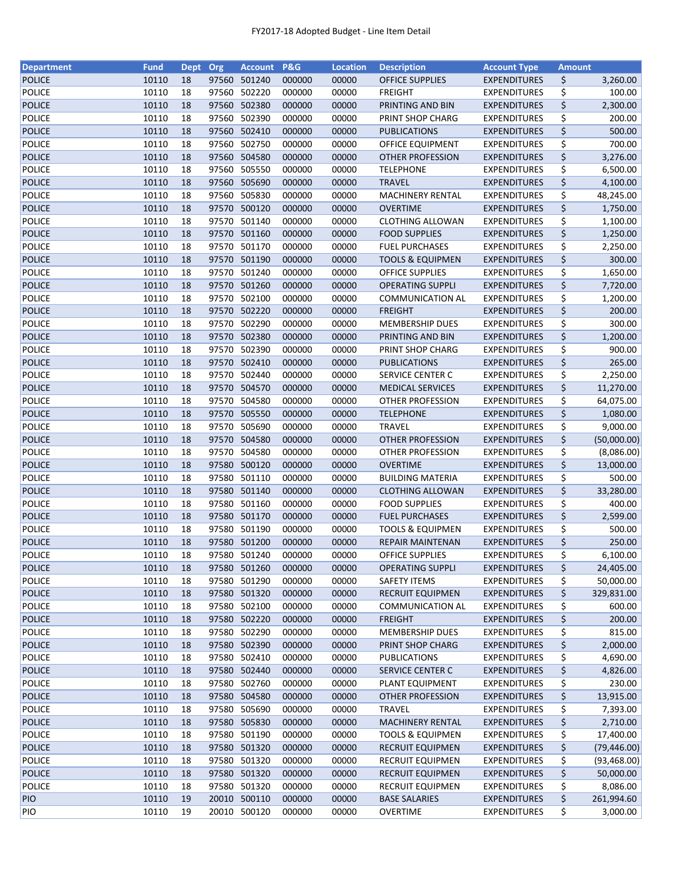| <b>Department</b> | <b>Fund</b> | <b>Dept</b> | Org   | <b>Account</b> | P&G    | <b>Location</b> | <b>Description</b>          | <b>Account Type</b> | <b>Amount</b> |              |
|-------------------|-------------|-------------|-------|----------------|--------|-----------------|-----------------------------|---------------------|---------------|--------------|
| <b>POLICE</b>     | 10110       | 18          |       | 97560 501240   | 000000 | 00000           | <b>OFFICE SUPPLIES</b>      | <b>EXPENDITURES</b> | \$            | 3,260.00     |
| POLICE            | 10110       | 18          | 97560 | 502220         | 000000 | 00000           | <b>FREIGHT</b>              | <b>EXPENDITURES</b> | \$            | 100.00       |
| <b>POLICE</b>     | 10110       | 18          |       | 97560 502380   | 000000 | 00000           | PRINTING AND BIN            | <b>EXPENDITURES</b> | \$            | 2,300.00     |
| <b>POLICE</b>     | 10110       | 18          | 97560 | 502390         | 000000 | 00000           | PRINT SHOP CHARG            | <b>EXPENDITURES</b> | \$            | 200.00       |
| <b>POLICE</b>     | 10110       | 18          |       | 97560 502410   | 000000 | 00000           | <b>PUBLICATIONS</b>         | <b>EXPENDITURES</b> | \$            | 500.00       |
| <b>POLICE</b>     | 10110       | 18          |       | 97560 502750   | 000000 | 00000           | <b>OFFICE EQUIPMENT</b>     | <b>EXPENDITURES</b> | \$            | 700.00       |
| <b>POLICE</b>     | 10110       | 18          |       | 97560 504580   | 000000 | 00000           | <b>OTHER PROFESSION</b>     | <b>EXPENDITURES</b> | \$            | 3,276.00     |
| <b>POLICE</b>     | 10110       | 18          |       | 97560 505550   | 000000 | 00000           | <b>TELEPHONE</b>            | <b>EXPENDITURES</b> | \$            | 6,500.00     |
| <b>POLICE</b>     | 10110       | 18          |       | 97560 505690   | 000000 | 00000           | <b>TRAVEL</b>               | <b>EXPENDITURES</b> | \$            | 4,100.00     |
| <b>POLICE</b>     | 10110       | 18          |       | 97560 505830   | 000000 | 00000           | <b>MACHINERY RENTAL</b>     | <b>EXPENDITURES</b> | \$            | 48,245.00    |
| <b>POLICE</b>     | 10110       | 18          |       | 97570 500120   | 000000 | 00000           | <b>OVERTIME</b>             | <b>EXPENDITURES</b> | \$            | 1,750.00     |
| <b>POLICE</b>     | 10110       | 18          |       | 97570 501140   | 000000 | 00000           | <b>CLOTHING ALLOWAN</b>     | <b>EXPENDITURES</b> | \$            | 1,100.00     |
| <b>POLICE</b>     | 10110       | 18          |       | 97570 501160   | 000000 | 00000           | <b>FOOD SUPPLIES</b>        | <b>EXPENDITURES</b> | \$            | 1,250.00     |
| <b>POLICE</b>     | 10110       | 18          | 97570 | 501170         | 000000 | 00000           | <b>FUEL PURCHASES</b>       | <b>EXPENDITURES</b> | \$            | 2,250.00     |
| <b>POLICE</b>     | 10110       | 18          | 97570 | 501190         | 000000 | 00000           | <b>TOOLS &amp; EQUIPMEN</b> | <b>EXPENDITURES</b> | \$            | 300.00       |
| <b>POLICE</b>     | 10110       | 18          |       | 97570 501240   | 000000 | 00000           | <b>OFFICE SUPPLIES</b>      | <b>EXPENDITURES</b> | \$            | 1,650.00     |
| <b>POLICE</b>     | 10110       | 18          |       | 97570 501260   | 000000 | 00000           | <b>OPERATING SUPPLI</b>     | <b>EXPENDITURES</b> | \$            | 7,720.00     |
| <b>POLICE</b>     | 10110       | 18          |       | 97570 502100   | 000000 | 00000           | <b>COMMUNICATION AL</b>     | <b>EXPENDITURES</b> | \$            | 1,200.00     |
| <b>POLICE</b>     | 10110       | 18          |       | 97570 502220   | 000000 | 00000           | <b>FREIGHT</b>              | <b>EXPENDITURES</b> | \$            | 200.00       |
| <b>POLICE</b>     | 10110       | 18          |       | 97570 502290   | 000000 | 00000           | <b>MEMBERSHIP DUES</b>      | <b>EXPENDITURES</b> | \$            | 300.00       |
| <b>POLICE</b>     | 10110       | 18          |       | 97570 502380   | 000000 | 00000           | PRINTING AND BIN            | <b>EXPENDITURES</b> | \$            | 1,200.00     |
| <b>POLICE</b>     | 10110       | 18          |       | 97570 502390   | 000000 | 00000           | PRINT SHOP CHARG            | <b>EXPENDITURES</b> | \$            | 900.00       |
| <b>POLICE</b>     | 10110       | 18          |       | 97570 502410   | 000000 | 00000           | <b>PUBLICATIONS</b>         | <b>EXPENDITURES</b> | \$            | 265.00       |
| <b>POLICE</b>     | 10110       | 18          |       | 97570 502440   | 000000 | 00000           | <b>SERVICE CENTER C</b>     | <b>EXPENDITURES</b> | \$            | 2,250.00     |
| <b>POLICE</b>     | 10110       | 18          |       | 97570 504570   | 000000 | 00000           | <b>MEDICAL SERVICES</b>     | <b>EXPENDITURES</b> | \$            | 11,270.00    |
| <b>POLICE</b>     | 10110       | 18          | 97570 | 504580         | 000000 | 00000           | OTHER PROFESSION            | <b>EXPENDITURES</b> | \$            | 64,075.00    |
| <b>POLICE</b>     | 10110       | 18          | 97570 | 505550         | 000000 | 00000           | <b>TELEPHONE</b>            | <b>EXPENDITURES</b> | \$            | 1,080.00     |
| <b>POLICE</b>     | 10110       | 18          | 97570 | 505690         | 000000 | 00000           | <b>TRAVEL</b>               | <b>EXPENDITURES</b> | \$            | 9,000.00     |
| <b>POLICE</b>     | 10110       | 18          |       | 97570 504580   | 000000 | 00000           | OTHER PROFESSION            | <b>EXPENDITURES</b> | \$            | (50,000.00)  |
| POLICE            | 10110       | 18          |       | 97570 504580   | 000000 | 00000           | <b>OTHER PROFESSION</b>     | <b>EXPENDITURES</b> | \$            | (8,086.00)   |
| <b>POLICE</b>     | 10110       | 18          |       | 97580 500120   | 000000 | 00000           | <b>OVERTIME</b>             | <b>EXPENDITURES</b> | \$            | 13,000.00    |
|                   | 10110       |             |       | 97580 501110   |        |                 |                             |                     |               |              |
| <b>POLICE</b>     |             | 18          |       |                | 000000 | 00000           | <b>BUILDING MATERIA</b>     | <b>EXPENDITURES</b> | \$            | 500.00       |
| <b>POLICE</b>     | 10110       | 18          |       | 97580 501140   | 000000 | 00000           | <b>CLOTHING ALLOWAN</b>     | <b>EXPENDITURES</b> | \$            | 33,280.00    |
| <b>POLICE</b>     | 10110       | 18          |       | 97580 501160   | 000000 | 00000           | <b>FOOD SUPPLIES</b>        | <b>EXPENDITURES</b> | \$            | 400.00       |
| <b>POLICE</b>     | 10110       | 18          |       | 97580 501170   | 000000 | 00000           | <b>FUEL PURCHASES</b>       | <b>EXPENDITURES</b> | \$            | 2,599.00     |
| <b>POLICE</b>     | 10110       | 18          |       | 97580 501190   | 000000 | 00000           | <b>TOOLS &amp; EQUIPMEN</b> | <b>EXPENDITURES</b> | \$            | 500.00       |
| <b>POLICE</b>     | 10110       | 18          |       | 97580 501200   | 000000 | 00000           | <b>REPAIR MAINTENAN</b>     | <b>EXPENDITURES</b> | \$            | 250.00       |
| <b>POLICE</b>     | 10110       | 18          |       | 97580 501240   | 000000 | 00000           | <b>OFFICE SUPPLIES</b>      | <b>EXPENDITURES</b> | \$            | 6,100.00     |
| <b>POLICE</b>     | 10110       | 18          |       | 97580 501260   | 000000 | 00000           | <b>OPERATING SUPPLI</b>     | <b>EXPENDITURES</b> | \$            | 24,405.00    |
| POLICE            | 10110       | 18          | 97580 | 501290         | 000000 | 00000           | <b>SAFETY ITEMS</b>         | <b>EXPENDITURES</b> | \$            | 50,000.00    |
| <b>POLICE</b>     | 10110       | 18          |       | 97580 501320   | 000000 | 00000           | <b>RECRUIT EQUIPMEN</b>     | <b>EXPENDITURES</b> | \$            | 329,831.00   |
| POLICE            | 10110       | 18          |       | 97580 502100   | 000000 | 00000           | <b>COMMUNICATION AL</b>     | <b>EXPENDITURES</b> | \$            | 600.00       |
| <b>POLICE</b>     | 10110       | 18          |       | 97580 502220   | 000000 | 00000           | <b>FREIGHT</b>              | <b>EXPENDITURES</b> | \$            | 200.00       |
| POLICE            | 10110       | 18          |       | 97580 502290   | 000000 | 00000           | <b>MEMBERSHIP DUES</b>      | <b>EXPENDITURES</b> | \$            | 815.00       |
| <b>POLICE</b>     | 10110       | 18          |       | 97580 502390   | 000000 | 00000           | PRINT SHOP CHARG            | <b>EXPENDITURES</b> | \$            | 2,000.00     |
| <b>POLICE</b>     | 10110       | 18          |       | 97580 502410   | 000000 | 00000           | <b>PUBLICATIONS</b>         | <b>EXPENDITURES</b> | \$            | 4,690.00     |
| <b>POLICE</b>     | 10110       | 18          |       | 97580 502440   | 000000 | 00000           | <b>SERVICE CENTER C</b>     | <b>EXPENDITURES</b> | \$            | 4,826.00     |
| <b>POLICE</b>     | 10110       | 18          |       | 97580 502760   | 000000 | 00000           | PLANT EQUIPMENT             | <b>EXPENDITURES</b> | \$            | 230.00       |
| <b>POLICE</b>     | 10110       | 18          |       | 97580 504580   | 000000 | 00000           | OTHER PROFESSION            | <b>EXPENDITURES</b> | \$            | 13,915.00    |
| POLICE            | 10110       | 18          |       | 97580 505690   | 000000 | 00000           | <b>TRAVEL</b>               | <b>EXPENDITURES</b> | \$            | 7,393.00     |
| <b>POLICE</b>     | 10110       | 18          |       | 97580 505830   | 000000 | 00000           | <b>MACHINERY RENTAL</b>     | <b>EXPENDITURES</b> | \$            | 2,710.00     |
| <b>POLICE</b>     | 10110       | 18          |       | 97580 501190   | 000000 | 00000           | <b>TOOLS &amp; EQUIPMEN</b> | <b>EXPENDITURES</b> | \$            | 17,400.00    |
| <b>POLICE</b>     | 10110       | 18          |       | 97580 501320   | 000000 | 00000           | <b>RECRUIT EQUIPMEN</b>     | <b>EXPENDITURES</b> | \$            | (79, 446.00) |
| POLICE            | 10110       | 18          |       | 97580 501320   | 000000 | 00000           | <b>RECRUIT EQUIPMEN</b>     | <b>EXPENDITURES</b> | \$            | (93, 468.00) |
| <b>POLICE</b>     | 10110       | 18          |       | 97580 501320   | 000000 | 00000           | <b>RECRUIT EQUIPMEN</b>     | <b>EXPENDITURES</b> | \$            | 50,000.00    |
| POLICE            | 10110       | 18          |       | 97580 501320   | 000000 | 00000           | <b>RECRUIT EQUIPMEN</b>     | <b>EXPENDITURES</b> | \$            | 8,086.00     |
| <b>PIO</b>        | 10110       | 19          |       | 20010 500110   | 000000 | 00000           | <b>BASE SALARIES</b>        | <b>EXPENDITURES</b> | \$            | 261,994.60   |
| <b>PIO</b>        | 10110       | 19          |       | 20010 500120   | 000000 | 00000           | OVERTIME                    | <b>EXPENDITURES</b> | \$            | 3,000.00     |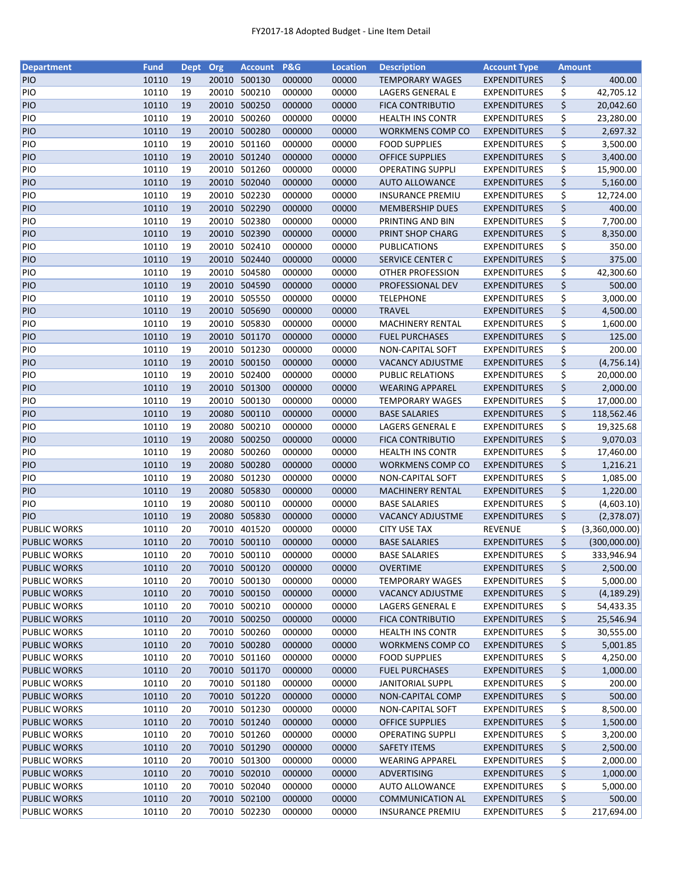| <b>Department</b>   | <b>Fund</b> | <b>Dept</b> | Org   | <b>Account</b> | <b>P&amp;G</b> | <b>Location</b> | <b>Description</b>      | <b>Account Type</b> | <b>Amount</b> |                |
|---------------------|-------------|-------------|-------|----------------|----------------|-----------------|-------------------------|---------------------|---------------|----------------|
| <b>PIO</b>          | 10110       | 19          | 20010 | 500130         | 000000         | 00000           | <b>TEMPORARY WAGES</b>  | <b>EXPENDITURES</b> | \$            | 400.00         |
| PIO                 | 10110       | 19          |       | 20010 500210   | 000000         | 00000           | LAGERS GENERAL E        | <b>EXPENDITURES</b> | \$            | 42,705.12      |
| PIO                 | 10110       | 19          |       | 20010 500250   | 000000         | 00000           | <b>FICA CONTRIBUTIO</b> | <b>EXPENDITURES</b> | \$            | 20,042.60      |
| PIO                 | 10110       | 19          |       | 20010 500260   | 000000         | 00000           | <b>HEALTH INS CONTR</b> | <b>EXPENDITURES</b> | \$            | 23,280.00      |
| PIO                 | 10110       | 19          |       | 20010 500280   | 000000         | 00000           | WORKMENS COMP CO        | <b>EXPENDITURES</b> | \$            | 2,697.32       |
| PIO                 | 10110       | 19          |       | 20010 501160   | 000000         | 00000           | <b>FOOD SUPPLIES</b>    | <b>EXPENDITURES</b> | \$            | 3,500.00       |
| <b>PIO</b>          | 10110       | 19          |       | 20010 501240   | 000000         | 00000           | <b>OFFICE SUPPLIES</b>  | <b>EXPENDITURES</b> | \$            | 3,400.00       |
| PIO                 | 10110       | 19          |       | 20010 501260   | 000000         | 00000           | <b>OPERATING SUPPLI</b> | <b>EXPENDITURES</b> | \$            | 15,900.00      |
| PIO                 | 10110       | 19          |       | 20010 502040   | 000000         | 00000           | <b>AUTO ALLOWANCE</b>   | <b>EXPENDITURES</b> | \$            | 5,160.00       |
| PIO                 | 10110       | 19          |       | 20010 502230   | 000000         | 00000           | <b>INSURANCE PREMIU</b> | <b>EXPENDITURES</b> | \$            | 12,724.00      |
| PIO                 | 10110       | 19          |       | 20010 502290   | 000000         | 00000           | <b>MEMBERSHIP DUES</b>  | <b>EXPENDITURES</b> | \$            | 400.00         |
|                     |             |             |       |                |                |                 |                         |                     |               |                |
| PIO                 | 10110       | 19          |       | 20010 502380   | 000000         | 00000           | PRINTING AND BIN        | <b>EXPENDITURES</b> | \$            | 7,700.00       |
| PIO                 | 10110       | 19          | 20010 | 502390         | 000000         | 00000           | PRINT SHOP CHARG        | <b>EXPENDITURES</b> | \$            | 8,350.00       |
| PIO                 | 10110       | 19          | 20010 | 502410         | 000000         | 00000           | <b>PUBLICATIONS</b>     | <b>EXPENDITURES</b> | \$            | 350.00         |
| PIO                 | 10110       | 19          |       | 20010 502440   | 000000         | 00000           | SERVICE CENTER C        | <b>EXPENDITURES</b> | \$            | 375.00         |
| PIO                 | 10110       | 19          |       | 20010 504580   | 000000         | 00000           | <b>OTHER PROFESSION</b> | <b>EXPENDITURES</b> | \$            | 42,300.60      |
| PIO                 | 10110       | 19          |       | 20010 504590   | 000000         | 00000           | PROFESSIONAL DEV        | <b>EXPENDITURES</b> | \$            | 500.00         |
| PIO                 | 10110       | 19          |       | 20010 505550   | 000000         | 00000           | <b>TELEPHONE</b>        | <b>EXPENDITURES</b> | \$            | 3,000.00       |
| <b>PIO</b>          | 10110       | 19          |       | 20010 505690   | 000000         | 00000           | <b>TRAVEL</b>           | <b>EXPENDITURES</b> | \$            | 4,500.00       |
| PIO                 | 10110       | 19          |       | 20010 505830   | 000000         | 00000           | <b>MACHINERY RENTAL</b> | <b>EXPENDITURES</b> | \$            | 1,600.00       |
| PIO                 | 10110       | 19          |       | 20010 501170   | 000000         | 00000           | <b>FUEL PURCHASES</b>   | <b>EXPENDITURES</b> | \$            | 125.00         |
| PIO                 | 10110       | 19          |       | 20010 501230   | 000000         | 00000           | NON-CAPITAL SOFT        | <b>EXPENDITURES</b> | \$            | 200.00         |
| <b>PIO</b>          | 10110       | 19          |       | 20010 500150   | 000000         | 00000           | <b>VACANCY ADJUSTME</b> | <b>EXPENDITURES</b> | \$            | (4,756.14)     |
| PIO                 | 10110       | 19          |       | 20010 502400   | 000000         | 00000           | <b>PUBLIC RELATIONS</b> | <b>EXPENDITURES</b> | \$            | 20,000.00      |
| <b>PIO</b>          | 10110       | 19          | 20010 | 501300         | 000000         | 00000           | <b>WEARING APPAREL</b>  | <b>EXPENDITURES</b> | \$            | 2,000.00       |
| PIO                 | 10110       | 19          | 20010 | 500130         | 000000         | 00000           | <b>TEMPORARY WAGES</b>  | <b>EXPENDITURES</b> | \$            | 17,000.00      |
| PIO                 | 10110       | 19          | 20080 | 500110         | 000000         | 00000           | <b>BASE SALARIES</b>    | <b>EXPENDITURES</b> | \$            | 118,562.46     |
| PIO                 | 10110       | 19          | 20080 | 500210         | 000000         | 00000           | LAGERS GENERAL E        | <b>EXPENDITURES</b> | \$            | 19,325.68      |
| PIO                 | 10110       | 19          | 20080 | 500250         | 000000         | 00000           | <b>FICA CONTRIBUTIO</b> | <b>EXPENDITURES</b> | \$            | 9,070.03       |
| PIO                 | 10110       | 19          | 20080 | 500260         | 000000         | 00000           | <b>HEALTH INS CONTR</b> | <b>EXPENDITURES</b> | \$            | 17,460.00      |
| <b>PIO</b>          | 10110       | 19          | 20080 | 500280         | 000000         | 00000           | <b>WORKMENS COMP CO</b> | <b>EXPENDITURES</b> | \$            | 1,216.21       |
| PIO                 | 10110       | 19          | 20080 | 501230         | 000000         | 00000           | NON-CAPITAL SOFT        | <b>EXPENDITURES</b> | \$            | 1,085.00       |
| PIO                 | 10110       | 19          |       | 20080 505830   | 000000         | 00000           | <b>MACHINERY RENTAL</b> | <b>EXPENDITURES</b> | \$            | 1,220.00       |
| PIO                 | 10110       | 19          | 20080 | 500110         | 000000         |                 |                         |                     |               |                |
|                     |             |             |       |                |                | 00000           | <b>BASE SALARIES</b>    | <b>EXPENDITURES</b> | \$            | (4,603.10)     |
| <b>PIO</b>          | 10110       | 19          |       | 20080 505830   | 000000         | 00000           | <b>VACANCY ADJUSTME</b> | <b>EXPENDITURES</b> | \$            | (2,378.07)     |
| <b>PUBLIC WORKS</b> | 10110       | 20          |       | 70010 401520   | 000000         | 00000           | <b>CITY USE TAX</b>     | <b>REVENUE</b>      | \$            | (3,360,000.00) |
| <b>PUBLIC WORKS</b> | 10110       | 20          |       | 70010 500110   | 000000         | 00000           | <b>BASE SALARIES</b>    | <b>EXPENDITURES</b> | \$            | (300,000.00)   |
| <b>PUBLIC WORKS</b> | 10110       | 20          |       | 70010 500110   | 000000         | 00000           | <b>BASE SALARIES</b>    | <b>EXPENDITURES</b> | \$            | 333,946.94     |
| <b>PUBLIC WORKS</b> | 10110       | 20          |       | 70010 500120   | 000000         | 00000           | <b>OVERTIME</b>         | <b>EXPENDITURES</b> | \$            | 2,500.00       |
| <b>PUBLIC WORKS</b> | 10110       | 20          |       | 70010 500130   | 000000         | 00000           | <b>TEMPORARY WAGES</b>  | <b>EXPENDITURES</b> | \$            | 5,000.00       |
| <b>PUBLIC WORKS</b> | 10110       | 20          |       | 70010 500150   | 000000         | 00000           | <b>VACANCY ADJUSTME</b> | <b>EXPENDITURES</b> | \$            | (4, 189.29)    |
| PUBLIC WORKS        | 10110       | 20          |       | 70010 500210   | 000000         | 00000           | LAGERS GENERAL E        | <b>EXPENDITURES</b> | \$            | 54,433.35      |
| <b>PUBLIC WORKS</b> | 10110       | 20          |       | 70010 500250   | 000000         | 00000           | <b>FICA CONTRIBUTIO</b> | <b>EXPENDITURES</b> | \$            | 25,546.94      |
| <b>PUBLIC WORKS</b> | 10110       | 20          |       | 70010 500260   | 000000         | 00000           | <b>HEALTH INS CONTR</b> | <b>EXPENDITURES</b> | \$            | 30,555.00      |
| PUBLIC WORKS        | 10110       | 20          |       | 70010 500280   | 000000         | 00000           | <b>WORKMENS COMP CO</b> | <b>EXPENDITURES</b> | \$            | 5,001.85       |
| <b>PUBLIC WORKS</b> | 10110       | 20          |       | 70010 501160   | 000000         | 00000           | <b>FOOD SUPPLIES</b>    | <b>EXPENDITURES</b> | \$            | 4,250.00       |
| <b>PUBLIC WORKS</b> | 10110       | 20          |       | 70010 501170   | 000000         | 00000           | <b>FUEL PURCHASES</b>   | <b>EXPENDITURES</b> | \$            | 1,000.00       |
| PUBLIC WORKS        | 10110       | 20          |       | 70010 501180   | 000000         | 00000           | <b>JANITORIAL SUPPL</b> | <b>EXPENDITURES</b> | \$            | 200.00         |
| <b>PUBLIC WORKS</b> | 10110       | 20          |       | 70010 501220   | 000000         | 00000           | NON-CAPITAL COMP        | <b>EXPENDITURES</b> | \$            | 500.00         |
| <b>PUBLIC WORKS</b> | 10110       | 20          |       | 70010 501230   | 000000         | 00000           | NON-CAPITAL SOFT        | <b>EXPENDITURES</b> | \$            | 8,500.00       |
| <b>PUBLIC WORKS</b> | 10110       | 20          |       | 70010 501240   | 000000         | 00000           | <b>OFFICE SUPPLIES</b>  | <b>EXPENDITURES</b> | \$            | 1,500.00       |
| PUBLIC WORKS        | 10110       | 20          |       | 70010 501260   | 000000         | 00000           | <b>OPERATING SUPPLI</b> | <b>EXPENDITURES</b> | \$            | 3,200.00       |
| <b>PUBLIC WORKS</b> | 10110       | 20          |       | 70010 501290   | 000000         | 00000           | <b>SAFETY ITEMS</b>     | <b>EXPENDITURES</b> | \$            | 2,500.00       |
| <b>PUBLIC WORKS</b> | 10110       | 20          |       | 70010 501300   | 000000         | 00000           | <b>WEARING APPAREL</b>  | <b>EXPENDITURES</b> | \$            | 2,000.00       |
| <b>PUBLIC WORKS</b> | 10110       | 20          |       | 70010 502010   | 000000         | 00000           | ADVERTISING             | <b>EXPENDITURES</b> | \$            | 1,000.00       |
| PUBLIC WORKS        | 10110       | 20          |       | 70010 502040   | 000000         | 00000           | <b>AUTO ALLOWANCE</b>   | <b>EXPENDITURES</b> | \$            | 5,000.00       |
|                     |             |             |       |                |                |                 |                         |                     |               |                |
| <b>PUBLIC WORKS</b> | 10110       | 20          |       | 70010 502100   | 000000         | 00000           | <b>COMMUNICATION AL</b> | <b>EXPENDITURES</b> | \$            | 500.00         |
| PUBLIC WORKS        | 10110       | 20          |       | 70010 502230   | 000000         | 00000           | <b>INSURANCE PREMIU</b> | <b>EXPENDITURES</b> | \$            | 217,694.00     |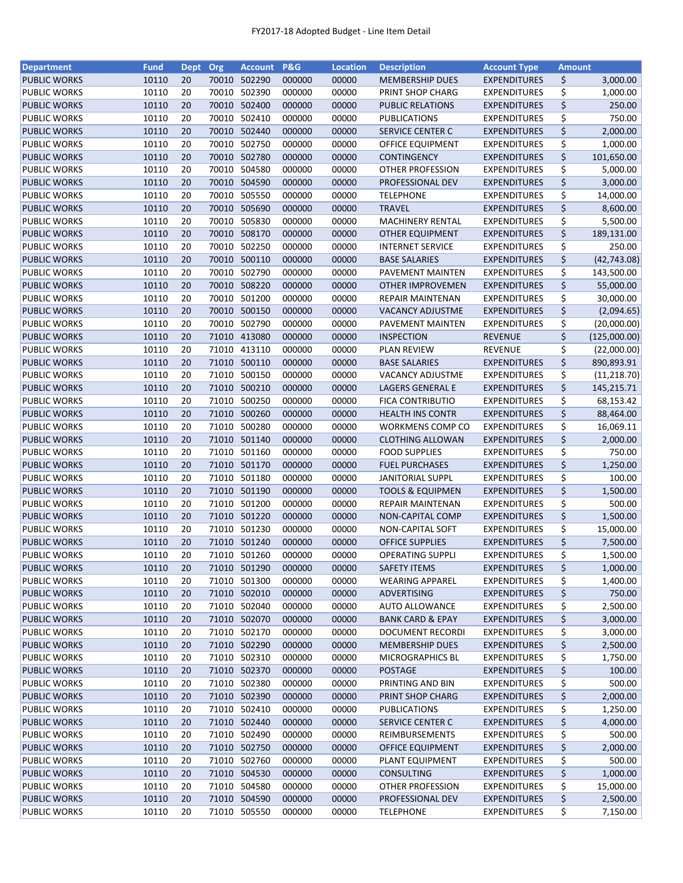| <b>Department</b>   | <b>Fund</b> | Dept Org |       | <b>Account</b> | <b>P&amp;G</b> | <b>Location</b> | <b>Description</b>          | <b>Account Type</b> | <b>Amount</b> |              |
|---------------------|-------------|----------|-------|----------------|----------------|-----------------|-----------------------------|---------------------|---------------|--------------|
| <b>PUBLIC WORKS</b> | 10110       | 20       |       | 70010 502290   | 000000         | 00000           | <b>MEMBERSHIP DUES</b>      | <b>EXPENDITURES</b> | \$            | 3,000.00     |
| <b>PUBLIC WORKS</b> | 10110       | 20       | 70010 | 502390         | 000000         | 00000           | PRINT SHOP CHARG            | <b>EXPENDITURES</b> | \$            | 1,000.00     |
| <b>PUBLIC WORKS</b> | 10110       | 20       | 70010 | 502400         | 000000         | 00000           | PUBLIC RELATIONS            | <b>EXPENDITURES</b> | \$            | 250.00       |
| PUBLIC WORKS        | 10110       | 20       | 70010 | 502410         | 000000         | 00000           | PUBLICATIONS                | <b>EXPENDITURES</b> | \$            | 750.00       |
| <b>PUBLIC WORKS</b> | 10110       | 20       | 70010 | 502440         | 000000         | 00000           | <b>SERVICE CENTER C</b>     | <b>EXPENDITURES</b> | \$            | 2,000.00     |
| <b>PUBLIC WORKS</b> | 10110       | 20       | 70010 | 502750         | 000000         | 00000           | OFFICE EQUIPMENT            | <b>EXPENDITURES</b> | \$            | 1,000.00     |
| <b>PUBLIC WORKS</b> | 10110       | 20       |       | 70010 502780   | 000000         | 00000           | <b>CONTINGENCY</b>          | <b>EXPENDITURES</b> | \$            | 101,650.00   |
| <b>PUBLIC WORKS</b> | 10110       | 20       | 70010 | 504580         | 000000         | 00000           | <b>OTHER PROFESSION</b>     | <b>EXPENDITURES</b> | \$            | 5,000.00     |
| <b>PUBLIC WORKS</b> | 10110       | 20       |       | 70010 504590   | 000000         | 00000           | PROFESSIONAL DEV            | <b>EXPENDITURES</b> | \$            | 3,000.00     |
| <b>PUBLIC WORKS</b> | 10110       | 20       | 70010 | 505550         | 000000         | 00000           | <b>TELEPHONE</b>            | <b>EXPENDITURES</b> | \$            | 14,000.00    |
| <b>PUBLIC WORKS</b> | 10110       | 20       |       | 70010 505690   | 000000         | 00000           | <b>TRAVEL</b>               | <b>EXPENDITURES</b> | \$            | 8,600.00     |
| <b>PUBLIC WORKS</b> | 10110       | 20       | 70010 | 505830         | 000000         | 00000           | <b>MACHINERY RENTAL</b>     | <b>EXPENDITURES</b> | \$            | 5,500.00     |
| <b>PUBLIC WORKS</b> | 10110       | 20       |       | 70010 508170   | 000000         | 00000           | <b>OTHER EQUIPMENT</b>      | <b>EXPENDITURES</b> | \$            | 189,131.00   |
| <b>PUBLIC WORKS</b> | 10110       | 20       | 70010 | 502250         | 000000         | 00000           | <b>INTERNET SERVICE</b>     | <b>EXPENDITURES</b> | \$            | 250.00       |
| <b>PUBLIC WORKS</b> | 10110       | 20       | 70010 | 500110         | 000000         | 00000           | <b>BASE SALARIES</b>        | <b>EXPENDITURES</b> | \$            | (42, 743.08) |
| <b>PUBLIC WORKS</b> | 10110       | 20       | 70010 | 502790         | 000000         | 00000           | PAVEMENT MAINTEN            | <b>EXPENDITURES</b> | \$            | 143,500.00   |
| <b>PUBLIC WORKS</b> | 10110       | 20       | 70010 | 508220         | 000000         | 00000           | <b>OTHER IMPROVEMEN</b>     | <b>EXPENDITURES</b> | \$            | 55,000.00    |
| <b>PUBLIC WORKS</b> | 10110       | 20       | 70010 | 501200         | 000000         | 00000           | <b>REPAIR MAINTENAN</b>     | <b>EXPENDITURES</b> | \$            | 30,000.00    |
| <b>PUBLIC WORKS</b> | 10110       | 20       |       | 70010 500150   | 000000         | 00000           | <b>VACANCY ADJUSTME</b>     | <b>EXPENDITURES</b> | \$            | (2,094.65)   |
| <b>PUBLIC WORKS</b> | 10110       | 20       | 70010 | 502790         | 000000         | 00000           | PAVEMENT MAINTEN            | <b>EXPENDITURES</b> | \$            | (20,000.00)  |
| <b>PUBLIC WORKS</b> | 10110       | 20       |       | 71010 413080   | 000000         | 00000           | <b>INSPECTION</b>           | <b>REVENUE</b>      | \$            | (125,000.00) |
| <b>PUBLIC WORKS</b> | 10110       | 20       |       | 71010 413110   | 000000         | 00000           | <b>PLAN REVIEW</b>          | <b>REVENUE</b>      | \$            | (22,000.00)  |
| <b>PUBLIC WORKS</b> | 10110       | 20       |       | 71010 500110   | 000000         | 00000           |                             | <b>EXPENDITURES</b> | \$            |              |
|                     |             |          |       |                |                |                 | <b>BASE SALARIES</b>        |                     |               | 890,893.91   |
| <b>PUBLIC WORKS</b> | 10110       | 20       |       | 71010 500150   | 000000         | 00000           | <b>VACANCY ADJUSTME</b>     | <b>EXPENDITURES</b> | \$            | (11, 218.70) |
| <b>PUBLIC WORKS</b> | 10110       | 20       |       | 71010 500210   | 000000         | 00000           | LAGERS GENERAL E            | <b>EXPENDITURES</b> | \$            | 145,215.71   |
| PUBLIC WORKS        | 10110       | 20       | 71010 | 500250         | 000000         | 00000           | FICA CONTRIBUTIO            | <b>EXPENDITURES</b> | \$            | 68,153.42    |
| <b>PUBLIC WORKS</b> | 10110       | 20       | 71010 | 500260         | 000000         | 00000           | <b>HEALTH INS CONTR</b>     | <b>EXPENDITURES</b> | \$            | 88,464.00    |
| <b>PUBLIC WORKS</b> | 10110       | 20       | 71010 | 500280         | 000000         | 00000           | <b>WORKMENS COMP CO</b>     | <b>EXPENDITURES</b> | \$            | 16,069.11    |
| <b>PUBLIC WORKS</b> | 10110       | 20       | 71010 | 501140         | 000000         | 00000           | <b>CLOTHING ALLOWAN</b>     | <b>EXPENDITURES</b> | \$            | 2,000.00     |
| <b>PUBLIC WORKS</b> | 10110       | 20       | 71010 | 501160         | 000000         | 00000           | <b>FOOD SUPPLIES</b>        | <b>EXPENDITURES</b> | \$            | 750.00       |
| <b>PUBLIC WORKS</b> | 10110       | 20       |       | 71010 501170   | 000000         | 00000           | <b>FUEL PURCHASES</b>       | <b>EXPENDITURES</b> | \$            | 1,250.00     |
| PUBLIC WORKS        | 10110       | 20       | 71010 | 501180         | 000000         | 00000           | <b>JANITORIAL SUPPL</b>     | <b>EXPENDITURES</b> | \$            | 100.00       |
| <b>PUBLIC WORKS</b> | 10110       | 20       |       | 71010 501190   | 000000         | 00000           | <b>TOOLS &amp; EQUIPMEN</b> | <b>EXPENDITURES</b> | \$            | 1,500.00     |
| <b>PUBLIC WORKS</b> | 10110       | 20       | 71010 | 501200         | 000000         | 00000           | <b>REPAIR MAINTENAN</b>     | <b>EXPENDITURES</b> | \$            | 500.00       |
| <b>PUBLIC WORKS</b> | 10110       | 20       | 71010 | 501220         | 000000         | 00000           | NON-CAPITAL COMP            | <b>EXPENDITURES</b> | \$            | 1,500.00     |
| <b>PUBLIC WORKS</b> | 10110       | 20       | 71010 | 501230         | 000000         | 00000           | NON-CAPITAL SOFT            | <b>EXPENDITURES</b> | \$            | 15,000.00    |
| <b>PUBLIC WORKS</b> | 10110       | 20       |       | 71010 501240   | 000000         | 00000           | <b>OFFICE SUPPLIES</b>      | <b>EXPENDITURES</b> | \$            | 7,500.00     |
| <b>PUBLIC WORKS</b> | 10110       | 20       |       | 71010 501260   | 000000         | 00000           | <b>OPERATING SUPPLI</b>     | <b>EXPENDITURES</b> | \$            | 1,500.00     |
| <b>PUBLIC WORKS</b> | 10110       | 20       |       | 71010 501290   | 000000         | 00000           | <b>SAFETY ITEMS</b>         | <b>EXPENDITURES</b> | \$            | 1,000.00     |
| <b>PUBLIC WORKS</b> | 10110       | 20       | 71010 | 501300         | 000000         | 00000           | <b>WEARING APPAREL</b>      | <b>EXPENDITURES</b> | \$            | 1,400.00     |
| <b>PUBLIC WORKS</b> | 10110       | 20       | 71010 | 502010         | 000000         | 00000           | ADVERTISING                 | <b>EXPENDITURES</b> | \$            | 750.00       |
| PUBLIC WORKS        | 10110       | 20       | 71010 | 502040         | 000000         | 00000           | <b>AUTO ALLOWANCE</b>       | <b>EXPENDITURES</b> | \$            | 2,500.00     |
| <b>PUBLIC WORKS</b> | 10110       | 20       |       | 71010 502070   | 000000         | 00000           | <b>BANK CARD &amp; EPAY</b> | <b>EXPENDITURES</b> | \$            | 3,000.00     |
| <b>PUBLIC WORKS</b> | 10110       | 20       |       | 71010 502170   | 000000         | 00000           | DOCUMENT RECORDI            | <b>EXPENDITURES</b> | \$            | 3,000.00     |
| <b>PUBLIC WORKS</b> | 10110       | 20       |       | 71010 502290   | 000000         | 00000           | <b>MEMBERSHIP DUES</b>      | <b>EXPENDITURES</b> | \$            | 2,500.00     |
| <b>PUBLIC WORKS</b> | 10110       | 20       |       | 71010 502310   | 000000         | 00000           | <b>MICROGRAPHICS BL</b>     | <b>EXPENDITURES</b> | \$            | 1,750.00     |
| <b>PUBLIC WORKS</b> | 10110       | 20       |       | 71010 502370   | 000000         | 00000           | POSTAGE                     | <b>EXPENDITURES</b> | \$            | 100.00       |
| PUBLIC WORKS        | 10110       | 20       |       | 71010 502380   | 000000         | 00000           | PRINTING AND BIN            | <b>EXPENDITURES</b> | \$            | 500.00       |
| <b>PUBLIC WORKS</b> | 10110       | 20       |       | 71010 502390   | 000000         | 00000           | PRINT SHOP CHARG            | <b>EXPENDITURES</b> | \$            | 2,000.00     |
| PUBLIC WORKS        | 10110       | 20       |       | 71010 502410   | 000000         | 00000           | <b>PUBLICATIONS</b>         | <b>EXPENDITURES</b> | \$            | 1,250.00     |
| <b>PUBLIC WORKS</b> | 10110       | 20       |       | 71010 502440   | 000000         | 00000           | SERVICE CENTER C            | <b>EXPENDITURES</b> | \$            | 4,000.00     |
| PUBLIC WORKS        | 10110       | 20       |       | 71010 502490   | 000000         | 00000           | REIMBURSEMENTS              | <b>EXPENDITURES</b> | \$            | 500.00       |
| <b>PUBLIC WORKS</b> | 10110       | 20       |       | 71010 502750   | 000000         | 00000           | OFFICE EQUIPMENT            | <b>EXPENDITURES</b> | \$            | 2,000.00     |
| PUBLIC WORKS        | 10110       | 20       | 71010 | 502760         | 000000         | 00000           | PLANT EQUIPMENT             | <b>EXPENDITURES</b> | \$            | 500.00       |
| <b>PUBLIC WORKS</b> | 10110       | 20       |       | 71010 504530   | 000000         | 00000           | <b>CONSULTING</b>           | <b>EXPENDITURES</b> | \$            | 1,000.00     |
| PUBLIC WORKS        | 10110       | 20       |       | 71010 504580   | 000000         | 00000           | OTHER PROFESSION            | <b>EXPENDITURES</b> | \$            | 15,000.00    |
| <b>PUBLIC WORKS</b> | 10110       | 20       |       | 71010 504590   | 000000         | 00000           | PROFESSIONAL DEV            | <b>EXPENDITURES</b> | \$            | 2,500.00     |
| <b>PUBLIC WORKS</b> | 10110       | 20       |       | 71010 505550   | 000000         | 00000           | <b>TELEPHONE</b>            | <b>EXPENDITURES</b> | \$            | 7,150.00     |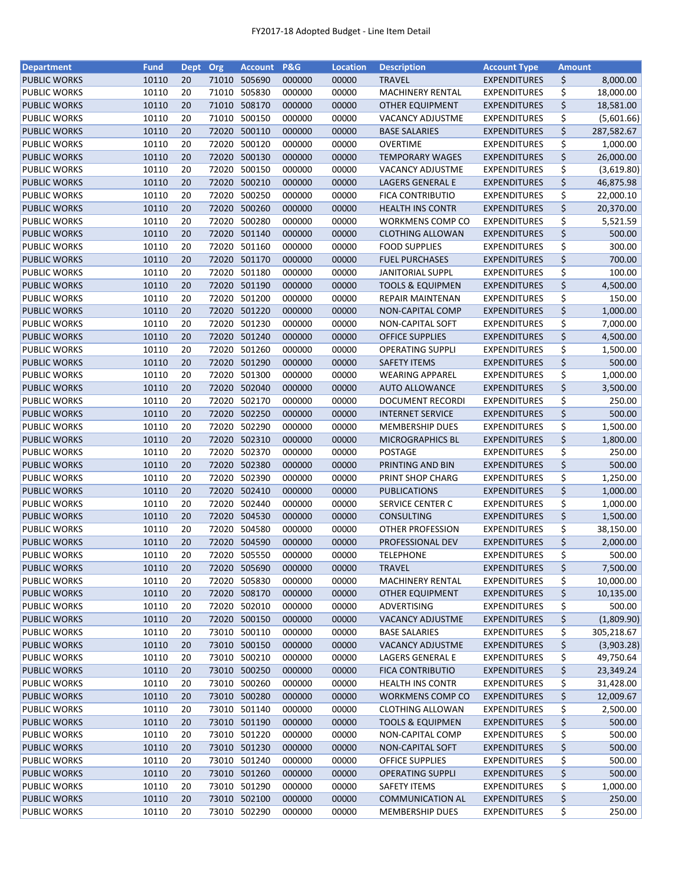| <b>Department</b>   | <b>Fund</b> | Dept Org |       | <b>Account</b> | P&G    | <b>Location</b> | <b>Description</b>          | <b>Account Type</b> | <b>Amount</b> |            |
|---------------------|-------------|----------|-------|----------------|--------|-----------------|-----------------------------|---------------------|---------------|------------|
| <b>PUBLIC WORKS</b> | 10110       | 20       |       | 71010 505690   | 000000 | 00000           | <b>TRAVEL</b>               | <b>EXPENDITURES</b> | \$            | 8,000.00   |
| PUBLIC WORKS        | 10110       | 20       | 71010 | 505830         | 000000 | 00000           | <b>MACHINERY RENTAL</b>     | <b>EXPENDITURES</b> | \$            | 18,000.00  |
| <b>PUBLIC WORKS</b> | 10110       | 20       | 71010 | 508170         | 000000 | 00000           | OTHER EQUIPMENT             | <b>EXPENDITURES</b> | \$            | 18,581.00  |
| PUBLIC WORKS        | 10110       | 20       | 71010 | 500150         | 000000 | 00000           | <b>VACANCY ADJUSTME</b>     | <b>EXPENDITURES</b> | \$            | (5,601.66) |
| <b>PUBLIC WORKS</b> | 10110       | 20       | 72020 | 500110         | 000000 | 00000           | <b>BASE SALARIES</b>        | <b>EXPENDITURES</b> | \$            | 287,582.67 |
| PUBLIC WORKS        | 10110       | 20       | 72020 | 500120         | 000000 | 00000           | <b>OVERTIME</b>             | <b>EXPENDITURES</b> | \$            | 1,000.00   |
| <b>PUBLIC WORKS</b> | 10110       | 20       | 72020 | 500130         | 000000 | 00000           | <b>TEMPORARY WAGES</b>      | <b>EXPENDITURES</b> | \$            | 26,000.00  |
| <b>PUBLIC WORKS</b> | 10110       | 20       | 72020 | 500150         | 000000 | 00000           | VACANCY ADJUSTME            | <b>EXPENDITURES</b> | \$            | (3,619.80) |
| <b>PUBLIC WORKS</b> | 10110       | 20       | 72020 | 500210         | 000000 | 00000           | LAGERS GENERAL E            | <b>EXPENDITURES</b> | \$            | 46,875.98  |
| PUBLIC WORKS        | 10110       | 20       | 72020 | 500250         | 000000 | 00000           | <b>FICA CONTRIBUTIO</b>     | <b>EXPENDITURES</b> | \$            | 22,000.10  |
| <b>PUBLIC WORKS</b> | 10110       | 20       | 72020 | 500260         | 000000 | 00000           | <b>HEALTH INS CONTR</b>     | <b>EXPENDITURES</b> | \$            | 20,370.00  |
| PUBLIC WORKS        | 10110       | 20       | 72020 | 500280         | 000000 | 00000           | WORKMENS COMP CO            | <b>EXPENDITURES</b> | \$            | 5,521.59   |
| <b>PUBLIC WORKS</b> | 10110       | 20       |       | 72020 501140   | 000000 | 00000           | <b>CLOTHING ALLOWAN</b>     | <b>EXPENDITURES</b> | \$            | 500.00     |
| PUBLIC WORKS        | 10110       | 20       | 72020 | 501160         | 000000 | 00000           | <b>FOOD SUPPLIES</b>        | <b>EXPENDITURES</b> | \$            | 300.00     |
| <b>PUBLIC WORKS</b> | 10110       | 20       | 72020 | 501170         | 000000 | 00000           | <b>FUEL PURCHASES</b>       | <b>EXPENDITURES</b> | \$            | 700.00     |
| PUBLIC WORKS        | 10110       | 20       | 72020 | 501180         | 000000 | 00000           | <b>JANITORIAL SUPPL</b>     | <b>EXPENDITURES</b> | \$            | 100.00     |
| <b>PUBLIC WORKS</b> | 10110       | 20       | 72020 | 501190         | 000000 | 00000           | <b>TOOLS &amp; EQUIPMEN</b> | <b>EXPENDITURES</b> | \$            | 4,500.00   |
| PUBLIC WORKS        | 10110       | 20       | 72020 | 501200         | 000000 | 00000           | REPAIR MAINTENAN            | <b>EXPENDITURES</b> | \$            | 150.00     |
| <b>PUBLIC WORKS</b> | 10110       | 20       |       | 72020 501220   | 000000 | 00000           | <b>NON-CAPITAL COMP</b>     | <b>EXPENDITURES</b> | \$            | 1,000.00   |
| PUBLIC WORKS        | 10110       | 20       | 72020 | 501230         | 000000 | 00000           | NON-CAPITAL SOFT            | <b>EXPENDITURES</b> | \$            | 7,000.00   |
| <b>PUBLIC WORKS</b> | 10110       | 20       |       | 72020 501240   | 000000 | 00000           | <b>OFFICE SUPPLIES</b>      | <b>EXPENDITURES</b> | \$            | 4,500.00   |
|                     |             |          |       |                |        |                 |                             |                     |               |            |
| PUBLIC WORKS        | 10110       | 20       |       | 72020 501260   | 000000 | 00000           | <b>OPERATING SUPPLI</b>     | <b>EXPENDITURES</b> | \$            | 1,500.00   |
| <b>PUBLIC WORKS</b> | 10110       | 20       |       | 72020 501290   | 000000 | 00000           | <b>SAFETY ITEMS</b>         | <b>EXPENDITURES</b> | \$            | 500.00     |
| PUBLIC WORKS        | 10110       | 20       |       | 72020 501300   | 000000 | 00000           | <b>WEARING APPAREL</b>      | <b>EXPENDITURES</b> | \$            | 1,000.00   |
| <b>PUBLIC WORKS</b> | 10110       | 20       |       | 72020 502040   | 000000 | 00000           | <b>AUTO ALLOWANCE</b>       | <b>EXPENDITURES</b> | \$            | 3,500.00   |
| PUBLIC WORKS        | 10110       | 20       | 72020 | 502170         | 000000 | 00000           | DOCUMENT RECORDI            | <b>EXPENDITURES</b> | \$            | 250.00     |
| <b>PUBLIC WORKS</b> | 10110       | 20       | 72020 | 502250         | 000000 | 00000           | <b>INTERNET SERVICE</b>     | <b>EXPENDITURES</b> | \$            | 500.00     |
| PUBLIC WORKS        | 10110       | 20       | 72020 | 502290         | 000000 | 00000           | <b>MEMBERSHIP DUES</b>      | <b>EXPENDITURES</b> | \$            | 1,500.00   |
| <b>PUBLIC WORKS</b> | 10110       | 20       | 72020 | 502310         | 000000 | 00000           | <b>MICROGRAPHICS BL</b>     | <b>EXPENDITURES</b> | \$            | 1,800.00   |
| PUBLIC WORKS        | 10110       | 20       | 72020 | 502370         | 000000 | 00000           | <b>POSTAGE</b>              | <b>EXPENDITURES</b> | \$            | 250.00     |
| <b>PUBLIC WORKS</b> | 10110       | 20       | 72020 | 502380         | 000000 | 00000           | PRINTING AND BIN            | <b>EXPENDITURES</b> | \$            | 500.00     |
| <b>PUBLIC WORKS</b> | 10110       | 20       | 72020 | 502390         | 000000 | 00000           | PRINT SHOP CHARG            | <b>EXPENDITURES</b> | \$            | 1,250.00   |
| <b>PUBLIC WORKS</b> | 10110       | 20       | 72020 | 502410         | 000000 | 00000           | <b>PUBLICATIONS</b>         | <b>EXPENDITURES</b> | \$            | 1,000.00   |
| <b>PUBLIC WORKS</b> | 10110       | 20       | 72020 | 502440         | 000000 | 00000           | SERVICE CENTER C            | <b>EXPENDITURES</b> | \$            | 1,000.00   |
| <b>PUBLIC WORKS</b> | 10110       | 20       | 72020 | 504530         | 000000 | 00000           | <b>CONSULTING</b>           | <b>EXPENDITURES</b> | \$            | 1,500.00   |
| PUBLIC WORKS        | 10110       | 20       | 72020 | 504580         | 000000 | 00000           | OTHER PROFESSION            | <b>EXPENDITURES</b> | \$            | 38,150.00  |
| <b>PUBLIC WORKS</b> | 10110       | 20       |       | 72020 504590   | 000000 | 00000           | PROFESSIONAL DEV            | <b>EXPENDITURES</b> | \$            | 2,000.00   |
| <b>PUBLIC WORKS</b> | 10110       | 20       |       | 72020 505550   | 000000 | 00000           | <b>TELEPHONE</b>            | <b>EXPENDITURES</b> | \$            | 500.00     |
| <b>PUBLIC WORKS</b> | 10110       | 20       |       | 72020 505690   | 000000 | 00000           | <b>TRAVEL</b>               | <b>EXPENDITURES</b> | \$            | 7,500.00   |
| PUBLIC WORKS        | 10110       | 20       | 72020 | 505830         | 000000 | 00000           | <b>MACHINERY RENTAL</b>     | <b>EXPENDITURES</b> | \$            | 10,000.00  |
| <b>PUBLIC WORKS</b> | 10110       | 20       | 72020 | 508170         | 000000 | 00000           | OTHER EQUIPMENT             | <b>EXPENDITURES</b> | \$            | 10,135.00  |
| PUBLIC WORKS        | 10110       | 20       | 72020 | 502010         | 000000 | 00000           | ADVERTISING                 | <b>EXPENDITURES</b> | \$            | 500.00     |
| <b>PUBLIC WORKS</b> | 10110       | 20       |       | 72020 500150   | 000000 | 00000           | <b>VACANCY ADJUSTME</b>     | <b>EXPENDITURES</b> | \$            | (1,809.90) |
| PUBLIC WORKS        | 10110       | 20       |       | 73010 500110   | 000000 | 00000           | <b>BASE SALARIES</b>        | <b>EXPENDITURES</b> | \$            | 305,218.67 |
| <b>PUBLIC WORKS</b> | 10110       | 20       |       | 73010 500150   | 000000 | 00000           | <b>VACANCY ADJUSTME</b>     | <b>EXPENDITURES</b> | \$            | (3,903.28) |
| PUBLIC WORKS        | 10110       | 20       |       | 73010 500210   | 000000 | 00000           | LAGERS GENERAL E            | <b>EXPENDITURES</b> | \$            | 49,750.64  |
| <b>PUBLIC WORKS</b> | 10110       | 20       |       | 73010 500250   | 000000 | 00000           | <b>FICA CONTRIBUTIO</b>     | <b>EXPENDITURES</b> | \$            | 23,349.24  |
| PUBLIC WORKS        | 10110       | 20       |       | 73010 500260   | 000000 | 00000           | <b>HEALTH INS CONTR</b>     | <b>EXPENDITURES</b> | \$            | 31,428.00  |
| <b>PUBLIC WORKS</b> | 10110       | 20       |       | 73010 500280   | 000000 | 00000           | <b>WORKMENS COMP CO</b>     | <b>EXPENDITURES</b> | \$            | 12,009.67  |
| PUBLIC WORKS        | 10110       | 20       |       | 73010 501140   | 000000 | 00000           | <b>CLOTHING ALLOWAN</b>     | <b>EXPENDITURES</b> | \$            | 2,500.00   |
| <b>PUBLIC WORKS</b> | 10110       | 20       |       | 73010 501190   | 000000 | 00000           | <b>TOOLS &amp; EQUIPMEN</b> | <b>EXPENDITURES</b> | \$            | 500.00     |
| PUBLIC WORKS        | 10110       | 20       |       | 73010 501220   | 000000 | 00000           | NON-CAPITAL COMP            | <b>EXPENDITURES</b> | \$            | 500.00     |
| <b>PUBLIC WORKS</b> | 10110       | 20       |       | 73010 501230   | 000000 | 00000           | NON-CAPITAL SOFT            | <b>EXPENDITURES</b> | \$            | 500.00     |
| PUBLIC WORKS        | 10110       | 20       | 73010 | 501240         | 000000 | 00000           | <b>OFFICE SUPPLIES</b>      | <b>EXPENDITURES</b> | \$            | 500.00     |
| <b>PUBLIC WORKS</b> | 10110       | 20       |       | 73010 501260   | 000000 | 00000           | <b>OPERATING SUPPLI</b>     | <b>EXPENDITURES</b> | \$            | 500.00     |
| PUBLIC WORKS        | 10110       | 20       |       | 73010 501290   | 000000 | 00000           | SAFETY ITEMS                | <b>EXPENDITURES</b> | \$            | 1,000.00   |
| <b>PUBLIC WORKS</b> | 10110       | 20       |       | 73010 502100   | 000000 | 00000           | <b>COMMUNICATION AL</b>     | <b>EXPENDITURES</b> | \$            | 250.00     |
| <b>PUBLIC WORKS</b> | 10110       | 20       |       | 73010 502290   | 000000 | 00000           | <b>MEMBERSHIP DUES</b>      | <b>EXPENDITURES</b> | \$            | 250.00     |
|                     |             |          |       |                |        |                 |                             |                     |               |            |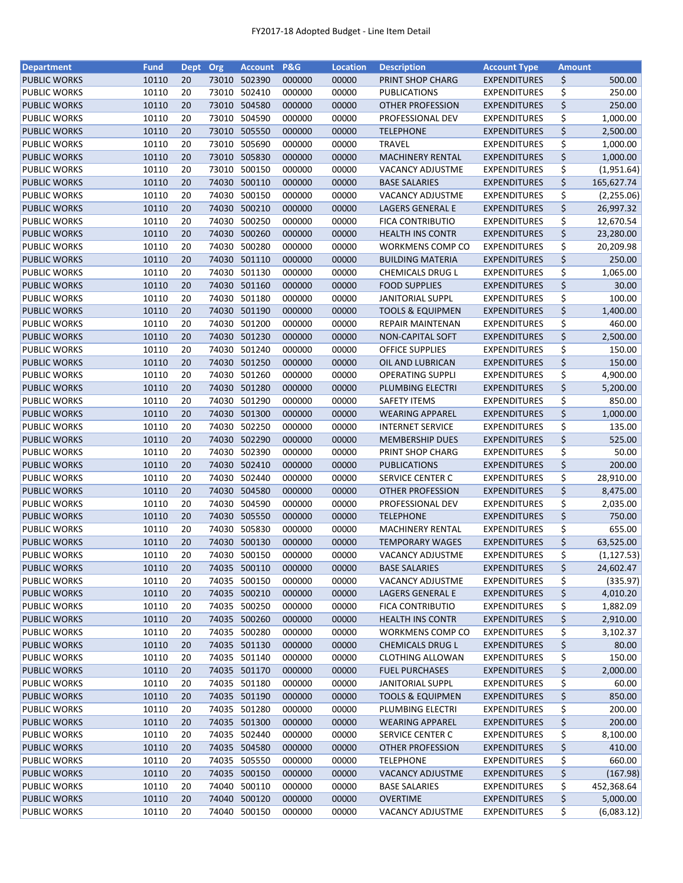| <b>Department</b>   | <b>Fund</b> | Dept Org |       | <b>Account</b> | <b>P&amp;G</b> | <b>Location</b> | <b>Description</b>          | <b>Account Type</b> | <b>Amount</b> |             |
|---------------------|-------------|----------|-------|----------------|----------------|-----------------|-----------------------------|---------------------|---------------|-------------|
| <b>PUBLIC WORKS</b> | 10110       | 20       | 73010 | 502390         | 000000         | 00000           | PRINT SHOP CHARG            | <b>EXPENDITURES</b> | \$            | 500.00      |
| PUBLIC WORKS        | 10110       | 20       | 73010 | 502410         | 000000         | 00000           | <b>PUBLICATIONS</b>         | <b>EXPENDITURES</b> | \$            | 250.00      |
| <b>PUBLIC WORKS</b> | 10110       | 20       | 73010 | 504580         | 000000         | 00000           | <b>OTHER PROFESSION</b>     | <b>EXPENDITURES</b> | \$            | 250.00      |
| PUBLIC WORKS        | 10110       | 20       | 73010 | 504590         | 000000         | 00000           | PROFESSIONAL DEV            | <b>EXPENDITURES</b> | \$            | 1,000.00    |
| <b>PUBLIC WORKS</b> | 10110       | 20       |       | 73010 505550   | 000000         | 00000           | <b>TELEPHONE</b>            | <b>EXPENDITURES</b> | \$            | 2,500.00    |
| PUBLIC WORKS        | 10110       | 20       | 73010 | 505690         | 000000         | 00000           | <b>TRAVEL</b>               | <b>EXPENDITURES</b> | \$            | 1,000.00    |
| <b>PUBLIC WORKS</b> | 10110       | 20       |       | 73010 505830   | 000000         | 00000           | <b>MACHINERY RENTAL</b>     | <b>EXPENDITURES</b> | \$            | 1,000.00    |
| PUBLIC WORKS        | 10110       | 20       | 73010 | 500150         | 000000         | 00000           | <b>VACANCY ADJUSTME</b>     | <b>EXPENDITURES</b> | \$            | (1,951.64)  |
| <b>PUBLIC WORKS</b> | 10110       | 20       | 74030 | 500110         | 000000         | 00000           | <b>BASE SALARIES</b>        | <b>EXPENDITURES</b> | \$            | 165,627.74  |
| PUBLIC WORKS        | 10110       | 20       | 74030 | 500150         | 000000         | 00000           | <b>VACANCY ADJUSTME</b>     | <b>EXPENDITURES</b> | \$            | (2,255.06)  |
| <b>PUBLIC WORKS</b> | 10110       | 20       |       | 74030 500210   | 000000         | 00000           | LAGERS GENERAL E            | <b>EXPENDITURES</b> | \$            | 26,997.32   |
| PUBLIC WORKS        | 10110       | 20       | 74030 | 500250         | 000000         | 00000           | <b>FICA CONTRIBUTIO</b>     | <b>EXPENDITURES</b> | \$            | 12,670.54   |
| <b>PUBLIC WORKS</b> | 10110       | 20       | 74030 | 500260         | 000000         | 00000           | <b>HEALTH INS CONTR</b>     | <b>EXPENDITURES</b> | \$            | 23,280.00   |
| PUBLIC WORKS        | 10110       | 20       | 74030 | 500280         | 000000         | 00000           | WORKMENS COMP CO            | <b>EXPENDITURES</b> | \$            | 20,209.98   |
| <b>PUBLIC WORKS</b> | 10110       | 20       | 74030 | 501110         | 000000         | 00000           | <b>BUILDING MATERIA</b>     | <b>EXPENDITURES</b> | \$            | 250.00      |
| PUBLIC WORKS        | 10110       | 20       | 74030 | 501130         | 000000         | 00000           | CHEMICALS DRUG L            | <b>EXPENDITURES</b> | \$            | 1,065.00    |
| <b>PUBLIC WORKS</b> | 10110       | 20       |       | 74030 501160   | 000000         | 00000           | <b>FOOD SUPPLIES</b>        | <b>EXPENDITURES</b> | \$            | 30.00       |
| <b>PUBLIC WORKS</b> | 10110       | 20       | 74030 | 501180         | 000000         | 00000           | <b>JANITORIAL SUPPL</b>     | <b>EXPENDITURES</b> | \$            | 100.00      |
| <b>PUBLIC WORKS</b> | 10110       | 20       |       | 74030 501190   | 000000         | 00000           | <b>TOOLS &amp; EQUIPMEN</b> | <b>EXPENDITURES</b> | \$            | 1,400.00    |
| PUBLIC WORKS        | 10110       | 20       |       | 74030 501200   | 000000         | 00000           | <b>REPAIR MAINTENAN</b>     | <b>EXPENDITURES</b> | \$            | 460.00      |
| <b>PUBLIC WORKS</b> | 10110       | 20       |       | 74030 501230   | 000000         | 00000           | NON-CAPITAL SOFT            | <b>EXPENDITURES</b> | \$            | 2,500.00    |
|                     |             |          |       |                |                |                 |                             |                     |               |             |
| PUBLIC WORKS        | 10110       | 20       |       | 74030 501240   | 000000         | 00000           | <b>OFFICE SUPPLIES</b>      | <b>EXPENDITURES</b> | \$            | 150.00      |
| <b>PUBLIC WORKS</b> | 10110       | 20       |       | 74030 501250   | 000000         | 00000           | OIL AND LUBRICAN            | <b>EXPENDITURES</b> | \$            | 150.00      |
| PUBLIC WORKS        | 10110       | 20       |       | 74030 501260   | 000000         | 00000           | <b>OPERATING SUPPLI</b>     | <b>EXPENDITURES</b> | \$            | 4,900.00    |
| <b>PUBLIC WORKS</b> | 10110       | 20       |       | 74030 501280   | 000000         | 00000           | PLUMBING ELECTRI            | <b>EXPENDITURES</b> | \$            | 5,200.00    |
| PUBLIC WORKS        | 10110       | 20       | 74030 | 501290         | 000000         | 00000           | <b>SAFETY ITEMS</b>         | <b>EXPENDITURES</b> | \$            | 850.00      |
| <b>PUBLIC WORKS</b> | 10110       | 20       | 74030 | 501300         | 000000         | 00000           | <b>WEARING APPAREL</b>      | <b>EXPENDITURES</b> | \$            | 1,000.00    |
| PUBLIC WORKS        | 10110       | 20       | 74030 | 502250         | 000000         | 00000           | <b>INTERNET SERVICE</b>     | <b>EXPENDITURES</b> | \$            | 135.00      |
| <b>PUBLIC WORKS</b> | 10110       | 20       | 74030 | 502290         | 000000         | 00000           | <b>MEMBERSHIP DUES</b>      | <b>EXPENDITURES</b> | \$            | 525.00      |
| <b>PUBLIC WORKS</b> | 10110       | 20       | 74030 | 502390         | 000000         | 00000           | PRINT SHOP CHARG            | <b>EXPENDITURES</b> | \$            | 50.00       |
| <b>PUBLIC WORKS</b> | 10110       | 20       |       | 74030 502410   | 000000         | 00000           | <b>PUBLICATIONS</b>         | <b>EXPENDITURES</b> | \$            | 200.00      |
| PUBLIC WORKS        | 10110       | 20       | 74030 | 502440         | 000000         | 00000           | SERVICE CENTER C            | <b>EXPENDITURES</b> | \$            | 28,910.00   |
| <b>PUBLIC WORKS</b> | 10110       | 20       | 74030 | 504580         | 000000         | 00000           | <b>OTHER PROFESSION</b>     | <b>EXPENDITURES</b> | \$            | 8,475.00    |
| PUBLIC WORKS        | 10110       | 20       | 74030 | 504590         | 000000         | 00000           | PROFESSIONAL DEV            | <b>EXPENDITURES</b> | \$            | 2,035.00    |
| <b>PUBLIC WORKS</b> | 10110       | 20       |       | 74030 505550   | 000000         | 00000           | <b>TELEPHONE</b>            | <b>EXPENDITURES</b> | \$            | 750.00      |
| <b>PUBLIC WORKS</b> | 10110       | 20       |       | 74030 505830   | 000000         | 00000           | <b>MACHINERY RENTAL</b>     | <b>EXPENDITURES</b> | \$            | 655.00      |
| <b>PUBLIC WORKS</b> | 10110       | 20       |       | 74030 500130   | 000000         | 00000           | <b>TEMPORARY WAGES</b>      | <b>EXPENDITURES</b> | \$            | 63,525.00   |
| <b>PUBLIC WORKS</b> | 10110       | 20       |       | 74030 500150   | 000000         | 00000           | <b>VACANCY ADJUSTME</b>     | <b>EXPENDITURES</b> | \$            | (1, 127.53) |
| <b>PUBLIC WORKS</b> | 10110       | 20       |       | 74035 500110   | 000000         | 00000           | <b>BASE SALARIES</b>        | <b>EXPENDITURES</b> | \$            | 24,602.47   |
| <b>PUBLIC WORKS</b> | 10110       | 20       | 74035 | 500150         | 000000         | 00000           | <b>VACANCY ADJUSTME</b>     | <b>EXPENDITURES</b> | \$            | (335.97)    |
| <b>PUBLIC WORKS</b> | 10110       | 20       |       | 74035 500210   | 000000         | 00000           | LAGERS GENERAL E            | <b>EXPENDITURES</b> | \$            | 4,010.20    |
| PUBLIC WORKS        | 10110       | 20       |       | 74035 500250   | 000000         | 00000           | FICA CONTRIBUTIO            | <b>EXPENDITURES</b> | \$            | 1,882.09    |
| <b>PUBLIC WORKS</b> | 10110       | 20       |       | 74035 500260   | 000000         | 00000           | <b>HEALTH INS CONTR</b>     | <b>EXPENDITURES</b> | \$            | 2,910.00    |
| <b>PUBLIC WORKS</b> | 10110       | 20       |       | 74035 500280   | 000000         | 00000           | WORKMENS COMP CO            | <b>EXPENDITURES</b> | \$            | 3,102.37    |
| <b>PUBLIC WORKS</b> | 10110       | 20       |       | 74035 501130   | 000000         | 00000           | <b>CHEMICALS DRUG L</b>     | <b>EXPENDITURES</b> | \$            | 80.00       |
| PUBLIC WORKS        | 10110       | 20       |       | 74035 501140   | 000000         | 00000           | <b>CLOTHING ALLOWAN</b>     | <b>EXPENDITURES</b> | \$            | 150.00      |
| <b>PUBLIC WORKS</b> | 10110       | 20       |       | 74035 501170   | 000000         | 00000           | <b>FUEL PURCHASES</b>       | <b>EXPENDITURES</b> | \$            | 2,000.00    |
| PUBLIC WORKS        | 10110       | 20       |       | 74035 501180   | 000000         | 00000           | <b>JANITORIAL SUPPL</b>     | <b>EXPENDITURES</b> | \$            | 60.00       |
| <b>PUBLIC WORKS</b> | 10110       | 20       |       | 74035 501190   | 000000         | 00000           | <b>TOOLS &amp; EQUIPMEN</b> | <b>EXPENDITURES</b> | \$            | 850.00      |
|                     |             |          |       |                |                |                 |                             |                     |               |             |
| PUBLIC WORKS        | 10110       | 20       |       | 74035 501280   | 000000         | 00000           | PLUMBING ELECTRI            | <b>EXPENDITURES</b> | \$            | 200.00      |
| <b>PUBLIC WORKS</b> | 10110       | 20       |       | 74035 501300   | 000000         | 00000           | <b>WEARING APPAREL</b>      | <b>EXPENDITURES</b> | \$            | 200.00      |
| PUBLIC WORKS        | 10110       | 20       |       | 74035 502440   | 000000         | 00000           | SERVICE CENTER C            | <b>EXPENDITURES</b> | \$            | 8,100.00    |
| <b>PUBLIC WORKS</b> | 10110       | 20       |       | 74035 504580   | 000000         | 00000           | <b>OTHER PROFESSION</b>     | <b>EXPENDITURES</b> | \$            | 410.00      |
| PUBLIC WORKS        | 10110       | 20       |       | 74035 505550   | 000000         | 00000           | <b>TELEPHONE</b>            | <b>EXPENDITURES</b> | \$            | 660.00      |
| <b>PUBLIC WORKS</b> | 10110       | 20       |       | 74035 500150   | 000000         | 00000           | VACANCY ADJUSTME            | <b>EXPENDITURES</b> | \$            | (167.98)    |
| PUBLIC WORKS        | 10110       | 20       |       | 74040 500110   | 000000         | 00000           | <b>BASE SALARIES</b>        | <b>EXPENDITURES</b> | \$            | 452,368.64  |
| <b>PUBLIC WORKS</b> | 10110       | 20       |       | 74040 500120   | 000000         | 00000           | <b>OVERTIME</b>             | <b>EXPENDITURES</b> | \$            | 5,000.00    |
| PUBLIC WORKS        | 10110       | 20       |       | 74040 500150   | 000000         | 00000           | VACANCY ADJUSTME            | <b>EXPENDITURES</b> | \$            | (6,083.12)  |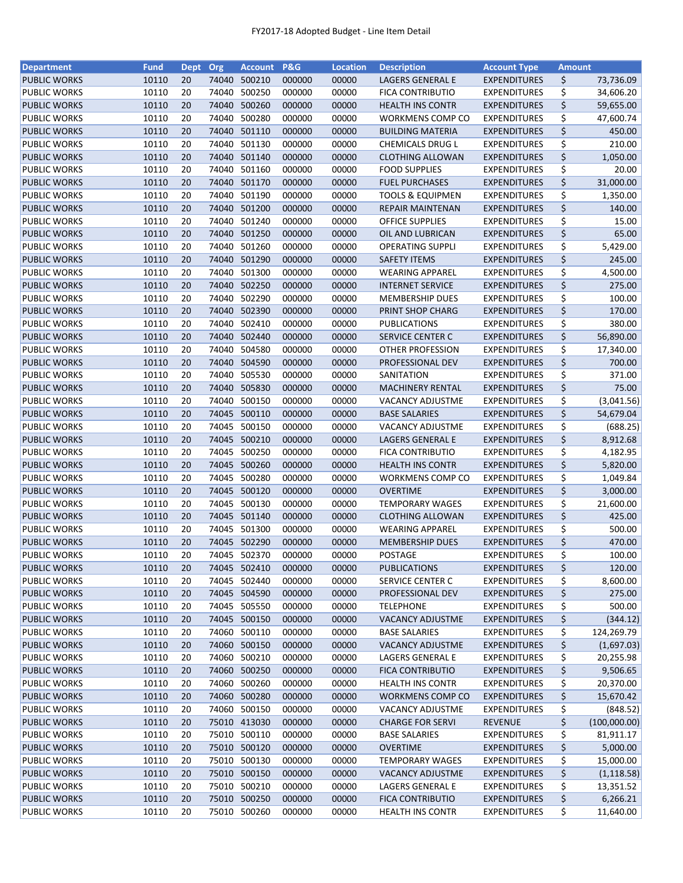| <b>Department</b>   | <b>Fund</b> | Dept Org |       | <b>Account</b> | <b>P&amp;G</b> | <b>Location</b> | <b>Description</b>          | <b>Account Type</b> | <b>Amount</b> |              |
|---------------------|-------------|----------|-------|----------------|----------------|-----------------|-----------------------------|---------------------|---------------|--------------|
| <b>PUBLIC WORKS</b> | 10110       | 20       | 74040 | 500210         | 000000         | 00000           | LAGERS GENERAL E            | <b>EXPENDITURES</b> | \$            | 73,736.09    |
| PUBLIC WORKS        | 10110       | 20       | 74040 | 500250         | 000000         | 00000           | FICA CONTRIBUTIO            | <b>EXPENDITURES</b> | \$            | 34,606.20    |
| <b>PUBLIC WORKS</b> | 10110       | 20       | 74040 | 500260         | 000000         | 00000           | <b>HEALTH INS CONTR</b>     | <b>EXPENDITURES</b> | \$            | 59,655.00    |
| PUBLIC WORKS        | 10110       | 20       | 74040 | 500280         | 000000         | 00000           | <b>WORKMENS COMP CO</b>     | <b>EXPENDITURES</b> | \$            | 47,600.74    |
| <b>PUBLIC WORKS</b> | 10110       | 20       | 74040 | 501110         | 000000         | 00000           | <b>BUILDING MATERIA</b>     | <b>EXPENDITURES</b> | \$            | 450.00       |
| <b>PUBLIC WORKS</b> | 10110       | 20       | 74040 | 501130         | 000000         | 00000           | CHEMICALS DRUG L            | <b>EXPENDITURES</b> | \$            | 210.00       |
| <b>PUBLIC WORKS</b> | 10110       | 20       | 74040 | 501140         | 000000         | 00000           | <b>CLOTHING ALLOWAN</b>     | <b>EXPENDITURES</b> | \$            | 1,050.00     |
| PUBLIC WORKS        | 10110       | 20       | 74040 | 501160         | 000000         | 00000           | <b>FOOD SUPPLIES</b>        | <b>EXPENDITURES</b> | \$            | 20.00        |
| <b>PUBLIC WORKS</b> | 10110       | 20       |       | 74040 501170   | 000000         | 00000           | <b>FUEL PURCHASES</b>       | <b>EXPENDITURES</b> | \$            | 31,000.00    |
| PUBLIC WORKS        | 10110       | 20       | 74040 | 501190         | 000000         | 00000           | <b>TOOLS &amp; EQUIPMEN</b> | <b>EXPENDITURES</b> | \$            | 1,350.00     |
| <b>PUBLIC WORKS</b> | 10110       | 20       | 74040 | 501200         | 000000         | 00000           | <b>REPAIR MAINTENAN</b>     | <b>EXPENDITURES</b> | \$            | 140.00       |
| <b>PUBLIC WORKS</b> | 10110       | 20       | 74040 | 501240         | 000000         | 00000           | <b>OFFICE SUPPLIES</b>      | <b>EXPENDITURES</b> | \$            | 15.00        |
| <b>PUBLIC WORKS</b> | 10110       | 20       | 74040 | 501250         | 000000         | 00000           | OIL AND LUBRICAN            | <b>EXPENDITURES</b> | \$            | 65.00        |
| PUBLIC WORKS        | 10110       | 20       | 74040 | 501260         | 000000         | 00000           | <b>OPERATING SUPPLI</b>     | <b>EXPENDITURES</b> | \$            | 5,429.00     |
| <b>PUBLIC WORKS</b> | 10110       | 20       | 74040 | 501290         | 000000         | 00000           | <b>SAFETY ITEMS</b>         | <b>EXPENDITURES</b> | \$            | 245.00       |
| PUBLIC WORKS        | 10110       | 20       | 74040 | 501300         | 000000         | 00000           | <b>WEARING APPAREL</b>      | <b>EXPENDITURES</b> | \$            | 4,500.00     |
| <b>PUBLIC WORKS</b> | 10110       | 20       | 74040 | 502250         | 000000         | 00000           | <b>INTERNET SERVICE</b>     | <b>EXPENDITURES</b> | \$            | 275.00       |
| <b>PUBLIC WORKS</b> | 10110       | 20       | 74040 | 502290         | 000000         | 00000           | <b>MEMBERSHIP DUES</b>      | <b>EXPENDITURES</b> | \$            | 100.00       |
| <b>PUBLIC WORKS</b> | 10110       | 20       | 74040 | 502390         | 000000         | 00000           | PRINT SHOP CHARG            | <b>EXPENDITURES</b> | \$            | 170.00       |
| PUBLIC WORKS        | 10110       | 20       | 74040 | 502410         | 000000         | 00000           | PUBLICATIONS                | <b>EXPENDITURES</b> | \$            | 380.00       |
| <b>PUBLIC WORKS</b> | 10110       | 20       | 74040 | 502440         | 000000         | 00000           | <b>SERVICE CENTER C</b>     | <b>EXPENDITURES</b> | \$            | 56,890.00    |
| PUBLIC WORKS        | 10110       | 20       | 74040 | 504580         | 000000         | 00000           | OTHER PROFESSION            | <b>EXPENDITURES</b> | \$            | 17,340.00    |
| <b>PUBLIC WORKS</b> | 10110       | 20       |       | 74040 504590   | 000000         | 00000           | PROFESSIONAL DEV            | <b>EXPENDITURES</b> | \$            | 700.00       |
| PUBLIC WORKS        | 10110       | 20       | 74040 | 505530         | 000000         | 00000           | SANITATION                  | <b>EXPENDITURES</b> | \$            | 371.00       |
| <b>PUBLIC WORKS</b> | 10110       | 20       | 74040 | 505830         | 000000         | 00000           | <b>MACHINERY RENTAL</b>     | <b>EXPENDITURES</b> | \$            | 75.00        |
| PUBLIC WORKS        | 10110       | 20       | 74040 | 500150         | 000000         | 00000           | <b>VACANCY ADJUSTME</b>     | <b>EXPENDITURES</b> | \$            | (3,041.56)   |
| <b>PUBLIC WORKS</b> | 10110       | 20       | 74045 | 500110         | 000000         | 00000           | <b>BASE SALARIES</b>        | <b>EXPENDITURES</b> | \$            | 54,679.04    |
| PUBLIC WORKS        | 10110       | 20       | 74045 | 500150         | 000000         | 00000           | VACANCY ADJUSTME            | <b>EXPENDITURES</b> | \$            | (688.25)     |
| <b>PUBLIC WORKS</b> | 10110       | 20       | 74045 | 500210         | 000000         | 00000           | LAGERS GENERAL E            | <b>EXPENDITURES</b> | \$            | 8,912.68     |
| PUBLIC WORKS        | 10110       | 20       | 74045 | 500250         | 000000         | 00000           | FICA CONTRIBUTIO            | <b>EXPENDITURES</b> | \$            | 4,182.95     |
| <b>PUBLIC WORKS</b> | 10110       | 20       | 74045 | 500260         | 000000         | 00000           | <b>HEALTH INS CONTR</b>     | <b>EXPENDITURES</b> | \$            | 5,820.00     |
| PUBLIC WORKS        | 10110       | 20       | 74045 | 500280         | 000000         | 00000           | <b>WORKMENS COMP CO</b>     | <b>EXPENDITURES</b> | \$            | 1,049.84     |
| <b>PUBLIC WORKS</b> | 10110       | 20       | 74045 | 500120         | 000000         | 00000           | <b>OVERTIME</b>             | <b>EXPENDITURES</b> | \$            | 3,000.00     |
| PUBLIC WORKS        | 10110       | 20       | 74045 | 500130         | 000000         | 00000           | <b>TEMPORARY WAGES</b>      | <b>EXPENDITURES</b> | \$            | 21,600.00    |
| <b>PUBLIC WORKS</b> | 10110       | 20       |       | 74045 501140   | 000000         | 00000           | <b>CLOTHING ALLOWAN</b>     | <b>EXPENDITURES</b> | \$            | 425.00       |
| <b>PUBLIC WORKS</b> | 10110       | 20       | 74045 | 501300         | 000000         | 00000           | <b>WEARING APPAREL</b>      | <b>EXPENDITURES</b> | \$            | 500.00       |
| <b>PUBLIC WORKS</b> | 10110       | 20       |       | 74045 502290   | 000000         | 00000           | <b>MEMBERSHIP DUES</b>      | <b>EXPENDITURES</b> | \$            | 470.00       |
| <b>PUBLIC WORKS</b> | 10110       | 20       |       | 74045 502370   | 000000         | 00000           | <b>POSTAGE</b>              | <b>EXPENDITURES</b> | \$            | 100.00       |
| <b>PUBLIC WORKS</b> | 10110       | 20       |       | 74045 502410   | 000000         | 00000           | <b>PUBLICATIONS</b>         | <b>EXPENDITURES</b> | \$            | 120.00       |
| PUBLIC WORKS        | 10110       | 20       | 74045 | 502440         | 000000         | 00000           | SERVICE CENTER C            | <b>EXPENDITURES</b> | \$            | 8,600.00     |
| <b>PUBLIC WORKS</b> | 10110       | 20       |       | 74045 504590   | 000000         | 00000           | PROFESSIONAL DEV            | <b>EXPENDITURES</b> | \$            | 275.00       |
| PUBLIC WORKS        | 10110       | 20       |       | 74045 505550   | 000000         | 00000           | <b>TELEPHONE</b>            | <b>EXPENDITURES</b> | \$            | 500.00       |
| <b>PUBLIC WORKS</b> | 10110       | 20       |       | 74045 500150   | 000000         | 00000           | <b>VACANCY ADJUSTME</b>     | <b>EXPENDITURES</b> | \$            | (344.12)     |
| PUBLIC WORKS        | 10110       | 20       |       | 74060 500110   | 000000         | 00000           | <b>BASE SALARIES</b>        | <b>EXPENDITURES</b> | \$            | 124,269.79   |
| <b>PUBLIC WORKS</b> | 10110       | 20       |       | 74060 500150   | 000000         | 00000           | <b>VACANCY ADJUSTME</b>     | <b>EXPENDITURES</b> | \$            | (1,697.03)   |
| PUBLIC WORKS        | 10110       | 20       |       | 74060 500210   | 000000         | 00000           | LAGERS GENERAL E            | <b>EXPENDITURES</b> | \$            | 20,255.98    |
| <b>PUBLIC WORKS</b> | 10110       | 20       |       | 74060 500250   | 000000         | 00000           | <b>FICA CONTRIBUTIO</b>     | <b>EXPENDITURES</b> | \$            | 9,506.65     |
| <b>PUBLIC WORKS</b> | 10110       | 20       |       | 74060 500260   | 000000         | 00000           | <b>HEALTH INS CONTR</b>     | <b>EXPENDITURES</b> | \$            | 20,370.00    |
| <b>PUBLIC WORKS</b> | 10110       | 20       |       | 74060 500280   | 000000         | 00000           | <b>WORKMENS COMP CO</b>     | <b>EXPENDITURES</b> | \$            | 15,670.42    |
| PUBLIC WORKS        | 10110       | 20       |       | 74060 500150   | 000000         | 00000           | <b>VACANCY ADJUSTME</b>     | <b>EXPENDITURES</b> | \$            | (848.52)     |
| <b>PUBLIC WORKS</b> | 10110       | 20       |       | 75010 413030   | 000000         | 00000           | <b>CHARGE FOR SERVI</b>     | <b>REVENUE</b>      | \$            | (100,000.00) |
| PUBLIC WORKS        | 10110       | 20       | 75010 | 500110         | 000000         | 00000           | <b>BASE SALARIES</b>        | <b>EXPENDITURES</b> | \$            | 81,911.17    |
| <b>PUBLIC WORKS</b> | 10110       | 20       |       | 75010 500120   | 000000         | 00000           | <b>OVERTIME</b>             | <b>EXPENDITURES</b> | \$            | 5,000.00     |
| PUBLIC WORKS        | 10110       | 20       |       | 75010 500130   | 000000         | 00000           | <b>TEMPORARY WAGES</b>      | <b>EXPENDITURES</b> | \$            | 15,000.00    |
| <b>PUBLIC WORKS</b> | 10110       | 20       |       | 75010 500150   | 000000         | 00000           | <b>VACANCY ADJUSTME</b>     | <b>EXPENDITURES</b> | \$            | (1, 118.58)  |
| PUBLIC WORKS        | 10110       | 20       |       | 75010 500210   | 000000         | 00000           | LAGERS GENERAL E            | <b>EXPENDITURES</b> | \$            | 13,351.52    |
| <b>PUBLIC WORKS</b> | 10110       | 20       |       | 75010 500250   | 000000         | 00000           | <b>FICA CONTRIBUTIO</b>     | <b>EXPENDITURES</b> | \$            | 6,266.21     |
|                     |             |          |       | 75010 500260   |                |                 |                             |                     | \$            |              |
| PUBLIC WORKS        | 10110       | 20       |       |                | 000000         | 00000           | <b>HEALTH INS CONTR</b>     | <b>EXPENDITURES</b> |               | 11,640.00    |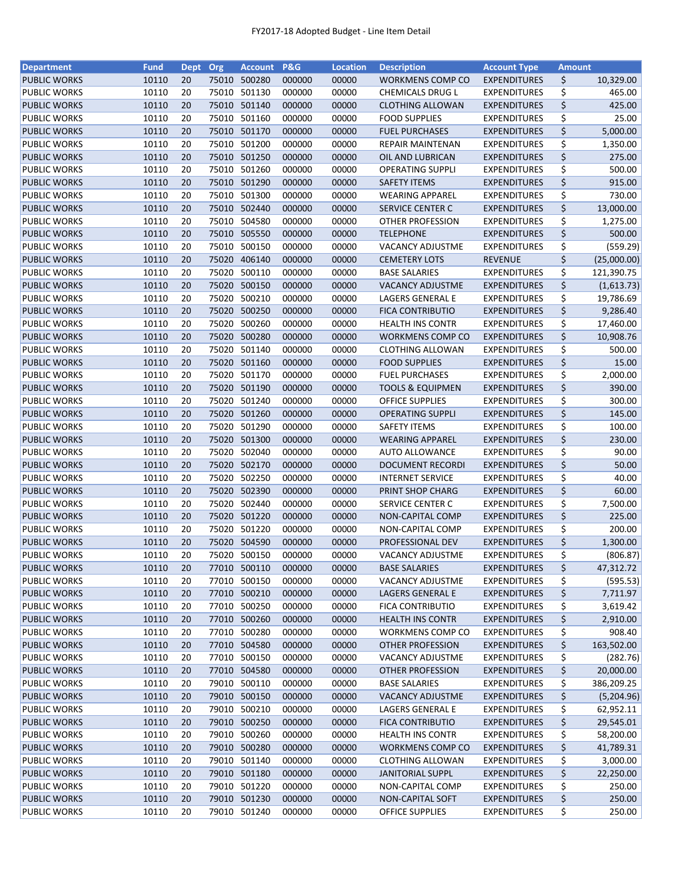| <b>Department</b>   | <b>Fund</b> | Dept Org |       | <b>Account</b> | <b>P&amp;G</b> | <b>Location</b> | <b>Description</b>          | <b>Account Type</b> | <b>Amount</b> |             |
|---------------------|-------------|----------|-------|----------------|----------------|-----------------|-----------------------------|---------------------|---------------|-------------|
| <b>PUBLIC WORKS</b> | 10110       | 20       | 75010 | 500280         | 000000         | 00000           | WORKMENS COMP CO            | <b>EXPENDITURES</b> | \$            | 10,329.00   |
| <b>PUBLIC WORKS</b> | 10110       | 20       | 75010 | 501130         | 000000         | 00000           | CHEMICALS DRUG L            | <b>EXPENDITURES</b> | \$            | 465.00      |
| <b>PUBLIC WORKS</b> | 10110       | 20       |       | 75010 501140   | 000000         | 00000           | <b>CLOTHING ALLOWAN</b>     | <b>EXPENDITURES</b> | \$            | 425.00      |
| <b>PUBLIC WORKS</b> | 10110       | 20       | 75010 | 501160         | 000000         | 00000           | <b>FOOD SUPPLIES</b>        | <b>EXPENDITURES</b> | \$            | 25.00       |
| <b>PUBLIC WORKS</b> | 10110       | 20       |       | 75010 501170   | 000000         | 00000           | <b>FUEL PURCHASES</b>       | <b>EXPENDITURES</b> | \$            | 5,000.00    |
| <b>PUBLIC WORKS</b> | 10110       | 20       |       | 75010 501200   | 000000         | 00000           | <b>REPAIR MAINTENAN</b>     | <b>EXPENDITURES</b> | \$            | 1,350.00    |
| <b>PUBLIC WORKS</b> | 10110       | 20       |       | 75010 501250   | 000000         | 00000           | OIL AND LUBRICAN            | <b>EXPENDITURES</b> | \$            | 275.00      |
| <b>PUBLIC WORKS</b> | 10110       | 20       | 75010 | 501260         | 000000         | 00000           | <b>OPERATING SUPPLI</b>     | <b>EXPENDITURES</b> | \$            | 500.00      |
| <b>PUBLIC WORKS</b> | 10110       | 20       |       | 75010 501290   | 000000         | 00000           | <b>SAFETY ITEMS</b>         | <b>EXPENDITURES</b> | \$            | 915.00      |
| <b>PUBLIC WORKS</b> | 10110       | 20       | 75010 | 501300         | 000000         | 00000           | <b>WEARING APPAREL</b>      | <b>EXPENDITURES</b> | \$            | 730.00      |
| <b>PUBLIC WORKS</b> | 10110       | 20       |       | 75010 502440   | 000000         | 00000           | <b>SERVICE CENTER C</b>     | <b>EXPENDITURES</b> | \$            | 13,000.00   |
| <b>PUBLIC WORKS</b> | 10110       | 20       | 75010 | 504580         | 000000         | 00000           | OTHER PROFESSION            | <b>EXPENDITURES</b> | \$            | 1,275.00    |
| <b>PUBLIC WORKS</b> | 10110       | 20       | 75010 | 505550         | 000000         | 00000           | <b>TELEPHONE</b>            | <b>EXPENDITURES</b> | \$            | 500.00      |
| <b>PUBLIC WORKS</b> | 10110       | 20       | 75010 | 500150         | 000000         | 00000           | VACANCY ADJUSTME            | <b>EXPENDITURES</b> | \$            | (559.29)    |
| <b>PUBLIC WORKS</b> | 10110       | 20       | 75020 | 406140         | 000000         | 00000           | <b>CEMETERY LOTS</b>        | <b>REVENUE</b>      | \$            | (25,000.00) |
| <b>PUBLIC WORKS</b> | 10110       | 20       | 75020 | 500110         | 000000         | 00000           | <b>BASE SALARIES</b>        | <b>EXPENDITURES</b> | \$            | 121,390.75  |
| <b>PUBLIC WORKS</b> | 10110       | 20       |       | 75020 500150   | 000000         | 00000           | <b>VACANCY ADJUSTME</b>     | <b>EXPENDITURES</b> | \$            | (1,613.73)  |
| <b>PUBLIC WORKS</b> | 10110       | 20       | 75020 | 500210         | 000000         | 00000           | <b>LAGERS GENERAL E</b>     | <b>EXPENDITURES</b> | \$            | 19,786.69   |
| <b>PUBLIC WORKS</b> | 10110       | 20       |       | 75020 500250   | 000000         | 00000           | <b>FICA CONTRIBUTIO</b>     | <b>EXPENDITURES</b> | \$            | 9,286.40    |
| <b>PUBLIC WORKS</b> | 10110       | 20       | 75020 | 500260         | 000000         | 00000           | <b>HEALTH INS CONTR</b>     | <b>EXPENDITURES</b> | \$            | 17,460.00   |
| <b>PUBLIC WORKS</b> | 10110       | 20       |       | 75020 500280   | 000000         | 00000           | <b>WORKMENS COMP CO</b>     | <b>EXPENDITURES</b> | \$            | 10,908.76   |
| <b>PUBLIC WORKS</b> | 10110       | 20       |       | 75020 501140   | 000000         | 00000           | <b>CLOTHING ALLOWAN</b>     | <b>EXPENDITURES</b> | \$            | 500.00      |
| <b>PUBLIC WORKS</b> | 10110       | 20       |       | 75020 501160   | 000000         | 00000           | <b>FOOD SUPPLIES</b>        | <b>EXPENDITURES</b> | \$            | 15.00       |
| <b>PUBLIC WORKS</b> | 10110       | 20       | 75020 | 501170         | 000000         | 00000           | <b>FUEL PURCHASES</b>       | <b>EXPENDITURES</b> | \$            | 2,000.00    |
| <b>PUBLIC WORKS</b> | 10110       | 20       | 75020 | 501190         | 000000         | 00000           | <b>TOOLS &amp; EQUIPMEN</b> | <b>EXPENDITURES</b> | \$            | 390.00      |
| <b>PUBLIC WORKS</b> | 10110       | 20       | 75020 | 501240         | 000000         | 00000           | <b>OFFICE SUPPLIES</b>      | <b>EXPENDITURES</b> | \$            | 300.00      |
| <b>PUBLIC WORKS</b> | 10110       | 20       | 75020 | 501260         | 000000         | 00000           | <b>OPERATING SUPPLI</b>     | <b>EXPENDITURES</b> | \$            | 145.00      |
| <b>PUBLIC WORKS</b> | 10110       | 20       | 75020 | 501290         | 000000         | 00000           | <b>SAFETY ITEMS</b>         | <b>EXPENDITURES</b> | \$            | 100.00      |
|                     |             |          |       |                |                |                 |                             |                     | \$            |             |
| <b>PUBLIC WORKS</b> | 10110       | 20       | 75020 | 501300         | 000000         | 00000           | <b>WEARING APPAREL</b>      | <b>EXPENDITURES</b> |               | 230.00      |
| <b>PUBLIC WORKS</b> | 10110       | 20       | 75020 | 502040         | 000000         | 00000           | <b>AUTO ALLOWANCE</b>       | <b>EXPENDITURES</b> | \$            | 90.00       |
| <b>PUBLIC WORKS</b> | 10110       | 20       | 75020 | 502170         | 000000         | 00000           | <b>DOCUMENT RECORDI</b>     | <b>EXPENDITURES</b> | \$            | 50.00       |
| <b>PUBLIC WORKS</b> | 10110       | 20       | 75020 | 502250         | 000000         | 00000           | <b>INTERNET SERVICE</b>     | <b>EXPENDITURES</b> | \$            | 40.00       |
| <b>PUBLIC WORKS</b> | 10110       | 20       |       | 75020 502390   | 000000         | 00000           | PRINT SHOP CHARG            | <b>EXPENDITURES</b> | \$            | 60.00       |
| <b>PUBLIC WORKS</b> | 10110       | 20       |       | 75020 502440   | 000000         | 00000           | <b>SERVICE CENTER C</b>     | <b>EXPENDITURES</b> | \$            | 7,500.00    |
| <b>PUBLIC WORKS</b> | 10110       | 20       |       | 75020 501220   | 000000         | 00000           | <b>NON-CAPITAL COMP</b>     | <b>EXPENDITURES</b> | \$            | 225.00      |
| <b>PUBLIC WORKS</b> | 10110       | 20       |       | 75020 501220   | 000000         | 00000           | NON-CAPITAL COMP            | <b>EXPENDITURES</b> | \$            | 200.00      |
| <b>PUBLIC WORKS</b> | 10110       | 20       | 75020 | 504590         | 000000         | 00000           | PROFESSIONAL DEV            | <b>EXPENDITURES</b> | \$            | 1,300.00    |
| <b>PUBLIC WORKS</b> | 10110       | 20       |       | 75020 500150   | 000000         | 00000           | <b>VACANCY ADJUSTME</b>     | <b>EXPENDITURES</b> | \$            | (806.87)    |
| <b>PUBLIC WORKS</b> | 10110       | 20       |       | 77010 500110   | 000000         | 00000           | <b>BASE SALARIES</b>        | <b>EXPENDITURES</b> | \$            | 47,312.72   |
| <b>PUBLIC WORKS</b> | 10110       | 20       |       | 77010 500150   | 000000         | 00000           | <b>VACANCY ADJUSTME</b>     | <b>EXPENDITURES</b> | \$            | (595.53)    |
| <b>PUBLIC WORKS</b> | 10110       | 20       |       | 77010 500210   | 000000         | 00000           | LAGERS GENERAL E            | <b>EXPENDITURES</b> | \$            | 7,711.97    |
| <b>PUBLIC WORKS</b> | 10110       | 20       |       | 77010 500250   | 000000         | 00000           | FICA CONTRIBUTIO            | <b>EXPENDITURES</b> | \$            | 3,619.42    |
| <b>PUBLIC WORKS</b> | 10110       | 20       |       | 77010 500260   | 000000         | 00000           | <b>HEALTH INS CONTR</b>     | <b>EXPENDITURES</b> | \$            | 2,910.00    |
| <b>PUBLIC WORKS</b> | 10110       | 20       |       | 77010 500280   | 000000         | 00000           | WORKMENS COMP CO            | <b>EXPENDITURES</b> | \$            | 908.40      |
| <b>PUBLIC WORKS</b> | 10110       | 20       |       | 77010 504580   | 000000         | 00000           | <b>OTHER PROFESSION</b>     | <b>EXPENDITURES</b> | \$            | 163,502.00  |
| <b>PUBLIC WORKS</b> | 10110       | 20       |       | 77010 500150   | 000000         | 00000           | <b>VACANCY ADJUSTME</b>     | <b>EXPENDITURES</b> | \$            | (282.76)    |
| <b>PUBLIC WORKS</b> | 10110       | 20       |       | 77010 504580   | 000000         | 00000           | <b>OTHER PROFESSION</b>     | <b>EXPENDITURES</b> | \$            | 20,000.00   |
| <b>PUBLIC WORKS</b> | 10110       | 20       |       | 79010 500110   | 000000         | 00000           | <b>BASE SALARIES</b>        | <b>EXPENDITURES</b> | \$            | 386,209.25  |
| <b>PUBLIC WORKS</b> | 10110       | 20       |       | 79010 500150   | 000000         | 00000           | <b>VACANCY ADJUSTME</b>     | <b>EXPENDITURES</b> | \$            | (5,204.96)  |
| <b>PUBLIC WORKS</b> | 10110       | 20       |       | 79010 500210   | 000000         | 00000           | LAGERS GENERAL E            | <b>EXPENDITURES</b> | \$            | 62,952.11   |
| <b>PUBLIC WORKS</b> | 10110       | 20       |       | 79010 500250   | 000000         | 00000           | <b>FICA CONTRIBUTIO</b>     | <b>EXPENDITURES</b> | \$            | 29,545.01   |
| <b>PUBLIC WORKS</b> | 10110       | 20       | 79010 | 500260         | 000000         | 00000           | <b>HEALTH INS CONTR</b>     | <b>EXPENDITURES</b> | \$            | 58,200.00   |
| <b>PUBLIC WORKS</b> | 10110       | 20       |       | 79010 500280   | 000000         | 00000           | <b>WORKMENS COMP CO</b>     | <b>EXPENDITURES</b> | \$            | 41,789.31   |
| <b>PUBLIC WORKS</b> | 10110       | 20       |       | 79010 501140   | 000000         | 00000           | <b>CLOTHING ALLOWAN</b>     | <b>EXPENDITURES</b> | \$            | 3,000.00    |
| <b>PUBLIC WORKS</b> | 10110       | 20       |       | 79010 501180   | 000000         | 00000           | <b>JANITORIAL SUPPL</b>     | <b>EXPENDITURES</b> | \$            | 22,250.00   |
| <b>PUBLIC WORKS</b> | 10110       | 20       |       | 79010 501220   | 000000         | 00000           | NON-CAPITAL COMP            | <b>EXPENDITURES</b> | \$            | 250.00      |
| <b>PUBLIC WORKS</b> | 10110       | 20       |       | 79010 501230   | 000000         | 00000           | NON-CAPITAL SOFT            | <b>EXPENDITURES</b> | \$            | 250.00      |
| <b>PUBLIC WORKS</b> | 10110       | 20       |       | 79010 501240   | 000000         | 00000           | <b>OFFICE SUPPLIES</b>      | <b>EXPENDITURES</b> | \$            | 250.00      |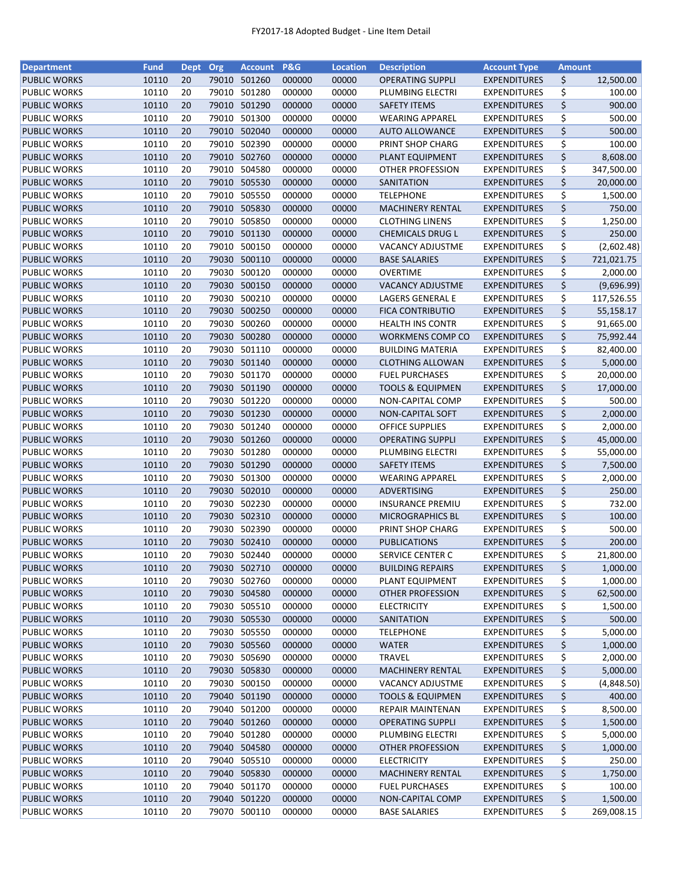| <b>Department</b>                   | <b>Fund</b> | Dept Org |       | <b>Account</b> | <b>P&amp;G</b> | <b>Location</b> | <b>Description</b>                      | <b>Account Type</b> | <b>Amount</b> |                     |
|-------------------------------------|-------------|----------|-------|----------------|----------------|-----------------|-----------------------------------------|---------------------|---------------|---------------------|
| <b>PUBLIC WORKS</b>                 | 10110       | 20       | 79010 | 501260         | 000000         | 00000           | <b>OPERATING SUPPLI</b>                 | <b>EXPENDITURES</b> | \$            | 12,500.00           |
| PUBLIC WORKS                        | 10110       | 20       | 79010 | 501280         | 000000         | 00000           | PLUMBING ELECTRI                        | <b>EXPENDITURES</b> | \$            | 100.00              |
| <b>PUBLIC WORKS</b>                 | 10110       | 20       | 79010 | 501290         | 000000         | 00000           | <b>SAFETY ITEMS</b>                     | <b>EXPENDITURES</b> | \$            | 900.00              |
| PUBLIC WORKS                        | 10110       | 20       | 79010 | 501300         | 000000         | 00000           | <b>WEARING APPAREL</b>                  | <b>EXPENDITURES</b> | \$            | 500.00              |
| <b>PUBLIC WORKS</b>                 | 10110       | 20       |       | 79010 502040   | 000000         | 00000           | <b>AUTO ALLOWANCE</b>                   | <b>EXPENDITURES</b> | \$            | 500.00              |
| PUBLIC WORKS                        | 10110       | 20       | 79010 | 502390         | 000000         | 00000           | PRINT SHOP CHARG                        | <b>EXPENDITURES</b> | \$            | 100.00              |
| <b>PUBLIC WORKS</b>                 | 10110       | 20       | 79010 | 502760         | 000000         | 00000           | PLANT EQUIPMENT                         | <b>EXPENDITURES</b> | \$            | 8,608.00            |
| PUBLIC WORKS                        | 10110       | 20       | 79010 | 504580         | 000000         | 00000           | OTHER PROFESSION                        | <b>EXPENDITURES</b> | \$            | 347,500.00          |
| <b>PUBLIC WORKS</b>                 | 10110       | 20       | 79010 | 505530         | 000000         | 00000           | SANITATION                              | <b>EXPENDITURES</b> | \$            | 20,000.00           |
| PUBLIC WORKS                        | 10110       | 20       | 79010 | 505550         | 000000         | 00000           | <b>TELEPHONE</b>                        | <b>EXPENDITURES</b> | \$            | 1,500.00            |
| <b>PUBLIC WORKS</b>                 | 10110       | 20       |       | 79010 505830   | 000000         | 00000           | <b>MACHINERY RENTAL</b>                 | <b>EXPENDITURES</b> | \$            | 750.00              |
| PUBLIC WORKS                        | 10110       | 20       | 79010 | 505850         | 000000         | 00000           | <b>CLOTHING LINENS</b>                  | <b>EXPENDITURES</b> | \$            | 1,250.00            |
| <b>PUBLIC WORKS</b>                 | 10110       | 20       | 79010 | 501130         | 000000         | 00000           | <b>CHEMICALS DRUG L</b>                 | <b>EXPENDITURES</b> | \$            | 250.00              |
| PUBLIC WORKS                        | 10110       | 20       | 79010 | 500150         | 000000         | 00000           | <b>VACANCY ADJUSTME</b>                 | <b>EXPENDITURES</b> | \$            | (2,602.48)          |
| <b>PUBLIC WORKS</b>                 | 10110       | 20       | 79030 | 500110         | 000000         | 00000           | <b>BASE SALARIES</b>                    | <b>EXPENDITURES</b> | \$            | 721,021.75          |
| PUBLIC WORKS                        | 10110       | 20       | 79030 | 500120         | 000000         | 00000           | <b>OVERTIME</b>                         | <b>EXPENDITURES</b> | \$            | 2,000.00            |
| <b>PUBLIC WORKS</b>                 | 10110       | 20       | 79030 | 500150         | 000000         | 00000           | <b>VACANCY ADJUSTME</b>                 | <b>EXPENDITURES</b> | \$            | (9,696.99)          |
| PUBLIC WORKS                        | 10110       | 20       | 79030 | 500210         | 000000         | 00000           | LAGERS GENERAL E                        | <b>EXPENDITURES</b> | \$            | 117,526.55          |
| <b>PUBLIC WORKS</b>                 | 10110       | 20       |       | 79030 500250   | 000000         | 00000           | <b>FICA CONTRIBUTIO</b>                 | <b>EXPENDITURES</b> | \$            | 55,158.17           |
| PUBLIC WORKS                        | 10110       | 20       | 79030 | 500260         | 000000         | 00000           | <b>HEALTH INS CONTR</b>                 | <b>EXPENDITURES</b> | \$            | 91,665.00           |
| <b>PUBLIC WORKS</b>                 | 10110       | 20       |       | 79030 500280   | 000000         | 00000           | <b>WORKMENS COMP CO</b>                 | <b>EXPENDITURES</b> | \$            | 75,992.44           |
| PUBLIC WORKS                        | 10110       | 20       | 79030 | 501110         | 000000         | 00000           | <b>BUILDING MATERIA</b>                 | <b>EXPENDITURES</b> | \$            | 82,400.00           |
| <b>PUBLIC WORKS</b>                 | 10110       | 20       |       | 79030 501140   | 000000         | 00000           | <b>CLOTHING ALLOWAN</b>                 | <b>EXPENDITURES</b> | \$            | 5,000.00            |
| PUBLIC WORKS                        | 10110       | 20       |       | 79030 501170   | 000000         | 00000           | <b>FUEL PURCHASES</b>                   | <b>EXPENDITURES</b> | \$            | 20,000.00           |
|                                     | 10110       | 20       |       | 79030 501190   | 000000         | 00000           | <b>TOOLS &amp; EQUIPMEN</b>             | <b>EXPENDITURES</b> | \$            |                     |
| <b>PUBLIC WORKS</b><br>PUBLIC WORKS | 10110       | 20       | 79030 | 501220         | 000000         | 00000           |                                         | <b>EXPENDITURES</b> | \$            | 17,000.00<br>500.00 |
|                                     | 10110       | 20       | 79030 | 501230         | 000000         | 00000           | NON-CAPITAL COMP                        |                     |               |                     |
| <b>PUBLIC WORKS</b>                 |             |          |       |                |                |                 | NON-CAPITAL SOFT                        | <b>EXPENDITURES</b> | \$            | 2,000.00            |
| PUBLIC WORKS                        | 10110       | 20       | 79030 | 501240         | 000000         | 00000           | <b>OFFICE SUPPLIES</b>                  | <b>EXPENDITURES</b> | \$            | 2,000.00            |
| <b>PUBLIC WORKS</b>                 | 10110       | 20       | 79030 | 501260         | 000000         | 00000           | <b>OPERATING SUPPLI</b>                 | <b>EXPENDITURES</b> | \$            | 45,000.00           |
| <b>PUBLIC WORKS</b>                 | 10110       | 20       | 79030 | 501280         | 000000         | 00000           | PLUMBING ELECTRI<br><b>SAFETY ITEMS</b> | <b>EXPENDITURES</b> | \$            | 55,000.00           |
| <b>PUBLIC WORKS</b>                 | 10110       | 20       |       | 79030 501290   | 000000         | 00000           |                                         | <b>EXPENDITURES</b> | \$            | 7,500.00            |
| PUBLIC WORKS                        | 10110       | 20       | 79030 | 501300         | 000000         | 00000           | <b>WEARING APPAREL</b>                  | <b>EXPENDITURES</b> | \$            | 2,000.00            |
| <b>PUBLIC WORKS</b>                 | 10110       | 20       | 79030 | 502010         | 000000         | 00000           | <b>ADVERTISING</b>                      | <b>EXPENDITURES</b> | \$            | 250.00              |
| PUBLIC WORKS                        | 10110       | 20       | 79030 | 502230         | 000000         | 00000           | <b>INSURANCE PREMIU</b>                 | <b>EXPENDITURES</b> | \$            | 732.00              |
| <b>PUBLIC WORKS</b>                 | 10110       | 20       |       | 79030 502310   | 000000         | 00000           | <b>MICROGRAPHICS BL</b>                 | <b>EXPENDITURES</b> | \$            | 100.00              |
| <b>PUBLIC WORKS</b>                 | 10110       | 20       |       | 79030 502390   | 000000         | 00000           | PRINT SHOP CHARG                        | <b>EXPENDITURES</b> | \$            | 500.00              |
| <b>PUBLIC WORKS</b>                 | 10110       | 20       |       | 79030 502410   | 000000         | 00000           | <b>PUBLICATIONS</b>                     | <b>EXPENDITURES</b> | \$            | 200.00              |
| <b>PUBLIC WORKS</b>                 | 10110       | 20       |       | 79030 502440   | 000000         | 00000           | SERVICE CENTER C                        | <b>EXPENDITURES</b> | \$            | 21,800.00           |
| <b>PUBLIC WORKS</b>                 | 10110       | 20       |       | 79030 502710   | 000000         | 00000           | <b>BUILDING REPAIRS</b>                 | <b>EXPENDITURES</b> | \$            | 1,000.00            |
| PUBLIC WORKS                        | 10110       | 20       | 79030 | 502760         | 000000         | 00000           | PLANT EQUIPMENT                         | <b>EXPENDITURES</b> | \$            | 1,000.00            |
| <b>PUBLIC WORKS</b>                 | 10110       | 20       |       | 79030 504580   | 000000         | 00000           | OTHER PROFESSION                        | <b>EXPENDITURES</b> | \$            | 62,500.00           |
| PUBLIC WORKS                        | 10110       | 20       |       | 79030 505510   | 000000         | 00000           | <b>ELECTRICITY</b>                      | <b>EXPENDITURES</b> | \$            | 1,500.00            |
| <b>PUBLIC WORKS</b>                 | 10110       | 20       |       | 79030 505530   | 000000         | 00000           | SANITATION                              | <b>EXPENDITURES</b> | \$            | 500.00              |
| <b>PUBLIC WORKS</b>                 | 10110       | 20       |       | 79030 505550   | 000000         | 00000           | <b>TELEPHONE</b>                        | <b>EXPENDITURES</b> | \$            | 5,000.00            |
| <b>PUBLIC WORKS</b>                 | 10110       | 20       |       | 79030 505560   | 000000         | 00000           | <b>WATER</b>                            | <b>EXPENDITURES</b> | \$            | 1,000.00            |
| PUBLIC WORKS                        | 10110       | 20       |       | 79030 505690   | 000000         | 00000           | TRAVEL                                  | <b>EXPENDITURES</b> | \$            | 2,000.00            |
| <b>PUBLIC WORKS</b>                 | 10110       | 20       |       | 79030 505830   | 000000         | 00000           | <b>MACHINERY RENTAL</b>                 | <b>EXPENDITURES</b> | \$            | 5,000.00            |
| PUBLIC WORKS                        | 10110       | 20       |       | 79030 500150   | 000000         | 00000           | <b>VACANCY ADJUSTME</b>                 | <b>EXPENDITURES</b> | \$            | (4,848.50)          |
| <b>PUBLIC WORKS</b>                 | 10110       | 20       |       | 79040 501190   | 000000         | 00000           | <b>TOOLS &amp; EQUIPMEN</b>             | <b>EXPENDITURES</b> | \$            | 400.00              |
| PUBLIC WORKS                        | 10110       | 20       |       | 79040 501200   | 000000         | 00000           | REPAIR MAINTENAN                        | <b>EXPENDITURES</b> | \$            | 8,500.00            |
| <b>PUBLIC WORKS</b>                 | 10110       | 20       |       | 79040 501260   | 000000         | 00000           | <b>OPERATING SUPPLI</b>                 | <b>EXPENDITURES</b> | \$            | 1,500.00            |
| PUBLIC WORKS                        | 10110       | 20       | 79040 | 501280         | 000000         | 00000           | PLUMBING ELECTRI                        | <b>EXPENDITURES</b> | \$            | 5,000.00            |
| <b>PUBLIC WORKS</b>                 | 10110       | 20       | 79040 | 504580         | 000000         | 00000           | OTHER PROFESSION                        | <b>EXPENDITURES</b> | \$            | 1,000.00            |
| PUBLIC WORKS                        | 10110       | 20       | 79040 | 505510         | 000000         | 00000           | <b>ELECTRICITY</b>                      | <b>EXPENDITURES</b> | \$            | 250.00              |
| <b>PUBLIC WORKS</b>                 | 10110       | 20       |       | 79040 505830   | 000000         | 00000           | <b>MACHINERY RENTAL</b>                 | <b>EXPENDITURES</b> | \$            | 1,750.00            |
| PUBLIC WORKS                        | 10110       | 20       |       | 79040 501170   | 000000         | 00000           | <b>FUEL PURCHASES</b>                   | <b>EXPENDITURES</b> | \$            | 100.00              |
| <b>PUBLIC WORKS</b>                 | 10110       | 20       |       | 79040 501220   | 000000         | 00000           | <b>NON-CAPITAL COMP</b>                 | <b>EXPENDITURES</b> | \$            | 1,500.00            |
| PUBLIC WORKS                        | 10110       | 20       |       | 79070 500110   | 000000         | 00000           | <b>BASE SALARIES</b>                    | <b>EXPENDITURES</b> | \$            | 269,008.15          |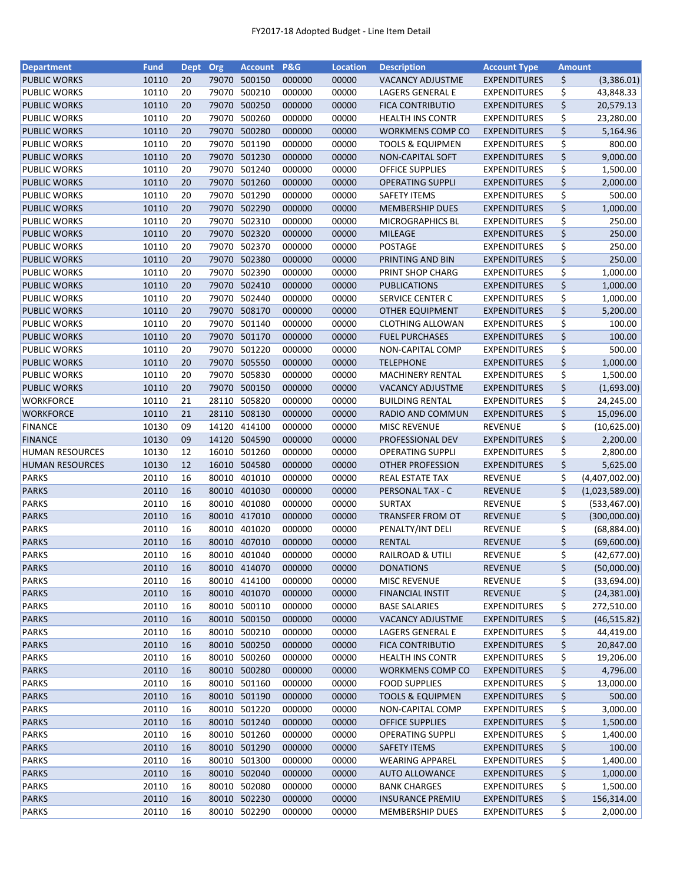| <b>Department</b>                    | <b>Fund</b> | Dept Org |       | <b>Account</b> | <b>P&amp;G</b> | <b>Location</b> | <b>Description</b>                         | <b>Account Type</b>                        | <b>Amount</b> |                         |
|--------------------------------------|-------------|----------|-------|----------------|----------------|-----------------|--------------------------------------------|--------------------------------------------|---------------|-------------------------|
| <b>PUBLIC WORKS</b>                  | 10110       | 20       | 79070 | 500150         | 000000         | 00000           | <b>VACANCY ADJUSTME</b>                    | <b>EXPENDITURES</b>                        | \$            | (3,386.01)              |
| <b>PUBLIC WORKS</b>                  | 10110       | 20       | 79070 | 500210         | 000000         | 00000           | LAGERS GENERAL E                           | <b>EXPENDITURES</b>                        | \$            | 43,848.33               |
| <b>PUBLIC WORKS</b>                  | 10110       | 20       | 79070 | 500250         | 000000         | 00000           | <b>FICA CONTRIBUTIO</b>                    | <b>EXPENDITURES</b>                        | \$            | 20,579.13               |
| <b>PUBLIC WORKS</b>                  | 10110       | 20       |       | 79070 500260   | 000000         | 00000           | <b>HEALTH INS CONTR</b>                    | <b>EXPENDITURES</b>                        | \$            | 23,280.00               |
| <b>PUBLIC WORKS</b>                  | 10110       | 20       |       | 79070 500280   | 000000         | 00000           | WORKMENS COMP CO                           | <b>EXPENDITURES</b>                        | \$            | 5,164.96                |
| <b>PUBLIC WORKS</b>                  | 10110       | 20       |       | 79070 501190   | 000000         | 00000           | <b>TOOLS &amp; EQUIPMEN</b>                | <b>EXPENDITURES</b>                        | \$            | 800.00                  |
| <b>PUBLIC WORKS</b>                  | 10110       | 20       |       | 79070 501230   | 000000         | 00000           | NON-CAPITAL SOFT                           | <b>EXPENDITURES</b>                        | \$            | 9,000.00                |
| <b>PUBLIC WORKS</b>                  | 10110       | 20       | 79070 | 501240         | 000000         | 00000           | <b>OFFICE SUPPLIES</b>                     | <b>EXPENDITURES</b>                        | \$            | 1,500.00                |
| <b>PUBLIC WORKS</b>                  | 10110       | 20       |       | 79070 501260   | 000000         | 00000           | <b>OPERATING SUPPLI</b>                    | <b>EXPENDITURES</b>                        | \$            | 2,000.00                |
| <b>PUBLIC WORKS</b>                  | 10110       | 20       |       | 79070 501290   | 000000         | 00000           | <b>SAFETY ITEMS</b>                        | <b>EXPENDITURES</b>                        | \$            | 500.00                  |
| <b>PUBLIC WORKS</b>                  | 10110       | 20       |       | 79070 502290   | 000000         | 00000           | <b>MEMBERSHIP DUES</b>                     | <b>EXPENDITURES</b>                        | \$            | 1,000.00                |
| <b>PUBLIC WORKS</b>                  | 10110       | 20       |       | 79070 502310   | 000000         | 00000           | <b>MICROGRAPHICS BL</b>                    | <b>EXPENDITURES</b>                        | \$            | 250.00                  |
| <b>PUBLIC WORKS</b>                  | 10110       | 20       | 79070 | 502320         | 000000         | 00000           | MILEAGE                                    | <b>EXPENDITURES</b>                        | \$            | 250.00                  |
| <b>PUBLIC WORKS</b>                  | 10110       | 20       | 79070 | 502370         | 000000         | 00000           | POSTAGE                                    | <b>EXPENDITURES</b>                        | \$            | 250.00                  |
| <b>PUBLIC WORKS</b>                  | 10110       | 20       | 79070 | 502380         | 000000         | 00000           | PRINTING AND BIN                           | <b>EXPENDITURES</b>                        | \$            | 250.00                  |
| PUBLIC WORKS                         | 10110       | 20       | 79070 | 502390         | 000000         | 00000           | PRINT SHOP CHARG                           | <b>EXPENDITURES</b>                        | \$            | 1,000.00                |
| <b>PUBLIC WORKS</b>                  | 10110       | 20       |       | 79070 502410   | 000000         | 00000           | <b>PUBLICATIONS</b>                        | <b>EXPENDITURES</b>                        | \$            | 1,000.00                |
| <b>PUBLIC WORKS</b>                  | 10110       | 20       |       | 79070 502440   | 000000         | 00000           | SERVICE CENTER C                           | <b>EXPENDITURES</b>                        | \$            | 1,000.00                |
| <b>PUBLIC WORKS</b>                  | 10110       | 20       |       | 79070 508170   | 000000         | 00000           | <b>OTHER EQUIPMENT</b>                     | <b>EXPENDITURES</b>                        | \$            | 5,200.00                |
| <b>PUBLIC WORKS</b>                  | 10110       | 20       |       | 79070 501140   | 000000         | 00000           | <b>CLOTHING ALLOWAN</b>                    | <b>EXPENDITURES</b>                        | \$            | 100.00                  |
| <b>PUBLIC WORKS</b>                  | 10110       | 20       |       | 79070 501170   | 000000         | 00000           | <b>FUEL PURCHASES</b>                      | <b>EXPENDITURES</b>                        | \$            | 100.00                  |
| <b>PUBLIC WORKS</b>                  | 10110       | 20       |       | 79070 501220   | 000000         | 00000           | NON-CAPITAL COMP                           | <b>EXPENDITURES</b>                        | \$            | 500.00                  |
| <b>PUBLIC WORKS</b>                  | 10110       | 20       |       | 79070 505550   | 000000         | 00000           | <b>TELEPHONE</b>                           | <b>EXPENDITURES</b>                        | \$            | 1,000.00                |
| <b>PUBLIC WORKS</b>                  | 10110       | 20       |       | 79070 505830   | 000000         | 00000           | <b>MACHINERY RENTAL</b>                    | <b>EXPENDITURES</b>                        | \$            | 1,500.00                |
|                                      | 10110       | 20       | 79070 | 500150         | 000000         | 00000           |                                            |                                            | \$            |                         |
| <b>PUBLIC WORKS</b>                  | 10110       | 21       | 28110 | 505820         | 000000         | 00000           | <b>VACANCY ADJUSTME</b>                    | <b>EXPENDITURES</b>                        | \$            | (1,693.00)              |
| <b>WORKFORCE</b><br><b>WORKFORCE</b> | 10110       | 21       | 28110 | 508130         | 000000         | 00000           | <b>BUILDING RENTAL</b><br>RADIO AND COMMUN | <b>EXPENDITURES</b><br><b>EXPENDITURES</b> | \$            | 24,245.00<br>15,096.00  |
| <b>FINANCE</b>                       | 10130       | 09       | 14120 | 414100         | 000000         | 00000           | <b>MISC REVENUE</b>                        | <b>REVENUE</b>                             | \$            |                         |
| <b>FINANCE</b>                       | 10130       | 09       |       | 14120 504590   | 000000         | 00000           | PROFESSIONAL DEV                           | <b>EXPENDITURES</b>                        | \$            | (10,625.00)<br>2,200.00 |
| <b>HUMAN RESOURCES</b>               | 10130       | 12       | 16010 | 501260         | 000000         | 00000           | <b>OPERATING SUPPLI</b>                    | <b>EXPENDITURES</b>                        | \$            | 2,800.00                |
| <b>HUMAN RESOURCES</b>               | 10130       | 12       |       | 16010 504580   | 000000         | 00000           | <b>OTHER PROFESSION</b>                    | <b>EXPENDITURES</b>                        | \$            | 5,625.00                |
| <b>PARKS</b>                         | 20110       | 16       |       | 80010 401010   | 000000         | 00000           | REAL ESTATE TAX                            | <b>REVENUE</b>                             | \$            | (4,407,002.00)          |
| <b>PARKS</b>                         | 20110       | 16       |       | 80010 401030   | 000000         | 00000           | PERSONAL TAX - C                           | <b>REVENUE</b>                             | \$            | (1,023,589.00)          |
| <b>PARKS</b>                         | 20110       | 16       |       | 80010 401080   | 000000         | 00000           | <b>SURTAX</b>                              | REVENUE                                    | \$            | (533, 467.00)           |
| <b>PARKS</b>                         | 20110       | 16       |       | 80010 417010   | 000000         | 00000           | <b>TRANSFER FROM OT</b>                    | <b>REVENUE</b>                             | \$            | (300,000.00)            |
| <b>PARKS</b>                         | 20110       | 16       |       | 80010 401020   | 000000         | 00000           | PENALTY/INT DELI                           | <b>REVENUE</b>                             | \$            | (68, 884.00)            |
| <b>PARKS</b>                         | 20110       | 16       |       | 80010 407010   | 000000         | 00000           | <b>RENTAL</b>                              | <b>REVENUE</b>                             | \$            | (69,600.00)             |
| <b>PARKS</b>                         | 20110       | 16       |       | 80010 401040   | 000000         | 00000           | RAILROAD & UTILI                           | <b>REVENUE</b>                             | \$            | (42, 677.00)            |
| <b>PARKS</b>                         | 20110       | 16       |       | 80010 414070   | 000000         | 00000           | <b>DONATIONS</b>                           | <b>REVENUE</b>                             | \$            | (50,000.00)             |
| <b>PARKS</b>                         | 20110       | 16       |       | 80010 414100   | 000000         | 00000           | <b>MISC REVENUE</b>                        | <b>REVENUE</b>                             | \$            | (33,694.00)             |
| <b>PARKS</b>                         | 20110       | 16       |       | 80010 401070   | 000000         | 00000           | <b>FINANCIAL INSTIT</b>                    | REVENUE                                    | \$            | (24, 381.00)            |
| <b>PARKS</b>                         | 20110       | 16       |       | 80010 500110   | 000000         | 00000           | <b>BASE SALARIES</b>                       | <b>EXPENDITURES</b>                        | \$            | 272,510.00              |
| <b>PARKS</b>                         | 20110       | 16       |       | 80010 500150   | 000000         | 00000           | <b>VACANCY ADJUSTME</b>                    | <b>EXPENDITURES</b>                        | \$            | (46, 515.82)            |
| <b>PARKS</b>                         | 20110       | 16       |       | 80010 500210   | 000000         | 00000           | <b>LAGERS GENERAL E</b>                    | <b>EXPENDITURES</b>                        | \$            | 44,419.00               |
| <b>PARKS</b>                         | 20110       | 16       |       | 80010 500250   | 000000         | 00000           | <b>FICA CONTRIBUTIO</b>                    | <b>EXPENDITURES</b>                        | \$            | 20,847.00               |
| <b>PARKS</b>                         | 20110       | 16       |       | 80010 500260   | 000000         | 00000           | <b>HEALTH INS CONTR</b>                    | <b>EXPENDITURES</b>                        | \$            | 19,206.00               |
| <b>PARKS</b>                         | 20110       | 16       |       | 80010 500280   | 000000         | 00000           | <b>WORKMENS COMP CO</b>                    | <b>EXPENDITURES</b>                        | \$            | 4,796.00                |
| <b>PARKS</b>                         | 20110       | 16       |       | 80010 501160   | 000000         | 00000           | <b>FOOD SUPPLIES</b>                       | <b>EXPENDITURES</b>                        | \$            | 13,000.00               |
| <b>PARKS</b>                         | 20110       | 16       |       | 80010 501190   | 000000         | 00000           | <b>TOOLS &amp; EQUIPMEN</b>                | <b>EXPENDITURES</b>                        | \$            | 500.00                  |
| <b>PARKS</b>                         | 20110       | 16       |       | 80010 501220   | 000000         | 00000           | NON-CAPITAL COMP                           | <b>EXPENDITURES</b>                        | \$            | 3,000.00                |
| <b>PARKS</b>                         | 20110       | 16       |       | 80010 501240   | 000000         | 00000           | <b>OFFICE SUPPLIES</b>                     | <b>EXPENDITURES</b>                        | \$            | 1,500.00                |
| <b>PARKS</b>                         | 20110       | 16       |       | 80010 501260   | 000000         | 00000           | <b>OPERATING SUPPLI</b>                    | <b>EXPENDITURES</b>                        | \$            | 1,400.00                |
| <b>PARKS</b>                         | 20110       | 16       |       | 80010 501290   | 000000         | 00000           | <b>SAFETY ITEMS</b>                        | <b>EXPENDITURES</b>                        | \$            | 100.00                  |
| <b>PARKS</b>                         | 20110       | 16       |       | 80010 501300   | 000000         | 00000           | <b>WEARING APPAREL</b>                     | <b>EXPENDITURES</b>                        | \$            | 1,400.00                |
| <b>PARKS</b>                         | 20110       | 16       |       | 80010 502040   | 000000         | 00000           | <b>AUTO ALLOWANCE</b>                      | <b>EXPENDITURES</b>                        | \$            | 1,000.00                |
| <b>PARKS</b>                         | 20110       | 16       |       | 80010 502080   | 000000         | 00000           | <b>BANK CHARGES</b>                        | <b>EXPENDITURES</b>                        | \$            | 1,500.00                |
| <b>PARKS</b>                         | 20110       | 16       |       | 80010 502230   | 000000         | 00000           | <b>INSURANCE PREMIU</b>                    | <b>EXPENDITURES</b>                        | \$            | 156,314.00              |
| <b>PARKS</b>                         | 20110       | 16       |       | 80010 502290   | 000000         | 00000           | <b>MEMBERSHIP DUES</b>                     | <b>EXPENDITURES</b>                        | \$            | 2,000.00                |
|                                      |             |          |       |                |                |                 |                                            |                                            |               |                         |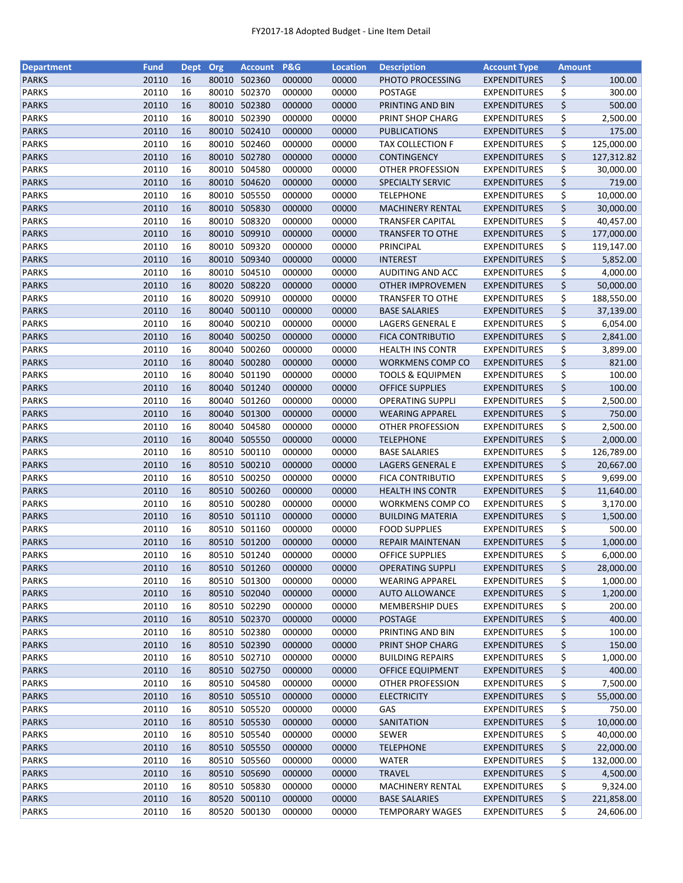| \$<br><b>PARKS</b><br>20110<br>16<br>80010 502360<br>000000<br>00000<br>PHOTO PROCESSING<br><b>EXPENDITURES</b><br>100.00<br>20110<br>\$<br><b>PARKS</b><br>16<br>80010<br>502370<br>000000<br>00000<br><b>POSTAGE</b><br>300.00<br><b>EXPENDITURES</b><br>\$<br>20110<br>80010 502380<br><b>PARKS</b><br>16<br>000000<br>00000<br>PRINTING AND BIN<br><b>EXPENDITURES</b><br>500.00<br>502390<br>\$<br><b>PARKS</b><br>20110<br>16<br>80010<br>000000<br>PRINT SHOP CHARG<br><b>EXPENDITURES</b><br>2,500.00<br>00000<br>\$<br><b>PARKS</b><br>20110<br>80010 502410<br>175.00<br>16<br>000000<br>00000<br><b>PUBLICATIONS</b><br><b>EXPENDITURES</b><br>\$<br><b>PARKS</b><br>20110<br>16<br>80010 502460<br>000000<br>00000<br>TAX COLLECTION F<br><b>EXPENDITURES</b><br>125,000.00<br>\$<br><b>PARKS</b><br>20110<br>16<br>80010 502780<br>00000<br>127,312.82<br>000000<br><b>CONTINGENCY</b><br><b>EXPENDITURES</b><br>\$<br>504580<br>20110<br>16<br>80010<br>00000<br>30,000.00<br><b>PARKS</b><br>000000<br>OTHER PROFESSION<br><b>EXPENDITURES</b><br>\$<br>16<br>80010 504620<br><b>PARKS</b><br>20110<br>000000<br>00000<br>SPECIALTY SERVIC<br>719.00<br><b>EXPENDITURES</b><br>\$<br>80010 505550<br><b>PARKS</b><br>20110<br>16<br>10,000.00<br>000000<br>00000<br><b>TELEPHONE</b><br><b>EXPENDITURES</b><br>\$<br><b>PARKS</b><br>16<br>80010 505830<br>20110<br>000000<br>00000<br><b>MACHINERY RENTAL</b><br><b>EXPENDITURES</b><br>30,000.00<br><b>PARKS</b><br>20110<br>80010 508320<br>\$<br>16<br>000000<br>00000<br><b>TRANSFER CAPITAL</b><br><b>EXPENDITURES</b><br>40,457.00<br>\$<br><b>PARKS</b><br>20110<br>16<br>80010 509910<br>000000<br>00000<br><b>TRANSFER TO OTHE</b><br><b>EXPENDITURES</b><br>177,000.00<br>\$<br><b>PARKS</b><br>20110<br>16<br>80010<br>509320<br>000000<br>00000<br>PRINCIPAL<br><b>EXPENDITURES</b><br>119,147.00<br>\$<br>20110<br>509340<br><b>PARKS</b><br>16<br>80010<br>000000<br>00000<br><b>INTEREST</b><br><b>EXPENDITURES</b><br>5,852.00<br>504510<br>\$<br><b>PARKS</b><br>20110<br>16<br>80010<br>000000<br>00000<br>AUDITING AND ACC<br><b>EXPENDITURES</b><br>4,000.00<br>\$<br><b>PARKS</b><br>20110<br>80020 508220<br>16<br>000000<br>00000<br><b>EXPENDITURES</b><br>50,000.00<br><b>OTHER IMPROVEMEN</b><br>\$<br><b>PARKS</b><br>20110<br>80020 509910<br>16<br>000000<br>00000<br><b>TRANSFER TO OTHE</b><br><b>EXPENDITURES</b><br>188,550.00<br>\$<br>20110<br>80040 500110<br><b>PARKS</b><br>16<br>000000<br>00000<br><b>BASE SALARIES</b><br><b>EXPENDITURES</b><br>37,139.00<br>\$<br>20110<br>80040<br>500210<br><b>PARKS</b><br>16<br>000000<br>00000<br>LAGERS GENERAL E<br><b>EXPENDITURES</b><br>6,054.00<br>\$<br>20110<br>80040 500250<br><b>PARKS</b><br>16<br>00000<br><b>FICA CONTRIBUTIO</b><br>2,841.00<br>000000<br><b>EXPENDITURES</b><br>\$<br><b>PARKS</b><br>20110<br>16<br>80040 500260<br>00000<br><b>HEALTH INS CONTR</b><br>3,899.00<br>000000<br><b>EXPENDITURES</b><br>\$<br>16<br>80040 500280<br><b>PARKS</b><br>20110<br>000000<br>00000<br><b>EXPENDITURES</b><br>821.00<br><b>WORKMENS COMP CO</b><br>\$<br><b>PARKS</b><br>20110<br>80040 501190<br>16<br>000000<br>00000<br><b>EXPENDITURES</b><br>100.00<br><b>TOOLS &amp; EQUIPMEN</b><br>\$<br>20110<br>501240<br>100.00<br><b>PARKS</b><br>16<br>80040<br>000000<br>00000<br><b>OFFICE SUPPLIES</b><br><b>EXPENDITURES</b><br>\$<br><b>PARKS</b><br>20110<br>16<br>80040<br>501260<br>2,500.00<br>000000<br>00000<br><b>OPERATING SUPPLI</b><br><b>EXPENDITURES</b><br>\$<br>20110<br>750.00<br><b>PARKS</b><br>16<br>80040<br>501300<br>000000<br>00000<br><b>WEARING APPAREL</b><br><b>EXPENDITURES</b><br>\$<br>504580<br><b>PARKS</b><br>20110<br>16<br>80040<br>000000<br>00000<br><b>OTHER PROFESSION</b><br><b>EXPENDITURES</b><br>2,500.00<br>\$<br>80040 505550<br><b>PARKS</b><br>20110<br>16<br>000000<br>00000<br><b>TELEPHONE</b><br>2,000.00<br><b>EXPENDITURES</b><br>\$<br><b>PARKS</b><br>20110<br>80510<br>500110<br>16<br>000000<br>00000<br><b>BASE SALARIES</b><br><b>EXPENDITURES</b><br>126,789.00<br>\$<br>20110<br>80510 500210<br><b>PARKS</b><br>16<br>000000<br>00000<br>LAGERS GENERAL E<br><b>EXPENDITURES</b><br>20,667.00<br>\$<br>20110<br>80510 500250<br>9,699.00<br><b>PARKS</b><br>16<br>000000<br>00000<br><b>FICA CONTRIBUTIO</b><br><b>EXPENDITURES</b><br>\$<br>20110<br>80510 500260<br><b>PARKS</b><br>16<br>00000<br>11,640.00<br>000000<br><b>HEALTH INS CONTR</b><br><b>EXPENDITURES</b><br>\$<br>20110<br>16<br>80510 500280<br><b>PARKS</b><br>000000<br>00000<br>WORKMENS COMP CO<br><b>EXPENDITURES</b><br>3,170.00<br>\$<br>80510 501110<br><b>PARKS</b><br>20110<br>16<br>1,500.00<br>000000<br>00000<br><b>BUILDING MATERIA</b><br><b>EXPENDITURES</b><br><b>PARKS</b><br>80510 501160<br>\$<br>20110<br>16<br>000000<br>00000<br><b>EXPENDITURES</b><br>500.00<br><b>FOOD SUPPLIES</b><br>\$<br>80510 501200<br><b>PARKS</b><br>20110<br>16<br>000000<br>00000<br>1,000.00<br>REPAIR MAINTENAN<br><b>EXPENDITURES</b><br>\$<br>16<br><b>PARKS</b><br>20110<br>80510 501240<br>000000<br>00000<br><b>OFFICE SUPPLIES</b><br><b>EXPENDITURES</b><br>6,000.00<br>\$<br>20110<br>80510 501260<br>28,000.00<br><b>PARKS</b><br>16<br>000000<br>00000<br><b>OPERATING SUPPLI</b><br><b>EXPENDITURES</b><br><b>PARKS</b><br>20110<br>80510<br>501300<br>000000<br>00000<br>\$<br>1,000.00<br>16<br><b>WEARING APPAREL</b><br><b>EXPENDITURES</b><br>\$<br><b>PARKS</b><br>20110<br>80510 502040<br>000000<br>00000<br>1,200.00<br>16<br><b>AUTO ALLOWANCE</b><br><b>EXPENDITURES</b><br>80510 502290<br>\$<br><b>PARKS</b><br>20110<br>000000<br>00000<br><b>EXPENDITURES</b><br>200.00<br>16<br><b>MEMBERSHIP DUES</b><br>80510 502370<br>\$<br><b>PARKS</b><br>20110<br>000000<br>00000<br><b>POSTAGE</b><br><b>EXPENDITURES</b><br>400.00<br>16<br>80510 502380<br>\$<br><b>PARKS</b><br>20110<br>000000<br>00000<br>PRINTING AND BIN<br><b>EXPENDITURES</b><br>100.00<br>16<br>\$<br><b>PARKS</b><br>20110<br>80510 502390<br>00000<br>150.00<br>16<br>000000<br>PRINT SHOP CHARG<br><b>EXPENDITURES</b><br>\$<br>20110<br>80510 502710<br>00000<br>1,000.00<br>PARKS<br>16<br>000000<br><b>BUILDING REPAIRS</b><br><b>EXPENDITURES</b><br>\$<br>80510 502750<br><b>PARKS</b><br>20110<br>000000<br>00000<br><b>OFFICE EQUIPMENT</b><br><b>EXPENDITURES</b><br>400.00<br>16<br>\$<br><b>PARKS</b><br>20110<br>80510 504580<br>7,500.00<br>16<br>000000<br>00000<br>OTHER PROFESSION<br><b>EXPENDITURES</b><br>80510 505510<br>\$<br><b>PARKS</b><br>20110<br>000000<br>00000<br>55,000.00<br>16<br><b>ELECTRICITY</b><br><b>EXPENDITURES</b><br>\$<br><b>PARKS</b><br>20110<br>80510 505520<br>000000<br>750.00<br>16<br>00000<br>GAS<br><b>EXPENDITURES</b><br>\$<br><b>PARKS</b><br>20110<br>80510 505530<br>000000<br>10,000.00<br>16<br>00000<br>SANITATION<br><b>EXPENDITURES</b><br><b>PARKS</b><br>20110<br>80510<br>505540<br>000000<br>\$<br>40,000.00<br>16<br>00000<br><b>SEWER</b><br><b>EXPENDITURES</b><br>\$<br><b>PARKS</b><br>20110<br>80510 505550<br><b>TELEPHONE</b><br>16<br>000000<br>00000<br><b>EXPENDITURES</b><br>22,000.00<br>\$<br><b>PARKS</b><br>20110<br>80510 505560<br>16<br>000000<br>00000<br>WATER<br><b>EXPENDITURES</b><br>132,000.00<br><b>PARKS</b><br>80510 505690<br>\$<br>20110<br>00000<br>4,500.00<br>16<br>000000<br><b>TRAVEL</b><br><b>EXPENDITURES</b><br><b>PARKS</b><br>20110<br>80510 505830<br>00000<br>\$<br>9,324.00<br>16<br>000000<br>MACHINERY RENTAL<br><b>EXPENDITURES</b><br><b>PARKS</b><br>20110<br>80520 500110<br>\$<br>16<br>000000<br>00000<br><b>BASE SALARIES</b><br><b>EXPENDITURES</b><br>221,858.00<br>\$<br><b>PARKS</b><br>20110<br>80520 500130<br>16<br>000000<br>00000<br><b>TEMPORARY WAGES</b><br><b>EXPENDITURES</b><br>24,606.00 | <b>Department</b> | <b>Fund</b> | <b>Dept</b> | Org | <b>Account</b> | P&G | <b>Location</b> | <b>Description</b> | <b>Account Type</b> | <b>Amount</b> |  |
|-----------------------------------------------------------------------------------------------------------------------------------------------------------------------------------------------------------------------------------------------------------------------------------------------------------------------------------------------------------------------------------------------------------------------------------------------------------------------------------------------------------------------------------------------------------------------------------------------------------------------------------------------------------------------------------------------------------------------------------------------------------------------------------------------------------------------------------------------------------------------------------------------------------------------------------------------------------------------------------------------------------------------------------------------------------------------------------------------------------------------------------------------------------------------------------------------------------------------------------------------------------------------------------------------------------------------------------------------------------------------------------------------------------------------------------------------------------------------------------------------------------------------------------------------------------------------------------------------------------------------------------------------------------------------------------------------------------------------------------------------------------------------------------------------------------------------------------------------------------------------------------------------------------------------------------------------------------------------------------------------------------------------------------------------------------------------------------------------------------------------------------------------------------------------------------------------------------------------------------------------------------------------------------------------------------------------------------------------------------------------------------------------------------------------------------------------------------------------------------------------------------------------------------------------------------------------------------------------------------------------------------------------------------------------------------------------------------------------------------------------------------------------------------------------------------------------------------------------------------------------------------------------------------------------------------------------------------------------------------------------------------------------------------------------------------------------------------------------------------------------------------------------------------------------------------------------------------------------------------------------------------------------------------------------------------------------------------------------------------------------------------------------------------------------------------------------------------------------------------------------------------------------------------------------------------------------------------------------------------------------------------------------------------------------------------------------------------------------------------------------------------------------------------------------------------------------------------------------------------------------------------------------------------------------------------------------------------------------------------------------------------------------------------------------------------------------------------------------------------------------------------------------------------------------------------------------------------------------------------------------------------------------------------------------------------------------------------------------------------------------------------------------------------------------------------------------------------------------------------------------------------------------------------------------------------------------------------------------------------------------------------------------------------------------------------------------------------------------------------------------------------------------------------------------------------------------------------------------------------------------------------------------------------------------------------------------------------------------------------------------------------------------------------------------------------------------------------------------------------------------------------------------------------------------------------------------------------------------------------------------------------------------------------------------------------------------------------------------------------------------------------------------------------------------------------------------------------------------------------------------------------------------------------------------------------------------------------------------------------------------------------------------------------------------------------------------------------------------------------------------------------------------------------------------------------------------------------------------------------------------------------------------------------------------------------------------------------------------------------------------------------------------------------------------------------------------------------------------------------------------------------------------------------------------------------------------------------------------------------------------------------------------------------------------------------------------------------------------------------------------------------------------------------------------------------------------------------------------------------------------------------------------------------------------------------------------------------------------------------------------------------------------------------------------------------------------------------------------------------------------------------------------------------------------------------------------------------------------------------------------------------------------------------------------------------------------------------------------------------------------------------------------------------------------------------------------------------------------------------------------------------------------------------------------------------------------------------------------------------------------------------------------------------------------------------------------------------------------------------------------------------------------------------------------------------------------------------------------------------------------------------------------------------------------------------------------------------------------------------------------------------------------------------------------------------------------------------------------------------------------------------------------------------------------------------------------------------------------|-------------------|-------------|-------------|-----|----------------|-----|-----------------|--------------------|---------------------|---------------|--|
|                                                                                                                                                                                                                                                                                                                                                                                                                                                                                                                                                                                                                                                                                                                                                                                                                                                                                                                                                                                                                                                                                                                                                                                                                                                                                                                                                                                                                                                                                                                                                                                                                                                                                                                                                                                                                                                                                                                                                                                                                                                                                                                                                                                                                                                                                                                                                                                                                                                                                                                                                                                                                                                                                                                                                                                                                                                                                                                                                                                                                                                                                                                                                                                                                                                                                                                                                                                                                                                                                                                                                                                                                                                                                                                                                                                                                                                                                                                                                                                                                                                                                                                                                                                                                                                                                                                                                                                                                                                                                                                                                                                                                                                                                                                                                                                                                                                                                                                                                                                                                                                                                                                                                                                                                                                                                                                                                                                                                                                                                                                                                                                                                                                                                                                                                                                                                                                                                                                                                                                                                                                                                                                                                                                                                                                                                                                                                                                                                                                                                                                                                                                                                                                                                                                                                                                                                                                                                                                                                                                                                                                                                                                                                                                                                                                                                                                                                                                                                                                                                                                                                                                                                                                                                                                                                                                                                                               |                   |             |             |     |                |     |                 |                    |                     |               |  |
|                                                                                                                                                                                                                                                                                                                                                                                                                                                                                                                                                                                                                                                                                                                                                                                                                                                                                                                                                                                                                                                                                                                                                                                                                                                                                                                                                                                                                                                                                                                                                                                                                                                                                                                                                                                                                                                                                                                                                                                                                                                                                                                                                                                                                                                                                                                                                                                                                                                                                                                                                                                                                                                                                                                                                                                                                                                                                                                                                                                                                                                                                                                                                                                                                                                                                                                                                                                                                                                                                                                                                                                                                                                                                                                                                                                                                                                                                                                                                                                                                                                                                                                                                                                                                                                                                                                                                                                                                                                                                                                                                                                                                                                                                                                                                                                                                                                                                                                                                                                                                                                                                                                                                                                                                                                                                                                                                                                                                                                                                                                                                                                                                                                                                                                                                                                                                                                                                                                                                                                                                                                                                                                                                                                                                                                                                                                                                                                                                                                                                                                                                                                                                                                                                                                                                                                                                                                                                                                                                                                                                                                                                                                                                                                                                                                                                                                                                                                                                                                                                                                                                                                                                                                                                                                                                                                                                                               |                   |             |             |     |                |     |                 |                    |                     |               |  |
|                                                                                                                                                                                                                                                                                                                                                                                                                                                                                                                                                                                                                                                                                                                                                                                                                                                                                                                                                                                                                                                                                                                                                                                                                                                                                                                                                                                                                                                                                                                                                                                                                                                                                                                                                                                                                                                                                                                                                                                                                                                                                                                                                                                                                                                                                                                                                                                                                                                                                                                                                                                                                                                                                                                                                                                                                                                                                                                                                                                                                                                                                                                                                                                                                                                                                                                                                                                                                                                                                                                                                                                                                                                                                                                                                                                                                                                                                                                                                                                                                                                                                                                                                                                                                                                                                                                                                                                                                                                                                                                                                                                                                                                                                                                                                                                                                                                                                                                                                                                                                                                                                                                                                                                                                                                                                                                                                                                                                                                                                                                                                                                                                                                                                                                                                                                                                                                                                                                                                                                                                                                                                                                                                                                                                                                                                                                                                                                                                                                                                                                                                                                                                                                                                                                                                                                                                                                                                                                                                                                                                                                                                                                                                                                                                                                                                                                                                                                                                                                                                                                                                                                                                                                                                                                                                                                                                                               |                   |             |             |     |                |     |                 |                    |                     |               |  |
|                                                                                                                                                                                                                                                                                                                                                                                                                                                                                                                                                                                                                                                                                                                                                                                                                                                                                                                                                                                                                                                                                                                                                                                                                                                                                                                                                                                                                                                                                                                                                                                                                                                                                                                                                                                                                                                                                                                                                                                                                                                                                                                                                                                                                                                                                                                                                                                                                                                                                                                                                                                                                                                                                                                                                                                                                                                                                                                                                                                                                                                                                                                                                                                                                                                                                                                                                                                                                                                                                                                                                                                                                                                                                                                                                                                                                                                                                                                                                                                                                                                                                                                                                                                                                                                                                                                                                                                                                                                                                                                                                                                                                                                                                                                                                                                                                                                                                                                                                                                                                                                                                                                                                                                                                                                                                                                                                                                                                                                                                                                                                                                                                                                                                                                                                                                                                                                                                                                                                                                                                                                                                                                                                                                                                                                                                                                                                                                                                                                                                                                                                                                                                                                                                                                                                                                                                                                                                                                                                                                                                                                                                                                                                                                                                                                                                                                                                                                                                                                                                                                                                                                                                                                                                                                                                                                                                                               |                   |             |             |     |                |     |                 |                    |                     |               |  |
|                                                                                                                                                                                                                                                                                                                                                                                                                                                                                                                                                                                                                                                                                                                                                                                                                                                                                                                                                                                                                                                                                                                                                                                                                                                                                                                                                                                                                                                                                                                                                                                                                                                                                                                                                                                                                                                                                                                                                                                                                                                                                                                                                                                                                                                                                                                                                                                                                                                                                                                                                                                                                                                                                                                                                                                                                                                                                                                                                                                                                                                                                                                                                                                                                                                                                                                                                                                                                                                                                                                                                                                                                                                                                                                                                                                                                                                                                                                                                                                                                                                                                                                                                                                                                                                                                                                                                                                                                                                                                                                                                                                                                                                                                                                                                                                                                                                                                                                                                                                                                                                                                                                                                                                                                                                                                                                                                                                                                                                                                                                                                                                                                                                                                                                                                                                                                                                                                                                                                                                                                                                                                                                                                                                                                                                                                                                                                                                                                                                                                                                                                                                                                                                                                                                                                                                                                                                                                                                                                                                                                                                                                                                                                                                                                                                                                                                                                                                                                                                                                                                                                                                                                                                                                                                                                                                                                                               |                   |             |             |     |                |     |                 |                    |                     |               |  |
|                                                                                                                                                                                                                                                                                                                                                                                                                                                                                                                                                                                                                                                                                                                                                                                                                                                                                                                                                                                                                                                                                                                                                                                                                                                                                                                                                                                                                                                                                                                                                                                                                                                                                                                                                                                                                                                                                                                                                                                                                                                                                                                                                                                                                                                                                                                                                                                                                                                                                                                                                                                                                                                                                                                                                                                                                                                                                                                                                                                                                                                                                                                                                                                                                                                                                                                                                                                                                                                                                                                                                                                                                                                                                                                                                                                                                                                                                                                                                                                                                                                                                                                                                                                                                                                                                                                                                                                                                                                                                                                                                                                                                                                                                                                                                                                                                                                                                                                                                                                                                                                                                                                                                                                                                                                                                                                                                                                                                                                                                                                                                                                                                                                                                                                                                                                                                                                                                                                                                                                                                                                                                                                                                                                                                                                                                                                                                                                                                                                                                                                                                                                                                                                                                                                                                                                                                                                                                                                                                                                                                                                                                                                                                                                                                                                                                                                                                                                                                                                                                                                                                                                                                                                                                                                                                                                                                                               |                   |             |             |     |                |     |                 |                    |                     |               |  |
|                                                                                                                                                                                                                                                                                                                                                                                                                                                                                                                                                                                                                                                                                                                                                                                                                                                                                                                                                                                                                                                                                                                                                                                                                                                                                                                                                                                                                                                                                                                                                                                                                                                                                                                                                                                                                                                                                                                                                                                                                                                                                                                                                                                                                                                                                                                                                                                                                                                                                                                                                                                                                                                                                                                                                                                                                                                                                                                                                                                                                                                                                                                                                                                                                                                                                                                                                                                                                                                                                                                                                                                                                                                                                                                                                                                                                                                                                                                                                                                                                                                                                                                                                                                                                                                                                                                                                                                                                                                                                                                                                                                                                                                                                                                                                                                                                                                                                                                                                                                                                                                                                                                                                                                                                                                                                                                                                                                                                                                                                                                                                                                                                                                                                                                                                                                                                                                                                                                                                                                                                                                                                                                                                                                                                                                                                                                                                                                                                                                                                                                                                                                                                                                                                                                                                                                                                                                                                                                                                                                                                                                                                                                                                                                                                                                                                                                                                                                                                                                                                                                                                                                                                                                                                                                                                                                                                                               |                   |             |             |     |                |     |                 |                    |                     |               |  |
|                                                                                                                                                                                                                                                                                                                                                                                                                                                                                                                                                                                                                                                                                                                                                                                                                                                                                                                                                                                                                                                                                                                                                                                                                                                                                                                                                                                                                                                                                                                                                                                                                                                                                                                                                                                                                                                                                                                                                                                                                                                                                                                                                                                                                                                                                                                                                                                                                                                                                                                                                                                                                                                                                                                                                                                                                                                                                                                                                                                                                                                                                                                                                                                                                                                                                                                                                                                                                                                                                                                                                                                                                                                                                                                                                                                                                                                                                                                                                                                                                                                                                                                                                                                                                                                                                                                                                                                                                                                                                                                                                                                                                                                                                                                                                                                                                                                                                                                                                                                                                                                                                                                                                                                                                                                                                                                                                                                                                                                                                                                                                                                                                                                                                                                                                                                                                                                                                                                                                                                                                                                                                                                                                                                                                                                                                                                                                                                                                                                                                                                                                                                                                                                                                                                                                                                                                                                                                                                                                                                                                                                                                                                                                                                                                                                                                                                                                                                                                                                                                                                                                                                                                                                                                                                                                                                                                                               |                   |             |             |     |                |     |                 |                    |                     |               |  |
|                                                                                                                                                                                                                                                                                                                                                                                                                                                                                                                                                                                                                                                                                                                                                                                                                                                                                                                                                                                                                                                                                                                                                                                                                                                                                                                                                                                                                                                                                                                                                                                                                                                                                                                                                                                                                                                                                                                                                                                                                                                                                                                                                                                                                                                                                                                                                                                                                                                                                                                                                                                                                                                                                                                                                                                                                                                                                                                                                                                                                                                                                                                                                                                                                                                                                                                                                                                                                                                                                                                                                                                                                                                                                                                                                                                                                                                                                                                                                                                                                                                                                                                                                                                                                                                                                                                                                                                                                                                                                                                                                                                                                                                                                                                                                                                                                                                                                                                                                                                                                                                                                                                                                                                                                                                                                                                                                                                                                                                                                                                                                                                                                                                                                                                                                                                                                                                                                                                                                                                                                                                                                                                                                                                                                                                                                                                                                                                                                                                                                                                                                                                                                                                                                                                                                                                                                                                                                                                                                                                                                                                                                                                                                                                                                                                                                                                                                                                                                                                                                                                                                                                                                                                                                                                                                                                                                                               |                   |             |             |     |                |     |                 |                    |                     |               |  |
|                                                                                                                                                                                                                                                                                                                                                                                                                                                                                                                                                                                                                                                                                                                                                                                                                                                                                                                                                                                                                                                                                                                                                                                                                                                                                                                                                                                                                                                                                                                                                                                                                                                                                                                                                                                                                                                                                                                                                                                                                                                                                                                                                                                                                                                                                                                                                                                                                                                                                                                                                                                                                                                                                                                                                                                                                                                                                                                                                                                                                                                                                                                                                                                                                                                                                                                                                                                                                                                                                                                                                                                                                                                                                                                                                                                                                                                                                                                                                                                                                                                                                                                                                                                                                                                                                                                                                                                                                                                                                                                                                                                                                                                                                                                                                                                                                                                                                                                                                                                                                                                                                                                                                                                                                                                                                                                                                                                                                                                                                                                                                                                                                                                                                                                                                                                                                                                                                                                                                                                                                                                                                                                                                                                                                                                                                                                                                                                                                                                                                                                                                                                                                                                                                                                                                                                                                                                                                                                                                                                                                                                                                                                                                                                                                                                                                                                                                                                                                                                                                                                                                                                                                                                                                                                                                                                                                                               |                   |             |             |     |                |     |                 |                    |                     |               |  |
|                                                                                                                                                                                                                                                                                                                                                                                                                                                                                                                                                                                                                                                                                                                                                                                                                                                                                                                                                                                                                                                                                                                                                                                                                                                                                                                                                                                                                                                                                                                                                                                                                                                                                                                                                                                                                                                                                                                                                                                                                                                                                                                                                                                                                                                                                                                                                                                                                                                                                                                                                                                                                                                                                                                                                                                                                                                                                                                                                                                                                                                                                                                                                                                                                                                                                                                                                                                                                                                                                                                                                                                                                                                                                                                                                                                                                                                                                                                                                                                                                                                                                                                                                                                                                                                                                                                                                                                                                                                                                                                                                                                                                                                                                                                                                                                                                                                                                                                                                                                                                                                                                                                                                                                                                                                                                                                                                                                                                                                                                                                                                                                                                                                                                                                                                                                                                                                                                                                                                                                                                                                                                                                                                                                                                                                                                                                                                                                                                                                                                                                                                                                                                                                                                                                                                                                                                                                                                                                                                                                                                                                                                                                                                                                                                                                                                                                                                                                                                                                                                                                                                                                                                                                                                                                                                                                                                                               |                   |             |             |     |                |     |                 |                    |                     |               |  |
|                                                                                                                                                                                                                                                                                                                                                                                                                                                                                                                                                                                                                                                                                                                                                                                                                                                                                                                                                                                                                                                                                                                                                                                                                                                                                                                                                                                                                                                                                                                                                                                                                                                                                                                                                                                                                                                                                                                                                                                                                                                                                                                                                                                                                                                                                                                                                                                                                                                                                                                                                                                                                                                                                                                                                                                                                                                                                                                                                                                                                                                                                                                                                                                                                                                                                                                                                                                                                                                                                                                                                                                                                                                                                                                                                                                                                                                                                                                                                                                                                                                                                                                                                                                                                                                                                                                                                                                                                                                                                                                                                                                                                                                                                                                                                                                                                                                                                                                                                                                                                                                                                                                                                                                                                                                                                                                                                                                                                                                                                                                                                                                                                                                                                                                                                                                                                                                                                                                                                                                                                                                                                                                                                                                                                                                                                                                                                                                                                                                                                                                                                                                                                                                                                                                                                                                                                                                                                                                                                                                                                                                                                                                                                                                                                                                                                                                                                                                                                                                                                                                                                                                                                                                                                                                                                                                                                                               |                   |             |             |     |                |     |                 |                    |                     |               |  |
|                                                                                                                                                                                                                                                                                                                                                                                                                                                                                                                                                                                                                                                                                                                                                                                                                                                                                                                                                                                                                                                                                                                                                                                                                                                                                                                                                                                                                                                                                                                                                                                                                                                                                                                                                                                                                                                                                                                                                                                                                                                                                                                                                                                                                                                                                                                                                                                                                                                                                                                                                                                                                                                                                                                                                                                                                                                                                                                                                                                                                                                                                                                                                                                                                                                                                                                                                                                                                                                                                                                                                                                                                                                                                                                                                                                                                                                                                                                                                                                                                                                                                                                                                                                                                                                                                                                                                                                                                                                                                                                                                                                                                                                                                                                                                                                                                                                                                                                                                                                                                                                                                                                                                                                                                                                                                                                                                                                                                                                                                                                                                                                                                                                                                                                                                                                                                                                                                                                                                                                                                                                                                                                                                                                                                                                                                                                                                                                                                                                                                                                                                                                                                                                                                                                                                                                                                                                                                                                                                                                                                                                                                                                                                                                                                                                                                                                                                                                                                                                                                                                                                                                                                                                                                                                                                                                                                                               |                   |             |             |     |                |     |                 |                    |                     |               |  |
|                                                                                                                                                                                                                                                                                                                                                                                                                                                                                                                                                                                                                                                                                                                                                                                                                                                                                                                                                                                                                                                                                                                                                                                                                                                                                                                                                                                                                                                                                                                                                                                                                                                                                                                                                                                                                                                                                                                                                                                                                                                                                                                                                                                                                                                                                                                                                                                                                                                                                                                                                                                                                                                                                                                                                                                                                                                                                                                                                                                                                                                                                                                                                                                                                                                                                                                                                                                                                                                                                                                                                                                                                                                                                                                                                                                                                                                                                                                                                                                                                                                                                                                                                                                                                                                                                                                                                                                                                                                                                                                                                                                                                                                                                                                                                                                                                                                                                                                                                                                                                                                                                                                                                                                                                                                                                                                                                                                                                                                                                                                                                                                                                                                                                                                                                                                                                                                                                                                                                                                                                                                                                                                                                                                                                                                                                                                                                                                                                                                                                                                                                                                                                                                                                                                                                                                                                                                                                                                                                                                                                                                                                                                                                                                                                                                                                                                                                                                                                                                                                                                                                                                                                                                                                                                                                                                                                                               |                   |             |             |     |                |     |                 |                    |                     |               |  |
|                                                                                                                                                                                                                                                                                                                                                                                                                                                                                                                                                                                                                                                                                                                                                                                                                                                                                                                                                                                                                                                                                                                                                                                                                                                                                                                                                                                                                                                                                                                                                                                                                                                                                                                                                                                                                                                                                                                                                                                                                                                                                                                                                                                                                                                                                                                                                                                                                                                                                                                                                                                                                                                                                                                                                                                                                                                                                                                                                                                                                                                                                                                                                                                                                                                                                                                                                                                                                                                                                                                                                                                                                                                                                                                                                                                                                                                                                                                                                                                                                                                                                                                                                                                                                                                                                                                                                                                                                                                                                                                                                                                                                                                                                                                                                                                                                                                                                                                                                                                                                                                                                                                                                                                                                                                                                                                                                                                                                                                                                                                                                                                                                                                                                                                                                                                                                                                                                                                                                                                                                                                                                                                                                                                                                                                                                                                                                                                                                                                                                                                                                                                                                                                                                                                                                                                                                                                                                                                                                                                                                                                                                                                                                                                                                                                                                                                                                                                                                                                                                                                                                                                                                                                                                                                                                                                                                                               |                   |             |             |     |                |     |                 |                    |                     |               |  |
|                                                                                                                                                                                                                                                                                                                                                                                                                                                                                                                                                                                                                                                                                                                                                                                                                                                                                                                                                                                                                                                                                                                                                                                                                                                                                                                                                                                                                                                                                                                                                                                                                                                                                                                                                                                                                                                                                                                                                                                                                                                                                                                                                                                                                                                                                                                                                                                                                                                                                                                                                                                                                                                                                                                                                                                                                                                                                                                                                                                                                                                                                                                                                                                                                                                                                                                                                                                                                                                                                                                                                                                                                                                                                                                                                                                                                                                                                                                                                                                                                                                                                                                                                                                                                                                                                                                                                                                                                                                                                                                                                                                                                                                                                                                                                                                                                                                                                                                                                                                                                                                                                                                                                                                                                                                                                                                                                                                                                                                                                                                                                                                                                                                                                                                                                                                                                                                                                                                                                                                                                                                                                                                                                                                                                                                                                                                                                                                                                                                                                                                                                                                                                                                                                                                                                                                                                                                                                                                                                                                                                                                                                                                                                                                                                                                                                                                                                                                                                                                                                                                                                                                                                                                                                                                                                                                                                                               |                   |             |             |     |                |     |                 |                    |                     |               |  |
|                                                                                                                                                                                                                                                                                                                                                                                                                                                                                                                                                                                                                                                                                                                                                                                                                                                                                                                                                                                                                                                                                                                                                                                                                                                                                                                                                                                                                                                                                                                                                                                                                                                                                                                                                                                                                                                                                                                                                                                                                                                                                                                                                                                                                                                                                                                                                                                                                                                                                                                                                                                                                                                                                                                                                                                                                                                                                                                                                                                                                                                                                                                                                                                                                                                                                                                                                                                                                                                                                                                                                                                                                                                                                                                                                                                                                                                                                                                                                                                                                                                                                                                                                                                                                                                                                                                                                                                                                                                                                                                                                                                                                                                                                                                                                                                                                                                                                                                                                                                                                                                                                                                                                                                                                                                                                                                                                                                                                                                                                                                                                                                                                                                                                                                                                                                                                                                                                                                                                                                                                                                                                                                                                                                                                                                                                                                                                                                                                                                                                                                                                                                                                                                                                                                                                                                                                                                                                                                                                                                                                                                                                                                                                                                                                                                                                                                                                                                                                                                                                                                                                                                                                                                                                                                                                                                                                                               |                   |             |             |     |                |     |                 |                    |                     |               |  |
|                                                                                                                                                                                                                                                                                                                                                                                                                                                                                                                                                                                                                                                                                                                                                                                                                                                                                                                                                                                                                                                                                                                                                                                                                                                                                                                                                                                                                                                                                                                                                                                                                                                                                                                                                                                                                                                                                                                                                                                                                                                                                                                                                                                                                                                                                                                                                                                                                                                                                                                                                                                                                                                                                                                                                                                                                                                                                                                                                                                                                                                                                                                                                                                                                                                                                                                                                                                                                                                                                                                                                                                                                                                                                                                                                                                                                                                                                                                                                                                                                                                                                                                                                                                                                                                                                                                                                                                                                                                                                                                                                                                                                                                                                                                                                                                                                                                                                                                                                                                                                                                                                                                                                                                                                                                                                                                                                                                                                                                                                                                                                                                                                                                                                                                                                                                                                                                                                                                                                                                                                                                                                                                                                                                                                                                                                                                                                                                                                                                                                                                                                                                                                                                                                                                                                                                                                                                                                                                                                                                                                                                                                                                                                                                                                                                                                                                                                                                                                                                                                                                                                                                                                                                                                                                                                                                                                                               |                   |             |             |     |                |     |                 |                    |                     |               |  |
|                                                                                                                                                                                                                                                                                                                                                                                                                                                                                                                                                                                                                                                                                                                                                                                                                                                                                                                                                                                                                                                                                                                                                                                                                                                                                                                                                                                                                                                                                                                                                                                                                                                                                                                                                                                                                                                                                                                                                                                                                                                                                                                                                                                                                                                                                                                                                                                                                                                                                                                                                                                                                                                                                                                                                                                                                                                                                                                                                                                                                                                                                                                                                                                                                                                                                                                                                                                                                                                                                                                                                                                                                                                                                                                                                                                                                                                                                                                                                                                                                                                                                                                                                                                                                                                                                                                                                                                                                                                                                                                                                                                                                                                                                                                                                                                                                                                                                                                                                                                                                                                                                                                                                                                                                                                                                                                                                                                                                                                                                                                                                                                                                                                                                                                                                                                                                                                                                                                                                                                                                                                                                                                                                                                                                                                                                                                                                                                                                                                                                                                                                                                                                                                                                                                                                                                                                                                                                                                                                                                                                                                                                                                                                                                                                                                                                                                                                                                                                                                                                                                                                                                                                                                                                                                                                                                                                                               |                   |             |             |     |                |     |                 |                    |                     |               |  |
|                                                                                                                                                                                                                                                                                                                                                                                                                                                                                                                                                                                                                                                                                                                                                                                                                                                                                                                                                                                                                                                                                                                                                                                                                                                                                                                                                                                                                                                                                                                                                                                                                                                                                                                                                                                                                                                                                                                                                                                                                                                                                                                                                                                                                                                                                                                                                                                                                                                                                                                                                                                                                                                                                                                                                                                                                                                                                                                                                                                                                                                                                                                                                                                                                                                                                                                                                                                                                                                                                                                                                                                                                                                                                                                                                                                                                                                                                                                                                                                                                                                                                                                                                                                                                                                                                                                                                                                                                                                                                                                                                                                                                                                                                                                                                                                                                                                                                                                                                                                                                                                                                                                                                                                                                                                                                                                                                                                                                                                                                                                                                                                                                                                                                                                                                                                                                                                                                                                                                                                                                                                                                                                                                                                                                                                                                                                                                                                                                                                                                                                                                                                                                                                                                                                                                                                                                                                                                                                                                                                                                                                                                                                                                                                                                                                                                                                                                                                                                                                                                                                                                                                                                                                                                                                                                                                                                                               |                   |             |             |     |                |     |                 |                    |                     |               |  |
|                                                                                                                                                                                                                                                                                                                                                                                                                                                                                                                                                                                                                                                                                                                                                                                                                                                                                                                                                                                                                                                                                                                                                                                                                                                                                                                                                                                                                                                                                                                                                                                                                                                                                                                                                                                                                                                                                                                                                                                                                                                                                                                                                                                                                                                                                                                                                                                                                                                                                                                                                                                                                                                                                                                                                                                                                                                                                                                                                                                                                                                                                                                                                                                                                                                                                                                                                                                                                                                                                                                                                                                                                                                                                                                                                                                                                                                                                                                                                                                                                                                                                                                                                                                                                                                                                                                                                                                                                                                                                                                                                                                                                                                                                                                                                                                                                                                                                                                                                                                                                                                                                                                                                                                                                                                                                                                                                                                                                                                                                                                                                                                                                                                                                                                                                                                                                                                                                                                                                                                                                                                                                                                                                                                                                                                                                                                                                                                                                                                                                                                                                                                                                                                                                                                                                                                                                                                                                                                                                                                                                                                                                                                                                                                                                                                                                                                                                                                                                                                                                                                                                                                                                                                                                                                                                                                                                                               |                   |             |             |     |                |     |                 |                    |                     |               |  |
|                                                                                                                                                                                                                                                                                                                                                                                                                                                                                                                                                                                                                                                                                                                                                                                                                                                                                                                                                                                                                                                                                                                                                                                                                                                                                                                                                                                                                                                                                                                                                                                                                                                                                                                                                                                                                                                                                                                                                                                                                                                                                                                                                                                                                                                                                                                                                                                                                                                                                                                                                                                                                                                                                                                                                                                                                                                                                                                                                                                                                                                                                                                                                                                                                                                                                                                                                                                                                                                                                                                                                                                                                                                                                                                                                                                                                                                                                                                                                                                                                                                                                                                                                                                                                                                                                                                                                                                                                                                                                                                                                                                                                                                                                                                                                                                                                                                                                                                                                                                                                                                                                                                                                                                                                                                                                                                                                                                                                                                                                                                                                                                                                                                                                                                                                                                                                                                                                                                                                                                                                                                                                                                                                                                                                                                                                                                                                                                                                                                                                                                                                                                                                                                                                                                                                                                                                                                                                                                                                                                                                                                                                                                                                                                                                                                                                                                                                                                                                                                                                                                                                                                                                                                                                                                                                                                                                                               |                   |             |             |     |                |     |                 |                    |                     |               |  |
|                                                                                                                                                                                                                                                                                                                                                                                                                                                                                                                                                                                                                                                                                                                                                                                                                                                                                                                                                                                                                                                                                                                                                                                                                                                                                                                                                                                                                                                                                                                                                                                                                                                                                                                                                                                                                                                                                                                                                                                                                                                                                                                                                                                                                                                                                                                                                                                                                                                                                                                                                                                                                                                                                                                                                                                                                                                                                                                                                                                                                                                                                                                                                                                                                                                                                                                                                                                                                                                                                                                                                                                                                                                                                                                                                                                                                                                                                                                                                                                                                                                                                                                                                                                                                                                                                                                                                                                                                                                                                                                                                                                                                                                                                                                                                                                                                                                                                                                                                                                                                                                                                                                                                                                                                                                                                                                                                                                                                                                                                                                                                                                                                                                                                                                                                                                                                                                                                                                                                                                                                                                                                                                                                                                                                                                                                                                                                                                                                                                                                                                                                                                                                                                                                                                                                                                                                                                                                                                                                                                                                                                                                                                                                                                                                                                                                                                                                                                                                                                                                                                                                                                                                                                                                                                                                                                                                                               |                   |             |             |     |                |     |                 |                    |                     |               |  |
|                                                                                                                                                                                                                                                                                                                                                                                                                                                                                                                                                                                                                                                                                                                                                                                                                                                                                                                                                                                                                                                                                                                                                                                                                                                                                                                                                                                                                                                                                                                                                                                                                                                                                                                                                                                                                                                                                                                                                                                                                                                                                                                                                                                                                                                                                                                                                                                                                                                                                                                                                                                                                                                                                                                                                                                                                                                                                                                                                                                                                                                                                                                                                                                                                                                                                                                                                                                                                                                                                                                                                                                                                                                                                                                                                                                                                                                                                                                                                                                                                                                                                                                                                                                                                                                                                                                                                                                                                                                                                                                                                                                                                                                                                                                                                                                                                                                                                                                                                                                                                                                                                                                                                                                                                                                                                                                                                                                                                                                                                                                                                                                                                                                                                                                                                                                                                                                                                                                                                                                                                                                                                                                                                                                                                                                                                                                                                                                                                                                                                                                                                                                                                                                                                                                                                                                                                                                                                                                                                                                                                                                                                                                                                                                                                                                                                                                                                                                                                                                                                                                                                                                                                                                                                                                                                                                                                                               |                   |             |             |     |                |     |                 |                    |                     |               |  |
|                                                                                                                                                                                                                                                                                                                                                                                                                                                                                                                                                                                                                                                                                                                                                                                                                                                                                                                                                                                                                                                                                                                                                                                                                                                                                                                                                                                                                                                                                                                                                                                                                                                                                                                                                                                                                                                                                                                                                                                                                                                                                                                                                                                                                                                                                                                                                                                                                                                                                                                                                                                                                                                                                                                                                                                                                                                                                                                                                                                                                                                                                                                                                                                                                                                                                                                                                                                                                                                                                                                                                                                                                                                                                                                                                                                                                                                                                                                                                                                                                                                                                                                                                                                                                                                                                                                                                                                                                                                                                                                                                                                                                                                                                                                                                                                                                                                                                                                                                                                                                                                                                                                                                                                                                                                                                                                                                                                                                                                                                                                                                                                                                                                                                                                                                                                                                                                                                                                                                                                                                                                                                                                                                                                                                                                                                                                                                                                                                                                                                                                                                                                                                                                                                                                                                                                                                                                                                                                                                                                                                                                                                                                                                                                                                                                                                                                                                                                                                                                                                                                                                                                                                                                                                                                                                                                                                                               |                   |             |             |     |                |     |                 |                    |                     |               |  |
|                                                                                                                                                                                                                                                                                                                                                                                                                                                                                                                                                                                                                                                                                                                                                                                                                                                                                                                                                                                                                                                                                                                                                                                                                                                                                                                                                                                                                                                                                                                                                                                                                                                                                                                                                                                                                                                                                                                                                                                                                                                                                                                                                                                                                                                                                                                                                                                                                                                                                                                                                                                                                                                                                                                                                                                                                                                                                                                                                                                                                                                                                                                                                                                                                                                                                                                                                                                                                                                                                                                                                                                                                                                                                                                                                                                                                                                                                                                                                                                                                                                                                                                                                                                                                                                                                                                                                                                                                                                                                                                                                                                                                                                                                                                                                                                                                                                                                                                                                                                                                                                                                                                                                                                                                                                                                                                                                                                                                                                                                                                                                                                                                                                                                                                                                                                                                                                                                                                                                                                                                                                                                                                                                                                                                                                                                                                                                                                                                                                                                                                                                                                                                                                                                                                                                                                                                                                                                                                                                                                                                                                                                                                                                                                                                                                                                                                                                                                                                                                                                                                                                                                                                                                                                                                                                                                                                                               |                   |             |             |     |                |     |                 |                    |                     |               |  |
|                                                                                                                                                                                                                                                                                                                                                                                                                                                                                                                                                                                                                                                                                                                                                                                                                                                                                                                                                                                                                                                                                                                                                                                                                                                                                                                                                                                                                                                                                                                                                                                                                                                                                                                                                                                                                                                                                                                                                                                                                                                                                                                                                                                                                                                                                                                                                                                                                                                                                                                                                                                                                                                                                                                                                                                                                                                                                                                                                                                                                                                                                                                                                                                                                                                                                                                                                                                                                                                                                                                                                                                                                                                                                                                                                                                                                                                                                                                                                                                                                                                                                                                                                                                                                                                                                                                                                                                                                                                                                                                                                                                                                                                                                                                                                                                                                                                                                                                                                                                                                                                                                                                                                                                                                                                                                                                                                                                                                                                                                                                                                                                                                                                                                                                                                                                                                                                                                                                                                                                                                                                                                                                                                                                                                                                                                                                                                                                                                                                                                                                                                                                                                                                                                                                                                                                                                                                                                                                                                                                                                                                                                                                                                                                                                                                                                                                                                                                                                                                                                                                                                                                                                                                                                                                                                                                                                                               |                   |             |             |     |                |     |                 |                    |                     |               |  |
|                                                                                                                                                                                                                                                                                                                                                                                                                                                                                                                                                                                                                                                                                                                                                                                                                                                                                                                                                                                                                                                                                                                                                                                                                                                                                                                                                                                                                                                                                                                                                                                                                                                                                                                                                                                                                                                                                                                                                                                                                                                                                                                                                                                                                                                                                                                                                                                                                                                                                                                                                                                                                                                                                                                                                                                                                                                                                                                                                                                                                                                                                                                                                                                                                                                                                                                                                                                                                                                                                                                                                                                                                                                                                                                                                                                                                                                                                                                                                                                                                                                                                                                                                                                                                                                                                                                                                                                                                                                                                                                                                                                                                                                                                                                                                                                                                                                                                                                                                                                                                                                                                                                                                                                                                                                                                                                                                                                                                                                                                                                                                                                                                                                                                                                                                                                                                                                                                                                                                                                                                                                                                                                                                                                                                                                                                                                                                                                                                                                                                                                                                                                                                                                                                                                                                                                                                                                                                                                                                                                                                                                                                                                                                                                                                                                                                                                                                                                                                                                                                                                                                                                                                                                                                                                                                                                                                                               |                   |             |             |     |                |     |                 |                    |                     |               |  |
|                                                                                                                                                                                                                                                                                                                                                                                                                                                                                                                                                                                                                                                                                                                                                                                                                                                                                                                                                                                                                                                                                                                                                                                                                                                                                                                                                                                                                                                                                                                                                                                                                                                                                                                                                                                                                                                                                                                                                                                                                                                                                                                                                                                                                                                                                                                                                                                                                                                                                                                                                                                                                                                                                                                                                                                                                                                                                                                                                                                                                                                                                                                                                                                                                                                                                                                                                                                                                                                                                                                                                                                                                                                                                                                                                                                                                                                                                                                                                                                                                                                                                                                                                                                                                                                                                                                                                                                                                                                                                                                                                                                                                                                                                                                                                                                                                                                                                                                                                                                                                                                                                                                                                                                                                                                                                                                                                                                                                                                                                                                                                                                                                                                                                                                                                                                                                                                                                                                                                                                                                                                                                                                                                                                                                                                                                                                                                                                                                                                                                                                                                                                                                                                                                                                                                                                                                                                                                                                                                                                                                                                                                                                                                                                                                                                                                                                                                                                                                                                                                                                                                                                                                                                                                                                                                                                                                                               |                   |             |             |     |                |     |                 |                    |                     |               |  |
|                                                                                                                                                                                                                                                                                                                                                                                                                                                                                                                                                                                                                                                                                                                                                                                                                                                                                                                                                                                                                                                                                                                                                                                                                                                                                                                                                                                                                                                                                                                                                                                                                                                                                                                                                                                                                                                                                                                                                                                                                                                                                                                                                                                                                                                                                                                                                                                                                                                                                                                                                                                                                                                                                                                                                                                                                                                                                                                                                                                                                                                                                                                                                                                                                                                                                                                                                                                                                                                                                                                                                                                                                                                                                                                                                                                                                                                                                                                                                                                                                                                                                                                                                                                                                                                                                                                                                                                                                                                                                                                                                                                                                                                                                                                                                                                                                                                                                                                                                                                                                                                                                                                                                                                                                                                                                                                                                                                                                                                                                                                                                                                                                                                                                                                                                                                                                                                                                                                                                                                                                                                                                                                                                                                                                                                                                                                                                                                                                                                                                                                                                                                                                                                                                                                                                                                                                                                                                                                                                                                                                                                                                                                                                                                                                                                                                                                                                                                                                                                                                                                                                                                                                                                                                                                                                                                                                                               |                   |             |             |     |                |     |                 |                    |                     |               |  |
|                                                                                                                                                                                                                                                                                                                                                                                                                                                                                                                                                                                                                                                                                                                                                                                                                                                                                                                                                                                                                                                                                                                                                                                                                                                                                                                                                                                                                                                                                                                                                                                                                                                                                                                                                                                                                                                                                                                                                                                                                                                                                                                                                                                                                                                                                                                                                                                                                                                                                                                                                                                                                                                                                                                                                                                                                                                                                                                                                                                                                                                                                                                                                                                                                                                                                                                                                                                                                                                                                                                                                                                                                                                                                                                                                                                                                                                                                                                                                                                                                                                                                                                                                                                                                                                                                                                                                                                                                                                                                                                                                                                                                                                                                                                                                                                                                                                                                                                                                                                                                                                                                                                                                                                                                                                                                                                                                                                                                                                                                                                                                                                                                                                                                                                                                                                                                                                                                                                                                                                                                                                                                                                                                                                                                                                                                                                                                                                                                                                                                                                                                                                                                                                                                                                                                                                                                                                                                                                                                                                                                                                                                                                                                                                                                                                                                                                                                                                                                                                                                                                                                                                                                                                                                                                                                                                                                                               |                   |             |             |     |                |     |                 |                    |                     |               |  |
|                                                                                                                                                                                                                                                                                                                                                                                                                                                                                                                                                                                                                                                                                                                                                                                                                                                                                                                                                                                                                                                                                                                                                                                                                                                                                                                                                                                                                                                                                                                                                                                                                                                                                                                                                                                                                                                                                                                                                                                                                                                                                                                                                                                                                                                                                                                                                                                                                                                                                                                                                                                                                                                                                                                                                                                                                                                                                                                                                                                                                                                                                                                                                                                                                                                                                                                                                                                                                                                                                                                                                                                                                                                                                                                                                                                                                                                                                                                                                                                                                                                                                                                                                                                                                                                                                                                                                                                                                                                                                                                                                                                                                                                                                                                                                                                                                                                                                                                                                                                                                                                                                                                                                                                                                                                                                                                                                                                                                                                                                                                                                                                                                                                                                                                                                                                                                                                                                                                                                                                                                                                                                                                                                                                                                                                                                                                                                                                                                                                                                                                                                                                                                                                                                                                                                                                                                                                                                                                                                                                                                                                                                                                                                                                                                                                                                                                                                                                                                                                                                                                                                                                                                                                                                                                                                                                                                                               |                   |             |             |     |                |     |                 |                    |                     |               |  |
|                                                                                                                                                                                                                                                                                                                                                                                                                                                                                                                                                                                                                                                                                                                                                                                                                                                                                                                                                                                                                                                                                                                                                                                                                                                                                                                                                                                                                                                                                                                                                                                                                                                                                                                                                                                                                                                                                                                                                                                                                                                                                                                                                                                                                                                                                                                                                                                                                                                                                                                                                                                                                                                                                                                                                                                                                                                                                                                                                                                                                                                                                                                                                                                                                                                                                                                                                                                                                                                                                                                                                                                                                                                                                                                                                                                                                                                                                                                                                                                                                                                                                                                                                                                                                                                                                                                                                                                                                                                                                                                                                                                                                                                                                                                                                                                                                                                                                                                                                                                                                                                                                                                                                                                                                                                                                                                                                                                                                                                                                                                                                                                                                                                                                                                                                                                                                                                                                                                                                                                                                                                                                                                                                                                                                                                                                                                                                                                                                                                                                                                                                                                                                                                                                                                                                                                                                                                                                                                                                                                                                                                                                                                                                                                                                                                                                                                                                                                                                                                                                                                                                                                                                                                                                                                                                                                                                                               |                   |             |             |     |                |     |                 |                    |                     |               |  |
|                                                                                                                                                                                                                                                                                                                                                                                                                                                                                                                                                                                                                                                                                                                                                                                                                                                                                                                                                                                                                                                                                                                                                                                                                                                                                                                                                                                                                                                                                                                                                                                                                                                                                                                                                                                                                                                                                                                                                                                                                                                                                                                                                                                                                                                                                                                                                                                                                                                                                                                                                                                                                                                                                                                                                                                                                                                                                                                                                                                                                                                                                                                                                                                                                                                                                                                                                                                                                                                                                                                                                                                                                                                                                                                                                                                                                                                                                                                                                                                                                                                                                                                                                                                                                                                                                                                                                                                                                                                                                                                                                                                                                                                                                                                                                                                                                                                                                                                                                                                                                                                                                                                                                                                                                                                                                                                                                                                                                                                                                                                                                                                                                                                                                                                                                                                                                                                                                                                                                                                                                                                                                                                                                                                                                                                                                                                                                                                                                                                                                                                                                                                                                                                                                                                                                                                                                                                                                                                                                                                                                                                                                                                                                                                                                                                                                                                                                                                                                                                                                                                                                                                                                                                                                                                                                                                                                                               |                   |             |             |     |                |     |                 |                    |                     |               |  |
|                                                                                                                                                                                                                                                                                                                                                                                                                                                                                                                                                                                                                                                                                                                                                                                                                                                                                                                                                                                                                                                                                                                                                                                                                                                                                                                                                                                                                                                                                                                                                                                                                                                                                                                                                                                                                                                                                                                                                                                                                                                                                                                                                                                                                                                                                                                                                                                                                                                                                                                                                                                                                                                                                                                                                                                                                                                                                                                                                                                                                                                                                                                                                                                                                                                                                                                                                                                                                                                                                                                                                                                                                                                                                                                                                                                                                                                                                                                                                                                                                                                                                                                                                                                                                                                                                                                                                                                                                                                                                                                                                                                                                                                                                                                                                                                                                                                                                                                                                                                                                                                                                                                                                                                                                                                                                                                                                                                                                                                                                                                                                                                                                                                                                                                                                                                                                                                                                                                                                                                                                                                                                                                                                                                                                                                                                                                                                                                                                                                                                                                                                                                                                                                                                                                                                                                                                                                                                                                                                                                                                                                                                                                                                                                                                                                                                                                                                                                                                                                                                                                                                                                                                                                                                                                                                                                                                                               |                   |             |             |     |                |     |                 |                    |                     |               |  |
|                                                                                                                                                                                                                                                                                                                                                                                                                                                                                                                                                                                                                                                                                                                                                                                                                                                                                                                                                                                                                                                                                                                                                                                                                                                                                                                                                                                                                                                                                                                                                                                                                                                                                                                                                                                                                                                                                                                                                                                                                                                                                                                                                                                                                                                                                                                                                                                                                                                                                                                                                                                                                                                                                                                                                                                                                                                                                                                                                                                                                                                                                                                                                                                                                                                                                                                                                                                                                                                                                                                                                                                                                                                                                                                                                                                                                                                                                                                                                                                                                                                                                                                                                                                                                                                                                                                                                                                                                                                                                                                                                                                                                                                                                                                                                                                                                                                                                                                                                                                                                                                                                                                                                                                                                                                                                                                                                                                                                                                                                                                                                                                                                                                                                                                                                                                                                                                                                                                                                                                                                                                                                                                                                                                                                                                                                                                                                                                                                                                                                                                                                                                                                                                                                                                                                                                                                                                                                                                                                                                                                                                                                                                                                                                                                                                                                                                                                                                                                                                                                                                                                                                                                                                                                                                                                                                                                                               |                   |             |             |     |                |     |                 |                    |                     |               |  |
|                                                                                                                                                                                                                                                                                                                                                                                                                                                                                                                                                                                                                                                                                                                                                                                                                                                                                                                                                                                                                                                                                                                                                                                                                                                                                                                                                                                                                                                                                                                                                                                                                                                                                                                                                                                                                                                                                                                                                                                                                                                                                                                                                                                                                                                                                                                                                                                                                                                                                                                                                                                                                                                                                                                                                                                                                                                                                                                                                                                                                                                                                                                                                                                                                                                                                                                                                                                                                                                                                                                                                                                                                                                                                                                                                                                                                                                                                                                                                                                                                                                                                                                                                                                                                                                                                                                                                                                                                                                                                                                                                                                                                                                                                                                                                                                                                                                                                                                                                                                                                                                                                                                                                                                                                                                                                                                                                                                                                                                                                                                                                                                                                                                                                                                                                                                                                                                                                                                                                                                                                                                                                                                                                                                                                                                                                                                                                                                                                                                                                                                                                                                                                                                                                                                                                                                                                                                                                                                                                                                                                                                                                                                                                                                                                                                                                                                                                                                                                                                                                                                                                                                                                                                                                                                                                                                                                                               |                   |             |             |     |                |     |                 |                    |                     |               |  |
|                                                                                                                                                                                                                                                                                                                                                                                                                                                                                                                                                                                                                                                                                                                                                                                                                                                                                                                                                                                                                                                                                                                                                                                                                                                                                                                                                                                                                                                                                                                                                                                                                                                                                                                                                                                                                                                                                                                                                                                                                                                                                                                                                                                                                                                                                                                                                                                                                                                                                                                                                                                                                                                                                                                                                                                                                                                                                                                                                                                                                                                                                                                                                                                                                                                                                                                                                                                                                                                                                                                                                                                                                                                                                                                                                                                                                                                                                                                                                                                                                                                                                                                                                                                                                                                                                                                                                                                                                                                                                                                                                                                                                                                                                                                                                                                                                                                                                                                                                                                                                                                                                                                                                                                                                                                                                                                                                                                                                                                                                                                                                                                                                                                                                                                                                                                                                                                                                                                                                                                                                                                                                                                                                                                                                                                                                                                                                                                                                                                                                                                                                                                                                                                                                                                                                                                                                                                                                                                                                                                                                                                                                                                                                                                                                                                                                                                                                                                                                                                                                                                                                                                                                                                                                                                                                                                                                                               |                   |             |             |     |                |     |                 |                    |                     |               |  |
|                                                                                                                                                                                                                                                                                                                                                                                                                                                                                                                                                                                                                                                                                                                                                                                                                                                                                                                                                                                                                                                                                                                                                                                                                                                                                                                                                                                                                                                                                                                                                                                                                                                                                                                                                                                                                                                                                                                                                                                                                                                                                                                                                                                                                                                                                                                                                                                                                                                                                                                                                                                                                                                                                                                                                                                                                                                                                                                                                                                                                                                                                                                                                                                                                                                                                                                                                                                                                                                                                                                                                                                                                                                                                                                                                                                                                                                                                                                                                                                                                                                                                                                                                                                                                                                                                                                                                                                                                                                                                                                                                                                                                                                                                                                                                                                                                                                                                                                                                                                                                                                                                                                                                                                                                                                                                                                                                                                                                                                                                                                                                                                                                                                                                                                                                                                                                                                                                                                                                                                                                                                                                                                                                                                                                                                                                                                                                                                                                                                                                                                                                                                                                                                                                                                                                                                                                                                                                                                                                                                                                                                                                                                                                                                                                                                                                                                                                                                                                                                                                                                                                                                                                                                                                                                                                                                                                                               |                   |             |             |     |                |     |                 |                    |                     |               |  |
|                                                                                                                                                                                                                                                                                                                                                                                                                                                                                                                                                                                                                                                                                                                                                                                                                                                                                                                                                                                                                                                                                                                                                                                                                                                                                                                                                                                                                                                                                                                                                                                                                                                                                                                                                                                                                                                                                                                                                                                                                                                                                                                                                                                                                                                                                                                                                                                                                                                                                                                                                                                                                                                                                                                                                                                                                                                                                                                                                                                                                                                                                                                                                                                                                                                                                                                                                                                                                                                                                                                                                                                                                                                                                                                                                                                                                                                                                                                                                                                                                                                                                                                                                                                                                                                                                                                                                                                                                                                                                                                                                                                                                                                                                                                                                                                                                                                                                                                                                                                                                                                                                                                                                                                                                                                                                                                                                                                                                                                                                                                                                                                                                                                                                                                                                                                                                                                                                                                                                                                                                                                                                                                                                                                                                                                                                                                                                                                                                                                                                                                                                                                                                                                                                                                                                                                                                                                                                                                                                                                                                                                                                                                                                                                                                                                                                                                                                                                                                                                                                                                                                                                                                                                                                                                                                                                                                                               |                   |             |             |     |                |     |                 |                    |                     |               |  |
|                                                                                                                                                                                                                                                                                                                                                                                                                                                                                                                                                                                                                                                                                                                                                                                                                                                                                                                                                                                                                                                                                                                                                                                                                                                                                                                                                                                                                                                                                                                                                                                                                                                                                                                                                                                                                                                                                                                                                                                                                                                                                                                                                                                                                                                                                                                                                                                                                                                                                                                                                                                                                                                                                                                                                                                                                                                                                                                                                                                                                                                                                                                                                                                                                                                                                                                                                                                                                                                                                                                                                                                                                                                                                                                                                                                                                                                                                                                                                                                                                                                                                                                                                                                                                                                                                                                                                                                                                                                                                                                                                                                                                                                                                                                                                                                                                                                                                                                                                                                                                                                                                                                                                                                                                                                                                                                                                                                                                                                                                                                                                                                                                                                                                                                                                                                                                                                                                                                                                                                                                                                                                                                                                                                                                                                                                                                                                                                                                                                                                                                                                                                                                                                                                                                                                                                                                                                                                                                                                                                                                                                                                                                                                                                                                                                                                                                                                                                                                                                                                                                                                                                                                                                                                                                                                                                                                                               |                   |             |             |     |                |     |                 |                    |                     |               |  |
|                                                                                                                                                                                                                                                                                                                                                                                                                                                                                                                                                                                                                                                                                                                                                                                                                                                                                                                                                                                                                                                                                                                                                                                                                                                                                                                                                                                                                                                                                                                                                                                                                                                                                                                                                                                                                                                                                                                                                                                                                                                                                                                                                                                                                                                                                                                                                                                                                                                                                                                                                                                                                                                                                                                                                                                                                                                                                                                                                                                                                                                                                                                                                                                                                                                                                                                                                                                                                                                                                                                                                                                                                                                                                                                                                                                                                                                                                                                                                                                                                                                                                                                                                                                                                                                                                                                                                                                                                                                                                                                                                                                                                                                                                                                                                                                                                                                                                                                                                                                                                                                                                                                                                                                                                                                                                                                                                                                                                                                                                                                                                                                                                                                                                                                                                                                                                                                                                                                                                                                                                                                                                                                                                                                                                                                                                                                                                                                                                                                                                                                                                                                                                                                                                                                                                                                                                                                                                                                                                                                                                                                                                                                                                                                                                                                                                                                                                                                                                                                                                                                                                                                                                                                                                                                                                                                                                                               |                   |             |             |     |                |     |                 |                    |                     |               |  |
|                                                                                                                                                                                                                                                                                                                                                                                                                                                                                                                                                                                                                                                                                                                                                                                                                                                                                                                                                                                                                                                                                                                                                                                                                                                                                                                                                                                                                                                                                                                                                                                                                                                                                                                                                                                                                                                                                                                                                                                                                                                                                                                                                                                                                                                                                                                                                                                                                                                                                                                                                                                                                                                                                                                                                                                                                                                                                                                                                                                                                                                                                                                                                                                                                                                                                                                                                                                                                                                                                                                                                                                                                                                                                                                                                                                                                                                                                                                                                                                                                                                                                                                                                                                                                                                                                                                                                                                                                                                                                                                                                                                                                                                                                                                                                                                                                                                                                                                                                                                                                                                                                                                                                                                                                                                                                                                                                                                                                                                                                                                                                                                                                                                                                                                                                                                                                                                                                                                                                                                                                                                                                                                                                                                                                                                                                                                                                                                                                                                                                                                                                                                                                                                                                                                                                                                                                                                                                                                                                                                                                                                                                                                                                                                                                                                                                                                                                                                                                                                                                                                                                                                                                                                                                                                                                                                                                                               |                   |             |             |     |                |     |                 |                    |                     |               |  |
|                                                                                                                                                                                                                                                                                                                                                                                                                                                                                                                                                                                                                                                                                                                                                                                                                                                                                                                                                                                                                                                                                                                                                                                                                                                                                                                                                                                                                                                                                                                                                                                                                                                                                                                                                                                                                                                                                                                                                                                                                                                                                                                                                                                                                                                                                                                                                                                                                                                                                                                                                                                                                                                                                                                                                                                                                                                                                                                                                                                                                                                                                                                                                                                                                                                                                                                                                                                                                                                                                                                                                                                                                                                                                                                                                                                                                                                                                                                                                                                                                                                                                                                                                                                                                                                                                                                                                                                                                                                                                                                                                                                                                                                                                                                                                                                                                                                                                                                                                                                                                                                                                                                                                                                                                                                                                                                                                                                                                                                                                                                                                                                                                                                                                                                                                                                                                                                                                                                                                                                                                                                                                                                                                                                                                                                                                                                                                                                                                                                                                                                                                                                                                                                                                                                                                                                                                                                                                                                                                                                                                                                                                                                                                                                                                                                                                                                                                                                                                                                                                                                                                                                                                                                                                                                                                                                                                                               |                   |             |             |     |                |     |                 |                    |                     |               |  |
|                                                                                                                                                                                                                                                                                                                                                                                                                                                                                                                                                                                                                                                                                                                                                                                                                                                                                                                                                                                                                                                                                                                                                                                                                                                                                                                                                                                                                                                                                                                                                                                                                                                                                                                                                                                                                                                                                                                                                                                                                                                                                                                                                                                                                                                                                                                                                                                                                                                                                                                                                                                                                                                                                                                                                                                                                                                                                                                                                                                                                                                                                                                                                                                                                                                                                                                                                                                                                                                                                                                                                                                                                                                                                                                                                                                                                                                                                                                                                                                                                                                                                                                                                                                                                                                                                                                                                                                                                                                                                                                                                                                                                                                                                                                                                                                                                                                                                                                                                                                                                                                                                                                                                                                                                                                                                                                                                                                                                                                                                                                                                                                                                                                                                                                                                                                                                                                                                                                                                                                                                                                                                                                                                                                                                                                                                                                                                                                                                                                                                                                                                                                                                                                                                                                                                                                                                                                                                                                                                                                                                                                                                                                                                                                                                                                                                                                                                                                                                                                                                                                                                                                                                                                                                                                                                                                                                                               |                   |             |             |     |                |     |                 |                    |                     |               |  |
|                                                                                                                                                                                                                                                                                                                                                                                                                                                                                                                                                                                                                                                                                                                                                                                                                                                                                                                                                                                                                                                                                                                                                                                                                                                                                                                                                                                                                                                                                                                                                                                                                                                                                                                                                                                                                                                                                                                                                                                                                                                                                                                                                                                                                                                                                                                                                                                                                                                                                                                                                                                                                                                                                                                                                                                                                                                                                                                                                                                                                                                                                                                                                                                                                                                                                                                                                                                                                                                                                                                                                                                                                                                                                                                                                                                                                                                                                                                                                                                                                                                                                                                                                                                                                                                                                                                                                                                                                                                                                                                                                                                                                                                                                                                                                                                                                                                                                                                                                                                                                                                                                                                                                                                                                                                                                                                                                                                                                                                                                                                                                                                                                                                                                                                                                                                                                                                                                                                                                                                                                                                                                                                                                                                                                                                                                                                                                                                                                                                                                                                                                                                                                                                                                                                                                                                                                                                                                                                                                                                                                                                                                                                                                                                                                                                                                                                                                                                                                                                                                                                                                                                                                                                                                                                                                                                                                                               |                   |             |             |     |                |     |                 |                    |                     |               |  |
|                                                                                                                                                                                                                                                                                                                                                                                                                                                                                                                                                                                                                                                                                                                                                                                                                                                                                                                                                                                                                                                                                                                                                                                                                                                                                                                                                                                                                                                                                                                                                                                                                                                                                                                                                                                                                                                                                                                                                                                                                                                                                                                                                                                                                                                                                                                                                                                                                                                                                                                                                                                                                                                                                                                                                                                                                                                                                                                                                                                                                                                                                                                                                                                                                                                                                                                                                                                                                                                                                                                                                                                                                                                                                                                                                                                                                                                                                                                                                                                                                                                                                                                                                                                                                                                                                                                                                                                                                                                                                                                                                                                                                                                                                                                                                                                                                                                                                                                                                                                                                                                                                                                                                                                                                                                                                                                                                                                                                                                                                                                                                                                                                                                                                                                                                                                                                                                                                                                                                                                                                                                                                                                                                                                                                                                                                                                                                                                                                                                                                                                                                                                                                                                                                                                                                                                                                                                                                                                                                                                                                                                                                                                                                                                                                                                                                                                                                                                                                                                                                                                                                                                                                                                                                                                                                                                                                                               |                   |             |             |     |                |     |                 |                    |                     |               |  |
|                                                                                                                                                                                                                                                                                                                                                                                                                                                                                                                                                                                                                                                                                                                                                                                                                                                                                                                                                                                                                                                                                                                                                                                                                                                                                                                                                                                                                                                                                                                                                                                                                                                                                                                                                                                                                                                                                                                                                                                                                                                                                                                                                                                                                                                                                                                                                                                                                                                                                                                                                                                                                                                                                                                                                                                                                                                                                                                                                                                                                                                                                                                                                                                                                                                                                                                                                                                                                                                                                                                                                                                                                                                                                                                                                                                                                                                                                                                                                                                                                                                                                                                                                                                                                                                                                                                                                                                                                                                                                                                                                                                                                                                                                                                                                                                                                                                                                                                                                                                                                                                                                                                                                                                                                                                                                                                                                                                                                                                                                                                                                                                                                                                                                                                                                                                                                                                                                                                                                                                                                                                                                                                                                                                                                                                                                                                                                                                                                                                                                                                                                                                                                                                                                                                                                                                                                                                                                                                                                                                                                                                                                                                                                                                                                                                                                                                                                                                                                                                                                                                                                                                                                                                                                                                                                                                                                                               |                   |             |             |     |                |     |                 |                    |                     |               |  |
|                                                                                                                                                                                                                                                                                                                                                                                                                                                                                                                                                                                                                                                                                                                                                                                                                                                                                                                                                                                                                                                                                                                                                                                                                                                                                                                                                                                                                                                                                                                                                                                                                                                                                                                                                                                                                                                                                                                                                                                                                                                                                                                                                                                                                                                                                                                                                                                                                                                                                                                                                                                                                                                                                                                                                                                                                                                                                                                                                                                                                                                                                                                                                                                                                                                                                                                                                                                                                                                                                                                                                                                                                                                                                                                                                                                                                                                                                                                                                                                                                                                                                                                                                                                                                                                                                                                                                                                                                                                                                                                                                                                                                                                                                                                                                                                                                                                                                                                                                                                                                                                                                                                                                                                                                                                                                                                                                                                                                                                                                                                                                                                                                                                                                                                                                                                                                                                                                                                                                                                                                                                                                                                                                                                                                                                                                                                                                                                                                                                                                                                                                                                                                                                                                                                                                                                                                                                                                                                                                                                                                                                                                                                                                                                                                                                                                                                                                                                                                                                                                                                                                                                                                                                                                                                                                                                                                                               |                   |             |             |     |                |     |                 |                    |                     |               |  |
|                                                                                                                                                                                                                                                                                                                                                                                                                                                                                                                                                                                                                                                                                                                                                                                                                                                                                                                                                                                                                                                                                                                                                                                                                                                                                                                                                                                                                                                                                                                                                                                                                                                                                                                                                                                                                                                                                                                                                                                                                                                                                                                                                                                                                                                                                                                                                                                                                                                                                                                                                                                                                                                                                                                                                                                                                                                                                                                                                                                                                                                                                                                                                                                                                                                                                                                                                                                                                                                                                                                                                                                                                                                                                                                                                                                                                                                                                                                                                                                                                                                                                                                                                                                                                                                                                                                                                                                                                                                                                                                                                                                                                                                                                                                                                                                                                                                                                                                                                                                                                                                                                                                                                                                                                                                                                                                                                                                                                                                                                                                                                                                                                                                                                                                                                                                                                                                                                                                                                                                                                                                                                                                                                                                                                                                                                                                                                                                                                                                                                                                                                                                                                                                                                                                                                                                                                                                                                                                                                                                                                                                                                                                                                                                                                                                                                                                                                                                                                                                                                                                                                                                                                                                                                                                                                                                                                                               |                   |             |             |     |                |     |                 |                    |                     |               |  |
|                                                                                                                                                                                                                                                                                                                                                                                                                                                                                                                                                                                                                                                                                                                                                                                                                                                                                                                                                                                                                                                                                                                                                                                                                                                                                                                                                                                                                                                                                                                                                                                                                                                                                                                                                                                                                                                                                                                                                                                                                                                                                                                                                                                                                                                                                                                                                                                                                                                                                                                                                                                                                                                                                                                                                                                                                                                                                                                                                                                                                                                                                                                                                                                                                                                                                                                                                                                                                                                                                                                                                                                                                                                                                                                                                                                                                                                                                                                                                                                                                                                                                                                                                                                                                                                                                                                                                                                                                                                                                                                                                                                                                                                                                                                                                                                                                                                                                                                                                                                                                                                                                                                                                                                                                                                                                                                                                                                                                                                                                                                                                                                                                                                                                                                                                                                                                                                                                                                                                                                                                                                                                                                                                                                                                                                                                                                                                                                                                                                                                                                                                                                                                                                                                                                                                                                                                                                                                                                                                                                                                                                                                                                                                                                                                                                                                                                                                                                                                                                                                                                                                                                                                                                                                                                                                                                                                                               |                   |             |             |     |                |     |                 |                    |                     |               |  |
|                                                                                                                                                                                                                                                                                                                                                                                                                                                                                                                                                                                                                                                                                                                                                                                                                                                                                                                                                                                                                                                                                                                                                                                                                                                                                                                                                                                                                                                                                                                                                                                                                                                                                                                                                                                                                                                                                                                                                                                                                                                                                                                                                                                                                                                                                                                                                                                                                                                                                                                                                                                                                                                                                                                                                                                                                                                                                                                                                                                                                                                                                                                                                                                                                                                                                                                                                                                                                                                                                                                                                                                                                                                                                                                                                                                                                                                                                                                                                                                                                                                                                                                                                                                                                                                                                                                                                                                                                                                                                                                                                                                                                                                                                                                                                                                                                                                                                                                                                                                                                                                                                                                                                                                                                                                                                                                                                                                                                                                                                                                                                                                                                                                                                                                                                                                                                                                                                                                                                                                                                                                                                                                                                                                                                                                                                                                                                                                                                                                                                                                                                                                                                                                                                                                                                                                                                                                                                                                                                                                                                                                                                                                                                                                                                                                                                                                                                                                                                                                                                                                                                                                                                                                                                                                                                                                                                                               |                   |             |             |     |                |     |                 |                    |                     |               |  |
|                                                                                                                                                                                                                                                                                                                                                                                                                                                                                                                                                                                                                                                                                                                                                                                                                                                                                                                                                                                                                                                                                                                                                                                                                                                                                                                                                                                                                                                                                                                                                                                                                                                                                                                                                                                                                                                                                                                                                                                                                                                                                                                                                                                                                                                                                                                                                                                                                                                                                                                                                                                                                                                                                                                                                                                                                                                                                                                                                                                                                                                                                                                                                                                                                                                                                                                                                                                                                                                                                                                                                                                                                                                                                                                                                                                                                                                                                                                                                                                                                                                                                                                                                                                                                                                                                                                                                                                                                                                                                                                                                                                                                                                                                                                                                                                                                                                                                                                                                                                                                                                                                                                                                                                                                                                                                                                                                                                                                                                                                                                                                                                                                                                                                                                                                                                                                                                                                                                                                                                                                                                                                                                                                                                                                                                                                                                                                                                                                                                                                                                                                                                                                                                                                                                                                                                                                                                                                                                                                                                                                                                                                                                                                                                                                                                                                                                                                                                                                                                                                                                                                                                                                                                                                                                                                                                                                                               |                   |             |             |     |                |     |                 |                    |                     |               |  |
|                                                                                                                                                                                                                                                                                                                                                                                                                                                                                                                                                                                                                                                                                                                                                                                                                                                                                                                                                                                                                                                                                                                                                                                                                                                                                                                                                                                                                                                                                                                                                                                                                                                                                                                                                                                                                                                                                                                                                                                                                                                                                                                                                                                                                                                                                                                                                                                                                                                                                                                                                                                                                                                                                                                                                                                                                                                                                                                                                                                                                                                                                                                                                                                                                                                                                                                                                                                                                                                                                                                                                                                                                                                                                                                                                                                                                                                                                                                                                                                                                                                                                                                                                                                                                                                                                                                                                                                                                                                                                                                                                                                                                                                                                                                                                                                                                                                                                                                                                                                                                                                                                                                                                                                                                                                                                                                                                                                                                                                                                                                                                                                                                                                                                                                                                                                                                                                                                                                                                                                                                                                                                                                                                                                                                                                                                                                                                                                                                                                                                                                                                                                                                                                                                                                                                                                                                                                                                                                                                                                                                                                                                                                                                                                                                                                                                                                                                                                                                                                                                                                                                                                                                                                                                                                                                                                                                                               |                   |             |             |     |                |     |                 |                    |                     |               |  |
|                                                                                                                                                                                                                                                                                                                                                                                                                                                                                                                                                                                                                                                                                                                                                                                                                                                                                                                                                                                                                                                                                                                                                                                                                                                                                                                                                                                                                                                                                                                                                                                                                                                                                                                                                                                                                                                                                                                                                                                                                                                                                                                                                                                                                                                                                                                                                                                                                                                                                                                                                                                                                                                                                                                                                                                                                                                                                                                                                                                                                                                                                                                                                                                                                                                                                                                                                                                                                                                                                                                                                                                                                                                                                                                                                                                                                                                                                                                                                                                                                                                                                                                                                                                                                                                                                                                                                                                                                                                                                                                                                                                                                                                                                                                                                                                                                                                                                                                                                                                                                                                                                                                                                                                                                                                                                                                                                                                                                                                                                                                                                                                                                                                                                                                                                                                                                                                                                                                                                                                                                                                                                                                                                                                                                                                                                                                                                                                                                                                                                                                                                                                                                                                                                                                                                                                                                                                                                                                                                                                                                                                                                                                                                                                                                                                                                                                                                                                                                                                                                                                                                                                                                                                                                                                                                                                                                                               |                   |             |             |     |                |     |                 |                    |                     |               |  |
|                                                                                                                                                                                                                                                                                                                                                                                                                                                                                                                                                                                                                                                                                                                                                                                                                                                                                                                                                                                                                                                                                                                                                                                                                                                                                                                                                                                                                                                                                                                                                                                                                                                                                                                                                                                                                                                                                                                                                                                                                                                                                                                                                                                                                                                                                                                                                                                                                                                                                                                                                                                                                                                                                                                                                                                                                                                                                                                                                                                                                                                                                                                                                                                                                                                                                                                                                                                                                                                                                                                                                                                                                                                                                                                                                                                                                                                                                                                                                                                                                                                                                                                                                                                                                                                                                                                                                                                                                                                                                                                                                                                                                                                                                                                                                                                                                                                                                                                                                                                                                                                                                                                                                                                                                                                                                                                                                                                                                                                                                                                                                                                                                                                                                                                                                                                                                                                                                                                                                                                                                                                                                                                                                                                                                                                                                                                                                                                                                                                                                                                                                                                                                                                                                                                                                                                                                                                                                                                                                                                                                                                                                                                                                                                                                                                                                                                                                                                                                                                                                                                                                                                                                                                                                                                                                                                                                                               |                   |             |             |     |                |     |                 |                    |                     |               |  |
|                                                                                                                                                                                                                                                                                                                                                                                                                                                                                                                                                                                                                                                                                                                                                                                                                                                                                                                                                                                                                                                                                                                                                                                                                                                                                                                                                                                                                                                                                                                                                                                                                                                                                                                                                                                                                                                                                                                                                                                                                                                                                                                                                                                                                                                                                                                                                                                                                                                                                                                                                                                                                                                                                                                                                                                                                                                                                                                                                                                                                                                                                                                                                                                                                                                                                                                                                                                                                                                                                                                                                                                                                                                                                                                                                                                                                                                                                                                                                                                                                                                                                                                                                                                                                                                                                                                                                                                                                                                                                                                                                                                                                                                                                                                                                                                                                                                                                                                                                                                                                                                                                                                                                                                                                                                                                                                                                                                                                                                                                                                                                                                                                                                                                                                                                                                                                                                                                                                                                                                                                                                                                                                                                                                                                                                                                                                                                                                                                                                                                                                                                                                                                                                                                                                                                                                                                                                                                                                                                                                                                                                                                                                                                                                                                                                                                                                                                                                                                                                                                                                                                                                                                                                                                                                                                                                                                                               |                   |             |             |     |                |     |                 |                    |                     |               |  |
|                                                                                                                                                                                                                                                                                                                                                                                                                                                                                                                                                                                                                                                                                                                                                                                                                                                                                                                                                                                                                                                                                                                                                                                                                                                                                                                                                                                                                                                                                                                                                                                                                                                                                                                                                                                                                                                                                                                                                                                                                                                                                                                                                                                                                                                                                                                                                                                                                                                                                                                                                                                                                                                                                                                                                                                                                                                                                                                                                                                                                                                                                                                                                                                                                                                                                                                                                                                                                                                                                                                                                                                                                                                                                                                                                                                                                                                                                                                                                                                                                                                                                                                                                                                                                                                                                                                                                                                                                                                                                                                                                                                                                                                                                                                                                                                                                                                                                                                                                                                                                                                                                                                                                                                                                                                                                                                                                                                                                                                                                                                                                                                                                                                                                                                                                                                                                                                                                                                                                                                                                                                                                                                                                                                                                                                                                                                                                                                                                                                                                                                                                                                                                                                                                                                                                                                                                                                                                                                                                                                                                                                                                                                                                                                                                                                                                                                                                                                                                                                                                                                                                                                                                                                                                                                                                                                                                                               |                   |             |             |     |                |     |                 |                    |                     |               |  |
|                                                                                                                                                                                                                                                                                                                                                                                                                                                                                                                                                                                                                                                                                                                                                                                                                                                                                                                                                                                                                                                                                                                                                                                                                                                                                                                                                                                                                                                                                                                                                                                                                                                                                                                                                                                                                                                                                                                                                                                                                                                                                                                                                                                                                                                                                                                                                                                                                                                                                                                                                                                                                                                                                                                                                                                                                                                                                                                                                                                                                                                                                                                                                                                                                                                                                                                                                                                                                                                                                                                                                                                                                                                                                                                                                                                                                                                                                                                                                                                                                                                                                                                                                                                                                                                                                                                                                                                                                                                                                                                                                                                                                                                                                                                                                                                                                                                                                                                                                                                                                                                                                                                                                                                                                                                                                                                                                                                                                                                                                                                                                                                                                                                                                                                                                                                                                                                                                                                                                                                                                                                                                                                                                                                                                                                                                                                                                                                                                                                                                                                                                                                                                                                                                                                                                                                                                                                                                                                                                                                                                                                                                                                                                                                                                                                                                                                                                                                                                                                                                                                                                                                                                                                                                                                                                                                                                                               |                   |             |             |     |                |     |                 |                    |                     |               |  |
|                                                                                                                                                                                                                                                                                                                                                                                                                                                                                                                                                                                                                                                                                                                                                                                                                                                                                                                                                                                                                                                                                                                                                                                                                                                                                                                                                                                                                                                                                                                                                                                                                                                                                                                                                                                                                                                                                                                                                                                                                                                                                                                                                                                                                                                                                                                                                                                                                                                                                                                                                                                                                                                                                                                                                                                                                                                                                                                                                                                                                                                                                                                                                                                                                                                                                                                                                                                                                                                                                                                                                                                                                                                                                                                                                                                                                                                                                                                                                                                                                                                                                                                                                                                                                                                                                                                                                                                                                                                                                                                                                                                                                                                                                                                                                                                                                                                                                                                                                                                                                                                                                                                                                                                                                                                                                                                                                                                                                                                                                                                                                                                                                                                                                                                                                                                                                                                                                                                                                                                                                                                                                                                                                                                                                                                                                                                                                                                                                                                                                                                                                                                                                                                                                                                                                                                                                                                                                                                                                                                                                                                                                                                                                                                                                                                                                                                                                                                                                                                                                                                                                                                                                                                                                                                                                                                                                                               |                   |             |             |     |                |     |                 |                    |                     |               |  |
|                                                                                                                                                                                                                                                                                                                                                                                                                                                                                                                                                                                                                                                                                                                                                                                                                                                                                                                                                                                                                                                                                                                                                                                                                                                                                                                                                                                                                                                                                                                                                                                                                                                                                                                                                                                                                                                                                                                                                                                                                                                                                                                                                                                                                                                                                                                                                                                                                                                                                                                                                                                                                                                                                                                                                                                                                                                                                                                                                                                                                                                                                                                                                                                                                                                                                                                                                                                                                                                                                                                                                                                                                                                                                                                                                                                                                                                                                                                                                                                                                                                                                                                                                                                                                                                                                                                                                                                                                                                                                                                                                                                                                                                                                                                                                                                                                                                                                                                                                                                                                                                                                                                                                                                                                                                                                                                                                                                                                                                                                                                                                                                                                                                                                                                                                                                                                                                                                                                                                                                                                                                                                                                                                                                                                                                                                                                                                                                                                                                                                                                                                                                                                                                                                                                                                                                                                                                                                                                                                                                                                                                                                                                                                                                                                                                                                                                                                                                                                                                                                                                                                                                                                                                                                                                                                                                                                                               |                   |             |             |     |                |     |                 |                    |                     |               |  |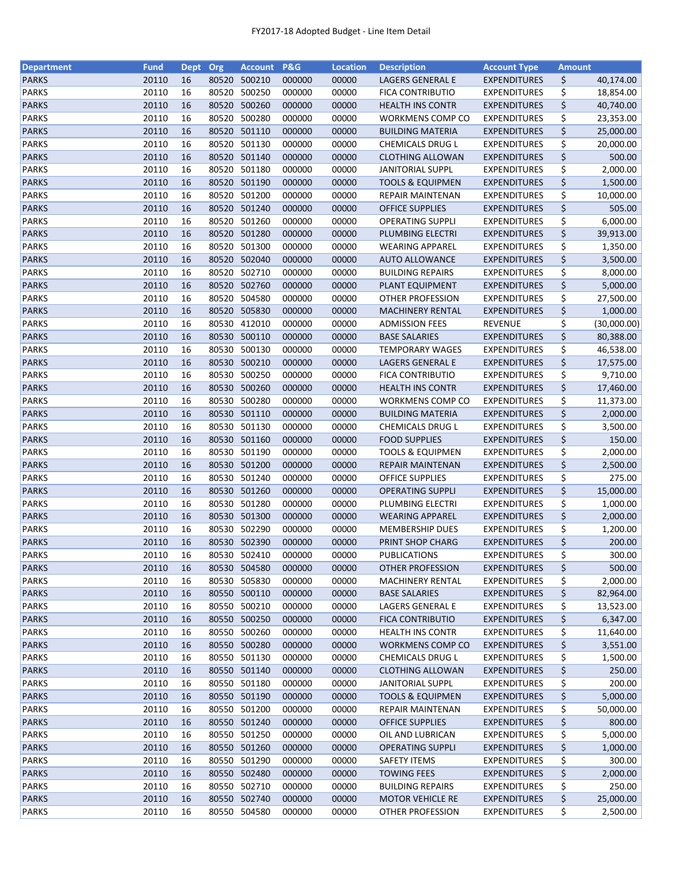| <b>Department</b>            | <b>Fund</b>    | <b>Dept</b> | Org   | <b>Account</b>   | <b>P&amp;G</b>   | <b>Location</b> | <b>Description</b>          | <b>Account Type</b>                        | <b>Amount</b> |                       |
|------------------------------|----------------|-------------|-------|------------------|------------------|-----------------|-----------------------------|--------------------------------------------|---------------|-----------------------|
| <b>PARKS</b>                 | 20110          | 16          | 80520 | 500210           | 000000           | 00000           | LAGERS GENERAL E            | <b>EXPENDITURES</b>                        | \$            | 40,174.00             |
| <b>PARKS</b>                 | 20110          | 16          | 80520 | 500250           | 000000           | 00000           | <b>FICA CONTRIBUTIO</b>     | <b>EXPENDITURES</b>                        | \$            | 18,854.00             |
| <b>PARKS</b>                 | 20110          | 16          | 80520 | 500260           | 000000           | 00000           | <b>HEALTH INS CONTR</b>     | <b>EXPENDITURES</b>                        | \$            | 40,740.00             |
| <b>PARKS</b>                 | 20110          | 16          | 80520 | 500280           | 000000           | 00000           | WORKMENS COMP CO            | <b>EXPENDITURES</b>                        | \$            | 23,353.00             |
| <b>PARKS</b>                 | 20110          | 16          |       | 80520 501110     | 000000           | 00000           | <b>BUILDING MATERIA</b>     | <b>EXPENDITURES</b>                        | \$            | 25,000.00             |
| <b>PARKS</b>                 | 20110          | 16          |       | 80520 501130     | 000000           | 00000           | CHEMICALS DRUG L            | <b>EXPENDITURES</b>                        | \$            | 20,000.00             |
| <b>PARKS</b>                 | 20110          | 16          |       | 80520 501140     | 000000           | 00000           | <b>CLOTHING ALLOWAN</b>     | <b>EXPENDITURES</b>                        | \$            | 500.00                |
| <b>PARKS</b>                 | 20110          | 16          |       | 80520 501180     | 000000           | 00000           | <b>JANITORIAL SUPPL</b>     | <b>EXPENDITURES</b>                        | \$            | 2,000.00              |
| <b>PARKS</b>                 | 20110          | 16          | 80520 | 501190           | 000000           | 00000           | <b>TOOLS &amp; EQUIPMEN</b> | <b>EXPENDITURES</b>                        | \$            | 1,500.00              |
| <b>PARKS</b>                 | 20110          | 16          | 80520 | 501200           | 000000           | 00000           | <b>REPAIR MAINTENAN</b>     | <b>EXPENDITURES</b>                        | \$            | 10,000.00             |
| <b>PARKS</b>                 | 20110          | 16          |       | 80520 501240     | 000000           | 00000           | <b>OFFICE SUPPLIES</b>      | <b>EXPENDITURES</b>                        | \$            | 505.00                |
| <b>PARKS</b>                 | 20110          | 16          | 80520 | 501260           | 000000           | 00000           | <b>OPERATING SUPPLI</b>     | <b>EXPENDITURES</b>                        | \$            | 6,000.00              |
| <b>PARKS</b>                 | 20110          | 16          |       | 80520 501280     | 000000           | 00000           | PLUMBING ELECTRI            | <b>EXPENDITURES</b>                        | \$            | 39,913.00             |
| <b>PARKS</b>                 | 20110          | 16          | 80520 | 501300           | 000000           | 00000           | <b>WEARING APPAREL</b>      | <b>EXPENDITURES</b>                        | \$            | 1,350.00              |
| <b>PARKS</b>                 | 20110          | 16          | 80520 | 502040           | 000000           | 00000           | <b>AUTO ALLOWANCE</b>       | <b>EXPENDITURES</b>                        | \$            | 3,500.00              |
| <b>PARKS</b>                 | 20110          | 16          | 80520 | 502710           | 000000           | 00000           | <b>BUILDING REPAIRS</b>     | <b>EXPENDITURES</b>                        | \$            | 8,000.00              |
| <b>PARKS</b>                 | 20110          | 16          |       | 80520 502760     | 000000           | 00000           | PLANT EQUIPMENT             | <b>EXPENDITURES</b>                        | \$            | 5,000.00              |
| <b>PARKS</b>                 | 20110          | 16          |       | 80520 504580     | 000000           | 00000           | OTHER PROFESSION            | <b>EXPENDITURES</b>                        | \$            | 27,500.00             |
| <b>PARKS</b>                 | 20110          | 16          |       | 80520 505830     | 000000           | 00000           | <b>MACHINERY RENTAL</b>     | <b>EXPENDITURES</b>                        | \$            | 1,000.00              |
| <b>PARKS</b>                 | 20110          | 16          |       | 80530 412010     | 000000           | 00000           | <b>ADMISSION FEES</b>       | <b>REVENUE</b>                             | \$            | (30,000.00)           |
| <b>PARKS</b>                 | 20110          | 16          | 80530 | 500110           | 000000           | 00000           | <b>BASE SALARIES</b>        | <b>EXPENDITURES</b>                        | \$            | 80,388.00             |
| <b>PARKS</b>                 | 20110          | 16          | 80530 | 500130           | 000000           | 00000           | <b>TEMPORARY WAGES</b>      | <b>EXPENDITURES</b>                        | \$            | 46,538.00             |
| <b>PARKS</b>                 | 20110          | 16          |       | 80530 500210     | 000000           | 00000           | <b>LAGERS GENERAL E</b>     | <b>EXPENDITURES</b>                        | \$            | 17,575.00             |
| <b>PARKS</b>                 | 20110          | 16          | 80530 | 500250           | 000000           | 00000           | <b>FICA CONTRIBUTIO</b>     | <b>EXPENDITURES</b>                        | \$            | 9,710.00              |
| <b>PARKS</b>                 | 20110          | 16          |       | 80530 500260     | 000000           | 00000           | <b>HEALTH INS CONTR</b>     | <b>EXPENDITURES</b>                        | \$            | 17,460.00             |
| <b>PARKS</b>                 | 20110          | 16          | 80530 | 500280           | 000000           | 00000           |                             | <b>EXPENDITURES</b>                        | \$            |                       |
| <b>PARKS</b>                 | 20110          | 16          | 80530 | 501110           | 000000           | 00000           | <b>WORKMENS COMP CO</b>     |                                            | \$            | 11,373.00<br>2,000.00 |
|                              | 20110          |             |       |                  |                  |                 | <b>BUILDING MATERIA</b>     | <b>EXPENDITURES</b>                        |               |                       |
| <b>PARKS</b>                 |                | 16          | 80530 | 501130           | 000000           | 00000           | CHEMICALS DRUG L            | <b>EXPENDITURES</b>                        | \$            | 3,500.00              |
| <b>PARKS</b>                 | 20110          | 16          | 80530 | 501160<br>501190 | 000000           | 00000           | <b>FOOD SUPPLIES</b>        | <b>EXPENDITURES</b>                        | \$            | 150.00                |
| <b>PARKS</b><br><b>PARKS</b> | 20110<br>20110 | 16<br>16    | 80530 | 80530 501200     | 000000<br>000000 | 00000<br>00000  | <b>TOOLS &amp; EQUIPMEN</b> | <b>EXPENDITURES</b><br><b>EXPENDITURES</b> | \$            | 2,000.00              |
|                              |                |             |       |                  |                  |                 | REPAIR MAINTENAN            |                                            | \$            | 2,500.00              |
| <b>PARKS</b>                 | 20110          | 16          |       | 80530 501240     | 000000           | 00000           | <b>OFFICE SUPPLIES</b>      | <b>EXPENDITURES</b>                        | \$            | 275.00                |
| <b>PARKS</b>                 | 20110          | 16          |       | 80530 501260     | 000000           | 00000           | <b>OPERATING SUPPLI</b>     | <b>EXPENDITURES</b>                        | \$            | 15,000.00             |
| <b>PARKS</b>                 | 20110          | 16          | 80530 | 501280           | 000000           | 00000           | PLUMBING ELECTRI            | <b>EXPENDITURES</b>                        | \$            | 1,000.00              |
| <b>PARKS</b>                 | 20110          | 16          |       | 80530 501300     | 000000           | 00000           | <b>WEARING APPAREL</b>      | <b>EXPENDITURES</b>                        | \$            | 2,000.00              |
| <b>PARKS</b>                 | 20110          | 16          |       | 80530 502290     | 000000           | 00000           | <b>MEMBERSHIP DUES</b>      | <b>EXPENDITURES</b>                        | \$            | 1,200.00              |
| <b>PARKS</b>                 | 20110          | 16          |       | 80530 502390     | 000000           | 00000           | PRINT SHOP CHARG            | <b>EXPENDITURES</b>                        | \$            | 200.00                |
| <b>PARKS</b>                 | 20110          | 16          |       | 80530 502410     | 000000           | 00000           | PUBLICATIONS                | <b>EXPENDITURES</b>                        | \$            | 300.00                |
| <b>PARKS</b>                 | 20110          | 16          |       | 80530 504580     | 000000           | 00000           | <b>OTHER PROFESSION</b>     | <b>EXPENDITURES</b>                        | \$            | 500.00                |
| <b>PARKS</b>                 | 20110          | 16          | 80530 | 505830           | 000000           | 00000           | <b>MACHINERY RENTAL</b>     | <b>EXPENDITURES</b>                        | \$            | 2,000.00              |
| <b>PARKS</b>                 | 20110          | 16          |       | 80550 500110     | 000000           | 00000           | <b>BASE SALARIES</b>        | <b>EXPENDITURES</b>                        | \$            | 82,964.00             |
| <b>PARKS</b>                 | 20110          | 16          |       | 80550 500210     | 000000           | 00000           | LAGERS GENERAL E            | <b>EXPENDITURES</b>                        | \$            | 13,523.00             |
| <b>PARKS</b>                 | 20110          | 16          |       | 80550 500250     | 000000           | 00000           | <b>FICA CONTRIBUTIO</b>     | <b>EXPENDITURES</b>                        | \$            | 6,347.00              |
| <b>PARKS</b>                 | 20110          | 16          |       | 80550 500260     | 000000           | 00000           | <b>HEALTH INS CONTR</b>     | <b>EXPENDITURES</b>                        | \$            | 11,640.00             |
| <b>PARKS</b>                 | 20110          | 16          |       | 80550 500280     | 000000           | 00000           | WORKMENS COMP CO            | <b>EXPENDITURES</b>                        | \$            | 3,551.00              |
| <b>PARKS</b>                 | 20110          | 16          |       | 80550 501130     | 000000           | 00000           | <b>CHEMICALS DRUG L</b>     | <b>EXPENDITURES</b>                        | \$            | 1,500.00              |
| <b>PARKS</b>                 | 20110          | 16          |       | 80550 501140     | 000000           | 00000           | <b>CLOTHING ALLOWAN</b>     | <b>EXPENDITURES</b>                        | \$            | 250.00                |
| PARKS                        | 20110          | 16          |       | 80550 501180     | 000000           | 00000           | <b>JANITORIAL SUPPL</b>     | <b>EXPENDITURES</b>                        | \$            | 200.00                |
| <b>PARKS</b>                 | 20110          | 16          |       | 80550 501190     | 000000           | 00000           | <b>TOOLS &amp; EQUIPMEN</b> | <b>EXPENDITURES</b>                        | \$            | 5,000.00              |
| <b>PARKS</b>                 | 20110          | 16          |       | 80550 501200     | 000000           | 00000           | REPAIR MAINTENAN            | <b>EXPENDITURES</b>                        | \$            | 50,000.00             |
| <b>PARKS</b>                 | 20110          | 16          |       | 80550 501240     | 000000           | 00000           | <b>OFFICE SUPPLIES</b>      | <b>EXPENDITURES</b>                        | \$            | 800.00                |
| <b>PARKS</b>                 | 20110          | 16          | 80550 | 501250           | 000000           | 00000           | OIL AND LUBRICAN            | EXPENDITURES                               | \$            | 5,000.00              |
| <b>PARKS</b>                 | 20110          | 16          |       | 80550 501260     | 000000           | 00000           | <b>OPERATING SUPPLI</b>     | <b>EXPENDITURES</b>                        | \$            | 1,000.00              |
| <b>PARKS</b>                 | 20110          | 16          |       | 80550 501290     | 000000           | 00000           | <b>SAFETY ITEMS</b>         | <b>EXPENDITURES</b>                        | \$            | 300.00                |
| <b>PARKS</b>                 | 20110          | 16          |       | 80550 502480     | 000000           | 00000           | <b>TOWING FEES</b>          | <b>EXPENDITURES</b>                        | \$            | 2,000.00              |
| <b>PARKS</b>                 | 20110          | 16          |       | 80550 502710     | 000000           | 00000           | <b>BUILDING REPAIRS</b>     | <b>EXPENDITURES</b>                        | \$            | 250.00                |
| <b>PARKS</b>                 | 20110          | 16          |       | 80550 502740     | 000000           | 00000           | <b>MOTOR VEHICLE RE</b>     | <b>EXPENDITURES</b>                        | \$            | 25,000.00             |
| PARKS                        | 20110          | 16          |       | 80550 504580     | 000000           | 00000           | OTHER PROFESSION            | <b>EXPENDITURES</b>                        | \$            | 2,500.00              |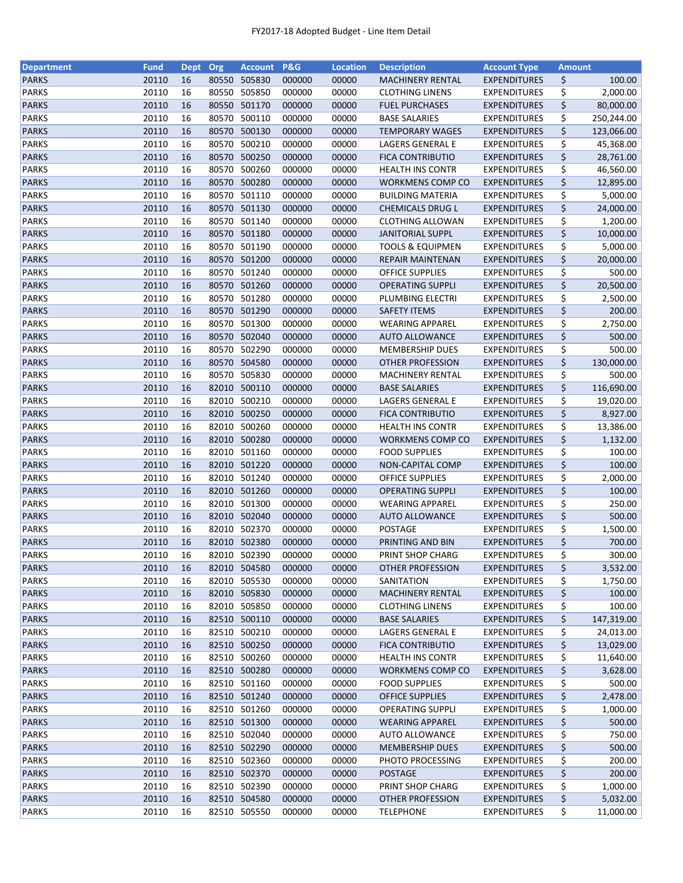| <b>Department</b> | <b>Fund</b> | <b>Dept</b> | Org   | <b>Account</b> | P&G    | <b>Location</b> | <b>Description</b>          | <b>Account Type</b> | <b>Amount</b> |            |
|-------------------|-------------|-------------|-------|----------------|--------|-----------------|-----------------------------|---------------------|---------------|------------|
| <b>PARKS</b>      | 20110       | 16          | 80550 | 505830         | 000000 | 00000           | <b>MACHINERY RENTAL</b>     | <b>EXPENDITURES</b> | \$            | 100.00     |
| <b>PARKS</b>      | 20110       | 16          | 80550 | 505850         | 000000 | 00000           | <b>CLOTHING LINENS</b>      | <b>EXPENDITURES</b> | \$            | 2,000.00   |
| <b>PARKS</b>      | 20110       | 16          | 80550 | 501170         | 000000 | 00000           | <b>FUEL PURCHASES</b>       | <b>EXPENDITURES</b> | \$            | 80,000.00  |
| <b>PARKS</b>      | 20110       | 16          | 80570 | 500110         | 000000 | 00000           | <b>BASE SALARIES</b>        | <b>EXPENDITURES</b> | \$            | 250,244.00 |
| <b>PARKS</b>      | 20110       | 16          |       | 80570 500130   | 000000 | 00000           | <b>TEMPORARY WAGES</b>      | <b>EXPENDITURES</b> | \$            | 123,066.00 |
| <b>PARKS</b>      | 20110       | 16          |       | 80570 500210   | 000000 | 00000           | LAGERS GENERAL E            | <b>EXPENDITURES</b> | \$            | 45,368.00  |
| <b>PARKS</b>      | 20110       | 16          | 80570 | 500250         | 000000 | 00000           | <b>FICA CONTRIBUTIO</b>     | <b>EXPENDITURES</b> | \$            | 28,761.00  |
| <b>PARKS</b>      | 20110       | 16          | 80570 | 500260         | 000000 | 00000           | <b>HEALTH INS CONTR</b>     | <b>EXPENDITURES</b> | \$            | 46,560.00  |
| <b>PARKS</b>      | 20110       | 16          |       | 80570 500280   | 000000 | 00000           | WORKMENS COMP CO            | <b>EXPENDITURES</b> | \$            | 12,895.00  |
| <b>PARKS</b>      | 20110       | 16          | 80570 | 501110         | 000000 | 00000           | <b>BUILDING MATERIA</b>     | <b>EXPENDITURES</b> | \$            | 5,000.00   |
| <b>PARKS</b>      | 20110       | 16          |       | 80570 501130   | 000000 | 00000           | <b>CHEMICALS DRUG L</b>     | <b>EXPENDITURES</b> | \$            | 24,000.00  |
| <b>PARKS</b>      | 20110       | 16          |       | 80570 501140   | 000000 | 00000           | CLOTHING ALLOWAN            | <b>EXPENDITURES</b> |               |            |
| <b>PARKS</b>      | 20110       | 16          | 80570 | 501180         | 000000 | 00000           |                             |                     | \$<br>\$      | 1,200.00   |
|                   |             |             |       |                |        |                 | <b>JANITORIAL SUPPL</b>     | <b>EXPENDITURES</b> |               | 10,000.00  |
| <b>PARKS</b>      | 20110       | 16          | 80570 | 501190         | 000000 | 00000           | <b>TOOLS &amp; EQUIPMEN</b> | <b>EXPENDITURES</b> | \$            | 5,000.00   |
| <b>PARKS</b>      | 20110       | 16          | 80570 | 501200         | 000000 | 00000           | REPAIR MAINTENAN            | <b>EXPENDITURES</b> | \$            | 20,000.00  |
| <b>PARKS</b>      | 20110       | 16          | 80570 | 501240         | 000000 | 00000           | <b>OFFICE SUPPLIES</b>      | <b>EXPENDITURES</b> | \$            | 500.00     |
| <b>PARKS</b>      | 20110       | 16          |       | 80570 501260   | 000000 | 00000           | <b>OPERATING SUPPLI</b>     | <b>EXPENDITURES</b> | \$            | 20,500.00  |
| <b>PARKS</b>      | 20110       | 16          |       | 80570 501280   | 000000 | 00000           | PLUMBING ELECTRI            | <b>EXPENDITURES</b> | \$            | 2,500.00   |
| <b>PARKS</b>      | 20110       | 16          |       | 80570 501290   | 000000 | 00000           | <b>SAFETY ITEMS</b>         | <b>EXPENDITURES</b> | \$            | 200.00     |
| <b>PARKS</b>      | 20110       | 16          | 80570 | 501300         | 000000 | 00000           | <b>WEARING APPAREL</b>      | <b>EXPENDITURES</b> | \$            | 2,750.00   |
| <b>PARKS</b>      | 20110       | 16          |       | 80570 502040   | 000000 | 00000           | <b>AUTO ALLOWANCE</b>       | <b>EXPENDITURES</b> | \$            | 500.00     |
| <b>PARKS</b>      | 20110       | 16          | 80570 | 502290         | 000000 | 00000           | <b>MEMBERSHIP DUES</b>      | <b>EXPENDITURES</b> | \$            | 500.00     |
| <b>PARKS</b>      | 20110       | 16          |       | 80570 504580   | 000000 | 00000           | OTHER PROFESSION            | <b>EXPENDITURES</b> | \$            | 130,000.00 |
| <b>PARKS</b>      | 20110       | 16          |       | 80570 505830   | 000000 | 00000           | <b>MACHINERY RENTAL</b>     | <b>EXPENDITURES</b> | \$            | 500.00     |
| <b>PARKS</b>      | 20110       | 16          | 82010 | 500110         | 000000 | 00000           | <b>BASE SALARIES</b>        | <b>EXPENDITURES</b> | \$            | 116,690.00 |
| <b>PARKS</b>      | 20110       | 16          | 82010 | 500210         | 000000 | 00000           | LAGERS GENERAL E            | <b>EXPENDITURES</b> | \$            | 19,020.00  |
| <b>PARKS</b>      | 20110       | 16          | 82010 | 500250         | 000000 | 00000           | <b>FICA CONTRIBUTIO</b>     | <b>EXPENDITURES</b> | \$            | 8,927.00   |
| <b>PARKS</b>      | 20110       | 16          | 82010 | 500260         | 000000 | 00000           | <b>HEALTH INS CONTR</b>     | <b>EXPENDITURES</b> | \$            | 13,386.00  |
| <b>PARKS</b>      | 20110       | 16          |       | 82010 500280   | 000000 | 00000           | WORKMENS COMP CO            | <b>EXPENDITURES</b> | \$            | 1,132.00   |
| <b>PARKS</b>      | 20110       | 16          | 82010 | 501160         | 000000 | 00000           | <b>FOOD SUPPLIES</b>        | <b>EXPENDITURES</b> | \$            | 100.00     |
| <b>PARKS</b>      | 20110       | 16          |       | 82010 501220   | 000000 | 00000           | NON-CAPITAL COMP            | <b>EXPENDITURES</b> | \$            | 100.00     |
| <b>PARKS</b>      | 20110       | 16          |       | 82010 501240   | 000000 | 00000           | <b>OFFICE SUPPLIES</b>      | <b>EXPENDITURES</b> | \$            | 2,000.00   |
| <b>PARKS</b>      | 20110       | 16          |       | 82010 501260   | 000000 | 00000           | <b>OPERATING SUPPLI</b>     | <b>EXPENDITURES</b> | \$            | 100.00     |
| <b>PARKS</b>      | 20110       | 16          | 82010 | 501300         | 000000 | 00000           | <b>WEARING APPAREL</b>      | <b>EXPENDITURES</b> | \$            | 250.00     |
| <b>PARKS</b>      | 20110       | 16          |       | 82010 502040   | 000000 | 00000           | <b>AUTO ALLOWANCE</b>       | <b>EXPENDITURES</b> | \$            | 500.00     |
| <b>PARKS</b>      | 20110       | 16          |       | 82010 502370   |        |                 |                             | <b>EXPENDITURES</b> |               |            |
|                   |             |             |       | 82010 502380   | 000000 | 00000           | POSTAGE                     |                     | \$            | 1,500.00   |
| <b>PARKS</b>      | 20110       | 16          |       |                | 000000 | 00000           | PRINTING AND BIN            | <b>EXPENDITURES</b> | \$            | 700.00     |
| <b>PARKS</b>      | 20110       | 16          |       | 82010 502390   | 000000 | 00000           | PRINT SHOP CHARG            | <b>EXPENDITURES</b> | \$            | 300.00     |
| <b>PARKS</b>      | 20110       | 16          |       | 82010 504580   | 000000 | 00000           | OTHER PROFESSION            | <b>EXPENDITURES</b> | \$            | 3,532.00   |
| <b>PARKS</b>      | 20110       | 16          | 82010 | 505530         | 000000 | 00000           | SANITATION                  | <b>EXPENDITURES</b> | \$            | 1,750.00   |
| <b>PARKS</b>      | 20110       | 16          |       | 82010 505830   | 000000 | 00000           | <b>MACHINERY RENTAL</b>     | <b>EXPENDITURES</b> | \$            | 100.00     |
| <b>PARKS</b>      | 20110       | 16          |       | 82010 505850   | 000000 | 00000           | <b>CLOTHING LINENS</b>      | <b>EXPENDITURES</b> | \$            | 100.00     |
| <b>PARKS</b>      | 20110       | 16          |       | 82510 500110   | 000000 | 00000           | <b>BASE SALARIES</b>        | <b>EXPENDITURES</b> | \$            | 147,319.00 |
| <b>PARKS</b>      | 20110       | 16          |       | 82510 500210   | 000000 | 00000           | LAGERS GENERAL E            | <b>EXPENDITURES</b> | \$            | 24,013.00  |
| <b>PARKS</b>      | 20110       | 16          |       | 82510 500250   | 000000 | 00000           | <b>FICA CONTRIBUTIO</b>     | <b>EXPENDITURES</b> | \$            | 13,029.00  |
| PARKS             | 20110       | 16          |       | 82510 500260   | 000000 | 00000           | <b>HEALTH INS CONTR</b>     | <b>EXPENDITURES</b> | \$            | 11,640.00  |
| <b>PARKS</b>      | 20110       | 16          |       | 82510 500280   | 000000 | 00000           | WORKMENS COMP CO            | <b>EXPENDITURES</b> | \$            | 3,628.00   |
| <b>PARKS</b>      | 20110       | 16          |       | 82510 501160   | 000000 | 00000           | <b>FOOD SUPPLIES</b>        | <b>EXPENDITURES</b> | \$            | 500.00     |
| <b>PARKS</b>      | 20110       | 16          |       | 82510 501240   | 000000 | 00000           | <b>OFFICE SUPPLIES</b>      | <b>EXPENDITURES</b> | \$            | 2,478.00   |
| <b>PARKS</b>      | 20110       | 16          |       | 82510 501260   | 000000 | 00000           | <b>OPERATING SUPPLI</b>     | <b>EXPENDITURES</b> | \$            | 1,000.00   |
| <b>PARKS</b>      | 20110       | 16          |       | 82510 501300   | 000000 | 00000           | <b>WEARING APPAREL</b>      | <b>EXPENDITURES</b> | \$            | 500.00     |
| <b>PARKS</b>      | 20110       | 16          |       | 82510 502040   | 000000 | 00000           | <b>AUTO ALLOWANCE</b>       | <b>EXPENDITURES</b> | \$            | 750.00     |
| <b>PARKS</b>      | 20110       | 16          |       | 82510 502290   | 000000 | 00000           | <b>MEMBERSHIP DUES</b>      | <b>EXPENDITURES</b> | \$            | 500.00     |
| <b>PARKS</b>      | 20110       | 16          |       | 82510 502360   | 000000 | 00000           | PHOTO PROCESSING            | <b>EXPENDITURES</b> | \$            | 200.00     |
| <b>PARKS</b>      | 20110       | 16          |       | 82510 502370   | 000000 | 00000           | <b>POSTAGE</b>              | <b>EXPENDITURES</b> | \$            | 200.00     |
| <b>PARKS</b>      | 20110       | 16          |       | 82510 502390   | 000000 | 00000           | PRINT SHOP CHARG            | <b>EXPENDITURES</b> | \$            | 1,000.00   |
| <b>PARKS</b>      | 20110       | 16          |       | 82510 504580   | 000000 | 00000           | OTHER PROFESSION            | <b>EXPENDITURES</b> | \$            | 5,032.00   |
| <b>PARKS</b>      | 20110       | 16          |       | 82510 505550   | 000000 | 00000           | <b>TELEPHONE</b>            | <b>EXPENDITURES</b> | \$            | 11,000.00  |
|                   |             |             |       |                |        |                 |                             |                     |               |            |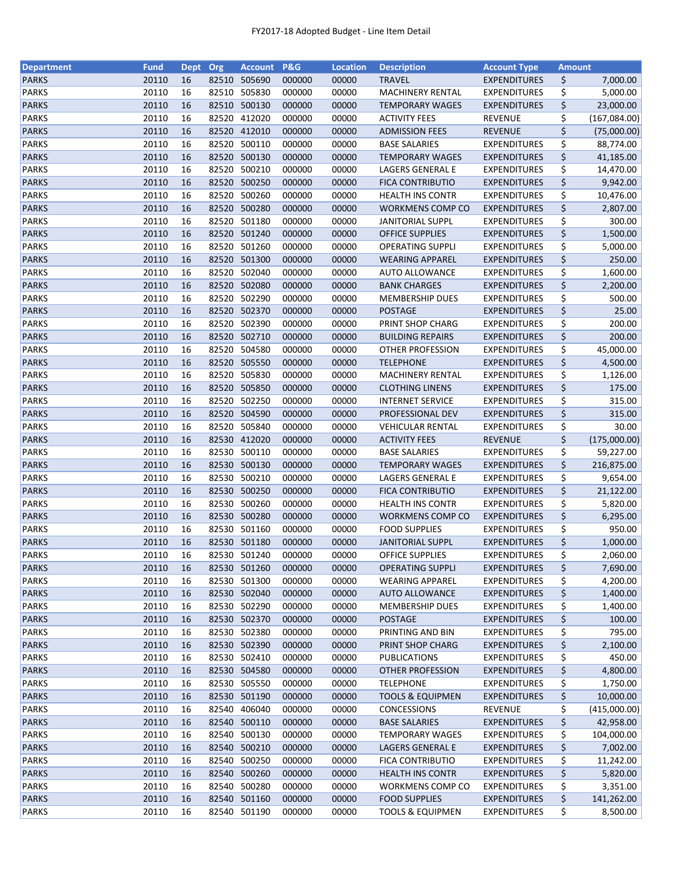| <b>Department</b> | <b>Fund</b>    | <b>Dept</b> | Org            | <b>Account</b>   | P&G    | <b>Location</b> | <b>Description</b>          | <b>Account Type</b> | <b>Amount</b> |                           |
|-------------------|----------------|-------------|----------------|------------------|--------|-----------------|-----------------------------|---------------------|---------------|---------------------------|
| <b>PARKS</b>      | 20110          | 16          | 82510          | 505690           | 000000 | 00000           | <b>TRAVEL</b>               | <b>EXPENDITURES</b> | \$            | 7,000.00                  |
| <b>PARKS</b>      | 20110          | 16          | 82510          | 505830           | 000000 | 00000           | <b>MACHINERY RENTAL</b>     | <b>EXPENDITURES</b> | \$            | 5,000.00                  |
| <b>PARKS</b>      | 20110          | 16          | 82510          | 500130           | 000000 | 00000           | <b>TEMPORARY WAGES</b>      | <b>EXPENDITURES</b> | \$            | 23,000.00                 |
| <b>PARKS</b>      | 20110          | 16          | 82520          | 412020           | 000000 | 00000           | <b>ACTIVITY FEES</b>        | <b>REVENUE</b>      | \$            | (167,084.00)              |
| <b>PARKS</b>      | 20110          | 16          | 82520          | 412010           | 000000 | 00000           | <b>ADMISSION FEES</b>       | <b>REVENUE</b>      | \$            | (75,000.00)               |
| <b>PARKS</b>      | 20110          | 16          | 82520          | 500110           | 000000 | 00000           | <b>BASE SALARIES</b>        | <b>EXPENDITURES</b> | \$            | 88,774.00                 |
| <b>PARKS</b>      | 20110          | 16          | 82520          | 500130           | 000000 | 00000           | <b>TEMPORARY WAGES</b>      | <b>EXPENDITURES</b> | \$            | 41,185.00                 |
| <b>PARKS</b>      | 20110          | 16          | 82520          | 500210           | 000000 | 00000           | LAGERS GENERAL E            | <b>EXPENDITURES</b> | \$            | 14,470.00                 |
| <b>PARKS</b>      | 20110          | 16          | 82520          | 500250           | 000000 | 00000           | <b>FICA CONTRIBUTIO</b>     | <b>EXPENDITURES</b> | \$            | 9,942.00                  |
| <b>PARKS</b>      | 20110          | 16          | 82520          | 500260           | 000000 | 00000           | <b>HEALTH INS CONTR</b>     | <b>EXPENDITURES</b> | \$            | 10,476.00                 |
| <b>PARKS</b>      | 20110          | 16          | 82520          | 500280           | 000000 | 00000           | <b>WORKMENS COMP CO</b>     | <b>EXPENDITURES</b> | \$            | 2,807.00                  |
| <b>PARKS</b>      | 20110          | 16          | 82520          | 501180           | 000000 | 00000           | <b>JANITORIAL SUPPL</b>     | <b>EXPENDITURES</b> | \$            | 300.00                    |
| <b>PARKS</b>      | 20110          | 16          | 82520          | 501240           | 000000 | 00000           | <b>OFFICE SUPPLIES</b>      | <b>EXPENDITURES</b> | \$            | 1,500.00                  |
| <b>PARKS</b>      | 20110          | 16          | 82520          | 501260           | 000000 | 00000           | <b>OPERATING SUPPLI</b>     | <b>EXPENDITURES</b> | \$            | 5,000.00                  |
| <b>PARKS</b>      | 20110          | 16          | 82520          | 501300           | 000000 | 00000           | <b>WEARING APPAREL</b>      | <b>EXPENDITURES</b> | \$            | 250.00                    |
| <b>PARKS</b>      | 20110          | 16          | 82520          | 502040           | 000000 | 00000           | <b>AUTO ALLOWANCE</b>       | <b>EXPENDITURES</b> | \$            | 1,600.00                  |
| <b>PARKS</b>      | 20110          | 16          |                | 82520 502080     | 000000 | 00000           | <b>BANK CHARGES</b>         | <b>EXPENDITURES</b> | \$            | 2,200.00                  |
| <b>PARKS</b>      | 20110          | 16          |                | 82520 502290     | 000000 | 00000           | <b>MEMBERSHIP DUES</b>      | <b>EXPENDITURES</b> | \$            | 500.00                    |
| <b>PARKS</b>      | 20110          | 16          | 82520          | 502370           | 000000 | 00000           | <b>POSTAGE</b>              | <b>EXPENDITURES</b> | \$            | 25.00                     |
| <b>PARKS</b>      | 20110          | 16          | 82520          | 502390           | 000000 | 00000           | PRINT SHOP CHARG            | <b>EXPENDITURES</b> | \$            | 200.00                    |
| <b>PARKS</b>      | 20110          | 16          | 82520          | 502710           | 000000 | 00000           | <b>BUILDING REPAIRS</b>     | <b>EXPENDITURES</b> | \$            | 200.00                    |
| <b>PARKS</b>      | 20110          | 16          | 82520          | 504580           | 000000 | 00000           | <b>OTHER PROFESSION</b>     | <b>EXPENDITURES</b> | \$            | 45,000.00                 |
| <b>PARKS</b>      | 20110          | 16          |                | 82520 505550     | 000000 | 00000           | <b>TELEPHONE</b>            | <b>EXPENDITURES</b> | \$            | 4,500.00                  |
| <b>PARKS</b>      | 20110          | 16          | 82520          | 505830           | 000000 | 00000           | <b>MACHINERY RENTAL</b>     | EXPENDITURES        | \$            | 1,126.00                  |
| <b>PARKS</b>      | 20110          | 16          | 82520          | 505850           | 000000 | 00000           | <b>CLOTHING LINENS</b>      | <b>EXPENDITURES</b> | \$            | 175.00                    |
| <b>PARKS</b>      | 20110          | 16          | 82520          | 502250           | 000000 | 00000           | <b>INTERNET SERVICE</b>     | <b>EXPENDITURES</b> | \$            | 315.00                    |
| <b>PARKS</b>      | 20110          | 16          | 82520          | 504590           | 000000 | 00000           | PROFESSIONAL DEV            | <b>EXPENDITURES</b> | \$            | 315.00                    |
| <b>PARKS</b>      | 20110          | 16          | 82520          | 505840           | 000000 | 00000           | <b>VEHICULAR RENTAL</b>     | <b>EXPENDITURES</b> | \$            | 30.00                     |
| <b>PARKS</b>      | 20110          | 16          | 82530          | 412020           | 000000 | 00000           | <b>ACTIVITY FEES</b>        | <b>REVENUE</b>      | \$            |                           |
| <b>PARKS</b>      | 20110          | 16          | 82530          | 500110           | 000000 | 00000           | <b>BASE SALARIES</b>        | <b>EXPENDITURES</b> |               | (175,000.00)<br>59,227.00 |
| <b>PARKS</b>      | 20110          | 16          | 82530          | 500130           | 000000 | 00000           | <b>TEMPORARY WAGES</b>      | <b>EXPENDITURES</b> | \$<br>\$      | 216,875.00                |
|                   | 20110          |             |                | 500210           |        |                 |                             |                     |               |                           |
| <b>PARKS</b>      |                | 16          | 82530          |                  | 000000 | 00000           | LAGERS GENERAL E            | <b>EXPENDITURES</b> | \$            | 9,654.00                  |
| <b>PARKS</b>      | 20110<br>20110 | 16<br>16    | 82530<br>82530 | 500250<br>500260 | 000000 | 00000           | <b>FICA CONTRIBUTIO</b>     | <b>EXPENDITURES</b> | \$            | 21,122.00                 |
| <b>PARKS</b>      |                |             |                |                  | 000000 | 00000           | <b>HEALTH INS CONTR</b>     | <b>EXPENDITURES</b> | \$            | 5,820.00                  |
| <b>PARKS</b>      | 20110          | 16          | 82530          | 500280           | 000000 | 00000           | <b>WORKMENS COMP CO</b>     | <b>EXPENDITURES</b> | \$            | 6,295.00                  |
| <b>PARKS</b>      | 20110          | 16          |                | 82530 501160     | 000000 | 00000           | <b>FOOD SUPPLIES</b>        | EXPENDITURES        | \$            | 950.00                    |
| <b>PARKS</b>      | 20110          | 16          |                | 82530 501180     | 000000 | 00000           | <b>JANITORIAL SUPPL</b>     | <b>EXPENDITURES</b> | \$            | 1,000.00                  |
| <b>PARKS</b>      | 20110          | 16          |                | 82530 501240     | 000000 | 00000           | <b>OFFICE SUPPLIES</b>      | <b>EXPENDITURES</b> | \$            | 2,060.00                  |
| <b>PARKS</b>      | 20110          | 16          |                | 82530 501260     | 000000 | 00000           | <b>OPERATING SUPPLI</b>     | <b>EXPENDITURES</b> | \$            | 7,690.00                  |
| <b>PARKS</b>      | 20110          | 16          | 82530          | 501300           | 000000 | 00000           | <b>WEARING APPAREL</b>      | <b>EXPENDITURES</b> | \$            | 4,200.00                  |
| <b>PARKS</b>      | 20110          | 16          |                | 82530 502040     | 000000 | 00000           | <b>AUTO ALLOWANCE</b>       | <b>EXPENDITURES</b> | \$            | 1,400.00                  |
| <b>PARKS</b>      | 20110          | 16          |                | 82530 502290     | 000000 | 00000           | <b>MEMBERSHIP DUES</b>      | <b>EXPENDITURES</b> | \$            | 1,400.00                  |
| <b>PARKS</b>      | 20110          | 16          |                | 82530 502370     | 000000 | 00000           | POSTAGE                     | <b>EXPENDITURES</b> | \$            | 100.00                    |
| <b>PARKS</b>      | 20110          | 16          |                | 82530 502380     | 000000 | 00000           | PRINTING AND BIN            | <b>EXPENDITURES</b> | \$            | 795.00                    |
| <b>PARKS</b>      | 20110          | 16          |                | 82530 502390     | 000000 | 00000           | PRINT SHOP CHARG            | <b>EXPENDITURES</b> | \$            | 2,100.00                  |
| PARKS             | 20110          | 16          |                | 82530 502410     | 000000 | 00000           | <b>PUBLICATIONS</b>         | <b>EXPENDITURES</b> | \$            | 450.00                    |
| <b>PARKS</b>      | 20110          | 16          |                | 82530 504580     | 000000 | 00000           | <b>OTHER PROFESSION</b>     | <b>EXPENDITURES</b> | \$            | 4,800.00                  |
| <b>PARKS</b>      | 20110          | 16          |                | 82530 505550     | 000000 | 00000           | <b>TELEPHONE</b>            | <b>EXPENDITURES</b> | \$            | 1,750.00                  |
| <b>PARKS</b>      | 20110          | 16          |                | 82530 501190     | 000000 | 00000           | <b>TOOLS &amp; EQUIPMEN</b> | <b>EXPENDITURES</b> | \$            | 10,000.00                 |
| <b>PARKS</b>      | 20110          | 16          | 82540          | 406040           | 000000 | 00000           | CONCESSIONS                 | REVENUE             | \$            | (415,000.00)              |
| <b>PARKS</b>      | 20110          | 16          | 82540          | 500110           | 000000 | 00000           | <b>BASE SALARIES</b>        | <b>EXPENDITURES</b> | \$            | 42,958.00                 |
| <b>PARKS</b>      | 20110          | 16          | 82540          | 500130           | 000000 | 00000           | <b>TEMPORARY WAGES</b>      | <b>EXPENDITURES</b> | \$            | 104,000.00                |
| <b>PARKS</b>      | 20110          | 16          | 82540          | 500210           | 000000 | 00000           | LAGERS GENERAL E            | <b>EXPENDITURES</b> | \$            | 7,002.00                  |
| <b>PARKS</b>      | 20110          | 16          | 82540          | 500250           | 000000 | 00000           | <b>FICA CONTRIBUTIO</b>     | <b>EXPENDITURES</b> | \$            | 11,242.00                 |
| <b>PARKS</b>      | 20110          | 16          |                | 82540 500260     | 000000 | 00000           | <b>HEALTH INS CONTR</b>     | <b>EXPENDITURES</b> | \$            | 5,820.00                  |
| <b>PARKS</b>      | 20110          | 16          | 82540          | 500280           | 000000 | 00000           | <b>WORKMENS COMP CO</b>     | <b>EXPENDITURES</b> | \$            | 3,351.00                  |
| <b>PARKS</b>      | 20110          | 16          | 82540          | 501160           | 000000 | 00000           | <b>FOOD SUPPLIES</b>        | <b>EXPENDITURES</b> | \$            | 141,262.00                |
| <b>PARKS</b>      | 20110          | 16          |                | 82540 501190     | 000000 | 00000           | <b>TOOLS &amp; EQUIPMEN</b> | <b>EXPENDITURES</b> | \$            | 8,500.00                  |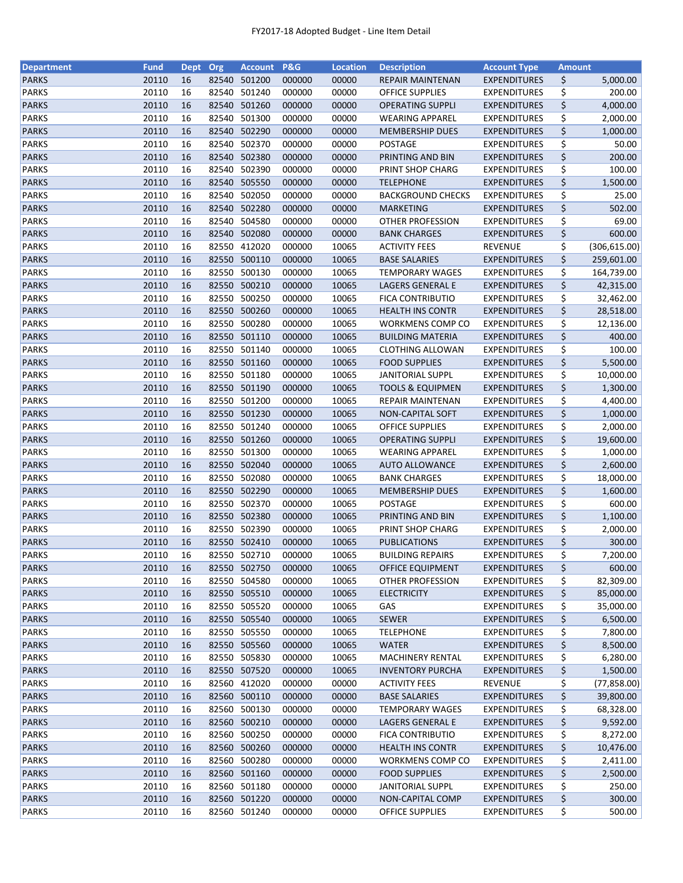| <b>Department</b>            | <b>Fund</b>    | <b>Dept</b> | Org   | <b>Account</b>         | <b>P&amp;G</b>   | <b>Location</b> | <b>Description</b>          | <b>Account Type</b>                        | <b>Amount</b> |               |
|------------------------------|----------------|-------------|-------|------------------------|------------------|-----------------|-----------------------------|--------------------------------------------|---------------|---------------|
| <b>PARKS</b>                 | 20110          | 16          | 82540 | 501200                 | 000000           | 00000           | <b>REPAIR MAINTENAN</b>     | <b>EXPENDITURES</b>                        | \$            | 5,000.00      |
| <b>PARKS</b>                 | 20110          | 16          | 82540 | 501240                 | 000000           | 00000           | <b>OFFICE SUPPLIES</b>      | <b>EXPENDITURES</b>                        | \$            | 200.00        |
| <b>PARKS</b>                 | 20110          | 16          | 82540 | 501260                 | 000000           | 00000           | <b>OPERATING SUPPLI</b>     | <b>EXPENDITURES</b>                        | \$            | 4,000.00      |
| <b>PARKS</b>                 | 20110          | 16          | 82540 | 501300                 | 000000           | 00000           | <b>WEARING APPAREL</b>      | <b>EXPENDITURES</b>                        | \$            | 2,000.00      |
| <b>PARKS</b>                 | 20110          | 16          |       | 82540 502290           | 000000           | 00000           | <b>MEMBERSHIP DUES</b>      | <b>EXPENDITURES</b>                        | \$            | 1,000.00      |
| <b>PARKS</b>                 | 20110          | 16          |       | 82540 502370           | 000000           | 00000           | <b>POSTAGE</b>              | <b>EXPENDITURES</b>                        | \$            | 50.00         |
| <b>PARKS</b>                 | 20110          | 16          |       | 82540 502380           | 000000           | 00000           | PRINTING AND BIN            | <b>EXPENDITURES</b>                        | \$            | 200.00        |
| <b>PARKS</b>                 | 20110          | 16          |       | 82540 502390           | 000000           | 00000           | PRINT SHOP CHARG            | <b>EXPENDITURES</b>                        | \$            | 100.00        |
| <b>PARKS</b>                 | 20110          | 16          |       | 82540 505550           | 000000           | 00000           | <b>TELEPHONE</b>            | <b>EXPENDITURES</b>                        | \$            | 1,500.00      |
| <b>PARKS</b>                 | 20110          | 16          | 82540 | 502050                 | 000000           | 00000           | <b>BACKGROUND CHECKS</b>    | <b>EXPENDITURES</b>                        | \$            | 25.00         |
| <b>PARKS</b>                 | 20110          | 16          |       | 82540 502280           | 000000           | 00000           | <b>MARKETING</b>            | <b>EXPENDITURES</b>                        | \$            | 502.00        |
| <b>PARKS</b>                 | 20110          | 16          | 82540 | 504580                 | 000000           | 00000           | <b>OTHER PROFESSION</b>     | <b>EXPENDITURES</b>                        | \$            | 69.00         |
| <b>PARKS</b>                 | 20110          | 16          |       | 82540 502080           | 000000           | 00000           | <b>BANK CHARGES</b>         | <b>EXPENDITURES</b>                        | \$            | 600.00        |
| <b>PARKS</b>                 | 20110          | 16          | 82550 | 412020                 | 000000           | 10065           | <b>ACTIVITY FEES</b>        | <b>REVENUE</b>                             | \$            | (306, 615.00) |
| <b>PARKS</b>                 | 20110          | 16          | 82550 | 500110                 | 000000           | 10065           | <b>BASE SALARIES</b>        | <b>EXPENDITURES</b>                        | \$            | 259,601.00    |
| <b>PARKS</b>                 | 20110          | 16          | 82550 | 500130                 | 000000           | 10065           | <b>TEMPORARY WAGES</b>      | <b>EXPENDITURES</b>                        | \$            | 164,739.00    |
| <b>PARKS</b>                 | 20110          | 16          |       | 82550 500210           | 000000           | 10065           | LAGERS GENERAL E            | <b>EXPENDITURES</b>                        | \$            | 42,315.00     |
| <b>PARKS</b>                 | 20110          | 16          |       | 82550 500250           | 000000           | 10065           | FICA CONTRIBUTIO            | <b>EXPENDITURES</b>                        | \$            | 32,462.00     |
| <b>PARKS</b>                 | 20110          | 16          |       | 82550 500260           | 000000           | 10065           | <b>HEALTH INS CONTR</b>     | <b>EXPENDITURES</b>                        | \$            | 28,518.00     |
| <b>PARKS</b>                 | 20110          | 16          |       | 82550 500280           | 000000           | 10065           | WORKMENS COMP CO            | <b>EXPENDITURES</b>                        | \$            | 12,136.00     |
| <b>PARKS</b>                 | 20110          | 16          |       | 82550 501110           | 000000           | 10065           | <b>BUILDING MATERIA</b>     | <b>EXPENDITURES</b>                        | \$            | 400.00        |
| <b>PARKS</b>                 | 20110          | 16          | 82550 | 501140                 | 000000           | 10065           | <b>CLOTHING ALLOWAN</b>     | <b>EXPENDITURES</b>                        | \$            | 100.00        |
| <b>PARKS</b>                 | 20110          | 16          |       | 82550 501160           | 000000           | 10065           | <b>FOOD SUPPLIES</b>        | <b>EXPENDITURES</b>                        | \$            | 5,500.00      |
| <b>PARKS</b>                 | 20110          | 16          |       | 82550 501180           | 000000           | 10065           | <b>JANITORIAL SUPPL</b>     | <b>EXPENDITURES</b>                        | \$            | 10,000.00     |
| <b>PARKS</b>                 | 20110          | 16          |       | 82550 501190           | 000000           | 10065           | <b>TOOLS &amp; EQUIPMEN</b> | <b>EXPENDITURES</b>                        | \$            | 1,300.00      |
| <b>PARKS</b>                 | 20110          | 16          |       | 82550 501200           | 000000           | 10065           | REPAIR MAINTENAN            | <b>EXPENDITURES</b>                        | \$            | 4,400.00      |
| <b>PARKS</b>                 | 20110          | 16          | 82550 | 501230                 | 000000           | 10065           |                             |                                            | \$            |               |
|                              | 20110          |             |       |                        |                  |                 | <b>NON-CAPITAL SOFT</b>     | <b>EXPENDITURES</b>                        |               | 1,000.00      |
| <b>PARKS</b>                 |                | 16          | 82550 | 501240                 | 000000           | 10065           | <b>OFFICE SUPPLIES</b>      | <b>EXPENDITURES</b>                        | \$            | 2,000.00      |
| <b>PARKS</b>                 | 20110          | 16          | 82550 | 501260                 | 000000           | 10065           | <b>OPERATING SUPPLI</b>     | <b>EXPENDITURES</b>                        | \$            | 19,600.00     |
| <b>PARKS</b><br><b>PARKS</b> | 20110<br>20110 | 16<br>16    | 82550 | 501300<br>82550 502040 | 000000<br>000000 | 10065<br>10065  | <b>WEARING APPAREL</b>      | <b>EXPENDITURES</b><br><b>EXPENDITURES</b> | \$<br>\$      | 1,000.00      |
|                              |                |             |       |                        |                  |                 | <b>AUTO ALLOWANCE</b>       |                                            |               | 2,600.00      |
| <b>PARKS</b>                 | 20110          | 16          |       | 82550 502080           | 000000           | 10065           | <b>BANK CHARGES</b>         | <b>EXPENDITURES</b>                        | \$            | 18,000.00     |
| <b>PARKS</b>                 | 20110          | 16          |       | 82550 502290           | 000000           | 10065           | <b>MEMBERSHIP DUES</b>      | <b>EXPENDITURES</b>                        | \$            | 1,600.00      |
| <b>PARKS</b>                 | 20110          | 16          | 82550 | 502370                 | 000000           | 10065           | POSTAGE                     | <b>EXPENDITURES</b>                        | \$            | 600.00        |
| <b>PARKS</b>                 | 20110          | 16          |       | 82550 502380           | 000000           | 10065           | PRINTING AND BIN            | <b>EXPENDITURES</b>                        | \$            | 1,100.00      |
| <b>PARKS</b>                 | 20110          | 16          |       | 82550 502390           | 000000           | 10065           | PRINT SHOP CHARG            | <b>EXPENDITURES</b>                        | \$            | 2,000.00      |
| <b>PARKS</b>                 | 20110          | 16          |       | 82550 502410           | 000000           | 10065           | <b>PUBLICATIONS</b>         | <b>EXPENDITURES</b>                        | \$            | 300.00        |
| <b>PARKS</b>                 | 20110          | 16          |       | 82550 502710           | 000000           | 10065           | <b>BUILDING REPAIRS</b>     | <b>EXPENDITURES</b>                        | \$            | 7,200.00      |
| <b>PARKS</b>                 | 20110          | 16          |       | 82550 502750           | 000000           | 10065           | <b>OFFICE EQUIPMENT</b>     | <b>EXPENDITURES</b>                        | \$            | 600.00        |
| <b>PARKS</b>                 | 20110          | 16          | 82550 | 504580                 | 000000           | 10065           | OTHER PROFESSION            | <b>EXPENDITURES</b>                        | \$            | 82,309.00     |
| <b>PARKS</b>                 | 20110          | 16          |       | 82550 505510           | 000000           | 10065           | <b>ELECTRICITY</b>          | <b>EXPENDITURES</b>                        | \$            | 85,000.00     |
| <b>PARKS</b>                 | 20110          | 16          |       | 82550 505520           | 000000           | 10065           | GAS                         | <b>EXPENDITURES</b>                        | \$            | 35,000.00     |
| <b>PARKS</b>                 | 20110          | 16          |       | 82550 505540           | 000000           | 10065           | <b>SEWER</b>                | <b>EXPENDITURES</b>                        | \$            | 6,500.00      |
| <b>PARKS</b>                 | 20110          | 16          |       | 82550 505550           | 000000           | 10065           | <b>TELEPHONE</b>            | <b>EXPENDITURES</b>                        | \$            | 7,800.00      |
| <b>PARKS</b>                 | 20110          | 16          |       | 82550 505560           | 000000           | 10065           | <b>WATER</b>                | <b>EXPENDITURES</b>                        | \$            | 8,500.00      |
| <b>PARKS</b>                 | 20110          | 16          |       | 82550 505830           | 000000           | 10065           | <b>MACHINERY RENTAL</b>     | <b>EXPENDITURES</b>                        | \$            | 6,280.00      |
| <b>PARKS</b>                 | 20110          | 16          |       | 82550 507520           | 000000           | 10065           | <b>INVENTORY PURCHA</b>     | <b>EXPENDITURES</b>                        | \$            | 1,500.00      |
| PARKS                        | 20110          | 16          |       | 82560 412020           | 000000           | 00000           | <b>ACTIVITY FEES</b>        | <b>REVENUE</b>                             | \$            | (77, 858.00)  |
| <b>PARKS</b>                 | 20110          | 16          |       | 82560 500110           | 000000           | 00000           | <b>BASE SALARIES</b>        | <b>EXPENDITURES</b>                        | \$            | 39,800.00     |
| <b>PARKS</b>                 | 20110          | 16          |       | 82560 500130           | 000000           | 00000           | <b>TEMPORARY WAGES</b>      | <b>EXPENDITURES</b>                        | \$            | 68,328.00     |
| <b>PARKS</b>                 | 20110          | 16          |       | 82560 500210           | 000000           | 00000           | LAGERS GENERAL E            | <b>EXPENDITURES</b>                        | \$            | 9,592.00      |
| <b>PARKS</b>                 | 20110          | 16          | 82560 | 500250                 | 000000           | 00000           | <b>FICA CONTRIBUTIO</b>     | EXPENDITURES                               | \$            | 8,272.00      |
| <b>PARKS</b>                 | 20110          | 16          | 82560 | 500260                 | 000000           | 00000           | <b>HEALTH INS CONTR</b>     | <b>EXPENDITURES</b>                        | \$            | 10,476.00     |
| <b>PARKS</b>                 | 20110          | 16          |       | 82560 500280           | 000000           | 00000           | WORKMENS COMP CO            | <b>EXPENDITURES</b>                        | \$            | 2,411.00      |
| <b>PARKS</b>                 | 20110          | 16          |       | 82560 501160           | 000000           | 00000           | <b>FOOD SUPPLIES</b>        | <b>EXPENDITURES</b>                        | \$            | 2,500.00      |
| <b>PARKS</b>                 | 20110          | 16          |       | 82560 501180           | 000000           | 00000           | <b>JANITORIAL SUPPL</b>     | <b>EXPENDITURES</b>                        | \$            | 250.00        |
| <b>PARKS</b>                 | 20110          | 16          |       | 82560 501220           | 000000           | 00000           | NON-CAPITAL COMP            | <b>EXPENDITURES</b>                        | \$            | 300.00        |
| <b>PARKS</b>                 | 20110          | 16          |       | 82560 501240           | 000000           | 00000           | <b>OFFICE SUPPLIES</b>      | <b>EXPENDITURES</b>                        | \$            | 500.00        |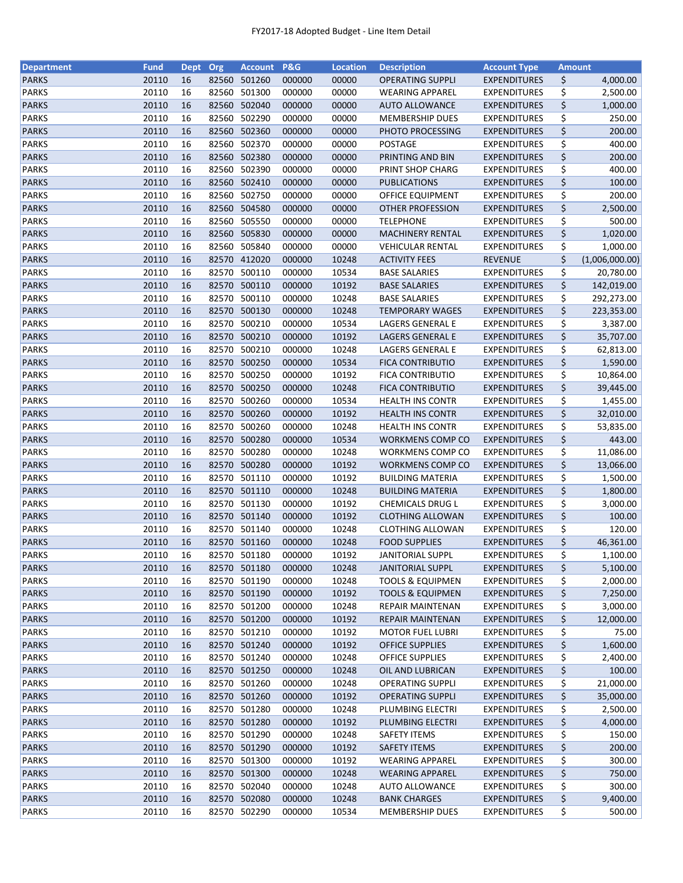| <b>Department</b>            | <b>Fund</b> | <b>Dept</b> | Org   | <b>Account</b> | P&G    | <b>Location</b> | <b>Description</b>                                 | <b>Account Type</b>                        | <b>Amount</b> |                |
|------------------------------|-------------|-------------|-------|----------------|--------|-----------------|----------------------------------------------------|--------------------------------------------|---------------|----------------|
| <b>PARKS</b>                 | 20110       | 16          | 82560 | 501260         | 000000 | 00000           | <b>OPERATING SUPPLI</b>                            | <b>EXPENDITURES</b>                        | \$            | 4,000.00       |
| <b>PARKS</b>                 | 20110       | 16          | 82560 | 501300         | 000000 | 00000           | <b>WEARING APPAREL</b>                             | <b>EXPENDITURES</b>                        | \$            | 2,500.00       |
| <b>PARKS</b>                 | 20110       | 16          | 82560 | 502040         | 000000 | 00000           | <b>AUTO ALLOWANCE</b>                              | <b>EXPENDITURES</b>                        | \$            | 1,000.00       |
| <b>PARKS</b>                 | 20110       | 16          | 82560 | 502290         | 000000 | 00000           | <b>MEMBERSHIP DUES</b>                             | <b>EXPENDITURES</b>                        | \$            | 250.00         |
| <b>PARKS</b>                 | 20110       | 16          |       | 82560 502360   | 000000 | 00000           | PHOTO PROCESSING                                   | <b>EXPENDITURES</b>                        | \$            | 200.00         |
| <b>PARKS</b>                 | 20110       | 16          | 82560 | 502370         | 000000 | 00000           | <b>POSTAGE</b>                                     | <b>EXPENDITURES</b>                        | \$            | 400.00         |
| <b>PARKS</b>                 | 20110       | 16          | 82560 | 502380         | 000000 | 00000           | PRINTING AND BIN                                   | <b>EXPENDITURES</b>                        | \$            | 200.00         |
| <b>PARKS</b>                 | 20110       | 16          | 82560 | 502390         | 000000 | 00000           | PRINT SHOP CHARG                                   | <b>EXPENDITURES</b>                        | \$            | 400.00         |
| <b>PARKS</b>                 | 20110       | 16          |       | 82560 502410   | 000000 | 00000           | <b>PUBLICATIONS</b>                                | <b>EXPENDITURES</b>                        | \$            | 100.00         |
| <b>PARKS</b>                 | 20110       | 16          | 82560 | 502750         | 000000 | 00000           | OFFICE EQUIPMENT                                   | <b>EXPENDITURES</b>                        | \$            | 200.00         |
| <b>PARKS</b>                 | 20110       | 16          |       | 82560 504580   | 000000 | 00000           | <b>OTHER PROFESSION</b>                            | <b>EXPENDITURES</b>                        | \$            | 2,500.00       |
| <b>PARKS</b>                 | 20110       | 16          |       | 82560 505550   | 000000 | 00000           | <b>TELEPHONE</b>                                   | <b>EXPENDITURES</b>                        | \$            | 500.00         |
| <b>PARKS</b>                 | 20110       | 16          | 82560 | 505830         | 000000 | 00000           | <b>MACHINERY RENTAL</b>                            | <b>EXPENDITURES</b>                        | \$            | 1,020.00       |
| <b>PARKS</b>                 | 20110       | 16          | 82560 | 505840         | 000000 | 00000           | VEHICULAR RENTAL                                   | <b>EXPENDITURES</b>                        | \$            | 1,000.00       |
| <b>PARKS</b>                 | 20110       | 16          | 82570 | 412020         | 000000 | 10248           | <b>ACTIVITY FEES</b>                               | <b>REVENUE</b>                             | \$            | (1,006,000.00) |
| <b>PARKS</b>                 | 20110       | 16          | 82570 | 500110         | 000000 | 10534           | <b>BASE SALARIES</b>                               | <b>EXPENDITURES</b>                        | \$            | 20,780.00      |
| <b>PARKS</b>                 | 20110       | 16          |       | 82570 500110   | 000000 | 10192           | <b>BASE SALARIES</b>                               | <b>EXPENDITURES</b>                        | \$            | 142,019.00     |
| <b>PARKS</b>                 | 20110       | 16          |       | 82570 500110   | 000000 | 10248           | <b>BASE SALARIES</b>                               | <b>EXPENDITURES</b>                        | \$            | 292,273.00     |
| <b>PARKS</b>                 | 20110       | 16          |       | 82570 500130   | 000000 | 10248           | <b>TEMPORARY WAGES</b>                             | <b>EXPENDITURES</b>                        | \$            | 223,353.00     |
| <b>PARKS</b>                 | 20110       | 16          | 82570 | 500210         | 000000 | 10534           | LAGERS GENERAL E                                   | <b>EXPENDITURES</b>                        | \$            | 3,387.00       |
| <b>PARKS</b>                 | 20110       | 16          |       | 82570 500210   | 000000 | 10192           | LAGERS GENERAL E                                   | <b>EXPENDITURES</b>                        | \$            | 35,707.00      |
| <b>PARKS</b>                 | 20110       | 16          | 82570 | 500210         | 000000 | 10248           | LAGERS GENERAL E                                   | <b>EXPENDITURES</b>                        | \$            | 62,813.00      |
|                              | 20110       | 16          |       | 82570 500250   | 000000 | 10534           |                                                    |                                            | \$            |                |
| <b>PARKS</b><br><b>PARKS</b> | 20110       | 16          |       | 82570 500250   | 000000 | 10192           | <b>FICA CONTRIBUTIO</b><br><b>FICA CONTRIBUTIO</b> | <b>EXPENDITURES</b><br><b>EXPENDITURES</b> |               | 1,590.00       |
|                              |             |             |       |                |        |                 |                                                    |                                            | \$            | 10,864.00      |
| <b>PARKS</b>                 | 20110       | 16          | 82570 | 500250         | 000000 | 10248           | <b>FICA CONTRIBUTIO</b>                            | <b>EXPENDITURES</b>                        | \$            | 39,445.00      |
| <b>PARKS</b>                 | 20110       | 16          | 82570 | 500260         | 000000 | 10534           | <b>HEALTH INS CONTR</b>                            | <b>EXPENDITURES</b>                        | \$            | 1,455.00       |
| <b>PARKS</b>                 | 20110       | 16          | 82570 | 500260         | 000000 | 10192           | <b>HEALTH INS CONTR</b>                            | <b>EXPENDITURES</b>                        | \$            | 32,010.00      |
| <b>PARKS</b>                 | 20110       | 16          | 82570 | 500260         | 000000 | 10248           | <b>HEALTH INS CONTR</b>                            | <b>EXPENDITURES</b>                        | \$            | 53,835.00      |
| <b>PARKS</b>                 | 20110       | 16          | 82570 | 500280         | 000000 | 10534           | WORKMENS COMP CO                                   | <b>EXPENDITURES</b>                        | \$            | 443.00         |
| <b>PARKS</b>                 | 20110       | 16          | 82570 | 500280         | 000000 | 10248           | WORKMENS COMP CO                                   | <b>EXPENDITURES</b>                        | \$            | 11,086.00      |
| <b>PARKS</b>                 | 20110       | 16          | 82570 | 500280         | 000000 | 10192           | WORKMENS COMP CO                                   | <b>EXPENDITURES</b>                        | \$            | 13,066.00      |
| <b>PARKS</b>                 | 20110       | 16          |       | 82570 501110   | 000000 | 10192           | <b>BUILDING MATERIA</b>                            | <b>EXPENDITURES</b>                        | \$            | 1,500.00       |
| <b>PARKS</b>                 | 20110       | 16          |       | 82570 501110   | 000000 | 10248           | <b>BUILDING MATERIA</b>                            | <b>EXPENDITURES</b>                        | \$            | 1,800.00       |
| <b>PARKS</b>                 | 20110       | 16          | 82570 | 501130         | 000000 | 10192           | CHEMICALS DRUG L                                   | <b>EXPENDITURES</b>                        | \$            | 3,000.00       |
| <b>PARKS</b>                 | 20110       | 16          |       | 82570 501140   | 000000 | 10192           | <b>CLOTHING ALLOWAN</b>                            | <b>EXPENDITURES</b>                        | \$            | 100.00         |
| <b>PARKS</b>                 | 20110       | 16          |       | 82570 501140   | 000000 | 10248           | <b>CLOTHING ALLOWAN</b>                            | <b>EXPENDITURES</b>                        | \$            | 120.00         |
| <b>PARKS</b>                 | 20110       | 16          |       | 82570 501160   | 000000 | 10248           | <b>FOOD SUPPLIES</b>                               | <b>EXPENDITURES</b>                        | \$            | 46,361.00      |
| <b>PARKS</b>                 | 20110       | 16          |       | 82570 501180   | 000000 | 10192           | <b>JANITORIAL SUPPL</b>                            | <b>EXPENDITURES</b>                        | \$            | 1,100.00       |
| <b>PARKS</b>                 | 20110       | 16          |       | 82570 501180   | 000000 | 10248           | <b>JANITORIAL SUPPL</b>                            | <b>EXPENDITURES</b>                        | \$            | 5,100.00       |
| <b>PARKS</b>                 | 20110       | 16          | 82570 | 501190         | 000000 | 10248           | <b>TOOLS &amp; EQUIPMEN</b>                        | <b>EXPENDITURES</b>                        | \$            | 2,000.00       |
| <b>PARKS</b>                 | 20110       | 16          |       | 82570 501190   | 000000 | 10192           | <b>TOOLS &amp; EQUIPMEN</b>                        | <b>EXPENDITURES</b>                        | \$            | 7,250.00       |
| <b>PARKS</b>                 | 20110       | 16          |       | 82570 501200   | 000000 | 10248           | REPAIR MAINTENAN                                   | <b>EXPENDITURES</b>                        | \$            | 3,000.00       |
| <b>PARKS</b>                 | 20110       | 16          |       | 82570 501200   | 000000 | 10192           | REPAIR MAINTENAN                                   | <b>EXPENDITURES</b>                        | \$            | 12,000.00      |
| <b>PARKS</b>                 | 20110       | 16          |       | 82570 501210   | 000000 | 10192           | <b>MOTOR FUEL LUBRI</b>                            | <b>EXPENDITURES</b>                        | \$            | 75.00          |
| <b>PARKS</b>                 | 20110       | 16          |       | 82570 501240   | 000000 | 10192           | <b>OFFICE SUPPLIES</b>                             | <b>EXPENDITURES</b>                        | \$            | 1,600.00       |
| PARKS                        | 20110       | 16          |       | 82570 501240   | 000000 | 10248           | <b>OFFICE SUPPLIES</b>                             | <b>EXPENDITURES</b>                        | \$            | 2,400.00       |
| <b>PARKS</b>                 | 20110       | 16          |       | 82570 501250   | 000000 | 10248           | OIL AND LUBRICAN                                   | <b>EXPENDITURES</b>                        | \$            | 100.00         |
| PARKS                        | 20110       | 16          |       | 82570 501260   | 000000 | 10248           | <b>OPERATING SUPPLI</b>                            | <b>EXPENDITURES</b>                        | \$            | 21,000.00      |
| <b>PARKS</b>                 | 20110       | 16          |       | 82570 501260   | 000000 | 10192           | <b>OPERATING SUPPLI</b>                            | <b>EXPENDITURES</b>                        | \$            | 35,000.00      |
| <b>PARKS</b>                 | 20110       | 16          |       | 82570 501280   | 000000 | 10248           | PLUMBING ELECTRI                                   | <b>EXPENDITURES</b>                        | \$            | 2,500.00       |
| <b>PARKS</b>                 | 20110       | 16          |       | 82570 501280   | 000000 | 10192           | PLUMBING ELECTRI                                   | <b>EXPENDITURES</b>                        | \$            | 4,000.00       |
| <b>PARKS</b>                 | 20110       | 16          | 82570 | 501290         | 000000 | 10248           | <b>SAFETY ITEMS</b>                                | <b>EXPENDITURES</b>                        | \$            | 150.00         |
| <b>PARKS</b>                 | 20110       | 16          |       | 82570 501290   | 000000 | 10192           | <b>SAFETY ITEMS</b>                                | <b>EXPENDITURES</b>                        | \$            | 200.00         |
| <b>PARKS</b>                 | 20110       | 16          |       | 82570 501300   | 000000 | 10192           | <b>WEARING APPAREL</b>                             | <b>EXPENDITURES</b>                        | \$            | 300.00         |
| <b>PARKS</b>                 | 20110       | 16          |       | 82570 501300   | 000000 | 10248           | <b>WEARING APPAREL</b>                             | <b>EXPENDITURES</b>                        | \$            | 750.00         |
| <b>PARKS</b>                 | 20110       |             |       | 82570 502040   |        |                 |                                                    |                                            |               | 300.00         |
|                              |             | 16          |       |                | 000000 | 10248           | <b>AUTO ALLOWANCE</b>                              | <b>EXPENDITURES</b>                        | \$            |                |
| <b>PARKS</b>                 | 20110       | 16          |       | 82570 502080   | 000000 | 10248           | <b>BANK CHARGES</b>                                | <b>EXPENDITURES</b>                        | \$            | 9,400.00       |
| <b>PARKS</b>                 | 20110       | 16          |       | 82570 502290   | 000000 | 10534           | <b>MEMBERSHIP DUES</b>                             | <b>EXPENDITURES</b>                        | \$            | 500.00         |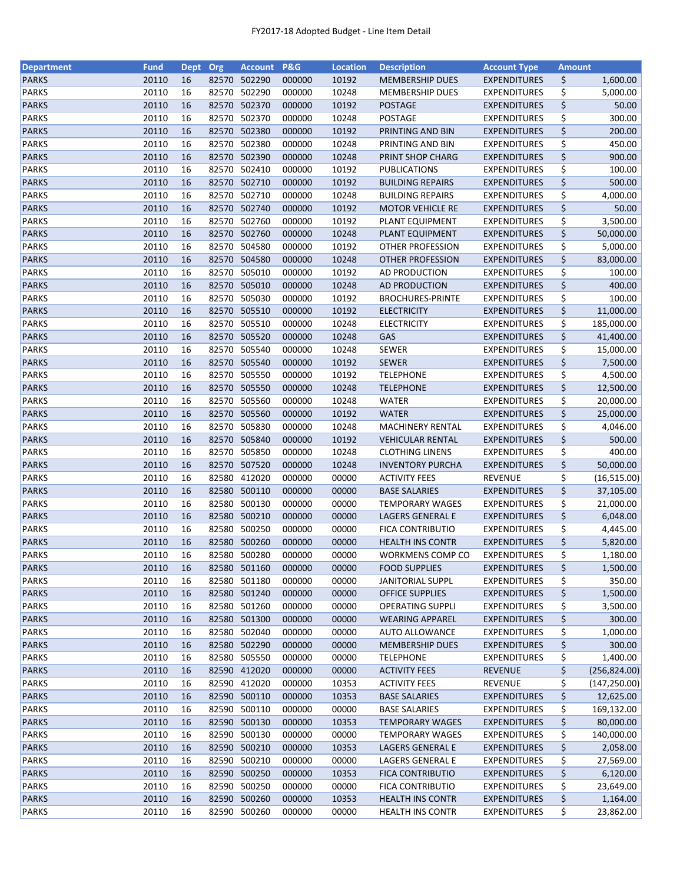| <b>Department</b> | <b>Fund</b> | <b>Dept</b> | Org   | Account P&G  |        | <b>Location</b> | <b>Description</b>      | <b>Account Type</b> | <b>Amount</b> |               |
|-------------------|-------------|-------------|-------|--------------|--------|-----------------|-------------------------|---------------------|---------------|---------------|
| <b>PARKS</b>      | 20110       | 16          |       | 82570 502290 | 000000 | 10192           | <b>MEMBERSHIP DUES</b>  | <b>EXPENDITURES</b> | \$            | 1,600.00      |
| <b>PARKS</b>      | 20110       | 16          |       | 82570 502290 | 000000 | 10248           | <b>MEMBERSHIP DUES</b>  | <b>EXPENDITURES</b> | \$            | 5,000.00      |
| <b>PARKS</b>      | 20110       | 16          | 82570 | 502370       | 000000 | 10192           | <b>POSTAGE</b>          | <b>EXPENDITURES</b> | \$            | 50.00         |
| <b>PARKS</b>      | 20110       | 16          | 82570 | 502370       | 000000 | 10248           | POSTAGE                 | <b>EXPENDITURES</b> | \$            | 300.00        |
| <b>PARKS</b>      | 20110       | 16          | 82570 | 502380       | 000000 | 10192           | PRINTING AND BIN        | <b>EXPENDITURES</b> | \$            | 200.00        |
| <b>PARKS</b>      | 20110       | 16          | 82570 | 502380       | 000000 | 10248           | PRINTING AND BIN        | <b>EXPENDITURES</b> | \$            | 450.00        |
| <b>PARKS</b>      | 20110       | 16          |       | 82570 502390 | 000000 | 10248           | PRINT SHOP CHARG        | <b>EXPENDITURES</b> | \$            | 900.00        |
| <b>PARKS</b>      | 20110       | 16          |       | 82570 502410 | 000000 | 10192           | <b>PUBLICATIONS</b>     | <b>EXPENDITURES</b> | \$            | 100.00        |
| <b>PARKS</b>      | 20110       | 16          |       | 82570 502710 | 000000 | 10192           | <b>BUILDING REPAIRS</b> | <b>EXPENDITURES</b> | \$            | 500.00        |
| <b>PARKS</b>      | 20110       | 16          | 82570 | 502710       | 000000 | 10248           | <b>BUILDING REPAIRS</b> | <b>EXPENDITURES</b> | \$            | 4,000.00      |
| <b>PARKS</b>      | 20110       | 16          |       | 82570 502740 | 000000 | 10192           | <b>MOTOR VEHICLE RE</b> | <b>EXPENDITURES</b> | \$            | 50.00         |
| <b>PARKS</b>      | 20110       | 16          | 82570 | 502760       | 000000 | 10192           | PLANT EQUIPMENT         | <b>EXPENDITURES</b> | \$            | 3,500.00      |
| <b>PARKS</b>      | 20110       | 16          |       | 82570 502760 | 000000 | 10248           | PLANT EQUIPMENT         | <b>EXPENDITURES</b> | \$            | 50,000.00     |
| <b>PARKS</b>      | 20110       | 16          |       | 82570 504580 | 000000 | 10192           | OTHER PROFESSION        | <b>EXPENDITURES</b> | \$            | 5,000.00      |
| <b>PARKS</b>      | 20110       | 16          |       | 82570 504580 | 000000 | 10248           | <b>OTHER PROFESSION</b> | <b>EXPENDITURES</b> | \$            | 83,000.00     |
| <b>PARKS</b>      | 20110       | 16          | 82570 | 505010       | 000000 | 10192           | AD PRODUCTION           | <b>EXPENDITURES</b> | \$            | 100.00        |
| <b>PARKS</b>      | 20110       | 16          | 82570 | 505010       | 000000 | 10248           | AD PRODUCTION           | <b>EXPENDITURES</b> | \$            | 400.00        |
| <b>PARKS</b>      | 20110       | 16          | 82570 | 505030       | 000000 | 10192           | <b>BROCHURES-PRINTE</b> | <b>EXPENDITURES</b> | \$            | 100.00        |
| <b>PARKS</b>      | 20110       | 16          |       | 82570 505510 | 000000 | 10192           | <b>ELECTRICITY</b>      | <b>EXPENDITURES</b> | \$            | 11,000.00     |
| <b>PARKS</b>      | 20110       | 16          |       | 82570 505510 | 000000 | 10248           | <b>ELECTRICITY</b>      | <b>EXPENDITURES</b> | \$            | 185,000.00    |
| <b>PARKS</b>      | 20110       | 16          |       | 82570 505520 | 000000 | 10248           | GAS                     | <b>EXPENDITURES</b> | \$            | 41,400.00     |
| <b>PARKS</b>      | 20110       | 16          |       | 82570 505540 | 000000 | 10248           | SEWER                   | <b>EXPENDITURES</b> | \$            | 15,000.00     |
| <b>PARKS</b>      | 20110       | 16          |       | 82570 505540 | 000000 | 10192           | <b>SEWER</b>            | <b>EXPENDITURES</b> | \$            | 7,500.00      |
| <b>PARKS</b>      | 20110       | 16          |       | 82570 505550 | 000000 | 10192           | <b>TELEPHONE</b>        | <b>EXPENDITURES</b> | \$            | 4,500.00      |
| <b>PARKS</b>      | 20110       | 16          |       | 82570 505550 | 000000 | 10248           | <b>TELEPHONE</b>        | <b>EXPENDITURES</b> | \$            | 12,500.00     |
| <b>PARKS</b>      | 20110       | 16          |       | 82570 505560 | 000000 | 10248           | <b>WATER</b>            | <b>EXPENDITURES</b> | \$            | 20,000.00     |
| <b>PARKS</b>      | 20110       | 16          |       | 82570 505560 | 000000 | 10192           | <b>WATER</b>            | <b>EXPENDITURES</b> | \$            | 25,000.00     |
| <b>PARKS</b>      | 20110       | 16          | 82570 | 505830       | 000000 | 10248           | <b>MACHINERY RENTAL</b> | <b>EXPENDITURES</b> | \$            | 4,046.00      |
| <b>PARKS</b>      | 20110       | 16          | 82570 | 505840       | 000000 | 10192           | <b>VEHICULAR RENTAL</b> | <b>EXPENDITURES</b> | \$            | 500.00        |
| <b>PARKS</b>      | 20110       | 16          | 82570 | 505850       | 000000 | 10248           | <b>CLOTHING LINENS</b>  | <b>EXPENDITURES</b> | \$            | 400.00        |
| <b>PARKS</b>      | 20110       | 16          | 82570 | 507520       | 000000 | 10248           | <b>INVENTORY PURCHA</b> | <b>EXPENDITURES</b> | \$            | 50,000.00     |
| <b>PARKS</b>      | 20110       | 16          | 82580 | 412020       | 000000 | 00000           | <b>ACTIVITY FEES</b>    | REVENUE             | \$            | (16, 515.00)  |
| <b>PARKS</b>      | 20110       | 16          | 82580 | 500110       | 000000 | 00000           | <b>BASE SALARIES</b>    | <b>EXPENDITURES</b> | \$            | 37,105.00     |
| <b>PARKS</b>      | 20110       | 16          |       | 82580 500130 | 000000 | 00000           | <b>TEMPORARY WAGES</b>  | <b>EXPENDITURES</b> | \$            | 21,000.00     |
| <b>PARKS</b>      | 20110       | 16          | 82580 | 500210       | 000000 | 00000           | <b>LAGERS GENERAL E</b> | <b>EXPENDITURES</b> | \$            | 6,048.00      |
| <b>PARKS</b>      | 20110       | 16          | 82580 | 500250       | 000000 | 00000           | <b>FICA CONTRIBUTIO</b> | <b>EXPENDITURES</b> | \$            | 4,445.00      |
| <b>PARKS</b>      | 20110       | 16          |       | 82580 500260 | 000000 | 00000           | <b>HEALTH INS CONTR</b> | <b>EXPENDITURES</b> | \$            | 5,820.00      |
| <b>PARKS</b>      | 20110       | 16          |       | 82580 500280 | 000000 | 00000           | WORKMENS COMP CO        | <b>EXPENDITURES</b> | \$            | 1,180.00      |
| <b>PARKS</b>      | 20110       | 16          |       | 82580 501160 | 000000 | 00000           | <b>FOOD SUPPLIES</b>    | <b>EXPENDITURES</b> | \$            | 1,500.00      |
| <b>PARKS</b>      | 20110       | 16          |       | 82580 501180 | 000000 | 00000           | <b>JANITORIAL SUPPL</b> | <b>EXPENDITURES</b> | \$            | 350.00        |
| <b>PARKS</b>      | 20110       | 16          |       | 82580 501240 | 000000 | 00000           | <b>OFFICE SUPPLIES</b>  | <b>EXPENDITURES</b> | \$            | 1,500.00      |
| <b>PARKS</b>      | 20110       | 16          | 82580 | 501260       | 000000 | 00000           | <b>OPERATING SUPPLI</b> | <b>EXPENDITURES</b> | \$            | 3,500.00      |
| <b>PARKS</b>      | 20110       | 16          |       | 82580 501300 | 000000 | 00000           | <b>WEARING APPAREL</b>  | <b>EXPENDITURES</b> | \$            | 300.00        |
| <b>PARKS</b>      | 20110       | 16          |       | 82580 502040 | 000000 | 00000           | <b>AUTO ALLOWANCE</b>   | <b>EXPENDITURES</b> | \$            | 1,000.00      |
| <b>PARKS</b>      | 20110       | 16          |       | 82580 502290 | 000000 | 00000           | <b>MEMBERSHIP DUES</b>  | <b>EXPENDITURES</b> | \$            | 300.00        |
| <b>PARKS</b>      | 20110       | 16          |       | 82580 505550 | 000000 | 00000           | <b>TELEPHONE</b>        | <b>EXPENDITURES</b> | \$            | 1,400.00      |
| <b>PARKS</b>      | 20110       | 16          |       | 82590 412020 | 000000 | 00000           | <b>ACTIVITY FEES</b>    | <b>REVENUE</b>      | \$            | (256, 824.00) |
| <b>PARKS</b>      | 20110       | 16          |       | 82590 412020 | 000000 | 10353           | <b>ACTIVITY FEES</b>    | REVENUE             | \$            | (147, 250.00) |
| <b>PARKS</b>      | 20110       | 16          |       | 82590 500110 | 000000 | 10353           | <b>BASE SALARIES</b>    | <b>EXPENDITURES</b> | \$            | 12,625.00     |
| <b>PARKS</b>      | 20110       | 16          |       | 82590 500110 | 000000 | 00000           | <b>BASE SALARIES</b>    | <b>EXPENDITURES</b> | \$            | 169,132.00    |
| <b>PARKS</b>      | 20110       | 16          |       | 82590 500130 | 000000 | 10353           | <b>TEMPORARY WAGES</b>  | <b>EXPENDITURES</b> | \$            | 80,000.00     |
| <b>PARKS</b>      | 20110       | 16          |       | 82590 500130 | 000000 | 00000           | <b>TEMPORARY WAGES</b>  | <b>EXPENDITURES</b> | \$            | 140,000.00    |
| <b>PARKS</b>      | 20110       | 16          |       | 82590 500210 | 000000 | 10353           | LAGERS GENERAL E        | <b>EXPENDITURES</b> | \$            | 2,058.00      |
| <b>PARKS</b>      | 20110       | 16          | 82590 | 500210       | 000000 | 00000           | LAGERS GENERAL E        | <b>EXPENDITURES</b> | \$            | 27,569.00     |
| <b>PARKS</b>      | 20110       | 16          | 82590 | 500250       | 000000 | 10353           | <b>FICA CONTRIBUTIO</b> | <b>EXPENDITURES</b> | \$            | 6,120.00      |
| <b>PARKS</b>      | 20110       | 16          |       | 82590 500250 | 000000 | 00000           | <b>FICA CONTRIBUTIO</b> | <b>EXPENDITURES</b> | \$            | 23,649.00     |
| <b>PARKS</b>      | 20110       | 16          |       | 82590 500260 | 000000 | 10353           | <b>HEALTH INS CONTR</b> | <b>EXPENDITURES</b> | \$            | 1,164.00      |
| <b>PARKS</b>      | 20110       | 16          |       | 82590 500260 | 000000 | 00000           | HEALTH INS CONTR        | <b>EXPENDITURES</b> | \$            | 23,862.00     |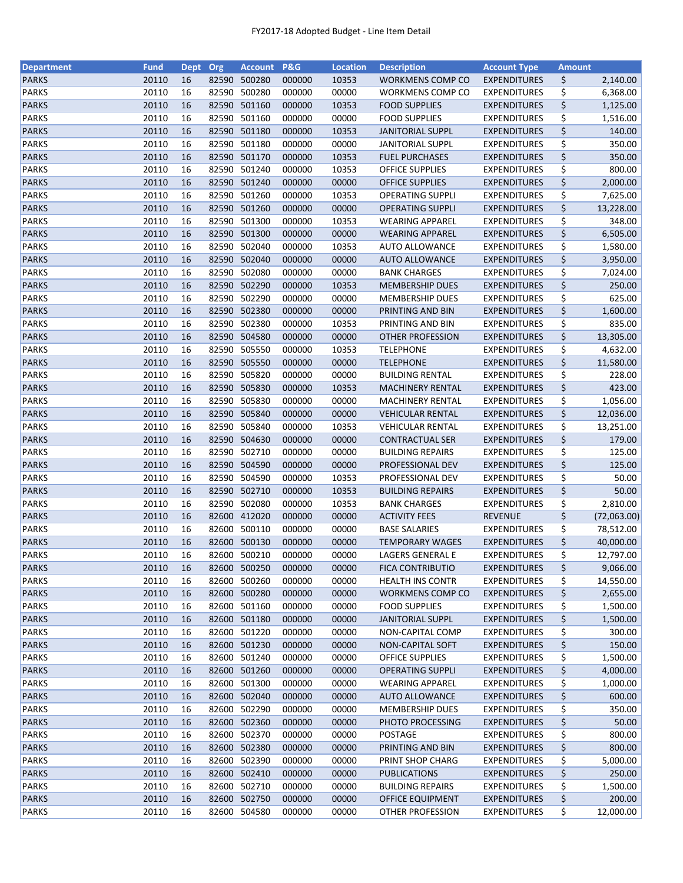| <b>Department</b> | <b>Fund</b> | <b>Dept</b> | Org   | <b>Account</b> | P&G    | <b>Location</b> | <b>Description</b>      | <b>Account Type</b> | <b>Amount</b> |             |
|-------------------|-------------|-------------|-------|----------------|--------|-----------------|-------------------------|---------------------|---------------|-------------|
| <b>PARKS</b>      | 20110       | 16          | 82590 | 500280         | 000000 | 10353           | WORKMENS COMP CO        | <b>EXPENDITURES</b> | \$            | 2,140.00    |
| <b>PARKS</b>      | 20110       | 16          | 82590 | 500280         | 000000 | 00000           | WORKMENS COMP CO        | <b>EXPENDITURES</b> | \$            | 6,368.00    |
| <b>PARKS</b>      | 20110       | 16          | 82590 | 501160         | 000000 | 10353           | <b>FOOD SUPPLIES</b>    | <b>EXPENDITURES</b> | \$            | 1,125.00    |
| <b>PARKS</b>      | 20110       | 16          | 82590 | 501160         | 000000 | 00000           | <b>FOOD SUPPLIES</b>    | <b>EXPENDITURES</b> | \$            | 1,516.00    |
| <b>PARKS</b>      | 20110       | 16          |       | 82590 501180   | 000000 | 10353           | <b>JANITORIAL SUPPL</b> | <b>EXPENDITURES</b> | \$            | 140.00      |
| <b>PARKS</b>      | 20110       | 16          |       | 82590 501180   | 000000 | 00000           | <b>JANITORIAL SUPPL</b> | <b>EXPENDITURES</b> | \$            | 350.00      |
| <b>PARKS</b>      | 20110       | 16          |       | 82590 501170   | 000000 | 10353           | <b>FUEL PURCHASES</b>   | <b>EXPENDITURES</b> | \$            | 350.00      |
| <b>PARKS</b>      | 20110       | 16          | 82590 | 501240         | 000000 | 10353           | <b>OFFICE SUPPLIES</b>  | <b>EXPENDITURES</b> | \$            | 800.00      |
| <b>PARKS</b>      | 20110       | 16          |       | 82590 501240   | 000000 | 00000           | <b>OFFICE SUPPLIES</b>  | <b>EXPENDITURES</b> | \$            | 2,000.00    |
| <b>PARKS</b>      | 20110       | 16          | 82590 | 501260         | 000000 | 10353           | <b>OPERATING SUPPLI</b> | <b>EXPENDITURES</b> | \$            | 7,625.00    |
| <b>PARKS</b>      | 20110       | 16          |       | 82590 501260   | 000000 | 00000           | <b>OPERATING SUPPLI</b> | <b>EXPENDITURES</b> | \$            | 13,228.00   |
| <b>PARKS</b>      | 20110       | 16          |       | 82590 501300   | 000000 | 10353           | <b>WEARING APPAREL</b>  | <b>EXPENDITURES</b> |               | 348.00      |
| <b>PARKS</b>      | 20110       | 16          | 82590 | 501300         | 000000 | 00000           |                         |                     | \$            |             |
|                   |             |             |       |                |        |                 | <b>WEARING APPAREL</b>  | <b>EXPENDITURES</b> | \$            | 6,505.00    |
| <b>PARKS</b>      | 20110       | 16          | 82590 | 502040         | 000000 | 10353           | <b>AUTO ALLOWANCE</b>   | <b>EXPENDITURES</b> | \$            | 1,580.00    |
| <b>PARKS</b>      | 20110       | 16          | 82590 | 502040         | 000000 | 00000           | <b>AUTO ALLOWANCE</b>   | <b>EXPENDITURES</b> | \$            | 3,950.00    |
| <b>PARKS</b>      | 20110       | 16          | 82590 | 502080         | 000000 | 00000           | <b>BANK CHARGES</b>     | <b>EXPENDITURES</b> | \$            | 7,024.00    |
| <b>PARKS</b>      | 20110       | 16          |       | 82590 502290   | 000000 | 10353           | <b>MEMBERSHIP DUES</b>  | <b>EXPENDITURES</b> | \$            | 250.00      |
| <b>PARKS</b>      | 20110       | 16          |       | 82590 502290   | 000000 | 00000           | <b>MEMBERSHIP DUES</b>  | <b>EXPENDITURES</b> | \$            | 625.00      |
| <b>PARKS</b>      | 20110       | 16          |       | 82590 502380   | 000000 | 00000           | PRINTING AND BIN        | <b>EXPENDITURES</b> | \$            | 1,600.00    |
| <b>PARKS</b>      | 20110       | 16          | 82590 | 502380         | 000000 | 10353           | PRINTING AND BIN        | <b>EXPENDITURES</b> | \$            | 835.00      |
| <b>PARKS</b>      | 20110       | 16          |       | 82590 504580   | 000000 | 00000           | <b>OTHER PROFESSION</b> | <b>EXPENDITURES</b> | \$            | 13,305.00   |
| <b>PARKS</b>      | 20110       | 16          |       | 82590 505550   | 000000 | 10353           | <b>TELEPHONE</b>        | <b>EXPENDITURES</b> | \$            | 4,632.00    |
| <b>PARKS</b>      | 20110       | 16          |       | 82590 505550   | 000000 | 00000           | <b>TELEPHONE</b>        | <b>EXPENDITURES</b> | \$            | 11,580.00   |
| <b>PARKS</b>      | 20110       | 16          |       | 82590 505820   | 000000 | 00000           | <b>BUILDING RENTAL</b>  | <b>EXPENDITURES</b> | \$            | 228.00      |
| <b>PARKS</b>      | 20110       | 16          |       | 82590 505830   | 000000 | 10353           | <b>MACHINERY RENTAL</b> | <b>EXPENDITURES</b> | \$            | 423.00      |
| <b>PARKS</b>      | 20110       | 16          | 82590 | 505830         | 000000 | 00000           | <b>MACHINERY RENTAL</b> | <b>EXPENDITURES</b> | \$            | 1,056.00    |
| <b>PARKS</b>      | 20110       | 16          | 82590 | 505840         | 000000 | 00000           | <b>VEHICULAR RENTAL</b> | <b>EXPENDITURES</b> | \$            | 12,036.00   |
| <b>PARKS</b>      | 20110       | 16          | 82590 | 505840         | 000000 | 10353           | <b>VEHICULAR RENTAL</b> | <b>EXPENDITURES</b> | \$            | 13,251.00   |
| <b>PARKS</b>      | 20110       | 16          | 82590 | 504630         | 000000 | 00000           | <b>CONTRACTUAL SER</b>  | <b>EXPENDITURES</b> | \$            | 179.00      |
| <b>PARKS</b>      | 20110       | 16          | 82590 | 502710         | 000000 | 00000           | <b>BUILDING REPAIRS</b> | <b>EXPENDITURES</b> | \$            | 125.00      |
| <b>PARKS</b>      | 20110       | 16          |       | 82590 504590   | 000000 | 00000           | PROFESSIONAL DEV        | <b>EXPENDITURES</b> | \$            | 125.00      |
| <b>PARKS</b>      | 20110       | 16          |       | 82590 504590   | 000000 | 10353           | PROFESSIONAL DEV        | <b>EXPENDITURES</b> | \$            | 50.00       |
| <b>PARKS</b>      | 20110       | 16          |       | 82590 502710   | 000000 | 10353           | <b>BUILDING REPAIRS</b> | <b>EXPENDITURES</b> | \$            | 50.00       |
| <b>PARKS</b>      | 20110       | 16          | 82590 | 502080         | 000000 | 10353           | <b>BANK CHARGES</b>     | <b>EXPENDITURES</b> | \$            | 2,810.00    |
|                   | 20110       | 16          |       | 82600 412020   |        | 00000           |                         |                     | \$            | (72,063.00) |
| <b>PARKS</b>      |             |             |       |                | 000000 |                 | <b>ACTIVITY FEES</b>    | <b>REVENUE</b>      |               |             |
| <b>PARKS</b>      | 20110       | 16          |       | 82600 500110   | 000000 | 00000           | <b>BASE SALARIES</b>    | <b>EXPENDITURES</b> | \$            | 78,512.00   |
| <b>PARKS</b>      | 20110       | 16          |       | 82600 500130   | 000000 | 00000           | <b>TEMPORARY WAGES</b>  | <b>EXPENDITURES</b> | \$            | 40,000.00   |
| <b>PARKS</b>      | 20110       | 16          |       | 82600 500210   | 000000 | 00000           | LAGERS GENERAL E        | <b>EXPENDITURES</b> | \$            | 12,797.00   |
| <b>PARKS</b>      | 20110       | 16          |       | 82600 500250   | 000000 | 00000           | <b>FICA CONTRIBUTIO</b> | <b>EXPENDITURES</b> | \$            | 9,066.00    |
| <b>PARKS</b>      | 20110       | 16          | 82600 | 500260         | 000000 | 00000           | <b>HEALTH INS CONTR</b> | <b>EXPENDITURES</b> | \$            | 14,550.00   |
| <b>PARKS</b>      | 20110       | 16          |       | 82600 500280   | 000000 | 00000           | <b>WORKMENS COMP CO</b> | <b>EXPENDITURES</b> | \$            | 2,655.00    |
| <b>PARKS</b>      | 20110       | 16          |       | 82600 501160   | 000000 | 00000           | <b>FOOD SUPPLIES</b>    | <b>EXPENDITURES</b> | \$            | 1,500.00    |
| <b>PARKS</b>      | 20110       | 16          |       | 82600 501180   | 000000 | 00000           | <b>JANITORIAL SUPPL</b> | <b>EXPENDITURES</b> | \$            | 1,500.00    |
| <b>PARKS</b>      | 20110       | 16          |       | 82600 501220   | 000000 | 00000           | NON-CAPITAL COMP        | <b>EXPENDITURES</b> | \$            | 300.00      |
| <b>PARKS</b>      | 20110       | 16          |       | 82600 501230   | 000000 | 00000           | <b>NON-CAPITAL SOFT</b> | <b>EXPENDITURES</b> | \$            | 150.00      |
| PARKS             | 20110       | 16          |       | 82600 501240   | 000000 | 00000           | <b>OFFICE SUPPLIES</b>  | <b>EXPENDITURES</b> | \$            | 1,500.00    |
| <b>PARKS</b>      | 20110       | 16          |       | 82600 501260   | 000000 | 00000           | <b>OPERATING SUPPLI</b> | <b>EXPENDITURES</b> | \$            | 4,000.00    |
| <b>PARKS</b>      | 20110       | 16          |       | 82600 501300   | 000000 | 00000           | <b>WEARING APPAREL</b>  | <b>EXPENDITURES</b> | \$            | 1,000.00    |
| <b>PARKS</b>      | 20110       | 16          |       | 82600 502040   | 000000 | 00000           | <b>AUTO ALLOWANCE</b>   | <b>EXPENDITURES</b> | \$            | 600.00      |
| <b>PARKS</b>      | 20110       | 16          |       | 82600 502290   | 000000 | 00000           | <b>MEMBERSHIP DUES</b>  | <b>EXPENDITURES</b> | \$            | 350.00      |
| <b>PARKS</b>      | 20110       | 16          |       | 82600 502360   | 000000 | 00000           | PHOTO PROCESSING        | <b>EXPENDITURES</b> | \$            | 50.00       |
| <b>PARKS</b>      | 20110       | 16          | 82600 | 502370         | 000000 | 00000           | POSTAGE                 | <b>EXPENDITURES</b> | \$            | 800.00      |
| <b>PARKS</b>      | 20110       | 16          |       | 82600 502380   | 000000 | 00000           | PRINTING AND BIN        | <b>EXPENDITURES</b> | \$            | 800.00      |
| <b>PARKS</b>      | 20110       | 16          |       | 82600 502390   | 000000 | 00000           | PRINT SHOP CHARG        | <b>EXPENDITURES</b> | \$            | 5,000.00    |
| <b>PARKS</b>      | 20110       | 16          |       | 82600 502410   | 000000 | 00000           | <b>PUBLICATIONS</b>     | <b>EXPENDITURES</b> | \$            | 250.00      |
| <b>PARKS</b>      | 20110       | 16          |       | 82600 502710   | 000000 | 00000           | <b>BUILDING REPAIRS</b> | <b>EXPENDITURES</b> | \$            | 1,500.00    |
| <b>PARKS</b>      | 20110       | 16          |       | 82600 502750   | 000000 | 00000           | <b>OFFICE EQUIPMENT</b> | <b>EXPENDITURES</b> | \$            | 200.00      |
| <b>PARKS</b>      |             | 16          |       | 82600 504580   |        |                 |                         | <b>EXPENDITURES</b> |               |             |
|                   | 20110       |             |       |                | 000000 | 00000           | OTHER PROFESSION        |                     | \$            | 12,000.00   |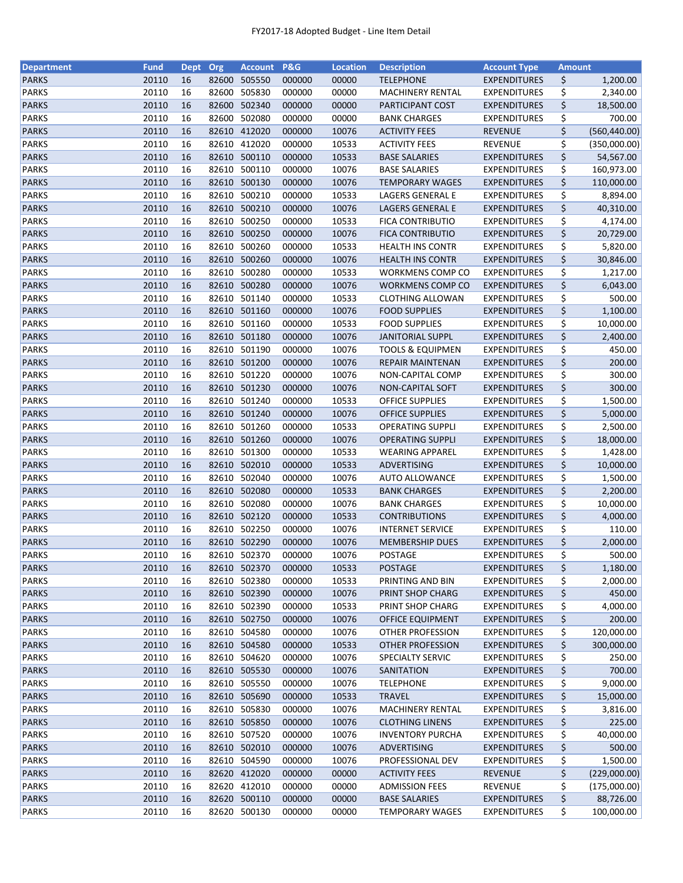| <b>Department</b>            | <b>Fund</b>    | <b>Dept</b> | Org   | <b>Account</b>         | P&G              | <b>Location</b> | <b>Description</b>                                | <b>Account Type</b>                        | <b>Amount</b> |               |
|------------------------------|----------------|-------------|-------|------------------------|------------------|-----------------|---------------------------------------------------|--------------------------------------------|---------------|---------------|
| <b>PARKS</b>                 | 20110          | 16          | 82600 | 505550                 | 000000           | 00000           | <b>TELEPHONE</b>                                  | <b>EXPENDITURES</b>                        | \$            | 1,200.00      |
| <b>PARKS</b>                 | 20110          | 16          | 82600 | 505830                 | 000000           | 00000           | MACHINERY RENTAL                                  | <b>EXPENDITURES</b>                        | \$            | 2,340.00      |
| <b>PARKS</b>                 | 20110          | 16          | 82600 | 502340                 | 000000           | 00000           | PARTICIPANT COST                                  | <b>EXPENDITURES</b>                        | \$            | 18,500.00     |
| <b>PARKS</b>                 | 20110          | 16          | 82600 | 502080                 | 000000           | 00000           | <b>BANK CHARGES</b>                               | <b>EXPENDITURES</b>                        | \$            | 700.00        |
| <b>PARKS</b>                 | 20110          | 16          |       | 82610 412020           | 000000           | 10076           | <b>ACTIVITY FEES</b>                              | <b>REVENUE</b>                             | \$            | (560, 440.00) |
| <b>PARKS</b>                 | 20110          | 16          | 82610 | 412020                 | 000000           | 10533           | <b>ACTIVITY FEES</b>                              | <b>REVENUE</b>                             | \$            | (350,000.00)  |
| <b>PARKS</b>                 | 20110          | 16          | 82610 | 500110                 | 000000           | 10533           | <b>BASE SALARIES</b>                              | <b>EXPENDITURES</b>                        | \$            | 54,567.00     |
| <b>PARKS</b>                 | 20110          | 16          | 82610 | 500110                 | 000000           | 10076           | <b>BASE SALARIES</b>                              | <b>EXPENDITURES</b>                        | \$            | 160,973.00    |
| <b>PARKS</b>                 | 20110          | 16          |       | 82610 500130           | 000000           | 10076           | <b>TEMPORARY WAGES</b>                            | <b>EXPENDITURES</b>                        | \$            | 110,000.00    |
| <b>PARKS</b>                 | 20110          | 16          | 82610 | 500210                 | 000000           | 10533           | LAGERS GENERAL E                                  | <b>EXPENDITURES</b>                        | \$            | 8,894.00      |
| <b>PARKS</b>                 | 20110          | 16          |       | 82610 500210           | 000000           | 10076           | LAGERS GENERAL E                                  | <b>EXPENDITURES</b>                        | \$            | 40,310.00     |
| <b>PARKS</b>                 | 20110          | 16          | 82610 | 500250                 | 000000           | 10533           | <b>FICA CONTRIBUTIO</b>                           | <b>EXPENDITURES</b>                        | \$            | 4,174.00      |
| <b>PARKS</b>                 | 20110          | 16          | 82610 | 500250                 | 000000           | 10076           | <b>FICA CONTRIBUTIO</b>                           | <b>EXPENDITURES</b>                        | \$            | 20,729.00     |
| <b>PARKS</b>                 | 20110          | 16          | 82610 | 500260                 | 000000           | 10533           | <b>HEALTH INS CONTR</b>                           | <b>EXPENDITURES</b>                        | \$            | 5,820.00      |
| <b>PARKS</b>                 | 20110          | 16          | 82610 | 500260                 | 000000           | 10076           | <b>HEALTH INS CONTR</b>                           | <b>EXPENDITURES</b>                        | \$            | 30,846.00     |
| <b>PARKS</b>                 | 20110          | 16          | 82610 | 500280                 | 000000           | 10533           | WORKMENS COMP CO                                  | <b>EXPENDITURES</b>                        | \$            | 1,217.00      |
| <b>PARKS</b>                 | 20110          | 16          |       | 82610 500280           | 000000           | 10076           | WORKMENS COMP CO                                  | <b>EXPENDITURES</b>                        | \$            | 6,043.00      |
| <b>PARKS</b>                 | 20110          | 16          |       | 82610 501140           | 000000           | 10533           | <b>CLOTHING ALLOWAN</b>                           | <b>EXPENDITURES</b>                        | \$            | 500.00        |
| <b>PARKS</b>                 | 20110          | 16          |       | 82610 501160           | 000000           | 10076           | <b>FOOD SUPPLIES</b>                              | <b>EXPENDITURES</b>                        | \$            | 1,100.00      |
| <b>PARKS</b>                 | 20110          | 16          |       | 82610 501160           | 000000           | 10533           | <b>FOOD SUPPLIES</b>                              | <b>EXPENDITURES</b>                        | \$            | 10,000.00     |
| <b>PARKS</b>                 | 20110          | 16          |       | 82610 501180           | 000000           | 10076           | <b>JANITORIAL SUPPL</b>                           | <b>EXPENDITURES</b>                        | \$            | 2,400.00      |
| <b>PARKS</b>                 | 20110          | 16          |       | 82610 501190           | 000000           | 10076           | <b>TOOLS &amp; EQUIPMEN</b>                       | <b>EXPENDITURES</b>                        | \$            | 450.00        |
| <b>PARKS</b>                 | 20110          | 16          |       | 82610 501200           | 000000           | 10076           | REPAIR MAINTENAN                                  | <b>EXPENDITURES</b>                        | \$            | 200.00        |
| <b>PARKS</b>                 | 20110          | 16          |       | 82610 501220           | 000000           | 10076           | <b>NON-CAPITAL COMP</b>                           | <b>EXPENDITURES</b>                        | \$            | 300.00        |
| <b>PARKS</b>                 | 20110          | 16          |       | 82610 501230           | 000000           | 10076           | NON-CAPITAL SOFT                                  | <b>EXPENDITURES</b>                        | \$            | 300.00        |
| <b>PARKS</b>                 | 20110          | 16          | 82610 | 501240                 | 000000           | 10533           | <b>OFFICE SUPPLIES</b>                            | <b>EXPENDITURES</b>                        | \$            | 1,500.00      |
| <b>PARKS</b>                 | 20110          | 16          | 82610 | 501240                 | 000000           | 10076           | <b>OFFICE SUPPLIES</b>                            | <b>EXPENDITURES</b>                        | \$            | 5,000.00      |
| <b>PARKS</b>                 | 20110          | 16          | 82610 | 501260                 | 000000           | 10533           | <b>OPERATING SUPPLI</b>                           | <b>EXPENDITURES</b>                        |               | 2,500.00      |
|                              |                |             |       |                        |                  |                 |                                                   |                                            | \$            |               |
| <b>PARKS</b><br><b>PARKS</b> | 20110<br>20110 | 16<br>16    | 82610 | 82610 501260<br>501300 | 000000<br>000000 | 10076<br>10533  | <b>OPERATING SUPPLI</b><br><b>WEARING APPAREL</b> | <b>EXPENDITURES</b><br><b>EXPENDITURES</b> | \$            | 18,000.00     |
| <b>PARKS</b>                 | 20110          | 16          |       | 82610 502010           | 000000           | 10533           | ADVERTISING                                       | <b>EXPENDITURES</b>                        | \$<br>\$      | 1,428.00      |
|                              |                |             |       |                        |                  |                 |                                                   |                                            |               | 10,000.00     |
| <b>PARKS</b>                 | 20110          | 16          |       | 82610 502040           | 000000           | 10076           | <b>AUTO ALLOWANCE</b>                             | <b>EXPENDITURES</b>                        | \$            | 1,500.00      |
| <b>PARKS</b>                 | 20110          | 16          |       | 82610 502080           | 000000           | 10533<br>10076  | <b>BANK CHARGES</b>                               | <b>EXPENDITURES</b>                        | \$            | 2,200.00      |
| <b>PARKS</b>                 | 20110          | 16          | 82610 | 502080                 | 000000           |                 | <b>BANK CHARGES</b>                               | <b>EXPENDITURES</b>                        | \$            | 10,000.00     |
| <b>PARKS</b>                 | 20110          | 16          |       | 82610 502120           | 000000           | 10533           | <b>CONTRIBUTIONS</b>                              | <b>EXPENDITURES</b>                        | \$            | 4,000.00      |
| <b>PARKS</b>                 | 20110          | 16          |       | 82610 502250           | 000000           | 10076           | <b>INTERNET SERVICE</b>                           | <b>EXPENDITURES</b>                        | \$            | 110.00        |
| <b>PARKS</b>                 | 20110          | 16          |       | 82610 502290           | 000000           | 10076           | <b>MEMBERSHIP DUES</b>                            | <b>EXPENDITURES</b>                        | \$            | 2,000.00      |
| <b>PARKS</b>                 | 20110          | 16          |       | 82610 502370           | 000000           | 10076           | POSTAGE                                           | <b>EXPENDITURES</b>                        | \$            | 500.00        |
| <b>PARKS</b>                 | 20110          | 16          |       | 82610 502370           | 000000           | 10533           | <b>POSTAGE</b>                                    | <b>EXPENDITURES</b>                        | \$            | 1,180.00      |
| <b>PARKS</b>                 | 20110          | 16          | 82610 | 502380                 | 000000           | 10533           | PRINTING AND BIN                                  | <b>EXPENDITURES</b>                        | \$            | 2,000.00      |
| <b>PARKS</b>                 | 20110          | 16          |       | 82610 502390           | 000000           | 10076           | PRINT SHOP CHARG                                  | <b>EXPENDITURES</b>                        | \$            | 450.00        |
| <b>PARKS</b>                 | 20110          | 16          |       | 82610 502390           | 000000           | 10533           | PRINT SHOP CHARG                                  | <b>EXPENDITURES</b>                        | \$            | 4,000.00      |
| <b>PARKS</b>                 | 20110          | 16          |       | 82610 502750           | 000000           | 10076           | <b>OFFICE EQUIPMENT</b>                           | <b>EXPENDITURES</b>                        | \$            | 200.00        |
| <b>PARKS</b>                 | 20110          | 16          |       | 82610 504580           | 000000           | 10076           | OTHER PROFESSION                                  | <b>EXPENDITURES</b>                        | \$            | 120,000.00    |
| <b>PARKS</b>                 | 20110          | 16          |       | 82610 504580           | 000000           | 10533           | <b>OTHER PROFESSION</b>                           | <b>EXPENDITURES</b>                        | \$            | 300,000.00    |
| PARKS                        | 20110          | 16          |       | 82610 504620           | 000000           | 10076           | SPECIALTY SERVIC                                  | <b>EXPENDITURES</b>                        | \$            | 250.00        |
| <b>PARKS</b>                 | 20110          | 16          |       | 82610 505530           | 000000           | 10076           | SANITATION                                        | <b>EXPENDITURES</b>                        | \$            | 700.00        |
| <b>PARKS</b>                 | 20110          | 16          |       | 82610 505550           | 000000           | 10076           | <b>TELEPHONE</b>                                  | <b>EXPENDITURES</b>                        | \$            | 9,000.00      |
| <b>PARKS</b>                 | 20110          | 16          |       | 82610 505690           | 000000           | 10533           | <b>TRAVEL</b>                                     | <b>EXPENDITURES</b>                        | \$            | 15,000.00     |
| <b>PARKS</b>                 | 20110          | 16          |       | 82610 505830           | 000000           | 10076           | <b>MACHINERY RENTAL</b>                           | <b>EXPENDITURES</b>                        | \$            | 3,816.00      |
| <b>PARKS</b>                 | 20110          | 16          |       | 82610 505850           | 000000           | 10076           | <b>CLOTHING LINENS</b>                            | <b>EXPENDITURES</b>                        | \$            | 225.00        |
| <b>PARKS</b>                 | 20110          | 16          | 82610 | 507520                 | 000000           | 10076           | <b>INVENTORY PURCHA</b>                           | <b>EXPENDITURES</b>                        | \$            | 40,000.00     |
| <b>PARKS</b>                 | 20110          | 16          |       | 82610 502010           | 000000           | 10076           | ADVERTISING                                       | <b>EXPENDITURES</b>                        | \$            | 500.00        |
| <b>PARKS</b>                 | 20110          | 16          |       | 82610 504590           | 000000           | 10076           | PROFESSIONAL DEV                                  | <b>EXPENDITURES</b>                        | \$            | 1,500.00      |
| <b>PARKS</b>                 | 20110          | 16          |       | 82620 412020           | 000000           | 00000           | <b>ACTIVITY FEES</b>                              | <b>REVENUE</b>                             | \$            | (229,000.00)  |
| <b>PARKS</b>                 | 20110          | 16          |       | 82620 412010           | 000000           | 00000           | <b>ADMISSION FEES</b>                             | <b>REVENUE</b>                             | \$            | (175,000.00)  |
| <b>PARKS</b>                 | 20110          | 16          |       | 82620 500110           | 000000           | 00000           | <b>BASE SALARIES</b>                              | <b>EXPENDITURES</b>                        | \$            | 88,726.00     |
| <b>PARKS</b>                 | 20110          | 16          |       | 82620 500130           | 000000           | 00000           | <b>TEMPORARY WAGES</b>                            | <b>EXPENDITURES</b>                        | \$            | 100,000.00    |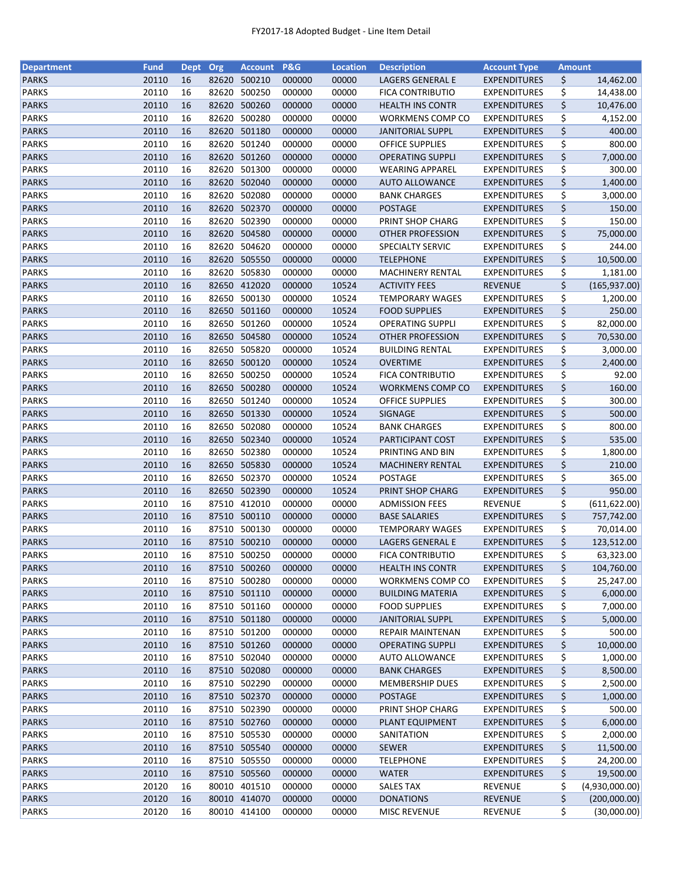| <b>Department</b> | <b>Fund</b> | <b>Dept</b> | Org   | <b>Account</b>               | P&G    | <b>Location</b> | <b>Description</b>      | <b>Account Type</b> | <b>Amount</b> |                       |
|-------------------|-------------|-------------|-------|------------------------------|--------|-----------------|-------------------------|---------------------|---------------|-----------------------|
| <b>PARKS</b>      | 20110       | 16          | 82620 | 500210                       | 000000 | 00000           | LAGERS GENERAL E        | <b>EXPENDITURES</b> | \$            | 14,462.00             |
| <b>PARKS</b>      | 20110       | 16          | 82620 | 500250                       | 000000 | 00000           | <b>FICA CONTRIBUTIO</b> | <b>EXPENDITURES</b> | \$            | 14,438.00             |
| <b>PARKS</b>      | 20110       | 16          | 82620 | 500260                       | 000000 | 00000           | <b>HEALTH INS CONTR</b> | <b>EXPENDITURES</b> | \$            | 10,476.00             |
| <b>PARKS</b>      | 20110       | 16          | 82620 | 500280                       | 000000 | 00000           | WORKMENS COMP CO        | <b>EXPENDITURES</b> | \$            | 4,152.00              |
| <b>PARKS</b>      | 20110       | 16          |       | 82620 501180                 | 000000 | 00000           | <b>JANITORIAL SUPPL</b> | <b>EXPENDITURES</b> | \$            | 400.00                |
| <b>PARKS</b>      | 20110       | 16          | 82620 | 501240                       | 000000 | 00000           | <b>OFFICE SUPPLIES</b>  | <b>EXPENDITURES</b> | \$            | 800.00                |
| <b>PARKS</b>      | 20110       | 16          | 82620 | 501260                       | 000000 | 00000           | <b>OPERATING SUPPLI</b> | <b>EXPENDITURES</b> | \$            | 7,000.00              |
| <b>PARKS</b>      | 20110       | 16          | 82620 | 501300                       | 000000 | 00000           | <b>WEARING APPAREL</b>  | <b>EXPENDITURES</b> | \$            | 300.00                |
| <b>PARKS</b>      | 20110       | 16          |       | 82620 502040                 | 000000 | 00000           | <b>AUTO ALLOWANCE</b>   | <b>EXPENDITURES</b> | \$            | 1,400.00              |
| <b>PARKS</b>      | 20110       | 16          | 82620 | 502080                       | 000000 | 00000           | <b>BANK CHARGES</b>     | <b>EXPENDITURES</b> | \$            | 3,000.00              |
| <b>PARKS</b>      | 20110       | 16          |       | 82620 502370                 | 000000 | 00000           | <b>POSTAGE</b>          | <b>EXPENDITURES</b> | \$            | 150.00                |
| <b>PARKS</b>      | 20110       | 16          |       | 82620 502390                 | 000000 | 00000           | PRINT SHOP CHARG        | <b>EXPENDITURES</b> | \$            | 150.00                |
| <b>PARKS</b>      | 20110       | 16          | 82620 | 504580                       | 000000 | 00000           | OTHER PROFESSION        | <b>EXPENDITURES</b> | \$            | 75,000.00             |
| <b>PARKS</b>      | 20110       | 16          | 82620 | 504620                       | 000000 | 00000           | SPECIALTY SERVIC        | <b>EXPENDITURES</b> | \$            | 244.00                |
| <b>PARKS</b>      | 20110       | 16          | 82620 | 505550                       | 000000 | 00000           | <b>TELEPHONE</b>        | <b>EXPENDITURES</b> | \$            | 10,500.00             |
| <b>PARKS</b>      | 20110       | 16          | 82620 | 505830                       | 000000 | 00000           | <b>MACHINERY RENTAL</b> | <b>EXPENDITURES</b> | \$            | 1,181.00              |
| <b>PARKS</b>      | 20110       | 16          |       | 82650 412020                 | 000000 | 10524           | <b>ACTIVITY FEES</b>    | <b>REVENUE</b>      | \$            | (165, 937.00)         |
| <b>PARKS</b>      | 20110       | 16          |       | 82650 500130                 | 000000 | 10524           | <b>TEMPORARY WAGES</b>  | <b>EXPENDITURES</b> | \$            | 1,200.00              |
| <b>PARKS</b>      | 20110       | 16          |       | 82650 501160                 | 000000 | 10524           | <b>FOOD SUPPLIES</b>    | <b>EXPENDITURES</b> | \$            | 250.00                |
| PARKS             | 20110       | 16          | 82650 | 501260                       | 000000 | 10524           | <b>OPERATING SUPPLI</b> | <b>EXPENDITURES</b> | \$            | 82,000.00             |
| <b>PARKS</b>      | 20110       | 16          |       | 82650 504580                 | 000000 | 10524           | <b>OTHER PROFESSION</b> | <b>EXPENDITURES</b> | \$            | 70,530.00             |
| <b>PARKS</b>      | 20110       | 16          |       | 82650 505820                 | 000000 | 10524           | <b>BUILDING RENTAL</b>  | <b>EXPENDITURES</b> | \$            | 3,000.00              |
| <b>PARKS</b>      | 20110       | 16          |       | 82650 500120                 | 000000 | 10524           | <b>OVERTIME</b>         | <b>EXPENDITURES</b> | \$            | 2,400.00              |
| <b>PARKS</b>      | 20110       | 16          |       | 82650 500250                 | 000000 | 10524           | <b>FICA CONTRIBUTIO</b> | <b>EXPENDITURES</b> | \$            | 92.00                 |
| <b>PARKS</b>      | 20110       | 16          |       | 82650 500280                 | 000000 | 10524           | WORKMENS COMP CO        | <b>EXPENDITURES</b> | \$            | 160.00                |
| <b>PARKS</b>      | 20110       | 16          | 82650 | 501240                       | 000000 | 10524           | <b>OFFICE SUPPLIES</b>  | <b>EXPENDITURES</b> | \$            | 300.00                |
| <b>PARKS</b>      | 20110       | 16          | 82650 | 501330                       | 000000 | 10524           | SIGNAGE                 | <b>EXPENDITURES</b> | \$            | 500.00                |
| <b>PARKS</b>      | 20110       | 16          | 82650 | 502080                       | 000000 | 10524           | <b>BANK CHARGES</b>     | <b>EXPENDITURES</b> | \$            | 800.00                |
| <b>PARKS</b>      | 20110       | 16          |       | 82650 502340                 | 000000 | 10524           | PARTICIPANT COST        | <b>EXPENDITURES</b> | \$            | 535.00                |
| <b>PARKS</b>      | 20110       | 16          | 82650 | 502380                       | 000000 | 10524           | PRINTING AND BIN        | <b>EXPENDITURES</b> | \$            | 1,800.00              |
| <b>PARKS</b>      | 20110       | 16          |       | 82650 505830                 | 000000 | 10524           | <b>MACHINERY RENTAL</b> | <b>EXPENDITURES</b> | \$            | 210.00                |
| <b>PARKS</b>      | 20110       | 16          |       | 82650 502370                 | 000000 | 10524           | POSTAGE                 | <b>EXPENDITURES</b> | \$            | 365.00                |
| <b>PARKS</b>      | 20110       | 16          |       | 82650 502390                 | 000000 | 10524           | PRINT SHOP CHARG        | <b>EXPENDITURES</b> | \$            | 950.00                |
| <b>PARKS</b>      | 20110       | 16          |       | 87510 412010                 | 000000 | 00000           | <b>ADMISSION FEES</b>   | <b>REVENUE</b>      | \$            | (611, 622.00)         |
| <b>PARKS</b>      | 20110       | 16          |       | 87510 500110                 | 000000 | 00000           | <b>BASE SALARIES</b>    | <b>EXPENDITURES</b> | \$            | 757,742.00            |
| <b>PARKS</b>      | 20110       | 16          |       | 87510 500130                 | 000000 | 00000           | <b>TEMPORARY WAGES</b>  | <b>EXPENDITURES</b> | \$            | 70,014.00             |
| <b>PARKS</b>      | 20110       | 16          |       | 87510 500210                 | 000000 | 00000           | LAGERS GENERAL E        | <b>EXPENDITURES</b> | \$            | 123,512.00            |
| <b>PARKS</b>      | 20110       | 16          |       | 87510 500250                 | 000000 | 00000           | <b>FICA CONTRIBUTIO</b> | <b>EXPENDITURES</b> | \$            | 63,323.00             |
| <b>PARKS</b>      | 20110       | 16          |       | 87510 500260                 | 000000 | 00000           | <b>HEALTH INS CONTR</b> | <b>EXPENDITURES</b> | \$            | 104,760.00            |
| <b>PARKS</b>      | 20110       |             | 87510 | 500280                       | 000000 | 00000           | WORKMENS COMP CO        | <b>EXPENDITURES</b> |               |                       |
| <b>PARKS</b>      | 20110       | 16          |       | 87510 501110                 | 000000 | 00000           | <b>BUILDING MATERIA</b> | <b>EXPENDITURES</b> | \$            | 25,247.00<br>6,000.00 |
| <b>PARKS</b>      | 20110       | 16          |       | 87510 501160                 | 000000 | 00000           | <b>FOOD SUPPLIES</b>    | <b>EXPENDITURES</b> | \$            | 7,000.00              |
| <b>PARKS</b>      | 20110       | 16          |       | 87510 501180                 | 000000 | 00000           |                         | <b>EXPENDITURES</b> | \$            | 5,000.00              |
|                   |             | 16          |       |                              |        |                 | <b>JANITORIAL SUPPL</b> | <b>EXPENDITURES</b> | \$            | 500.00                |
| <b>PARKS</b>      | 20110       | 16          |       | 87510 501200                 | 000000 | 00000           | REPAIR MAINTENAN        |                     | \$            |                       |
| <b>PARKS</b>      | 20110       | 16          |       | 87510 501260<br>87510 502040 | 000000 | 00000           | <b>OPERATING SUPPLI</b> | <b>EXPENDITURES</b> | \$            | 10,000.00             |
| PARKS             | 20110       | 16          |       | 87510 502080                 | 000000 | 00000           | <b>AUTO ALLOWANCE</b>   | <b>EXPENDITURES</b> | \$            | 1,000.00              |
| <b>PARKS</b>      | 20110       | 16          |       |                              | 000000 | 00000           | <b>BANK CHARGES</b>     | <b>EXPENDITURES</b> | \$            | 8,500.00              |
| <b>PARKS</b>      | 20110       | 16          |       | 87510 502290                 | 000000 | 00000           | <b>MEMBERSHIP DUES</b>  | <b>EXPENDITURES</b> | \$            | 2,500.00              |
| <b>PARKS</b>      | 20110       | 16          |       | 87510 502370                 | 000000 | 00000           | POSTAGE                 | <b>EXPENDITURES</b> | \$            | 1,000.00              |
| <b>PARKS</b>      | 20110       | 16          |       | 87510 502390                 | 000000 | 00000           | PRINT SHOP CHARG        | <b>EXPENDITURES</b> | \$            | 500.00                |
| <b>PARKS</b>      | 20110       | 16          |       | 87510 502760                 | 000000 | 00000           | PLANT EQUIPMENT         | <b>EXPENDITURES</b> | \$            | 6,000.00              |
| <b>PARKS</b>      | 20110       | 16          | 87510 | 505530                       | 000000 | 00000           | SANITATION              | <b>EXPENDITURES</b> | \$            | 2,000.00              |
| <b>PARKS</b>      | 20110       | 16          |       | 87510 505540                 | 000000 | 00000           | <b>SEWER</b>            | <b>EXPENDITURES</b> | \$            | 11,500.00             |
| <b>PARKS</b>      | 20110       | 16          |       | 87510 505550                 | 000000 | 00000           | <b>TELEPHONE</b>        | <b>EXPENDITURES</b> | \$            | 24,200.00             |
| <b>PARKS</b>      | 20110       | 16          |       | 87510 505560                 | 000000 | 00000           | <b>WATER</b>            | <b>EXPENDITURES</b> | \$            | 19,500.00             |
| <b>PARKS</b>      | 20120       | 16          |       | 80010 401510                 | 000000 | 00000           | <b>SALES TAX</b>        | <b>REVENUE</b>      | \$            | (4,930,000.00)        |
| <b>PARKS</b>      | 20120       | 16          |       | 80010 414070                 | 000000 | 00000           | <b>DONATIONS</b>        | <b>REVENUE</b>      | \$            | (200,000.00)          |
| <b>PARKS</b>      | 20120       | 16          |       | 80010 414100                 | 000000 | 00000           | <b>MISC REVENUE</b>     | REVENUE             | \$            | (30,000.00)           |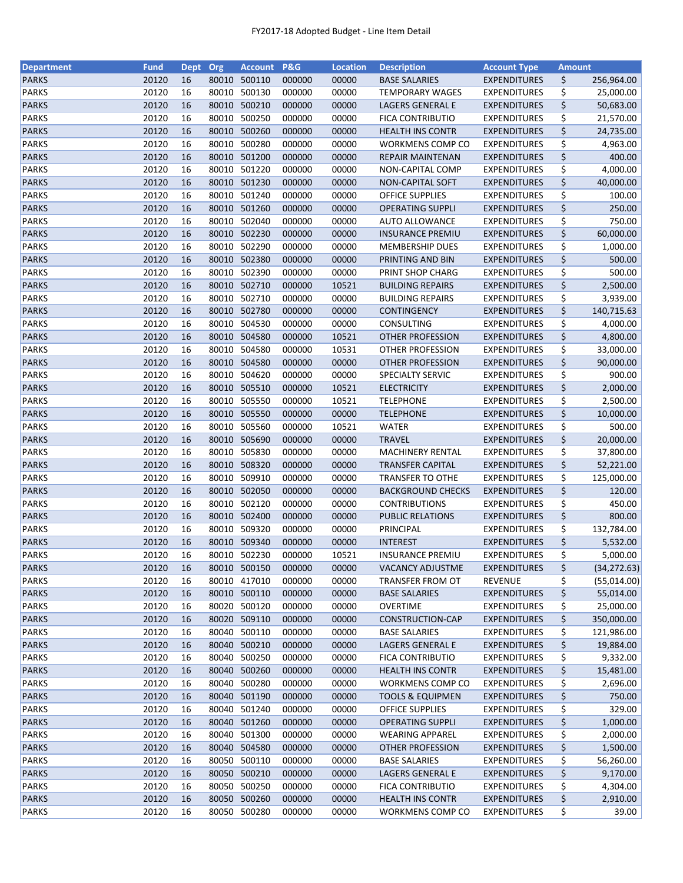| <b>Department</b>            | <b>Fund</b>    | <b>Dept</b> | Org   | <b>Account</b>         | <b>P&amp;G</b>   | <b>Location</b> | <b>Description</b>                                 | <b>Account Type</b>                        | <b>Amount</b> |              |
|------------------------------|----------------|-------------|-------|------------------------|------------------|-----------------|----------------------------------------------------|--------------------------------------------|---------------|--------------|
| <b>PARKS</b>                 | 20120          | 16          | 80010 | 500110                 | 000000           | 00000           | <b>BASE SALARIES</b>                               | <b>EXPENDITURES</b>                        | \$            | 256,964.00   |
| <b>PARKS</b>                 | 20120          | 16          | 80010 | 500130                 | 000000           | 00000           | <b>TEMPORARY WAGES</b>                             | <b>EXPENDITURES</b>                        | \$            | 25,000.00    |
| <b>PARKS</b>                 | 20120          | 16          | 80010 | 500210                 | 000000           | 00000           | LAGERS GENERAL E                                   | <b>EXPENDITURES</b>                        | \$            | 50,683.00    |
| <b>PARKS</b>                 | 20120          | 16          | 80010 | 500250                 | 000000           | 00000           | FICA CONTRIBUTIO                                   | <b>EXPENDITURES</b>                        | \$            | 21,570.00    |
| <b>PARKS</b>                 | 20120          | 16          | 80010 | 500260                 | 000000           | 00000           | <b>HEALTH INS CONTR</b>                            | <b>EXPENDITURES</b>                        | \$            | 24,735.00    |
| <b>PARKS</b>                 | 20120          | 16          | 80010 | 500280                 | 000000           | 00000           | WORKMENS COMP CO                                   | <b>EXPENDITURES</b>                        | \$            | 4,963.00     |
| <b>PARKS</b>                 | 20120          | 16          |       | 80010 501200           | 000000           | 00000           | <b>REPAIR MAINTENAN</b>                            | <b>EXPENDITURES</b>                        | \$            | 400.00       |
| <b>PARKS</b>                 | 20120          | 16          | 80010 | 501220                 | 000000           | 00000           | NON-CAPITAL COMP                                   | <b>EXPENDITURES</b>                        | \$            | 4,000.00     |
| <b>PARKS</b>                 | 20120          | 16          | 80010 | 501230                 | 000000           | 00000           | <b>NON-CAPITAL SOFT</b>                            | <b>EXPENDITURES</b>                        | \$            | 40,000.00    |
| <b>PARKS</b>                 | 20120          | 16          | 80010 | 501240                 | 000000           | 00000           | <b>OFFICE SUPPLIES</b>                             | <b>EXPENDITURES</b>                        | \$            | 100.00       |
| <b>PARKS</b>                 | 20120          | 16          |       | 80010 501260           | 000000           | 00000           | <b>OPERATING SUPPLI</b>                            | <b>EXPENDITURES</b>                        | \$            | 250.00       |
| <b>PARKS</b>                 | 20120          | 16          |       | 80010 502040           | 000000           | 00000           | <b>AUTO ALLOWANCE</b>                              | EXPENDITURES                               | \$            | 750.00       |
| <b>PARKS</b>                 | 20120          | 16          | 80010 | 502230                 | 000000           | 00000           | <b>INSURANCE PREMIU</b>                            | <b>EXPENDITURES</b>                        | \$            | 60,000.00    |
| <b>PARKS</b>                 | 20120          | 16          | 80010 | 502290                 | 000000           | 00000           | <b>MEMBERSHIP DUES</b>                             | <b>EXPENDITURES</b>                        | \$            | 1,000.00     |
| <b>PARKS</b>                 | 20120          | 16          | 80010 | 502380                 | 000000           | 00000           | PRINTING AND BIN                                   | <b>EXPENDITURES</b>                        | \$            | 500.00       |
| <b>PARKS</b>                 | 20120          | 16          | 80010 | 502390                 | 000000           | 00000           | PRINT SHOP CHARG                                   | <b>EXPENDITURES</b>                        | \$            | 500.00       |
| <b>PARKS</b>                 | 20120          | 16          | 80010 | 502710                 | 000000           | 10521           | <b>BUILDING REPAIRS</b>                            | <b>EXPENDITURES</b>                        | \$            | 2,500.00     |
| <b>PARKS</b>                 | 20120          | 16          | 80010 | 502710                 | 000000           | 00000           | <b>BUILDING REPAIRS</b>                            | <b>EXPENDITURES</b>                        | \$            | 3,939.00     |
| <b>PARKS</b>                 | 20120          | 16          |       | 80010 502780           | 000000           | 00000           | <b>CONTINGENCY</b>                                 | <b>EXPENDITURES</b>                        | \$            | 140,715.63   |
| <b>PARKS</b>                 | 20120          | 16          |       | 80010 504530           | 000000           | 00000           | CONSULTING                                         | <b>EXPENDITURES</b>                        | \$            | 4,000.00     |
| <b>PARKS</b>                 | 20120          | 16          |       | 80010 504580           | 000000           | 10521           | OTHER PROFESSION                                   | <b>EXPENDITURES</b>                        | \$            | 4,800.00     |
| <b>PARKS</b>                 | 20120          | 16          | 80010 | 504580                 | 000000           | 10531           | OTHER PROFESSION                                   | <b>EXPENDITURES</b>                        | \$            | 33,000.00    |
| <b>PARKS</b>                 | 20120          | 16          | 80010 | 504580                 | 000000           | 00000           | <b>OTHER PROFESSION</b>                            | <b>EXPENDITURES</b>                        | \$            | 90,000.00    |
| <b>PARKS</b>                 | 20120          | 16          | 80010 | 504620                 | 000000           | 00000           | SPECIALTY SERVIC                                   | <b>EXPENDITURES</b>                        | \$            | 900.00       |
| <b>PARKS</b>                 | 20120          | 16          |       | 80010 505510           | 000000           | 10521           | <b>ELECTRICITY</b>                                 | <b>EXPENDITURES</b>                        | \$            | 2,000.00     |
| <b>PARKS</b>                 | 20120          | 16          |       | 80010 505550           | 000000           | 10521           | <b>TELEPHONE</b>                                   | <b>EXPENDITURES</b>                        | \$            | 2,500.00     |
| <b>PARKS</b>                 | 20120          | 16          | 80010 | 505550                 | 000000           | 00000           |                                                    |                                            | \$            |              |
|                              |                |             |       |                        |                  |                 | <b>TELEPHONE</b>                                   | <b>EXPENDITURES</b>                        |               | 10,000.00    |
| <b>PARKS</b>                 | 20120          | 16          | 80010 | 505560                 | 000000           | 10521           | <b>WATER</b>                                       | <b>EXPENDITURES</b>                        | \$            | 500.00       |
| <b>PARKS</b>                 | 20120          | 16          | 80010 | 505690                 | 000000           | 00000           | <b>TRAVEL</b>                                      | <b>EXPENDITURES</b>                        | \$            | 20,000.00    |
| <b>PARKS</b><br><b>PARKS</b> | 20120<br>20120 | 16<br>16    | 80010 | 505830<br>80010 508320 | 000000<br>000000 | 00000<br>00000  | <b>MACHINERY RENTAL</b><br><b>TRANSFER CAPITAL</b> | <b>EXPENDITURES</b><br><b>EXPENDITURES</b> | \$<br>\$      | 37,800.00    |
|                              |                |             |       |                        |                  |                 |                                                    |                                            |               | 52,221.00    |
| <b>PARKS</b>                 | 20120          | 16          |       | 80010 509910           | 000000           | 00000           | <b>TRANSFER TO OTHE</b>                            | <b>EXPENDITURES</b>                        | \$            | 125,000.00   |
| <b>PARKS</b>                 | 20120          | 16          | 80010 | 502050                 | 000000           | 00000           | <b>BACKGROUND CHECKS</b>                           | <b>EXPENDITURES</b>                        | \$            | 120.00       |
| <b>PARKS</b>                 | 20120          | 16          | 80010 | 502120                 | 000000           | 00000           | <b>CONTRIBUTIONS</b>                               | <b>EXPENDITURES</b>                        | \$            | 450.00       |
| <b>PARKS</b>                 | 20120          | 16          | 80010 | 502400                 | 000000           | 00000           | <b>PUBLIC RELATIONS</b>                            | <b>EXPENDITURES</b>                        | \$            | 800.00       |
| <b>PARKS</b>                 | 20120          | 16          | 80010 | 509320                 | 000000           | 00000           | PRINCIPAL                                          | <b>EXPENDITURES</b>                        | \$            | 132,784.00   |
| <b>PARKS</b>                 | 20120          | 16          |       | 80010 509340           | 000000           | 00000           | <b>INTEREST</b>                                    | <b>EXPENDITURES</b>                        | \$            | 5,532.00     |
| <b>PARKS</b>                 | 20120          | 16          |       | 80010 502230           | 000000           | 10521           | <b>INSURANCE PREMIU</b>                            | <b>EXPENDITURES</b>                        | \$            | 5,000.00     |
| <b>PARKS</b>                 | 20120          | 16          |       | 80010 500150           | 000000           | 00000           | <b>VACANCY ADJUSTME</b>                            | <b>EXPENDITURES</b>                        | \$            | (34, 272.63) |
| <b>PARKS</b>                 | 20120          | 16          | 80010 | 417010                 | 000000           | 00000           | <b>TRANSFER FROM OT</b>                            | REVENUE                                    | \$            | (55,014.00)  |
| <b>PARKS</b>                 | 20120          | 16          |       | 80010 500110           | 000000           | 00000           | <b>BASE SALARIES</b>                               | <b>EXPENDITURES</b>                        | \$            | 55,014.00    |
| <b>PARKS</b>                 | 20120          | 16          |       | 80020 500120           | 000000           | 00000           | OVERTIME                                           | <b>EXPENDITURES</b>                        | \$            | 25,000.00    |
| <b>PARKS</b>                 | 20120          | 16          |       | 80020 509110           | 000000           | 00000           | CONSTRUCTION-CAP                                   | <b>EXPENDITURES</b>                        | \$            | 350,000.00   |
| <b>PARKS</b>                 | 20120          | 16          |       | 80040 500110           | 000000           | 00000           | <b>BASE SALARIES</b>                               | <b>EXPENDITURES</b>                        | \$            | 121,986.00   |
| <b>PARKS</b>                 | 20120          | 16          |       | 80040 500210           | 000000           | 00000           | LAGERS GENERAL E                                   | <b>EXPENDITURES</b>                        | \$            | 19,884.00    |
| <b>PARKS</b>                 | 20120          | 16          |       | 80040 500250           | 000000           | 00000           | <b>FICA CONTRIBUTIO</b>                            | <b>EXPENDITURES</b>                        | \$            | 9,332.00     |
| <b>PARKS</b>                 | 20120          | 16          |       | 80040 500260           | 000000           | 00000           | <b>HEALTH INS CONTR</b>                            | <b>EXPENDITURES</b>                        | \$            | 15,481.00    |
| <b>PARKS</b>                 | 20120          | 16          |       | 80040 500280           | 000000           | 00000           | WORKMENS COMP CO                                   | <b>EXPENDITURES</b>                        | \$            | 2,696.00     |
| <b>PARKS</b>                 | 20120          | 16          |       | 80040 501190           | 000000           | 00000           | <b>TOOLS &amp; EQUIPMEN</b>                        | <b>EXPENDITURES</b>                        | \$            | 750.00       |
| PARKS                        | 20120          | 16          |       | 80040 501240           | 000000           | 00000           | <b>OFFICE SUPPLIES</b>                             | <b>EXPENDITURES</b>                        | \$            | 329.00       |
| <b>PARKS</b>                 | 20120          | 16          |       | 80040 501260           | 000000           | 00000           | <b>OPERATING SUPPLI</b>                            | <b>EXPENDITURES</b>                        | \$            | 1,000.00     |
| <b>PARKS</b>                 | 20120          | 16          | 80040 | 501300                 | 000000           | 00000           | <b>WEARING APPAREL</b>                             | <b>EXPENDITURES</b>                        | \$            | 2,000.00     |
| <b>PARKS</b>                 | 20120          | 16          | 80040 | 504580                 | 000000           | 00000           | OTHER PROFESSION                                   | <b>EXPENDITURES</b>                        | \$            | 1,500.00     |
| <b>PARKS</b>                 | 20120          | 16          | 80050 | 500110                 | 000000           | 00000           | <b>BASE SALARIES</b>                               | <b>EXPENDITURES</b>                        | \$            | 56,260.00    |
| <b>PARKS</b>                 | 20120          | 16          |       | 80050 500210           | 000000           | 00000           | LAGERS GENERAL E                                   | <b>EXPENDITURES</b>                        | \$            | 9,170.00     |
| <b>PARKS</b>                 | 20120          | 16          |       | 80050 500250           | 000000           | 00000           | <b>FICA CONTRIBUTIO</b>                            | <b>EXPENDITURES</b>                        | \$            | 4,304.00     |
| <b>PARKS</b>                 | 20120          | 16          |       | 80050 500260           | 000000           | 00000           | <b>HEALTH INS CONTR</b>                            | <b>EXPENDITURES</b>                        | \$            | 2,910.00     |
| <b>PARKS</b>                 | 20120          | 16          |       | 80050 500280           | 000000           | 00000           | <b>WORKMENS COMP CO</b>                            | <b>EXPENDITURES</b>                        | \$            | 39.00        |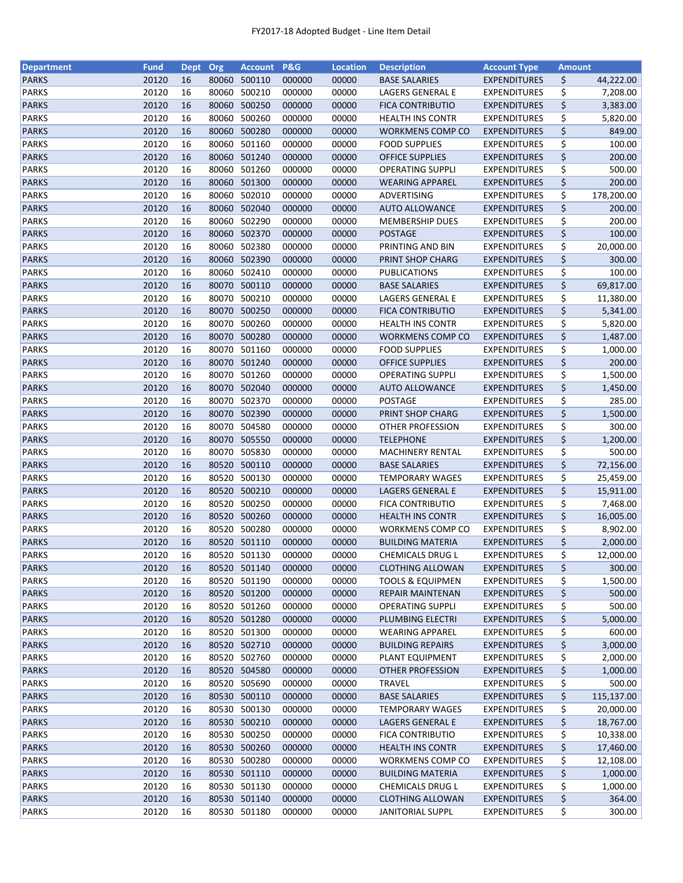| <b>Department</b> | <b>Fund</b> | <b>Dept</b> | Org   | <b>Account</b> | P&G    | <b>Location</b> | <b>Description</b>          | <b>Account Type</b> | <b>Amount</b> |            |
|-------------------|-------------|-------------|-------|----------------|--------|-----------------|-----------------------------|---------------------|---------------|------------|
| <b>PARKS</b>      | 20120       | 16          | 80060 | 500110         | 000000 | 00000           | <b>BASE SALARIES</b>        | <b>EXPENDITURES</b> | \$            | 44,222.00  |
| <b>PARKS</b>      | 20120       | 16          | 80060 | 500210         | 000000 | 00000           | LAGERS GENERAL E            | <b>EXPENDITURES</b> | \$            | 7,208.00   |
| <b>PARKS</b>      | 20120       | 16          | 80060 | 500250         | 000000 | 00000           | <b>FICA CONTRIBUTIO</b>     | <b>EXPENDITURES</b> | \$            | 3,383.00   |
| <b>PARKS</b>      | 20120       | 16          | 80060 | 500260         | 000000 | 00000           | <b>HEALTH INS CONTR</b>     | <b>EXPENDITURES</b> | \$            | 5,820.00   |
| <b>PARKS</b>      | 20120       | 16          |       | 80060 500280   | 000000 | 00000           | WORKMENS COMP CO            | <b>EXPENDITURES</b> | \$            | 849.00     |
| <b>PARKS</b>      | 20120       | 16          | 80060 | 501160         | 000000 | 00000           | <b>FOOD SUPPLIES</b>        | <b>EXPENDITURES</b> | \$            | 100.00     |
| <b>PARKS</b>      | 20120       | 16          | 80060 | 501240         | 000000 | 00000           | <b>OFFICE SUPPLIES</b>      | <b>EXPENDITURES</b> | \$            | 200.00     |
| <b>PARKS</b>      | 20120       | 16          | 80060 | 501260         | 000000 | 00000           | <b>OPERATING SUPPLI</b>     | <b>EXPENDITURES</b> | \$            | 500.00     |
| <b>PARKS</b>      | 20120       | 16          |       | 80060 501300   | 000000 | 00000           | <b>WEARING APPAREL</b>      | <b>EXPENDITURES</b> | \$            | 200.00     |
| <b>PARKS</b>      | 20120       | 16          | 80060 | 502010         | 000000 | 00000           | ADVERTISING                 | <b>EXPENDITURES</b> | \$            | 178,200.00 |
| <b>PARKS</b>      | 20120       | 16          |       | 80060 502040   | 000000 | 00000           | <b>AUTO ALLOWANCE</b>       | <b>EXPENDITURES</b> | \$            | 200.00     |
| <b>PARKS</b>      | 20120       | 16          |       | 80060 502290   | 000000 | 00000           | <b>MEMBERSHIP DUES</b>      | <b>EXPENDITURES</b> |               | 200.00     |
| <b>PARKS</b>      | 20120       | 16          | 80060 | 502370         | 000000 |                 |                             |                     | \$<br>\$      | 100.00     |
|                   |             |             |       |                |        | 00000           | <b>POSTAGE</b>              | <b>EXPENDITURES</b> |               |            |
| <b>PARKS</b>      | 20120       | 16          | 80060 | 502380         | 000000 | 00000           | PRINTING AND BIN            | <b>EXPENDITURES</b> | \$            | 20,000.00  |
| <b>PARKS</b>      | 20120       | 16          | 80060 | 502390         | 000000 | 00000           | PRINT SHOP CHARG            | <b>EXPENDITURES</b> | \$            | 300.00     |
| <b>PARKS</b>      | 20120       | 16          | 80060 | 502410         | 000000 | 00000           | <b>PUBLICATIONS</b>         | <b>EXPENDITURES</b> | \$            | 100.00     |
| <b>PARKS</b>      | 20120       | 16          |       | 80070 500110   | 000000 | 00000           | <b>BASE SALARIES</b>        | <b>EXPENDITURES</b> | \$            | 69,817.00  |
| <b>PARKS</b>      | 20120       | 16          |       | 80070 500210   | 000000 | 00000           | LAGERS GENERAL E            | <b>EXPENDITURES</b> | \$            | 11,380.00  |
| <b>PARKS</b>      | 20120       | 16          |       | 80070 500250   | 000000 | 00000           | <b>FICA CONTRIBUTIO</b>     | <b>EXPENDITURES</b> | \$            | 5,341.00   |
| <b>PARKS</b>      | 20120       | 16          | 80070 | 500260         | 000000 | 00000           | <b>HEALTH INS CONTR</b>     | <b>EXPENDITURES</b> | \$            | 5,820.00   |
| <b>PARKS</b>      | 20120       | 16          |       | 80070 500280   | 000000 | 00000           | WORKMENS COMP CO            | <b>EXPENDITURES</b> | \$            | 1,487.00   |
| <b>PARKS</b>      | 20120       | 16          |       | 80070 501160   | 000000 | 00000           | <b>FOOD SUPPLIES</b>        | <b>EXPENDITURES</b> | \$            | 1,000.00   |
| <b>PARKS</b>      | 20120       | 16          |       | 80070 501240   | 000000 | 00000           | <b>OFFICE SUPPLIES</b>      | <b>EXPENDITURES</b> | \$            | 200.00     |
| <b>PARKS</b>      | 20120       | 16          |       | 80070 501260   | 000000 | 00000           | <b>OPERATING SUPPLI</b>     | <b>EXPENDITURES</b> | \$            | 1,500.00   |
| <b>PARKS</b>      | 20120       | 16          |       | 80070 502040   | 000000 | 00000           | <b>AUTO ALLOWANCE</b>       | <b>EXPENDITURES</b> | \$            | 1,450.00   |
| <b>PARKS</b>      | 20120       | 16          | 80070 | 502370         | 000000 | 00000           | POSTAGE                     | <b>EXPENDITURES</b> | \$            | 285.00     |
| <b>PARKS</b>      | 20120       | 16          | 80070 | 502390         | 000000 | 00000           | PRINT SHOP CHARG            | <b>EXPENDITURES</b> | \$            | 1,500.00   |
| <b>PARKS</b>      | 20120       | 16          | 80070 | 504580         | 000000 | 00000           | <b>OTHER PROFESSION</b>     | <b>EXPENDITURES</b> | \$            | 300.00     |
| <b>PARKS</b>      | 20120       | 16          |       | 80070 505550   | 000000 | 00000           | <b>TELEPHONE</b>            | <b>EXPENDITURES</b> | \$            | 1,200.00   |
| <b>PARKS</b>      | 20120       | 16          | 80070 | 505830         | 000000 | 00000           | <b>MACHINERY RENTAL</b>     | <b>EXPENDITURES</b> | \$            | 500.00     |
| <b>PARKS</b>      | 20120       | 16          | 80520 | 500110         | 000000 | 00000           | <b>BASE SALARIES</b>        | <b>EXPENDITURES</b> | \$            | 72,156.00  |
| <b>PARKS</b>      | 20120       | 16          | 80520 | 500130         | 000000 | 00000           | TEMPORARY WAGES             | <b>EXPENDITURES</b> | \$            | 25,459.00  |
| <b>PARKS</b>      | 20120       | 16          | 80520 | 500210         | 000000 | 00000           | LAGERS GENERAL E            | <b>EXPENDITURES</b> | \$            | 15,911.00  |
| <b>PARKS</b>      | 20120       | 16          | 80520 | 500250         | 000000 | 00000           | <b>FICA CONTRIBUTIO</b>     | <b>EXPENDITURES</b> | \$            | 7,468.00   |
|                   | 20120       | 16          |       | 80520 500260   |        |                 |                             | <b>EXPENDITURES</b> | \$            |            |
| <b>PARKS</b>      |             |             |       |                | 000000 | 00000           | <b>HEALTH INS CONTR</b>     |                     |               | 16,005.00  |
| <b>PARKS</b>      | 20120       | 16          |       | 80520 500280   | 000000 | 00000           | WORKMENS COMP CO            | <b>EXPENDITURES</b> | \$            | 8,902.00   |
| <b>PARKS</b>      | 20120       | 16          |       | 80520 501110   | 000000 | 00000           | <b>BUILDING MATERIA</b>     | <b>EXPENDITURES</b> | \$            | 2,000.00   |
| <b>PARKS</b>      | 20120       | 16          |       | 80520 501130   | 000000 | 00000           | <b>CHEMICALS DRUG L</b>     | <b>EXPENDITURES</b> | \$            | 12,000.00  |
| <b>PARKS</b>      | 20120       | 16          |       | 80520 501140   | 000000 | 00000           | <b>CLOTHING ALLOWAN</b>     | <b>EXPENDITURES</b> | \$            | 300.00     |
| <b>PARKS</b>      | 20120       | 16          | 80520 | 501190         | 000000 | 00000           | <b>TOOLS &amp; EQUIPMEN</b> | <b>EXPENDITURES</b> | \$            | 1,500.00   |
| <b>PARKS</b>      | 20120       | 16          |       | 80520 501200   | 000000 | 00000           | REPAIR MAINTENAN            | <b>EXPENDITURES</b> | \$            | 500.00     |
| <b>PARKS</b>      | 20120       | 16          |       | 80520 501260   | 000000 | 00000           | <b>OPERATING SUPPLI</b>     | <b>EXPENDITURES</b> | \$            | 500.00     |
| <b>PARKS</b>      | 20120       | 16          |       | 80520 501280   | 000000 | 00000           | PLUMBING ELECTRI            | <b>EXPENDITURES</b> | \$            | 5,000.00   |
| <b>PARKS</b>      | 20120       | 16          |       | 80520 501300   | 000000 | 00000           | <b>WEARING APPAREL</b>      | <b>EXPENDITURES</b> | \$            | 600.00     |
| <b>PARKS</b>      | 20120       | 16          |       | 80520 502710   | 000000 | 00000           | <b>BUILDING REPAIRS</b>     | <b>EXPENDITURES</b> | \$            | 3,000.00   |
| PARKS             | 20120       | 16          |       | 80520 502760   | 000000 | 00000           | PLANT EQUIPMENT             | <b>EXPENDITURES</b> | \$            | 2,000.00   |
| <b>PARKS</b>      | 20120       | 16          |       | 80520 504580   | 000000 | 00000           | OTHER PROFESSION            | <b>EXPENDITURES</b> | \$            | 1,000.00   |
| PARKS             | 20120       | 16          |       | 80520 505690   | 000000 | 00000           | <b>TRAVEL</b>               | <b>EXPENDITURES</b> | \$            | 500.00     |
| <b>PARKS</b>      | 20120       | 16          |       | 80530 500110   | 000000 | 00000           | <b>BASE SALARIES</b>        | <b>EXPENDITURES</b> | \$            | 115,137.00 |
| <b>PARKS</b>      | 20120       | 16          | 80530 | 500130         | 000000 | 00000           | <b>TEMPORARY WAGES</b>      | <b>EXPENDITURES</b> | \$            | 20,000.00  |
| <b>PARKS</b>      | 20120       | 16          |       | 80530 500210   | 000000 | 00000           | LAGERS GENERAL E            | <b>EXPENDITURES</b> | \$            | 18,767.00  |
| <b>PARKS</b>      | 20120       | 16          | 80530 | 500250         | 000000 | 00000           | FICA CONTRIBUTIO            | <b>EXPENDITURES</b> | \$            | 10,338.00  |
| <b>PARKS</b>      | 20120       | 16          |       | 80530 500260   | 000000 | 00000           | <b>HEALTH INS CONTR</b>     | <b>EXPENDITURES</b> | \$            | 17,460.00  |
| <b>PARKS</b>      | 20120       | 16          |       | 80530 500280   | 000000 | 00000           | WORKMENS COMP CO            | <b>EXPENDITURES</b> | \$            | 12,108.00  |
| <b>PARKS</b>      | 20120       | 16          |       | 80530 501110   | 000000 | 00000           | <b>BUILDING MATERIA</b>     | <b>EXPENDITURES</b> | \$            | 1,000.00   |
| <b>PARKS</b>      | 20120       | 16          |       | 80530 501130   | 000000 | 00000           | <b>CHEMICALS DRUG L</b>     | <b>EXPENDITURES</b> | \$            | 1,000.00   |
| <b>PARKS</b>      | 20120       | 16          |       | 80530 501140   | 000000 | 00000           | <b>CLOTHING ALLOWAN</b>     | <b>EXPENDITURES</b> | \$            | 364.00     |
| <b>PARKS</b>      |             |             |       |                |        |                 |                             | <b>EXPENDITURES</b> |               |            |
|                   | 20120       | 16          |       | 80530 501180   | 000000 | 00000           | <b>JANITORIAL SUPPL</b>     |                     | \$            | 300.00     |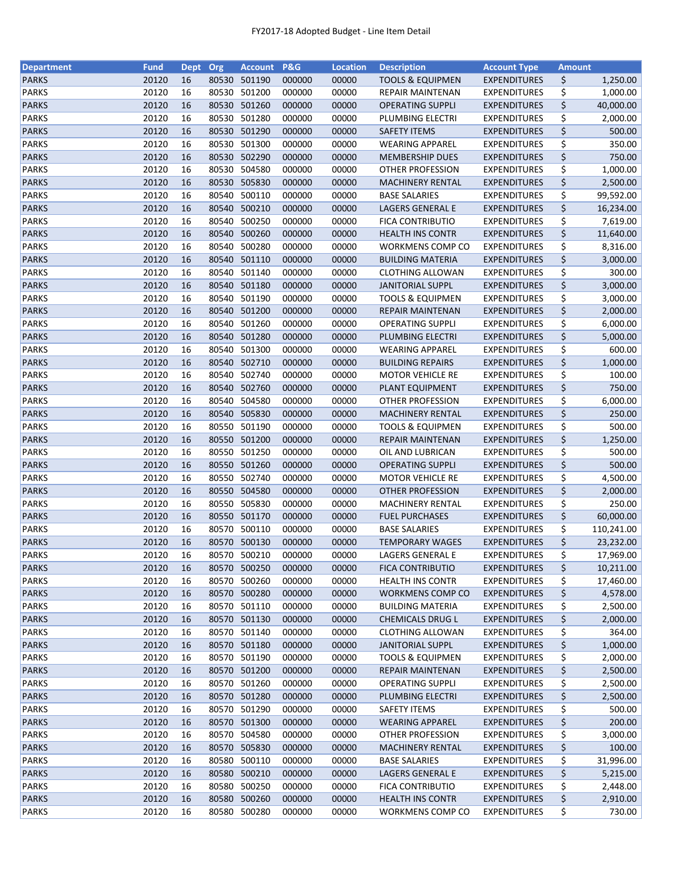| <b>Department</b> | <b>Fund</b> | <b>Dept</b> | Org   | <b>Account</b> | <b>P&amp;G</b> | <b>Location</b> | <b>Description</b>          | <b>Account Type</b>                        | <b>Amount</b> |            |
|-------------------|-------------|-------------|-------|----------------|----------------|-----------------|-----------------------------|--------------------------------------------|---------------|------------|
| <b>PARKS</b>      | 20120       | 16          | 80530 | 501190         | 000000         | 00000           | <b>TOOLS &amp; EQUIPMEN</b> | <b>EXPENDITURES</b>                        | \$            | 1,250.00   |
| <b>PARKS</b>      | 20120       | 16          | 80530 | 501200         | 000000         | 00000           | REPAIR MAINTENAN            | <b>EXPENDITURES</b>                        | \$            | 1,000.00   |
| <b>PARKS</b>      | 20120       | 16          | 80530 | 501260         | 000000         | 00000           | <b>OPERATING SUPPLI</b>     | <b>EXPENDITURES</b>                        | \$            | 40,000.00  |
| <b>PARKS</b>      | 20120       | 16          | 80530 | 501280         | 000000         | 00000           | PLUMBING ELECTRI            | <b>EXPENDITURES</b>                        | \$            | 2,000.00   |
| <b>PARKS</b>      | 20120       | 16          |       | 80530 501290   | 000000         | 00000           | <b>SAFETY ITEMS</b>         | <b>EXPENDITURES</b>                        | \$            | 500.00     |
| <b>PARKS</b>      | 20120       | 16          |       | 80530 501300   | 000000         | 00000           | <b>WEARING APPAREL</b>      | <b>EXPENDITURES</b>                        | \$            | 350.00     |
| <b>PARKS</b>      | 20120       | 16          | 80530 | 502290         | 000000         | 00000           | <b>MEMBERSHIP DUES</b>      | <b>EXPENDITURES</b>                        | \$            | 750.00     |
| <b>PARKS</b>      | 20120       | 16          |       | 80530 504580   | 000000         | 00000           | OTHER PROFESSION            | <b>EXPENDITURES</b>                        | \$            | 1,000.00   |
| <b>PARKS</b>      | 20120       | 16          | 80530 | 505830         | 000000         | 00000           | <b>MACHINERY RENTAL</b>     | <b>EXPENDITURES</b>                        | \$            | 2,500.00   |
| <b>PARKS</b>      | 20120       | 16          | 80540 | 500110         | 000000         | 00000           | <b>BASE SALARIES</b>        | <b>EXPENDITURES</b>                        | \$            | 99,592.00  |
| <b>PARKS</b>      | 20120       | 16          |       | 80540 500210   | 000000         | 00000           | LAGERS GENERAL E            | <b>EXPENDITURES</b>                        | \$            | 16,234.00  |
| <b>PARKS</b>      | 20120       | 16          | 80540 | 500250         | 000000         | 00000           | <b>FICA CONTRIBUTIO</b>     | <b>EXPENDITURES</b>                        | \$            | 7,619.00   |
| <b>PARKS</b>      | 20120       | 16          | 80540 | 500260         | 000000         | 00000           | <b>HEALTH INS CONTR</b>     | <b>EXPENDITURES</b>                        | \$            | 11,640.00  |
| <b>PARKS</b>      | 20120       | 16          | 80540 | 500280         | 000000         | 00000           | WORKMENS COMP CO            | <b>EXPENDITURES</b>                        | \$            | 8,316.00   |
| <b>PARKS</b>      | 20120       | 16          | 80540 | 501110         | 000000         | 00000           | <b>BUILDING MATERIA</b>     | <b>EXPENDITURES</b>                        | \$            | 3,000.00   |
| <b>PARKS</b>      | 20120       | 16          | 80540 | 501140         | 000000         | 00000           | <b>CLOTHING ALLOWAN</b>     | <b>EXPENDITURES</b>                        | \$            | 300.00     |
| <b>PARKS</b>      | 20120       | 16          |       | 80540 501180   | 000000         | 00000           | <b>JANITORIAL SUPPL</b>     | <b>EXPENDITURES</b>                        | \$            | 3,000.00   |
| <b>PARKS</b>      | 20120       | 16          | 80540 | 501190         | 000000         | 00000           | <b>TOOLS &amp; EQUIPMEN</b> | <b>EXPENDITURES</b>                        | \$            | 3,000.00   |
| <b>PARKS</b>      | 20120       | 16          |       | 80540 501200   | 000000         | 00000           | <b>REPAIR MAINTENAN</b>     | <b>EXPENDITURES</b>                        | \$            | 2,000.00   |
| <b>PARKS</b>      | 20120       | 16          |       | 80540 501260   | 000000         | 00000           | OPERATING SUPPLI            | <b>EXPENDITURES</b>                        | \$            | 6,000.00   |
| <b>PARKS</b>      | 20120       | 16          | 80540 | 501280         | 000000         | 00000           | PLUMBING ELECTRI            | <b>EXPENDITURES</b>                        | \$            | 5,000.00   |
| <b>PARKS</b>      | 20120       | 16          | 80540 | 501300         | 000000         | 00000           | <b>WEARING APPAREL</b>      | <b>EXPENDITURES</b>                        | \$            | 600.00     |
| <b>PARKS</b>      | 20120       | 16          |       | 80540 502710   | 000000         | 00000           | <b>BUILDING REPAIRS</b>     | <b>EXPENDITURES</b>                        | \$            | 1,000.00   |
| <b>PARKS</b>      | 20120       | 16          | 80540 | 502740         | 000000         | 00000           | <b>MOTOR VEHICLE RE</b>     | <b>EXPENDITURES</b>                        | \$            | 100.00     |
| <b>PARKS</b>      | 20120       | 16          |       | 80540 502760   | 000000         | 00000           | PLANT EQUIPMENT             | <b>EXPENDITURES</b>                        | \$            | 750.00     |
| <b>PARKS</b>      | 20120       | 16          | 80540 | 504580         | 000000         | 00000           | OTHER PROFESSION            | <b>EXPENDITURES</b>                        | \$            | 6,000.00   |
| <b>PARKS</b>      | 20120       | 16          | 80540 | 505830         | 000000         | 00000           | <b>MACHINERY RENTAL</b>     | <b>EXPENDITURES</b>                        | \$            | 250.00     |
| <b>PARKS</b>      | 20120       | 16          | 80550 | 501190         | 000000         | 00000           | <b>TOOLS &amp; EQUIPMEN</b> | <b>EXPENDITURES</b>                        | \$            | 500.00     |
| <b>PARKS</b>      | 20120       | 16          | 80550 | 501200         | 000000         | 00000           | <b>REPAIR MAINTENAN</b>     | <b>EXPENDITURES</b>                        | \$            | 1,250.00   |
| <b>PARKS</b>      | 20120       | 16          | 80550 | 501250         | 000000         | 00000           | OIL AND LUBRICAN            | <b>EXPENDITURES</b>                        | \$            | 500.00     |
| <b>PARKS</b>      | 20120       | 16          |       | 80550 501260   | 000000         | 00000           | <b>OPERATING SUPPLI</b>     | <b>EXPENDITURES</b>                        | \$            | 500.00     |
| <b>PARKS</b>      | 20120       | 16          |       | 80550 502740   | 000000         | 00000           | <b>MOTOR VEHICLE RE</b>     | <b>EXPENDITURES</b>                        | \$            | 4,500.00   |
| <b>PARKS</b>      | 20120       | 16          |       | 80550 504580   | 000000         | 00000           | OTHER PROFESSION            | <b>EXPENDITURES</b>                        | \$            | 2,000.00   |
| <b>PARKS</b>      | 20120       | 16          | 80550 | 505830         | 000000         | 00000           | <b>MACHINERY RENTAL</b>     | <b>EXPENDITURES</b>                        | \$            | 250.00     |
| <b>PARKS</b>      | 20120       | 16          |       | 80550 501170   | 000000         | 00000           | <b>FUEL PURCHASES</b>       | <b>EXPENDITURES</b>                        | \$            | 60,000.00  |
| <b>PARKS</b>      | 20120       | 16          |       | 80570 500110   | 000000         | 00000           | <b>BASE SALARIES</b>        | <b>EXPENDITURES</b>                        | \$            | 110,241.00 |
| <b>PARKS</b>      | 20120       | 16          |       | 80570 500130   | 000000         | 00000           | <b>TEMPORARY WAGES</b>      | <b>EXPENDITURES</b>                        | \$            | 23,232.00  |
| <b>PARKS</b>      | 20120       | 16          |       | 80570 500210   | 000000         | 00000           | <b>LAGERS GENERAL E</b>     | <b>EXPENDITURES</b>                        | \$            | 17,969.00  |
| <b>PARKS</b>      | 20120       | 16          |       | 80570 500250   | 000000         | 00000           | <b>FICA CONTRIBUTIO</b>     | <b>EXPENDITURES</b>                        | \$            | 10,211.00  |
| <b>PARKS</b>      | 20120       | 16          | 80570 | 500260         | 000000         | 00000           | <b>HEALTH INS CONTR</b>     | <b>EXPENDITURES</b>                        | \$            | 17,460.00  |
| <b>PARKS</b>      | 20120       | 16          |       | 80570 500280   | 000000         | 00000           | WORKMENS COMP CO            | <b>EXPENDITURES</b>                        | \$            | 4,578.00   |
| <b>PARKS</b>      | 20120       | 16          |       | 80570 501110   | 000000         | 00000           | <b>BUILDING MATERIA</b>     | <b>EXPENDITURES</b>                        | \$            | 2,500.00   |
| <b>PARKS</b>      | 20120       | 16          |       | 80570 501130   | 000000         | 00000           | <b>CHEMICALS DRUG L</b>     | <b>EXPENDITURES</b>                        | \$            | 2,000.00   |
| <b>PARKS</b>      | 20120       | 16          |       | 80570 501140   | 000000         | 00000           | <b>CLOTHING ALLOWAN</b>     | <b>EXPENDITURES</b>                        | \$            | 364.00     |
| <b>PARKS</b>      | 20120       | 16          |       | 80570 501180   | 000000         | 00000           | <b>JANITORIAL SUPPL</b>     | <b>EXPENDITURES</b>                        | \$            | 1,000.00   |
| <b>PARKS</b>      | 20120       | 16          |       | 80570 501190   | 000000         | 00000           | <b>TOOLS &amp; EQUIPMEN</b> | <b>EXPENDITURES</b>                        | \$            | 2,000.00   |
| <b>PARKS</b>      | 20120       | 16          |       | 80570 501200   | 000000         | 00000           | REPAIR MAINTENAN            | <b>EXPENDITURES</b>                        | \$            | 2,500.00   |
|                   | 20120       |             |       | 80570 501260   |                | 00000           |                             |                                            |               | 2,500.00   |
| PARKS             | 20120       | 16          |       | 80570 501280   | 000000         | 00000           | <b>OPERATING SUPPLI</b>     | <b>EXPENDITURES</b><br><b>EXPENDITURES</b> | \$            |            |
| <b>PARKS</b>      |             | 16          |       |                | 000000         |                 | PLUMBING ELECTRI            |                                            | \$            | 2,500.00   |
| <b>PARKS</b>      | 20120       | 16          |       | 80570 501290   | 000000         | 00000           | <b>SAFETY ITEMS</b>         | <b>EXPENDITURES</b>                        | \$            | 500.00     |
| <b>PARKS</b>      | 20120       | 16          |       | 80570 501300   | 000000         | 00000           | <b>WEARING APPAREL</b>      | <b>EXPENDITURES</b>                        | \$            | 200.00     |
| <b>PARKS</b>      | 20120       | 16          | 80570 | 504580         | 000000         | 00000           | OTHER PROFESSION            | <b>EXPENDITURES</b>                        | \$            | 3,000.00   |
| <b>PARKS</b>      | 20120       | 16          | 80570 | 505830         | 000000         | 00000           | <b>MACHINERY RENTAL</b>     | <b>EXPENDITURES</b>                        | \$            | 100.00     |
| <b>PARKS</b>      | 20120       | 16          | 80580 | 500110         | 000000         | 00000           | <b>BASE SALARIES</b>        | <b>EXPENDITURES</b>                        | \$            | 31,996.00  |
| <b>PARKS</b>      | 20120       | 16          |       | 80580 500210   | 000000         | 00000           | LAGERS GENERAL E            | <b>EXPENDITURES</b>                        | \$            | 5,215.00   |
| <b>PARKS</b>      | 20120       | 16          |       | 80580 500250   | 000000         | 00000           | <b>FICA CONTRIBUTIO</b>     | <b>EXPENDITURES</b>                        | \$            | 2,448.00   |
| <b>PARKS</b>      | 20120       | 16          |       | 80580 500260   | 000000         | 00000           | <b>HEALTH INS CONTR</b>     | <b>EXPENDITURES</b>                        | \$            | 2,910.00   |
| <b>PARKS</b>      | 20120       | 16          |       | 80580 500280   | 000000         | 00000           | WORKMENS COMP CO            | <b>EXPENDITURES</b>                        | \$            | 730.00     |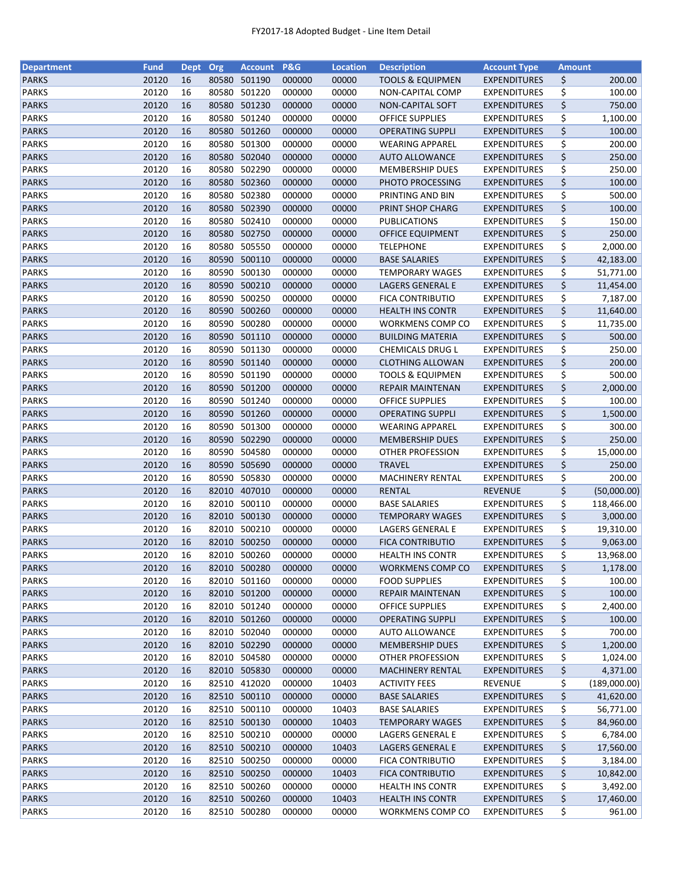| <b>Department</b> | <b>Fund</b> | <b>Dept</b> | Org   | <b>Account</b> | P&G    | <b>Location</b> | <b>Description</b>                         | <b>Account Type</b>                        | <b>Amount</b> |              |
|-------------------|-------------|-------------|-------|----------------|--------|-----------------|--------------------------------------------|--------------------------------------------|---------------|--------------|
| <b>PARKS</b>      | 20120       | 16          | 80580 | 501190         | 000000 | 00000           | <b>TOOLS &amp; EQUIPMEN</b>                | <b>EXPENDITURES</b>                        | \$            | 200.00       |
| <b>PARKS</b>      | 20120       | 16          | 80580 | 501220         | 000000 | 00000           | <b>NON-CAPITAL COMP</b>                    | <b>EXPENDITURES</b>                        | \$            | 100.00       |
| <b>PARKS</b>      | 20120       | 16          | 80580 | 501230         | 000000 | 00000           | <b>NON-CAPITAL SOFT</b>                    | <b>EXPENDITURES</b>                        | \$            | 750.00       |
| <b>PARKS</b>      | 20120       | 16          | 80580 | 501240         | 000000 | 00000           | <b>OFFICE SUPPLIES</b>                     | <b>EXPENDITURES</b>                        | \$            | 1,100.00     |
| <b>PARKS</b>      | 20120       | 16          |       | 80580 501260   | 000000 | 00000           | <b>OPERATING SUPPLI</b>                    | <b>EXPENDITURES</b>                        | \$            | 100.00       |
| <b>PARKS</b>      | 20120       | 16          | 80580 | 501300         | 000000 | 00000           | <b>WEARING APPAREL</b>                     | <b>EXPENDITURES</b>                        | \$            | 200.00       |
| <b>PARKS</b>      | 20120       | 16          | 80580 | 502040         | 000000 | 00000           | <b>AUTO ALLOWANCE</b>                      | <b>EXPENDITURES</b>                        | \$            | 250.00       |
| <b>PARKS</b>      | 20120       | 16          | 80580 | 502290         | 000000 | 00000           | <b>MEMBERSHIP DUES</b>                     | <b>EXPENDITURES</b>                        | \$            | 250.00       |
| <b>PARKS</b>      | 20120       | 16          |       | 80580 502360   | 000000 | 00000           | PHOTO PROCESSING                           | <b>EXPENDITURES</b>                        | \$            | 100.00       |
| <b>PARKS</b>      | 20120       | 16          | 80580 | 502380         | 000000 | 00000           | PRINTING AND BIN                           | <b>EXPENDITURES</b>                        | \$            | 500.00       |
| <b>PARKS</b>      | 20120       | 16          |       | 80580 502390   | 000000 | 00000           | PRINT SHOP CHARG                           | <b>EXPENDITURES</b>                        | \$            | 100.00       |
| <b>PARKS</b>      | 20120       | 16          | 80580 | 502410         | 000000 | 00000           | <b>PUBLICATIONS</b>                        | <b>EXPENDITURES</b>                        | \$            | 150.00       |
| <b>PARKS</b>      | 20120       | 16          | 80580 | 502750         | 000000 | 00000           | OFFICE EQUIPMENT                           | <b>EXPENDITURES</b>                        | \$            | 250.00       |
| <b>PARKS</b>      | 20120       | 16          | 80580 | 505550         | 000000 | 00000           | <b>TELEPHONE</b>                           | <b>EXPENDITURES</b>                        | \$            | 2,000.00     |
| <b>PARKS</b>      | 20120       | 16          | 80590 | 500110         | 000000 | 00000           | <b>BASE SALARIES</b>                       | <b>EXPENDITURES</b>                        | \$            | 42,183.00    |
| <b>PARKS</b>      | 20120       | 16          | 80590 | 500130         | 000000 | 00000           | <b>TEMPORARY WAGES</b>                     | <b>EXPENDITURES</b>                        | \$            | 51,771.00    |
| <b>PARKS</b>      | 20120       | 16          |       | 80590 500210   | 000000 | 00000           | LAGERS GENERAL E                           | <b>EXPENDITURES</b>                        | \$            | 11,454.00    |
| <b>PARKS</b>      | 20120       | 16          |       | 80590 500250   | 000000 | 00000           | <b>FICA CONTRIBUTIO</b>                    | <b>EXPENDITURES</b>                        | \$            | 7,187.00     |
| <b>PARKS</b>      | 20120       | 16          |       | 80590 500260   | 000000 | 00000           | <b>HEALTH INS CONTR</b>                    | <b>EXPENDITURES</b>                        | \$            | 11,640.00    |
| <b>PARKS</b>      | 20120       | 16          | 80590 | 500280         | 000000 | 00000           | WORKMENS COMP CO                           | <b>EXPENDITURES</b>                        | \$            | 11,735.00    |
| <b>PARKS</b>      | 20120       | 16          |       | 80590 501110   | 000000 | 00000           | <b>BUILDING MATERIA</b>                    | <b>EXPENDITURES</b>                        | \$            | 500.00       |
| <b>PARKS</b>      | 20120       | 16          |       | 80590 501130   | 000000 | 00000           | CHEMICALS DRUG L                           | <b>EXPENDITURES</b>                        | \$            | 250.00       |
| <b>PARKS</b>      | 20120       | 16          |       | 80590 501140   | 000000 | 00000           | <b>CLOTHING ALLOWAN</b>                    | <b>EXPENDITURES</b>                        | \$            | 200.00       |
| <b>PARKS</b>      | 20120       | 16          |       | 80590 501190   | 000000 | 00000           | <b>TOOLS &amp; EQUIPMEN</b>                | <b>EXPENDITURES</b>                        | \$            | 500.00       |
| <b>PARKS</b>      | 20120       | 16          |       | 80590 501200   | 000000 | 00000           | REPAIR MAINTENAN                           | <b>EXPENDITURES</b>                        | \$            | 2,000.00     |
| <b>PARKS</b>      | 20120       | 16          | 80590 | 501240         | 000000 | 00000           | <b>OFFICE SUPPLIES</b>                     | <b>EXPENDITURES</b>                        | \$            | 100.00       |
| <b>PARKS</b>      | 20120       | 16          | 80590 | 501260         | 000000 | 00000           | <b>OPERATING SUPPLI</b>                    | <b>EXPENDITURES</b>                        | \$            | 1,500.00     |
| <b>PARKS</b>      | 20120       | 16          | 80590 | 501300         | 000000 | 00000           |                                            | <b>EXPENDITURES</b>                        | \$            | 300.00       |
| <b>PARKS</b>      | 20120       | 16          |       | 80590 502290   | 000000 | 00000           | <b>WEARING APPAREL</b>                     |                                            | \$            | 250.00       |
| <b>PARKS</b>      | 20120       | 16          | 80590 | 504580         | 000000 | 00000           | <b>MEMBERSHIP DUES</b><br>OTHER PROFESSION | <b>EXPENDITURES</b><br><b>EXPENDITURES</b> |               | 15,000.00    |
| <b>PARKS</b>      | 20120       | 16          |       | 80590 505690   | 000000 | 00000           | <b>TRAVEL</b>                              | <b>EXPENDITURES</b>                        | \$<br>\$      | 250.00       |
|                   | 20120       |             |       | 80590 505830   |        |                 |                                            |                                            |               |              |
| <b>PARKS</b>      |             | 16          |       |                | 000000 | 00000           | <b>MACHINERY RENTAL</b>                    | <b>EXPENDITURES</b>                        | \$            | 200.00       |
| <b>PARKS</b>      | 20120       | 16          | 82010 | 407010         | 000000 | 00000           | <b>RENTAL</b>                              | <b>REVENUE</b>                             | \$            | (50,000.00)  |
| <b>PARKS</b>      | 20120       | 16          |       | 82010 500110   | 000000 | 00000           | <b>BASE SALARIES</b>                       | <b>EXPENDITURES</b>                        | \$            | 118,466.00   |
| <b>PARKS</b>      | 20120       | 16          |       | 82010 500130   | 000000 | 00000           | <b>TEMPORARY WAGES</b>                     | <b>EXPENDITURES</b>                        | \$            | 3,000.00     |
| <b>PARKS</b>      | 20120       | 16          |       | 82010 500210   | 000000 | 00000           | LAGERS GENERAL E                           | <b>EXPENDITURES</b>                        | \$            | 19,310.00    |
| <b>PARKS</b>      | 20120       | 16          |       | 82010 500250   | 000000 | 00000           | <b>FICA CONTRIBUTIO</b>                    | <b>EXPENDITURES</b>                        | \$            | 9,063.00     |
| <b>PARKS</b>      | 20120       | 16          |       | 82010 500260   | 000000 | 00000           | <b>HEALTH INS CONTR</b>                    | <b>EXPENDITURES</b>                        | \$            | 13,968.00    |
| <b>PARKS</b>      | 20120       | 16          |       | 82010 500280   | 000000 | 00000           | <b>WORKMENS COMP CO</b>                    | <b>EXPENDITURES</b>                        | \$            | 1,178.00     |
| <b>PARKS</b>      | 20120       | 16          | 82010 | 501160         | 000000 | 00000           | <b>FOOD SUPPLIES</b>                       | <b>EXPENDITURES</b>                        | \$            | 100.00       |
| <b>PARKS</b>      | 20120       | 16          |       | 82010 501200   | 000000 | 00000           | <b>REPAIR MAINTENAN</b>                    | <b>EXPENDITURES</b>                        | \$            | 100.00       |
| <b>PARKS</b>      | 20120       | 16          |       | 82010 501240   | 000000 | 00000           | <b>OFFICE SUPPLIES</b>                     | <b>EXPENDITURES</b>                        | \$            | 2,400.00     |
| <b>PARKS</b>      | 20120       | 16          |       | 82010 501260   | 000000 | 00000           | <b>OPERATING SUPPLI</b>                    | <b>EXPENDITURES</b>                        | \$            | 100.00       |
| <b>PARKS</b>      | 20120       | 16          |       | 82010 502040   | 000000 | 00000           | <b>AUTO ALLOWANCE</b>                      | <b>EXPENDITURES</b>                        | \$            | 700.00       |
| <b>PARKS</b>      | 20120       | 16          |       | 82010 502290   | 000000 | 00000           | <b>MEMBERSHIP DUES</b>                     | <b>EXPENDITURES</b>                        | \$            | 1,200.00     |
| PARKS             | 20120       | 16          |       | 82010 504580   | 000000 | 00000           | OTHER PROFESSION                           | <b>EXPENDITURES</b>                        | \$            | 1,024.00     |
| <b>PARKS</b>      | 20120       | 16          |       | 82010 505830   | 000000 | 00000           | <b>MACHINERY RENTAL</b>                    | <b>EXPENDITURES</b>                        | \$            | 4,371.00     |
| <b>PARKS</b>      | 20120       | 16          |       | 82510 412020   | 000000 | 10403           | <b>ACTIVITY FEES</b>                       | <b>REVENUE</b>                             | \$            | (189,000.00) |
| <b>PARKS</b>      | 20120       | 16          |       | 82510 500110   | 000000 | 00000           | <b>BASE SALARIES</b>                       | <b>EXPENDITURES</b>                        | \$            | 41,620.00    |
| <b>PARKS</b>      | 20120       | 16          |       | 82510 500110   | 000000 | 10403           | <b>BASE SALARIES</b>                       | <b>EXPENDITURES</b>                        | \$            | 56,771.00    |
| <b>PARKS</b>      | 20120       | 16          |       | 82510 500130   | 000000 | 10403           | <b>TEMPORARY WAGES</b>                     | <b>EXPENDITURES</b>                        | \$            | 84,960.00    |
| <b>PARKS</b>      | 20120       | 16          | 82510 | 500210         | 000000 | 00000           | LAGERS GENERAL E                           | <b>EXPENDITURES</b>                        | \$            | 6,784.00     |
| <b>PARKS</b>      | 20120       | 16          |       | 82510 500210   | 000000 | 10403           | LAGERS GENERAL E                           | <b>EXPENDITURES</b>                        | \$            | 17,560.00    |
| <b>PARKS</b>      | 20120       | 16          |       | 82510 500250   | 000000 | 00000           | <b>FICA CONTRIBUTIO</b>                    | <b>EXPENDITURES</b>                        | \$            | 3,184.00     |
| <b>PARKS</b>      | 20120       | 16          |       | 82510 500250   | 000000 | 10403           | <b>FICA CONTRIBUTIO</b>                    | <b>EXPENDITURES</b>                        | \$            | 10,842.00    |
| <b>PARKS</b>      | 20120       | 16          |       | 82510 500260   | 000000 | 00000           | <b>HEALTH INS CONTR</b>                    | <b>EXPENDITURES</b>                        | \$            | 3,492.00     |
| <b>PARKS</b>      | 20120       | 16          |       | 82510 500260   | 000000 | 10403           | <b>HEALTH INS CONTR</b>                    | <b>EXPENDITURES</b>                        | \$            | 17,460.00    |
| <b>PARKS</b>      | 20120       | 16          |       | 82510 500280   | 000000 | 00000           | WORKMENS COMP CO                           | <b>EXPENDITURES</b>                        | \$            | 961.00       |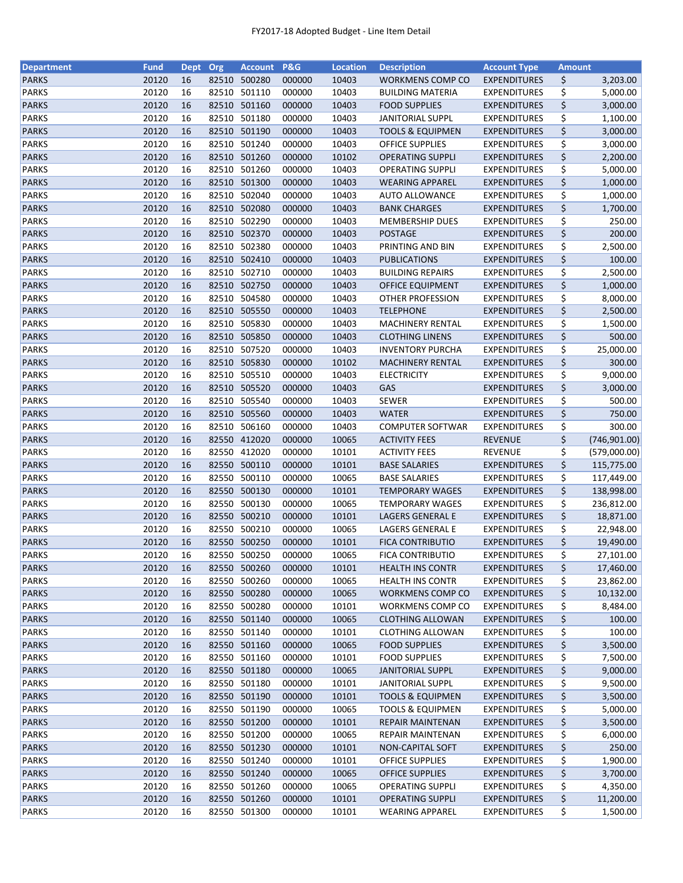| <b>Department</b>            | <b>Fund</b>    | <b>Dept</b> | Org   | <b>Account</b>         | P&G              | <b>Location</b> | <b>Description</b>                           | <b>Account Type</b>                   | <b>Amount</b> |               |
|------------------------------|----------------|-------------|-------|------------------------|------------------|-----------------|----------------------------------------------|---------------------------------------|---------------|---------------|
| <b>PARKS</b>                 | 20120          | 16          | 82510 | 500280                 | 000000           | 10403           | WORKMENS COMP CO                             | <b>EXPENDITURES</b>                   | \$            | 3,203.00      |
| <b>PARKS</b>                 | 20120          | 16          | 82510 | 501110                 | 000000           | 10403           | <b>BUILDING MATERIA</b>                      | <b>EXPENDITURES</b>                   | \$            | 5,000.00      |
| <b>PARKS</b>                 | 20120          | 16          | 82510 | 501160                 | 000000           | 10403           | <b>FOOD SUPPLIES</b>                         | <b>EXPENDITURES</b>                   | \$            | 3,000.00      |
| <b>PARKS</b>                 | 20120          | 16          | 82510 | 501180                 | 000000           | 10403           | <b>JANITORIAL SUPPL</b>                      | <b>EXPENDITURES</b>                   | \$            | 1,100.00      |
| <b>PARKS</b>                 | 20120          | 16          |       | 82510 501190           | 000000           | 10403           | <b>TOOLS &amp; EQUIPMEN</b>                  | <b>EXPENDITURES</b>                   | \$            | 3,000.00      |
| <b>PARKS</b>                 | 20120          | 16          |       | 82510 501240           | 000000           | 10403           | <b>OFFICE SUPPLIES</b>                       | <b>EXPENDITURES</b>                   | \$            | 3,000.00      |
| <b>PARKS</b>                 | 20120          | 16          |       | 82510 501260           | 000000           | 10102           | <b>OPERATING SUPPLI</b>                      | <b>EXPENDITURES</b>                   | \$            | 2,200.00      |
| <b>PARKS</b>                 | 20120          | 16          | 82510 | 501260                 | 000000           | 10403           | OPERATING SUPPLI                             | <b>EXPENDITURES</b>                   | \$            | 5,000.00      |
| <b>PARKS</b>                 | 20120          | 16          |       | 82510 501300           | 000000           | 10403           | <b>WEARING APPAREL</b>                       | <b>EXPENDITURES</b>                   | \$            | 1,000.00      |
| <b>PARKS</b>                 | 20120          | 16          |       | 82510 502040           | 000000           | 10403           | <b>AUTO ALLOWANCE</b>                        | <b>EXPENDITURES</b>                   | \$            | 1,000.00      |
| <b>PARKS</b>                 | 20120          | 16          |       | 82510 502080           | 000000           | 10403           | <b>BANK CHARGES</b>                          | <b>EXPENDITURES</b>                   | \$            | 1,700.00      |
| <b>PARKS</b>                 | 20120          | 16          |       | 82510 502290           | 000000           | 10403           | <b>MEMBERSHIP DUES</b>                       | <b>EXPENDITURES</b>                   | \$            | 250.00        |
| <b>PARKS</b>                 | 20120          | 16          |       | 82510 502370           | 000000           | 10403           | <b>POSTAGE</b>                               | <b>EXPENDITURES</b>                   | \$            | 200.00        |
| <b>PARKS</b>                 | 20120          | 16          | 82510 | 502380                 | 000000           | 10403           | PRINTING AND BIN                             | <b>EXPENDITURES</b>                   | \$            | 2,500.00      |
| <b>PARKS</b>                 | 20120          | 16          | 82510 | 502410                 | 000000           | 10403           | <b>PUBLICATIONS</b>                          | <b>EXPENDITURES</b>                   | \$            | 100.00        |
| <b>PARKS</b>                 | 20120          | 16          | 82510 | 502710                 | 000000           | 10403           | <b>BUILDING REPAIRS</b>                      | <b>EXPENDITURES</b>                   | \$            | 2,500.00      |
| <b>PARKS</b>                 | 20120          | 16          |       | 82510 502750           | 000000           | 10403           | OFFICE EQUIPMENT                             | <b>EXPENDITURES</b>                   | \$            | 1,000.00      |
| <b>PARKS</b>                 | 20120          | 16          |       | 82510 504580           | 000000           | 10403           | <b>OTHER PROFESSION</b>                      | <b>EXPENDITURES</b>                   | \$            | 8,000.00      |
| <b>PARKS</b>                 | 20120          | 16          |       | 82510 505550           | 000000           | 10403           | <b>TELEPHONE</b>                             | <b>EXPENDITURES</b>                   | \$            | 2,500.00      |
| <b>PARKS</b>                 | 20120          | 16          | 82510 | 505830                 | 000000           | 10403           | <b>MACHINERY RENTAL</b>                      | <b>EXPENDITURES</b>                   | \$            | 1,500.00      |
| <b>PARKS</b>                 | 20120          | 16          |       | 82510 505850           | 000000           | 10403           | <b>CLOTHING LINENS</b>                       | <b>EXPENDITURES</b>                   | \$            | 500.00        |
| <b>PARKS</b>                 | 20120          | 16          |       | 82510 507520           | 000000           | 10403           | <b>INVENTORY PURCHA</b>                      | <b>EXPENDITURES</b>                   | \$            | 25,000.00     |
| <b>PARKS</b>                 | 20120          | 16          |       | 82510 505830           | 000000           | 10102           | <b>MACHINERY RENTAL</b>                      | <b>EXPENDITURES</b>                   | \$            | 300.00        |
| <b>PARKS</b>                 | 20120          | 16          |       | 82510 505510           | 000000           | 10403           | <b>ELECTRICITY</b>                           | <b>EXPENDITURES</b>                   | \$            | 9,000.00      |
| <b>PARKS</b>                 | 20120          | 16          |       | 82510 505520           | 000000           | 10403           | GAS                                          | <b>EXPENDITURES</b>                   | \$            | 3,000.00      |
| <b>PARKS</b>                 | 20120          | 16          | 82510 | 505540                 | 000000           | 10403           | <b>SEWER</b>                                 | <b>EXPENDITURES</b>                   | \$            | 500.00        |
| <b>PARKS</b>                 | 20120          | 16          | 82510 | 505560                 | 000000           | 10403           | <b>WATER</b>                                 | <b>EXPENDITURES</b>                   | \$            | 750.00        |
| <b>PARKS</b>                 | 20120          | 16          | 82510 | 506160                 | 000000           | 10403           | <b>COMPUTER SOFTWAR</b>                      | <b>EXPENDITURES</b>                   |               | 300.00        |
|                              |                |             |       |                        |                  |                 |                                              |                                       | \$            |               |
| <b>PARKS</b>                 | 20120          | 16          |       | 82550 412020           | 000000           | 10065           | <b>ACTIVITY FEES</b>                         | <b>REVENUE</b>                        | \$            | (746, 901.00) |
| <b>PARKS</b><br><b>PARKS</b> | 20120<br>20120 | 16<br>16    | 82550 | 412020<br>82550 500110 | 000000<br>000000 | 10101<br>10101  | <b>ACTIVITY FEES</b><br><b>BASE SALARIES</b> | <b>REVENUE</b><br><b>EXPENDITURES</b> | \$<br>\$      | (579,000.00)  |
|                              |                |             |       |                        |                  |                 |                                              |                                       |               | 115,775.00    |
| <b>PARKS</b>                 | 20120          | 16          |       | 82550 500110           | 000000           | 10065           | <b>BASE SALARIES</b>                         | <b>EXPENDITURES</b>                   | \$            | 117,449.00    |
| <b>PARKS</b>                 | 20120          | 16          |       | 82550 500130           | 000000           | 10101           | <b>TEMPORARY WAGES</b>                       | <b>EXPENDITURES</b>                   | \$            | 138,998.00    |
| <b>PARKS</b>                 | 20120          | 16          | 82550 | 500130                 | 000000           | 10065           | <b>TEMPORARY WAGES</b>                       | <b>EXPENDITURES</b>                   | \$            | 236,812.00    |
| <b>PARKS</b>                 | 20120          | 16          |       | 82550 500210           | 000000           | 10101           | LAGERS GENERAL E                             | <b>EXPENDITURES</b>                   | \$            | 18,871.00     |
| <b>PARKS</b>                 | 20120          | 16          |       | 82550 500210           | 000000           | 10065           | LAGERS GENERAL E                             | <b>EXPENDITURES</b>                   | \$            | 22,948.00     |
| <b>PARKS</b>                 | 20120          | 16          |       | 82550 500250           | 000000           | 10101           | <b>FICA CONTRIBUTIO</b>                      | <b>EXPENDITURES</b>                   | \$            | 19,490.00     |
| <b>PARKS</b>                 | 20120          | 16          |       | 82550 500250           | 000000           | 10065           | <b>FICA CONTRIBUTIO</b>                      | <b>EXPENDITURES</b>                   | \$            | 27,101.00     |
| <b>PARKS</b>                 | 20120          | 16          |       | 82550 500260           | 000000           | 10101           | <b>HEALTH INS CONTR</b>                      | <b>EXPENDITURES</b>                   | \$            | 17,460.00     |
| <b>PARKS</b>                 | 20120          | 16          | 82550 | 500260                 | 000000           | 10065           | <b>HEALTH INS CONTR</b>                      | <b>EXPENDITURES</b>                   | \$            | 23,862.00     |
| <b>PARKS</b>                 | 20120          | 16          |       | 82550 500280           | 000000           | 10065           | WORKMENS COMP CO                             | <b>EXPENDITURES</b>                   | \$            | 10,132.00     |
| <b>PARKS</b>                 | 20120          | 16          |       | 82550 500280           | 000000           | 10101           | WORKMENS COMP CO                             | <b>EXPENDITURES</b>                   | \$            | 8,484.00      |
| <b>PARKS</b>                 | 20120          | 16          |       | 82550 501140           | 000000           | 10065           | <b>CLOTHING ALLOWAN</b>                      | <b>EXPENDITURES</b>                   | \$            | 100.00        |
| <b>PARKS</b>                 | 20120          | 16          |       | 82550 501140           | 000000           | 10101           | <b>CLOTHING ALLOWAN</b>                      | <b>EXPENDITURES</b>                   | \$            | 100.00        |
| <b>PARKS</b>                 | 20120          | 16          |       | 82550 501160           | 000000           | 10065           | <b>FOOD SUPPLIES</b>                         | <b>EXPENDITURES</b>                   | \$            | 3,500.00      |
| PARKS                        | 20120          | 16          |       | 82550 501160           | 000000           | 10101           | <b>FOOD SUPPLIES</b>                         | <b>EXPENDITURES</b>                   | \$            | 7,500.00      |
| <b>PARKS</b>                 | 20120          | 16          |       | 82550 501180           | 000000           | 10065           | <b>JANITORIAL SUPPL</b>                      | <b>EXPENDITURES</b>                   | \$            | 9,000.00      |
| PARKS                        | 20120          | 16          |       | 82550 501180           | 000000           | 10101           | <b>JANITORIAL SUPPL</b>                      | <b>EXPENDITURES</b>                   | \$            | 9,500.00      |
| <b>PARKS</b>                 | 20120          | 16          |       | 82550 501190           | 000000           | 10101           | <b>TOOLS &amp; EQUIPMEN</b>                  | <b>EXPENDITURES</b>                   | \$            | 3,500.00      |
| <b>PARKS</b>                 | 20120          | 16          |       | 82550 501190           | 000000           | 10065           | <b>TOOLS &amp; EQUIPMEN</b>                  | <b>EXPENDITURES</b>                   | \$            | 5,000.00      |
| <b>PARKS</b>                 | 20120          | 16          |       | 82550 501200           | 000000           | 10101           | REPAIR MAINTENAN                             | <b>EXPENDITURES</b>                   | \$            | 3,500.00      |
| <b>PARKS</b>                 | 20120          | 16          | 82550 | 501200                 | 000000           | 10065           | REPAIR MAINTENAN                             | <b>EXPENDITURES</b>                   | \$            | 6,000.00      |
| <b>PARKS</b>                 | 20120          | 16          |       | 82550 501230           | 000000           | 10101           | NON-CAPITAL SOFT                             | <b>EXPENDITURES</b>                   | \$            | 250.00        |
| <b>PARKS</b>                 | 20120          | 16          |       | 82550 501240           | 000000           | 10101           | <b>OFFICE SUPPLIES</b>                       | <b>EXPENDITURES</b>                   | \$            | 1,900.00      |
| <b>PARKS</b>                 | 20120          | 16          |       | 82550 501240           | 000000           | 10065           | <b>OFFICE SUPPLIES</b>                       | <b>EXPENDITURES</b>                   | \$            | 3,700.00      |
| <b>PARKS</b>                 | 20120          | 16          |       | 82550 501260           | 000000           | 10065           | <b>OPERATING SUPPLI</b>                      | <b>EXPENDITURES</b>                   | \$            | 4,350.00      |
| <b>PARKS</b>                 | 20120          | 16          |       | 82550 501260           | 000000           | 10101           | <b>OPERATING SUPPLI</b>                      | <b>EXPENDITURES</b>                   | \$            | 11,200.00     |
| <b>PARKS</b>                 | 20120          | 16          |       | 82550 501300           | 000000           | 10101           | <b>WEARING APPAREL</b>                       | EXPENDITURES                          | \$            | 1,500.00      |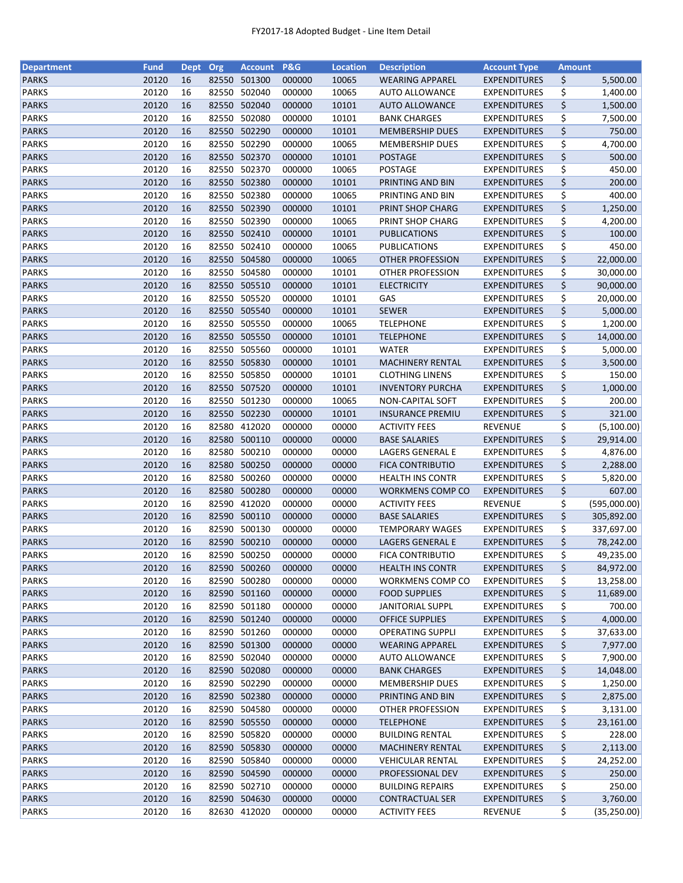| <b>Department</b> | <b>Fund</b> | <b>Dept</b> | Org            | <b>Account</b> | <b>P&amp;G</b> | <b>Location</b> | <b>Description</b>      | <b>Account Type</b> | <b>Amount</b> |              |
|-------------------|-------------|-------------|----------------|----------------|----------------|-----------------|-------------------------|---------------------|---------------|--------------|
| <b>PARKS</b>      | 20120       | 16          |                | 82550 501300   | 000000         | 10065           | <b>WEARING APPAREL</b>  | <b>EXPENDITURES</b> | \$            | 5,500.00     |
| <b>PARKS</b>      | 20120       | 16          | 82550          | 502040         | 000000         | 10065           | <b>AUTO ALLOWANCE</b>   | <b>EXPENDITURES</b> | \$            | 1,400.00     |
| <b>PARKS</b>      | 20120       | 16          | 82550          | 502040         | 000000         | 10101           | <b>AUTO ALLOWANCE</b>   | <b>EXPENDITURES</b> | \$            | 1,500.00     |
| <b>PARKS</b>      | 20120       | 16          | 82550          | 502080         | 000000         | 10101           | <b>BANK CHARGES</b>     | <b>EXPENDITURES</b> | \$            | 7,500.00     |
| <b>PARKS</b>      | 20120       | 16          |                | 82550 502290   | 000000         | 10101           | <b>MEMBERSHIP DUES</b>  | <b>EXPENDITURES</b> | \$            | 750.00       |
| <b>PARKS</b>      | 20120       | 16          |                | 82550 502290   | 000000         | 10065           | <b>MEMBERSHIP DUES</b>  | <b>EXPENDITURES</b> | \$            | 4,700.00     |
| <b>PARKS</b>      | 20120       | 16          |                | 82550 502370   | 000000         | 10101           | <b>POSTAGE</b>          | <b>EXPENDITURES</b> | \$            | 500.00       |
| <b>PARKS</b>      | 20120       | 16          |                | 82550 502370   | 000000         | 10065           | <b>POSTAGE</b>          | <b>EXPENDITURES</b> | \$            | 450.00       |
| <b>PARKS</b>      | 20120       | 16          |                | 82550 502380   | 000000         | 10101           | PRINTING AND BIN        | <b>EXPENDITURES</b> | \$            | 200.00       |
| <b>PARKS</b>      | 20120       | 16          | 82550          | 502380         | 000000         | 10065           | PRINTING AND BIN        | <b>EXPENDITURES</b> | \$            | 400.00       |
| <b>PARKS</b>      | 20120       | 16          |                | 82550 502390   | 000000         | 10101           | PRINT SHOP CHARG        | <b>EXPENDITURES</b> | \$            | 1,250.00     |
| <b>PARKS</b>      | 20120       | 16          |                | 82550 502390   | 000000         | 10065           | PRINT SHOP CHARG        | EXPENDITURES        | \$            | 4,200.00     |
| <b>PARKS</b>      | 20120       | 16          |                | 82550 502410   | 000000         | 10101           | PUBLICATIONS            | <b>EXPENDITURES</b> | \$            | 100.00       |
| <b>PARKS</b>      | 20120       | 16          |                | 82550 502410   | 000000         | 10065           | PUBLICATIONS            | <b>EXPENDITURES</b> | \$            | 450.00       |
| <b>PARKS</b>      | 20120       | 16          |                | 82550 504580   | 000000         | 10065           | OTHER PROFESSION        | <b>EXPENDITURES</b> | \$            | 22,000.00    |
| <b>PARKS</b>      | 20120       | 16          | 82550          | 504580         | 000000         | 10101           | OTHER PROFESSION        | <b>EXPENDITURES</b> | \$            | 30,000.00    |
| <b>PARKS</b>      | 20120       | 16          |                | 82550 505510   | 000000         | 10101           | <b>ELECTRICITY</b>      | <b>EXPENDITURES</b> | \$            | 90,000.00    |
| <b>PARKS</b>      | 20120       | 16          | 82550          | 505520         | 000000         | 10101           | GAS                     | <b>EXPENDITURES</b> | \$            | 20,000.00    |
| <b>PARKS</b>      | 20120       | 16          |                | 82550 505540   | 000000         | 10101           | <b>SEWER</b>            | <b>EXPENDITURES</b> | \$            | 5,000.00     |
| <b>PARKS</b>      | 20120       | 16          |                | 82550 505550   | 000000         | 10065           | <b>TELEPHONE</b>        | <b>EXPENDITURES</b> | \$            | 1,200.00     |
| <b>PARKS</b>      | 20120       | 16          |                | 82550 505550   | 000000         | 10101           | <b>TELEPHONE</b>        | <b>EXPENDITURES</b> | \$            | 14,000.00    |
| <b>PARKS</b>      | 20120       | 16          |                | 82550 505560   | 000000         | 10101           | <b>WATER</b>            | <b>EXPENDITURES</b> | \$            | 5,000.00     |
| <b>PARKS</b>      | 20120       | 16          |                | 82550 505830   | 000000         | 10101           | <b>MACHINERY RENTAL</b> | <b>EXPENDITURES</b> | \$            | 3,500.00     |
| <b>PARKS</b>      | 20120       | 16          |                | 82550 505850   | 000000         | 10101           | <b>CLOTHING LINENS</b>  | <b>EXPENDITURES</b> | \$            | 150.00       |
| <b>PARKS</b>      | 20120       | 16          |                | 82550 507520   | 000000         | 10101           | <b>INVENTORY PURCHA</b> | <b>EXPENDITURES</b> | \$            | 1,000.00     |
| <b>PARKS</b>      | 20120       | 16          |                | 82550 501230   | 000000         | 10065           | NON-CAPITAL SOFT        | <b>EXPENDITURES</b> | \$            | 200.00       |
|                   |             |             |                |                |                |                 |                         |                     | \$            |              |
| <b>PARKS</b>      | 20120       | 16          |                | 82550 502230   | 000000         | 10101           | <b>INSURANCE PREMIU</b> | <b>EXPENDITURES</b> |               | 321.00       |
| <b>PARKS</b>      | 20120       | 16          | 82580          | 412020         | 000000         | 00000           | <b>ACTIVITY FEES</b>    | <b>REVENUE</b>      | \$            | (5,100.00)   |
| <b>PARKS</b>      | 20120       | 16          | 82580<br>82580 | 500110         | 000000         | 00000           | <b>BASE SALARIES</b>    | <b>EXPENDITURES</b> | \$            | 29,914.00    |
| <b>PARKS</b>      | 20120       | 16          |                | 500210         | 000000         | 00000           | LAGERS GENERAL E        | <b>EXPENDITURES</b> | \$            | 4,876.00     |
| <b>PARKS</b>      | 20120       | 16          | 82580          | 500250         | 000000         | 00000           | <b>FICA CONTRIBUTIO</b> | <b>EXPENDITURES</b> | \$            | 2,288.00     |
| <b>PARKS</b>      | 20120       | 16          | 82580          | 500260         | 000000         | 00000           | <b>HEALTH INS CONTR</b> | <b>EXPENDITURES</b> | \$            | 5,820.00     |
| <b>PARKS</b>      | 20120       | 16          |                | 82580 500280   | 000000         | 00000           | WORKMENS COMP CO        | <b>EXPENDITURES</b> | \$            | 607.00       |
| <b>PARKS</b>      | 20120       | 16          | 82590          | 412020         | 000000         | 00000           | <b>ACTIVITY FEES</b>    | REVENUE             | \$            | (595,000.00) |
| <b>PARKS</b>      | 20120       | 16          |                | 82590 500110   | 000000         | 00000           | <b>BASE SALARIES</b>    | <b>EXPENDITURES</b> | \$            | 305,892.00   |
| <b>PARKS</b>      | 20120       | 16          |                | 82590 500130   | 000000         | 00000           | <b>TEMPORARY WAGES</b>  | <b>EXPENDITURES</b> | \$            | 337,697.00   |
| <b>PARKS</b>      | 20120       | 16          |                | 82590 500210   | 000000         | 00000           | LAGERS GENERAL E        | <b>EXPENDITURES</b> | \$            | 78,242.00    |
| <b>PARKS</b>      | 20120       | 16          |                | 82590 500250   | 000000         | 00000           | <b>FICA CONTRIBUTIO</b> | <b>EXPENDITURES</b> | \$            | 49,235.00    |
| <b>PARKS</b>      | 20120       | 16          |                | 82590 500260   | 000000         | 00000           | <b>HEALTH INS CONTR</b> | <b>EXPENDITURES</b> | \$            | 84,972.00    |
| <b>PARKS</b>      | 20120       | 16          |                | 82590 500280   | 000000         | 00000           | WORKMENS COMP CO        | <b>EXPENDITURES</b> | \$            | 13,258.00    |
| <b>PARKS</b>      | 20120       | 16          |                | 82590 501160   | 000000         | 00000           | <b>FOOD SUPPLIES</b>    | <b>EXPENDITURES</b> | \$            | 11,689.00    |
| <b>PARKS</b>      | 20120       | 16          |                | 82590 501180   | 000000         | 00000           | <b>JANITORIAL SUPPL</b> | <b>EXPENDITURES</b> | \$            | 700.00       |
| <b>PARKS</b>      | 20120       | 16          |                | 82590 501240   | 000000         | 00000           | <b>OFFICE SUPPLIES</b>  | <b>EXPENDITURES</b> | \$            | 4,000.00     |
| <b>PARKS</b>      | 20120       | 16          |                | 82590 501260   | 000000         | 00000           | <b>OPERATING SUPPLI</b> | <b>EXPENDITURES</b> | \$            | 37,633.00    |
| <b>PARKS</b>      | 20120       | 16          |                | 82590 501300   | 000000         | 00000           | <b>WEARING APPAREL</b>  | <b>EXPENDITURES</b> | \$            | 7,977.00     |
| <b>PARKS</b>      | 20120       | 16          |                | 82590 502040   | 000000         | 00000           | <b>AUTO ALLOWANCE</b>   | <b>EXPENDITURES</b> | \$            | 7,900.00     |
| <b>PARKS</b>      | 20120       | 16          |                | 82590 502080   | 000000         | 00000           | <b>BANK CHARGES</b>     | <b>EXPENDITURES</b> | \$            | 14,048.00    |
| <b>PARKS</b>      | 20120       | 16          |                | 82590 502290   | 000000         | 00000           | <b>MEMBERSHIP DUES</b>  | <b>EXPENDITURES</b> | \$            | 1,250.00     |
| <b>PARKS</b>      | 20120       | 16          |                | 82590 502380   | 000000         | 00000           | PRINTING AND BIN        | <b>EXPENDITURES</b> | \$            | 2,875.00     |
| <b>PARKS</b>      | 20120       | 16          |                | 82590 504580   | 000000         | 00000           | OTHER PROFESSION        | <b>EXPENDITURES</b> | \$            | 3,131.00     |
| <b>PARKS</b>      | 20120       | 16          |                | 82590 505550   | 000000         | 00000           | <b>TELEPHONE</b>        | <b>EXPENDITURES</b> | \$            | 23,161.00    |
| <b>PARKS</b>      | 20120       | 16          |                | 82590 505820   | 000000         | 00000           | <b>BUILDING RENTAL</b>  | <b>EXPENDITURES</b> | \$            | 228.00       |
| <b>PARKS</b>      | 20120       | 16          |                | 82590 505830   | 000000         | 00000           | <b>MACHINERY RENTAL</b> | <b>EXPENDITURES</b> | \$            | 2,113.00     |
| <b>PARKS</b>      | 20120       | 16          | 82590          | 505840         | 000000         | 00000           | <b>VEHICULAR RENTAL</b> | <b>EXPENDITURES</b> | \$            | 24,252.00    |
| <b>PARKS</b>      | 20120       | 16          |                | 82590 504590   | 000000         | 00000           | PROFESSIONAL DEV        | <b>EXPENDITURES</b> | \$            | 250.00       |
| <b>PARKS</b>      | 20120       | 16          |                | 82590 502710   | 000000         | 00000           | <b>BUILDING REPAIRS</b> | <b>EXPENDITURES</b> | \$            | 250.00       |
| <b>PARKS</b>      | 20120       | 16          |                | 82590 504630   | 000000         | 00000           | <b>CONTRACTUAL SER</b>  | <b>EXPENDITURES</b> | \$            | 3,760.00     |
| <b>PARKS</b>      | 20120       | 16          |                | 82630 412020   | 000000         | 00000           | <b>ACTIVITY FEES</b>    | REVENUE             | \$            | (35, 250.00) |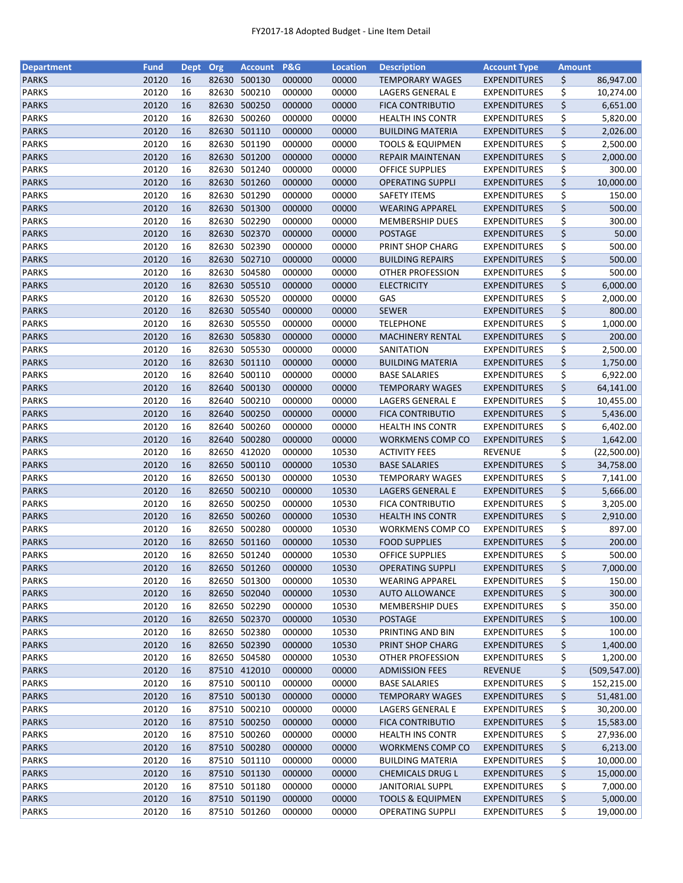| <b>Department</b>            | <b>Fund</b>    | <b>Dept</b> | Org   | <b>Account</b>         | P&G              | <b>Location</b> | <b>Description</b>                           | <b>Account Type</b>                   | <b>Amount</b> |               |
|------------------------------|----------------|-------------|-------|------------------------|------------------|-----------------|----------------------------------------------|---------------------------------------|---------------|---------------|
| <b>PARKS</b>                 | 20120          | 16          | 82630 | 500130                 | 000000           | 00000           | <b>TEMPORARY WAGES</b>                       | <b>EXPENDITURES</b>                   | \$            | 86,947.00     |
| <b>PARKS</b>                 | 20120          | 16          | 82630 | 500210                 | 000000           | 00000           | LAGERS GENERAL E                             | <b>EXPENDITURES</b>                   | \$            | 10,274.00     |
| <b>PARKS</b>                 | 20120          | 16          | 82630 | 500250                 | 000000           | 00000           | <b>FICA CONTRIBUTIO</b>                      | <b>EXPENDITURES</b>                   | \$            | 6,651.00      |
| <b>PARKS</b>                 | 20120          | 16          | 82630 | 500260                 | 000000           | 00000           | <b>HEALTH INS CONTR</b>                      | <b>EXPENDITURES</b>                   | \$            | 5,820.00      |
| <b>PARKS</b>                 | 20120          | 16          |       | 82630 501110           | 000000           | 00000           | <b>BUILDING MATERIA</b>                      | <b>EXPENDITURES</b>                   | \$            | 2,026.00      |
| <b>PARKS</b>                 | 20120          | 16          |       | 82630 501190           | 000000           | 00000           | <b>TOOLS &amp; EQUIPMEN</b>                  | <b>EXPENDITURES</b>                   | \$            | 2,500.00      |
| <b>PARKS</b>                 | 20120          | 16          |       | 82630 501200           | 000000           | 00000           | <b>REPAIR MAINTENAN</b>                      | <b>EXPENDITURES</b>                   | \$            | 2,000.00      |
| <b>PARKS</b>                 | 20120          | 16          | 82630 | 501240                 | 000000           | 00000           | <b>OFFICE SUPPLIES</b>                       | <b>EXPENDITURES</b>                   | \$            | 300.00        |
| <b>PARKS</b>                 | 20120          | 16          |       | 82630 501260           | 000000           | 00000           | <b>OPERATING SUPPLI</b>                      | <b>EXPENDITURES</b>                   | \$            | 10,000.00     |
| <b>PARKS</b>                 | 20120          | 16          | 82630 | 501290                 | 000000           | 00000           | <b>SAFETY ITEMS</b>                          | <b>EXPENDITURES</b>                   | \$            | 150.00        |
| <b>PARKS</b>                 | 20120          | 16          |       | 82630 501300           | 000000           | 00000           | <b>WEARING APPAREL</b>                       | <b>EXPENDITURES</b>                   | \$            | 500.00        |
| <b>PARKS</b>                 | 20120          | 16          |       | 82630 502290           | 000000           | 00000           | <b>MEMBERSHIP DUES</b>                       | <b>EXPENDITURES</b>                   | \$            | 300.00        |
| <b>PARKS</b>                 | 20120          | 16          |       | 82630 502370           | 000000           | 00000           | <b>POSTAGE</b>                               | <b>EXPENDITURES</b>                   | \$            | 50.00         |
| <b>PARKS</b>                 | 20120          | 16          | 82630 | 502390                 | 000000           | 00000           | PRINT SHOP CHARG                             | <b>EXPENDITURES</b>                   | \$            | 500.00        |
| <b>PARKS</b>                 | 20120          | 16          | 82630 | 502710                 | 000000           | 00000           | <b>BUILDING REPAIRS</b>                      | <b>EXPENDITURES</b>                   | \$            | 500.00        |
| <b>PARKS</b>                 | 20120          | 16          | 82630 | 504580                 | 000000           | 00000           | OTHER PROFESSION                             | <b>EXPENDITURES</b>                   | \$            | 500.00        |
| <b>PARKS</b>                 | 20120          | 16          |       | 82630 505510           | 000000           | 00000           | <b>ELECTRICITY</b>                           | <b>EXPENDITURES</b>                   | \$            | 6,000.00      |
| <b>PARKS</b>                 | 20120          | 16          |       | 82630 505520           | 000000           | 00000           | GAS                                          | <b>EXPENDITURES</b>                   | \$            | 2,000.00      |
| <b>PARKS</b>                 | 20120          | 16          |       | 82630 505540           | 000000           | 00000           | <b>SEWER</b>                                 | <b>EXPENDITURES</b>                   | \$            | 800.00        |
| <b>PARKS</b>                 | 20120          | 16          | 82630 | 505550                 | 000000           | 00000           | <b>TELEPHONE</b>                             | <b>EXPENDITURES</b>                   | \$            | 1,000.00      |
| <b>PARKS</b>                 | 20120          | 16          |       | 82630 505830           | 000000           | 00000           | MACHINERY RENTAL                             | <b>EXPENDITURES</b>                   | \$            | 200.00        |
| <b>PARKS</b>                 | 20120          | 16          |       | 82630 505530           | 000000           | 00000           | SANITATION                                   | <b>EXPENDITURES</b>                   | \$            | 2,500.00      |
| <b>PARKS</b>                 | 20120          | 16          |       | 82630 501110           | 000000           | 00000           | <b>BUILDING MATERIA</b>                      | <b>EXPENDITURES</b>                   | \$            | 1,750.00      |
| <b>PARKS</b>                 | 20120          | 16          |       | 82640 500110           | 000000           | 00000           | <b>BASE SALARIES</b>                         | <b>EXPENDITURES</b>                   | \$            | 6,922.00      |
| <b>PARKS</b>                 | 20120          | 16          | 82640 | 500130                 | 000000           | 00000           | <b>TEMPORARY WAGES</b>                       | <b>EXPENDITURES</b>                   | \$            | 64,141.00     |
| <b>PARKS</b>                 | 20120          | 16          | 82640 | 500210                 | 000000           | 00000           | LAGERS GENERAL E                             | <b>EXPENDITURES</b>                   | \$            | 10,455.00     |
| <b>PARKS</b>                 | 20120          | 16          | 82640 | 500250                 | 000000           | 00000           | <b>FICA CONTRIBUTIO</b>                      | <b>EXPENDITURES</b>                   | \$            | 5,436.00      |
|                              |                |             |       |                        |                  |                 |                                              |                                       |               |               |
| <b>PARKS</b>                 | 20120          | 16          | 82640 | 500260                 | 000000           | 00000           | <b>HEALTH INS CONTR</b>                      | <b>EXPENDITURES</b>                   | \$            | 6,402.00      |
| <b>PARKS</b>                 | 20120          | 16          | 82640 | 500280                 | 000000           | 00000           | WORKMENS COMP CO                             | <b>EXPENDITURES</b>                   | \$            | 1,642.00      |
| <b>PARKS</b><br><b>PARKS</b> | 20120<br>20120 | 16<br>16    | 82650 | 412020<br>82650 500110 | 000000<br>000000 | 10530<br>10530  | <b>ACTIVITY FEES</b><br><b>BASE SALARIES</b> | <b>REVENUE</b><br><b>EXPENDITURES</b> | \$<br>\$      | (22,500.00)   |
|                              |                |             |       |                        |                  |                 |                                              |                                       |               | 34,758.00     |
| <b>PARKS</b>                 | 20120          | 16          |       | 82650 500130           | 000000           | 10530           | TEMPORARY WAGES                              | <b>EXPENDITURES</b>                   | \$            | 7,141.00      |
| <b>PARKS</b>                 | 20120          | 16          |       | 82650 500210           | 000000           | 10530           | LAGERS GENERAL E                             | <b>EXPENDITURES</b>                   | \$            | 5,666.00      |
| <b>PARKS</b>                 | 20120          | 16          | 82650 | 500250                 | 000000           | 10530           | <b>FICA CONTRIBUTIO</b>                      | <b>EXPENDITURES</b>                   | \$            | 3,205.00      |
| <b>PARKS</b>                 | 20120          | 16          |       | 82650 500260           | 000000           | 10530           | <b>HEALTH INS CONTR</b>                      | <b>EXPENDITURES</b>                   | \$            | 2,910.00      |
| <b>PARKS</b>                 | 20120          | 16          |       | 82650 500280           | 000000           | 10530           | WORKMENS COMP CO                             | <b>EXPENDITURES</b>                   | \$            | 897.00        |
| <b>PARKS</b>                 | 20120          | 16          |       | 82650 501160           | 000000           | 10530           | <b>FOOD SUPPLIES</b>                         | <b>EXPENDITURES</b>                   | \$            | 200.00        |
| <b>PARKS</b>                 | 20120          | 16          |       | 82650 501240           | 000000           | 10530           | <b>OFFICE SUPPLIES</b>                       | <b>EXPENDITURES</b>                   | \$            | 500.00        |
| <b>PARKS</b>                 | 20120          | 16          |       | 82650 501260           | 000000           | 10530           | <b>OPERATING SUPPLI</b>                      | <b>EXPENDITURES</b>                   | \$            | 7,000.00      |
| <b>PARKS</b>                 | 20120          | 16          | 82650 | 501300                 | 000000           | 10530           | <b>WEARING APPAREL</b>                       | <b>EXPENDITURES</b>                   | \$            | 150.00        |
| <b>PARKS</b>                 | 20120          | 16          |       | 82650 502040           | 000000           | 10530           | <b>AUTO ALLOWANCE</b>                        | <b>EXPENDITURES</b>                   | \$            | 300.00        |
| <b>PARKS</b>                 | 20120          | 16          |       | 82650 502290           | 000000           | 10530           | <b>MEMBERSHIP DUES</b>                       | <b>EXPENDITURES</b>                   | \$            | 350.00        |
| <b>PARKS</b>                 | 20120          | 16          |       | 82650 502370           | 000000           | 10530           | POSTAGE                                      | <b>EXPENDITURES</b>                   | \$            | 100.00        |
| <b>PARKS</b>                 | 20120          | 16          |       | 82650 502380           | 000000           | 10530           | PRINTING AND BIN                             | <b>EXPENDITURES</b>                   | \$            | 100.00        |
| <b>PARKS</b>                 | 20120          | 16          |       | 82650 502390           | 000000           | 10530           | PRINT SHOP CHARG                             | <b>EXPENDITURES</b>                   | \$            | 1,400.00      |
| PARKS                        | 20120          | 16          |       | 82650 504580           | 000000           | 10530           | OTHER PROFESSION                             | <b>EXPENDITURES</b>                   | \$            | 1,200.00      |
| <b>PARKS</b>                 | 20120          | 16          |       | 87510 412010           | 000000           | 00000           | <b>ADMISSION FEES</b>                        | REVENUE                               | \$            | (509, 547.00) |
| PARKS                        | 20120          | 16          |       | 87510 500110           | 000000           | 00000           | <b>BASE SALARIES</b>                         | <b>EXPENDITURES</b>                   | \$            | 152,215.00    |
| <b>PARKS</b>                 | 20120          | 16          |       | 87510 500130           | 000000           | 00000           | <b>TEMPORARY WAGES</b>                       | <b>EXPENDITURES</b>                   | \$            | 51,481.00     |
| <b>PARKS</b>                 | 20120          | 16          |       | 87510 500210           | 000000           | 00000           | LAGERS GENERAL E                             | <b>EXPENDITURES</b>                   | \$            | 30,200.00     |
| <b>PARKS</b>                 | 20120          | 16          |       | 87510 500250           | 000000           | 00000           | <b>FICA CONTRIBUTIO</b>                      | <b>EXPENDITURES</b>                   | \$            | 15,583.00     |
| <b>PARKS</b>                 | 20120          | 16          | 87510 | 500260                 | 000000           | 00000           | <b>HEALTH INS CONTR</b>                      | <b>EXPENDITURES</b>                   | \$            | 27,936.00     |
| <b>PARKS</b>                 | 20120          | 16          |       | 87510 500280           | 000000           | 00000           | WORKMENS COMP CO                             | <b>EXPENDITURES</b>                   | \$            | 6,213.00      |
| <b>PARKS</b>                 | 20120          | 16          |       | 87510 501110           | 000000           | 00000           | <b>BUILDING MATERIA</b>                      | <b>EXPENDITURES</b>                   | \$            | 10,000.00     |
| <b>PARKS</b>                 | 20120          | 16          |       | 87510 501130           | 000000           | 00000           | <b>CHEMICALS DRUG L</b>                      | <b>EXPENDITURES</b>                   | \$            | 15,000.00     |
| <b>PARKS</b>                 | 20120          | 16          |       | 87510 501180           | 000000           | 00000           | <b>JANITORIAL SUPPL</b>                      | <b>EXPENDITURES</b>                   | \$            | 7,000.00      |
| <b>PARKS</b>                 | 20120          | 16          |       | 87510 501190           | 000000           | 00000           | <b>TOOLS &amp; EQUIPMEN</b>                  | <b>EXPENDITURES</b>                   | \$            | 5,000.00      |
| <b>PARKS</b>                 | 20120          | 16          |       | 87510 501260           | 000000           | 00000           | OPERATING SUPPLI                             | <b>EXPENDITURES</b>                   | \$            | 19,000.00     |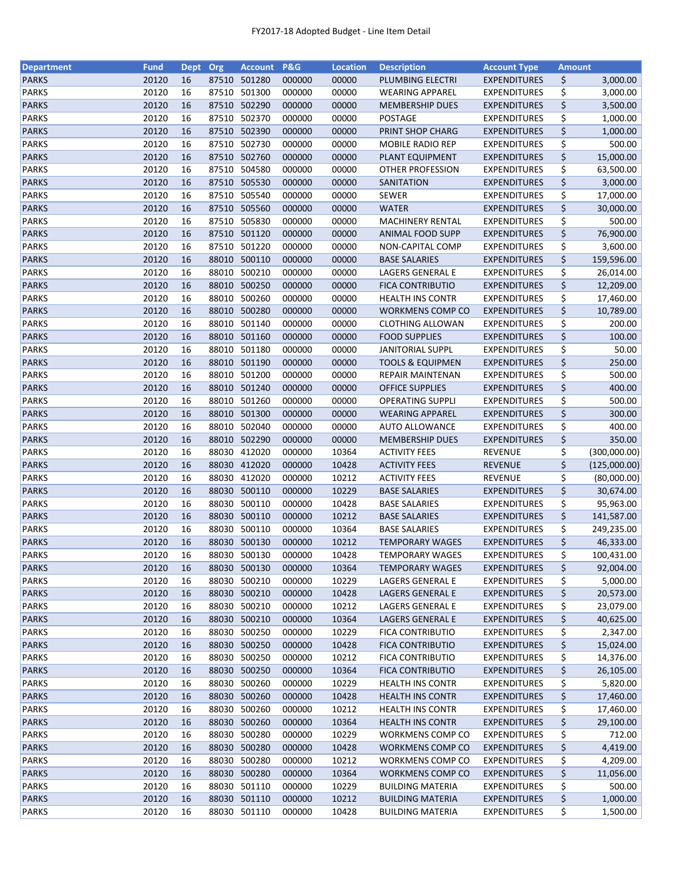| <b>Department</b>            | <b>Fund</b>    | <b>Dept</b> | Org   | <b>Account</b>   | P&G              | <b>Location</b> | <b>Description</b>                           | <b>Account Type</b>              | <b>Amount</b> |              |
|------------------------------|----------------|-------------|-------|------------------|------------------|-----------------|----------------------------------------------|----------------------------------|---------------|--------------|
| <b>PARKS</b>                 | 20120          | 16          | 87510 | 501280           | 000000           | 00000           | PLUMBING ELECTRI                             | <b>EXPENDITURES</b>              | \$            | 3,000.00     |
| <b>PARKS</b>                 | 20120          | 16          | 87510 | 501300           | 000000           | 00000           | <b>WEARING APPAREL</b>                       | <b>EXPENDITURES</b>              | \$            | 3,000.00     |
| <b>PARKS</b>                 | 20120          | 16          | 87510 | 502290           | 000000           | 00000           | <b>MEMBERSHIP DUES</b>                       | <b>EXPENDITURES</b>              | \$            | 3,500.00     |
| <b>PARKS</b>                 | 20120          | 16          | 87510 | 502370           | 000000           | 00000           | <b>POSTAGE</b>                               | <b>EXPENDITURES</b>              | \$            | 1,000.00     |
| <b>PARKS</b>                 | 20120          | 16          |       | 87510 502390     | 000000           | 00000           | PRINT SHOP CHARG                             | <b>EXPENDITURES</b>              | \$            | 1,000.00     |
| <b>PARKS</b>                 | 20120          | 16          |       | 87510 502730     | 000000           | 00000           | MOBILE RADIO REP                             | <b>EXPENDITURES</b>              | \$            | 500.00       |
| <b>PARKS</b>                 | 20120          | 16          |       | 87510 502760     | 000000           | 00000           | PLANT EQUIPMENT                              | <b>EXPENDITURES</b>              | \$            | 15,000.00    |
| <b>PARKS</b>                 | 20120          | 16          | 87510 | 504580           | 000000           | 00000           | OTHER PROFESSION                             | <b>EXPENDITURES</b>              | \$            | 63,500.00    |
| <b>PARKS</b>                 | 20120          | 16          |       | 87510 505530     | 000000           | 00000           | SANITATION                                   | <b>EXPENDITURES</b>              | \$            | 3,000.00     |
| <b>PARKS</b>                 | 20120          | 16          |       | 87510 505540     | 000000           | 00000           | <b>SEWER</b>                                 | <b>EXPENDITURES</b>              | \$            | 17,000.00    |
| <b>PARKS</b>                 | 20120          | 16          |       | 87510 505560     | 000000           | 00000           | <b>WATER</b>                                 | <b>EXPENDITURES</b>              | \$            | 30,000.00    |
| <b>PARKS</b>                 | 20120          | 16          |       | 87510 505830     | 000000           | 00000           | <b>MACHINERY RENTAL</b>                      | <b>EXPENDITURES</b>              | \$            | 500.00       |
| <b>PARKS</b>                 | 20120          | 16          |       | 87510 501120     | 000000           | 00000           | <b>ANIMAL FOOD SUPP</b>                      | <b>EXPENDITURES</b>              | \$            | 76,900.00    |
| <b>PARKS</b>                 | 20120          | 16          | 87510 | 501220           | 000000           | 00000           | NON-CAPITAL COMP                             | <b>EXPENDITURES</b>              | \$            | 3,600.00     |
| <b>PARKS</b>                 | 20120          | 16          | 88010 | 500110           | 000000           | 00000           | <b>BASE SALARIES</b>                         | <b>EXPENDITURES</b>              | \$            | 159,596.00   |
| <b>PARKS</b>                 | 20120          | 16          | 88010 | 500210           | 000000           | 00000           | LAGERS GENERAL E                             | <b>EXPENDITURES</b>              | \$            | 26,014.00    |
| <b>PARKS</b>                 | 20120          | 16          |       | 88010 500250     | 000000           | 00000           | <b>FICA CONTRIBUTIO</b>                      | <b>EXPENDITURES</b>              | \$            | 12,209.00    |
| <b>PARKS</b>                 | 20120          | 16          |       | 88010 500260     | 000000           | 00000           | <b>HEALTH INS CONTR</b>                      | <b>EXPENDITURES</b>              | \$            | 17,460.00    |
| <b>PARKS</b>                 | 20120          | 16          |       | 88010 500280     | 000000           | 00000           | WORKMENS COMP CO                             | <b>EXPENDITURES</b>              | \$            | 10,789.00    |
| <b>PARKS</b>                 | 20120          | 16          | 88010 | 501140           | 000000           | 00000           | <b>CLOTHING ALLOWAN</b>                      | <b>EXPENDITURES</b>              | \$            | 200.00       |
| <b>PARKS</b>                 | 20120          | 16          |       | 88010 501160     | 000000           | 00000           | <b>FOOD SUPPLIES</b>                         | <b>EXPENDITURES</b>              | \$            | 100.00       |
| <b>PARKS</b>                 | 20120          | 16          |       | 88010 501180     | 000000           | 00000           | <b>JANITORIAL SUPPL</b>                      | <b>EXPENDITURES</b>              | \$            | 50.00        |
| <b>PARKS</b>                 | 20120          | 16          |       | 88010 501190     | 000000           | 00000           | <b>TOOLS &amp; EQUIPMEN</b>                  | <b>EXPENDITURES</b>              | \$            | 250.00       |
| <b>PARKS</b>                 | 20120          | 16          |       | 88010 501200     | 000000           | 00000           | REPAIR MAINTENAN                             | <b>EXPENDITURES</b>              | \$            | 500.00       |
| <b>PARKS</b>                 | 20120          | 16          |       | 88010 501240     | 000000           | 00000           | <b>OFFICE SUPPLIES</b>                       | <b>EXPENDITURES</b>              | \$            | 400.00       |
| <b>PARKS</b>                 | 20120          | 16          | 88010 | 501260           | 000000           | 00000           | <b>OPERATING SUPPLI</b>                      | <b>EXPENDITURES</b>              | \$            | 500.00       |
| <b>PARKS</b>                 | 20120          | 16          | 88010 | 501300           | 000000           | 00000           | <b>WEARING APPAREL</b>                       | <b>EXPENDITURES</b>              | \$            | 300.00       |
|                              |                |             |       | 502040           |                  |                 |                                              |                                  |               |              |
| <b>PARKS</b>                 | 20120          | 16          | 88010 |                  | 000000           | 00000           | <b>AUTO ALLOWANCE</b>                        | <b>EXPENDITURES</b>              | \$            | 400.00       |
| <b>PARKS</b>                 | 20120          | 16          | 88030 | 88010 502290     | 000000           | 00000           | <b>MEMBERSHIP DUES</b>                       | <b>EXPENDITURES</b>              | \$            | 350.00       |
| <b>PARKS</b><br><b>PARKS</b> | 20120<br>20120 | 16<br>16    | 88030 | 412020<br>412020 | 000000<br>000000 | 10364<br>10428  | <b>ACTIVITY FEES</b><br><b>ACTIVITY FEES</b> | <b>REVENUE</b><br><b>REVENUE</b> | \$<br>\$      | (300,000.00) |
|                              |                |             |       |                  |                  |                 |                                              |                                  |               | (125,000.00) |
| <b>PARKS</b>                 | 20120          | 16          |       | 88030 412020     | 000000           | 10212           | <b>ACTIVITY FEES</b>                         | REVENUE                          | \$            | (80,000.00)  |
| <b>PARKS</b>                 | 20120          | 16          |       | 88030 500110     | 000000           | 10229           | <b>BASE SALARIES</b>                         | <b>EXPENDITURES</b>              | \$            | 30,674.00    |
| <b>PARKS</b>                 | 20120          | 16          | 88030 | 500110           | 000000           | 10428           | <b>BASE SALARIES</b>                         | <b>EXPENDITURES</b>              | \$            | 95,963.00    |
| <b>PARKS</b>                 | 20120          | 16          |       | 88030 500110     | 000000           | 10212           | <b>BASE SALARIES</b>                         | <b>EXPENDITURES</b>              | \$            | 141,587.00   |
| <b>PARKS</b>                 | 20120          | 16          |       | 88030 500110     | 000000           | 10364           | <b>BASE SALARIES</b>                         | <b>EXPENDITURES</b>              | \$            | 249,235.00   |
| <b>PARKS</b>                 | 20120          | 16          |       | 88030 500130     | 000000           | 10212           | <b>TEMPORARY WAGES</b>                       | <b>EXPENDITURES</b>              | \$            | 46,333.00    |
| <b>PARKS</b>                 | 20120          | 16          |       | 88030 500130     | 000000           | 10428           | <b>TEMPORARY WAGES</b>                       | <b>EXPENDITURES</b>              | \$            | 100,431.00   |
| <b>PARKS</b>                 | 20120          | 16          |       | 88030 500130     | 000000           | 10364           | <b>TEMPORARY WAGES</b>                       | <b>EXPENDITURES</b>              | \$            | 92,004.00    |
| <b>PARKS</b>                 | 20120          | 16          | 88030 | 500210           | 000000           | 10229           | LAGERS GENERAL E                             | <b>EXPENDITURES</b>              | \$            | 5,000.00     |
| <b>PARKS</b>                 | 20120          | 16          |       | 88030 500210     | 000000           | 10428           | LAGERS GENERAL E                             | <b>EXPENDITURES</b>              | \$            | 20,573.00    |
| <b>PARKS</b>                 | 20120          | 16          |       | 88030 500210     | 000000           | 10212           | LAGERS GENERAL E                             | <b>EXPENDITURES</b>              | \$            | 23,079.00    |
| <b>PARKS</b>                 | 20120          | 16          |       | 88030 500210     | 000000           | 10364           | LAGERS GENERAL E                             | <b>EXPENDITURES</b>              | \$            | 40,625.00    |
| <b>PARKS</b>                 | 20120          | 16          |       | 88030 500250     | 000000           | 10229           | <b>FICA CONTRIBUTIO</b>                      | <b>EXPENDITURES</b>              | \$            | 2,347.00     |
| <b>PARKS</b>                 | 20120          | 16          |       | 88030 500250     | 000000           | 10428           | <b>FICA CONTRIBUTIO</b>                      | <b>EXPENDITURES</b>              | \$            | 15,024.00    |
| PARKS                        | 20120          | 16          |       | 88030 500250     | 000000           | 10212           | <b>FICA CONTRIBUTIO</b>                      | <b>EXPENDITURES</b>              | \$            | 14,376.00    |
| <b>PARKS</b>                 | 20120          | 16          |       | 88030 500250     | 000000           | 10364           | <b>FICA CONTRIBUTIO</b>                      | <b>EXPENDITURES</b>              | \$            | 26,105.00    |
| PARKS                        | 20120          | 16          |       | 88030 500260     | 000000           | 10229           | <b>HEALTH INS CONTR</b>                      | <b>EXPENDITURES</b>              | \$            | 5,820.00     |
| <b>PARKS</b>                 | 20120          | 16          |       | 88030 500260     | 000000           | 10428           | <b>HEALTH INS CONTR</b>                      | <b>EXPENDITURES</b>              | \$            | 17,460.00    |
| <b>PARKS</b>                 | 20120          | 16          | 88030 | 500260           | 000000           | 10212           | <b>HEALTH INS CONTR</b>                      | <b>EXPENDITURES</b>              | \$            | 17,460.00    |
| <b>PARKS</b>                 | 20120          | 16          | 88030 | 500260           | 000000           | 10364           | <b>HEALTH INS CONTR</b>                      | <b>EXPENDITURES</b>              | \$            | 29,100.00    |
| <b>PARKS</b>                 | 20120          | 16          | 88030 | 500280           | 000000           | 10229           | WORKMENS COMP CO                             | <b>EXPENDITURES</b>              | \$            | 712.00       |
| <b>PARKS</b>                 | 20120          | 16          |       | 88030 500280     | 000000           | 10428           | WORKMENS COMP CO                             | <b>EXPENDITURES</b>              | \$            | 4,419.00     |
| <b>PARKS</b>                 | 20120          | 16          | 88030 | 500280           | 000000           | 10212           | WORKMENS COMP CO                             | <b>EXPENDITURES</b>              | \$            | 4,209.00     |
| <b>PARKS</b>                 | 20120          | 16          |       | 88030 500280     | 000000           | 10364           | WORKMENS COMP CO                             | <b>EXPENDITURES</b>              | \$            | 11,056.00    |
| <b>PARKS</b>                 | 20120          | 16          |       | 88030 501110     | 000000           | 10229           | <b>BUILDING MATERIA</b>                      | <b>EXPENDITURES</b>              | \$            | 500.00       |
| <b>PARKS</b>                 | 20120          | 16          |       | 88030 501110     | 000000           | 10212           | <b>BUILDING MATERIA</b>                      | <b>EXPENDITURES</b>              | \$            | 1,000.00     |
| <b>PARKS</b>                 | 20120          | 16          |       | 88030 501110     | 000000           | 10428           | <b>BUILDING MATERIA</b>                      | <b>EXPENDITURES</b>              | \$            | 1,500.00     |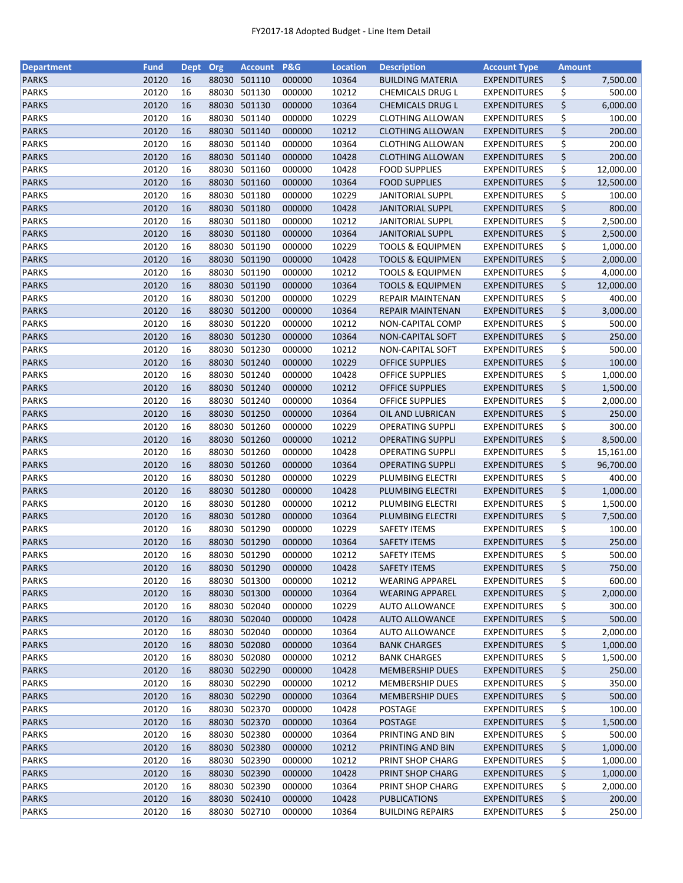| <b>Department</b> | <b>Fund</b> | <b>Dept</b> | Org   | <b>Account</b> | <b>P&amp;G</b> | <b>Location</b> | <b>Description</b>          | <b>Account Type</b> | <b>Amount</b> |           |
|-------------------|-------------|-------------|-------|----------------|----------------|-----------------|-----------------------------|---------------------|---------------|-----------|
| <b>PARKS</b>      | 20120       | 16          | 88030 | 501110         | 000000         | 10364           | <b>BUILDING MATERIA</b>     | <b>EXPENDITURES</b> | \$            | 7,500.00  |
| <b>PARKS</b>      | 20120       | 16          | 88030 | 501130         | 000000         | 10212           | CHEMICALS DRUG L            | <b>EXPENDITURES</b> | \$            | 500.00    |
| <b>PARKS</b>      | 20120       | 16          | 88030 | 501130         | 000000         | 10364           | <b>CHEMICALS DRUG L</b>     | <b>EXPENDITURES</b> | \$            | 6,000.00  |
| <b>PARKS</b>      | 20120       | 16          | 88030 | 501140         | 000000         | 10229           | <b>CLOTHING ALLOWAN</b>     | <b>EXPENDITURES</b> | \$            | 100.00    |
| <b>PARKS</b>      | 20120       | 16          |       | 88030 501140   | 000000         | 10212           | <b>CLOTHING ALLOWAN</b>     | <b>EXPENDITURES</b> | \$            | 200.00    |
| <b>PARKS</b>      | 20120       | 16          |       | 88030 501140   | 000000         | 10364           | <b>CLOTHING ALLOWAN</b>     | <b>EXPENDITURES</b> | \$            | 200.00    |
| <b>PARKS</b>      | 20120       | 16          |       | 88030 501140   | 000000         | 10428           | <b>CLOTHING ALLOWAN</b>     | <b>EXPENDITURES</b> | \$            | 200.00    |
| <b>PARKS</b>      | 20120       | 16          |       | 88030 501160   | 000000         | 10428           | <b>FOOD SUPPLIES</b>        | <b>EXPENDITURES</b> | \$            | 12,000.00 |
| <b>PARKS</b>      | 20120       | 16          |       | 88030 501160   | 000000         | 10364           | <b>FOOD SUPPLIES</b>        | <b>EXPENDITURES</b> | \$            | 12,500.00 |
| <b>PARKS</b>      | 20120       | 16          | 88030 | 501180         | 000000         | 10229           | <b>JANITORIAL SUPPL</b>     | <b>EXPENDITURES</b> | \$            | 100.00    |
| <b>PARKS</b>      | 20120       | 16          |       | 88030 501180   | 000000         | 10428           | <b>JANITORIAL SUPPL</b>     | <b>EXPENDITURES</b> | \$            | 800.00    |
| <b>PARKS</b>      | 20120       | 16          |       | 88030 501180   | 000000         | 10212           | <b>JANITORIAL SUPPL</b>     | <b>EXPENDITURES</b> | \$            | 2,500.00  |
| <b>PARKS</b>      | 20120       | 16          |       | 88030 501180   | 000000         | 10364           | <b>JANITORIAL SUPPL</b>     | <b>EXPENDITURES</b> | \$            | 2,500.00  |
| <b>PARKS</b>      | 20120       | 16          | 88030 | 501190         | 000000         | 10229           | <b>TOOLS &amp; EQUIPMEN</b> | <b>EXPENDITURES</b> | \$            | 1,000.00  |
| <b>PARKS</b>      | 20120       | 16          | 88030 | 501190         | 000000         | 10428           | <b>TOOLS &amp; EQUIPMEN</b> | <b>EXPENDITURES</b> | \$            | 2,000.00  |
| <b>PARKS</b>      | 20120       | 16          | 88030 | 501190         | 000000         | 10212           | <b>TOOLS &amp; EQUIPMEN</b> | <b>EXPENDITURES</b> | \$            | 4,000.00  |
| <b>PARKS</b>      | 20120       | 16          |       | 88030 501190   | 000000         | 10364           | <b>TOOLS &amp; EQUIPMEN</b> | <b>EXPENDITURES</b> | \$            | 12,000.00 |
| <b>PARKS</b>      | 20120       | 16          |       | 88030 501200   | 000000         | 10229           | REPAIR MAINTENAN            | <b>EXPENDITURES</b> | \$            | 400.00    |
| <b>PARKS</b>      | 20120       | 16          |       | 88030 501200   | 000000         | 10364           | REPAIR MAINTENAN            | <b>EXPENDITURES</b> | \$            | 3,000.00  |
| <b>PARKS</b>      | 20120       | 16          |       | 88030 501220   | 000000         | 10212           | NON-CAPITAL COMP            | <b>EXPENDITURES</b> | \$            | 500.00    |
| <b>PARKS</b>      | 20120       | 16          |       | 88030 501230   | 000000         | 10364           | <b>NON-CAPITAL SOFT</b>     | <b>EXPENDITURES</b> | \$            | 250.00    |
| <b>PARKS</b>      | 20120       | 16          | 88030 | 501230         | 000000         | 10212           | NON-CAPITAL SOFT            | <b>EXPENDITURES</b> | \$            | 500.00    |
| <b>PARKS</b>      | 20120       | 16          |       | 88030 501240   | 000000         | 10229           | <b>OFFICE SUPPLIES</b>      | <b>EXPENDITURES</b> | \$            | 100.00    |
| <b>PARKS</b>      | 20120       | 16          |       | 88030 501240   | 000000         | 10428           | <b>OFFICE SUPPLIES</b>      | <b>EXPENDITURES</b> | \$            | 1,000.00  |
| <b>PARKS</b>      | 20120       | 16          |       | 88030 501240   | 000000         | 10212           | <b>OFFICE SUPPLIES</b>      | <b>EXPENDITURES</b> | \$            | 1,500.00  |
| <b>PARKS</b>      | 20120       | 16          | 88030 | 501240         | 000000         | 10364           | <b>OFFICE SUPPLIES</b>      | <b>EXPENDITURES</b> | \$            | 2,000.00  |
| <b>PARKS</b>      | 20120       | 16          | 88030 | 501250         | 000000         | 10364           | OIL AND LUBRICAN            | <b>EXPENDITURES</b> | \$            | 250.00    |
| <b>PARKS</b>      | 20120       | 16          | 88030 | 501260         | 000000         | 10229           | <b>OPERATING SUPPLI</b>     | <b>EXPENDITURES</b> | \$            | 300.00    |
| <b>PARKS</b>      | 20120       | 16          | 88030 | 501260         | 000000         | 10212           | <b>OPERATING SUPPLI</b>     | <b>EXPENDITURES</b> | \$            | 8,500.00  |
| <b>PARKS</b>      | 20120       | 16          | 88030 | 501260         | 000000         | 10428           | <b>OPERATING SUPPLI</b>     | <b>EXPENDITURES</b> | \$            | 15,161.00 |
| <b>PARKS</b>      | 20120       | 16          |       | 88030 501260   | 000000         | 10364           | <b>OPERATING SUPPLI</b>     | <b>EXPENDITURES</b> | \$            | 96,700.00 |
| <b>PARKS</b>      | 20120       | 16          |       | 88030 501280   | 000000         | 10229           | PLUMBING ELECTRI            | <b>EXPENDITURES</b> | \$            | 400.00    |
| <b>PARKS</b>      | 20120       | 16          |       | 88030 501280   | 000000         | 10428           | PLUMBING ELECTRI            | <b>EXPENDITURES</b> | \$            | 1,000.00  |
| <b>PARKS</b>      | 20120       | 16          | 88030 | 501280         | 000000         | 10212           | PLUMBING ELECTRI            | <b>EXPENDITURES</b> | \$            | 1,500.00  |
| <b>PARKS</b>      | 20120       | 16          |       | 88030 501280   | 000000         | 10364           | PLUMBING ELECTRI            | <b>EXPENDITURES</b> | \$            | 7,500.00  |
| <b>PARKS</b>      | 20120       | 16          |       | 88030 501290   | 000000         | 10229           | <b>SAFETY ITEMS</b>         | <b>EXPENDITURES</b> | \$            | 100.00    |
| <b>PARKS</b>      | 20120       | 16          |       | 88030 501290   | 000000         | 10364           | <b>SAFETY ITEMS</b>         | <b>EXPENDITURES</b> | \$            | 250.00    |
| <b>PARKS</b>      | 20120       | 16          |       | 88030 501290   | 000000         | 10212           | <b>SAFETY ITEMS</b>         | <b>EXPENDITURES</b> | \$            | 500.00    |
| <b>PARKS</b>      | 20120       | 16          |       | 88030 501290   | 000000         | 10428           | <b>SAFETY ITEMS</b>         | <b>EXPENDITURES</b> | \$            | 750.00    |
| <b>PARKS</b>      | 20120       | 16          | 88030 | 501300         | 000000         | 10212           | <b>WEARING APPAREL</b>      | <b>EXPENDITURES</b> | \$            | 600.00    |
| <b>PARKS</b>      | 20120       | 16          |       | 88030 501300   | 000000         | 10364           | <b>WEARING APPAREL</b>      | <b>EXPENDITURES</b> | \$            | 2,000.00  |
| <b>PARKS</b>      | 20120       | 16          |       | 88030 502040   | 000000         | 10229           | <b>AUTO ALLOWANCE</b>       | <b>EXPENDITURES</b> | \$            | 300.00    |
| <b>PARKS</b>      | 20120       | 16          |       | 88030 502040   | 000000         | 10428           | <b>AUTO ALLOWANCE</b>       | <b>EXPENDITURES</b> | \$            | 500.00    |
| <b>PARKS</b>      | 20120       | 16          |       | 88030 502040   | 000000         | 10364           | <b>AUTO ALLOWANCE</b>       | <b>EXPENDITURES</b> | \$            | 2,000.00  |
| <b>PARKS</b>      | 20120       | 16          |       | 88030 502080   | 000000         | 10364           | <b>BANK CHARGES</b>         | <b>EXPENDITURES</b> | \$            | 1,000.00  |
| <b>PARKS</b>      | 20120       | 16          |       | 88030 502080   | 000000         | 10212           | <b>BANK CHARGES</b>         | <b>EXPENDITURES</b> | \$            | 1,500.00  |
| <b>PARKS</b>      | 20120       | 16          |       | 88030 502290   | 000000         | 10428           | <b>MEMBERSHIP DUES</b>      | <b>EXPENDITURES</b> | \$            | 250.00    |
| PARKS             | 20120       | 16          |       | 88030 502290   | 000000         | 10212           | <b>MEMBERSHIP DUES</b>      | <b>EXPENDITURES</b> | \$            | 350.00    |
| <b>PARKS</b>      | 20120       | 16          |       | 88030 502290   | 000000         | 10364           | <b>MEMBERSHIP DUES</b>      | <b>EXPENDITURES</b> | \$            | 500.00    |
| <b>PARKS</b>      | 20120       | 16          |       | 88030 502370   | 000000         | 10428           | POSTAGE                     | <b>EXPENDITURES</b> | \$            | 100.00    |
| <b>PARKS</b>      | 20120       | 16          |       | 88030 502370   | 000000         | 10364           | <b>POSTAGE</b>              | <b>EXPENDITURES</b> | \$            | 1,500.00  |
| <b>PARKS</b>      | 20120       | 16          | 88030 | 502380         | 000000         | 10364           | PRINTING AND BIN            | <b>EXPENDITURES</b> | \$            | 500.00    |
| <b>PARKS</b>      | 20120       | 16          |       | 88030 502380   | 000000         | 10212           | PRINTING AND BIN            | <b>EXPENDITURES</b> | \$            | 1,000.00  |
| <b>PARKS</b>      | 20120       | 16          |       | 88030 502390   | 000000         | 10212           | PRINT SHOP CHARG            | <b>EXPENDITURES</b> | \$            | 1,000.00  |
| <b>PARKS</b>      | 20120       | 16          |       | 88030 502390   | 000000         | 10428           | PRINT SHOP CHARG            | <b>EXPENDITURES</b> | \$            | 1,000.00  |
| <b>PARKS</b>      | 20120       | 16          |       | 88030 502390   | 000000         | 10364           | PRINT SHOP CHARG            | <b>EXPENDITURES</b> | \$            | 2,000.00  |
| <b>PARKS</b>      | 20120       | 16          |       | 88030 502410   | 000000         | 10428           | <b>PUBLICATIONS</b>         | <b>EXPENDITURES</b> | \$            | 200.00    |
| <b>PARKS</b>      | 20120       | 16          |       | 88030 502710   | 000000         | 10364           | <b>BUILDING REPAIRS</b>     | <b>EXPENDITURES</b> | \$            | 250.00    |
|                   |             |             |       |                |                |                 |                             |                     |               |           |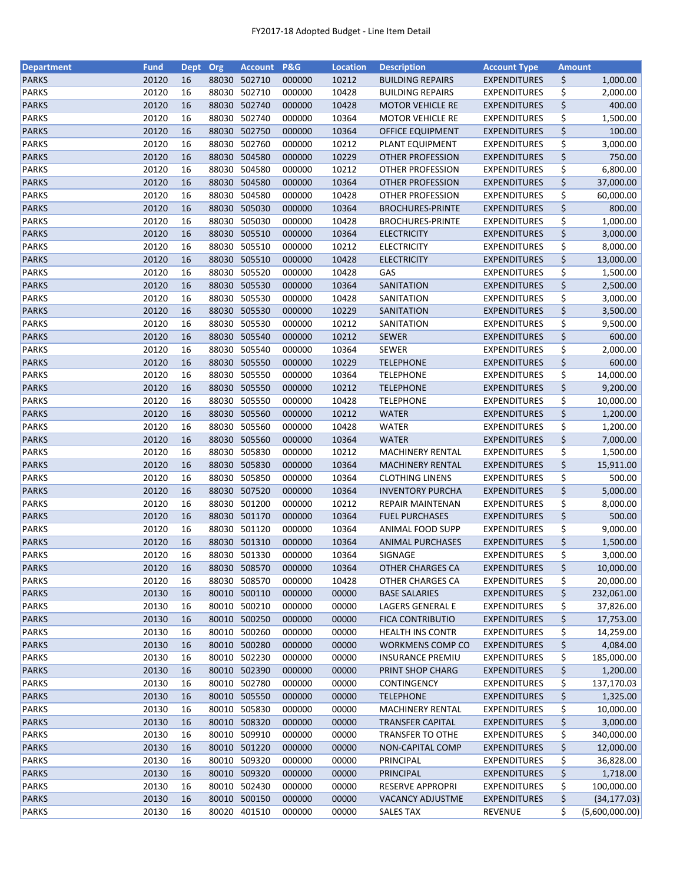| <b>Department</b> | <b>Fund</b> | <b>Dept</b> | Org   | <b>Account</b> | <b>P&amp;G</b> | <b>Location</b> | <b>Description</b>                   | <b>Account Type</b> | <b>Amount</b> |                |
|-------------------|-------------|-------------|-------|----------------|----------------|-----------------|--------------------------------------|---------------------|---------------|----------------|
| <b>PARKS</b>      | 20120       | 16          | 88030 | 502710         | 000000         | 10212           | <b>BUILDING REPAIRS</b>              | <b>EXPENDITURES</b> | \$            | 1,000.00       |
| <b>PARKS</b>      | 20120       | 16          | 88030 | 502710         | 000000         | 10428           | <b>BUILDING REPAIRS</b>              | <b>EXPENDITURES</b> | \$            | 2,000.00       |
| <b>PARKS</b>      | 20120       | 16          | 88030 | 502740         | 000000         | 10428           | <b>MOTOR VEHICLE RE</b>              | <b>EXPENDITURES</b> | \$            | 400.00         |
| <b>PARKS</b>      | 20120       | 16          | 88030 | 502740         | 000000         | 10364           | <b>MOTOR VEHICLE RE</b>              | <b>EXPENDITURES</b> | \$            | 1,500.00       |
| <b>PARKS</b>      | 20120       | 16          |       | 88030 502750   | 000000         | 10364           | <b>OFFICE EQUIPMENT</b>              | <b>EXPENDITURES</b> | \$            | 100.00         |
| <b>PARKS</b>      | 20120       | 16          |       | 88030 502760   | 000000         | 10212           | PLANT EQUIPMENT                      | <b>EXPENDITURES</b> | \$            | 3,000.00       |
| <b>PARKS</b>      | 20120       | 16          | 88030 | 504580         | 000000         | 10229           | <b>OTHER PROFESSION</b>              | <b>EXPENDITURES</b> | \$            | 750.00         |
| <b>PARKS</b>      | 20120       | 16          | 88030 | 504580         | 000000         | 10212           | OTHER PROFESSION                     | <b>EXPENDITURES</b> | \$            | 6,800.00       |
| <b>PARKS</b>      | 20120       | 16          | 88030 | 504580         | 000000         | 10364           | OTHER PROFESSION                     | <b>EXPENDITURES</b> | \$            | 37,000.00      |
| <b>PARKS</b>      | 20120       | 16          | 88030 | 504580         | 000000         | 10428           | OTHER PROFESSION                     | <b>EXPENDITURES</b> | \$            | 60,000.00      |
| <b>PARKS</b>      | 20120       | 16          |       | 88030 505030   | 000000         | 10364           | <b>BROCHURES-PRINTE</b>              | <b>EXPENDITURES</b> | \$            | 800.00         |
| <b>PARKS</b>      | 20120       | 16          | 88030 | 505030         | 000000         | 10428           | <b>BROCHURES-PRINTE</b>              | <b>EXPENDITURES</b> | \$            | 1,000.00       |
| <b>PARKS</b>      | 20120       | 16          | 88030 | 505510         | 000000         | 10364           | <b>ELECTRICITY</b>                   | <b>EXPENDITURES</b> | \$            | 3,000.00       |
| <b>PARKS</b>      | 20120       | 16          | 88030 | 505510         | 000000         | 10212           | <b>ELECTRICITY</b>                   | <b>EXPENDITURES</b> | \$            | 8,000.00       |
| <b>PARKS</b>      | 20120       | 16          | 88030 | 505510         | 000000         | 10428           | <b>ELECTRICITY</b>                   | <b>EXPENDITURES</b> | \$            | 13,000.00      |
| <b>PARKS</b>      | 20120       | 16          | 88030 | 505520         | 000000         | 10428           | GAS                                  | <b>EXPENDITURES</b> | \$            | 1,500.00       |
| <b>PARKS</b>      | 20120       | 16          |       | 88030 505530   | 000000         | 10364           | SANITATION                           | <b>EXPENDITURES</b> | \$            | 2,500.00       |
| <b>PARKS</b>      | 20120       | 16          |       | 88030 505530   | 000000         | 10428           | SANITATION                           | <b>EXPENDITURES</b> | \$            | 3,000.00       |
| <b>PARKS</b>      | 20120       | 16          |       | 88030 505530   | 000000         | 10229           | SANITATION                           | <b>EXPENDITURES</b> | \$            | 3,500.00       |
| <b>PARKS</b>      | 20120       | 16          |       | 88030 505530   | 000000         | 10212           | SANITATION                           | <b>EXPENDITURES</b> | \$            | 9,500.00       |
|                   | 20120       | 16          | 88030 | 505540         | 000000         | 10212           |                                      | <b>EXPENDITURES</b> | \$            | 600.00         |
| <b>PARKS</b>      |             |             |       |                |                |                 | <b>SEWER</b>                         |                     |               |                |
| <b>PARKS</b>      | 20120       | 16          | 88030 | 505540         | 000000         | 10364           | <b>SEWER</b>                         | <b>EXPENDITURES</b> | \$            | 2,000.00       |
| <b>PARKS</b>      | 20120       | 16          |       | 88030 505550   | 000000         | 10229           | <b>TELEPHONE</b><br><b>TELEPHONE</b> | <b>EXPENDITURES</b> | \$            | 600.00         |
| <b>PARKS</b>      | 20120       | 16          |       | 88030 505550   | 000000         | 10364           |                                      | <b>EXPENDITURES</b> | \$            | 14,000.00      |
| <b>PARKS</b>      | 20120       | 16          |       | 88030 505550   | 000000         | 10212           | <b>TELEPHONE</b>                     | <b>EXPENDITURES</b> | \$            | 9,200.00       |
| <b>PARKS</b>      | 20120       | 16          | 88030 | 505550         | 000000         | 10428           | <b>TELEPHONE</b>                     | <b>EXPENDITURES</b> | \$            | 10,000.00      |
| <b>PARKS</b>      | 20120       | 16          | 88030 | 505560         | 000000         | 10212           | <b>WATER</b>                         | <b>EXPENDITURES</b> | \$            | 1,200.00       |
| <b>PARKS</b>      | 20120       | 16          | 88030 | 505560         | 000000         | 10428           | <b>WATER</b>                         | <b>EXPENDITURES</b> | \$            | 1,200.00       |
| <b>PARKS</b>      | 20120       | 16          | 88030 | 505560         | 000000         | 10364           | <b>WATER</b>                         | <b>EXPENDITURES</b> | \$            | 7,000.00       |
| <b>PARKS</b>      | 20120       | 16          | 88030 | 505830         | 000000         | 10212           | <b>MACHINERY RENTAL</b>              | <b>EXPENDITURES</b> | \$            | 1,500.00       |
| <b>PARKS</b>      | 20120       | 16          |       | 88030 505830   | 000000         | 10364           | <b>MACHINERY RENTAL</b>              | <b>EXPENDITURES</b> | \$            | 15,911.00      |
| <b>PARKS</b>      | 20120       | 16          |       | 88030 505850   | 000000         | 10364           | <b>CLOTHING LINENS</b>               | <b>EXPENDITURES</b> | \$            | 500.00         |
| <b>PARKS</b>      | 20120       | 16          |       | 88030 507520   | 000000         | 10364           | <b>INVENTORY PURCHA</b>              | <b>EXPENDITURES</b> | \$            | 5,000.00       |
| <b>PARKS</b>      | 20120       | 16          | 88030 | 501200         | 000000         | 10212           | REPAIR MAINTENAN                     | <b>EXPENDITURES</b> | \$            | 8,000.00       |
| <b>PARKS</b>      | 20120       | 16          |       | 88030 501170   | 000000         | 10364           | <b>FUEL PURCHASES</b>                | <b>EXPENDITURES</b> | \$            | 500.00         |
| <b>PARKS</b>      | 20120       | 16          |       | 88030 501120   | 000000         | 10364           | ANIMAL FOOD SUPP                     | <b>EXPENDITURES</b> | \$            | 9,000.00       |
| <b>PARKS</b>      | 20120       | 16          |       | 88030 501310   | 000000         | 10364           | <b>ANIMAL PURCHASES</b>              | <b>EXPENDITURES</b> | \$            | 1,500.00       |
| <b>PARKS</b>      | 20120       | 16          |       | 88030 501330   | 000000         | 10364           | SIGNAGE                              | <b>EXPENDITURES</b> | \$            | 3,000.00       |
| <b>PARKS</b>      | 20120       | 16          |       | 88030 508570   | 000000         | 10364           | OTHER CHARGES CA                     | <b>EXPENDITURES</b> | \$            | 10,000.00      |
| <b>PARKS</b>      | 20120       | 16          | 88030 | 508570         | 000000         | 10428           | OTHER CHARGES CA                     | <b>EXPENDITURES</b> | \$            | 20,000.00      |
| <b>PARKS</b>      | 20130       | 16          |       | 80010 500110   | 000000         | 00000           | <b>BASE SALARIES</b>                 | <b>EXPENDITURES</b> | \$            | 232,061.00     |
| <b>PARKS</b>      | 20130       | 16          |       | 80010 500210   | 000000         | 00000           | LAGERS GENERAL E                     | <b>EXPENDITURES</b> | \$            | 37,826.00      |
| <b>PARKS</b>      | 20130       | 16          |       | 80010 500250   | 000000         | 00000           | <b>FICA CONTRIBUTIO</b>              | <b>EXPENDITURES</b> | \$            | 17,753.00      |
| <b>PARKS</b>      | 20130       | 16          |       | 80010 500260   | 000000         | 00000           | <b>HEALTH INS CONTR</b>              | <b>EXPENDITURES</b> | \$            | 14,259.00      |
| <b>PARKS</b>      | 20130       | 16          |       | 80010 500280   | 000000         | 00000           | WORKMENS COMP CO                     | <b>EXPENDITURES</b> | \$            | 4,084.00       |
| <b>PARKS</b>      | 20130       | 16          |       | 80010 502230   | 000000         | 00000           | <b>INSURANCE PREMIU</b>              | <b>EXPENDITURES</b> | \$            | 185,000.00     |
| <b>PARKS</b>      | 20130       | 16          |       | 80010 502390   | 000000         | 00000           | PRINT SHOP CHARG                     | <b>EXPENDITURES</b> | \$            | 1,200.00       |
| PARKS             | 20130       | 16          |       | 80010 502780   | 000000         | 00000           | <b>CONTINGENCY</b>                   | <b>EXPENDITURES</b> | \$            | 137,170.03     |
| <b>PARKS</b>      | 20130       | 16          |       | 80010 505550   | 000000         | 00000           | <b>TELEPHONE</b>                     | <b>EXPENDITURES</b> | \$            | 1,325.00       |
| <b>PARKS</b>      | 20130       | 16          |       | 80010 505830   | 000000         | 00000           | MACHINERY RENTAL                     | <b>EXPENDITURES</b> | \$            | 10,000.00      |
| <b>PARKS</b>      | 20130       | 16          |       | 80010 508320   | 000000         | 00000           | <b>TRANSFER CAPITAL</b>              | <b>EXPENDITURES</b> | \$            | 3,000.00       |
| <b>PARKS</b>      | 20130       | 16          | 80010 | 509910         | 000000         | 00000           | <b>TRANSFER TO OTHE</b>              | <b>EXPENDITURES</b> | \$            | 340,000.00     |
| <b>PARKS</b>      | 20130       | 16          |       | 80010 501220   | 000000         | 00000           | <b>NON-CAPITAL COMP</b>              | <b>EXPENDITURES</b> | \$            | 12,000.00      |
| <b>PARKS</b>      | 20130       | 16          |       | 80010 509320   | 000000         | 00000           | PRINCIPAL                            | <b>EXPENDITURES</b> | \$            | 36,828.00      |
| <b>PARKS</b>      | 20130       | 16          |       | 80010 509320   | 000000         | 00000           | PRINCIPAL                            | <b>EXPENDITURES</b> | \$            | 1,718.00       |
| <b>PARKS</b>      | 20130       | 16          |       | 80010 502430   | 000000         | 00000           | <b>RESERVE APPROPRI</b>              | <b>EXPENDITURES</b> | \$            | 100,000.00     |
| <b>PARKS</b>      | 20130       | 16          |       | 80010 500150   | 000000         | 00000           | VACANCY ADJUSTME                     | <b>EXPENDITURES</b> | \$            | (34, 177.03)   |
| <b>PARKS</b>      | 20130       | 16          |       | 80020 401510   | 000000         | 00000           | <b>SALES TAX</b>                     | <b>REVENUE</b>      | \$            | (5,600,000.00) |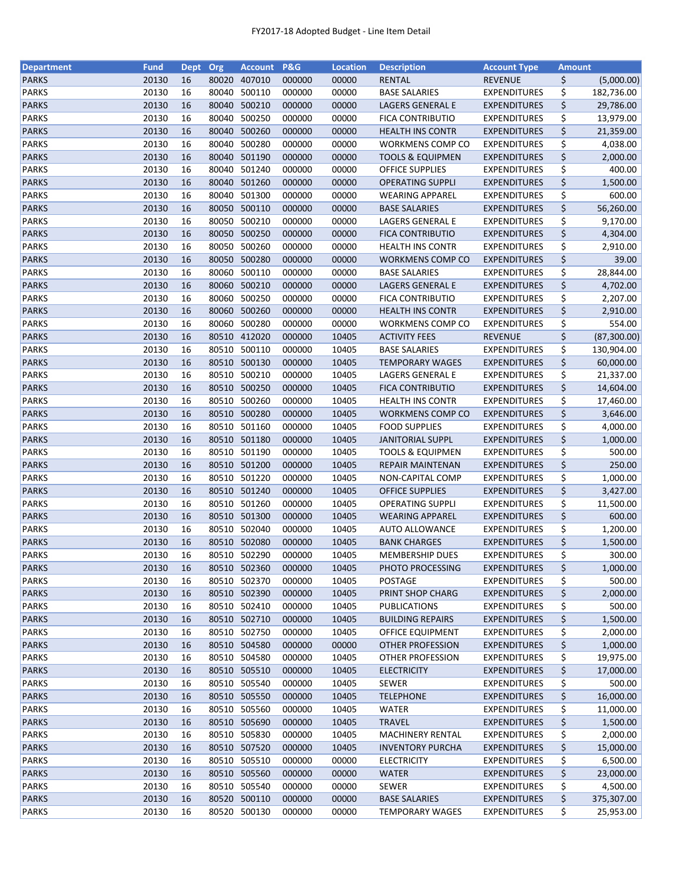| <b>Department</b> | <b>Fund</b> | <b>Dept</b> | Org   | <b>Account</b> | <b>P&amp;G</b> | <b>Location</b> | <b>Description</b>          | <b>Account Type</b> | <b>Amount</b> |             |
|-------------------|-------------|-------------|-------|----------------|----------------|-----------------|-----------------------------|---------------------|---------------|-------------|
| <b>PARKS</b>      | 20130       | 16          | 80020 | 407010         | 000000         | 00000           | <b>RENTAL</b>               | <b>REVENUE</b>      | \$            | (5,000.00)  |
| <b>PARKS</b>      | 20130       | 16          | 80040 | 500110         | 000000         | 00000           | <b>BASE SALARIES</b>        | <b>EXPENDITURES</b> | \$            | 182,736.00  |
| <b>PARKS</b>      | 20130       | 16          | 80040 | 500210         | 000000         | 00000           | <b>LAGERS GENERAL E</b>     | <b>EXPENDITURES</b> | \$            | 29,786.00   |
| <b>PARKS</b>      | 20130       | 16          | 80040 | 500250         | 000000         | 00000           | FICA CONTRIBUTIO            | <b>EXPENDITURES</b> | \$            | 13,979.00   |
| <b>PARKS</b>      | 20130       | 16          | 80040 | 500260         | 000000         | 00000           | <b>HEALTH INS CONTR</b>     | <b>EXPENDITURES</b> | \$            | 21,359.00   |
| <b>PARKS</b>      | 20130       | 16          | 80040 | 500280         | 000000         | 00000           | WORKMENS COMP CO            | <b>EXPENDITURES</b> | \$            | 4,038.00    |
| <b>PARKS</b>      | 20130       | 16          | 80040 | 501190         | 000000         | 00000           | <b>TOOLS &amp; EQUIPMEN</b> | <b>EXPENDITURES</b> | \$            | 2,000.00    |
| <b>PARKS</b>      | 20130       | 16          | 80040 | 501240         | 000000         | 00000           | <b>OFFICE SUPPLIES</b>      | <b>EXPENDITURES</b> | \$            | 400.00      |
| <b>PARKS</b>      | 20130       | 16          | 80040 | 501260         | 000000         | 00000           | <b>OPERATING SUPPLI</b>     | <b>EXPENDITURES</b> | \$            | 1,500.00    |
| <b>PARKS</b>      | 20130       | 16          | 80040 | 501300         | 000000         | 00000           | <b>WEARING APPAREL</b>      | <b>EXPENDITURES</b> | \$            | 600.00      |
| <b>PARKS</b>      | 20130       | 16          |       | 80050 500110   | 000000         | 00000           | <b>BASE SALARIES</b>        | <b>EXPENDITURES</b> | \$            | 56,260.00   |
| <b>PARKS</b>      | 20130       | 16          | 80050 | 500210         | 000000         | 00000           | LAGERS GENERAL E            | <b>EXPENDITURES</b> | \$            | 9,170.00    |
| <b>PARKS</b>      | 20130       | 16          | 80050 | 500250         | 000000         | 00000           | <b>FICA CONTRIBUTIO</b>     | <b>EXPENDITURES</b> | \$            | 4,304.00    |
| <b>PARKS</b>      | 20130       | 16          | 80050 | 500260         | 000000         | 00000           | <b>HEALTH INS CONTR</b>     | <b>EXPENDITURES</b> | \$            | 2,910.00    |
| <b>PARKS</b>      | 20130       | 16          | 80050 | 500280         | 000000         | 00000           | <b>WORKMENS COMP CO</b>     | <b>EXPENDITURES</b> | \$            | 39.00       |
| <b>PARKS</b>      | 20130       | 16          | 80060 | 500110         | 000000         | 00000           | <b>BASE SALARIES</b>        | <b>EXPENDITURES</b> | \$            | 28,844.00   |
| <b>PARKS</b>      | 20130       | 16          | 80060 | 500210         | 000000         | 00000           | LAGERS GENERAL E            | <b>EXPENDITURES</b> | \$            | 4,702.00    |
| <b>PARKS</b>      | 20130       | 16          | 80060 | 500250         | 000000         | 00000           | FICA CONTRIBUTIO            | <b>EXPENDITURES</b> | \$            | 2,207.00    |
| <b>PARKS</b>      | 20130       | 16          | 80060 | 500260         | 000000         | 00000           | <b>HEALTH INS CONTR</b>     | <b>EXPENDITURES</b> | \$            | 2,910.00    |
| <b>PARKS</b>      | 20130       | 16          | 80060 | 500280         | 000000         | 00000           | <b>WORKMENS COMP CO</b>     | <b>EXPENDITURES</b> | \$            | 554.00      |
| <b>PARKS</b>      | 20130       | 16          | 80510 | 412020         | 000000         | 10405           | <b>ACTIVITY FEES</b>        | <b>REVENUE</b>      | \$            | (87,300.00) |
| <b>PARKS</b>      | 20130       | 16          | 80510 | 500110         | 000000         | 10405           | <b>BASE SALARIES</b>        | <b>EXPENDITURES</b> | \$            | 130,904.00  |
| <b>PARKS</b>      | 20130       | 16          |       | 80510 500130   | 000000         | 10405           | <b>TEMPORARY WAGES</b>      | <b>EXPENDITURES</b> | \$            | 60,000.00   |
| <b>PARKS</b>      | 20130       | 16          | 80510 | 500210         | 000000         | 10405           | LAGERS GENERAL E            | <b>EXPENDITURES</b> | \$            | 21,337.00   |
| <b>PARKS</b>      | 20130       | 16          | 80510 | 500250         | 000000         | 10405           | <b>FICA CONTRIBUTIO</b>     | <b>EXPENDITURES</b> | \$            | 14,604.00   |
| <b>PARKS</b>      | 20130       | 16          | 80510 | 500260         | 000000         | 10405           | <b>HEALTH INS CONTR</b>     | <b>EXPENDITURES</b> | \$            | 17,460.00   |
| <b>PARKS</b>      | 20130       | 16          | 80510 | 500280         | 000000         | 10405           | <b>WORKMENS COMP CO</b>     | <b>EXPENDITURES</b> | \$            | 3,646.00    |
| <b>PARKS</b>      | 20130       | 16          | 80510 | 501160         | 000000         | 10405           | <b>FOOD SUPPLIES</b>        | <b>EXPENDITURES</b> | \$            | 4,000.00    |
| <b>PARKS</b>      | 20130       | 16          | 80510 | 501180         | 000000         | 10405           | <b>JANITORIAL SUPPL</b>     | <b>EXPENDITURES</b> | \$            | 1,000.00    |
| <b>PARKS</b>      | 20130       | 16          | 80510 | 501190         | 000000         | 10405           | <b>TOOLS &amp; EQUIPMEN</b> | <b>EXPENDITURES</b> | \$            | 500.00      |
| <b>PARKS</b>      | 20130       | 16          | 80510 | 501200         | 000000         | 10405           | <b>REPAIR MAINTENAN</b>     | <b>EXPENDITURES</b> | \$            | 250.00      |
| <b>PARKS</b>      | 20130       | 16          | 80510 | 501220         | 000000         | 10405           | NON-CAPITAL COMP            | <b>EXPENDITURES</b> | \$            | 1,000.00    |
| <b>PARKS</b>      | 20130       | 16          | 80510 | 501240         | 000000         | 10405           | <b>OFFICE SUPPLIES</b>      | <b>EXPENDITURES</b> | \$            | 3,427.00    |
| <b>PARKS</b>      | 20130       | 16          | 80510 | 501260         | 000000         | 10405           | <b>OPERATING SUPPLI</b>     | <b>EXPENDITURES</b> | \$            | 11,500.00   |
| <b>PARKS</b>      | 20130       | 16          | 80510 | 501300         | 000000         | 10405           | <b>WEARING APPAREL</b>      | <b>EXPENDITURES</b> | \$            | 600.00      |
| <b>PARKS</b>      | 20130       | 16          |       | 80510 502040   | 000000         | 10405           | <b>AUTO ALLOWANCE</b>       | <b>EXPENDITURES</b> | \$            | 1,200.00    |
| <b>PARKS</b>      | 20130       | 16          |       | 80510 502080   | 000000         | 10405           | <b>BANK CHARGES</b>         | <b>EXPENDITURES</b> | \$            | 1,500.00    |
| <b>PARKS</b>      | 20130       | 16          |       | 80510 502290   | 000000         | 10405           | <b>MEMBERSHIP DUES</b>      | <b>EXPENDITURES</b> | \$            | 300.00      |
| <b>PARKS</b>      | 20130       | 16          |       | 80510 502360   | 000000         | 10405           | PHOTO PROCESSING            | <b>EXPENDITURES</b> |               | 1,000.00    |
| <b>PARKS</b>      | 20130       |             |       | 502370         |                |                 |                             | <b>EXPENDITURES</b> | \$            | 500.00      |
|                   |             | 16          | 80510 | 80510 502390   | 000000         | 10405           | POSTAGE<br>PRINT SHOP CHARG |                     | \$            |             |
| <b>PARKS</b>      | 20130       | 16          |       |                | 000000         | 10405           |                             | <b>EXPENDITURES</b> | \$            | 2,000.00    |
| <b>PARKS</b>      | 20130       | 16          |       | 80510 502410   | 000000         | 10405           | <b>PUBLICATIONS</b>         | <b>EXPENDITURES</b> | \$            | 500.00      |
| <b>PARKS</b>      | 20130       | 16          |       | 80510 502710   | 000000         | 10405           | <b>BUILDING REPAIRS</b>     | <b>EXPENDITURES</b> | \$            | 1,500.00    |
| <b>PARKS</b>      | 20130       | 16          |       | 80510 502750   | 000000         | 10405           | <b>OFFICE EQUIPMENT</b>     | <b>EXPENDITURES</b> | \$            | 2,000.00    |
| <b>PARKS</b>      | 20130       | 16          |       | 80510 504580   | 000000         | 00000           | OTHER PROFESSION            | <b>EXPENDITURES</b> | \$            | 1,000.00    |
| <b>PARKS</b>      | 20130       | 16          |       | 80510 504580   | 000000         | 10405           | OTHER PROFESSION            | <b>EXPENDITURES</b> | \$            | 19,975.00   |
| <b>PARKS</b>      | 20130       | 16          |       | 80510 505510   | 000000         | 10405           | <b>ELECTRICITY</b>          | <b>EXPENDITURES</b> | \$            | 17,000.00   |
| PARKS             | 20130       | 16          |       | 80510 505540   | 000000         | 10405           | SEWER                       | <b>EXPENDITURES</b> | \$            | 500.00      |
| <b>PARKS</b>      | 20130       | 16          |       | 80510 505550   | 000000         | 10405           | <b>TELEPHONE</b>            | <b>EXPENDITURES</b> | \$            | 16,000.00   |
| <b>PARKS</b>      | 20130       | 16          |       | 80510 505560   | 000000         | 10405           | WATER                       | <b>EXPENDITURES</b> | \$            | 11,000.00   |
| <b>PARKS</b>      | 20130       | 16          |       | 80510 505690   | 000000         | 10405           | <b>TRAVEL</b>               | <b>EXPENDITURES</b> | \$            | 1,500.00    |
| <b>PARKS</b>      | 20130       | 16          | 80510 | 505830         | 000000         | 10405           | MACHINERY RENTAL            | <b>EXPENDITURES</b> | \$            | 2,000.00    |
| <b>PARKS</b>      | 20130       | 16          | 80510 | 507520         | 000000         | 10405           | <b>INVENTORY PURCHA</b>     | <b>EXPENDITURES</b> | \$            | 15,000.00   |
| <b>PARKS</b>      | 20130       | 16          |       | 80510 505510   | 000000         | 00000           | <b>ELECTRICITY</b>          | <b>EXPENDITURES</b> | \$            | 6,500.00    |
| <b>PARKS</b>      | 20130       | 16          |       | 80510 505560   | 000000         | 00000           | <b>WATER</b>                | <b>EXPENDITURES</b> | \$            | 23,000.00   |
| <b>PARKS</b>      | 20130       | 16          |       | 80510 505540   | 000000         | 00000           | <b>SEWER</b>                | <b>EXPENDITURES</b> | \$            | 4,500.00    |
| <b>PARKS</b>      | 20130       | 16          |       | 80520 500110   | 000000         | 00000           | <b>BASE SALARIES</b>        | <b>EXPENDITURES</b> | \$            | 375,307.00  |
| <b>PARKS</b>      | 20130       | 16          |       | 80520 500130   | 000000         | 00000           | <b>TEMPORARY WAGES</b>      | <b>EXPENDITURES</b> | \$            | 25,953.00   |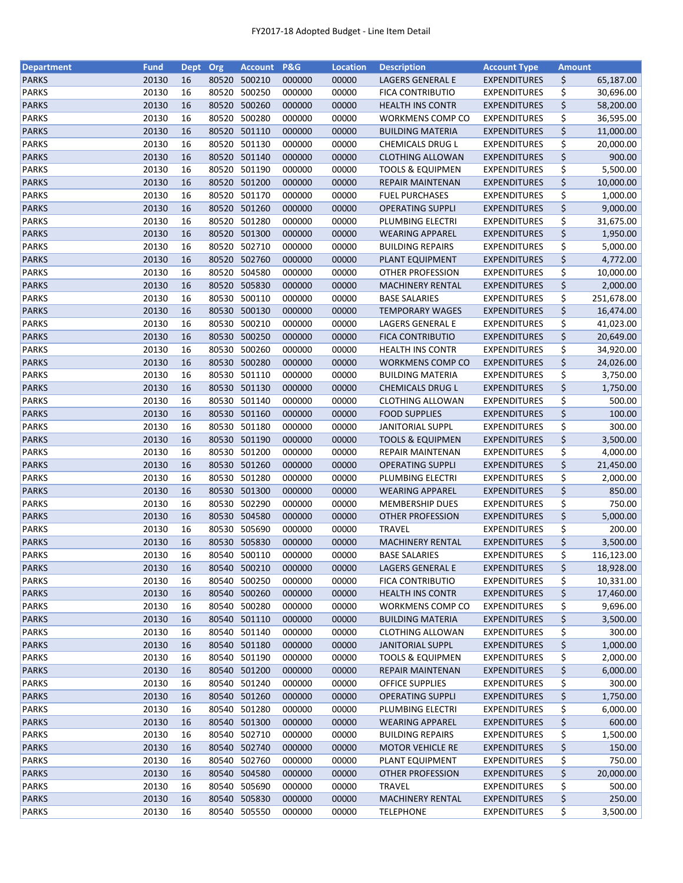| <b>Department</b> | <b>Fund</b> | <b>Dept</b> | Org   | <b>Account</b> | P&G    | <b>Location</b> | <b>Description</b>          | <b>Account Type</b> | <b>Amount</b> |            |
|-------------------|-------------|-------------|-------|----------------|--------|-----------------|-----------------------------|---------------------|---------------|------------|
| <b>PARKS</b>      | 20130       | 16          | 80520 | 500210         | 000000 | 00000           | LAGERS GENERAL E            | <b>EXPENDITURES</b> | \$            | 65,187.00  |
| <b>PARKS</b>      | 20130       | 16          | 80520 | 500250         | 000000 | 00000           | <b>FICA CONTRIBUTIO</b>     | <b>EXPENDITURES</b> | \$            | 30,696.00  |
| <b>PARKS</b>      | 20130       | 16          | 80520 | 500260         | 000000 | 00000           | <b>HEALTH INS CONTR</b>     | <b>EXPENDITURES</b> | \$            | 58,200.00  |
| <b>PARKS</b>      | 20130       | 16          | 80520 | 500280         | 000000 | 00000           | WORKMENS COMP CO            | <b>EXPENDITURES</b> | \$            | 36,595.00  |
| <b>PARKS</b>      | 20130       | 16          |       | 80520 501110   | 000000 | 00000           | <b>BUILDING MATERIA</b>     | <b>EXPENDITURES</b> | \$            | 11,000.00  |
| <b>PARKS</b>      | 20130       | 16          |       | 80520 501130   | 000000 | 00000           | CHEMICALS DRUG L            | <b>EXPENDITURES</b> | \$            | 20,000.00  |
| <b>PARKS</b>      | 20130       | 16          | 80520 | 501140         | 000000 | 00000           | <b>CLOTHING ALLOWAN</b>     | <b>EXPENDITURES</b> | \$            | 900.00     |
| <b>PARKS</b>      | 20130       | 16          | 80520 | 501190         | 000000 | 00000           | <b>TOOLS &amp; EQUIPMEN</b> | <b>EXPENDITURES</b> | \$            | 5,500.00   |
| <b>PARKS</b>      | 20130       | 16          |       | 80520 501200   | 000000 | 00000           | REPAIR MAINTENAN            | <b>EXPENDITURES</b> | \$            | 10,000.00  |
| <b>PARKS</b>      | 20130       | 16          | 80520 | 501170         | 000000 | 00000           | <b>FUEL PURCHASES</b>       | <b>EXPENDITURES</b> | \$            | 1,000.00   |
| <b>PARKS</b>      | 20130       | 16          |       | 80520 501260   | 000000 | 00000           | <b>OPERATING SUPPLI</b>     | <b>EXPENDITURES</b> | \$            | 9,000.00   |
| <b>PARKS</b>      | 20130       | 16          |       | 80520 501280   | 000000 | 00000           | PLUMBING ELECTRI            | <b>EXPENDITURES</b> |               |            |
| <b>PARKS</b>      | 20130       | 16          | 80520 | 501300         | 000000 |                 |                             |                     | \$            | 31,675.00  |
|                   |             |             |       |                |        | 00000           | <b>WEARING APPAREL</b>      | <b>EXPENDITURES</b> | \$            | 1,950.00   |
| <b>PARKS</b>      | 20130       | 16          | 80520 | 502710         | 000000 | 00000           | <b>BUILDING REPAIRS</b>     | <b>EXPENDITURES</b> | \$            | 5,000.00   |
| <b>PARKS</b>      | 20130       | 16          | 80520 | 502760         | 000000 | 00000           | PLANT EQUIPMENT             | <b>EXPENDITURES</b> | \$            | 4,772.00   |
| <b>PARKS</b>      | 20130       | 16          | 80520 | 504580         | 000000 | 00000           | <b>OTHER PROFESSION</b>     | <b>EXPENDITURES</b> | \$            | 10,000.00  |
| <b>PARKS</b>      | 20130       | 16          |       | 80520 505830   | 000000 | 00000           | <b>MACHINERY RENTAL</b>     | <b>EXPENDITURES</b> | \$            | 2,000.00   |
| <b>PARKS</b>      | 20130       | 16          |       | 80530 500110   | 000000 | 00000           | <b>BASE SALARIES</b>        | <b>EXPENDITURES</b> | \$            | 251,678.00 |
| <b>PARKS</b>      | 20130       | 16          |       | 80530 500130   | 000000 | 00000           | <b>TEMPORARY WAGES</b>      | <b>EXPENDITURES</b> | \$            | 16,474.00  |
| <b>PARKS</b>      | 20130       | 16          | 80530 | 500210         | 000000 | 00000           | LAGERS GENERAL E            | <b>EXPENDITURES</b> | \$            | 41,023.00  |
| <b>PARKS</b>      | 20130       | 16          |       | 80530 500250   | 000000 | 00000           | <b>FICA CONTRIBUTIO</b>     | <b>EXPENDITURES</b> | \$            | 20,649.00  |
| <b>PARKS</b>      | 20130       | 16          |       | 80530 500260   | 000000 | 00000           | <b>HEALTH INS CONTR</b>     | <b>EXPENDITURES</b> | \$            | 34,920.00  |
| <b>PARKS</b>      | 20130       | 16          |       | 80530 500280   | 000000 | 00000           | <b>WORKMENS COMP CO</b>     | <b>EXPENDITURES</b> | \$            | 24,026.00  |
| <b>PARKS</b>      | 20130       | 16          |       | 80530 501110   | 000000 | 00000           | <b>BUILDING MATERIA</b>     | <b>EXPENDITURES</b> | \$            | 3,750.00   |
| <b>PARKS</b>      | 20130       | 16          |       | 80530 501130   | 000000 | 00000           | <b>CHEMICALS DRUG L</b>     | <b>EXPENDITURES</b> | \$            | 1,750.00   |
| <b>PARKS</b>      | 20130       | 16          | 80530 | 501140         | 000000 | 00000           | <b>CLOTHING ALLOWAN</b>     | <b>EXPENDITURES</b> | \$            | 500.00     |
| <b>PARKS</b>      | 20130       | 16          | 80530 | 501160         | 000000 | 00000           | <b>FOOD SUPPLIES</b>        | <b>EXPENDITURES</b> | \$            | 100.00     |
| <b>PARKS</b>      | 20130       | 16          | 80530 | 501180         | 000000 | 00000           | <b>JANITORIAL SUPPL</b>     | <b>EXPENDITURES</b> | \$            | 300.00     |
| <b>PARKS</b>      | 20130       | 16          |       | 80530 501190   | 000000 | 00000           | <b>TOOLS &amp; EQUIPMEN</b> | <b>EXPENDITURES</b> | \$            | 3,500.00   |
| <b>PARKS</b>      | 20130       | 16          | 80530 | 501200         | 000000 | 00000           | REPAIR MAINTENAN            | <b>EXPENDITURES</b> | \$            | 4,000.00   |
| <b>PARKS</b>      | 20130       | 16          |       | 80530 501260   | 000000 | 00000           | <b>OPERATING SUPPLI</b>     | <b>EXPENDITURES</b> | \$            | 21,450.00  |
| <b>PARKS</b>      | 20130       | 16          |       | 80530 501280   | 000000 | 00000           | PLUMBING ELECTRI            | <b>EXPENDITURES</b> | \$            | 2,000.00   |
| <b>PARKS</b>      | 20130       | 16          |       | 80530 501300   | 000000 | 00000           | <b>WEARING APPAREL</b>      | <b>EXPENDITURES</b> | \$            | 850.00     |
| <b>PARKS</b>      | 20130       | 16          | 80530 | 502290         | 000000 | 00000           | <b>MEMBERSHIP DUES</b>      | <b>EXPENDITURES</b> | \$            | 750.00     |
| <b>PARKS</b>      | 20130       | 16          |       | 80530 504580   | 000000 | 00000           | <b>OTHER PROFESSION</b>     | <b>EXPENDITURES</b> | \$            | 5,000.00   |
| <b>PARKS</b>      | 20130       | 16          |       | 80530 505690   | 000000 | 00000           | <b>TRAVEL</b>               | <b>EXPENDITURES</b> | \$            | 200.00     |
| <b>PARKS</b>      | 20130       | 16          |       | 80530 505830   | 000000 | 00000           | <b>MACHINERY RENTAL</b>     | <b>EXPENDITURES</b> | \$            |            |
|                   |             |             |       |                |        |                 |                             |                     |               | 3,500.00   |
| <b>PARKS</b>      | 20130       | 16          |       | 80540 500110   | 000000 | 00000           | <b>BASE SALARIES</b>        | <b>EXPENDITURES</b> | \$            | 116,123.00 |
| <b>PARKS</b>      | 20130       | 16          |       | 80540 500210   | 000000 | 00000           | LAGERS GENERAL E            | <b>EXPENDITURES</b> | \$            | 18,928.00  |
| <b>PARKS</b>      | 20130       | 16          | 80540 | 500250         | 000000 | 00000           | <b>FICA CONTRIBUTIO</b>     | <b>EXPENDITURES</b> | \$            | 10,331.00  |
| <b>PARKS</b>      | 20130       | 16          |       | 80540 500260   | 000000 | 00000           | <b>HEALTH INS CONTR</b>     | <b>EXPENDITURES</b> | \$            | 17,460.00  |
| <b>PARKS</b>      | 20130       | 16          |       | 80540 500280   | 000000 | 00000           | WORKMENS COMP CO            | <b>EXPENDITURES</b> | \$            | 9,696.00   |
| <b>PARKS</b>      | 20130       | 16          |       | 80540 501110   | 000000 | 00000           | <b>BUILDING MATERIA</b>     | <b>EXPENDITURES</b> | \$            | 3,500.00   |
| <b>PARKS</b>      | 20130       | 16          |       | 80540 501140   | 000000 | 00000           | <b>CLOTHING ALLOWAN</b>     | <b>EXPENDITURES</b> | \$            | 300.00     |
| <b>PARKS</b>      | 20130       | 16          |       | 80540 501180   | 000000 | 00000           | <b>JANITORIAL SUPPL</b>     | <b>EXPENDITURES</b> | \$            | 1,000.00   |
| PARKS             | 20130       | 16          |       | 80540 501190   | 000000 | 00000           | <b>TOOLS &amp; EQUIPMEN</b> | <b>EXPENDITURES</b> | \$            | 2,000.00   |
| <b>PARKS</b>      | 20130       | 16          |       | 80540 501200   | 000000 | 00000           | <b>REPAIR MAINTENAN</b>     | <b>EXPENDITURES</b> | \$            | 6,000.00   |
| <b>PARKS</b>      | 20130       | 16          |       | 80540 501240   | 000000 | 00000           | <b>OFFICE SUPPLIES</b>      | <b>EXPENDITURES</b> | \$            | 300.00     |
| <b>PARKS</b>      | 20130       | 16          |       | 80540 501260   | 000000 | 00000           | <b>OPERATING SUPPLI</b>     | <b>EXPENDITURES</b> | \$            | 1,750.00   |
| <b>PARKS</b>      | 20130       | 16          |       | 80540 501280   | 000000 | 00000           | PLUMBING ELECTRI            | <b>EXPENDITURES</b> | \$            | 6,000.00   |
| <b>PARKS</b>      | 20130       | 16          |       | 80540 501300   | 000000 | 00000           | <b>WEARING APPAREL</b>      | <b>EXPENDITURES</b> | \$            | 600.00     |
| <b>PARKS</b>      | 20130       | 16          | 80540 | 502710         | 000000 | 00000           | <b>BUILDING REPAIRS</b>     | <b>EXPENDITURES</b> | \$            | 1,500.00   |
| <b>PARKS</b>      | 20130       | 16          |       | 80540 502740   | 000000 | 00000           | <b>MOTOR VEHICLE RE</b>     | <b>EXPENDITURES</b> | \$            | 150.00     |
| <b>PARKS</b>      | 20130       | 16          |       | 80540 502760   | 000000 | 00000           | PLANT EQUIPMENT             | <b>EXPENDITURES</b> | \$            | 750.00     |
| <b>PARKS</b>      | 20130       | 16          |       | 80540 504580   | 000000 | 00000           | OTHER PROFESSION            | <b>EXPENDITURES</b> | \$            | 20,000.00  |
| <b>PARKS</b>      | 20130       | 16          |       | 80540 505690   | 000000 | 00000           | <b>TRAVEL</b>               | <b>EXPENDITURES</b> | \$            | 500.00     |
| <b>PARKS</b>      | 20130       | 16          |       | 80540 505830   | 000000 | 00000           | <b>MACHINERY RENTAL</b>     | <b>EXPENDITURES</b> | \$            | 250.00     |
| <b>PARKS</b>      | 20130       | 16          |       | 80540 505550   | 000000 | 00000           | <b>TELEPHONE</b>            | <b>EXPENDITURES</b> | \$            | 3,500.00   |
|                   |             |             |       |                |        |                 |                             |                     |               |            |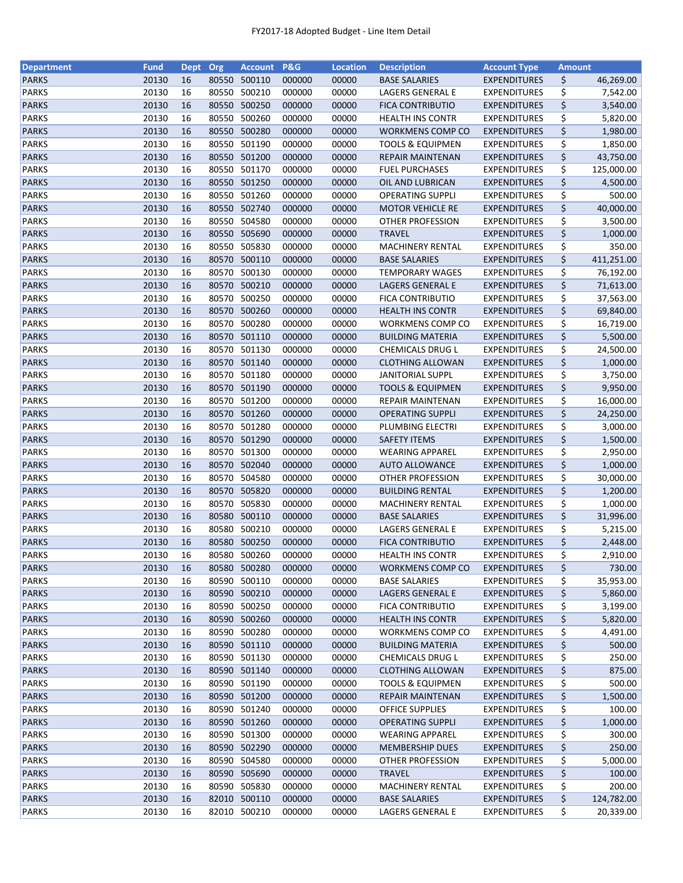| <b>Department</b> | <b>Fund</b> | <b>Dept</b> | Org   | <b>Account</b>         | <b>P&amp;G</b> | <b>Location</b> | <b>Description</b>          | <b>Account Type</b> | <b>Amount</b> |            |
|-------------------|-------------|-------------|-------|------------------------|----------------|-----------------|-----------------------------|---------------------|---------------|------------|
| <b>PARKS</b>      | 20130       | 16          | 80550 | 500110                 | 000000         | 00000           | <b>BASE SALARIES</b>        | <b>EXPENDITURES</b> | \$            | 46,269.00  |
| <b>PARKS</b>      | 20130       | 16          | 80550 | 500210                 | 000000         | 00000           | LAGERS GENERAL E            | <b>EXPENDITURES</b> | \$            | 7,542.00   |
| <b>PARKS</b>      | 20130       | 16          | 80550 | 500250                 | 000000         | 00000           | <b>FICA CONTRIBUTIO</b>     | <b>EXPENDITURES</b> | \$            | 3,540.00   |
| <b>PARKS</b>      | 20130       | 16          | 80550 | 500260                 | 000000         | 00000           | <b>HEALTH INS CONTR</b>     | <b>EXPENDITURES</b> | \$            | 5,820.00   |
| <b>PARKS</b>      | 20130       | 16          |       | 80550 500280           | 000000         | 00000           | WORKMENS COMP CO            | <b>EXPENDITURES</b> | \$            | 1,980.00   |
| <b>PARKS</b>      | 20130       | 16          |       | 80550 501190           | 000000         | 00000           | <b>TOOLS &amp; EQUIPMEN</b> | <b>EXPENDITURES</b> | \$            | 1,850.00   |
| <b>PARKS</b>      | 20130       | 16          |       | 80550 501200           | 000000         | 00000           | <b>REPAIR MAINTENAN</b>     | <b>EXPENDITURES</b> | \$            | 43,750.00  |
| <b>PARKS</b>      | 20130       | 16          |       | 80550 501170           | 000000         | 00000           | <b>FUEL PURCHASES</b>       | <b>EXPENDITURES</b> | \$            | 125,000.00 |
| <b>PARKS</b>      | 20130       | 16          |       | 80550 501250           | 000000         | 00000           | OIL AND LUBRICAN            | <b>EXPENDITURES</b> | \$            | 4,500.00   |
| <b>PARKS</b>      | 20130       | 16          | 80550 | 501260                 | 000000         | 00000           | <b>OPERATING SUPPLI</b>     | <b>EXPENDITURES</b> | \$            | 500.00     |
| <b>PARKS</b>      | 20130       | 16          |       | 80550 502740           | 000000         | 00000           | <b>MOTOR VEHICLE RE</b>     | <b>EXPENDITURES</b> | \$            | 40,000.00  |
| <b>PARKS</b>      | 20130       | 16          | 80550 | 504580                 | 000000         | 00000           | <b>OTHER PROFESSION</b>     | <b>EXPENDITURES</b> | \$            | 3,500.00   |
| <b>PARKS</b>      | 20130       | 16          |       | 80550 505690           | 000000         | 00000           | <b>TRAVEL</b>               | <b>EXPENDITURES</b> | \$            | 1,000.00   |
| <b>PARKS</b>      | 20130       | 16          | 80550 | 505830                 | 000000         | 00000           | <b>MACHINERY RENTAL</b>     | <b>EXPENDITURES</b> | \$            | 350.00     |
| <b>PARKS</b>      | 20130       | 16          | 80570 | 500110                 | 000000         | 00000           | <b>BASE SALARIES</b>        | <b>EXPENDITURES</b> | \$            | 411,251.00 |
| <b>PARKS</b>      | 20130       | 16          | 80570 | 500130                 | 000000         | 00000           | <b>TEMPORARY WAGES</b>      | <b>EXPENDITURES</b> | \$            | 76,192.00  |
| <b>PARKS</b>      | 20130       | 16          |       | 80570 500210           | 000000         | 00000           | LAGERS GENERAL E            | <b>EXPENDITURES</b> | \$            | 71,613.00  |
| <b>PARKS</b>      | 20130       | 16          | 80570 | 500250                 | 000000         | 00000           | <b>FICA CONTRIBUTIO</b>     | <b>EXPENDITURES</b> | \$            | 37,563.00  |
| <b>PARKS</b>      | 20130       | 16          |       | 80570 500260           | 000000         | 00000           | <b>HEALTH INS CONTR</b>     | <b>EXPENDITURES</b> | \$            | 69,840.00  |
| <b>PARKS</b>      | 20130       | 16          |       | 80570 500280           | 000000         | 00000           | WORKMENS COMP CO            | <b>EXPENDITURES</b> | \$            | 16,719.00  |
| <b>PARKS</b>      | 20130       | 16          |       | 80570 501110           | 000000         | 00000           | <b>BUILDING MATERIA</b>     | <b>EXPENDITURES</b> | \$            | 5,500.00   |
| <b>PARKS</b>      | 20130       | 16          | 80570 | 501130                 | 000000         | 00000           | CHEMICALS DRUG L            | <b>EXPENDITURES</b> | \$            | 24,500.00  |
| <b>PARKS</b>      | 20130       | 16          |       | 80570 501140           | 000000         | 00000           | <b>CLOTHING ALLOWAN</b>     | <b>EXPENDITURES</b> | \$            | 1,000.00   |
| <b>PARKS</b>      | 20130       | 16          |       | 80570 501180           | 000000         | 00000           | <b>JANITORIAL SUPPL</b>     | <b>EXPENDITURES</b> | \$            | 3,750.00   |
| <b>PARKS</b>      | 20130       | 16          |       | 80570 501190           | 000000         | 00000           | <b>TOOLS &amp; EQUIPMEN</b> | <b>EXPENDITURES</b> | \$            | 9,950.00   |
| <b>PARKS</b>      | 20130       | 16          | 80570 | 501200                 | 000000         | 00000           | REPAIR MAINTENAN            | <b>EXPENDITURES</b> | \$            | 16,000.00  |
| <b>PARKS</b>      | 20130       | 16          | 80570 | 501260                 | 000000         | 00000           | <b>OPERATING SUPPLI</b>     | <b>EXPENDITURES</b> | \$            | 24,250.00  |
| <b>PARKS</b>      | 20130       | 16          | 80570 | 501280                 | 000000         | 00000           | PLUMBING ELECTRI            | <b>EXPENDITURES</b> | \$            | 3,000.00   |
| <b>PARKS</b>      | 20130       | 16          | 80570 | 501290                 | 000000         | 00000           | <b>SAFETY ITEMS</b>         | <b>EXPENDITURES</b> | \$            | 1,500.00   |
| <b>PARKS</b>      | 20130       | 16          | 80570 | 501300                 | 000000         | 00000           | <b>WEARING APPAREL</b>      | <b>EXPENDITURES</b> | \$            | 2,950.00   |
| <b>PARKS</b>      | 20130       | 16          |       | 80570 502040           | 000000         | 00000           | <b>AUTO ALLOWANCE</b>       | <b>EXPENDITURES</b> | \$            | 1,000.00   |
| <b>PARKS</b>      | 20130       | 16          |       | 80570 504580           | 000000         | 00000           | <b>OTHER PROFESSION</b>     | <b>EXPENDITURES</b> | \$            | 30,000.00  |
| <b>PARKS</b>      | 20130       | 16          |       | 80570 505820           | 000000         | 00000           | <b>BUILDING RENTAL</b>      | <b>EXPENDITURES</b> | \$            | 1,200.00   |
| <b>PARKS</b>      | 20130       | 16          | 80570 | 505830                 | 000000         | 00000           | <b>MACHINERY RENTAL</b>     | <b>EXPENDITURES</b> | \$            | 1,000.00   |
| <b>PARKS</b>      | 20130       | 16          |       | 80580 500110           | 000000         | 00000           | <b>BASE SALARIES</b>        | <b>EXPENDITURES</b> | \$            | 31,996.00  |
| <b>PARKS</b>      | 20130       | 16          | 80580 | 500210                 | 000000         | 00000           | LAGERS GENERAL E            | <b>EXPENDITURES</b> | \$            | 5,215.00   |
| <b>PARKS</b>      | 20130       | 16          | 80580 | 500250                 | 000000         | 00000           | <b>FICA CONTRIBUTIO</b>     | <b>EXPENDITURES</b> | \$            | 2,448.00   |
| <b>PARKS</b>      | 20130       | 16          |       | 80580 500260           | 000000         | 00000           | <b>HEALTH INS CONTR</b>     | <b>EXPENDITURES</b> | \$            | 2,910.00   |
|                   |             |             |       |                        |                |                 | <b>WORKMENS COMP CO</b>     |                     |               | 730.00     |
| <b>PARKS</b>      | 20130       | 16          |       | 80580 500280<br>500110 | 000000         | 00000           |                             | <b>EXPENDITURES</b> | \$            |            |
| <b>PARKS</b>      | 20130       | 16          | 80590 |                        | 000000         | 00000           | <b>BASE SALARIES</b>        | <b>EXPENDITURES</b> | \$            | 35,953.00  |
| <b>PARKS</b>      | 20130       | 16          |       | 80590 500210           | 000000         | 00000           | LAGERS GENERAL E            | <b>EXPENDITURES</b> | \$            | 5,860.00   |
| <b>PARKS</b>      | 20130       | 16          |       | 80590 500250           | 000000         | 00000           | <b>FICA CONTRIBUTIO</b>     | <b>EXPENDITURES</b> | \$            | 3,199.00   |
| <b>PARKS</b>      | 20130       | 16          |       | 80590 500260           | 000000         | 00000           | <b>HEALTH INS CONTR</b>     | <b>EXPENDITURES</b> | \$            | 5,820.00   |
| <b>PARKS</b>      | 20130       | 16          |       | 80590 500280           | 000000         | 00000           | WORKMENS COMP CO            | <b>EXPENDITURES</b> | \$            | 4,491.00   |
| <b>PARKS</b>      | 20130       | 16          |       | 80590 501110           | 000000         | 00000           | <b>BUILDING MATERIA</b>     | <b>EXPENDITURES</b> | \$            | 500.00     |
| <b>PARKS</b>      | 20130       | 16          |       | 80590 501130           | 000000         | 00000           | CHEMICALS DRUG L            | <b>EXPENDITURES</b> | \$            | 250.00     |
| <b>PARKS</b>      | 20130       | 16          |       | 80590 501140           | 000000         | 00000           | <b>CLOTHING ALLOWAN</b>     | <b>EXPENDITURES</b> | \$            | 875.00     |
| <b>PARKS</b>      | 20130       | 16          |       | 80590 501190           | 000000         | 00000           | <b>TOOLS &amp; EQUIPMEN</b> | <b>EXPENDITURES</b> | \$            | 500.00     |
| <b>PARKS</b>      | 20130       | 16          |       | 80590 501200           | 000000         | 00000           | REPAIR MAINTENAN            | <b>EXPENDITURES</b> | \$            | 1,500.00   |
| <b>PARKS</b>      | 20130       | 16          |       | 80590 501240           | 000000         | 00000           | <b>OFFICE SUPPLIES</b>      | <b>EXPENDITURES</b> | \$            | 100.00     |
| <b>PARKS</b>      | 20130       | 16          |       | 80590 501260           | 000000         | 00000           | <b>OPERATING SUPPLI</b>     | <b>EXPENDITURES</b> | \$            | 1,000.00   |
| <b>PARKS</b>      | 20130       | 16          | 80590 | 501300                 | 000000         | 00000           | WEARING APPAREL             | <b>EXPENDITURES</b> | \$            | 300.00     |
| <b>PARKS</b>      | 20130       | 16          |       | 80590 502290           | 000000         | 00000           | <b>MEMBERSHIP DUES</b>      | <b>EXPENDITURES</b> | \$            | 250.00     |
| <b>PARKS</b>      | 20130       | 16          |       | 80590 504580           | 000000         | 00000           | OTHER PROFESSION            | <b>EXPENDITURES</b> | \$            | 5,000.00   |
| <b>PARKS</b>      | 20130       | 16          |       | 80590 505690           | 000000         | 00000           | <b>TRAVEL</b>               | <b>EXPENDITURES</b> | \$            | 100.00     |
| <b>PARKS</b>      | 20130       | 16          |       | 80590 505830           | 000000         | 00000           | MACHINERY RENTAL            | <b>EXPENDITURES</b> | \$            | 200.00     |
| <b>PARKS</b>      | 20130       | 16          |       | 82010 500110           | 000000         | 00000           | <b>BASE SALARIES</b>        | <b>EXPENDITURES</b> | \$            | 124,782.00 |
| <b>PARKS</b>      | 20130       | 16          |       | 82010 500210           | 000000         | 00000           | LAGERS GENERAL E            | <b>EXPENDITURES</b> | \$            | 20,339.00  |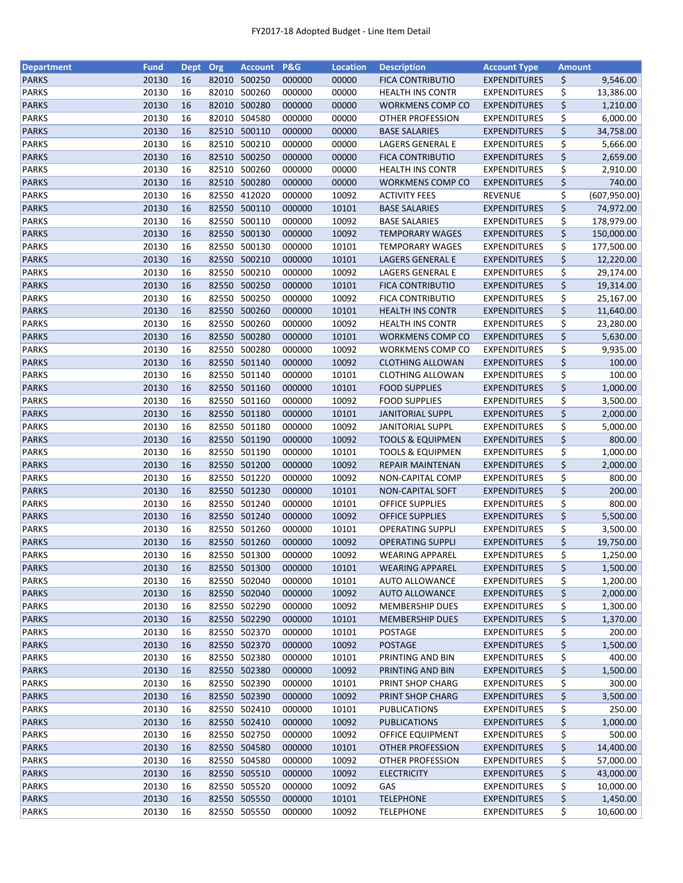| <b>Department</b> | <b>Fund</b> | <b>Dept</b> | Org   | <b>Account</b> | P&G    | <b>Location</b> | <b>Description</b>          | <b>Account Type</b> | <b>Amount</b> |               |
|-------------------|-------------|-------------|-------|----------------|--------|-----------------|-----------------------------|---------------------|---------------|---------------|
| <b>PARKS</b>      | 20130       | 16          | 82010 | 500250         | 000000 | 00000           | <b>FICA CONTRIBUTIO</b>     | <b>EXPENDITURES</b> | \$            | 9,546.00      |
| <b>PARKS</b>      | 20130       | 16          | 82010 | 500260         | 000000 | 00000           | <b>HEALTH INS CONTR</b>     | <b>EXPENDITURES</b> | \$            | 13,386.00     |
| <b>PARKS</b>      | 20130       | 16          | 82010 | 500280         | 000000 | 00000           | WORKMENS COMP CO            | <b>EXPENDITURES</b> | \$            | 1,210.00      |
| <b>PARKS</b>      | 20130       | 16          | 82010 | 504580         | 000000 | 00000           | <b>OTHER PROFESSION</b>     | <b>EXPENDITURES</b> | \$            | 6,000.00      |
| <b>PARKS</b>      | 20130       | 16          |       | 82510 500110   | 000000 | 00000           | <b>BASE SALARIES</b>        | <b>EXPENDITURES</b> | \$            | 34,758.00     |
| <b>PARKS</b>      | 20130       | 16          | 82510 | 500210         | 000000 | 00000           | LAGERS GENERAL E            | <b>EXPENDITURES</b> | \$            | 5,666.00      |
| <b>PARKS</b>      | 20130       | 16          | 82510 | 500250         | 000000 | 00000           | <b>FICA CONTRIBUTIO</b>     | <b>EXPENDITURES</b> | \$            | 2,659.00      |
| <b>PARKS</b>      | 20130       | 16          | 82510 | 500260         | 000000 | 00000           | <b>HEALTH INS CONTR</b>     | <b>EXPENDITURES</b> | \$            | 2,910.00      |
| <b>PARKS</b>      | 20130       | 16          |       | 82510 500280   | 000000 | 00000           | WORKMENS COMP CO            | <b>EXPENDITURES</b> | \$            | 740.00        |
| <b>PARKS</b>      | 20130       | 16          |       | 82550 412020   | 000000 | 10092           | <b>ACTIVITY FEES</b>        | <b>REVENUE</b>      | \$            | (607, 950.00) |
| <b>PARKS</b>      | 20130       | 16          |       | 82550 500110   | 000000 | 10101           | <b>BASE SALARIES</b>        | <b>EXPENDITURES</b> | \$            |               |
|                   |             |             |       | 82550 500110   |        |                 |                             |                     |               | 74,972.00     |
| <b>PARKS</b>      | 20130       | 16          |       |                | 000000 | 10092           | <b>BASE SALARIES</b>        | <b>EXPENDITURES</b> | \$            | 178,979.00    |
| <b>PARKS</b>      | 20130       | 16          | 82550 | 500130         | 000000 | 10092           | <b>TEMPORARY WAGES</b>      | <b>EXPENDITURES</b> | \$            | 150,000.00    |
| <b>PARKS</b>      | 20130       | 16          | 82550 | 500130         | 000000 | 10101           | <b>TEMPORARY WAGES</b>      | <b>EXPENDITURES</b> | \$            | 177,500.00    |
| <b>PARKS</b>      | 20130       | 16          | 82550 | 500210         | 000000 | 10101           | LAGERS GENERAL E            | <b>EXPENDITURES</b> | \$            | 12,220.00     |
| <b>PARKS</b>      | 20130       | 16          | 82550 | 500210         | 000000 | 10092           | LAGERS GENERAL E            | <b>EXPENDITURES</b> | \$            | 29,174.00     |
| <b>PARKS</b>      | 20130       | 16          |       | 82550 500250   | 000000 | 10101           | <b>FICA CONTRIBUTIO</b>     | <b>EXPENDITURES</b> | \$            | 19,314.00     |
| <b>PARKS</b>      | 20130       | 16          |       | 82550 500250   | 000000 | 10092           | <b>FICA CONTRIBUTIO</b>     | <b>EXPENDITURES</b> | \$            | 25,167.00     |
| <b>PARKS</b>      | 20130       | 16          |       | 82550 500260   | 000000 | 10101           | <b>HEALTH INS CONTR</b>     | <b>EXPENDITURES</b> | \$            | 11,640.00     |
| <b>PARKS</b>      | 20130       | 16          | 82550 | 500260         | 000000 | 10092           | <b>HEALTH INS CONTR</b>     | <b>EXPENDITURES</b> | \$            | 23,280.00     |
| <b>PARKS</b>      | 20130       | 16          |       | 82550 500280   | 000000 | 10101           | WORKMENS COMP CO            | <b>EXPENDITURES</b> | \$            | 5,630.00      |
| <b>PARKS</b>      | 20130       | 16          |       | 82550 500280   | 000000 | 10092           | <b>WORKMENS COMP CO</b>     | <b>EXPENDITURES</b> | \$            | 9,935.00      |
| <b>PARKS</b>      | 20130       | 16          |       | 82550 501140   | 000000 | 10092           | <b>CLOTHING ALLOWAN</b>     | <b>EXPENDITURES</b> | \$            | 100.00        |
| <b>PARKS</b>      | 20130       | 16          |       | 82550 501140   | 000000 | 10101           | <b>CLOTHING ALLOWAN</b>     | <b>EXPENDITURES</b> | \$            | 100.00        |
| <b>PARKS</b>      | 20130       | 16          |       | 82550 501160   | 000000 | 10101           | <b>FOOD SUPPLIES</b>        | <b>EXPENDITURES</b> | \$            | 1,000.00      |
| <b>PARKS</b>      | 20130       | 16          | 82550 | 501160         | 000000 | 10092           | <b>FOOD SUPPLIES</b>        | <b>EXPENDITURES</b> | \$            | 3,500.00      |
| <b>PARKS</b>      | 20130       | 16          | 82550 | 501180         | 000000 | 10101           | <b>JANITORIAL SUPPL</b>     | <b>EXPENDITURES</b> | \$            | 2,000.00      |
| <b>PARKS</b>      | 20130       | 16          | 82550 | 501180         | 000000 | 10092           | <b>JANITORIAL SUPPL</b>     | <b>EXPENDITURES</b> | \$            | 5,000.00      |
| <b>PARKS</b>      | 20130       | 16          |       | 82550 501190   | 000000 | 10092           | <b>TOOLS &amp; EQUIPMEN</b> |                     | \$            | 800.00        |
|                   |             |             |       |                |        |                 |                             | <b>EXPENDITURES</b> |               |               |
| <b>PARKS</b>      | 20130       | 16          | 82550 | 501190         | 000000 | 10101           | <b>TOOLS &amp; EQUIPMEN</b> | <b>EXPENDITURES</b> | \$            | 1,000.00      |
| <b>PARKS</b>      | 20130       | 16          |       | 82550 501200   | 000000 | 10092           | REPAIR MAINTENAN            | <b>EXPENDITURES</b> | \$            | 2,000.00      |
| <b>PARKS</b>      | 20130       | 16          |       | 82550 501220   | 000000 | 10092           | NON-CAPITAL COMP            | <b>EXPENDITURES</b> | \$            | 800.00        |
| <b>PARKS</b>      | 20130       | 16          |       | 82550 501230   | 000000 | 10101           | <b>NON-CAPITAL SOFT</b>     | <b>EXPENDITURES</b> | \$            | 200.00        |
| <b>PARKS</b>      | 20130       | 16          | 82550 | 501240         | 000000 | 10101           | <b>OFFICE SUPPLIES</b>      | <b>EXPENDITURES</b> | \$            | 800.00        |
| <b>PARKS</b>      | 20130       | 16          |       | 82550 501240   | 000000 | 10092           | <b>OFFICE SUPPLIES</b>      | <b>EXPENDITURES</b> | \$            | 5,500.00      |
| <b>PARKS</b>      | 20130       | 16          |       | 82550 501260   | 000000 | 10101           | <b>OPERATING SUPPLI</b>     | <b>EXPENDITURES</b> | \$            | 3,500.00      |
| <b>PARKS</b>      | 20130       | 16          |       | 82550 501260   | 000000 | 10092           | <b>OPERATING SUPPLI</b>     | <b>EXPENDITURES</b> | \$            | 19,750.00     |
| <b>PARKS</b>      | 20130       | 16          |       | 82550 501300   | 000000 | 10092           | <b>WEARING APPAREL</b>      | <b>EXPENDITURES</b> | \$            | 1,250.00      |
| <b>PARKS</b>      | 20130       | 16          |       | 82550 501300   | 000000 | 10101           | <b>WEARING APPAREL</b>      | <b>EXPENDITURES</b> | \$            | 1,500.00      |
| <b>PARKS</b>      | 20130       | 16          | 82550 | 502040         | 000000 | 10101           | <b>AUTO ALLOWANCE</b>       | <b>EXPENDITURES</b> | \$            | 1,200.00      |
| <b>PARKS</b>      | 20130       | 16          |       | 82550 502040   | 000000 | 10092           | <b>AUTO ALLOWANCE</b>       | <b>EXPENDITURES</b> | \$            | 2,000.00      |
| <b>PARKS</b>      | 20130       | 16          |       | 82550 502290   | 000000 | 10092           | <b>MEMBERSHIP DUES</b>      | <b>EXPENDITURES</b> | \$            | 1,300.00      |
| <b>PARKS</b>      | 20130       | 16          |       | 82550 502290   | 000000 | 10101           | <b>MEMBERSHIP DUES</b>      | <b>EXPENDITURES</b> | \$            | 1,370.00      |
| <b>PARKS</b>      | 20130       | 16          |       | 82550 502370   | 000000 | 10101           | POSTAGE                     | <b>EXPENDITURES</b> | \$            | 200.00        |
| <b>PARKS</b>      | 20130       | 16          |       | 82550 502370   | 000000 | 10092           | <b>POSTAGE</b>              | <b>EXPENDITURES</b> | \$            | 1,500.00      |
| PARKS             | 20130       | 16          |       | 82550 502380   | 000000 | 10101           | PRINTING AND BIN            | <b>EXPENDITURES</b> | \$            | 400.00        |
| <b>PARKS</b>      | 20130       | 16          |       | 82550 502380   | 000000 | 10092           | PRINTING AND BIN            | <b>EXPENDITURES</b> | \$            | 1,500.00      |
| <b>PARKS</b>      | 20130       | 16          |       | 82550 502390   | 000000 | 10101           | PRINT SHOP CHARG            | <b>EXPENDITURES</b> | \$            | 300.00        |
| <b>PARKS</b>      | 20130       | 16          |       | 82550 502390   | 000000 | 10092           | PRINT SHOP CHARG            | <b>EXPENDITURES</b> | \$            | 3,500.00      |
| <b>PARKS</b>      | 20130       | 16          |       | 82550 502410   | 000000 | 10101           | PUBLICATIONS                | <b>EXPENDITURES</b> | \$            | 250.00        |
|                   |             |             |       |                |        |                 |                             |                     |               |               |
| <b>PARKS</b>      | 20130       | 16          |       | 82550 502410   | 000000 | 10092           | <b>PUBLICATIONS</b>         | <b>EXPENDITURES</b> | \$            | 1,000.00      |
| <b>PARKS</b>      | 20130       | 16          | 82550 | 502750         | 000000 | 10092           | OFFICE EQUIPMENT            | <b>EXPENDITURES</b> | \$            | 500.00        |
| <b>PARKS</b>      | 20130       | 16          |       | 82550 504580   | 000000 | 10101           | <b>OTHER PROFESSION</b>     | <b>EXPENDITURES</b> | \$            | 14,400.00     |
| <b>PARKS</b>      | 20130       | 16          |       | 82550 504580   | 000000 | 10092           | OTHER PROFESSION            | <b>EXPENDITURES</b> | \$            | 57,000.00     |
| <b>PARKS</b>      | 20130       | 16          |       | 82550 505510   | 000000 | 10092           | <b>ELECTRICITY</b>          | <b>EXPENDITURES</b> | \$            | 43,000.00     |
| <b>PARKS</b>      | 20130       | 16          |       | 82550 505520   | 000000 | 10092           | GAS                         | <b>EXPENDITURES</b> | \$            | 10,000.00     |
| <b>PARKS</b>      | 20130       | 16          |       | 82550 505550   | 000000 | 10101           | <b>TELEPHONE</b>            | <b>EXPENDITURES</b> | \$            | 1,450.00      |
| <b>PARKS</b>      | 20130       | 16          |       | 82550 505550   | 000000 | 10092           | <b>TELEPHONE</b>            | <b>EXPENDITURES</b> | \$            | 10,600.00     |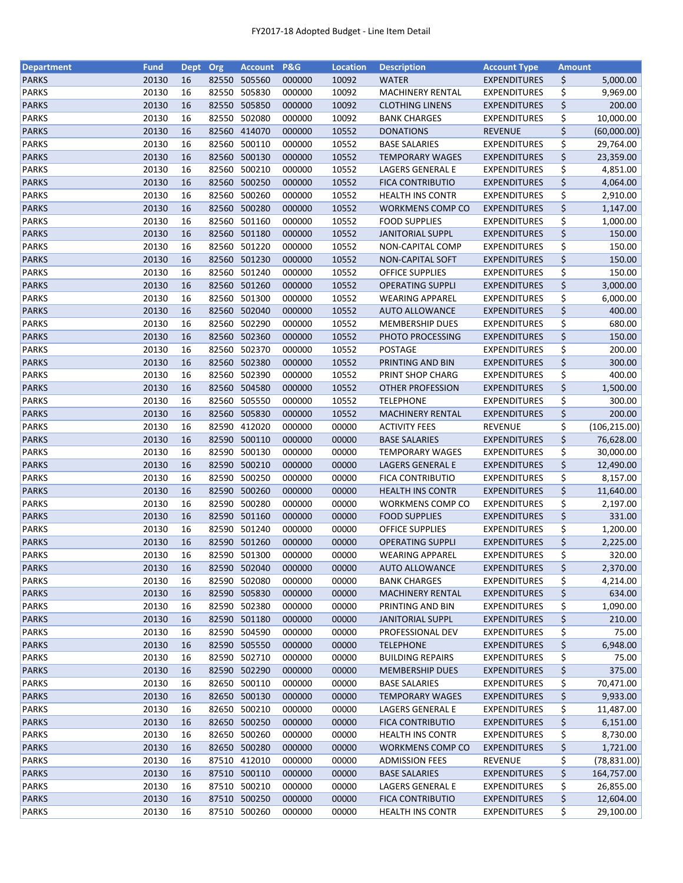| <b>Department</b> | <b>Fund</b> | <b>Dept</b> | Org   | <b>Account</b> | <b>P&amp;G</b> | <b>Location</b> | <b>Description</b>      | <b>Account Type</b> | <b>Amount</b> |               |
|-------------------|-------------|-------------|-------|----------------|----------------|-----------------|-------------------------|---------------------|---------------|---------------|
| <b>PARKS</b>      | 20130       | 16          | 82550 | 505560         | 000000         | 10092           | <b>WATER</b>            | <b>EXPENDITURES</b> | \$            | 5,000.00      |
| <b>PARKS</b>      | 20130       | 16          | 82550 | 505830         | 000000         | 10092           | <b>MACHINERY RENTAL</b> | <b>EXPENDITURES</b> | \$            | 9,969.00      |
| <b>PARKS</b>      | 20130       | 16          | 82550 | 505850         | 000000         | 10092           | <b>CLOTHING LINENS</b>  | <b>EXPENDITURES</b> | \$            | 200.00        |
| <b>PARKS</b>      | 20130       | 16          | 82550 | 502080         | 000000         | 10092           | <b>BANK CHARGES</b>     | <b>EXPENDITURES</b> | \$            | 10,000.00     |
| <b>PARKS</b>      | 20130       | 16          | 82560 | 414070         | 000000         | 10552           | <b>DONATIONS</b>        | <b>REVENUE</b>      | \$            | (60,000.00)   |
| <b>PARKS</b>      | 20130       | 16          | 82560 | 500110         | 000000         | 10552           | <b>BASE SALARIES</b>    | <b>EXPENDITURES</b> | \$            | 29,764.00     |
| <b>PARKS</b>      | 20130       | 16          | 82560 | 500130         | 000000         | 10552           | <b>TEMPORARY WAGES</b>  | <b>EXPENDITURES</b> | \$            | 23,359.00     |
| <b>PARKS</b>      | 20130       | 16          | 82560 | 500210         | 000000         | 10552           | LAGERS GENERAL E        | EXPENDITURES        | \$            | 4,851.00      |
| <b>PARKS</b>      | 20130       | 16          | 82560 | 500250         | 000000         | 10552           | <b>FICA CONTRIBUTIO</b> | <b>EXPENDITURES</b> | \$            | 4,064.00      |
| <b>PARKS</b>      | 20130       | 16          | 82560 | 500260         | 000000         | 10552           | <b>HEALTH INS CONTR</b> | <b>EXPENDITURES</b> | \$            | 2,910.00      |
| <b>PARKS</b>      | 20130       | 16          | 82560 | 500280         | 000000         | 10552           | WORKMENS COMP CO        | <b>EXPENDITURES</b> | \$            | 1,147.00      |
| <b>PARKS</b>      | 20130       | 16          | 82560 | 501160         | 000000         | 10552           | <b>FOOD SUPPLIES</b>    | EXPENDITURES        | \$            | 1,000.00      |
| <b>PARKS</b>      | 20130       | 16          | 82560 | 501180         | 000000         | 10552           | <b>JANITORIAL SUPPL</b> | <b>EXPENDITURES</b> | \$            | 150.00        |
| <b>PARKS</b>      | 20130       | 16          | 82560 | 501220         | 000000         | 10552           | NON-CAPITAL COMP        | EXPENDITURES        | \$            | 150.00        |
| <b>PARKS</b>      | 20130       | 16          | 82560 | 501230         | 000000         | 10552           | NON-CAPITAL SOFT        | <b>EXPENDITURES</b> | \$            | 150.00        |
| <b>PARKS</b>      | 20130       | 16          | 82560 | 501240         | 000000         | 10552           | <b>OFFICE SUPPLIES</b>  | EXPENDITURES        | \$            | 150.00        |
| <b>PARKS</b>      | 20130       | 16          | 82560 | 501260         | 000000         | 10552           | <b>OPERATING SUPPLI</b> | <b>EXPENDITURES</b> | \$            | 3,000.00      |
| <b>PARKS</b>      | 20130       | 16          | 82560 | 501300         | 000000         | 10552           | <b>WEARING APPAREL</b>  | <b>EXPENDITURES</b> | \$            | 6,000.00      |
| <b>PARKS</b>      | 20130       | 16          |       | 82560 502040   | 000000         | 10552           | <b>AUTO ALLOWANCE</b>   | <b>EXPENDITURES</b> | \$            | 400.00        |
| <b>PARKS</b>      | 20130       | 16          | 82560 | 502290         | 000000         | 10552           |                         | EXPENDITURES        |               | 680.00        |
|                   |             |             |       |                |                |                 | <b>MEMBERSHIP DUES</b>  |                     | \$            |               |
| <b>PARKS</b>      | 20130       | 16          | 82560 | 502360         | 000000         | 10552           | PHOTO PROCESSING        | <b>EXPENDITURES</b> | \$            | 150.00        |
| <b>PARKS</b>      | 20130       | 16          | 82560 | 502370         | 000000         | 10552           | POSTAGE                 | <b>EXPENDITURES</b> | \$            | 200.00        |
| <b>PARKS</b>      | 20130       | 16          | 82560 | 502380         | 000000         | 10552           | PRINTING AND BIN        | <b>EXPENDITURES</b> | \$            | 300.00        |
| <b>PARKS</b>      | 20130       | 16          | 82560 | 502390         | 000000         | 10552           | PRINT SHOP CHARG        | <b>EXPENDITURES</b> | \$            | 400.00        |
| <b>PARKS</b>      | 20130       | 16          |       | 82560 504580   | 000000         | 10552           | <b>OTHER PROFESSION</b> | <b>EXPENDITURES</b> | \$            | 1,500.00      |
| <b>PARKS</b>      | 20130       | 16          | 82560 | 505550         | 000000         | 10552           | <b>TELEPHONE</b>        | <b>EXPENDITURES</b> | \$            | 300.00        |
| <b>PARKS</b>      | 20130       | 16          | 82560 | 505830         | 000000         | 10552           | MACHINERY RENTAL        | <b>EXPENDITURES</b> | \$            | 200.00        |
| <b>PARKS</b>      | 20130       | 16          | 82590 | 412020         | 000000         | 00000           | <b>ACTIVITY FEES</b>    | <b>REVENUE</b>      | \$            | (106, 215.00) |
| <b>PARKS</b>      | 20130       | 16          | 82590 | 500110         | 000000         | 00000           | <b>BASE SALARIES</b>    | <b>EXPENDITURES</b> | \$            | 76,628.00     |
| <b>PARKS</b>      | 20130       | 16          | 82590 | 500130         | 000000         | 00000           | <b>TEMPORARY WAGES</b>  | <b>EXPENDITURES</b> | \$            | 30,000.00     |
| <b>PARKS</b>      | 20130       | 16          | 82590 | 500210         | 000000         | 00000           | LAGERS GENERAL E        | <b>EXPENDITURES</b> | \$            | 12,490.00     |
| <b>PARKS</b>      | 20130       | 16          | 82590 | 500250         | 000000         | 00000           | FICA CONTRIBUTIO        | <b>EXPENDITURES</b> | \$            | 8,157.00      |
| <b>PARKS</b>      | 20130       | 16          | 82590 | 500260         | 000000         | 00000           | <b>HEALTH INS CONTR</b> | <b>EXPENDITURES</b> | \$            | 11,640.00     |
| <b>PARKS</b>      | 20130       | 16          | 82590 | 500280         | 000000         | 00000           | WORKMENS COMP CO        | <b>EXPENDITURES</b> | \$            | 2,197.00      |
| <b>PARKS</b>      | 20130       | 16          | 82590 | 501160         | 000000         | 00000           | <b>FOOD SUPPLIES</b>    | <b>EXPENDITURES</b> | \$            | 331.00        |
| <b>PARKS</b>      | 20130       | 16          | 82590 | 501240         | 000000         | 00000           | <b>OFFICE SUPPLIES</b>  | <b>EXPENDITURES</b> | \$            | 1,200.00      |
| <b>PARKS</b>      | 20130       | 16          |       | 82590 501260   | 000000         | 00000           | <b>OPERATING SUPPLI</b> | <b>EXPENDITURES</b> | \$            | 2,225.00      |
| <b>PARKS</b>      | 20130       | 16          |       | 82590 501300   | 000000         | 00000           | <b>WEARING APPAREL</b>  | <b>EXPENDITURES</b> | \$            | 320.00        |
| <b>PARKS</b>      | 20130       | 16          |       | 82590 502040   | 000000         | 00000           | <b>AUTO ALLOWANCE</b>   | <b>EXPENDITURES</b> | \$            | 2,370.00      |
| <b>PARKS</b>      | 20130       | 16          | 82590 | 502080         | 000000         | 00000           | <b>BANK CHARGES</b>     | <b>EXPENDITURES</b> | \$            | 4,214.00      |
| <b>PARKS</b>      | 20130       | 16          |       | 82590 505830   | 000000         | 00000           | <b>MACHINERY RENTAL</b> | <b>EXPENDITURES</b> | \$            | 634.00        |
| <b>PARKS</b>      | 20130       | 16          |       | 82590 502380   | 000000         | 00000           | PRINTING AND BIN        | <b>EXPENDITURES</b> | \$            | 1,090.00      |
| <b>PARKS</b>      | 20130       | 16          |       | 82590 501180   | 000000         | 00000           | <b>JANITORIAL SUPPL</b> | <b>EXPENDITURES</b> | \$            | 210.00        |
| <b>PARKS</b>      | 20130       | 16          |       | 82590 504590   | 000000         | 00000           | PROFESSIONAL DEV        | <b>EXPENDITURES</b> | \$            | 75.00         |
| <b>PARKS</b>      | 20130       | 16          |       | 82590 505550   | 000000         | 00000           | <b>TELEPHONE</b>        | <b>EXPENDITURES</b> | \$            | 6,948.00      |
| <b>PARKS</b>      | 20130       | 16          |       | 82590 502710   | 000000         | 00000           | <b>BUILDING REPAIRS</b> | <b>EXPENDITURES</b> | \$            | 75.00         |
| <b>PARKS</b>      | 20130       | 16          |       | 82590 502290   | 000000         | 00000           | <b>MEMBERSHIP DUES</b>  | <b>EXPENDITURES</b> | \$            | 375.00        |
| <b>PARKS</b>      | 20130       | 16          |       | 82650 500110   | 000000         | 00000           | <b>BASE SALARIES</b>    | <b>EXPENDITURES</b> | \$            | 70,471.00     |
| <b>PARKS</b>      | 20130       | 16          |       | 82650 500130   | 000000         | 00000           | <b>TEMPORARY WAGES</b>  | <b>EXPENDITURES</b> | \$            | 9,933.00      |
| PARKS             | 20130       | 16          |       | 82650 500210   | 000000         | 00000           | LAGERS GENERAL E        | <b>EXPENDITURES</b> | \$            | 11,487.00     |
| <b>PARKS</b>      | 20130       | 16          |       | 82650 500250   | 000000         | 00000           | <b>FICA CONTRIBUTIO</b> | <b>EXPENDITURES</b> | \$            | 6,151.00      |
| <b>PARKS</b>      | 20130       | 16          |       | 82650 500260   | 000000         | 00000           | <b>HEALTH INS CONTR</b> | <b>EXPENDITURES</b> | \$            | 8,730.00      |
| <b>PARKS</b>      | 20130       | 16          | 82650 | 500280         | 000000         | 00000           | <b>WORKMENS COMP CO</b> | <b>EXPENDITURES</b> | \$            | 1,721.00      |
| <b>PARKS</b>      | 20130       | 16          | 87510 | 412010         | 000000         | 00000           | <b>ADMISSION FEES</b>   | <b>REVENUE</b>      | \$            | (78, 831.00)  |
| <b>PARKS</b>      | 20130       | 16          |       | 87510 500110   | 000000         | 00000           | <b>BASE SALARIES</b>    | <b>EXPENDITURES</b> | \$            | 164,757.00    |
| <b>PARKS</b>      | 20130       | 16          |       | 87510 500210   | 000000         | 00000           | LAGERS GENERAL E        | <b>EXPENDITURES</b> | \$            | 26,855.00     |
| <b>PARKS</b>      | 20130       | 16          |       | 87510 500250   | 000000         | 00000           | <b>FICA CONTRIBUTIO</b> | <b>EXPENDITURES</b> | \$            | 12,604.00     |
| <b>PARKS</b>      | 20130       | 16          |       | 87510 500260   | 000000         | 00000           | <b>HEALTH INS CONTR</b> | <b>EXPENDITURES</b> | \$            | 29,100.00     |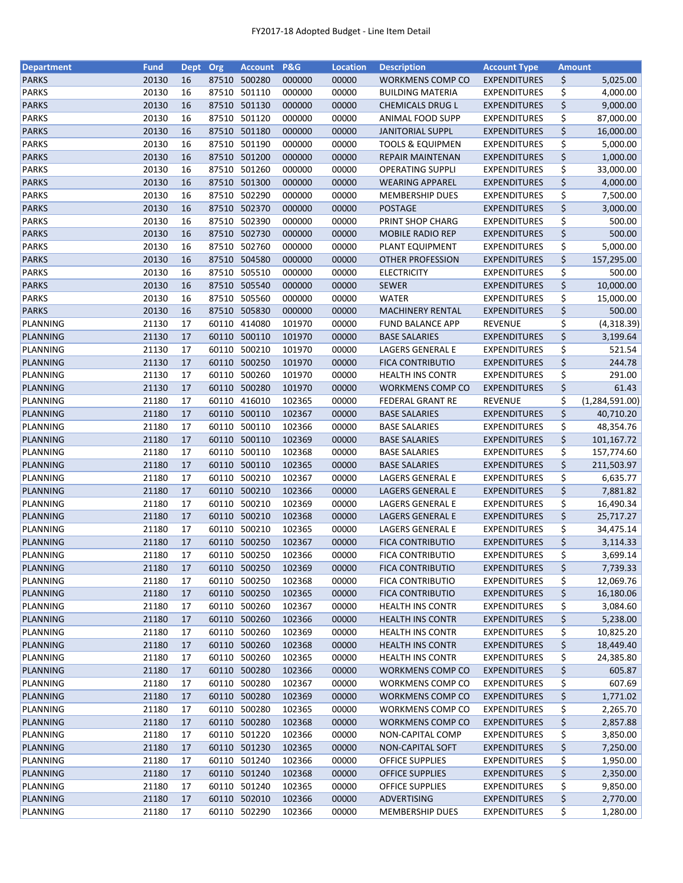| <b>Department</b> | <b>Fund</b>    | <b>Dept</b> | Org   | <b>Account</b>               | <b>P&amp;G</b>   | <b>Location</b> | <b>Description</b>                                 | <b>Account Type</b> | <b>Amount</b> |                  |
|-------------------|----------------|-------------|-------|------------------------------|------------------|-----------------|----------------------------------------------------|---------------------|---------------|------------------|
| <b>PARKS</b>      | 20130          | 16          | 87510 | 500280                       | 000000           | 00000           | WORKMENS COMP CO                                   | <b>EXPENDITURES</b> | \$            | 5,025.00         |
| <b>PARKS</b>      | 20130          | 16          | 87510 | 501110                       | 000000           | 00000           | <b>BUILDING MATERIA</b>                            | <b>EXPENDITURES</b> | \$            | 4,000.00         |
| <b>PARKS</b>      | 20130          | 16          | 87510 | 501130                       | 000000           | 00000           | <b>CHEMICALS DRUG L</b>                            | <b>EXPENDITURES</b> | \$            | 9,000.00         |
| <b>PARKS</b>      | 20130          | 16          | 87510 | 501120                       | 000000           | 00000           | <b>ANIMAL FOOD SUPP</b>                            | <b>EXPENDITURES</b> | \$            | 87,000.00        |
| <b>PARKS</b>      | 20130          | 16          |       | 87510 501180                 | 000000           | 00000           | <b>JANITORIAL SUPPL</b>                            | <b>EXPENDITURES</b> | \$            | 16,000.00        |
| <b>PARKS</b>      | 20130          | 16          |       | 87510 501190                 | 000000           | 00000           | <b>TOOLS &amp; EQUIPMEN</b>                        | <b>EXPENDITURES</b> | \$            | 5,000.00         |
| <b>PARKS</b>      | 20130          | 16          |       | 87510 501200                 | 000000           | 00000           | <b>REPAIR MAINTENAN</b>                            | <b>EXPENDITURES</b> | \$            | 1,000.00         |
| <b>PARKS</b>      | 20130          | 16          | 87510 | 501260                       | 000000           | 00000           | <b>OPERATING SUPPLI</b>                            | <b>EXPENDITURES</b> | \$            | 33,000.00        |
| <b>PARKS</b>      | 20130          | 16          |       | 87510 501300                 | 000000           | 00000           | <b>WEARING APPAREL</b>                             | <b>EXPENDITURES</b> | \$            | 4,000.00         |
| <b>PARKS</b>      | 20130          | 16          | 87510 | 502290                       | 000000           | 00000           | <b>MEMBERSHIP DUES</b>                             | <b>EXPENDITURES</b> | \$            | 7,500.00         |
| <b>PARKS</b>      | 20130          | 16          |       | 87510 502370                 | 000000           | 00000           | <b>POSTAGE</b>                                     | <b>EXPENDITURES</b> | \$            | 3,000.00         |
| <b>PARKS</b>      | 20130          | 16          |       | 87510 502390                 | 000000           | 00000           | PRINT SHOP CHARG                                   | <b>EXPENDITURES</b> | \$            | 500.00           |
| <b>PARKS</b>      | 20130          | 16          | 87510 | 502730                       | 000000           | 00000           | <b>MOBILE RADIO REP</b>                            | <b>EXPENDITURES</b> | \$            | 500.00           |
| <b>PARKS</b>      | 20130          | 16          | 87510 | 502760                       | 000000           | 00000           | PLANT EQUIPMENT                                    | <b>EXPENDITURES</b> | \$            | 5,000.00         |
| <b>PARKS</b>      | 20130          | 16          | 87510 | 504580                       | 000000           | 00000           | <b>OTHER PROFESSION</b>                            | <b>EXPENDITURES</b> | \$            | 157,295.00       |
| <b>PARKS</b>      | 20130          | 16          | 87510 | 505510                       | 000000           | 00000           | <b>ELECTRICITY</b>                                 | <b>EXPENDITURES</b> | \$            | 500.00           |
| <b>PARKS</b>      | 20130          | 16          |       | 87510 505540                 | 000000           | 00000           | <b>SEWER</b>                                       | <b>EXPENDITURES</b> | \$            | 10,000.00        |
| <b>PARKS</b>      | 20130          | 16          |       | 87510 505560                 | 000000           | 00000           | <b>WATER</b>                                       | <b>EXPENDITURES</b> | \$            | 15,000.00        |
| <b>PARKS</b>      | 20130          | 16          |       | 87510 505830                 | 000000           | 00000           | <b>MACHINERY RENTAL</b>                            | <b>EXPENDITURES</b> | \$            | 500.00           |
| PLANNING          | 21130          | 17          | 60110 | 414080                       | 101970           | 00000           | <b>FUND BALANCE APP</b>                            | <b>REVENUE</b>      | \$            | (4,318.39)       |
| PLANNING          | 21130          | 17          |       | 60110 500110                 | 101970           | 00000           | <b>BASE SALARIES</b>                               | <b>EXPENDITURES</b> | \$            | 3,199.64         |
| PLANNING          | 21130          | 17          |       | 60110 500210                 | 101970           | 00000           | LAGERS GENERAL E                                   | <b>EXPENDITURES</b> | \$            | 521.54           |
| PLANNING          | 21130          | 17          |       | 60110 500250                 | 101970           | 00000           | <b>FICA CONTRIBUTIO</b>                            | <b>EXPENDITURES</b> | \$            | 244.78           |
| PLANNING          | 21130          | 17          | 60110 | 500260                       | 101970           | 00000           | <b>HEALTH INS CONTR</b>                            | <b>EXPENDITURES</b> | \$            | 291.00           |
| PLANNING          | 21130          | 17          | 60110 | 500280                       | 101970           | 00000           | WORKMENS COMP CO                                   | <b>EXPENDITURES</b> | \$            | 61.43            |
| PLANNING          | 21180          | 17          | 60110 | 416010                       | 102365           | 00000           | <b>FEDERAL GRANT RE</b>                            | <b>REVENUE</b>      | \$            | (1, 284, 591.00) |
| PLANNING          | 21180          | 17          | 60110 | 500110                       | 102367           | 00000           | <b>BASE SALARIES</b>                               | <b>EXPENDITURES</b> | \$            | 40,710.20        |
| PLANNING          | 21180          | 17          | 60110 | 500110                       | 102366           | 00000           | <b>BASE SALARIES</b>                               | <b>EXPENDITURES</b> | \$            | 48,354.76        |
| PLANNING          | 21180          | 17          | 60110 | 500110                       | 102369           | 00000           | <b>BASE SALARIES</b>                               | <b>EXPENDITURES</b> | \$            | 101,167.72       |
| PLANNING          | 21180          | 17          | 60110 | 500110                       | 102368           | 00000           | <b>BASE SALARIES</b>                               | <b>EXPENDITURES</b> | \$            | 157,774.60       |
| PLANNING          | 21180          | 17          | 60110 | 500110                       | 102365           | 00000           | <b>BASE SALARIES</b>                               | <b>EXPENDITURES</b> | \$            | 211,503.97       |
| PLANNING          | 21180          | 17          | 60110 | 500210                       | 102367           | 00000           | LAGERS GENERAL E                                   | <b>EXPENDITURES</b> | \$            | 6,635.77         |
| PLANNING          | 21180          | 17          | 60110 | 500210                       | 102366           | 00000           | LAGERS GENERAL E                                   | <b>EXPENDITURES</b> | \$            | 7,881.82         |
| PLANNING          | 21180          | 17          | 60110 | 500210                       | 102369           | 00000           | LAGERS GENERAL E                                   | <b>EXPENDITURES</b> | \$            | 16,490.34        |
| PLANNING          | 21180          | 17          |       | 60110 500210                 | 102368           | 00000           | LAGERS GENERAL E                                   | <b>EXPENDITURES</b> | \$            | 25,717.27        |
| PLANNING          | 21180          | 17          |       | 60110 500210                 | 102365           | 00000           | LAGERS GENERAL E                                   | <b>EXPENDITURES</b> | \$            | 34,475.14        |
| PLANNING          | 21180          | 17          |       | 60110 500250                 | 102367           | 00000           | <b>FICA CONTRIBUTIO</b>                            | <b>EXPENDITURES</b> | \$            | 3,114.33         |
| PLANNING          | 21180          | 17          |       | 60110 500250                 | 102366           | 00000           | <b>FICA CONTRIBUTIO</b>                            | <b>EXPENDITURES</b> | \$            | 3,699.14         |
| <b>PLANNING</b>   | 21180          | 17          |       | 60110 500250                 | 102369           | 00000           | <b>FICA CONTRIBUTIO</b>                            | <b>EXPENDITURES</b> |               | 7,739.33         |
| PLANNING          | 21180          | 17          | 60110 | 500250                       | 102368           |                 | <b>FICA CONTRIBUTIO</b>                            |                     | \$            |                  |
|                   |                |             |       |                              |                  | 00000           |                                                    | <b>EXPENDITURES</b> | \$            | 12,069.76        |
| PLANNING          | 21180<br>21180 | 17          |       | 60110 500250<br>60110 500260 | 102365<br>102367 | 00000<br>00000  | <b>FICA CONTRIBUTIO</b><br><b>HEALTH INS CONTR</b> | <b>EXPENDITURES</b> | \$            | 16,180.06        |
| PLANNING          |                | 17          |       |                              |                  |                 |                                                    | <b>EXPENDITURES</b> | \$            | 3,084.60         |
| PLANNING          | 21180          | 17          |       | 60110 500260                 | 102366           | 00000           | <b>HEALTH INS CONTR</b>                            | <b>EXPENDITURES</b> | \$            | 5,238.00         |
| PLANNING          | 21180          | 17          |       | 60110 500260                 | 102369           | 00000           | <b>HEALTH INS CONTR</b>                            | <b>EXPENDITURES</b> | \$            | 10,825.20        |
| PLANNING          | 21180          | 17          |       | 60110 500260                 | 102368           | 00000           | <b>HEALTH INS CONTR</b>                            | <b>EXPENDITURES</b> | \$            | 18,449.40        |
| PLANNING          | 21180          | 17          |       | 60110 500260                 | 102365           | 00000           | HEALTH INS CONTR                                   | <b>EXPENDITURES</b> | \$            | 24,385.80        |
| PLANNING          | 21180          | 17          |       | 60110 500280                 | 102366           | 00000           | WORKMENS COMP CO                                   | <b>EXPENDITURES</b> | \$            | 605.87           |
| PLANNING          | 21180          | 17          |       | 60110 500280                 | 102367           | 00000           | WORKMENS COMP CO                                   | <b>EXPENDITURES</b> | \$            | 607.69           |
| PLANNING          | 21180          | 17          |       | 60110 500280                 | 102369           | 00000           | WORKMENS COMP CO                                   | <b>EXPENDITURES</b> | \$            | 1,771.02         |
| PLANNING          | 21180          | 17          |       | 60110 500280                 | 102365           | 00000           | WORKMENS COMP CO                                   | <b>EXPENDITURES</b> | \$            | 2,265.70         |
| PLANNING          | 21180          | 17          |       | 60110 500280                 | 102368           | 00000           | WORKMENS COMP CO                                   | <b>EXPENDITURES</b> | \$            | 2,857.88         |
| PLANNING          | 21180          | 17          | 60110 | 501220                       | 102366           | 00000           | NON-CAPITAL COMP                                   | <b>EXPENDITURES</b> | \$            | 3,850.00         |
| PLANNING          | 21180          | 17          |       | 60110 501230                 | 102365           | 00000           | NON-CAPITAL SOFT                                   | <b>EXPENDITURES</b> | \$            | 7,250.00         |
| PLANNING          | 21180          | 17          |       | 60110 501240                 | 102366           | 00000           | <b>OFFICE SUPPLIES</b>                             | <b>EXPENDITURES</b> | \$            | 1,950.00         |
| PLANNING          | 21180          | 17          |       | 60110 501240                 | 102368           | 00000           | <b>OFFICE SUPPLIES</b>                             | <b>EXPENDITURES</b> | \$            | 2,350.00         |
| PLANNING          | 21180          | 17          |       | 60110 501240                 | 102365           | 00000           | OFFICE SUPPLIES                                    | <b>EXPENDITURES</b> | \$            | 9,850.00         |
| PLANNING          | 21180          | 17          |       | 60110 502010                 | 102366           | 00000           | ADVERTISING                                        | <b>EXPENDITURES</b> | \$            | 2,770.00         |
| PLANNING          | 21180          | 17          |       | 60110 502290                 | 102366           | 00000           | <b>MEMBERSHIP DUES</b>                             | <b>EXPENDITURES</b> | \$            | 1,280.00         |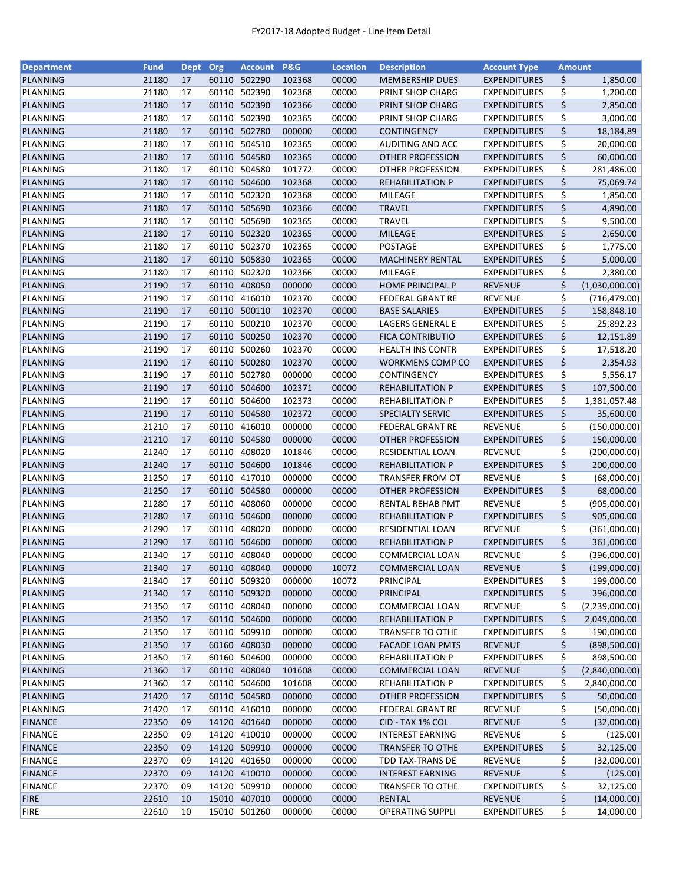| <b>Department</b>           | <b>Fund</b> | <b>Dept</b> | Org   | <b>Account</b>         | P&G              | <b>Location</b> | <b>Description</b>                                 | <b>Account Type</b> | <b>Amount</b> |                |
|-----------------------------|-------------|-------------|-------|------------------------|------------------|-----------------|----------------------------------------------------|---------------------|---------------|----------------|
| PLANNING                    | 21180       | 17          | 60110 | 502290                 | 102368           | 00000           | <b>MEMBERSHIP DUES</b>                             | <b>EXPENDITURES</b> | \$            | 1,850.00       |
| PLANNING                    | 21180       | 17          | 60110 | 502390                 | 102368           | 00000           | PRINT SHOP CHARG                                   | <b>EXPENDITURES</b> | \$            | 1,200.00       |
| PLANNING                    | 21180       | 17          | 60110 | 502390                 | 102366           | 00000           | PRINT SHOP CHARG                                   | <b>EXPENDITURES</b> | \$            | 2,850.00       |
| PLANNING                    | 21180       | 17          | 60110 | 502390                 | 102365           | 00000           | PRINT SHOP CHARG                                   | <b>EXPENDITURES</b> | \$            | 3,000.00       |
| PLANNING                    | 21180       | 17          | 60110 | 502780                 | 000000           | 00000           | <b>CONTINGENCY</b>                                 | <b>EXPENDITURES</b> | \$            | 18,184.89      |
| PLANNING                    | 21180       | 17          | 60110 | 504510                 | 102365           | 00000           | AUDITING AND ACC                                   | <b>EXPENDITURES</b> | \$            | 20,000.00      |
| PLANNING                    | 21180       | 17          | 60110 | 504580                 | 102365           | 00000           | <b>OTHER PROFESSION</b>                            | <b>EXPENDITURES</b> | \$            | 60,000.00      |
| PLANNING                    | 21180       | 17          | 60110 | 504580                 | 101772           | 00000           | OTHER PROFESSION                                   | <b>EXPENDITURES</b> | \$            | 281,486.00     |
| PLANNING                    | 21180       | 17          | 60110 | 504600                 | 102368           | 00000           | <b>REHABILITATION P</b>                            | <b>EXPENDITURES</b> | \$            | 75,069.74      |
| PLANNING                    | 21180       | 17          | 60110 | 502320                 | 102368           | 00000           | MILEAGE                                            | <b>EXPENDITURES</b> | \$            | 1,850.00       |
| PLANNING                    | 21180       | 17          | 60110 | 505690                 | 102366           | 00000           | <b>TRAVEL</b>                                      | <b>EXPENDITURES</b> | \$            | 4,890.00       |
| PLANNING                    | 21180       | 17          | 60110 | 505690                 | 102365           | 00000           | <b>TRAVEL</b>                                      | <b>EXPENDITURES</b> | \$            | 9,500.00       |
| PLANNING                    | 21180       | 17          | 60110 | 502320                 | 102365           | 00000           | <b>MILEAGE</b>                                     | <b>EXPENDITURES</b> | \$            | 2,650.00       |
| PLANNING                    | 21180       | 17          | 60110 | 502370                 | 102365           | 00000           | POSTAGE                                            | <b>EXPENDITURES</b> | \$            | 1,775.00       |
|                             |             |             |       |                        |                  |                 |                                                    |                     |               |                |
| PLANNING                    | 21180       | 17          | 60110 | 505830                 | 102365           | 00000           | <b>MACHINERY RENTAL</b>                            | <b>EXPENDITURES</b> | \$            | 5,000.00       |
| PLANNING                    | 21180       | 17          | 60110 | 502320                 | 102366           | 00000           | MILEAGE                                            | <b>EXPENDITURES</b> | \$            | 2,380.00       |
| PLANNING                    | 21190       | 17          | 60110 | 408050                 | 000000           | 00000           | <b>HOME PRINCIPAL P</b>                            | <b>REVENUE</b>      | \$            | (1,030,000.00) |
| PLANNING                    | 21190       | 17          | 60110 | 416010                 | 102370           | 00000           | FEDERAL GRANT RE                                   | <b>REVENUE</b>      | \$            | (716, 479.00)  |
| PLANNING                    | 21190       | 17          | 60110 | 500110                 | 102370           | 00000           | <b>BASE SALARIES</b>                               | <b>EXPENDITURES</b> | \$            | 158,848.10     |
| PLANNING                    | 21190       | 17          | 60110 | 500210                 | 102370           | 00000           | LAGERS GENERAL E                                   | <b>EXPENDITURES</b> | \$            | 25,892.23      |
| PLANNING                    | 21190       | 17          | 60110 | 500250                 | 102370           | 00000           | <b>FICA CONTRIBUTIO</b>                            | <b>EXPENDITURES</b> | \$            | 12,151.89      |
| PLANNING                    | 21190       | 17          | 60110 | 500260                 | 102370           | 00000           | <b>HEALTH INS CONTR</b>                            | <b>EXPENDITURES</b> | \$            | 17,518.20      |
| PLANNING                    | 21190       | 17          | 60110 | 500280                 | 102370           | 00000           | WORKMENS COMP CO                                   | <b>EXPENDITURES</b> | \$            | 2,354.93       |
| PLANNING                    | 21190       | 17          | 60110 | 502780                 | 000000           | 00000           | CONTINGENCY                                        | <b>EXPENDITURES</b> | \$            | 5,556.17       |
| PLANNING                    | 21190       | 17          | 60110 | 504600                 | 102371           | 00000           | <b>REHABILITATION P</b>                            | <b>EXPENDITURES</b> | \$            | 107,500.00     |
| PLANNING                    | 21190       | 17          | 60110 | 504600                 | 102373           | 00000           | <b>REHABILITATION P</b>                            | <b>EXPENDITURES</b> | \$            | 1,381,057.48   |
| PLANNING                    | 21190       | 17          | 60110 | 504580                 | 102372           | 00000           | SPECIALTY SERVIC                                   | <b>EXPENDITURES</b> | \$            | 35,600.00      |
| PLANNING                    | 21210       | 17          | 60110 | 416010                 | 000000           | 00000           | <b>FEDERAL GRANT RE</b>                            | <b>REVENUE</b>      | \$            | (150,000.00)   |
| PLANNING                    | 21210       | 17          | 60110 | 504580                 | 000000           | 00000           | <b>OTHER PROFESSION</b>                            | <b>EXPENDITURES</b> | \$            | 150,000.00     |
| PLANNING                    | 21240       | 17          | 60110 | 408020                 | 101846           | 00000           | RESIDENTIAL LOAN                                   | <b>REVENUE</b>      | \$            | (200,000.00)   |
| PLANNING                    | 21240       | 17          | 60110 | 504600                 | 101846           | 00000           | <b>REHABILITATION P</b>                            | <b>EXPENDITURES</b> | \$            | 200,000.00     |
| PLANNING                    | 21250       | 17          | 60110 | 417010                 | 000000           | 00000           | <b>TRANSFER FROM OT</b>                            | <b>REVENUE</b>      | \$            | (68,000.00)    |
| PLANNING                    | 21250       | 17          | 60110 | 504580                 | 000000           | 00000           | <b>OTHER PROFESSION</b>                            | <b>EXPENDITURES</b> | \$            | 68,000.00      |
| PLANNING                    | 21280       | 17          | 60110 | 408060                 | 000000           | 00000           | RENTAL REHAB PMT                                   | REVENUE             | \$            | (905,000.00)   |
| PLANNING                    | 21280       | 17          | 60110 | 504600                 | 000000           | 00000           | <b>REHABILITATION P</b>                            | <b>EXPENDITURES</b> | \$            | 905,000.00     |
| PLANNING                    | 21290       | 17          | 60110 | 408020                 | 000000           | 00000           | RESIDENTIAL LOAN                                   | <b>REVENUE</b>      | \$            | (361,000.00)   |
| PLANNING                    | 21290       | 17          | 60110 | 504600                 | 000000           | 00000           | <b>REHABILITATION P</b>                            | <b>EXPENDITURES</b> | \$            | 361,000.00     |
| PLANNING                    | 21340       | 17          | 60110 | 408040                 | 000000           | 00000           | COMMERCIAL LOAN                                    | REVENUE             | \$            | (396,000.00)   |
| <b>PLANNING</b>             | 21340       | 17          |       | 60110 408040           | 000000           | 10072           | <b>COMMERCIAL LOAN</b>                             | <b>REVENUE</b>      | \$            | (199,000.00)   |
| PLANNING                    | 21340       | 17          | 60110 | 509320                 | 000000           | 10072           | PRINCIPAL                                          | <b>EXPENDITURES</b> | \$            | 199,000.00     |
| PLANNING                    | 21340       | 17          |       | 60110 509320           | 000000           | 00000           | <b>PRINCIPAL</b>                                   | <b>EXPENDITURES</b> | \$            | 396,000.00     |
| PLANNING                    | 21350       | 17          |       | 60110 408040           | 000000           | 00000           | COMMERCIAL LOAN                                    | <b>REVENUE</b>      | \$            | (2,239,000.00) |
| PLANNING                    | 21350       | 17          |       | 60110 504600           | 000000           | 00000           | <b>REHABILITATION P</b>                            | <b>EXPENDITURES</b> | \$            | 2,049,000.00   |
| PLANNING                    | 21350       | 17          |       | 60110 509910           | 000000           | 00000           | <b>TRANSFER TO OTHE</b>                            | <b>EXPENDITURES</b> | \$            | 190,000.00     |
| PLANNING                    | 21350       | 17          | 60160 | 408030                 | 000000           | 00000           | <b>FACADE LOAN PMTS</b>                            | <b>REVENUE</b>      | \$            | (898, 500.00)  |
| PLANNING                    | 21350       | 17          | 60160 | 504600                 | 000000           | 00000           | <b>REHABILITATION P</b>                            | <b>EXPENDITURES</b> | \$            | 898,500.00     |
| PLANNING                    | 21360       | 17          |       | 60110 408040           | 101608           | 00000           | <b>COMMERCIAL LOAN</b>                             | REVENUE             | \$            | (2,840,000.00) |
|                             | 21360       |             |       | 60110 504600           |                  |                 |                                                    |                     |               |                |
| PLANNING<br><b>PLANNING</b> | 21420       | 17<br>17    |       |                        | 101608<br>000000 | 00000<br>00000  | <b>REHABILITATION P</b><br><b>OTHER PROFESSION</b> | <b>EXPENDITURES</b> | \$            | 2,840,000.00   |
|                             | 21420       |             | 60110 | 60110 504580<br>416010 | 000000           | 00000           |                                                    | <b>EXPENDITURES</b> | \$<br>\$      | 50,000.00      |
| PLANNING                    |             | 17          |       |                        |                  |                 | <b>FEDERAL GRANT RE</b>                            | REVENUE             |               | (50,000.00)    |
| <b>FINANCE</b>              | 22350       | 09          | 14120 | 401640                 | 000000           | 00000           | CID - TAX 1% COL                                   | <b>REVENUE</b>      | \$            | (32,000.00)    |
| <b>FINANCE</b>              | 22350       | 09          | 14120 | 410010                 | 000000           | 00000           | <b>INTEREST EARNING</b>                            | REVENUE             | \$            | (125.00)       |
| <b>FINANCE</b>              | 22350       | 09          | 14120 | 509910                 | 000000           | 00000           | <b>TRANSFER TO OTHE</b>                            | <b>EXPENDITURES</b> | \$            | 32,125.00      |
| <b>FINANCE</b>              | 22370       | 09          | 14120 | 401650                 | 000000           | 00000           | TDD TAX-TRANS DE                                   | <b>REVENUE</b>      | \$            | (32,000.00)    |
| <b>FINANCE</b>              | 22370       | 09          |       | 14120 410010           | 000000           | 00000           | <b>INTEREST EARNING</b>                            | <b>REVENUE</b>      | \$            | (125.00)       |
| <b>FINANCE</b>              | 22370       | 09          |       | 14120 509910           | 000000           | 00000           | <b>TRANSFER TO OTHE</b>                            | <b>EXPENDITURES</b> | \$            | 32,125.00      |
| <b>FIRE</b>                 | 22610       | 10          |       | 15010 407010           | 000000           | 00000           | RENTAL                                             | <b>REVENUE</b>      | \$            | (14,000.00)    |
| <b>FIRE</b>                 | 22610       | 10          |       | 15010 501260           | 000000           | 00000           | <b>OPERATING SUPPLI</b>                            | <b>EXPENDITURES</b> | \$            | 14,000.00      |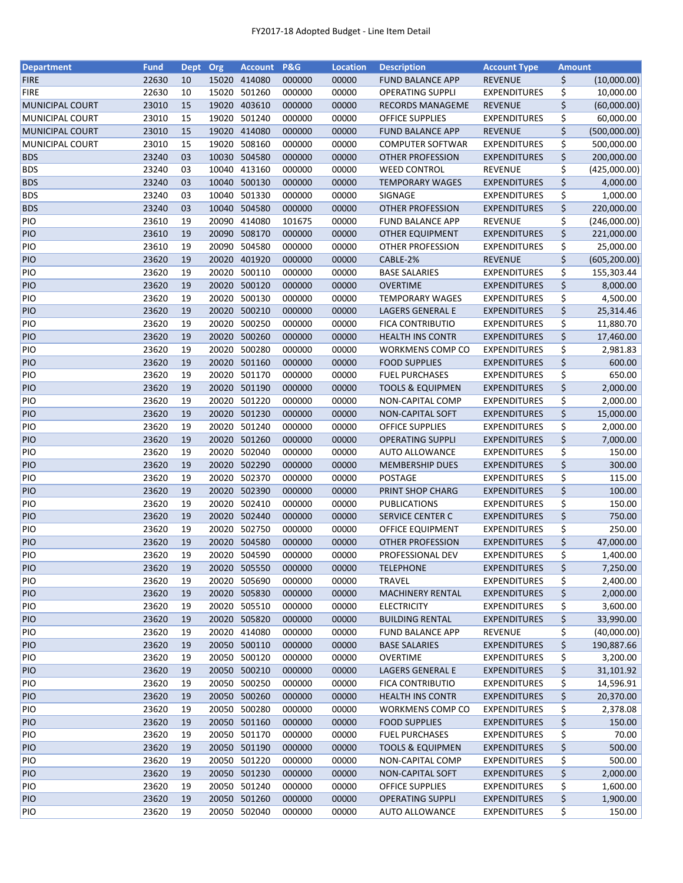| <b>Department</b>        | <b>Fund</b>    | <b>Dept</b> | Org   | <b>Account</b>               | <b>P&amp;G</b>   | <b>Location</b> | <b>Description</b>                              | <b>Account Type</b>                        | <b>Amount</b> |                        |
|--------------------------|----------------|-------------|-------|------------------------------|------------------|-----------------|-------------------------------------------------|--------------------------------------------|---------------|------------------------|
| <b>FIRE</b>              | 22630          | 10          |       | 15020 414080                 | 000000           | 00000           | <b>FUND BALANCE APP</b>                         | <b>REVENUE</b>                             | \$            | (10,000.00)            |
| <b>FIRE</b>              | 22630          | 10          | 15020 | 501260                       | 000000           | 00000           | <b>OPERATING SUPPLI</b>                         | <b>EXPENDITURES</b>                        | \$            | 10,000.00              |
| <b>MUNICIPAL COURT</b>   | 23010          | 15          | 19020 | 403610                       | 000000           | 00000           | <b>RECORDS MANAGEME</b>                         | <b>REVENUE</b>                             | \$            | (60,000.00)            |
| MUNICIPAL COURT          | 23010          | 15          | 19020 | 501240                       | 000000           | 00000           | <b>OFFICE SUPPLIES</b>                          | <b>EXPENDITURES</b>                        | \$            | 60,000.00              |
| MUNICIPAL COURT          | 23010          | 15          |       | 19020 414080                 | 000000           | 00000           | <b>FUND BALANCE APP</b>                         | <b>REVENUE</b>                             | \$            | (500,000.00)           |
| <b>MUNICIPAL COURT</b>   | 23010          | 15          |       | 19020 508160                 | 000000           | 00000           | <b>COMPUTER SOFTWAR</b>                         | <b>EXPENDITURES</b>                        | \$            | 500,000.00             |
| <b>BDS</b>               | 23240          | 03          |       | 10030 504580                 | 000000           | 00000           | <b>OTHER PROFESSION</b>                         | <b>EXPENDITURES</b>                        | \$            | 200,000.00             |
| <b>BDS</b>               | 23240          | 03          |       | 10040 413160                 | 000000           | 00000           | <b>WEED CONTROL</b>                             | REVENUE                                    | \$            | (425,000.00)           |
| <b>BDS</b>               | 23240          | 03          |       | 10040 500130                 | 000000           | 00000           | <b>TEMPORARY WAGES</b>                          | <b>EXPENDITURES</b>                        | \$            | 4,000.00               |
| <b>BDS</b>               | 23240          | 03          |       | 10040 501330                 | 000000           | 00000           | SIGNAGE                                         | <b>EXPENDITURES</b>                        | \$            | 1,000.00               |
| <b>BDS</b>               | 23240          | 03          |       | 10040 504580                 | 000000           | 00000           | <b>OTHER PROFESSION</b>                         | <b>EXPENDITURES</b>                        | \$            | 220,000.00             |
| PIO                      | 23610          | 19          | 20090 | 414080                       | 101675           | 00000           | <b>FUND BALANCE APP</b>                         | <b>REVENUE</b>                             | \$            | (246,000.00)           |
| <b>PIO</b>               | 23610          | 19          |       | 20090 508170                 | 000000           | 00000           | <b>OTHER EQUIPMENT</b>                          | <b>EXPENDITURES</b>                        | \$            | 221,000.00             |
| PIO                      | 23610          | 19          | 20090 | 504580                       | 000000           | 00000           | OTHER PROFESSION                                | <b>EXPENDITURES</b>                        | \$            | 25,000.00              |
| PIO                      | 23620          | 19          | 20020 | 401920                       | 000000           | 00000           | CABLE-2%                                        | <b>REVENUE</b>                             | \$            | (605, 200.00)          |
| PIO                      | 23620          | 19          | 20020 | 500110                       | 000000           | 00000           | <b>BASE SALARIES</b>                            | <b>EXPENDITURES</b>                        | \$            | 155,303.44             |
| PIO                      | 23620          | 19          |       | 20020 500120                 | 000000           | 00000           | <b>OVERTIME</b>                                 | <b>EXPENDITURES</b>                        | \$            | 8,000.00               |
| PIO                      | 23620          | 19          |       | 20020 500130                 | 000000           | 00000           | <b>TEMPORARY WAGES</b>                          | <b>EXPENDITURES</b>                        | \$            | 4,500.00               |
| PIO                      | 23620          | 19          |       | 20020 500210                 | 000000           | 00000           | <b>LAGERS GENERAL E</b>                         | <b>EXPENDITURES</b>                        | \$            | 25,314.46              |
| PIO                      | 23620          | 19          |       | 20020 500250                 | 000000           | 00000           | <b>FICA CONTRIBUTIO</b>                         | <b>EXPENDITURES</b>                        | \$            | 11,880.70              |
| <b>PIO</b>               | 23620          | 19          |       | 20020 500260                 | 000000           | 00000           | <b>HEALTH INS CONTR</b>                         | <b>EXPENDITURES</b>                        | \$            | 17,460.00              |
| PIO                      | 23620          | 19          | 20020 | 500280                       | 000000           | 00000           | WORKMENS COMP CO                                | <b>EXPENDITURES</b>                        | \$            | 2,981.83               |
| PIO                      | 23620          | 19          |       | 20020 501160                 | 000000           | 00000           | <b>FOOD SUPPLIES</b>                            | <b>EXPENDITURES</b>                        | \$            | 600.00                 |
| PIO                      | 23620          | 19          |       | 20020 501170                 | 000000           | 00000           | <b>FUEL PURCHASES</b>                           | <b>EXPENDITURES</b>                        | \$            | 650.00                 |
| PIO                      | 23620          | 19          |       | 20020 501190                 | 000000           | 00000           | <b>TOOLS &amp; EQUIPMEN</b>                     | <b>EXPENDITURES</b>                        | \$            | 2,000.00               |
| PIO                      | 23620          | 19          |       | 20020 501220                 | 000000           | 00000           | NON-CAPITAL COMP                                | <b>EXPENDITURES</b>                        | \$            | 2,000.00               |
| PIO                      | 23620          | 19          | 20020 | 501230                       | 000000           | 00000           | NON-CAPITAL SOFT                                | <b>EXPENDITURES</b>                        | \$            | 15,000.00              |
| PIO                      | 23620          | 19          | 20020 | 501240                       | 000000           | 00000           | <b>OFFICE SUPPLIES</b>                          | <b>EXPENDITURES</b>                        | \$            |                        |
| PIO                      | 23620          | 19          |       | 20020 501260                 | 000000           | 00000           | <b>OPERATING SUPPLI</b>                         | <b>EXPENDITURES</b>                        | \$            | 2,000.00<br>7,000.00   |
| PIO                      | 23620          | 19          | 20020 | 502040                       | 000000           | 00000           | <b>AUTO ALLOWANCE</b>                           | <b>EXPENDITURES</b>                        | \$            | 150.00                 |
| PIO                      | 23620          | 19          |       | 20020 502290                 | 000000           | 00000           | <b>MEMBERSHIP DUES</b>                          | <b>EXPENDITURES</b>                        | \$            | 300.00                 |
| PIO                      | 23620          | 19          |       | 20020 502370                 | 000000           | 00000           | <b>POSTAGE</b>                                  | <b>EXPENDITURES</b>                        | \$            | 115.00                 |
| <b>PIO</b>               | 23620          | 19          |       | 20020 502390                 | 000000           | 00000           | PRINT SHOP CHARG                                | <b>EXPENDITURES</b>                        | \$            | 100.00                 |
| PIO                      | 23620          | 19          |       | 20020 502410                 | 000000           | 00000           | PUBLICATIONS                                    | <b>EXPENDITURES</b>                        | \$            | 150.00                 |
| PIO                      | 23620          | 19          |       | 20020 502440                 | 000000           | 00000           | <b>SERVICE CENTER C</b>                         | <b>EXPENDITURES</b>                        | \$            | 750.00                 |
| <b>PIO</b>               | 23620          | 19          |       | 20020 502750                 | 000000           | 00000           | OFFICE EQUIPMENT                                | <b>EXPENDITURES</b>                        | \$            | 250.00                 |
| PIO                      | 23620          | 19          |       | 20020 504580                 | 000000           | 00000           | <b>OTHER PROFESSION</b>                         | <b>EXPENDITURES</b>                        | \$            | 47,000.00              |
| PIO                      | 23620          | 19          |       | 20020 504590                 | 000000           | 00000           | PROFESSIONAL DEV                                | <b>EXPENDITURES</b>                        | \$            | 1,400.00               |
| <b>PIO</b>               | 23620          | 19          |       | 20020 505550                 | 000000           | 00000           | <b>TELEPHONE</b>                                | <b>EXPENDITURES</b>                        | \$            | 7,250.00               |
| <b>PIO</b>               | 23620          | 19          | 20020 | 505690                       | 000000           | 00000           | <b>TRAVEL</b>                                   | <b>EXPENDITURES</b>                        | \$            | 2,400.00               |
| PIO                      | 23620          | 19          |       | 20020 505830                 | 000000           | 00000           | <b>MACHINERY RENTAL</b>                         | <b>EXPENDITURES</b>                        | \$            | 2,000.00               |
| <b>PIO</b>               | 23620          | 19          |       | 20020 505510                 | 000000           | 00000           | <b>ELECTRICITY</b>                              | <b>EXPENDITURES</b>                        | \$            | 3,600.00               |
| <b>PIO</b>               | 23620          | 19          |       | 20020 505820                 | 000000           | 00000           | <b>BUILDING RENTAL</b>                          | <b>EXPENDITURES</b>                        | \$            | 33,990.00              |
| PIO                      | 23620          | 19          |       | 20020 414080                 | 000000           | 00000           | <b>FUND BALANCE APP</b>                         | <b>REVENUE</b>                             | \$            | (40,000.00)            |
| <b>PIO</b>               | 23620          | 19          |       | 20050 500110                 | 000000           | 00000           | <b>BASE SALARIES</b>                            | <b>EXPENDITURES</b>                        | \$            | 190,887.66             |
| <b>PIO</b>               | 23620          | 19          |       | 20050 500120                 | 000000           | 00000           | OVERTIME                                        | <b>EXPENDITURES</b>                        | \$            | 3,200.00               |
| <b>PIO</b>               | 23620          | 19          |       | 20050 500210                 | 000000           | 00000           | <b>LAGERS GENERAL E</b>                         | <b>EXPENDITURES</b>                        | \$            | 31,101.92              |
|                          | 23620          |             |       | 20050 500250                 |                  |                 | <b>FICA CONTRIBUTIO</b>                         |                                            |               |                        |
| <b>PIO</b><br><b>PIO</b> | 23620          | 19<br>19    |       | 20050 500260                 | 000000<br>000000 | 00000<br>00000  | <b>HEALTH INS CONTR</b>                         | <b>EXPENDITURES</b><br><b>EXPENDITURES</b> | \$<br>\$      | 14,596.91<br>20,370.00 |
|                          |                |             |       |                              |                  |                 |                                                 |                                            |               |                        |
| PIO<br><b>PIO</b>        | 23620<br>23620 | 19<br>19    |       | 20050 500280<br>20050 501160 | 000000<br>000000 | 00000<br>00000  | <b>WORKMENS COMP CO</b><br><b>FOOD SUPPLIES</b> | <b>EXPENDITURES</b><br><b>EXPENDITURES</b> | \$<br>\$      | 2,378.08<br>150.00     |
|                          | 23620          |             |       | 20050 501170                 |                  |                 |                                                 |                                            |               |                        |
| <b>PIO</b>               | 23620          | 19          |       |                              | 000000<br>000000 | 00000           | <b>FUEL PURCHASES</b>                           | <b>EXPENDITURES</b>                        | \$            | 70.00<br>500.00        |
| <b>PIO</b>               |                | 19          |       | 20050 501190                 |                  | 00000           | <b>TOOLS &amp; EQUIPMEN</b>                     | <b>EXPENDITURES</b>                        | \$            |                        |
| PIO                      | 23620          | 19          |       | 20050 501220                 | 000000           | 00000           | NON-CAPITAL COMP                                | <b>EXPENDITURES</b>                        | \$            | 500.00                 |
| <b>PIO</b>               | 23620          | 19          |       | 20050 501230                 | 000000           | 00000           | NON-CAPITAL SOFT                                | <b>EXPENDITURES</b>                        | \$            | 2,000.00               |
| PIO                      | 23620          | 19          |       | 20050 501240                 | 000000           | 00000           | OFFICE SUPPLIES                                 | <b>EXPENDITURES</b>                        | \$            | 1,600.00               |
| <b>PIO</b>               | 23620          | 19          |       | 20050 501260                 | 000000           | 00000           | <b>OPERATING SUPPLI</b>                         | <b>EXPENDITURES</b>                        | \$            | 1,900.00               |
| <b>PIO</b>               | 23620          | 19          |       | 20050 502040                 | 000000           | 00000           | <b>AUTO ALLOWANCE</b>                           | <b>EXPENDITURES</b>                        | \$            | 150.00                 |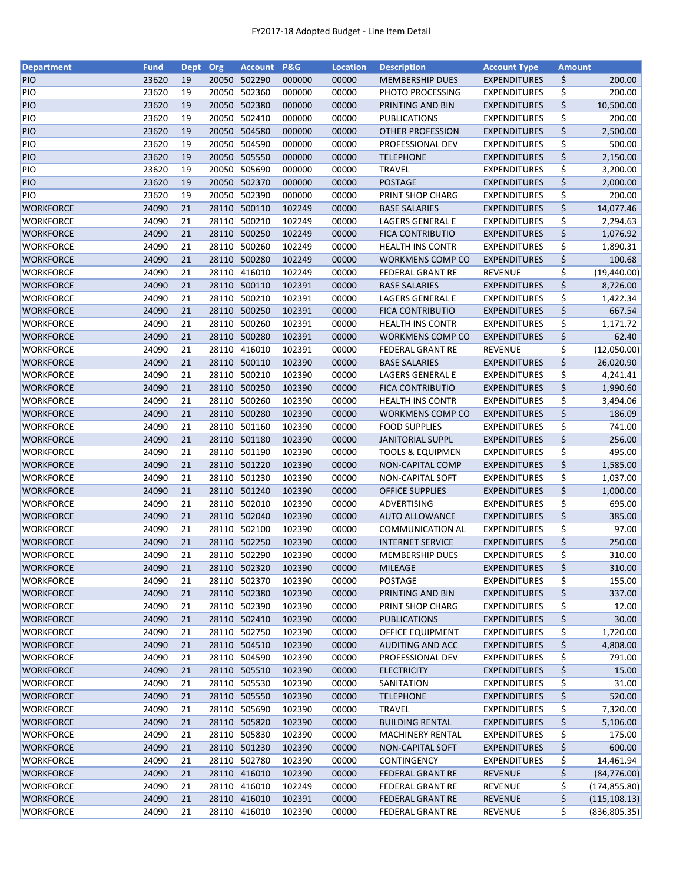| <b>Department</b> | <b>Fund</b> | <b>Dept</b> | Org   | <b>Account</b> | P&G    | <b>Location</b> | <b>Description</b>          | <b>Account Type</b> | <b>Amount</b> |               |
|-------------------|-------------|-------------|-------|----------------|--------|-----------------|-----------------------------|---------------------|---------------|---------------|
| <b>PIO</b>        | 23620       | 19          | 20050 | 502290         | 000000 | 00000           | <b>MEMBERSHIP DUES</b>      | <b>EXPENDITURES</b> | \$            | 200.00        |
| PIO               | 23620       | 19          | 20050 | 502360         | 000000 | 00000           | PHOTO PROCESSING            | <b>EXPENDITURES</b> | \$            | 200.00        |
| PIO               | 23620       | 19          |       | 20050 502380   | 000000 | 00000           | PRINTING AND BIN            | <b>EXPENDITURES</b> | \$            | 10,500.00     |
| PIO               | 23620       | 19          | 20050 | 502410         | 000000 | 00000           | <b>PUBLICATIONS</b>         | <b>EXPENDITURES</b> | \$            | 200.00        |
| PIO               | 23620       | 19          |       | 20050 504580   | 000000 | 00000           | <b>OTHER PROFESSION</b>     | <b>EXPENDITURES</b> | \$            | 2,500.00      |
| PIO               | 23620       | 19          |       | 20050 504590   | 000000 | 00000           | PROFESSIONAL DEV            | <b>EXPENDITURES</b> | \$            | 500.00        |
| <b>PIO</b>        | 23620       | 19          |       | 20050 505550   | 000000 | 00000           | <b>TELEPHONE</b>            | <b>EXPENDITURES</b> | \$            | 2,150.00      |
| PIO               | 23620       | 19          |       | 20050 505690   | 000000 | 00000           | <b>TRAVEL</b>               | <b>EXPENDITURES</b> | \$            | 3,200.00      |
| PIO               | 23620       | 19          |       | 20050 502370   | 000000 | 00000           | <b>POSTAGE</b>              | <b>EXPENDITURES</b> | \$            | 2,000.00      |
| PIO               | 23620       | 19          |       | 20050 502390   | 000000 | 00000           | PRINT SHOP CHARG            | <b>EXPENDITURES</b> | \$            | 200.00        |
| <b>WORKFORCE</b>  | 24090       | 21          |       | 28110 500110   | 102249 | 00000           | <b>BASE SALARIES</b>        | <b>EXPENDITURES</b> | \$            | 14,077.46     |
| <b>WORKFORCE</b>  | 24090       | 21          |       | 28110 500210   | 102249 | 00000           | LAGERS GENERAL E            | <b>EXPENDITURES</b> | \$            | 2,294.63      |
| <b>WORKFORCE</b>  | 24090       | 21          | 28110 | 500250         | 102249 | 00000           | <b>FICA CONTRIBUTIO</b>     | <b>EXPENDITURES</b> | \$            | 1,076.92      |
| <b>WORKFORCE</b>  | 24090       | 21          | 28110 | 500260         | 102249 | 00000           | <b>HEALTH INS CONTR</b>     | <b>EXPENDITURES</b> | \$            | 1,890.31      |
| <b>WORKFORCE</b>  | 24090       | 21          | 28110 | 500280         | 102249 | 00000           | <b>WORKMENS COMP CO</b>     | <b>EXPENDITURES</b> | \$            | 100.68        |
| <b>WORKFORCE</b>  | 24090       | 21          |       | 28110 416010   | 102249 | 00000           | <b>FEDERAL GRANT RE</b>     | <b>REVENUE</b>      | \$            | (19, 440.00)  |
| <b>WORKFORCE</b>  | 24090       | 21          |       | 28110 500110   | 102391 | 00000           | <b>BASE SALARIES</b>        | <b>EXPENDITURES</b> | \$            | 8,726.00      |
| <b>WORKFORCE</b>  | 24090       | 21          |       | 28110 500210   | 102391 | 00000           | LAGERS GENERAL E            | <b>EXPENDITURES</b> | \$            | 1,422.34      |
| <b>WORKFORCE</b>  | 24090       | 21          |       | 28110 500250   | 102391 | 00000           | <b>FICA CONTRIBUTIO</b>     | <b>EXPENDITURES</b> | \$            | 667.54        |
| <b>WORKFORCE</b>  | 24090       | 21          | 28110 | 500260         | 102391 | 00000           | <b>HEALTH INS CONTR</b>     | <b>EXPENDITURES</b> | \$            | 1,171.72      |
| <b>WORKFORCE</b>  | 24090       | 21          |       | 28110 500280   | 102391 | 00000           | <b>WORKMENS COMP CO</b>     | <b>EXPENDITURES</b> | \$            | 62.40         |
| <b>WORKFORCE</b>  | 24090       | 21          |       | 28110 416010   | 102391 | 00000           | <b>FEDERAL GRANT RE</b>     | <b>REVENUE</b>      | \$            | (12,050.00)   |
| <b>WORKFORCE</b>  | 24090       | 21          |       | 28110 500110   | 102390 | 00000           | <b>BASE SALARIES</b>        | <b>EXPENDITURES</b> | \$            | 26,020.90     |
| <b>WORKFORCE</b>  | 24090       | 21          |       | 28110 500210   | 102390 | 00000           | LAGERS GENERAL E            | <b>EXPENDITURES</b> | \$            | 4,241.41      |
| <b>WORKFORCE</b>  | 24090       | 21          |       | 28110 500250   | 102390 | 00000           | <b>FICA CONTRIBUTIO</b>     | <b>EXPENDITURES</b> | \$            | 1,990.60      |
| <b>WORKFORCE</b>  | 24090       | 21          | 28110 | 500260         | 102390 | 00000           | <b>HEALTH INS CONTR</b>     | <b>EXPENDITURES</b> | \$            | 3,494.06      |
| <b>WORKFORCE</b>  | 24090       | 21          | 28110 | 500280         | 102390 | 00000           | <b>WORKMENS COMP CO</b>     | <b>EXPENDITURES</b> | \$            | 186.09        |
| <b>WORKFORCE</b>  | 24090       | 21          | 28110 | 501160         | 102390 | 00000           | <b>FOOD SUPPLIES</b>        | <b>EXPENDITURES</b> | \$            | 741.00        |
| <b>WORKFORCE</b>  | 24090       | 21          |       | 28110 501180   | 102390 | 00000           | <b>JANITORIAL SUPPL</b>     | <b>EXPENDITURES</b> | \$            | 256.00        |
| <b>WORKFORCE</b>  | 24090       | 21          |       | 28110 501190   | 102390 | 00000           | <b>TOOLS &amp; EQUIPMEN</b> | <b>EXPENDITURES</b> | \$            | 495.00        |
| <b>WORKFORCE</b>  | 24090       | 21          |       | 28110 501220   | 102390 | 00000           | <b>NON-CAPITAL COMP</b>     | <b>EXPENDITURES</b> | \$            | 1,585.00      |
| <b>WORKFORCE</b>  | 24090       | 21          |       | 28110 501230   | 102390 | 00000           | NON-CAPITAL SOFT            | <b>EXPENDITURES</b> | \$            | 1,037.00      |
| <b>WORKFORCE</b>  | 24090       | 21          |       | 28110 501240   | 102390 | 00000           | <b>OFFICE SUPPLIES</b>      | <b>EXPENDITURES</b> | \$            | 1,000.00      |
| <b>WORKFORCE</b>  | 24090       | 21          |       | 28110 502010   | 102390 | 00000           | ADVERTISING                 | <b>EXPENDITURES</b> | \$            | 695.00        |
| <b>WORKFORCE</b>  | 24090       | 21          |       | 28110 502040   | 102390 | 00000           | <b>AUTO ALLOWANCE</b>       | <b>EXPENDITURES</b> | \$            | 385.00        |
| <b>WORKFORCE</b>  | 24090       | 21          |       | 28110 502100   | 102390 | 00000           | <b>COMMUNICATION AL</b>     | EXPENDITURES        | \$            | 97.00         |
| <b>WORKFORCE</b>  | 24090       | 21          |       | 28110 502250   | 102390 | 00000           | <b>INTERNET SERVICE</b>     | <b>EXPENDITURES</b> | \$            | 250.00        |
| <b>WORKFORCE</b>  | 24090       | 21          |       | 28110 502290   | 102390 | 00000           | <b>MEMBERSHIP DUES</b>      | <b>EXPENDITURES</b> | \$            | 310.00        |
| <b>WORKFORCE</b>  | 24090       | 21          |       | 28110 502320   | 102390 | 00000           | MILEAGE                     | <b>EXPENDITURES</b> | \$            | 310.00        |
| <b>WORKFORCE</b>  | 24090       | 21          |       | 28110 502370   | 102390 | 00000           | POSTAGE                     | <b>EXPENDITURES</b> | \$            | 155.00        |
| <b>WORKFORCE</b>  | 24090       | 21          |       | 28110 502380   | 102390 | 00000           | PRINTING AND BIN            | <b>EXPENDITURES</b> | \$            | 337.00        |
| <b>WORKFORCE</b>  | 24090       | 21          |       | 28110 502390   | 102390 | 00000           | PRINT SHOP CHARG            | <b>EXPENDITURES</b> | \$            | 12.00         |
| <b>WORKFORCE</b>  | 24090       | 21          |       | 28110 502410   | 102390 | 00000           | <b>PUBLICATIONS</b>         | <b>EXPENDITURES</b> | \$            | 30.00         |
| <b>WORKFORCE</b>  | 24090       | 21          |       | 28110 502750   | 102390 | 00000           | OFFICE EQUIPMENT            | <b>EXPENDITURES</b> | \$            | 1,720.00      |
| <b>WORKFORCE</b>  | 24090       | 21          |       | 28110 504510   | 102390 | 00000           | AUDITING AND ACC            | <b>EXPENDITURES</b> | \$            | 4,808.00      |
| <b>WORKFORCE</b>  | 24090       | 21          |       | 28110 504590   | 102390 | 00000           | PROFESSIONAL DEV            | <b>EXPENDITURES</b> | \$            | 791.00        |
| <b>WORKFORCE</b>  | 24090       | 21          |       | 28110 505510   | 102390 | 00000           | <b>ELECTRICITY</b>          | <b>EXPENDITURES</b> | \$            | 15.00         |
| <b>WORKFORCE</b>  | 24090       | 21          |       | 28110 505530   | 102390 | 00000           | SANITATION                  | <b>EXPENDITURES</b> | \$            | 31.00         |
| <b>WORKFORCE</b>  | 24090       | 21          |       | 28110 505550   | 102390 | 00000           | <b>TELEPHONE</b>            | <b>EXPENDITURES</b> | \$            | 520.00        |
| <b>WORKFORCE</b>  | 24090       | 21          |       | 28110 505690   | 102390 | 00000           | <b>TRAVEL</b>               | <b>EXPENDITURES</b> | \$            | 7,320.00      |
| <b>WORKFORCE</b>  | 24090       | 21          |       | 28110 505820   | 102390 | 00000           | <b>BUILDING RENTAL</b>      | <b>EXPENDITURES</b> | \$            | 5,106.00      |
| <b>WORKFORCE</b>  | 24090       | 21          |       | 28110 505830   | 102390 | 00000           | <b>MACHINERY RENTAL</b>     | <b>EXPENDITURES</b> | \$            | 175.00        |
| <b>WORKFORCE</b>  | 24090       | 21          |       | 28110 501230   | 102390 | 00000           | NON-CAPITAL SOFT            | <b>EXPENDITURES</b> | \$            | 600.00        |
| <b>WORKFORCE</b>  | 24090       | 21          |       | 28110 502780   | 102390 | 00000           | CONTINGENCY                 | <b>EXPENDITURES</b> | \$            | 14,461.94     |
| <b>WORKFORCE</b>  | 24090       | 21          |       | 28110 416010   | 102390 | 00000           | <b>FEDERAL GRANT RE</b>     | <b>REVENUE</b>      | \$            | (84, 776.00)  |
| <b>WORKFORCE</b>  | 24090       | 21          |       | 28110 416010   | 102249 | 00000           | <b>FEDERAL GRANT RE</b>     | REVENUE             | \$            | (174, 855.80) |
| <b>WORKFORCE</b>  | 24090       | 21          |       | 28110 416010   | 102391 | 00000           | <b>FEDERAL GRANT RE</b>     | <b>REVENUE</b>      | \$            | (115, 108.13) |
| <b>WORKFORCE</b>  | 24090       | 21          |       | 28110 416010   | 102390 | 00000           | <b>FEDERAL GRANT RE</b>     | <b>REVENUE</b>      | \$            | (836, 805.35) |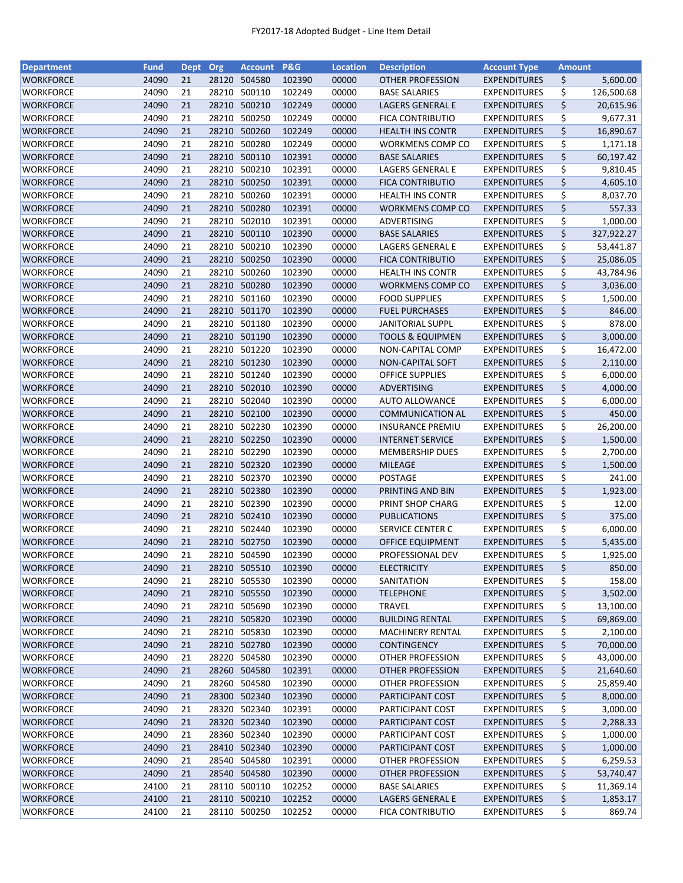| <b>Department</b> | Fund  | Dept Org |       | <b>Account</b> | P&G    | <b>Location</b> | <b>Description</b>          | <b>Account Type</b> | <b>Amount</b> |            |
|-------------------|-------|----------|-------|----------------|--------|-----------------|-----------------------------|---------------------|---------------|------------|
| <b>WORKFORCE</b>  | 24090 | 21       | 28120 | 504580         | 102390 | 00000           | <b>OTHER PROFESSION</b>     | <b>EXPENDITURES</b> | \$            | 5,600.00   |
| WORKFORCE         | 24090 | 21       | 28210 | 500110         | 102249 | 00000           | <b>BASE SALARIES</b>        | <b>EXPENDITURES</b> | \$            | 126,500.68 |
| WORKFORCE         | 24090 | 21       | 28210 | 500210         | 102249 | 00000           | <b>LAGERS GENERAL E</b>     | <b>EXPENDITURES</b> | \$            | 20,615.96  |
| WORKFORCE         | 24090 | 21       | 28210 | 500250         | 102249 | 00000           | <b>FICA CONTRIBUTIO</b>     | <b>EXPENDITURES</b> | \$            | 9,677.31   |
| <b>WORKFORCE</b>  | 24090 | 21       | 28210 | 500260         | 102249 | 00000           | <b>HEALTH INS CONTR</b>     | <b>EXPENDITURES</b> | \$            | 16,890.67  |
| WORKFORCE         | 24090 | 21       | 28210 | 500280         | 102249 | 00000           | <b>WORKMENS COMP CO</b>     | <b>EXPENDITURES</b> | \$            | 1,171.18   |
| WORKFORCE         | 24090 | 21       | 28210 | 500110         | 102391 | 00000           | <b>BASE SALARIES</b>        | <b>EXPENDITURES</b> | \$            | 60,197.42  |
| WORKFORCE         | 24090 | 21       | 28210 | 500210         | 102391 | 00000           | LAGERS GENERAL E            | <b>EXPENDITURES</b> | \$            | 9,810.45   |
| WORKFORCE         | 24090 | 21       |       | 28210 500250   | 102391 | 00000           | <b>FICA CONTRIBUTIO</b>     | <b>EXPENDITURES</b> | \$            | 4,605.10   |
| WORKFORCE         | 24090 | 21       | 28210 | 500260         | 102391 | 00000           | <b>HEALTH INS CONTR</b>     | <b>EXPENDITURES</b> | \$            | 8,037.70   |
| <b>WORKFORCE</b>  | 24090 | 21       |       | 28210 500280   | 102391 | 00000           | <b>WORKMENS COMP CO</b>     | <b>EXPENDITURES</b> | \$            | 557.33     |
| <b>WORKFORCE</b>  | 24090 | 21       | 28210 | 502010         | 102391 | 00000           | ADVERTISING                 | <b>EXPENDITURES</b> | \$            | 1,000.00   |
| WORKFORCE         | 24090 | 21       | 28210 | 500110         | 102390 | 00000           | <b>BASE SALARIES</b>        | <b>EXPENDITURES</b> | \$            | 327,922.27 |
| WORKFORCE         | 24090 | 21       | 28210 | 500210         | 102390 | 00000           | LAGERS GENERAL E            | <b>EXPENDITURES</b> | \$            | 53,441.87  |
| <b>WORKFORCE</b>  | 24090 | 21       | 28210 | 500250         | 102390 | 00000           | <b>FICA CONTRIBUTIO</b>     | <b>EXPENDITURES</b> | \$            | 25,086.05  |
| <b>WORKFORCE</b>  | 24090 | 21       | 28210 | 500260         | 102390 | 00000           | <b>HEALTH INS CONTR</b>     | <b>EXPENDITURES</b> |               |            |
|                   | 24090 | 21       |       | 28210 500280   | 102390 | 00000           |                             | <b>EXPENDITURES</b> | \$<br>\$      | 43,784.96  |
| WORKFORCE         |       |          |       |                |        |                 | <b>WORKMENS COMP CO</b>     |                     |               | 3,036.00   |
| <b>WORKFORCE</b>  | 24090 | 21       | 28210 | 501160         | 102390 | 00000           | <b>FOOD SUPPLIES</b>        | <b>EXPENDITURES</b> | \$            | 1,500.00   |
| <b>WORKFORCE</b>  | 24090 | 21       |       | 28210 501170   | 102390 | 00000           | <b>FUEL PURCHASES</b>       | <b>EXPENDITURES</b> | \$            | 846.00     |
| WORKFORCE         | 24090 | 21       | 28210 | 501180         | 102390 | 00000           | <b>JANITORIAL SUPPL</b>     | <b>EXPENDITURES</b> | \$            | 878.00     |
| <b>WORKFORCE</b>  | 24090 | 21       |       | 28210 501190   | 102390 | 00000           | <b>TOOLS &amp; EQUIPMEN</b> | <b>EXPENDITURES</b> | \$            | 3,000.00   |
| WORKFORCE         | 24090 | 21       |       | 28210 501220   | 102390 | 00000           | NON-CAPITAL COMP            | <b>EXPENDITURES</b> | \$            | 16,472.00  |
| <b>WORKFORCE</b>  | 24090 | 21       |       | 28210 501230   | 102390 | 00000           | <b>NON-CAPITAL SOFT</b>     | <b>EXPENDITURES</b> | \$            | 2,110.00   |
| <b>WORKFORCE</b>  | 24090 | 21       | 28210 | 501240         | 102390 | 00000           | <b>OFFICE SUPPLIES</b>      | <b>EXPENDITURES</b> | \$            | 6,000.00   |
| <b>WORKFORCE</b>  | 24090 | 21       | 28210 | 502010         | 102390 | 00000           | ADVERTISING                 | <b>EXPENDITURES</b> | \$            | 4,000.00   |
| WORKFORCE         | 24090 | 21       | 28210 | 502040         | 102390 | 00000           | <b>AUTO ALLOWANCE</b>       | <b>EXPENDITURES</b> | \$            | 6,000.00   |
| WORKFORCE         | 24090 | 21       | 28210 | 502100         | 102390 | 00000           | <b>COMMUNICATION AL</b>     | <b>EXPENDITURES</b> | \$            | 450.00     |
| <b>WORKFORCE</b>  | 24090 | 21       | 28210 | 502230         | 102390 | 00000           | <b>INSURANCE PREMIU</b>     | <b>EXPENDITURES</b> | \$            | 26,200.00  |
| WORKFORCE         | 24090 | 21       | 28210 | 502250         | 102390 | 00000           | <b>INTERNET SERVICE</b>     | <b>EXPENDITURES</b> | \$            | 1,500.00   |
| <b>WORKFORCE</b>  | 24090 | 21       | 28210 | 502290         | 102390 | 00000           | <b>MEMBERSHIP DUES</b>      | <b>EXPENDITURES</b> | \$            | 2,700.00   |
| <b>WORKFORCE</b>  | 24090 | 21       | 28210 | 502320         | 102390 | 00000           | <b>MILEAGE</b>              | <b>EXPENDITURES</b> | \$            | 1,500.00   |
| WORKFORCE         | 24090 | 21       | 28210 | 502370         | 102390 | 00000           | <b>POSTAGE</b>              | <b>EXPENDITURES</b> | \$            | 241.00     |
| WORKFORCE         | 24090 | 21       |       | 28210 502380   | 102390 | 00000           | PRINTING AND BIN            | <b>EXPENDITURES</b> | \$            | 1,923.00   |
| WORKFORCE         | 24090 | 21       |       | 28210 502390   | 102390 | 00000           | PRINT SHOP CHARG            | <b>EXPENDITURES</b> | \$            | 12.00      |
| WORKFORCE         | 24090 | 21       |       | 28210 502410   | 102390 | 00000           | <b>PUBLICATIONS</b>         | <b>EXPENDITURES</b> | \$            | 375.00     |
| WORKFORCE         | 24090 | 21       |       | 28210 502440   | 102390 | 00000           | SERVICE CENTER C            | <b>EXPENDITURES</b> | \$            | 6,000.00   |
| WORKFORCE         | 24090 | 21       |       | 28210 502750   | 102390 | 00000           | OFFICE EQUIPMENT            | <b>EXPENDITURES</b> | \$            | 5,435.00   |
| <b>WORKFORCE</b>  | 24090 | 21       |       | 28210 504590   | 102390 | 00000           | PROFESSIONAL DEV            | <b>EXPENDITURES</b> | \$            | 1,925.00   |
| WORKFORCE         | 24090 | 21       |       | 28210 505510   | 102390 | 00000           | <b>ELECTRICITY</b>          | <b>EXPENDITURES</b> | \$            | 850.00     |
| WORKFORCE         | 24090 | 21       | 28210 | 505530         | 102390 | 00000           | SANITATION                  | <b>EXPENDITURES</b> | \$            | 158.00     |
| <b>WORKFORCE</b>  | 24090 | 21       |       | 28210 505550   | 102390 | 00000           | <b>TELEPHONE</b>            | <b>EXPENDITURES</b> | \$            | 3,502.00   |
| <b>WORKFORCE</b>  | 24090 | 21       |       | 28210 505690   | 102390 | 00000           | <b>TRAVEL</b>               | <b>EXPENDITURES</b> | \$            | 13,100.00  |
| <b>WORKFORCE</b>  | 24090 | 21       |       | 28210 505820   | 102390 | 00000           | <b>BUILDING RENTAL</b>      | <b>EXPENDITURES</b> | \$            | 69,869.00  |
| WORKFORCE         | 24090 | 21       |       | 28210 505830   | 102390 | 00000           | <b>MACHINERY RENTAL</b>     | <b>EXPENDITURES</b> | \$            | 2,100.00   |
| WORKFORCE         | 24090 | 21       |       | 28210 502780   | 102390 | 00000           | <b>CONTINGENCY</b>          | <b>EXPENDITURES</b> | \$            | 70,000.00  |
| <b>WORKFORCE</b>  | 24090 | 21       |       | 28220 504580   | 102390 | 00000           | OTHER PROFESSION            | <b>EXPENDITURES</b> | \$            | 43,000.00  |
| WORKFORCE         | 24090 | 21       |       | 28260 504580   | 102391 | 00000           | OTHER PROFESSION            | <b>EXPENDITURES</b> | \$            | 21,640.60  |
| WORKFORCE         | 24090 | 21       |       | 28260 504580   | 102390 | 00000           | OTHER PROFESSION            | <b>EXPENDITURES</b> | \$            | 25,859.40  |
| WORKFORCE         | 24090 | 21       |       | 28300 502340   | 102390 | 00000           | PARTICIPANT COST            | <b>EXPENDITURES</b> | \$            | 8,000.00   |
| WORKFORCE         | 24090 | 21       | 28320 | 502340         | 102391 | 00000           | PARTICIPANT COST            | <b>EXPENDITURES</b> | \$            | 3,000.00   |
| WORKFORCE         | 24090 | 21       |       | 28320 502340   | 102390 | 00000           | PARTICIPANT COST            | <b>EXPENDITURES</b> | \$            | 2,288.33   |
| WORKFORCE         | 24090 | 21       | 28360 | 502340         | 102390 | 00000           | PARTICIPANT COST            | <b>EXPENDITURES</b> | \$            | 1,000.00   |
| WORKFORCE         | 24090 | 21       |       | 28410 502340   | 102390 | 00000           | PARTICIPANT COST            | <b>EXPENDITURES</b> | \$            | 1,000.00   |
| WORKFORCE         | 24090 | 21       |       | 28540 504580   | 102391 | 00000           | OTHER PROFESSION            | <b>EXPENDITURES</b> | \$            | 6,259.53   |
| WORKFORCE         | 24090 | 21       |       | 28540 504580   | 102390 | 00000           | OTHER PROFESSION            | <b>EXPENDITURES</b> | \$            | 53,740.47  |
| WORKFORCE         | 24100 | 21       |       | 28110 500110   | 102252 | 00000           | <b>BASE SALARIES</b>        | <b>EXPENDITURES</b> | \$            | 11,369.14  |
| WORKFORCE         | 24100 | 21       |       | 28110 500210   | 102252 | 00000           | LAGERS GENERAL E            | <b>EXPENDITURES</b> | \$            | 1,853.17   |
| WORKFORCE         | 24100 | 21       |       | 28110 500250   | 102252 | 00000           | <b>FICA CONTRIBUTIO</b>     | <b>EXPENDITURES</b> | \$            | 869.74     |
|                   |       |          |       |                |        |                 |                             |                     |               |            |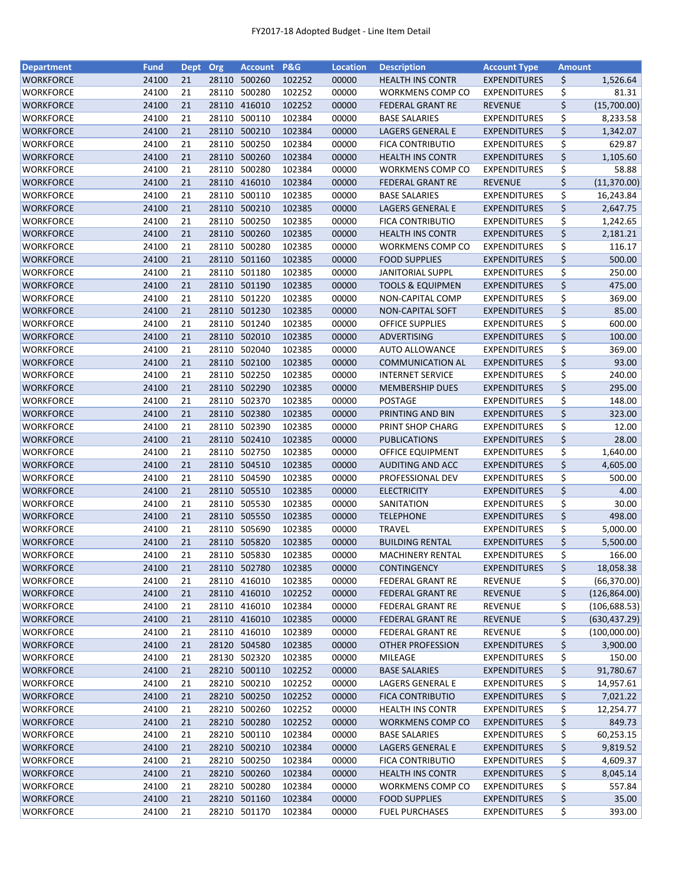| <b>Department</b> | <b>Fund</b> | Dept Org |       | <b>Account</b> | P&G    | <b>Location</b> | <b>Description</b>          | <b>Account Type</b> | Amount |               |
|-------------------|-------------|----------|-------|----------------|--------|-----------------|-----------------------------|---------------------|--------|---------------|
| <b>WORKFORCE</b>  | 24100       | 21       | 28110 | 500260         | 102252 | 00000           | <b>HEALTH INS CONTR</b>     | <b>EXPENDITURES</b> | \$     | 1,526.64      |
| <b>WORKFORCE</b>  | 24100       | 21       | 28110 | 500280         | 102252 | 00000           | WORKMENS COMP CO            | <b>EXPENDITURES</b> | \$     | 81.31         |
| <b>WORKFORCE</b>  | 24100       | 21       | 28110 | 416010         | 102252 | 00000           | <b>FEDERAL GRANT RE</b>     | <b>REVENUE</b>      | \$     | (15,700.00)   |
| WORKFORCE         | 24100       | 21       | 28110 | 500110         | 102384 | 00000           | <b>BASE SALARIES</b>        | <b>EXPENDITURES</b> | \$     | 8,233.58      |
| <b>WORKFORCE</b>  | 24100       | 21       |       | 28110 500210   | 102384 | 00000           | <b>LAGERS GENERAL E</b>     | <b>EXPENDITURES</b> | \$     | 1,342.07      |
| WORKFORCE         | 24100       | 21       | 28110 | 500250         | 102384 | 00000           | <b>FICA CONTRIBUTIO</b>     | <b>EXPENDITURES</b> | \$     | 629.87        |
| WORKFORCE         | 24100       | 21       | 28110 | 500260         | 102384 | 00000           | <b>HEALTH INS CONTR</b>     | <b>EXPENDITURES</b> | \$     | 1,105.60      |
| WORKFORCE         | 24100       | 21       | 28110 | 500280         | 102384 | 00000           | WORKMENS COMP CO            | <b>EXPENDITURES</b> | \$     | 58.88         |
| <b>WORKFORCE</b>  | 24100       | 21       |       | 28110 416010   | 102384 | 00000           | <b>FEDERAL GRANT RE</b>     | <b>REVENUE</b>      | \$     | (11, 370.00)  |
| WORKFORCE         | 24100       | 21       | 28110 | 500110         | 102385 | 00000           | <b>BASE SALARIES</b>        | <b>EXPENDITURES</b> | \$     | 16,243.84     |
| WORKFORCE         | 24100       | 21       |       | 28110 500210   | 102385 | 00000           | <b>LAGERS GENERAL E</b>     | <b>EXPENDITURES</b> | \$     | 2,647.75      |
| <b>WORKFORCE</b>  | 24100       | 21       | 28110 | 500250         | 102385 | 00000           | <b>FICA CONTRIBUTIO</b>     | <b>EXPENDITURES</b> | \$     | 1,242.65      |
| <b>WORKFORCE</b>  | 24100       | 21       | 28110 | 500260         | 102385 | 00000           | <b>HEALTH INS CONTR</b>     | <b>EXPENDITURES</b> | \$     | 2,181.21      |
| WORKFORCE         | 24100       | 21       | 28110 | 500280         | 102385 | 00000           | WORKMENS COMP CO            | <b>EXPENDITURES</b> | \$     | 116.17        |
| <b>WORKFORCE</b>  | 24100       | 21       | 28110 | 501160         | 102385 | 00000           | <b>FOOD SUPPLIES</b>        | <b>EXPENDITURES</b> | \$     | 500.00        |
| <b>WORKFORCE</b>  | 24100       | 21       | 28110 | 501180         | 102385 | 00000           | <b>JANITORIAL SUPPL</b>     | <b>EXPENDITURES</b> | \$     | 250.00        |
| <b>WORKFORCE</b>  | 24100       | 21       |       | 28110 501190   | 102385 | 00000           | <b>TOOLS &amp; EQUIPMEN</b> | <b>EXPENDITURES</b> | \$     | 475.00        |
| <b>WORKFORCE</b>  | 24100       | 21       |       | 28110 501220   | 102385 | 00000           | NON-CAPITAL COMP            | <b>EXPENDITURES</b> | \$     | 369.00        |
| <b>WORKFORCE</b>  | 24100       | 21       |       | 28110 501230   | 102385 | 00000           | NON-CAPITAL SOFT            | <b>EXPENDITURES</b> | \$     | 85.00         |
| <b>WORKFORCE</b>  | 24100       | 21       |       | 28110 501240   | 102385 | 00000           | <b>OFFICE SUPPLIES</b>      | <b>EXPENDITURES</b> | \$     | 600.00        |
|                   | 24100       | 21       |       | 28110 502010   | 102385 | 00000           |                             |                     | \$     | 100.00        |
| WORKFORCE         |             |          |       |                |        |                 | ADVERTISING                 | <b>EXPENDITURES</b> |        |               |
| <b>WORKFORCE</b>  | 24100       | 21       |       | 28110 502040   | 102385 | 00000           | <b>AUTO ALLOWANCE</b>       | <b>EXPENDITURES</b> | \$     | 369.00        |
| <b>WORKFORCE</b>  | 24100       | 21       |       | 28110 502100   | 102385 | 00000           | <b>COMMUNICATION AL</b>     | <b>EXPENDITURES</b> | \$     | 93.00         |
| WORKFORCE         | 24100       | 21<br>21 |       | 28110 502250   | 102385 | 00000           | <b>INTERNET SERVICE</b>     | <b>EXPENDITURES</b> | \$     | 240.00        |
| <b>WORKFORCE</b>  | 24100       |          | 28110 | 502290         | 102385 | 00000           | <b>MEMBERSHIP DUES</b>      | <b>EXPENDITURES</b> | \$     | 295.00        |
| WORKFORCE         | 24100       | 21       | 28110 | 502370         | 102385 | 00000           | <b>POSTAGE</b>              | <b>EXPENDITURES</b> | \$     | 148.00        |
| <b>WORKFORCE</b>  | 24100       | 21       | 28110 | 502380         | 102385 | 00000           | PRINTING AND BIN            | <b>EXPENDITURES</b> | \$     | 323.00        |
| <b>WORKFORCE</b>  | 24100       | 21       | 28110 | 502390         | 102385 | 00000           | PRINT SHOP CHARG            | <b>EXPENDITURES</b> | \$     | 12.00         |
| WORKFORCE         | 24100       | 21       |       | 28110 502410   | 102385 | 00000           | <b>PUBLICATIONS</b>         | <b>EXPENDITURES</b> | \$     | 28.00         |
| <b>WORKFORCE</b>  | 24100       | 21       | 28110 | 502750         | 102385 | 00000           | OFFICE EQUIPMENT            | <b>EXPENDITURES</b> | \$     | 1,640.00      |
| <b>WORKFORCE</b>  | 24100       | 21       | 28110 | 504510         | 102385 | 00000           | AUDITING AND ACC            | <b>EXPENDITURES</b> | \$     | 4,605.00      |
| WORKFORCE         | 24100       | 21       | 28110 | 504590         | 102385 | 00000           | PROFESSIONAL DEV            | <b>EXPENDITURES</b> | \$     | 500.00        |
| WORKFORCE         | 24100       | 21       |       | 28110 505510   | 102385 | 00000           | <b>ELECTRICITY</b>          | <b>EXPENDITURES</b> | \$     | 4.00          |
| WORKFORCE         | 24100       | 21       |       | 28110 505530   | 102385 | 00000           | SANITATION                  | <b>EXPENDITURES</b> | \$     | 30.00         |
| <b>WORKFORCE</b>  | 24100       | 21       |       | 28110 505550   | 102385 | 00000           | <b>TELEPHONE</b>            | <b>EXPENDITURES</b> | \$     | 498.00        |
| <b>WORKFORCE</b>  | 24100       | 21       |       | 28110 505690   | 102385 | 00000           | <b>TRAVEL</b>               | <b>EXPENDITURES</b> | \$     | 5,000.00      |
| <b>WORKFORCE</b>  | 24100       | 21       |       | 28110 505820   | 102385 | 00000           | <b>BUILDING RENTAL</b>      | <b>EXPENDITURES</b> | \$     | 5,500.00      |
| <b>WORKFORCE</b>  | 24100       | 21       |       | 28110 505830   | 102385 | 00000           | <b>MACHINERY RENTAL</b>     | <b>EXPENDITURES</b> | \$     | 166.00        |
| WORKFORCE         | 24100       | 21       |       | 28110 502780   | 102385 | 00000           | <b>CONTINGENCY</b>          | <b>EXPENDITURES</b> | \$     | 18,058.38     |
| <b>WORKFORCE</b>  | 24100       | 21       | 28110 | 416010         | 102385 | 00000           | <b>FEDERAL GRANT RE</b>     | <b>REVENUE</b>      | \$     | (66, 370.00)  |
| <b>WORKFORCE</b>  | 24100       | 21       |       | 28110 416010   | 102252 | 00000           | <b>FEDERAL GRANT RE</b>     | <b>REVENUE</b>      | \$     | (126, 864.00) |
| <b>WORKFORCE</b>  | 24100       | 21       |       | 28110 416010   | 102384 | 00000           | <b>FEDERAL GRANT RE</b>     | <b>REVENUE</b>      | \$     | (106, 688.53) |
| WORKFORCE         | 24100       | 21       |       | 28110 416010   | 102385 | 00000           | <b>FEDERAL GRANT RE</b>     | <b>REVENUE</b>      | \$     | (630, 437.29) |
| WORKFORCE         | 24100       | 21       |       | 28110 416010   | 102389 | 00000           | <b>FEDERAL GRANT RE</b>     | <b>REVENUE</b>      | \$     | (100,000.00)  |
| WORKFORCE         | 24100       | 21       |       | 28120 504580   | 102385 | 00000           | OTHER PROFESSION            | <b>EXPENDITURES</b> | \$     | 3,900.00      |
| WORKFORCE         | 24100       | 21       |       | 28130 502320   | 102385 | 00000           | MILEAGE                     | <b>EXPENDITURES</b> | \$     | 150.00        |
| <b>WORKFORCE</b>  | 24100       | 21       |       | 28210 500110   | 102252 | 00000           | <b>BASE SALARIES</b>        | <b>EXPENDITURES</b> | \$     | 91,780.67     |
| WORKFORCE         | 24100       | 21       |       | 28210 500210   | 102252 | 00000           | LAGERS GENERAL E            | <b>EXPENDITURES</b> | \$     | 14,957.61     |
| <b>WORKFORCE</b>  | 24100       | 21       |       | 28210 500250   | 102252 | 00000           | <b>FICA CONTRIBUTIO</b>     | <b>EXPENDITURES</b> | \$     | 7,021.22      |
| WORKFORCE         | 24100       | 21       |       | 28210 500260   | 102252 | 00000           | <b>HEALTH INS CONTR</b>     | <b>EXPENDITURES</b> | \$     | 12,254.77     |
| <b>WORKFORCE</b>  | 24100       | 21       |       | 28210 500280   | 102252 | 00000           | <b>WORKMENS COMP CO</b>     | <b>EXPENDITURES</b> | \$     | 849.73        |
| WORKFORCE         | 24100       | 21       | 28210 | 500110         | 102384 | 00000           | <b>BASE SALARIES</b>        | <b>EXPENDITURES</b> | \$     | 60,253.15     |
| <b>WORKFORCE</b>  | 24100       | 21       |       | 28210 500210   | 102384 | 00000           | LAGERS GENERAL E            | <b>EXPENDITURES</b> | \$     | 9,819.52      |
| WORKFORCE         | 24100       | 21       |       | 28210 500250   | 102384 | 00000           | <b>FICA CONTRIBUTIO</b>     | <b>EXPENDITURES</b> | \$     | 4,609.37      |
| WORKFORCE         | 24100       | 21       |       | 28210 500260   | 102384 | 00000           | <b>HEALTH INS CONTR</b>     | <b>EXPENDITURES</b> | \$     | 8,045.14      |
| WORKFORCE         | 24100       | 21       |       | 28210 500280   | 102384 | 00000           | WORKMENS COMP CO            | <b>EXPENDITURES</b> | \$     | 557.84        |
| <b>WORKFORCE</b>  | 24100       | 21       |       | 28210 501160   | 102384 | 00000           | <b>FOOD SUPPLIES</b>        | <b>EXPENDITURES</b> | \$     | 35.00         |
| WORKFORCE         | 24100       | 21       |       | 28210 501170   | 102384 | 00000           | <b>FUEL PURCHASES</b>       | <b>EXPENDITURES</b> | \$     | 393.00        |
|                   |             |          |       |                |        |                 |                             |                     |        |               |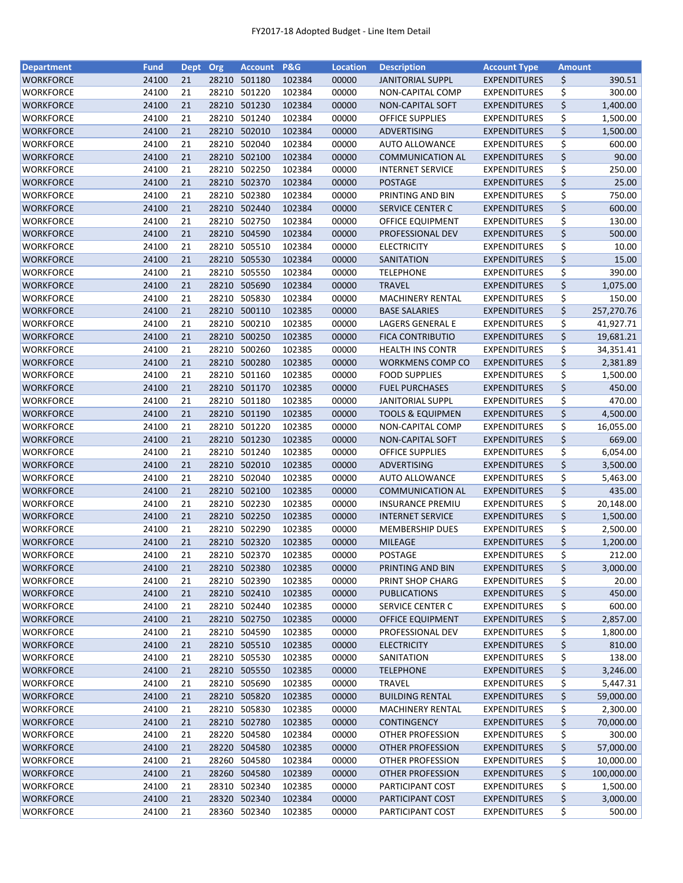| <b>Department</b> | <b>Fund</b> | Dept Org |       | <b>Account</b> | <b>P&amp;G</b> | <b>Location</b> | <b>Description</b>                              | <b>Account Type</b> | <b>Amount</b>        |            |
|-------------------|-------------|----------|-------|----------------|----------------|-----------------|-------------------------------------------------|---------------------|----------------------|------------|
| <b>WORKFORCE</b>  | 24100       | 21       |       | 28210 501180   | 102384         | 00000           | <b>JANITORIAL SUPPL</b>                         | <b>EXPENDITURES</b> | \$                   | 390.51     |
| WORKFORCE         | 24100       | 21       | 28210 | 501220         | 102384         | 00000           | NON-CAPITAL COMP                                | <b>EXPENDITURES</b> | \$                   | 300.00     |
| <b>WORKFORCE</b>  | 24100       | 21       | 28210 | 501230         | 102384         | 00000           | NON-CAPITAL SOFT                                | <b>EXPENDITURES</b> | \$                   | 1,400.00   |
| <b>WORKFORCE</b>  | 24100       | 21       | 28210 | 501240         | 102384         | 00000           | <b>OFFICE SUPPLIES</b>                          | <b>EXPENDITURES</b> | \$                   | 1,500.00   |
| <b>WORKFORCE</b>  | 24100       | 21       |       | 28210 502010   | 102384         | 00000           | ADVERTISING                                     | <b>EXPENDITURES</b> | \$                   | 1,500.00   |
| <b>WORKFORCE</b>  | 24100       | 21       | 28210 | 502040         | 102384         | 00000           | <b>AUTO ALLOWANCE</b>                           | <b>EXPENDITURES</b> | \$                   | 600.00     |
| <b>WORKFORCE</b>  | 24100       | 21       |       | 28210 502100   | 102384         | 00000           | <b>COMMUNICATION AL</b>                         | <b>EXPENDITURES</b> | \$                   | 90.00      |
| WORKFORCE         | 24100       | 21       | 28210 | 502250         | 102384         | 00000           | <b>INTERNET SERVICE</b>                         | <b>EXPENDITURES</b> | \$                   | 250.00     |
| WORKFORCE         | 24100       | 21       | 28210 | 502370         | 102384         | 00000           | <b>POSTAGE</b>                                  | <b>EXPENDITURES</b> | \$                   | 25.00      |
| WORKFORCE         | 24100       | 21       | 28210 | 502380         | 102384         | 00000           | PRINTING AND BIN                                | <b>EXPENDITURES</b> | \$                   | 750.00     |
| WORKFORCE         | 24100       | 21       |       | 28210 502440   | 102384         | 00000           | <b>SERVICE CENTER C</b>                         | <b>EXPENDITURES</b> | \$                   | 600.00     |
| WORKFORCE         | 24100       | 21       |       | 28210 502750   | 102384         | 00000           | OFFICE EQUIPMENT                                | <b>EXPENDITURES</b> | \$                   | 130.00     |
| WORKFORCE         | 24100       | 21       |       | 28210 504590   | 102384         | 00000           | PROFESSIONAL DEV                                | <b>EXPENDITURES</b> | \$                   | 500.00     |
| WORKFORCE         | 24100       | 21       | 28210 | 505510         | 102384         | 00000           | <b>ELECTRICITY</b>                              | <b>EXPENDITURES</b> | \$                   | 10.00      |
| WORKFORCE         | 24100       | 21       | 28210 | 505530         | 102384         | 00000           | SANITATION                                      | <b>EXPENDITURES</b> | $\boldsymbol{\zeta}$ | 15.00      |
| WORKFORCE         | 24100       | 21       | 28210 | 505550         | 102384         | 00000           | <b>TELEPHONE</b>                                | <b>EXPENDITURES</b> | \$                   | 390.00     |
| WORKFORCE         | 24100       | 21       |       | 28210 505690   | 102384         | 00000           | <b>TRAVEL</b>                                   | <b>EXPENDITURES</b> | \$                   | 1,075.00   |
| WORKFORCE         | 24100       | 21       | 28210 | 505830         | 102384         | 00000           | MACHINERY RENTAL                                | <b>EXPENDITURES</b> | \$                   | 150.00     |
| <b>WORKFORCE</b>  | 24100       | 21       |       | 28210 500110   | 102385         | 00000           | <b>BASE SALARIES</b>                            | <b>EXPENDITURES</b> | \$                   | 257,270.76 |
| WORKFORCE         | 24100       | 21       |       | 28210 500210   | 102385         | 00000           | LAGERS GENERAL E                                | <b>EXPENDITURES</b> | \$                   | 41,927.71  |
| <b>WORKFORCE</b>  | 24100       | 21       |       | 28210 500250   | 102385         | 00000           | <b>FICA CONTRIBUTIO</b>                         | <b>EXPENDITURES</b> | \$                   | 19,681.21  |
| WORKFORCE         | 24100       | 21       | 28210 | 500260         | 102385         | 00000           | <b>HEALTH INS CONTR</b>                         | <b>EXPENDITURES</b> | \$                   | 34,351.41  |
|                   | 24100       | 21       |       | 28210 500280   | 102385         | 00000           |                                                 | <b>EXPENDITURES</b> | \$                   |            |
| <b>WORKFORCE</b>  | 24100       | 21       |       | 28210 501160   | 102385         |                 | <b>WORKMENS COMP CO</b><br><b>FOOD SUPPLIES</b> |                     |                      | 2,381.89   |
| WORKFORCE         |             |          |       |                |                | 00000           |                                                 | <b>EXPENDITURES</b> | \$                   | 1,500.00   |
| WORKFORCE         | 24100       | 21       |       | 28210 501170   | 102385         | 00000           | <b>FUEL PURCHASES</b>                           | <b>EXPENDITURES</b> | \$                   | 450.00     |
| <b>WORKFORCE</b>  | 24100       | 21       |       | 28210 501180   | 102385         | 00000           | <b>JANITORIAL SUPPL</b>                         | <b>EXPENDITURES</b> | \$                   | 470.00     |
| WORKFORCE         | 24100       | 21       | 28210 | 501190         | 102385         | 00000           | <b>TOOLS &amp; EQUIPMEN</b>                     | <b>EXPENDITURES</b> | \$                   | 4,500.00   |
| WORKFORCE         | 24100       | 21       | 28210 | 501220         | 102385         | 00000           | NON-CAPITAL COMP                                | <b>EXPENDITURES</b> | \$                   | 16,055.00  |
| <b>WORKFORCE</b>  | 24100       | 21       | 28210 | 501230         | 102385         | 00000           | NON-CAPITAL SOFT                                | <b>EXPENDITURES</b> | \$                   | 669.00     |
| WORKFORCE         | 24100       | 21       | 28210 | 501240         | 102385         | 00000           | <b>OFFICE SUPPLIES</b>                          | <b>EXPENDITURES</b> | \$                   | 6,054.00   |
| WORKFORCE         | 24100       | 21       |       | 28210 502010   | 102385         | 00000           | ADVERTISING                                     | <b>EXPENDITURES</b> | \$                   | 3,500.00   |
| <b>WORKFORCE</b>  | 24100       | 21       |       | 28210 502040   | 102385         | 00000           | <b>AUTO ALLOWANCE</b>                           | <b>EXPENDITURES</b> | \$                   | 5,463.00   |
| <b>WORKFORCE</b>  | 24100       | 21       |       | 28210 502100   | 102385         | 00000           | <b>COMMUNICATION AL</b>                         | <b>EXPENDITURES</b> | \$                   | 435.00     |
| WORKFORCE         | 24100       | 21       | 28210 | 502230         | 102385         | 00000           | <b>INSURANCE PREMIU</b>                         | <b>EXPENDITURES</b> | \$                   | 20,148.00  |
| <b>WORKFORCE</b>  | 24100       | 21       |       | 28210 502250   | 102385         | 00000           | <b>INTERNET SERVICE</b>                         | <b>EXPENDITURES</b> | \$                   | 1,500.00   |
| WORKFORCE         | 24100       | 21       |       | 28210 502290   | 102385         | 00000           | <b>MEMBERSHIP DUES</b>                          | <b>EXPENDITURES</b> | \$                   | 2,500.00   |
| WORKFORCE         | 24100       | 21       |       | 28210 502320   | 102385         | 00000           | <b>MILEAGE</b>                                  | <b>EXPENDITURES</b> | \$                   | 1,200.00   |
| <b>WORKFORCE</b>  | 24100       | 21       |       | 28210 502370   | 102385         | 00000           | <b>POSTAGE</b>                                  | <b>EXPENDITURES</b> | \$                   | 212.00     |
| WORKFORCE         | 24100       | 21       |       | 28210 502380   | 102385         | 00000           | PRINTING AND BIN                                | <b>EXPENDITURES</b> | \$                   | 3,000.00   |
| WORKFORCE         | 24100       | 21       | 28210 | 502390         | 102385         | 00000           | PRINT SHOP CHARG                                | <b>EXPENDITURES</b> | \$                   | 20.00      |
| <b>WORKFORCE</b>  | 24100       | 21       |       | 28210 502410   | 102385         | 00000           | <b>PUBLICATIONS</b>                             | <b>EXPENDITURES</b> | \$                   | 450.00     |
| WORKFORCE         | 24100       | 21       |       | 28210 502440   | 102385         | 00000           | <b>SERVICE CENTER C</b>                         | <b>EXPENDITURES</b> | \$                   | 600.00     |
| WORKFORCE         | 24100       | 21       |       | 28210 502750   | 102385         | 00000           | OFFICE EQUIPMENT                                | <b>EXPENDITURES</b> | \$                   | 2,857.00   |
| <b>WORKFORCE</b>  | 24100       | 21       |       | 28210 504590   | 102385         | 00000           | PROFESSIONAL DEV                                | <b>EXPENDITURES</b> | \$                   | 1,800.00   |
| WORKFORCE         | 24100       | 21       |       | 28210 505510   | 102385         | 00000           | <b>ELECTRICITY</b>                              | <b>EXPENDITURES</b> | \$                   | 810.00     |
| WORKFORCE         | 24100       | 21       |       | 28210 505530   | 102385         | 00000           | SANITATION                                      | <b>EXPENDITURES</b> | \$                   | 138.00     |
| WORKFORCE         | 24100       | 21       |       | 28210 505550   | 102385         | 00000           | <b>TELEPHONE</b>                                | <b>EXPENDITURES</b> | \$                   | 3,246.00   |
| WORKFORCE         | 24100       | 21       |       | 28210 505690   | 102385         | 00000           | <b>TRAVEL</b>                                   | <b>EXPENDITURES</b> | \$                   | 5,447.31   |
| <b>WORKFORCE</b>  | 24100       | 21       |       | 28210 505820   | 102385         | 00000           | <b>BUILDING RENTAL</b>                          | <b>EXPENDITURES</b> | \$                   | 59,000.00  |
| <b>WORKFORCE</b>  | 24100       | 21       |       | 28210 505830   | 102385         | 00000           | <b>MACHINERY RENTAL</b>                         | <b>EXPENDITURES</b> | \$                   | 2,300.00   |
| <b>WORKFORCE</b>  | 24100       | 21       |       | 28210 502780   | 102385         | 00000           | <b>CONTINGENCY</b>                              | <b>EXPENDITURES</b> | \$                   | 70,000.00  |
| WORKFORCE         | 24100       | 21       | 28220 | 504580         | 102384         | 00000           | OTHER PROFESSION                                | <b>EXPENDITURES</b> | \$                   | 300.00     |
| WORKFORCE         | 24100       | 21       | 28220 | 504580         | 102385         | 00000           | OTHER PROFESSION                                | <b>EXPENDITURES</b> | \$                   | 57,000.00  |
| <b>WORKFORCE</b>  | 24100       | 21       | 28260 | 504580         | 102384         | 00000           | <b>OTHER PROFESSION</b>                         | <b>EXPENDITURES</b> | \$                   | 10,000.00  |
| <b>WORKFORCE</b>  | 24100       | 21       |       | 28260 504580   | 102389         | 00000           | <b>OTHER PROFESSION</b>                         | <b>EXPENDITURES</b> | \$                   | 100,000.00 |
| <b>WORKFORCE</b>  | 24100       | 21       |       | 28310 502340   | 102385         | 00000           | PARTICIPANT COST                                | <b>EXPENDITURES</b> | \$                   | 1,500.00   |
| <b>WORKFORCE</b>  | 24100       | 21       |       | 28320 502340   | 102384         | 00000           | PARTICIPANT COST                                | <b>EXPENDITURES</b> | \$                   | 3,000.00   |
| <b>WORKFORCE</b>  | 24100       | 21       |       | 28360 502340   | 102385         | 00000           | PARTICIPANT COST                                | <b>EXPENDITURES</b> | \$                   | 500.00     |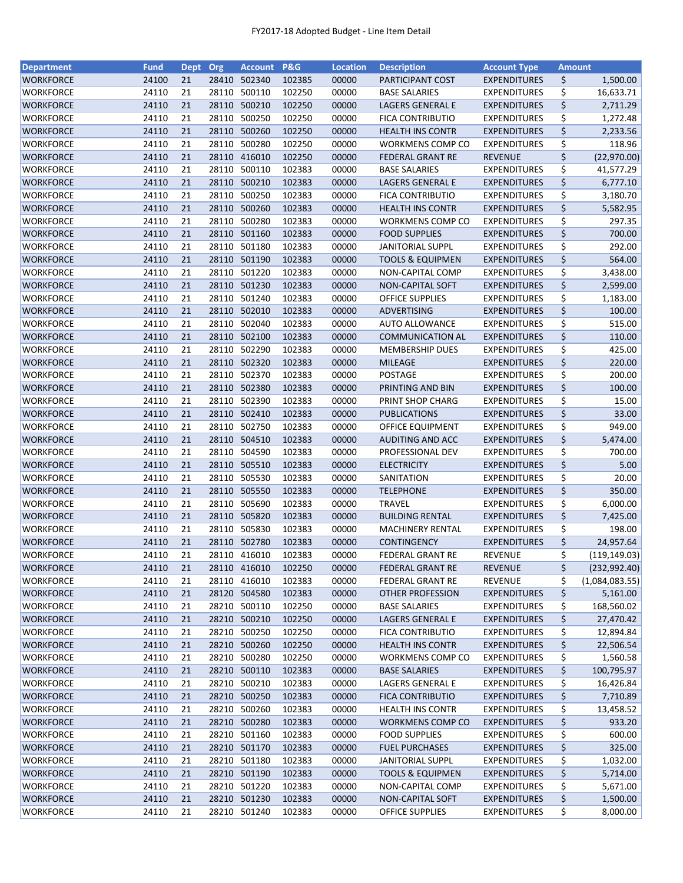| <b>Department</b> | <b>Fund</b> | Dept Org |       | <b>Account</b> | <b>P&amp;G</b> | <b>Location</b> | <b>Description</b>          | <b>Account Type</b> | <b>Amount</b> |                |
|-------------------|-------------|----------|-------|----------------|----------------|-----------------|-----------------------------|---------------------|---------------|----------------|
| <b>WORKFORCE</b>  | 24100       | 21       | 28410 | 502340         | 102385         | 00000           | PARTICIPANT COST            | <b>EXPENDITURES</b> | \$            | 1,500.00       |
| WORKFORCE         | 24110       | 21       | 28110 | 500110         | 102250         | 00000           | <b>BASE SALARIES</b>        | <b>EXPENDITURES</b> | \$            | 16,633.71      |
| <b>WORKFORCE</b>  | 24110       | 21       | 28110 | 500210         | 102250         | 00000           | LAGERS GENERAL E            | <b>EXPENDITURES</b> | \$            | 2,711.29       |
| <b>WORKFORCE</b>  | 24110       | 21       | 28110 | 500250         | 102250         | 00000           | <b>FICA CONTRIBUTIO</b>     | <b>EXPENDITURES</b> | \$            | 1,272.48       |
| WORKFORCE         | 24110       | 21       | 28110 | 500260         | 102250         | 00000           | <b>HEALTH INS CONTR</b>     | <b>EXPENDITURES</b> | \$            | 2,233.56       |
| <b>WORKFORCE</b>  | 24110       | 21       | 28110 | 500280         | 102250         | 00000           | WORKMENS COMP CO            | <b>EXPENDITURES</b> | \$            | 118.96         |
| <b>WORKFORCE</b>  | 24110       | 21       |       | 28110 416010   | 102250         | 00000           | <b>FEDERAL GRANT RE</b>     | <b>REVENUE</b>      | \$            | (22,970.00)    |
| WORKFORCE         | 24110       | 21       | 28110 | 500110         | 102383         | 00000           | <b>BASE SALARIES</b>        | <b>EXPENDITURES</b> | \$            | 41,577.29      |
| WORKFORCE         | 24110       | 21       | 28110 | 500210         | 102383         | 00000           | LAGERS GENERAL E            | <b>EXPENDITURES</b> | \$            | 6,777.10       |
| WORKFORCE         | 24110       | 21       | 28110 | 500250         | 102383         | 00000           | <b>FICA CONTRIBUTIO</b>     | <b>EXPENDITURES</b> | \$            | 3,180.70       |
| WORKFORCE         | 24110       | 21       |       | 28110 500260   | 102383         | 00000           | <b>HEALTH INS CONTR</b>     | <b>EXPENDITURES</b> | \$            | 5,582.95       |
| WORKFORCE         | 24110       | 21       |       | 28110 500280   | 102383         | 00000           | WORKMENS COMP CO            | <b>EXPENDITURES</b> | \$            | 297.35         |
| WORKFORCE         | 24110       | 21       |       | 28110 501160   | 102383         | 00000           | <b>FOOD SUPPLIES</b>        | <b>EXPENDITURES</b> | \$            | 700.00         |
| WORKFORCE         | 24110       | 21       | 28110 | 501180         | 102383         | 00000           | <b>JANITORIAL SUPPL</b>     | <b>EXPENDITURES</b> | \$            | 292.00         |
| WORKFORCE         | 24110       | 21       | 28110 | 501190         | 102383         | 00000           | <b>TOOLS &amp; EQUIPMEN</b> | <b>EXPENDITURES</b> | \$            | 564.00         |
| WORKFORCE         | 24110       | 21       | 28110 | 501220         | 102383         | 00000           | NON-CAPITAL COMP            | <b>EXPENDITURES</b> | \$            | 3,438.00       |
|                   | 24110       | 21       |       | 28110 501230   | 102383         | 00000           | <b>NON-CAPITAL SOFT</b>     |                     | \$            |                |
| WORKFORCE         |             |          |       |                |                |                 |                             | <b>EXPENDITURES</b> |               | 2,599.00       |
| WORKFORCE         | 24110       | 21       | 28110 | 501240         | 102383         | 00000           | <b>OFFICE SUPPLIES</b>      | <b>EXPENDITURES</b> | \$            | 1,183.00       |
| <b>WORKFORCE</b>  | 24110       | 21       |       | 28110 502010   | 102383         | 00000           | ADVERTISING                 | <b>EXPENDITURES</b> | \$            | 100.00         |
| WORKFORCE         | 24110       | 21       |       | 28110 502040   | 102383         | 00000           | <b>AUTO ALLOWANCE</b>       | <b>EXPENDITURES</b> | \$            | 515.00         |
| WORKFORCE         | 24110       | 21       |       | 28110 502100   | 102383         | 00000           | <b>COMMUNICATION AL</b>     | <b>EXPENDITURES</b> | \$            | 110.00         |
| WORKFORCE         | 24110       | 21       | 28110 | 502290         | 102383         | 00000           | <b>MEMBERSHIP DUES</b>      | <b>EXPENDITURES</b> | \$            | 425.00         |
| <b>WORKFORCE</b>  | 24110       | 21       |       | 28110 502320   | 102383         | 00000           | <b>MILEAGE</b>              | <b>EXPENDITURES</b> | \$            | 220.00         |
| <b>WORKFORCE</b>  | 24110       | 21       |       | 28110 502370   | 102383         | 00000           | POSTAGE                     | <b>EXPENDITURES</b> | \$            | 200.00         |
| WORKFORCE         | 24110       | 21       |       | 28110 502380   | 102383         | 00000           | PRINTING AND BIN            | <b>EXPENDITURES</b> | \$            | 100.00         |
| <b>WORKFORCE</b>  | 24110       | 21       |       | 28110 502390   | 102383         | 00000           | PRINT SHOP CHARG            | <b>EXPENDITURES</b> | \$            | 15.00          |
| WORKFORCE         | 24110       | 21       | 28110 | 502410         | 102383         | 00000           | <b>PUBLICATIONS</b>         | <b>EXPENDITURES</b> | \$            | 33.00          |
| WORKFORCE         | 24110       | 21       | 28110 | 502750         | 102383         | 00000           | OFFICE EQUIPMENT            | <b>EXPENDITURES</b> | \$            | 949.00         |
| <b>WORKFORCE</b>  | 24110       | 21       | 28110 | 504510         | 102383         | 00000           | <b>AUDITING AND ACC</b>     | <b>EXPENDITURES</b> | \$            | 5,474.00       |
| WORKFORCE         | 24110       | 21       | 28110 | 504590         | 102383         | 00000           | PROFESSIONAL DEV            | <b>EXPENDITURES</b> | \$            | 700.00         |
| WORKFORCE         | 24110       | 21       |       | 28110 505510   | 102383         | 00000           | <b>ELECTRICITY</b>          | <b>EXPENDITURES</b> | \$            | 5.00           |
| <b>WORKFORCE</b>  | 24110       | 21       |       | 28110 505530   | 102383         | 00000           | SANITATION                  | <b>EXPENDITURES</b> | \$            | 20.00          |
| <b>WORKFORCE</b>  | 24110       | 21       |       | 28110 505550   | 102383         | 00000           | <b>TELEPHONE</b>            | <b>EXPENDITURES</b> | \$            | 350.00         |
| WORKFORCE         | 24110       | 21       | 28110 | 505690         | 102383         | 00000           | <b>TRAVEL</b>               | <b>EXPENDITURES</b> | \$            | 6,000.00       |
| <b>WORKFORCE</b>  | 24110       | 21       |       | 28110 505820   | 102383         | 00000           | <b>BUILDING RENTAL</b>      | <b>EXPENDITURES</b> | \$            | 7,425.00       |
| WORKFORCE         | 24110       | 21       |       | 28110 505830   | 102383         | 00000           | <b>MACHINERY RENTAL</b>     | <b>EXPENDITURES</b> | \$            | 198.00         |
| WORKFORCE         | 24110       | 21       |       | 28110 502780   | 102383         | 00000           | <b>CONTINGENCY</b>          | <b>EXPENDITURES</b> | \$            | 24,957.64      |
| <b>WORKFORCE</b>  | 24110       | 21       |       | 28110 416010   | 102383         | 00000           | <b>FEDERAL GRANT RE</b>     | <b>REVENUE</b>      | \$            | (119, 149.03)  |
| WORKFORCE         | 24110       | 21       |       | 28110 416010   | 102250         | 00000           | <b>FEDERAL GRANT RE</b>     | <b>REVENUE</b>      | \$            | (232, 992.40)  |
| WORKFORCE         | 24110       | 21       | 28110 | 416010         | 102383         | 00000           | <b>FEDERAL GRANT RE</b>     | REVENUE             | \$            | (1,084,083.55) |
| <b>WORKFORCE</b>  | 24110       | 21       |       | 28120 504580   | 102383         | 00000           | <b>OTHER PROFESSION</b>     | <b>EXPENDITURES</b> | \$            | 5,161.00       |
| WORKFORCE         | 24110       | 21       |       | 28210 500110   | 102250         | 00000           | <b>BASE SALARIES</b>        | <b>EXPENDITURES</b> | \$            | 168,560.02     |
| WORKFORCE         | 24110       | 21       |       | 28210 500210   | 102250         | 00000           | LAGERS GENERAL E            | <b>EXPENDITURES</b> | \$            | 27,470.42      |
| <b>WORKFORCE</b>  | 24110       | 21       |       | 28210 500250   | 102250         | 00000           | FICA CONTRIBUTIO            | <b>EXPENDITURES</b> | \$            | 12,894.84      |
| WORKFORCE         | 24110       | 21       |       | 28210 500260   | 102250         | 00000           | <b>HEALTH INS CONTR</b>     | <b>EXPENDITURES</b> | \$            | 22,506.54      |
| WORKFORCE         | 24110       | 21       |       | 28210 500280   | 102250         | 00000           | WORKMENS COMP CO            | <b>EXPENDITURES</b> | \$            | 1,560.58       |
| <b>WORKFORCE</b>  | 24110       | 21       |       | 28210 500110   | 102383         | 00000           | <b>BASE SALARIES</b>        | <b>EXPENDITURES</b> | \$            | 100,795.97     |
| WORKFORCE         | 24110       | 21       |       | 28210 500210   | 102383         | 00000           | <b>LAGERS GENERAL E</b>     | <b>EXPENDITURES</b> | \$            | 16,426.84      |
| WORKFORCE         | 24110       | 21       |       | 28210 500250   | 102383         | 00000           | <b>FICA CONTRIBUTIO</b>     | <b>EXPENDITURES</b> | \$            | 7,710.89       |
| <b>WORKFORCE</b>  | 24110       | 21       |       | 28210 500260   | 102383         | 00000           | <b>HEALTH INS CONTR</b>     | <b>EXPENDITURES</b> | \$            | 13,458.52      |
| <b>WORKFORCE</b>  | 24110       | 21       |       | 28210 500280   | 102383         | 00000           | <b>WORKMENS COMP CO</b>     | <b>EXPENDITURES</b> | \$            | 933.20         |
| WORKFORCE         | 24110       | 21       |       | 28210 501160   | 102383         | 00000           | <b>FOOD SUPPLIES</b>        | <b>EXPENDITURES</b> | \$            | 600.00         |
| WORKFORCE         | 24110       | 21       |       | 28210 501170   | 102383         | 00000           | <b>FUEL PURCHASES</b>       | <b>EXPENDITURES</b> | \$            | 325.00         |
| <b>WORKFORCE</b>  | 24110       | 21       | 28210 | 501180         | 102383         | 00000           | <b>JANITORIAL SUPPL</b>     | <b>EXPENDITURES</b> | \$            | 1,032.00       |
| <b>WORKFORCE</b>  | 24110       | 21       |       | 28210 501190   | 102383         | 00000           | <b>TOOLS &amp; EQUIPMEN</b> | <b>EXPENDITURES</b> | \$            | 5,714.00       |
| <b>WORKFORCE</b>  | 24110       | 21       |       | 28210 501220   | 102383         | 00000           | NON-CAPITAL COMP            | <b>EXPENDITURES</b> | \$            | 5,671.00       |
| <b>WORKFORCE</b>  | 24110       | 21       |       | 28210 501230   | 102383         | 00000           | NON-CAPITAL SOFT            | <b>EXPENDITURES</b> | \$            | 1,500.00       |
| <b>WORKFORCE</b>  | 24110       | 21       |       | 28210 501240   | 102383         | 00000           | <b>OFFICE SUPPLIES</b>      | <b>EXPENDITURES</b> | \$            | 8,000.00       |
|                   |             |          |       |                |                |                 |                             |                     |               |                |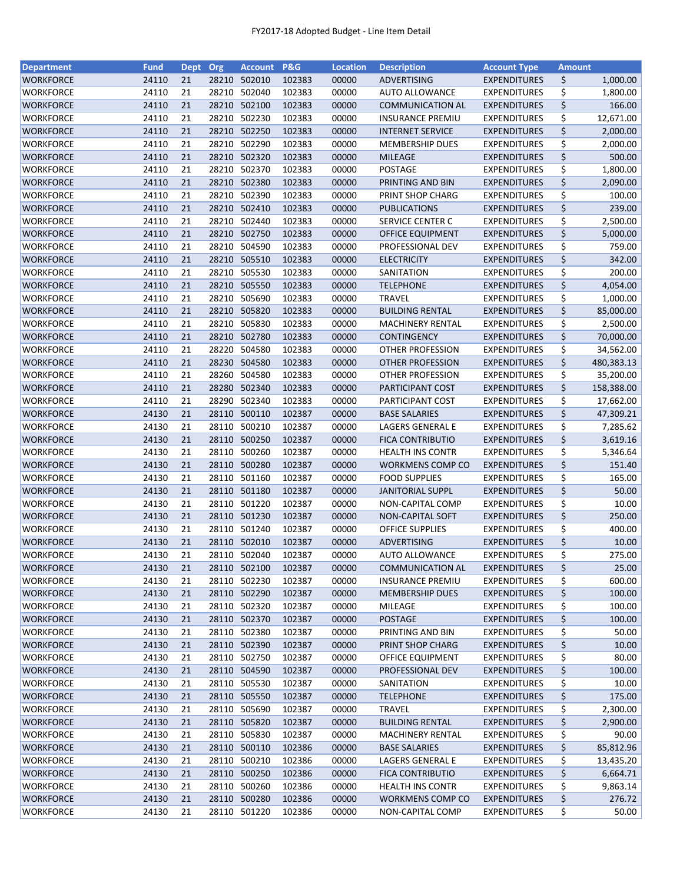| <b>Department</b> | <b>Fund</b> | Dept Org |       | <b>Account</b> | <b>P&amp;G</b> | <b>Location</b> | <b>Description</b>      | <b>Account Type</b> | <b>Amount</b> |            |
|-------------------|-------------|----------|-------|----------------|----------------|-----------------|-------------------------|---------------------|---------------|------------|
| <b>WORKFORCE</b>  | 24110       | 21       | 28210 | 502010         | 102383         | 00000           | ADVERTISING             | <b>EXPENDITURES</b> | \$            | 1,000.00   |
| WORKFORCE         | 24110       | 21       | 28210 | 502040         | 102383         | 00000           | <b>AUTO ALLOWANCE</b>   | <b>EXPENDITURES</b> | \$            | 1,800.00   |
| <b>WORKFORCE</b>  | 24110       | 21       | 28210 | 502100         | 102383         | 00000           | <b>COMMUNICATION AL</b> | <b>EXPENDITURES</b> | \$            | 166.00     |
| <b>WORKFORCE</b>  | 24110       | 21       | 28210 | 502230         | 102383         | 00000           | <b>INSURANCE PREMIU</b> | <b>EXPENDITURES</b> | \$            | 12,671.00  |
| WORKFORCE         | 24110       | 21       |       | 28210 502250   | 102383         | 00000           | <b>INTERNET SERVICE</b> | <b>EXPENDITURES</b> | \$            | 2,000.00   |
| <b>WORKFORCE</b>  | 24110       | 21       | 28210 | 502290         | 102383         | 00000           | <b>MEMBERSHIP DUES</b>  | <b>EXPENDITURES</b> | \$            | 2,000.00   |
| <b>WORKFORCE</b>  | 24110       | 21       |       | 28210 502320   | 102383         | 00000           | <b>MILEAGE</b>          | <b>EXPENDITURES</b> | \$            | 500.00     |
| WORKFORCE         | 24110       | 21       | 28210 | 502370         | 102383         | 00000           | <b>POSTAGE</b>          | <b>EXPENDITURES</b> | \$            | 1,800.00   |
| <b>WORKFORCE</b>  | 24110       | 21       | 28210 | 502380         | 102383         | 00000           | PRINTING AND BIN        | <b>EXPENDITURES</b> | \$            | 2,090.00   |
| WORKFORCE         | 24110       | 21       | 28210 | 502390         | 102383         | 00000           | PRINT SHOP CHARG        | <b>EXPENDITURES</b> | \$            | 100.00     |
| WORKFORCE         | 24110       | 21       |       | 28210 502410   | 102383         | 00000           | <b>PUBLICATIONS</b>     | <b>EXPENDITURES</b> | \$            | 239.00     |
| <b>WORKFORCE</b>  | 24110       | 21       |       | 28210 502440   | 102383         | 00000           | <b>SERVICE CENTER C</b> | <b>EXPENDITURES</b> | \$            | 2,500.00   |
| WORKFORCE         | 24110       | 21       | 28210 | 502750         | 102383         | 00000           | OFFICE EQUIPMENT        | <b>EXPENDITURES</b> | \$            | 5,000.00   |
| WORKFORCE         | 24110       | 21       | 28210 | 504590         | 102383         | 00000           | PROFESSIONAL DEV        | <b>EXPENDITURES</b> | \$            | 759.00     |
| WORKFORCE         | 24110       | 21       | 28210 | 505510         | 102383         | 00000           | <b>ELECTRICITY</b>      | <b>EXPENDITURES</b> | \$            | 342.00     |
| WORKFORCE         | 24110       | 21       | 28210 | 505530         | 102383         | 00000           | SANITATION              | <b>EXPENDITURES</b> | \$            | 200.00     |
| WORKFORCE         | 24110       | 21       |       | 28210 505550   | 102383         | 00000           | <b>TELEPHONE</b>        | <b>EXPENDITURES</b> | \$            | 4,054.00   |
| WORKFORCE         | 24110       | 21       | 28210 | 505690         | 102383         | 00000           | <b>TRAVEL</b>           | <b>EXPENDITURES</b> | \$            | 1,000.00   |
| WORKFORCE         | 24110       | 21       |       | 28210 505820   | 102383         | 00000           | <b>BUILDING RENTAL</b>  | <b>EXPENDITURES</b> | \$            | 85,000.00  |
| WORKFORCE         | 24110       | 21       |       | 28210 505830   | 102383         | 00000           | <b>MACHINERY RENTAL</b> | <b>EXPENDITURES</b> | \$            | 2,500.00   |
| WORKFORCE         | 24110       | 21       |       | 28210 502780   | 102383         | 00000           | <b>CONTINGENCY</b>      | <b>EXPENDITURES</b> | \$            | 70,000.00  |
| WORKFORCE         | 24110       | 21       | 28220 | 504580         | 102383         | 00000           | OTHER PROFESSION        | <b>EXPENDITURES</b> | \$            | 34,562.00  |
| <b>WORKFORCE</b>  | 24110       | 21       |       | 28230 504580   | 102383         | 00000           | <b>OTHER PROFESSION</b> | <b>EXPENDITURES</b> | \$            | 480,383.13 |
| <b>WORKFORCE</b>  | 24110       | 21       | 28260 | 504580         | 102383         | 00000           | OTHER PROFESSION        | <b>EXPENDITURES</b> | \$            | 35,200.00  |
| WORKFORCE         | 24110       | 21       |       | 28280 502340   | 102383         | 00000           | PARTICIPANT COST        | <b>EXPENDITURES</b> | \$            | 158,388.00 |
| <b>WORKFORCE</b>  | 24110       | 21       | 28290 | 502340         | 102383         | 00000           | PARTICIPANT COST        | <b>EXPENDITURES</b> | \$            | 17,662.00  |
| WORKFORCE         | 24130       | 21       | 28110 | 500110         | 102387         | 00000           | <b>BASE SALARIES</b>    | <b>EXPENDITURES</b> | \$            | 47,309.21  |
| WORKFORCE         | 24130       | 21       | 28110 | 500210         | 102387         | 00000           | LAGERS GENERAL E        | <b>EXPENDITURES</b> | \$            | 7,285.62   |
| <b>WORKFORCE</b>  | 24130       | 21       | 28110 | 500250         | 102387         | 00000           | <b>FICA CONTRIBUTIO</b> | <b>EXPENDITURES</b> | \$            | 3,619.16   |
| WORKFORCE         | 24130       | 21       | 28110 | 500260         | 102387         | 00000           | <b>HEALTH INS CONTR</b> | <b>EXPENDITURES</b> | \$            | 5,346.64   |
| WORKFORCE         | 24130       | 21       |       | 28110 500280   | 102387         | 00000           | <b>WORKMENS COMP CO</b> | <b>EXPENDITURES</b> | \$            | 151.40     |
| <b>WORKFORCE</b>  | 24130       | 21       |       | 28110 501160   | 102387         | 00000           | <b>FOOD SUPPLIES</b>    | <b>EXPENDITURES</b> | \$            | 165.00     |
| <b>WORKFORCE</b>  | 24130       | 21       |       | 28110 501180   | 102387         | 00000           | <b>JANITORIAL SUPPL</b> | <b>EXPENDITURES</b> | \$            | 50.00      |
| WORKFORCE         | 24130       | 21       | 28110 | 501220         | 102387         | 00000           | NON-CAPITAL COMP        | <b>EXPENDITURES</b> | \$            | 10.00      |
| <b>WORKFORCE</b>  | 24130       | 21       |       | 28110 501230   | 102387         | 00000           | NON-CAPITAL SOFT        | <b>EXPENDITURES</b> | \$            | 250.00     |
| <b>WORKFORCE</b>  | 24130       | 21       |       | 28110 501240   | 102387         | 00000           | <b>OFFICE SUPPLIES</b>  | <b>EXPENDITURES</b> | \$            | 400.00     |
| WORKFORCE         | 24130       | 21       |       | 28110 502010   | 102387         | 00000           | ADVERTISING             | <b>EXPENDITURES</b> | \$            | 10.00      |
| WORKFORCE         | 24130       | 21       |       | 28110 502040   | 102387         | 00000           | <b>AUTO ALLOWANCE</b>   | <b>EXPENDITURES</b> | \$            | 275.00     |
| WORKFORCE         | 24130       | 21       |       | 28110 502100   | 102387         | 00000           | <b>COMMUNICATION AL</b> | <b>EXPENDITURES</b> | \$            | 25.00      |
| <b>WORKFORCE</b>  | 24130       | 21       | 28110 | 502230         | 102387         | 00000           | <b>INSURANCE PREMIU</b> | <b>EXPENDITURES</b> | \$            | 600.00     |
| <b>WORKFORCE</b>  | 24130       | 21       |       | 28110 502290   | 102387         | 00000           | <b>MEMBERSHIP DUES</b>  | <b>EXPENDITURES</b> | \$            | 100.00     |
| WORKFORCE         | 24130       | 21       |       | 28110 502320   | 102387         | 00000           | MILEAGE                 | <b>EXPENDITURES</b> | \$            | 100.00     |
| WORKFORCE         | 24130       | 21       |       | 28110 502370   | 102387         | 00000           | POSTAGE                 | <b>EXPENDITURES</b> | \$            | 100.00     |
| <b>WORKFORCE</b>  | 24130       | 21       |       | 28110 502380   | 102387         | 00000           | PRINTING AND BIN        | <b>EXPENDITURES</b> | \$            | 50.00      |
| WORKFORCE         | 24130       | 21       |       | 28110 502390   | 102387         | 00000           | PRINT SHOP CHARG        | <b>EXPENDITURES</b> | \$            | 10.00      |
| WORKFORCE         | 24130       | 21       |       | 28110 502750   | 102387         | 00000           | OFFICE EQUIPMENT        | <b>EXPENDITURES</b> | \$            | 80.00      |
| <b>WORKFORCE</b>  | 24130       | 21       |       | 28110 504590   | 102387         | 00000           | PROFESSIONAL DEV        | <b>EXPENDITURES</b> | \$            | 100.00     |
| <b>WORKFORCE</b>  | 24130       | 21       |       | 28110 505530   | 102387         | 00000           | SANITATION              | <b>EXPENDITURES</b> | \$            | 10.00      |
| WORKFORCE         | 24130       | 21       |       | 28110 505550   | 102387         | 00000           | <b>TELEPHONE</b>        | <b>EXPENDITURES</b> | \$            | 175.00     |
| <b>WORKFORCE</b>  | 24130       | 21       |       | 28110 505690   | 102387         | 00000           | <b>TRAVEL</b>           | <b>EXPENDITURES</b> | \$            | 2,300.00   |
| WORKFORCE         | 24130       | 21       |       | 28110 505820   | 102387         | 00000           | <b>BUILDING RENTAL</b>  | <b>EXPENDITURES</b> | \$            | 2,900.00   |
| WORKFORCE         | 24130       | 21       |       | 28110 505830   | 102387         | 00000           | <b>MACHINERY RENTAL</b> | <b>EXPENDITURES</b> | \$            | 90.00      |
| WORKFORCE         | 24130       | 21       | 28110 | 500110         | 102386         | 00000           | <b>BASE SALARIES</b>    | <b>EXPENDITURES</b> | \$            | 85,812.96  |
| <b>WORKFORCE</b>  | 24130       | 21       | 28110 | 500210         | 102386         | 00000           | LAGERS GENERAL E        | <b>EXPENDITURES</b> | \$            | 13,435.20  |
| <b>WORKFORCE</b>  | 24130       | 21       |       | 28110 500250   | 102386         | 00000           | <b>FICA CONTRIBUTIO</b> | <b>EXPENDITURES</b> | \$            | 6,664.71   |
| <b>WORKFORCE</b>  | 24130       | 21       |       | 28110 500260   | 102386         | 00000           | <b>HEALTH INS CONTR</b> | <b>EXPENDITURES</b> | \$            | 9,863.14   |
| <b>WORKFORCE</b>  | 24130       | 21       |       | 28110 500280   | 102386         | 00000           | <b>WORKMENS COMP CO</b> | <b>EXPENDITURES</b> | \$            | 276.72     |
| <b>WORKFORCE</b>  | 24130       | 21       |       | 28110 501220   | 102386         | 00000           | NON-CAPITAL COMP        | <b>EXPENDITURES</b> | \$            | 50.00      |
|                   |             |          |       |                |                |                 |                         |                     |               |            |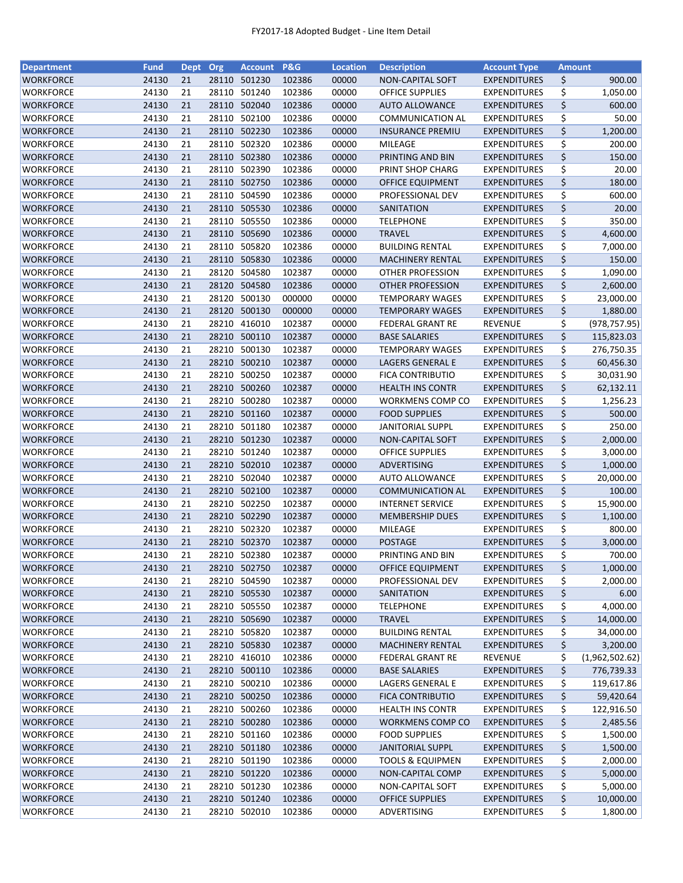| <b>Department</b> | <b>Fund</b>    | Dept Org |       | <b>Account</b> | <b>P&amp;G</b> | <b>Location</b> | <b>Description</b>                | <b>Account Type</b> | <b>Amount</b> |                |
|-------------------|----------------|----------|-------|----------------|----------------|-----------------|-----------------------------------|---------------------|---------------|----------------|
| <b>WORKFORCE</b>  | 24130          | 21       | 28110 | 501230         | 102386         | 00000           | NON-CAPITAL SOFT                  | <b>EXPENDITURES</b> | \$            | 900.00         |
| WORKFORCE         | 24130          | 21       | 28110 | 501240         | 102386         | 00000           | <b>OFFICE SUPPLIES</b>            | <b>EXPENDITURES</b> | \$            | 1,050.00       |
| <b>WORKFORCE</b>  | 24130          | 21       | 28110 | 502040         | 102386         | 00000           | <b>AUTO ALLOWANCE</b>             | <b>EXPENDITURES</b> | \$            | 600.00         |
| <b>WORKFORCE</b>  | 24130          | 21       | 28110 | 502100         | 102386         | 00000           | <b>COMMUNICATION AL</b>           | <b>EXPENDITURES</b> | \$            | 50.00          |
| WORKFORCE         | 24130          | 21       |       | 28110 502230   | 102386         | 00000           | <b>INSURANCE PREMIU</b>           | <b>EXPENDITURES</b> | \$            | 1,200.00       |
| <b>WORKFORCE</b>  | 24130          | 21       | 28110 | 502320         | 102386         | 00000           | MILEAGE                           | <b>EXPENDITURES</b> | \$            | 200.00         |
| <b>WORKFORCE</b>  | 24130          | 21       |       | 28110 502380   | 102386         | 00000           | PRINTING AND BIN                  | <b>EXPENDITURES</b> | \$            | 150.00         |
| WORKFORCE         | 24130          | 21       |       | 28110 502390   | 102386         | 00000           | PRINT SHOP CHARG                  | <b>EXPENDITURES</b> | \$            | 20.00          |
| WORKFORCE         | 24130          | 21       | 28110 | 502750         | 102386         | 00000           | OFFICE EQUIPMENT                  | <b>EXPENDITURES</b> | \$            | 180.00         |
| WORKFORCE         | 24130          | 21       | 28110 | 504590         | 102386         | 00000           | PROFESSIONAL DEV                  | <b>EXPENDITURES</b> | \$            | 600.00         |
| WORKFORCE         | 24130          | 21       |       | 28110 505530   | 102386         | 00000           | SANITATION                        | <b>EXPENDITURES</b> | \$            | 20.00          |
| <b>WORKFORCE</b>  |                |          |       | 28110 505550   | 102386         |                 |                                   |                     | \$            | 350.00         |
|                   | 24130<br>24130 | 21<br>21 | 28110 | 505690         | 102386         | 00000<br>00000  | <b>TELEPHONE</b><br><b>TRAVEL</b> | <b>EXPENDITURES</b> | \$            |                |
| WORKFORCE         |                |          |       |                |                |                 |                                   | <b>EXPENDITURES</b> |               | 4,600.00       |
| WORKFORCE         | 24130          | 21       | 28110 | 505820         | 102386         | 00000           | <b>BUILDING RENTAL</b>            | <b>EXPENDITURES</b> | \$            | 7,000.00       |
| WORKFORCE         | 24130          | 21       | 28110 | 505830         | 102386         | 00000           | <b>MACHINERY RENTAL</b>           | <b>EXPENDITURES</b> | \$            | 150.00         |
| WORKFORCE         | 24130          | 21       | 28120 | 504580         | 102387         | 00000           | OTHER PROFESSION                  | <b>EXPENDITURES</b> | \$            | 1,090.00       |
| WORKFORCE         | 24130          | 21       |       | 28120 504580   | 102386         | 00000           | OTHER PROFESSION                  | <b>EXPENDITURES</b> | \$            | 2,600.00       |
| WORKFORCE         | 24130          | 21       | 28120 | 500130         | 000000         | 00000           | <b>TEMPORARY WAGES</b>            | <b>EXPENDITURES</b> | \$            | 23,000.00      |
| <b>WORKFORCE</b>  | 24130          | 21       |       | 28120 500130   | 000000         | 00000           | <b>TEMPORARY WAGES</b>            | <b>EXPENDITURES</b> | \$            | 1,880.00       |
| WORKFORCE         | 24130          | 21       |       | 28210 416010   | 102387         | 00000           | <b>FEDERAL GRANT RE</b>           | <b>REVENUE</b>      | \$            | (978, 757.95)  |
| WORKFORCE         | 24130          | 21       |       | 28210 500110   | 102387         | 00000           | <b>BASE SALARIES</b>              | <b>EXPENDITURES</b> | \$            | 115,823.03     |
| WORKFORCE         | 24130          | 21       | 28210 | 500130         | 102387         | 00000           | <b>TEMPORARY WAGES</b>            | <b>EXPENDITURES</b> | \$            | 276,750.35     |
| <b>WORKFORCE</b>  | 24130          | 21       |       | 28210 500210   | 102387         | 00000           | <b>LAGERS GENERAL E</b>           | <b>EXPENDITURES</b> | \$            | 60,456.30      |
| <b>WORKFORCE</b>  | 24130          | 21       |       | 28210 500250   | 102387         | 00000           | <b>FICA CONTRIBUTIO</b>           | <b>EXPENDITURES</b> | \$            | 30,031.90      |
| WORKFORCE         | 24130          | 21       |       | 28210 500260   | 102387         | 00000           | <b>HEALTH INS CONTR</b>           | <b>EXPENDITURES</b> | \$            | 62,132.11      |
| <b>WORKFORCE</b>  | 24130          | 21       | 28210 | 500280         | 102387         | 00000           | <b>WORKMENS COMP CO</b>           | <b>EXPENDITURES</b> | \$            | 1,256.23       |
| WORKFORCE         | 24130          | 21       | 28210 | 501160         | 102387         | 00000           | <b>FOOD SUPPLIES</b>              | <b>EXPENDITURES</b> | \$            | 500.00         |
| WORKFORCE         | 24130          | 21       | 28210 | 501180         | 102387         | 00000           | <b>JANITORIAL SUPPL</b>           | <b>EXPENDITURES</b> | \$            | 250.00         |
| <b>WORKFORCE</b>  | 24130          | 21       | 28210 | 501230         | 102387         | 00000           | <b>NON-CAPITAL SOFT</b>           | <b>EXPENDITURES</b> | \$            | 2,000.00       |
| WORKFORCE         | 24130          | 21       | 28210 | 501240         | 102387         | 00000           | <b>OFFICE SUPPLIES</b>            | <b>EXPENDITURES</b> | \$            | 3,000.00       |
| WORKFORCE         | 24130          | 21       |       | 28210 502010   | 102387         | 00000           | ADVERTISING                       | <b>EXPENDITURES</b> | \$            | 1,000.00       |
| <b>WORKFORCE</b>  | 24130          | 21       | 28210 | 502040         | 102387         | 00000           | <b>AUTO ALLOWANCE</b>             | <b>EXPENDITURES</b> | \$            | 20,000.00      |
| <b>WORKFORCE</b>  | 24130          | 21       |       | 28210 502100   | 102387         | 00000           | <b>COMMUNICATION AL</b>           | <b>EXPENDITURES</b> | \$            | 100.00         |
| WORKFORCE         | 24130          | 21       | 28210 | 502250         | 102387         | 00000           | <b>INTERNET SERVICE</b>           | <b>EXPENDITURES</b> | \$            | 15,900.00      |
| <b>WORKFORCE</b>  | 24130          | 21       |       | 28210 502290   | 102387         | 00000           | <b>MEMBERSHIP DUES</b>            | <b>EXPENDITURES</b> | \$            | 1,100.00       |
| <b>WORKFORCE</b>  | 24130          | 21       |       | 28210 502320   | 102387         |                 |                                   |                     | \$            | 800.00         |
|                   |                |          |       |                |                | 00000           | MILEAGE                           | <b>EXPENDITURES</b> | \$            |                |
| WORKFORCE         | 24130          | 21       |       | 28210 502370   | 102387         | 00000           | <b>POSTAGE</b>                    | <b>EXPENDITURES</b> |               | 3,000.00       |
| <b>WORKFORCE</b>  | 24130          | 21       |       | 28210 502380   | 102387         | 00000           | PRINTING AND BIN                  | <b>EXPENDITURES</b> | \$            | 700.00         |
| WORKFORCE         | 24130          | 21       |       | 28210 502750   | 102387         | 00000           | OFFICE EQUIPMENT                  | <b>EXPENDITURES</b> | \$            | 1,000.00       |
| WORKFORCE         | 24130          | 21       | 28210 | 504590         | 102387         | 00000           | PROFESSIONAL DEV                  | <b>EXPENDITURES</b> | \$            | 2,000.00       |
| <b>WORKFORCE</b>  | 24130          | 21       |       | 28210 505530   | 102387         | 00000           | SANITATION                        | <b>EXPENDITURES</b> | \$            | 6.00           |
| WORKFORCE         | 24130          | 21       |       | 28210 505550   | 102387         | 00000           | <b>TELEPHONE</b>                  | <b>EXPENDITURES</b> | \$            | 4,000.00       |
| <b>WORKFORCE</b>  | 24130          | 21       |       | 28210 505690   | 102387         | 00000           | <b>TRAVEL</b>                     | <b>EXPENDITURES</b> | \$            | 14,000.00      |
| <b>WORKFORCE</b>  | 24130          | 21       |       | 28210 505820   | 102387         | 00000           | <b>BUILDING RENTAL</b>            | <b>EXPENDITURES</b> | \$            | 34,000.00      |
| WORKFORCE         | 24130          | 21       |       | 28210 505830   | 102387         | 00000           | <b>MACHINERY RENTAL</b>           | <b>EXPENDITURES</b> | \$            | 3,200.00       |
| WORKFORCE         | 24130          | 21       |       | 28210 416010   | 102386         | 00000           | <b>FEDERAL GRANT RE</b>           | <b>REVENUE</b>      | \$            | (1,962,502.62) |
| <b>WORKFORCE</b>  | 24130          | 21       |       | 28210 500110   | 102386         | 00000           | <b>BASE SALARIES</b>              | <b>EXPENDITURES</b> | \$            | 776,739.33     |
| WORKFORCE         | 24130          | 21       |       | 28210 500210   | 102386         | 00000           | LAGERS GENERAL E                  | <b>EXPENDITURES</b> | \$            | 119,617.86     |
| WORKFORCE         | 24130          | 21       |       | 28210 500250   | 102386         | 00000           | <b>FICA CONTRIBUTIO</b>           | <b>EXPENDITURES</b> | \$            | 59,420.64      |
| <b>WORKFORCE</b>  | 24130          | 21       |       | 28210 500260   | 102386         | 00000           | <b>HEALTH INS CONTR</b>           | <b>EXPENDITURES</b> | \$            | 122,916.50     |
| <b>WORKFORCE</b>  | 24130          | 21       |       | 28210 500280   | 102386         | 00000           | <b>WORKMENS COMP CO</b>           | <b>EXPENDITURES</b> | \$            | 2,485.56       |
| WORKFORCE         | 24130          | 21       |       | 28210 501160   | 102386         | 00000           | <b>FOOD SUPPLIES</b>              | <b>EXPENDITURES</b> | \$            | 1,500.00       |
| <b>WORKFORCE</b>  | 24130          | 21       |       | 28210 501180   | 102386         | 00000           | <b>JANITORIAL SUPPL</b>           | <b>EXPENDITURES</b> | \$            | 1,500.00       |
| <b>WORKFORCE</b>  | 24130          | 21       | 28210 | 501190         | 102386         | 00000           | <b>TOOLS &amp; EQUIPMEN</b>       | <b>EXPENDITURES</b> | \$            | 2,000.00       |
| <b>WORKFORCE</b>  | 24130          | 21       |       | 28210 501220   | 102386         | 00000           | NON-CAPITAL COMP                  | <b>EXPENDITURES</b> | \$            | 5,000.00       |
| <b>WORKFORCE</b>  | 24130          | 21       |       | 28210 501230   | 102386         | 00000           | NON-CAPITAL SOFT                  | <b>EXPENDITURES</b> | \$            | 5,000.00       |
| <b>WORKFORCE</b>  | 24130          | 21       |       | 28210 501240   | 102386         | 00000           | <b>OFFICE SUPPLIES</b>            | <b>EXPENDITURES</b> | \$            | 10,000.00      |
| <b>WORKFORCE</b>  | 24130          | 21       |       | 28210 502010   | 102386         | 00000           | ADVERTISING                       | <b>EXPENDITURES</b> | \$            | 1,800.00       |
|                   |                |          |       |                |                |                 |                                   |                     |               |                |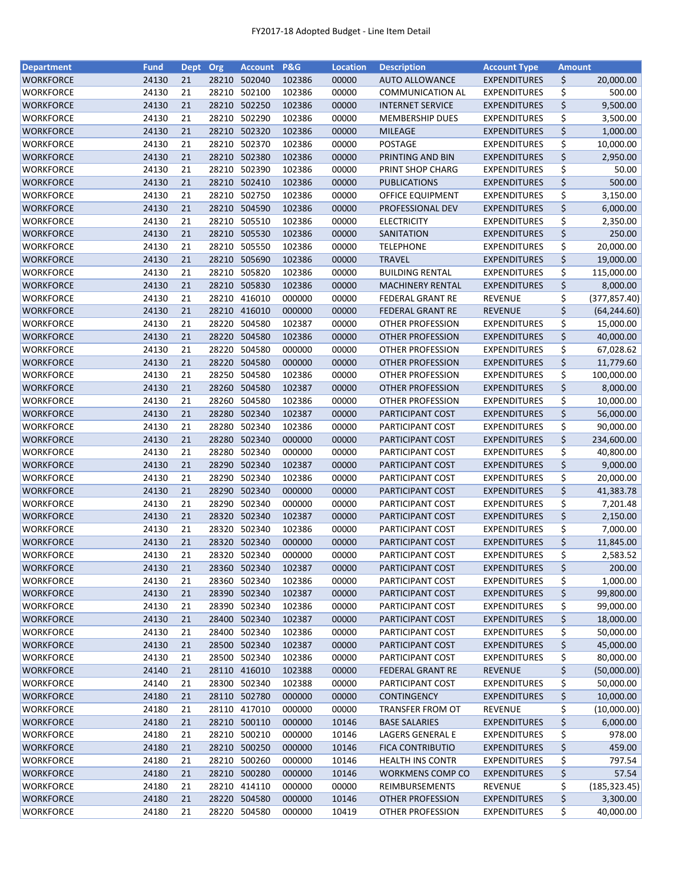| <b>Department</b>                    | <b>Fund</b>    | Dept Org |       | <b>Account</b> | P&G              | <b>Location</b> | <b>Description</b>                   | <b>Account Type</b>                        | <b>Amount</b> |                      |
|--------------------------------------|----------------|----------|-------|----------------|------------------|-----------------|--------------------------------------|--------------------------------------------|---------------|----------------------|
| <b>WORKFORCE</b>                     | 24130          | 21       | 28210 | 502040         | 102386           | 00000           | <b>AUTO ALLOWANCE</b>                | <b>EXPENDITURES</b>                        | \$            | 20,000.00            |
| WORKFORCE                            | 24130          | 21       | 28210 | 502100         | 102386           | 00000           | <b>COMMUNICATION AL</b>              | <b>EXPENDITURES</b>                        | \$            | 500.00               |
| <b>WORKFORCE</b>                     | 24130          | 21       | 28210 | 502250         | 102386           | 00000           | <b>INTERNET SERVICE</b>              | <b>EXPENDITURES</b>                        | \$            | 9,500.00             |
| <b>WORKFORCE</b>                     | 24130          | 21       | 28210 | 502290         | 102386           | 00000           | <b>MEMBERSHIP DUES</b>               | <b>EXPENDITURES</b>                        | \$            | 3,500.00             |
| <b>WORKFORCE</b>                     | 24130          | 21       | 28210 | 502320         | 102386           | 00000           | <b>MILEAGE</b>                       | <b>EXPENDITURES</b>                        | \$            | 1,000.00             |
| <b>WORKFORCE</b>                     | 24130          | 21       | 28210 | 502370         | 102386           | 00000           | <b>POSTAGE</b>                       | <b>EXPENDITURES</b>                        | \$            | 10,000.00            |
| <b>WORKFORCE</b>                     | 24130          | 21       | 28210 | 502380         | 102386           | 00000           | PRINTING AND BIN                     | <b>EXPENDITURES</b>                        | \$            | 2,950.00             |
| WORKFORCE                            | 24130          | 21       | 28210 | 502390         | 102386           | 00000           | PRINT SHOP CHARG                     | <b>EXPENDITURES</b>                        | \$            | 50.00                |
| WORKFORCE                            | 24130          | 21       | 28210 | 502410         | 102386           | 00000           | <b>PUBLICATIONS</b>                  | <b>EXPENDITURES</b>                        | \$            | 500.00               |
| WORKFORCE                            | 24130          | 21       | 28210 | 502750         | 102386           | 00000           | OFFICE EQUIPMENT                     | <b>EXPENDITURES</b>                        | \$            | 3,150.00             |
| WORKFORCE                            | 24130          | 21       |       | 28210 504590   | 102386           | 00000           | PROFESSIONAL DEV                     | <b>EXPENDITURES</b>                        | \$            | 6,000.00             |
| WORKFORCE                            | 24130          | 21       | 28210 | 505510         | 102386           | 00000           | <b>ELECTRICITY</b>                   | <b>EXPENDITURES</b>                        | \$            | 2,350.00             |
| WORKFORCE                            | 24130          | 21       | 28210 | 505530         | 102386           | 00000           | SANITATION                           | <b>EXPENDITURES</b>                        | \$            | 250.00               |
| WORKFORCE                            | 24130          | 21       | 28210 | 505550         | 102386           | 00000           | <b>TELEPHONE</b>                     | <b>EXPENDITURES</b>                        | \$            | 20,000.00            |
| WORKFORCE                            | 24130          | 21       | 28210 | 505690         | 102386           | 00000           | <b>TRAVEL</b>                        | <b>EXPENDITURES</b>                        | \$            | 19,000.00            |
| WORKFORCE                            | 24130          | 21       | 28210 | 505820         | 102386           | 00000           | <b>BUILDING RENTAL</b>               | <b>EXPENDITURES</b>                        | \$            | 115,000.00           |
| <b>WORKFORCE</b>                     | 24130          | 21       | 28210 | 505830         | 102386           | 00000           | <b>MACHINERY RENTAL</b>              | <b>EXPENDITURES</b>                        | \$            | 8,000.00             |
| <b>WORKFORCE</b>                     | 24130          | 21       | 28210 | 416010         | 000000           | 00000           | <b>FEDERAL GRANT RE</b>              | <b>REVENUE</b>                             | \$            | (377, 857.40)        |
| <b>WORKFORCE</b>                     | 24130          | 21       |       | 28210 416010   | 000000           | 00000           | <b>FEDERAL GRANT RE</b>              | <b>REVENUE</b>                             | \$            | (64, 244.60)         |
| WORKFORCE                            | 24130          | 21       | 28220 | 504580         | 102387           | 00000           | OTHER PROFESSION                     | <b>EXPENDITURES</b>                        | \$            | 15,000.00            |
| <b>WORKFORCE</b>                     | 24130          | 21       | 28220 | 504580         | 102386           | 00000           | <b>OTHER PROFESSION</b>              | <b>EXPENDITURES</b>                        | \$            | 40,000.00            |
| <b>WORKFORCE</b>                     | 24130          | 21       | 28220 | 504580         | 000000           | 00000           | OTHER PROFESSION                     | <b>EXPENDITURES</b>                        | \$            | 67,028.62            |
| <b>WORKFORCE</b>                     | 24130          | 21       |       | 28220 504580   | 000000           | 00000           | <b>OTHER PROFESSION</b>              | <b>EXPENDITURES</b>                        | \$            | 11,779.60            |
| <b>WORKFORCE</b>                     | 24130          | 21       | 28250 | 504580         | 102386           | 00000           | OTHER PROFESSION                     | <b>EXPENDITURES</b>                        | \$            | 100,000.00           |
| WORKFORCE                            | 24130          | 21       |       | 28260 504580   | 102387           | 00000           | OTHER PROFESSION                     | <b>EXPENDITURES</b>                        | \$            | 8,000.00             |
| <b>WORKFORCE</b>                     | 24130          | 21       | 28260 | 504580         | 102386           | 00000           | <b>OTHER PROFESSION</b>              | <b>EXPENDITURES</b>                        | \$            | 10,000.00            |
| WORKFORCE                            | 24130          | 21       | 28280 | 502340         | 102387           | 00000           | PARTICIPANT COST                     | <b>EXPENDITURES</b>                        | \$            | 56,000.00            |
| WORKFORCE                            | 24130          | 21       | 28280 | 502340         | 102386           | 00000           | PARTICIPANT COST                     | <b>EXPENDITURES</b>                        | \$            | 90,000.00            |
| <b>WORKFORCE</b>                     | 24130          | 21       | 28280 | 502340         | 000000           | 00000           | PARTICIPANT COST                     | <b>EXPENDITURES</b>                        | \$            | 234,600.00           |
|                                      | 24130          | 21       | 28280 | 502340         | 000000           | 00000           | PARTICIPANT COST                     | <b>EXPENDITURES</b>                        | \$            | 40,800.00            |
| WORKFORCE<br>WORKFORCE               | 24130          | 21       | 28290 | 502340         | 102387           | 00000           | PARTICIPANT COST                     | <b>EXPENDITURES</b>                        | \$            | 9,000.00             |
| <b>WORKFORCE</b>                     | 24130          | 21       | 28290 | 502340         | 102386           | 00000           | PARTICIPANT COST                     | <b>EXPENDITURES</b>                        | \$            | 20,000.00            |
| <b>WORKFORCE</b>                     | 24130          | 21       | 28290 | 502340         | 000000           | 00000           | PARTICIPANT COST                     | <b>EXPENDITURES</b>                        | \$            |                      |
|                                      |                | 21       | 28290 | 502340         |                  |                 |                                      |                                            | \$            | 41,383.78            |
| WORKFORCE                            | 24130<br>24130 | 21       |       | 28320 502340   | 000000<br>102387 | 00000<br>00000  | PARTICIPANT COST<br>PARTICIPANT COST | <b>EXPENDITURES</b>                        | \$            | 7,201.48<br>2,150.00 |
| <b>WORKFORCE</b><br><b>WORKFORCE</b> | 24130          | 21       | 28320 | 502340         | 102386           |                 |                                      | <b>EXPENDITURES</b><br><b>EXPENDITURES</b> |               |                      |
|                                      |                |          |       |                |                  | 00000           | PARTICIPANT COST                     |                                            | \$            | 7,000.00             |
| WORKFORCE                            | 24130          | 21<br>21 |       | 28320 502340   | 000000           | 00000           | PARTICIPANT COST                     | <b>EXPENDITURES</b>                        | \$            | 11,845.00            |
| <b>WORKFORCE</b>                     | 24130          |          |       | 28320 502340   | 000000           | 00000           | PARTICIPANT COST                     | <b>EXPENDITURES</b>                        | \$            | 2,583.52             |
| <b>WORKFORCE</b>                     | 24130          | 21       |       | 28360 502340   | 102387           | 00000           | PARTICIPANT COST                     | <b>EXPENDITURES</b>                        | \$            | 200.00               |
| <b>WORKFORCE</b>                     | 24130          | 21       | 28360 | 502340         | 102386           | 00000           | PARTICIPANT COST                     | <b>EXPENDITURES</b>                        | \$            | 1,000.00             |
| <b>WORKFORCE</b>                     | 24130          | 21       |       | 28390 502340   | 102387           | 00000           | PARTICIPANT COST                     | <b>EXPENDITURES</b>                        | \$            | 99,800.00            |
| WORKFORCE                            | 24130          | 21       |       | 28390 502340   | 102386           | 00000           | PARTICIPANT COST                     | <b>EXPENDITURES</b>                        | \$            | 99,000.00            |
| WORKFORCE                            | 24130          | 21       |       | 28400 502340   | 102387           | 00000           | PARTICIPANT COST                     | <b>EXPENDITURES</b>                        | \$            | 18,000.00            |
| <b>WORKFORCE</b>                     | 24130          | 21       |       | 28400 502340   | 102386           | 00000           | PARTICIPANT COST                     | <b>EXPENDITURES</b>                        | \$            | 50,000.00            |
| WORKFORCE                            | 24130          | 21       |       | 28500 502340   | 102387           | 00000           | PARTICIPANT COST                     | <b>EXPENDITURES</b>                        | \$            | 45,000.00            |
| <b>WORKFORCE</b>                     | 24130          | 21       |       | 28500 502340   | 102386           | 00000           | PARTICIPANT COST                     | <b>EXPENDITURES</b>                        | \$            | 80,000.00            |
| WORKFORCE                            | 24140          | 21       |       | 28110 416010   | 102388           | 00000           | <b>FEDERAL GRANT RE</b>              | <b>REVENUE</b>                             | \$            | (50,000.00)          |
| WORKFORCE                            | 24140          | 21       |       | 28300 502340   | 102388           | 00000           | PARTICIPANT COST                     | <b>EXPENDITURES</b>                        | \$            | 50,000.00            |
| <b>WORKFORCE</b>                     | 24180          | 21       |       | 28110 502780   | 000000           | 00000           | <b>CONTINGENCY</b>                   | <b>EXPENDITURES</b>                        | \$            | 10,000.00            |
| <b>WORKFORCE</b>                     | 24180          | 21       |       | 28110 417010   | 000000           | 00000           | TRANSFER FROM OT                     | <b>REVENUE</b>                             | \$            | (10,000.00)          |
| WORKFORCE                            | 24180          | 21       |       | 28210 500110   | 000000           | 10146           | <b>BASE SALARIES</b>                 | <b>EXPENDITURES</b>                        | \$            | 6,000.00             |
| WORKFORCE                            | 24180          | 21       | 28210 | 500210         | 000000           | 10146           | LAGERS GENERAL E                     | <b>EXPENDITURES</b>                        | \$            | 978.00               |
| WORKFORCE                            | 24180          | 21       | 28210 | 500250         | 000000           | 10146           | <b>FICA CONTRIBUTIO</b>              | <b>EXPENDITURES</b>                        | \$            | 459.00               |
| <b>WORKFORCE</b>                     | 24180          | 21       | 28210 | 500260         | 000000           | 10146           | <b>HEALTH INS CONTR</b>              | <b>EXPENDITURES</b>                        | \$            | 797.54               |
| WORKFORCE                            | 24180          | 21       |       | 28210 500280   | 000000           | 10146           | <b>WORKMENS COMP CO</b>              | <b>EXPENDITURES</b>                        | \$            | 57.54                |
| <b>WORKFORCE</b>                     | 24180          | 21       |       | 28210 414110   | 000000           | 00000           | REIMBURSEMENTS                       | <b>REVENUE</b>                             | \$            | (185, 323.45)        |
| <b>WORKFORCE</b>                     | 24180          | 21       |       | 28220 504580   | 000000           | 10146           | OTHER PROFESSION                     | <b>EXPENDITURES</b>                        | \$            | 3,300.00             |
| <b>WORKFORCE</b>                     | 24180          | 21       |       | 28220 504580   | 000000           | 10419           | OTHER PROFESSION                     | <b>EXPENDITURES</b>                        | \$            | 40,000.00            |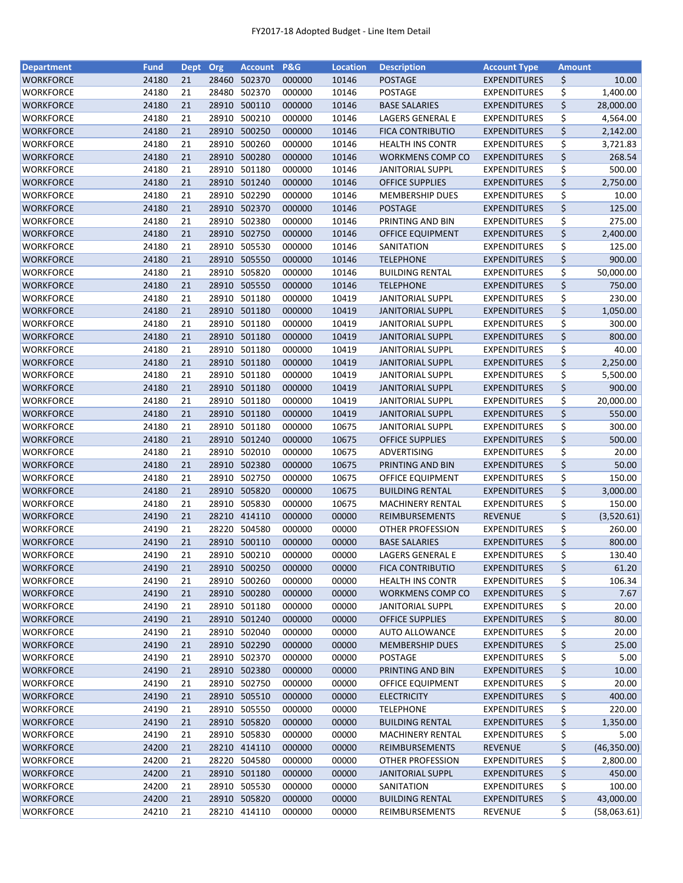| <b>Department</b> | <b>Fund</b> | <b>Dept</b> | Org   | <b>Account</b> | <b>P&amp;G</b> | <b>Location</b> | <b>Description</b>      | <b>Account Type</b> | <b>Amount</b> |              |
|-------------------|-------------|-------------|-------|----------------|----------------|-----------------|-------------------------|---------------------|---------------|--------------|
| <b>WORKFORCE</b>  | 24180       | 21          | 28460 | 502370         | 000000         | 10146           | <b>POSTAGE</b>          | <b>EXPENDITURES</b> | \$            | 10.00        |
| WORKFORCE         | 24180       | 21          | 28480 | 502370         | 000000         | 10146           | POSTAGE                 | <b>EXPENDITURES</b> | \$            | 1,400.00     |
| <b>WORKFORCE</b>  | 24180       | 21          | 28910 | 500110         | 000000         | 10146           | <b>BASE SALARIES</b>    | <b>EXPENDITURES</b> | \$            | 28,000.00    |
| <b>WORKFORCE</b>  | 24180       | 21          | 28910 | 500210         | 000000         | 10146           | <b>LAGERS GENERAL E</b> | <b>EXPENDITURES</b> | \$            | 4,564.00     |
| WORKFORCE         | 24180       | 21          | 28910 | 500250         | 000000         | 10146           | <b>FICA CONTRIBUTIO</b> | <b>EXPENDITURES</b> | \$            | 2,142.00     |
| <b>WORKFORCE</b>  | 24180       | 21          | 28910 | 500260         | 000000         | 10146           | <b>HEALTH INS CONTR</b> | <b>EXPENDITURES</b> | \$            | 3,721.83     |
| WORKFORCE         | 24180       | 21          | 28910 | 500280         | 000000         | 10146           | WORKMENS COMP CO        | <b>EXPENDITURES</b> | \$            | 268.54       |
| WORKFORCE         | 24180       | 21          | 28910 | 501180         | 000000         | 10146           | <b>JANITORIAL SUPPL</b> | <b>EXPENDITURES</b> | \$            | 500.00       |
| WORKFORCE         | 24180       | 21          |       | 28910 501240   | 000000         | 10146           | <b>OFFICE SUPPLIES</b>  | <b>EXPENDITURES</b> | \$            | 2,750.00     |
| WORKFORCE         | 24180       | 21          | 28910 | 502290         | 000000         | 10146           | <b>MEMBERSHIP DUES</b>  | <b>EXPENDITURES</b> | \$            | 10.00        |
| <b>WORKFORCE</b>  | 24180       | 21          |       | 28910 502370   | 000000         | 10146           | POSTAGE                 | <b>EXPENDITURES</b> | \$            | 125.00       |
| WORKFORCE         | 24180       | 21          | 28910 | 502380         | 000000         | 10146           | PRINTING AND BIN        | <b>EXPENDITURES</b> | \$            | 275.00       |
| <b>WORKFORCE</b>  | 24180       | 21          | 28910 | 502750         | 000000         | 10146           | OFFICE EQUIPMENT        | <b>EXPENDITURES</b> | \$            | 2,400.00     |
| WORKFORCE         | 24180       | 21          | 28910 | 505530         | 000000         | 10146           | SANITATION              | <b>EXPENDITURES</b> | \$            | 125.00       |
| <b>WORKFORCE</b>  | 24180       | 21          | 28910 | 505550         | 000000         | 10146           | <b>TELEPHONE</b>        | <b>EXPENDITURES</b> | \$            | 900.00       |
| <b>WORKFORCE</b>  | 24180       | 21          | 28910 | 505820         | 000000         | 10146           | <b>BUILDING RENTAL</b>  | <b>EXPENDITURES</b> | \$            | 50,000.00    |
| WORKFORCE         | 24180       | 21          |       | 28910 505550   | 000000         | 10146           | <b>TELEPHONE</b>        | <b>EXPENDITURES</b> | \$            | 750.00       |
| <b>WORKFORCE</b>  | 24180       | 21          |       | 28910 501180   | 000000         | 10419           | <b>JANITORIAL SUPPL</b> | <b>EXPENDITURES</b> | \$            | 230.00       |
| <b>WORKFORCE</b>  | 24180       | 21          |       | 28910 501180   | 000000         | 10419           | <b>JANITORIAL SUPPL</b> | <b>EXPENDITURES</b> | \$            | 1,050.00     |
| WORKFORCE         | 24180       | 21          |       | 28910 501180   | 000000         | 10419           | <b>JANITORIAL SUPPL</b> | <b>EXPENDITURES</b> | \$            | 300.00       |
| WORKFORCE         | 24180       | 21          |       | 28910 501180   | 000000         | 10419           | <b>JANITORIAL SUPPL</b> | <b>EXPENDITURES</b> | \$            | 800.00       |
| WORKFORCE         | 24180       | 21          |       | 28910 501180   | 000000         | 10419           | <b>JANITORIAL SUPPL</b> | <b>EXPENDITURES</b> | \$            | 40.00        |
| <b>WORKFORCE</b>  | 24180       | 21          |       | 28910 501180   | 000000         | 10419           | <b>JANITORIAL SUPPL</b> | <b>EXPENDITURES</b> | \$            | 2,250.00     |
| WORKFORCE         | 24180       | 21          |       | 28910 501180   | 000000         | 10419           | <b>JANITORIAL SUPPL</b> | <b>EXPENDITURES</b> | \$            | 5,500.00     |
| WORKFORCE         | 24180       | 21          | 28910 | 501180         | 000000         | 10419           | <b>JANITORIAL SUPPL</b> | <b>EXPENDITURES</b> | \$            | 900.00       |
| WORKFORCE         | 24180       | 21          | 28910 | 501180         | 000000         | 10419           | <b>JANITORIAL SUPPL</b> | <b>EXPENDITURES</b> | \$            | 20,000.00    |
| WORKFORCE         | 24180       | 21          | 28910 | 501180         | 000000         | 10419           | <b>JANITORIAL SUPPL</b> | <b>EXPENDITURES</b> | \$            | 550.00       |
| WORKFORCE         | 24180       | 21          | 28910 | 501180         | 000000         | 10675           | <b>JANITORIAL SUPPL</b> | <b>EXPENDITURES</b> | \$            | 300.00       |
| <b>WORKFORCE</b>  | 24180       | 21          | 28910 | 501240         | 000000         | 10675           | <b>OFFICE SUPPLIES</b>  | <b>EXPENDITURES</b> | \$            | 500.00       |
| WORKFORCE         | 24180       | 21          | 28910 | 502010         | 000000         | 10675           | ADVERTISING             | <b>EXPENDITURES</b> | \$            | 20.00        |
| WORKFORCE         | 24180       | 21          |       | 28910 502380   | 000000         | 10675           | PRINTING AND BIN        | <b>EXPENDITURES</b> | \$            | 50.00        |
| WORKFORCE         | 24180       | 21          | 28910 | 502750         | 000000         | 10675           | OFFICE EQUIPMENT        | <b>EXPENDITURES</b> | \$            | 150.00       |
| WORKFORCE         | 24180       | 21          | 28910 | 505820         | 000000         | 10675           | <b>BUILDING RENTAL</b>  | <b>EXPENDITURES</b> | \$            | 3,000.00     |
| WORKFORCE         | 24180       | 21          | 28910 | 505830         | 000000         | 10675           | <b>MACHINERY RENTAL</b> | <b>EXPENDITURES</b> | \$            | 150.00       |
| <b>WORKFORCE</b>  | 24190       | 21          |       | 28210 414110   | 000000         | 00000           | REIMBURSEMENTS          | <b>REVENUE</b>      | \$            | (3,520.61)   |
| <b>WORKFORCE</b>  | 24190       | 21          |       | 28220 504580   | 000000         | 00000           | OTHER PROFESSION        | <b>EXPENDITURES</b> | \$            | 260.00       |
| WORKFORCE         | 24190       | 21          |       | 28910 500110   | 000000         | 00000           | <b>BASE SALARIES</b>    | <b>EXPENDITURES</b> | \$            | 800.00       |
| <b>WORKFORCE</b>  | 24190       | 21          |       | 28910 500210   | 000000         | 00000           | LAGERS GENERAL E        | <b>EXPENDITURES</b> | \$            | 130.40       |
| <b>WORKFORCE</b>  | 24190       | 21          |       | 28910 500250   | 000000         | 00000           | <b>FICA CONTRIBUTIO</b> | <b>EXPENDITURES</b> | \$            | 61.20        |
| WORKFORCE         | 24190       | 21          | 28910 | 500260         | 000000         | 00000           | <b>HEALTH INS CONTR</b> | <b>EXPENDITURES</b> | \$            | 106.34       |
| <b>WORKFORCE</b>  | 24190       | 21          |       | 28910 500280   | 000000         | 00000           | <b>WORKMENS COMP CO</b> | <b>EXPENDITURES</b> | \$            | 7.67         |
| WORKFORCE         | 24190       | 21          |       | 28910 501180   | 000000         | 00000           | <b>JANITORIAL SUPPL</b> | <b>EXPENDITURES</b> | \$            | 20.00        |
| WORKFORCE         | 24190       | 21          |       | 28910 501240   | 000000         | 00000           | <b>OFFICE SUPPLIES</b>  | <b>EXPENDITURES</b> | \$            | 80.00        |
| <b>WORKFORCE</b>  | 24190       | 21          |       | 28910 502040   | 000000         | 00000           | <b>AUTO ALLOWANCE</b>   | <b>EXPENDITURES</b> | \$            | 20.00        |
| <b>WORKFORCE</b>  | 24190       | 21          |       | 28910 502290   | 000000         | 00000           | <b>MEMBERSHIP DUES</b>  | <b>EXPENDITURES</b> | \$            | 25.00        |
| WORKFORCE         | 24190       | 21          |       | 28910 502370   | 000000         | 00000           | POSTAGE                 | <b>EXPENDITURES</b> | \$            | 5.00         |
| WORKFORCE         | 24190       | 21          |       | 28910 502380   | 000000         | 00000           | PRINTING AND BIN        | <b>EXPENDITURES</b> | \$            | 10.00        |
| WORKFORCE         | 24190       | 21          |       | 28910 502750   | 000000         | 00000           | <b>OFFICE EQUIPMENT</b> | <b>EXPENDITURES</b> | \$            | 20.00        |
| <b>WORKFORCE</b>  | 24190       | 21          |       | 28910 505510   | 000000         | 00000           | <b>ELECTRICITY</b>      | <b>EXPENDITURES</b> | \$            | 400.00       |
| WORKFORCE         | 24190       | 21          |       | 28910 505550   | 000000         | 00000           | <b>TELEPHONE</b>        | <b>EXPENDITURES</b> | \$            | 220.00       |
| <b>WORKFORCE</b>  | 24190       | 21          |       | 28910 505820   | 000000         | 00000           | <b>BUILDING RENTAL</b>  | <b>EXPENDITURES</b> | \$            | 1,350.00     |
| WORKFORCE         | 24190       | 21          |       | 28910 505830   | 000000         | 00000           | MACHINERY RENTAL        | <b>EXPENDITURES</b> | \$            | 5.00         |
| <b>WORKFORCE</b>  | 24200       | 21          |       | 28210 414110   | 000000         | 00000           | REIMBURSEMENTS          | <b>REVENUE</b>      | \$            | (46, 350.00) |
| WORKFORCE         | 24200       | 21          |       | 28220 504580   | 000000         | 00000           | OTHER PROFESSION        | <b>EXPENDITURES</b> | \$            | 2,800.00     |
| WORKFORCE         | 24200       | 21          |       | 28910 501180   | 000000         | 00000           | <b>JANITORIAL SUPPL</b> | <b>EXPENDITURES</b> | \$            | 450.00       |
| WORKFORCE         | 24200       | 21          |       | 28910 505530   | 000000         | 00000           | SANITATION              | <b>EXPENDITURES</b> | \$            | 100.00       |
| <b>WORKFORCE</b>  | 24200       | 21          |       | 28910 505820   | 000000         | 00000           | <b>BUILDING RENTAL</b>  | <b>EXPENDITURES</b> | \$            | 43,000.00    |
| WORKFORCE         | 24210       | 21          |       | 28210 414110   | 000000         | 00000           | REIMBURSEMENTS          | <b>REVENUE</b>      | \$            | (58,063.61)  |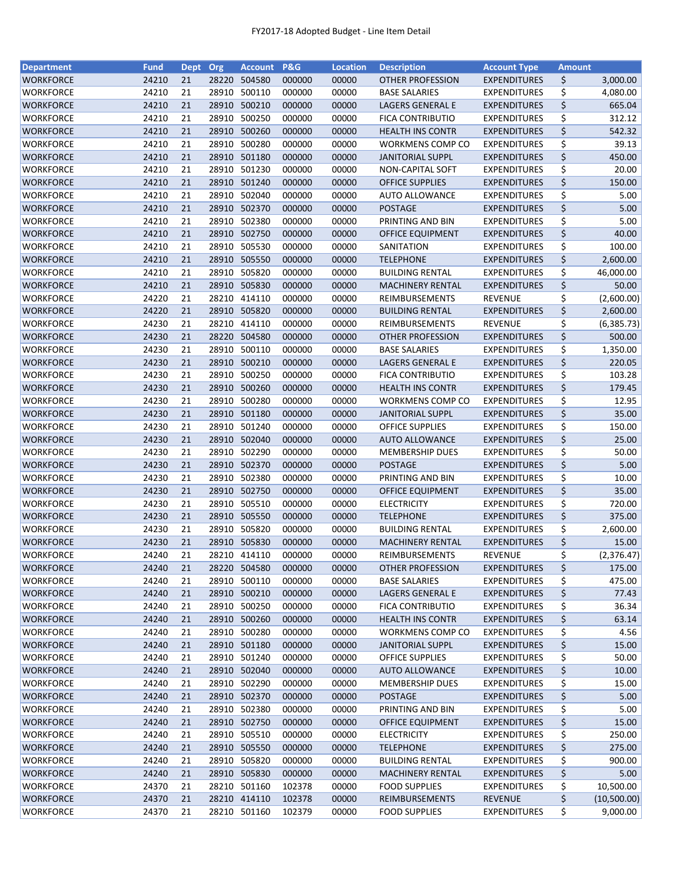| <b>Department</b> | <b>Fund</b> | Dept Org |       | <b>Account</b> | <b>P&amp;G</b>   | <b>Location</b> | <b>Description</b>      | <b>Account Type</b>                        | <b>Amount</b> |               |
|-------------------|-------------|----------|-------|----------------|------------------|-----------------|-------------------------|--------------------------------------------|---------------|---------------|
| <b>WORKFORCE</b>  | 24210       | 21       | 28220 | 504580         | 000000           | 00000           | OTHER PROFESSION        | <b>EXPENDITURES</b>                        | \$            | 3,000.00      |
| WORKFORCE         | 24210       | 21       | 28910 | 500110         | 000000           | 00000           | <b>BASE SALARIES</b>    | <b>EXPENDITURES</b>                        | \$            | 4,080.00      |
| WORKFORCE         | 24210       | 21       |       | 28910 500210   | 000000           | 00000           | <b>LAGERS GENERAL E</b> | <b>EXPENDITURES</b>                        | \$            | 665.04        |
| WORKFORCE         | 24210       | 21       | 28910 | 500250         | 000000           | 00000           | <b>FICA CONTRIBUTIO</b> | <b>EXPENDITURES</b>                        | \$            | 312.12        |
| <b>WORKFORCE</b>  | 24210       | 21       |       | 28910 500260   | 000000           | 00000           | <b>HEALTH INS CONTR</b> | <b>EXPENDITURES</b>                        | \$            | 542.32        |
| WORKFORCE         | 24210       | 21       | 28910 | 500280         | 000000           | 00000           | <b>WORKMENS COMP CO</b> | <b>EXPENDITURES</b>                        | \$            | 39.13         |
| WORKFORCE         | 24210       | 21       | 28910 | 501180         | 000000           | 00000           | <b>JANITORIAL SUPPL</b> | <b>EXPENDITURES</b>                        | \$            | 450.00        |
| WORKFORCE         | 24210       | 21       | 28910 | 501230         | 000000           | 00000           | NON-CAPITAL SOFT        | <b>EXPENDITURES</b>                        | \$            | 20.00         |
| WORKFORCE         | 24210       | 21       |       | 28910 501240   | 000000           | 00000           | <b>OFFICE SUPPLIES</b>  | <b>EXPENDITURES</b>                        | \$            | 150.00        |
| WORKFORCE         | 24210       | 21       |       | 28910 502040   | 000000           | 00000           | <b>AUTO ALLOWANCE</b>   | <b>EXPENDITURES</b>                        | \$            | 5.00          |
|                   |             | 21       |       |                |                  |                 | <b>POSTAGE</b>          |                                            |               |               |
| WORKFORCE         | 24210       |          |       | 28910 502370   | 000000           | 00000           |                         | <b>EXPENDITURES</b>                        | \$            | 5.00          |
| <b>WORKFORCE</b>  | 24210       | 21       | 28910 | 502380         | 000000           | 00000           | PRINTING AND BIN        | <b>EXPENDITURES</b>                        | \$            | 5.00          |
| WORKFORCE         | 24210       | 21       | 28910 | 502750         | 000000           | 00000           | OFFICE EQUIPMENT        | <b>EXPENDITURES</b>                        | \$            | 40.00         |
| WORKFORCE         | 24210       | 21       | 28910 | 505530         | 000000           | 00000           | SANITATION              | <b>EXPENDITURES</b>                        | \$            | 100.00        |
| <b>WORKFORCE</b>  | 24210       | 21       | 28910 | 505550         | 000000           | 00000           | <b>TELEPHONE</b>        | <b>EXPENDITURES</b>                        | \$            | 2,600.00      |
| <b>WORKFORCE</b>  | 24210       | 21       |       | 28910 505820   | 000000           | 00000           | <b>BUILDING RENTAL</b>  | <b>EXPENDITURES</b>                        | \$            | 46,000.00     |
| WORKFORCE         | 24210       | 21       |       | 28910 505830   | 000000           | 00000           | <b>MACHINERY RENTAL</b> | <b>EXPENDITURES</b>                        | \$            | 50.00         |
| <b>WORKFORCE</b>  | 24220       | 21       |       | 28210 414110   | 000000           | 00000           | REIMBURSEMENTS          | <b>REVENUE</b>                             | \$            | (2,600.00)    |
| <b>WORKFORCE</b>  | 24220       | 21       |       | 28910 505820   | 000000           | 00000           | <b>BUILDING RENTAL</b>  | <b>EXPENDITURES</b>                        | \$            | 2,600.00      |
| WORKFORCE         | 24230       | 21       |       | 28210 414110   | 000000           | 00000           | REIMBURSEMENTS          | <b>REVENUE</b>                             | \$            | (6, 385.73)   |
| <b>WORKFORCE</b>  | 24230       | 21       |       | 28220 504580   | 000000           | 00000           | OTHER PROFESSION        | <b>EXPENDITURES</b>                        | \$            | 500.00        |
| WORKFORCE         | 24230       | 21       |       | 28910 500110   | 000000           | 00000           | <b>BASE SALARIES</b>    | <b>EXPENDITURES</b>                        | \$            | 1,350.00      |
| WORKFORCE         | 24230       | 21       |       | 28910 500210   | 000000           | 00000           | <b>LAGERS GENERAL E</b> | <b>EXPENDITURES</b>                        | \$            | 220.05        |
| <b>WORKFORCE</b>  | 24230       | 21       | 28910 | 500250         | 000000           | 00000           | FICA CONTRIBUTIO        | <b>EXPENDITURES</b>                        | \$            | 103.28        |
| <b>WORKFORCE</b>  | 24230       | 21       | 28910 | 500260         | 000000           | 00000           | <b>HEALTH INS CONTR</b> | <b>EXPENDITURES</b>                        | \$            | 179.45        |
| WORKFORCE         | 24230       | 21       | 28910 | 500280         | 000000           | 00000           | WORKMENS COMP CO        | <b>EXPENDITURES</b>                        | \$            | 12.95         |
| WORKFORCE         | 24230       | 21       | 28910 | 501180         | 000000           | 00000           | <b>JANITORIAL SUPPL</b> | <b>EXPENDITURES</b>                        | \$            | 35.00         |
| <b>WORKFORCE</b>  | 24230       | 21       | 28910 | 501240         | 000000           | 00000           | <b>OFFICE SUPPLIES</b>  | <b>EXPENDITURES</b>                        |               | 150.00        |
|                   |             |          |       |                |                  |                 |                         |                                            | \$            |               |
| WORKFORCE         | 24230       | 21       |       | 28910 502040   | 000000           | 00000           | <b>AUTO ALLOWANCE</b>   | <b>EXPENDITURES</b>                        | \$            | 25.00         |
| <b>WORKFORCE</b>  | 24230       | 21       | 28910 | 502290         | 000000           | 00000           | <b>MEMBERSHIP DUES</b>  | <b>EXPENDITURES</b>                        | \$            | 50.00         |
| WORKFORCE         | 24230       | 21       | 28910 | 502370         | 000000           | 00000           | <b>POSTAGE</b>          | <b>EXPENDITURES</b>                        | \$            | 5.00          |
| WORKFORCE         | 24230       | 21       | 28910 | 502380         | 000000           | 00000           | PRINTING AND BIN        | <b>EXPENDITURES</b>                        | \$            | 10.00         |
| WORKFORCE         | 24230       | 21       |       | 28910 502750   | 000000           | 00000           | OFFICE EQUIPMENT        | <b>EXPENDITURES</b>                        | \$            | 35.00         |
| WORKFORCE         | 24230       | 21       |       | 28910 505510   | 000000           | 00000           | <b>ELECTRICITY</b>      | <b>EXPENDITURES</b>                        | \$            | 720.00        |
| WORKFORCE         | 24230       | 21       |       | 28910 505550   | 000000           | 00000           | <b>TELEPHONE</b>        | <b>EXPENDITURES</b>                        | \$            | 375.00        |
| WORKFORCE         | 24230       | 21       |       | 28910 505820   | 000000           | 00000           | <b>BUILDING RENTAL</b>  | <b>EXPENDITURES</b>                        | \$            | 2,600.00      |
| <b>WORKFORCE</b>  | 24230       | 21       |       | 28910 505830   | 000000           | 00000           | <b>MACHINERY RENTAL</b> | <b>EXPENDITURES</b>                        | \$            | 15.00         |
| <b>WORKFORCE</b>  | 24240       | 21       |       | 28210 414110   | 000000           | 00000           | <b>REIMBURSEMENTS</b>   | <b>REVENUE</b>                             | \$            | (2,376.47)    |
| WORKFORCE         | 24240       | 21       |       | 28220 504580   | 000000           | 00000           | <b>OTHER PROFESSION</b> | <b>EXPENDITURES</b>                        | \$            | 175.00        |
| WORKFORCE         | 24240       | 21       | 28910 | 500110         | 000000           | 00000           | <b>BASE SALARIES</b>    | <b>EXPENDITURES</b>                        | \$            | 475.00        |
| <b>WORKFORCE</b>  | 24240       | 21       |       | 28910 500210   | 000000           | 00000           | LAGERS GENERAL E        | <b>EXPENDITURES</b>                        | \$            | 77.43         |
| <b>WORKFORCE</b>  | 24240       | 21       |       | 28910 500250   | 000000           | 00000           | <b>FICA CONTRIBUTIO</b> | <b>EXPENDITURES</b>                        | \$            | 36.34         |
| <b>WORKFORCE</b>  | 24240       | 21       |       | 28910 500260   | 000000           | 00000           | <b>HEALTH INS CONTR</b> | <b>EXPENDITURES</b>                        | \$            | 63.14         |
| WORKFORCE         | 24240       | 21       |       | 28910 500280   | 000000           | 00000           | WORKMENS COMP CO        | <b>EXPENDITURES</b>                        | \$            | 4.56          |
| WORKFORCE         | 24240       | 21       |       | 28910 501180   | 000000           | 00000           | <b>JANITORIAL SUPPL</b> | <b>EXPENDITURES</b>                        | \$            | 15.00         |
| WORKFORCE         | 24240       | 21       |       | 28910 501240   | 000000           | 00000           | <b>OFFICE SUPPLIES</b>  | <b>EXPENDITURES</b>                        | \$            | 50.00         |
| WORKFORCE         | 24240       | 21       |       | 28910 502040   | 000000           | 00000           | <b>AUTO ALLOWANCE</b>   | <b>EXPENDITURES</b>                        | \$            | 10.00         |
|                   |             |          |       | 28910 502290   |                  |                 | <b>MEMBERSHIP DUES</b>  |                                            |               |               |
| WORKFORCE         | 24240       | 21       |       | 28910 502370   | 000000<br>000000 | 00000           |                         | <b>EXPENDITURES</b><br><b>EXPENDITURES</b> | \$            | 15.00<br>5.00 |
| WORKFORCE         | 24240       | 21       |       |                |                  | 00000           | <b>POSTAGE</b>          |                                            | \$            |               |
| WORKFORCE         | 24240       | 21       |       | 28910 502380   | 000000           | 00000           | PRINTING AND BIN        | <b>EXPENDITURES</b>                        | \$            | 5.00          |
| WORKFORCE         | 24240       | 21       |       | 28910 502750   | 000000           | 00000           | OFFICE EQUIPMENT        | <b>EXPENDITURES</b>                        | \$            | 15.00         |
| WORKFORCE         | 24240       | 21       |       | 28910 505510   | 000000           | 00000           | <b>ELECTRICITY</b>      | <b>EXPENDITURES</b>                        | \$            | 250.00        |
| WORKFORCE         | 24240       | 21       |       | 28910 505550   | 000000           | 00000           | <b>TELEPHONE</b>        | <b>EXPENDITURES</b>                        | \$            | 275.00        |
| WORKFORCE         | 24240       | 21       |       | 28910 505820   | 000000           | 00000           | <b>BUILDING RENTAL</b>  | <b>EXPENDITURES</b>                        | \$            | 900.00        |
| WORKFORCE         | 24240       | 21       |       | 28910 505830   | 000000           | 00000           | <b>MACHINERY RENTAL</b> | <b>EXPENDITURES</b>                        | \$            | 5.00          |
| WORKFORCE         | 24370       | 21       |       | 28210 501160   | 102378           | 00000           | <b>FOOD SUPPLIES</b>    | <b>EXPENDITURES</b>                        | \$            | 10,500.00     |
| WORKFORCE         | 24370       | 21       |       | 28210 414110   | 102378           | 00000           | REIMBURSEMENTS          | <b>REVENUE</b>                             | \$            | (10,500.00)   |
| WORKFORCE         | 24370       | 21       |       | 28210 501160   | 102379           | 00000           | <b>FOOD SUPPLIES</b>    | <b>EXPENDITURES</b>                        | \$            | 9,000.00      |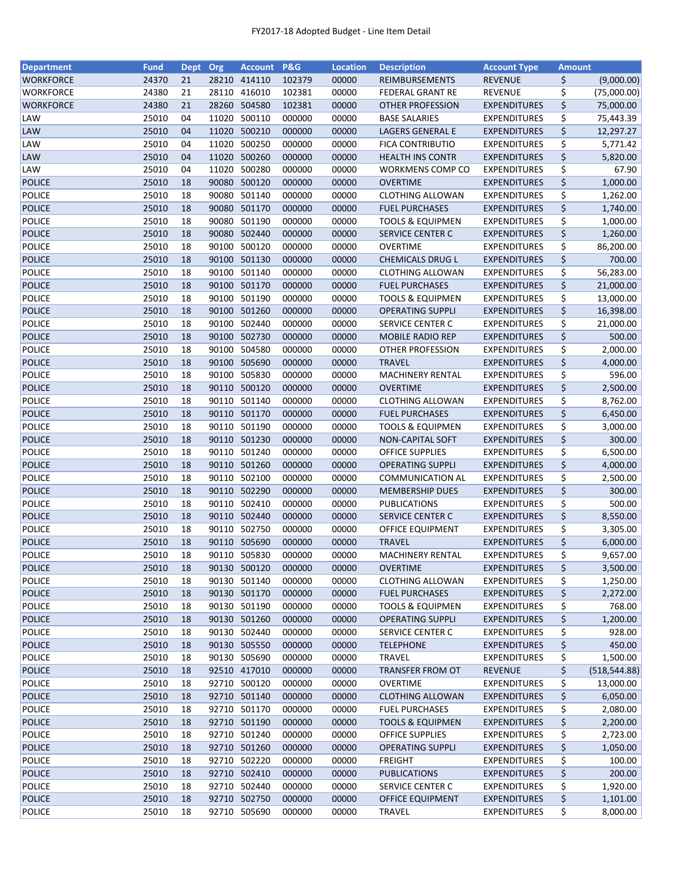| <b>Department</b> | <b>Fund</b> | Dept Org |       | <b>Account</b> | P&G    | <b>Location</b> | <b>Description</b>          | <b>Account Type</b> | <b>Amount</b> |               |
|-------------------|-------------|----------|-------|----------------|--------|-----------------|-----------------------------|---------------------|---------------|---------------|
| <b>WORKFORCE</b>  | 24370       | 21       |       | 28210 414110   | 102379 | 00000           | REIMBURSEMENTS              | <b>REVENUE</b>      | \$            | (9,000.00)    |
| <b>WORKFORCE</b>  | 24380       | 21       | 28110 | 416010         | 102381 | 00000           | <b>FEDERAL GRANT RE</b>     | <b>REVENUE</b>      | \$            | (75,000.00)   |
| <b>WORKFORCE</b>  | 24380       | 21       |       | 28260 504580   | 102381 | 00000           | <b>OTHER PROFESSION</b>     | <b>EXPENDITURES</b> | \$            | 75,000.00     |
| LAW               | 25010       | 04       | 11020 | 500110         | 000000 | 00000           | <b>BASE SALARIES</b>        | <b>EXPENDITURES</b> | \$            | 75,443.39     |
| <b>LAW</b>        | 25010       | 04       |       | 11020 500210   | 000000 | 00000           | <b>LAGERS GENERAL E</b>     | <b>EXPENDITURES</b> | \$            | 12,297.27     |
| LAW               | 25010       | 04       |       | 11020 500250   | 000000 | 00000           | <b>FICA CONTRIBUTIO</b>     | <b>EXPENDITURES</b> | \$            | 5,771.42      |
| LAW               | 25010       | 04       |       | 11020 500260   | 000000 | 00000           | <b>HEALTH INS CONTR</b>     | <b>EXPENDITURES</b> | \$            | 5,820.00      |
| LAW               | 25010       | 04       | 11020 | 500280         | 000000 | 00000           | <b>WORKMENS COMP CO</b>     | <b>EXPENDITURES</b> | \$            | 67.90         |
| <b>POLICE</b>     | 25010       | 18       |       | 90080 500120   | 000000 | 00000           | <b>OVERTIME</b>             | <b>EXPENDITURES</b> | \$            | 1,000.00      |
| <b>POLICE</b>     | 25010       | 18       |       | 90080 501140   | 000000 | 00000           | <b>CLOTHING ALLOWAN</b>     | <b>EXPENDITURES</b> | \$            | 1,262.00      |
| <b>POLICE</b>     | 25010       | 18       |       | 90080 501170   | 000000 | 00000           | <b>FUEL PURCHASES</b>       | <b>EXPENDITURES</b> | \$            | 1,740.00      |
| <b>POLICE</b>     | 25010       | 18       |       | 90080 501190   | 000000 | 00000           | <b>TOOLS &amp; EQUIPMEN</b> | <b>EXPENDITURES</b> | \$            | 1,000.00      |
| <b>POLICE</b>     | 25010       | 18       |       | 90080 502440   | 000000 | 00000           | <b>SERVICE CENTER C</b>     | <b>EXPENDITURES</b> | \$            | 1,260.00      |
| <b>POLICE</b>     | 25010       | 18       | 90100 | 500120         | 000000 | 00000           | OVERTIME                    | <b>EXPENDITURES</b> | \$            | 86,200.00     |
| <b>POLICE</b>     | 25010       | 18       | 90100 | 501130         | 000000 | 00000           | <b>CHEMICALS DRUG L</b>     | <b>EXPENDITURES</b> | \$            | 700.00        |
| <b>POLICE</b>     | 25010       | 18       |       | 90100 501140   | 000000 | 00000           | <b>CLOTHING ALLOWAN</b>     | <b>EXPENDITURES</b> | \$            | 56,283.00     |
| <b>POLICE</b>     | 25010       | 18       |       | 90100 501170   | 000000 | 00000           | <b>FUEL PURCHASES</b>       | <b>EXPENDITURES</b> | \$            | 21,000.00     |
| <b>POLICE</b>     | 25010       | 18       |       | 90100 501190   | 000000 | 00000           | <b>TOOLS &amp; EQUIPMEN</b> | <b>EXPENDITURES</b> | \$            | 13,000.00     |
| <b>POLICE</b>     | 25010       | 18       |       | 90100 501260   | 000000 | 00000           | <b>OPERATING SUPPLI</b>     | <b>EXPENDITURES</b> | \$            | 16,398.00     |
| <b>POLICE</b>     | 25010       | 18       |       | 90100 502440   | 000000 | 00000           | SERVICE CENTER C            | <b>EXPENDITURES</b> | \$            | 21,000.00     |
| <b>POLICE</b>     | 25010       | 18       |       | 90100 502730   | 000000 | 00000           | <b>MOBILE RADIO REP</b>     | <b>EXPENDITURES</b> | \$            | 500.00        |
| <b>POLICE</b>     | 25010       | 18       |       | 90100 504580   | 000000 | 00000           | OTHER PROFESSION            | <b>EXPENDITURES</b> | \$            | 2,000.00      |
| <b>POLICE</b>     | 25010       | 18       |       | 90100 505690   | 000000 | 00000           | <b>TRAVEL</b>               | <b>EXPENDITURES</b> | \$            | 4,000.00      |
| <b>POLICE</b>     | 25010       | 18       |       | 90100 505830   | 000000 | 00000           | <b>MACHINERY RENTAL</b>     | EXPENDITURES        | \$            | 596.00        |
| <b>POLICE</b>     | 25010       | 18       |       | 90110 500120   | 000000 | 00000           | <b>OVERTIME</b>             | <b>EXPENDITURES</b> | \$            | 2,500.00      |
| <b>POLICE</b>     | 25010       | 18       |       | 90110 501140   | 000000 | 00000           | <b>CLOTHING ALLOWAN</b>     | <b>EXPENDITURES</b> | \$            | 8,762.00      |
| <b>POLICE</b>     | 25010       | 18       |       | 90110 501170   | 000000 | 00000           | <b>FUEL PURCHASES</b>       | <b>EXPENDITURES</b> | \$            | 6,450.00      |
| <b>POLICE</b>     | 25010       | 18       |       | 90110 501190   | 000000 | 00000           | <b>TOOLS &amp; EQUIPMEN</b> | <b>EXPENDITURES</b> | \$            | 3,000.00      |
| <b>POLICE</b>     | 25010       | 18       |       | 90110 501230   | 000000 | 00000           | NON-CAPITAL SOFT            | <b>EXPENDITURES</b> | \$            | 300.00        |
| <b>POLICE</b>     | 25010       | 18       |       | 90110 501240   | 000000 | 00000           | <b>OFFICE SUPPLIES</b>      | <b>EXPENDITURES</b> | \$            | 6,500.00      |
| <b>POLICE</b>     | 25010       | 18       |       | 90110 501260   | 000000 | 00000           | <b>OPERATING SUPPLI</b>     | <b>EXPENDITURES</b> | \$            | 4,000.00      |
| <b>POLICE</b>     | 25010       | 18       |       | 90110 502100   | 000000 | 00000           | <b>COMMUNICATION AL</b>     | <b>EXPENDITURES</b> | \$            | 2,500.00      |
| <b>POLICE</b>     | 25010       | 18       |       | 90110 502290   | 000000 | 00000           | <b>MEMBERSHIP DUES</b>      | <b>EXPENDITURES</b> | \$            | 300.00        |
| <b>POLICE</b>     | 25010       | 18       |       | 90110 502410   | 000000 | 00000           | PUBLICATIONS                | <b>EXPENDITURES</b> | \$            | 500.00        |
| <b>POLICE</b>     | 25010       | 18       |       | 90110 502440   | 000000 | 00000           | SERVICE CENTER C            | <b>EXPENDITURES</b> | \$            | 8,550.00      |
| <b>POLICE</b>     | 25010       | 18       |       | 90110 502750   | 000000 | 00000           | OFFICE EQUIPMENT            | <b>EXPENDITURES</b> | \$            | 3,305.00      |
| <b>POLICE</b>     | 25010       | 18       |       | 90110 505690   | 000000 | 00000           | <b>TRAVEL</b>               | <b>EXPENDITURES</b> | \$            | 6,000.00      |
| <b>POLICE</b>     | 25010       | 18       |       | 90110 505830   | 000000 | 00000           | <b>MACHINERY RENTAL</b>     | <b>EXPENDITURES</b> | \$            | 9,657.00      |
| <b>POLICE</b>     | 25010       | 18       |       | 90130 500120   | 000000 | 00000           | <b>OVERTIME</b>             | <b>EXPENDITURES</b> | \$            | 3,500.00      |
| POLICE            | 25010       | 18       |       | 90130 501140   | 000000 | 00000           | <b>CLOTHING ALLOWAN</b>     | <b>EXPENDITURES</b> | \$            | 1,250.00      |
| <b>POLICE</b>     | 25010       | 18       |       | 90130 501170   | 000000 | 00000           | <b>FUEL PURCHASES</b>       | <b>EXPENDITURES</b> | \$            | 2,272.00      |
| POLICE            | 25010       | 18       |       | 90130 501190   | 000000 | 00000           | <b>TOOLS &amp; EQUIPMEN</b> | <b>EXPENDITURES</b> | \$            | 768.00        |
| <b>POLICE</b>     | 25010       | 18       |       | 90130 501260   | 000000 | 00000           | <b>OPERATING SUPPLI</b>     | <b>EXPENDITURES</b> | \$            | 1,200.00      |
| POLICE            | 25010       | 18       |       | 90130 502440   | 000000 | 00000           | SERVICE CENTER C            | <b>EXPENDITURES</b> | \$            | 928.00        |
| <b>POLICE</b>     | 25010       | 18       |       | 90130 505550   | 000000 | 00000           | <b>TELEPHONE</b>            | <b>EXPENDITURES</b> | \$            | 450.00        |
| POLICE            | 25010       | 18       |       | 90130 505690   | 000000 | 00000           | <b>TRAVEL</b>               | <b>EXPENDITURES</b> | \$            | 1,500.00      |
| <b>POLICE</b>     | 25010       | 18       |       | 92510 417010   | 000000 | 00000           | <b>TRANSFER FROM OT</b>     | <b>REVENUE</b>      | \$            | (518, 544.88) |
| <b>POLICE</b>     | 25010       | 18       |       | 92710 500120   | 000000 | 00000           | OVERTIME                    | <b>EXPENDITURES</b> | \$            | 13,000.00     |
| <b>POLICE</b>     | 25010       | 18       |       | 92710 501140   | 000000 | 00000           | <b>CLOTHING ALLOWAN</b>     | <b>EXPENDITURES</b> | \$            | 6,050.00      |
| POLICE            | 25010       | 18       |       | 92710 501170   | 000000 | 00000           | <b>FUEL PURCHASES</b>       | <b>EXPENDITURES</b> | \$            | 2,080.00      |
| <b>POLICE</b>     | 25010       | 18       |       | 92710 501190   | 000000 | 00000           | <b>TOOLS &amp; EQUIPMEN</b> | <b>EXPENDITURES</b> | \$            | 2,200.00      |
| POLICE            | 25010       | 18       |       | 92710 501240   | 000000 | 00000           | <b>OFFICE SUPPLIES</b>      | <b>EXPENDITURES</b> | \$            | 2,723.00      |
| <b>POLICE</b>     | 25010       | 18       |       | 92710 501260   | 000000 | 00000           | <b>OPERATING SUPPLI</b>     | <b>EXPENDITURES</b> | \$            | 1,050.00      |
| POLICE            | 25010       | 18       |       | 92710 502220   | 000000 | 00000           | <b>FREIGHT</b>              | <b>EXPENDITURES</b> | \$            | 100.00        |
| <b>POLICE</b>     | 25010       | 18       |       | 92710 502410   | 000000 | 00000           | <b>PUBLICATIONS</b>         | <b>EXPENDITURES</b> | \$            | 200.00        |
| POLICE            | 25010       | 18       |       | 92710 502440   | 000000 | 00000           | SERVICE CENTER C            | <b>EXPENDITURES</b> | \$            | 1,920.00      |
| <b>POLICE</b>     | 25010       | 18       |       | 92710 502750   | 000000 | 00000           | OFFICE EQUIPMENT            | <b>EXPENDITURES</b> | \$            | 1,101.00      |
| POLICE            | 25010       | 18       |       | 92710 505690   | 000000 | 00000           | <b>TRAVEL</b>               | <b>EXPENDITURES</b> | \$            | 8,000.00      |
|                   |             |          |       |                |        |                 |                             |                     |               |               |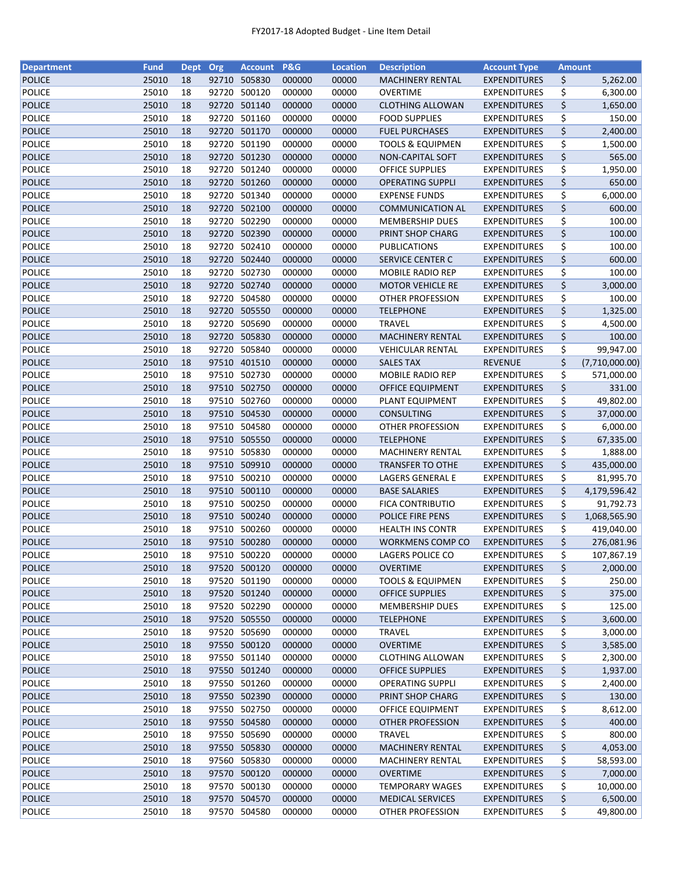| <b>Department</b> | <b>Fund</b> | <b>Dept</b> | Org   | <b>Account</b> | P&G    | <b>Location</b> | <b>Description</b>          | <b>Account Type</b> | <b>Amount</b>        |
|-------------------|-------------|-------------|-------|----------------|--------|-----------------|-----------------------------|---------------------|----------------------|
| <b>POLICE</b>     | 25010       | 18          |       | 92710 505830   | 000000 | 00000           | <b>MACHINERY RENTAL</b>     | <b>EXPENDITURES</b> | \$<br>5,262.00       |
| <b>POLICE</b>     | 25010       | 18          | 92720 | 500120         | 000000 | 00000           | <b>OVERTIME</b>             | <b>EXPENDITURES</b> | \$<br>6,300.00       |
| <b>POLICE</b>     | 25010       | 18          |       | 92720 501140   | 000000 | 00000           | <b>CLOTHING ALLOWAN</b>     | <b>EXPENDITURES</b> | \$<br>1,650.00       |
| <b>POLICE</b>     | 25010       | 18          | 92720 | 501160         | 000000 | 00000           | <b>FOOD SUPPLIES</b>        | <b>EXPENDITURES</b> | \$<br>150.00         |
| <b>POLICE</b>     | 25010       | 18          |       | 92720 501170   | 000000 | 00000           | <b>FUEL PURCHASES</b>       | <b>EXPENDITURES</b> | \$<br>2,400.00       |
| <b>POLICE</b>     | 25010       | 18          |       | 92720 501190   | 000000 | 00000           | <b>TOOLS &amp; EQUIPMEN</b> | <b>EXPENDITURES</b> | \$<br>1,500.00       |
| <b>POLICE</b>     | 25010       | 18          |       | 92720 501230   | 000000 | 00000           | NON-CAPITAL SOFT            | <b>EXPENDITURES</b> | \$<br>565.00         |
| <b>POLICE</b>     | 25010       | 18          | 92720 | 501240         | 000000 | 00000           | <b>OFFICE SUPPLIES</b>      | <b>EXPENDITURES</b> | \$<br>1,950.00       |
| <b>POLICE</b>     | 25010       | 18          |       | 92720 501260   | 000000 | 00000           | <b>OPERATING SUPPLI</b>     | <b>EXPENDITURES</b> | \$<br>650.00         |
| <b>POLICE</b>     | 25010       | 18          |       | 92720 501340   | 000000 | 00000           | <b>EXPENSE FUNDS</b>        | <b>EXPENDITURES</b> | \$<br>6,000.00       |
|                   |             | 18          |       |                |        |                 |                             | <b>EXPENDITURES</b> | \$<br>600.00         |
| <b>POLICE</b>     | 25010       |             |       | 92720 502100   | 000000 | 00000           | <b>COMMUNICATION AL</b>     |                     |                      |
| <b>POLICE</b>     | 25010       | 18          |       | 92720 502290   | 000000 | 00000           | <b>MEMBERSHIP DUES</b>      | <b>EXPENDITURES</b> | \$<br>100.00         |
| <b>POLICE</b>     | 25010       | 18          |       | 92720 502390   | 000000 | 00000           | PRINT SHOP CHARG            | <b>EXPENDITURES</b> | \$<br>100.00         |
| <b>POLICE</b>     | 25010       | 18          | 92720 | 502410         | 000000 | 00000           | PUBLICATIONS                | <b>EXPENDITURES</b> | \$<br>100.00         |
| <b>POLICE</b>     | 25010       | 18          | 92720 | 502440         | 000000 | 00000           | SERVICE CENTER C            | <b>EXPENDITURES</b> | \$<br>600.00         |
| <b>POLICE</b>     | 25010       | 18          | 92720 | 502730         | 000000 | 00000           | MOBILE RADIO REP            | <b>EXPENDITURES</b> | \$<br>100.00         |
| <b>POLICE</b>     | 25010       | 18          |       | 92720 502740   | 000000 | 00000           | <b>MOTOR VEHICLE RE</b>     | <b>EXPENDITURES</b> | \$<br>3,000.00       |
| <b>POLICE</b>     | 25010       | 18          |       | 92720 504580   | 000000 | 00000           | <b>OTHER PROFESSION</b>     | <b>EXPENDITURES</b> | \$<br>100.00         |
| <b>POLICE</b>     | 25010       | 18          |       | 92720 505550   | 000000 | 00000           | <b>TELEPHONE</b>            | <b>EXPENDITURES</b> | \$<br>1,325.00       |
| <b>POLICE</b>     | 25010       | 18          | 92720 | 505690         | 000000 | 00000           | <b>TRAVEL</b>               | <b>EXPENDITURES</b> | \$<br>4,500.00       |
| <b>POLICE</b>     | 25010       | 18          |       | 92720 505830   | 000000 | 00000           | <b>MACHINERY RENTAL</b>     | <b>EXPENDITURES</b> | \$<br>100.00         |
| <b>POLICE</b>     | 25010       | 18          |       | 92720 505840   | 000000 | 00000           | <b>VEHICULAR RENTAL</b>     | <b>EXPENDITURES</b> | \$<br>99,947.00      |
| <b>POLICE</b>     | 25010       | 18          |       | 97510 401510   | 000000 | 00000           | <b>SALES TAX</b>            | <b>REVENUE</b>      | \$<br>(7,710,000.00) |
| <b>POLICE</b>     | 25010       | 18          |       | 97510 502730   | 000000 | 00000           | MOBILE RADIO REP            | <b>EXPENDITURES</b> | \$<br>571,000.00     |
| <b>POLICE</b>     | 25010       | 18          |       | 97510 502750   | 000000 | 00000           | <b>OFFICE EQUIPMENT</b>     | <b>EXPENDITURES</b> | \$<br>331.00         |
| <b>POLICE</b>     | 25010       | 18          | 97510 | 502760         | 000000 | 00000           | PLANT EQUIPMENT             | <b>EXPENDITURES</b> | \$<br>49,802.00      |
| <b>POLICE</b>     | 25010       | 18          | 97510 | 504530         | 000000 | 00000           | CONSULTING                  | <b>EXPENDITURES</b> | \$<br>37,000.00      |
| <b>POLICE</b>     | 25010       | 18          | 97510 | 504580         | 000000 | 00000           | <b>OTHER PROFESSION</b>     | <b>EXPENDITURES</b> | \$<br>6,000.00       |
|                   |             |             |       |                |        |                 |                             |                     |                      |
| <b>POLICE</b>     | 25010       | 18          |       | 97510 505550   | 000000 | 00000           | <b>TELEPHONE</b>            | <b>EXPENDITURES</b> | \$<br>67,335.00      |
| <b>POLICE</b>     | 25010       | 18          |       | 97510 505830   | 000000 | 00000           | MACHINERY RENTAL            | <b>EXPENDITURES</b> | \$<br>1,888.00       |
| <b>POLICE</b>     | 25010       | 18          |       | 97510 509910   | 000000 | 00000           | <b>TRANSFER TO OTHE</b>     | <b>EXPENDITURES</b> | \$<br>435,000.00     |
| <b>POLICE</b>     | 25010       | 18          |       | 97510 500210   | 000000 | 00000           | LAGERS GENERAL E            | <b>EXPENDITURES</b> | \$<br>81,995.70      |
| <b>POLICE</b>     | 25010       | 18          |       | 97510 500110   | 000000 | 00000           | <b>BASE SALARIES</b>        | <b>EXPENDITURES</b> | \$<br>4,179,596.42   |
| <b>POLICE</b>     | 25010       | 18          |       | 97510 500250   | 000000 | 00000           | <b>FICA CONTRIBUTIO</b>     | <b>EXPENDITURES</b> | \$<br>91,792.73      |
| <b>POLICE</b>     | 25010       | 18          |       | 97510 500240   | 000000 | 00000           | POLICE FIRE PENS            | <b>EXPENDITURES</b> | \$<br>1,068,565.90   |
| <b>POLICE</b>     | 25010       | 18          |       | 97510 500260   | 000000 | 00000           | <b>HEALTH INS CONTR</b>     | <b>EXPENDITURES</b> | \$<br>419,040.00     |
| <b>POLICE</b>     | 25010       | 18          |       | 97510 500280   | 000000 | 00000           | <b>WORKMENS COMP CO</b>     | <b>EXPENDITURES</b> | \$<br>276,081.96     |
| <b>POLICE</b>     | 25010       | 18          |       | 97510 500220   | 000000 | 00000           | LAGERS POLICE CO            | <b>EXPENDITURES</b> | \$<br>107,867.19     |
| <b>POLICE</b>     | 25010       | 18          |       | 97520 500120   | 000000 | 00000           | <b>OVERTIME</b>             | <b>EXPENDITURES</b> | \$<br>2,000.00       |
| POLICE            | 25010       | 18          | 97520 | 501190         | 000000 | 00000           | <b>TOOLS &amp; EQUIPMEN</b> | <b>EXPENDITURES</b> | \$<br>250.00         |
| <b>POLICE</b>     | 25010       | 18          |       | 97520 501240   | 000000 | 00000           | <b>OFFICE SUPPLIES</b>      | <b>EXPENDITURES</b> | \$<br>375.00         |
| POLICE            | 25010       | 18          |       | 97520 502290   | 000000 | 00000           | <b>MEMBERSHIP DUES</b>      | <b>EXPENDITURES</b> | \$<br>125.00         |
| <b>POLICE</b>     | 25010       | 18          |       | 97520 505550   | 000000 | 00000           | <b>TELEPHONE</b>            | <b>EXPENDITURES</b> | \$<br>3,600.00       |
| POLICE            | 25010       | 18          |       | 97520 505690   | 000000 | 00000           | <b>TRAVEL</b>               | <b>EXPENDITURES</b> | \$<br>3,000.00       |
| <b>POLICE</b>     | 25010       | 18          |       | 97550 500120   | 000000 | 00000           | <b>OVERTIME</b>             | <b>EXPENDITURES</b> | \$<br>3,585.00       |
| POLICE            | 25010       | 18          |       | 97550 501140   | 000000 | 00000           | <b>CLOTHING ALLOWAN</b>     | <b>EXPENDITURES</b> | \$<br>2,300.00       |
| <b>POLICE</b>     | 25010       | 18          |       | 97550 501240   | 000000 | 00000           | <b>OFFICE SUPPLIES</b>      | <b>EXPENDITURES</b> | \$<br>1,937.00       |
| POLICE            | 25010       | 18          |       | 97550 501260   | 000000 | 00000           | <b>OPERATING SUPPLI</b>     | <b>EXPENDITURES</b> | \$<br>2,400.00       |
| <b>POLICE</b>     | 25010       | 18          |       | 97550 502390   | 000000 | 00000           | PRINT SHOP CHARG            | <b>EXPENDITURES</b> | \$<br>130.00         |
|                   |             |             |       |                |        |                 |                             |                     |                      |
| POLICE            | 25010       | 18          |       | 97550 502750   | 000000 | 00000           | OFFICE EQUIPMENT            | <b>EXPENDITURES</b> | \$<br>8,612.00       |
| <b>POLICE</b>     | 25010       | 18          |       | 97550 504580   | 000000 | 00000           | OTHER PROFESSION            | <b>EXPENDITURES</b> | \$<br>400.00         |
| POLICE            | 25010       | 18          |       | 97550 505690   | 000000 | 00000           | <b>TRAVEL</b>               | <b>EXPENDITURES</b> | \$<br>800.00         |
| <b>POLICE</b>     | 25010       | 18          |       | 97550 505830   | 000000 | 00000           | <b>MACHINERY RENTAL</b>     | <b>EXPENDITURES</b> | \$<br>4,053.00       |
| POLICE            | 25010       | 18          |       | 97560 505830   | 000000 | 00000           | <b>MACHINERY RENTAL</b>     | <b>EXPENDITURES</b> | \$<br>58,593.00      |
| <b>POLICE</b>     | 25010       | 18          |       | 97570 500120   | 000000 | 00000           | <b>OVERTIME</b>             | <b>EXPENDITURES</b> | \$<br>7,000.00       |
| POLICE            | 25010       | 18          |       | 97570 500130   | 000000 | 00000           | <b>TEMPORARY WAGES</b>      | <b>EXPENDITURES</b> | \$<br>10,000.00      |
| <b>POLICE</b>     | 25010       | 18          |       | 97570 504570   | 000000 | 00000           | <b>MEDICAL SERVICES</b>     | <b>EXPENDITURES</b> | \$<br>6,500.00       |
| POLICE            | 25010       | 18          |       | 97570 504580   | 000000 | 00000           | OTHER PROFESSION            | <b>EXPENDITURES</b> | \$<br>49,800.00      |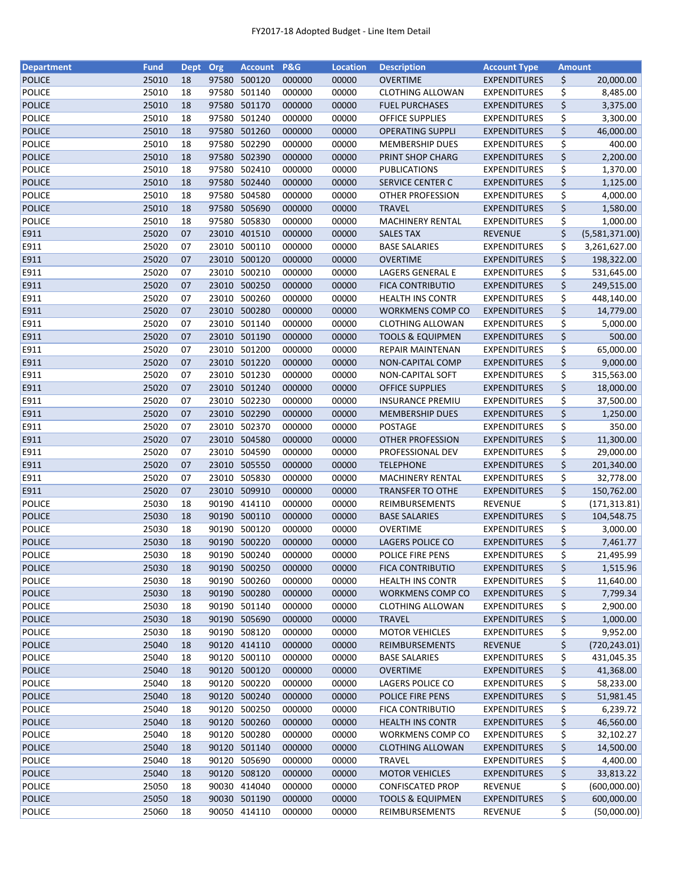| <b>Department</b> | <b>Fund</b> | <b>Dept</b> | Org   | <b>Account</b> | <b>P&amp;G</b> | <b>Location</b> | <b>Description</b>          | <b>Account Type</b> | <b>Amount</b> |                |
|-------------------|-------------|-------------|-------|----------------|----------------|-----------------|-----------------------------|---------------------|---------------|----------------|
| <b>POLICE</b>     | 25010       | 18          | 97580 | 500120         | 000000         | 00000           | <b>OVERTIME</b>             | <b>EXPENDITURES</b> | \$            | 20,000.00      |
| <b>POLICE</b>     | 25010       | 18          | 97580 | 501140         | 000000         | 00000           | <b>CLOTHING ALLOWAN</b>     | <b>EXPENDITURES</b> | \$            | 8,485.00       |
| <b>POLICE</b>     | 25010       | 18          | 97580 | 501170         | 000000         | 00000           | <b>FUEL PURCHASES</b>       | <b>EXPENDITURES</b> | \$            | 3,375.00       |
| <b>POLICE</b>     | 25010       | 18          | 97580 | 501240         | 000000         | 00000           | <b>OFFICE SUPPLIES</b>      | <b>EXPENDITURES</b> | \$            | 3,300.00       |
| <b>POLICE</b>     | 25010       | 18          |       | 97580 501260   | 000000         | 00000           | <b>OPERATING SUPPLI</b>     | <b>EXPENDITURES</b> | \$            | 46,000.00      |
| <b>POLICE</b>     | 25010       | 18          |       | 97580 502290   | 000000         | 00000           | <b>MEMBERSHIP DUES</b>      | <b>EXPENDITURES</b> | \$            | 400.00         |
| <b>POLICE</b>     | 25010       | 18          |       | 97580 502390   | 000000         | 00000           | PRINT SHOP CHARG            | <b>EXPENDITURES</b> | \$            | 2,200.00       |
| <b>POLICE</b>     | 25010       | 18          |       | 97580 502410   | 000000         | 00000           | PUBLICATIONS                | <b>EXPENDITURES</b> | \$            | 1,370.00       |
| <b>POLICE</b>     | 25010       | 18          |       | 97580 502440   | 000000         | 00000           | SERVICE CENTER C            | <b>EXPENDITURES</b> | \$            | 1,125.00       |
| <b>POLICE</b>     | 25010       | 18          | 97580 | 504580         | 000000         | 00000           | <b>OTHER PROFESSION</b>     | <b>EXPENDITURES</b> | \$            | 4,000.00       |
| <b>POLICE</b>     | 25010       | 18          |       | 97580 505690   | 000000         | 00000           | <b>TRAVEL</b>               | <b>EXPENDITURES</b> | \$            | 1,580.00       |
| <b>POLICE</b>     | 25010       | 18          | 97580 | 505830         | 000000         | 00000           | <b>MACHINERY RENTAL</b>     | <b>EXPENDITURES</b> | \$            | 1,000.00       |
| E911              | 25020       | 07          |       | 23010 401510   | 000000         | 00000           | <b>SALES TAX</b>            | <b>REVENUE</b>      | \$            | (5,581,371.00) |
| E911              | 25020       | 07          | 23010 | 500110         | 000000         | 00000           | <b>BASE SALARIES</b>        | <b>EXPENDITURES</b> | \$            | 3,261,627.00   |
| E911              | 25020       | 07          | 23010 | 500120         | 000000         | 00000           | <b>OVERTIME</b>             | <b>EXPENDITURES</b> | \$            | 198,322.00     |
| E911              | 25020       | 07          | 23010 | 500210         | 000000         | 00000           | LAGERS GENERAL E            | <b>EXPENDITURES</b> | \$            | 531,645.00     |
| E911              | 25020       | 07          |       | 23010 500250   | 000000         | 00000           | <b>FICA CONTRIBUTIO</b>     | <b>EXPENDITURES</b> | \$            | 249,515.00     |
| E911              | 25020       | 07          |       | 23010 500260   | 000000         | 00000           | <b>HEALTH INS CONTR</b>     | <b>EXPENDITURES</b> | \$            | 448,140.00     |
| E911              | 25020       | 07          |       | 23010 500280   | 000000         | 00000           | WORKMENS COMP CO            | <b>EXPENDITURES</b> | \$            | 14,779.00      |
| E911              | 25020       | 07          |       | 23010 501140   | 000000         | 00000           | <b>CLOTHING ALLOWAN</b>     | <b>EXPENDITURES</b> | \$            | 5,000.00       |
| E911              | 25020       | 07          |       | 23010 501190   | 000000         | 00000           | <b>TOOLS &amp; EQUIPMEN</b> | <b>EXPENDITURES</b> | \$            | 500.00         |
| E911              | 25020       | 07          |       | 23010 501200   | 000000         | 00000           | REPAIR MAINTENAN            | <b>EXPENDITURES</b> | \$            | 65,000.00      |
| E911              | 25020       | 07          |       | 23010 501220   | 000000         | 00000           | NON-CAPITAL COMP            | <b>EXPENDITURES</b> | \$            | 9,000.00       |
| E911              | 25020       | 07          |       | 23010 501230   | 000000         | 00000           | NON-CAPITAL SOFT            | <b>EXPENDITURES</b> | \$            | 315,563.00     |
| E911              | 25020       | 07          |       | 23010 501240   | 000000         | 00000           | <b>OFFICE SUPPLIES</b>      | <b>EXPENDITURES</b> | \$            | 18,000.00      |
| E911              | 25020       | 07          |       | 23010 502230   | 000000         | 00000           | <b>INSURANCE PREMIU</b>     | <b>EXPENDITURES</b> | \$            | 37,500.00      |
| E911              | 25020       | 07          | 23010 | 502290         | 000000         | 00000           | <b>MEMBERSHIP DUES</b>      | <b>EXPENDITURES</b> | \$            | 1,250.00       |
| E911              | 25020       | 07          | 23010 | 502370         | 000000         | 00000           | <b>POSTAGE</b>              | <b>EXPENDITURES</b> | \$            | 350.00         |
| E911              | 25020       | 07          |       | 23010 504580   | 000000         | 00000           | <b>OTHER PROFESSION</b>     | <b>EXPENDITURES</b> | \$            | 11,300.00      |
| E911              | 25020       | 07          | 23010 | 504590         | 000000         | 00000           | PROFESSIONAL DEV            | <b>EXPENDITURES</b> | \$            | 29,000.00      |
| E911              | 25020       | 07          |       | 23010 505550   | 000000         | 00000           | <b>TELEPHONE</b>            | <b>EXPENDITURES</b> | \$            | 201,340.00     |
| E911              | 25020       | 07          |       | 23010 505830   | 000000         | 00000           | <b>MACHINERY RENTAL</b>     | <b>EXPENDITURES</b> | \$            | 32,778.00      |
| E911              | 25020       | 07          |       | 23010 509910   | 000000         | 00000           | <b>TRANSFER TO OTHE</b>     | <b>EXPENDITURES</b> | \$            | 150,762.00     |
| <b>POLICE</b>     | 25030       | 18          |       | 90190 414110   | 000000         | 00000           | REIMBURSEMENTS              | <b>REVENUE</b>      | \$            | (171, 313.81)  |
| <b>POLICE</b>     | 25030       | 18          |       | 90190 500110   | 000000         | 00000           | <b>BASE SALARIES</b>        | <b>EXPENDITURES</b> | \$            | 104,548.75     |
|                   | 25030       | 18          |       | 90190 500120   |                |                 |                             |                     |               |                |
| <b>POLICE</b>     |             |             |       | 90190 500220   | 000000         | 00000           | OVERTIME                    | <b>EXPENDITURES</b> | \$            | 3,000.00       |
| <b>POLICE</b>     | 25030       | 18<br>18    |       |                | 000000         | 00000           | LAGERS POLICE CO            | <b>EXPENDITURES</b> | \$            | 7,461.77       |
| <b>POLICE</b>     | 25030       |             |       | 90190 500240   | 000000         | 00000           | POLICE FIRE PENS            | <b>EXPENDITURES</b> | \$            | 21,495.99      |
| <b>POLICE</b>     | 25030       | 18          |       | 90190 500250   | 000000         | 00000           | <b>FICA CONTRIBUTIO</b>     | <b>EXPENDITURES</b> | \$            | 1,515.96       |
| POLICE            | 25030       | 18          |       | 90190 500260   | 000000         | 00000           | <b>HEALTH INS CONTR</b>     | <b>EXPENDITURES</b> | \$            | 11,640.00      |
| <b>POLICE</b>     | 25030       | 18          |       | 90190 500280   | 000000         | 00000           | <b>WORKMENS COMP CO</b>     | <b>EXPENDITURES</b> | \$            | 7,799.34       |
| POLICE            | 25030       | 18          |       | 90190 501140   | 000000         | 00000           | <b>CLOTHING ALLOWAN</b>     | <b>EXPENDITURES</b> | \$            | 2,900.00       |
| <b>POLICE</b>     | 25030       | 18          |       | 90190 505690   | 000000         | 00000           | <b>TRAVEL</b>               | <b>EXPENDITURES</b> | \$            | 1,000.00       |
| POLICE            | 25030       | 18          |       | 90190 508120   | 000000         | 00000           | <b>MOTOR VEHICLES</b>       | <b>EXPENDITURES</b> | \$            | 9,952.00       |
| <b>POLICE</b>     | 25040       | 18          |       | 90120 414110   | 000000         | 00000           | REIMBURSEMENTS              | <b>REVENUE</b>      | \$            | (720, 243.01)  |
| <b>POLICE</b>     | 25040       | 18          |       | 90120 500110   | 000000         | 00000           | <b>BASE SALARIES</b>        | <b>EXPENDITURES</b> | \$            | 431,045.35     |
| <b>POLICE</b>     | 25040       | 18          |       | 90120 500120   | 000000         | 00000           | <b>OVERTIME</b>             | <b>EXPENDITURES</b> | \$            | 41,368.00      |
| POLICE            | 25040       | 18          |       | 90120 500220   | 000000         | 00000           | LAGERS POLICE CO            | <b>EXPENDITURES</b> | \$            | 58,233.00      |
| <b>POLICE</b>     | 25040       | 18          |       | 90120 500240   | 000000         | 00000           | POLICE FIRE PENS            | <b>EXPENDITURES</b> | \$            | 51,981.45      |
| POLICE            | 25040       | 18          |       | 90120 500250   | 000000         | 00000           | <b>FICA CONTRIBUTIO</b>     | <b>EXPENDITURES</b> | \$            | 6,239.72       |
| <b>POLICE</b>     | 25040       | 18          |       | 90120 500260   | 000000         | 00000           | <b>HEALTH INS CONTR</b>     | <b>EXPENDITURES</b> | \$            | 46,560.00      |
| POLICE            | 25040       | 18          | 90120 | 500280         | 000000         | 00000           | WORKMENS COMP CO            | <b>EXPENDITURES</b> | \$            | 32,102.27      |
| <b>POLICE</b>     | 25040       | 18          |       | 90120 501140   | 000000         | 00000           | <b>CLOTHING ALLOWAN</b>     | <b>EXPENDITURES</b> | \$            | 14,500.00      |
| POLICE            | 25040       | 18          |       | 90120 505690   | 000000         | 00000           | <b>TRAVEL</b>               | <b>EXPENDITURES</b> | \$            | 4,400.00       |
| <b>POLICE</b>     | 25040       | 18          |       | 90120 508120   | 000000         | 00000           | <b>MOTOR VEHICLES</b>       | <b>EXPENDITURES</b> | \$            | 33,813.22      |
| POLICE            | 25050       | 18          |       | 90030 414040   | 000000         | 00000           | <b>CONFISCATED PROP</b>     | <b>REVENUE</b>      | \$            | (600,000.00)   |
| <b>POLICE</b>     | 25050       | 18          |       | 90030 501190   | 000000         | 00000           | <b>TOOLS &amp; EQUIPMEN</b> | <b>EXPENDITURES</b> | \$            | 600,000.00     |
| POLICE            | 25060       | 18          |       | 90050 414110   | 000000         | 00000           | REIMBURSEMENTS              | <b>REVENUE</b>      | \$            | (50,000.00)    |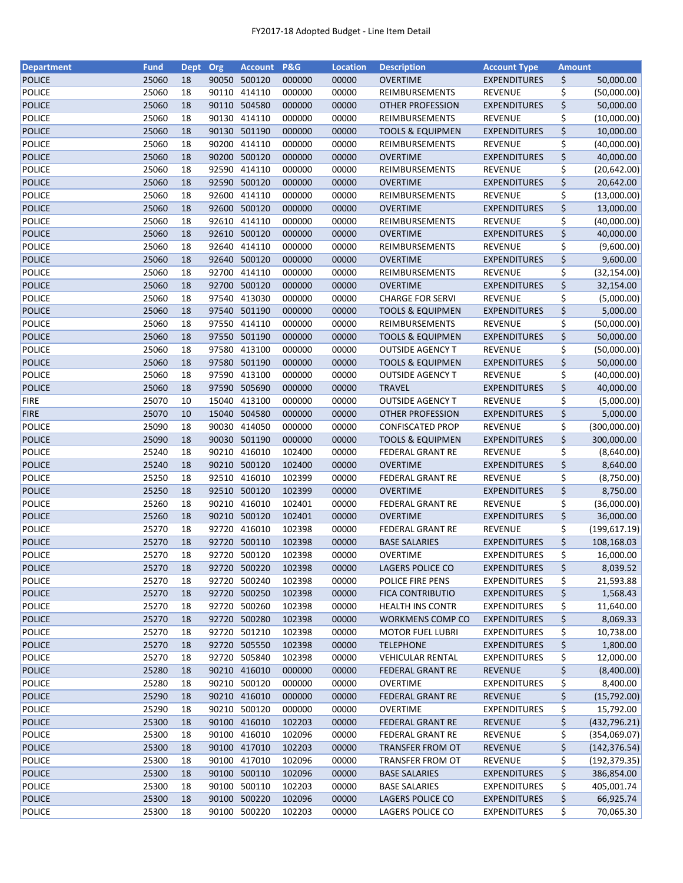| <b>Department</b>              | <b>Fund</b>    | Dept     | Org            | <b>Account P&amp;G</b> |                  | <b>Location</b> | <b>Description</b>                         | <b>Account Type</b>                   | <b>Amount</b> |                            |
|--------------------------------|----------------|----------|----------------|------------------------|------------------|-----------------|--------------------------------------------|---------------------------------------|---------------|----------------------------|
| <b>POLICE</b>                  | 25060          | 18       | 90050          | 500120                 | 000000           | 00000           | <b>OVERTIME</b>                            | <b>EXPENDITURES</b>                   | \$            | 50,000.00                  |
| <b>POLICE</b>                  | 25060          | 18       | 90110          | 414110                 | 000000           | 00000           | REIMBURSEMENTS                             | <b>REVENUE</b>                        | \$            | (50,000.00)                |
| POLICE                         | 25060          | 18       | 90110          | 504580                 | 000000           | 00000           | <b>OTHER PROFESSION</b>                    | <b>EXPENDITURES</b>                   | \$            | 50,000.00                  |
| <b>POLICE</b>                  | 25060          | 18       | 90130          | 414110                 | 000000           | 00000           | REIMBURSEMENTS                             | <b>REVENUE</b>                        | \$            | (10,000.00)                |
| POLICE                         | 25060          | 18       | 90130          | 501190                 | 000000           | 00000           | <b>TOOLS &amp; EQUIPMEN</b>                | <b>EXPENDITURES</b>                   | \$            | 10,000.00                  |
| <b>POLICE</b>                  | 25060          | 18       | 90200          | 414110                 | 000000           | 00000           | REIMBURSEMENTS                             | <b>REVENUE</b>                        | \$            | (40,000.00)                |
| POLICE                         | 25060          | 18       | 90200          | 500120                 | 000000           | 00000           | OVERTIME                                   | <b>EXPENDITURES</b>                   | \$            | 40,000.00                  |
| <b>POLICE</b>                  | 25060          | 18       | 92590          | 414110                 | 000000           | 00000           | REIMBURSEMENTS                             | REVENUE                               | \$            | (20, 642.00)               |
| POLICE                         | 25060          | 18       | 92590          | 500120                 | 000000           | 00000           | <b>OVERTIME</b>                            | <b>EXPENDITURES</b>                   | \$            | 20,642.00                  |
| <b>POLICE</b>                  | 25060          | 18       | 92600          | 414110                 | 000000           | 00000           | REIMBURSEMENTS                             | <b>REVENUE</b>                        | \$            | (13,000.00)                |
| <b>POLICE</b>                  | 25060          | 18       |                | 92600 500120           | 000000           | 00000           | <b>OVERTIME</b>                            | <b>EXPENDITURES</b>                   | \$            | 13,000.00                  |
| <b>POLICE</b>                  | 25060          | 18       | 92610          | 414110                 | 000000           | 00000           | REIMBURSEMENTS                             | <b>REVENUE</b>                        | \$            | (40,000.00)                |
| <b>POLICE</b>                  | 25060          | 18       | 92610          | 500120                 | 000000           | 00000           | <b>OVERTIME</b>                            | <b>EXPENDITURES</b>                   | \$            | 40,000.00                  |
| <b>POLICE</b>                  | 25060          | 18       | 92640          | 414110                 | 000000           | 00000           | REIMBURSEMENTS                             | <b>REVENUE</b>                        | \$            | (9,600.00)                 |
| <b>POLICE</b>                  | 25060          | 18       | 92640          | 500120                 | 000000           | 00000           | <b>OVERTIME</b>                            | <b>EXPENDITURES</b>                   | \$            | 9,600.00                   |
| <b>POLICE</b>                  | 25060          | 18       | 92700          | 414110                 | 000000           | 00000           | REIMBURSEMENTS                             | <b>REVENUE</b>                        | \$            | (32, 154.00)               |
| <b>POLICE</b>                  | 25060          | 18       |                | 92700 500120           | 000000           | 00000           | <b>OVERTIME</b>                            | <b>EXPENDITURES</b>                   | \$            | 32,154.00                  |
| <b>POLICE</b>                  | 25060          | 18       | 97540          | 413030                 | 000000           | 00000           | <b>CHARGE FOR SERVI</b>                    | <b>REVENUE</b>                        | \$            | (5,000.00)                 |
| <b>POLICE</b>                  | 25060          | 18       | 97540          | 501190                 | 000000           | 00000           | <b>TOOLS &amp; EQUIPMEN</b>                | <b>EXPENDITURES</b>                   | \$            | 5,000.00                   |
| <b>POLICE</b>                  | 25060          | 18       | 97550          | 414110                 | 000000           | 00000           | REIMBURSEMENTS                             | REVENUE                               | \$            | (50,000.00)                |
| <b>POLICE</b>                  | 25060          | 18       |                | 97550 501190           | 000000           | 00000           | <b>TOOLS &amp; EQUIPMEN</b>                | <b>EXPENDITURES</b>                   | \$            | 50,000.00                  |
| <b>POLICE</b>                  | 25060          | 18       |                | 97580 413100           | 000000           | 00000           | <b>OUTSIDE AGENCY T</b>                    | <b>REVENUE</b>                        | \$            | (50,000.00)                |
| <b>POLICE</b>                  | 25060          | 18       |                | 97580 501190           | 000000           | 00000           | <b>TOOLS &amp; EQUIPMEN</b>                | <b>EXPENDITURES</b>                   | \$            | 50,000.00                  |
| <b>POLICE</b>                  | 25060          | 18       | 97590          | 413100                 | 000000           | 00000           | <b>OUTSIDE AGENCY T</b>                    | <b>REVENUE</b>                        | \$            | (40,000.00)                |
| <b>POLICE</b>                  | 25060          | 18       | 97590          | 505690                 | 000000           | 00000           | <b>TRAVEL</b>                              | <b>EXPENDITURES</b>                   | \$            | 40,000.00                  |
| <b>FIRE</b>                    | 25070          | 10       | 15040          | 413100                 | 000000           | 00000           | <b>OUTSIDE AGENCY T</b>                    | REVENUE                               | \$            | (5,000.00)                 |
| <b>FIRE</b>                    | 25070          | 10       | 15040          | 504580                 | 000000           | 00000           | <b>OTHER PROFESSION</b>                    | <b>EXPENDITURES</b>                   | \$            | 5,000.00                   |
| <b>POLICE</b>                  | 25090          | 18       | 90030          | 414050                 | 000000           | 00000           | <b>CONFISCATED PROP</b>                    | <b>REVENUE</b>                        | \$            |                            |
| <b>POLICE</b>                  | 25090          | 18       | 90030          | 501190                 | 000000           | 00000           | <b>TOOLS &amp; EQUIPMEN</b>                | <b>EXPENDITURES</b>                   | \$            | (300,000.00)<br>300,000.00 |
| <b>POLICE</b>                  | 25240          | 18       | 90210          | 416010                 | 102400           | 00000           | <b>FEDERAL GRANT RE</b>                    | <b>REVENUE</b>                        |               |                            |
| <b>POLICE</b>                  | 25240          | 18       | 90210          | 500120                 | 102400           | 00000           | <b>OVERTIME</b>                            | <b>EXPENDITURES</b>                   | \$<br>\$      | (8,640.00)<br>8,640.00     |
|                                | 25250          |          | 92510          | 416010                 |                  | 00000           |                                            |                                       |               |                            |
| <b>POLICE</b>                  |                | 18       |                |                        | 102399           |                 | <b>FEDERAL GRANT RE</b>                    | REVENUE                               | \$<br>\$      | (8,750.00)                 |
| <b>POLICE</b><br><b>POLICE</b> | 25250<br>25260 | 18<br>18 | 92510<br>90210 | 500120<br>416010       | 102399<br>102401 | 00000<br>00000  | <b>OVERTIME</b><br><b>FEDERAL GRANT RE</b> | <b>EXPENDITURES</b><br><b>REVENUE</b> | \$            | 8,750.00                   |
|                                | 25260          |          |                | 90210 500120           |                  |                 | <b>OVERTIME</b>                            |                                       |               | (36,000.00)                |
| <b>POLICE</b>                  |                | 18       |                |                        | 102401           | 00000           |                                            | <b>EXPENDITURES</b>                   | \$            | 36,000.00                  |
| <b>POLICE</b>                  | 25270          | 18       |                | 92720 416010           | 102398           | 00000           | <b>FEDERAL GRANT RE</b>                    | <b>REVENUE</b>                        | \$            | (199, 617.19)              |
| <b>POLICE</b>                  | 25270          | 18       | 92720          | 500110                 | 102398           | 00000           | <b>BASE SALARIES</b>                       | <b>EXPENDITURES</b>                   | \$            | 108,168.03                 |
| <b>POLICE</b>                  | 25270          | 18       |                | 92720 500120           | 102398           | 00000           | <b>OVERTIME</b>                            | <b>EXPENDITURES</b>                   | \$            | 16,000.00                  |
| <b>POLICE</b>                  | 25270          | 18       |                | 92720 500220           | 102398           | 00000           | LAGERS POLICE CO                           | <b>EXPENDITURES</b>                   | \$            | 8,039.52                   |
| POLICE                         | 25270          | 18       | 92720          | 500240                 | 102398           | 00000           | POLICE FIRE PENS                           | <b>EXPENDITURES</b>                   | \$            | 21,593.88                  |
| <b>POLICE</b>                  | 25270          | 18       |                | 92720 500250           | 102398           | 00000           | <b>FICA CONTRIBUTIO</b>                    | <b>EXPENDITURES</b>                   | \$            | 1,568.43                   |
| <b>POLICE</b>                  | 25270          | 18       |                | 92720 500260           | 102398           | 00000           | <b>HEALTH INS CONTR</b>                    | <b>EXPENDITURES</b>                   | \$            | 11,640.00                  |
| <b>POLICE</b>                  | 25270          | 18       |                | 92720 500280           | 102398           | 00000           | WORKMENS COMP CO                           | <b>EXPENDITURES</b>                   | \$            | 8,069.33                   |
| <b>POLICE</b>                  | 25270          | 18       |                | 92720 501210           | 102398           | 00000           | <b>MOTOR FUEL LUBRI</b>                    | <b>EXPENDITURES</b>                   | \$            | 10,738.00                  |
| <b>POLICE</b>                  | 25270          | 18       |                | 92720 505550           | 102398           | 00000           | <b>TELEPHONE</b>                           | <b>EXPENDITURES</b>                   | \$            | 1,800.00                   |
| POLICE                         | 25270          | 18       |                | 92720 505840           | 102398           | 00000           | <b>VEHICULAR RENTAL</b>                    | <b>EXPENDITURES</b>                   | \$            | 12,000.00                  |
| <b>POLICE</b>                  | 25280          | 18       |                | 90210 416010           | 000000           | 00000           | FEDERAL GRANT RE                           | <b>REVENUE</b>                        | \$            | (8,400.00)                 |
| POLICE                         | 25280          | 18       |                | 90210 500120           | 000000           | 00000           | <b>OVERTIME</b>                            | <b>EXPENDITURES</b>                   | \$            | 8,400.00                   |
| POLICE                         | 25290          | 18       |                | 90210 416010           | 000000           | 00000           | <b>FEDERAL GRANT RE</b>                    | <b>REVENUE</b>                        | \$            | (15,792.00)                |
| <b>POLICE</b>                  | 25290          | 18       |                | 90210 500120           | 000000           | 00000           | <b>OVERTIME</b>                            | <b>EXPENDITURES</b>                   | \$            | 15,792.00                  |
| <b>POLICE</b>                  | 25300          | 18       |                | 90100 416010           | 102203           | 00000           | <b>FEDERAL GRANT RE</b>                    | <b>REVENUE</b>                        | \$            | (432, 796.21)              |
| <b>POLICE</b>                  | 25300          | 18       | 90100          | 416010                 | 102096           | 00000           | FEDERAL GRANT RE                           | <b>REVENUE</b>                        | \$            | (354,069.07)               |
| <b>POLICE</b>                  | 25300          | 18       |                | 90100 417010           | 102203           | 00000           | TRANSFER FROM OT                           | <b>REVENUE</b>                        | \$            | (142, 376.54)              |
| <b>POLICE</b>                  | 25300          | 18       |                | 90100 417010           | 102096           | 00000           | TRANSFER FROM OT                           | REVENUE                               | \$            | (192, 379.35)              |
| <b>POLICE</b>                  | 25300          | 18       |                | 90100 500110           | 102096           | 00000           | <b>BASE SALARIES</b>                       | <b>EXPENDITURES</b>                   | \$            | 386,854.00                 |
| <b>POLICE</b>                  | 25300          | 18       |                | 90100 500110           | 102203           | 00000           | <b>BASE SALARIES</b>                       | <b>EXPENDITURES</b>                   | \$            | 405,001.74                 |
| <b>POLICE</b>                  | 25300          | 18       |                | 90100 500220           | 102096           | 00000           | LAGERS POLICE CO                           | <b>EXPENDITURES</b>                   | \$            | 66,925.74                  |
| <b>POLICE</b>                  | 25300          | 18       |                | 90100 500220           | 102203           | 00000           | LAGERS POLICE CO                           | <b>EXPENDITURES</b>                   | \$            | 70,065.30                  |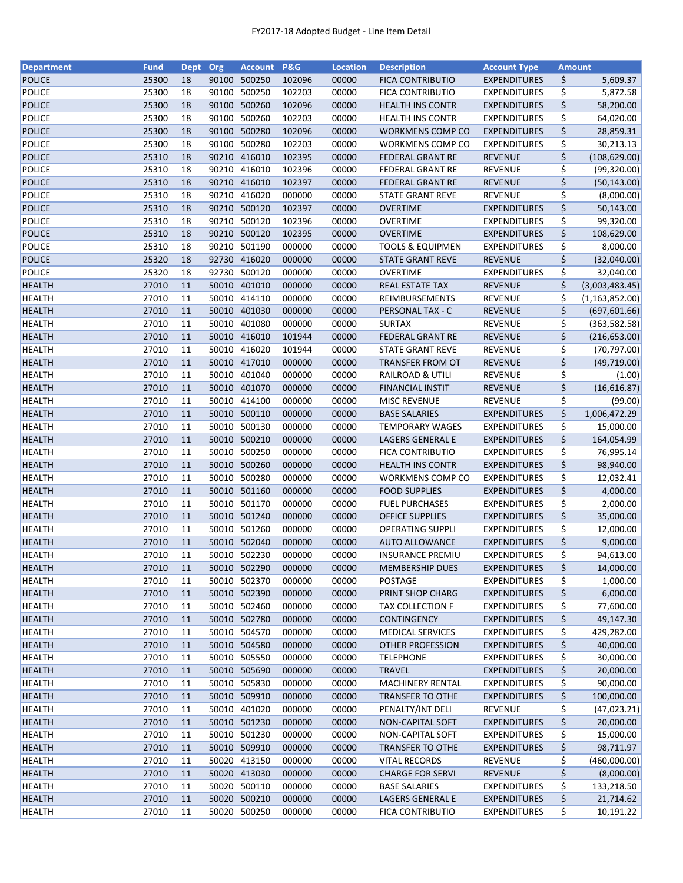| <b>Department</b> | <b>Fund</b>    | <b>Dept</b> | Org   | <b>Account</b>         | <b>P&amp;G</b>   | <b>Location</b> | <b>Description</b>                                 | <b>Account Type</b>                        | <b>Amount</b> |                  |
|-------------------|----------------|-------------|-------|------------------------|------------------|-----------------|----------------------------------------------------|--------------------------------------------|---------------|------------------|
| <b>POLICE</b>     | 25300          | 18          | 90100 | 500250                 | 102096           | 00000           | <b>FICA CONTRIBUTIO</b>                            | <b>EXPENDITURES</b>                        | \$            | 5,609.37         |
| <b>POLICE</b>     | 25300          | 18          | 90100 | 500250                 | 102203           | 00000           | <b>FICA CONTRIBUTIO</b>                            | <b>EXPENDITURES</b>                        | \$            | 5,872.58         |
| POLICE            | 25300          | 18          | 90100 | 500260                 | 102096           | 00000           | <b>HEALTH INS CONTR</b>                            | <b>EXPENDITURES</b>                        | \$            | 58,200.00        |
| <b>POLICE</b>     | 25300          | 18          | 90100 | 500260                 | 102203           | 00000           | <b>HEALTH INS CONTR</b>                            | <b>EXPENDITURES</b>                        | \$            | 64,020.00        |
| POLICE            | 25300          | 18          |       | 90100 500280           | 102096           | 00000           | WORKMENS COMP CO                                   | <b>EXPENDITURES</b>                        | \$            | 28,859.31        |
| <b>POLICE</b>     | 25300          | 18          | 90100 | 500280                 | 102203           | 00000           | WORKMENS COMP CO                                   | <b>EXPENDITURES</b>                        | \$            | 30,213.13        |
| POLICE            | 25310          | 18          | 90210 | 416010                 | 102395           | 00000           | <b>FEDERAL GRANT RE</b>                            | <b>REVENUE</b>                             | \$            | (108, 629.00)    |
| <b>POLICE</b>     | 25310          | 18          | 90210 | 416010                 | 102396           | 00000           | FEDERAL GRANT RE                                   | <b>REVENUE</b>                             | \$            | (99, 320.00)     |
| POLICE            | 25310          | 18          |       | 90210 416010           | 102397           | 00000           | <b>FEDERAL GRANT RE</b>                            | <b>REVENUE</b>                             | \$            | (50, 143.00)     |
| <b>POLICE</b>     | 25310          | 18          | 90210 | 416020                 | 000000           | 00000           | <b>STATE GRANT REVE</b>                            | <b>REVENUE</b>                             | \$            | (8,000.00)       |
| <b>POLICE</b>     | 25310          | 18          |       | 90210 500120           | 102397           | 00000           | <b>OVERTIME</b>                                    | <b>EXPENDITURES</b>                        | \$            | 50,143.00        |
| <b>POLICE</b>     | 25310          | 18          |       | 90210 500120           | 102396           | 00000           | <b>OVERTIME</b>                                    | <b>EXPENDITURES</b>                        | \$            | 99,320.00        |
| <b>POLICE</b>     | 25310          | 18          | 90210 | 500120                 | 102395           | 00000           | <b>OVERTIME</b>                                    | <b>EXPENDITURES</b>                        | \$            | 108,629.00       |
| <b>POLICE</b>     | 25310          | 18          | 90210 | 501190                 | 000000           | 00000           | <b>TOOLS &amp; EQUIPMEN</b>                        | <b>EXPENDITURES</b>                        | \$            | 8,000.00         |
| <b>POLICE</b>     | 25320          | 18          | 92730 | 416020                 | 000000           | 00000           | <b>STATE GRANT REVE</b>                            | <b>REVENUE</b>                             | \$            | (32,040.00)      |
| <b>POLICE</b>     | 25320          | 18          | 92730 | 500120                 | 000000           | 00000           | <b>OVERTIME</b>                                    | <b>EXPENDITURES</b>                        | \$            | 32,040.00        |
| <b>HEALTH</b>     | 27010          | 11          |       | 50010 401010           | 000000           | 00000           | <b>REAL ESTATE TAX</b>                             | <b>REVENUE</b>                             | \$            | (3,003,483.45)   |
| <b>HEALTH</b>     | 27010          | 11          |       | 50010 414110           | 000000           | 00000           | REIMBURSEMENTS                                     | <b>REVENUE</b>                             | \$            | (1, 163, 852.00) |
| <b>HEALTH</b>     | 27010          | 11          |       | 50010 401030           | 000000           | 00000           | PERSONAL TAX - C                                   | <b>REVENUE</b>                             | \$            | (697, 601.66)    |
| <b>HEALTH</b>     | 27010          | 11          | 50010 | 401080                 | 000000           | 00000           | <b>SURTAX</b>                                      | <b>REVENUE</b>                             | \$            | (363, 582.58)    |
| <b>HEALTH</b>     | 27010          | 11          |       | 50010 416010           | 101944           | 00000           | <b>FEDERAL GRANT RE</b>                            | <b>REVENUE</b>                             | \$            | (216, 653.00)    |
| <b>HEALTH</b>     | 27010          | 11          |       | 50010 416020           | 101944           | 00000           | <b>STATE GRANT REVE</b>                            | <b>REVENUE</b>                             | \$            | (70, 797.00)     |
| <b>HEALTH</b>     | 27010          | 11          |       | 50010 417010           | 000000           | 00000           | <b>TRANSFER FROM OT</b>                            | <b>REVENUE</b>                             | \$            | (49, 719.00)     |
| <b>HEALTH</b>     | 27010          | 11          |       | 50010 401040           | 000000           | 00000           | RAILROAD & UTILI                                   | <b>REVENUE</b>                             | \$            | (1.00)           |
| <b>HEALTH</b>     | 27010          | 11          |       | 50010 401070           | 000000           | 00000           | <b>FINANCIAL INSTIT</b>                            | <b>REVENUE</b>                             | \$            | (16, 616.87)     |
| <b>HEALTH</b>     | 27010          | 11          | 50010 | 414100                 | 000000           | 00000           | <b>MISC REVENUE</b>                                | REVENUE                                    | \$            | (99.00)          |
| <b>HEALTH</b>     | 27010          | 11          | 50010 | 500110                 | 000000           | 00000           | <b>BASE SALARIES</b>                               | <b>EXPENDITURES</b>                        | \$            | 1,006,472.29     |
| <b>HEALTH</b>     | 27010          | 11          | 50010 | 500130                 | 000000           | 00000           | <b>TEMPORARY WAGES</b>                             | <b>EXPENDITURES</b>                        |               |                  |
|                   |                |             |       |                        |                  |                 |                                                    |                                            | \$<br>\$      | 15,000.00        |
| <b>HEALTH</b>     | 27010          | 11          | 50010 | 50010 500210           | 000000           | 00000           | LAGERS GENERAL E                                   | <b>EXPENDITURES</b>                        |               | 164,054.99       |
| <b>HEALTH</b>     | 27010<br>27010 | 11<br>11    |       | 500250<br>50010 500260 | 000000<br>000000 | 00000<br>00000  | <b>FICA CONTRIBUTIO</b><br><b>HEALTH INS CONTR</b> | <b>EXPENDITURES</b><br><b>EXPENDITURES</b> | \$            | 76,995.14        |
| <b>HEALTH</b>     |                |             |       |                        |                  |                 |                                                    |                                            | \$            | 98,940.00        |
| <b>HEALTH</b>     | 27010          | 11          |       | 50010 500280           | 000000           | 00000           | WORKMENS COMP CO                                   | <b>EXPENDITURES</b>                        | \$            | 12,032.41        |
| <b>HEALTH</b>     | 27010          | 11          |       | 50010 501160           | 000000           | 00000           | <b>FOOD SUPPLIES</b>                               | <b>EXPENDITURES</b>                        | \$            | 4,000.00         |
| <b>HEALTH</b>     | 27010          | 11          |       | 50010 501170           | 000000           | 00000           | <b>FUEL PURCHASES</b>                              | <b>EXPENDITURES</b>                        | \$            | 2,000.00         |
| <b>HEALTH</b>     | 27010          | 11          |       | 50010 501240           | 000000           | 00000           | <b>OFFICE SUPPLIES</b>                             | <b>EXPENDITURES</b>                        | \$            | 35,000.00        |
| <b>HEALTH</b>     | 27010          | 11          |       | 50010 501260           | 000000           | 00000           | <b>OPERATING SUPPLI</b>                            | <b>EXPENDITURES</b>                        | \$            | 12,000.00        |
| <b>HEALTH</b>     | 27010          | 11          |       | 50010 502040           | 000000           | 00000           | <b>AUTO ALLOWANCE</b>                              | <b>EXPENDITURES</b>                        | \$            | 9,000.00         |
| <b>HEALTH</b>     | 27010          | 11          |       | 50010 502230           | 000000           | 00000           | <b>INSURANCE PREMIU</b>                            | <b>EXPENDITURES</b>                        | \$            | 94,613.00        |
| <b>HEALTH</b>     | 27010          | 11          |       | 50010 502290           | 000000           | 00000           | <b>MEMBERSHIP DUES</b>                             | <b>EXPENDITURES</b>                        | \$            | 14,000.00        |
| <b>HEALTH</b>     | 27010          | 11          | 50010 | 502370                 | 000000           | 00000           | POSTAGE                                            | <b>EXPENDITURES</b>                        | \$            | 1,000.00         |
| <b>HEALTH</b>     | 27010          | 11          |       | 50010 502390           | 000000           | 00000           | PRINT SHOP CHARG                                   | <b>EXPENDITURES</b>                        | \$            | 6,000.00         |
| <b>HEALTH</b>     | 27010          | 11          |       | 50010 502460           | 000000           | 00000           | TAX COLLECTION F                                   | <b>EXPENDITURES</b>                        | \$            | 77,600.00        |
| <b>HEALTH</b>     | 27010          | 11          |       | 50010 502780           | 000000           | 00000           | <b>CONTINGENCY</b>                                 | <b>EXPENDITURES</b>                        | \$            | 49,147.30        |
| <b>HEALTH</b>     | 27010          | 11          |       | 50010 504570           | 000000           | 00000           | <b>MEDICAL SERVICES</b>                            | <b>EXPENDITURES</b>                        | \$            | 429,282.00       |
| <b>HEALTH</b>     | 27010          | 11          |       | 50010 504580           | 000000           | 00000           | OTHER PROFESSION                                   | <b>EXPENDITURES</b>                        | \$            | 40,000.00        |
| <b>HEALTH</b>     | 27010          | 11          |       | 50010 505550           | 000000           | 00000           | <b>TELEPHONE</b>                                   | <b>EXPENDITURES</b>                        | \$            | 30,000.00        |
| <b>HEALTH</b>     | 27010          | 11          |       | 50010 505690           | 000000           | 00000           | <b>TRAVEL</b>                                      | <b>EXPENDITURES</b>                        | \$            | 20,000.00        |
| <b>HEALTH</b>     | 27010          | 11          |       | 50010 505830           | 000000           | 00000           | <b>MACHINERY RENTAL</b>                            | <b>EXPENDITURES</b>                        | \$            | 90,000.00        |
| <b>HEALTH</b>     | 27010          | 11          |       | 50010 509910           | 000000           | 00000           | <b>TRANSFER TO OTHE</b>                            | <b>EXPENDITURES</b>                        | \$            | 100,000.00       |
| <b>HEALTH</b>     | 27010          | 11          |       | 50010 401020           | 000000           | 00000           | PENALTY/INT DELI                                   | REVENUE                                    | \$            | (47, 023.21)     |
| <b>HEALTH</b>     | 27010          | 11          |       | 50010 501230           | 000000           | 00000           | <b>NON-CAPITAL SOFT</b>                            | <b>EXPENDITURES</b>                        | \$            | 20,000.00        |
| <b>HEALTH</b>     | 27010          | 11          | 50010 | 501230                 | 000000           | 00000           | NON-CAPITAL SOFT                                   | <b>EXPENDITURES</b>                        | \$            | 15,000.00        |
| <b>HEALTH</b>     | 27010          | 11          |       | 50010 509910           | 000000           | 00000           | <b>TRANSFER TO OTHE</b>                            | <b>EXPENDITURES</b>                        | \$            | 98,711.97        |
| <b>HEALTH</b>     | 27010          | 11          |       | 50020 413150           | 000000           | 00000           | <b>VITAL RECORDS</b>                               | <b>REVENUE</b>                             | \$            | (460,000.00)     |
| <b>HEALTH</b>     | 27010          | 11          |       | 50020 413030           | 000000           | 00000           | <b>CHARGE FOR SERVI</b>                            | <b>REVENUE</b>                             | \$            | (8,000.00)       |
| <b>HEALTH</b>     | 27010          | 11          |       | 50020 500110           | 000000           | 00000           | <b>BASE SALARIES</b>                               | <b>EXPENDITURES</b>                        | \$            | 133,218.50       |
| <b>HEALTH</b>     | 27010          | 11          |       | 50020 500210           | 000000           | 00000           | LAGERS GENERAL E                                   | <b>EXPENDITURES</b>                        | \$            | 21,714.62        |
| <b>HEALTH</b>     | 27010          | 11          |       | 50020 500250           | 000000           | 00000           | <b>FICA CONTRIBUTIO</b>                            | <b>EXPENDITURES</b>                        | \$            | 10,191.22        |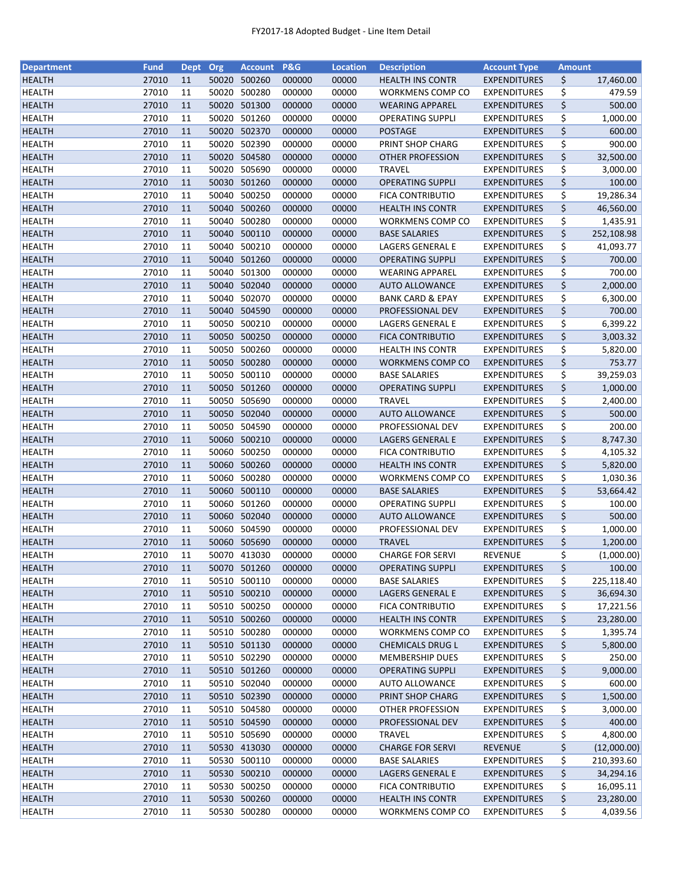| <b>Department</b> | <b>Fund</b>    | <b>Dept</b> | Org   | <b>Account</b>         | <b>P&amp;G</b> | <b>Location</b> | <b>Description</b>                              | <b>Account Type</b> | <b>Amount</b> |                      |
|-------------------|----------------|-------------|-------|------------------------|----------------|-----------------|-------------------------------------------------|---------------------|---------------|----------------------|
| <b>HEALTH</b>     | 27010          | 11          | 50020 | 500260                 | 000000         | 00000           | <b>HEALTH INS CONTR</b>                         | <b>EXPENDITURES</b> | \$            | 17,460.00            |
| <b>HEALTH</b>     | 27010          | 11          | 50020 | 500280                 | 000000         | 00000           | WORKMENS COMP CO                                | <b>EXPENDITURES</b> | \$            | 479.59               |
| <b>HEALTH</b>     | 27010          | 11          |       | 50020 501300           | 000000         | 00000           | <b>WEARING APPAREL</b>                          | <b>EXPENDITURES</b> | \$            | 500.00               |
| <b>HEALTH</b>     | 27010          | 11          | 50020 | 501260                 | 000000         | 00000           | OPERATING SUPPLI                                | <b>EXPENDITURES</b> | \$            | 1,000.00             |
| <b>HEALTH</b>     | 27010          | 11          |       | 50020 502370           | 000000         | 00000           | <b>POSTAGE</b>                                  | <b>EXPENDITURES</b> | \$            | 600.00               |
| <b>HEALTH</b>     | 27010          | 11          |       | 50020 502390           | 000000         | 00000           | PRINT SHOP CHARG                                | <b>EXPENDITURES</b> | \$            | 900.00               |
| <b>HEALTH</b>     | 27010          | 11          |       | 50020 504580           | 000000         | 00000           | OTHER PROFESSION                                | <b>EXPENDITURES</b> | \$            | 32,500.00            |
| <b>HEALTH</b>     | 27010          | 11          | 50020 | 505690                 | 000000         | 00000           | <b>TRAVEL</b>                                   | <b>EXPENDITURES</b> | \$            | 3,000.00             |
| <b>HEALTH</b>     | 27010          | 11          |       | 50030 501260           | 000000         | 00000           | <b>OPERATING SUPPLI</b>                         | <b>EXPENDITURES</b> | \$            | 100.00               |
| <b>HEALTH</b>     | 27010          | 11          | 50040 | 500250                 | 000000         | 00000           | <b>FICA CONTRIBUTIO</b>                         | <b>EXPENDITURES</b> | \$            | 19,286.34            |
| <b>HEALTH</b>     | 27010          | 11          |       | 50040 500260           | 000000         | 00000           | <b>HEALTH INS CONTR</b>                         | <b>EXPENDITURES</b> | \$            | 46,560.00            |
| <b>HEALTH</b>     | 27010          | 11          | 50040 | 500280                 | 000000         | 00000           | WORKMENS COMP CO                                | <b>EXPENDITURES</b> | \$            | 1,435.91             |
| <b>HEALTH</b>     | 27010          | 11          | 50040 | 500110                 | 000000         | 00000           | <b>BASE SALARIES</b>                            | <b>EXPENDITURES</b> | \$            | 252,108.98           |
| <b>HEALTH</b>     | 27010          | 11          | 50040 | 500210                 | 000000         | 00000           | LAGERS GENERAL E                                | <b>EXPENDITURES</b> | \$            | 41,093.77            |
| <b>HEALTH</b>     | 27010          | 11          | 50040 | 501260                 | 000000         | 00000           | <b>OPERATING SUPPLI</b>                         | <b>EXPENDITURES</b> | \$            | 700.00               |
| <b>HEALTH</b>     | 27010          | 11          | 50040 | 501300                 | 000000         | 00000           | <b>WEARING APPAREL</b>                          | <b>EXPENDITURES</b> | \$            | 700.00               |
| <b>HEALTH</b>     | 27010          | 11          |       | 50040 502040           | 000000         | 00000           | <b>AUTO ALLOWANCE</b>                           | <b>EXPENDITURES</b> | \$            | 2,000.00             |
| <b>HEALTH</b>     | 27010          | 11          |       | 50040 502070           | 000000         | 00000           | <b>BANK CARD &amp; EPAY</b>                     | <b>EXPENDITURES</b> | \$            | 6,300.00             |
| <b>HEALTH</b>     | 27010          | 11          |       | 50040 504590           | 000000         | 00000           | PROFESSIONAL DEV                                | <b>EXPENDITURES</b> | \$            | 700.00               |
| <b>HEALTH</b>     | 27010          | 11          | 50050 | 500210                 | 000000         | 00000           | LAGERS GENERAL E                                | <b>EXPENDITURES</b> | \$            | 6,399.22             |
| <b>HEALTH</b>     | 27010          | 11          |       | 50050 500250           | 000000         | 00000           | <b>FICA CONTRIBUTIO</b>                         | <b>EXPENDITURES</b> | \$            | 3,003.32             |
| <b>HEALTH</b>     | 27010          | 11          |       | 50050 500260           | 000000         | 00000           | <b>HEALTH INS CONTR</b>                         | <b>EXPENDITURES</b> | \$            | 5,820.00             |
| <b>HEALTH</b>     | 27010          | 11          |       | 50050 500280           | 000000         | 00000           | WORKMENS COMP CO                                | <b>EXPENDITURES</b> | \$            | 753.77               |
| <b>HEALTH</b>     | 27010          | 11          |       | 50050 500110           | 000000         | 00000           | <b>BASE SALARIES</b>                            | <b>EXPENDITURES</b> | \$            | 39,259.03            |
| <b>HEALTH</b>     | 27010          | 11          |       | 50050 501260           | 000000         | 00000           | <b>OPERATING SUPPLI</b>                         | <b>EXPENDITURES</b> | \$            | 1,000.00             |
| <b>HEALTH</b>     | 27010          | 11          | 50050 | 505690                 | 000000         | 00000           | <b>TRAVEL</b>                                   | <b>EXPENDITURES</b> | \$            | 2,400.00             |
| <b>HEALTH</b>     | 27010          | 11          | 50050 | 502040                 | 000000         | 00000           | <b>AUTO ALLOWANCE</b>                           | <b>EXPENDITURES</b> | \$            | 500.00               |
| <b>HEALTH</b>     | 27010          | 11          | 50050 | 504590                 | 000000         | 00000           | PROFESSIONAL DEV                                | <b>EXPENDITURES</b> | \$            | 200.00               |
| <b>HEALTH</b>     | 27010          | 11          | 50060 | 500210                 | 000000         | 00000           | LAGERS GENERAL E                                | <b>EXPENDITURES</b> | \$            | 8,747.30             |
| <b>HEALTH</b>     | 27010          | 11          | 50060 | 500250                 | 000000         | 00000           | FICA CONTRIBUTIO                                | <b>EXPENDITURES</b> |               |                      |
| <b>HEALTH</b>     | 27010          | 11          |       | 50060 500260           | 000000         | 00000           | <b>HEALTH INS CONTR</b>                         | <b>EXPENDITURES</b> | \$<br>\$      | 4,105.32<br>5,820.00 |
|                   | 27010          |             |       | 50060 500280           |                |                 |                                                 |                     | \$            |                      |
| <b>HEALTH</b>     |                | 11          |       |                        | 000000         | 00000           | WORKMENS COMP CO                                | <b>EXPENDITURES</b> |               | 1,030.36             |
| <b>HEALTH</b>     | 27010<br>27010 | 11<br>11    | 50060 | 50060 500110<br>501260 | 000000         | 00000           | <b>BASE SALARIES</b><br><b>OPERATING SUPPLI</b> | <b>EXPENDITURES</b> | \$            | 53,664.42<br>100.00  |
| <b>HEALTH</b>     |                |             |       |                        | 000000         | 00000           |                                                 | <b>EXPENDITURES</b> | \$            |                      |
| <b>HEALTH</b>     | 27010          | 11          |       | 50060 502040           | 000000         | 00000           | <b>AUTO ALLOWANCE</b>                           | <b>EXPENDITURES</b> | \$            | 500.00               |
| <b>HEALTH</b>     | 27010          | 11          |       | 50060 504590           | 000000         | 00000           | PROFESSIONAL DEV                                | <b>EXPENDITURES</b> | \$            | 1,000.00             |
| <b>HEALTH</b>     | 27010          | 11          |       | 50060 505690           | 000000         | 00000           | <b>TRAVEL</b>                                   | <b>EXPENDITURES</b> | \$            | 1,200.00             |
| <b>HEALTH</b>     | 27010          | 11          |       | 50070 413030           | 000000         | 00000           | <b>CHARGE FOR SERVI</b>                         | <b>REVENUE</b>      | \$            | (1,000.00)           |
| <b>HEALTH</b>     | 27010          | 11          |       | 50070 501260           | 000000         | 00000           | <b>OPERATING SUPPLI</b>                         | <b>EXPENDITURES</b> | \$            | 100.00               |
| <b>HEALTH</b>     | 27010          | 11          | 50510 | 500110                 | 000000         | 00000           | <b>BASE SALARIES</b>                            | <b>EXPENDITURES</b> | \$            | 225,118.40           |
| <b>HEALTH</b>     | 27010          | 11          |       | 50510 500210           | 000000         | 00000           | LAGERS GENERAL E                                | <b>EXPENDITURES</b> | \$            | 36,694.30            |
| <b>HEALTH</b>     | 27010          | 11          |       | 50510 500250           | 000000         | 00000           | <b>FICA CONTRIBUTIO</b>                         | <b>EXPENDITURES</b> | \$            | 17,221.56            |
| <b>HEALTH</b>     | 27010          | 11          |       | 50510 500260           | 000000         | 00000           | <b>HEALTH INS CONTR</b>                         | <b>EXPENDITURES</b> | \$            | 23,280.00            |
| <b>HEALTH</b>     | 27010          | 11          |       | 50510 500280           | 000000         | 00000           | WORKMENS COMP CO                                | <b>EXPENDITURES</b> | \$            | 1,395.74             |
| <b>HEALTH</b>     | 27010          | 11          |       | 50510 501130           | 000000         | 00000           | <b>CHEMICALS DRUG L</b>                         | <b>EXPENDITURES</b> | \$            | 5,800.00             |
| <b>HEALTH</b>     | 27010          | 11          |       | 50510 502290           | 000000         | 00000           | <b>MEMBERSHIP DUES</b>                          | <b>EXPENDITURES</b> | \$            | 250.00               |
| <b>HEALTH</b>     | 27010          | 11          |       | 50510 501260           | 000000         | 00000           | <b>OPERATING SUPPLI</b>                         | <b>EXPENDITURES</b> | \$            | 9,000.00             |
| <b>HEALTH</b>     | 27010          | 11          |       | 50510 502040           | 000000         | 00000           | <b>AUTO ALLOWANCE</b>                           | <b>EXPENDITURES</b> | \$            | 600.00               |
| <b>HEALTH</b>     | 27010          | 11          |       | 50510 502390           | 000000         | 00000           | PRINT SHOP CHARG                                | <b>EXPENDITURES</b> | \$            | 1,500.00             |
| <b>HEALTH</b>     | 27010          | 11          |       | 50510 504580           | 000000         | 00000           | OTHER PROFESSION                                | <b>EXPENDITURES</b> | \$            | 3,000.00             |
| <b>HEALTH</b>     | 27010          | 11          |       | 50510 504590           | 000000         | 00000           | PROFESSIONAL DEV                                | <b>EXPENDITURES</b> | \$            | 400.00               |
| <b>HEALTH</b>     | 27010          | 11          | 50510 | 505690                 | 000000         | 00000           | <b>TRAVEL</b>                                   | <b>EXPENDITURES</b> | \$            | 4,800.00             |
| <b>HEALTH</b>     | 27010          | 11          |       | 50530 413030           | 000000         | 00000           | <b>CHARGE FOR SERVI</b>                         | <b>REVENUE</b>      | \$            | (12,000.00)          |
| <b>HEALTH</b>     | 27010          | 11          |       | 50530 500110           | 000000         | 00000           | <b>BASE SALARIES</b>                            | <b>EXPENDITURES</b> | \$            | 210,393.60           |
| <b>HEALTH</b>     | 27010          | 11          |       | 50530 500210           | 000000         | 00000           | LAGERS GENERAL E                                | <b>EXPENDITURES</b> | \$            | 34,294.16            |
| <b>HEALTH</b>     | 27010          | 11          |       | 50530 500250           | 000000         | 00000           | <b>FICA CONTRIBUTIO</b>                         | <b>EXPENDITURES</b> | \$            | 16,095.11            |
| <b>HEALTH</b>     | 27010          | 11          |       | 50530 500260           | 000000         | 00000           | <b>HEALTH INS CONTR</b>                         | <b>EXPENDITURES</b> | \$            | 23,280.00            |
| <b>HEALTH</b>     | 27010          | 11          |       | 50530 500280           | 000000         | 00000           | WORKMENS COMP CO                                | <b>EXPENDITURES</b> | \$            | 4,039.56             |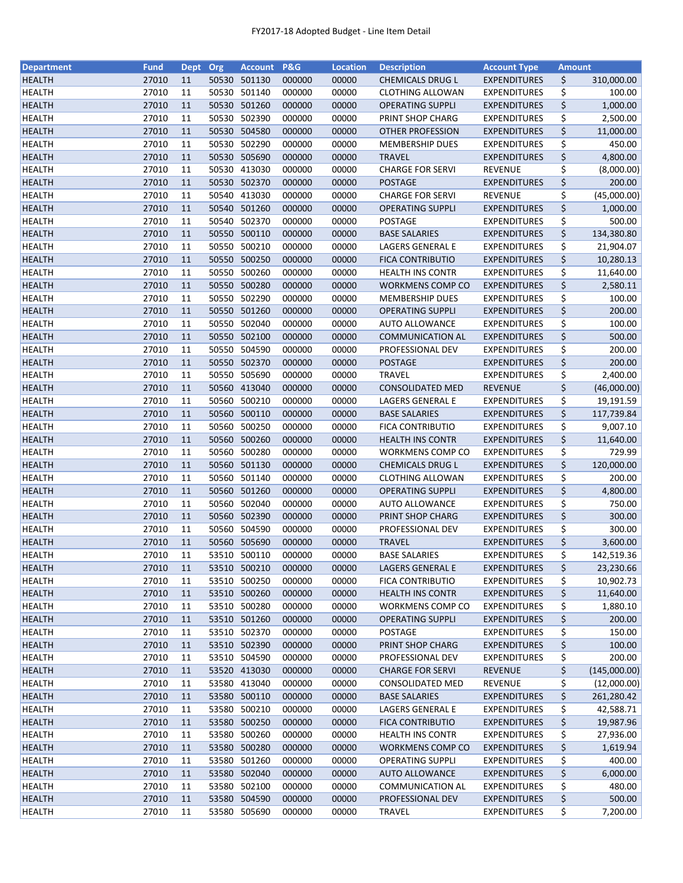| <b>Department</b> | <b>Fund</b> | <b>Dept</b> | Org   | <b>Account</b>               | <b>P&amp;G</b>   | <b>Location</b> | <b>Description</b>                               | <b>Account Type</b>                        | <b>Amount</b> |                    |
|-------------------|-------------|-------------|-------|------------------------------|------------------|-----------------|--------------------------------------------------|--------------------------------------------|---------------|--------------------|
| <b>HEALTH</b>     | 27010       | 11          |       | 50530 501130                 | 000000           | 00000           | <b>CHEMICALS DRUG L</b>                          | <b>EXPENDITURES</b>                        | \$            | 310,000.00         |
| <b>HEALTH</b>     | 27010       | 11          | 50530 | 501140                       | 000000           | 00000           | <b>CLOTHING ALLOWAN</b>                          | <b>EXPENDITURES</b>                        | \$            | 100.00             |
| <b>HEALTH</b>     | 27010       | 11          |       | 50530 501260                 | 000000           | 00000           | <b>OPERATING SUPPLI</b>                          | <b>EXPENDITURES</b>                        | \$            | 1,000.00           |
| <b>HEALTH</b>     | 27010       | 11          | 50530 | 502390                       | 000000           | 00000           | PRINT SHOP CHARG                                 | <b>EXPENDITURES</b>                        | \$            | 2,500.00           |
| <b>HEALTH</b>     | 27010       | 11          |       | 50530 504580                 | 000000           | 00000           | <b>OTHER PROFESSION</b>                          | <b>EXPENDITURES</b>                        | \$            | 11,000.00          |
| <b>HEALTH</b>     | 27010       | 11          |       | 50530 502290                 | 000000           | 00000           | <b>MEMBERSHIP DUES</b>                           | <b>EXPENDITURES</b>                        | \$            | 450.00             |
| <b>HEALTH</b>     | 27010       | 11          |       | 50530 505690                 | 000000           | 00000           | <b>TRAVEL</b>                                    | <b>EXPENDITURES</b>                        | \$            | 4,800.00           |
| <b>HEALTH</b>     | 27010       | 11          |       | 50530 413030                 | 000000           | 00000           | <b>CHARGE FOR SERVI</b>                          | <b>REVENUE</b>                             | \$            | (8,000.00)         |
| <b>HEALTH</b>     | 27010       | 11          |       | 50530 502370                 | 000000           | 00000           | <b>POSTAGE</b>                                   | <b>EXPENDITURES</b>                        | \$            | 200.00             |
| <b>HEALTH</b>     | 27010       | 11          |       | 50540 413030                 | 000000           | 00000           | <b>CHARGE FOR SERVI</b>                          | REVENUE                                    | \$            | (45,000.00)        |
| <b>HEALTH</b>     | 27010       | 11          |       | 50540 501260                 | 000000           | 00000           | <b>OPERATING SUPPLI</b>                          | <b>EXPENDITURES</b>                        | \$            | 1,000.00           |
| <b>HEALTH</b>     | 27010       | 11          |       | 50540 502370                 | 000000           | 00000           | POSTAGE                                          | <b>EXPENDITURES</b>                        | \$            | 500.00             |
| <b>HEALTH</b>     | 27010       | 11          | 50550 | 500110                       | 000000           | 00000           | <b>BASE SALARIES</b>                             | <b>EXPENDITURES</b>                        | \$            | 134,380.80         |
| <b>HEALTH</b>     | 27010       | 11          | 50550 | 500210                       | 000000           | 00000           | LAGERS GENERAL E                                 | <b>EXPENDITURES</b>                        | \$            | 21,904.07          |
| <b>HEALTH</b>     | 27010       | 11          | 50550 | 500250                       | 000000           | 00000           | <b>FICA CONTRIBUTIO</b>                          | <b>EXPENDITURES</b>                        | \$            | 10,280.13          |
| <b>HEALTH</b>     | 27010       | 11          | 50550 | 500260                       | 000000           | 00000           | <b>HEALTH INS CONTR</b>                          | <b>EXPENDITURES</b>                        | \$            | 11,640.00          |
| <b>HEALTH</b>     | 27010       | 11          |       | 50550 500280                 | 000000           | 00000           | WORKMENS COMP CO                                 | <b>EXPENDITURES</b>                        | \$            | 2,580.11           |
| <b>HEALTH</b>     | 27010       | 11          |       | 50550 502290                 | 000000           | 00000           | <b>MEMBERSHIP DUES</b>                           | <b>EXPENDITURES</b>                        | \$            | 100.00             |
| <b>HEALTH</b>     | 27010       | 11          |       | 50550 501260                 | 000000           | 00000           | <b>OPERATING SUPPLI</b>                          | <b>EXPENDITURES</b>                        | \$            | 200.00             |
| <b>HEALTH</b>     | 27010       | 11          |       | 50550 502040                 | 000000           | 00000           | <b>AUTO ALLOWANCE</b>                            | <b>EXPENDITURES</b>                        | \$            | 100.00             |
| <b>HEALTH</b>     | 27010       | 11          |       | 50550 502100                 | 000000           | 00000           | <b>COMMUNICATION AL</b>                          | <b>EXPENDITURES</b>                        | \$            | 500.00             |
| <b>HEALTH</b>     | 27010       | 11          |       | 50550 504590                 | 000000           | 00000           | PROFESSIONAL DEV                                 | <b>EXPENDITURES</b>                        | \$            | 200.00             |
| <b>HEALTH</b>     | 27010       | 11          |       | 50550 502370                 | 000000           | 00000           | <b>POSTAGE</b>                                   | <b>EXPENDITURES</b>                        | \$            | 200.00             |
| <b>HEALTH</b>     | 27010       | 11          |       | 50550 505690                 | 000000           | 00000           | <b>TRAVEL</b>                                    | <b>EXPENDITURES</b>                        | \$            | 2,400.00           |
| <b>HEALTH</b>     | 27010       | 11          |       | 50560 413040                 | 000000           | 00000           | <b>CONSOLIDATED MED</b>                          | <b>REVENUE</b>                             | \$            | (46,000.00)        |
| <b>HEALTH</b>     | 27010       | 11          | 50560 | 500210                       | 000000           | 00000           | LAGERS GENERAL E                                 | <b>EXPENDITURES</b>                        | \$            | 19,191.59          |
| <b>HEALTH</b>     | 27010       | 11          | 50560 | 500110                       | 000000           | 00000           | <b>BASE SALARIES</b>                             | <b>EXPENDITURES</b>                        | \$            | 117,739.84         |
| <b>HEALTH</b>     | 27010       | 11          | 50560 | 500250                       | 000000           | 00000           | <b>FICA CONTRIBUTIO</b>                          | <b>EXPENDITURES</b>                        | \$            | 9,007.10           |
| <b>HEALTH</b>     | 27010       | 11          | 50560 | 500260                       | 000000           | 00000           | <b>HEALTH INS CONTR</b>                          | <b>EXPENDITURES</b>                        | \$            | 11,640.00          |
| <b>HEALTH</b>     | 27010       | 11          | 50560 | 500280                       | 000000           | 00000           | WORKMENS COMP CO                                 | <b>EXPENDITURES</b>                        | \$            | 729.99             |
| <b>HEALTH</b>     | 27010       | 11          |       | 50560 501130                 | 000000           | 00000           | <b>CHEMICALS DRUG L</b>                          | <b>EXPENDITURES</b>                        | \$            | 120,000.00         |
|                   | 27010       |             |       | 50560 501140                 |                  |                 |                                                  |                                            | \$            |                    |
| <b>HEALTH</b>     | 27010       | 11<br>11    |       | 50560 501260                 | 000000<br>000000 | 00000<br>00000  | <b>CLOTHING ALLOWAN</b>                          | <b>EXPENDITURES</b>                        | \$            | 200.00<br>4,800.00 |
| <b>HEALTH</b>     | 27010       | 11          |       | 50560 502040                 |                  |                 | <b>OPERATING SUPPLI</b><br><b>AUTO ALLOWANCE</b> | <b>EXPENDITURES</b><br><b>EXPENDITURES</b> | \$            | 750.00             |
| <b>HEALTH</b>     |             |             |       |                              | 000000           | 00000           |                                                  |                                            |               |                    |
| <b>HEALTH</b>     | 27010       | 11          |       | 50560 502390<br>50560 504590 | 000000           | 00000           | PRINT SHOP CHARG                                 | <b>EXPENDITURES</b>                        | \$            | 300.00             |
| <b>HEALTH</b>     | 27010       | 11          |       |                              | 000000           | 00000           | PROFESSIONAL DEV                                 | EXPENDITURES                               | \$            | 300.00             |
| <b>HEALTH</b>     | 27010       | 11          |       | 50560 505690                 | 000000           | 00000           | <b>TRAVEL</b>                                    | <b>EXPENDITURES</b>                        | \$            | 3,600.00           |
| <b>HEALTH</b>     | 27010       | 11          |       | 53510 500110                 | 000000           | 00000           | <b>BASE SALARIES</b>                             | <b>EXPENDITURES</b>                        | \$            | 142,519.36         |
| <b>HEALTH</b>     | 27010       | 11          |       | 53510 500210                 | 000000           | 00000           | LAGERS GENERAL E                                 | <b>EXPENDITURES</b>                        | \$            | 23,230.66          |
| <b>HEALTH</b>     | 27010       | 11          | 53510 | 500250                       | 000000           | 00000           | <b>FICA CONTRIBUTIO</b>                          | <b>EXPENDITURES</b>                        | \$            | 10,902.73          |
| <b>HEALTH</b>     | 27010       | 11          |       | 53510 500260                 | 000000           | 00000           | <b>HEALTH INS CONTR</b>                          | <b>EXPENDITURES</b>                        | \$            | 11,640.00          |
| <b>HEALTH</b>     | 27010       | 11          |       | 53510 500280                 | 000000           | 00000           | WORKMENS COMP CO                                 | <b>EXPENDITURES</b>                        | \$            | 1,880.10           |
| <b>HEALTH</b>     | 27010       | 11          |       | 53510 501260                 | 000000           | 00000           | <b>OPERATING SUPPLI</b>                          | <b>EXPENDITURES</b>                        | \$            | 200.00             |
| <b>HEALTH</b>     | 27010       | 11          |       | 53510 502370                 | 000000           | 00000           | POSTAGE                                          | <b>EXPENDITURES</b>                        | \$            | 150.00             |
| <b>HEALTH</b>     | 27010       | 11          |       | 53510 502390                 | 000000           | 00000           | PRINT SHOP CHARG                                 | <b>EXPENDITURES</b>                        | \$            | 100.00             |
| <b>HEALTH</b>     | 27010       | 11          |       | 53510 504590                 | 000000           | 00000           | PROFESSIONAL DEV                                 | <b>EXPENDITURES</b>                        | \$            | 200.00             |
| <b>HEALTH</b>     | 27010       | 11          |       | 53520 413030                 | 000000           | 00000           | <b>CHARGE FOR SERVI</b>                          | REVENUE                                    | \$            | (145,000.00)       |
| HEALTH            | 27010       | 11          |       | 53580 413040                 | 000000           | 00000           | <b>CONSOLIDATED MED</b>                          | REVENUE                                    | \$            | (12,000.00)        |
| <b>HEALTH</b>     | 27010       | 11          |       | 53580 500110                 | 000000           | 00000           | <b>BASE SALARIES</b>                             | <b>EXPENDITURES</b>                        | \$            | 261,280.42         |
| <b>HEALTH</b>     | 27010       | 11          |       | 53580 500210                 | 000000           | 00000           | LAGERS GENERAL E                                 | <b>EXPENDITURES</b>                        | \$            | 42,588.71          |
| <b>HEALTH</b>     | 27010       | 11          |       | 53580 500250                 | 000000           | 00000           | <b>FICA CONTRIBUTIO</b>                          | <b>EXPENDITURES</b>                        | \$            | 19,987.96          |
| HEALTH            | 27010       | 11          | 53580 | 500260                       | 000000           | 00000           | <b>HEALTH INS CONTR</b>                          | <b>EXPENDITURES</b>                        | \$            | 27,936.00          |
| <b>HEALTH</b>     | 27010       | 11          |       | 53580 500280                 | 000000           | 00000           | <b>WORKMENS COMP CO</b>                          | <b>EXPENDITURES</b>                        | \$            | 1,619.94           |
| <b>HEALTH</b>     | 27010       | 11          |       | 53580 501260                 | 000000           | 00000           | OPERATING SUPPLI                                 | <b>EXPENDITURES</b>                        | \$            | 400.00             |
| <b>HEALTH</b>     | 27010       | 11          |       | 53580 502040                 | 000000           | 00000           | <b>AUTO ALLOWANCE</b>                            | <b>EXPENDITURES</b>                        | \$            | 6,000.00           |
| <b>HEALTH</b>     | 27010       | 11          |       | 53580 502100                 | 000000           | 00000           | COMMUNICATION AL                                 | <b>EXPENDITURES</b>                        | \$            | 480.00             |
| <b>HEALTH</b>     | 27010       | 11          |       | 53580 504590                 | 000000           | 00000           | PROFESSIONAL DEV                                 | <b>EXPENDITURES</b>                        | \$            | 500.00             |
| <b>HEALTH</b>     | 27010       | 11          |       | 53580 505690                 | 000000           | 00000           | <b>TRAVEL</b>                                    | <b>EXPENDITURES</b>                        | \$            | 7,200.00           |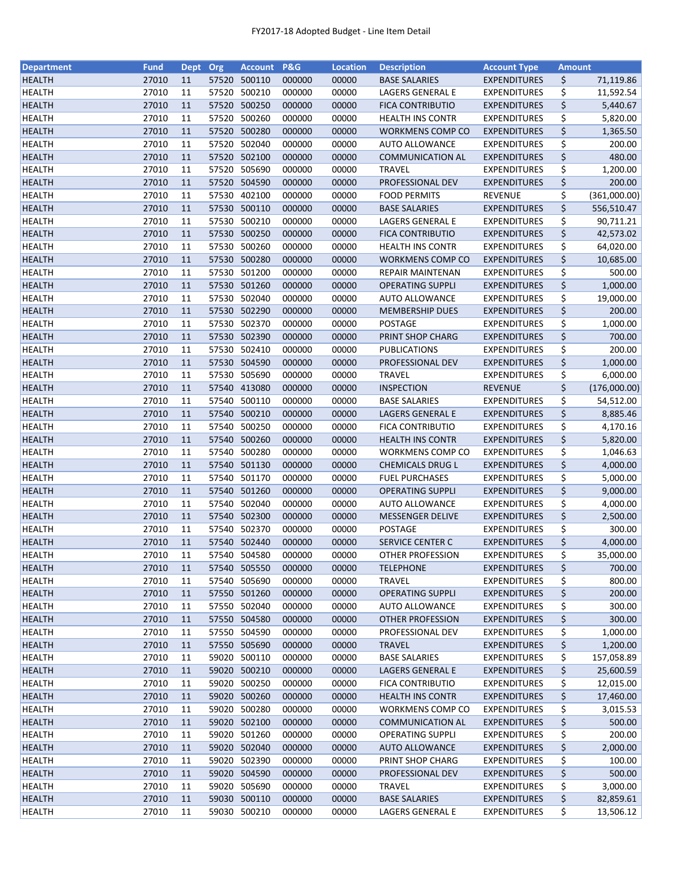| <b>Department</b> | <b>Fund</b> | <b>Dept</b> | Org   | <b>Account</b> | <b>P&amp;G</b> | <b>Location</b> | <b>Description</b>                    | <b>Account Type</b>                        | <b>Amount</b> |              |
|-------------------|-------------|-------------|-------|----------------|----------------|-----------------|---------------------------------------|--------------------------------------------|---------------|--------------|
| <b>HEALTH</b>     | 27010       | 11          |       | 57520 500110   | 000000         | 00000           | <b>BASE SALARIES</b>                  | <b>EXPENDITURES</b>                        | \$            | 71,119.86    |
| <b>HEALTH</b>     | 27010       | 11          | 57520 | 500210         | 000000         | 00000           | LAGERS GENERAL E                      | <b>EXPENDITURES</b>                        | \$            | 11,592.54    |
| <b>HEALTH</b>     | 27010       | 11          | 57520 | 500250         | 000000         | 00000           | <b>FICA CONTRIBUTIO</b>               | <b>EXPENDITURES</b>                        | \$            | 5,440.67     |
| <b>HEALTH</b>     | 27010       | 11          | 57520 | 500260         | 000000         | 00000           | <b>HEALTH INS CONTR</b>               | <b>EXPENDITURES</b>                        | \$            | 5,820.00     |
| <b>HEALTH</b>     | 27010       | 11          |       | 57520 500280   | 000000         | 00000           | WORKMENS COMP CO                      | <b>EXPENDITURES</b>                        | \$            | 1,365.50     |
| <b>HEALTH</b>     | 27010       | 11          |       | 57520 502040   | 000000         | 00000           | <b>AUTO ALLOWANCE</b>                 | <b>EXPENDITURES</b>                        | \$            | 200.00       |
| <b>HEALTH</b>     | 27010       | 11          |       | 57520 502100   | 000000         | 00000           | <b>COMMUNICATION AL</b>               | <b>EXPENDITURES</b>                        | \$            | 480.00       |
| <b>HEALTH</b>     | 27010       | 11          |       | 57520 505690   | 000000         | 00000           | <b>TRAVEL</b>                         | <b>EXPENDITURES</b>                        | \$            | 1,200.00     |
| <b>HEALTH</b>     | 27010       | 11          |       | 57520 504590   | 000000         | 00000           | PROFESSIONAL DEV                      | <b>EXPENDITURES</b>                        | \$            | 200.00       |
| <b>HEALTH</b>     | 27010       | 11          |       | 57530 402100   | 000000         | 00000           | <b>FOOD PERMITS</b>                   | <b>REVENUE</b>                             | \$            | (361,000.00) |
| <b>HEALTH</b>     | 27010       | 11          |       | 57530 500110   | 000000         | 00000           | <b>BASE SALARIES</b>                  | <b>EXPENDITURES</b>                        | \$            | 556,510.47   |
| <b>HEALTH</b>     | 27010       | 11          | 57530 | 500210         | 000000         | 00000           | LAGERS GENERAL E                      | <b>EXPENDITURES</b>                        | \$            | 90,711.21    |
| <b>HEALTH</b>     | 27010       | 11          |       | 57530 500250   | 000000         | 00000           | <b>FICA CONTRIBUTIO</b>               | <b>EXPENDITURES</b>                        | \$            | 42,573.02    |
| <b>HEALTH</b>     | 27010       | 11          | 57530 | 500260         | 000000         | 00000           | <b>HEALTH INS CONTR</b>               | <b>EXPENDITURES</b>                        | \$            | 64,020.00    |
| <b>HEALTH</b>     | 27010       | 11          | 57530 | 500280         | 000000         | 00000           | <b>WORKMENS COMP CO</b>               | <b>EXPENDITURES</b>                        | \$            | 10,685.00    |
| <b>HEALTH</b>     | 27010       | 11          | 57530 | 501200         | 000000         | 00000           | REPAIR MAINTENAN                      | <b>EXPENDITURES</b>                        | \$            | 500.00       |
| <b>HEALTH</b>     | 27010       | 11          |       | 57530 501260   | 000000         | 00000           | <b>OPERATING SUPPLI</b>               | <b>EXPENDITURES</b>                        | \$            | 1,000.00     |
| <b>HEALTH</b>     | 27010       | 11          |       | 57530 502040   | 000000         | 00000           | <b>AUTO ALLOWANCE</b>                 | <b>EXPENDITURES</b>                        | \$            | 19,000.00    |
| <b>HEALTH</b>     | 27010       | 11          |       | 57530 502290   | 000000         | 00000           | <b>MEMBERSHIP DUES</b>                | <b>EXPENDITURES</b>                        | \$            | 200.00       |
| <b>HEALTH</b>     | 27010       | 11          |       | 57530 502370   | 000000         | 00000           | <b>POSTAGE</b>                        | <b>EXPENDITURES</b>                        | \$            | 1,000.00     |
| <b>HEALTH</b>     | 27010       | 11          |       | 57530 502390   | 000000         | 00000           | PRINT SHOP CHARG                      | <b>EXPENDITURES</b>                        | \$            | 700.00       |
| <b>HEALTH</b>     | 27010       | 11          |       | 57530 502410   | 000000         | 00000           | PUBLICATIONS                          | <b>EXPENDITURES</b>                        | \$            | 200.00       |
| <b>HEALTH</b>     | 27010       | 11          |       | 57530 504590   | 000000         | 00000           | PROFESSIONAL DEV                      | <b>EXPENDITURES</b>                        | \$            | 1,000.00     |
| HEALTH            | 27010       | 11          |       | 57530 505690   | 000000         | 00000           | TRAVEL                                | <b>EXPENDITURES</b>                        | \$            | 6,000.00     |
| <b>HEALTH</b>     | 27010       | 11          |       | 57540 413080   | 000000         | 00000           | <b>INSPECTION</b>                     | <b>REVENUE</b>                             | \$            | (176,000.00) |
| <b>HEALTH</b>     | 27010       | 11          |       | 57540 500110   | 000000         | 00000           | <b>BASE SALARIES</b>                  | <b>EXPENDITURES</b>                        | \$            | 54,512.00    |
| <b>HEALTH</b>     | 27010       | 11          | 57540 | 500210         | 000000         | 00000           | <b>LAGERS GENERAL E</b>               | <b>EXPENDITURES</b>                        | \$            | 8,885.46     |
| <b>HEALTH</b>     | 27010       | 11          | 57540 | 500250         | 000000         | 00000           | <b>FICA CONTRIBUTIO</b>               | <b>EXPENDITURES</b>                        | \$            | 4,170.16     |
| <b>HEALTH</b>     | 27010       | 11          |       | 57540 500260   | 000000         | 00000           | <b>HEALTH INS CONTR</b>               | <b>EXPENDITURES</b>                        | \$            | 5,820.00     |
| <b>HEALTH</b>     | 27010       | 11          | 57540 | 500280         | 000000         | 00000           | <b>WORKMENS COMP CO</b>               | <b>EXPENDITURES</b>                        | \$            | 1,046.63     |
| <b>HEALTH</b>     | 27010       | 11          |       | 57540 501130   | 000000         | 00000           | <b>CHEMICALS DRUG L</b>               | <b>EXPENDITURES</b>                        | \$            | 4,000.00     |
| <b>HEALTH</b>     | 27010       | 11          |       | 57540 501170   | 000000         | 00000           | <b>FUEL PURCHASES</b>                 | <b>EXPENDITURES</b>                        | \$            | 5,000.00     |
| <b>HEALTH</b>     | 27010       | 11          |       | 57540 501260   | 000000         | 00000           | <b>OPERATING SUPPLI</b>               | <b>EXPENDITURES</b>                        | \$            | 9,000.00     |
| <b>HEALTH</b>     | 27010       | 11          |       | 57540 502040   | 000000         | 00000           | <b>AUTO ALLOWANCE</b>                 | <b>EXPENDITURES</b>                        | \$            | 4,000.00     |
| <b>HEALTH</b>     | 27010       | 11          |       | 57540 502300   | 000000         | 00000           | <b>MESSENGER DELIVE</b>               | <b>EXPENDITURES</b>                        | \$            | 2,500.00     |
| HEALTH            | 27010       | 11          |       | 57540 502370   | 000000         | 00000           | POSTAGE                               | <b>EXPENDITURES</b>                        | \$            | 300.00       |
| <b>HEALTH</b>     | 27010       | 11          |       | 57540 502440   | 000000         | 00000           | <b>SERVICE CENTER C</b>               | <b>EXPENDITURES</b>                        | \$            | 4,000.00     |
| <b>HEALTH</b>     | 27010       | 11          |       | 57540 504580   | 000000         | 00000           | <b>OTHER PROFESSION</b>               | <b>EXPENDITURES</b>                        | \$            | 35,000.00    |
| <b>HEALTH</b>     | 27010       | 11          |       | 57540 505550   | 000000         | 00000           | <b>TELEPHONE</b>                      | <b>EXPENDITURES</b>                        | \$            | 700.00       |
| <b>HEALTH</b>     | 27010       | 11          | 57540 | 505690         | 000000         | 00000           | <b>TRAVEL</b>                         | <b>EXPENDITURES</b>                        | \$            | 800.00       |
| <b>HEALTH</b>     | 27010       | 11          |       | 57550 501260   | 000000         | 00000           | <b>OPERATING SUPPLI</b>               | <b>EXPENDITURES</b>                        | \$            | 200.00       |
| <b>HEALTH</b>     | 27010       | 11          |       | 57550 502040   | 000000         | 00000           | <b>AUTO ALLOWANCE</b>                 | <b>EXPENDITURES</b>                        | \$            | 300.00       |
| <b>HEALTH</b>     | 27010       | 11          |       | 57550 504580   | 000000         | 00000           | OTHER PROFESSION                      | <b>EXPENDITURES</b>                        | \$            | 300.00       |
| <b>HEALTH</b>     | 27010       | 11          |       | 57550 504590   | 000000         | 00000           | PROFESSIONAL DEV                      | <b>EXPENDITURES</b>                        |               |              |
|                   | 27010       |             |       | 57550 505690   |                |                 |                                       |                                            | \$            | 1,000.00     |
| <b>HEALTH</b>     | 27010       | 11          |       |                | 000000         | 00000           | <b>TRAVEL</b><br><b>BASE SALARIES</b> | <b>EXPENDITURES</b><br><b>EXPENDITURES</b> | \$            | 1,200.00     |
| <b>HEALTH</b>     |             | 11          |       | 59020 500110   | 000000         | 00000           |                                       |                                            | \$            | 157,058.89   |
| <b>HEALTH</b>     | 27010       | 11          |       | 59020 500210   | 000000         | 00000           | <b>LAGERS GENERAL E</b>               | <b>EXPENDITURES</b>                        | \$            | 25,600.59    |
| HEALTH            | 27010       | 11          |       | 59020 500250   | 000000         | 00000           | FICA CONTRIBUTIO                      | <b>EXPENDITURES</b>                        | \$            | 12,015.00    |
| <b>HEALTH</b>     | 27010       | 11          |       | 59020 500260   | 000000         | 00000           | <b>HEALTH INS CONTR</b>               | <b>EXPENDITURES</b>                        | \$            | 17,460.00    |
| <b>HEALTH</b>     | 27010       | 11          |       | 59020 500280   | 000000         | 00000           | WORKMENS COMP CO                      | <b>EXPENDITURES</b>                        | \$            | 3,015.53     |
| <b>HEALTH</b>     | 27010       | 11          |       | 59020 502100   | 000000         | 00000           | <b>COMMUNICATION AL</b>               | <b>EXPENDITURES</b>                        | \$            | 500.00       |
| HEALTH            | 27010       | 11          |       | 59020 501260   | 000000         | 00000           | <b>OPERATING SUPPLI</b>               | <b>EXPENDITURES</b>                        | \$            | 200.00       |
| <b>HEALTH</b>     | 27010       | 11          |       | 59020 502040   | 000000         | 00000           | <b>AUTO ALLOWANCE</b>                 | <b>EXPENDITURES</b>                        | \$            | 2,000.00     |
| <b>HEALTH</b>     | 27010       | 11          |       | 59020 502390   | 000000         | 00000           | PRINT SHOP CHARG                      | <b>EXPENDITURES</b>                        | \$            | 100.00       |
| <b>HEALTH</b>     | 27010       | 11          |       | 59020 504590   | 000000         | 00000           | PROFESSIONAL DEV                      | <b>EXPENDITURES</b>                        | \$            | 500.00       |
| <b>HEALTH</b>     | 27010       | 11          |       | 59020 505690   | 000000         | 00000           | TRAVEL                                | <b>EXPENDITURES</b>                        | \$            | 3,000.00     |
| <b>HEALTH</b>     | 27010       | 11          |       | 59030 500110   | 000000         | 00000           | <b>BASE SALARIES</b>                  | <b>EXPENDITURES</b>                        | \$            | 82,859.61    |
| <b>HEALTH</b>     | 27010       | 11          |       | 59030 500210   | 000000         | 00000           | LAGERS GENERAL E                      | <b>EXPENDITURES</b>                        | \$            | 13,506.12    |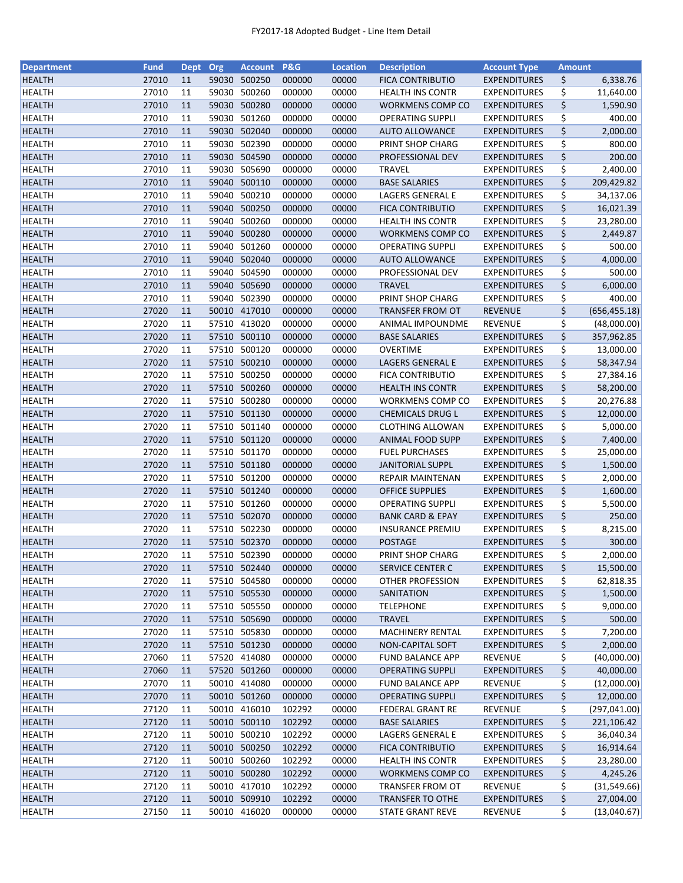| <b>Department</b> | <b>Fund</b> | <b>Dept</b> | Org   | <b>Account</b> | P&G    | <b>Location</b> | <b>Description</b>          | <b>Account Type</b> | <b>Amount</b> |               |
|-------------------|-------------|-------------|-------|----------------|--------|-----------------|-----------------------------|---------------------|---------------|---------------|
| <b>HEALTH</b>     | 27010       | 11          | 59030 | 500250         | 000000 | 00000           | <b>FICA CONTRIBUTIO</b>     | <b>EXPENDITURES</b> | \$            | 6,338.76      |
| <b>HEALTH</b>     | 27010       | 11          | 59030 | 500260         | 000000 | 00000           | <b>HEALTH INS CONTR</b>     | <b>EXPENDITURES</b> | \$            | 11,640.00     |
| <b>HEALTH</b>     | 27010       | 11          |       | 59030 500280   | 000000 | 00000           | <b>WORKMENS COMP CO</b>     | <b>EXPENDITURES</b> | \$            | 1,590.90      |
| <b>HEALTH</b>     | 27010       | 11          | 59030 | 501260         | 000000 | 00000           | <b>OPERATING SUPPLI</b>     | <b>EXPENDITURES</b> | \$            | 400.00        |
| <b>HEALTH</b>     | 27010       | 11          |       | 59030 502040   | 000000 | 00000           | <b>AUTO ALLOWANCE</b>       | <b>EXPENDITURES</b> | \$            | 2,000.00      |
| <b>HEALTH</b>     | 27010       | 11          |       | 59030 502390   | 000000 | 00000           | PRINT SHOP CHARG            | <b>EXPENDITURES</b> | \$            | 800.00        |
| <b>HEALTH</b>     | 27010       | 11          |       | 59030 504590   | 000000 | 00000           | PROFESSIONAL DEV            | <b>EXPENDITURES</b> | \$            | 200.00        |
| <b>HEALTH</b>     | 27010       | 11          | 59030 | 505690         | 000000 | 00000           | <b>TRAVEL</b>               | <b>EXPENDITURES</b> | \$            | 2,400.00      |
| <b>HEALTH</b>     | 27010       | 11          |       | 59040 500110   | 000000 | 00000           | <b>BASE SALARIES</b>        | <b>EXPENDITURES</b> | \$            | 209,429.82    |
| <b>HEALTH</b>     | 27010       | 11          | 59040 | 500210         | 000000 | 00000           | LAGERS GENERAL E            | <b>EXPENDITURES</b> | \$            | 34,137.06     |
|                   |             |             |       |                |        |                 |                             |                     | \$            |               |
| <b>HEALTH</b>     | 27010       | 11          |       | 59040 500250   | 000000 | 00000           | <b>FICA CONTRIBUTIO</b>     | <b>EXPENDITURES</b> |               | 16,021.39     |
| <b>HEALTH</b>     | 27010       | 11          | 59040 | 500260         | 000000 | 00000           | <b>HEALTH INS CONTR</b>     | <b>EXPENDITURES</b> | \$            | 23,280.00     |
| <b>HEALTH</b>     | 27010       | 11          | 59040 | 500280         | 000000 | 00000           | <b>WORKMENS COMP CO</b>     | <b>EXPENDITURES</b> | \$            | 2,449.87      |
| <b>HEALTH</b>     | 27010       | 11          | 59040 | 501260         | 000000 | 00000           | <b>OPERATING SUPPLI</b>     | <b>EXPENDITURES</b> | \$            | 500.00        |
| <b>HEALTH</b>     | 27010       | 11          | 59040 | 502040         | 000000 | 00000           | <b>AUTO ALLOWANCE</b>       | <b>EXPENDITURES</b> | \$            | 4,000.00      |
| <b>HEALTH</b>     | 27010       | 11          | 59040 | 504590         | 000000 | 00000           | PROFESSIONAL DEV            | <b>EXPENDITURES</b> | \$            | 500.00        |
| <b>HEALTH</b>     | 27010       | 11          |       | 59040 505690   | 000000 | 00000           | <b>TRAVEL</b>               | <b>EXPENDITURES</b> | \$            | 6,000.00      |
| <b>HEALTH</b>     | 27010       | 11          |       | 59040 502390   | 000000 | 00000           | PRINT SHOP CHARG            | <b>EXPENDITURES</b> | \$            | 400.00        |
| <b>HEALTH</b>     | 27020       | 11          |       | 50010 417010   | 000000 | 00000           | <b>TRANSFER FROM OT</b>     | <b>REVENUE</b>      | \$            | (656, 455.18) |
| <b>HEALTH</b>     | 27020       | 11          |       | 57510 413020   | 000000 | 00000           | ANIMAL IMPOUNDME            | REVENUE             | \$            | (48,000.00)   |
| <b>HEALTH</b>     | 27020       | 11          |       | 57510 500110   | 000000 | 00000           | <b>BASE SALARIES</b>        | <b>EXPENDITURES</b> | \$            | 357,962.85    |
| <b>HEALTH</b>     | 27020       | 11          |       | 57510 500120   | 000000 | 00000           | <b>OVERTIME</b>             | <b>EXPENDITURES</b> | \$            | 13,000.00     |
| <b>HEALTH</b>     | 27020       | 11          |       | 57510 500210   | 000000 | 00000           | <b>LAGERS GENERAL E</b>     | <b>EXPENDITURES</b> | \$            | 58,347.94     |
| <b>HEALTH</b>     | 27020       | 11          |       | 57510 500250   | 000000 | 00000           | <b>FICA CONTRIBUTIO</b>     | <b>EXPENDITURES</b> | \$            | 27,384.16     |
| <b>HEALTH</b>     | 27020       | 11          |       | 57510 500260   | 000000 | 00000           | <b>HEALTH INS CONTR</b>     | <b>EXPENDITURES</b> | \$            | 58,200.00     |
| <b>HEALTH</b>     | 27020       | 11          | 57510 | 500280         | 000000 | 00000           | WORKMENS COMP CO            | <b>EXPENDITURES</b> | \$            | 20,276.88     |
|                   | 27020       | 11          | 57510 | 501130         | 000000 | 00000           |                             |                     | \$            |               |
| <b>HEALTH</b>     |             |             |       |                |        |                 | <b>CHEMICALS DRUG L</b>     | <b>EXPENDITURES</b> |               | 12,000.00     |
| <b>HEALTH</b>     | 27020       | 11          |       | 57510 501140   | 000000 | 00000           | <b>CLOTHING ALLOWAN</b>     | <b>EXPENDITURES</b> | \$            | 5,000.00      |
| <b>HEALTH</b>     | 27020       | 11          |       | 57510 501120   | 000000 | 00000           | <b>ANIMAL FOOD SUPP</b>     | <b>EXPENDITURES</b> | \$            | 7,400.00      |
| <b>HEALTH</b>     | 27020       | 11          |       | 57510 501170   | 000000 | 00000           | <b>FUEL PURCHASES</b>       | <b>EXPENDITURES</b> | \$            | 25,000.00     |
| <b>HEALTH</b>     | 27020       | 11          |       | 57510 501180   | 000000 | 00000           | <b>JANITORIAL SUPPL</b>     | <b>EXPENDITURES</b> | \$            | 1,500.00      |
| <b>HEALTH</b>     | 27020       | 11          |       | 57510 501200   | 000000 | 00000           | REPAIR MAINTENAN            | <b>EXPENDITURES</b> | \$            | 2,000.00      |
| <b>HEALTH</b>     | 27020       | 11          |       | 57510 501240   | 000000 | 00000           | <b>OFFICE SUPPLIES</b>      | <b>EXPENDITURES</b> | \$            | 1,600.00      |
| <b>HEALTH</b>     | 27020       | 11          |       | 57510 501260   | 000000 | 00000           | <b>OPERATING SUPPLI</b>     | <b>EXPENDITURES</b> | \$            | 5,500.00      |
| <b>HEALTH</b>     | 27020       | 11          |       | 57510 502070   | 000000 | 00000           | <b>BANK CARD &amp; EPAY</b> | <b>EXPENDITURES</b> | \$            | 250.00        |
| HEALTH            | 27020       | 11          |       | 57510 502230   | 000000 | 00000           | <b>INSURANCE PREMIU</b>     | <b>EXPENDITURES</b> | \$            | 8,215.00      |
| <b>HEALTH</b>     | 27020       | 11          |       | 57510 502370   | 000000 | 00000           | <b>POSTAGE</b>              | <b>EXPENDITURES</b> | \$            | 300.00        |
| <b>HEALTH</b>     | 27020       | 11          |       | 57510 502390   | 000000 | 00000           | PRINT SHOP CHARG            | <b>EXPENDITURES</b> | \$            | 2,000.00      |
| <b>HEALTH</b>     | 27020       | 11          |       | 57510 502440   | 000000 | 00000           | SERVICE CENTER C            | <b>EXPENDITURES</b> | \$            | 15,500.00     |
| <b>HEALTH</b>     | 27020       | 11          |       | 57510 504580   | 000000 | 00000           | <b>OTHER PROFESSION</b>     | <b>EXPENDITURES</b> | \$            | 62,818.35     |
| <b>HEALTH</b>     | 27020       | 11          |       | 57510 505530   | 000000 | 00000           | SANITATION                  | <b>EXPENDITURES</b> | \$            | 1,500.00      |
| <b>HEALTH</b>     | 27020       | 11          |       | 57510 505550   | 000000 | 00000           | <b>TELEPHONE</b>            | <b>EXPENDITURES</b> | \$            | 9,000.00      |
| <b>HEALTH</b>     | 27020       | 11          |       | 57510 505690   | 000000 | 00000           | <b>TRAVEL</b>               | <b>EXPENDITURES</b> | \$            | 500.00        |
| <b>HEALTH</b>     | 27020       | 11          |       | 57510 505830   | 000000 | 00000           | MACHINERY RENTAL            | <b>EXPENDITURES</b> | \$            | 7,200.00      |
| <b>HEALTH</b>     | 27020       | 11          |       | 57510 501230   | 000000 | 00000           | NON-CAPITAL SOFT            | <b>EXPENDITURES</b> | \$            | 2,000.00      |
| <b>HEALTH</b>     | 27060       | 11          |       | 57520 414080   | 000000 | 00000           | <b>FUND BALANCE APP</b>     | REVENUE             | \$            | (40,000.00)   |
| <b>HEALTH</b>     | 27060       | 11          |       | 57520 501260   | 000000 | 00000           | <b>OPERATING SUPPLI</b>     | <b>EXPENDITURES</b> | \$            | 40,000.00     |
|                   | 27070       |             |       | 50010 414080   |        |                 | <b>FUND BALANCE APP</b>     |                     |               |               |
| HEALTH            |             | 11          |       |                | 000000 | 00000           |                             | REVENUE             | \$            | (12,000.00)   |
| <b>HEALTH</b>     | 27070       | 11          |       | 50010 501260   | 000000 | 00000           | <b>OPERATING SUPPLI</b>     | <b>EXPENDITURES</b> | \$            | 12,000.00     |
| <b>HEALTH</b>     | 27120       | 11          |       | 50010 416010   | 102292 | 00000           | <b>FEDERAL GRANT RE</b>     | <b>REVENUE</b>      | \$            | (297, 041.00) |
| <b>HEALTH</b>     | 27120       | 11          |       | 50010 500110   | 102292 | 00000           | <b>BASE SALARIES</b>        | <b>EXPENDITURES</b> | \$            | 221,106.42    |
| <b>HEALTH</b>     | 27120       | 11          |       | 50010 500210   | 102292 | 00000           | LAGERS GENERAL E            | <b>EXPENDITURES</b> | \$            | 36,040.34     |
| <b>HEALTH</b>     | 27120       | 11          |       | 50010 500250   | 102292 | 00000           | <b>FICA CONTRIBUTIO</b>     | <b>EXPENDITURES</b> | \$            | 16,914.64     |
| <b>HEALTH</b>     | 27120       | 11          |       | 50010 500260   | 102292 | 00000           | <b>HEALTH INS CONTR</b>     | <b>EXPENDITURES</b> | \$            | 23,280.00     |
| <b>HEALTH</b>     | 27120       | 11          |       | 50010 500280   | 102292 | 00000           | <b>WORKMENS COMP CO</b>     | <b>EXPENDITURES</b> | \$            | 4,245.26      |
| <b>HEALTH</b>     | 27120       | 11          |       | 50010 417010   | 102292 | 00000           | TRANSFER FROM OT            | REVENUE             | \$            | (31, 549.66)  |
| <b>HEALTH</b>     | 27120       | 11          |       | 50010 509910   | 102292 | 00000           | <b>TRANSFER TO OTHE</b>     | <b>EXPENDITURES</b> | \$            | 27,004.00     |
| <b>HEALTH</b>     | 27150       | 11          |       | 50010 416020   | 000000 | 00000           | <b>STATE GRANT REVE</b>     | <b>REVENUE</b>      | \$            | (13,040.67)   |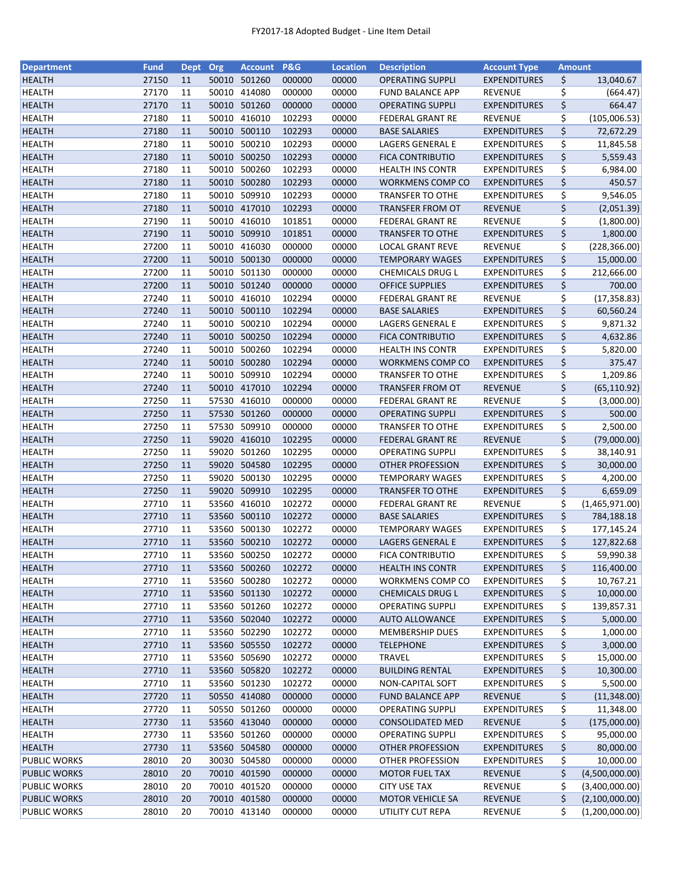| <b>Department</b>              | <b>Fund</b>    | <b>Dept</b> | Org   | <b>Account</b> | <b>P&amp;G</b>   | <b>Location</b> | <b>Description</b>                          | <b>Account Type</b>                        | <b>Amount</b> |                        |
|--------------------------------|----------------|-------------|-------|----------------|------------------|-----------------|---------------------------------------------|--------------------------------------------|---------------|------------------------|
| <b>HEALTH</b>                  | 27150          | 11          |       | 50010 501260   | 000000           | 00000           | <b>OPERATING SUPPLI</b>                     | <b>EXPENDITURES</b>                        | \$            | 13,040.67              |
| <b>HEALTH</b>                  | 27170          | 11          | 50010 | 414080         | 000000           | 00000           | <b>FUND BALANCE APP</b>                     | <b>REVENUE</b>                             | \$            | (664.47)               |
| <b>HEALTH</b>                  | 27170          | 11          | 50010 | 501260         | 000000           | 00000           | <b>OPERATING SUPPLI</b>                     | <b>EXPENDITURES</b>                        | \$            | 664.47                 |
| <b>HEALTH</b>                  | 27180          | 11          | 50010 | 416010         | 102293           | 00000           | <b>FEDERAL GRANT RE</b>                     | <b>REVENUE</b>                             | \$            | (105,006.53)           |
| <b>HEALTH</b>                  | 27180          | 11          |       | 50010 500110   | 102293           | 00000           | <b>BASE SALARIES</b>                        | <b>EXPENDITURES</b>                        | \$            | 72,672.29              |
| <b>HEALTH</b>                  | 27180          | 11          |       | 50010 500210   | 102293           | 00000           | LAGERS GENERAL E                            | <b>EXPENDITURES</b>                        | \$            | 11,845.58              |
| <b>HEALTH</b>                  | 27180          | 11          |       | 50010 500250   | 102293           | 00000           | <b>FICA CONTRIBUTIO</b>                     | <b>EXPENDITURES</b>                        | \$            | 5,559.43               |
| <b>HEALTH</b>                  | 27180          | 11          |       | 50010 500260   | 102293           | 00000           | <b>HEALTH INS CONTR</b>                     | <b>EXPENDITURES</b>                        | \$            | 6,984.00               |
| <b>HEALTH</b>                  | 27180          | 11          |       | 50010 500280   | 102293           | 00000           | <b>WORKMENS COMP CO</b>                     | <b>EXPENDITURES</b>                        | \$            | 450.57                 |
| <b>HEALTH</b>                  | 27180          | 11          |       | 50010 509910   | 102293           | 00000           | <b>TRANSFER TO OTHE</b>                     | <b>EXPENDITURES</b>                        | \$            | 9,546.05               |
| <b>HEALTH</b>                  | 27180          | 11          |       | 50010 417010   | 102293           | 00000           | <b>TRANSFER FROM OT</b>                     | <b>REVENUE</b>                             | \$            | (2,051.39)             |
| <b>HEALTH</b>                  | 27190          | 11          | 50010 | 416010         | 101851           | 00000           | <b>FEDERAL GRANT RE</b>                     | <b>REVENUE</b>                             | \$            | (1,800.00)             |
| <b>HEALTH</b>                  | 27190          | 11          |       | 50010 509910   | 101851           | 00000           | <b>TRANSFER TO OTHE</b>                     | <b>EXPENDITURES</b>                        | \$            | 1,800.00               |
| <b>HEALTH</b>                  | 27200          | 11          | 50010 | 416030         | 000000           | 00000           | LOCAL GRANT REVE                            | REVENUE                                    | \$            | (228, 366.00)          |
| <b>HEALTH</b>                  | 27200          | 11          | 50010 | 500130         | 000000           | 00000           | <b>TEMPORARY WAGES</b>                      | <b>EXPENDITURES</b>                        | \$            | 15,000.00              |
| <b>HEALTH</b>                  | 27200          | 11          | 50010 | 501130         | 000000           | 00000           | CHEMICALS DRUG L                            | <b>EXPENDITURES</b>                        | \$            | 212,666.00             |
| <b>HEALTH</b>                  | 27200          | 11          |       | 50010 501240   | 000000           | 00000           | <b>OFFICE SUPPLIES</b>                      | <b>EXPENDITURES</b>                        | \$            | 700.00                 |
| <b>HEALTH</b>                  | 27240          | 11          |       | 50010 416010   | 102294           | 00000           | FEDERAL GRANT RE                            | <b>REVENUE</b>                             | \$            | (17, 358.83)           |
| <b>HEALTH</b>                  | 27240          | 11          |       | 50010 500110   | 102294           | 00000           | <b>BASE SALARIES</b>                        | <b>EXPENDITURES</b>                        | \$            | 60,560.24              |
| <b>HEALTH</b>                  | 27240          | 11          |       | 50010 500210   | 102294           | 00000           | LAGERS GENERAL E                            | <b>EXPENDITURES</b>                        | \$            | 9,871.32               |
| <b>HEALTH</b>                  | 27240          | 11          |       | 50010 500250   | 102294           | 00000           | <b>FICA CONTRIBUTIO</b>                     | <b>EXPENDITURES</b>                        | \$            | 4,632.86               |
| <b>HEALTH</b>                  | 27240          | 11          | 50010 | 500260         | 102294           | 00000           | <b>HEALTH INS CONTR</b>                     | <b>EXPENDITURES</b>                        | \$            | 5,820.00               |
| <b>HEALTH</b>                  | 27240          | 11          |       | 50010 500280   | 102294           | 00000           | WORKMENS COMP CO                            | <b>EXPENDITURES</b>                        | \$            | 375.47                 |
| <b>HEALTH</b>                  | 27240          | 11          | 50010 | 509910         | 102294           | 00000           | <b>TRANSFER TO OTHE</b>                     | <b>EXPENDITURES</b>                        | \$            | 1,209.86               |
| <b>HEALTH</b>                  | 27240          | 11          |       | 50010 417010   | 102294           | 00000           | <b>TRANSFER FROM OT</b>                     | <b>REVENUE</b>                             | \$            | (65, 110.92)           |
| <b>HEALTH</b>                  | 27250          | 11          | 57530 | 416010         | 000000           | 00000           | <b>FEDERAL GRANT RE</b>                     | <b>REVENUE</b>                             | \$            | (3,000.00)             |
| <b>HEALTH</b>                  | 27250          | 11          | 57530 | 501260         | 000000           | 00000           | <b>OPERATING SUPPLI</b>                     | <b>EXPENDITURES</b>                        | \$            | 500.00                 |
| <b>HEALTH</b>                  | 27250          | 11          | 57530 | 509910         | 000000           | 00000           | <b>TRANSFER TO OTHE</b>                     | <b>EXPENDITURES</b>                        | \$            | 2,500.00               |
| <b>HEALTH</b>                  | 27250          | 11          |       | 59020 416010   | 102295           | 00000           | <b>FEDERAL GRANT RE</b>                     | <b>REVENUE</b>                             | \$            | (79,000.00)            |
| <b>HEALTH</b>                  | 27250          | 11          | 59020 | 501260         | 102295           | 00000           | <b>OPERATING SUPPLI</b>                     | <b>EXPENDITURES</b>                        | \$            | 38,140.91              |
| <b>HEALTH</b>                  | 27250          | 11          |       | 59020 504580   | 102295           | 00000           | OTHER PROFESSION                            | <b>EXPENDITURES</b>                        | \$            | 30,000.00              |
| <b>HEALTH</b>                  | 27250          | 11          |       | 59020 500130   | 102295           | 00000           | <b>TEMPORARY WAGES</b>                      | EXPENDITURES                               | \$            | 4,200.00               |
| <b>HEALTH</b>                  | 27250          | 11          |       | 59020 509910   | 102295           | 00000           | <b>TRANSFER TO OTHE</b>                     | <b>EXPENDITURES</b>                        | \$            | 6,659.09               |
| <b>HEALTH</b>                  | 27710          | 11          | 53560 | 416010         | 102272           | 00000           | <b>FEDERAL GRANT RE</b>                     | REVENUE                                    | \$            | (1,465,971.00)         |
| <b>HEALTH</b>                  | 27710          | 11          |       | 53560 500110   | 102272           | 00000           | <b>BASE SALARIES</b>                        | <b>EXPENDITURES</b>                        | \$            | 784,188.18             |
| HEALTH                         | 27710          | 11          |       | 53560 500130   | 102272           | 00000           | <b>TEMPORARY WAGES</b>                      | <b>EXPENDITURES</b>                        | \$            | 177,145.24             |
| <b>HEALTH</b>                  | 27710          | 11          |       | 53560 500210   | 102272           | 00000           | <b>LAGERS GENERAL E</b>                     | <b>EXPENDITURES</b>                        | \$            | 127,822.68             |
| <b>HEALTH</b>                  | 27710          | 11          |       | 53560 500250   | 102272           | 00000           | <b>FICA CONTRIBUTIO</b>                     | <b>EXPENDITURES</b>                        | \$            | 59,990.38              |
| <b>HEALTH</b>                  | 27710          | 11          |       | 53560 500260   | 102272           | 00000           | <b>HEALTH INS CONTR</b>                     | <b>EXPENDITURES</b>                        | \$            | 116,400.00             |
|                                |                |             | 53560 | 500280         |                  |                 |                                             |                                            |               |                        |
| <b>HEALTH</b><br><b>HEALTH</b> | 27710<br>27710 | 11<br>11    |       | 53560 501130   | 102272<br>102272 | 00000<br>00000  | WORKMENS COMP CO<br><b>CHEMICALS DRUG L</b> | <b>EXPENDITURES</b><br><b>EXPENDITURES</b> | \$            | 10,767.21<br>10,000.00 |
|                                | 27710          |             |       |                | 102272           |                 |                                             |                                            | \$            |                        |
| <b>HEALTH</b>                  |                | 11          |       | 53560 501260   | 102272           | 00000           | OPERATING SUPPLI                            | <b>EXPENDITURES</b>                        | \$            | 139,857.31             |
| <b>HEALTH</b>                  | 27710          | 11          |       | 53560 502040   |                  | 00000           | <b>AUTO ALLOWANCE</b>                       | <b>EXPENDITURES</b>                        | \$            | 5,000.00               |
| <b>HEALTH</b>                  | 27710          | 11          |       | 53560 502290   | 102272           | 00000           | <b>MEMBERSHIP DUES</b>                      | <b>EXPENDITURES</b>                        | \$            | 1,000.00               |
| <b>HEALTH</b>                  | 27710          | 11          |       | 53560 505550   | 102272           | 00000           | <b>TELEPHONE</b>                            | <b>EXPENDITURES</b>                        | \$            | 3,000.00               |
| <b>HEALTH</b>                  | 27710          | 11          |       | 53560 505690   | 102272           | 00000           | <b>TRAVEL</b>                               | <b>EXPENDITURES</b>                        | \$            | 15,000.00              |
| <b>HEALTH</b>                  | 27710          | 11          |       | 53560 505820   | 102272           | 00000           | <b>BUILDING RENTAL</b>                      | <b>EXPENDITURES</b>                        | \$            | 10,300.00              |
| HEALTH                         | 27710          | 11          |       | 53560 501230   | 102272           | 00000           | NON-CAPITAL SOFT                            | <b>EXPENDITURES</b>                        | \$            | 5,500.00               |
| <b>HEALTH</b>                  | 27720          | 11          |       | 50550 414080   | 000000           | 00000           | <b>FUND BALANCE APP</b>                     | REVENUE                                    | \$            | (11,348.00)            |
| <b>HEALTH</b>                  | 27720          | 11          |       | 50550 501260   | 000000           | 00000           | <b>OPERATING SUPPLI</b>                     | <b>EXPENDITURES</b>                        | \$            | 11,348.00              |
| <b>HEALTH</b>                  | 27730          | 11          |       | 53560 413040   | 000000           | 00000           | <b>CONSOLIDATED MED</b>                     | <b>REVENUE</b>                             | \$            | (175,000.00)           |
| <b>HEALTH</b>                  | 27730          | 11          | 53560 | 501260         | 000000           | 00000           | <b>OPERATING SUPPLI</b>                     | <b>EXPENDITURES</b>                        | \$            | 95,000.00              |
| <b>HEALTH</b>                  | 27730          | 11          |       | 53560 504580   | 000000           | 00000           | <b>OTHER PROFESSION</b>                     | <b>EXPENDITURES</b>                        | \$            | 80,000.00              |
| <b>PUBLIC WORKS</b>            | 28010          | 20          |       | 30030 504580   | 000000           | 00000           | <b>OTHER PROFESSION</b>                     | <b>EXPENDITURES</b>                        | \$            | 10,000.00              |
| <b>PUBLIC WORKS</b>            | 28010          | 20          |       | 70010 401590   | 000000           | 00000           | <b>MOTOR FUEL TAX</b>                       | <b>REVENUE</b>                             | \$            | (4,500,000.00)         |
| <b>PUBLIC WORKS</b>            | 28010          | 20          |       | 70010 401520   | 000000           | 00000           | <b>CITY USE TAX</b>                         | REVENUE                                    | \$            | (3,400,000.00)         |
| <b>PUBLIC WORKS</b>            | 28010          | 20          |       | 70010 401580   | 000000           | 00000           | <b>MOTOR VEHICLE SA</b>                     | REVENUE                                    | \$            | (2,100,000.00)         |
| PUBLIC WORKS                   | 28010          | 20          |       | 70010 413140   | 000000           | 00000           | UTILITY CUT REPA                            | <b>REVENUE</b>                             | \$            | (1,200,000.00)         |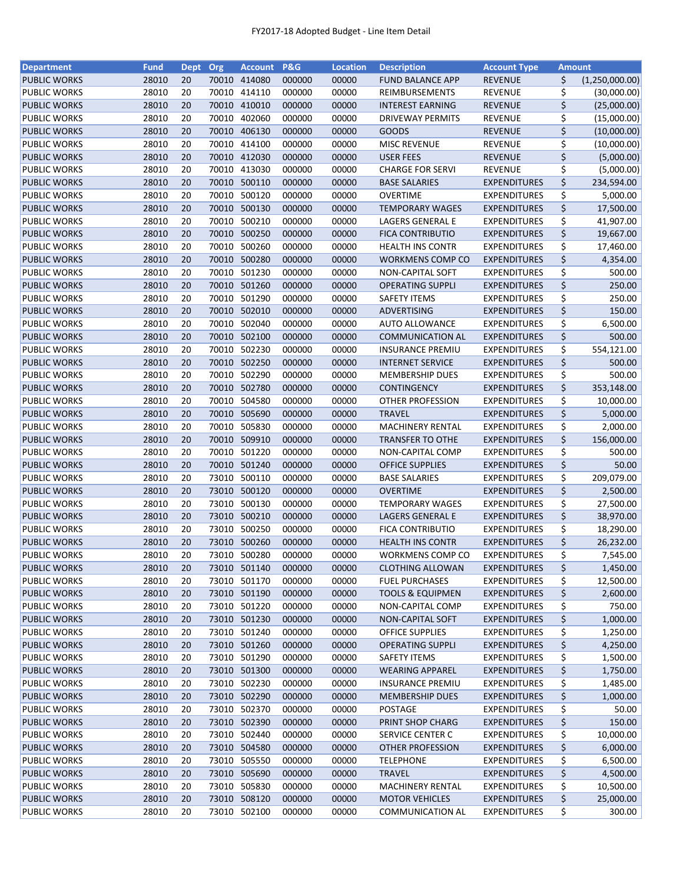| <b>Department</b>   | <b>Fund</b> | Dept Org |       | Account P&G                  |        | <b>Location</b> | <b>Description</b>          | <b>Account Type</b> | Amount                      |
|---------------------|-------------|----------|-------|------------------------------|--------|-----------------|-----------------------------|---------------------|-----------------------------|
| <b>PUBLIC WORKS</b> | 28010       | 20       |       | 70010 414080                 | 000000 | 00000           | <b>FUND BALANCE APP</b>     | <b>REVENUE</b>      | \$<br>(1,250,000.00)        |
| PUBLIC WORKS        | 28010       | 20       |       | 70010 414110                 | 000000 | 00000           | REIMBURSEMENTS              | <b>REVENUE</b>      | \$<br>(30,000.00)           |
| <b>PUBLIC WORKS</b> | 28010       | 20       |       | 70010 410010                 | 000000 | 00000           | <b>INTEREST EARNING</b>     | <b>REVENUE</b>      | \$<br>(25,000.00)           |
| PUBLIC WORKS        | 28010       | 20       | 70010 | 402060                       | 000000 | 00000           | DRIVEWAY PERMITS            | <b>REVENUE</b>      | \$<br>(15,000.00)           |
| <b>PUBLIC WORKS</b> | 28010       | 20       | 70010 | 406130                       | 000000 | 00000           | <b>GOODS</b>                | <b>REVENUE</b>      | \$<br>(10,000.00)           |
| PUBLIC WORKS        | 28010       | 20       |       | 70010 414100                 | 000000 | 00000           | <b>MISC REVENUE</b>         | <b>REVENUE</b>      | \$<br>(10,000.00)           |
| <b>PUBLIC WORKS</b> | 28010       | 20       |       | 70010 412030                 | 000000 | 00000           | <b>USER FEES</b>            | <b>REVENUE</b>      | \$<br>(5,000.00)            |
| PUBLIC WORKS        | 28010       | 20       |       | 70010 413030                 | 000000 | 00000           | <b>CHARGE FOR SERVI</b>     | <b>REVENUE</b>      | \$<br>(5,000.00)            |
| <b>PUBLIC WORKS</b> | 28010       | 20       | 70010 | 500110                       | 000000 | 00000           | <b>BASE SALARIES</b>        | <b>EXPENDITURES</b> | \$<br>234,594.00            |
| PUBLIC WORKS        | 28010       | 20       | 70010 | 500120                       | 000000 | 00000           | <b>OVERTIME</b>             | <b>EXPENDITURES</b> | \$<br>5,000.00              |
| <b>PUBLIC WORKS</b> | 28010       | 20       |       | 70010 500130                 | 000000 | 00000           | <b>TEMPORARY WAGES</b>      | <b>EXPENDITURES</b> | \$<br>17,500.00             |
| PUBLIC WORKS        | 28010       | 20       |       | 70010 500210                 | 000000 | 00000           | <b>LAGERS GENERAL E</b>     | <b>EXPENDITURES</b> | \$<br>41,907.00             |
| <b>PUBLIC WORKS</b> | 28010       | 20       |       | 70010 500250                 | 000000 | 00000           | <b>FICA CONTRIBUTIO</b>     | <b>EXPENDITURES</b> | \$<br>19,667.00             |
| <b>PUBLIC WORKS</b> | 28010       | 20       | 70010 | 500260                       | 000000 | 00000           | <b>HEALTH INS CONTR</b>     | <b>EXPENDITURES</b> | \$<br>17,460.00             |
| <b>PUBLIC WORKS</b> | 28010       | 20       | 70010 | 500280                       | 000000 | 00000           | <b>WORKMENS COMP CO</b>     | <b>EXPENDITURES</b> | \$<br>4,354.00              |
| PUBLIC WORKS        | 28010       | 20       | 70010 | 501230                       | 000000 | 00000           | NON-CAPITAL SOFT            | <b>EXPENDITURES</b> | \$<br>500.00                |
| <b>PUBLIC WORKS</b> | 28010       | 20       | 70010 | 501260                       | 000000 | 00000           | <b>OPERATING SUPPLI</b>     | <b>EXPENDITURES</b> | \$<br>250.00                |
| PUBLIC WORKS        | 28010       | 20       |       | 70010 501290                 | 000000 | 00000           | <b>SAFETY ITEMS</b>         | <b>EXPENDITURES</b> | \$<br>250.00                |
| <b>PUBLIC WORKS</b> | 28010       | 20       |       | 70010 502010                 | 000000 | 00000           | ADVERTISING                 | <b>EXPENDITURES</b> | \$<br>150.00                |
| PUBLIC WORKS        | 28010       | 20       |       | 70010 502040                 | 000000 | 00000           | <b>AUTO ALLOWANCE</b>       | <b>EXPENDITURES</b> | \$<br>6,500.00              |
| <b>PUBLIC WORKS</b> | 28010       | 20       |       | 70010 502100                 | 000000 | 00000           | <b>COMMUNICATION AL</b>     | <b>EXPENDITURES</b> | \$<br>500.00                |
| PUBLIC WORKS        | 28010       | 20       |       | 70010 502230                 | 000000 | 00000           | <b>INSURANCE PREMIU</b>     | <b>EXPENDITURES</b> | \$<br>554,121.00            |
| <b>PUBLIC WORKS</b> | 28010       | 20       |       | 70010 502250                 | 000000 | 00000           | <b>INTERNET SERVICE</b>     | <b>EXPENDITURES</b> | \$<br>500.00                |
| PUBLIC WORKS        | 28010       | 20       |       | 70010 502290                 | 000000 | 00000           | <b>MEMBERSHIP DUES</b>      | <b>EXPENDITURES</b> | \$<br>500.00                |
| <b>PUBLIC WORKS</b> | 28010       | 20       |       | 70010 502780                 | 000000 | 00000           | <b>CONTINGENCY</b>          | <b>EXPENDITURES</b> | \$<br>353,148.00            |
| PUBLIC WORKS        | 28010       | 20       | 70010 | 504580                       | 000000 | 00000           | <b>OTHER PROFESSION</b>     | EXPENDITURES        | \$<br>10,000.00             |
| <b>PUBLIC WORKS</b> | 28010       | 20       | 70010 | 505690                       | 000000 | 00000           | <b>TRAVEL</b>               | <b>EXPENDITURES</b> | \$<br>5,000.00              |
| PUBLIC WORKS        | 28010       | 20       | 70010 | 505830                       | 000000 | 00000           | <b>MACHINERY RENTAL</b>     | <b>EXPENDITURES</b> | \$<br>2,000.00              |
| <b>PUBLIC WORKS</b> | 28010       | 20       | 70010 | 509910                       | 000000 | 00000           | <b>TRANSFER TO OTHE</b>     | <b>EXPENDITURES</b> | \$<br>156,000.00            |
| PUBLIC WORKS        | 28010       | 20       | 70010 | 501220                       | 000000 | 00000           | NON-CAPITAL COMP            | <b>EXPENDITURES</b> | \$<br>500.00                |
| <b>PUBLIC WORKS</b> | 28010       | 20       |       | 70010 501240                 | 000000 | 00000           | <b>OFFICE SUPPLIES</b>      | <b>EXPENDITURES</b> | \$<br>50.00                 |
| <b>PUBLIC WORKS</b> | 28010       | 20       | 73010 | 500110                       | 000000 | 00000           | <b>BASE SALARIES</b>        | <b>EXPENDITURES</b> | \$<br>209,079.00            |
| <b>PUBLIC WORKS</b> | 28010       | 20       | 73010 | 500120                       | 000000 | 00000           | <b>OVERTIME</b>             | <b>EXPENDITURES</b> | \$<br>2,500.00              |
| <b>PUBLIC WORKS</b> | 28010       | 20       | 73010 | 500130                       | 000000 | 00000           | <b>TEMPORARY WAGES</b>      | <b>EXPENDITURES</b> | \$<br>27,500.00             |
| <b>PUBLIC WORKS</b> | 28010       | 20       | 73010 | 500210                       | 000000 | 00000           | LAGERS GENERAL E            | <b>EXPENDITURES</b> | \$<br>38,970.00             |
| <b>PUBLIC WORKS</b> | 28010       | 20       |       | 73010 500250                 | 000000 | 00000           | <b>FICA CONTRIBUTIO</b>     | <b>EXPENDITURES</b> | \$<br>18,290.00             |
| <b>PUBLIC WORKS</b> | 28010       | 20       |       | 73010 500260                 | 000000 | 00000           | <b>HEALTH INS CONTR</b>     | <b>EXPENDITURES</b> | \$<br>26,232.00             |
| <b>PUBLIC WORKS</b> | 28010       | 20       |       | 73010 500280                 | 000000 | 00000           | <b>WORKMENS COMP CO</b>     | <b>EXPENDITURES</b> | \$<br>7,545.00              |
|                     | 28010       |          |       | 73010 501140                 | 000000 | 00000           |                             |                     |                             |
| <b>PUBLIC WORKS</b> | 28010       | 20       |       |                              |        |                 | <b>CLOTHING ALLOWAN</b>     | <b>EXPENDITURES</b> | \$<br>1,450.00<br>12,500.00 |
| <b>PUBLIC WORKS</b> |             | 20       |       | 73010 501170                 | 000000 | 00000           | <b>FUEL PURCHASES</b>       | <b>EXPENDITURES</b> | \$                          |
| <b>PUBLIC WORKS</b> | 28010       | 20       |       | 73010 501190                 | 000000 | 00000           | <b>TOOLS &amp; EQUIPMEN</b> | <b>EXPENDITURES</b> | \$<br>2,600.00              |
| <b>PUBLIC WORKS</b> | 28010       | 20       |       | 73010 501220                 | 000000 | 00000           | NON-CAPITAL COMP            | <b>EXPENDITURES</b> | \$<br>750.00                |
| <b>PUBLIC WORKS</b> | 28010       | 20       |       | 73010 501230<br>73010 501240 | 000000 | 00000           | NON-CAPITAL SOFT            | <b>EXPENDITURES</b> | \$<br>1,000.00              |
| PUBLIC WORKS        | 28010       | 20       |       |                              | 000000 | 00000           | <b>OFFICE SUPPLIES</b>      | <b>EXPENDITURES</b> | \$<br>1,250.00              |
| <b>PUBLIC WORKS</b> | 28010       | 20       |       | 73010 501260                 | 000000 | 00000           | <b>OPERATING SUPPLI</b>     | <b>EXPENDITURES</b> | \$<br>4,250.00              |
| PUBLIC WORKS        | 28010       | 20       |       | 73010 501290                 | 000000 | 00000           | <b>SAFETY ITEMS</b>         | <b>EXPENDITURES</b> | \$<br>1,500.00              |
| <b>PUBLIC WORKS</b> | 28010       | 20       |       | 73010 501300                 | 000000 | 00000           | <b>WEARING APPAREL</b>      | <b>EXPENDITURES</b> | \$<br>1,750.00              |
| PUBLIC WORKS        | 28010       | 20       |       | 73010 502230                 | 000000 | 00000           | <b>INSURANCE PREMIU</b>     | <b>EXPENDITURES</b> | \$<br>1,485.00              |
| <b>PUBLIC WORKS</b> | 28010       | 20       |       | 73010 502290                 | 000000 | 00000           | <b>MEMBERSHIP DUES</b>      | <b>EXPENDITURES</b> | \$<br>1,000.00              |
| PUBLIC WORKS        | 28010       | 20       |       | 73010 502370                 | 000000 | 00000           | POSTAGE                     | <b>EXPENDITURES</b> | \$<br>50.00                 |
| <b>PUBLIC WORKS</b> | 28010       | 20       |       | 73010 502390                 | 000000 | 00000           | PRINT SHOP CHARG            | <b>EXPENDITURES</b> | \$<br>150.00                |
| PUBLIC WORKS        | 28010       | 20       |       | 73010 502440                 | 000000 | 00000           | SERVICE CENTER C            | <b>EXPENDITURES</b> | \$<br>10,000.00             |
| <b>PUBLIC WORKS</b> | 28010       | 20       |       | 73010 504580                 | 000000 | 00000           | <b>OTHER PROFESSION</b>     | <b>EXPENDITURES</b> | \$<br>6,000.00              |
| PUBLIC WORKS        | 28010       | 20       | 73010 | 505550                       | 000000 | 00000           | <b>TELEPHONE</b>            | <b>EXPENDITURES</b> | \$<br>6,500.00              |
| <b>PUBLIC WORKS</b> | 28010       | 20       |       | 73010 505690                 | 000000 | 00000           | <b>TRAVEL</b>               | <b>EXPENDITURES</b> | \$<br>4,500.00              |
| PUBLIC WORKS        | 28010       | 20       |       | 73010 505830                 | 000000 | 00000           | <b>MACHINERY RENTAL</b>     | <b>EXPENDITURES</b> | \$<br>10,500.00             |
| <b>PUBLIC WORKS</b> | 28010       | 20       |       | 73010 508120                 | 000000 | 00000           | <b>MOTOR VEHICLES</b>       | <b>EXPENDITURES</b> | \$<br>25,000.00             |
| <b>PUBLIC WORKS</b> | 28010       | 20       |       | 73010 502100                 | 000000 | 00000           | <b>COMMUNICATION AL</b>     | <b>EXPENDITURES</b> | \$<br>300.00                |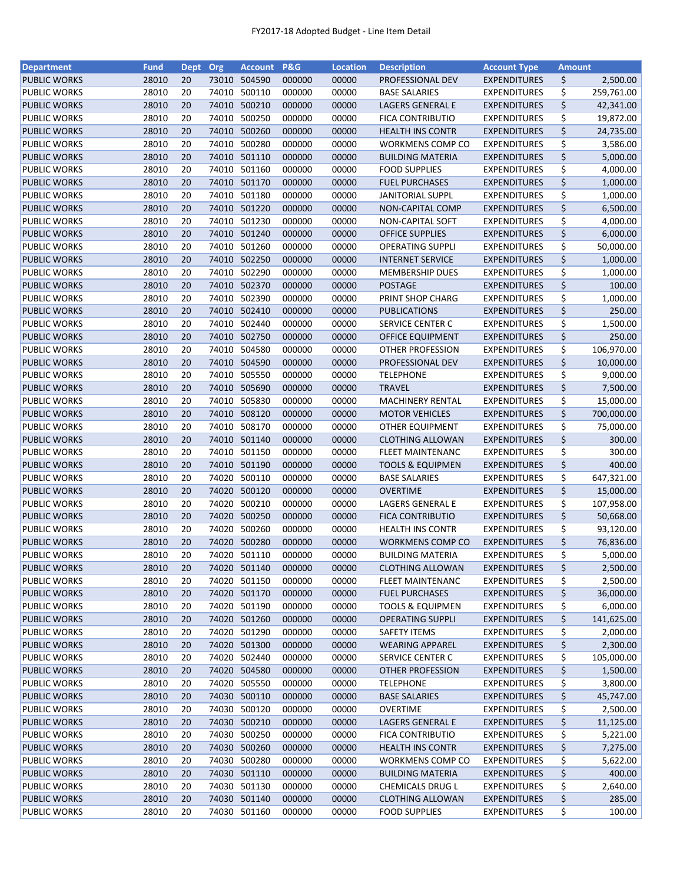| Department                                 | <b>Fund</b> | Dept Org |       | <b>Account</b>               | <b>P&amp;G</b> | <b>Location</b> | <b>Description</b>          | <b>Account Type</b>                        | <b>Amount</b> |                        |
|--------------------------------------------|-------------|----------|-------|------------------------------|----------------|-----------------|-----------------------------|--------------------------------------------|---------------|------------------------|
| <b>PUBLIC WORKS</b>                        | 28010       | 20       | 73010 | 504590                       | 000000         | 00000           | PROFESSIONAL DEV            | <b>EXPENDITURES</b>                        | \$            | 2,500.00               |
| <b>PUBLIC WORKS</b>                        | 28010       | 20       | 74010 | 500110                       | 000000         | 00000           | <b>BASE SALARIES</b>        | <b>EXPENDITURES</b>                        | \$            | 259,761.00             |
| <b>PUBLIC WORKS</b>                        | 28010       | 20       | 74010 | 500210                       | 000000         | 00000           | LAGERS GENERAL E            | <b>EXPENDITURES</b>                        | \$            | 42,341.00              |
| PUBLIC WORKS                               | 28010       | 20       | 74010 | 500250                       | 000000         | 00000           | <b>FICA CONTRIBUTIO</b>     | <b>EXPENDITURES</b>                        | \$            | 19,872.00              |
| <b>PUBLIC WORKS</b>                        | 28010       | 20       |       | 74010 500260                 | 000000         | 00000           | <b>HEALTH INS CONTR</b>     | <b>EXPENDITURES</b>                        | \$            | 24,735.00              |
| PUBLIC WORKS                               | 28010       | 20       | 74010 | 500280                       | 000000         | 00000           | <b>WORKMENS COMP CO</b>     | <b>EXPENDITURES</b>                        | \$            | 3,586.00               |
| <b>PUBLIC WORKS</b>                        | 28010       | 20       | 74010 | 501110                       | 000000         | 00000           | <b>BUILDING MATERIA</b>     | <b>EXPENDITURES</b>                        | \$            | 5,000.00               |
| <b>PUBLIC WORKS</b>                        | 28010       | 20       | 74010 | 501160                       | 000000         | 00000           | <b>FOOD SUPPLIES</b>        | <b>EXPENDITURES</b>                        | \$            | 4,000.00               |
| <b>PUBLIC WORKS</b>                        | 28010       | 20       | 74010 | 501170                       | 000000         | 00000           | <b>FUEL PURCHASES</b>       | <b>EXPENDITURES</b>                        | \$            | 1,000.00               |
| PUBLIC WORKS                               | 28010       | 20       | 74010 | 501180                       | 000000         | 00000           | <b>JANITORIAL SUPPL</b>     | <b>EXPENDITURES</b>                        | \$            | 1,000.00               |
| <b>PUBLIC WORKS</b>                        | 28010       | 20       |       | 74010 501220                 | 000000         | 00000           | NON-CAPITAL COMP            | <b>EXPENDITURES</b>                        | \$            | 6,500.00               |
| PUBLIC WORKS                               | 28010       | 20       | 74010 | 501230                       | 000000         | 00000           | <b>NON-CAPITAL SOFT</b>     | <b>EXPENDITURES</b>                        | \$            | 4,000.00               |
| <b>PUBLIC WORKS</b>                        | 28010       | 20       | 74010 | 501240                       | 000000         | 00000           | <b>OFFICE SUPPLIES</b>      | <b>EXPENDITURES</b>                        | \$            | 6,000.00               |
| <b>PUBLIC WORKS</b>                        | 28010       | 20       | 74010 | 501260                       | 000000         | 00000           | <b>OPERATING SUPPLI</b>     | <b>EXPENDITURES</b>                        | \$            | 50,000.00              |
| <b>PUBLIC WORKS</b>                        | 28010       | 20       | 74010 | 502250                       | 000000         | 00000           | <b>INTERNET SERVICE</b>     | <b>EXPENDITURES</b>                        | \$            | 1,000.00               |
| PUBLIC WORKS                               | 28010       | 20       | 74010 | 502290                       | 000000         | 00000           | <b>MEMBERSHIP DUES</b>      | <b>EXPENDITURES</b>                        | \$            | 1,000.00               |
| <b>PUBLIC WORKS</b>                        | 28010       | 20       |       | 74010 502370                 | 000000         | 00000           | <b>POSTAGE</b>              | <b>EXPENDITURES</b>                        | \$            | 100.00                 |
| PUBLIC WORKS                               | 28010       | 20       | 74010 | 502390                       | 000000         | 00000           | PRINT SHOP CHARG            | <b>EXPENDITURES</b>                        | \$            | 1,000.00               |
| <b>PUBLIC WORKS</b>                        | 28010       | 20       |       | 74010 502410                 | 000000         | 00000           | <b>PUBLICATIONS</b>         | <b>EXPENDITURES</b>                        | \$            | 250.00                 |
| <b>PUBLIC WORKS</b>                        | 28010       | 20       |       | 74010 502440                 | 000000         | 00000           | <b>SERVICE CENTER C</b>     | <b>EXPENDITURES</b>                        | \$            | 1,500.00               |
| <b>PUBLIC WORKS</b>                        | 28010       | 20       |       | 74010 502750                 | 000000         | 00000           | <b>OFFICE EQUIPMENT</b>     | <b>EXPENDITURES</b>                        | \$            | 250.00                 |
| PUBLIC WORKS                               | 28010       | 20       | 74010 | 504580                       | 000000         | 00000           | OTHER PROFESSION            | <b>EXPENDITURES</b>                        | \$            | 106,970.00             |
| <b>PUBLIC WORKS</b>                        | 28010       | 20       |       | 74010 504590                 | 000000         | 00000           | PROFESSIONAL DEV            | <b>EXPENDITURES</b>                        | \$            | 10,000.00              |
| PUBLIC WORKS                               | 28010       | 20       | 74010 | 505550                       | 000000         | 00000           | <b>TELEPHONE</b>            | <b>EXPENDITURES</b>                        | \$            | 9,000.00               |
| <b>PUBLIC WORKS</b>                        | 28010       | 20       |       | 74010 505690                 | 000000         | 00000           | <b>TRAVEL</b>               | <b>EXPENDITURES</b>                        | \$            | 7,500.00               |
| <b>PUBLIC WORKS</b>                        | 28010       | 20       | 74010 | 505830                       | 000000         | 00000           | <b>MACHINERY RENTAL</b>     | <b>EXPENDITURES</b>                        | \$            | 15,000.00              |
| <b>PUBLIC WORKS</b>                        | 28010       | 20       | 74010 | 508120                       | 000000         | 00000           | <b>MOTOR VEHICLES</b>       | <b>EXPENDITURES</b>                        | \$            | 700,000.00             |
| PUBLIC WORKS                               | 28010       | 20       | 74010 | 508170                       | 000000         | 00000           | OTHER EQUIPMENT             | <b>EXPENDITURES</b>                        | \$            | 75,000.00              |
| <b>PUBLIC WORKS</b>                        | 28010       | 20       | 74010 | 501140                       | 000000         | 00000           | <b>CLOTHING ALLOWAN</b>     | <b>EXPENDITURES</b>                        | \$            | 300.00                 |
| <b>PUBLIC WORKS</b>                        | 28010       | 20       | 74010 | 501150                       | 000000         | 00000           | <b>FLEET MAINTENANC</b>     | <b>EXPENDITURES</b>                        | \$            | 300.00                 |
| <b>PUBLIC WORKS</b>                        | 28010       | 20       |       | 74010 501190                 | 000000         | 00000           | <b>TOOLS &amp; EQUIPMEN</b> | <b>EXPENDITURES</b>                        | \$            | 400.00                 |
| <b>PUBLIC WORKS</b>                        | 28010       | 20       | 74020 | 500110                       | 000000         | 00000           | <b>BASE SALARIES</b>        | <b>EXPENDITURES</b>                        | \$            | 647,321.00             |
| <b>PUBLIC WORKS</b>                        | 28010       | 20       | 74020 | 500120                       | 000000         | 00000           | <b>OVERTIME</b>             | <b>EXPENDITURES</b>                        | \$            | 15,000.00              |
| <b>PUBLIC WORKS</b>                        | 28010       | 20       | 74020 | 500210                       | 000000         | 00000           | LAGERS GENERAL E            | <b>EXPENDITURES</b>                        | \$            | 107,958.00             |
| <b>PUBLIC WORKS</b>                        | 28010       | 20       | 74020 | 500250                       | 000000         | 00000           | <b>FICA CONTRIBUTIO</b>     | <b>EXPENDITURES</b>                        | \$            | 50,668.00              |
| PUBLIC WORKS                               | 28010       | 20       | 74020 | 500260                       | 000000         | 00000           | <b>HEALTH INS CONTR</b>     | <b>EXPENDITURES</b>                        | \$            | 93,120.00              |
| <b>PUBLIC WORKS</b>                        | 28010       | 20       |       | 74020 500280                 | 000000         | 00000           | <b>WORKMENS COMP CO</b>     | <b>EXPENDITURES</b>                        | \$            | 76,836.00              |
| <b>PUBLIC WORKS</b>                        | 28010       | 20       |       | 74020 501110                 | 000000         | 00000           | <b>BUILDING MATERIA</b>     | <b>EXPENDITURES</b>                        | \$            | 5,000.00               |
| <b>PUBLIC WORKS</b>                        | 28010       | 20       |       | 74020 501140                 | 000000         | 00000           | <b>CLOTHING ALLOWAN</b>     | <b>EXPENDITURES</b>                        |               | 2,500.00               |
| PUBLIC WORKS                               | 28010       | 20       | 74020 | 501150                       | 000000         | 00000           | <b>FLEET MAINTENANC</b>     | <b>EXPENDITURES</b>                        | \$<br>\$      | 2,500.00               |
|                                            | 28010       | 20       |       | 74020 501170                 | 000000         | 00000           | <b>FUEL PURCHASES</b>       | <b>EXPENDITURES</b>                        |               | 36,000.00              |
| <b>PUBLIC WORKS</b>                        | 28010       | 20       |       | 74020 501190                 | 000000         | 00000           |                             |                                            | \$            | 6,000.00               |
| PUBLIC WORKS                               |             |          |       |                              |                |                 | <b>TOOLS &amp; EQUIPMEN</b> | <b>EXPENDITURES</b>                        | \$            |                        |
| <b>PUBLIC WORKS</b><br><b>PUBLIC WORKS</b> | 28010       | 20       |       | 74020 501260<br>74020 501290 | 000000         | 00000           | <b>OPERATING SUPPLI</b>     | <b>EXPENDITURES</b><br><b>EXPENDITURES</b> | \$            | 141,625.00<br>2,000.00 |
|                                            | 28010       | 20       |       |                              | 000000         | 00000           | <b>SAFETY ITEMS</b>         |                                            | \$            |                        |
| <b>PUBLIC WORKS</b>                        | 28010       | 20       |       | 74020 501300                 | 000000         | 00000           | <b>WEARING APPAREL</b>      | <b>EXPENDITURES</b>                        | \$            | 2,300.00               |
| PUBLIC WORKS                               | 28010       | 20       |       | 74020 502440                 | 000000         | 00000           | <b>SERVICE CENTER C</b>     | <b>EXPENDITURES</b>                        | \$            | 105,000.00             |
| <b>PUBLIC WORKS</b>                        | 28010       | 20       |       | 74020 504580                 | 000000         | 00000           | OTHER PROFESSION            | <b>EXPENDITURES</b>                        | \$            | 1,500.00               |
| PUBLIC WORKS                               | 28010       | 20       |       | 74020 505550                 | 000000         | 00000           | <b>TELEPHONE</b>            | <b>EXPENDITURES</b>                        | \$            | 3,800.00               |
| <b>PUBLIC WORKS</b>                        | 28010       | 20       |       | 74030 500110                 | 000000         | 00000           | <b>BASE SALARIES</b>        | <b>EXPENDITURES</b>                        | \$            | 45,747.00              |
| PUBLIC WORKS                               | 28010       | 20       |       | 74030 500120                 | 000000         | 00000           | <b>OVERTIME</b>             | <b>EXPENDITURES</b>                        | \$            | 2,500.00               |
| <b>PUBLIC WORKS</b>                        | 28010       | 20       |       | 74030 500210                 | 000000         | 00000           | LAGERS GENERAL E            | <b>EXPENDITURES</b>                        | \$            | 11,125.00              |
| PUBLIC WORKS                               | 28010       | 20       | 74030 | 500250                       | 000000         | 00000           | FICA CONTRIBUTIO            | <b>EXPENDITURES</b>                        | \$            | 5,221.00               |
| <b>PUBLIC WORKS</b>                        | 28010       | 20       | 74030 | 500260                       | 000000         | 00000           | <b>HEALTH INS CONTR</b>     | <b>EXPENDITURES</b>                        | \$            | 7,275.00               |
| PUBLIC WORKS                               | 28010       | 20       | 74030 | 500280                       | 000000         | 00000           | <b>WORKMENS COMP CO</b>     | <b>EXPENDITURES</b>                        | \$            | 5,622.00               |
| <b>PUBLIC WORKS</b>                        | 28010       | 20       |       | 74030 501110                 | 000000         | 00000           | <b>BUILDING MATERIA</b>     | <b>EXPENDITURES</b>                        | \$            | 400.00                 |
| PUBLIC WORKS                               | 28010       | 20       |       | 74030 501130                 | 000000         | 00000           | CHEMICALS DRUG L            | <b>EXPENDITURES</b>                        | \$            | 2,640.00               |
| <b>PUBLIC WORKS</b>                        | 28010       | 20       |       | 74030 501140                 | 000000         | 00000           | <b>CLOTHING ALLOWAN</b>     | <b>EXPENDITURES</b>                        | \$            | 285.00                 |
| <b>PUBLIC WORKS</b>                        | 28010       | 20       |       | 74030 501160                 | 000000         | 00000           | <b>FOOD SUPPLIES</b>        | <b>EXPENDITURES</b>                        | \$            | 100.00                 |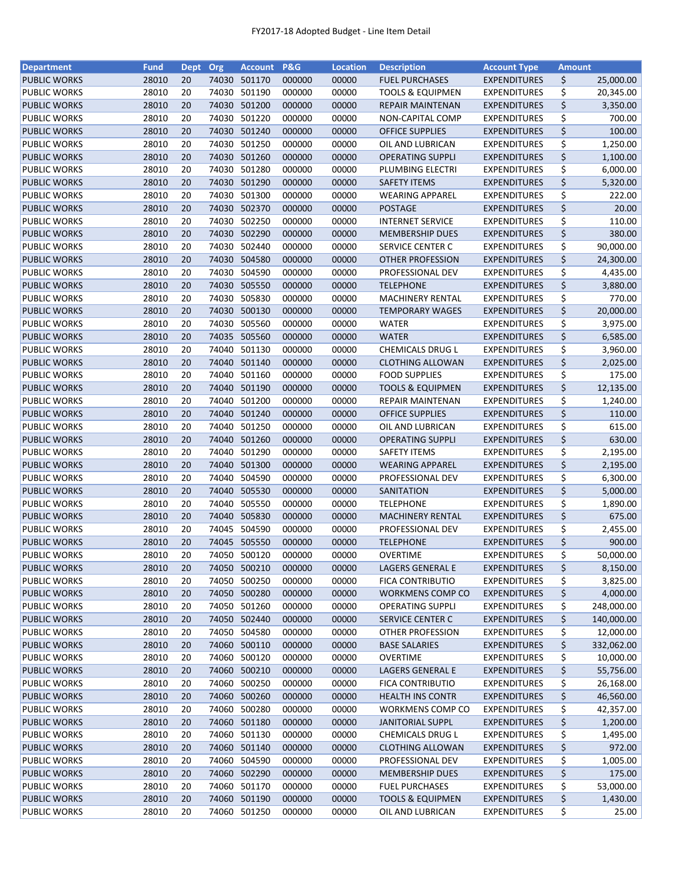| <b>Department</b>                   | <b>Fund</b>    | Dept Org |       | <b>Account</b> | <b>P&amp;G</b>   | <b>Location</b> | <b>Description</b>                          | <b>Account Type</b>                        | <b>Amount</b> |            |
|-------------------------------------|----------------|----------|-------|----------------|------------------|-----------------|---------------------------------------------|--------------------------------------------|---------------|------------|
| <b>PUBLIC WORKS</b>                 | 28010          | 20       | 74030 | 501170         | 000000           | 00000           | <b>FUEL PURCHASES</b>                       | <b>EXPENDITURES</b>                        | \$            | 25,000.00  |
| <b>PUBLIC WORKS</b>                 | 28010          | 20       | 74030 | 501190         | 000000           | 00000           | <b>TOOLS &amp; EQUIPMEN</b>                 | <b>EXPENDITURES</b>                        | \$            | 20,345.00  |
| <b>PUBLIC WORKS</b>                 | 28010          | 20       | 74030 | 501200         | 000000           | 00000           | <b>REPAIR MAINTENAN</b>                     | <b>EXPENDITURES</b>                        | \$            | 3,350.00   |
| PUBLIC WORKS                        | 28010          | 20       | 74030 | 501220         | 000000           | 00000           | NON-CAPITAL COMP                            | <b>EXPENDITURES</b>                        | \$            | 700.00     |
| <b>PUBLIC WORKS</b>                 | 28010          | 20       |       | 74030 501240   | 000000           | 00000           | <b>OFFICE SUPPLIES</b>                      | <b>EXPENDITURES</b>                        | \$            | 100.00     |
| PUBLIC WORKS                        | 28010          | 20       | 74030 | 501250         | 000000           | 00000           | OIL AND LUBRICAN                            | <b>EXPENDITURES</b>                        | \$            | 1,250.00   |
| <b>PUBLIC WORKS</b>                 | 28010          | 20       | 74030 | 501260         | 000000           | 00000           | <b>OPERATING SUPPLI</b>                     | <b>EXPENDITURES</b>                        | \$            | 1,100.00   |
| PUBLIC WORKS                        | 28010          | 20       | 74030 | 501280         | 000000           | 00000           | PLUMBING ELECTRI                            | <b>EXPENDITURES</b>                        | \$            | 6,000.00   |
| <b>PUBLIC WORKS</b>                 | 28010          | 20       | 74030 | 501290         | 000000           | 00000           | <b>SAFETY ITEMS</b>                         | <b>EXPENDITURES</b>                        | \$            | 5,320.00   |
| <b>PUBLIC WORKS</b>                 | 28010          | 20       | 74030 | 501300         | 000000           | 00000           | <b>WEARING APPAREL</b>                      | <b>EXPENDITURES</b>                        | \$            | 222.00     |
| <b>PUBLIC WORKS</b>                 | 28010          | 20       |       | 74030 502370   | 000000           | 00000           | <b>POSTAGE</b>                              | <b>EXPENDITURES</b>                        | \$            | 20.00      |
| PUBLIC WORKS                        | 28010          | 20       | 74030 | 502250         | 000000           | 00000           | <b>INTERNET SERVICE</b>                     | <b>EXPENDITURES</b>                        | \$            | 110.00     |
| <b>PUBLIC WORKS</b>                 | 28010          | 20       | 74030 | 502290         | 000000           | 00000           | <b>MEMBERSHIP DUES</b>                      | <b>EXPENDITURES</b>                        | \$            | 380.00     |
| PUBLIC WORKS                        | 28010          | 20       | 74030 | 502440         | 000000           | 00000           | SERVICE CENTER C                            | <b>EXPENDITURES</b>                        | \$            | 90,000.00  |
| <b>PUBLIC WORKS</b>                 | 28010          | 20       | 74030 | 504580         | 000000           | 00000           | OTHER PROFESSION                            | <b>EXPENDITURES</b>                        | \$            | 24,300.00  |
| PUBLIC WORKS                        | 28010          | 20       | 74030 | 504590         | 000000           | 00000           | PROFESSIONAL DEV                            | <b>EXPENDITURES</b>                        | \$            | 4,435.00   |
| <b>PUBLIC WORKS</b>                 | 28010          | 20       | 74030 | 505550         | 000000           | 00000           | <b>TELEPHONE</b>                            | <b>EXPENDITURES</b>                        | \$            | 3,880.00   |
| PUBLIC WORKS                        | 28010          | 20       | 74030 | 505830         | 000000           | 00000           | <b>MACHINERY RENTAL</b>                     | <b>EXPENDITURES</b>                        | \$            | 770.00     |
| <b>PUBLIC WORKS</b>                 | 28010          | 20       |       | 74030 500130   | 000000           | 00000           | <b>TEMPORARY WAGES</b>                      | <b>EXPENDITURES</b>                        | \$            | 20,000.00  |
| PUBLIC WORKS                        | 28010          | 20       | 74030 | 505560         | 000000           | 00000           | <b>WATER</b>                                | <b>EXPENDITURES</b>                        | \$            | 3,975.00   |
| <b>PUBLIC WORKS</b>                 | 28010          | 20       |       | 74035 505560   | 000000           | 00000           | <b>WATER</b>                                | <b>EXPENDITURES</b>                        | \$            | 6,585.00   |
| PUBLIC WORKS                        | 28010          | 20       | 74040 | 501130         | 000000           | 00000           | CHEMICALS DRUG L                            | <b>EXPENDITURES</b>                        | \$            | 3,960.00   |
| <b>PUBLIC WORKS</b>                 | 28010          | 20       |       | 74040 501140   | 000000           | 00000           | <b>CLOTHING ALLOWAN</b>                     | <b>EXPENDITURES</b>                        | \$            | 2,025.00   |
| <b>PUBLIC WORKS</b>                 | 28010          | 20       |       | 74040 501160   | 000000           | 00000           | <b>FOOD SUPPLIES</b>                        | <b>EXPENDITURES</b>                        | \$            | 175.00     |
| <b>PUBLIC WORKS</b>                 | 28010          | 20       |       | 74040 501190   | 000000           | 00000           | <b>TOOLS &amp; EQUIPMEN</b>                 | <b>EXPENDITURES</b>                        | \$            | 12,135.00  |
| PUBLIC WORKS                        | 28010          | 20       | 74040 | 501200         | 000000           | 00000           | <b>REPAIR MAINTENAN</b>                     | <b>EXPENDITURES</b>                        | \$            | 1,240.00   |
| <b>PUBLIC WORKS</b>                 | 28010          | 20       | 74040 | 501240         | 000000           | 00000           | <b>OFFICE SUPPLIES</b>                      | <b>EXPENDITURES</b>                        | \$            | 110.00     |
|                                     |                | 20       | 74040 | 501250         |                  |                 |                                             |                                            | \$            | 615.00     |
| PUBLIC WORKS<br><b>PUBLIC WORKS</b> | 28010<br>28010 | 20       | 74040 | 501260         | 000000<br>000000 | 00000<br>00000  | OIL AND LUBRICAN<br><b>OPERATING SUPPLI</b> | <b>EXPENDITURES</b><br><b>EXPENDITURES</b> | \$            | 630.00     |
|                                     |                |          |       |                |                  |                 |                                             |                                            |               |            |
| <b>PUBLIC WORKS</b>                 | 28010          | 20       | 74040 | 501290         | 000000           | 00000           | <b>SAFETY ITEMS</b>                         | <b>EXPENDITURES</b>                        | \$<br>\$      | 2,195.00   |
| <b>PUBLIC WORKS</b>                 | 28010          | 20       |       | 74040 501300   | 000000           | 00000           | <b>WEARING APPAREL</b>                      | <b>EXPENDITURES</b>                        |               | 2,195.00   |
| PUBLIC WORKS                        | 28010          | 20       | 74040 | 504590         | 000000           | 00000           | PROFESSIONAL DEV                            | <b>EXPENDITURES</b>                        | \$            | 6,300.00   |
| <b>PUBLIC WORKS</b>                 | 28010          | 20       | 74040 | 505530         | 000000           | 00000           | SANITATION                                  | <b>EXPENDITURES</b>                        | \$            | 5,000.00   |
| PUBLIC WORKS                        | 28010          | 20       | 74040 | 505550         | 000000           | 00000           | <b>TELEPHONE</b>                            | <b>EXPENDITURES</b>                        | \$            | 1,890.00   |
| <b>PUBLIC WORKS</b>                 | 28010          | 20       |       | 74040 505830   | 000000           | 00000           | <b>MACHINERY RENTAL</b>                     | <b>EXPENDITURES</b>                        | \$            | 675.00     |
| <b>PUBLIC WORKS</b>                 | 28010          | 20       |       | 74045 504590   | 000000           | 00000           | PROFESSIONAL DEV                            | <b>EXPENDITURES</b>                        | \$            | 2,455.00   |
| <b>PUBLIC WORKS</b>                 | 28010          | 20       |       | 74045 505550   | 000000           | 00000           | <b>TELEPHONE</b>                            | <b>EXPENDITURES</b>                        | \$            | 900.00     |
| <b>PUBLIC WORKS</b>                 | 28010          | 20       |       | 74050 500120   | 000000           | 00000           | <b>OVERTIME</b>                             | <b>EXPENDITURES</b>                        | \$            | 50,000.00  |
| <b>PUBLIC WORKS</b>                 | 28010          | 20       |       | 74050 500210   | 000000           | 00000           | LAGERS GENERAL E                            | <b>EXPENDITURES</b>                        | \$            | 8,150.00   |
| PUBLIC WORKS                        | 28010          | 20       | 74050 | 500250         | 000000           | 00000           | <b>FICA CONTRIBUTIO</b>                     | <b>EXPENDITURES</b>                        | \$            | 3,825.00   |
| <b>PUBLIC WORKS</b>                 | 28010          | 20       |       | 74050 500280   | 000000           | 00000           | <b>WORKMENS COMP CO</b>                     | <b>EXPENDITURES</b>                        | \$            | 4,000.00   |
| PUBLIC WORKS                        | 28010          | 20       |       | 74050 501260   | 000000           | 00000           | <b>OPERATING SUPPLI</b>                     | <b>EXPENDITURES</b>                        | \$            | 248,000.00 |
| <b>PUBLIC WORKS</b>                 | 28010          | 20       |       | 74050 502440   | 000000           | 00000           | SERVICE CENTER C                            | <b>EXPENDITURES</b>                        | \$            | 140,000.00 |
| <b>PUBLIC WORKS</b>                 | 28010          | 20       |       | 74050 504580   | 000000           | 00000           | OTHER PROFESSION                            | <b>EXPENDITURES</b>                        | \$            | 12,000.00  |
| <b>PUBLIC WORKS</b>                 | 28010          | 20       |       | 74060 500110   | 000000           | 00000           | <b>BASE SALARIES</b>                        | <b>EXPENDITURES</b>                        | \$            | 332,062.00 |
| PUBLIC WORKS                        | 28010          | 20       | 74060 | 500120         | 000000           | 00000           | <b>OVERTIME</b>                             | <b>EXPENDITURES</b>                        | \$            | 10,000.00  |
| <b>PUBLIC WORKS</b>                 | 28010          | 20       |       | 74060 500210   | 000000           | 00000           | LAGERS GENERAL E                            | <b>EXPENDITURES</b>                        | \$            | 55,756.00  |
| PUBLIC WORKS                        | 28010          | 20       | 74060 | 500250         | 000000           | 00000           | FICA CONTRIBUTIO                            | <b>EXPENDITURES</b>                        | \$            | 26,168.00  |
| <b>PUBLIC WORKS</b>                 | 28010          | 20       |       | 74060 500260   | 000000           | 00000           | <b>HEALTH INS CONTR</b>                     | <b>EXPENDITURES</b>                        | \$            | 46,560.00  |
| PUBLIC WORKS                        | 28010          | 20       |       | 74060 500280   | 000000           | 00000           | WORKMENS COMP CO                            | <b>EXPENDITURES</b>                        | \$            | 42,357.00  |
| <b>PUBLIC WORKS</b>                 | 28010          | 20       |       | 74060 501180   | 000000           | 00000           | <b>JANITORIAL SUPPL</b>                     | <b>EXPENDITURES</b>                        | \$            | 1,200.00   |
| PUBLIC WORKS                        | 28010          | 20       | 74060 | 501130         | 000000           | 00000           | CHEMICALS DRUG L                            | <b>EXPENDITURES</b>                        | \$            | 1,495.00   |
| <b>PUBLIC WORKS</b>                 | 28010          | 20       | 74060 | 501140         | 000000           | 00000           | <b>CLOTHING ALLOWAN</b>                     | <b>EXPENDITURES</b>                        | \$            | 972.00     |
| PUBLIC WORKS                        | 28010          | 20       | 74060 | 504590         | 000000           | 00000           | PROFESSIONAL DEV                            | <b>EXPENDITURES</b>                        | \$            | 1,005.00   |
| <b>PUBLIC WORKS</b>                 | 28010          | 20       |       | 74060 502290   | 000000           | 00000           | <b>MEMBERSHIP DUES</b>                      | <b>EXPENDITURES</b>                        | \$            | 175.00     |
| PUBLIC WORKS                        | 28010          | 20       |       | 74060 501170   | 000000           | 00000           | <b>FUEL PURCHASES</b>                       | <b>EXPENDITURES</b>                        | \$            | 53,000.00  |
| <b>PUBLIC WORKS</b>                 | 28010          | 20       |       | 74060 501190   | 000000           | 00000           | <b>TOOLS &amp; EQUIPMEN</b>                 | <b>EXPENDITURES</b>                        | \$            | 1,430.00   |
| PUBLIC WORKS                        | 28010          | 20       |       | 74060 501250   | 000000           | 00000           | OIL AND LUBRICAN                            | <b>EXPENDITURES</b>                        | \$            | 25.00      |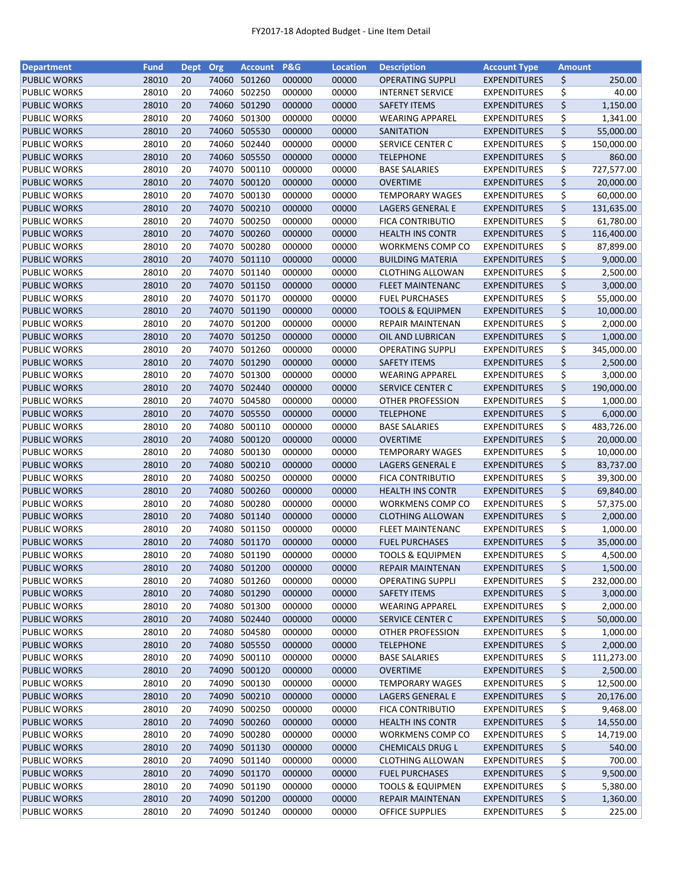| <b>Department</b>   | <b>Fund</b> | Dept Org |       | <b>Account</b> | <b>P&amp;G</b> | <b>Location</b> | <b>Description</b>                                   | <b>Account Type</b> | <b>Amount</b> |            |
|---------------------|-------------|----------|-------|----------------|----------------|-----------------|------------------------------------------------------|---------------------|---------------|------------|
| <b>PUBLIC WORKS</b> | 28010       | 20       | 74060 | 501260         | 000000         | 00000           | <b>OPERATING SUPPLI</b>                              | <b>EXPENDITURES</b> | \$            | 250.00     |
| <b>PUBLIC WORKS</b> | 28010       | 20       | 74060 | 502250         | 000000         | 00000           | <b>INTERNET SERVICE</b>                              | <b>EXPENDITURES</b> | \$            | 40.00      |
| <b>PUBLIC WORKS</b> | 28010       | 20       | 74060 | 501290         | 000000         | 00000           | <b>SAFETY ITEMS</b>                                  | <b>EXPENDITURES</b> | \$            | 1,150.00   |
| PUBLIC WORKS        | 28010       | 20       | 74060 | 501300         | 000000         | 00000           | <b>WEARING APPAREL</b>                               | <b>EXPENDITURES</b> | \$            | 1,341.00   |
| <b>PUBLIC WORKS</b> | 28010       | 20       | 74060 | 505530         | 000000         | 00000           | SANITATION                                           | <b>EXPENDITURES</b> | \$            | 55,000.00  |
| PUBLIC WORKS        | 28010       | 20       | 74060 | 502440         | 000000         | 00000           | SERVICE CENTER C                                     | <b>EXPENDITURES</b> | \$            | 150,000.00 |
| <b>PUBLIC WORKS</b> | 28010       | 20       | 74060 | 505550         | 000000         | 00000           | <b>TELEPHONE</b>                                     | <b>EXPENDITURES</b> | \$            | 860.00     |
| <b>PUBLIC WORKS</b> | 28010       | 20       | 74070 | 500110         | 000000         | 00000           | <b>BASE SALARIES</b>                                 | <b>EXPENDITURES</b> | \$            | 727,577.00 |
| <b>PUBLIC WORKS</b> | 28010       | 20       | 74070 | 500120         | 000000         | 00000           | <b>OVERTIME</b>                                      | <b>EXPENDITURES</b> | \$            | 20,000.00  |
| <b>PUBLIC WORKS</b> | 28010       | 20       | 74070 | 500130         | 000000         | 00000           | <b>TEMPORARY WAGES</b>                               | <b>EXPENDITURES</b> | \$            | 60,000.00  |
| <b>PUBLIC WORKS</b> | 28010       | 20       | 74070 | 500210         | 000000         | 00000           | LAGERS GENERAL E                                     | <b>EXPENDITURES</b> | \$            | 131,635.00 |
| PUBLIC WORKS        | 28010       | 20       | 74070 | 500250         | 000000         | 00000           | FICA CONTRIBUTIO                                     | <b>EXPENDITURES</b> | \$            | 61,780.00  |
| <b>PUBLIC WORKS</b> | 28010       | 20       | 74070 | 500260         | 000000         | 00000           | <b>HEALTH INS CONTR</b>                              | <b>EXPENDITURES</b> | \$            | 116,400.00 |
| <b>PUBLIC WORKS</b> | 28010       | 20       | 74070 | 500280         | 000000         | 00000           | WORKMENS COMP CO                                     | <b>EXPENDITURES</b> | \$            | 87,899.00  |
| <b>PUBLIC WORKS</b> | 28010       | 20       | 74070 | 501110         | 000000         | 00000           | <b>BUILDING MATERIA</b>                              | <b>EXPENDITURES</b> | \$            | 9,000.00   |
| <b>PUBLIC WORKS</b> | 28010       | 20       | 74070 | 501140         | 000000         | 00000           | <b>CLOTHING ALLOWAN</b>                              | <b>EXPENDITURES</b> | \$            | 2,500.00   |
| <b>PUBLIC WORKS</b> | 28010       | 20       | 74070 | 501150         | 000000         | 00000           | <b>FLEET MAINTENANC</b>                              | <b>EXPENDITURES</b> | \$            | 3,000.00   |
| <b>PUBLIC WORKS</b> | 28010       | 20       | 74070 | 501170         | 000000         | 00000           | <b>FUEL PURCHASES</b>                                | <b>EXPENDITURES</b> | \$            | 55,000.00  |
| <b>PUBLIC WORKS</b> | 28010       | 20       | 74070 | 501190         | 000000         | 00000           | <b>TOOLS &amp; EQUIPMEN</b>                          | <b>EXPENDITURES</b> | \$            | 10,000.00  |
| <b>PUBLIC WORKS</b> | 28010       | 20       | 74070 | 501200         | 000000         | 00000           | <b>REPAIR MAINTENAN</b>                              | <b>EXPENDITURES</b> | \$            | 2,000.00   |
| <b>PUBLIC WORKS</b> | 28010       | 20       | 74070 | 501250         | 000000         | 00000           | OIL AND LUBRICAN                                     | <b>EXPENDITURES</b> | \$            | 1,000.00   |
| <b>PUBLIC WORKS</b> | 28010       | 20       | 74070 | 501260         | 000000         | 00000           | <b>OPERATING SUPPLI</b>                              | <b>EXPENDITURES</b> | \$            | 345,000.00 |
| <b>PUBLIC WORKS</b> | 28010       | 20       | 74070 | 501290         | 000000         | 00000           | <b>SAFETY ITEMS</b>                                  | <b>EXPENDITURES</b> | \$            | 2,500.00   |
| PUBLIC WORKS        | 28010       | 20       | 74070 | 501300         | 000000         | 00000           | <b>WEARING APPAREL</b>                               | <b>EXPENDITURES</b> | \$            | 3,000.00   |
| <b>PUBLIC WORKS</b> | 28010       | 20       |       | 74070 502440   | 000000         | 00000           | SERVICE CENTER C                                     | <b>EXPENDITURES</b> | \$            | 190,000.00 |
| PUBLIC WORKS        | 28010       | 20       | 74070 | 504580         | 000000         | 00000           | OTHER PROFESSION                                     | <b>EXPENDITURES</b> | \$            | 1,000.00   |
| <b>PUBLIC WORKS</b> | 28010       | 20       | 74070 | 505550         | 000000         | 00000           | <b>TELEPHONE</b>                                     | <b>EXPENDITURES</b> | \$            | 6,000.00   |
| <b>PUBLIC WORKS</b> | 28010       | 20       | 74080 | 500110         | 000000         | 00000           | <b>BASE SALARIES</b>                                 | <b>EXPENDITURES</b> | \$            | 483,726.00 |
| <b>PUBLIC WORKS</b> | 28010       | 20       | 74080 | 500120         | 000000         | 00000           | <b>OVERTIME</b>                                      | <b>EXPENDITURES</b> | \$            | 20,000.00  |
| PUBLIC WORKS        | 28010       | 20       | 74080 | 500130         | 000000         | 00000           | <b>TEMPORARY WAGES</b>                               | <b>EXPENDITURES</b> | \$            | 10,000.00  |
| <b>PUBLIC WORKS</b> | 28010       | 20       | 74080 | 500210         | 000000         | 00000           | LAGERS GENERAL E                                     | <b>EXPENDITURES</b> | \$            | 83,737.00  |
| PUBLIC WORKS        | 28010       | 20       | 74080 | 500250         | 000000         | 00000           | <b>FICA CONTRIBUTIO</b>                              | <b>EXPENDITURES</b> | \$            | 39,300.00  |
| <b>PUBLIC WORKS</b> | 28010       | 20       | 74080 | 500260         | 000000         | 00000           | <b>HEALTH INS CONTR</b>                              | <b>EXPENDITURES</b> | \$            | 69,840.00  |
| <b>PUBLIC WORKS</b> | 28010       | 20       | 74080 | 500280         | 000000         | 00000           | WORKMENS COMP CO                                     | <b>EXPENDITURES</b> | \$            | 57,375.00  |
| <b>PUBLIC WORKS</b> | 28010       | 20       | 74080 | 501140         | 000000         | 00000           | <b>CLOTHING ALLOWAN</b>                              | <b>EXPENDITURES</b> | \$            | 2,000.00   |
| PUBLIC WORKS        | 28010       | 20       | 74080 | 501150         | 000000         | 00000           | <b>FLEET MAINTENANC</b>                              | <b>EXPENDITURES</b> | \$            | 1,000.00   |
| <b>PUBLIC WORKS</b> | 28010       | 20       |       | 74080 501170   | 000000         |                 |                                                      | <b>EXPENDITURES</b> | \$            | 35,000.00  |
| <b>PUBLIC WORKS</b> | 28010       | 20       |       | 74080 501190   | 000000         | 00000<br>00000  | <b>FUEL PURCHASES</b><br><b>TOOLS &amp; EQUIPMEN</b> | <b>EXPENDITURES</b> | \$            | 4,500.00   |
|                     |             |          |       |                |                |                 |                                                      |                     |               |            |
| <b>PUBLIC WORKS</b> | 28010       | 20       |       | 74080 501200   | 000000         | 00000           | <b>REPAIR MAINTENAN</b>                              | <b>EXPENDITURES</b> | \$            | 1,500.00   |
| <b>PUBLIC WORKS</b> | 28010       | 20       | 74080 | 501260         | 000000         | 00000           | <b>OPERATING SUPPLI</b>                              | <b>EXPENDITURES</b> | \$            | 232,000.00 |
| <b>PUBLIC WORKS</b> | 28010       | 20       | 74080 | 501290         | 000000         | 00000           | <b>SAFETY ITEMS</b>                                  | <b>EXPENDITURES</b> | \$            | 3,000.00   |
| PUBLIC WORKS        | 28010       | 20       | 74080 | 501300         | 000000         | 00000           | <b>WEARING APPAREL</b>                               | <b>EXPENDITURES</b> | \$            | 2,000.00   |
| <b>PUBLIC WORKS</b> | 28010       | 20       |       | 74080 502440   | 000000         | 00000           | SERVICE CENTER C                                     | <b>EXPENDITURES</b> | \$            | 50,000.00  |
| <b>PUBLIC WORKS</b> | 28010       | 20       |       | 74080 504580   | 000000         | 00000           | OTHER PROFESSION                                     | <b>EXPENDITURES</b> | \$            | 1,000.00   |
| <b>PUBLIC WORKS</b> | 28010       | 20       |       | 74080 505550   | 000000         | 00000           | <b>TELEPHONE</b>                                     | <b>EXPENDITURES</b> | \$            | 2,000.00   |
| <b>PUBLIC WORKS</b> | 28010       | 20       |       | 74090 500110   | 000000         | 00000           | <b>BASE SALARIES</b>                                 | <b>EXPENDITURES</b> | \$            | 111,273.00 |
| <b>PUBLIC WORKS</b> | 28010       | 20       |       | 74090 500120   | 000000         | 00000           | <b>OVERTIME</b>                                      | <b>EXPENDITURES</b> | \$            | 2,500.00   |
| PUBLIC WORKS        | 28010       | 20       |       | 74090 500130   | 000000         | 00000           | <b>TEMPORARY WAGES</b>                               | <b>EXPENDITURES</b> | \$            | 12,500.00  |
| <b>PUBLIC WORKS</b> | 28010       | 20       |       | 74090 500210   | 000000         | 00000           | LAGERS GENERAL E                                     | <b>EXPENDITURES</b> | \$            | 20,176.00  |
| PUBLIC WORKS        | 28010       | 20       |       | 74090 500250   | 000000         | 00000           | FICA CONTRIBUTIO                                     | <b>EXPENDITURES</b> | \$            | 9,468.00   |
| <b>PUBLIC WORKS</b> | 28010       | 20       |       | 74090 500260   | 000000         | 00000           | <b>HEALTH INS CONTR</b>                              | <b>EXPENDITURES</b> | \$            | 14,550.00  |
| PUBLIC WORKS        | 28010       | 20       | 74090 | 500280         | 000000         | 00000           | WORKMENS COMP CO                                     | <b>EXPENDITURES</b> | \$            | 14,719.00  |
| <b>PUBLIC WORKS</b> | 28010       | 20       | 74090 | 501130         | 000000         | 00000           | <b>CHEMICALS DRUG L</b>                              | <b>EXPENDITURES</b> | \$            | 540.00     |
| PUBLIC WORKS        | 28010       | 20       | 74090 | 501140         | 000000         | 00000           | <b>CLOTHING ALLOWAN</b>                              | <b>EXPENDITURES</b> | \$            | 700.00     |
| <b>PUBLIC WORKS</b> | 28010       | 20       |       | 74090 501170   | 000000         | 00000           | <b>FUEL PURCHASES</b>                                | <b>EXPENDITURES</b> | \$            | 9,500.00   |
| PUBLIC WORKS        | 28010       | 20       |       | 74090 501190   | 000000         | 00000           | <b>TOOLS &amp; EQUIPMEN</b>                          | <b>EXPENDITURES</b> | \$            | 5,380.00   |
| <b>PUBLIC WORKS</b> | 28010       | 20       |       | 74090 501200   | 000000         | 00000           | <b>REPAIR MAINTENAN</b>                              | <b>EXPENDITURES</b> | \$            | 1,360.00   |
| <b>PUBLIC WORKS</b> | 28010       | 20       |       | 74090 501240   | 000000         | 00000           | <b>OFFICE SUPPLIES</b>                               | <b>EXPENDITURES</b> | \$            | 225.00     |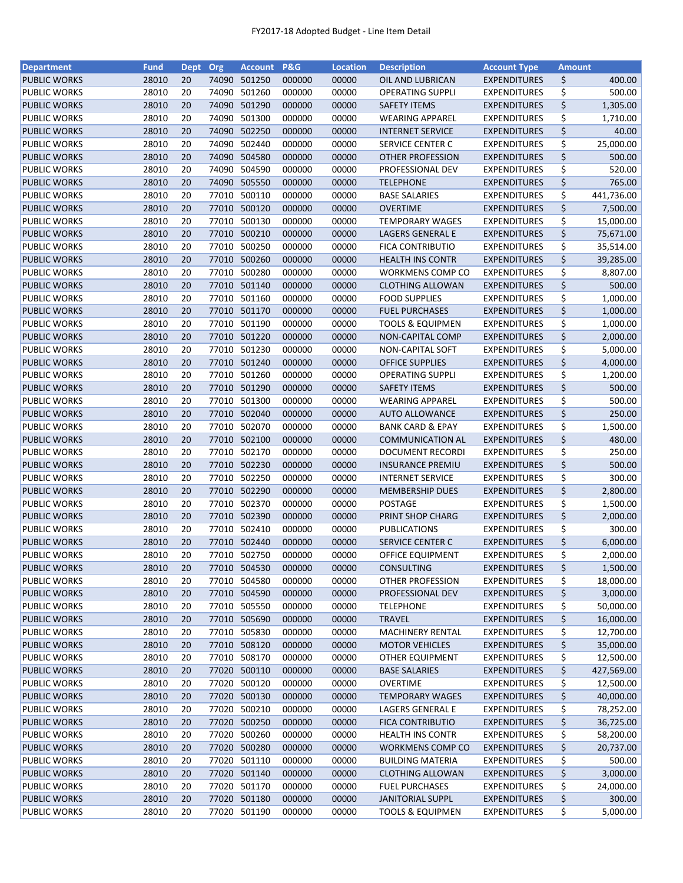| <b>Department</b>   | <b>Fund</b> | Dept Org |       | <b>Account</b> | <b>P&amp;G</b> | <b>Location</b> | <b>Description</b>          | <b>Account Type</b> | <b>Amount</b> |            |
|---------------------|-------------|----------|-------|----------------|----------------|-----------------|-----------------------------|---------------------|---------------|------------|
| <b>PUBLIC WORKS</b> | 28010       | 20       | 74090 | 501250         | 000000         | 00000           | OIL AND LUBRICAN            | <b>EXPENDITURES</b> | \$            | 400.00     |
| PUBLIC WORKS        | 28010       | 20       | 74090 | 501260         | 000000         | 00000           | <b>OPERATING SUPPLI</b>     | <b>EXPENDITURES</b> | \$            | 500.00     |
| <b>PUBLIC WORKS</b> | 28010       | 20       | 74090 | 501290         | 000000         | 00000           | <b>SAFETY ITEMS</b>         | <b>EXPENDITURES</b> | \$            | 1,305.00   |
| PUBLIC WORKS        | 28010       | 20       | 74090 | 501300         | 000000         | 00000           | <b>WEARING APPAREL</b>      | <b>EXPENDITURES</b> | \$            | 1,710.00   |
| <b>PUBLIC WORKS</b> | 28010       | 20       | 74090 | 502250         | 000000         | 00000           | <b>INTERNET SERVICE</b>     | <b>EXPENDITURES</b> | \$            | 40.00      |
| <b>PUBLIC WORKS</b> | 28010       | 20       | 74090 | 502440         | 000000         | 00000           | SERVICE CENTER C            | <b>EXPENDITURES</b> | \$            | 25,000.00  |
| <b>PUBLIC WORKS</b> | 28010       | 20       | 74090 | 504580         | 000000         | 00000           | <b>OTHER PROFESSION</b>     | <b>EXPENDITURES</b> | \$            | 500.00     |
| PUBLIC WORKS        | 28010       | 20       | 74090 | 504590         | 000000         | 00000           | PROFESSIONAL DEV            | <b>EXPENDITURES</b> | \$            | 520.00     |
| <b>PUBLIC WORKS</b> | 28010       | 20       |       | 74090 505550   | 000000         | 00000           | <b>TELEPHONE</b>            | <b>EXPENDITURES</b> | \$            | 765.00     |
| PUBLIC WORKS        | 28010       | 20       | 77010 | 500110         | 000000         | 00000           | <b>BASE SALARIES</b>        | <b>EXPENDITURES</b> | \$            | 441,736.00 |
|                     |             | 20       |       |                |                |                 |                             |                     |               |            |
| <b>PUBLIC WORKS</b> | 28010       |          |       | 77010 500120   | 000000         | 00000           | <b>OVERTIME</b>             | <b>EXPENDITURES</b> | \$            | 7,500.00   |
| <b>PUBLIC WORKS</b> | 28010       | 20       | 77010 | 500130         | 000000         | 00000           | <b>TEMPORARY WAGES</b>      | <b>EXPENDITURES</b> | \$            | 15,000.00  |
| <b>PUBLIC WORKS</b> | 28010       | 20       | 77010 | 500210         | 000000         | 00000           | LAGERS GENERAL E            | <b>EXPENDITURES</b> | \$            | 75,671.00  |
| PUBLIC WORKS        | 28010       | 20       | 77010 | 500250         | 000000         | 00000           | FICA CONTRIBUTIO            | <b>EXPENDITURES</b> | \$            | 35,514.00  |
| <b>PUBLIC WORKS</b> | 28010       | 20       | 77010 | 500260         | 000000         | 00000           | <b>HEALTH INS CONTR</b>     | <b>EXPENDITURES</b> | \$            | 39,285.00  |
| PUBLIC WORKS        | 28010       | 20       | 77010 | 500280         | 000000         | 00000           | <b>WORKMENS COMP CO</b>     | <b>EXPENDITURES</b> | \$            | 8,807.00   |
| <b>PUBLIC WORKS</b> | 28010       | 20       |       | 77010 501140   | 000000         | 00000           | <b>CLOTHING ALLOWAN</b>     | <b>EXPENDITURES</b> | \$            | 500.00     |
| PUBLIC WORKS        | 28010       | 20       |       | 77010 501160   | 000000         | 00000           | <b>FOOD SUPPLIES</b>        | <b>EXPENDITURES</b> | \$            | 1,000.00   |
| <b>PUBLIC WORKS</b> | 28010       | 20       |       | 77010 501170   | 000000         | 00000           | <b>FUEL PURCHASES</b>       | <b>EXPENDITURES</b> | \$            | 1,000.00   |
| PUBLIC WORKS        | 28010       | 20       |       | 77010 501190   | 000000         | 00000           | <b>TOOLS &amp; EQUIPMEN</b> | <b>EXPENDITURES</b> | \$            | 1,000.00   |
| <b>PUBLIC WORKS</b> | 28010       | 20       |       | 77010 501220   | 000000         | 00000           | NON-CAPITAL COMP            | <b>EXPENDITURES</b> | \$            | 2,000.00   |
| PUBLIC WORKS        | 28010       | 20       |       | 77010 501230   | 000000         | 00000           | NON-CAPITAL SOFT            | <b>EXPENDITURES</b> | \$            | 5,000.00   |
| <b>PUBLIC WORKS</b> | 28010       | 20       |       | 77010 501240   | 000000         | 00000           | <b>OFFICE SUPPLIES</b>      | <b>EXPENDITURES</b> | \$            | 4,000.00   |
| PUBLIC WORKS        | 28010       | 20       |       | 77010 501260   | 000000         | 00000           | <b>OPERATING SUPPLI</b>     | <b>EXPENDITURES</b> | \$            | 1,200.00   |
| <b>PUBLIC WORKS</b> | 28010       | 20       | 77010 | 501290         | 000000         | 00000           | <b>SAFETY ITEMS</b>         | <b>EXPENDITURES</b> | \$            | 500.00     |
| PUBLIC WORKS        | 28010       | 20       | 77010 | 501300         | 000000         | 00000           | <b>WEARING APPAREL</b>      | <b>EXPENDITURES</b> | \$            | 500.00     |
| <b>PUBLIC WORKS</b> | 28010       | 20       | 77010 | 502040         | 000000         | 00000           | <b>AUTO ALLOWANCE</b>       | <b>EXPENDITURES</b> | \$            | 250.00     |
| PUBLIC WORKS        | 28010       | 20       | 77010 | 502070         | 000000         | 00000           | <b>BANK CARD &amp; EPAY</b> | <b>EXPENDITURES</b> | \$            | 1,500.00   |
|                     |             |          |       |                |                |                 |                             |                     |               |            |
| <b>PUBLIC WORKS</b> | 28010       | 20       |       | 77010 502100   | 000000         | 00000           | <b>COMMUNICATION AL</b>     | <b>EXPENDITURES</b> | \$            | 480.00     |
| PUBLIC WORKS        | 28010       | 20       | 77010 | 502170         | 000000         | 00000           | <b>DOCUMENT RECORDI</b>     | <b>EXPENDITURES</b> | \$            | 250.00     |
| <b>PUBLIC WORKS</b> | 28010       | 20       |       | 77010 502230   | 000000         | 00000           | <b>INSURANCE PREMIU</b>     | <b>EXPENDITURES</b> | \$            | 500.00     |
| PUBLIC WORKS        | 28010       | 20       | 77010 | 502250         | 000000         | 00000           | <b>INTERNET SERVICE</b>     | <b>EXPENDITURES</b> | \$            | 300.00     |
| <b>PUBLIC WORKS</b> | 28010       | 20       |       | 77010 502290   | 000000         | 00000           | <b>MEMBERSHIP DUES</b>      | <b>EXPENDITURES</b> | \$            | 2,800.00   |
| PUBLIC WORKS        | 28010       | 20       |       | 77010 502370   | 000000         | 00000           | <b>POSTAGE</b>              | <b>EXPENDITURES</b> | \$            | 1,500.00   |
| <b>PUBLIC WORKS</b> | 28010       | 20       |       | 77010 502390   | 000000         | 00000           | PRINT SHOP CHARG            | <b>EXPENDITURES</b> | \$            | 2,000.00   |
| <b>PUBLIC WORKS</b> | 28010       | 20       |       | 77010 502410   | 000000         | 00000           | <b>PUBLICATIONS</b>         | <b>EXPENDITURES</b> | \$            | 300.00     |
| <b>PUBLIC WORKS</b> | 28010       | 20       |       | 77010 502440   | 000000         | 00000           | SERVICE CENTER C            | <b>EXPENDITURES</b> | \$            | 6,000.00   |
| <b>PUBLIC WORKS</b> | 28010       | 20       |       | 77010 502750   | 000000         | 00000           | <b>OFFICE EQUIPMENT</b>     | <b>EXPENDITURES</b> | \$            | 2,000.00   |
| <b>PUBLIC WORKS</b> | 28010       | 20       |       | 77010 504530   | 000000         | 00000           | <b>CONSULTING</b>           | <b>EXPENDITURES</b> | \$            | 1,500.00   |
| PUBLIC WORKS        | 28010       | 20       |       | 77010 504580   | 000000         | 00000           | OTHER PROFESSION            | <b>EXPENDITURES</b> | \$            | 18,000.00  |
| <b>PUBLIC WORKS</b> | 28010       | 20       |       | 77010 504590   | 000000         | 00000           | <b>PROFESSIONAL DEV</b>     | <b>EXPENDITURES</b> | \$            | 3,000.00   |
| PUBLIC WORKS        | 28010       | 20       |       | 77010 505550   | 000000         | 00000           | <b>TELEPHONE</b>            | <b>EXPENDITURES</b> | \$            | 50,000.00  |
| <b>PUBLIC WORKS</b> | 28010       | 20       |       | 77010 505690   | 000000         | 00000           | <b>TRAVEL</b>               | <b>EXPENDITURES</b> | \$            | 16,000.00  |
| PUBLIC WORKS        | 28010       | 20       |       | 77010 505830   | 000000         | 00000           | MACHINERY RENTAL            | <b>EXPENDITURES</b> | \$            | 12,700.00  |
| <b>PUBLIC WORKS</b> | 28010       | 20       |       | 77010 508120   | 000000         | 00000           | <b>MOTOR VEHICLES</b>       | <b>EXPENDITURES</b> | \$            | 35,000.00  |
| PUBLIC WORKS        | 28010       | 20       |       | 77010 508170   | 000000         | 00000           | OTHER EQUIPMENT             | <b>EXPENDITURES</b> | \$            | 12,500.00  |
| <b>PUBLIC WORKS</b> | 28010       | 20       |       | 77020 500110   | 000000         | 00000           | <b>BASE SALARIES</b>        | <b>EXPENDITURES</b> | \$            | 427,569.00 |
| <b>PUBLIC WORKS</b> | 28010       | 20       |       | 77020 500120   | 000000         | 00000           | <b>OVERTIME</b>             | <b>EXPENDITURES</b> | \$            | 12,500.00  |
| <b>PUBLIC WORKS</b> | 28010       | 20       |       | 77020 500130   | 000000         | 00000           | <b>TEMPORARY WAGES</b>      | <b>EXPENDITURES</b> | \$            | 40,000.00  |
|                     |             |          |       |                |                |                 |                             |                     |               |            |
| PUBLIC WORKS        | 28010       | 20       |       | 77020 500210   | 000000         | 00000           | LAGERS GENERAL E            | <b>EXPENDITURES</b> | \$            | 78,252.00  |
| <b>PUBLIC WORKS</b> | 28010       | 20       | 77020 | 500250         | 000000         | 00000           | <b>FICA CONTRIBUTIO</b>     | <b>EXPENDITURES</b> | \$            | 36,725.00  |
| PUBLIC WORKS        | 28010       | 20       | 77020 | 500260         | 000000         | 00000           | <b>HEALTH INS CONTR</b>     | <b>EXPENDITURES</b> | \$            | 58,200.00  |
| <b>PUBLIC WORKS</b> | 28010       | 20       |       | 77020 500280   | 000000         | 00000           | <b>WORKMENS COMP CO</b>     | <b>EXPENDITURES</b> | \$            | 20,737.00  |
| PUBLIC WORKS        | 28010       | 20       |       | 77020 501110   | 000000         | 00000           | <b>BUILDING MATERIA</b>     | <b>EXPENDITURES</b> | \$            | 500.00     |
| <b>PUBLIC WORKS</b> | 28010       | 20       |       | 77020 501140   | 000000         | 00000           | <b>CLOTHING ALLOWAN</b>     | <b>EXPENDITURES</b> | \$            | 3,000.00   |
| PUBLIC WORKS        | 28010       | 20       |       | 77020 501170   | 000000         | 00000           | <b>FUEL PURCHASES</b>       | <b>EXPENDITURES</b> | \$            | 24,000.00  |
| <b>PUBLIC WORKS</b> | 28010       | 20       |       | 77020 501180   | 000000         | 00000           | <b>JANITORIAL SUPPL</b>     | <b>EXPENDITURES</b> | \$            | 300.00     |
| PUBLIC WORKS        | 28010       | 20       |       | 77020 501190   | 000000         | 00000           | <b>TOOLS &amp; EQUIPMEN</b> | <b>EXPENDITURES</b> | \$            | 5,000.00   |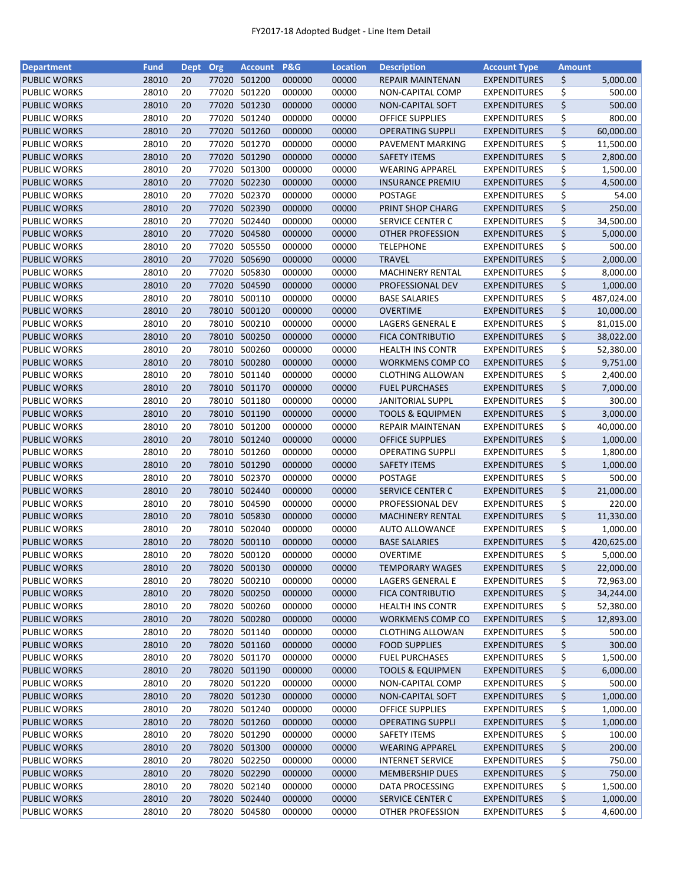| <b>Department</b>   | <b>Fund</b> | Dept Org |       | <b>Account</b> | <b>P&amp;G</b> | <b>Location</b> | <b>Description</b>          | <b>Account Type</b> | <b>Amount</b> |            |
|---------------------|-------------|----------|-------|----------------|----------------|-----------------|-----------------------------|---------------------|---------------|------------|
| <b>PUBLIC WORKS</b> | 28010       | 20       |       | 77020 501200   | 000000         | 00000           | <b>REPAIR MAINTENAN</b>     | <b>EXPENDITURES</b> | \$            | 5,000.00   |
| <b>PUBLIC WORKS</b> | 28010       | 20       | 77020 | 501220         | 000000         | 00000           | NON-CAPITAL COMP            | <b>EXPENDITURES</b> | \$            | 500.00     |
| <b>PUBLIC WORKS</b> | 28010       | 20       | 77020 | 501230         | 000000         | 00000           | NON-CAPITAL SOFT            | <b>EXPENDITURES</b> | \$            | 500.00     |
| PUBLIC WORKS        | 28010       | 20       | 77020 | 501240         | 000000         | 00000           | <b>OFFICE SUPPLIES</b>      | <b>EXPENDITURES</b> | \$            | 800.00     |
| <b>PUBLIC WORKS</b> | 28010       | 20       | 77020 | 501260         | 000000         | 00000           | <b>OPERATING SUPPLI</b>     | <b>EXPENDITURES</b> | \$            | 60,000.00  |
| PUBLIC WORKS        | 28010       | 20       | 77020 | 501270         | 000000         | 00000           | PAVEMENT MARKING            | <b>EXPENDITURES</b> | \$            | 11,500.00  |
| <b>PUBLIC WORKS</b> | 28010       | 20       |       | 77020 501290   | 000000         | 00000           | <b>SAFETY ITEMS</b>         | <b>EXPENDITURES</b> | \$            | 2,800.00   |
| <b>PUBLIC WORKS</b> | 28010       | 20       | 77020 | 501300         | 000000         | 00000           | <b>WEARING APPAREL</b>      | <b>EXPENDITURES</b> | \$            | 1,500.00   |
| <b>PUBLIC WORKS</b> | 28010       | 20       |       | 77020 502230   | 000000         | 00000           | <b>INSURANCE PREMIU</b>     | <b>EXPENDITURES</b> | \$            | 4,500.00   |
| PUBLIC WORKS        | 28010       | 20       | 77020 | 502370         | 000000         | 00000           | POSTAGE                     | <b>EXPENDITURES</b> | \$            | 54.00      |
| <b>PUBLIC WORKS</b> | 28010       | 20       |       | 77020 502390   | 000000         | 00000           | PRINT SHOP CHARG            | <b>EXPENDITURES</b> | \$            | 250.00     |
| <b>PUBLIC WORKS</b> | 28010       | 20       | 77020 | 502440         | 000000         | 00000           | <b>SERVICE CENTER C</b>     | <b>EXPENDITURES</b> | \$            | 34,500.00  |
| <b>PUBLIC WORKS</b> | 28010       | 20       |       | 77020 504580   | 000000         | 00000           | OTHER PROFESSION            | <b>EXPENDITURES</b> | \$            | 5,000.00   |
| <b>PUBLIC WORKS</b> | 28010       | 20       | 77020 | 505550         | 000000         | 00000           | <b>TELEPHONE</b>            | <b>EXPENDITURES</b> | \$            | 500.00     |
| <b>PUBLIC WORKS</b> | 28010       | 20       | 77020 | 505690         | 000000         | 00000           | <b>TRAVEL</b>               | <b>EXPENDITURES</b> | \$            | 2,000.00   |
| <b>PUBLIC WORKS</b> | 28010       | 20       | 77020 | 505830         | 000000         | 00000           | <b>MACHINERY RENTAL</b>     | <b>EXPENDITURES</b> | \$            | 8,000.00   |
| <b>PUBLIC WORKS</b> | 28010       | 20       | 77020 | 504590         | 000000         | 00000           | PROFESSIONAL DEV            | <b>EXPENDITURES</b> | \$            | 1,000.00   |
| <b>PUBLIC WORKS</b> | 28010       | 20       | 78010 | 500110         | 000000         | 00000           | <b>BASE SALARIES</b>        | <b>EXPENDITURES</b> | \$            | 487,024.00 |
| <b>PUBLIC WORKS</b> | 28010       | 20       |       | 78010 500120   | 000000         | 00000           | <b>OVERTIME</b>             | <b>EXPENDITURES</b> | \$            | 10,000.00  |
| <b>PUBLIC WORKS</b> | 28010       | 20       | 78010 | 500210         | 000000         | 00000           | LAGERS GENERAL E            | <b>EXPENDITURES</b> | \$            | 81,015.00  |
| <b>PUBLIC WORKS</b> | 28010       | 20       | 78010 | 500250         | 000000         | 00000           | <b>FICA CONTRIBUTIO</b>     | <b>EXPENDITURES</b> | \$            | 38,022.00  |
| <b>PUBLIC WORKS</b> | 28010       | 20       | 78010 | 500260         | 000000         | 00000           | <b>HEALTH INS CONTR</b>     | <b>EXPENDITURES</b> | \$            | 52,380.00  |
|                     | 28010       | 20       |       | 78010 500280   | 000000         | 00000           |                             |                     | \$            | 9,751.00   |
| <b>PUBLIC WORKS</b> | 28010       | 20       |       | 78010 501140   | 000000         |                 | <b>WORKMENS COMP CO</b>     | <b>EXPENDITURES</b> | \$            | 2,400.00   |
| PUBLIC WORKS        | 28010       | 20       |       | 78010 501170   | 000000         | 00000           | <b>CLOTHING ALLOWAN</b>     | <b>EXPENDITURES</b> | \$            |            |
| <b>PUBLIC WORKS</b> |             |          |       |                |                | 00000           | <b>FUEL PURCHASES</b>       | <b>EXPENDITURES</b> |               | 7,000.00   |
| PUBLIC WORKS        | 28010       | 20       | 78010 | 501180         | 000000         | 00000           | <b>JANITORIAL SUPPL</b>     | <b>EXPENDITURES</b> | \$            | 300.00     |
| <b>PUBLIC WORKS</b> | 28010       | 20       | 78010 | 501190         | 000000         | 00000           | <b>TOOLS &amp; EQUIPMEN</b> | <b>EXPENDITURES</b> | \$            | 3,000.00   |
| <b>PUBLIC WORKS</b> | 28010       | 20       | 78010 | 501200         | 000000         | 00000           | <b>REPAIR MAINTENAN</b>     | <b>EXPENDITURES</b> | \$            | 40,000.00  |
| <b>PUBLIC WORKS</b> | 28010       | 20       | 78010 | 501240         | 000000         | 00000           | <b>OFFICE SUPPLIES</b>      | <b>EXPENDITURES</b> | \$            | 1,000.00   |
| PUBLIC WORKS        | 28010       | 20       | 78010 | 501260         | 000000         | 00000           | <b>OPERATING SUPPLI</b>     | <b>EXPENDITURES</b> | \$            | 1,800.00   |
| <b>PUBLIC WORKS</b> | 28010       | 20       | 78010 | 501290         | 000000         | 00000           | <b>SAFETY ITEMS</b>         | <b>EXPENDITURES</b> | \$            | 1,000.00   |
| PUBLIC WORKS        | 28010       | 20       | 78010 | 502370         | 000000         | 00000           | <b>POSTAGE</b>              | <b>EXPENDITURES</b> | \$            | 500.00     |
| <b>PUBLIC WORKS</b> | 28010       | 20       | 78010 | 502440         | 000000         | 00000           | <b>SERVICE CENTER C</b>     | <b>EXPENDITURES</b> | \$            | 21,000.00  |
| <b>PUBLIC WORKS</b> | 28010       | 20       | 78010 | 504590         | 000000         | 00000           | PROFESSIONAL DEV            | <b>EXPENDITURES</b> | \$            | 220.00     |
| <b>PUBLIC WORKS</b> | 28010       | 20       | 78010 | 505830         | 000000         | 00000           | <b>MACHINERY RENTAL</b>     | <b>EXPENDITURES</b> | \$            | 11,330.00  |
| <b>PUBLIC WORKS</b> | 28010       | 20       | 78010 | 502040         | 000000         | 00000           | <b>AUTO ALLOWANCE</b>       | <b>EXPENDITURES</b> | \$            | 1,000.00   |
| <b>PUBLIC WORKS</b> | 28010       | 20       |       | 78020 500110   | 000000         | 00000           | <b>BASE SALARIES</b>        | <b>EXPENDITURES</b> | \$            | 420,625.00 |
| <b>PUBLIC WORKS</b> | 28010       | 20       |       | 78020 500120   | 000000         | 00000           | <b>OVERTIME</b>             | <b>EXPENDITURES</b> | \$            | 5,000.00   |
| <b>PUBLIC WORKS</b> | 28010       | 20       |       | 78020 500130   | 000000         | 00000           | <b>TEMPORARY WAGES</b>      | <b>EXPENDITURES</b> | \$            | 22,000.00  |
| <b>PUBLIC WORKS</b> | 28010       | 20       | 78020 | 500210         | 000000         | 00000           | LAGERS GENERAL E            | <b>EXPENDITURES</b> | \$            | 72,963.00  |
| <b>PUBLIC WORKS</b> | 28010       | 20       | 78020 | 500250         | 000000         | 00000           | <b>FICA CONTRIBUTIO</b>     | <b>EXPENDITURES</b> | \$            | 34,244.00  |
| PUBLIC WORKS        | 28010       | 20       | 78020 | 500260         | 000000         | 00000           | <b>HEALTH INS CONTR</b>     | <b>EXPENDITURES</b> | \$            | 52,380.00  |
| <b>PUBLIC WORKS</b> | 28010       | 20       |       | 78020 500280   | 000000         | 00000           | WORKMENS COMP CO            | <b>EXPENDITURES</b> | \$            | 12,893.00  |
| <b>PUBLIC WORKS</b> | 28010       | 20       |       | 78020 501140   | 000000         | 00000           | <b>CLOTHING ALLOWAN</b>     | <b>EXPENDITURES</b> | \$            | 500.00     |
| <b>PUBLIC WORKS</b> | 28010       | 20       |       | 78020 501160   | 000000         | 00000           | <b>FOOD SUPPLIES</b>        | <b>EXPENDITURES</b> | \$            | 300.00     |
| <b>PUBLIC WORKS</b> | 28010       | 20       |       | 78020 501170   | 000000         | 00000           | <b>FUEL PURCHASES</b>       | <b>EXPENDITURES</b> | \$            | 1,500.00   |
| <b>PUBLIC WORKS</b> | 28010       | 20       |       | 78020 501190   | 000000         | 00000           | <b>TOOLS &amp; EQUIPMEN</b> | <b>EXPENDITURES</b> | \$            | 6,000.00   |
| PUBLIC WORKS        | 28010       | 20       |       | 78020 501220   | 000000         | 00000           | NON-CAPITAL COMP            | <b>EXPENDITURES</b> | \$            | 500.00     |
| <b>PUBLIC WORKS</b> | 28010       | 20       |       | 78020 501230   | 000000         | 00000           | <b>NON-CAPITAL SOFT</b>     | <b>EXPENDITURES</b> | \$            | 1,000.00   |
| PUBLIC WORKS        | 28010       | 20       |       | 78020 501240   | 000000         | 00000           | <b>OFFICE SUPPLIES</b>      | <b>EXPENDITURES</b> | \$            | 1,000.00   |
| <b>PUBLIC WORKS</b> | 28010       | 20       |       | 78020 501260   | 000000         | 00000           | <b>OPERATING SUPPLI</b>     | <b>EXPENDITURES</b> | \$            | 1,000.00   |
| PUBLIC WORKS        | 28010       | 20       | 78020 | 501290         | 000000         | 00000           | <b>SAFETY ITEMS</b>         | <b>EXPENDITURES</b> | \$            | 100.00     |
| <b>PUBLIC WORKS</b> | 28010       | 20       | 78020 | 501300         | 000000         | 00000           | <b>WEARING APPAREL</b>      | <b>EXPENDITURES</b> | \$            | 200.00     |
| PUBLIC WORKS        | 28010       | 20       | 78020 | 502250         | 000000         | 00000           | <b>INTERNET SERVICE</b>     | <b>EXPENDITURES</b> | \$            | 750.00     |
| <b>PUBLIC WORKS</b> | 28010       | 20       |       | 78020 502290   | 000000         | 00000           | <b>MEMBERSHIP DUES</b>      | <b>EXPENDITURES</b> | \$            | 750.00     |
| PUBLIC WORKS        | 28010       | 20       |       | 78020 502140   | 000000         | 00000           | DATA PROCESSING             | <b>EXPENDITURES</b> | \$            | 1,500.00   |
| <b>PUBLIC WORKS</b> | 28010       | 20       |       | 78020 502440   | 000000         | 00000           | SERVICE CENTER C            | <b>EXPENDITURES</b> | \$            | 1,000.00   |
| <b>PUBLIC WORKS</b> | 28010       | 20       |       | 78020 504580   | 000000         | 00000           | OTHER PROFESSION            | <b>EXPENDITURES</b> | \$            | 4,600.00   |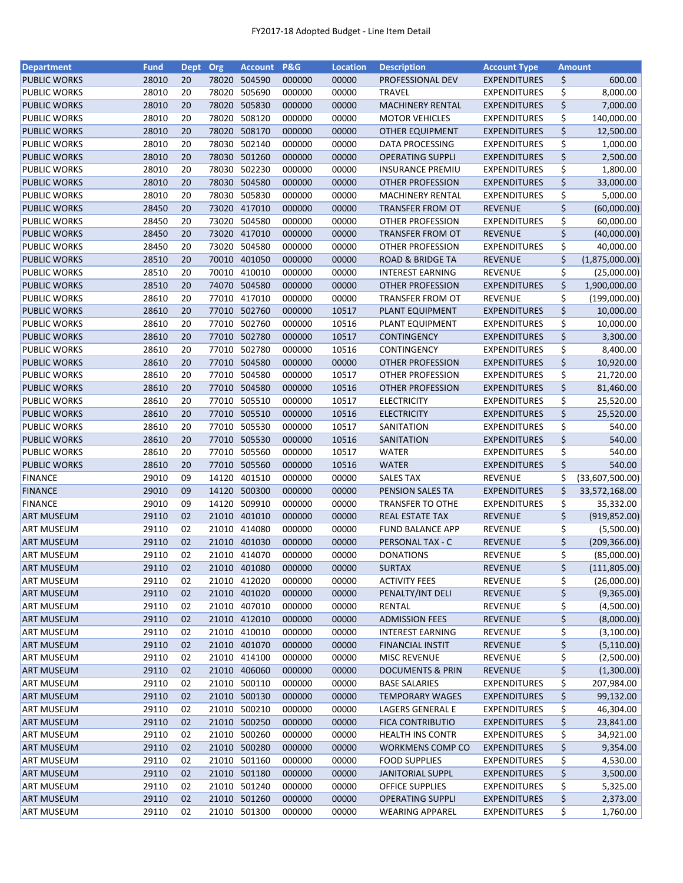| <b>Department</b>                          | <b>Fund</b>    | Dept Org |                | <b>Account</b>               | <b>P&amp;G</b>   | <b>Location</b> | <b>Description</b>                                 | <b>Account Type</b>                        |          | <b>Amount</b>                |
|--------------------------------------------|----------------|----------|----------------|------------------------------|------------------|-----------------|----------------------------------------------------|--------------------------------------------|----------|------------------------------|
| <b>PUBLIC WORKS</b>                        | 28010          | 20       | 78020          | 504590                       | 000000           | 00000           | PROFESSIONAL DEV                                   | <b>EXPENDITURES</b>                        | \$       | 600.00                       |
| PUBLIC WORKS                               | 28010          | 20       | 78020          | 505690                       | 000000           | 00000           | <b>TRAVEL</b>                                      | <b>EXPENDITURES</b>                        | \$       | 8,000.00                     |
| <b>PUBLIC WORKS</b>                        | 28010          | 20       | 78020          | 505830                       | 000000           | 00000           | MACHINERY RENTAL                                   | <b>EXPENDITURES</b>                        | \$       | 7,000.00                     |
| PUBLIC WORKS                               | 28010          | 20       | 78020          | 508120                       | 000000           | 00000           | <b>MOTOR VEHICLES</b>                              | <b>EXPENDITURES</b>                        | \$       | 140,000.00                   |
| <b>PUBLIC WORKS</b>                        | 28010          | 20       | 78020          | 508170                       | 000000           | 00000           | <b>OTHER EQUIPMENT</b>                             | <b>EXPENDITURES</b>                        | \$       | 12,500.00                    |
| PUBLIC WORKS                               | 28010          | 20       | 78030          | 502140                       | 000000           | 00000           | <b>DATA PROCESSING</b>                             | <b>EXPENDITURES</b>                        | \$       | 1,000.00                     |
| <b>PUBLIC WORKS</b>                        | 28010          | 20       | 78030          | 501260                       | 000000           | 00000           | <b>OPERATING SUPPLI</b>                            | <b>EXPENDITURES</b>                        | \$       | 2,500.00                     |
| PUBLIC WORKS                               | 28010          | 20       | 78030          | 502230                       | 000000           | 00000           | <b>INSURANCE PREMIU</b>                            | <b>EXPENDITURES</b>                        | \$       | 1,800.00                     |
| <b>PUBLIC WORKS</b>                        | 28010          | 20       | 78030          | 504580                       | 000000           | 00000           | OTHER PROFESSION                                   | <b>EXPENDITURES</b>                        | \$       | 33,000.00                    |
| PUBLIC WORKS                               | 28010          | 20       | 78030          | 505830                       | 000000           | 00000           | <b>MACHINERY RENTAL</b>                            | <b>EXPENDITURES</b>                        | \$       | 5,000.00                     |
| <b>PUBLIC WORKS</b>                        | 28450          | 20       |                | 73020 417010                 | 000000           | 00000           | <b>TRANSFER FROM OT</b>                            | <b>REVENUE</b>                             | \$       | (60,000.00)                  |
| PUBLIC WORKS                               | 28450          | 20       | 73020          | 504580                       | 000000           | 00000           | OTHER PROFESSION                                   | <b>EXPENDITURES</b>                        | \$       | 60,000.00                    |
| <b>PUBLIC WORKS</b>                        | 28450          | 20       |                | 73020 417010                 | 000000           | 00000           | <b>TRANSFER FROM OT</b>                            | <b>REVENUE</b>                             | \$       | (40,000.00)                  |
| PUBLIC WORKS                               | 28450          | 20       | 73020          | 504580                       | 000000           | 00000           | OTHER PROFESSION                                   | <b>EXPENDITURES</b>                        | \$       | 40,000.00                    |
| <b>PUBLIC WORKS</b>                        | 28510          | 20       | 70010          | 401050                       | 000000           | 00000           | <b>ROAD &amp; BRIDGE TA</b>                        | <b>REVENUE</b>                             | \$       | (1,875,000.00)               |
| PUBLIC WORKS                               | 28510          | 20       | 70010          | 410010                       | 000000           | 00000           | <b>INTEREST EARNING</b>                            | <b>REVENUE</b>                             | \$       | (25,000.00)                  |
| <b>PUBLIC WORKS</b>                        | 28510          | 20       |                | 74070 504580                 | 000000           | 00000           | OTHER PROFESSION                                   | <b>EXPENDITURES</b>                        | \$       | 1,900,000.00                 |
| PUBLIC WORKS                               | 28610          | 20       |                | 77010 417010                 | 000000           | 00000           | <b>TRANSFER FROM OT</b>                            | <b>REVENUE</b>                             | \$       | (199,000.00)                 |
| <b>PUBLIC WORKS</b>                        | 28610          | 20       |                | 77010 502760                 | 000000           | 10517           | PLANT EQUIPMENT                                    | <b>EXPENDITURES</b>                        | \$       | 10,000.00                    |
| PUBLIC WORKS                               | 28610          | 20       |                | 77010 502760                 | 000000           | 10516           | PLANT EQUIPMENT                                    | <b>EXPENDITURES</b>                        | \$       | 10,000.00                    |
| <b>PUBLIC WORKS</b>                        | 28610          | 20       |                | 77010 502780                 | 000000           | 10517           | <b>CONTINGENCY</b>                                 | <b>EXPENDITURES</b>                        | \$       | 3,300.00                     |
|                                            | 28610          | 20       |                | 77010 502780                 |                  | 10516           |                                                    |                                            | \$       | 8,400.00                     |
| PUBLIC WORKS                               |                |          |                |                              | 000000           |                 | <b>CONTINGENCY</b>                                 | <b>EXPENDITURES</b>                        |          |                              |
| <b>PUBLIC WORKS</b><br><b>PUBLIC WORKS</b> | 28610<br>28610 | 20<br>20 |                | 77010 504580<br>77010 504580 | 000000           | 00000<br>10517  | OTHER PROFESSION                                   | <b>EXPENDITURES</b>                        | \$       | 10,920.00                    |
|                                            | 28610          | 20       |                | 77010 504580                 | 000000<br>000000 | 10516           | OTHER PROFESSION<br><b>OTHER PROFESSION</b>        | <b>EXPENDITURES</b><br><b>EXPENDITURES</b> | \$<br>\$ | 21,720.00                    |
| <b>PUBLIC WORKS</b>                        |                | 20       |                |                              |                  |                 |                                                    |                                            |          | 81,460.00                    |
| PUBLIC WORKS                               | 28610<br>28610 | 20       | 77010          | 77010 505510<br>505510       | 000000<br>000000 | 10517<br>10516  | <b>ELECTRICITY</b>                                 | <b>EXPENDITURES</b>                        | \$<br>\$ | 25,520.00                    |
| <b>PUBLIC WORKS</b>                        |                |          |                |                              |                  |                 | <b>ELECTRICITY</b>                                 | <b>EXPENDITURES</b>                        |          | 25,520.00                    |
| PUBLIC WORKS                               | 28610          | 20       | 77010          | 505530                       | 000000           | 10517           | SANITATION                                         | <b>EXPENDITURES</b>                        | \$       | 540.00                       |
| <b>PUBLIC WORKS</b>                        | 28610<br>28610 | 20<br>20 | 77010<br>77010 | 505530<br>505560             | 000000<br>000000 | 10516<br>10517  | SANITATION<br><b>WATER</b>                         | <b>EXPENDITURES</b><br><b>EXPENDITURES</b> | \$<br>\$ | 540.00<br>540.00             |
| <b>PUBLIC WORKS</b><br><b>PUBLIC WORKS</b> | 28610          | 20       |                | 77010 505560                 | 000000           | 10516           | <b>WATER</b>                                       | <b>EXPENDITURES</b>                        | \$       | 540.00                       |
| <b>FINANCE</b>                             | 29010          | 09       |                | 14120 401510                 | 000000           | 00000           | <b>SALES TAX</b>                                   | <b>REVENUE</b>                             |          |                              |
| <b>FINANCE</b>                             | 29010          | 09       | 14120          | 500300                       | 000000           | 00000           | PENSION SALES TA                                   | <b>EXPENDITURES</b>                        | \$<br>\$ | (33,607,500.00)              |
| <b>FINANCE</b>                             | 29010          | 09       | 14120          | 509910                       | 000000           | 00000           | <b>TRANSFER TO OTHE</b>                            | <b>EXPENDITURES</b>                        | \$       | 33,572,168.00<br>35,332.00   |
| <b>ART MUSEUM</b>                          | 29110          | 02       |                | 21010 401010                 | 000000           | 00000           | REAL ESTATE TAX                                    | <b>REVENUE</b>                             | \$       | (919, 852.00)                |
| ART MUSEUM                                 | 29110          | 02       |                | 21010 414080                 | 000000           | 00000           | <b>FUND BALANCE APP</b>                            | <b>REVENUE</b>                             | \$       | (5,500.00)                   |
|                                            | 29110          | 02       |                | 21010 401030                 | 000000           | 00000           | PERSONAL TAX - C                                   | <b>REVENUE</b>                             | \$       |                              |
| <b>ART MUSEUM</b>                          | 29110          | 02       |                | 21010 414070                 | 000000           | 00000           | <b>DONATIONS</b>                                   |                                            | \$       | (209, 366.00)<br>(85,000.00) |
| <b>ART MUSEUM</b>                          | 29110          |          |                | 21010 401080                 | 000000           |                 | <b>SURTAX</b>                                      | <b>REVENUE</b><br><b>REVENUE</b>           |          | (111,805.00)                 |
| <b>ART MUSEUM</b>                          |                | 02       |                |                              |                  | 00000           |                                                    |                                            | \$       |                              |
| ART MUSEUM                                 | 29110          | 02       |                | 21010 412020                 | 000000           | 00000           | <b>ACTIVITY FEES</b>                               | <b>REVENUE</b>                             | \$       | (26,000.00)                  |
| <b>ART MUSEUM</b>                          | 29110          | 02       |                | 21010 401020                 | 000000           | 00000           | PENALTY/INT DELI                                   | <b>REVENUE</b><br><b>REVENUE</b>           | \$       | (9,365.00)                   |
| <b>ART MUSEUM</b>                          | 29110          | 02       |                | 21010 407010                 | 000000           | 00000           | RENTAL                                             |                                            | \$       | (4,500.00)                   |
| <b>ART MUSEUM</b>                          | 29110          | 02       |                | 21010 412010                 | 000000           | 00000           | <b>ADMISSION FEES</b>                              | <b>REVENUE</b>                             | \$       | (8,000.00)                   |
| <b>ART MUSEUM</b>                          | 29110          | 02       |                | 21010 410010                 | 000000           | 00000           | <b>INTEREST EARNING</b>                            | <b>REVENUE</b>                             | \$       | (3,100.00)                   |
| <b>ART MUSEUM</b>                          | 29110          | 02       |                | 21010 401070<br>21010 414100 | 000000<br>000000 | 00000           | <b>FINANCIAL INSTIT</b>                            | REVENUE                                    | \$       | (5, 110.00)                  |
| ART MUSEUM                                 | 29110<br>29110 | 02       |                | 21010 406060                 | 000000           | 00000<br>00000  | <b>MISC REVENUE</b><br><b>DOCUMENTS &amp; PRIN</b> | <b>REVENUE</b>                             | \$<br>\$ | (2,500.00)                   |
| <b>ART MUSEUM</b>                          |                | 02       |                | 21010 500110                 |                  |                 |                                                    | REVENUE                                    |          | (1,300.00)                   |
| ART MUSEUM                                 | 29110          | 02       |                |                              | 000000           | 00000           | <b>BASE SALARIES</b>                               | <b>EXPENDITURES</b>                        | \$       | 207,984.00                   |
| <b>ART MUSEUM</b>                          | 29110          | 02       |                | 21010 500130                 | 000000           | 00000           | <b>TEMPORARY WAGES</b>                             | <b>EXPENDITURES</b>                        | \$       | 99,132.00                    |
| <b>ART MUSEUM</b>                          | 29110          | 02       |                | 21010 500210                 | 000000           | 00000           | LAGERS GENERAL E                                   | <b>EXPENDITURES</b>                        | \$       | 46,304.00                    |
| <b>ART MUSEUM</b>                          | 29110          | 02       |                | 21010 500250                 | 000000           | 00000           | <b>FICA CONTRIBUTIO</b>                            | <b>EXPENDITURES</b>                        | \$       | 23,841.00                    |
| ART MUSEUM                                 | 29110          | 02       | 21010          | 500260                       | 000000           | 00000           | <b>HEALTH INS CONTR</b>                            | <b>EXPENDITURES</b>                        | \$       | 34,921.00                    |
| <b>ART MUSEUM</b>                          | 29110          | 02       |                | 21010 500280                 | 000000           | 00000           | <b>WORKMENS COMP CO</b>                            | <b>EXPENDITURES</b>                        | \$       | 9,354.00                     |
| ART MUSEUM                                 | 29110          | 02       |                | 21010 501160                 | 000000           | 00000           | <b>FOOD SUPPLIES</b>                               | <b>EXPENDITURES</b>                        | \$       | 4,530.00                     |
| <b>ART MUSEUM</b>                          | 29110          | 02       |                | 21010 501180                 | 000000           | 00000           | <b>JANITORIAL SUPPL</b>                            | <b>EXPENDITURES</b>                        | \$       | 3,500.00                     |
| <b>ART MUSEUM</b>                          | 29110          | 02       |                | 21010 501240                 | 000000           | 00000           | <b>OFFICE SUPPLIES</b>                             | <b>EXPENDITURES</b>                        | \$       | 5,325.00                     |
| <b>ART MUSEUM</b>                          | 29110          | 02       |                | 21010 501260                 | 000000           | 00000           | <b>OPERATING SUPPLI</b>                            | <b>EXPENDITURES</b>                        | \$       | 2,373.00                     |
| <b>ART MUSEUM</b>                          | 29110          | 02       |                | 21010 501300                 | 000000           | 00000           | <b>WEARING APPAREL</b>                             | <b>EXPENDITURES</b>                        | \$       | 1,760.00                     |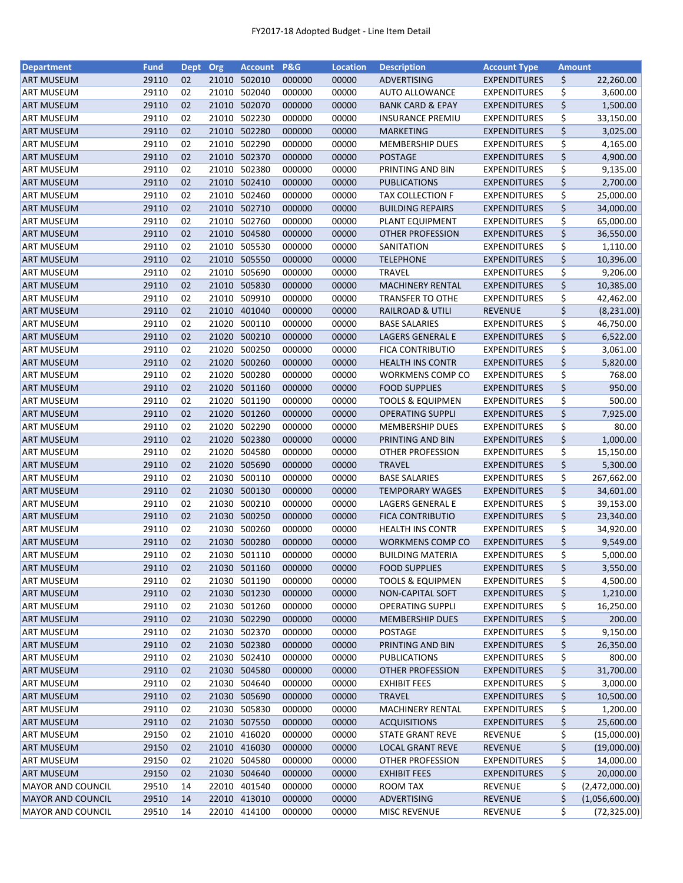| <b>Department</b>        | <b>Fund</b> | Dept Org |       | <b>Account</b> | <b>P&amp;G</b> | <b>Location</b> | <b>Description</b>                                 | <b>Account Type</b>                        | <b>Amount</b> |                        |
|--------------------------|-------------|----------|-------|----------------|----------------|-----------------|----------------------------------------------------|--------------------------------------------|---------------|------------------------|
| <b>ART MUSEUM</b>        | 29110       | 02       | 21010 | 502010         | 000000         | 00000           | ADVERTISING                                        | <b>EXPENDITURES</b>                        | \$            | 22,260.00              |
| <b>ART MUSEUM</b>        | 29110       | 02       | 21010 | 502040         | 000000         | 00000           | <b>AUTO ALLOWANCE</b>                              | <b>EXPENDITURES</b>                        | \$            | 3,600.00               |
| <b>ART MUSEUM</b>        | 29110       | 02       | 21010 | 502070         | 000000         | 00000           | <b>BANK CARD &amp; EPAY</b>                        | <b>EXPENDITURES</b>                        | \$            | 1,500.00               |
| <b>ART MUSEUM</b>        | 29110       | 02       |       | 21010 502230   | 000000         | 00000           | <b>INSURANCE PREMIU</b>                            | <b>EXPENDITURES</b>                        | \$            | 33,150.00              |
| <b>ART MUSEUM</b>        | 29110       | 02       |       | 21010 502280   | 000000         | 00000           | <b>MARKETING</b>                                   | <b>EXPENDITURES</b>                        | \$            | 3,025.00               |
| ART MUSEUM               | 29110       | 02       |       | 21010 502290   | 000000         | 00000           | <b>MEMBERSHIP DUES</b>                             | <b>EXPENDITURES</b>                        | \$            | 4,165.00               |
| <b>ART MUSEUM</b>        | 29110       | 02       |       | 21010 502370   | 000000         | 00000           | <b>POSTAGE</b>                                     | <b>EXPENDITURES</b>                        | \$            | 4,900.00               |
| ART MUSEUM               | 29110       | 02       |       | 21010 502380   | 000000         | 00000           | PRINTING AND BIN                                   | <b>EXPENDITURES</b>                        | \$            | 9,135.00               |
| ART MUSEUM               | 29110       | 02       |       | 21010 502410   | 000000         | 00000           | <b>PUBLICATIONS</b>                                | <b>EXPENDITURES</b>                        | \$            | 2,700.00               |
| <b>ART MUSEUM</b>        | 29110       | 02       |       | 21010 502460   | 000000         | 00000           | <b>TAX COLLECTION F</b>                            | <b>EXPENDITURES</b>                        | \$            | 25,000.00              |
| <b>ART MUSEUM</b>        | 29110       | 02       |       | 21010 502710   | 000000         | 00000           | <b>BUILDING REPAIRS</b>                            | <b>EXPENDITURES</b>                        | \$            | 34,000.00              |
| <b>ART MUSEUM</b>        | 29110       | 02       |       | 21010 502760   | 000000         | 00000           | PLANT EQUIPMENT                                    | <b>EXPENDITURES</b>                        | \$            | 65,000.00              |
| <b>ART MUSEUM</b>        | 29110       | 02       |       | 21010 504580   | 000000         | 00000           | OTHER PROFESSION                                   | <b>EXPENDITURES</b>                        | \$            | 36,550.00              |
| ART MUSEUM               | 29110       | 02       | 21010 | 505530         | 000000         | 00000           | SANITATION                                         | <b>EXPENDITURES</b>                        | \$            | 1,110.00               |
| <b>ART MUSEUM</b>        | 29110       | 02       | 21010 | 505550         | 000000         | 00000           | <b>TELEPHONE</b>                                   | <b>EXPENDITURES</b>                        | \$            | 10,396.00              |
| ART MUSEUM               | 29110       | 02       | 21010 | 505690         | 000000         | 00000           | <b>TRAVEL</b>                                      | <b>EXPENDITURES</b>                        | \$            | 9,206.00               |
| <b>ART MUSEUM</b>        | 29110       | 02       |       | 21010 505830   | 000000         | 00000           | <b>MACHINERY RENTAL</b>                            | <b>EXPENDITURES</b>                        | \$            | 10,385.00              |
| <b>ART MUSEUM</b>        | 29110       | 02       |       | 21010 509910   | 000000         | 00000           | <b>TRANSFER TO OTHE</b>                            | <b>EXPENDITURES</b>                        | \$            | 42,462.00              |
| <b>ART MUSEUM</b>        | 29110       | 02       |       | 21010 401040   | 000000         | 00000           | <b>RAILROAD &amp; UTILI</b>                        | <b>REVENUE</b>                             | \$            | (8, 231.00)            |
| ART MUSEUM               | 29110       | 02       |       | 21020 500110   | 000000         | 00000           | <b>BASE SALARIES</b>                               | <b>EXPENDITURES</b>                        | \$            | 46,750.00              |
| <b>ART MUSEUM</b>        | 29110       | 02       |       | 21020 500210   | 000000         | 00000           | LAGERS GENERAL E                                   | <b>EXPENDITURES</b>                        | \$            | 6,522.00               |
| ART MUSEUM               | 29110       | 02       |       | 21020 500250   | 000000         | 00000           | <b>FICA CONTRIBUTIO</b>                            | <b>EXPENDITURES</b>                        | \$            | 3,061.00               |
| <b>ART MUSEUM</b>        | 29110       | 02       |       | 21020 500260   | 000000         | 00000           | <b>HEALTH INS CONTR</b>                            | <b>EXPENDITURES</b>                        | \$            | 5,820.00               |
| <b>ART MUSEUM</b>        | 29110       | 02       |       | 21020 500280   | 000000         | 00000           | WORKMENS COMP CO                                   | <b>EXPENDITURES</b>                        | \$            | 768.00                 |
| <b>ART MUSEUM</b>        | 29110       | 02       |       | 21020 501160   | 000000         | 00000           | <b>FOOD SUPPLIES</b>                               | <b>EXPENDITURES</b>                        | \$            | 950.00                 |
| <b>ART MUSEUM</b>        | 29110       | 02       | 21020 | 501190         | 000000         | 00000           | <b>TOOLS &amp; EQUIPMEN</b>                        | <b>EXPENDITURES</b>                        | \$            | 500.00                 |
| <b>ART MUSEUM</b>        | 29110       | 02       | 21020 | 501260         | 000000         | 00000           | <b>OPERATING SUPPLI</b>                            | <b>EXPENDITURES</b>                        | \$            | 7,925.00               |
| ART MUSEUM               | 29110       | 02       | 21020 | 502290         | 000000         | 00000           | <b>MEMBERSHIP DUES</b>                             | <b>EXPENDITURES</b>                        | \$            | 80.00                  |
| <b>ART MUSEUM</b>        | 29110       | 02       |       | 21020 502380   | 000000         | 00000           | PRINTING AND BIN                                   | <b>EXPENDITURES</b>                        | \$            | 1,000.00               |
| ART MUSEUM               | 29110       | 02       | 21020 | 504580         | 000000         | 00000           | OTHER PROFESSION                                   | <b>EXPENDITURES</b>                        | \$            | 15,150.00              |
| <b>ART MUSEUM</b>        | 29110       | 02       |       | 21020 505690   | 000000         | 00000           | <b>TRAVEL</b>                                      | <b>EXPENDITURES</b>                        | \$            | 5,300.00               |
| ART MUSEUM               | 29110       | 02       |       | 21030 500110   | 000000         | 00000           | <b>BASE SALARIES</b>                               | <b>EXPENDITURES</b>                        | \$            | 267,662.00             |
|                          | 29110       | 02       |       | 21030 500130   | 000000         | 00000           |                                                    |                                            | \$            |                        |
| <b>ART MUSEUM</b>        | 29110       | 02       |       | 21030 500210   | 000000         | 00000           | <b>TEMPORARY WAGES</b><br>LAGERS GENERAL E         | <b>EXPENDITURES</b><br><b>EXPENDITURES</b> | \$            | 34,601.00<br>39,153.00 |
| ART MUSEUM               | 29110       | 02       |       | 21030 500250   | 000000         | 00000           | <b>FICA CONTRIBUTIO</b>                            |                                            | \$            |                        |
| <b>ART MUSEUM</b>        |             | 02       |       | 21030 500260   |                |                 |                                                    | <b>EXPENDITURES</b><br><b>EXPENDITURES</b> | \$            | 23,340.00              |
| ART MUSEUM               | 29110       |          |       | 21030 500280   | 000000         | 00000           | <b>HEALTH INS CONTR</b>                            |                                            |               | 34,920.00              |
| <b>ART MUSEUM</b>        | 29110       | 02<br>02 |       |                | 000000         | 00000           | <b>WORKMENS COMP CO</b><br><b>BUILDING MATERIA</b> | <b>EXPENDITURES</b><br><b>EXPENDITURES</b> | \$            | 9,549.00               |
| <b>ART MUSEUM</b>        | 29110       |          |       | 21030 501110   | 000000         | 00000           |                                                    |                                            | \$            | 5,000.00               |
| <b>ART MUSEUM</b>        | 29110       | 02       |       | 21030 501160   | 000000         | 00000           | <b>FOOD SUPPLIES</b>                               | <b>EXPENDITURES</b>                        | \$            | 3,550.00               |
| <b>ART MUSEUM</b>        | 29110       | 02       | 21030 | 501190         | 000000         | 00000           | <b>TOOLS &amp; EQUIPMEN</b>                        | <b>EXPENDITURES</b>                        | \$            | 4,500.00               |
| <b>ART MUSEUM</b>        | 29110       | 02       |       | 21030 501230   | 000000         | 00000           | <b>NON-CAPITAL SOFT</b>                            | <b>EXPENDITURES</b>                        | \$            | 1,210.00               |
| ART MUSEUM               | 29110       | 02       |       | 21030 501260   | 000000         | 00000           | <b>OPERATING SUPPLI</b>                            | <b>EXPENDITURES</b>                        | \$            | 16,250.00              |
| <b>ART MUSEUM</b>        | 29110       | 02       |       | 21030 502290   | 000000         | 00000           | <b>MEMBERSHIP DUES</b>                             | <b>EXPENDITURES</b>                        | \$            | 200.00                 |
| ART MUSEUM               | 29110       | 02       |       | 21030 502370   | 000000         | 00000           | POSTAGE                                            | <b>EXPENDITURES</b>                        | \$            | 9,150.00               |
| <b>ART MUSEUM</b>        | 29110       | 02       |       | 21030 502380   | 000000         | 00000           | PRINTING AND BIN                                   | <b>EXPENDITURES</b>                        | \$            | 26,350.00              |
| ART MUSEUM               | 29110       | 02       |       | 21030 502410   | 000000         | 00000           | PUBLICATIONS                                       | <b>EXPENDITURES</b>                        | \$            | 800.00                 |
| <b>ART MUSEUM</b>        | 29110       | 02       |       | 21030 504580   | 000000         | 00000           | OTHER PROFESSION                                   | <b>EXPENDITURES</b>                        | \$            | 31,700.00              |
| <b>ART MUSEUM</b>        | 29110       | 02       |       | 21030 504640   | 000000         | 00000           | <b>EXHIBIT FEES</b>                                | <b>EXPENDITURES</b>                        | \$            | 3,000.00               |
| <b>ART MUSEUM</b>        | 29110       | 02       |       | 21030 505690   | 000000         | 00000           | <b>TRAVEL</b>                                      | <b>EXPENDITURES</b>                        | \$            | 10,500.00              |
| ART MUSEUM               | 29110       | 02       |       | 21030 505830   | 000000         | 00000           | <b>MACHINERY RENTAL</b>                            | <b>EXPENDITURES</b>                        | \$            | 1,200.00               |
| <b>ART MUSEUM</b>        | 29110       | 02       |       | 21030 507550   | 000000         | 00000           | <b>ACQUISITIONS</b>                                | <b>EXPENDITURES</b>                        | \$            | 25,600.00              |
| ART MUSEUM               | 29150       | 02       | 21010 | 416020         | 000000         | 00000           | <b>STATE GRANT REVE</b>                            | <b>REVENUE</b>                             | \$            | (15,000.00)            |
| <b>ART MUSEUM</b>        | 29150       | 02       |       | 21010 416030   | 000000         | 00000           | <b>LOCAL GRANT REVE</b>                            | <b>REVENUE</b>                             | \$            | (19,000.00)            |
| ART MUSEUM               | 29150       | 02       |       | 21020 504580   | 000000         | 00000           | OTHER PROFESSION                                   | <b>EXPENDITURES</b>                        | \$            | 14,000.00              |
| ART MUSEUM               | 29150       | 02       |       | 21030 504640   | 000000         | 00000           | <b>EXHIBIT FEES</b>                                | <b>EXPENDITURES</b>                        | \$            | 20,000.00              |
| <b>MAYOR AND COUNCIL</b> | 29510       | 14       |       | 22010 401540   | 000000         | 00000           | ROOM TAX                                           | <b>REVENUE</b>                             | \$            | (2,472,000.00)         |
| <b>MAYOR AND COUNCIL</b> | 29510       | 14       |       | 22010 413010   | 000000         | 00000           | ADVERTISING                                        | <b>REVENUE</b>                             | \$            | (1,056,600.00)         |
| <b>MAYOR AND COUNCIL</b> | 29510       | 14       |       | 22010 414100   | 000000         | 00000           | <b>MISC REVENUE</b>                                | <b>REVENUE</b>                             | \$            | (72, 325.00)           |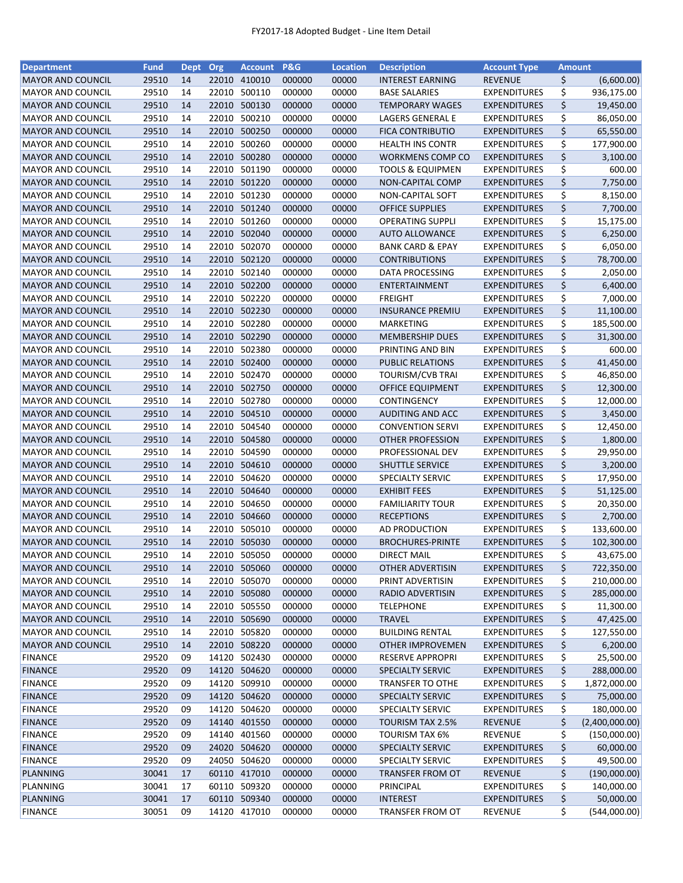| <b>Department</b>                                    | <b>Fund</b>    | <b>Dept</b> | Org   | <b>Account</b> | <b>P&amp;G</b>   | <b>Location</b> | <b>Description</b>                                 | <b>Account Type</b>                        |          | Amount                |
|------------------------------------------------------|----------------|-------------|-------|----------------|------------------|-----------------|----------------------------------------------------|--------------------------------------------|----------|-----------------------|
| <b>MAYOR AND COUNCIL</b>                             | 29510          | 14          |       | 22010 410010   | 000000           | 00000           | <b>INTEREST EARNING</b>                            | <b>REVENUE</b>                             | \$       | (6,600.00)            |
| <b>MAYOR AND COUNCIL</b>                             | 29510          | 14          |       | 22010 500110   | 000000           | 00000           | <b>BASE SALARIES</b>                               | <b>EXPENDITURES</b>                        | \$       | 936,175.00            |
| <b>MAYOR AND COUNCIL</b>                             | 29510          | 14          |       | 22010 500130   | 000000           | 00000           | <b>TEMPORARY WAGES</b>                             | <b>EXPENDITURES</b>                        | \$       | 19,450.00             |
| <b>MAYOR AND COUNCIL</b>                             | 29510          | 14          | 22010 | 500210         | 000000           | 00000           | LAGERS GENERAL E                                   | <b>EXPENDITURES</b>                        | \$       | 86,050.00             |
| <b>MAYOR AND COUNCIL</b>                             | 29510          | 14          | 22010 | 500250         | 000000           | 00000           | <b>FICA CONTRIBUTIO</b>                            | <b>EXPENDITURES</b>                        | \$       | 65,550.00             |
| <b>MAYOR AND COUNCIL</b>                             | 29510          | 14          | 22010 | 500260         | 000000           | 00000           | <b>HEALTH INS CONTR</b>                            | <b>EXPENDITURES</b>                        | \$       | 177,900.00            |
| <b>MAYOR AND COUNCIL</b>                             | 29510          | 14          |       | 22010 500280   | 000000           | 00000           | <b>WORKMENS COMP CO</b>                            | <b>EXPENDITURES</b>                        | \$       | 3,100.00              |
| <b>MAYOR AND COUNCIL</b>                             | 29510          | 14          |       | 22010 501190   | 000000           | 00000           | <b>TOOLS &amp; EQUIPMEN</b>                        | <b>EXPENDITURES</b>                        | \$       | 600.00                |
| <b>MAYOR AND COUNCIL</b>                             | 29510          | 14          |       | 22010 501220   | 000000           | 00000           | NON-CAPITAL COMP                                   | <b>EXPENDITURES</b>                        | \$       | 7,750.00              |
| <b>MAYOR AND COUNCIL</b>                             | 29510          | 14          |       | 22010 501230   | 000000           | 00000           | NON-CAPITAL SOFT                                   | <b>EXPENDITURES</b>                        | \$       | 8,150.00              |
| <b>MAYOR AND COUNCIL</b>                             | 29510          | 14          |       | 22010 501240   | 000000           | 00000           | <b>OFFICE SUPPLIES</b>                             | <b>EXPENDITURES</b>                        | \$       | 7,700.00              |
| <b>MAYOR AND COUNCIL</b>                             | 29510          | 14          | 22010 | 501260         | 000000           | 00000           | <b>OPERATING SUPPLI</b>                            | <b>EXPENDITURES</b>                        | \$       | 15,175.00             |
| <b>MAYOR AND COUNCIL</b>                             | 29510          | 14          |       | 22010 502040   | 000000           | 00000           | <b>AUTO ALLOWANCE</b>                              | <b>EXPENDITURES</b>                        | \$       | 6,250.00              |
| <b>MAYOR AND COUNCIL</b>                             | 29510          | 14          |       | 22010 502070   | 000000           | 00000           | <b>BANK CARD &amp; EPAY</b>                        | <b>EXPENDITURES</b>                        | \$       | 6,050.00              |
| <b>MAYOR AND COUNCIL</b>                             | 29510          | 14          |       | 22010 502120   | 000000           | 00000           | <b>CONTRIBUTIONS</b>                               | <b>EXPENDITURES</b>                        | \$       | 78,700.00             |
| <b>MAYOR AND COUNCIL</b>                             | 29510          | 14          |       | 22010 502140   | 000000           | 00000           | DATA PROCESSING                                    | <b>EXPENDITURES</b>                        | \$       | 2,050.00              |
| <b>MAYOR AND COUNCIL</b>                             | 29510          | 14          | 22010 | 502200         | 000000           | 00000           | ENTERTAINMENT                                      | <b>EXPENDITURES</b>                        | \$       | 6,400.00              |
| <b>MAYOR AND COUNCIL</b>                             | 29510          | 14          | 22010 | 502220         | 000000           | 00000           | <b>FREIGHT</b>                                     | <b>EXPENDITURES</b>                        | \$       | 7,000.00              |
| <b>MAYOR AND COUNCIL</b>                             | 29510          | 14          |       | 22010 502230   | 000000           | 00000           | <b>INSURANCE PREMIU</b>                            | <b>EXPENDITURES</b>                        | \$       |                       |
|                                                      | 29510          | 14          |       | 22010 502280   | 000000           | 00000           |                                                    | <b>EXPENDITURES</b>                        | \$       | 11,100.00             |
| <b>MAYOR AND COUNCIL</b><br><b>MAYOR AND COUNCIL</b> | 29510          | 14          |       | 22010 502290   | 000000           | 00000           | MARKETING<br><b>MEMBERSHIP DUES</b>                |                                            | \$       | 185,500.00            |
| <b>MAYOR AND COUNCIL</b>                             | 29510          |             |       | 22010 502380   | 000000           | 00000           |                                                    | <b>EXPENDITURES</b><br><b>EXPENDITURES</b> | \$       | 31,300.00<br>600.00   |
|                                                      |                | 14          |       | 22010 502400   | 000000           |                 | PRINTING AND BIN                                   |                                            |          |                       |
| <b>MAYOR AND COUNCIL</b>                             | 29510<br>29510 | 14<br>14    |       | 22010 502470   |                  | 00000<br>00000  | PUBLIC RELATIONS                                   | <b>EXPENDITURES</b>                        | \$<br>\$ | 41,450.00             |
| <b>MAYOR AND COUNCIL</b>                             | 29510          | 14          |       | 22010 502750   | 000000           | 00000           | <b>TOURISM/CVB TRAI</b><br><b>OFFICE EQUIPMENT</b> | <b>EXPENDITURES</b>                        | \$       | 46,850.00             |
| <b>MAYOR AND COUNCIL</b>                             | 29510          | 14          |       | 22010 502780   | 000000           |                 |                                                    | <b>EXPENDITURES</b>                        | \$       | 12,300.00             |
| <b>MAYOR AND COUNCIL</b>                             | 29510          | 14          |       | 22010 504510   | 000000<br>000000 | 00000<br>00000  | CONTINGENCY                                        | <b>EXPENDITURES</b>                        | \$       | 12,000.00             |
| <b>MAYOR AND COUNCIL</b><br><b>MAYOR AND COUNCIL</b> | 29510          | 14          |       | 22010 504540   | 000000           | 00000           | AUDITING AND ACC                                   | <b>EXPENDITURES</b>                        | \$       | 3,450.00              |
| <b>MAYOR AND COUNCIL</b>                             | 29510          | 14          | 22010 | 504580         | 000000           | 00000           | <b>CONVENTION SERVI</b><br><b>OTHER PROFESSION</b> | <b>EXPENDITURES</b><br><b>EXPENDITURES</b> | \$       | 12,450.00<br>1,800.00 |
| <b>MAYOR AND COUNCIL</b>                             | 29510          | 14          | 22010 | 504590         | 000000           | 00000           | PROFESSIONAL DEV                                   | <b>EXPENDITURES</b>                        | \$       | 29,950.00             |
| <b>MAYOR AND COUNCIL</b>                             | 29510          | 14          |       | 22010 504610   | 000000           | 00000           | SHUTTLE SERVICE                                    | <b>EXPENDITURES</b>                        | \$       | 3,200.00              |
| <b>MAYOR AND COUNCIL</b>                             | 29510          | 14          | 22010 | 504620         | 000000           | 00000           | SPECIALTY SERVIC                                   | <b>EXPENDITURES</b>                        | \$       | 17,950.00             |
| <b>MAYOR AND COUNCIL</b>                             | 29510          | 14          |       | 22010 504640   | 000000           | 00000           | <b>EXHIBIT FEES</b>                                | <b>EXPENDITURES</b>                        | \$       | 51,125.00             |
| <b>MAYOR AND COUNCIL</b>                             | 29510          | 14          |       | 22010 504650   | 000000           | 00000           | <b>FAMILIARITY TOUR</b>                            | <b>EXPENDITURES</b>                        | \$       | 20,350.00             |
| <b>MAYOR AND COUNCIL</b>                             | 29510          | 14          |       | 22010 504660   | 000000           | 00000           | <b>RECEPTIONS</b>                                  | <b>EXPENDITURES</b>                        | \$       | 2,700.00              |
| <b>MAYOR AND COUNCIL</b>                             | 29510          | 14          |       | 22010 505010   | 000000           | 00000           | AD PRODUCTION                                      | <b>EXPENDITURES</b>                        | \$       | 133,600.00            |
| <b>MAYOR AND COUNCIL</b>                             | 29510          | 14          |       | 22010 505030   | 000000           | 00000           | <b>BROCHURES-PRINTE</b>                            | <b>EXPENDITURES</b>                        | \$       | 102,300.00            |
| <b>MAYOR AND COUNCIL</b>                             | 29510          | 14          |       | 22010 505050   | 000000           | 00000           | <b>DIRECT MAIL</b>                                 | <b>EXPENDITURES</b>                        | \$       | 43,675.00             |
| <b>MAYOR AND COUNCIL</b>                             | 29510          | 14          |       | 22010 505060   | 000000           | 00000           | OTHER ADVERTISIN                                   | <b>EXPENDITURES</b>                        | \$       | 722,350.00            |
| <b>MAYOR AND COUNCIL</b>                             | 29510          | 14          |       | 22010 505070   | 000000           | 00000           | PRINT ADVERTISIN                                   | <b>EXPENDITURES</b>                        | \$       | 210,000.00            |
| <b>MAYOR AND COUNCIL</b>                             | 29510          | 14          |       | 22010 505080   | 000000           | 00000           | RADIO ADVERTISIN                                   | <b>EXPENDITURES</b>                        | \$       | 285,000.00            |
| <b>MAYOR AND COUNCIL</b>                             | 29510          | 14          |       | 22010 505550   | 000000           | 00000           | <b>TELEPHONE</b>                                   | <b>EXPENDITURES</b>                        | \$       | 11,300.00             |
| <b>MAYOR AND COUNCIL</b>                             | 29510          | 14          |       | 22010 505690   | 000000           | 00000           | <b>TRAVEL</b>                                      | <b>EXPENDITURES</b>                        | \$       | 47,425.00             |
| <b>MAYOR AND COUNCIL</b>                             | 29510          | 14          |       | 22010 505820   | 000000           | 00000           | <b>BUILDING RENTAL</b>                             | <b>EXPENDITURES</b>                        | \$       | 127,550.00            |
| <b>MAYOR AND COUNCIL</b>                             | 29510          | 14          |       | 22010 508220   | 000000           | 00000           | <b>OTHER IMPROVEMEN</b>                            | <b>EXPENDITURES</b>                        | \$       | 6,200.00              |
| <b>FINANCE</b>                                       | 29520          | 09          |       | 14120 502430   | 000000           | 00000           | RESERVE APPROPRI                                   | <b>EXPENDITURES</b>                        | \$       | 25,500.00             |
| <b>FINANCE</b>                                       | 29520          | 09          |       | 14120 504620   | 000000           | 00000           | SPECIALTY SERVIC                                   | <b>EXPENDITURES</b>                        | \$       | 288,000.00            |
| <b>FINANCE</b>                                       | 29520          | 09          |       | 14120 509910   | 000000           | 00000           | <b>TRANSFER TO OTHE</b>                            | <b>EXPENDITURES</b>                        | \$       | 1,872,000.00          |
| <b>FINANCE</b>                                       | 29520          | 09          |       | 14120 504620   | 000000           | 00000           | SPECIALTY SERVIC                                   | <b>EXPENDITURES</b>                        | \$       | 75,000.00             |
| <b>FINANCE</b>                                       | 29520          | 09          |       | 14120 504620   | 000000           | 00000           | SPECIALTY SERVIC                                   | <b>EXPENDITURES</b>                        | \$       | 180,000.00            |
| <b>FINANCE</b>                                       | 29520          | 09          |       | 14140 401550   | 000000           | 00000           | <b>TOURISM TAX 2.5%</b>                            | <b>REVENUE</b>                             | \$       | (2,400,000.00)        |
| <b>FINANCE</b>                                       | 29520          | 09          |       | 14140 401560   | 000000           | 00000           | TOURISM TAX 6%                                     | REVENUE                                    | \$       | (150,000.00)          |
| <b>FINANCE</b>                                       | 29520          | 09          |       | 24020 504620   | 000000           | 00000           | SPECIALTY SERVIC                                   | <b>EXPENDITURES</b>                        | \$       | 60,000.00             |
| <b>FINANCE</b>                                       | 29520          | 09          |       | 24050 504620   | 000000           | 00000           | <b>SPECIALTY SERVIC</b>                            | <b>EXPENDITURES</b>                        | \$       | 49,500.00             |
| <b>PLANNING</b>                                      | 30041          | 17          |       | 60110 417010   | 000000           | 00000           | <b>TRANSFER FROM OT</b>                            | <b>REVENUE</b>                             | \$       | (190,000.00)          |
| PLANNING                                             | 30041          | 17          |       | 60110 509320   | 000000           | 00000           | PRINCIPAL                                          | <b>EXPENDITURES</b>                        | \$       | 140,000.00            |
| <b>PLANNING</b>                                      | 30041          | 17          |       | 60110 509340   | 000000           | 00000           | <b>INTEREST</b>                                    | <b>EXPENDITURES</b>                        | \$       | 50,000.00             |
| <b>FINANCE</b>                                       | 30051          | 09          |       | 14120 417010   | 000000           | 00000           | TRANSFER FROM OT                                   | <b>REVENUE</b>                             | \$       | (544,000.00)          |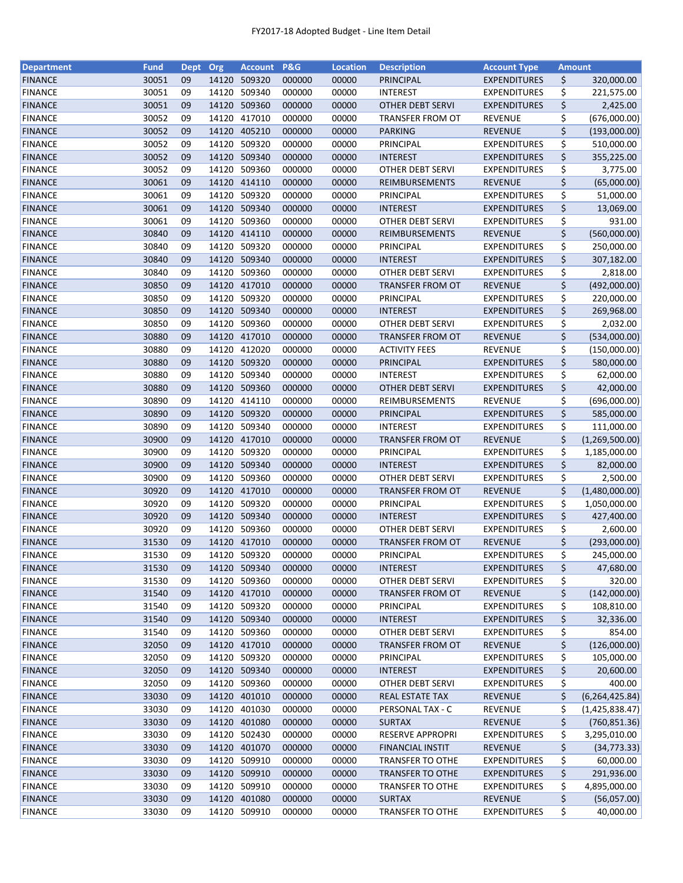| <b>Department</b> | <b>Fund</b> | Dept | Org   | <b>Account P&amp;G</b> |        | <b>Location</b> | <b>Description</b>      | <b>Account Type</b> | <b>Amount</b> |                  |
|-------------------|-------------|------|-------|------------------------|--------|-----------------|-------------------------|---------------------|---------------|------------------|
| <b>FINANCE</b>    | 30051       | 09   | 14120 | 509320                 | 000000 | 00000           | PRINCIPAL               | <b>EXPENDITURES</b> | \$            | 320,000.00       |
| <b>FINANCE</b>    | 30051       | 09   | 14120 | 509340                 | 000000 | 00000           | <b>INTEREST</b>         | <b>EXPENDITURES</b> | \$            | 221,575.00       |
| <b>FINANCE</b>    | 30051       | 09   | 14120 | 509360                 | 000000 | 00000           | <b>OTHER DEBT SERVI</b> | <b>EXPENDITURES</b> | \$            | 2,425.00         |
| <b>FINANCE</b>    | 30052       | 09   | 14120 | 417010                 | 000000 | 00000           | TRANSFER FROM OT        | <b>REVENUE</b>      | \$            | (676,000.00)     |
| <b>FINANCE</b>    | 30052       | 09   | 14120 | 405210                 | 000000 | 00000           | <b>PARKING</b>          | <b>REVENUE</b>      | \$            | (193,000.00)     |
| <b>FINANCE</b>    | 30052       | 09   | 14120 | 509320                 | 000000 | 00000           | PRINCIPAL               | <b>EXPENDITURES</b> | \$            | 510,000.00       |
| <b>FINANCE</b>    | 30052       | 09   | 14120 | 509340                 | 000000 | 00000           | <b>INTEREST</b>         | <b>EXPENDITURES</b> | \$            | 355,225.00       |
| <b>FINANCE</b>    | 30052       | 09   | 14120 | 509360                 | 000000 | 00000           | OTHER DEBT SERVI        | <b>EXPENDITURES</b> | \$            | 3,775.00         |
| <b>FINANCE</b>    | 30061       | 09   | 14120 | 414110                 | 000000 | 00000           | REIMBURSEMENTS          | <b>REVENUE</b>      | \$            | (65,000.00)      |
| <b>FINANCE</b>    | 30061       | 09   | 14120 | 509320                 | 000000 | 00000           | PRINCIPAL               | <b>EXPENDITURES</b> | \$            | 51,000.00        |
| <b>FINANCE</b>    | 30061       | 09   |       | 14120 509340           | 000000 | 00000           | <b>INTEREST</b>         | <b>EXPENDITURES</b> | \$            | 13,069.00        |
| <b>FINANCE</b>    | 30061       | 09   | 14120 | 509360                 | 000000 | 00000           | <b>OTHER DEBT SERVI</b> | <b>EXPENDITURES</b> | \$            | 931.00           |
| <b>FINANCE</b>    | 30840       | 09   |       | 14120 414110           | 000000 | 00000           | REIMBURSEMENTS          | <b>REVENUE</b>      | \$            | (560,000.00)     |
| <b>FINANCE</b>    | 30840       | 09   | 14120 | 509320                 | 000000 | 00000           | PRINCIPAL               | <b>EXPENDITURES</b> | \$            | 250,000.00       |
| <b>FINANCE</b>    | 30840       | 09   | 14120 | 509340                 | 000000 | 00000           | <b>INTEREST</b>         | <b>EXPENDITURES</b> | \$            | 307,182.00       |
| <b>FINANCE</b>    | 30840       | 09   | 14120 | 509360                 | 000000 | 00000           | <b>OTHER DEBT SERVI</b> | <b>EXPENDITURES</b> | \$            | 2,818.00         |
| <b>FINANCE</b>    | 30850       | 09   |       | 14120 417010           | 000000 | 00000           | TRANSFER FROM OT        | <b>REVENUE</b>      | \$            | (492,000.00)     |
| <b>FINANCE</b>    | 30850       | 09   |       | 14120 509320           | 000000 | 00000           | PRINCIPAL               | <b>EXPENDITURES</b> | \$            | 220,000.00       |
| <b>FINANCE</b>    | 30850       | 09   |       | 14120 509340           | 000000 | 00000           | <b>INTEREST</b>         | <b>EXPENDITURES</b> | \$            | 269,968.00       |
| <b>FINANCE</b>    | 30850       | 09   | 14120 | 509360                 | 000000 | 00000           | OTHER DEBT SERVI        | <b>EXPENDITURES</b> | \$            | 2,032.00         |
| <b>FINANCE</b>    | 30880       | 09   | 14120 | 417010                 | 000000 | 00000           | <b>TRANSFER FROM OT</b> | <b>REVENUE</b>      | \$            | (534,000.00)     |
| <b>FINANCE</b>    | 30880       | 09   | 14120 | 412020                 | 000000 | 00000           | <b>ACTIVITY FEES</b>    | <b>REVENUE</b>      | \$            | (150,000.00)     |
| <b>FINANCE</b>    | 30880       | 09   |       | 14120 509320           | 000000 | 00000           | PRINCIPAL               | <b>EXPENDITURES</b> | \$            | 580,000.00       |
| <b>FINANCE</b>    | 30880       | 09   |       | 14120 509340           | 000000 | 00000           | <b>INTEREST</b>         | <b>EXPENDITURES</b> | \$            | 62,000.00        |
| <b>FINANCE</b>    | 30880       | 09   |       | 14120 509360           | 000000 | 00000           | <b>OTHER DEBT SERVI</b> | <b>EXPENDITURES</b> | \$            | 42,000.00        |
| <b>FINANCE</b>    | 30890       | 09   | 14120 | 414110                 | 000000 | 00000           | REIMBURSEMENTS          | <b>REVENUE</b>      | \$            | (696,000.00)     |
| <b>FINANCE</b>    | 30890       | 09   | 14120 | 509320                 | 000000 | 00000           | <b>PRINCIPAL</b>        | <b>EXPENDITURES</b> | \$            | 585,000.00       |
| <b>FINANCE</b>    | 30890       | 09   | 14120 | 509340                 | 000000 | 00000           | <b>INTEREST</b>         | <b>EXPENDITURES</b> | \$            | 111,000.00       |
| <b>FINANCE</b>    | 30900       | 09   | 14120 | 417010                 | 000000 | 00000           | <b>TRANSFER FROM OT</b> | <b>REVENUE</b>      | \$            | (1,269,500.00)   |
| <b>FINANCE</b>    | 30900       | 09   | 14120 | 509320                 | 000000 | 00000           | PRINCIPAL               | <b>EXPENDITURES</b> | \$            | 1,185,000.00     |
| <b>FINANCE</b>    | 30900       | 09   |       | 14120 509340           | 000000 | 00000           | <b>INTEREST</b>         | <b>EXPENDITURES</b> | \$            | 82,000.00        |
| <b>FINANCE</b>    | 30900       | 09   | 14120 | 509360                 | 000000 | 00000           | <b>OTHER DEBT SERVI</b> | <b>EXPENDITURES</b> | \$            | 2,500.00         |
| <b>FINANCE</b>    | 30920       | 09   | 14120 | 417010                 | 000000 | 00000           | <b>TRANSFER FROM OT</b> | <b>REVENUE</b>      | \$            | (1,480,000.00)   |
| <b>FINANCE</b>    | 30920       | 09   | 14120 | 509320                 | 000000 | 00000           | PRINCIPAL               | <b>EXPENDITURES</b> | \$            | 1,050,000.00     |
| <b>FINANCE</b>    | 30920       | 09   |       | 14120 509340           | 000000 | 00000           | <b>INTEREST</b>         | <b>EXPENDITURES</b> | \$            | 427,400.00       |
| <b>FINANCE</b>    | 30920       | 09   |       | 14120 509360           | 000000 | 00000           | OTHER DEBT SERVI        | <b>EXPENDITURES</b> | \$            | 2,600.00         |
| <b>FINANCE</b>    | 31530       | 09   |       | 14120 417010           | 000000 | 00000           | <b>TRANSFER FROM OT</b> | <b>REVENUE</b>      | \$            | (293,000.00)     |
| <b>FINANCE</b>    | 31530       | 09   |       | 14120 509320           | 000000 | 00000           | PRINCIPAL               | <b>EXPENDITURES</b> | \$            | 245,000.00       |
| <b>FINANCE</b>    | 31530       | 09   |       | 14120 509340           | 000000 | 00000           | <b>INTEREST</b>         | <b>EXPENDITURES</b> | \$            | 47,680.00        |
| <b>FINANCE</b>    | 31530       | 09   | 14120 | 509360                 | 000000 | 00000           | OTHER DEBT SERVI        | <b>EXPENDITURES</b> | \$            | 320.00           |
| <b>FINANCE</b>    | 31540       | 09   |       | 14120 417010           | 000000 | 00000           | <b>TRANSFER FROM OT</b> | <b>REVENUE</b>      | \$            | (142,000.00)     |
| <b>FINANCE</b>    | 31540       | 09   |       | 14120 509320           | 000000 | 00000           | PRINCIPAL               | <b>EXPENDITURES</b> | \$            | 108,810.00       |
| <b>FINANCE</b>    | 31540       | 09   |       | 14120 509340           | 000000 | 00000           | <b>INTEREST</b>         | <b>EXPENDITURES</b> | \$            | 32,336.00        |
| <b>FINANCE</b>    | 31540       | 09   |       | 14120 509360           | 000000 | 00000           | <b>OTHER DEBT SERVI</b> | <b>EXPENDITURES</b> | \$            | 854.00           |
| <b>FINANCE</b>    | 32050       | 09   |       | 14120 417010           | 000000 | 00000           | <b>TRANSFER FROM OT</b> | <b>REVENUE</b>      | \$            | (126,000.00)     |
| <b>FINANCE</b>    | 32050       | 09   |       | 14120 509320           | 000000 | 00000           | PRINCIPAL               | <b>EXPENDITURES</b> | \$            | 105,000.00       |
| <b>FINANCE</b>    | 32050       | 09   |       | 14120 509340           | 000000 | 00000           | <b>INTEREST</b>         | <b>EXPENDITURES</b> | \$            | 20,600.00        |
| <b>FINANCE</b>    | 32050       | 09   |       | 14120 509360           | 000000 | 00000           | OTHER DEBT SERVI        | <b>EXPENDITURES</b> | \$            | 400.00           |
| <b>FINANCE</b>    | 33030       | 09   |       | 14120 401010           | 000000 | 00000           | REAL ESTATE TAX         | <b>REVENUE</b>      | \$            | (6, 264, 425.84) |
| <b>FINANCE</b>    | 33030       | 09   | 14120 | 401030                 | 000000 | 00000           | PERSONAL TAX - C        | <b>REVENUE</b>      | \$            | (1,425,838.47)   |
| <b>FINANCE</b>    | 33030       | 09   |       | 14120 401080           | 000000 | 00000           | <b>SURTAX</b>           | <b>REVENUE</b>      | \$            | (760, 851.36)    |
| <b>FINANCE</b>    | 33030       | 09   | 14120 | 502430                 | 000000 | 00000           | RESERVE APPROPRI        | <b>EXPENDITURES</b> | \$            | 3,295,010.00     |
| <b>FINANCE</b>    | 33030       | 09   | 14120 | 401070                 | 000000 | 00000           | <b>FINANCIAL INSTIT</b> | <b>REVENUE</b>      | \$            | (34, 773.33)     |
| <b>FINANCE</b>    | 33030       | 09   | 14120 | 509910                 | 000000 | 00000           | <b>TRANSFER TO OTHE</b> | <b>EXPENDITURES</b> | \$            | 60,000.00        |
| <b>FINANCE</b>    | 33030       | 09   |       | 14120 509910           | 000000 | 00000           | <b>TRANSFER TO OTHE</b> | <b>EXPENDITURES</b> | \$            | 291,936.00       |
| <b>FINANCE</b>    | 33030       | 09   |       | 14120 509910           | 000000 | 00000           | <b>TRANSFER TO OTHE</b> | <b>EXPENDITURES</b> | \$            | 4,895,000.00     |
| <b>FINANCE</b>    | 33030       | 09   | 14120 | 401080                 | 000000 | 00000           | <b>SURTAX</b>           | <b>REVENUE</b>      | \$            | (56,057.00)      |
| <b>FINANCE</b>    | 33030       | 09   |       | 14120 509910           | 000000 | 00000           | <b>TRANSFER TO OTHE</b> | <b>EXPENDITURES</b> | \$            | 40,000.00        |
|                   |             |      |       |                        |        |                 |                         |                     |               |                  |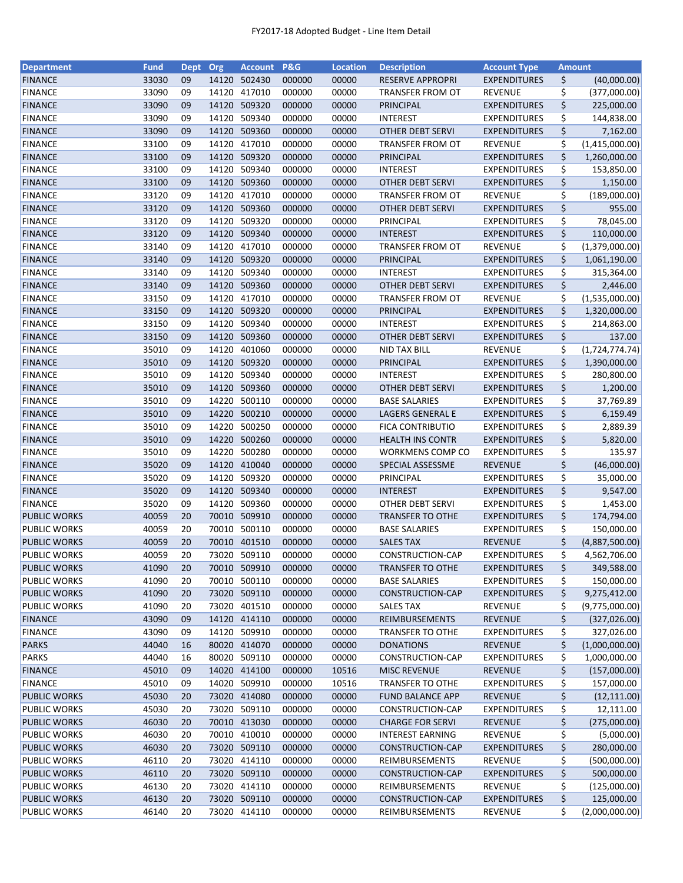| <b>Department</b>   | <b>Fund</b> | Dept     | Org   | Account P&G            |        | <b>Location</b> | <b>Description</b>                         | <b>Account Type</b> | Amount                 |
|---------------------|-------------|----------|-------|------------------------|--------|-----------------|--------------------------------------------|---------------------|------------------------|
| <b>FINANCE</b>      | 33030       | 09       | 14120 | 502430                 | 000000 | 00000           | <b>RESERVE APPROPRI</b>                    | <b>EXPENDITURES</b> | \$<br>(40,000.00)      |
| <b>FINANCE</b>      | 33090       | 09       | 14120 | 417010                 | 000000 | 00000           | <b>TRANSFER FROM OT</b>                    | REVENUE             | \$<br>(377,000.00)     |
| <b>FINANCE</b>      | 33090       | 09       | 14120 | 509320                 | 000000 | 00000           | PRINCIPAL                                  | <b>EXPENDITURES</b> | \$<br>225,000.00       |
| <b>FINANCE</b>      | 33090       | 09       | 14120 | 509340                 | 000000 | 00000           | <b>INTEREST</b>                            | <b>EXPENDITURES</b> | \$<br>144,838.00       |
| <b>FINANCE</b>      | 33090       | 09       | 14120 | 509360                 | 000000 | 00000           | <b>OTHER DEBT SERVI</b>                    | <b>EXPENDITURES</b> | \$<br>7,162.00         |
| <b>FINANCE</b>      | 33100       | 09       | 14120 | 417010                 | 000000 | 00000           | TRANSFER FROM OT                           | <b>REVENUE</b>      | \$<br>(1,415,000.00)   |
| <b>FINANCE</b>      | 33100       | 09       | 14120 | 509320                 | 000000 | 00000           | PRINCIPAL                                  | <b>EXPENDITURES</b> | \$<br>1,260,000.00     |
| <b>FINANCE</b>      | 33100       | 09       | 14120 | 509340                 | 000000 | 00000           | <b>INTEREST</b>                            | <b>EXPENDITURES</b> | \$<br>153,850.00       |
| <b>FINANCE</b>      | 33100       | 09       | 14120 | 509360                 | 000000 | 00000           | <b>OTHER DEBT SERVI</b>                    | <b>EXPENDITURES</b> | \$<br>1,150.00         |
| <b>FINANCE</b>      | 33120       | 09       | 14120 | 417010                 | 000000 | 00000           | TRANSFER FROM OT                           | <b>REVENUE</b>      | \$<br>(189,000.00)     |
| <b>FINANCE</b>      | 33120       | 09       | 14120 | 509360                 | 000000 | 00000           | <b>OTHER DEBT SERVI</b>                    | <b>EXPENDITURES</b> | \$<br>955.00           |
| <b>FINANCE</b>      | 33120       | 09       | 14120 | 509320                 | 000000 | 00000           | PRINCIPAL                                  | <b>EXPENDITURES</b> | \$<br>78,045.00        |
| <b>FINANCE</b>      | 33120       | 09       | 14120 | 509340                 | 000000 | 00000           | <b>INTEREST</b>                            | <b>EXPENDITURES</b> | \$<br>110,000.00       |
| <b>FINANCE</b>      | 33140       | 09       | 14120 | 417010                 | 000000 | 00000           | TRANSFER FROM OT                           | <b>REVENUE</b>      | \$<br>(1,379,000.00)   |
| <b>FINANCE</b>      | 33140       | 09       | 14120 | 509320                 | 000000 | 00000           | PRINCIPAL                                  | <b>EXPENDITURES</b> | \$<br>1,061,190.00     |
| <b>FINANCE</b>      | 33140       | 09       | 14120 | 509340                 | 000000 | 00000           | <b>INTEREST</b>                            | <b>EXPENDITURES</b> | \$<br>315,364.00       |
| <b>FINANCE</b>      | 33140       | 09       | 14120 | 509360                 | 000000 | 00000           | <b>OTHER DEBT SERVI</b>                    | <b>EXPENDITURES</b> | \$<br>2,446.00         |
| <b>FINANCE</b>      | 33150       | 09       | 14120 | 417010                 | 000000 | 00000           | TRANSFER FROM OT                           | <b>REVENUE</b>      | \$<br>(1,535,000.00)   |
| <b>FINANCE</b>      | 33150       | 09       | 14120 | 509320                 | 000000 | 00000           | <b>PRINCIPAL</b>                           | <b>EXPENDITURES</b> | \$<br>1,320,000.00     |
| <b>FINANCE</b>      | 33150       | 09       | 14120 | 509340                 | 000000 | 00000           | <b>INTEREST</b>                            | <b>EXPENDITURES</b> | \$<br>214,863.00       |
|                     | 33150       | 09       | 14120 | 509360                 |        | 00000           | <b>OTHER DEBT SERVI</b>                    |                     | \$<br>137.00           |
| <b>FINANCE</b>      |             |          |       |                        | 000000 |                 |                                            | <b>EXPENDITURES</b> |                        |
| <b>FINANCE</b>      | 35010       | 09       | 14120 | 401060                 | 000000 | 00000           | NID TAX BILL                               | <b>REVENUE</b>      | \$<br>(1, 724, 774.74) |
| <b>FINANCE</b>      | 35010       | 09       | 14120 | 509320                 | 000000 | 00000           | PRINCIPAL                                  | <b>EXPENDITURES</b> | \$<br>1,390,000.00     |
| <b>FINANCE</b>      | 35010       | 09       | 14120 | 509340                 | 000000 | 00000           | <b>INTEREST</b>                            | <b>EXPENDITURES</b> | \$<br>280,800.00       |
| <b>FINANCE</b>      | 35010       | 09<br>09 | 14220 | 14120 509360<br>500110 | 000000 | 00000           | <b>OTHER DEBT SERVI</b>                    | <b>EXPENDITURES</b> | \$<br>1,200.00         |
| <b>FINANCE</b>      | 35010       |          |       |                        | 000000 | 00000           | <b>BASE SALARIES</b>                       | <b>EXPENDITURES</b> | \$<br>37,769.89        |
| <b>FINANCE</b>      | 35010       | 09       | 14220 | 500210                 | 000000 | 00000           | LAGERS GENERAL E                           | <b>EXPENDITURES</b> | \$<br>6,159.49         |
| <b>FINANCE</b>      | 35010       | 09       | 14220 | 500250                 | 000000 | 00000           | <b>FICA CONTRIBUTIO</b>                    | <b>EXPENDITURES</b> | \$<br>2,889.39         |
| <b>FINANCE</b>      | 35010       | 09       | 14220 | 500260                 | 000000 | 00000           | <b>HEALTH INS CONTR</b>                    | <b>EXPENDITURES</b> | \$<br>5,820.00         |
| <b>FINANCE</b>      | 35010       | 09       | 14220 | 500280                 | 000000 | 00000           | WORKMENS COMP CO                           | <b>EXPENDITURES</b> | \$<br>135.97           |
| <b>FINANCE</b>      | 35020       | 09       | 14120 | 410040                 | 000000 | 00000           | SPECIAL ASSESSME                           | <b>REVENUE</b>      | \$<br>(46,000.00)      |
| <b>FINANCE</b>      | 35020       | 09       | 14120 | 509320                 | 000000 | 00000           | PRINCIPAL                                  | <b>EXPENDITURES</b> | \$<br>35,000.00        |
| <b>FINANCE</b>      | 35020       | 09       | 14120 | 509340                 | 000000 | 00000           | <b>INTEREST</b><br><b>OTHER DEBT SERVI</b> | <b>EXPENDITURES</b> | \$<br>9,547.00         |
| <b>FINANCE</b>      | 35020       | 09       | 14120 | 509360                 | 000000 | 00000           |                                            | <b>EXPENDITURES</b> | \$<br>1,453.00         |
| <b>PUBLIC WORKS</b> | 40059       | 20       | 70010 | 509910                 | 000000 | 00000           | <b>TRANSFER TO OTHE</b>                    | <b>EXPENDITURES</b> | \$<br>174,794.00       |
| <b>PUBLIC WORKS</b> | 40059       | 20       | 70010 | 500110                 | 000000 | 00000           | <b>BASE SALARIES</b>                       | <b>EXPENDITURES</b> | \$<br>150,000.00       |
| <b>PUBLIC WORKS</b> | 40059       | 20       |       | 70010 401510           | 000000 | 00000           | <b>SALES TAX</b>                           | <b>REVENUE</b>      | \$<br>(4,887,500.00)   |
| <b>PUBLIC WORKS</b> | 40059       | 20       |       | 73020 509110           | 000000 | 00000           | CONSTRUCTION-CAP                           | <b>EXPENDITURES</b> | \$<br>4,562,706.00     |
| <b>PUBLIC WORKS</b> | 41090       | 20       |       | 70010 509910           | 000000 | 00000           | <b>TRANSFER TO OTHE</b>                    | <b>EXPENDITURES</b> | \$<br>349,588.00       |
| <b>PUBLIC WORKS</b> | 41090       | 20       | 70010 | 500110                 | 000000 | 00000           | <b>BASE SALARIES</b>                       | <b>EXPENDITURES</b> | \$<br>150,000.00       |
| <b>PUBLIC WORKS</b> | 41090       | 20       | 73020 | 509110                 | 000000 | 00000           | CONSTRUCTION-CAP                           | <b>EXPENDITURES</b> | \$<br>9,275,412.00     |
| <b>PUBLIC WORKS</b> | 41090       | 20       | 73020 | 401510                 | 000000 | 00000           | <b>SALES TAX</b>                           | <b>REVENUE</b>      | \$<br>(9,775,000.00)   |
| <b>FINANCE</b>      | 43090       | 09       |       | 14120 414110           | 000000 | 00000           | REIMBURSEMENTS                             | <b>REVENUE</b>      | \$<br>(327, 026.00)    |
| <b>FINANCE</b>      | 43090       | 09       |       | 14120 509910           | 000000 | 00000           | <b>TRANSFER TO OTHE</b>                    | <b>EXPENDITURES</b> | \$<br>327,026.00       |
| <b>PARKS</b>        | 44040       | 16       |       | 80020 414070           | 000000 | 00000           | <b>DONATIONS</b>                           | <b>REVENUE</b>      | \$<br>(1,000,000.00)   |
| <b>PARKS</b>        | 44040       | 16       |       | 80020 509110           | 000000 | 00000           | CONSTRUCTION-CAP                           | <b>EXPENDITURES</b> | \$<br>1,000,000.00     |
| <b>FINANCE</b>      | 45010       | 09       |       | 14020 414100           | 000000 | 10516           | <b>MISC REVENUE</b>                        | <b>REVENUE</b>      | \$<br>(157,000.00)     |
| <b>FINANCE</b>      | 45010       | 09       | 14020 | 509910                 | 000000 | 10516           | <b>TRANSFER TO OTHE</b>                    | <b>EXPENDITURES</b> | \$<br>157,000.00       |
| <b>PUBLIC WORKS</b> | 45030       | 20       |       | 73020 414080           | 000000 | 00000           | <b>FUND BALANCE APP</b>                    | <b>REVENUE</b>      | \$<br>(12, 111.00)     |
| <b>PUBLIC WORKS</b> | 45030       | 20       |       | 73020 509110           | 000000 | 00000           | CONSTRUCTION-CAP                           | <b>EXPENDITURES</b> | \$<br>12,111.00        |
| <b>PUBLIC WORKS</b> | 46030       | 20       |       | 70010 413030           | 000000 | 00000           | <b>CHARGE FOR SERVI</b>                    | <b>REVENUE</b>      | \$<br>(275,000.00)     |
| PUBLIC WORKS        | 46030       | 20       | 70010 | 410010                 | 000000 | 00000           | <b>INTEREST EARNING</b>                    | <b>REVENUE</b>      | \$<br>(5,000.00)       |
| <b>PUBLIC WORKS</b> | 46030       | 20       | 73020 | 509110                 | 000000 | 00000           | CONSTRUCTION-CAP                           | <b>EXPENDITURES</b> | \$<br>280,000.00       |
| <b>PUBLIC WORKS</b> | 46110       | 20       | 73020 | 414110                 | 000000 | 00000           | REIMBURSEMENTS                             | <b>REVENUE</b>      | \$<br>(500,000.00)     |
| <b>PUBLIC WORKS</b> | 46110       | 20       |       | 73020 509110           | 000000 | 00000           | CONSTRUCTION-CAP                           | <b>EXPENDITURES</b> | \$<br>500,000.00       |
| <b>PUBLIC WORKS</b> | 46130       | 20       |       | 73020 414110           | 000000 | 00000           | REIMBURSEMENTS                             | <b>REVENUE</b>      | \$<br>(125,000.00)     |
| <b>PUBLIC WORKS</b> | 46130       | 20       |       | 73020 509110           | 000000 | 00000           | CONSTRUCTION-CAP                           | <b>EXPENDITURES</b> | \$<br>125,000.00       |
| <b>PUBLIC WORKS</b> | 46140       | 20       |       | 73020 414110           | 000000 | 00000           | REIMBURSEMENTS                             | REVENUE             | \$<br>(2,000,000.00)   |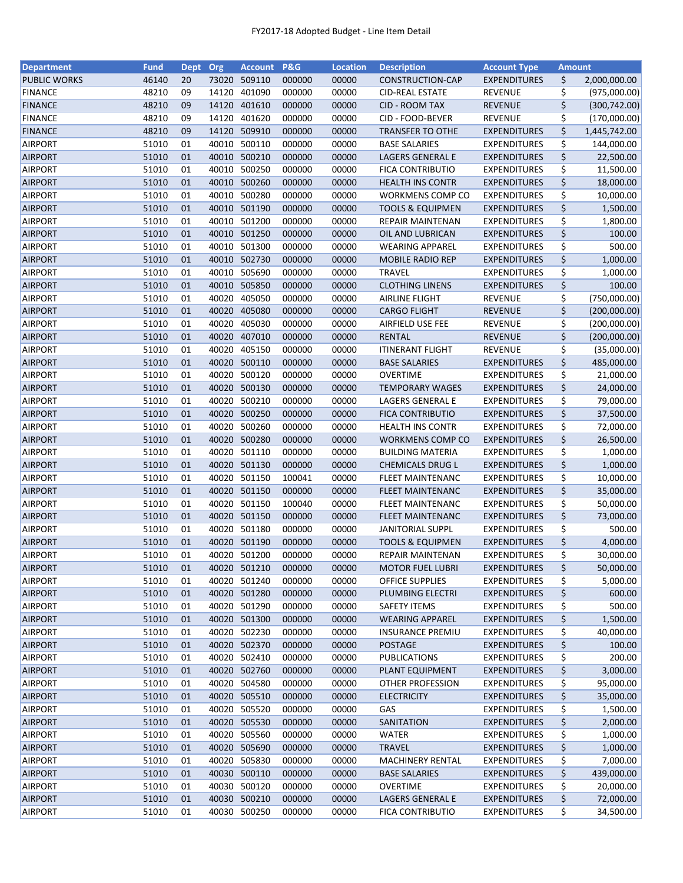| <b>Department</b>   | <b>Fund</b> | Dept | Org   | Account      | <b>P&amp;G</b> | <b>Location</b> | <b>Description</b>          | <b>Account Type</b> | Amount |               |
|---------------------|-------------|------|-------|--------------|----------------|-----------------|-----------------------------|---------------------|--------|---------------|
| <b>PUBLIC WORKS</b> | 46140       | 20   | 73020 | 509110       | 000000         | 00000           | CONSTRUCTION-CAP            | <b>EXPENDITURES</b> | \$     | 2,000,000.00  |
| <b>FINANCE</b>      | 48210       | 09   | 14120 | 401090       | 000000         | 00000           | <b>CID-REAL ESTATE</b>      | <b>REVENUE</b>      | \$     | (975,000.00)  |
| <b>FINANCE</b>      | 48210       | 09   | 14120 | 401610       | 000000         | 00000           | <b>CID - ROOM TAX</b>       | <b>REVENUE</b>      | \$     | (300, 742.00) |
| <b>FINANCE</b>      | 48210       | 09   | 14120 | 401620       | 000000         | 00000           | CID - FOOD-BEVER            | <b>REVENUE</b>      | \$     | (170,000.00)  |
| <b>FINANCE</b>      | 48210       | 09   | 14120 | 509910       | 000000         | 00000           | <b>TRANSFER TO OTHE</b>     | <b>EXPENDITURES</b> | \$     | 1,445,742.00  |
| <b>AIRPORT</b>      | 51010       | 01   | 40010 | 500110       | 000000         | 00000           | <b>BASE SALARIES</b>        | <b>EXPENDITURES</b> | \$     | 144,000.00    |
| <b>AIRPORT</b>      | 51010       | 01   | 40010 | 500210       | 000000         | 00000           | LAGERS GENERAL E            | <b>EXPENDITURES</b> | \$     | 22,500.00     |
| <b>AIRPORT</b>      | 51010       | 01   | 40010 | 500250       | 000000         | 00000           | <b>FICA CONTRIBUTIO</b>     | <b>EXPENDITURES</b> | \$     | 11,500.00     |
| <b>AIRPORT</b>      | 51010       | 01   | 40010 | 500260       | 000000         | 00000           | <b>HEALTH INS CONTR</b>     | <b>EXPENDITURES</b> | \$     | 18,000.00     |
| <b>AIRPORT</b>      | 51010       | 01   | 40010 | 500280       | 000000         | 00000           | <b>WORKMENS COMP CO</b>     | <b>EXPENDITURES</b> | \$     | 10,000.00     |
| <b>AIRPORT</b>      | 51010       | 01   |       | 40010 501190 | 000000         | 00000           | <b>TOOLS &amp; EQUIPMEN</b> | <b>EXPENDITURES</b> | \$     | 1,500.00      |
| <b>AIRPORT</b>      | 51010       | 01   | 40010 | 501200       | 000000         | 00000           | <b>REPAIR MAINTENAN</b>     | <b>EXPENDITURES</b> | \$     | 1,800.00      |
| <b>AIRPORT</b>      | 51010       | 01   | 40010 | 501250       | 000000         | 00000           | OIL AND LUBRICAN            | <b>EXPENDITURES</b> | \$     | 100.00        |
| <b>AIRPORT</b>      | 51010       | 01   | 40010 | 501300       | 000000         | 00000           | <b>WEARING APPAREL</b>      | <b>EXPENDITURES</b> | \$     | 500.00        |
| <b>AIRPORT</b>      | 51010       | 01   | 40010 | 502730       | 000000         | 00000           | <b>MOBILE RADIO REP</b>     | <b>EXPENDITURES</b> | \$     | 1,000.00      |
| <b>AIRPORT</b>      | 51010       | 01   | 40010 | 505690       | 000000         | 00000           | <b>TRAVEL</b>               | <b>EXPENDITURES</b> | \$     | 1,000.00      |
| <b>AIRPORT</b>      | 51010       | 01   |       | 40010 505850 | 000000         | 00000           | <b>CLOTHING LINENS</b>      | <b>EXPENDITURES</b> | \$     | 100.00        |
| <b>AIRPORT</b>      | 51010       | 01   | 40020 | 405050       | 000000         | 00000           | <b>AIRLINE FLIGHT</b>       | REVENUE             | \$     | (750,000.00)  |
| <b>AIRPORT</b>      | 51010       | 01   | 40020 | 405080       | 000000         | 00000           | <b>CARGO FLIGHT</b>         | <b>REVENUE</b>      | \$     | (200,000.00)  |
| <b>AIRPORT</b>      | 51010       | 01   | 40020 | 405030       | 000000         | 00000           | AIRFIELD USE FEE            | <b>REVENUE</b>      | \$     | (200,000.00)  |
| <b>AIRPORT</b>      | 51010       | 01   | 40020 | 407010       | 000000         | 00000           | <b>RENTAL</b>               | <b>REVENUE</b>      | \$     | (200,000.00)  |
| AIRPORT             | 51010       | 01   | 40020 | 405150       | 000000         | 00000           | <b>ITINERANT FLIGHT</b>     | <b>REVENUE</b>      | \$     | (35,000.00)   |
| <b>AIRPORT</b>      | 51010       | 01   |       | 40020 500110 | 000000         | 00000           | <b>BASE SALARIES</b>        | <b>EXPENDITURES</b> | \$     | 485,000.00    |
| AIRPORT             | 51010       | 01   | 40020 | 500120       | 000000         | 00000           | <b>OVERTIME</b>             | <b>EXPENDITURES</b> | \$     | 21,000.00     |
| <b>AIRPORT</b>      | 51010       | 01   | 40020 | 500130       | 000000         | 00000           | <b>TEMPORARY WAGES</b>      | <b>EXPENDITURES</b> | \$     | 24,000.00     |
| <b>AIRPORT</b>      | 51010       | 01   | 40020 | 500210       | 000000         | 00000           | LAGERS GENERAL E            | <b>EXPENDITURES</b> | \$     | 79,000.00     |
| <b>AIRPORT</b>      | 51010       | 01   | 40020 | 500250       | 000000         | 00000           | <b>FICA CONTRIBUTIO</b>     | <b>EXPENDITURES</b> | \$     | 37,500.00     |
| <b>AIRPORT</b>      | 51010       | 01   | 40020 | 500260       | 000000         | 00000           | <b>HEALTH INS CONTR</b>     | <b>EXPENDITURES</b> | \$     | 72,000.00     |
| <b>AIRPORT</b>      | 51010       | 01   | 40020 | 500280       | 000000         | 00000           | WORKMENS COMP CO            | <b>EXPENDITURES</b> | \$     | 26,500.00     |
| <b>AIRPORT</b>      | 51010       | 01   | 40020 | 501110       | 000000         | 00000           | <b>BUILDING MATERIA</b>     | <b>EXPENDITURES</b> | \$     | 1,000.00      |
| <b>AIRPORT</b>      | 51010       | 01   | 40020 | 501130       | 000000         | 00000           | <b>CHEMICALS DRUG L</b>     | <b>EXPENDITURES</b> | \$     | 1,000.00      |
| <b>AIRPORT</b>      | 51010       | 01   | 40020 | 501150       | 100041         | 00000           | <b>FLEET MAINTENANC</b>     | <b>EXPENDITURES</b> | \$     | 10,000.00     |
| <b>AIRPORT</b>      | 51010       | 01   | 40020 | 501150       | 000000         | 00000           | <b>FLEET MAINTENANC</b>     | <b>EXPENDITURES</b> | \$     | 35,000.00     |
| AIRPORT             | 51010       | 01   | 40020 | 501150       | 100040         | 00000           | <b>FLEET MAINTENANC</b>     | <b>EXPENDITURES</b> | \$     | 50,000.00     |
| <b>AIRPORT</b>      | 51010       | 01   |       | 40020 501150 | 000000         | 00000           | <b>FLEET MAINTENANC</b>     | <b>EXPENDITURES</b> | \$     | 73,000.00     |
| AIRPORT             | 51010       | 01   |       | 40020 501180 | 000000         | 00000           | <b>JANITORIAL SUPPL</b>     | <b>EXPENDITURES</b> | \$     | 500.00        |
| <b>AIRPORT</b>      | 51010       | 01   |       | 40020 501190 | 000000         | 00000           | <b>TOOLS &amp; EQUIPMEN</b> | <b>EXPENDITURES</b> | \$     | 4,000.00      |
| <b>AIRPORT</b>      | 51010       | 01   |       | 40020 501200 | 000000         | 00000           | <b>REPAIR MAINTENAN</b>     | <b>EXPENDITURES</b> | \$     | 30,000.00     |
| <b>AIRPORT</b>      | 51010       | 01   |       | 40020 501210 | 000000         | 00000           | <b>MOTOR FUEL LUBRI</b>     | <b>EXPENDITURES</b> | \$     | 50,000.00     |
| <b>AIRPORT</b>      | 51010       | 01   | 40020 | 501240       | 000000         | 00000           | <b>OFFICE SUPPLIES</b>      | <b>EXPENDITURES</b> | \$     | 5,000.00      |
| <b>AIRPORT</b>      | 51010       | 01   |       | 40020 501280 | 000000         | 00000           | PLUMBING ELECTRI            | <b>EXPENDITURES</b> | \$     | 600.00        |
| <b>AIRPORT</b>      | 51010       | 01   |       | 40020 501290 | 000000         | 00000           | SAFETY ITEMS                | <b>EXPENDITURES</b> | \$     | 500.00        |
| <b>AIRPORT</b>      | 51010       | 01   |       | 40020 501300 | 000000         | 00000           | <b>WEARING APPAREL</b>      | <b>EXPENDITURES</b> | \$     | 1,500.00      |
| <b>AIRPORT</b>      | 51010       | 01   |       | 40020 502230 | 000000         | 00000           | <b>INSURANCE PREMIU</b>     | <b>EXPENDITURES</b> | \$     | 40,000.00     |
| <b>AIRPORT</b>      | 51010       | 01   |       | 40020 502370 | 000000         | 00000           | POSTAGE                     | <b>EXPENDITURES</b> | \$     | 100.00        |
| <b>AIRPORT</b>      | 51010       | 01   |       | 40020 502410 | 000000         | 00000           | PUBLICATIONS                | <b>EXPENDITURES</b> | \$     | 200.00        |
| <b>AIRPORT</b>      | 51010       | 01   |       | 40020 502760 | 000000         | 00000           | PLANT EQUIPMENT             | <b>EXPENDITURES</b> | \$     | 3,000.00      |
| AIRPORT             | 51010       | 01   |       | 40020 504580 | 000000         | 00000           | OTHER PROFESSION            | <b>EXPENDITURES</b> | \$     | 95,000.00     |
| <b>AIRPORT</b>      | 51010       | 01   |       | 40020 505510 | 000000         | 00000           | <b>ELECTRICITY</b>          | <b>EXPENDITURES</b> | \$     | 35,000.00     |
| <b>AIRPORT</b>      | 51010       | 01   |       | 40020 505520 | 000000         | 00000           | GAS                         | <b>EXPENDITURES</b> | \$     | 1,500.00      |
| <b>AIRPORT</b>      | 51010       | 01   |       | 40020 505530 | 000000         | 00000           | SANITATION                  | <b>EXPENDITURES</b> | \$     | 2,000.00      |
| <b>AIRPORT</b>      | 51010       | 01   | 40020 | 505560       | 000000         | 00000           | WATER                       | <b>EXPENDITURES</b> | \$     | 1,000.00      |
| <b>AIRPORT</b>      | 51010       | 01   | 40020 | 505690       | 000000         | 00000           | <b>TRAVEL</b>               | <b>EXPENDITURES</b> | \$     | 1,000.00      |
| <b>AIRPORT</b>      | 51010       | 01   |       | 40020 505830 | 000000         | 00000           | <b>MACHINERY RENTAL</b>     | <b>EXPENDITURES</b> | \$     | 7,000.00      |
| <b>AIRPORT</b>      | 51010       | 01   |       | 40030 500110 | 000000         | 00000           | <b>BASE SALARIES</b>        | <b>EXPENDITURES</b> | \$     | 439,000.00    |
| <b>AIRPORT</b>      | 51010       | 01   |       | 40030 500120 | 000000         | 00000           | <b>OVERTIME</b>             | <b>EXPENDITURES</b> | \$     | 20,000.00     |
| <b>AIRPORT</b>      | 51010       | 01   |       | 40030 500210 | 000000         | 00000           | LAGERS GENERAL E            | <b>EXPENDITURES</b> | \$     | 72,000.00     |
| <b>AIRPORT</b>      | 51010       | 01   |       | 40030 500250 | 000000         | 00000           | <b>FICA CONTRIBUTIO</b>     | <b>EXPENDITURES</b> | \$     | 34,500.00     |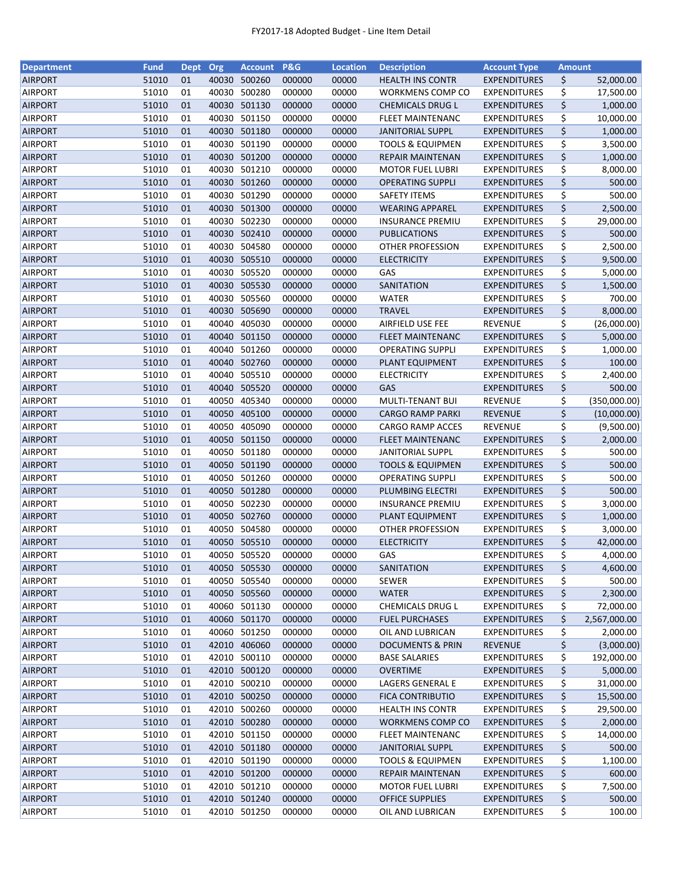| <b>Department</b> | <b>Fund</b> | Dept | Org   | Account      | P&G    | <b>Location</b> | <b>Description</b>          | <b>Account Type</b> | <b>Amount</b> |              |
|-------------------|-------------|------|-------|--------------|--------|-----------------|-----------------------------|---------------------|---------------|--------------|
| <b>AIRPORT</b>    | 51010       | 01   | 40030 | 500260       | 000000 | 00000           | <b>HEALTH INS CONTR</b>     | <b>EXPENDITURES</b> | \$            | 52,000.00    |
| <b>AIRPORT</b>    | 51010       | 01   | 40030 | 500280       | 000000 | 00000           | WORKMENS COMP CO            | <b>EXPENDITURES</b> | \$            | 17,500.00    |
| AIRPORT           | 51010       | 01   | 40030 | 501130       | 000000 | 00000           | <b>CHEMICALS DRUG L</b>     | <b>EXPENDITURES</b> | \$            | 1,000.00     |
| <b>AIRPORT</b>    | 51010       | 01   | 40030 | 501150       | 000000 | 00000           | <b>FLEET MAINTENANC</b>     | <b>EXPENDITURES</b> | \$            | 10,000.00    |
| <b>AIRPORT</b>    | 51010       | 01   |       | 40030 501180 | 000000 | 00000           | <b>JANITORIAL SUPPL</b>     | <b>EXPENDITURES</b> | \$            | 1,000.00     |
| <b>AIRPORT</b>    | 51010       | 01   | 40030 | 501190       | 000000 | 00000           | <b>TOOLS &amp; EQUIPMEN</b> | <b>EXPENDITURES</b> | \$            | 3,500.00     |
| <b>AIRPORT</b>    | 51010       | 01   | 40030 | 501200       | 000000 | 00000           | <b>REPAIR MAINTENAN</b>     | <b>EXPENDITURES</b> | \$            | 1,000.00     |
| <b>AIRPORT</b>    | 51010       | 01   | 40030 | 501210       | 000000 | 00000           | <b>MOTOR FUEL LUBRI</b>     | <b>EXPENDITURES</b> | \$            | 8,000.00     |
| <b>AIRPORT</b>    | 51010       | 01   |       | 40030 501260 | 000000 | 00000           | <b>OPERATING SUPPLI</b>     | <b>EXPENDITURES</b> | \$            | 500.00       |
| <b>AIRPORT</b>    | 51010       | 01   | 40030 | 501290       | 000000 | 00000           | SAFETY ITEMS                | EXPENDITURES        | \$            | 500.00       |
| <b>AIRPORT</b>    | 51010       | 01   |       | 40030 501300 | 000000 | 00000           | <b>WEARING APPAREL</b>      | <b>EXPENDITURES</b> | \$            | 2,500.00     |
| <b>AIRPORT</b>    | 51010       | 01   | 40030 | 502230       | 000000 | 00000           | <b>INSURANCE PREMIU</b>     | <b>EXPENDITURES</b> | \$            | 29,000.00    |
| <b>AIRPORT</b>    | 51010       | 01   | 40030 | 502410       | 000000 | 00000           | <b>PUBLICATIONS</b>         | <b>EXPENDITURES</b> | \$            | 500.00       |
| <b>AIRPORT</b>    | 51010       | 01   | 40030 | 504580       | 000000 | 00000           | OTHER PROFESSION            | <b>EXPENDITURES</b> | \$            | 2,500.00     |
| AIRPORT           | 51010       | 01   | 40030 | 505510       | 000000 | 00000           | <b>ELECTRICITY</b>          | <b>EXPENDITURES</b> | \$            | 9,500.00     |
| <b>AIRPORT</b>    | 51010       | 01   | 40030 | 505520       | 000000 | 00000           | GAS                         | <b>EXPENDITURES</b> | \$            | 5,000.00     |
| <b>AIRPORT</b>    | 51010       | 01   |       | 40030 505530 | 000000 | 00000           | SANITATION                  | <b>EXPENDITURES</b> | \$            | 1,500.00     |
| <b>AIRPORT</b>    | 51010       | 01   |       | 40030 505560 | 000000 | 00000           | <b>WATER</b>                | <b>EXPENDITURES</b> | \$            | 700.00       |
| <b>AIRPORT</b>    | 51010       | 01   | 40030 | 505690       | 000000 | 00000           | <b>TRAVEL</b>               | <b>EXPENDITURES</b> | \$            | 8,000.00     |
| <b>AIRPORT</b>    | 51010       | 01   | 40040 | 405030       | 000000 | 00000           | AIRFIELD USE FEE            | <b>REVENUE</b>      | \$            | (26,000.00)  |
| <b>AIRPORT</b>    | 51010       | 01   |       | 40040 501150 | 000000 | 00000           | <b>FLEET MAINTENANC</b>     | <b>EXPENDITURES</b> | \$            | 5,000.00     |
| <b>AIRPORT</b>    | 51010       | 01   |       | 40040 501260 | 000000 | 00000           | <b>OPERATING SUPPLI</b>     | <b>EXPENDITURES</b> | \$            | 1,000.00     |
| <b>AIRPORT</b>    | 51010       | 01   |       | 40040 502760 | 000000 | 00000           | PLANT EQUIPMENT             | <b>EXPENDITURES</b> | \$            | 100.00       |
| <b>AIRPORT</b>    | 51010       | 01   | 40040 | 505510       | 000000 | 00000           | <b>ELECTRICITY</b>          | <b>EXPENDITURES</b> | \$            | 2,400.00     |
| AIRPORT           | 51010       | 01   | 40040 | 505520       | 000000 | 00000           | GAS                         | <b>EXPENDITURES</b> | \$            | 500.00       |
| <b>AIRPORT</b>    | 51010       | 01   | 40050 | 405340       | 000000 | 00000           | MULTI-TENANT BUI            | <b>REVENUE</b>      | \$            | (350,000.00) |
| <b>AIRPORT</b>    | 51010       | 01   | 40050 | 405100       | 000000 | 00000           | <b>CARGO RAMP PARKI</b>     | <b>REVENUE</b>      | \$            | (10,000.00)  |
| <b>AIRPORT</b>    | 51010       | 01   | 40050 | 405090       | 000000 | 00000           | <b>CARGO RAMP ACCES</b>     | <b>REVENUE</b>      | \$            | (9,500.00)   |
| <b>AIRPORT</b>    | 51010       | 01   | 40050 | 501150       | 000000 | 00000           | <b>FLEET MAINTENANC</b>     | <b>EXPENDITURES</b> | \$            | 2,000.00     |
| <b>AIRPORT</b>    | 51010       | 01   | 40050 | 501180       | 000000 | 00000           | <b>JANITORIAL SUPPL</b>     | <b>EXPENDITURES</b> | \$            | 500.00       |
| <b>AIRPORT</b>    | 51010       | 01   |       | 40050 501190 | 000000 | 00000           | <b>TOOLS &amp; EQUIPMEN</b> | <b>EXPENDITURES</b> | \$            | 500.00       |
| <b>AIRPORT</b>    | 51010       | 01   | 40050 | 501260       | 000000 | 00000           | <b>OPERATING SUPPLI</b>     | <b>EXPENDITURES</b> | \$            | 500.00       |
| <b>AIRPORT</b>    | 51010       | 01   | 40050 | 501280       | 000000 | 00000           | PLUMBING ELECTRI            | <b>EXPENDITURES</b> | \$            | 500.00       |
| <b>AIRPORT</b>    | 51010       | 01   |       | 40050 502230 | 000000 | 00000           | <b>INSURANCE PREMIU</b>     | <b>EXPENDITURES</b> | \$            | 3,000.00     |
| <b>AIRPORT</b>    | 51010       | 01   |       | 40050 502760 | 000000 | 00000           | PLANT EQUIPMENT             | <b>EXPENDITURES</b> | \$            | 1,000.00     |
| <b>AIRPORT</b>    | 51010       | 01   |       | 40050 504580 | 000000 | 00000           | OTHER PROFESSION            | <b>EXPENDITURES</b> | \$            | 3,000.00     |
| <b>AIRPORT</b>    | 51010       | 01   |       | 40050 505510 | 000000 | 00000           | <b>ELECTRICITY</b>          | <b>EXPENDITURES</b> | \$            | 42,000.00    |
| <b>AIRPORT</b>    | 51010       | 01   |       | 40050 505520 | 000000 | 00000           | GAS                         | <b>EXPENDITURES</b> | \$            | 4,000.00     |
| <b>AIRPORT</b>    | 51010       | 01   |       | 40050 505530 | 000000 | 00000           | SANITATION                  | <b>EXPENDITURES</b> | \$            | 4,600.00     |
| <b>AIRPORT</b>    | 51010       | 01   | 40050 | 505540       | 000000 | 00000           | <b>SEWER</b>                | <b>EXPENDITURES</b> | \$            | 500.00       |
| <b>AIRPORT</b>    | 51010       | 01   |       | 40050 505560 | 000000 | 00000           | <b>WATER</b>                | <b>EXPENDITURES</b> | \$            | 2,300.00     |
| <b>AIRPORT</b>    | 51010       | 01   |       | 40060 501130 | 000000 | 00000           | <b>CHEMICALS DRUG L</b>     | <b>EXPENDITURES</b> | \$            | 72,000.00    |
| <b>AIRPORT</b>    | 51010       | 01   |       | 40060 501170 | 000000 | 00000           | <b>FUEL PURCHASES</b>       | <b>EXPENDITURES</b> | \$            | 2,567,000.00 |
| <b>AIRPORT</b>    | 51010       | 01   |       | 40060 501250 | 000000 | 00000           | OIL AND LUBRICAN            | <b>EXPENDITURES</b> | \$            | 2,000.00     |
| <b>AIRPORT</b>    | 51010       | 01   | 42010 | 406060       | 000000 | 00000           | DOCUMENTS & PRIN            | <b>REVENUE</b>      | \$            | (3,000.00)   |
| <b>AIRPORT</b>    | 51010       | 01   |       | 42010 500110 | 000000 | 00000           | <b>BASE SALARIES</b>        | <b>EXPENDITURES</b> | \$            | 192,000.00   |
| <b>AIRPORT</b>    | 51010       | 01   |       | 42010 500120 | 000000 | 00000           | <b>OVERTIME</b>             | <b>EXPENDITURES</b> | \$            | 5,000.00     |
| <b>AIRPORT</b>    | 51010       | 01   |       | 42010 500210 | 000000 | 00000           | LAGERS GENERAL E            | <b>EXPENDITURES</b> | \$            | 31,000.00    |
| <b>AIRPORT</b>    | 51010       | 01   |       | 42010 500250 | 000000 | 00000           | <b>FICA CONTRIBUTIO</b>     | <b>EXPENDITURES</b> | \$            | 15,500.00    |
| <b>AIRPORT</b>    | 51010       | 01   |       | 42010 500260 | 000000 | 00000           | <b>HEALTH INS CONTR</b>     | <b>EXPENDITURES</b> | \$            | 29,500.00    |
| <b>AIRPORT</b>    | 51010       | 01   |       | 42010 500280 | 000000 | 00000           | <b>WORKMENS COMP CO</b>     | <b>EXPENDITURES</b> | \$            | 2,000.00     |
| AIRPORT           | 51010       | 01   | 42010 | 501150       | 000000 | 00000           | <b>FLEET MAINTENANC</b>     | <b>EXPENDITURES</b> | \$            | 14,000.00    |
| <b>AIRPORT</b>    | 51010       | 01   |       | 42010 501180 | 000000 | 00000           | <b>JANITORIAL SUPPL</b>     | <b>EXPENDITURES</b> | \$            | 500.00       |
| <b>AIRPORT</b>    | 51010       | 01   |       | 42010 501190 | 000000 | 00000           | <b>TOOLS &amp; EQUIPMEN</b> | <b>EXPENDITURES</b> | \$            | 1,100.00     |
| <b>AIRPORT</b>    | 51010       | 01   |       | 42010 501200 | 000000 | 00000           | <b>REPAIR MAINTENAN</b>     | <b>EXPENDITURES</b> | \$            | 600.00       |
| <b>AIRPORT</b>    | 51010       | 01   |       | 42010 501210 | 000000 | 00000           | <b>MOTOR FUEL LUBRI</b>     | <b>EXPENDITURES</b> | \$            | 7,500.00     |
| <b>AIRPORT</b>    | 51010       | 01   |       | 42010 501240 | 000000 | 00000           | <b>OFFICE SUPPLIES</b>      | <b>EXPENDITURES</b> | \$            | 500.00       |
| <b>AIRPORT</b>    | 51010       | 01   |       | 42010 501250 | 000000 | 00000           | OIL AND LUBRICAN            | <b>EXPENDITURES</b> | \$            | 100.00       |
|                   |             |      |       |              |        |                 |                             |                     |               |              |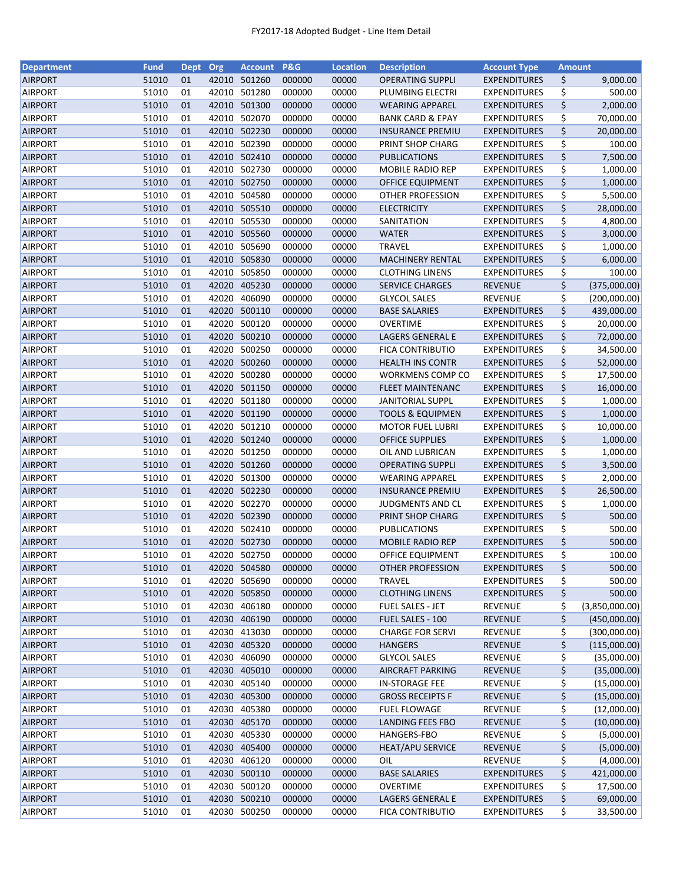| <b>Department</b> | <b>Fund</b> | Dept | Org   | <b>Account</b> | P&G    | <b>Location</b> | <b>Description</b>          | <b>Account Type</b> | <b>Amount</b> |                |
|-------------------|-------------|------|-------|----------------|--------|-----------------|-----------------------------|---------------------|---------------|----------------|
| <b>AIRPORT</b>    | 51010       | 01   | 42010 | 501260         | 000000 | 00000           | <b>OPERATING SUPPLI</b>     | <b>EXPENDITURES</b> | \$            | 9,000.00       |
| <b>AIRPORT</b>    | 51010       | 01   | 42010 | 501280         | 000000 | 00000           | PLUMBING ELECTRI            | <b>EXPENDITURES</b> | \$            | 500.00         |
| <b>AIRPORT</b>    | 51010       | 01   | 42010 | 501300         | 000000 | 00000           | <b>WEARING APPAREL</b>      | <b>EXPENDITURES</b> | \$            | 2,000.00       |
| <b>AIRPORT</b>    | 51010       | 01   | 42010 | 502070         | 000000 | 00000           | <b>BANK CARD &amp; EPAY</b> | <b>EXPENDITURES</b> | \$            | 70,000.00      |
| <b>AIRPORT</b>    | 51010       | 01   |       | 42010 502230   | 000000 | 00000           | <b>INSURANCE PREMIU</b>     | <b>EXPENDITURES</b> | \$            | 20,000.00      |
| <b>AIRPORT</b>    | 51010       | 01   | 42010 | 502390         | 000000 | 00000           | PRINT SHOP CHARG            | <b>EXPENDITURES</b> | \$            | 100.00         |
| <b>AIRPORT</b>    | 51010       | 01   | 42010 | 502410         | 000000 | 00000           | <b>PUBLICATIONS</b>         | <b>EXPENDITURES</b> | \$            | 7,500.00       |
| <b>AIRPORT</b>    | 51010       | 01   | 42010 | 502730         | 000000 | 00000           | MOBILE RADIO REP            | <b>EXPENDITURES</b> | \$            | 1,000.00       |
| <b>AIRPORT</b>    | 51010       | 01   | 42010 | 502750         | 000000 | 00000           | OFFICE EQUIPMENT            | <b>EXPENDITURES</b> | \$            | 1,000.00       |
| <b>AIRPORT</b>    | 51010       | 01   | 42010 | 504580         | 000000 | 00000           | <b>OTHER PROFESSION</b>     | <b>EXPENDITURES</b> | \$            | 5,500.00       |
| <b>AIRPORT</b>    | 51010       | 01   |       | 42010 505510   | 000000 | 00000           | <b>ELECTRICITY</b>          | <b>EXPENDITURES</b> | \$            | 28,000.00      |
| <b>AIRPORT</b>    | 51010       | 01   | 42010 | 505530         | 000000 | 00000           | SANITATION                  | <b>EXPENDITURES</b> | \$            | 4,800.00       |
| <b>AIRPORT</b>    | 51010       | 01   | 42010 | 505560         | 000000 | 00000           | <b>WATER</b>                | <b>EXPENDITURES</b> | \$            | 3,000.00       |
| <b>AIRPORT</b>    | 51010       | 01   | 42010 | 505690         | 000000 | 00000           | <b>TRAVEL</b>               | <b>EXPENDITURES</b> | \$            | 1,000.00       |
| <b>AIRPORT</b>    | 51010       | 01   | 42010 | 505830         | 000000 | 00000           | <b>MACHINERY RENTAL</b>     | <b>EXPENDITURES</b> | \$            | 6,000.00       |
| <b>AIRPORT</b>    | 51010       | 01   | 42010 | 505850         | 000000 | 00000           | <b>CLOTHING LINENS</b>      | <b>EXPENDITURES</b> | \$            | 100.00         |
| <b>AIRPORT</b>    | 51010       | 01   | 42020 | 405230         | 000000 | 00000           | <b>SERVICE CHARGES</b>      | <b>REVENUE</b>      | \$            | (375,000.00)   |
| <b>AIRPORT</b>    | 51010       | 01   | 42020 | 406090         | 000000 | 00000           | <b>GLYCOL SALES</b>         | <b>REVENUE</b>      | \$            | (200,000.00)   |
| <b>AIRPORT</b>    | 51010       | 01   | 42020 | 500110         | 000000 | 00000           | <b>BASE SALARIES</b>        | <b>EXPENDITURES</b> | \$            | 439,000.00     |
| <b>AIRPORT</b>    | 51010       | 01   | 42020 | 500120         | 000000 | 00000           | OVERTIME                    | <b>EXPENDITURES</b> | \$            | 20,000.00      |
| <b>AIRPORT</b>    | 51010       | 01   | 42020 | 500210         | 000000 | 00000           | LAGERS GENERAL E            | <b>EXPENDITURES</b> | \$            | 72,000.00      |
| <b>AIRPORT</b>    | 51010       | 01   | 42020 | 500250         | 000000 | 00000           | <b>FICA CONTRIBUTIO</b>     | <b>EXPENDITURES</b> | \$            | 34,500.00      |
| <b>AIRPORT</b>    | 51010       | 01   |       | 42020 500260   | 000000 | 00000           | <b>HEALTH INS CONTR</b>     | <b>EXPENDITURES</b> | \$            | 52,000.00      |
| <b>AIRPORT</b>    | 51010       | 01   | 42020 | 500280         | 000000 | 00000           | WORKMENS COMP CO            | EXPENDITURES        | \$            | 17,500.00      |
| <b>AIRPORT</b>    | 51010       | 01   | 42020 | 501150         | 000000 | 00000           | <b>FLEET MAINTENANC</b>     | <b>EXPENDITURES</b> | \$            | 16,000.00      |
| <b>AIRPORT</b>    | 51010       | 01   | 42020 | 501180         | 000000 | 00000           | <b>JANITORIAL SUPPL</b>     | <b>EXPENDITURES</b> | \$            | 1,000.00       |
| <b>AIRPORT</b>    | 51010       | 01   | 42020 | 501190         | 000000 | 00000           | <b>TOOLS &amp; EQUIPMEN</b> | <b>EXPENDITURES</b> | \$            | 1,000.00       |
| <b>AIRPORT</b>    | 51010       | 01   | 42020 | 501210         | 000000 | 00000           | <b>MOTOR FUEL LUBRI</b>     | <b>EXPENDITURES</b> | \$            | 10,000.00      |
| <b>AIRPORT</b>    | 51010       | 01   | 42020 | 501240         | 000000 | 00000           | <b>OFFICE SUPPLIES</b>      | <b>EXPENDITURES</b> | \$            | 1,000.00       |
| <b>AIRPORT</b>    | 51010       | 01   | 42020 | 501250         | 000000 | 00000           | OIL AND LUBRICAN            | <b>EXPENDITURES</b> | \$            | 1,000.00       |
| <b>AIRPORT</b>    | 51010       | 01   | 42020 | 501260         | 000000 | 00000           | <b>OPERATING SUPPLI</b>     | <b>EXPENDITURES</b> | \$            | 3,500.00       |
| <b>AIRPORT</b>    | 51010       | 01   | 42020 | 501300         | 000000 | 00000           | <b>WEARING APPAREL</b>      | <b>EXPENDITURES</b> | \$            | 2,000.00       |
| <b>AIRPORT</b>    | 51010       | 01   | 42020 | 502230         | 000000 | 00000           | <b>INSURANCE PREMIU</b>     | <b>EXPENDITURES</b> | \$            | 26,500.00      |
| <b>AIRPORT</b>    | 51010       | 01   | 42020 | 502270         | 000000 | 00000           | <b>JUDGMENTS AND CL</b>     | <b>EXPENDITURES</b> | \$            | 1,000.00       |
| <b>AIRPORT</b>    | 51010       | 01   |       | 42020 502390   | 000000 | 00000           | PRINT SHOP CHARG            | <b>EXPENDITURES</b> | \$            | 500.00         |
| <b>AIRPORT</b>    | 51010       | 01   |       | 42020 502410   | 000000 | 00000           | <b>PUBLICATIONS</b>         | EXPENDITURES        | \$            | 500.00         |
| <b>AIRPORT</b>    | 51010       | 01   |       | 42020 502730   | 000000 | 00000           | <b>MOBILE RADIO REP</b>     | <b>EXPENDITURES</b> | \$            | 500.00         |
| <b>AIRPORT</b>    | 51010       | 01   |       | 42020 502750   | 000000 | 00000           | <b>OFFICE EQUIPMENT</b>     | <b>EXPENDITURES</b> | \$            | 100.00         |
| <b>AIRPORT</b>    | 51010       | 01   |       | 42020 504580   | 000000 | 00000           | <b>OTHER PROFESSION</b>     | <b>EXPENDITURES</b> | \$            | 500.00         |
| <b>AIRPORT</b>    | 51010       | 01   | 42020 | 505690         | 000000 | 00000           | <b>TRAVEL</b>               | <b>EXPENDITURES</b> | \$            | 500.00         |
| <b>AIRPORT</b>    | 51010       | 01   |       | 42020 505850   | 000000 | 00000           | <b>CLOTHING LINENS</b>      | <b>EXPENDITURES</b> | \$            | 500.00         |
| <b>AIRPORT</b>    | 51010       | 01   | 42030 | 406180         | 000000 | 00000           | FUEL SALES - JET            | <b>REVENUE</b>      | \$            | (3,850,000.00) |
| <b>AIRPORT</b>    | 51010       | 01   | 42030 | 406190         | 000000 | 00000           | FUEL SALES - 100            | <b>REVENUE</b>      | \$            | (450,000.00)   |
| <b>AIRPORT</b>    | 51010       | 01   |       | 42030 413030   | 000000 | 00000           | <b>CHARGE FOR SERVI</b>     | <b>REVENUE</b>      | \$            | (300,000.00)   |
| <b>AIRPORT</b>    | 51010       | 01   | 42030 | 405320         | 000000 | 00000           | <b>HANGERS</b>              | <b>REVENUE</b>      | \$            | (115,000.00)   |
| <b>AIRPORT</b>    | 51010       | 01   | 42030 | 406090         | 000000 | 00000           | <b>GLYCOL SALES</b>         | <b>REVENUE</b>      | \$            | (35,000.00)    |
| <b>AIRPORT</b>    | 51010       | 01   | 42030 | 405010         | 000000 | 00000           | AIRCRAFT PARKING            | REVENUE             | \$            | (35,000.00)    |
| <b>AIRPORT</b>    | 51010       | 01   | 42030 | 405140         | 000000 | 00000           | <b>IN-STORAGE FEE</b>       | <b>REVENUE</b>      | \$            | (15,000.00)    |
| <b>AIRPORT</b>    | 51010       | 01   | 42030 | 405300         | 000000 | 00000           | <b>GROSS RECEIPTS F</b>     | <b>REVENUE</b>      | \$            | (15,000.00)    |
| <b>AIRPORT</b>    | 51010       | 01   | 42030 | 405380         | 000000 | 00000           | <b>FUEL FLOWAGE</b>         | REVENUE             | \$            | (12,000.00)    |
| <b>AIRPORT</b>    | 51010       | 01   | 42030 | 405170         | 000000 | 00000           | LANDING FEES FBO            | <b>REVENUE</b>      | \$            | (10,000.00)    |
| <b>AIRPORT</b>    | 51010       | 01   | 42030 | 405330         | 000000 | 00000           | HANGERS-FBO                 | <b>REVENUE</b>      | \$            | (5,000.00)     |
| <b>AIRPORT</b>    | 51010       | 01   | 42030 | 405400         | 000000 | 00000           | <b>HEAT/APU SERVICE</b>     | REVENUE             | \$            | (5,000.00)     |
| <b>AIRPORT</b>    | 51010       | 01   | 42030 | 406120         | 000000 | 00000           | OIL                         | <b>REVENUE</b>      | \$            | (4,000.00)     |
| <b>AIRPORT</b>    | 51010       | 01   |       | 42030 500110   | 000000 | 00000           | <b>BASE SALARIES</b>        | <b>EXPENDITURES</b> | \$            | 421,000.00     |
| <b>AIRPORT</b>    | 51010       | 01   |       | 42030 500120   | 000000 | 00000           | <b>OVERTIME</b>             | <b>EXPENDITURES</b> | \$            | 17,500.00      |
| <b>AIRPORT</b>    | 51010       | 01   | 42030 | 500210         | 000000 | 00000           | LAGERS GENERAL E            | <b>EXPENDITURES</b> | \$            | 69,000.00      |
| <b>AIRPORT</b>    | 51010       | 01   |       | 42030 500250   | 000000 | 00000           | <b>FICA CONTRIBUTIO</b>     | <b>EXPENDITURES</b> | \$            | 33,500.00      |
|                   |             |      |       |                |        |                 |                             |                     |               |                |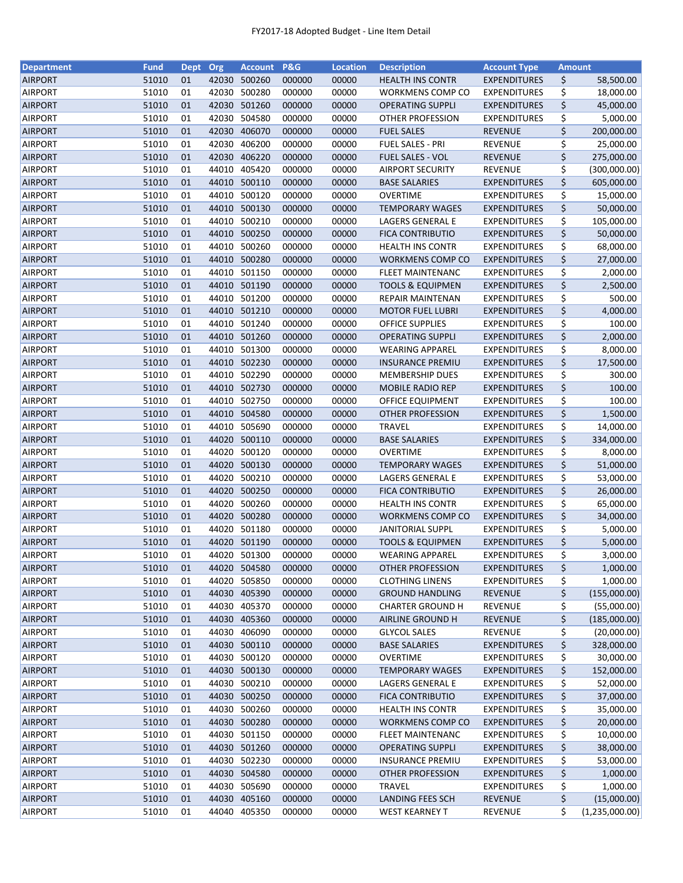| <b>Department</b> | <b>Fund</b> | <b>Dept</b> | Org   | <b>Account</b> | <b>P&amp;G</b> | <b>Location</b> | <b>Description</b>          | <b>Account Type</b> | <b>Amount</b> |                |
|-------------------|-------------|-------------|-------|----------------|----------------|-----------------|-----------------------------|---------------------|---------------|----------------|
| <b>AIRPORT</b>    | 51010       | 01          | 42030 | 500260         | 000000         | 00000           | <b>HEALTH INS CONTR</b>     | <b>EXPENDITURES</b> | \$            | 58,500.00      |
| <b>AIRPORT</b>    | 51010       | 01          | 42030 | 500280         | 000000         | 00000           | <b>WORKMENS COMP CO</b>     | <b>EXPENDITURES</b> | \$            | 18,000.00      |
| <b>AIRPORT</b>    | 51010       | 01          | 42030 | 501260         | 000000         | 00000           | <b>OPERATING SUPPLI</b>     | <b>EXPENDITURES</b> | \$            | 45,000.00      |
| <b>AIRPORT</b>    | 51010       | 01          | 42030 | 504580         | 000000         | 00000           | <b>OTHER PROFESSION</b>     | <b>EXPENDITURES</b> | \$            | 5,000.00       |
| <b>AIRPORT</b>    | 51010       | 01          | 42030 | 406070         | 000000         | 00000           | <b>FUEL SALES</b>           | <b>REVENUE</b>      | \$            | 200,000.00     |
| <b>AIRPORT</b>    | 51010       | 01          | 42030 | 406200         | 000000         | 00000           | <b>FUEL SALES - PRI</b>     | <b>REVENUE</b>      | \$            | 25,000.00      |
| <b>AIRPORT</b>    | 51010       | 01          | 42030 | 406220         | 000000         | 00000           | <b>FUEL SALES - VOL</b>     | <b>REVENUE</b>      | \$            | 275,000.00     |
| <b>AIRPORT</b>    | 51010       | 01          | 44010 | 405420         | 000000         | 00000           | <b>AIRPORT SECURITY</b>     | REVENUE             | \$            | (300,000.00)   |
| <b>AIRPORT</b>    | 51010       | 01          | 44010 | 500110         | 000000         | 00000           | <b>BASE SALARIES</b>        | <b>EXPENDITURES</b> | \$            | 605,000.00     |
| <b>AIRPORT</b>    | 51010       | 01          | 44010 | 500120         | 000000         | 00000           | OVERTIME                    | <b>EXPENDITURES</b> | \$            | 15,000.00      |
| <b>AIRPORT</b>    | 51010       | 01          | 44010 | 500130         | 000000         | 00000           | <b>TEMPORARY WAGES</b>      | <b>EXPENDITURES</b> | \$            | 50,000.00      |
| <b>AIRPORT</b>    | 51010       | 01          | 44010 | 500210         | 000000         | 00000           | LAGERS GENERAL E            | <b>EXPENDITURES</b> | \$            | 105,000.00     |
| <b>AIRPORT</b>    | 51010       | 01          | 44010 | 500250         | 000000         | 00000           | <b>FICA CONTRIBUTIO</b>     | <b>EXPENDITURES</b> | \$            | 50,000.00      |
| <b>AIRPORT</b>    | 51010       | 01          | 44010 | 500260         | 000000         | 00000           | <b>HEALTH INS CONTR</b>     | <b>EXPENDITURES</b> | \$            | 68,000.00      |
| <b>AIRPORT</b>    | 51010       | 01          | 44010 | 500280         | 000000         | 00000           | <b>WORKMENS COMP CO</b>     | <b>EXPENDITURES</b> | \$            | 27,000.00      |
| <b>AIRPORT</b>    | 51010       | 01          | 44010 | 501150         | 000000         | 00000           | <b>FLEET MAINTENANC</b>     | <b>EXPENDITURES</b> | \$            | 2,000.00       |
| <b>AIRPORT</b>    | 51010       | 01          | 44010 | 501190         | 000000         | 00000           | <b>TOOLS &amp; EQUIPMEN</b> | <b>EXPENDITURES</b> | \$            | 2,500.00       |
| <b>AIRPORT</b>    | 51010       | 01          | 44010 | 501200         | 000000         | 00000           | <b>REPAIR MAINTENAN</b>     | <b>EXPENDITURES</b> | \$            | 500.00         |
| <b>AIRPORT</b>    | 51010       | 01          |       | 44010 501210   | 000000         | 00000           | <b>MOTOR FUEL LUBRI</b>     | <b>EXPENDITURES</b> | \$            | 4,000.00       |
| <b>AIRPORT</b>    | 51010       | 01          | 44010 | 501240         | 000000         | 00000           | <b>OFFICE SUPPLIES</b>      | <b>EXPENDITURES</b> | \$            | 100.00         |
| <b>AIRPORT</b>    | 51010       | 01          | 44010 | 501260         | 000000         | 00000           | <b>OPERATING SUPPLI</b>     | <b>EXPENDITURES</b> | \$            | 2,000.00       |
| <b>AIRPORT</b>    | 51010       | 01          | 44010 | 501300         | 000000         | 00000           | <b>WEARING APPAREL</b>      | <b>EXPENDITURES</b> | \$            | 8,000.00       |
| <b>AIRPORT</b>    | 51010       | 01          |       | 44010 502230   | 000000         | 00000           | <b>INSURANCE PREMIU</b>     | <b>EXPENDITURES</b> | \$            | 17,500.00      |
| <b>AIRPORT</b>    | 51010       | 01          | 44010 | 502290         | 000000         | 00000           | <b>MEMBERSHIP DUES</b>      | EXPENDITURES        | \$            | 300.00         |
| <b>AIRPORT</b>    | 51010       | 01          | 44010 | 502730         | 000000         | 00000           | <b>MOBILE RADIO REP</b>     | <b>EXPENDITURES</b> | \$            | 100.00         |
| <b>AIRPORT</b>    | 51010       | 01          | 44010 | 502750         | 000000         | 00000           | OFFICE EQUIPMENT            | <b>EXPENDITURES</b> | \$            | 100.00         |
| <b>AIRPORT</b>    | 51010       | 01          | 44010 | 504580         | 000000         | 00000           | <b>OTHER PROFESSION</b>     | <b>EXPENDITURES</b> | \$            | 1,500.00       |
| <b>AIRPORT</b>    | 51010       | 01          | 44010 | 505690         | 000000         | 00000           | <b>TRAVEL</b>               | <b>EXPENDITURES</b> | \$            | 14,000.00      |
| <b>AIRPORT</b>    | 51010       | 01          | 44020 | 500110         | 000000         | 00000           | <b>BASE SALARIES</b>        | <b>EXPENDITURES</b> | \$            | 334,000.00     |
| <b>AIRPORT</b>    | 51010       | 01          | 44020 | 500120         | 000000         | 00000           | <b>OVERTIME</b>             | <b>EXPENDITURES</b> | \$            | 8,000.00       |
| <b>AIRPORT</b>    | 51010       | 01          | 44020 | 500130         | 000000         | 00000           | <b>TEMPORARY WAGES</b>      | <b>EXPENDITURES</b> | \$            | 51,000.00      |
| <b>AIRPORT</b>    | 51010       | 01          | 44020 | 500210         | 000000         | 00000           | LAGERS GENERAL E            | <b>EXPENDITURES</b> | \$            | 53,000.00      |
| <b>AIRPORT</b>    | 51010       | 01          | 44020 | 500250         | 000000         | 00000           | <b>FICA CONTRIBUTIO</b>     | <b>EXPENDITURES</b> | \$            | 26,000.00      |
| <b>AIRPORT</b>    | 51010       | 01          | 44020 | 500260         | 000000         | 00000           | <b>HEALTH INS CONTR</b>     | <b>EXPENDITURES</b> | \$            | 65,000.00      |
| <b>AIRPORT</b>    | 51010       | 01          | 44020 | 500280         | 000000         | 00000           | <b>WORKMENS COMP CO</b>     | <b>EXPENDITURES</b> | \$            | 34,000.00      |
| <b>AIRPORT</b>    | 51010       | 01          | 44020 | 501180         | 000000         | 00000           | <b>JANITORIAL SUPPL</b>     | <b>EXPENDITURES</b> | \$            | 5,000.00       |
| <b>AIRPORT</b>    | 51010       | 01          | 44020 | 501190         | 000000         | 00000           | <b>TOOLS &amp; EQUIPMEN</b> | <b>EXPENDITURES</b> | \$            | 5,000.00       |
| <b>AIRPORT</b>    | 51010       | 01          |       | 44020 501300   | 000000         | 00000           | <b>WEARING APPAREL</b>      | <b>EXPENDITURES</b> | \$            | 3,000.00       |
| <b>AIRPORT</b>    | 51010       | 01          |       | 44020 504580   | 000000         | 00000           | OTHER PROFESSION            | <b>EXPENDITURES</b> | \$            | 1,000.00       |
| <b>AIRPORT</b>    | 51010       | 01          | 44020 | 505850         | 000000         | 00000           | <b>CLOTHING LINENS</b>      | <b>EXPENDITURES</b> | \$            | 1,000.00       |
| <b>AIRPORT</b>    | 51010       | 01          | 44030 | 405390         | 000000         | 00000           | <b>GROUND HANDLING</b>      | <b>REVENUE</b>      | \$            | (155,000.00)   |
| <b>AIRPORT</b>    | 51010       | 01          | 44030 | 405370         | 000000         | 00000           | <b>CHARTER GROUND H</b>     | REVENUE             | \$            | (55,000.00)    |
| <b>AIRPORT</b>    | 51010       | 01          |       | 44030 405360   | 000000         | 00000           | AIRLINE GROUND H            | <b>REVENUE</b>      | \$            | (185,000.00)   |
| <b>AIRPORT</b>    | 51010       | 01          | 44030 | 406090         | 000000         | 00000           | <b>GLYCOL SALES</b>         | <b>REVENUE</b>      | \$            | (20,000.00)    |
| <b>AIRPORT</b>    | 51010       | 01          | 44030 | 500110         | 000000         | 00000           | <b>BASE SALARIES</b>        | <b>EXPENDITURES</b> | \$            | 328,000.00     |
| <b>AIRPORT</b>    | 51010       | 01          | 44030 | 500120         | 000000         | 00000           | OVERTIME                    | <b>EXPENDITURES</b> | \$            | 30,000.00      |
| <b>AIRPORT</b>    | 51010       | 01          |       | 44030 500130   | 000000         | 00000           | <b>TEMPORARY WAGES</b>      | <b>EXPENDITURES</b> | \$            | 152,000.00     |
| AIRPORT           | 51010       | 01          |       | 44030 500210   | 000000         | 00000           | LAGERS GENERAL E            | <b>EXPENDITURES</b> | \$            | 52,000.00      |
| <b>AIRPORT</b>    | 51010       | 01          |       | 44030 500250   | 000000         | 00000           | <b>FICA CONTRIBUTIO</b>     | <b>EXPENDITURES</b> | \$            | 37,000.00      |
| <b>AIRPORT</b>    | 51010       | 01          | 44030 | 500260         | 000000         | 00000           | <b>HEALTH INS CONTR</b>     | <b>EXPENDITURES</b> | \$            | 35,000.00      |
| <b>AIRPORT</b>    | 51010       | 01          |       | 44030 500280   | 000000         | 00000           | WORKMENS COMP CO            | <b>EXPENDITURES</b> | \$            | 20,000.00      |
| <b>AIRPORT</b>    | 51010       | 01          | 44030 | 501150         | 000000         | 00000           | <b>FLEET MAINTENANC</b>     | <b>EXPENDITURES</b> | \$            | 10,000.00      |
| <b>AIRPORT</b>    | 51010       | 01          | 44030 | 501260         | 000000         | 00000           | <b>OPERATING SUPPLI</b>     | <b>EXPENDITURES</b> | \$            | 38,000.00      |
| <b>AIRPORT</b>    | 51010       | 01          | 44030 | 502230         | 000000         | 00000           | <b>INSURANCE PREMIU</b>     | <b>EXPENDITURES</b> | \$            | 53,000.00      |
| <b>AIRPORT</b>    | 51010       | 01          |       | 44030 504580   | 000000         | 00000           | <b>OTHER PROFESSION</b>     | <b>EXPENDITURES</b> | \$            | 1,000.00       |
| <b>AIRPORT</b>    | 51010       | 01          |       | 44030 505690   | 000000         | 00000           | TRAVEL                      | <b>EXPENDITURES</b> | \$            | 1,000.00       |
| <b>AIRPORT</b>    | 51010       | 01          | 44030 | 405160         | 000000         | 00000           | <b>LANDING FEES SCH</b>     | <b>REVENUE</b>      | \$            | (15,000.00)    |
| <b>AIRPORT</b>    | 51010       | 01          | 44040 | 405350         | 000000         | 00000           | <b>WEST KEARNEY T</b>       | <b>REVENUE</b>      | \$            | (1,235,000.00) |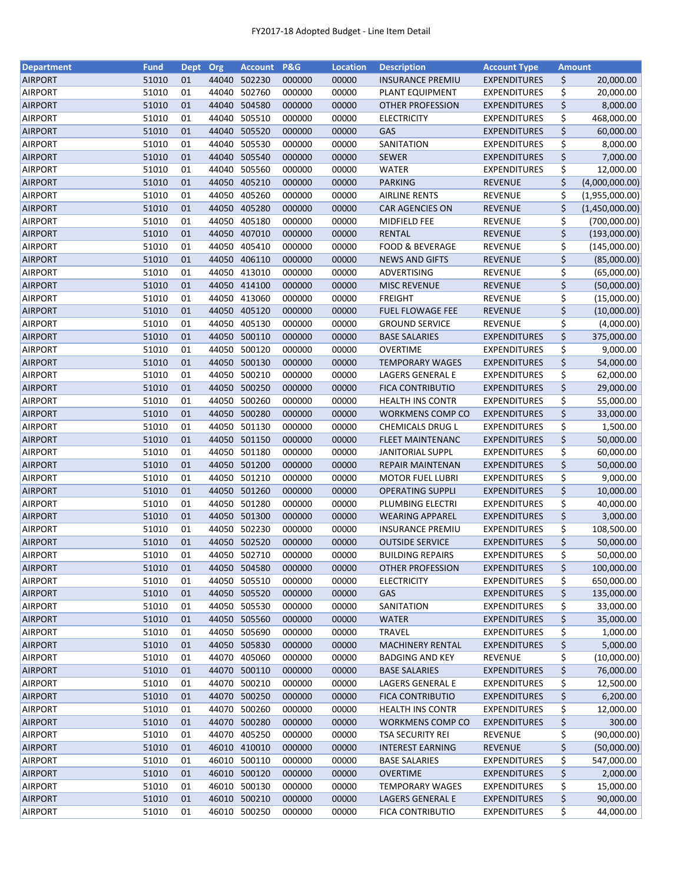| <b>Department</b> | <b>Fund</b> | <b>Dept</b> | Org   | <b>Account</b> | <b>P&amp;G</b> | <b>Location</b> | <b>Description</b>         | <b>Account Type</b> | <b>Amount</b> |                |
|-------------------|-------------|-------------|-------|----------------|----------------|-----------------|----------------------------|---------------------|---------------|----------------|
| <b>AIRPORT</b>    | 51010       | 01          | 44040 | 502230         | 000000         | 00000           | <b>INSURANCE PREMIU</b>    | <b>EXPENDITURES</b> | \$            | 20,000.00      |
| <b>AIRPORT</b>    | 51010       | 01          | 44040 | 502760         | 000000         | 00000           | PLANT EQUIPMENT            | <b>EXPENDITURES</b> | \$            | 20,000.00      |
| <b>AIRPORT</b>    | 51010       | 01          | 44040 | 504580         | 000000         | 00000           | OTHER PROFESSION           | <b>EXPENDITURES</b> | \$            | 8,000.00       |
| <b>AIRPORT</b>    | 51010       | 01          | 44040 | 505510         | 000000         | 00000           | <b>ELECTRICITY</b>         | <b>EXPENDITURES</b> | \$            | 468,000.00     |
| <b>AIRPORT</b>    | 51010       | 01          | 44040 | 505520         | 000000         | 00000           | GAS                        | <b>EXPENDITURES</b> | \$            | 60,000.00      |
| <b>AIRPORT</b>    | 51010       | 01          | 44040 | 505530         | 000000         | 00000           | SANITATION                 | <b>EXPENDITURES</b> | \$            | 8,000.00       |
| <b>AIRPORT</b>    | 51010       | 01          | 44040 | 505540         | 000000         | 00000           | <b>SEWER</b>               | <b>EXPENDITURES</b> | \$            | 7,000.00       |
| <b>AIRPORT</b>    | 51010       | 01          | 44040 | 505560         | 000000         | 00000           | <b>WATER</b>               | <b>EXPENDITURES</b> | \$            | 12,000.00      |
| <b>AIRPORT</b>    | 51010       | 01          | 44050 | 405210         | 000000         | 00000           | <b>PARKING</b>             | <b>REVENUE</b>      | \$            | (4,000,000.00) |
| <b>AIRPORT</b>    | 51010       | 01          | 44050 | 405260         | 000000         | 00000           | <b>AIRLINE RENTS</b>       | <b>REVENUE</b>      | \$            | (1,955,000.00) |
| <b>AIRPORT</b>    | 51010       | 01          | 44050 | 405280         | 000000         | 00000           | <b>CAR AGENCIES ON</b>     | <b>REVENUE</b>      | \$            | (1,450,000.00) |
| <b>AIRPORT</b>    | 51010       | 01          | 44050 | 405180         | 000000         | 00000           | MIDFIELD FEE               | <b>REVENUE</b>      | \$            | (700,000.00)   |
| <b>AIRPORT</b>    | 51010       | 01          |       | 44050 407010   | 000000         | 00000           | <b>RENTAL</b>              | <b>REVENUE</b>      | \$            | (193,000.00)   |
| <b>AIRPORT</b>    | 51010       | 01          | 44050 | 405410         | 000000         | 00000           | <b>FOOD &amp; BEVERAGE</b> | REVENUE             | \$            | (145,000.00)   |
| <b>AIRPORT</b>    | 51010       | 01          | 44050 | 406110         | 000000         | 00000           | <b>NEWS AND GIFTS</b>      | <b>REVENUE</b>      | \$            | (85,000.00)    |
| <b>AIRPORT</b>    | 51010       | 01          | 44050 | 413010         | 000000         | 00000           | ADVERTISING                | <b>REVENUE</b>      | \$            | (65,000.00)    |
| <b>AIRPORT</b>    | 51010       | 01          |       | 44050 414100   | 000000         | 00000           | <b>MISC REVENUE</b>        | <b>REVENUE</b>      | \$            | (50,000.00)    |
| AIRPORT           | 51010       | 01          | 44050 | 413060         | 000000         | 00000           | <b>FREIGHT</b>             | <b>REVENUE</b>      | \$            | (15,000.00)    |
| <b>AIRPORT</b>    | 51010       | 01          | 44050 | 405120         | 000000         | 00000           | <b>FUEL FLOWAGE FEE</b>    | <b>REVENUE</b>      | \$            | (10,000.00)    |
| <b>AIRPORT</b>    | 51010       | 01          | 44050 | 405130         | 000000         | 00000           | <b>GROUND SERVICE</b>      | <b>REVENUE</b>      | \$            | (4,000.00)     |
| <b>AIRPORT</b>    | 51010       | 01          | 44050 | 500110         | 000000         | 00000           | <b>BASE SALARIES</b>       | <b>EXPENDITURES</b> | \$            | 375,000.00     |
| AIRPORT           | 51010       | 01          | 44050 | 500120         | 000000         | 00000           | <b>OVERTIME</b>            | <b>EXPENDITURES</b> | \$            | 9,000.00       |
| <b>AIRPORT</b>    | 51010       | 01          |       | 44050 500130   | 000000         | 00000           | <b>TEMPORARY WAGES</b>     | <b>EXPENDITURES</b> | \$            | 54,000.00      |
| <b>AIRPORT</b>    | 51010       | 01          | 44050 | 500210         | 000000         | 00000           | LAGERS GENERAL E           | <b>EXPENDITURES</b> | \$            | 62,000.00      |
| <b>AIRPORT</b>    | 51010       | 01          |       | 44050 500250   | 000000         | 00000           | <b>FICA CONTRIBUTIO</b>    | <b>EXPENDITURES</b> | \$            | 29,000.00      |
| <b>AIRPORT</b>    | 51010       | 01          | 44050 | 500260         | 000000         | 00000           | <b>HEALTH INS CONTR</b>    | <b>EXPENDITURES</b> | \$            | 55,000.00      |
| <b>AIRPORT</b>    | 51010       | 01          | 44050 | 500280         | 000000         | 00000           | <b>WORKMENS COMP CO</b>    | <b>EXPENDITURES</b> | \$            | 33,000.00      |
| <b>AIRPORT</b>    | 51010       | 01          | 44050 | 501130         | 000000         | 00000           | CHEMICALS DRUG L           | <b>EXPENDITURES</b> | \$            | 1,500.00       |
| <b>AIRPORT</b>    | 51010       | 01          | 44050 | 501150         | 000000         | 00000           | <b>FLEET MAINTENANC</b>    | <b>EXPENDITURES</b> | \$            | 50,000.00      |
| <b>AIRPORT</b>    | 51010       | 01          | 44050 | 501180         | 000000         | 00000           | <b>JANITORIAL SUPPL</b>    | <b>EXPENDITURES</b> | \$            | 60,000.00      |
| <b>AIRPORT</b>    | 51010       | 01          |       | 44050 501200   | 000000         | 00000           | REPAIR MAINTENAN           | <b>EXPENDITURES</b> | \$            | 50,000.00      |
| <b>AIRPORT</b>    | 51010       | 01          |       | 44050 501210   | 000000         | 00000           | <b>MOTOR FUEL LUBRI</b>    | <b>EXPENDITURES</b> | \$            | 9,000.00       |
| <b>AIRPORT</b>    | 51010       | 01          |       | 44050 501260   | 000000         | 00000           | <b>OPERATING SUPPLI</b>    | <b>EXPENDITURES</b> | \$            | 10,000.00      |
| <b>AIRPORT</b>    | 51010       | 01          | 44050 | 501280         | 000000         | 00000           | PLUMBING ELECTRI           | <b>EXPENDITURES</b> | \$            | 40,000.00      |
| <b>AIRPORT</b>    | 51010       | 01          |       | 44050 501300   | 000000         | 00000           | <b>WEARING APPAREL</b>     | <b>EXPENDITURES</b> | \$            | 3,000.00       |
| <b>AIRPORT</b>    | 51010       | 01          | 44050 | 502230         | 000000         | 00000           | <b>INSURANCE PREMIU</b>    | <b>EXPENDITURES</b> | \$            | 108,500.00     |
| <b>AIRPORT</b>    | 51010       | 01          |       | 44050 502520   | 000000         | 00000           | <b>OUTSIDE SERVICE</b>     | <b>EXPENDITURES</b> | \$            | 50,000.00      |
| <b>AIRPORT</b>    | 51010       | 01          |       | 44050 502710   | 000000         | 00000           | <b>BUILDING REPAIRS</b>    | <b>EXPENDITURES</b> | \$            | 50,000.00      |
| <b>AIRPORT</b>    | 51010       | 01          |       | 44050 504580   | 000000         | 00000           | OTHER PROFESSION           | <b>EXPENDITURES</b> | \$            | 100,000.00     |
| <b>AIRPORT</b>    |             |             |       |                |                |                 | <b>ELECTRICITY</b>         |                     | \$            |                |
|                   | 51010       | 01          |       | 44050 505510   | 000000         | 00000           |                            | <b>EXPENDITURES</b> |               | 650,000.00     |
| <b>AIRPORT</b>    | 51010       | 01          |       | 44050 505520   | 000000         | 00000           | GAS                        | <b>EXPENDITURES</b> | \$            | 135,000.00     |
| <b>AIRPORT</b>    | 51010       | 01          |       | 44050 505530   | 000000         | 00000           | SANITATION                 | <b>EXPENDITURES</b> | \$            | 33,000.00      |
| <b>AIRPORT</b>    | 51010       | 01          |       | 44050 505560   | 000000         | 00000           | <b>WATER</b>               | <b>EXPENDITURES</b> | \$            | 35,000.00      |
| AIRPORT           | 51010       | 01          |       | 44050 505690   | 000000         | 00000           | TRAVEL                     | <b>EXPENDITURES</b> | \$            | 1,000.00       |
| <b>AIRPORT</b>    | 51010       | 01          |       | 44050 505830   | 000000         | 00000           | <b>MACHINERY RENTAL</b>    | <b>EXPENDITURES</b> | \$            | 5,000.00       |
| AIRPORT           | 51010       | 01          |       | 44070 405060   | 000000         | 00000           | <b>BADGING AND KEY</b>     | <b>REVENUE</b>      | \$            | (10,000.00)    |
| <b>AIRPORT</b>    | 51010       | 01          |       | 44070 500110   | 000000         | 00000           | <b>BASE SALARIES</b>       | <b>EXPENDITURES</b> | \$            | 76,000.00      |
| AIRPORT           | 51010       | 01          |       | 44070 500210   | 000000         | 00000           | LAGERS GENERAL E           | <b>EXPENDITURES</b> | \$            | 12,500.00      |
| <b>AIRPORT</b>    | 51010       | 01          |       | 44070 500250   | 000000         | 00000           | <b>FICA CONTRIBUTIO</b>    | <b>EXPENDITURES</b> | \$            | 6,200.00       |
| <b>AIRPORT</b>    | 51010       | 01          |       | 44070 500260   | 000000         | 00000           | <b>HEALTH INS CONTR</b>    | <b>EXPENDITURES</b> | \$            | 12,000.00      |
| <b>AIRPORT</b>    | 51010       | 01          |       | 44070 500280   | 000000         | 00000           | <b>WORKMENS COMP CO</b>    | <b>EXPENDITURES</b> | \$            | 300.00         |
| AIRPORT           | 51010       | 01          | 44070 | 405250         | 000000         | 00000           | <b>TSA SECURITY REI</b>    | REVENUE             | \$            | (90,000.00)    |
| <b>AIRPORT</b>    | 51010       | 01          |       | 46010 410010   | 000000         | 00000           | <b>INTEREST EARNING</b>    | REVENUE             | \$            | (50,000.00)    |
| <b>AIRPORT</b>    | 51010       | 01          | 46010 | 500110         | 000000         | 00000           | <b>BASE SALARIES</b>       | <b>EXPENDITURES</b> | \$            | 547,000.00     |
| <b>AIRPORT</b>    | 51010       | 01          |       | 46010 500120   | 000000         | 00000           | <b>OVERTIME</b>            | <b>EXPENDITURES</b> | \$            | 2,000.00       |
| <b>AIRPORT</b>    | 51010       | 01          |       | 46010 500130   | 000000         | 00000           | <b>TEMPORARY WAGES</b>     | <b>EXPENDITURES</b> | \$            | 15,000.00      |
| <b>AIRPORT</b>    | 51010       | 01          |       | 46010 500210   | 000000         | 00000           | <b>LAGERS GENERAL E</b>    | <b>EXPENDITURES</b> | \$            | 90,000.00      |
| AIRPORT           | 51010       | 01          |       | 46010 500250   | 000000         | 00000           | FICA CONTRIBUTIO           | <b>EXPENDITURES</b> | \$            | 44,000.00      |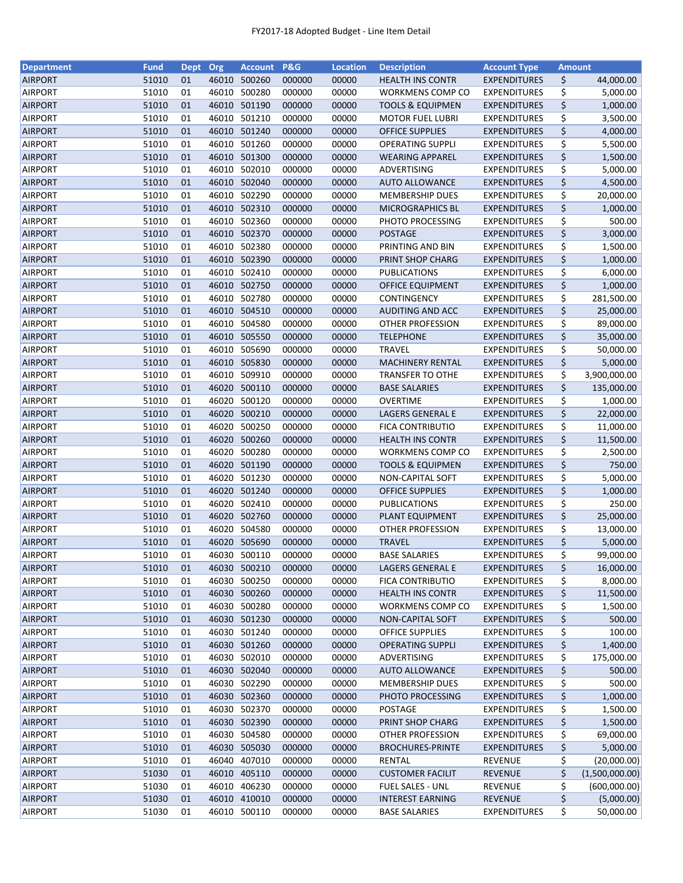| <b>Department</b> | <b>Fund</b> | <b>Dept</b> | Org   | <b>Account</b> | <b>P&amp;G</b> | <b>Location</b> | <b>Description</b>          | <b>Account Type</b> | <b>Amount</b> |                |
|-------------------|-------------|-------------|-------|----------------|----------------|-----------------|-----------------------------|---------------------|---------------|----------------|
| <b>AIRPORT</b>    | 51010       | 01          | 46010 | 500260         | 000000         | 00000           | <b>HEALTH INS CONTR</b>     | <b>EXPENDITURES</b> | \$            | 44,000.00      |
| <b>AIRPORT</b>    | 51010       | 01          | 46010 | 500280         | 000000         | 00000           | <b>WORKMENS COMP CO</b>     | <b>EXPENDITURES</b> | \$            | 5,000.00       |
| <b>AIRPORT</b>    | 51010       | 01          | 46010 | 501190         | 000000         | 00000           | <b>TOOLS &amp; EQUIPMEN</b> | <b>EXPENDITURES</b> | \$            | 1,000.00       |
| <b>AIRPORT</b>    | 51010       | 01          | 46010 | 501210         | 000000         | 00000           | <b>MOTOR FUEL LUBRI</b>     | <b>EXPENDITURES</b> | \$            | 3,500.00       |
| <b>AIRPORT</b>    | 51010       | 01          | 46010 | 501240         | 000000         | 00000           | <b>OFFICE SUPPLIES</b>      | <b>EXPENDITURES</b> | \$            | 4,000.00       |
| <b>AIRPORT</b>    | 51010       | 01          | 46010 | 501260         | 000000         | 00000           | <b>OPERATING SUPPLI</b>     | <b>EXPENDITURES</b> | \$            | 5,500.00       |
| <b>AIRPORT</b>    | 51010       | 01          | 46010 | 501300         | 000000         | 00000           | <b>WEARING APPAREL</b>      | <b>EXPENDITURES</b> | \$            | 1,500.00       |
| <b>AIRPORT</b>    | 51010       | 01          | 46010 | 502010         | 000000         | 00000           | ADVERTISING                 | <b>EXPENDITURES</b> | \$            | 5,000.00       |
| <b>AIRPORT</b>    | 51010       | 01          | 46010 | 502040         | 000000         | 00000           | <b>AUTO ALLOWANCE</b>       | <b>EXPENDITURES</b> | \$            | 4,500.00       |
| <b>AIRPORT</b>    | 51010       | 01          | 46010 | 502290         | 000000         | 00000           | <b>MEMBERSHIP DUES</b>      | <b>EXPENDITURES</b> | \$            | 20,000.00      |
| <b>AIRPORT</b>    | 51010       | 01          |       | 46010 502310   | 000000         | 00000           | <b>MICROGRAPHICS BL</b>     | <b>EXPENDITURES</b> | \$            | 1,000.00       |
| <b>AIRPORT</b>    | 51010       | 01          | 46010 | 502360         | 000000         | 00000           | PHOTO PROCESSING            | <b>EXPENDITURES</b> | \$            | 500.00         |
| <b>AIRPORT</b>    | 51010       | 01          | 46010 | 502370         | 000000         | 00000           | <b>POSTAGE</b>              | <b>EXPENDITURES</b> | \$            | 3,000.00       |
| <b>AIRPORT</b>    | 51010       | 01          | 46010 | 502380         | 000000         | 00000           | PRINTING AND BIN            | <b>EXPENDITURES</b> | \$            | 1,500.00       |
| <b>AIRPORT</b>    | 51010       | 01          | 46010 | 502390         | 000000         | 00000           | PRINT SHOP CHARG            | <b>EXPENDITURES</b> | \$            | 1,000.00       |
| <b>AIRPORT</b>    | 51010       | 01          | 46010 | 502410         | 000000         | 00000           | <b>PUBLICATIONS</b>         | <b>EXPENDITURES</b> | \$            | 6,000.00       |
| <b>AIRPORT</b>    | 51010       | 01          | 46010 | 502750         | 000000         | 00000           | <b>OFFICE EQUIPMENT</b>     | <b>EXPENDITURES</b> | \$            | 1,000.00       |
| <b>AIRPORT</b>    | 51010       | 01          | 46010 | 502780         | 000000         | 00000           | CONTINGENCY                 | <b>EXPENDITURES</b> | \$            | 281,500.00     |
| <b>AIRPORT</b>    | 51010       | 01          |       | 46010 504510   | 000000         | 00000           | AUDITING AND ACC            | <b>EXPENDITURES</b> | \$            | 25,000.00      |
| <b>AIRPORT</b>    | 51010       | 01          | 46010 | 504580         | 000000         | 00000           | OTHER PROFESSION            | <b>EXPENDITURES</b> | \$            | 89,000.00      |
| <b>AIRPORT</b>    | 51010       | 01          | 46010 | 505550         | 000000         | 00000           | <b>TELEPHONE</b>            | <b>EXPENDITURES</b> | \$            | 35,000.00      |
| <b>AIRPORT</b>    | 51010       | 01          | 46010 | 505690         | 000000         | 00000           | <b>TRAVEL</b>               | <b>EXPENDITURES</b> | \$            | 50,000.00      |
| <b>AIRPORT</b>    | 51010       | 01          |       | 46010 505830   | 000000         | 00000           | <b>MACHINERY RENTAL</b>     | <b>EXPENDITURES</b> | \$            | 5,000.00       |
| <b>AIRPORT</b>    | 51010       | 01          | 46010 | 509910         | 000000         | 00000           | <b>TRANSFER TO OTHE</b>     | <b>EXPENDITURES</b> | \$            | 3,900,000.00   |
| <b>AIRPORT</b>    | 51010       | 01          | 46020 | 500110         | 000000         | 00000           | <b>BASE SALARIES</b>        | <b>EXPENDITURES</b> | \$            | 135,000.00     |
| <b>AIRPORT</b>    | 51010       | 01          | 46020 | 500120         | 000000         | 00000           | <b>OVERTIME</b>             | <b>EXPENDITURES</b> | \$            | 1,000.00       |
| <b>AIRPORT</b>    | 51010       | 01          | 46020 | 500210         | 000000         | 00000           | LAGERS GENERAL E            | <b>EXPENDITURES</b> | \$            | 22,000.00      |
| <b>AIRPORT</b>    | 51010       | 01          | 46020 | 500250         | 000000         | 00000           | <b>FICA CONTRIBUTIO</b>     | <b>EXPENDITURES</b> | \$            | 11,000.00      |
| <b>AIRPORT</b>    | 51010       | 01          | 46020 | 500260         | 000000         | 00000           | <b>HEALTH INS CONTR</b>     | <b>EXPENDITURES</b> | \$            | 11,500.00      |
| <b>AIRPORT</b>    | 51010       | 01          | 46020 | 500280         | 000000         | 00000           | WORKMENS COMP CO            | <b>EXPENDITURES</b> | \$            | 2,500.00       |
| <b>AIRPORT</b>    | 51010       | 01          | 46020 | 501190         | 000000         | 00000           | <b>TOOLS &amp; EQUIPMEN</b> | <b>EXPENDITURES</b> | \$            | 750.00         |
| <b>AIRPORT</b>    | 51010       | 01          | 46020 | 501230         | 000000         | 00000           | NON-CAPITAL SOFT            | <b>EXPENDITURES</b> | \$            | 5,000.00       |
| <b>AIRPORT</b>    | 51010       | 01          | 46020 | 501240         | 000000         | 00000           | <b>OFFICE SUPPLIES</b>      | <b>EXPENDITURES</b> | \$            | 1,000.00       |
| <b>AIRPORT</b>    | 51010       | 01          | 46020 | 502410         | 000000         | 00000           | PUBLICATIONS                | <b>EXPENDITURES</b> | \$            | 250.00         |
| <b>AIRPORT</b>    | 51010       | 01          | 46020 | 502760         | 000000         | 00000           | PLANT EQUIPMENT             | <b>EXPENDITURES</b> | \$            | 25,000.00      |
| <b>AIRPORT</b>    | 51010       | 01          | 46020 | 504580         | 000000         | 00000           | OTHER PROFESSION            | <b>EXPENDITURES</b> | \$            | 13,000.00      |
| <b>AIRPORT</b>    | 51010       | 01          | 46020 | 505690         | 000000         | 00000           | <b>TRAVEL</b>               | <b>EXPENDITURES</b> | \$            | 5,000.00       |
| <b>AIRPORT</b>    | 51010       | 01          |       | 46030 500110   | 000000         | 00000           | <b>BASE SALARIES</b>        | <b>EXPENDITURES</b> | \$            | 99,000.00      |
| <b>AIRPORT</b>    | 51010       | 01          |       | 46030 500210   | 000000         | 00000           | LAGERS GENERAL E            | <b>EXPENDITURES</b> | \$            | 16,000.00      |
| <b>AIRPORT</b>    | 51010       | 01          | 46030 | 500250         | 000000         | 00000           | <b>FICA CONTRIBUTIO</b>     | <b>EXPENDITURES</b> | \$            | 8,000.00       |
| <b>AIRPORT</b>    | 51010       | 01          | 46030 | 500260         | 000000         | 00000           | <b>HEALTH INS CONTR</b>     | <b>EXPENDITURES</b> | \$            | 11,500.00      |
| <b>AIRPORT</b>    | 51010       | 01          |       | 46030 500280   | 000000         | 00000           | <b>WORKMENS COMP CO</b>     | <b>EXPENDITURES</b> | \$            | 1,500.00       |
| <b>AIRPORT</b>    | 51010       | 01          |       | 46030 501230   | 000000         | 00000           | NON-CAPITAL SOFT            | <b>EXPENDITURES</b> | \$            | 500.00         |
| <b>AIRPORT</b>    | 51010       | 01          |       | 46030 501240   | 000000         | 00000           | <b>OFFICE SUPPLIES</b>      | <b>EXPENDITURES</b> | \$            | 100.00         |
| <b>AIRPORT</b>    | 51010       | 01          |       | 46030 501260   | 000000         | 00000           | <b>OPERATING SUPPLI</b>     | <b>EXPENDITURES</b> | \$            | 1,400.00       |
| <b>AIRPORT</b>    | 51010       | 01          |       | 46030 502010   | 000000         | 00000           | ADVERTISING                 | <b>EXPENDITURES</b> | \$            | 175,000.00     |
| <b>AIRPORT</b>    | 51010       | 01          |       | 46030 502040   | 000000         | 00000           | <b>AUTO ALLOWANCE</b>       | <b>EXPENDITURES</b> | \$            | 500.00         |
| <b>AIRPORT</b>    | 51010       | 01          |       | 46030 502290   | 000000         | 00000           | <b>MEMBERSHIP DUES</b>      | <b>EXPENDITURES</b> | \$            | 500.00         |
| <b>AIRPORT</b>    | 51010       | 01          |       | 46030 502360   | 000000         | 00000           | PHOTO PROCESSING            | <b>EXPENDITURES</b> | \$            | 1,000.00       |
| <b>AIRPORT</b>    | 51010       | 01          |       | 46030 502370   | 000000         | 00000           | POSTAGE                     | <b>EXPENDITURES</b> | \$            | 1,500.00       |
| <b>AIRPORT</b>    | 51010       | 01          |       | 46030 502390   | 000000         | 00000           | PRINT SHOP CHARG            | <b>EXPENDITURES</b> | \$            | 1,500.00       |
| <b>AIRPORT</b>    | 51010       | 01          | 46030 | 504580         | 000000         | 00000           | OTHER PROFESSION            | <b>EXPENDITURES</b> | \$            | 69,000.00      |
| <b>AIRPORT</b>    | 51010       | 01          | 46030 | 505030         | 000000         | 00000           | <b>BROCHURES-PRINTE</b>     | <b>EXPENDITURES</b> | \$            | 5,000.00       |
| <b>AIRPORT</b>    | 51010       | 01          | 46040 | 407010         | 000000         | 00000           | RENTAL                      | <b>REVENUE</b>      | \$            | (20,000.00)    |
| <b>AIRPORT</b>    | 51030       | 01          |       | 46010 405110   | 000000         | 00000           | <b>CUSTOMER FACILIT</b>     | <b>REVENUE</b>      | \$            | (1,500,000.00) |
| <b>AIRPORT</b>    | 51030       | 01          | 46010 | 406230         | 000000         | 00000           | <b>FUEL SALES - UNL</b>     | REVENUE             | \$            | (600,000.00)   |
| <b>AIRPORT</b>    | 51030       | 01          |       | 46010 410010   | 000000         | 00000           | <b>INTEREST EARNING</b>     | REVENUE             | \$            | (5,000.00)     |
| <b>AIRPORT</b>    | 51030       | 01          |       | 46010 500110   | 000000         | 00000           | <b>BASE SALARIES</b>        | <b>EXPENDITURES</b> | \$            | 50,000.00      |
|                   |             |             |       |                |                |                 |                             |                     |               |                |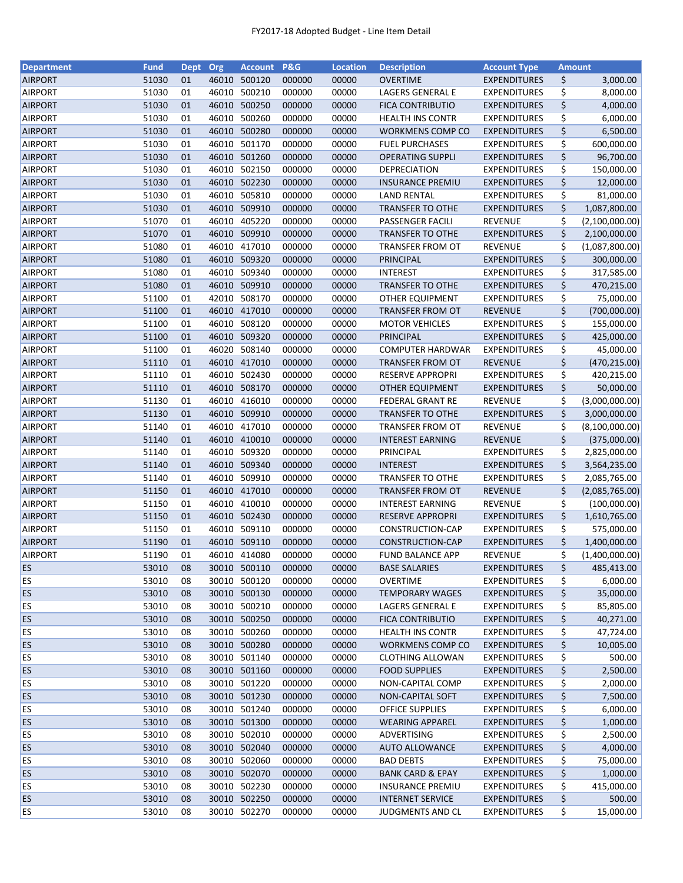| <b>Department</b> | <b>Fund</b> | <b>Dept</b> | Org   | <b>Account</b> | <b>P&amp;G</b>   | <b>Location</b> | <b>Description</b>          | <b>Account Type</b> | <b>Amount</b> |                       |
|-------------------|-------------|-------------|-------|----------------|------------------|-----------------|-----------------------------|---------------------|---------------|-----------------------|
| <b>AIRPORT</b>    | 51030       | 01          | 46010 | 500120         | 000000           | 00000           | <b>OVERTIME</b>             | <b>EXPENDITURES</b> | \$            | 3,000.00              |
| <b>AIRPORT</b>    | 51030       | 01          | 46010 | 500210         | 000000           | 00000           | LAGERS GENERAL E            | <b>EXPENDITURES</b> | \$            | 8,000.00              |
| <b>AIRPORT</b>    | 51030       | 01          | 46010 | 500250         | 000000           | 00000           | <b>FICA CONTRIBUTIO</b>     | <b>EXPENDITURES</b> | \$            | 4,000.00              |
| <b>AIRPORT</b>    | 51030       | 01          | 46010 | 500260         | 000000           | 00000           | <b>HEALTH INS CONTR</b>     | <b>EXPENDITURES</b> | \$            | 6,000.00              |
| <b>AIRPORT</b>    | 51030       | 01          |       | 46010 500280   | 000000           | 00000           | WORKMENS COMP CO            | <b>EXPENDITURES</b> | \$            | 6,500.00              |
| <b>AIRPORT</b>    | 51030       | 01          |       | 46010 501170   | 000000           | 00000           | <b>FUEL PURCHASES</b>       | <b>EXPENDITURES</b> | \$            | 600,000.00            |
| <b>AIRPORT</b>    | 51030       | 01          |       | 46010 501260   | 000000           | 00000           | <b>OPERATING SUPPLI</b>     | <b>EXPENDITURES</b> | \$            | 96,700.00             |
| <b>AIRPORT</b>    | 51030       | 01          | 46010 | 502150         | 000000           | 00000           | DEPRECIATION                | <b>EXPENDITURES</b> | \$            | 150,000.00            |
| <b>AIRPORT</b>    | 51030       | 01          | 46010 | 502230         | 000000           | 00000           | <b>INSURANCE PREMIU</b>     | <b>EXPENDITURES</b> | \$            | 12,000.00             |
| <b>AIRPORT</b>    | 51030       | 01          | 46010 | 505810         | 000000           | 00000           | <b>LAND RENTAL</b>          | <b>EXPENDITURES</b> | \$            | 81,000.00             |
| <b>AIRPORT</b>    | 51030       | 01          |       | 46010 509910   | 000000           | 00000           | <b>TRANSFER TO OTHE</b>     | <b>EXPENDITURES</b> | \$            | 1,087,800.00          |
| <b>AIRPORT</b>    | 51070       | 01          | 46010 | 405220         | 000000           | 00000           | PASSENGER FACILI            | <b>REVENUE</b>      | \$            | (2,100,000.00)        |
| <b>AIRPORT</b>    | 51070       | 01          | 46010 | 509910         | 000000           | 00000           | <b>TRANSFER TO OTHE</b>     | <b>EXPENDITURES</b> | \$            | 2,100,000.00          |
| <b>AIRPORT</b>    | 51080       | 01          | 46010 | 417010         | 000000           | 00000           | <b>TRANSFER FROM OT</b>     | <b>REVENUE</b>      | \$            | (1,087,800.00)        |
| <b>AIRPORT</b>    | 51080       | 01          | 46010 | 509320         | 000000           | 00000           | PRINCIPAL                   | <b>EXPENDITURES</b> | \$            | 300,000.00            |
| <b>AIRPORT</b>    | 51080       | 01          | 46010 | 509340         | 000000           | 00000           | <b>INTEREST</b>             | <b>EXPENDITURES</b> | \$            | 317,585.00            |
| <b>AIRPORT</b>    | 51080       | 01          |       | 46010 509910   | 000000           | 00000           | <b>TRANSFER TO OTHE</b>     | <b>EXPENDITURES</b> | \$            | 470,215.00            |
| <b>AIRPORT</b>    | 51100       | 01          |       | 42010 508170   | 000000           | 00000           | <b>OTHER EQUIPMENT</b>      | <b>EXPENDITURES</b> | \$            | 75,000.00             |
| <b>AIRPORT</b>    | 51100       | 01          |       | 46010 417010   | 000000           | 00000           | TRANSFER FROM OT            | <b>REVENUE</b>      | \$            | (700,000.00)          |
| <b>AIRPORT</b>    | 51100       | 01          |       | 46010 508120   | 000000           | 00000           | <b>MOTOR VEHICLES</b>       | <b>EXPENDITURES</b> | \$            | 155,000.00            |
| <b>AIRPORT</b>    | 51100       | 01          | 46010 | 509320         | 000000           | 00000           | PRINCIPAL                   | <b>EXPENDITURES</b> | \$            | 425,000.00            |
| <b>AIRPORT</b>    | 51100       | 01          | 46020 | 508140         | 000000           | 00000           | <b>COMPUTER HARDWAR</b>     | <b>EXPENDITURES</b> | \$            | 45,000.00             |
| <b>AIRPORT</b>    | 51110       | 01          |       | 46010 417010   | 000000           | 00000           | <b>TRANSFER FROM OT</b>     | <b>REVENUE</b>      | \$            | (470, 215.00)         |
| <b>AIRPORT</b>    | 51110       | 01          | 46010 | 502430         | 000000           | 00000           | RESERVE APPROPRI            | <b>EXPENDITURES</b> | \$            | 420,215.00            |
| <b>AIRPORT</b>    | 51110       | 01          |       | 46010 508170   | 000000           | 00000           | OTHER EQUIPMENT             | <b>EXPENDITURES</b> | \$            | 50,000.00             |
| <b>AIRPORT</b>    | 51130       | 01          | 46010 | 416010         | 000000           | 00000           | <b>FEDERAL GRANT RE</b>     | <b>REVENUE</b>      | \$            | (3,000,000.00)        |
| <b>AIRPORT</b>    | 51130       | 01          | 46010 | 509910         | 000000           | 00000           | <b>TRANSFER TO OTHE</b>     | <b>EXPENDITURES</b> | \$            | 3,000,000.00          |
| <b>AIRPORT</b>    | 51140       | 01          | 46010 | 417010         | 000000           | 00000           | <b>TRANSFER FROM OT</b>     | <b>REVENUE</b>      | \$            | (8, 100, 000.00)      |
| <b>AIRPORT</b>    | 51140       | 01          | 46010 | 410010         | 000000           | 00000           | <b>INTEREST EARNING</b>     | <b>REVENUE</b>      | \$            | (375,000.00)          |
| <b>AIRPORT</b>    | 51140       | 01          | 46010 | 509320         | 000000           | 00000           | PRINCIPAL                   | <b>EXPENDITURES</b> | \$            | 2,825,000.00          |
| <b>AIRPORT</b>    | 51140       | 01          |       | 46010 509340   | 000000           | 00000           | <b>INTEREST</b>             | <b>EXPENDITURES</b> | \$            | 3,564,235.00          |
| <b>AIRPORT</b>    | 51140       | 01          | 46010 | 509910         | 000000           | 00000           | <b>TRANSFER TO OTHE</b>     | <b>EXPENDITURES</b> | \$            | 2,085,765.00          |
| <b>AIRPORT</b>    | 51150       | 01          |       | 46010 417010   | 000000           | 00000           | <b>TRANSFER FROM OT</b>     | <b>REVENUE</b>      | \$            | (2,085,765.00)        |
| <b>AIRPORT</b>    | 51150       | 01          | 46010 | 410010         | 000000           | 00000           | INTEREST EARNING            | REVENUE             | \$            | (100,000.00)          |
| <b>AIRPORT</b>    | 51150       | 01          |       | 46010 502430   | 000000           | 00000           | <b>RESERVE APPROPRI</b>     | <b>EXPENDITURES</b> | \$            | 1,610,765.00          |
| <b>AIRPORT</b>    | 51150       | 01          |       | 46010 509110   | 000000           | 00000           | CONSTRUCTION-CAP            | <b>EXPENDITURES</b> | \$            | 575,000.00            |
| <b>AIRPORT</b>    | 51190       | 01          |       | 46010 509110   | 000000           | 00000           | CONSTRUCTION-CAP            | <b>EXPENDITURES</b> | \$            | 1,400,000.00          |
| <b>AIRPORT</b>    | 51190       | 01          |       | 46010 414080   | 000000           | 00000           | <b>FUND BALANCE APP</b>     | <b>REVENUE</b>      | \$            | (1,400,000.00)        |
| <b>ES</b>         | 53010       | 08          |       | 30010 500110   | 000000           | 00000           | <b>BASE SALARIES</b>        | <b>EXPENDITURES</b> | \$            | 485,413.00            |
| <b>ES</b>         | 53010       |             |       | 500120         |                  |                 | <b>OVERTIME</b>             | <b>EXPENDITURES</b> |               |                       |
| <b>ES</b>         | 53010       | 08<br>08    | 30010 | 30010 500130   | 000000<br>000000 | 00000<br>00000  | <b>TEMPORARY WAGES</b>      | <b>EXPENDITURES</b> | \$            | 6,000.00<br>35,000.00 |
|                   | 53010       |             |       | 30010 500210   | 000000           | 00000           |                             |                     | \$            |                       |
| ES                |             | 08          |       |                |                  |                 | LAGERS GENERAL E            | <b>EXPENDITURES</b> | \$            | 85,805.00             |
| <b>ES</b>         | 53010       | 08          |       | 30010 500250   | 000000           | 00000           | <b>FICA CONTRIBUTIO</b>     | <b>EXPENDITURES</b> | \$            | 40,271.00             |
| <b>ES</b>         | 53010       | 08          |       | 30010 500260   | 000000           | 00000           | <b>HEALTH INS CONTR</b>     | <b>EXPENDITURES</b> | \$            | 47,724.00             |
| <b>ES</b>         | 53010       | 08          |       | 30010 500280   | 000000           | 00000           | WORKMENS COMP CO            | <b>EXPENDITURES</b> | \$            | 10,005.00             |
| <b>ES</b>         | 53010       | 08          |       | 30010 501140   | 000000           | 00000           | <b>CLOTHING ALLOWAN</b>     | <b>EXPENDITURES</b> | \$            | 500.00                |
| <b>ES</b>         | 53010       | 08          |       | 30010 501160   | 000000           | 00000           | <b>FOOD SUPPLIES</b>        | <b>EXPENDITURES</b> | \$            | 2,500.00              |
| <b>ES</b>         | 53010       | 08          |       | 30010 501220   | 000000           | 00000           | NON-CAPITAL COMP            | <b>EXPENDITURES</b> | \$            | 2,000.00              |
| <b>ES</b>         | 53010       | 08          |       | 30010 501230   | 000000           | 00000           | NON-CAPITAL SOFT            | <b>EXPENDITURES</b> | \$            | 7,500.00              |
| <b>ES</b>         | 53010       | 08          |       | 30010 501240   | 000000           | 00000           | <b>OFFICE SUPPLIES</b>      | <b>EXPENDITURES</b> | \$            | 6,000.00              |
| <b>ES</b>         | 53010       | 08          |       | 30010 501300   | 000000           | 00000           | <b>WEARING APPAREL</b>      | <b>EXPENDITURES</b> | \$            | 1,000.00              |
| <b>ES</b>         | 53010       | 08          |       | 30010 502010   | 000000           | 00000           | ADVERTISING                 | <b>EXPENDITURES</b> | \$            | 2,500.00              |
| <b>ES</b>         | 53010       | 08          |       | 30010 502040   | 000000           | 00000           | <b>AUTO ALLOWANCE</b>       | <b>EXPENDITURES</b> | \$            | 4,000.00              |
| ES                | 53010       | 08          |       | 30010 502060   | 000000           | 00000           | <b>BAD DEBTS</b>            | <b>EXPENDITURES</b> | \$            | 75,000.00             |
| <b>ES</b>         | 53010       | 08          |       | 30010 502070   | 000000           | 00000           | <b>BANK CARD &amp; EPAY</b> | <b>EXPENDITURES</b> | \$            | 1,000.00              |
| <b>ES</b>         | 53010       | 08          |       | 30010 502230   | 000000           | 00000           | <b>INSURANCE PREMIU</b>     | <b>EXPENDITURES</b> | \$            | 415,000.00            |
| <b>ES</b>         | 53010       | 08          |       | 30010 502250   | 000000           | 00000           | <b>INTERNET SERVICE</b>     | <b>EXPENDITURES</b> | \$            | 500.00                |
| ES                | 53010       | 08          |       | 30010 502270   | 000000           | 00000           | <b>JUDGMENTS AND CL</b>     | <b>EXPENDITURES</b> | \$            | 15,000.00             |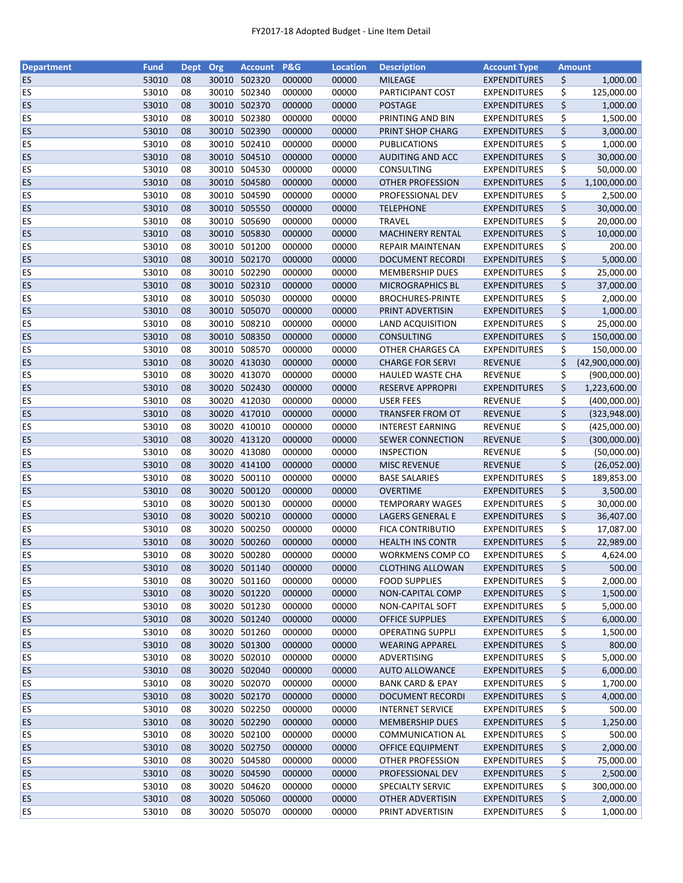| <b>Department</b> | <b>Fund</b> | <b>Dept</b> | Org   | <b>Account</b> | <b>P&amp;G</b> | <b>Location</b> | <b>Description</b>          | <b>Account Type</b> | <b>Amount</b>         |
|-------------------|-------------|-------------|-------|----------------|----------------|-----------------|-----------------------------|---------------------|-----------------------|
| <b>ES</b>         | 53010       | 08          |       | 30010 502320   | 000000         | 00000           | <b>MILEAGE</b>              | <b>EXPENDITURES</b> | \$<br>1,000.00        |
| <b>ES</b>         | 53010       | 08          | 30010 | 502340         | 000000         | 00000           | PARTICIPANT COST            | <b>EXPENDITURES</b> | \$<br>125,000.00      |
| <b>ES</b>         | 53010       | 08          | 30010 | 502370         | 000000         | 00000           | <b>POSTAGE</b>              | <b>EXPENDITURES</b> | \$<br>1,000.00        |
| ES                | 53010       | 08          | 30010 | 502380         | 000000         | 00000           | PRINTING AND BIN            | <b>EXPENDITURES</b> | \$<br>1,500.00        |
| <b>ES</b>         | 53010       | 08          |       | 30010 502390   | 000000         | 00000           | PRINT SHOP CHARG            | <b>EXPENDITURES</b> | \$<br>3,000.00        |
| ES                | 53010       | 08          |       | 30010 502410   | 000000         | 00000           | <b>PUBLICATIONS</b>         | <b>EXPENDITURES</b> | \$<br>1,000.00        |
| <b>ES</b>         | 53010       | 08          |       | 30010 504510   | 000000         | 00000           | <b>AUDITING AND ACC</b>     | <b>EXPENDITURES</b> | \$<br>30,000.00       |
| ES                | 53010       | 08          |       | 30010 504530   | 000000         | 00000           | CONSULTING                  | <b>EXPENDITURES</b> | \$<br>50,000.00       |
| <b>ES</b>         | 53010       | 08          |       | 30010 504580   | 000000         | 00000           | <b>OTHER PROFESSION</b>     | <b>EXPENDITURES</b> | \$<br>1,100,000.00    |
| ES                | 53010       | 08          |       | 30010 504590   | 000000         | 00000           | PROFESSIONAL DEV            | <b>EXPENDITURES</b> | \$<br>2,500.00        |
| <b>ES</b>         | 53010       | 08          |       | 30010 505550   | 000000         | 00000           | <b>TELEPHONE</b>            | <b>EXPENDITURES</b> | \$<br>30,000.00       |
| <b>ES</b>         | 53010       | 08          |       | 30010 505690   | 000000         | 00000           | <b>TRAVEL</b>               | <b>EXPENDITURES</b> | \$<br>20,000.00       |
| <b>ES</b>         | 53010       | 08          |       | 30010 505830   | 000000         | 00000           | <b>MACHINERY RENTAL</b>     | <b>EXPENDITURES</b> | \$<br>10,000.00       |
| ES                | 53010       | 08          |       | 30010 501200   | 000000         | 00000           | <b>REPAIR MAINTENAN</b>     | <b>EXPENDITURES</b> | \$<br>200.00          |
| <b>ES</b>         | 53010       | 08          | 30010 | 502170         | 000000         | 00000           | <b>DOCUMENT RECORDI</b>     | <b>EXPENDITURES</b> | \$<br>5,000.00        |
| ES                | 53010       | 08          | 30010 | 502290         | 000000         | 00000           | <b>MEMBERSHIP DUES</b>      | <b>EXPENDITURES</b> | \$<br>25,000.00       |
| <b>ES</b>         | 53010       | 08          |       | 30010 502310   | 000000         | 00000           | MICROGRAPHICS BL            | <b>EXPENDITURES</b> | \$<br>37,000.00       |
| <b>ES</b>         | 53010       | 08          |       | 30010 505030   | 000000         | 00000           | <b>BROCHURES-PRINTE</b>     | <b>EXPENDITURES</b> | \$<br>2,000.00        |
| <b>ES</b>         | 53010       | 08          |       | 30010 505070   | 000000         | 00000           | PRINT ADVERTISIN            | <b>EXPENDITURES</b> | \$<br>1,000.00        |
| <b>ES</b>         | 53010       | 08          |       | 30010 508210   | 000000         | 00000           | <b>LAND ACQUISITION</b>     | <b>EXPENDITURES</b> | \$<br>25,000.00       |
| <b>ES</b>         | 53010       | 08          |       | 30010 508350   | 000000         | 00000           | <b>CONSULTING</b>           | <b>EXPENDITURES</b> | \$<br>150,000.00      |
| ES                | 53010       | 08          | 30010 | 508570         | 000000         | 00000           | OTHER CHARGES CA            |                     | \$                    |
|                   |             |             |       |                |                |                 |                             | <b>EXPENDITURES</b> | 150,000.00            |
| <b>ES</b>         | 53010       | 08          |       | 30020 413030   | 000000         | 00000           | <b>CHARGE FOR SERVI</b>     | <b>REVENUE</b>      | \$<br>(42,900,000.00) |
| <b>ES</b>         | 53010       | 08          |       | 30020 413070   | 000000         | 00000           | <b>HAULED WASTE CHA</b>     | <b>REVENUE</b>      | \$<br>(900,000.00)    |
| <b>ES</b>         | 53010       | 08          |       | 30020 502430   | 000000         | 00000           | <b>RESERVE APPROPRI</b>     | <b>EXPENDITURES</b> | \$<br>1,223,600.00    |
| ES                | 53010       | 08          |       | 30020 412030   | 000000         | 00000           | <b>USER FEES</b>            | <b>REVENUE</b>      | \$<br>(400,000.00)    |
| <b>ES</b>         | 53010       | 08          |       | 30020 417010   | 000000         | 00000           | TRANSFER FROM OT            | <b>REVENUE</b>      | \$<br>(323,948.00)    |
| ES                | 53010       | 08          | 30020 | 410010         | 000000         | 00000           | <b>INTEREST EARNING</b>     | <b>REVENUE</b>      | \$<br>(425,000.00)    |
| <b>ES</b>         | 53010       | 08          | 30020 | 413120         | 000000         | 00000           | <b>SEWER CONNECTION</b>     | <b>REVENUE</b>      | \$<br>(300,000.00)    |
| ES                | 53010       | 08          | 30020 | 413080         | 000000         | 00000           | <b>INSPECTION</b>           | <b>REVENUE</b>      | \$<br>(50,000.00)     |
| <b>ES</b>         | 53010       | 08          |       | 30020 414100   | 000000         | 00000           | <b>MISC REVENUE</b>         | <b>REVENUE</b>      | \$<br>(26,052.00)     |
| ES                | 53010       | 08          | 30020 | 500110         | 000000         | 00000           | <b>BASE SALARIES</b>        | <b>EXPENDITURES</b> | \$<br>189,853.00      |
| <b>ES</b>         | 53010       | 08          | 30020 | 500120         | 000000         | 00000           | <b>OVERTIME</b>             | <b>EXPENDITURES</b> | \$<br>3,500.00        |
| ES                | 53010       | 08          | 30020 | 500130         | 000000         | 00000           | <b>TEMPORARY WAGES</b>      | <b>EXPENDITURES</b> | \$<br>30,000.00       |
| <b>ES</b>         | 53010       | 08          |       | 30020 500210   | 000000         | 00000           | LAGERS GENERAL E            | <b>EXPENDITURES</b> | \$<br>36,407.00       |
| <b>ES</b>         | 53010       | 08          |       | 30020 500250   | 000000         | 00000           | FICA CONTRIBUTIO            | <b>EXPENDITURES</b> | \$<br>17,087.00       |
| <b>ES</b>         | 53010       | 08          |       | 30020 500260   | 000000         | 00000           | <b>HEALTH INS CONTR</b>     | <b>EXPENDITURES</b> | \$<br>22,989.00       |
| ES                | 53010       | 08          |       | 30020 500280   | 000000         | 00000           | <b>WORKMENS COMP CO</b>     | <b>EXPENDITURES</b> | \$<br>4,624.00        |
| <b>ES</b>         | 53010       | 08          |       | 30020 501140   | 000000         | 00000           | <b>CLOTHING ALLOWAN</b>     | <b>EXPENDITURES</b> | \$<br>500.00          |
| <b>ES</b>         | 53010       | 08          | 30020 | 501160         | 000000         | 00000           | <b>FOOD SUPPLIES</b>        | <b>EXPENDITURES</b> | \$<br>2,000.00        |
| <b>ES</b>         | 53010       | 08          |       | 30020 501220   | 000000         | 00000           | NON-CAPITAL COMP            | <b>EXPENDITURES</b> | \$<br>1,500.00        |
| <b>ES</b>         | 53010       | 08          |       | 30020 501230   | 000000         | 00000           | <b>NON-CAPITAL SOFT</b>     | <b>EXPENDITURES</b> | \$<br>5,000.00        |
| <b>ES</b>         | 53010       | 08          |       | 30020 501240   | 000000         | 00000           | <b>OFFICE SUPPLIES</b>      | <b>EXPENDITURES</b> | \$<br>6,000.00        |
| ES                | 53010       | 08          |       | 30020 501260   | 000000         | 00000           | <b>OPERATING SUPPLI</b>     | <b>EXPENDITURES</b> | \$<br>1,500.00        |
| <b>ES</b>         | 53010       | 08          |       | 30020 501300   | 000000         | 00000           | <b>WEARING APPAREL</b>      | <b>EXPENDITURES</b> | \$<br>800.00          |
| <b>ES</b>         | 53010       | 08          |       | 30020 502010   | 000000         | 00000           | ADVERTISING                 | <b>EXPENDITURES</b> | \$<br>5,000.00        |
| <b>ES</b>         | 53010       | 08          |       | 30020 502040   | 000000         | 00000           | <b>AUTO ALLOWANCE</b>       | <b>EXPENDITURES</b> | \$<br>6,000.00        |
| ES                | 53010       | 08          |       | 30020 502070   | 000000         | 00000           | <b>BANK CARD &amp; EPAY</b> | <b>EXPENDITURES</b> | \$<br>1,700.00        |
| <b>ES</b>         | 53010       | 08          |       | 30020 502170   | 000000         | 00000           | <b>DOCUMENT RECORDI</b>     | <b>EXPENDITURES</b> | \$<br>4,000.00        |
| ES                | 53010       | 08          |       | 30020 502250   | 000000         | 00000           | <b>INTERNET SERVICE</b>     | <b>EXPENDITURES</b> | \$<br>500.00          |
| <b>ES</b>         | 53010       | 08          |       | 30020 502290   | 000000         | 00000           | <b>MEMBERSHIP DUES</b>      | <b>EXPENDITURES</b> | \$<br>1,250.00        |
| <b>ES</b>         | 53010       | 08          |       | 30020 502100   | 000000         | 00000           | <b>COMMUNICATION AL</b>     | <b>EXPENDITURES</b> | \$<br>500.00          |
| <b>ES</b>         | 53010       | 08          | 30020 | 502750         | 000000         | 00000           | <b>OFFICE EQUIPMENT</b>     | <b>EXPENDITURES</b> | \$<br>2,000.00        |
| <b>ES</b>         | 53010       | 08          | 30020 | 504580         | 000000         | 00000           | <b>OTHER PROFESSION</b>     | <b>EXPENDITURES</b> | \$<br>75,000.00       |
| <b>ES</b>         | 53010       | 08          |       | 30020 504590   | 000000         | 00000           | PROFESSIONAL DEV            | <b>EXPENDITURES</b> | \$<br>2,500.00        |
| <b>ES</b>         | 53010       |             |       | 30020 504620   | 000000         |                 |                             | <b>EXPENDITURES</b> | \$                    |
|                   |             | 08          |       |                |                | 00000           | SPECIALTY SERVIC            |                     | 300,000.00            |
| <b>ES</b>         | 53010       | 08          |       | 30020 505060   | 000000         | 00000           | OTHER ADVERTISIN            | <b>EXPENDITURES</b> | \$<br>2,000.00        |
| <b>ES</b>         | 53010       | 08          |       | 30020 505070   | 000000         | 00000           | PRINT ADVERTISIN            | <b>EXPENDITURES</b> | \$<br>1,000.00        |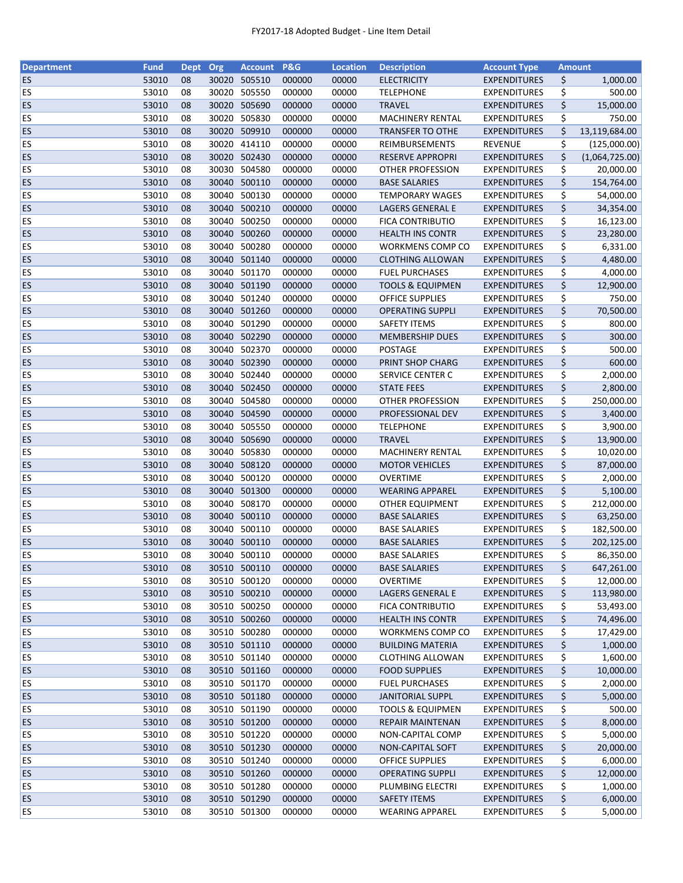| <b>Department</b>      | <b>Fund</b>    | Dept     | Org            | <b>Account</b>   | <b>P&amp;G</b>   | <b>Location</b> | <b>Description</b>                        | <b>Account Type</b>                        |          | <b>Amount</b>  |
|------------------------|----------------|----------|----------------|------------------|------------------|-----------------|-------------------------------------------|--------------------------------------------|----------|----------------|
| <b>ES</b>              | 53010          | 08       |                | 30020 505510     | 000000           | 00000           | <b>ELECTRICITY</b>                        | <b>EXPENDITURES</b>                        | \$       | 1,000.00       |
| ES                     | 53010          | 08       | 30020          | 505550           | 000000           | 00000           | <b>TELEPHONE</b>                          | <b>EXPENDITURES</b>                        | \$       | 500.00         |
| <b>ES</b>              | 53010          | 08       | 30020          | 505690           | 000000           | 00000           | <b>TRAVEL</b>                             | <b>EXPENDITURES</b>                        | \$       | 15,000.00      |
| ES                     | 53010          | 08       |                | 30020 505830     | 000000           | 00000           | <b>MACHINERY RENTAL</b>                   | <b>EXPENDITURES</b>                        | \$       | 750.00         |
| <b>ES</b>              | 53010          | 08       |                | 30020 509910     | 000000           | 00000           | <b>TRANSFER TO OTHE</b>                   | <b>EXPENDITURES</b>                        | \$       | 13,119,684.00  |
| ES                     | 53010          | 08       |                | 30020 414110     | 000000           | 00000           | REIMBURSEMENTS                            | <b>REVENUE</b>                             | \$       | (125,000.00)   |
| ES                     | 53010          | 08       | 30020          | 502430           | 000000           | 00000           | <b>RESERVE APPROPRI</b>                   | <b>EXPENDITURES</b>                        | \$       | (1,064,725.00) |
| ES                     | 53010          | 08       | 30030          | 504580           | 000000           | 00000           | OTHER PROFESSION                          | <b>EXPENDITURES</b>                        | \$       | 20,000.00      |
| <b>ES</b>              | 53010          | 08       |                | 30040 500110     | 000000           | 00000           | <b>BASE SALARIES</b>                      | <b>EXPENDITURES</b>                        | \$       | 154,764.00     |
| <b>ES</b>              | 53010          | 08       |                | 30040 500130     | 000000           | 00000           | <b>TEMPORARY WAGES</b>                    | <b>EXPENDITURES</b>                        | \$       | 54,000.00      |
| <b>ES</b>              | 53010          | 08       |                | 30040 500210     | 000000           | 00000           | LAGERS GENERAL E                          | <b>EXPENDITURES</b>                        | \$       | 34,354.00      |
| ES                     | 53010          | 08       | 30040          | 500250           | 000000           | 00000           | FICA CONTRIBUTIO                          | <b>EXPENDITURES</b>                        | \$       | 16,123.00      |
| ES                     | 53010          | 08       | 30040          | 500260           | 000000           | 00000           | <b>HEALTH INS CONTR</b>                   | <b>EXPENDITURES</b>                        | \$       | 23,280.00      |
| ES                     | 53010          | 08       | 30040          | 500280           | 000000           | 00000           | WORKMENS COMP CO                          | <b>EXPENDITURES</b>                        | \$       | 6,331.00       |
| ES                     | 53010          | 08       | 30040          | 501140           | 000000           | 00000           | <b>CLOTHING ALLOWAN</b>                   | <b>EXPENDITURES</b>                        | \$       | 4,480.00       |
| ES                     | 53010          | 08       | 30040          | 501170           | 000000           | 00000           | <b>FUEL PURCHASES</b>                     | <b>EXPENDITURES</b>                        | \$       | 4,000.00       |
| <b>ES</b>              | 53010          | 08       |                | 30040 501190     | 000000           | 00000           | <b>TOOLS &amp; EQUIPMEN</b>               | <b>EXPENDITURES</b>                        | \$       | 12,900.00      |
| ES                     | 53010          | 08       | 30040          | 501240           | 000000           | 00000           | <b>OFFICE SUPPLIES</b>                    | <b>EXPENDITURES</b>                        | \$       | 750.00         |
| ES                     | 53010          | 08       |                | 30040 501260     | 000000           | 00000           | <b>OPERATING SUPPLI</b>                   | <b>EXPENDITURES</b>                        | \$       | 70,500.00      |
| ES                     | 53010          | 08       |                | 30040 501290     | 000000           | 00000           | <b>SAFETY ITEMS</b>                       | <b>EXPENDITURES</b>                        | \$       | 800.00         |
| <b>ES</b>              | 53010          | 08       |                | 30040 502290     | 000000           | 00000           | <b>MEMBERSHIP DUES</b>                    | <b>EXPENDITURES</b>                        | \$       | 300.00         |
| ES                     | 53010          | 08       |                | 30040 502370     | 000000           | 00000           | POSTAGE                                   | <b>EXPENDITURES</b>                        | \$       | 500.00         |
| <b>ES</b>              | 53010          | 08       |                | 30040 502390     | 000000           | 00000           | PRINT SHOP CHARG                          | <b>EXPENDITURES</b>                        | \$       | 600.00         |
| ES                     | 53010          | 08       | 30040          | 502440           | 000000           | 00000           | SERVICE CENTER C                          | <b>EXPENDITURES</b>                        | \$       | 2,000.00       |
| <b>ES</b>              | 53010          | 08       | 30040          | 502450           | 000000           | 00000           | <b>STATE FEES</b>                         | <b>EXPENDITURES</b>                        | \$       | 2,800.00       |
| <b>ES</b>              | 53010          | 08       | 30040          | 504580           | 000000           | 00000           | <b>OTHER PROFESSION</b>                   | <b>EXPENDITURES</b>                        | \$       | 250,000.00     |
| <b>ES</b>              | 53010          | 08       | 30040          | 504590           | 000000           | 00000           | PROFESSIONAL DEV                          | <b>EXPENDITURES</b>                        | \$       | 3,400.00       |
| ES                     | 53010          | 08       | 30040          | 505550           | 000000           | 00000           | <b>TELEPHONE</b>                          | <b>EXPENDITURES</b>                        |          |                |
|                        |                |          |                |                  |                  |                 |                                           |                                            | \$       | 3,900.00       |
| <b>ES</b>              | 53010          | 08       |                | 30040 505690     | 000000           | 00000           | <b>TRAVEL</b>                             | <b>EXPENDITURES</b>                        | \$       | 13,900.00      |
| <b>ES</b><br><b>ES</b> | 53010<br>53010 | 08<br>08 | 30040<br>30040 | 505830<br>508120 | 000000<br>000000 | 00000<br>00000  | MACHINERY RENTAL<br><b>MOTOR VEHICLES</b> | <b>EXPENDITURES</b><br><b>EXPENDITURES</b> | \$<br>\$ | 10,020.00      |
|                        |                |          |                | 500120           |                  |                 |                                           |                                            |          | 87,000.00      |
| <b>ES</b>              | 53010          | 08       | 30040          |                  | 000000           | 00000           | <b>OVERTIME</b>                           | <b>EXPENDITURES</b>                        | \$       | 2,000.00       |
| <b>ES</b>              | 53010          | 08       | 30040          | 501300<br>508170 | 000000           | 00000           | <b>WEARING APPAREL</b>                    | <b>EXPENDITURES</b>                        | \$       | 5,100.00       |
| ES                     | 53010          | 08       | 30040          |                  | 000000           | 00000           | OTHER EQUIPMENT                           | <b>EXPENDITURES</b>                        | \$       | 212,000.00     |
| <b>ES</b>              | 53010          | 08       |                | 30040 500110     | 000000           | 00000           | <b>BASE SALARIES</b>                      | <b>EXPENDITURES</b>                        | \$       | 63,250.00      |
| <b>ES</b>              | 53010          | 08       |                | 30040 500110     | 000000           | 00000           | <b>BASE SALARIES</b>                      | <b>EXPENDITURES</b>                        | \$       | 182,500.00     |
| <b>ES</b>              | 53010          | 08       |                | 30040 500110     | 000000           | 00000           | <b>BASE SALARIES</b>                      | <b>EXPENDITURES</b>                        | \$       | 202,125.00     |
| ES                     | 53010          | 08       |                | 30040 500110     | 000000           | 00000           | <b>BASE SALARIES</b>                      | <b>EXPENDITURES</b>                        | \$       | 86,350.00      |
| <b>ES</b>              | 53010          | 08       |                | 30510 500110     | 000000           | 00000           | <b>BASE SALARIES</b>                      | <b>EXPENDITURES</b>                        | \$       | 647,261.00     |
| ES                     | 53010          | 08       | 30510          | 500120           | 000000           | 00000           | OVERTIME                                  | <b>EXPENDITURES</b>                        | \$       | 12,000.00      |
| <b>ES</b>              | 53010          | 08       |                | 30510 500210     | 000000           | 00000           | <b>LAGERS GENERAL E</b>                   | <b>EXPENDITURES</b>                        | \$       | 113,980.00     |
| <b>ES</b>              | 53010          | 08       |                | 30510 500250     | 000000           | 00000           | FICA CONTRIBUTIO                          | <b>EXPENDITURES</b>                        | \$       | 53,493.00      |
| <b>ES</b>              | 53010          | 08       |                | 30510 500260     | 000000           | 00000           | <b>HEALTH INS CONTR</b>                   | <b>EXPENDITURES</b>                        | \$       | 74,496.00      |
| <b>ES</b>              | 53010          | 08       |                | 30510 500280     | 000000           | 00000           | WORKMENS COMP CO                          | <b>EXPENDITURES</b>                        | \$       | 17,429.00      |
| <b>ES</b>              | 53010          | 08       |                | 30510 501110     | 000000           | 00000           | <b>BUILDING MATERIA</b>                   | <b>EXPENDITURES</b>                        | \$       | 1,000.00       |
| ES                     | 53010          | 08       |                | 30510 501140     | 000000           | 00000           | <b>CLOTHING ALLOWAN</b>                   | <b>EXPENDITURES</b>                        | \$       | 1,600.00       |
| <b>ES</b>              | 53010          | 08       |                | 30510 501160     | 000000           | 00000           | <b>FOOD SUPPLIES</b>                      | <b>EXPENDITURES</b>                        | \$       | 10,000.00      |
| <b>ES</b>              | 53010          | 08       |                | 30510 501170     | 000000           | 00000           | <b>FUEL PURCHASES</b>                     | <b>EXPENDITURES</b>                        | \$       | 2,000.00       |
| <b>ES</b>              | 53010          | 08       |                | 30510 501180     | 000000           | 00000           | <b>JANITORIAL SUPPL</b>                   | <b>EXPENDITURES</b>                        | \$       | 5,000.00       |
| <b>ES</b>              | 53010          | 08       |                | 30510 501190     | 000000           | 00000           | <b>TOOLS &amp; EQUIPMEN</b>               | <b>EXPENDITURES</b>                        | \$       | 500.00         |
| <b>ES</b>              | 53010          | 08       |                | 30510 501200     | 000000           | 00000           | <b>REPAIR MAINTENAN</b>                   | <b>EXPENDITURES</b>                        | \$       | 8,000.00       |
| <b>ES</b>              | 53010          | 08       |                | 30510 501220     | 000000           | 00000           | NON-CAPITAL COMP                          | <b>EXPENDITURES</b>                        | \$       | 5,000.00       |
| <b>ES</b>              | 53010          | 08       |                | 30510 501230     | 000000           | 00000           | NON-CAPITAL SOFT                          | <b>EXPENDITURES</b>                        | \$       | 20,000.00      |
| <b>ES</b>              | 53010          | 08       |                | 30510 501240     | 000000           | 00000           | <b>OFFICE SUPPLIES</b>                    | <b>EXPENDITURES</b>                        | \$       | 6,000.00       |
| <b>ES</b>              | 53010          | 08       |                | 30510 501260     | 000000           | 00000           | <b>OPERATING SUPPLI</b>                   | <b>EXPENDITURES</b>                        | \$       | 12,000.00      |
| <b>ES</b>              | 53010          | 08       |                | 30510 501280     | 000000           | 00000           | PLUMBING ELECTRI                          | <b>EXPENDITURES</b>                        | \$       | 1,000.00       |
| <b>ES</b>              | 53010          | 08       |                | 30510 501290     | 000000           | 00000           | <b>SAFETY ITEMS</b>                       | <b>EXPENDITURES</b>                        | \$       | 6,000.00       |
| <b>ES</b>              | 53010          | 08       |                | 30510 501300     | 000000           | 00000           | <b>WEARING APPAREL</b>                    | <b>EXPENDITURES</b>                        | \$       | 5,000.00       |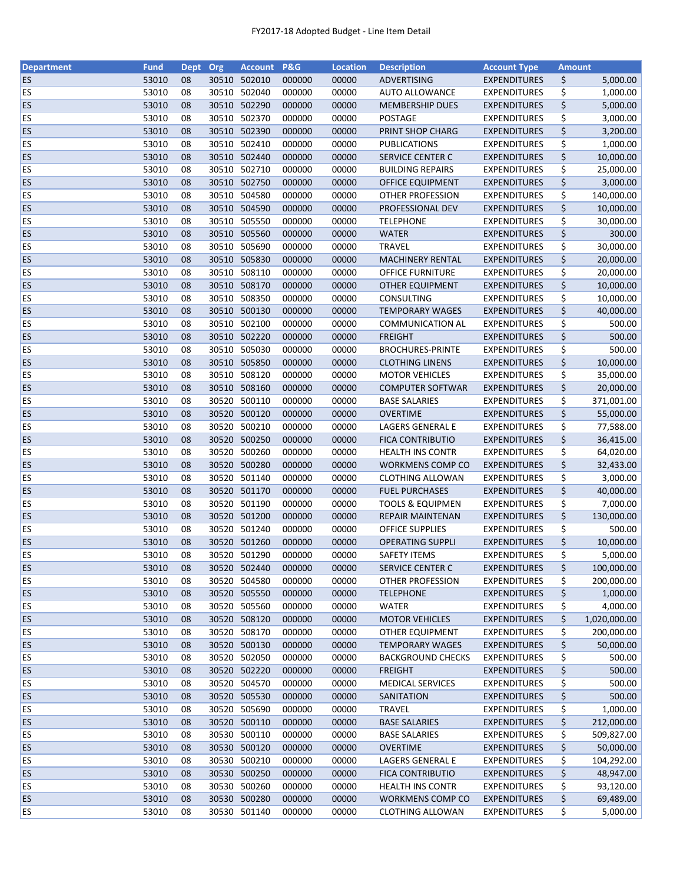| <b>Department</b> | <b>Fund</b> | Dept Org |       | <b>Account</b> | <b>P&amp;G</b> | <b>Location</b> | <b>Description</b>          | <b>Account Type</b> | <b>Amount</b> |              |
|-------------------|-------------|----------|-------|----------------|----------------|-----------------|-----------------------------|---------------------|---------------|--------------|
| ES                | 53010       | 08       |       | 30510 502010   | 000000         | 00000           | ADVERTISING                 | <b>EXPENDITURES</b> | \$            | 5,000.00     |
| ES                | 53010       | 08       | 30510 | 502040         | 000000         | 00000           | <b>AUTO ALLOWANCE</b>       | <b>EXPENDITURES</b> | \$            | 1,000.00     |
| ES                | 53010       | 08       |       | 30510 502290   | 000000         | 00000           | <b>MEMBERSHIP DUES</b>      | <b>EXPENDITURES</b> | \$            | 5,000.00     |
| ES                | 53010       | 08       |       | 30510 502370   | 000000         | 00000           | <b>POSTAGE</b>              | <b>EXPENDITURES</b> | \$            | 3,000.00     |
| ES                | 53010       | 08       |       | 30510 502390   | 000000         | 00000           | PRINT SHOP CHARG            | <b>EXPENDITURES</b> | \$            | 3,200.00     |
| ES                | 53010       | 08       |       | 30510 502410   | 000000         | 00000           | <b>PUBLICATIONS</b>         | <b>EXPENDITURES</b> | \$            | 1,000.00     |
| <b>ES</b>         | 53010       | 08       |       | 30510 502440   | 000000         | 00000           | <b>SERVICE CENTER C</b>     | <b>EXPENDITURES</b> | \$            | 10,000.00    |
| ES                | 53010       | 08       |       | 30510 502710   | 000000         | 00000           | <b>BUILDING REPAIRS</b>     | <b>EXPENDITURES</b> | \$            | 25,000.00    |
| <b>ES</b>         | 53010       | 08       |       | 30510 502750   | 000000         | 00000           | OFFICE EQUIPMENT            | <b>EXPENDITURES</b> | \$            | 3,000.00     |
| ES                | 53010       | 08       |       | 30510 504580   | 000000         | 00000           | OTHER PROFESSION            | <b>EXPENDITURES</b> | \$            | 140,000.00   |
| <b>ES</b>         | 53010       | 08       |       | 30510 504590   | 000000         | 00000           | PROFESSIONAL DEV            | <b>EXPENDITURES</b> | \$            | 10,000.00    |
| ES                | 53010       | 08       |       | 30510 505550   | 000000         | 00000           | <b>TELEPHONE</b>            | <b>EXPENDITURES</b> | \$            | 30,000.00    |
| ES                | 53010       | 08       |       | 30510 505560   | 000000         | 00000           | <b>WATER</b>                | <b>EXPENDITURES</b> | \$            | 300.00       |
| ES                | 53010       | 08       | 30510 | 505690         | 000000         | 00000           | <b>TRAVEL</b>               | <b>EXPENDITURES</b> | \$            | 30,000.00    |
| ES                | 53010       | 08       | 30510 | 505830         | 000000         | 00000           | MACHINERY RENTAL            | <b>EXPENDITURES</b> | \$            | 20,000.00    |
| ES                | 53010       | 08       | 30510 | 508110         | 000000         | 00000           | <b>OFFICE FURNITURE</b>     | <b>EXPENDITURES</b> | \$            | 20,000.00    |
| ES                | 53010       | 08       |       | 30510 508170   | 000000         | 00000           | <b>OTHER EQUIPMENT</b>      | <b>EXPENDITURES</b> | \$            | 10,000.00    |
| ES                | 53010       | 08       |       | 30510 508350   | 000000         | 00000           | <b>CONSULTING</b>           | <b>EXPENDITURES</b> | \$            | 10,000.00    |
| <b>ES</b>         | 53010       | 08       |       | 30510 500130   | 000000         | 00000           | <b>TEMPORARY WAGES</b>      | <b>EXPENDITURES</b> | \$            | 40,000.00    |
| ES                | 53010       | 08       |       | 30510 502100   | 000000         | 00000           | <b>COMMUNICATION AL</b>     | <b>EXPENDITURES</b> | \$            | 500.00       |
| <b>ES</b>         | 53010       | 08       |       | 30510 502220   | 000000         | 00000           | <b>FREIGHT</b>              | <b>EXPENDITURES</b> | \$            | 500.00       |
| <b>ES</b>         | 53010       | 08       |       | 30510 505030   | 000000         | 00000           | <b>BROCHURES-PRINTE</b>     | <b>EXPENDITURES</b> | \$            | 500.00       |
| ES                | 53010       | 08       |       | 30510 505850   | 000000         | 00000           | <b>CLOTHING LINENS</b>      | <b>EXPENDITURES</b> | \$            | 10,000.00    |
| ES                | 53010       | 08       |       | 30510 508120   | 000000         | 00000           | <b>MOTOR VEHICLES</b>       | <b>EXPENDITURES</b> | \$            | 35,000.00    |
| ES                | 53010       | 08       |       | 30510 508160   | 000000         | 00000           | <b>COMPUTER SOFTWAR</b>     | <b>EXPENDITURES</b> | \$            | 20,000.00    |
| ES                | 53010       | 08       |       | 30520 500110   | 000000         | 00000           | <b>BASE SALARIES</b>        | <b>EXPENDITURES</b> | \$            | 371,001.00   |
| ES                | 53010       | 08       | 30520 | 500120         | 000000         | 00000           | <b>OVERTIME</b>             | <b>EXPENDITURES</b> | \$            | 55,000.00    |
| ES                | 53010       | 08       | 30520 | 500210         | 000000         | 00000           | LAGERS GENERAL E            | <b>EXPENDITURES</b> | \$            | 77,588.00    |
| ES                | 53010       | 08       |       | 30520 500250   | 000000         | 00000           | <b>FICA CONTRIBUTIO</b>     | <b>EXPENDITURES</b> | \$            | 36,415.00    |
| ES                | 53010       | 08       | 30520 | 500260         | 000000         | 00000           | <b>HEALTH INS CONTR</b>     | <b>EXPENDITURES</b> | \$            | 64,020.00    |
| ES                | 53010       | 08       |       | 30520 500280   | 000000         | 00000           | WORKMENS COMP CO            | <b>EXPENDITURES</b> | \$            | 32,433.00    |
| ES                | 53010       | 08       |       | 30520 501140   | 000000         | 00000           | <b>CLOTHING ALLOWAN</b>     | <b>EXPENDITURES</b> | \$            | 3,000.00     |
| <b>ES</b>         | 53010       | 08       |       | 30520 501170   | 000000         | 00000           | <b>FUEL PURCHASES</b>       | <b>EXPENDITURES</b> | \$            | 40,000.00    |
| <b>ES</b>         | 53010       | 08       |       | 30520 501190   | 000000         | 00000           | <b>TOOLS &amp; EQUIPMEN</b> | <b>EXPENDITURES</b> | \$            | 7,000.00     |
| <b>ES</b>         | 53010       | 08       |       | 30520 501200   | 000000         | 00000           | <b>REPAIR MAINTENAN</b>     | <b>EXPENDITURES</b> | \$            | 130,000.00   |
| ES                | 53010       | 08       |       | 30520 501240   | 000000         | 00000           | <b>OFFICE SUPPLIES</b>      | <b>EXPENDITURES</b> | \$            | 500.00       |
| ES                | 53010       | 08       |       | 30520 501260   | 000000         | 00000           | <b>OPERATING SUPPLI</b>     | <b>EXPENDITURES</b> | \$            | 10,000.00    |
| ES                | 53010       | 08       |       | 30520 501290   | 000000         | 00000           | <b>SAFETY ITEMS</b>         | <b>EXPENDITURES</b> | \$            | 5,000.00     |
| ES                | 53010       | 08       |       | 30520 502440   | 000000         | 00000           | SERVICE CENTER C            | <b>EXPENDITURES</b> | \$            | 100,000.00   |
| <b>ES</b>         | 53010       | 08       | 30520 | 504580         | 000000         | 00000           | OTHER PROFESSION            | <b>EXPENDITURES</b> | \$            | 200,000.00   |
| <b>ES</b>         | 53010       | 08       |       | 30520 505550   | 000000         | 00000           | <b>TELEPHONE</b>            | <b>EXPENDITURES</b> | \$            | 1,000.00     |
| <b>ES</b>         | 53010       | 08       |       | 30520 505560   | 000000         | 00000           | WATER                       | <b>EXPENDITURES</b> | \$            | 4,000.00     |
| ES                | 53010       | 08       |       | 30520 508120   | 000000         | 00000           | <b>MOTOR VEHICLES</b>       | <b>EXPENDITURES</b> | \$            | 1,020,000.00 |
| ES                | 53010       | 08       |       | 30520 508170   | 000000         | 00000           | <b>OTHER EQUIPMENT</b>      | <b>EXPENDITURES</b> | \$            | 200,000.00   |
| ES                | 53010       | 08       |       | 30520 500130   | 000000         | 00000           | <b>TEMPORARY WAGES</b>      | <b>EXPENDITURES</b> | \$            | 50,000.00    |
| ES                | 53010       | 08       |       | 30520 502050   | 000000         | 00000           | <b>BACKGROUND CHECKS</b>    | <b>EXPENDITURES</b> | \$            | 500.00       |
| <b>ES</b>         | 53010       | 08       |       | 30520 502220   | 000000         | 00000           | <b>FREIGHT</b>              | <b>EXPENDITURES</b> | \$            | 500.00       |
| <b>ES</b>         | 53010       | 08       |       | 30520 504570   | 000000         | 00000           | <b>MEDICAL SERVICES</b>     | <b>EXPENDITURES</b> | \$            | 500.00       |
| <b>ES</b>         | 53010       | 08       |       | 30520 505530   | 000000         | 00000           | SANITATION                  | <b>EXPENDITURES</b> | \$            | 500.00       |
| ES                | 53010       | 08       |       | 30520 505690   | 000000         | 00000           | <b>TRAVEL</b>               | <b>EXPENDITURES</b> | \$            | 1,000.00     |
| <b>ES</b>         | 53010       | 08       |       | 30520 500110   | 000000         | 00000           | <b>BASE SALARIES</b>        | <b>EXPENDITURES</b> | \$            | 212,000.00   |
| <b>ES</b>         | 53010       | 08       | 30530 | 500110         | 000000         | 00000           | <b>BASE SALARIES</b>        | <b>EXPENDITURES</b> | \$            | 509,827.00   |
| <b>ES</b>         | 53010       | 08       | 30530 | 500120         | 000000         | 00000           | <b>OVERTIME</b>             | <b>EXPENDITURES</b> | \$            | 50,000.00    |
| <b>ES</b>         | 53010       | 08       |       | 30530 500210   | 000000         | 00000           | LAGERS GENERAL E            | <b>EXPENDITURES</b> | \$            | 104,292.00   |
| <b>ES</b>         | 53010       | 08       |       | 30530 500250   | 000000         | 00000           | <b>FICA CONTRIBUTIO</b>     | <b>EXPENDITURES</b> | \$            | 48,947.00    |
| <b>ES</b>         | 53010       | 08       |       | 30530 500260   | 000000         | 00000           | HEALTH INS CONTR            | <b>EXPENDITURES</b> | \$            | 93,120.00    |
| ES                | 53010       | 08       |       | 30530 500280   | 000000         | 00000           | WORKMENS COMP CO            | <b>EXPENDITURES</b> | \$            | 69,489.00    |
| <b>ES</b>         | 53010       | 08       |       | 30530 501140   | 000000         | 00000           | <b>CLOTHING ALLOWAN</b>     | <b>EXPENDITURES</b> | \$            | 5,000.00     |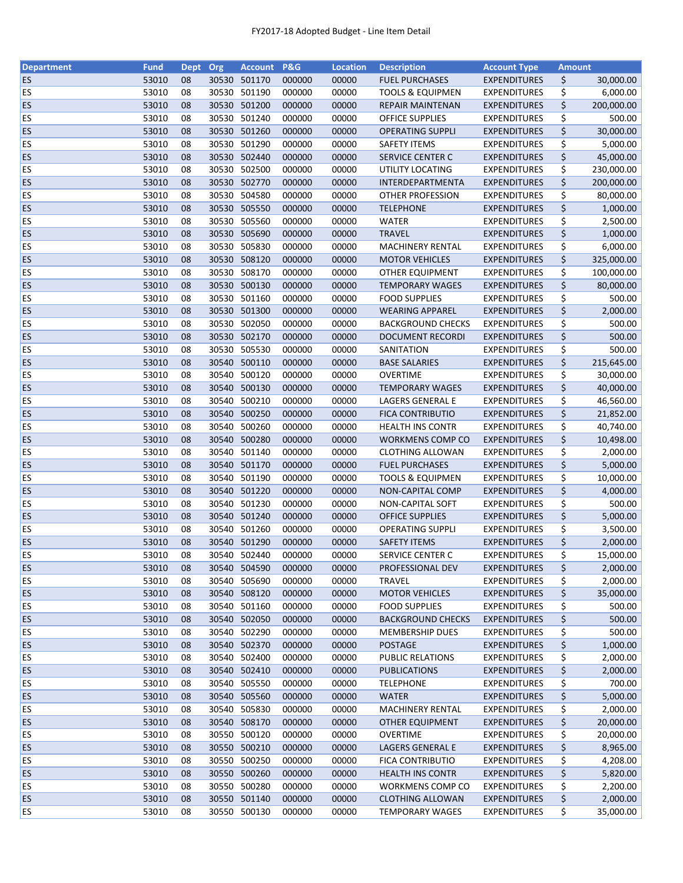| <b>Department</b>      | <b>Fund</b>    | Dept Org |                | <b>Account</b>         | <b>P&amp;G</b>   | <b>Location</b> | <b>Description</b>                               | <b>Account Type</b>                        | <b>Amount</b> |            |
|------------------------|----------------|----------|----------------|------------------------|------------------|-----------------|--------------------------------------------------|--------------------------------------------|---------------|------------|
| <b>ES</b>              | 53010          | 08       |                | 30530 501170           | 000000           | 00000           | <b>FUEL PURCHASES</b>                            | <b>EXPENDITURES</b>                        | \$            | 30,000.00  |
| ES                     | 53010          | 08       | 30530          | 501190                 | 000000           | 00000           | <b>TOOLS &amp; EQUIPMEN</b>                      | <b>EXPENDITURES</b>                        | \$            | 6,000.00   |
| <b>ES</b>              | 53010          | 08       | 30530          | 501200                 | 000000           | 00000           | <b>REPAIR MAINTENAN</b>                          | <b>EXPENDITURES</b>                        | \$            | 200,000.00 |
| ES                     | 53010          | 08       |                | 30530 501240           | 000000           | 00000           | <b>OFFICE SUPPLIES</b>                           | <b>EXPENDITURES</b>                        | \$            | 500.00     |
| <b>ES</b>              | 53010          | 08       |                | 30530 501260           | 000000           | 00000           | <b>OPERATING SUPPLI</b>                          | <b>EXPENDITURES</b>                        | \$            | 30,000.00  |
| ES                     | 53010          | 08       |                | 30530 501290           | 000000           | 00000           | <b>SAFETY ITEMS</b>                              | <b>EXPENDITURES</b>                        | \$            | 5,000.00   |
| ES                     | 53010          | 08       |                | 30530 502440           | 000000           | 00000           | <b>SERVICE CENTER C</b>                          | <b>EXPENDITURES</b>                        | \$            | 45,000.00  |
| ES                     | 53010          | 08       | 30530          | 502500                 | 000000           | 00000           | UTILITY LOCATING                                 | <b>EXPENDITURES</b>                        | \$            | 230,000.00 |
| <b>ES</b>              | 53010          | 08       |                | 30530 502770           | 000000           | 00000           | INTERDEPARTMENTA                                 | <b>EXPENDITURES</b>                        | \$            | 200,000.00 |
| <b>ES</b>              | 53010          | 08       |                | 30530 504580           | 000000           | 00000           | OTHER PROFESSION                                 | <b>EXPENDITURES</b>                        | \$            | 80,000.00  |
| <b>ES</b>              | 53010          | 08       |                | 30530 505550           | 000000           | 00000           | <b>TELEPHONE</b>                                 | <b>EXPENDITURES</b>                        | \$            | 1,000.00   |
| ES                     | 53010          | 08       | 30530          | 505560                 | 000000           | 00000           | <b>WATER</b>                                     | <b>EXPENDITURES</b>                        | \$            | 2,500.00   |
| <b>ES</b>              | 53010          | 08       | 30530          | 505690                 | 000000           | 00000           | <b>TRAVEL</b>                                    | <b>EXPENDITURES</b>                        | \$            | 1,000.00   |
| ES                     | 53010          | 08       | 30530          | 505830                 | 000000           | 00000           | <b>MACHINERY RENTAL</b>                          | <b>EXPENDITURES</b>                        | \$            | 6,000.00   |
| <b>ES</b>              | 53010          | 08       | 30530          | 508120                 | 000000           | 00000           | <b>MOTOR VEHICLES</b>                            | <b>EXPENDITURES</b>                        | \$            | 325,000.00 |
| ES                     | 53010          | 08       | 30530          | 508170                 | 000000           | 00000           | <b>OTHER EQUIPMENT</b>                           | <b>EXPENDITURES</b>                        | \$            | 100,000.00 |
| <b>ES</b>              | 53010          | 08       |                | 30530 500130           | 000000           | 00000           | <b>TEMPORARY WAGES</b>                           | <b>EXPENDITURES</b>                        | \$            | 80,000.00  |
| ES                     | 53010          | 08       |                | 30530 501160           | 000000           | 00000           | <b>FOOD SUPPLIES</b>                             | <b>EXPENDITURES</b>                        | \$            | 500.00     |
| <b>ES</b>              | 53010          | 08       |                | 30530 501300           | 000000           | 00000           | <b>WEARING APPAREL</b>                           | <b>EXPENDITURES</b>                        | \$            | 2,000.00   |
| ES                     | 53010          | 08       |                | 30530 502050           | 000000           | 00000           | <b>BACKGROUND CHECKS</b>                         | <b>EXPENDITURES</b>                        | \$            | 500.00     |
| <b>ES</b>              | 53010          | 08       |                | 30530 502170           | 000000           | 00000           | <b>DOCUMENT RECORDI</b>                          | <b>EXPENDITURES</b>                        | \$            | 500.00     |
| <b>ES</b>              | 53010          | 08       |                | 30530 505530           | 000000           | 00000           | SANITATION                                       | <b>EXPENDITURES</b>                        | \$            | 500.00     |
| <b>ES</b>              | 53010          | 08       |                | 30540 500110           | 000000           | 00000           | <b>BASE SALARIES</b>                             | <b>EXPENDITURES</b>                        | \$            | 215,645.00 |
| ES                     | 53010          | 08       | 30540          | 500120                 | 000000           | 00000           | <b>OVERTIME</b>                                  | <b>EXPENDITURES</b>                        | \$            | 30,000.00  |
| <b>ES</b>              | 53010          | 08       | 30540          | 500130                 | 000000           | 00000           | <b>TEMPORARY WAGES</b>                           | <b>EXPENDITURES</b>                        | \$            | 40,000.00  |
| ES                     | 53010          | 08       | 30540          | 500210                 | 000000           | 00000           | LAGERS GENERAL E                                 | <b>EXPENDITURES</b>                        | \$            | 46,560.00  |
| <b>ES</b>              | 53010          | 08       | 30540          | 500250                 | 000000           | 00000           | <b>FICA CONTRIBUTIO</b>                          | <b>EXPENDITURES</b>                        | \$            | 21,852.00  |
| ES                     | 53010          | 08       | 30540          | 500260                 | 000000           | 00000           | <b>HEALTH INS CONTR</b>                          | <b>EXPENDITURES</b>                        |               |            |
| <b>ES</b>              | 53010          | 08       |                | 30540 500280           | 000000           | 00000           | WORKMENS COMP CO                                 | <b>EXPENDITURES</b>                        | \$<br>\$      | 40,740.00  |
|                        |                |          |                |                        |                  |                 |                                                  |                                            |               | 10,498.00  |
| <b>ES</b><br><b>ES</b> | 53010<br>53010 | 08<br>08 | 30540<br>30540 | 501140<br>501170       | 000000<br>000000 | 00000<br>00000  | <b>CLOTHING ALLOWAN</b><br><b>FUEL PURCHASES</b> | <b>EXPENDITURES</b><br><b>EXPENDITURES</b> | \$            | 2,000.00   |
|                        |                |          |                | 30540 501190           |                  |                 |                                                  |                                            | \$            | 5,000.00   |
| <b>ES</b>              | 53010          | 08       |                |                        | 000000           | 00000           | <b>TOOLS &amp; EQUIPMEN</b>                      | <b>EXPENDITURES</b>                        | \$            | 10,000.00  |
| <b>ES</b>              | 53010          | 08       | 30540          | 501220<br>30540 501230 | 000000           | 00000           | NON-CAPITAL COMP                                 | <b>EXPENDITURES</b>                        | \$            | 4,000.00   |
| ES                     | 53010          | 08       |                |                        | 000000           | 00000           | <b>NON-CAPITAL SOFT</b>                          | <b>EXPENDITURES</b>                        | \$            | 500.00     |
| ES                     | 53010          | 08       |                | 30540 501240           | 000000           | 00000           | <b>OFFICE SUPPLIES</b>                           | <b>EXPENDITURES</b>                        | \$            | 5,000.00   |
| <b>ES</b>              | 53010          | 08       |                | 30540 501260           | 000000           | 00000           | <b>OPERATING SUPPLI</b>                          | <b>EXPENDITURES</b>                        | \$            | 3,500.00   |
| ES                     | 53010          | 08       |                | 30540 501290           | 000000           | 00000           | <b>SAFETY ITEMS</b>                              | <b>EXPENDITURES</b>                        | \$            | 2,000.00   |
| ES                     | 53010          | 08       |                | 30540 502440           | 000000           | 00000           | SERVICE CENTER C                                 | <b>EXPENDITURES</b>                        | \$            | 15,000.00  |
| <b>ES</b>              | 53010          | 08       |                | 30540 504590           | 000000           | 00000           | PROFESSIONAL DEV                                 | <b>EXPENDITURES</b>                        | \$            | 2,000.00   |
| ES                     | 53010          | 08       | 30540          | 505690                 | 000000           | 00000           | <b>TRAVEL</b>                                    | <b>EXPENDITURES</b>                        | \$            | 2,000.00   |
| <b>ES</b>              | 53010          | 08       |                | 30540 508120           | 000000           | 00000           | <b>MOTOR VEHICLES</b>                            | <b>EXPENDITURES</b>                        | \$            | 35,000.00  |
| <b>ES</b>              | 53010          | 08       |                | 30540 501160           | 000000           | 00000           | <b>FOOD SUPPLIES</b>                             | <b>EXPENDITURES</b>                        | \$            | 500.00     |
| <b>ES</b>              | 53010          | 08       |                | 30540 502050           | 000000           | 00000           | <b>BACKGROUND CHECKS</b>                         | <b>EXPENDITURES</b>                        | \$            | 500.00     |
| <b>ES</b>              | 53010          | 08       |                | 30540 502290           | 000000           | 00000           | <b>MEMBERSHIP DUES</b>                           | <b>EXPENDITURES</b>                        | \$            | 500.00     |
| <b>ES</b>              | 53010          | 08       |                | 30540 502370           | 000000           | 00000           | POSTAGE                                          | <b>EXPENDITURES</b>                        | \$            | 1,000.00   |
| <b>ES</b>              | 53010          | 08       |                | 30540 502400           | 000000           | 00000           | <b>PUBLIC RELATIONS</b>                          | <b>EXPENDITURES</b>                        | \$            | 2,000.00   |
| <b>ES</b>              | 53010          | 08       |                | 30540 502410           | 000000           | 00000           | <b>PUBLICATIONS</b>                              | <b>EXPENDITURES</b>                        | \$            | 2,000.00   |
| <b>ES</b>              | 53010          | 08       |                | 30540 505550           | 000000           | 00000           | <b>TELEPHONE</b>                                 | <b>EXPENDITURES</b>                        | \$            | 700.00     |
| <b>ES</b>              | 53010          | 08       |                | 30540 505560           | 000000           | 00000           | <b>WATER</b>                                     | <b>EXPENDITURES</b>                        | \$            | 5,000.00   |
| <b>ES</b>              | 53010          | 08       |                | 30540 505830           | 000000           | 00000           | MACHINERY RENTAL                                 | <b>EXPENDITURES</b>                        | \$            | 2,000.00   |
| <b>ES</b>              | 53010          | 08       |                | 30540 508170           | 000000           | 00000           | OTHER EQUIPMENT                                  | <b>EXPENDITURES</b>                        | \$            | 20,000.00  |
| <b>ES</b>              | 53010          | 08       | 30550          | 500120                 | 000000           | 00000           | <b>OVERTIME</b>                                  | <b>EXPENDITURES</b>                        | \$            | 20,000.00  |
| <b>ES</b>              | 53010          | 08       |                | 30550 500210           | 000000           | 00000           | LAGERS GENERAL E                                 | <b>EXPENDITURES</b>                        | \$            | 8,965.00   |
| <b>ES</b>              | 53010          | 08       |                | 30550 500250           | 000000           | 00000           | FICA CONTRIBUTIO                                 | <b>EXPENDITURES</b>                        | \$            | 4,208.00   |
| <b>ES</b>              | 53010          | 08       |                | 30550 500260           | 000000           | 00000           | <b>HEALTH INS CONTR</b>                          | <b>EXPENDITURES</b>                        | \$            | 5,820.00   |
| <b>ES</b>              | 53010          | 08       |                | 30550 500280           | 000000           | 00000           | WORKMENS COMP CO                                 | <b>EXPENDITURES</b>                        | \$            | 2,200.00   |
| <b>ES</b>              | 53010          | 08       |                | 30550 501140           | 000000           | 00000           | <b>CLOTHING ALLOWAN</b>                          | <b>EXPENDITURES</b>                        | \$            | 2,000.00   |
| ES                     | 53010          | 08       |                | 30550 500130           | 000000           | 00000           | <b>TEMPORARY WAGES</b>                           | <b>EXPENDITURES</b>                        | \$            | 35,000.00  |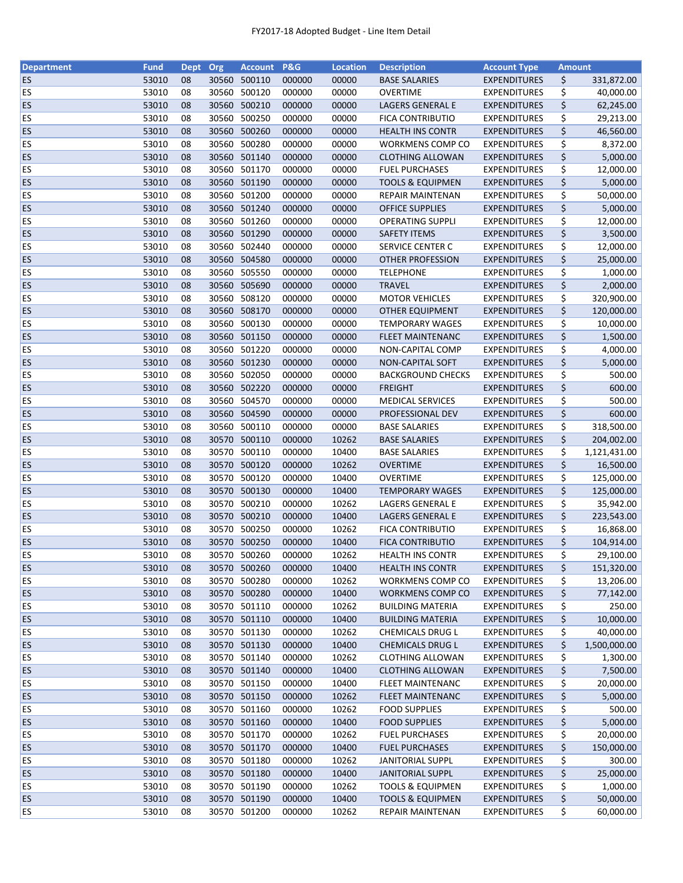| <b>Department</b> | <b>Fund</b> | <b>Dept</b> | Org   | <b>Account</b>         | <b>P&amp;G</b> | <b>Location</b> | <b>Description</b>          | <b>Account Type</b> | <b>Amount</b> |              |
|-------------------|-------------|-------------|-------|------------------------|----------------|-----------------|-----------------------------|---------------------|---------------|--------------|
| ES                | 53010       | 08          | 30560 | 500110                 | 000000         | 00000           | <b>BASE SALARIES</b>        | <b>EXPENDITURES</b> | \$            | 331,872.00   |
| ES                | 53010       | 08          | 30560 | 500120                 | 000000         | 00000           | <b>OVERTIME</b>             | <b>EXPENDITURES</b> | \$            | 40,000.00    |
| ES                | 53010       | 08          | 30560 | 500210                 | 000000         | 00000           | LAGERS GENERAL E            | <b>EXPENDITURES</b> | \$            | 62,245.00    |
| ES                | 53010       | 08          | 30560 | 500250                 | 000000         | 00000           | <b>FICA CONTRIBUTIO</b>     | <b>EXPENDITURES</b> | \$            | 29,213.00    |
| ES                | 53010       | 08          |       | 30560 500260           | 000000         | 00000           | <b>HEALTH INS CONTR</b>     | <b>EXPENDITURES</b> | \$            | 46,560.00    |
| ES                | 53010       | 08          |       | 30560 500280           | 000000         | 00000           | WORKMENS COMP CO            | <b>EXPENDITURES</b> | \$            | 8,372.00     |
| <b>ES</b>         | 53010       | 08          |       | 30560 501140           | 000000         | 00000           | <b>CLOTHING ALLOWAN</b>     | <b>EXPENDITURES</b> | \$            | 5,000.00     |
| ES                | 53010       | 08          | 30560 | 501170                 | 000000         | 00000           | <b>FUEL PURCHASES</b>       | <b>EXPENDITURES</b> | \$            | 12,000.00    |
| <b>ES</b>         | 53010       | 08          |       | 30560 501190           | 000000         | 00000           | <b>TOOLS &amp; EQUIPMEN</b> | <b>EXPENDITURES</b> | \$            | 5,000.00     |
| ES                | 53010       | 08          |       | 30560 501200           | 000000         | 00000           | REPAIR MAINTENAN            | <b>EXPENDITURES</b> | \$            | 50,000.00    |
| <b>ES</b>         | 53010       | 08          |       | 30560 501240           | 000000         | 00000           | <b>OFFICE SUPPLIES</b>      | <b>EXPENDITURES</b> | \$            | 5,000.00     |
| ES                | 53010       | 08          |       | 30560 501260           | 000000         | 00000           | <b>OPERATING SUPPLI</b>     | <b>EXPENDITURES</b> | \$            | 12,000.00    |
| ES                | 53010       | 08          | 30560 | 501290                 | 000000         | 00000           | <b>SAFETY ITEMS</b>         | <b>EXPENDITURES</b> | \$            | 3,500.00     |
| ES                | 53010       | 08          | 30560 | 502440                 | 000000         | 00000           | SERVICE CENTER C            | <b>EXPENDITURES</b> | \$            | 12,000.00    |
| ES                | 53010       | 08          | 30560 | 504580                 | 000000         | 00000           | <b>OTHER PROFESSION</b>     | <b>EXPENDITURES</b> | \$            | 25,000.00    |
| ES                | 53010       | 08          | 30560 | 505550                 | 000000         | 00000           | <b>TELEPHONE</b>            | <b>EXPENDITURES</b> | \$            | 1,000.00     |
| <b>ES</b>         | 53010       | 08          |       | 30560 505690           | 000000         | 00000           | <b>TRAVEL</b>               | <b>EXPENDITURES</b> | \$            | 2,000.00     |
| ES                | 53010       | 08          |       | 30560 508120           | 000000         | 00000           | <b>MOTOR VEHICLES</b>       | <b>EXPENDITURES</b> | \$            | 320,900.00   |
| <b>ES</b>         | 53010       | 08          |       | 30560 508170           | 000000         | 00000           | <b>OTHER EQUIPMENT</b>      | <b>EXPENDITURES</b> | \$            | 120,000.00   |
| ES                | 53010       | 08          |       | 30560 500130           | 000000         | 00000           | <b>TEMPORARY WAGES</b>      | <b>EXPENDITURES</b> | \$            | 10,000.00    |
| <b>ES</b>         | 53010       | 08          |       | 30560 501150           | 000000         | 00000           | <b>FLEET MAINTENANC</b>     | <b>EXPENDITURES</b> | \$            | 1,500.00     |
| ES                | 53010       | 08          |       | 30560 501220           | 000000         | 00000           | NON-CAPITAL COMP            | <b>EXPENDITURES</b> | \$            | 4,000.00     |
| ES                | 53010       | 08          |       | 30560 501230           | 000000         | 00000           | NON-CAPITAL SOFT            | <b>EXPENDITURES</b> | \$            | 5,000.00     |
| ES                | 53010       | 08          |       | 30560 502050           | 000000         | 00000           | <b>BACKGROUND CHECKS</b>    | <b>EXPENDITURES</b> | \$            | 500.00       |
| ES                | 53010       | 08          |       | 30560 502220           | 000000         | 00000           | <b>FREIGHT</b>              | <b>EXPENDITURES</b> | \$            | 600.00       |
| ES                | 53010       | 08          | 30560 | 504570                 | 000000         | 00000           | <b>MEDICAL SERVICES</b>     | <b>EXPENDITURES</b> | \$            | 500.00       |
| ES                | 53010       | 08          | 30560 | 504590                 | 000000         | 00000           | PROFESSIONAL DEV            | <b>EXPENDITURES</b> | \$            | 600.00       |
| <b>ES</b>         | 53010       | 08          | 30560 | 500110                 | 000000         | 00000           | <b>BASE SALARIES</b>        | <b>EXPENDITURES</b> | \$            | 318,500.00   |
| ES                | 53010       | 08          |       | 30570 500110           | 000000         | 10262           | <b>BASE SALARIES</b>        | <b>EXPENDITURES</b> | \$            | 204,002.00   |
| ES                | 53010       | 08          | 30570 | 500110                 | 000000         | 10400           | <b>BASE SALARIES</b>        | <b>EXPENDITURES</b> | \$            | 1,121,431.00 |
| ES                | 53010       | 08          |       | 30570 500120           | 000000         | 10262           | <b>OVERTIME</b>             | <b>EXPENDITURES</b> | \$            | 16,500.00    |
| ES                | 53010       | 08          |       | 30570 500120           | 000000         | 10400           | <b>OVERTIME</b>             | <b>EXPENDITURES</b> | \$            | 125,000.00   |
| <b>ES</b>         | 53010       | 08          | 30570 | 500130                 | 000000         | 10400           | <b>TEMPORARY WAGES</b>      | <b>EXPENDITURES</b> | \$            | 125,000.00   |
| <b>ES</b>         | 53010       | 08          |       | 30570 500210           | 000000         | 10262           | LAGERS GENERAL E            | <b>EXPENDITURES</b> | \$            | 35,942.00    |
| <b>ES</b>         | 53010       | 08          |       | 30570 500210           | 000000         | 10400           | LAGERS GENERAL E            | <b>EXPENDITURES</b> | \$            | 223,543.00   |
| ES                | 53010       | 08          |       | 30570 500250           | 000000         | 10262           | <b>FICA CONTRIBUTIO</b>     | <b>EXPENDITURES</b> | \$            | 16,868.00    |
| ES                | 53010       | 08          |       | 30570 500250           | 000000         | 10400           | <b>FICA CONTRIBUTIO</b>     | <b>EXPENDITURES</b> | \$            | 104,914.00   |
| ES                | 53010       | 08          |       | 30570 500260           | 000000         | 10262           | <b>HEALTH INS CONTR</b>     | <b>EXPENDITURES</b> | \$            | 29,100.00    |
|                   |             |             |       |                        | 000000         |                 |                             |                     |               |              |
| ES                | 53010       | 08          |       | 30570 500260           |                | 10400           | <b>HEALTH INS CONTR</b>     | <b>EXPENDITURES</b> | \$            | 151,320.00   |
| <b>ES</b>         | 53010       | 08          | 30570 | 500280<br>30570 500280 | 000000         | 10262           | WORKMENS COMP CO            | <b>EXPENDITURES</b> | \$            | 13,206.00    |
| <b>ES</b>         | 53010       | 08          |       |                        | 000000         | 10400           | WORKMENS COMP CO            | <b>EXPENDITURES</b> | \$            | 77,142.00    |
| <b>ES</b>         | 53010       | 08          |       | 30570 501110           | 000000         | 10262           | <b>BUILDING MATERIA</b>     | <b>EXPENDITURES</b> | \$            | 250.00       |
| ES                | 53010       | 08          |       | 30570 501110           | 000000         | 10400           | <b>BUILDING MATERIA</b>     | <b>EXPENDITURES</b> | \$            | 10,000.00    |
| ES                | 53010       | 08          |       | 30570 501130           | 000000         | 10262           | CHEMICALS DRUG L            | <b>EXPENDITURES</b> | \$            | 40,000.00    |
| ES                | 53010       | 08          |       | 30570 501130           | 000000         | 10400           | <b>CHEMICALS DRUG L</b>     | <b>EXPENDITURES</b> | \$            | 1,500,000.00 |
| ES                | 53010       | 08          |       | 30570 501140           | 000000         | 10262           | <b>CLOTHING ALLOWAN</b>     | <b>EXPENDITURES</b> | \$            | 1,300.00     |
| <b>ES</b>         | 53010       | 08          |       | 30570 501140           | 000000         | 10400           | <b>CLOTHING ALLOWAN</b>     | <b>EXPENDITURES</b> | \$            | 7,500.00     |
| <b>ES</b>         | 53010       | 08          |       | 30570 501150           | 000000         | 10400           | <b>FLEET MAINTENANC</b>     | <b>EXPENDITURES</b> | \$            | 20,000.00    |
| <b>ES</b>         | 53010       | 08          |       | 30570 501150           | 000000         | 10262           | <b>FLEET MAINTENANC</b>     | <b>EXPENDITURES</b> | \$            | 5,000.00     |
| ES                | 53010       | 08          |       | 30570 501160           | 000000         | 10262           | <b>FOOD SUPPLIES</b>        | <b>EXPENDITURES</b> | \$            | 500.00       |
| <b>ES</b>         | 53010       | 08          |       | 30570 501160           | 000000         | 10400           | <b>FOOD SUPPLIES</b>        | <b>EXPENDITURES</b> | \$            | 5,000.00     |
| <b>ES</b>         | 53010       | 08          |       | 30570 501170           | 000000         | 10262           | <b>FUEL PURCHASES</b>       | <b>EXPENDITURES</b> | \$            | 20,000.00    |
| <b>ES</b>         | 53010       | 08          |       | 30570 501170           | 000000         | 10400           | <b>FUEL PURCHASES</b>       | <b>EXPENDITURES</b> | \$            | 150,000.00   |
| <b>ES</b>         | 53010       | 08          |       | 30570 501180           | 000000         | 10262           | <b>JANITORIAL SUPPL</b>     | <b>EXPENDITURES</b> | \$            | 300.00       |
| <b>ES</b>         | 53010       | 08          |       | 30570 501180           | 000000         | 10400           | <b>JANITORIAL SUPPL</b>     | <b>EXPENDITURES</b> | \$            | 25,000.00    |
| <b>ES</b>         | 53010       | 08          |       | 30570 501190           | 000000         | 10262           | <b>TOOLS &amp; EQUIPMEN</b> | <b>EXPENDITURES</b> | \$            | 1,000.00     |
| ES                | 53010       | 08          |       | 30570 501190           | 000000         | 10400           | <b>TOOLS &amp; EQUIPMEN</b> | <b>EXPENDITURES</b> | \$            | 50,000.00    |
| <b>ES</b>         | 53010       | 08          |       | 30570 501200           | 000000         | 10262           | REPAIR MAINTENAN            | <b>EXPENDITURES</b> | \$            | 60,000.00    |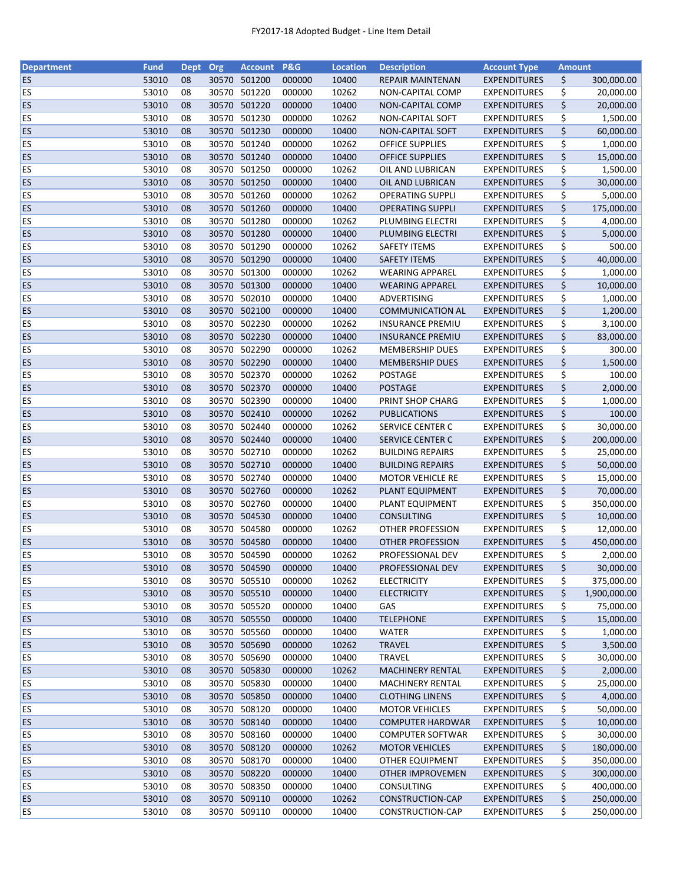| <b>Department</b> | <b>Fund</b> | <b>Dept</b> | Org   | <b>Account</b>               | <b>P&amp;G</b> | <b>Location</b> | <b>Description</b>      | <b>Account Type</b> | <b>Amount</b> |              |
|-------------------|-------------|-------------|-------|------------------------------|----------------|-----------------|-------------------------|---------------------|---------------|--------------|
| <b>ES</b>         | 53010       | 08          | 30570 | 501200                       | 000000         | 10400           | <b>REPAIR MAINTENAN</b> | <b>EXPENDITURES</b> | \$            | 300,000.00   |
| <b>ES</b>         | 53010       | 08          | 30570 | 501220                       | 000000         | 10262           | NON-CAPITAL COMP        | <b>EXPENDITURES</b> | \$            | 20,000.00    |
| ES                | 53010       | 08          | 30570 | 501220                       | 000000         | 10400           | NON-CAPITAL COMP        | <b>EXPENDITURES</b> | \$            | 20,000.00    |
| ES                | 53010       | 08          | 30570 | 501230                       | 000000         | 10262           | <b>NON-CAPITAL SOFT</b> | <b>EXPENDITURES</b> | \$            | 1,500.00     |
| ES                | 53010       | 08          |       | 30570 501230                 | 000000         | 10400           | NON-CAPITAL SOFT        | <b>EXPENDITURES</b> | \$            | 60,000.00    |
| ES                | 53010       | 08          | 30570 | 501240                       | 000000         | 10262           | <b>OFFICE SUPPLIES</b>  | <b>EXPENDITURES</b> | \$            | 1,000.00     |
| ES                | 53010       | 08          |       | 30570 501240                 | 000000         | 10400           | <b>OFFICE SUPPLIES</b>  | <b>EXPENDITURES</b> | \$            | 15,000.00    |
| ES                | 53010       | 08          |       | 30570 501250                 | 000000         | 10262           | OIL AND LUBRICAN        | <b>EXPENDITURES</b> | \$            | 1,500.00     |
| <b>ES</b>         | 53010       | 08          | 30570 | 501250                       | 000000         | 10400           | OIL AND LUBRICAN        | <b>EXPENDITURES</b> | \$            | 30,000.00    |
| ES                | 53010       | 08          | 30570 | 501260                       | 000000         | 10262           | <b>OPERATING SUPPLI</b> | <b>EXPENDITURES</b> | \$            | 5,000.00     |
| ES                | 53010       | 08          |       | 30570 501260                 | 000000         | 10400           | <b>OPERATING SUPPLI</b> | <b>EXPENDITURES</b> | \$            | 175,000.00   |
| <b>ES</b>         | 53010       | 08          | 30570 | 501280                       | 000000         | 10262           | PLUMBING ELECTRI        | <b>EXPENDITURES</b> | \$            | 4,000.00     |
| ES                | 53010       | 08          | 30570 | 501280                       | 000000         | 10400           | PLUMBING ELECTRI        | <b>EXPENDITURES</b> | \$            | 5,000.00     |
| ES                | 53010       | 08          | 30570 | 501290                       | 000000         | 10262           | <b>SAFETY ITEMS</b>     | <b>EXPENDITURES</b> | \$            | 500.00       |
| <b>ES</b>         | 53010       | 08          | 30570 | 501290                       | 000000         | 10400           |                         |                     | \$            | 40,000.00    |
|                   |             |             |       |                              |                |                 | <b>SAFETY ITEMS</b>     | <b>EXPENDITURES</b> |               |              |
| ES                | 53010       | 08          | 30570 | 501300                       | 000000         | 10262           | <b>WEARING APPAREL</b>  | <b>EXPENDITURES</b> | \$            | 1,000.00     |
| ES                | 53010       | 08          |       | 30570 501300                 | 000000         | 10400           | <b>WEARING APPAREL</b>  | <b>EXPENDITURES</b> | \$            | 10,000.00    |
| <b>ES</b>         | 53010       | 08          | 30570 | 502010                       | 000000         | 10400           | ADVERTISING             | <b>EXPENDITURES</b> | \$            | 1,000.00     |
| ES                | 53010       | 08          |       | 30570 502100                 | 000000         | 10400           | <b>COMMUNICATION AL</b> | <b>EXPENDITURES</b> | \$            | 1,200.00     |
| <b>ES</b>         | 53010       | 08          |       | 30570 502230                 | 000000         | 10262           | <b>INSURANCE PREMIU</b> | <b>EXPENDITURES</b> | \$            | 3,100.00     |
| <b>ES</b>         | 53010       | 08          |       | 30570 502230                 | 000000         | 10400           | <b>INSURANCE PREMIU</b> | <b>EXPENDITURES</b> | \$            | 83,000.00    |
| ES                | 53010       | 08          | 30570 | 502290                       | 000000         | 10262           | <b>MEMBERSHIP DUES</b>  | <b>EXPENDITURES</b> | \$            | 300.00       |
| <b>ES</b>         | 53010       | 08          |       | 30570 502290                 | 000000         | 10400           | <b>MEMBERSHIP DUES</b>  | <b>EXPENDITURES</b> | \$            | 1,500.00     |
| <b>ES</b>         | 53010       | 08          |       | 30570 502370                 | 000000         | 10262           | POSTAGE                 | <b>EXPENDITURES</b> | \$            | 100.00       |
| ES                | 53010       | 08          |       | 30570 502370                 | 000000         | 10400           | <b>POSTAGE</b>          | <b>EXPENDITURES</b> | \$            | 2,000.00     |
| ES                | 53010       | 08          | 30570 | 502390                       | 000000         | 10400           | PRINT SHOP CHARG        | <b>EXPENDITURES</b> | \$            | 1,000.00     |
| <b>ES</b>         | 53010       | 08          | 30570 | 502410                       | 000000         | 10262           | <b>PUBLICATIONS</b>     | <b>EXPENDITURES</b> | \$            | 100.00       |
| ES                | 53010       | 08          | 30570 | 502440                       | 000000         | 10262           | SERVICE CENTER C        | <b>EXPENDITURES</b> | \$            | 30,000.00    |
| ES                | 53010       | 08          | 30570 | 502440                       | 000000         | 10400           | <b>SERVICE CENTER C</b> | <b>EXPENDITURES</b> | \$            | 200,000.00   |
| ES                | 53010       | 08          | 30570 | 502710                       | 000000         | 10262           | <b>BUILDING REPAIRS</b> | <b>EXPENDITURES</b> | \$            | 25,000.00    |
| ES                | 53010       | 08          |       | 30570 502710                 | 000000         | 10400           | <b>BUILDING REPAIRS</b> | <b>EXPENDITURES</b> | \$            | 50,000.00    |
| ES                | 53010       | 08          | 30570 | 502740                       | 000000         | 10400           | <b>MOTOR VEHICLE RE</b> | <b>EXPENDITURES</b> | \$            | 15,000.00    |
| ES                | 53010       | 08          | 30570 | 502760                       | 000000         | 10262           | PLANT EQUIPMENT         | <b>EXPENDITURES</b> | \$            | 70,000.00    |
| ES                | 53010       | 08          | 30570 | 502760                       | 000000         | 10400           | PLANT EQUIPMENT         | <b>EXPENDITURES</b> | \$            | 350,000.00   |
| <b>ES</b>         | 53010       | 08          |       | 30570 504530                 | 000000         | 10400           | <b>CONSULTING</b>       | <b>EXPENDITURES</b> | \$            | 10,000.00    |
| <b>ES</b>         | 53010       | 08          |       | 30570 504580                 | 000000         | 10262           | <b>OTHER PROFESSION</b> | <b>EXPENDITURES</b> | \$            | 12,000.00    |
| <b>ES</b>         | 53010       | 08          |       | 30570 504580                 | 000000         | 10400           | <b>OTHER PROFESSION</b> | <b>EXPENDITURES</b> | \$            | 450,000.00   |
| ES                | 53010       | 08          |       | 30570 504590                 | 000000         | 10262           | PROFESSIONAL DEV        | <b>EXPENDITURES</b> | \$            | 2,000.00     |
| <b>ES</b>         | 53010       | 08          |       | 30570 504590                 | 000000         | 10400           | PROFESSIONAL DEV        | <b>EXPENDITURES</b> | \$            | 30,000.00    |
| <b>ES</b>         | 53010       | 08          | 30570 | 505510                       | 000000         | 10262           | <b>ELECTRICITY</b>      | <b>EXPENDITURES</b> | \$            | 375,000.00   |
| <b>ES</b>         | 53010       | 08          |       | 30570 505510                 | 000000         | 10400           | <b>ELECTRICITY</b>      | <b>EXPENDITURES</b> | \$            | 1,900,000.00 |
| <b>ES</b>         | 53010       | 08          |       | 30570 505520                 | 000000         | 10400           | GAS                     | <b>EXPENDITURES</b> | \$            | 75,000.00    |
| <b>ES</b>         | 53010       | 08          |       | 30570 505550                 | 000000         | 10400           | <b>TELEPHONE</b>        | <b>EXPENDITURES</b> | \$            | 15,000.00    |
| ES                | 53010       | 08          |       | 30570 505560                 | 000000         | 10400           | WATER                   | <b>EXPENDITURES</b> | \$            | 1,000.00     |
| <b>ES</b>         | 53010       | 08          |       | 30570 505690                 | 000000         | 10262           | <b>TRAVEL</b>           | <b>EXPENDITURES</b> | \$            | 3,500.00     |
| ES                | 53010       | 08          |       | 30570 505690                 | 000000         | 10400           | <b>TRAVEL</b>           | <b>EXPENDITURES</b> | \$            | 30,000.00    |
| <b>ES</b>         | 53010       | 08          |       | 30570 505830                 | 000000         | 10262           | MACHINERY RENTAL        | <b>EXPENDITURES</b> | \$            | 2,000.00     |
|                   | 53010       | 08          |       |                              | 000000         | 10400           |                         | <b>EXPENDITURES</b> |               | 25,000.00    |
| ES<br><b>ES</b>   |             |             |       | 30570 505830<br>30570 505850 |                | 10400           | <b>MACHINERY RENTAL</b> |                     | \$<br>\$      |              |
|                   | 53010       | 08          |       |                              | 000000         |                 | <b>CLOTHING LINENS</b>  | <b>EXPENDITURES</b> |               | 4,000.00     |
| ES                | 53010       | 08          |       | 30570 508120                 | 000000         | 10400           | <b>MOTOR VEHICLES</b>   | <b>EXPENDITURES</b> | \$            | 50,000.00    |
| <b>ES</b>         | 53010       | 08          |       | 30570 508140                 | 000000         | 10400           | <b>COMPUTER HARDWAR</b> | <b>EXPENDITURES</b> | \$            | 10,000.00    |
| <b>ES</b>         | 53010       | 08          | 30570 | 508160                       | 000000         | 10400           | <b>COMPUTER SOFTWAR</b> | <b>EXPENDITURES</b> | \$            | 30,000.00    |
| <b>ES</b>         | 53010       | 08          | 30570 | 508120                       | 000000         | 10262           | <b>MOTOR VEHICLES</b>   | <b>EXPENDITURES</b> | \$            | 180,000.00   |
| <b>ES</b>         | 53010       | 08          | 30570 | 508170                       | 000000         | 10400           | <b>OTHER EQUIPMENT</b>  | <b>EXPENDITURES</b> | \$            | 350,000.00   |
| <b>ES</b>         | 53010       | 08          |       | 30570 508220                 | 000000         | 10400           | <b>OTHER IMPROVEMEN</b> | <b>EXPENDITURES</b> | \$            | 300,000.00   |
| ES                | 53010       | 08          |       | 30570 508350                 | 000000         | 10400           | CONSULTING              | <b>EXPENDITURES</b> | \$            | 400,000.00   |
| <b>ES</b>         | 53010       | 08          |       | 30570 509110                 | 000000         | 10262           | CONSTRUCTION-CAP        | <b>EXPENDITURES</b> | \$            | 250,000.00   |
| <b>ES</b>         | 53010       | 08          |       | 30570 509110                 | 000000         | 10400           | CONSTRUCTION-CAP        | <b>EXPENDITURES</b> | \$            | 250,000.00   |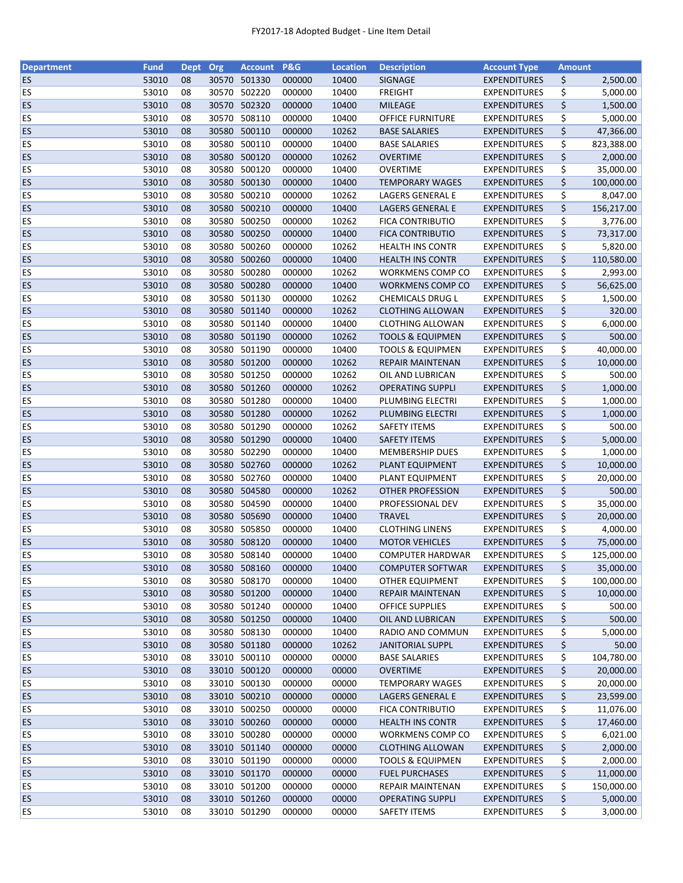| <b>Department</b> | <b>Fund</b> | <b>Dept</b> | Org   | <b>Account</b> | <b>P&amp;G</b> | <b>Location</b> | <b>Description</b>          | <b>Account Type</b> | <b>Amount</b> |            |
|-------------------|-------------|-------------|-------|----------------|----------------|-----------------|-----------------------------|---------------------|---------------|------------|
| ES                | 53010       | 08          | 30570 | 501330         | 000000         | 10400           | SIGNAGE                     | <b>EXPENDITURES</b> | \$            | 2,500.00   |
| ES                | 53010       | 08          | 30570 | 502220         | 000000         | 10400           | <b>FREIGHT</b>              | <b>EXPENDITURES</b> | \$            | 5,000.00   |
| <b>ES</b>         | 53010       | 08          | 30570 | 502320         | 000000         | 10400           | <b>MILEAGE</b>              | <b>EXPENDITURES</b> | \$            | 1,500.00   |
| ES                | 53010       | 08          | 30570 | 508110         | 000000         | 10400           | <b>OFFICE FURNITURE</b>     | <b>EXPENDITURES</b> | \$            | 5,000.00   |
| ES                | 53010       | 08          | 30580 | 500110         | 000000         | 10262           | <b>BASE SALARIES</b>        | <b>EXPENDITURES</b> | \$            | 47,366.00  |
| ES                | 53010       | 08          | 30580 | 500110         | 000000         | 10400           | <b>BASE SALARIES</b>        | <b>EXPENDITURES</b> | \$            | 823,388.00 |
| <b>ES</b>         | 53010       | 08          | 30580 | 500120         | 000000         | 10262           | <b>OVERTIME</b>             | <b>EXPENDITURES</b> | \$            | 2,000.00   |
| ES                | 53010       | 08          | 30580 | 500120         | 000000         | 10400           | OVERTIME                    | <b>EXPENDITURES</b> | \$            | 35,000.00  |
| <b>ES</b>         | 53010       | 08          | 30580 | 500130         | 000000         | 10400           | <b>TEMPORARY WAGES</b>      | <b>EXPENDITURES</b> | \$            | 100,000.00 |
| ES                | 53010       | 08          |       | 30580 500210   | 000000         | 10262           | LAGERS GENERAL E            | <b>EXPENDITURES</b> | \$            | 8,047.00   |
| ES                | 53010       | 08          |       | 30580 500210   | 000000         | 10400           | LAGERS GENERAL E            | <b>EXPENDITURES</b> | \$            | 156,217.00 |
| ES                | 53010       | 08          | 30580 | 500250         | 000000         | 10262           | FICA CONTRIBUTIO            | <b>EXPENDITURES</b> | \$            | 3,776.00   |
| ES                | 53010       | 08          | 30580 | 500250         | 000000         | 10400           | <b>FICA CONTRIBUTIO</b>     | <b>EXPENDITURES</b> | \$            | 73,317.00  |
| ES                | 53010       | 08          | 30580 | 500260         | 000000         | 10262           | <b>HEALTH INS CONTR</b>     | <b>EXPENDITURES</b> | \$            | 5,820.00   |
| ES                | 53010       | 08          | 30580 | 500260         | 000000         | 10400           | <b>HEALTH INS CONTR</b>     | <b>EXPENDITURES</b> | \$            | 110,580.00 |
| <b>ES</b>         | 53010       | 08          | 30580 | 500280         | 000000         | 10262           | WORKMENS COMP CO            | <b>EXPENDITURES</b> | \$            | 2,993.00   |
| <b>ES</b>         | 53010       | 08          | 30580 | 500280         | 000000         | 10400           | <b>WORKMENS COMP CO</b>     | <b>EXPENDITURES</b> | \$            | 56,625.00  |
| ES                | 53010       | 08          | 30580 | 501130         | 000000         | 10262           | CHEMICALS DRUG L            | <b>EXPENDITURES</b> | \$            | 1,500.00   |
| <b>ES</b>         | 53010       | 08          |       | 30580 501140   | 000000         | 10262           | <b>CLOTHING ALLOWAN</b>     | <b>EXPENDITURES</b> | \$            | 320.00     |
| ES                | 53010       | 08          |       | 30580 501140   | 000000         | 10400           | <b>CLOTHING ALLOWAN</b>     | <b>EXPENDITURES</b> | \$            | 6,000.00   |
| <b>ES</b>         | 53010       | 08          |       | 30580 501190   | 000000         | 10262           | <b>TOOLS &amp; EQUIPMEN</b> | <b>EXPENDITURES</b> | \$            | 500.00     |
| ES                | 53010       | 08          |       | 30580 501190   | 000000         | 10400           | TOOLS & EQUIPMEN            | <b>EXPENDITURES</b> | \$            | 40,000.00  |
| ES                | 53010       | 08          |       | 30580 501200   | 000000         | 10262           | <b>REPAIR MAINTENAN</b>     | <b>EXPENDITURES</b> | \$            | 10,000.00  |
| ES                | 53010       | 08          |       | 30580 501250   | 000000         | 10262           | OIL AND LUBRICAN            | <b>EXPENDITURES</b> | \$            | 500.00     |
| ES                | 53010       | 08          |       | 30580 501260   | 000000         | 10262           | <b>OPERATING SUPPLI</b>     | <b>EXPENDITURES</b> | \$            | 1,000.00   |
| ES                | 53010       | 08          |       | 30580 501280   | 000000         | 10400           | PLUMBING ELECTRI            | <b>EXPENDITURES</b> | \$            | 1,000.00   |
| ES                | 53010       | 08          | 30580 | 501280         | 000000         | 10262           | PLUMBING ELECTRI            | <b>EXPENDITURES</b> | \$            | 1,000.00   |
| ES                | 53010       | 08          | 30580 | 501290         | 000000         | 10262           | <b>SAFETY ITEMS</b>         | <b>EXPENDITURES</b> | \$            | 500.00     |
| ES                | 53010       | 08          |       | 30580 501290   | 000000         | 10400           | <b>SAFETY ITEMS</b>         | <b>EXPENDITURES</b> | \$            | 5,000.00   |
| ES                | 53010       | 08          | 30580 | 502290         | 000000         | 10400           | <b>MEMBERSHIP DUES</b>      | <b>EXPENDITURES</b> | \$            | 1,000.00   |
| ES                | 53010       | 08          |       | 30580 502760   | 000000         | 10262           | PLANT EQUIPMENT             | <b>EXPENDITURES</b> | \$            | 10,000.00  |
| ES                | 53010       | 08          |       | 30580 502760   | 000000         | 10400           | PLANT EQUIPMENT             | <b>EXPENDITURES</b> | \$            | 20,000.00  |
| <b>ES</b>         | 53010       |             | 30580 | 504580         | 000000         | 10262           |                             |                     |               | 500.00     |
| ES                | 53010       | 08          | 30580 | 504590         | 000000         | 10400           | OTHER PROFESSION            | <b>EXPENDITURES</b> | \$            |            |
|                   |             | 08          |       | 30580 505690   |                |                 | PROFESSIONAL DEV            | <b>EXPENDITURES</b> | \$            | 35,000.00  |
| <b>ES</b>         | 53010       | 08          |       |                | 000000         | 10400           | <b>TRAVEL</b>               | <b>EXPENDITURES</b> | \$            | 20,000.00  |
| ES                | 53010       | 08          |       | 30580 505850   | 000000         | 10400           | <b>CLOTHING LINENS</b>      | <b>EXPENDITURES</b> | \$            | 4,000.00   |
| ES                | 53010       | 08          |       | 30580 508120   | 000000         | 10400           | <b>MOTOR VEHICLES</b>       | <b>EXPENDITURES</b> | \$            | 75,000.00  |
| ES                | 53010       | 08          |       | 30580 508140   | 000000         | 10400           | <b>COMPUTER HARDWAR</b>     | <b>EXPENDITURES</b> | \$            | 125,000.00 |
| ES                | 53010       | 08          |       | 30580 508160   | 000000         | 10400           | <b>COMPUTER SOFTWAR</b>     | <b>EXPENDITURES</b> | \$            | 35,000.00  |
| <b>ES</b>         | 53010       | 08          | 30580 | 508170         | 000000         | 10400           | OTHER EQUIPMENT             | <b>EXPENDITURES</b> | \$            | 100,000.00 |
| <b>ES</b>         | 53010       | 08          |       | 30580 501200   | 000000         | 10400           | <b>REPAIR MAINTENAN</b>     | <b>EXPENDITURES</b> | \$            | 10,000.00  |
| <b>ES</b>         | 53010       | 08          |       | 30580 501240   | 000000         | 10400           | <b>OFFICE SUPPLIES</b>      | <b>EXPENDITURES</b> | \$            | 500.00     |
| <b>ES</b>         | 53010       | 08          |       | 30580 501250   | 000000         | 10400           | OIL AND LUBRICAN            | <b>EXPENDITURES</b> | \$            | 500.00     |
| ES                | 53010       | 08          |       | 30580 508130   | 000000         | 10400           | RADIO AND COMMUN            | <b>EXPENDITURES</b> | \$            | 5,000.00   |
| ES                | 53010       | 08          |       | 30580 501180   | 000000         | 10262           | <b>JANITORIAL SUPPL</b>     | <b>EXPENDITURES</b> | \$            | 50.00      |
| ES                | 53010       | 08          |       | 33010 500110   | 000000         | 00000           | <b>BASE SALARIES</b>        | <b>EXPENDITURES</b> | \$            | 104,780.00 |
| <b>ES</b>         | 53010       | 08          |       | 33010 500120   | 000000         | 00000           | <b>OVERTIME</b>             | <b>EXPENDITURES</b> | \$            | 20,000.00  |
| <b>ES</b>         | 53010       | 08          |       | 33010 500130   | 000000         | 00000           | <b>TEMPORARY WAGES</b>      | <b>EXPENDITURES</b> | \$            | 20,000.00  |
| <b>ES</b>         | 53010       | 08          |       | 33010 500210   | 000000         | 00000           | LAGERS GENERAL E            | <b>EXPENDITURES</b> | \$            | 23,599.00  |
| ES                | 53010       | 08          |       | 33010 500250   | 000000         | 00000           | <b>FICA CONTRIBUTIO</b>     | <b>EXPENDITURES</b> | \$            | 11,076.00  |
| <b>ES</b>         | 53010       | 08          |       | 33010 500260   | 000000         | 00000           | <b>HEALTH INS CONTR</b>     | <b>EXPENDITURES</b> | \$            | 17,460.00  |
| <b>ES</b>         | 53010       | 08          |       | 33010 500280   | 000000         | 00000           | WORKMENS COMP CO            | <b>EXPENDITURES</b> | \$            | 6,021.00   |
| <b>ES</b>         | 53010       | 08          |       | 33010 501140   | 000000         | 00000           | <b>CLOTHING ALLOWAN</b>     | <b>EXPENDITURES</b> | \$            | 2,000.00   |
| <b>ES</b>         | 53010       | 08          |       | 33010 501190   | 000000         | 00000           | <b>TOOLS &amp; EQUIPMEN</b> | <b>EXPENDITURES</b> | \$            | 2,000.00   |
| <b>ES</b>         | 53010       | 08          |       | 33010 501170   | 000000         | 00000           | <b>FUEL PURCHASES</b>       | <b>EXPENDITURES</b> | \$            | 11,000.00  |
| <b>ES</b>         | 53010       | 08          |       | 33010 501200   | 000000         | 00000           | REPAIR MAINTENAN            | <b>EXPENDITURES</b> | \$            | 150,000.00 |
| ES                | 53010       | 08          |       | 33010 501260   | 000000         | 00000           | <b>OPERATING SUPPLI</b>     | <b>EXPENDITURES</b> | \$            | 5,000.00   |
| <b>ES</b>         | 53010       | 08          |       | 33010 501290   | 000000         | 00000           | <b>SAFETY ITEMS</b>         | <b>EXPENDITURES</b> | \$            | 3,000.00   |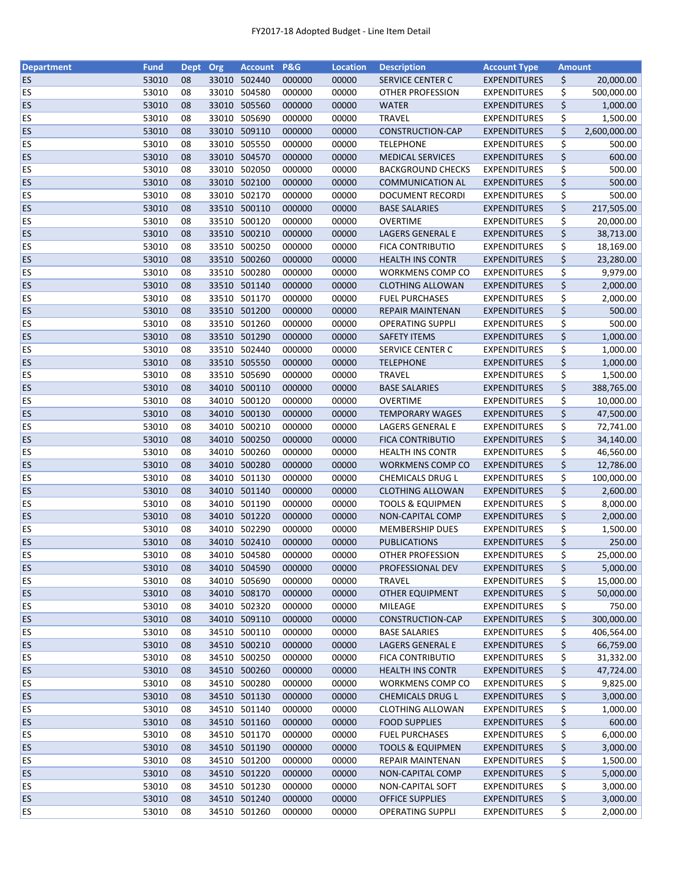| <b>Department</b> | <b>Fund</b> | <b>Dept</b> | Org   | <b>Account</b> | <b>P&amp;G</b> | <b>Location</b> | <b>Description</b>          | <b>Account Type</b> | <b>Amount</b> |              |
|-------------------|-------------|-------------|-------|----------------|----------------|-----------------|-----------------------------|---------------------|---------------|--------------|
| <b>ES</b>         | 53010       | 08          |       | 33010 502440   | 000000         | 00000           | <b>SERVICE CENTER C</b>     | <b>EXPENDITURES</b> | \$            | 20,000.00    |
| <b>ES</b>         | 53010       | 08          | 33010 | 504580         | 000000         | 00000           | OTHER PROFESSION            | <b>EXPENDITURES</b> | \$            | 500,000.00   |
| ES                | 53010       | 08          | 33010 | 505560         | 000000         | 00000           | <b>WATER</b>                | <b>EXPENDITURES</b> | \$            | 1,000.00     |
| ES                | 53010       | 08          | 33010 | 505690         | 000000         | 00000           | <b>TRAVEL</b>               | <b>EXPENDITURES</b> | \$            | 1,500.00     |
| ES                | 53010       | 08          |       | 33010 509110   | 000000         | 00000           | <b>CONSTRUCTION-CAP</b>     | <b>EXPENDITURES</b> | \$            | 2,600,000.00 |
| ES                | 53010       | 08          |       | 33010 505550   | 000000         | 00000           | <b>TELEPHONE</b>            | <b>EXPENDITURES</b> | \$            | 500.00       |
| ES                | 53010       | 08          |       | 33010 504570   | 000000         | 00000           | <b>MEDICAL SERVICES</b>     | <b>EXPENDITURES</b> | \$            | 600.00       |
| ES                | 53010       | 08          |       | 33010 502050   | 000000         | 00000           | <b>BACKGROUND CHECKS</b>    | <b>EXPENDITURES</b> | \$            | 500.00       |
| ES                | 53010       | 08          |       | 33010 502100   | 000000         | 00000           | <b>COMMUNICATION AL</b>     | <b>EXPENDITURES</b> | \$            | 500.00       |
| ES                | 53010       | 08          |       | 33010 502170   | 000000         | 00000           | <b>DOCUMENT RECORDI</b>     | <b>EXPENDITURES</b> | \$            | 500.00       |
| ES                | 53010       | 08          |       | 33510 500110   | 000000         | 00000           | <b>BASE SALARIES</b>        | <b>EXPENDITURES</b> | \$            | 217,505.00   |
| <b>ES</b>         | 53010       | 08          |       | 33510 500120   | 000000         | 00000           | <b>OVERTIME</b>             | <b>EXPENDITURES</b> | \$            | 20,000.00    |
| ES                | 53010       | 08          |       | 33510 500210   | 000000         | 00000           | <b>LAGERS GENERAL E</b>     | <b>EXPENDITURES</b> | \$            | 38,713.00    |
| ES                | 53010       | 08          | 33510 | 500250         | 000000         | 00000           | <b>FICA CONTRIBUTIO</b>     | <b>EXPENDITURES</b> | \$            | 18,169.00    |
| <b>ES</b>         | 53010       | 08          | 33510 | 500260         | 000000         | 00000           | <b>HEALTH INS CONTR</b>     | <b>EXPENDITURES</b> | \$            | 23,280.00    |
| ES                | 53010       | 08          | 33510 | 500280         | 000000         | 00000           | <b>WORKMENS COMP CO</b>     | <b>EXPENDITURES</b> | \$            | 9,979.00     |
| ES                | 53010       | 08          |       | 33510 501140   | 000000         | 00000           | <b>CLOTHING ALLOWAN</b>     | <b>EXPENDITURES</b> | \$            | 2,000.00     |
| <b>ES</b>         | 53010       | 08          |       | 33510 501170   | 000000         | 00000           | <b>FUEL PURCHASES</b>       | <b>EXPENDITURES</b> | \$            | 2,000.00     |
| ES                | 53010       | 08          |       | 33510 501200   | 000000         | 00000           | <b>REPAIR MAINTENAN</b>     | <b>EXPENDITURES</b> | \$            | 500.00       |
| ES                | 53010       | 08          |       | 33510 501260   | 000000         | 00000           | <b>OPERATING SUPPLI</b>     | <b>EXPENDITURES</b> | \$            | 500.00       |
| <b>ES</b>         | 53010       | 08          |       | 33510 501290   | 000000         | 00000           | <b>SAFETY ITEMS</b>         | <b>EXPENDITURES</b> | \$            | 1,000.00     |
| ES                | 53010       | 08          |       | 33510 502440   | 000000         | 00000           | SERVICE CENTER C            |                     |               |              |
|                   |             |             |       | 33510 505550   |                |                 |                             | <b>EXPENDITURES</b> | \$            | 1,000.00     |
| <b>ES</b>         | 53010       | 08          |       |                | 000000         | 00000           | <b>TELEPHONE</b>            | <b>EXPENDITURES</b> | \$            | 1,000.00     |
| <b>ES</b>         | 53010       | 08          |       | 33510 505690   | 000000         | 00000           | <b>TRAVEL</b>               | <b>EXPENDITURES</b> | \$            | 1,500.00     |
| ES                | 53010       | 08          |       | 34010 500110   | 000000         | 00000           | <b>BASE SALARIES</b>        | <b>EXPENDITURES</b> | \$            | 388,765.00   |
| ES                | 53010       | 08          |       | 34010 500120   | 000000         | 00000           | <b>OVERTIME</b>             | <b>EXPENDITURES</b> | \$            | 10,000.00    |
| ES                | 53010       | 08          | 34010 | 500130         | 000000         | 00000           | <b>TEMPORARY WAGES</b>      | <b>EXPENDITURES</b> | \$            | 47,500.00    |
| ES                | 53010       | 08          | 34010 | 500210         | 000000         | 00000           | LAGERS GENERAL E            | EXPENDITURES        | \$            | 72,741.00    |
| ES                | 53010       | 08          | 34010 | 500250         | 000000         | 00000           | <b>FICA CONTRIBUTIO</b>     | <b>EXPENDITURES</b> | \$            | 34,140.00    |
| ES                | 53010       | 08          |       | 34010 500260   | 000000         | 00000           | <b>HEALTH INS CONTR</b>     | <b>EXPENDITURES</b> | \$            | 46,560.00    |
| ES                | 53010       | 08          |       | 34010 500280   | 000000         | 00000           | WORKMENS COMP CO            | <b>EXPENDITURES</b> | \$            | 12,786.00    |
| ES                | 53010       | 08          |       | 34010 501130   | 000000         | 00000           | CHEMICALS DRUG L            | <b>EXPENDITURES</b> | \$            | 100,000.00   |
| ES                | 53010       | 08          |       | 34010 501140   | 000000         | 00000           | <b>CLOTHING ALLOWAN</b>     | <b>EXPENDITURES</b> | \$            | 2,600.00     |
| ES                | 53010       | 08          |       | 34010 501190   | 000000         | 00000           | <b>TOOLS &amp; EQUIPMEN</b> | <b>EXPENDITURES</b> | \$            | 8,000.00     |
| ES                | 53010       | 08          |       | 34010 501220   | 000000         | 00000           | NON-CAPITAL COMP            | <b>EXPENDITURES</b> | \$            | 2,000.00     |
| <b>ES</b>         | 53010       | 08          |       | 34010 502290   | 000000         | 00000           | <b>MEMBERSHIP DUES</b>      | <b>EXPENDITURES</b> | \$            | 1,500.00     |
| <b>ES</b>         | 53010       | 08          |       | 34010 502410   | 000000         | 00000           | <b>PUBLICATIONS</b>         | <b>EXPENDITURES</b> | \$            | 250.00       |
| ES                | 53010       | 08          |       | 34010 504580   | 000000         | 00000           | OTHER PROFESSION            | <b>EXPENDITURES</b> | \$            | 25,000.00    |
| <b>ES</b>         | 53010       | 08          |       | 34010 504590   | 000000         | 00000           | PROFESSIONAL DEV            | <b>EXPENDITURES</b> | \$            | 5,000.00     |
| <b>ES</b>         | 53010       | 08          |       | 34010 505690   | 000000         | 00000           | <b>TRAVEL</b>               | <b>EXPENDITURES</b> | \$            | 15,000.00    |
| <b>ES</b>         | 53010       | 08          |       | 34010 508170   | 000000         | 00000           | <b>OTHER EQUIPMENT</b>      | <b>EXPENDITURES</b> | \$            | 50,000.00    |
| <b>ES</b>         | 53010       | 08          |       | 34010 502320   | 000000         | 00000           | MILEAGE                     | <b>EXPENDITURES</b> | \$            | 750.00       |
| <b>ES</b>         | 53010       | 08          |       | 34010 509110   | 000000         | 00000           | CONSTRUCTION-CAP            | <b>EXPENDITURES</b> | \$            | 300,000.00   |
| ES                | 53010       | 08          |       | 34510 500110   | 000000         | 00000           | <b>BASE SALARIES</b>        | <b>EXPENDITURES</b> | \$            | 406,564.00   |
| <b>ES</b>         | 53010       | 08          |       | 34510 500210   | 000000         | 00000           | LAGERS GENERAL E            | <b>EXPENDITURES</b> | \$            | 66,759.00    |
| <b>ES</b>         | 53010       | 08          |       | 34510 500250   | 000000         | 00000           | FICA CONTRIBUTIO            | <b>EXPENDITURES</b> | \$            | 31,332.00    |
| <b>ES</b>         | 53010       | 08          |       | 34510 500260   | 000000         | 00000           | <b>HEALTH INS CONTR</b>     | <b>EXPENDITURES</b> | \$            | 47,724.00    |
| ES                | 53010       | 08          |       | 34510 500280   | 000000         | 00000           | WORKMENS COMP CO            | <b>EXPENDITURES</b> | \$            | 9,825.00     |
| <b>ES</b>         | 53010       | 08          |       | 34510 501130   | 000000         | 00000           | <b>CHEMICALS DRUG L</b>     | <b>EXPENDITURES</b> | \$            | 3,000.00     |
| ES                | 53010       | 08          |       | 34510 501140   | 000000         | 00000           | <b>CLOTHING ALLOWAN</b>     | <b>EXPENDITURES</b> | \$            | 1,000.00     |
| <b>ES</b>         | 53010       | 08          |       | 34510 501160   | 000000         | 00000           | <b>FOOD SUPPLIES</b>        | <b>EXPENDITURES</b> | \$            | 600.00       |
| <b>ES</b>         | 53010       | 08          |       | 34510 501170   | 000000         | 00000           | <b>FUEL PURCHASES</b>       | <b>EXPENDITURES</b> | \$            | 6,000.00     |
| <b>ES</b>         | 53010       | 08          |       | 34510 501190   | 000000         | 00000           | <b>TOOLS &amp; EQUIPMEN</b> | <b>EXPENDITURES</b> | \$            | 3,000.00     |
| <b>ES</b>         | 53010       | 08          |       | 34510 501200   | 000000         | 00000           | <b>REPAIR MAINTENAN</b>     | <b>EXPENDITURES</b> | \$            | 1,500.00     |
| <b>ES</b>         | 53010       | 08          |       | 34510 501220   | 000000         | 00000           | NON-CAPITAL COMP            | <b>EXPENDITURES</b> | \$            | 5,000.00     |
| <b>ES</b>         | 53010       | 08          |       | 34510 501230   | 000000         |                 |                             | <b>EXPENDITURES</b> |               |              |
|                   |             |             |       |                |                | 00000           | NON-CAPITAL SOFT            |                     | \$            | 3,000.00     |
| <b>ES</b>         | 53010       | 08          |       | 34510 501240   | 000000         | 00000           | <b>OFFICE SUPPLIES</b>      | <b>EXPENDITURES</b> | \$            | 3,000.00     |
| <b>ES</b>         | 53010       | 08          |       | 34510 501260   | 000000         | 00000           | <b>OPERATING SUPPLI</b>     | <b>EXPENDITURES</b> | \$            | 2,000.00     |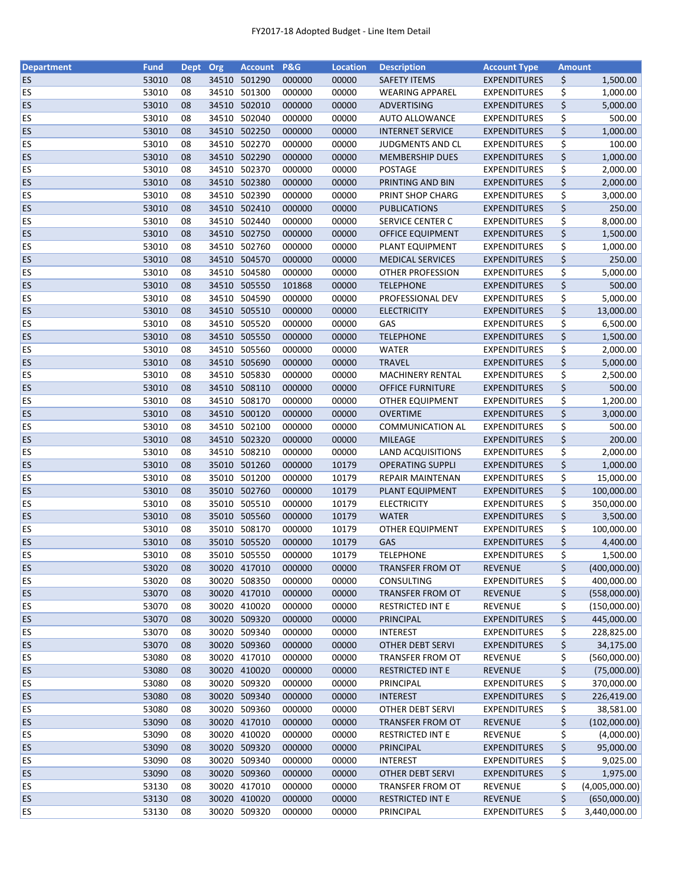| <b>Department</b> | <b>Fund</b> | Dept Org |       | <b>Account</b> | <b>P&amp;G</b> | <b>Location</b> | <b>Description</b>       | <b>Account Type</b> | <b>Amount</b> |                |
|-------------------|-------------|----------|-------|----------------|----------------|-----------------|--------------------------|---------------------|---------------|----------------|
| <b>ES</b>         | 53010       | 08       |       | 34510 501290   | 000000         | 00000           | <b>SAFETY ITEMS</b>      | <b>EXPENDITURES</b> | \$            | 1,500.00       |
| ES                | 53010       | 08       | 34510 | 501300         | 000000         | 00000           | <b>WEARING APPAREL</b>   | <b>EXPENDITURES</b> | \$            | 1,000.00       |
| <b>ES</b>         | 53010       | 08       | 34510 | 502010         | 000000         | 00000           | ADVERTISING              | <b>EXPENDITURES</b> | \$            | 5,000.00       |
| ES                | 53010       | 08       |       | 34510 502040   | 000000         | 00000           | <b>AUTO ALLOWANCE</b>    | <b>EXPENDITURES</b> | \$            | 500.00         |
| <b>ES</b>         | 53010       | 08       |       | 34510 502250   | 000000         | 00000           | <b>INTERNET SERVICE</b>  | <b>EXPENDITURES</b> | \$            | 1,000.00       |
| ES                | 53010       | 08       |       | 34510 502270   | 000000         | 00000           | JUDGMENTS AND CL         | <b>EXPENDITURES</b> | \$            | 100.00         |
| ES                | 53010       | 08       |       | 34510 502290   | 000000         | 00000           | <b>MEMBERSHIP DUES</b>   | <b>EXPENDITURES</b> | \$            | 1,000.00       |
| ES                | 53010       | 08       | 34510 | 502370         | 000000         | 00000           | POSTAGE                  | <b>EXPENDITURES</b> | \$            | 2,000.00       |
| <b>ES</b>         | 53010       | 08       |       | 34510 502380   | 000000         | 00000           | PRINTING AND BIN         | <b>EXPENDITURES</b> | \$            | 2,000.00       |
| <b>ES</b>         | 53010       | 08       |       | 34510 502390   | 000000         | 00000           | PRINT SHOP CHARG         | <b>EXPENDITURES</b> | \$            | 3,000.00       |
| <b>ES</b>         | 53010       | 08       |       | 34510 502410   | 000000         | 00000           | <b>PUBLICATIONS</b>      | <b>EXPENDITURES</b> | \$            | 250.00         |
| ES                | 53010       | 08       |       | 34510 502440   | 000000         | 00000           | SERVICE CENTER C         | <b>EXPENDITURES</b> | \$            | 8,000.00       |
| <b>ES</b>         | 53010       | 08       |       | 34510 502750   | 000000         | 00000           | <b>OFFICE EQUIPMENT</b>  | <b>EXPENDITURES</b> | \$            | 1,500.00       |
| ES                | 53010       | 08       | 34510 | 502760         | 000000         | 00000           | PLANT EQUIPMENT          | <b>EXPENDITURES</b> | \$            | 1,000.00       |
| <b>ES</b>         | 53010       | 08       | 34510 | 504570         | 000000         | 00000           | <b>MEDICAL SERVICES</b>  | <b>EXPENDITURES</b> | \$            | 250.00         |
| ES                | 53010       | 08       | 34510 | 504580         | 000000         | 00000           | <b>OTHER PROFESSION</b>  | <b>EXPENDITURES</b> | \$            | 5,000.00       |
| <b>ES</b>         | 53010       | 08       |       | 34510 505550   | 101868         | 00000           | <b>TELEPHONE</b>         | <b>EXPENDITURES</b> | \$            | 500.00         |
| ES                | 53010       | 08       |       | 34510 504590   | 000000         | 00000           | PROFESSIONAL DEV         | <b>EXPENDITURES</b> | \$            | 5,000.00       |
| <b>ES</b>         | 53010       | 08       |       | 34510 505510   | 000000         | 00000           | <b>ELECTRICITY</b>       | <b>EXPENDITURES</b> | \$            | 13,000.00      |
| ES                | 53010       | 08       |       | 34510 505520   | 000000         | 00000           | GAS                      | <b>EXPENDITURES</b> | \$            | 6,500.00       |
|                   |             |          |       | 34510 505550   |                |                 |                          |                     |               |                |
| <b>ES</b>         | 53010       | 08       |       |                | 000000         | 00000           | <b>TELEPHONE</b>         | <b>EXPENDITURES</b> | \$            | 1,500.00       |
| <b>ES</b>         | 53010       | 08       |       | 34510 505560   | 000000         | 00000           | <b>WATER</b>             | <b>EXPENDITURES</b> | \$            | 2,000.00       |
| <b>ES</b>         | 53010       | 08       |       | 34510 505690   | 000000         | 00000           | <b>TRAVEL</b>            | <b>EXPENDITURES</b> | \$            | 5,000.00       |
| ES                | 53010       | 08       |       | 34510 505830   | 000000         | 00000           | <b>MACHINERY RENTAL</b>  | <b>EXPENDITURES</b> | \$            | 2,500.00       |
| <b>ES</b>         | 53010       | 08       |       | 34510 508110   | 000000         | 00000           | <b>OFFICE FURNITURE</b>  | <b>EXPENDITURES</b> | \$            | 500.00         |
| <b>ES</b>         | 53010       | 08       | 34510 | 508170         | 000000         | 00000           | <b>OTHER EQUIPMENT</b>   | <b>EXPENDITURES</b> | \$            | 1,200.00       |
| <b>ES</b>         | 53010       | 08       | 34510 | 500120         | 000000         | 00000           | <b>OVERTIME</b>          | <b>EXPENDITURES</b> | \$            | 3,000.00       |
| ES                | 53010       | 08       | 34510 | 502100         | 000000         | 00000           | <b>COMMUNICATION AL</b>  | <b>EXPENDITURES</b> | \$            | 500.00         |
| <b>ES</b>         | 53010       | 08       |       | 34510 502320   | 000000         | 00000           | <b>MILEAGE</b>           | <b>EXPENDITURES</b> | \$            | 200.00         |
| <b>ES</b>         | 53010       | 08       |       | 34510 508210   | 000000         | 00000           | <b>LAND ACQUISITIONS</b> | <b>EXPENDITURES</b> | \$            | 2,000.00       |
| <b>ES</b>         | 53010       | 08       |       | 35010 501260   | 000000         | 10179           | <b>OPERATING SUPPLI</b>  | <b>EXPENDITURES</b> | \$            | 1,000.00       |
| <b>ES</b>         | 53010       | 08       |       | 35010 501200   | 000000         | 10179           | <b>REPAIR MAINTENAN</b>  | <b>EXPENDITURES</b> | \$            | 15,000.00      |
| <b>ES</b>         | 53010       | 08       |       | 35010 502760   | 000000         | 10179           | PLANT EQUIPMENT          | <b>EXPENDITURES</b> | \$            | 100,000.00     |
| ES                | 53010       | 08       |       | 35010 505510   | 000000         | 10179           | <b>ELECTRICITY</b>       | <b>EXPENDITURES</b> | \$            | 350,000.00     |
| <b>ES</b>         | 53010       | 08       |       | 35010 505560   | 000000         | 10179           | <b>WATER</b>             | <b>EXPENDITURES</b> | \$            | 3,500.00       |
| <b>ES</b>         | 53010       | 08       |       | 35010 508170   | 000000         | 10179           | <b>OTHER EQUIPMENT</b>   | <b>EXPENDITURES</b> | \$            | 100,000.00     |
| ES                | 53010       | 08       |       | 35010 505520   | 000000         | 10179           | GAS                      | <b>EXPENDITURES</b> | \$            | 4,400.00       |
| ES                | 53010       | 08       |       | 35010 505550   | 000000         | 10179           | <b>TELEPHONE</b>         | <b>EXPENDITURES</b> | \$            | 1,500.00       |
| <b>ES</b>         | 53020       | 08       |       | 30020 417010   | 000000         | 00000           | TRANSFER FROM OT         | <b>REVENUE</b>      | \$            | (400,000.00)   |
| ES                | 53020       | 08       | 30020 | 508350         | 000000         | 00000           | CONSULTING               | <b>EXPENDITURES</b> | \$            | 400,000.00     |
| <b>ES</b>         | 53070       | 08       |       | 30020 417010   | 000000         | 00000           | <b>TRANSFER FROM OT</b>  | <b>REVENUE</b>      | \$            | (558,000.00)   |
| <b>ES</b>         | 53070       | 08       |       | 30020 410020   | 000000         | 00000           | <b>RESTRICTED INT E</b>  | <b>REVENUE</b>      | \$            | (150,000.00)   |
| <b>ES</b>         | 53070       | 08       |       | 30020 509320   | 000000         | 00000           | <b>PRINCIPAL</b>         | <b>EXPENDITURES</b> | \$            | 445,000.00     |
| ES                | 53070       | 08       |       | 30020 509340   | 000000         | 00000           | <b>INTEREST</b>          | <b>EXPENDITURES</b> | \$            | 228,825.00     |
| <b>ES</b>         | 53070       | 08       |       | 30020 509360   | 000000         | 00000           | OTHER DEBT SERVI         | <b>EXPENDITURES</b> | \$            | 34,175.00      |
| ES                | 53080       | 08       |       | 30020 417010   | 000000         | 00000           | TRANSFER FROM OT         | <b>REVENUE</b>      | \$            | (560,000.00)   |
| <b>ES</b>         | 53080       | 08       |       | 30020 410020   | 000000         | 00000           | <b>RESTRICTED INT E</b>  | REVENUE             | \$            | (75,000.00)    |
| <b>ES</b>         | 53080       | 08       |       | 30020 509320   | 000000         | 00000           | PRINCIPAL                | <b>EXPENDITURES</b> | \$            | 370,000.00     |
| <b>ES</b>         | 53080       | 08       |       | 30020 509340   | 000000         | 00000           | <b>INTEREST</b>          | <b>EXPENDITURES</b> | \$            | 226,419.00     |
| <b>ES</b>         | 53080       | 08       |       | 30020 509360   | 000000         | 00000           | <b>OTHER DEBT SERVI</b>  | <b>EXPENDITURES</b> | \$            | 38,581.00      |
| <b>ES</b>         | 53090       | 08       |       | 30020 417010   | 000000         | 00000           | <b>TRANSFER FROM OT</b>  | <b>REVENUE</b>      | \$            | (102,000.00)   |
| <b>ES</b>         | 53090       | 08       |       | 30020 410020   | 000000         | 00000           | <b>RESTRICTED INT E</b>  | <b>REVENUE</b>      | \$            | (4,000.00)     |
| <b>ES</b>         | 53090       | 08       |       | 30020 509320   | 000000         | 00000           |                          |                     |               |                |
|                   |             |          |       |                |                |                 | PRINCIPAL                | <b>EXPENDITURES</b> | \$            | 95,000.00      |
| <b>ES</b>         | 53090       | 08       |       | 30020 509340   | 000000         | 00000           | <b>INTEREST</b>          | <b>EXPENDITURES</b> | \$            | 9,025.00       |
| <b>ES</b>         | 53090       | 08       |       | 30020 509360   | 000000         | 00000           | <b>OTHER DEBT SERVI</b>  | <b>EXPENDITURES</b> | \$            | 1,975.00       |
| <b>ES</b>         | 53130       | 08       |       | 30020 417010   | 000000         | 00000           | TRANSFER FROM OT         | <b>REVENUE</b>      | \$            | (4,005,000.00) |
| <b>ES</b>         | 53130       | 08       |       | 30020 410020   | 000000         | 00000           | <b>RESTRICTED INT E</b>  | <b>REVENUE</b>      | \$            | (650,000.00)   |
| <b>ES</b>         | 53130       | 08       |       | 30020 509320   | 000000         | 00000           | PRINCIPAL                | <b>EXPENDITURES</b> | \$            | 3,440,000.00   |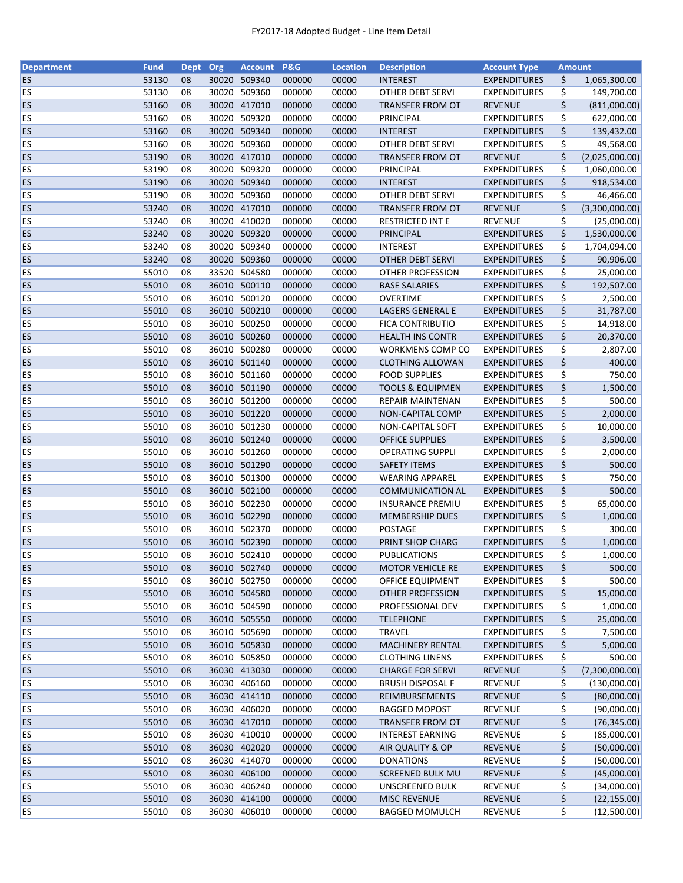| <b>Department</b> | <b>Fund</b> | <b>Dept</b> | Org   | Account P&G  |        | <b>Location</b> | <b>Description</b>          | <b>Account Type</b> | <b>Amount</b> |                |
|-------------------|-------------|-------------|-------|--------------|--------|-----------------|-----------------------------|---------------------|---------------|----------------|
| <b>ES</b>         | 53130       | 08          |       | 30020 509340 | 000000 | 00000           | <b>INTEREST</b>             | <b>EXPENDITURES</b> | \$            | 1,065,300.00   |
| <b>ES</b>         | 53130       | 08          |       | 30020 509360 | 000000 | 00000           | <b>OTHER DEBT SERVI</b>     | <b>EXPENDITURES</b> | \$            | 149,700.00     |
| <b>ES</b>         | 53160       | 08          | 30020 | 417010       | 000000 | 00000           | <b>TRANSFER FROM OT</b>     | <b>REVENUE</b>      | \$            | (811,000.00)   |
| ES                | 53160       | 08          | 30020 | 509320       | 000000 | 00000           | PRINCIPAL                   | <b>EXPENDITURES</b> | \$            | 622,000.00     |
| <b>ES</b>         | 53160       | 08          |       | 30020 509340 | 000000 | 00000           | <b>INTEREST</b>             | <b>EXPENDITURES</b> | \$            | 139,432.00     |
| ES                | 53160       | 08          |       | 30020 509360 | 000000 | 00000           | <b>OTHER DEBT SERVI</b>     | <b>EXPENDITURES</b> | \$            | 49,568.00      |
| <b>ES</b>         | 53190       | 08          |       | 30020 417010 | 000000 | 00000           | <b>TRANSFER FROM OT</b>     | <b>REVENUE</b>      | \$            | (2,025,000.00) |
| ES                | 53190       | 08          |       | 30020 509320 | 000000 | 00000           | PRINCIPAL                   | <b>EXPENDITURES</b> | \$            | 1,060,000.00   |
| <b>ES</b>         | 53190       | 08          |       | 30020 509340 | 000000 | 00000           | <b>INTEREST</b>             | <b>EXPENDITURES</b> | \$            | 918,534.00     |
| <b>ES</b>         | 53190       | 08          | 30020 | 509360       | 000000 | 00000           | <b>OTHER DEBT SERVI</b>     | <b>EXPENDITURES</b> | \$            | 46,466.00      |
| ES                | 53240       | 08          |       | 30020 417010 | 000000 | 00000           | TRANSFER FROM OT            | <b>REVENUE</b>      | \$            | (3,300,000.00) |
| ES                | 53240       | 08          |       | 30020 410020 | 000000 | 00000           | <b>RESTRICTED INT E</b>     | <b>REVENUE</b>      | \$            | (25,000.00)    |
| ES                | 53240       | 08          |       | 30020 509320 | 000000 | 00000           | PRINCIPAL                   | <b>EXPENDITURES</b> | \$            | 1,530,000.00   |
| ES                | 53240       | 08          |       | 30020 509340 | 000000 | 00000           | <b>INTEREST</b>             | <b>EXPENDITURES</b> | \$            | 1,704,094.00   |
| <b>ES</b>         | 53240       | 08          | 30020 | 509360       | 000000 | 00000           | <b>OTHER DEBT SERVI</b>     | <b>EXPENDITURES</b> | \$            | 90,906.00      |
| ES                | 55010       | 08          | 33520 | 504580       | 000000 | 00000           | <b>OTHER PROFESSION</b>     | <b>EXPENDITURES</b> | \$            | 25,000.00      |
| <b>ES</b>         | 55010       | 08          |       | 36010 500110 | 000000 | 00000           | <b>BASE SALARIES</b>        | <b>EXPENDITURES</b> | \$            | 192,507.00     |
| ES                | 55010       | 08          |       | 36010 500120 | 000000 | 00000           | <b>OVERTIME</b>             | <b>EXPENDITURES</b> | \$            | 2,500.00       |
| ES                | 55010       | 08          |       | 36010 500210 | 000000 | 00000           | LAGERS GENERAL E            | <b>EXPENDITURES</b> | \$            | 31,787.00      |
| <b>ES</b>         | 55010       | 08          |       | 36010 500250 | 000000 | 00000           | <b>FICA CONTRIBUTIO</b>     | <b>EXPENDITURES</b> | \$            |                |
|                   |             |             |       |              |        |                 |                             |                     |               | 14,918.00      |
| <b>ES</b>         | 55010       | 08          |       | 36010 500260 | 000000 | 00000           | <b>HEALTH INS CONTR</b>     | <b>EXPENDITURES</b> | \$            | 20,370.00      |
| ES                | 55010       | 08          |       | 36010 500280 | 000000 | 00000           | <b>WORKMENS COMP CO</b>     | <b>EXPENDITURES</b> | \$            | 2,807.00       |
| <b>ES</b>         | 55010       | 08          |       | 36010 501140 | 000000 | 00000           | <b>CLOTHING ALLOWAN</b>     | <b>EXPENDITURES</b> | \$            | 400.00         |
| ES                | 55010       | 08          |       | 36010 501160 | 000000 | 00000           | <b>FOOD SUPPLIES</b>        | <b>EXPENDITURES</b> | \$            | 750.00         |
| ES                | 55010       | 08          |       | 36010 501190 | 000000 | 00000           | <b>TOOLS &amp; EQUIPMEN</b> | <b>EXPENDITURES</b> | \$            | 1,500.00       |
| ES                | 55010       | 08          |       | 36010 501200 | 000000 | 00000           | REPAIR MAINTENAN            | <b>EXPENDITURES</b> | \$            | 500.00         |
| <b>ES</b>         | 55010       | 08          |       | 36010 501220 | 000000 | 00000           | NON-CAPITAL COMP            | <b>EXPENDITURES</b> | \$            | 2,000.00       |
| ES                | 55010       | 08          | 36010 | 501230       | 000000 | 00000           | NON-CAPITAL SOFT            | <b>EXPENDITURES</b> | \$            | 10,000.00      |
| <b>ES</b>         | 55010       | 08          | 36010 | 501240       | 000000 | 00000           | <b>OFFICE SUPPLIES</b>      | <b>EXPENDITURES</b> | \$            | 3,500.00       |
| ES                | 55010       | 08          |       | 36010 501260 | 000000 | 00000           | <b>OPERATING SUPPLI</b>     | <b>EXPENDITURES</b> | \$            | 2,000.00       |
| <b>ES</b>         | 55010       | 08          |       | 36010 501290 | 000000 | 00000           | <b>SAFETY ITEMS</b>         | <b>EXPENDITURES</b> | \$            | 500.00         |
| ES                | 55010       | 08          |       | 36010 501300 | 000000 | 00000           | <b>WEARING APPAREL</b>      | <b>EXPENDITURES</b> | \$            | 750.00         |
| <b>ES</b>         | 55010       | 08          |       | 36010 502100 | 000000 | 00000           | <b>COMMUNICATION AL</b>     | <b>EXPENDITURES</b> | \$            | 500.00         |
| ES                | 55010       | 08          |       | 36010 502230 | 000000 | 00000           | <b>INSURANCE PREMIU</b>     | <b>EXPENDITURES</b> | \$            | 65,000.00      |
| <b>ES</b>         | 55010       | 08          |       | 36010 502290 | 000000 | 00000           | <b>MEMBERSHIP DUES</b>      | <b>EXPENDITURES</b> | \$            | 1,000.00       |
| ES                | 55010       | 08          |       | 36010 502370 | 000000 | 00000           | POSTAGE                     | <b>EXPENDITURES</b> | \$            | 300.00         |
| <b>ES</b>         | 55010       | 08          |       | 36010 502390 | 000000 | 00000           | PRINT SHOP CHARG            | <b>EXPENDITURES</b> | \$            | 1,000.00       |
| ES                | 55010       | 08          |       | 36010 502410 | 000000 | 00000           | <b>PUBLICATIONS</b>         | <b>EXPENDITURES</b> | \$            | 1,000.00       |
| ES.               | 55010       | 08          |       | 36010 502740 | 000000 | 00000           | <b>MOTOR VEHICLE RE</b>     | <b>EXPENDITURES</b> | \$            | 500.00         |
| <b>ES</b>         | 55010       | 08          |       | 36010 502750 | 000000 | 00000           | OFFICE EQUIPMENT            | <b>EXPENDITURES</b> | \$            | 500.00         |
| <b>ES</b>         | 55010       | 08          |       | 36010 504580 | 000000 | 00000           | OTHER PROFESSION            | <b>EXPENDITURES</b> | \$            | 15,000.00      |
| <b>ES</b>         | 55010       | 08          |       | 36010 504590 | 000000 | 00000           | PROFESSIONAL DEV            | <b>EXPENDITURES</b> | \$            | 1,000.00       |
| <b>ES</b>         | 55010       | 08          |       | 36010 505550 | 000000 | 00000           | <b>TELEPHONE</b>            | <b>EXPENDITURES</b> | \$            | 25,000.00      |
| ES                | 55010       | 08          |       | 36010 505690 | 000000 | 00000           | TRAVEL                      | <b>EXPENDITURES</b> | \$            | 7,500.00       |
| <b>ES</b>         | 55010       | 08          |       | 36010 505830 | 000000 | 00000           | <b>MACHINERY RENTAL</b>     | <b>EXPENDITURES</b> | \$            | 5,000.00       |
| ES                | 55010       | 08          |       | 36010 505850 | 000000 | 00000           | <b>CLOTHING LINENS</b>      | <b>EXPENDITURES</b> | \$            | 500.00         |
| <b>ES</b>         | 55010       | 08          |       | 36030 413030 | 000000 | 00000           | <b>CHARGE FOR SERVI</b>     | <b>REVENUE</b>      | \$            | (7,300,000.00) |
| <b>ES</b>         | 55010       | 08          |       | 36030 406160 | 000000 | 00000           | <b>BRUSH DISPOSAL F</b>     | REVENUE             | \$            | (130,000.00)   |
| <b>ES</b>         | 55010       | 08          |       | 36030 414110 | 000000 | 00000           | REIMBURSEMENTS              | REVENUE             | \$            | (80,000.00)    |
| <b>ES</b>         | 55010       | 08          |       | 36030 406020 | 000000 | 00000           | <b>BAGGED MOPOST</b>        | REVENUE             | \$            | (90,000.00)    |
| <b>ES</b>         | 55010       | 08          |       | 36030 417010 | 000000 | 00000           | <b>TRANSFER FROM OT</b>     | <b>REVENUE</b>      | \$            | (76, 345.00)   |
| <b>ES</b>         | 55010       | 08          |       | 36030 410010 | 000000 | 00000           | <b>INTEREST EARNING</b>     | REVENUE             | \$            | (85,000.00)    |
| <b>ES</b>         | 55010       | 08          |       | 36030 402020 | 000000 | 00000           | AIR QUALITY & OP            | <b>REVENUE</b>      | \$            | (50,000.00)    |
| <b>ES</b>         | 55010       | 08          | 36030 | 414070       | 000000 | 00000           | <b>DONATIONS</b>            | REVENUE             | \$            | (50,000.00)    |
| <b>ES</b>         | 55010       | 08          |       | 36030 406100 | 000000 | 00000           | <b>SCREENED BULK MU</b>     | REVENUE             | \$            | (45,000.00)    |
| <b>ES</b>         | 55010       | 08          |       | 36030 406240 | 000000 | 00000           | UNSCREENED BULK             | REVENUE             | \$            | (34,000.00)    |
| <b>ES</b>         | 55010       | 08          |       | 36030 414100 | 000000 | 00000           | <b>MISC REVENUE</b>         | <b>REVENUE</b>      | \$            | (22, 155.00)   |
| <b>ES</b>         | 55010       | 08          |       | 36030 406010 | 000000 | 00000           | <b>BAGGED MOMULCH</b>       | REVENUE             | \$            | (12,500.00)    |
|                   |             |             |       |              |        |                 |                             |                     |               |                |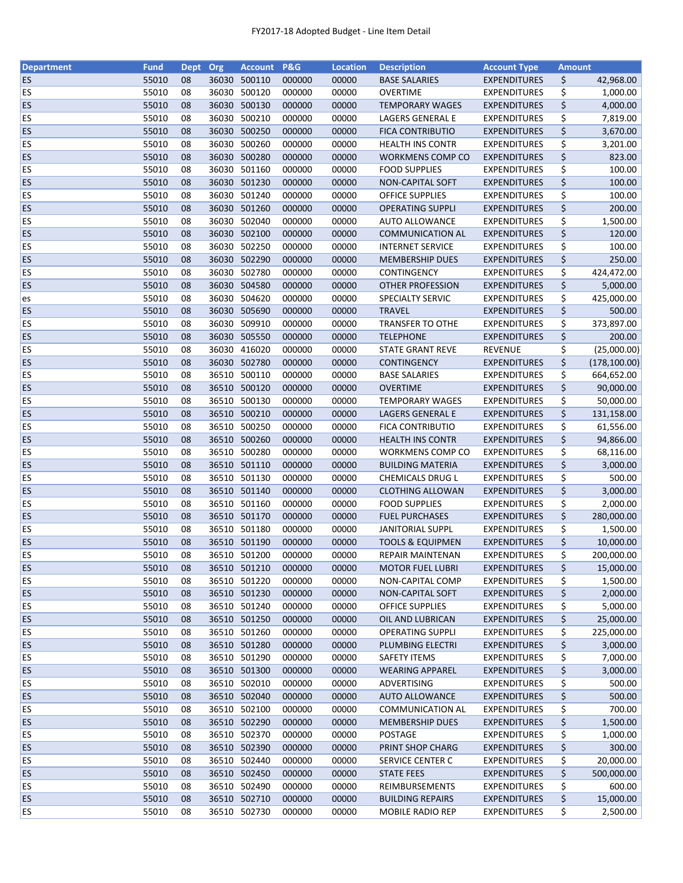| <b>Department</b> | <b>Fund</b> | Dept Org |       | <b>Account</b>         | P&G    | <b>Location</b> | <b>Description</b>          | <b>Account Type</b> | <b>Amount</b> |               |
|-------------------|-------------|----------|-------|------------------------|--------|-----------------|-----------------------------|---------------------|---------------|---------------|
| <b>ES</b>         | 55010       | 08       | 36030 | 500110                 | 000000 | 00000           | <b>BASE SALARIES</b>        | <b>EXPENDITURES</b> | \$            | 42,968.00     |
| ES                | 55010       | 08       | 36030 | 500120                 | 000000 | 00000           | <b>OVERTIME</b>             | <b>EXPENDITURES</b> | \$            | 1,000.00      |
| ES                | 55010       | 08       |       | 36030 500130           | 000000 | 00000           | <b>TEMPORARY WAGES</b>      | <b>EXPENDITURES</b> | \$            | 4,000.00      |
| <b>ES</b>         | 55010       | 08       | 36030 | 500210                 | 000000 | 00000           | LAGERS GENERAL E            | <b>EXPENDITURES</b> | \$            | 7,819.00      |
| ES                | 55010       | 08       |       | 36030 500250           | 000000 | 00000           | <b>FICA CONTRIBUTIO</b>     | <b>EXPENDITURES</b> | \$            | 3,670.00      |
| <b>ES</b>         | 55010       | 08       |       | 36030 500260           | 000000 | 00000           | <b>HEALTH INS CONTR</b>     | <b>EXPENDITURES</b> | \$            | 3,201.00      |
| <b>ES</b>         | 55010       | 08       |       | 36030 500280           | 000000 | 00000           | WORKMENS COMP CO            | <b>EXPENDITURES</b> | \$            | 823.00        |
| ES                | 55010       | 08       | 36030 | 501160                 | 000000 | 00000           | <b>FOOD SUPPLIES</b>        | <b>EXPENDITURES</b> | \$            | 100.00        |
| <b>ES</b>         | 55010       | 08       |       | 36030 501230           | 000000 | 00000           | NON-CAPITAL SOFT            | <b>EXPENDITURES</b> | \$            | 100.00        |
| <b>ES</b>         | 55010       | 08       |       | 36030 501240           | 000000 | 00000           | <b>OFFICE SUPPLIES</b>      | <b>EXPENDITURES</b> | \$            | 100.00        |
|                   |             |          |       |                        | 000000 |                 |                             |                     | \$            |               |
| ES                | 55010       | 08       |       | 36030 501260<br>502040 |        | 00000           | <b>OPERATING SUPPLI</b>     | <b>EXPENDITURES</b> |               | 200.00        |
| ES                | 55010       | 08       | 36030 |                        | 000000 | 00000           | <b>AUTO ALLOWANCE</b>       | <b>EXPENDITURES</b> | \$            | 1,500.00      |
| <b>ES</b>         | 55010       | 08       | 36030 | 502100                 | 000000 | 00000           | <b>COMMUNICATION AL</b>     | <b>EXPENDITURES</b> | \$            | 120.00        |
| ES                | 55010       | 08       | 36030 | 502250                 | 000000 | 00000           | <b>INTERNET SERVICE</b>     | <b>EXPENDITURES</b> | \$            | 100.00        |
| ES                | 55010       | 08       | 36030 | 502290                 | 000000 | 00000           | <b>MEMBERSHIP DUES</b>      | <b>EXPENDITURES</b> | \$            | 250.00        |
| <b>ES</b>         | 55010       | 08       |       | 36030 502780           | 000000 | 00000           | CONTINGENCY                 | <b>EXPENDITURES</b> | \$            | 424,472.00    |
| ES                | 55010       | 08       |       | 36030 504580           | 000000 | 00000           | <b>OTHER PROFESSION</b>     | <b>EXPENDITURES</b> | \$            | 5,000.00      |
| es                | 55010       | 08       |       | 36030 504620           | 000000 | 00000           | SPECIALTY SERVIC            | <b>EXPENDITURES</b> | \$            | 425,000.00    |
| <b>ES</b>         | 55010       | 08       |       | 36030 505690           | 000000 | 00000           | <b>TRAVEL</b>               | <b>EXPENDITURES</b> | \$            | 500.00        |
| ES                | 55010       | 08       | 36030 | 509910                 | 000000 | 00000           | <b>TRANSFER TO OTHE</b>     | <b>EXPENDITURES</b> | \$            | 373,897.00    |
| <b>ES</b>         | 55010       | 08       |       | 36030 505550           | 000000 | 00000           | <b>TELEPHONE</b>            | <b>EXPENDITURES</b> | \$            | 200.00        |
| <b>ES</b>         | 55010       | 08       |       | 36030 416020           | 000000 | 00000           | <b>STATE GRANT REVE</b>     | <b>REVENUE</b>      | \$            | (25,000.00)   |
| <b>ES</b>         | 55010       | 08       |       | 36030 502780           | 000000 | 00000           | <b>CONTINGENCY</b>          | <b>EXPENDITURES</b> | \$            | (178, 100.00) |
| ES                | 55010       | 08       |       | 36510 500110           | 000000 | 00000           | <b>BASE SALARIES</b>        | <b>EXPENDITURES</b> | \$            | 664,652.00    |
| ES                | 55010       | 08       | 36510 | 500120                 | 000000 | 00000           | <b>OVERTIME</b>             | <b>EXPENDITURES</b> | \$            | 90,000.00     |
| <b>ES</b>         | 55010       | 08       | 36510 | 500130                 | 000000 | 00000           | <b>TEMPORARY WAGES</b>      | <b>EXPENDITURES</b> | \$            | 50,000.00     |
| ES                | 55010       | 08       | 36510 | 500210                 | 000000 | 00000           | <b>LAGERS GENERAL E</b>     | <b>EXPENDITURES</b> | \$            |               |
|                   |             |          |       |                        |        |                 |                             |                     |               | 131,158.00    |
| ES                | 55010       | 08       |       | 36510 500250           | 000000 | 00000           | FICA CONTRIBUTIO            | <b>EXPENDITURES</b> | \$            | 61,556.00     |
| <b>ES</b>         | 55010       | 08       |       | 36510 500260           | 000000 | 00000           | <b>HEALTH INS CONTR</b>     | <b>EXPENDITURES</b> | \$            | 94,866.00     |
| ES                | 55010       | 08       | 36510 | 500280                 | 000000 | 00000           | WORKMENS COMP CO            | <b>EXPENDITURES</b> | \$            | 68,116.00     |
| <b>ES</b>         | 55010       | 08       |       | 36510 501110           | 000000 | 00000           | <b>BUILDING MATERIA</b>     | <b>EXPENDITURES</b> | \$            | 3,000.00      |
| <b>ES</b>         | 55010       | 08       |       | 36510 501130           | 000000 | 00000           | <b>CHEMICALS DRUG L</b>     | <b>EXPENDITURES</b> | \$            | 500.00        |
| <b>ES</b>         | 55010       | 08       |       | 36510 501140           | 000000 | 00000           | <b>CLOTHING ALLOWAN</b>     | <b>EXPENDITURES</b> | \$            | 3,000.00      |
| <b>ES</b>         | 55010       | 08       |       | 36510 501160           | 000000 | 00000           | <b>FOOD SUPPLIES</b>        | <b>EXPENDITURES</b> | \$            | 2,000.00      |
| <b>ES</b>         | 55010       | 08       |       | 36510 501170           | 000000 | 00000           | <b>FUEL PURCHASES</b>       | <b>EXPENDITURES</b> | \$            | 280,000.00    |
| ES                | 55010       | 08       |       | 36510 501180           | 000000 | 00000           | <b>JANITORIAL SUPPL</b>     | <b>EXPENDITURES</b> | \$            | 1,500.00      |
| <b>ES</b>         | 55010       | 08       |       | 36510 501190           | 000000 | 00000           | <b>TOOLS &amp; EQUIPMEN</b> | <b>EXPENDITURES</b> | \$            | 10,000.00     |
| <b>ES</b>         | 55010       | 08       |       | 36510 501200           | 000000 | 00000           | <b>REPAIR MAINTENAN</b>     | <b>EXPENDITURES</b> | \$            | 200,000.00    |
| <b>ES</b>         | 55010       | 08       |       | 36510 501210           | 000000 | 00000           | <b>MOTOR FUEL LUBRI</b>     | <b>EXPENDITURES</b> | \$            | 15,000.00     |
| <b>ES</b>         | 55010       | 08       |       | 36510 501220           | 000000 | 00000           | NON-CAPITAL COMP            | <b>EXPENDITURES</b> | \$            | 1,500.00      |
| <b>ES</b>         | 55010       | 08       |       | 36510 501230           | 000000 | 00000           | <b>NON-CAPITAL SOFT</b>     | <b>EXPENDITURES</b> | \$            | 2,000.00      |
| ES                | 55010       | 08       |       | 36510 501240           | 000000 | 00000           | <b>OFFICE SUPPLIES</b>      | <b>EXPENDITURES</b> | \$            | 5,000.00      |
| <b>ES</b>         | 55010       | 08       |       | 36510 501250           | 000000 | 00000           | OIL AND LUBRICAN            | <b>EXPENDITURES</b> | \$            | 25,000.00     |
| <b>ES</b>         | 55010       | 08       |       | 36510 501260           | 000000 | 00000           | <b>OPERATING SUPPLI</b>     | <b>EXPENDITURES</b> | \$            | 225,000.00    |
| <b>ES</b>         | 55010       | 08       |       | 36510 501280           | 000000 | 00000           | PLUMBING ELECTRI            | <b>EXPENDITURES</b> | \$            | 3,000.00      |
| <b>ES</b>         | 55010       | 08       |       | 36510 501290           | 000000 | 00000           | <b>SAFETY ITEMS</b>         | <b>EXPENDITURES</b> | \$            | 7,000.00      |
| <b>ES</b>         | 55010       | 08       |       | 36510 501300           | 000000 | 00000           | <b>WEARING APPAREL</b>      | <b>EXPENDITURES</b> | \$            | 3,000.00      |
|                   |             |          |       |                        |        |                 |                             |                     |               |               |
| ES                | 55010       | 08       |       | 36510 502010           | 000000 | 00000           | ADVERTISING                 | <b>EXPENDITURES</b> | \$            | 500.00        |
| <b>ES</b>         | 55010       | 08       |       | 36510 502040           | 000000 | 00000           | <b>AUTO ALLOWANCE</b>       | <b>EXPENDITURES</b> | \$            | 500.00        |
| <b>ES</b>         | 55010       | 08       |       | 36510 502100           | 000000 | 00000           | <b>COMMUNICATION AL</b>     | <b>EXPENDITURES</b> | \$            | 700.00        |
| <b>ES</b>         | 55010       | 08       |       | 36510 502290           | 000000 | 00000           | <b>MEMBERSHIP DUES</b>      | <b>EXPENDITURES</b> | \$            | 1,500.00      |
| <b>ES</b>         | 55010       | 08       |       | 36510 502370           | 000000 | 00000           | POSTAGE                     | <b>EXPENDITURES</b> | \$            | 1,000.00      |
| <b>ES</b>         | 55010       | 08       |       | 36510 502390           | 000000 | 00000           | PRINT SHOP CHARG            | <b>EXPENDITURES</b> | \$            | 300.00        |
| <b>ES</b>         | 55010       | 08       |       | 36510 502440           | 000000 | 00000           | SERVICE CENTER C            | <b>EXPENDITURES</b> | \$            | 20,000.00     |
| <b>ES</b>         | 55010       | 08       |       | 36510 502450           | 000000 | 00000           | <b>STATE FEES</b>           | <b>EXPENDITURES</b> | \$            | 500,000.00    |
| <b>ES</b>         | 55010       | 08       |       | 36510 502490           | 000000 | 00000           | REIMBURSEMENTS              | <b>EXPENDITURES</b> | \$            | 600.00        |
| <b>ES</b>         | 55010       | 08       |       | 36510 502710           | 000000 | 00000           | <b>BUILDING REPAIRS</b>     | <b>EXPENDITURES</b> | \$            | 15,000.00     |
| <b>ES</b>         | 55010       | 08       |       | 36510 502730           | 000000 | 00000           | <b>MOBILE RADIO REP</b>     | <b>EXPENDITURES</b> | \$            | 2,500.00      |
|                   |             |          |       |                        |        |                 |                             |                     |               |               |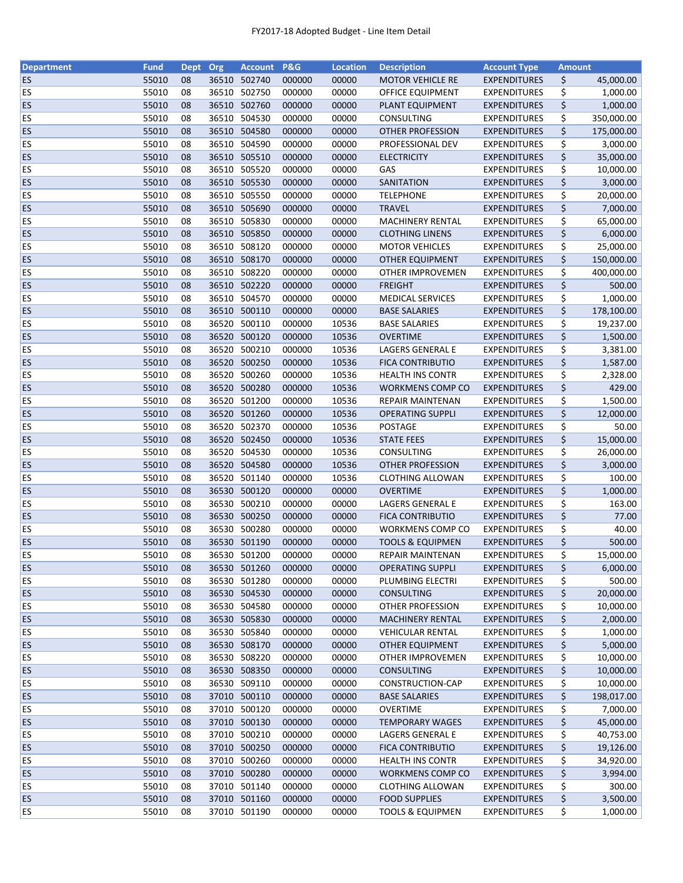| <b>Department</b> | <b>Fund</b> | <b>Dept</b> | Org   | <b>Account</b> | <b>P&amp;G</b> | <b>Location</b> | <b>Description</b>          | <b>Account Type</b> | <b>Amount</b> |            |
|-------------------|-------------|-------------|-------|----------------|----------------|-----------------|-----------------------------|---------------------|---------------|------------|
| ES                | 55010       | 08          |       | 36510 502740   | 000000         | 00000           | <b>MOTOR VEHICLE RE</b>     | <b>EXPENDITURES</b> | \$            | 45,000.00  |
| ES                | 55010       | 08          | 36510 | 502750         | 000000         | 00000           | OFFICE EQUIPMENT            | <b>EXPENDITURES</b> | \$            | 1,000.00   |
| <b>ES</b>         | 55010       | 08          | 36510 | 502760         | 000000         | 00000           | PLANT EQUIPMENT             | <b>EXPENDITURES</b> | \$            | 1,000.00   |
| ES                | 55010       | 08          |       | 36510 504530   | 000000         | 00000           | CONSULTING                  | <b>EXPENDITURES</b> | \$            | 350,000.00 |
| ES                | 55010       | 08          |       | 36510 504580   | 000000         | 00000           | <b>OTHER PROFESSION</b>     | <b>EXPENDITURES</b> | \$            | 175,000.00 |
| ES                | 55010       | 08          |       | 36510 504590   | 000000         | 00000           | PROFESSIONAL DEV            | <b>EXPENDITURES</b> | \$            | 3,000.00   |
| <b>ES</b>         | 55010       | 08          |       | 36510 505510   | 000000         | 00000           | <b>ELECTRICITY</b>          | <b>EXPENDITURES</b> | \$            | 35,000.00  |
| ES                | 55010       | 08          |       | 36510 505520   | 000000         | 00000           | GAS                         | <b>EXPENDITURES</b> | \$            | 10,000.00  |
| <b>ES</b>         | 55010       | 08          |       | 36510 505530   | 000000         | 00000           | SANITATION                  | <b>EXPENDITURES</b> | \$            | 3,000.00   |
| ES                | 55010       | 08          |       | 36510 505550   | 000000         | 00000           | <b>TELEPHONE</b>            | <b>EXPENDITURES</b> | \$            | 20,000.00  |
| <b>ES</b>         | 55010       | 08          |       | 36510 505690   | 000000         | 00000           | <b>TRAVEL</b>               | <b>EXPENDITURES</b> | \$            | 7,000.00   |
| ES                | 55010       | 08          |       | 36510 505830   | 000000         | 00000           | <b>MACHINERY RENTAL</b>     | <b>EXPENDITURES</b> | \$            | 65,000.00  |
| ES                | 55010       | 08          |       | 36510 505850   | 000000         | 00000           | <b>CLOTHING LINENS</b>      | <b>EXPENDITURES</b> | \$            | 6,000.00   |
| ES                | 55010       | 08          | 36510 | 508120         | 000000         | 00000           | <b>MOTOR VEHICLES</b>       | <b>EXPENDITURES</b> | \$            | 25,000.00  |
| <b>ES</b>         | 55010       | 08          | 36510 | 508170         | 000000         | 00000           | <b>OTHER EQUIPMENT</b>      | <b>EXPENDITURES</b> | \$            | 150,000.00 |
| ES                | 55010       | 08          | 36510 | 508220         | 000000         | 00000           | OTHER IMPROVEMEN            | <b>EXPENDITURES</b> | \$            | 400,000.00 |
| ES                | 55010       | 08          |       | 36510 502220   | 000000         | 00000           | <b>FREIGHT</b>              | <b>EXPENDITURES</b> | \$            | 500.00     |
| ES                | 55010       | 08          |       | 36510 504570   | 000000         | 00000           | <b>MEDICAL SERVICES</b>     | <b>EXPENDITURES</b> | \$            | 1,000.00   |
| <b>ES</b>         | 55010       | 08          |       | 36510 500110   | 000000         | 00000           | <b>BASE SALARIES</b>        | <b>EXPENDITURES</b> | \$            | 178,100.00 |
| ES                | 55010       | 08          |       | 36520 500110   | 000000         | 10536           | <b>BASE SALARIES</b>        | <b>EXPENDITURES</b> | \$            | 19,237.00  |
| <b>ES</b>         | 55010       | 08          | 36520 | 500120         | 000000         | 10536           | <b>OVERTIME</b>             | <b>EXPENDITURES</b> | \$            | 1,500.00   |
| <b>ES</b>         | 55010       | 08          | 36520 | 500210         | 000000         | 10536           | <b>LAGERS GENERAL E</b>     | <b>EXPENDITURES</b> | \$            | 3,381.00   |
| <b>ES</b>         | 55010       | 08          |       | 36520 500250   | 000000         | 10536           | <b>FICA CONTRIBUTIO</b>     | <b>EXPENDITURES</b> | \$            | 1,587.00   |
| ES                | 55010       | 08          |       | 36520 500260   | 000000         | 10536           | <b>HEALTH INS CONTR</b>     | <b>EXPENDITURES</b> | \$            | 2,328.00   |
| ES                | 55010       | 08          |       | 36520 500280   | 000000         | 10536           | WORKMENS COMP CO            | <b>EXPENDITURES</b> | \$            | 429.00     |
| ES                | 55010       | 08          |       | 36520 501200   | 000000         | 10536           | REPAIR MAINTENAN            | <b>EXPENDITURES</b> | \$            | 1,500.00   |
| <b>ES</b>         | 55010       | 08          | 36520 | 501260         | 000000         | 10536           | <b>OPERATING SUPPLI</b>     | <b>EXPENDITURES</b> | \$            | 12,000.00  |
| <b>ES</b>         | 55010       | 08          | 36520 | 502370         | 000000         | 10536           | <b>POSTAGE</b>              | <b>EXPENDITURES</b> | \$            | 50.00      |
| <b>ES</b>         | 55010       | 08          |       | 36520 502450   | 000000         | 10536           | <b>STATE FEES</b>           | <b>EXPENDITURES</b> | \$            | 15,000.00  |
| ES                | 55010       | 08          | 36520 | 504530         | 000000         | 10536           | CONSULTING                  | <b>EXPENDITURES</b> | \$            | 26,000.00  |
| <b>ES</b>         | 55010       | 08          |       | 36520 504580   | 000000         | 10536           | <b>OTHER PROFESSION</b>     | <b>EXPENDITURES</b> | \$            | 3,000.00   |
| ES                | 55010       | 08          |       | 36520 501140   | 000000         | 10536           | CLOTHING ALLOWAN            | <b>EXPENDITURES</b> | \$            | 100.00     |
| <b>ES</b>         | 55010       | 08          |       | 36530 500120   | 000000         | 00000           | <b>OVERTIME</b>             | <b>EXPENDITURES</b> | \$            | 1,000.00   |
| <b>ES</b>         | 55010       | 08          |       | 36530 500210   | 000000         | 00000           | LAGERS GENERAL E            | <b>EXPENDITURES</b> | \$            | 163.00     |
| <b>ES</b>         | 55010       | 08          |       | 36530 500250   | 000000         | 00000           | <b>FICA CONTRIBUTIO</b>     | <b>EXPENDITURES</b> | \$            | 77.00      |
| ES                | 55010       | 08          |       | 36530 500280   | 000000         | 00000           | <b>WORKMENS COMP CO</b>     | <b>EXPENDITURES</b> | \$            | 40.00      |
| ES                | 55010       | 08          |       | 36530 501190   | 000000         | 00000           | <b>TOOLS &amp; EQUIPMEN</b> | <b>EXPENDITURES</b> | \$            | 500.00     |
| ES                | 55010       | 08          |       | 36530 501200   | 000000         | 00000           | <b>REPAIR MAINTENAN</b>     | <b>EXPENDITURES</b> | \$            | 15,000.00  |
| ES.               | 55010       | 08          |       | 36530 501260   | 000000         | 00000           | <b>OPERATING SUPPLI</b>     | <b>EXPENDITURES</b> | \$            | 6,000.00   |
| <b>ES</b>         | 55010       | 08          |       | 36530 501280   | 000000         | 00000           | PLUMBING ELECTRI            | <b>EXPENDITURES</b> | \$            | 500.00     |
| <b>ES</b>         | 55010       | 08          |       | 36530 504530   | 000000         | 00000           | <b>CONSULTING</b>           | <b>EXPENDITURES</b> | \$            | 20,000.00  |
| <b>ES</b>         | 55010       | 08          |       | 36530 504580   | 000000         | 00000           | OTHER PROFESSION            | <b>EXPENDITURES</b> | \$            | 10,000.00  |
| <b>ES</b>         | 55010       | 08          |       | 36530 505830   | 000000         | 00000           | <b>MACHINERY RENTAL</b>     | <b>EXPENDITURES</b> | \$            | 2,000.00   |
| ES                | 55010       | 08          |       | 36530 505840   | 000000         | 00000           | <b>VEHICULAR RENTAL</b>     | <b>EXPENDITURES</b> | \$            | 1,000.00   |
| ES.               | 55010       | 08          |       | 36530 508170   | 000000         | 00000           | <b>OTHER EQUIPMENT</b>      | <b>EXPENDITURES</b> | \$            | 5,000.00   |
| ES                | 55010       | 08          |       | 36530 508220   | 000000         | 00000           | OTHER IMPROVEMEN            | <b>EXPENDITURES</b> | \$            | 10,000.00  |
| <b>ES</b>         | 55010       | 08          |       | 36530 508350   | 000000         | 00000           | <b>CONSULTING</b>           | <b>EXPENDITURES</b> | \$            | 10,000.00  |
| <b>ES</b>         | 55010       | 08          |       | 36530 509110   | 000000         | 00000           | CONSTRUCTION-CAP            | <b>EXPENDITURES</b> | \$            | 10,000.00  |
| <b>ES</b>         | 55010       | 08          |       | 37010 500110   | 000000         | 00000           | <b>BASE SALARIES</b>        | <b>EXPENDITURES</b> | \$            | 198,017.00 |
| ES                | 55010       | 08          |       | 37010 500120   | 000000         | 00000           | OVERTIME                    | <b>EXPENDITURES</b> | \$            | 7,000.00   |
| <b>ES</b>         | 55010       | 08          |       | 37010 500130   | 000000         | 00000           | <b>TEMPORARY WAGES</b>      | <b>EXPENDITURES</b> | \$            | 45,000.00  |
| <b>ES</b>         | 55010       | 08          |       | 37010 500210   | 000000         | 00000           | LAGERS GENERAL E            | <b>EXPENDITURES</b> | \$            | 40,753.00  |
| <b>ES</b>         | 55010       | 08          |       | 37010 500250   | 000000         | 00000           | FICA CONTRIBUTIO            | <b>EXPENDITURES</b> | \$            | 19,126.00  |
| <b>ES</b>         | 55010       | 08          |       | 37010 500260   | 000000         | 00000           | <b>HEALTH INS CONTR</b>     | <b>EXPENDITURES</b> | \$            | 34,920.00  |
| <b>ES</b>         | 55010       | 08          |       | 37010 500280   | 000000         | 00000           | WORKMENS COMP CO            | <b>EXPENDITURES</b> | \$            | 3,994.00   |
| <b>ES</b>         | 55010       | 08          |       | 37010 501140   | 000000         | 00000           | <b>CLOTHING ALLOWAN</b>     | <b>EXPENDITURES</b> | \$            | 300.00     |
| <b>ES</b>         | 55010       | 08          |       | 37010 501160   | 000000         | 00000           | <b>FOOD SUPPLIES</b>        | <b>EXPENDITURES</b> | \$            | 3,500.00   |
| <b>ES</b>         | 55010       | 08          |       | 37010 501190   | 000000         | 00000           | <b>TOOLS &amp; EQUIPMEN</b> | <b>EXPENDITURES</b> | \$            | 1,000.00   |
|                   |             |             |       |                |                |                 |                             |                     |               |            |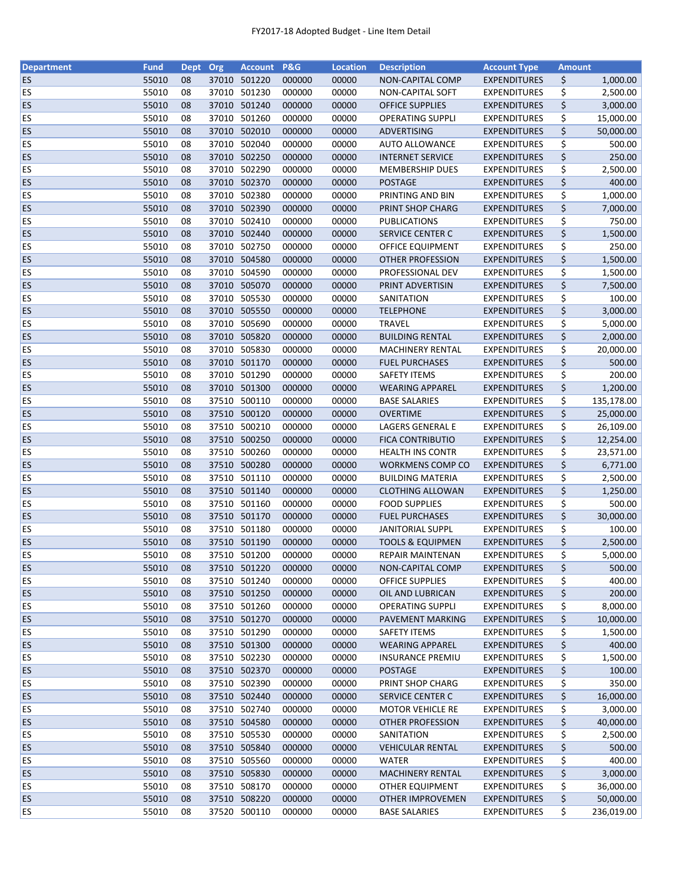| <b>Department</b> | <b>Fund</b>    | Dept     | <b>Org</b> | <b>Account</b>               | <b>P&amp;G</b>   | <b>Location</b> | <b>Description</b>                          | <b>Account Type</b>                        | <b>Amount</b> |                    |
|-------------------|----------------|----------|------------|------------------------------|------------------|-----------------|---------------------------------------------|--------------------------------------------|---------------|--------------------|
| <b>ES</b>         | 55010          | 08       |            | 37010 501220                 | 000000           | 00000           | NON-CAPITAL COMP                            | <b>EXPENDITURES</b>                        | \$            | 1,000.00           |
| ES                | 55010          | 08       | 37010      | 501230                       | 000000           | 00000           | <b>NON-CAPITAL SOFT</b>                     | <b>EXPENDITURES</b>                        | \$            | 2,500.00           |
| <b>ES</b>         | 55010          | 08       | 37010      | 501240                       | 000000           | 00000           | <b>OFFICE SUPPLIES</b>                      | <b>EXPENDITURES</b>                        | \$            | 3,000.00           |
| ES                | 55010          | 08       | 37010      | 501260                       | 000000           | 00000           | <b>OPERATING SUPPLI</b>                     | <b>EXPENDITURES</b>                        | \$            | 15,000.00          |
| <b>ES</b>         | 55010          | 08       |            | 37010 502010                 | 000000           | 00000           | ADVERTISING                                 | <b>EXPENDITURES</b>                        | \$            | 50,000.00          |
| ES                | 55010          | 08       |            | 37010 502040                 | 000000           | 00000           | <b>AUTO ALLOWANCE</b>                       | <b>EXPENDITURES</b>                        | \$            | 500.00             |
| ES                | 55010          | 08       |            | 37010 502250                 | 000000           | 00000           | <b>INTERNET SERVICE</b>                     | <b>EXPENDITURES</b>                        | \$            | 250.00             |
| ES                | 55010          | 08       |            | 37010 502290                 | 000000           | 00000           | <b>MEMBERSHIP DUES</b>                      | <b>EXPENDITURES</b>                        | \$            | 2,500.00           |
| <b>ES</b>         | 55010          | 08       |            | 37010 502370                 | 000000           | 00000           | <b>POSTAGE</b>                              | <b>EXPENDITURES</b>                        | \$            | 400.00             |
| ES                | 55010          | 08       |            | 37010 502380                 | 000000           | 00000           | PRINTING AND BIN                            | <b>EXPENDITURES</b>                        | \$            | 1,000.00           |
| <b>ES</b>         | 55010          | 08       |            | 37010 502390                 | 000000           | 00000           | PRINT SHOP CHARG                            | <b>EXPENDITURES</b>                        | \$            | 7,000.00           |
| <b>ES</b>         | 55010          | 08       |            | 37010 502410                 | 000000           | 00000           | PUBLICATIONS                                | <b>EXPENDITURES</b>                        | \$            | 750.00             |
| ES                | 55010          | 08       |            | 37010 502440                 | 000000           | 00000           | <b>SERVICE CENTER C</b>                     | <b>EXPENDITURES</b>                        | \$            | 1,500.00           |
| ES                | 55010          | 08       |            | 37010 502750                 | 000000           | 00000           | OFFICE EQUIPMENT                            | <b>EXPENDITURES</b>                        | \$            | 250.00             |
| <b>ES</b>         | 55010          | 08       | 37010      | 504580                       | 000000           | 00000           | <b>OTHER PROFESSION</b>                     | <b>EXPENDITURES</b>                        | \$            | 1,500.00           |
| ES                | 55010          | 08       | 37010      | 504590                       | 000000           | 00000           | PROFESSIONAL DEV                            | <b>EXPENDITURES</b>                        | \$            | 1,500.00           |
| ES                | 55010          | 08       |            | 37010 505070                 | 000000           | 00000           | PRINT ADVERTISIN                            | <b>EXPENDITURES</b>                        | \$            | 7,500.00           |
| <b>ES</b>         | 55010          | 08       |            | 37010 505530                 | 000000           | 00000           | SANITATION                                  | <b>EXPENDITURES</b>                        | \$            | 100.00             |
| ES                | 55010          | 08       |            | 37010 505550                 | 000000           | 00000           | <b>TELEPHONE</b>                            | <b>EXPENDITURES</b>                        | \$            | 3,000.00           |
| <b>ES</b>         | 55010          | 08       |            | 37010 505690                 | 000000           | 00000           | <b>TRAVEL</b>                               | <b>EXPENDITURES</b>                        | \$            | 5,000.00           |
| <b>ES</b>         | 55010          | 08       |            | 37010 505820                 | 000000           | 00000           | <b>BUILDING RENTAL</b>                      | <b>EXPENDITURES</b>                        | \$            | 2,000.00           |
| ES                | 55010          | 08       |            | 37010 505830                 | 000000           | 00000           | <b>MACHINERY RENTAL</b>                     | <b>EXPENDITURES</b>                        | \$            | 20,000.00          |
| <b>ES</b>         | 55010          | 08       |            | 37010 501170                 | 000000           | 00000           | <b>FUEL PURCHASES</b>                       | <b>EXPENDITURES</b>                        | \$            | 500.00             |
| <b>ES</b>         | 55010          | 08       |            | 37010 501290                 | 000000           | 00000           | <b>SAFETY ITEMS</b>                         | <b>EXPENDITURES</b>                        | \$            | 200.00             |
| ES                | 55010          | 08       |            | 37010 501300                 | 000000           | 00000           | <b>WEARING APPAREL</b>                      | <b>EXPENDITURES</b>                        | \$            | 1,200.00           |
| ES                | 55010          | 08       |            | 37510 500110                 | 000000           | 00000           | <b>BASE SALARIES</b>                        | <b>EXPENDITURES</b>                        | \$            | 135,178.00         |
| <b>ES</b>         | 55010          | 08       | 37510      | 500120                       | 000000           | 00000           |                                             |                                            | \$            |                    |
|                   |                |          |            |                              |                  |                 | <b>OVERTIME</b>                             | <b>EXPENDITURES</b>                        |               | 25,000.00          |
| ES                | 55010          | 08       | 37510      | 500210                       | 000000           | 00000           | LAGERS GENERAL E                            | <b>EXPENDITURES</b>                        | \$            | 26,109.00          |
| ES                | 55010          | 08       | 37510      | 500250                       | 000000           | 00000           | <b>FICA CONTRIBUTIO</b>                     | <b>EXPENDITURES</b>                        | \$            | 12,254.00          |
| ES<br>ES          | 55010<br>55010 | 08<br>08 | 37510      | 500260<br>37510 500280       | 000000<br>000000 | 00000<br>00000  | <b>HEALTH INS CONTR</b><br>WORKMENS COMP CO | <b>EXPENDITURES</b><br><b>EXPENDITURES</b> | \$<br>\$      | 23,571.00          |
|                   |                |          |            |                              |                  |                 |                                             |                                            |               | 6,771.00           |
| ES                | 55010          | 08       |            | 37510 501110                 | 000000           | 00000           | <b>BUILDING MATERIA</b>                     | <b>EXPENDITURES</b>                        | \$            | 2,500.00           |
| ES                | 55010          | 08       |            | 37510 501140<br>37510 501160 | 000000           | 00000           | <b>CLOTHING ALLOWAN</b>                     | <b>EXPENDITURES</b>                        | \$            | 1,250.00<br>500.00 |
| ES                | 55010          | 08       |            |                              | 000000           | 00000           | <b>FOOD SUPPLIES</b>                        | <b>EXPENDITURES</b>                        | \$            |                    |
| <b>ES</b>         | 55010          | 08       |            | 37510 501170                 | 000000           | 00000           | <b>FUEL PURCHASES</b>                       | <b>EXPENDITURES</b>                        | \$            | 30,000.00          |
| <b>ES</b>         | 55010          | 08       |            | 37510 501180                 | 000000           | 00000           | <b>JANITORIAL SUPPL</b>                     | <b>EXPENDITURES</b>                        | \$            | 100.00             |
| <b>ES</b>         | 55010          | 08       |            | 37510 501190                 | 000000           | 00000           | <b>TOOLS &amp; EQUIPMEN</b>                 | <b>EXPENDITURES</b>                        | \$            | 2,500.00           |
| <b>ES</b>         | 55010          | 08       |            | 37510 501200                 | 000000           | 00000           | <b>REPAIR MAINTENAN</b>                     | <b>EXPENDITURES</b>                        | \$            | 5,000.00           |
| ES                | 55010          | 08       |            | 37510 501220                 | 000000           | 00000           | <b>NON-CAPITAL COMP</b>                     | <b>EXPENDITURES</b>                        | \$            | 500.00             |
| <b>ES</b>         | 55010          | 08       |            | 37510 501240                 | 000000           | 00000           | <b>OFFICE SUPPLIES</b>                      | <b>EXPENDITURES</b>                        | \$            | 400.00             |
| <b>ES</b>         | 55010          | 08       |            | 37510 501250                 | 000000           | 00000           | OIL AND LUBRICAN                            | <b>EXPENDITURES</b>                        | \$            | 200.00             |
| <b>ES</b>         | 55010          | 08       |            | 37510 501260                 | 000000           | 00000           | <b>OPERATING SUPPLI</b>                     | <b>EXPENDITURES</b>                        | \$            | 8,000.00           |
| <b>ES</b>         | 55010          | 08       |            | 37510 501270                 | 000000           | 00000           | PAVEMENT MARKING                            | <b>EXPENDITURES</b>                        | \$            | 10,000.00          |
| ES                | 55010          | 08       |            | 37510 501290                 | 000000           | 00000           | <b>SAFETY ITEMS</b>                         | <b>EXPENDITURES</b>                        | \$            | 1,500.00           |
| <b>ES</b>         | 55010          | 08       |            | 37510 501300                 | 000000           | 00000           | <b>WEARING APPAREL</b>                      | <b>EXPENDITURES</b>                        | \$            | 400.00             |
| ES                | 55010          | 08       |            | 37510 502230                 | 000000           | 00000           | <b>INSURANCE PREMIU</b>                     | <b>EXPENDITURES</b>                        | \$            | 1,500.00           |
| <b>ES</b>         | 55010          | 08       |            | 37510 502370                 | 000000           | 00000           | POSTAGE                                     | <b>EXPENDITURES</b>                        | \$            | 100.00             |
| <b>ES</b>         | 55010          | 08       |            | 37510 502390                 | 000000           | 00000           | PRINT SHOP CHARG                            | <b>EXPENDITURES</b>                        | \$            | 350.00             |
| <b>ES</b>         | 55010          | 08       |            | 37510 502440                 | 000000           | 00000           | SERVICE CENTER C                            | <b>EXPENDITURES</b>                        | \$            | 16,000.00          |
| ES                | 55010          | 08       |            | 37510 502740                 | 000000           | 00000           | <b>MOTOR VEHICLE RE</b>                     | <b>EXPENDITURES</b>                        | \$            | 3,000.00           |
| <b>ES</b>         | 55010          | 08       |            | 37510 504580                 | 000000           | 00000           | <b>OTHER PROFESSION</b>                     | <b>EXPENDITURES</b>                        | \$            | 40,000.00          |
| ES                | 55010          | 08       |            | 37510 505530                 | 000000           | 00000           | SANITATION                                  | <b>EXPENDITURES</b>                        | \$            | 2,500.00           |
| <b>ES</b>         | 55010          | 08       |            | 37510 505840                 | 000000           | 00000           | <b>VEHICULAR RENTAL</b>                     | <b>EXPENDITURES</b>                        | \$            | 500.00             |
| <b>ES</b>         | 55010          | 08       |            | 37510 505560                 | 000000           | 00000           | WATER                                       | <b>EXPENDITURES</b>                        | \$            | 400.00             |
| <b>ES</b>         | 55010          | 08       |            | 37510 505830                 | 000000           | 00000           | <b>MACHINERY RENTAL</b>                     | <b>EXPENDITURES</b>                        | \$            | 3,000.00           |
| <b>ES</b>         | 55010          | 08       |            | 37510 508170                 | 000000           | 00000           | OTHER EQUIPMENT                             | <b>EXPENDITURES</b>                        | \$            | 36,000.00          |
| <b>ES</b>         | 55010          | 08       |            | 37510 508220                 | 000000           | 00000           | <b>OTHER IMPROVEMEN</b>                     | <b>EXPENDITURES</b>                        | \$            | 50,000.00          |
| <b>ES</b>         | 55010          | 08       |            | 37520 500110                 | 000000           | 00000           | <b>BASE SALARIES</b>                        | <b>EXPENDITURES</b>                        | \$            | 236,019.00         |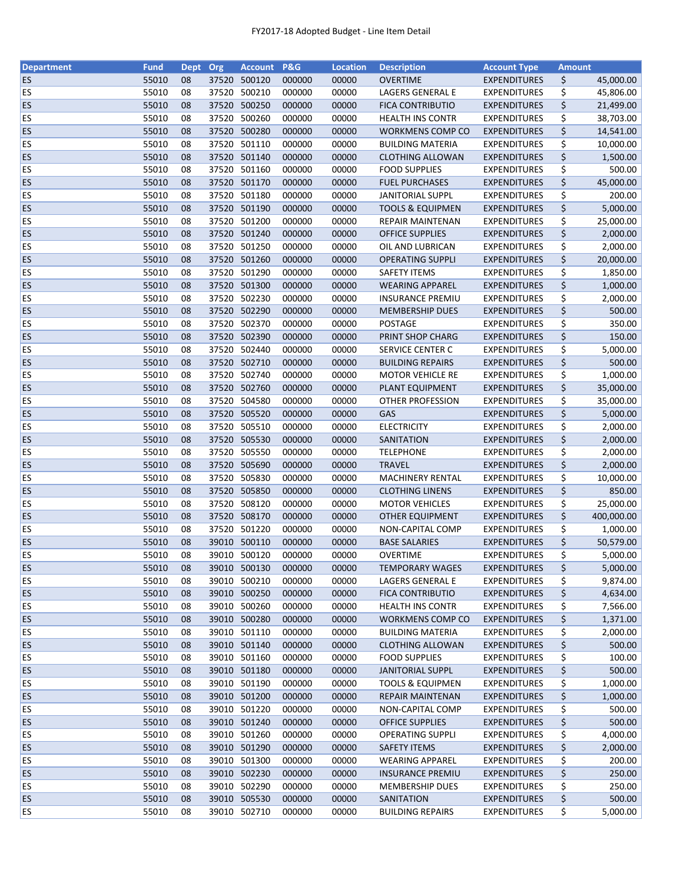| <b>Department</b> | <b>Fund</b> | Dept | Org   | <b>Account</b> | <b>P&amp;G</b> | <b>Location</b> | <b>Description</b>          | <b>Account Type</b> | <b>Amount</b> |            |
|-------------------|-------------|------|-------|----------------|----------------|-----------------|-----------------------------|---------------------|---------------|------------|
| <b>ES</b>         | 55010       | 08   | 37520 | 500120         | 000000         | 00000           | <b>OVERTIME</b>             | <b>EXPENDITURES</b> | \$            | 45,000.00  |
| ES                | 55010       | 08   | 37520 | 500210         | 000000         | 00000           | LAGERS GENERAL E            | <b>EXPENDITURES</b> | \$            | 45,806.00  |
| <b>ES</b>         | 55010       | 08   | 37520 | 500250         | 000000         | 00000           | <b>FICA CONTRIBUTIO</b>     | <b>EXPENDITURES</b> | \$            | 21,499.00  |
| ES                | 55010       | 08   | 37520 | 500260         | 000000         | 00000           | <b>HEALTH INS CONTR</b>     | <b>EXPENDITURES</b> | \$            | 38,703.00  |
| <b>ES</b>         | 55010       | 08   |       | 37520 500280   | 000000         | 00000           | WORKMENS COMP CO            | <b>EXPENDITURES</b> | \$            | 14,541.00  |
| ES                | 55010       | 08   | 37520 | 501110         | 000000         | 00000           | <b>BUILDING MATERIA</b>     | <b>EXPENDITURES</b> | \$            | 10,000.00  |
| <b>ES</b>         | 55010       | 08   |       | 37520 501140   | 000000         | 00000           | <b>CLOTHING ALLOWAN</b>     | <b>EXPENDITURES</b> | \$            | 1,500.00   |
| ES                | 55010       | 08   |       | 37520 501160   | 000000         | 00000           | <b>FOOD SUPPLIES</b>        | <b>EXPENDITURES</b> | \$            | 500.00     |
| <b>ES</b>         | 55010       | 08   |       | 37520 501170   | 000000         | 00000           | <b>FUEL PURCHASES</b>       | <b>EXPENDITURES</b> | \$            | 45,000.00  |
| ES                | 55010       | 08   |       | 37520 501180   | 000000         | 00000           | <b>JANITORIAL SUPPL</b>     | <b>EXPENDITURES</b> | \$            | 200.00     |
| <b>ES</b>         | 55010       | 08   |       | 37520 501190   | 000000         | 00000           | <b>TOOLS &amp; EQUIPMEN</b> | <b>EXPENDITURES</b> | \$            | 5,000.00   |
| <b>ES</b>         | 55010       | 08   |       | 37520 501200   | 000000         | 00000           | <b>REPAIR MAINTENAN</b>     | <b>EXPENDITURES</b> | \$            | 25,000.00  |
| <b>ES</b>         | 55010       | 08   |       | 37520 501240   | 000000         | 00000           | <b>OFFICE SUPPLIES</b>      | <b>EXPENDITURES</b> | \$            | 2,000.00   |
| ES                | 55010       | 08   |       | 37520 501250   | 000000         | 00000           | OIL AND LUBRICAN            | <b>EXPENDITURES</b> | \$            | 2,000.00   |
| <b>ES</b>         | 55010       | 08   | 37520 | 501260         | 000000         | 00000           | <b>OPERATING SUPPLI</b>     | <b>EXPENDITURES</b> | \$            | 20,000.00  |
| ES                | 55010       | 08   | 37520 | 501290         | 000000         | 00000           | <b>SAFETY ITEMS</b>         | <b>EXPENDITURES</b> | \$            | 1,850.00   |
| ES                | 55010       | 08   |       | 37520 501300   | 000000         | 00000           | <b>WEARING APPAREL</b>      | <b>EXPENDITURES</b> | \$            | 1,000.00   |
| ES                | 55010       | 08   |       | 37520 502230   | 000000         | 00000           | <b>INSURANCE PREMIU</b>     | <b>EXPENDITURES</b> | \$            | 2,000.00   |
| ES                | 55010       | 08   |       | 37520 502290   | 000000         | 00000           | <b>MEMBERSHIP DUES</b>      | <b>EXPENDITURES</b> | \$            | 500.00     |
| ES                | 55010       | 08   |       | 37520 502370   | 000000         | 00000           | <b>POSTAGE</b>              | <b>EXPENDITURES</b> | \$            | 350.00     |
| <b>ES</b>         | 55010       | 08   |       | 37520 502390   | 000000         | 00000           | PRINT SHOP CHARG            | <b>EXPENDITURES</b> | \$            | 150.00     |
| ES                | 55010       | 08   | 37520 | 502440         | 000000         | 00000           | SERVICE CENTER C            | <b>EXPENDITURES</b> | \$            | 5,000.00   |
| <b>ES</b>         | 55010       | 08   |       | 37520 502710   | 000000         | 00000           | <b>BUILDING REPAIRS</b>     | <b>EXPENDITURES</b> | \$            | 500.00     |
| <b>ES</b>         | 55010       | 08   |       | 37520 502740   | 000000         | 00000           | <b>MOTOR VEHICLE RE</b>     | <b>EXPENDITURES</b> | \$            | 1,000.00   |
| ES                | 55010       | 08   |       | 37520 502760   | 000000         | 00000           | PLANT EQUIPMENT             | <b>EXPENDITURES</b> | \$            | 35,000.00  |
| <b>ES</b>         | 55010       | 08   |       | 37520 504580   | 000000         | 00000           | <b>OTHER PROFESSION</b>     | <b>EXPENDITURES</b> |               |            |
|                   |             |      |       |                |                |                 |                             |                     | \$            | 35,000.00  |
| ES                | 55010       | 08   | 37520 | 505520         | 000000         | 00000           | GAS                         | <b>EXPENDITURES</b> | \$            | 5,000.00   |
| ES                | 55010       | 08   | 37520 | 505510         | 000000         | 00000           | <b>ELECTRICITY</b>          | <b>EXPENDITURES</b> | \$            | 2,000.00   |
| ES                | 55010       | 08   | 37520 | 505530         | 000000         | 00000           | SANITATION                  | <b>EXPENDITURES</b> | \$            | 2,000.00   |
| ES                | 55010       | 08   |       | 37520 505550   | 000000         | 00000           | <b>TELEPHONE</b>            | <b>EXPENDITURES</b> | \$            | 2,000.00   |
| ES                | 55010       | 08   |       | 37520 505690   | 000000         | 00000           | <b>TRAVEL</b>               | <b>EXPENDITURES</b> | \$            | 2,000.00   |
| ES                | 55010       | 08   |       | 37520 505830   | 000000         | 00000           | <b>MACHINERY RENTAL</b>     | <b>EXPENDITURES</b> | \$            | 10,000.00  |
| ES                | 55010       | 08   |       | 37520 505850   | 000000         | 00000           | <b>CLOTHING LINENS</b>      | <b>EXPENDITURES</b> | \$            | 850.00     |
| ES                | 55010       | 08   | 37520 | 508120         | 000000         | 00000           | <b>MOTOR VEHICLES</b>       | <b>EXPENDITURES</b> | \$            | 25,000.00  |
| <b>ES</b>         | 55010       | 08   |       | 37520 508170   | 000000         | 00000           | <b>OTHER EQUIPMENT</b>      | <b>EXPENDITURES</b> | \$            | 400,000.00 |
| <b>ES</b>         | 55010       | 08   |       | 37520 501220   | 000000         | 00000           | NON-CAPITAL COMP            | <b>EXPENDITURES</b> | \$            | 1,000.00   |
| <b>ES</b>         | 55010       | 08   |       | 39010 500110   | 000000         | 00000           | <b>BASE SALARIES</b>        | <b>EXPENDITURES</b> | \$            | 50,579.00  |
| ES                | 55010       | 08   |       | 39010 500120   | 000000         | 00000           | <b>OVERTIME</b>             | <b>EXPENDITURES</b> | \$            | 5,000.00   |
| <b>ES</b>         | 55010       | 08   |       | 39010 500130   | 000000         | 00000           | <b>TEMPORARY WAGES</b>      | <b>EXPENDITURES</b> | \$            | 5,000.00   |
| <b>ES</b>         | 55010       | 08   | 39010 | 500210         | 000000         | 00000           | LAGERS GENERAL E            | <b>EXPENDITURES</b> | \$            | 9,874.00   |
| <b>ES</b>         | 55010       | 08   |       | 39010 500250   | 000000         | 00000           | <b>FICA CONTRIBUTIO</b>     | <b>EXPENDITURES</b> | \$            | 4,634.00   |
| <b>ES</b>         | 55010       | 08   |       | 39010 500260   | 000000         | 00000           | <b>HEALTH INS CONTR</b>     | <b>EXPENDITURES</b> | \$            | 7,566.00   |
| <b>ES</b>         | 55010       | 08   |       | 39010 500280   | 000000         | 00000           | WORKMENS COMP CO            | <b>EXPENDITURES</b> | \$            | 1,371.00   |
| ES                | 55010       | 08   |       | 39010 501110   | 000000         | 00000           | <b>BUILDING MATERIA</b>     | <b>EXPENDITURES</b> | \$            | 2,000.00   |
| <b>ES</b>         | 55010       | 08   |       | 39010 501140   | 000000         | 00000           | <b>CLOTHING ALLOWAN</b>     | <b>EXPENDITURES</b> | \$            | 500.00     |
| <b>ES</b>         | 55010       | 08   |       | 39010 501160   | 000000         | 00000           | <b>FOOD SUPPLIES</b>        | <b>EXPENDITURES</b> | \$            | 100.00     |
| <b>ES</b>         | 55010       | 08   |       | 39010 501180   | 000000         | 00000           | <b>JANITORIAL SUPPL</b>     | <b>EXPENDITURES</b> | \$            | 500.00     |
| ES                | 55010       | 08   |       | 39010 501190   | 000000         | 00000           | <b>TOOLS &amp; EQUIPMEN</b> | <b>EXPENDITURES</b> | \$            | 1,000.00   |
| <b>ES</b>         | 55010       | 08   |       | 39010 501200   | 000000         | 00000           | <b>REPAIR MAINTENAN</b>     | <b>EXPENDITURES</b> | \$            | 1,000.00   |
| ES                | 55010       | 08   |       | 39010 501220   | 000000         | 00000           | NON-CAPITAL COMP            | <b>EXPENDITURES</b> | \$            | 500.00     |
| <b>ES</b>         | 55010       | 08   |       | 39010 501240   | 000000         | 00000           | <b>OFFICE SUPPLIES</b>      | <b>EXPENDITURES</b> | \$            | 500.00     |
| <b>ES</b>         | 55010       | 08   |       | 39010 501260   | 000000         | 00000           | <b>OPERATING SUPPLI</b>     | <b>EXPENDITURES</b> | \$            | 4,000.00   |
| <b>ES</b>         | 55010       | 08   |       | 39010 501290   | 000000         | 00000           | <b>SAFETY ITEMS</b>         | <b>EXPENDITURES</b> | \$            | 2,000.00   |
| <b>ES</b>         | 55010       | 08   |       | 39010 501300   | 000000         | 00000           | <b>WEARING APPAREL</b>      | <b>EXPENDITURES</b> | \$            | 200.00     |
| <b>ES</b>         | 55010       | 08   |       | 39010 502230   | 000000         | 00000           | <b>INSURANCE PREMIU</b>     | <b>EXPENDITURES</b> | \$            | 250.00     |
| <b>ES</b>         | 55010       | 08   |       | 39010 502290   | 000000         | 00000           | <b>MEMBERSHIP DUES</b>      | <b>EXPENDITURES</b> | \$            | 250.00     |
| <b>ES</b>         | 55010       | 08   |       | 39010 505530   | 000000         | 00000           | SANITATION                  | <b>EXPENDITURES</b> | \$            | 500.00     |
| <b>ES</b>         | 55010       | 08   |       | 39010 502710   | 000000         | 00000           | <b>BUILDING REPAIRS</b>     | <b>EXPENDITURES</b> | \$            | 5,000.00   |
|                   |             |      |       |                |                |                 |                             |                     |               |            |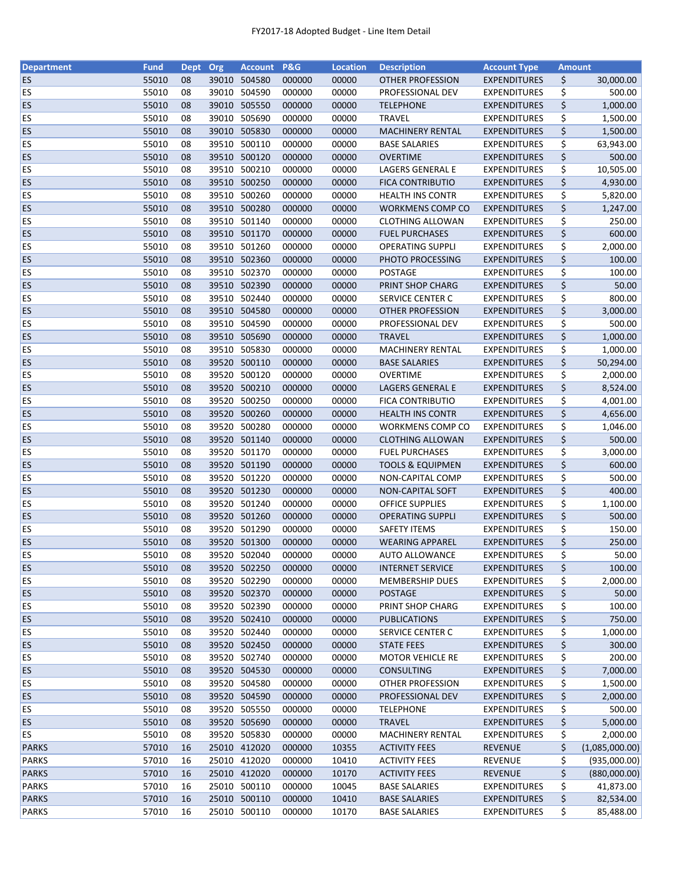| <b>Department</b>      | <b>Fund</b>    | <b>Dept</b> | Org   | <b>Account</b>               | <b>P&amp;G</b>   | <b>Location</b> | <b>Description</b>                          | <b>Account Type</b>                        | <b>Amount</b> |                      |
|------------------------|----------------|-------------|-------|------------------------------|------------------|-----------------|---------------------------------------------|--------------------------------------------|---------------|----------------------|
| <b>ES</b>              | 55010          | 08          |       | 39010 504580                 | 000000           | 00000           | <b>OTHER PROFESSION</b>                     | <b>EXPENDITURES</b>                        | \$            | 30,000.00            |
| <b>ES</b>              | 55010          | 08          |       | 39010 504590                 | 000000           | 00000           | PROFESSIONAL DEV                            | <b>EXPENDITURES</b>                        | \$            | 500.00               |
| ES                     | 55010          | 08          | 39010 | 505550                       | 000000           | 00000           | <b>TELEPHONE</b>                            | <b>EXPENDITURES</b>                        | \$            | 1,000.00             |
| ES                     | 55010          | 08          | 39010 | 505690                       | 000000           | 00000           | <b>TRAVEL</b>                               | <b>EXPENDITURES</b>                        | \$            | 1,500.00             |
| ES                     | 55010          | 08          |       | 39010 505830                 | 000000           | 00000           | <b>MACHINERY RENTAL</b>                     | <b>EXPENDITURES</b>                        | \$            | 1,500.00             |
| ES                     | 55010          | 08          |       | 39510 500110                 | 000000           | 00000           | <b>BASE SALARIES</b>                        | <b>EXPENDITURES</b>                        | \$            | 63,943.00            |
| ES                     | 55010          | 08          |       | 39510 500120                 | 000000           | 00000           | <b>OVERTIME</b>                             | <b>EXPENDITURES</b>                        | \$            | 500.00               |
| ES                     | 55010          | 08          |       | 39510 500210                 | 000000           | 00000           | LAGERS GENERAL E                            | <b>EXPENDITURES</b>                        | \$            | 10,505.00            |
| ES                     | 55010          | 08          |       | 39510 500250                 | 000000           | 00000           | <b>FICA CONTRIBUTIO</b>                     | <b>EXPENDITURES</b>                        | \$            | 4,930.00             |
| ES                     | 55010          | 08          |       | 39510 500260                 | 000000           | 00000           | <b>HEALTH INS CONTR</b>                     | <b>EXPENDITURES</b>                        | \$            | 5,820.00             |
| ES                     | 55010          | 08          |       | 39510 500280                 | 000000           | 00000           | WORKMENS COMP CO                            | <b>EXPENDITURES</b>                        | \$            | 1,247.00             |
| <b>ES</b>              | 55010          | 08          |       | 39510 501140                 | 000000           | 00000           | <b>CLOTHING ALLOWAN</b>                     | <b>EXPENDITURES</b>                        | \$            | 250.00               |
| ES                     | 55010          | 08          |       | 39510 501170                 | 000000           | 00000           | <b>FUEL PURCHASES</b>                       | <b>EXPENDITURES</b>                        | \$            | 600.00               |
| ES                     | 55010          | 08          |       | 39510 501260                 | 000000           | 00000           | <b>OPERATING SUPPLI</b>                     | <b>EXPENDITURES</b>                        | \$            | 2,000.00             |
| <b>ES</b>              | 55010          | 08          | 39510 | 502360                       | 000000           | 00000           | PHOTO PROCESSING                            | <b>EXPENDITURES</b>                        | \$            | 100.00               |
| ES                     | 55010          | 08          | 39510 | 502370                       | 000000           | 00000           | <b>POSTAGE</b>                              | <b>EXPENDITURES</b>                        | \$            | 100.00               |
| ES                     | 55010          | 08          |       | 39510 502390                 | 000000           | 00000           | PRINT SHOP CHARG                            | <b>EXPENDITURES</b>                        | \$            | 50.00                |
| <b>ES</b>              | 55010          | 08          |       | 39510 502440                 | 000000           | 00000           | SERVICE CENTER C                            | <b>EXPENDITURES</b>                        | \$            | 800.00               |
| ES                     | 55010          | 08          |       | 39510 504580                 | 000000           | 00000           | <b>OTHER PROFESSION</b>                     | <b>EXPENDITURES</b>                        | \$            | 3,000.00             |
| ES                     | 55010          | 08          |       | 39510 504590                 | 000000           | 00000           | PROFESSIONAL DEV                            | <b>EXPENDITURES</b>                        | \$            | 500.00               |
| <b>ES</b>              | 55010          | 08          |       | 39510 505690                 | 000000           | 00000           | <b>TRAVEL</b>                               | <b>EXPENDITURES</b>                        | \$            | 1,000.00             |
| ES                     | 55010          | 08          |       | 39510 505830                 | 000000           | 00000           | <b>MACHINERY RENTAL</b>                     | <b>EXPENDITURES</b>                        | \$            | 1,000.00             |
| <b>ES</b>              | 55010          | 08          |       | 39520 500110                 | 000000           | 00000           | <b>BASE SALARIES</b>                        | <b>EXPENDITURES</b>                        | \$            | 50,294.00            |
| <b>ES</b>              | 55010          | 08          |       | 39520 500120                 | 000000           | 00000           | OVERTIME                                    | <b>EXPENDITURES</b>                        | \$            | 2,000.00             |
| ES                     | 55010          | 08          |       | 39520 500210                 | 000000           | 00000           | <b>LAGERS GENERAL E</b>                     | <b>EXPENDITURES</b>                        | \$            | 8,524.00             |
| ES                     | 55010          | 08          |       | 39520 500250                 | 000000           | 00000           | <b>FICA CONTRIBUTIO</b>                     | <b>EXPENDITURES</b>                        | \$            | 4,001.00             |
| ES                     | 55010          | 08          | 39520 | 500260                       | 000000           | 00000           | <b>HEALTH INS CONTR</b>                     | <b>EXPENDITURES</b>                        | \$            | 4,656.00             |
| ES                     | 55010          | 08          | 39520 | 500280                       | 000000           | 00000           |                                             |                                            | \$            |                      |
| ES                     | 55010          | 08          | 39520 | 501140                       | 000000           | 00000           | WORKMENS COMP CO<br><b>CLOTHING ALLOWAN</b> | <b>EXPENDITURES</b><br><b>EXPENDITURES</b> | \$            | 1,046.00<br>500.00   |
| ES                     | 55010          | 08          |       | 39520 501170                 | 000000           | 00000           | <b>FUEL PURCHASES</b>                       | <b>EXPENDITURES</b>                        | \$            | 3,000.00             |
| ES                     | 55010          | 08          |       | 39520 501190                 | 000000           | 00000           | <b>TOOLS &amp; EQUIPMEN</b>                 | <b>EXPENDITURES</b>                        | \$            | 600.00               |
| ES                     | 55010          | 08          |       | 39520 501220                 | 000000           | 00000           | NON-CAPITAL COMP                            | <b>EXPENDITURES</b>                        | \$            | 500.00               |
| ES                     | 55010          | 08          |       | 39520 501230                 | 000000           | 00000           | NON-CAPITAL SOFT                            | <b>EXPENDITURES</b>                        | \$            | 400.00               |
| ES                     | 55010          | 08          | 39520 | 501240                       | 000000           | 00000           | <b>OFFICE SUPPLIES</b>                      | <b>EXPENDITURES</b>                        | \$            | 1,100.00             |
| <b>ES</b>              | 55010          | 08          |       | 39520 501260                 | 000000           | 00000           | <b>OPERATING SUPPLI</b>                     | <b>EXPENDITURES</b>                        | \$            | 500.00               |
| <b>ES</b>              | 55010          | 08          |       | 39520 501290                 | 000000           | 00000           | <b>SAFETY ITEMS</b>                         | <b>EXPENDITURES</b>                        | \$            | 150.00               |
| <b>ES</b>              | 55010          | 08          |       | 39520 501300                 | 000000           | 00000           | <b>WEARING APPAREL</b>                      | <b>EXPENDITURES</b>                        | \$            | 250.00               |
| ES                     | 55010          | 08          |       | 39520 502040                 | 000000           | 00000           | <b>AUTO ALLOWANCE</b>                       | <b>EXPENDITURES</b>                        | \$            | 50.00                |
|                        | 55010          |             |       |                              |                  | 00000           | <b>INTERNET SERVICE</b>                     | <b>EXPENDITURES</b>                        |               | 100.00               |
| <b>ES</b>              |                | 08          |       | 39520 502250                 | 000000           |                 |                                             |                                            | \$            |                      |
| <b>ES</b>              | 55010          | 08          |       | 39520 502290                 | 000000           | 00000           | <b>MEMBERSHIP DUES</b>                      | <b>EXPENDITURES</b>                        | \$            | 2,000.00             |
| <b>ES</b><br><b>ES</b> | 55010<br>55010 | 08          |       | 39520 502370<br>39520 502390 | 000000<br>000000 | 00000<br>00000  | <b>POSTAGE</b><br>PRINT SHOP CHARG          | <b>EXPENDITURES</b>                        | \$            | 50.00<br>100.00      |
| <b>ES</b>              | 55010          | 08          |       | 39520 502410                 | 000000           | 00000           |                                             | <b>EXPENDITURES</b>                        | \$            | 750.00               |
| ES                     | 55010          | 08          |       | 39520 502440                 | 000000           | 00000           | <b>PUBLICATIONS</b><br>SERVICE CENTER C     | <b>EXPENDITURES</b><br><b>EXPENDITURES</b> | \$            | 1,000.00             |
| <b>ES</b>              | 55010          | 08<br>08    |       | 39520 502450                 | 000000           | 00000           | <b>STATE FEES</b>                           | <b>EXPENDITURES</b>                        | \$<br>\$      | 300.00               |
|                        |                |             |       |                              |                  |                 | <b>MOTOR VEHICLE RE</b>                     |                                            |               |                      |
| <b>ES</b><br><b>ES</b> | 55010<br>55010 | 08          |       | 39520 502740<br>39520 504530 | 000000<br>000000 | 00000<br>00000  |                                             | <b>EXPENDITURES</b>                        | \$<br>\$      | 200.00               |
|                        | 55010          | 08          |       | 39520 504580                 | 000000           | 00000           | <b>CONSULTING</b>                           | <b>EXPENDITURES</b>                        |               | 7,000.00<br>1,500.00 |
| ES<br><b>ES</b>        | 55010          | 08<br>08    |       | 39520 504590                 | 000000           | 00000           | OTHER PROFESSION<br>PROFESSIONAL DEV        | <b>EXPENDITURES</b><br><b>EXPENDITURES</b> | \$<br>\$      | 2,000.00             |
| ES                     | 55010          |             |       | 39520 505550                 | 000000           | 00000           | <b>TELEPHONE</b>                            | <b>EXPENDITURES</b>                        |               | 500.00               |
| <b>ES</b>              | 55010          | 08<br>08    |       | 39520 505690                 | 000000           | 00000           | <b>TRAVEL</b>                               | <b>EXPENDITURES</b>                        | \$<br>\$      | 5,000.00             |
| <b>ES</b>              | 55010          | 08          |       | 39520 505830                 | 000000           | 00000           | <b>MACHINERY RENTAL</b>                     | <b>EXPENDITURES</b>                        | \$            | 2,000.00             |
| <b>PARKS</b>           | 57010          | 16          |       | 25010 412020                 | 000000           | 10355           | <b>ACTIVITY FEES</b>                        | <b>REVENUE</b>                             | \$            | (1,085,000.00)       |
| <b>PARKS</b>           | 57010          | 16          |       | 25010 412020                 | 000000           | 10410           | <b>ACTIVITY FEES</b>                        | REVENUE                                    | \$            | (935,000.00)         |
| <b>PARKS</b>           | 57010          | 16          |       | 25010 412020                 | 000000           | 10170           | <b>ACTIVITY FEES</b>                        | <b>REVENUE</b>                             | \$            | (880,000.00)         |
| <b>PARKS</b>           | 57010          | 16          |       | 25010 500110                 | 000000           | 10045           | <b>BASE SALARIES</b>                        | <b>EXPENDITURES</b>                        | \$            | 41,873.00            |
| <b>PARKS</b>           | 57010          | 16          |       | 25010 500110                 | 000000           | 10410           | <b>BASE SALARIES</b>                        | <b>EXPENDITURES</b>                        | \$            | 82,534.00            |
| <b>PARKS</b>           | 57010          | 16          |       | 25010 500110                 | 000000           | 10170           | <b>BASE SALARIES</b>                        | <b>EXPENDITURES</b>                        | \$            | 85,488.00            |
|                        |                |             |       |                              |                  |                 |                                             |                                            |               |                      |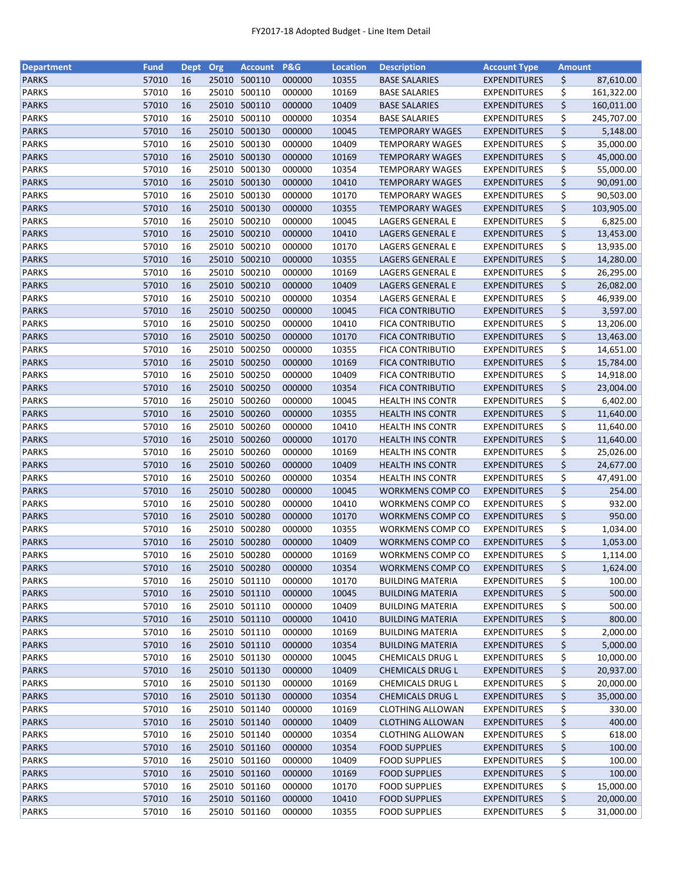| <b>Department</b> | <b>Fund</b> | <b>Dept</b> | Org   | <b>Account</b> | <b>P&amp;G</b> | <b>Location</b> | <b>Description</b>      | <b>Account Type</b> | <b>Amount</b> |            |
|-------------------|-------------|-------------|-------|----------------|----------------|-----------------|-------------------------|---------------------|---------------|------------|
| <b>PARKS</b>      | 57010       | 16          | 25010 | 500110         | 000000         | 10355           | <b>BASE SALARIES</b>    | <b>EXPENDITURES</b> | \$            | 87,610.00  |
| <b>PARKS</b>      | 57010       | 16          | 25010 | 500110         | 000000         | 10169           | <b>BASE SALARIES</b>    | <b>EXPENDITURES</b> | \$            | 161,322.00 |
| <b>PARKS</b>      | 57010       | 16          | 25010 | 500110         | 000000         | 10409           | <b>BASE SALARIES</b>    | <b>EXPENDITURES</b> | \$            | 160,011.00 |
| <b>PARKS</b>      | 57010       | 16          | 25010 | 500110         | 000000         | 10354           | <b>BASE SALARIES</b>    | <b>EXPENDITURES</b> | \$            | 245,707.00 |
| <b>PARKS</b>      | 57010       | 16          |       | 25010 500130   | 000000         | 10045           | <b>TEMPORARY WAGES</b>  | <b>EXPENDITURES</b> | \$            | 5,148.00   |
| <b>PARKS</b>      | 57010       | 16          |       | 25010 500130   | 000000         | 10409           | <b>TEMPORARY WAGES</b>  | <b>EXPENDITURES</b> | \$            | 35,000.00  |
| <b>PARKS</b>      | 57010       | 16          |       | 25010 500130   | 000000         | 10169           | <b>TEMPORARY WAGES</b>  | <b>EXPENDITURES</b> | \$            | 45,000.00  |
| <b>PARKS</b>      | 57010       | 16          | 25010 | 500130         | 000000         | 10354           | TEMPORARY WAGES         | <b>EXPENDITURES</b> | \$            | 55,000.00  |
| <b>PARKS</b>      | 57010       | 16          |       | 25010 500130   | 000000         | 10410           | <b>TEMPORARY WAGES</b>  | <b>EXPENDITURES</b> | \$            | 90,091.00  |
| <b>PARKS</b>      | 57010       | 16          | 25010 | 500130         | 000000         | 10170           | <b>TEMPORARY WAGES</b>  | <b>EXPENDITURES</b> | \$            | 90,503.00  |
| <b>PARKS</b>      | 57010       | 16          |       | 25010 500130   | 000000         | 10355           | <b>TEMPORARY WAGES</b>  | <b>EXPENDITURES</b> | \$            | 103,905.00 |
| <b>PARKS</b>      | 57010       | 16          | 25010 | 500210         | 000000         | 10045           | LAGERS GENERAL E        | <b>EXPENDITURES</b> | \$            | 6,825.00   |
| <b>PARKS</b>      | 57010       | 16          | 25010 | 500210         | 000000         | 10410           | LAGERS GENERAL E        | <b>EXPENDITURES</b> | \$            | 13,453.00  |
| <b>PARKS</b>      | 57010       | 16          | 25010 | 500210         | 000000         | 10170           | LAGERS GENERAL E        | <b>EXPENDITURES</b> | \$            | 13,935.00  |
| <b>PARKS</b>      | 57010       | 16          | 25010 | 500210         | 000000         | 10355           | LAGERS GENERAL E        | <b>EXPENDITURES</b> | \$            | 14,280.00  |
| <b>PARKS</b>      | 57010       | 16          | 25010 | 500210         | 000000         | 10169           | LAGERS GENERAL E        | <b>EXPENDITURES</b> | \$            | 26,295.00  |
| <b>PARKS</b>      | 57010       | 16          |       | 25010 500210   | 000000         | 10409           | LAGERS GENERAL E        | <b>EXPENDITURES</b> | \$            | 26,082.00  |
| <b>PARKS</b>      | 57010       | 16          | 25010 | 500210         | 000000         | 10354           | LAGERS GENERAL E        | <b>EXPENDITURES</b> | \$            | 46,939.00  |
| <b>PARKS</b>      | 57010       | 16          |       | 25010 500250   | 000000         | 10045           | <b>FICA CONTRIBUTIO</b> | <b>EXPENDITURES</b> | \$            | 3,597.00   |
| <b>PARKS</b>      | 57010       | 16          |       | 25010 500250   | 000000         | 10410           | <b>FICA CONTRIBUTIO</b> | <b>EXPENDITURES</b> | \$            | 13,206.00  |
| <b>PARKS</b>      | 57010       | 16          | 25010 | 500250         | 000000         | 10170           | <b>FICA CONTRIBUTIO</b> | <b>EXPENDITURES</b> | \$            | 13,463.00  |
| <b>PARKS</b>      | 57010       | 16          | 25010 | 500250         | 000000         | 10355           | <b>FICA CONTRIBUTIO</b> | <b>EXPENDITURES</b> | \$            | 14,651.00  |
| <b>PARKS</b>      | 57010       | 16          |       | 25010 500250   | 000000         | 10169           | <b>FICA CONTRIBUTIO</b> | <b>EXPENDITURES</b> | \$            | 15,784.00  |
| <b>PARKS</b>      | 57010       | 16          | 25010 | 500250         | 000000         | 10409           | <b>FICA CONTRIBUTIO</b> | <b>EXPENDITURES</b> | \$            | 14,918.00  |
| <b>PARKS</b>      | 57010       | 16          |       | 25010 500250   | 000000         | 10354           | <b>FICA CONTRIBUTIO</b> | <b>EXPENDITURES</b> | \$            | 23,004.00  |
| <b>PARKS</b>      | 57010       | 16          | 25010 | 500260         | 000000         | 10045           | <b>HEALTH INS CONTR</b> | <b>EXPENDITURES</b> | \$            | 6,402.00   |
| <b>PARKS</b>      | 57010       | 16          | 25010 | 500260         | 000000         | 10355           | <b>HEALTH INS CONTR</b> | <b>EXPENDITURES</b> | \$            | 11,640.00  |
| <b>PARKS</b>      | 57010       | 16          | 25010 | 500260         | 000000         | 10410           | <b>HEALTH INS CONTR</b> | <b>EXPENDITURES</b> | \$            | 11,640.00  |
| <b>PARKS</b>      | 57010       | 16          | 25010 | 500260         | 000000         | 10170           | <b>HEALTH INS CONTR</b> | <b>EXPENDITURES</b> | \$            | 11,640.00  |
| <b>PARKS</b>      | 57010       | 16          | 25010 | 500260         | 000000         | 10169           | <b>HEALTH INS CONTR</b> | <b>EXPENDITURES</b> | \$            | 25,026.00  |
| <b>PARKS</b>      | 57010       | 16          |       | 25010 500260   | 000000         | 10409           | <b>HEALTH INS CONTR</b> | <b>EXPENDITURES</b> | \$            | 24,677.00  |
| <b>PARKS</b>      | 57010       | 16          | 25010 | 500260         | 000000         | 10354           | <b>HEALTH INS CONTR</b> | <b>EXPENDITURES</b> | \$            | 47,491.00  |
| <b>PARKS</b>      | 57010       | 16          | 25010 | 500280         | 000000         | 10045           | WORKMENS COMP CO        | <b>EXPENDITURES</b> | \$            | 254.00     |
| <b>PARKS</b>      | 57010       | 16          | 25010 | 500280         | 000000         | 10410           | WORKMENS COMP CO        | <b>EXPENDITURES</b> | \$            | 932.00     |
| <b>PARKS</b>      | 57010       | 16          |       | 25010 500280   | 000000         | 10170           | WORKMENS COMP CO        | <b>EXPENDITURES</b> | \$            | 950.00     |
| <b>PARKS</b>      | 57010       | 16          | 25010 | 500280         | 000000         | 10355           | <b>WORKMENS COMP CO</b> | <b>EXPENDITURES</b> | \$            | 1,034.00   |
| <b>PARKS</b>      | 57010       | 16          |       | 25010 500280   | 000000         | 10409           | WORKMENS COMP CO        | <b>EXPENDITURES</b> | \$            | 1,053.00   |
| <b>PARKS</b>      | 57010       | 16          |       | 25010 500280   | 000000         | 10169           | WORKMENS COMP CO        | <b>EXPENDITURES</b> | \$            | 1,114.00   |
| <b>PARKS</b>      | 57010       | 16          |       | 25010 500280   | 000000         | 10354           | <b>WORKMENS COMP CO</b> | <b>EXPENDITURES</b> | \$            | 1,624.00   |
| <b>PARKS</b>      | 57010       | 16          | 25010 | 501110         | 000000         | 10170           | <b>BUILDING MATERIA</b> | <b>EXPENDITURES</b> | \$            | 100.00     |
| <b>PARKS</b>      | 57010       | 16          |       | 25010 501110   | 000000         | 10045           | <b>BUILDING MATERIA</b> | <b>EXPENDITURES</b> | \$            | 500.00     |
| <b>PARKS</b>      | 57010       | 16          |       | 25010 501110   | 000000         | 10409           | <b>BUILDING MATERIA</b> | <b>EXPENDITURES</b> | \$            | 500.00     |
| <b>PARKS</b>      | 57010       | 16          |       | 25010 501110   | 000000         | 10410           | <b>BUILDING MATERIA</b> | <b>EXPENDITURES</b> | \$            | 800.00     |
| <b>PARKS</b>      | 57010       | 16          |       | 25010 501110   | 000000         | 10169           | <b>BUILDING MATERIA</b> | <b>EXPENDITURES</b> | \$            | 2,000.00   |
| <b>PARKS</b>      | 57010       | 16          |       | 25010 501110   | 000000         | 10354           | <b>BUILDING MATERIA</b> | <b>EXPENDITURES</b> | \$            | 5,000.00   |
| <b>PARKS</b>      | 57010       | 16          |       | 25010 501130   | 000000         | 10045           | CHEMICALS DRUG L        | <b>EXPENDITURES</b> | \$            | 10,000.00  |
| <b>PARKS</b>      | 57010       | 16          |       | 25010 501130   | 000000         | 10409           | <b>CHEMICALS DRUG L</b> | <b>EXPENDITURES</b> | \$            | 20,937.00  |
| <b>PARKS</b>      | 57010       | 16          |       | 25010 501130   | 000000         | 10169           | CHEMICALS DRUG L        | <b>EXPENDITURES</b> | \$            | 20,000.00  |
| <b>PARKS</b>      | 57010       | 16          |       | 25010 501130   | 000000         | 10354           | <b>CHEMICALS DRUG L</b> | <b>EXPENDITURES</b> | \$            | 35,000.00  |
| <b>PARKS</b>      | 57010       | 16          |       | 25010 501140   | 000000         | 10169           | <b>CLOTHING ALLOWAN</b> | <b>EXPENDITURES</b> | \$            | 330.00     |
| <b>PARKS</b>      | 57010       | 16          |       | 25010 501140   | 000000         | 10409           | <b>CLOTHING ALLOWAN</b> | <b>EXPENDITURES</b> | \$            | 400.00     |
| <b>PARKS</b>      | 57010       | 16          |       | 25010 501140   | 000000         | 10354           | <b>CLOTHING ALLOWAN</b> | <b>EXPENDITURES</b> | \$            | 618.00     |
| <b>PARKS</b>      | 57010       | 16          |       | 25010 501160   | 000000         | 10354           | <b>FOOD SUPPLIES</b>    | <b>EXPENDITURES</b> | \$            | 100.00     |
| <b>PARKS</b>      | 57010       | 16          |       | 25010 501160   | 000000         | 10409           | <b>FOOD SUPPLIES</b>    | <b>EXPENDITURES</b> | \$            | 100.00     |
| <b>PARKS</b>      | 57010       | 16          |       | 25010 501160   | 000000         | 10169           | <b>FOOD SUPPLIES</b>    | <b>EXPENDITURES</b> | \$            | 100.00     |
| <b>PARKS</b>      | 57010       | 16          |       | 25010 501160   | 000000         | 10170           | <b>FOOD SUPPLIES</b>    | <b>EXPENDITURES</b> | \$            | 15,000.00  |
| <b>PARKS</b>      | 57010       | 16          |       | 25010 501160   | 000000         | 10410           | <b>FOOD SUPPLIES</b>    | <b>EXPENDITURES</b> | \$            | 20,000.00  |
| <b>PARKS</b>      | 57010       | 16          |       | 25010 501160   | 000000         | 10355           | <b>FOOD SUPPLIES</b>    | <b>EXPENDITURES</b> | \$            | 31,000.00  |
|                   |             |             |       |                |                |                 |                         |                     |               |            |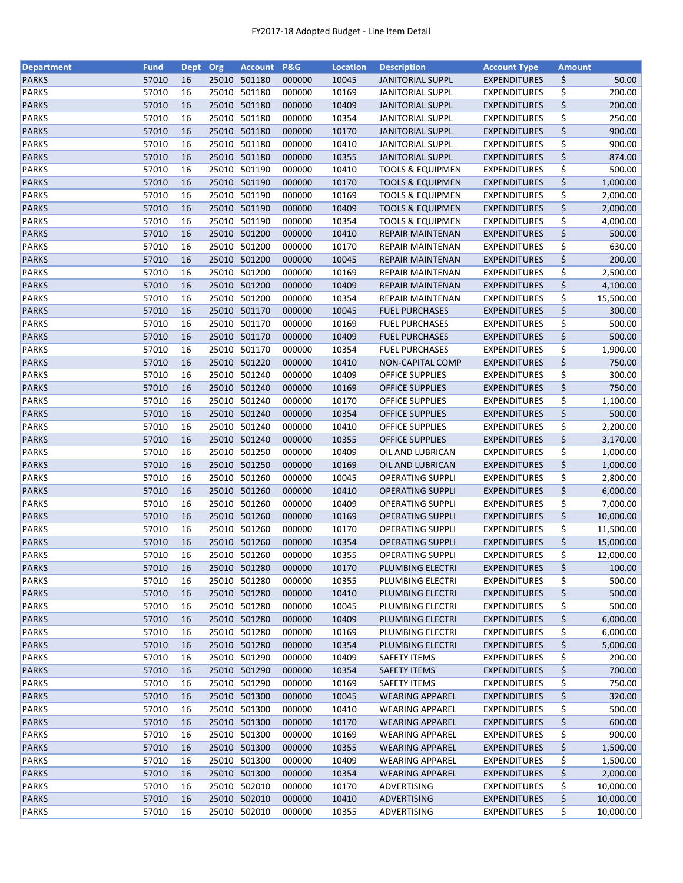| <b>Department</b> | <b>Fund</b> | <b>Dept</b> | Org   | <b>Account</b> | P&G    | <b>Location</b> | <b>Description</b>          | <b>Account Type</b> | <b>Amount</b> |           |
|-------------------|-------------|-------------|-------|----------------|--------|-----------------|-----------------------------|---------------------|---------------|-----------|
| <b>PARKS</b>      | 57010       | 16          |       | 25010 501180   | 000000 | 10045           | <b>JANITORIAL SUPPL</b>     | <b>EXPENDITURES</b> | \$            | 50.00     |
| <b>PARKS</b>      | 57010       | 16          | 25010 | 501180         | 000000 | 10169           | <b>JANITORIAL SUPPL</b>     | <b>EXPENDITURES</b> | \$            | 200.00    |
| <b>PARKS</b>      | 57010       | 16          |       | 25010 501180   | 000000 | 10409           | <b>JANITORIAL SUPPL</b>     | <b>EXPENDITURES</b> | \$            | 200.00    |
| <b>PARKS</b>      | 57010       | 16          | 25010 | 501180         | 000000 | 10354           | <b>JANITORIAL SUPPL</b>     | <b>EXPENDITURES</b> | \$            | 250.00    |
| <b>PARKS</b>      | 57010       | 16          |       | 25010 501180   | 000000 | 10170           | <b>JANITORIAL SUPPL</b>     | <b>EXPENDITURES</b> | \$            | 900.00    |
| <b>PARKS</b>      | 57010       | 16          |       | 25010 501180   | 000000 | 10410           | <b>JANITORIAL SUPPL</b>     | <b>EXPENDITURES</b> | \$            | 900.00    |
| <b>PARKS</b>      | 57010       | 16          |       | 25010 501180   | 000000 | 10355           | <b>JANITORIAL SUPPL</b>     | <b>EXPENDITURES</b> | \$            | 874.00    |
| <b>PARKS</b>      | 57010       | 16          |       | 25010 501190   | 000000 | 10410           | <b>TOOLS &amp; EQUIPMEN</b> | <b>EXPENDITURES</b> | \$            | 500.00    |
| <b>PARKS</b>      | 57010       | 16          |       | 25010 501190   | 000000 | 10170           | <b>TOOLS &amp; EQUIPMEN</b> | <b>EXPENDITURES</b> | \$            | 1,000.00  |
| <b>PARKS</b>      | 57010       | 16          |       | 25010 501190   | 000000 | 10169           | <b>TOOLS &amp; EQUIPMEN</b> | <b>EXPENDITURES</b> | \$            | 2,000.00  |
| <b>PARKS</b>      | 57010       | 16          |       | 25010 501190   | 000000 | 10409           | <b>TOOLS &amp; EQUIPMEN</b> | <b>EXPENDITURES</b> | \$            | 2,000.00  |
| <b>PARKS</b>      | 57010       | 16          |       | 25010 501190   | 000000 | 10354           | <b>TOOLS &amp; EQUIPMEN</b> | <b>EXPENDITURES</b> |               | 4,000.00  |
| <b>PARKS</b>      | 57010       | 16          |       | 25010 501200   | 000000 | 10410           |                             |                     | \$<br>\$      | 500.00    |
|                   |             |             |       |                |        |                 | REPAIR MAINTENAN            | <b>EXPENDITURES</b> |               |           |
| <b>PARKS</b>      | 57010       | 16          | 25010 | 501200         | 000000 | 10170           | REPAIR MAINTENAN            | <b>EXPENDITURES</b> | \$            | 630.00    |
| <b>PARKS</b>      | 57010       | 16          | 25010 | 501200         | 000000 | 10045           | REPAIR MAINTENAN            | <b>EXPENDITURES</b> | \$            | 200.00    |
| <b>PARKS</b>      | 57010       | 16          | 25010 | 501200         | 000000 | 10169           | REPAIR MAINTENAN            | <b>EXPENDITURES</b> | \$            | 2,500.00  |
| <b>PARKS</b>      | 57010       | 16          |       | 25010 501200   | 000000 | 10409           | REPAIR MAINTENAN            | <b>EXPENDITURES</b> | \$            | 4,100.00  |
| <b>PARKS</b>      | 57010       | 16          |       | 25010 501200   | 000000 | 10354           | REPAIR MAINTENAN            | <b>EXPENDITURES</b> | \$            | 15,500.00 |
| <b>PARKS</b>      | 57010       | 16          |       | 25010 501170   | 000000 | 10045           | <b>FUEL PURCHASES</b>       | <b>EXPENDITURES</b> | \$            | 300.00    |
| <b>PARKS</b>      | 57010       | 16          |       | 25010 501170   | 000000 | 10169           | <b>FUEL PURCHASES</b>       | <b>EXPENDITURES</b> | \$            | 500.00    |
| <b>PARKS</b>      | 57010       | 16          |       | 25010 501170   | 000000 | 10409           | <b>FUEL PURCHASES</b>       | <b>EXPENDITURES</b> | \$            | 500.00    |
| <b>PARKS</b>      | 57010       | 16          |       | 25010 501170   | 000000 | 10354           | <b>FUEL PURCHASES</b>       | <b>EXPENDITURES</b> | \$            | 1,900.00  |
| <b>PARKS</b>      | 57010       | 16          |       | 25010 501220   | 000000 | 10410           | <b>NON-CAPITAL COMP</b>     | <b>EXPENDITURES</b> | \$            | 750.00    |
| <b>PARKS</b>      | 57010       | 16          |       | 25010 501240   | 000000 | 10409           | <b>OFFICE SUPPLIES</b>      | <b>EXPENDITURES</b> | \$            | 300.00    |
| <b>PARKS</b>      | 57010       | 16          |       | 25010 501240   | 000000 | 10169           | <b>OFFICE SUPPLIES</b>      | <b>EXPENDITURES</b> | \$            | 750.00    |
| <b>PARKS</b>      | 57010       | 16          | 25010 | 501240         | 000000 | 10170           | OFFICE SUPPLIES             | <b>EXPENDITURES</b> | \$            | 1,100.00  |
| <b>PARKS</b>      | 57010       | 16          | 25010 | 501240         | 000000 | 10354           | <b>OFFICE SUPPLIES</b>      | <b>EXPENDITURES</b> | \$            | 500.00    |
| <b>PARKS</b>      | 57010       | 16          | 25010 | 501240         | 000000 | 10410           | <b>OFFICE SUPPLIES</b>      | <b>EXPENDITURES</b> | \$            | 2,200.00  |
| <b>PARKS</b>      | 57010       | 16          |       | 25010 501240   | 000000 | 10355           | <b>OFFICE SUPPLIES</b>      | <b>EXPENDITURES</b> | \$            | 3,170.00  |
| <b>PARKS</b>      | 57010       | 16          |       | 25010 501250   | 000000 | 10409           | OIL AND LUBRICAN            | <b>EXPENDITURES</b> | \$            | 1,000.00  |
| <b>PARKS</b>      | 57010       | 16          |       | 25010 501250   | 000000 | 10169           | OIL AND LUBRICAN            | <b>EXPENDITURES</b> | \$            | 1,000.00  |
| <b>PARKS</b>      | 57010       | 16          |       | 25010 501260   | 000000 | 10045           | <b>OPERATING SUPPLI</b>     | <b>EXPENDITURES</b> | \$            | 2,800.00  |
| <b>PARKS</b>      | 57010       | 16          |       | 25010 501260   | 000000 | 10410           | <b>OPERATING SUPPLI</b>     | <b>EXPENDITURES</b> | \$            | 6,000.00  |
| <b>PARKS</b>      | 57010       | 16          |       | 25010 501260   | 000000 | 10409           | <b>OPERATING SUPPLI</b>     | <b>EXPENDITURES</b> | \$            | 7,000.00  |
| <b>PARKS</b>      | 57010       | 16          |       | 25010 501260   | 000000 | 10169           | <b>OPERATING SUPPLI</b>     | <b>EXPENDITURES</b> | \$            | 10,000.00 |
| <b>PARKS</b>      | 57010       | 16          |       | 25010 501260   | 000000 | 10170           | <b>OPERATING SUPPLI</b>     | <b>EXPENDITURES</b> | \$            | 11,500.00 |
| <b>PARKS</b>      | 57010       | 16          |       | 25010 501260   | 000000 | 10354           |                             |                     | \$            |           |
|                   |             |             |       |                |        |                 | <b>OPERATING SUPPLI</b>     | <b>EXPENDITURES</b> |               | 15,000.00 |
| <b>PARKS</b>      | 57010       | 16          |       | 25010 501260   | 000000 | 10355           | <b>OPERATING SUPPLI</b>     | <b>EXPENDITURES</b> | \$            | 12,000.00 |
| <b>PARKS</b>      | 57010       | 16          |       | 25010 501280   | 000000 | 10170           | PLUMBING ELECTRI            | <b>EXPENDITURES</b> | \$            | 100.00    |
| <b>PARKS</b>      | 57010       | 16          | 25010 | 501280         | 000000 | 10355           | PLUMBING ELECTRI            | <b>EXPENDITURES</b> | \$            | 500.00    |
| <b>PARKS</b>      | 57010       | 16          |       | 25010 501280   | 000000 | 10410           | PLUMBING ELECTRI            | <b>EXPENDITURES</b> | \$            | 500.00    |
| <b>PARKS</b>      | 57010       | 16          |       | 25010 501280   | 000000 | 10045           | PLUMBING ELECTRI            | <b>EXPENDITURES</b> | \$            | 500.00    |
| <b>PARKS</b>      | 57010       | 16          |       | 25010 501280   | 000000 | 10409           | PLUMBING ELECTRI            | <b>EXPENDITURES</b> | \$            | 6,000.00  |
| <b>PARKS</b>      | 57010       | 16          |       | 25010 501280   | 000000 | 10169           | PLUMBING ELECTRI            | <b>EXPENDITURES</b> | \$            | 6,000.00  |
| <b>PARKS</b>      | 57010       | 16          |       | 25010 501280   | 000000 | 10354           | PLUMBING ELECTRI            | <b>EXPENDITURES</b> | \$            | 5,000.00  |
| PARKS             | 57010       | 16          |       | 25010 501290   | 000000 | 10409           | <b>SAFETY ITEMS</b>         | <b>EXPENDITURES</b> | \$            | 200.00    |
| <b>PARKS</b>      | 57010       | 16          |       | 25010 501290   | 000000 | 10354           | <b>SAFETY ITEMS</b>         | <b>EXPENDITURES</b> | \$            | 700.00    |
| PARKS             | 57010       | 16          |       | 25010 501290   | 000000 | 10169           | <b>SAFETY ITEMS</b>         | <b>EXPENDITURES</b> | \$            | 750.00    |
| <b>PARKS</b>      | 57010       | 16          |       | 25010 501300   | 000000 | 10045           | <b>WEARING APPAREL</b>      | <b>EXPENDITURES</b> | \$            | 320.00    |
| <b>PARKS</b>      | 57010       | 16          |       | 25010 501300   | 000000 | 10410           | <b>WEARING APPAREL</b>      | <b>EXPENDITURES</b> | \$            | 500.00    |
| <b>PARKS</b>      | 57010       | 16          |       | 25010 501300   | 000000 | 10170           | <b>WEARING APPAREL</b>      | <b>EXPENDITURES</b> | \$            | 600.00    |
| <b>PARKS</b>      | 57010       | 16          |       | 25010 501300   | 000000 | 10169           | <b>WEARING APPAREL</b>      | <b>EXPENDITURES</b> | \$            | 900.00    |
| <b>PARKS</b>      | 57010       | 16          |       | 25010 501300   | 000000 | 10355           | <b>WEARING APPAREL</b>      | <b>EXPENDITURES</b> | \$            | 1,500.00  |
| <b>PARKS</b>      | 57010       | 16          |       | 25010 501300   | 000000 | 10409           | <b>WEARING APPAREL</b>      | <b>EXPENDITURES</b> | \$            | 1,500.00  |
| <b>PARKS</b>      | 57010       | 16          |       | 25010 501300   | 000000 | 10354           | <b>WEARING APPAREL</b>      | <b>EXPENDITURES</b> | \$            | 2,000.00  |
| <b>PARKS</b>      | 57010       | 16          |       | 25010 502010   | 000000 | 10170           | ADVERTISING                 | <b>EXPENDITURES</b> | \$            | 10,000.00 |
| <b>PARKS</b>      | 57010       | 16          |       | 25010 502010   | 000000 | 10410           | ADVERTISING                 | <b>EXPENDITURES</b> | \$            | 10,000.00 |
| <b>PARKS</b>      | 57010       | 16          |       | 25010 502010   | 000000 | 10355           | ADVERTISING                 | <b>EXPENDITURES</b> | \$            | 10,000.00 |
|                   |             |             |       |                |        |                 |                             |                     |               |           |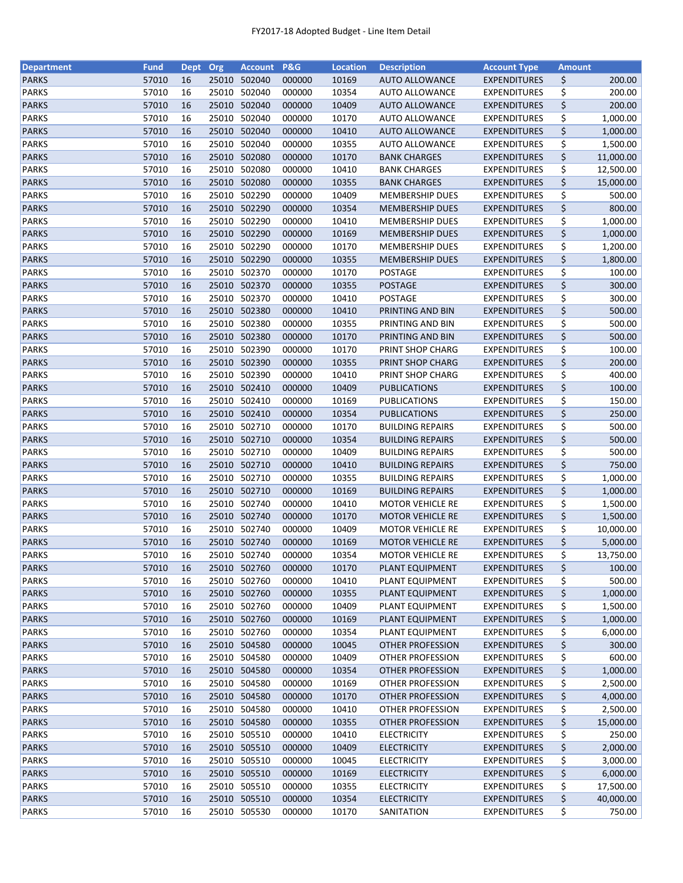| <b>Department</b> | <b>Fund</b>    | <b>Dept</b> | Org   | <b>Account</b>               | P&G              | <b>Location</b> | <b>Description</b>                                 | <b>Account Type</b> | <b>Amount</b> |                      |
|-------------------|----------------|-------------|-------|------------------------------|------------------|-----------------|----------------------------------------------------|---------------------|---------------|----------------------|
| <b>PARKS</b>      | 57010          | 16          | 25010 | 502040                       | 000000           | 10169           | <b>AUTO ALLOWANCE</b>                              | <b>EXPENDITURES</b> | \$            | 200.00               |
| <b>PARKS</b>      | 57010          | 16          | 25010 | 502040                       | 000000           | 10354           | <b>AUTO ALLOWANCE</b>                              | <b>EXPENDITURES</b> | \$            | 200.00               |
| <b>PARKS</b>      | 57010          | 16          |       | 25010 502040                 | 000000           | 10409           | <b>AUTO ALLOWANCE</b>                              | <b>EXPENDITURES</b> | \$            | 200.00               |
| <b>PARKS</b>      | 57010          | 16          | 25010 | 502040                       | 000000           | 10170           | <b>AUTO ALLOWANCE</b>                              | <b>EXPENDITURES</b> | \$            | 1,000.00             |
| <b>PARKS</b>      | 57010          | 16          |       | 25010 502040                 | 000000           | 10410           | <b>AUTO ALLOWANCE</b>                              | <b>EXPENDITURES</b> | \$            | 1,000.00             |
| <b>PARKS</b>      | 57010          | 16          |       | 25010 502040                 | 000000           | 10355           | <b>AUTO ALLOWANCE</b>                              | <b>EXPENDITURES</b> | \$            | 1,500.00             |
| <b>PARKS</b>      | 57010          | 16          |       | 25010 502080                 | 000000           | 10170           | <b>BANK CHARGES</b>                                | <b>EXPENDITURES</b> | \$            | 11,000.00            |
| <b>PARKS</b>      | 57010          | 16          | 25010 | 502080                       | 000000           | 10410           | <b>BANK CHARGES</b>                                | <b>EXPENDITURES</b> | \$            | 12,500.00            |
| <b>PARKS</b>      | 57010          | 16          |       | 25010 502080                 | 000000           | 10355           | <b>BANK CHARGES</b>                                | <b>EXPENDITURES</b> | \$            | 15,000.00            |
| <b>PARKS</b>      | 57010          | 16          |       | 25010 502290                 | 000000           | 10409           | <b>MEMBERSHIP DUES</b>                             | <b>EXPENDITURES</b> | \$            | 500.00               |
| <b>PARKS</b>      | 57010          | 16          |       | 25010 502290                 | 000000           | 10354           | <b>MEMBERSHIP DUES</b>                             | <b>EXPENDITURES</b> | \$            | 800.00               |
| <b>PARKS</b>      | 57010          | 16          |       | 25010 502290                 | 000000           | 10410           | <b>MEMBERSHIP DUES</b>                             | <b>EXPENDITURES</b> | \$            | 1,000.00             |
| <b>PARKS</b>      | 57010          | 16          |       | 25010 502290                 | 000000           | 10169           | <b>MEMBERSHIP DUES</b>                             | <b>EXPENDITURES</b> | \$            | 1,000.00             |
| <b>PARKS</b>      | 57010          | 16          | 25010 | 502290                       | 000000           | 10170           | <b>MEMBERSHIP DUES</b>                             | <b>EXPENDITURES</b> | \$            | 1,200.00             |
| <b>PARKS</b>      | 57010          | 16          | 25010 | 502290                       | 000000           | 10355           | <b>MEMBERSHIP DUES</b>                             | <b>EXPENDITURES</b> | \$            | 1,800.00             |
| <b>PARKS</b>      | 57010          | 16          | 25010 | 502370                       | 000000           | 10170           | <b>POSTAGE</b>                                     | <b>EXPENDITURES</b> | \$            | 100.00               |
| <b>PARKS</b>      | 57010          | 16          |       | 25010 502370                 | 000000           | 10355           | <b>POSTAGE</b>                                     | <b>EXPENDITURES</b> | \$            | 300.00               |
| <b>PARKS</b>      | 57010          | 16          |       | 25010 502370                 | 000000           | 10410           | <b>POSTAGE</b>                                     | <b>EXPENDITURES</b> | \$            | 300.00               |
| <b>PARKS</b>      | 57010          | 16          |       | 25010 502380                 | 000000           | 10410           | PRINTING AND BIN                                   | <b>EXPENDITURES</b> | \$            | 500.00               |
| PARKS             | 57010          | 16          |       | 25010 502380                 | 000000           | 10355           | PRINTING AND BIN                                   | <b>EXPENDITURES</b> | \$            | 500.00               |
| <b>PARKS</b>      | 57010          | 16          |       | 25010 502380                 | 000000           | 10170           | PRINTING AND BIN                                   | <b>EXPENDITURES</b> | \$            | 500.00               |
| <b>PARKS</b>      | 57010          | 16          |       | 25010 502390                 | 000000           | 10170           | PRINT SHOP CHARG                                   | <b>EXPENDITURES</b> | \$            | 100.00               |
| <b>PARKS</b>      | 57010          | 16          |       | 25010 502390                 | 000000           | 10355           | PRINT SHOP CHARG                                   | <b>EXPENDITURES</b> | \$            | 200.00               |
| <b>PARKS</b>      | 57010          | 16          |       | 25010 502390                 | 000000           | 10410           | PRINT SHOP CHARG                                   | <b>EXPENDITURES</b> | \$            | 400.00               |
| <b>PARKS</b>      | 57010          | 16          |       | 25010 502410                 | 000000           | 10409           | <b>PUBLICATIONS</b>                                | <b>EXPENDITURES</b> | \$            | 100.00               |
| <b>PARKS</b>      | 57010          | 16          | 25010 | 502410                       | 000000           | 10169           | PUBLICATIONS                                       | <b>EXPENDITURES</b> | \$            | 150.00               |
| <b>PARKS</b>      | 57010          | 16          | 25010 | 502410                       | 000000           | 10354           | PUBLICATIONS                                       | <b>EXPENDITURES</b> | \$            | 250.00               |
| <b>PARKS</b>      | 57010          | 16          | 25010 | 502710                       | 000000           | 10170           | <b>BUILDING REPAIRS</b>                            | <b>EXPENDITURES</b> | \$            | 500.00               |
| <b>PARKS</b>      | 57010          | 16          |       | 25010 502710                 | 000000           | 10354           | <b>BUILDING REPAIRS</b>                            | <b>EXPENDITURES</b> | \$            | 500.00               |
| <b>PARKS</b>      | 57010          | 16          |       | 25010 502710                 | 000000           | 10409           | <b>BUILDING REPAIRS</b>                            | <b>EXPENDITURES</b> |               | 500.00               |
| <b>PARKS</b>      | 57010          | 16          |       | 25010 502710                 | 000000           | 10410           | <b>BUILDING REPAIRS</b>                            | <b>EXPENDITURES</b> | \$<br>\$      | 750.00               |
|                   |                |             |       | 25010 502710                 |                  |                 |                                                    |                     |               |                      |
| <b>PARKS</b>      | 57010<br>57010 | 16<br>16    |       | 25010 502710                 | 000000<br>000000 | 10355<br>10169  | <b>BUILDING REPAIRS</b>                            | <b>EXPENDITURES</b> | \$<br>\$      | 1,000.00<br>1,000.00 |
| <b>PARKS</b>      | 57010          | 16          |       | 25010 502740                 |                  | 10410           | <b>BUILDING REPAIRS</b><br><b>MOTOR VEHICLE RE</b> | <b>EXPENDITURES</b> |               |                      |
| <b>PARKS</b>      |                |             |       |                              | 000000           |                 |                                                    | <b>EXPENDITURES</b> | \$            | 1,500.00             |
| <b>PARKS</b>      | 57010          | 16          |       | 25010 502740<br>25010 502740 | 000000           | 10170           | <b>MOTOR VEHICLE RE</b>                            | <b>EXPENDITURES</b> | \$            | 1,500.00             |
| <b>PARKS</b>      | 57010          | 16          |       |                              | 000000           | 10409           | <b>MOTOR VEHICLE RE</b>                            | <b>EXPENDITURES</b> | \$            | 10,000.00            |
| <b>PARKS</b>      | 57010          | 16          |       | 25010 502740                 | 000000           | 10169           | <b>MOTOR VEHICLE RE</b>                            | <b>EXPENDITURES</b> | \$            | 5,000.00             |
| <b>PARKS</b>      | 57010          | 16          |       | 25010 502740                 | 000000           | 10354           | <b>MOTOR VEHICLE RE</b>                            | <b>EXPENDITURES</b> | \$            | 13,750.00            |
| <b>PARKS</b>      | 57010          | 16          |       | 25010 502760                 | 000000           | 10170           | PLANT EQUIPMENT                                    | <b>EXPENDITURES</b> | \$            | 100.00               |
| <b>PARKS</b>      | 57010          | 16          | 25010 | 502760                       | 000000           | 10410           | PLANT EQUIPMENT                                    | <b>EXPENDITURES</b> | \$            | 500.00               |
| <b>PARKS</b>      | 57010          | 16          |       | 25010 502760                 | 000000           | 10355           | PLANT EQUIPMENT                                    | <b>EXPENDITURES</b> | \$            | 1,000.00             |
| <b>PARKS</b>      | 57010          | 16          |       | 25010 502760                 | 000000           | 10409           | PLANT EQUIPMENT                                    | <b>EXPENDITURES</b> | \$            | 1,500.00             |
| <b>PARKS</b>      | 57010          | 16          |       | 25010 502760                 | 000000           | 10169           | PLANT EQUIPMENT                                    | <b>EXPENDITURES</b> | \$            | 1,000.00             |
| <b>PARKS</b>      | 57010          | 16          |       | 25010 502760                 | 000000           | 10354           | PLANT EQUIPMENT                                    | <b>EXPENDITURES</b> | \$            | 6,000.00             |
| <b>PARKS</b>      | 57010          | 16          |       | 25010 504580                 | 000000           | 10045           | OTHER PROFESSION                                   | <b>EXPENDITURES</b> | \$            | 300.00               |
| PARKS             | 57010          | 16          |       | 25010 504580                 | 000000           | 10409           | OTHER PROFESSION                                   | <b>EXPENDITURES</b> | \$            | 600.00               |
| <b>PARKS</b>      | 57010          | 16          |       | 25010 504580                 | 000000           | 10354           | <b>OTHER PROFESSION</b>                            | <b>EXPENDITURES</b> | \$            | 1,000.00             |
| PARKS             | 57010          | 16          |       | 25010 504580                 | 000000           | 10169           | OTHER PROFESSION                                   | <b>EXPENDITURES</b> | \$            | 2,500.00             |
| <b>PARKS</b>      | 57010          | 16          |       | 25010 504580                 | 000000           | 10170           | <b>OTHER PROFESSION</b>                            | <b>EXPENDITURES</b> | \$            | 4,000.00             |
| <b>PARKS</b>      | 57010          | 16          |       | 25010 504580                 | 000000           | 10410           | OTHER PROFESSION                                   | <b>EXPENDITURES</b> | \$            | 2,500.00             |
| <b>PARKS</b>      | 57010          | 16          |       | 25010 504580                 | 000000           | 10355           | OTHER PROFESSION                                   | <b>EXPENDITURES</b> | \$            | 15,000.00            |
| <b>PARKS</b>      | 57010          | 16          | 25010 | 505510                       | 000000           | 10410           | <b>ELECTRICITY</b>                                 | <b>EXPENDITURES</b> | \$            | 250.00               |
| <b>PARKS</b>      | 57010          | 16          |       | 25010 505510                 | 000000           | 10409           | <b>ELECTRICITY</b>                                 | <b>EXPENDITURES</b> | \$            | 2,000.00             |
| <b>PARKS</b>      | 57010          | 16          |       | 25010 505510                 | 000000           | 10045           | <b>ELECTRICITY</b>                                 | <b>EXPENDITURES</b> | \$            | 3,000.00             |
| <b>PARKS</b>      | 57010          | 16          |       | 25010 505510                 | 000000           | 10169           | <b>ELECTRICITY</b>                                 | <b>EXPENDITURES</b> | \$            | 6,000.00             |
| <b>PARKS</b>      | 57010          | 16          |       | 25010 505510                 | 000000           | 10355           | <b>ELECTRICITY</b>                                 | <b>EXPENDITURES</b> | \$            | 17,500.00            |
| <b>PARKS</b>      | 57010          | 16          |       | 25010 505510                 | 000000           | 10354           | <b>ELECTRICITY</b>                                 | <b>EXPENDITURES</b> | \$            | 40,000.00            |
| <b>PARKS</b>      | 57010          | 16          |       | 25010 505530                 | 000000           | 10170           | SANITATION                                         | <b>EXPENDITURES</b> | \$            | 750.00               |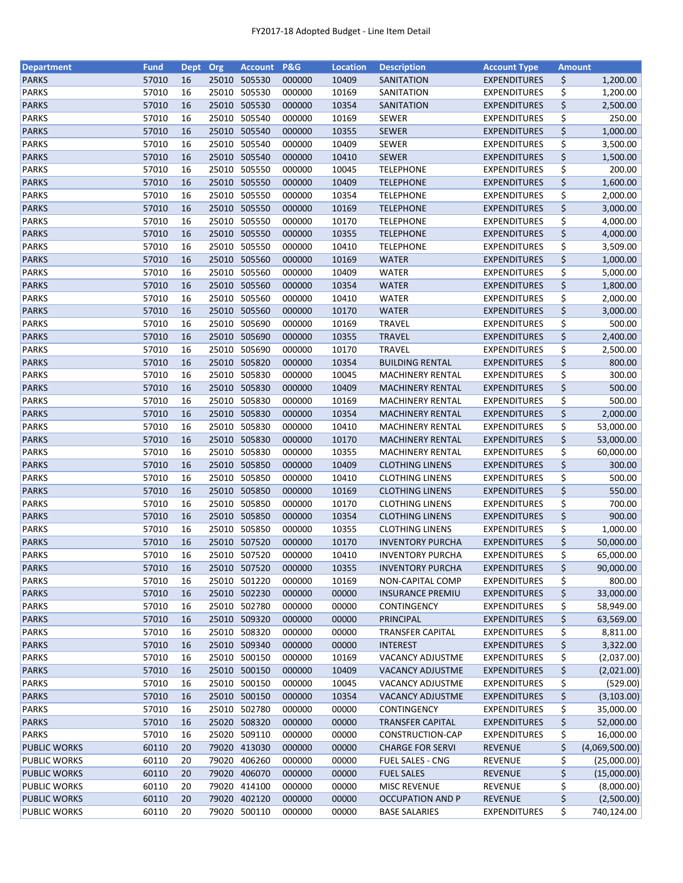| <b>Department</b>   | <b>Fund</b> | <b>Dept</b> | Org   | <b>Account</b> | <b>P&amp;G</b> | <b>Location</b> | <b>Description</b>      | <b>Account Type</b> | <b>Amount</b> |                |
|---------------------|-------------|-------------|-------|----------------|----------------|-----------------|-------------------------|---------------------|---------------|----------------|
| <b>PARKS</b>        | 57010       | 16          |       | 25010 505530   | 000000         | 10409           | SANITATION              | <b>EXPENDITURES</b> | \$            | 1,200.00       |
| <b>PARKS</b>        | 57010       | 16          |       | 25010 505530   | 000000         | 10169           | SANITATION              | <b>EXPENDITURES</b> | \$            | 1,200.00       |
| <b>PARKS</b>        | 57010       | 16          | 25010 | 505530         | 000000         | 10354           | SANITATION              | <b>EXPENDITURES</b> | \$            | 2,500.00       |
| <b>PARKS</b>        | 57010       | 16          | 25010 | 505540         | 000000         | 10169           | <b>SEWER</b>            | <b>EXPENDITURES</b> | \$            | 250.00         |
| <b>PARKS</b>        | 57010       | 16          |       | 25010 505540   | 000000         | 10355           | SEWER                   | <b>EXPENDITURES</b> | \$            | 1,000.00       |
| <b>PARKS</b>        | 57010       | 16          |       | 25010 505540   | 000000         | 10409           | SEWER                   | <b>EXPENDITURES</b> | \$            | 3,500.00       |
| <b>PARKS</b>        | 57010       | 16          |       | 25010 505540   | 000000         | 10410           | <b>SEWER</b>            | <b>EXPENDITURES</b> | \$            | 1,500.00       |
| <b>PARKS</b>        | 57010       | 16          |       | 25010 505550   | 000000         | 10045           | <b>TELEPHONE</b>        | <b>EXPENDITURES</b> | \$            | 200.00         |
| <b>PARKS</b>        | 57010       | 16          |       | 25010 505550   | 000000         | 10409           | <b>TELEPHONE</b>        | <b>EXPENDITURES</b> | \$            | 1,600.00       |
| <b>PARKS</b>        | 57010       | 16          | 25010 | 505550         | 000000         | 10354           | <b>TELEPHONE</b>        | <b>EXPENDITURES</b> | \$            | 2,000.00       |
| <b>PARKS</b>        | 57010       | 16          |       | 25010 505550   | 000000         | 10169           | <b>TELEPHONE</b>        | <b>EXPENDITURES</b> | \$            | 3,000.00       |
| <b>PARKS</b>        | 57010       | 16          |       | 25010 505550   | 000000         | 10170           | <b>TELEPHONE</b>        | <b>EXPENDITURES</b> | \$            | 4,000.00       |
| <b>PARKS</b>        | 57010       | 16          |       | 25010 505550   | 000000         | 10355           | <b>TELEPHONE</b>        | <b>EXPENDITURES</b> | \$            | 4,000.00       |
| <b>PARKS</b>        | 57010       | 16          |       | 25010 505550   | 000000         | 10410           | <b>TELEPHONE</b>        | <b>EXPENDITURES</b> | \$            | 3,509.00       |
| <b>PARKS</b>        | 57010       | 16          |       | 25010 505560   | 000000         | 10169           | <b>WATER</b>            | <b>EXPENDITURES</b> | \$            | 1,000.00       |
| <b>PARKS</b>        | 57010       | 16          | 25010 | 505560         | 000000         | 10409           | <b>WATER</b>            | <b>EXPENDITURES</b> | \$            | 5,000.00       |
| <b>PARKS</b>        | 57010       | 16          |       | 25010 505560   | 000000         | 10354           | <b>WATER</b>            | <b>EXPENDITURES</b> | \$            | 1,800.00       |
| <b>PARKS</b>        | 57010       | 16          |       | 25010 505560   | 000000         | 10410           | <b>WATER</b>            | <b>EXPENDITURES</b> | \$            | 2,000.00       |
| <b>PARKS</b>        | 57010       | 16          |       | 25010 505560   | 000000         | 10170           | <b>WATER</b>            | <b>EXPENDITURES</b> | \$            | 3,000.00       |
| <b>PARKS</b>        | 57010       | 16          |       | 25010 505690   | 000000         | 10169           | <b>TRAVEL</b>           | <b>EXPENDITURES</b> | \$            | 500.00         |
| <b>PARKS</b>        | 57010       | 16          |       | 25010 505690   | 000000         | 10355           | <b>TRAVEL</b>           | <b>EXPENDITURES</b> | \$            | 2,400.00       |
| <b>PARKS</b>        | 57010       | 16          |       | 25010 505690   | 000000         | 10170           | <b>TRAVEL</b>           | <b>EXPENDITURES</b> | \$            | 2,500.00       |
| <b>PARKS</b>        | 57010       | 16          |       | 25010 505820   | 000000         | 10354           | <b>BUILDING RENTAL</b>  | <b>EXPENDITURES</b> | \$            | 800.00         |
| <b>PARKS</b>        | 57010       | 16          |       | 25010 505830   | 000000         | 10045           | <b>MACHINERY RENTAL</b> | <b>EXPENDITURES</b> | \$            | 300.00         |
| <b>PARKS</b>        | 57010       | 16          |       | 25010 505830   | 000000         | 10409           | <b>MACHINERY RENTAL</b> | <b>EXPENDITURES</b> | \$            | 500.00         |
| <b>PARKS</b>        | 57010       | 16          |       | 25010 505830   | 000000         | 10169           | <b>MACHINERY RENTAL</b> | <b>EXPENDITURES</b> | \$            | 500.00         |
| <b>PARKS</b>        | 57010       | 16          |       | 25010 505830   | 000000         | 10354           | <b>MACHINERY RENTAL</b> | <b>EXPENDITURES</b> | \$            | 2,000.00       |
| <b>PARKS</b>        | 57010       | 16          | 25010 | 505830         | 000000         | 10410           | <b>MACHINERY RENTAL</b> | <b>EXPENDITURES</b> | \$            | 53,000.00      |
| <b>PARKS</b>        | 57010       | 16          | 25010 | 505830         | 000000         | 10170           | <b>MACHINERY RENTAL</b> | <b>EXPENDITURES</b> | \$            | 53,000.00      |
| <b>PARKS</b>        | 57010       | 16          | 25010 | 505830         | 000000         | 10355           | MACHINERY RENTAL        | <b>EXPENDITURES</b> | \$            | 60,000.00      |
| <b>PARKS</b>        | 57010       | 16          |       | 25010 505850   | 000000         | 10409           | <b>CLOTHING LINENS</b>  | <b>EXPENDITURES</b> | \$            | 300.00         |
| <b>PARKS</b>        | 57010       | 16          |       | 25010 505850   | 000000         | 10410           | <b>CLOTHING LINENS</b>  | <b>EXPENDITURES</b> | \$            | 500.00         |
| <b>PARKS</b>        | 57010       | 16          |       | 25010 505850   | 000000         | 10169           | <b>CLOTHING LINENS</b>  | <b>EXPENDITURES</b> | \$            | 550.00         |
| <b>PARKS</b>        | 57010       | 16          | 25010 | 505850         | 000000         | 10170           | <b>CLOTHING LINENS</b>  | <b>EXPENDITURES</b> | \$            | 700.00         |
| <b>PARKS</b>        | 57010       | 16          |       | 25010 505850   | 000000         | 10354           | <b>CLOTHING LINENS</b>  | <b>EXPENDITURES</b> | \$            | 900.00         |
| <b>PARKS</b>        | 57010       | 16          |       | 25010 505850   | 000000         | 10355           | <b>CLOTHING LINENS</b>  | <b>EXPENDITURES</b> | \$            | 1,000.00       |
| <b>PARKS</b>        | 57010       | 16          |       | 25010 507520   | 000000         | 10170           | <b>INVENTORY PURCHA</b> | <b>EXPENDITURES</b> | \$            | 50,000.00      |
| <b>PARKS</b>        | 57010       | 16          |       | 25010 507520   | 000000         | 10410           | <b>INVENTORY PURCHA</b> | <b>EXPENDITURES</b> | \$            | 65,000.00      |
| <b>PARKS</b>        | 57010       | 16          |       | 25010 507520   | 000000         | 10355           | <b>INVENTORY PURCHA</b> | <b>EXPENDITURES</b> | \$            | 90,000.00      |
| <b>PARKS</b>        | 57010       | 16          |       | 25010 501220   | 000000         | 10169           | NON-CAPITAL COMP        | <b>EXPENDITURES</b> | \$            | 800.00         |
| <b>PARKS</b>        | 57010       | 16          |       | 25010 502230   | 000000         | 00000           | <b>INSURANCE PREMIU</b> | <b>EXPENDITURES</b> | \$            | 33,000.00      |
| <b>PARKS</b>        | 57010       | 16          |       | 25010 502780   | 000000         | 00000           | CONTINGENCY             | <b>EXPENDITURES</b> | \$            | 58,949.00      |
| <b>PARKS</b>        | 57010       | 16          |       | 25010 509320   | 000000         | 00000           | <b>PRINCIPAL</b>        | <b>EXPENDITURES</b> | \$            | 63,569.00      |
| <b>PARKS</b>        | 57010       | 16          |       | 25010 508320   | 000000         | 00000           | <b>TRANSFER CAPITAL</b> | <b>EXPENDITURES</b> | \$            | 8,811.00       |
| <b>PARKS</b>        | 57010       | 16          |       | 25010 509340   | 000000         | 00000           | <b>INTEREST</b>         | <b>EXPENDITURES</b> | \$            | 3,322.00       |
| <b>PARKS</b>        | 57010       | 16          |       | 25010 500150   | 000000         | 10169           | VACANCY ADJUSTME        | <b>EXPENDITURES</b> | \$            | (2,037.00)     |
| <b>PARKS</b>        | 57010       | 16          |       | 25010 500150   | 000000         | 10409           | <b>VACANCY ADJUSTME</b> | <b>EXPENDITURES</b> | \$            | (2,021.00)     |
| <b>PARKS</b>        | 57010       | 16          |       | 25010 500150   | 000000         | 10045           | <b>VACANCY ADJUSTME</b> | <b>EXPENDITURES</b> | \$            | (529.00)       |
| <b>PARKS</b>        | 57010       | 16          |       | 25010 500150   | 000000         | 10354           | <b>VACANCY ADJUSTME</b> | <b>EXPENDITURES</b> | \$            | (3, 103.00)    |
| <b>PARKS</b>        | 57010       | 16          |       | 25010 502780   | 000000         | 00000           | <b>CONTINGENCY</b>      | <b>EXPENDITURES</b> | \$            | 35,000.00      |
| <b>PARKS</b>        | 57010       | 16          |       | 25020 508320   | 000000         | 00000           | <b>TRANSFER CAPITAL</b> | <b>EXPENDITURES</b> | \$            | 52,000.00      |
| <b>PARKS</b>        | 57010       | 16          |       | 25020 509110   | 000000         | 00000           | CONSTRUCTION-CAP        | <b>EXPENDITURES</b> | \$            | 16,000.00      |
| <b>PUBLIC WORKS</b> | 60110       | 20          |       | 79020 413030   | 000000         | 00000           | <b>CHARGE FOR SERVI</b> | <b>REVENUE</b>      | \$            | (4,069,500.00) |
| <b>PUBLIC WORKS</b> | 60110       | 20          | 79020 | 406260         | 000000         | 00000           | <b>FUEL SALES - CNG</b> | <b>REVENUE</b>      | \$            | (25,000.00)    |
| <b>PUBLIC WORKS</b> | 60110       | 20          |       | 79020 406070   | 000000         | 00000           | <b>FUEL SALES</b>       | <b>REVENUE</b>      | \$            | (15,000.00)    |
| <b>PUBLIC WORKS</b> | 60110       | 20          |       | 79020 414100   | 000000         | 00000           | <b>MISC REVENUE</b>     | <b>REVENUE</b>      | \$            | (8,000.00)     |
| <b>PUBLIC WORKS</b> | 60110       | 20          |       | 79020 402120   | 000000         | 00000           | <b>OCCUPATION AND P</b> | REVENUE             | \$            | (2,500.00)     |
| <b>PUBLIC WORKS</b> | 60110       | 20          |       | 79020 500110   | 000000         | 00000           | <b>BASE SALARIES</b>    | <b>EXPENDITURES</b> | \$            | 740,124.00     |
|                     |             |             |       |                |                |                 |                         |                     |               |                |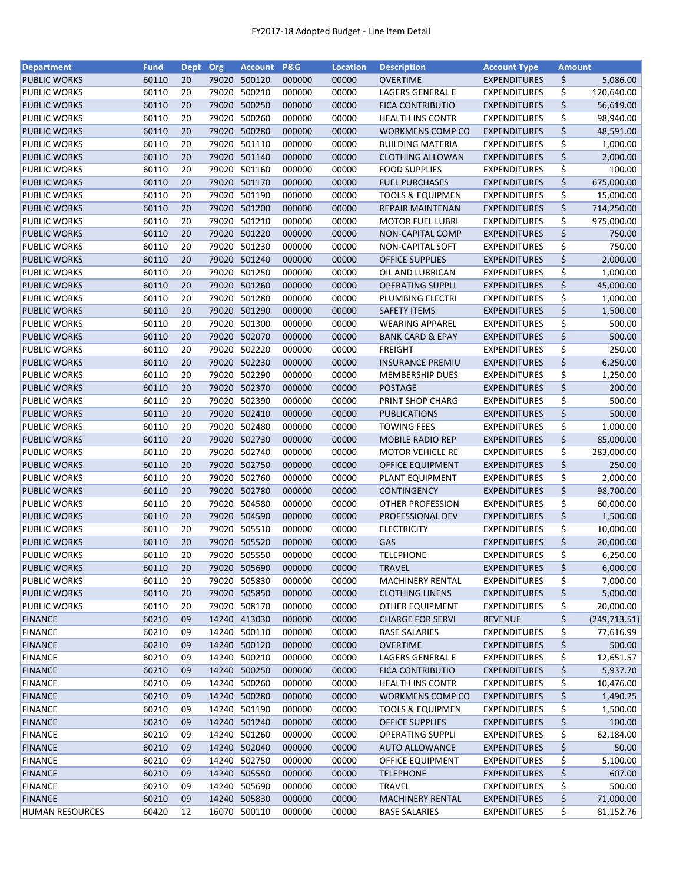| <b>Department</b>      | <b>Fund</b> | Dept Org |       | <b>Account</b> | <b>P&amp;G</b> | <b>Location</b> | <b>Description</b>          | <b>Account Type</b> | <b>Amount</b> |               |
|------------------------|-------------|----------|-------|----------------|----------------|-----------------|-----------------------------|---------------------|---------------|---------------|
| <b>PUBLIC WORKS</b>    | 60110       | 20       | 79020 | 500120         | 000000         | 00000           | <b>OVERTIME</b>             | <b>EXPENDITURES</b> | \$            | 5,086.00      |
| <b>PUBLIC WORKS</b>    | 60110       | 20       | 79020 | 500210         | 000000         | 00000           | LAGERS GENERAL E            | <b>EXPENDITURES</b> | \$            | 120,640.00    |
| <b>PUBLIC WORKS</b>    | 60110       | 20       | 79020 | 500250         | 000000         | 00000           | <b>FICA CONTRIBUTIO</b>     | <b>EXPENDITURES</b> | \$            | 56,619.00     |
| <b>PUBLIC WORKS</b>    | 60110       | 20       | 79020 | 500260         | 000000         | 00000           | <b>HEALTH INS CONTR</b>     | <b>EXPENDITURES</b> | \$            | 98,940.00     |
| <b>PUBLIC WORKS</b>    | 60110       | 20       | 79020 | 500280         | 000000         | 00000           | WORKMENS COMP CO            | <b>EXPENDITURES</b> | \$            | 48,591.00     |
| <b>PUBLIC WORKS</b>    | 60110       | 20       | 79020 | 501110         | 000000         | 00000           | <b>BUILDING MATERIA</b>     | <b>EXPENDITURES</b> | \$            | 1,000.00      |
| <b>PUBLIC WORKS</b>    | 60110       | 20       | 79020 | 501140         | 000000         | 00000           | <b>CLOTHING ALLOWAN</b>     | <b>EXPENDITURES</b> | \$            | 2,000.00      |
| <b>PUBLIC WORKS</b>    | 60110       | 20       | 79020 | 501160         | 000000         | 00000           | <b>FOOD SUPPLIES</b>        | <b>EXPENDITURES</b> | \$            | 100.00        |
| <b>PUBLIC WORKS</b>    | 60110       | 20       |       | 79020 501170   | 000000         | 00000           | <b>FUEL PURCHASES</b>       | <b>EXPENDITURES</b> | \$            | 675,000.00    |
| <b>PUBLIC WORKS</b>    | 60110       | 20       | 79020 | 501190         | 000000         | 00000           | <b>TOOLS &amp; EQUIPMEN</b> | <b>EXPENDITURES</b> | \$            | 15,000.00     |
| <b>PUBLIC WORKS</b>    | 60110       | 20       |       | 79020 501200   | 000000         | 00000           | <b>REPAIR MAINTENAN</b>     | <b>EXPENDITURES</b> | \$            | 714,250.00    |
| <b>PUBLIC WORKS</b>    | 60110       | 20       | 79020 | 501210         | 000000         | 00000           | <b>MOTOR FUEL LUBRI</b>     | <b>EXPENDITURES</b> | \$            | 975,000.00    |
| <b>PUBLIC WORKS</b>    | 60110       | 20       | 79020 | 501220         | 000000         | 00000           | NON-CAPITAL COMP            | <b>EXPENDITURES</b> | \$            | 750.00        |
| <b>PUBLIC WORKS</b>    | 60110       | 20       | 79020 | 501230         | 000000         | 00000           | NON-CAPITAL SOFT            | <b>EXPENDITURES</b> | \$            | 750.00        |
| <b>PUBLIC WORKS</b>    | 60110       | 20       | 79020 | 501240         | 000000         | 00000           | <b>OFFICE SUPPLIES</b>      | <b>EXPENDITURES</b> | \$            | 2,000.00      |
| <b>PUBLIC WORKS</b>    | 60110       | 20       | 79020 | 501250         | 000000         | 00000           | OIL AND LUBRICAN            | <b>EXPENDITURES</b> | \$            | 1,000.00      |
| <b>PUBLIC WORKS</b>    | 60110       | 20       |       | 79020 501260   | 000000         | 00000           | <b>OPERATING SUPPLI</b>     | <b>EXPENDITURES</b> | \$            | 45,000.00     |
| <b>PUBLIC WORKS</b>    | 60110       | 20       | 79020 | 501280         | 000000         | 00000           | PLUMBING ELECTRI            | <b>EXPENDITURES</b> | \$            | 1,000.00      |
| <b>PUBLIC WORKS</b>    | 60110       | 20       | 79020 | 501290         | 000000         | 00000           | <b>SAFETY ITEMS</b>         | <b>EXPENDITURES</b> | \$            | 1,500.00      |
| <b>PUBLIC WORKS</b>    | 60110       | 20       |       | 79020 501300   | 000000         | 00000           | <b>WEARING APPAREL</b>      | <b>EXPENDITURES</b> | \$            | 500.00        |
| <b>PUBLIC WORKS</b>    | 60110       | 20       |       | 79020 502070   | 000000         | 00000           | <b>BANK CARD &amp; EPAY</b> | <b>EXPENDITURES</b> | \$            | 500.00        |
| <b>PUBLIC WORKS</b>    | 60110       | 20       | 79020 | 502220         | 000000         | 00000           | <b>FREIGHT</b>              | <b>EXPENDITURES</b> | \$            | 250.00        |
| <b>PUBLIC WORKS</b>    | 60110       | 20       |       | 79020 502230   | 000000         | 00000           | <b>INSURANCE PREMIU</b>     | <b>EXPENDITURES</b> | \$            | 6,250.00      |
| <b>PUBLIC WORKS</b>    | 60110       | 20       | 79020 | 502290         | 000000         | 00000           | <b>MEMBERSHIP DUES</b>      | <b>EXPENDITURES</b> | \$            | 1,250.00      |
| <b>PUBLIC WORKS</b>    | 60110       | 20       | 79020 | 502370         | 000000         | 00000           | <b>POSTAGE</b>              | <b>EXPENDITURES</b> | \$            | 200.00        |
| <b>PUBLIC WORKS</b>    | 60110       | 20       | 79020 | 502390         | 000000         | 00000           | PRINT SHOP CHARG            | <b>EXPENDITURES</b> | \$            | 500.00        |
| <b>PUBLIC WORKS</b>    | 60110       | 20       | 79020 | 502410         | 000000         | 00000           | <b>PUBLICATIONS</b>         | <b>EXPENDITURES</b> | \$            | 500.00        |
| <b>PUBLIC WORKS</b>    | 60110       | 20       | 79020 | 502480         | 000000         | 00000           | <b>TOWING FEES</b>          | <b>EXPENDITURES</b> | \$            | 1,000.00      |
| <b>PUBLIC WORKS</b>    | 60110       | 20       | 79020 | 502730         | 000000         | 00000           | <b>MOBILE RADIO REP</b>     | <b>EXPENDITURES</b> | \$            | 85,000.00     |
| <b>PUBLIC WORKS</b>    | 60110       | 20       | 79020 | 502740         | 000000         | 00000           | <b>MOTOR VEHICLE RE</b>     | <b>EXPENDITURES</b> | \$            | 283,000.00    |
| <b>PUBLIC WORKS</b>    | 60110       | 20       | 79020 | 502750         | 000000         | 00000           | <b>OFFICE EQUIPMENT</b>     | <b>EXPENDITURES</b> | \$            | 250.00        |
| <b>PUBLIC WORKS</b>    | 60110       | 20       | 79020 | 502760         | 000000         | 00000           | PLANT EQUIPMENT             | <b>EXPENDITURES</b> | \$            | 2,000.00      |
| <b>PUBLIC WORKS</b>    | 60110       | 20       | 79020 | 502780         | 000000         | 00000           | <b>CONTINGENCY</b>          | <b>EXPENDITURES</b> | \$            | 98,700.00     |
| <b>PUBLIC WORKS</b>    | 60110       | 20       | 79020 | 504580         | 000000         | 00000           | OTHER PROFESSION            | <b>EXPENDITURES</b> | \$            | 60,000.00     |
| <b>PUBLIC WORKS</b>    | 60110       | 20       |       | 79020 504590   | 000000         | 00000           | PROFESSIONAL DEV            | <b>EXPENDITURES</b> | \$            | 1,500.00      |
| <b>PUBLIC WORKS</b>    | 60110       | 20       |       | 79020 505510   | 000000         | 00000           | <b>ELECTRICITY</b>          | <b>EXPENDITURES</b> | \$            | 10,000.00     |
| <b>PUBLIC WORKS</b>    | 60110       | 20       |       | 79020 505520   | 000000         | 00000           | GAS                         | <b>EXPENDITURES</b> | \$            | 20,000.00     |
| <b>PUBLIC WORKS</b>    | 60110       | 20       |       | 79020 505550   | 000000         | 00000           | <b>TELEPHONE</b>            | <b>EXPENDITURES</b> | \$            | 6,250.00      |
| <b>PUBLIC WORKS</b>    |             |          |       |                |                |                 |                             |                     |               | 6,000.00      |
|                        | 60110       | 20       |       | 79020 505690   | 000000         | 00000           | <b>TRAVEL</b>               | <b>EXPENDITURES</b> | \$            | 7,000.00      |
| <b>PUBLIC WORKS</b>    | 60110       | 20       | 79020 | 505830         | 000000         | 00000           | <b>MACHINERY RENTAL</b>     | <b>EXPENDITURES</b> | \$            |               |
| <b>PUBLIC WORKS</b>    | 60110       | 20       |       | 79020 505850   | 000000         | 00000           | <b>CLOTHING LINENS</b>      | <b>EXPENDITURES</b> | \$            | 5,000.00      |
| <b>PUBLIC WORKS</b>    | 60110       | 20       |       | 79020 508170   | 000000         | 00000           | OTHER EQUIPMENT             | <b>EXPENDITURES</b> | \$            | 20,000.00     |
| <b>FINANCE</b>         | 60210       | 09       |       | 14240 413030   | 000000         | 00000           | <b>CHARGE FOR SERVI</b>     | <b>REVENUE</b>      | \$            | (249, 713.51) |
| <b>FINANCE</b>         | 60210       | 09       |       | 14240 500110   | 000000         | 00000           | <b>BASE SALARIES</b>        | <b>EXPENDITURES</b> | \$            | 77,616.99     |
| <b>FINANCE</b>         | 60210       | 09       |       | 14240 500120   | 000000         | 00000           | <b>OVERTIME</b>             | <b>EXPENDITURES</b> | \$            | 500.00        |
| <b>FINANCE</b>         | 60210       | 09       |       | 14240 500210   | 000000         | 00000           | LAGERS GENERAL E            | <b>EXPENDITURES</b> | \$            | 12,651.57     |
| <b>FINANCE</b>         | 60210       | 09       |       | 14240 500250   | 000000         | 00000           | <b>FICA CONTRIBUTIO</b>     | <b>EXPENDITURES</b> | \$            | 5,937.70      |
| <b>FINANCE</b>         | 60210       | 09       |       | 14240 500260   | 000000         | 00000           | <b>HEALTH INS CONTR</b>     | <b>EXPENDITURES</b> | \$            | 10,476.00     |
| <b>FINANCE</b>         | 60210       | 09       |       | 14240 500280   | 000000         | 00000           | <b>WORKMENS COMP CO</b>     | <b>EXPENDITURES</b> | \$            | 1,490.25      |
| <b>FINANCE</b>         | 60210       | 09       |       | 14240 501190   | 000000         | 00000           | <b>TOOLS &amp; EQUIPMEN</b> | <b>EXPENDITURES</b> | \$            | 1,500.00      |
| <b>FINANCE</b>         | 60210       | 09       |       | 14240 501240   | 000000         | 00000           | <b>OFFICE SUPPLIES</b>      | <b>EXPENDITURES</b> | \$            | 100.00        |
| <b>FINANCE</b>         | 60210       | 09       | 14240 | 501260         | 000000         | 00000           | <b>OPERATING SUPPLI</b>     | <b>EXPENDITURES</b> | \$            | 62,184.00     |
| <b>FINANCE</b>         | 60210       | 09       |       | 14240 502040   | 000000         | 00000           | <b>AUTO ALLOWANCE</b>       | <b>EXPENDITURES</b> | \$            | 50.00         |
| <b>FINANCE</b>         | 60210       | 09       |       | 14240 502750   | 000000         | 00000           | OFFICE EQUIPMENT            | <b>EXPENDITURES</b> | \$            | 5,100.00      |
| <b>FINANCE</b>         | 60210       | 09       |       | 14240 505550   | 000000         | 00000           | <b>TELEPHONE</b>            | <b>EXPENDITURES</b> | \$            | 607.00        |
| <b>FINANCE</b>         | 60210       | 09       |       | 14240 505690   | 000000         | 00000           | TRAVEL                      | <b>EXPENDITURES</b> | \$            | 500.00        |
| <b>FINANCE</b>         | 60210       | 09       |       | 14240 505830   | 000000         | 00000           | <b>MACHINERY RENTAL</b>     | <b>EXPENDITURES</b> | \$            | 71,000.00     |
| <b>HUMAN RESOURCES</b> | 60420       | 12       |       | 16070 500110   | 000000         | 00000           | <b>BASE SALARIES</b>        | <b>EXPENDITURES</b> | \$            | 81,152.76     |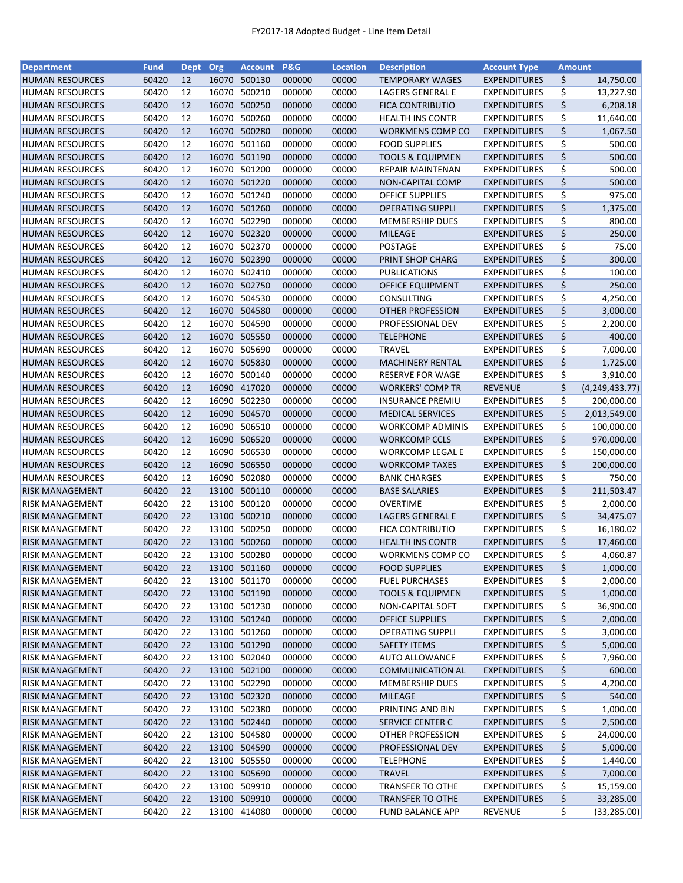| <b>Department</b>      | <b>Fund</b>    | <b>Dept</b> | Org   | <b>Account</b> | P&G              | <b>Location</b> | <b>Description</b>                       | <b>Account Type</b> | <b>Amount</b> |                  |
|------------------------|----------------|-------------|-------|----------------|------------------|-----------------|------------------------------------------|---------------------|---------------|------------------|
| <b>HUMAN RESOURCES</b> | 60420          | 12          | 16070 | 500130         | 000000           | 00000           | <b>TEMPORARY WAGES</b>                   | <b>EXPENDITURES</b> | \$            | 14,750.00        |
| <b>HUMAN RESOURCES</b> | 60420          | 12          | 16070 | 500210         | 000000           | 00000           | LAGERS GENERAL E                         | <b>EXPENDITURES</b> | \$            | 13,227.90        |
| <b>HUMAN RESOURCES</b> | 60420          | 12          |       | 16070 500250   | 000000           | 00000           | <b>FICA CONTRIBUTIO</b>                  | <b>EXPENDITURES</b> | \$            | 6,208.18         |
| <b>HUMAN RESOURCES</b> | 60420          | 12          | 16070 | 500260         | 000000           | 00000           | <b>HEALTH INS CONTR</b>                  | <b>EXPENDITURES</b> | \$            | 11,640.00        |
| <b>HUMAN RESOURCES</b> | 60420          | 12          |       | 16070 500280   | 000000           | 00000           | WORKMENS COMP CO                         | <b>EXPENDITURES</b> | \$            | 1,067.50         |
| <b>HUMAN RESOURCES</b> | 60420          | 12          |       | 16070 501160   | 000000           | 00000           | <b>FOOD SUPPLIES</b>                     | <b>EXPENDITURES</b> | \$            | 500.00           |
| <b>HUMAN RESOURCES</b> | 60420          | 12          |       | 16070 501190   | 000000           | 00000           | <b>TOOLS &amp; EQUIPMEN</b>              | <b>EXPENDITURES</b> | \$            | 500.00           |
| <b>HUMAN RESOURCES</b> | 60420          | 12          | 16070 | 501200         | 000000           | 00000           | <b>REPAIR MAINTENAN</b>                  | <b>EXPENDITURES</b> | \$            | 500.00           |
| <b>HUMAN RESOURCES</b> | 60420          | 12          |       | 16070 501220   | 000000           | 00000           | NON-CAPITAL COMP                         | <b>EXPENDITURES</b> | \$            | 500.00           |
| <b>HUMAN RESOURCES</b> | 60420          | 12          |       | 16070 501240   | 000000           | 00000           | OFFICE SUPPLIES                          | <b>EXPENDITURES</b> | \$            | 975.00           |
| <b>HUMAN RESOURCES</b> | 60420          | 12          |       | 16070 501260   | 000000           | 00000           | <b>OPERATING SUPPLI</b>                  | <b>EXPENDITURES</b> | \$            | 1,375.00         |
| <b>HUMAN RESOURCES</b> | 60420          | 12          | 16070 | 502290         | 000000           | 00000           | <b>MEMBERSHIP DUES</b>                   | <b>EXPENDITURES</b> | \$            | 800.00           |
| <b>HUMAN RESOURCES</b> | 60420          | 12          | 16070 | 502320         | 000000           | 00000           | <b>MILEAGE</b>                           | <b>EXPENDITURES</b> | \$            | 250.00           |
| <b>HUMAN RESOURCES</b> | 60420          | 12          | 16070 | 502370         | 000000           | 00000           | <b>POSTAGE</b>                           | <b>EXPENDITURES</b> | \$            | 75.00            |
| <b>HUMAN RESOURCES</b> | 60420          | 12          | 16070 | 502390         | 000000           | 00000           | PRINT SHOP CHARG                         | <b>EXPENDITURES</b> | \$            | 300.00           |
|                        | 60420          | 12          |       | 16070 502410   | 000000           | 00000           | <b>PUBLICATIONS</b>                      | <b>EXPENDITURES</b> |               | 100.00           |
| <b>HUMAN RESOURCES</b> |                |             |       |                |                  |                 |                                          |                     | \$<br>\$      |                  |
| <b>HUMAN RESOURCES</b> | 60420          | 12          |       | 16070 502750   | 000000           | 00000           | <b>OFFICE EQUIPMENT</b>                  | <b>EXPENDITURES</b> |               | 250.00           |
| <b>HUMAN RESOURCES</b> | 60420          | 12          |       | 16070 504530   | 000000           | 00000           | <b>CONSULTING</b>                        | <b>EXPENDITURES</b> | \$            | 4,250.00         |
| <b>HUMAN RESOURCES</b> | 60420          | 12          |       | 16070 504580   | 000000           | 00000           | <b>OTHER PROFESSION</b>                  | <b>EXPENDITURES</b> | \$            | 3,000.00         |
| <b>HUMAN RESOURCES</b> | 60420          | 12          | 16070 | 504590         | 000000           | 00000           | PROFESSIONAL DEV                         | <b>EXPENDITURES</b> | \$            | 2,200.00         |
| <b>HUMAN RESOURCES</b> | 60420          | 12          |       | 16070 505550   | 000000           | 00000           | <b>TELEPHONE</b>                         | <b>EXPENDITURES</b> | \$            | 400.00           |
| <b>HUMAN RESOURCES</b> | 60420          | 12          |       | 16070 505690   | 000000           | 00000           | <b>TRAVEL</b>                            | <b>EXPENDITURES</b> | \$            | 7,000.00         |
| <b>HUMAN RESOURCES</b> | 60420          | 12          |       | 16070 505830   | 000000           | 00000           | <b>MACHINERY RENTAL</b>                  | <b>EXPENDITURES</b> | \$            | 1,725.00         |
| <b>HUMAN RESOURCES</b> | 60420          | 12          | 16070 | 500140         | 000000           | 00000           | RESERVE FOR WAGE                         | <b>EXPENDITURES</b> | \$            | 3,910.00         |
| <b>HUMAN RESOURCES</b> | 60420          | 12          | 16090 | 417020         | 000000           | 00000           | <b>WORKERS' COMP TR</b>                  | <b>REVENUE</b>      | \$            | (4, 249, 433.77) |
| <b>HUMAN RESOURCES</b> | 60420          | 12          | 16090 | 502230         | 000000           | 00000           | <b>INSURANCE PREMIU</b>                  | <b>EXPENDITURES</b> | \$            | 200,000.00       |
| <b>HUMAN RESOURCES</b> | 60420          | 12          | 16090 | 504570         | 000000           | 00000           | <b>MEDICAL SERVICES</b>                  | <b>EXPENDITURES</b> | \$            | 2,013,549.00     |
| <b>HUMAN RESOURCES</b> | 60420          | 12          | 16090 | 506510         | 000000           | 00000           | <b>WORKCOMP ADMINIS</b>                  | <b>EXPENDITURES</b> | \$            | 100,000.00       |
| <b>HUMAN RESOURCES</b> | 60420          | 12          | 16090 | 506520         | 000000           | 00000           | <b>WORKCOMP CCLS</b>                     | <b>EXPENDITURES</b> | \$            | 970,000.00       |
| <b>HUMAN RESOURCES</b> | 60420          | 12          | 16090 | 506530         | 000000           | 00000           | <b>WORKCOMP LEGAL E</b>                  | <b>EXPENDITURES</b> | \$            | 150,000.00       |
| <b>HUMAN RESOURCES</b> | 60420          | 12          | 16090 | 506550         | 000000           | 00000           | <b>WORKCOMP TAXES</b>                    | <b>EXPENDITURES</b> | \$            | 200,000.00       |
| <b>HUMAN RESOURCES</b> | 60420          | 12          | 16090 | 502080         | 000000           | 00000           | <b>BANK CHARGES</b>                      | <b>EXPENDITURES</b> | \$            | 750.00           |
| <b>RISK MANAGEMENT</b> | 60420          | 22          | 13100 | 500110         | 000000           | 00000           | <b>BASE SALARIES</b>                     | <b>EXPENDITURES</b> | \$            | 211,503.47       |
| <b>RISK MANAGEMENT</b> | 60420          | 22          |       | 13100 500120   | 000000           | 00000           | <b>OVERTIME</b>                          | <b>EXPENDITURES</b> | \$            | 2,000.00         |
| <b>RISK MANAGEMENT</b> | 60420          | 22          |       | 13100 500210   | 000000           | 00000           | LAGERS GENERAL E                         | <b>EXPENDITURES</b> | \$            | 34,475.07        |
| <b>RISK MANAGEMENT</b> | 60420          | 22          |       | 13100 500250   | 000000           | 00000           | <b>FICA CONTRIBUTIO</b>                  | <b>EXPENDITURES</b> | \$            | 16,180.02        |
| <b>RISK MANAGEMENT</b> | 60420          | 22          |       | 13100 500260   | 000000           | 00000           | <b>HEALTH INS CONTR</b>                  | <b>EXPENDITURES</b> | \$            | 17,460.00        |
| <b>RISK MANAGEMENT</b> | 60420          | 22          |       | 13100 500280   | 000000           | 00000           | <b>WORKMENS COMP CO</b>                  | <b>EXPENDITURES</b> | \$            | 4,060.87         |
| <b>RISK MANAGEMENT</b> | 60420          | 22          |       | 13100 501160   | 000000           | 00000           | <b>FOOD SUPPLIES</b>                     | <b>EXPENDITURES</b> | \$            | 1,000.00         |
| <b>RISK MANAGEMENT</b> | 60420          | 22          | 13100 | 501170         | 000000           | 00000           | <b>FUEL PURCHASES</b>                    | <b>EXPENDITURES</b> | \$            | 2,000.00         |
| <b>RISK MANAGEMENT</b> | 60420          | 22          |       | 13100 501190   | 000000           | 00000           | <b>TOOLS &amp; EQUIPMEN</b>              | <b>EXPENDITURES</b> | \$            | 1,000.00         |
| <b>RISK MANAGEMENT</b> | 60420          | 22          |       | 13100 501230   | 000000           | 00000           | NON-CAPITAL SOFT                         | <b>EXPENDITURES</b> | \$            | 36,900.00        |
| <b>RISK MANAGEMENT</b> | 60420          | 22          |       | 13100 501240   | 000000           | 00000           | <b>OFFICE SUPPLIES</b>                   | <b>EXPENDITURES</b> | \$            | 2,000.00         |
| <b>RISK MANAGEMENT</b> | 60420          | 22          |       | 13100 501260   | 000000           | 00000           | <b>OPERATING SUPPLI</b>                  | <b>EXPENDITURES</b> | \$            | 3,000.00         |
| <b>RISK MANAGEMENT</b> | 60420          | 22          |       | 13100 501290   | 000000           | 00000           | <b>SAFETY ITEMS</b>                      | <b>EXPENDITURES</b> | \$            | 5,000.00         |
| <b>RISK MANAGEMENT</b> | 60420          | 22          |       | 13100 502040   | 000000           | 00000           | <b>AUTO ALLOWANCE</b>                    | <b>EXPENDITURES</b> | \$            | 7,960.00         |
| <b>RISK MANAGEMENT</b> | 60420          | 22          |       | 13100 502100   | 000000           | 00000           | <b>COMMUNICATION AL</b>                  | <b>EXPENDITURES</b> | \$            | 600.00           |
| <b>RISK MANAGEMENT</b> | 60420          | 22          |       | 13100 502290   | 000000           | 00000           | <b>MEMBERSHIP DUES</b>                   | <b>EXPENDITURES</b> | \$            | 4,200.00         |
| <b>RISK MANAGEMENT</b> | 60420          | 22          |       | 13100 502320   | 000000           | 00000           | <b>MILEAGE</b>                           | <b>EXPENDITURES</b> | \$            | 540.00           |
| <b>RISK MANAGEMENT</b> | 60420          | 22          |       | 13100 502380   | 000000           | 00000           | PRINTING AND BIN                         | <b>EXPENDITURES</b> | \$            | 1,000.00         |
| <b>RISK MANAGEMENT</b> | 60420          | 22          |       | 13100 502440   | 000000           | 00000           | SERVICE CENTER C                         | <b>EXPENDITURES</b> | \$            | 2,500.00         |
| <b>RISK MANAGEMENT</b> | 60420          | 22          | 13100 | 504580         | 000000           | 00000           | OTHER PROFESSION                         | <b>EXPENDITURES</b> | \$            | 24,000.00        |
| <b>RISK MANAGEMENT</b> | 60420          | 22          |       | 13100 504590   | 000000           | 00000           | PROFESSIONAL DEV                         | <b>EXPENDITURES</b> | \$            | 5,000.00         |
|                        |                |             |       | 13100 505550   |                  |                 |                                          |                     |               |                  |
| <b>RISK MANAGEMENT</b> | 60420          | 22          |       | 13100 505690   | 000000<br>000000 | 00000           | <b>TELEPHONE</b>                         | <b>EXPENDITURES</b> | \$            | 1,440.00         |
| <b>RISK MANAGEMENT</b> | 60420<br>60420 | 22          |       | 13100 509910   |                  | 00000           | <b>TRAVEL</b><br><b>TRANSFER TO OTHE</b> | <b>EXPENDITURES</b> | \$            | 7,000.00         |
| <b>RISK MANAGEMENT</b> |                | 22          |       |                | 000000           | 00000           |                                          | <b>EXPENDITURES</b> | \$            | 15,159.00        |
| <b>RISK MANAGEMENT</b> | 60420          | 22          |       | 13100 509910   | 000000           | 00000           | <b>TRANSFER TO OTHE</b>                  | <b>EXPENDITURES</b> | \$            | 33,285.00        |
| <b>RISK MANAGEMENT</b> | 60420          | 22          |       | 13100 414080   | 000000           | 00000           | <b>FUND BALANCE APP</b>                  | REVENUE             | \$            | (33, 285.00)     |